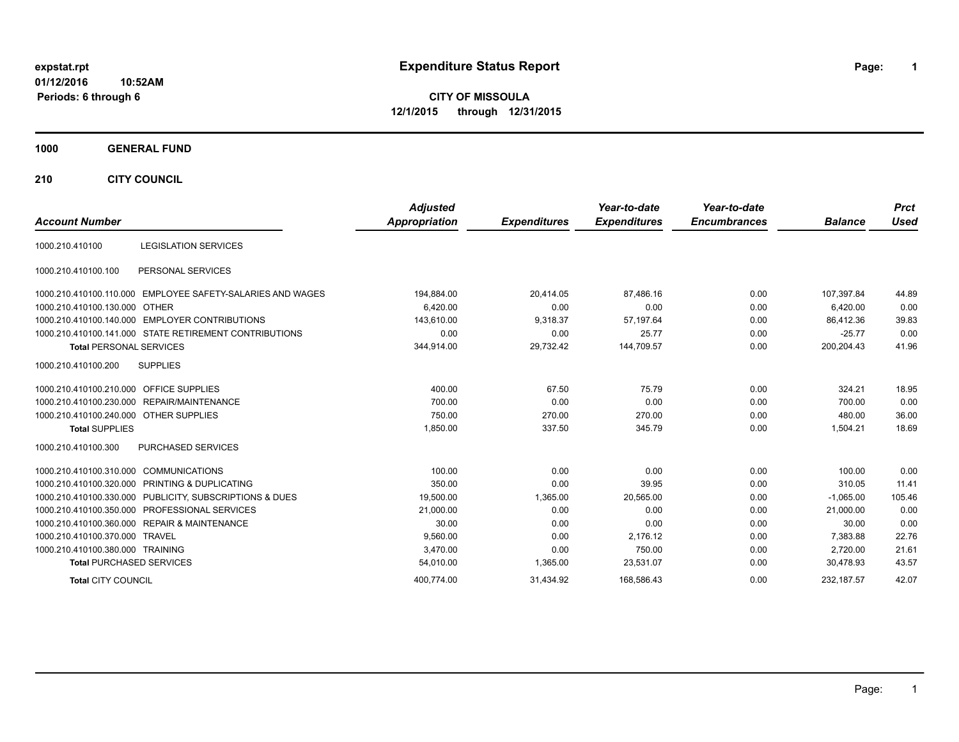# **expstat.rpt Expenditure Status Report Page:**

**1**

**CITY OF MISSOULA 12/1/2015 through 12/31/2015**

### **1000 GENERAL FUND**

**210 CITY COUNCIL**

| <b>Account Number</b>                  |                                                            | <b>Adjusted</b><br>Appropriation | <b>Expenditures</b> | Year-to-date<br><b>Expenditures</b> | Year-to-date<br><b>Encumbrances</b> | <b>Balance</b> | <b>Prct</b><br><b>Used</b> |
|----------------------------------------|------------------------------------------------------------|----------------------------------|---------------------|-------------------------------------|-------------------------------------|----------------|----------------------------|
|                                        |                                                            |                                  |                     |                                     |                                     |                |                            |
| 1000.210.410100                        | <b>LEGISLATION SERVICES</b>                                |                                  |                     |                                     |                                     |                |                            |
| 1000.210.410100.100                    | PERSONAL SERVICES                                          |                                  |                     |                                     |                                     |                |                            |
|                                        | 1000.210.410100.110.000 EMPLOYEE SAFETY-SALARIES AND WAGES | 194,884.00                       | 20,414.05           | 87,486.16                           | 0.00                                | 107,397.84     | 44.89                      |
| 1000.210.410100.130.000                | <b>OTHER</b>                                               | 6.420.00                         | 0.00                | 0.00                                | 0.00                                | 6.420.00       | 0.00                       |
|                                        | 1000.210.410100.140.000 EMPLOYER CONTRIBUTIONS             | 143,610.00                       | 9,318.37            | 57,197.64                           | 0.00                                | 86,412.36      | 39.83                      |
|                                        | 1000.210.410100.141.000 STATE RETIREMENT CONTRIBUTIONS     | 0.00                             | 0.00                | 25.77                               | 0.00                                | $-25.77$       | 0.00                       |
| <b>Total PERSONAL SERVICES</b>         |                                                            | 344,914.00                       | 29,732.42           | 144,709.57                          | 0.00                                | 200,204.43     | 41.96                      |
| 1000.210.410100.200                    | <b>SUPPLIES</b>                                            |                                  |                     |                                     |                                     |                |                            |
| 1000.210.410100.210.000                | <b>OFFICE SUPPLIES</b>                                     | 400.00                           | 67.50               | 75.79                               | 0.00                                | 324.21         | 18.95                      |
|                                        | 1000.210.410100.230.000 REPAIR/MAINTENANCE                 | 700.00                           | 0.00                | 0.00                                | 0.00                                | 700.00         | 0.00                       |
| 1000.210.410100.240.000 OTHER SUPPLIES |                                                            | 750.00                           | 270.00              | 270.00                              | 0.00                                | 480.00         | 36.00                      |
| <b>Total SUPPLIES</b>                  |                                                            | 1,850.00                         | 337.50              | 345.79                              | 0.00                                | 1,504.21       | 18.69                      |
| 1000.210.410100.300                    | <b>PURCHASED SERVICES</b>                                  |                                  |                     |                                     |                                     |                |                            |
| 1000.210.410100.310.000 COMMUNICATIONS |                                                            | 100.00                           | 0.00                | 0.00                                | 0.00                                | 100.00         | 0.00                       |
|                                        | 1000.210.410100.320.000 PRINTING & DUPLICATING             | 350.00                           | 0.00                | 39.95                               | 0.00                                | 310.05         | 11.41                      |
|                                        | 1000.210.410100.330.000 PUBLICITY, SUBSCRIPTIONS & DUES    | 19,500.00                        | 1,365.00            | 20,565.00                           | 0.00                                | $-1.065.00$    | 105.46                     |
| 1000.210.410100.350.000                | <b>PROFESSIONAL SERVICES</b>                               | 21,000.00                        | 0.00                | 0.00                                | 0.00                                | 21,000.00      | 0.00                       |
|                                        | 1000.210.410100.360.000 REPAIR & MAINTENANCE               | 30.00                            | 0.00                | 0.00                                | 0.00                                | 30.00          | 0.00                       |
| 1000.210.410100.370.000 TRAVEL         |                                                            | 9,560.00                         | 0.00                | 2,176.12                            | 0.00                                | 7,383.88       | 22.76                      |
| 1000.210.410100.380.000 TRAINING       |                                                            | 3,470.00                         | 0.00                | 750.00                              | 0.00                                | 2,720.00       | 21.61                      |
| <b>Total PURCHASED SERVICES</b>        |                                                            | 54,010.00                        | 1,365.00            | 23,531.07                           | 0.00                                | 30,478.93      | 43.57                      |
| <b>Total CITY COUNCIL</b>              |                                                            | 400.774.00                       | 31,434.92           | 168,586.43                          | 0.00                                | 232.187.57     | 42.07                      |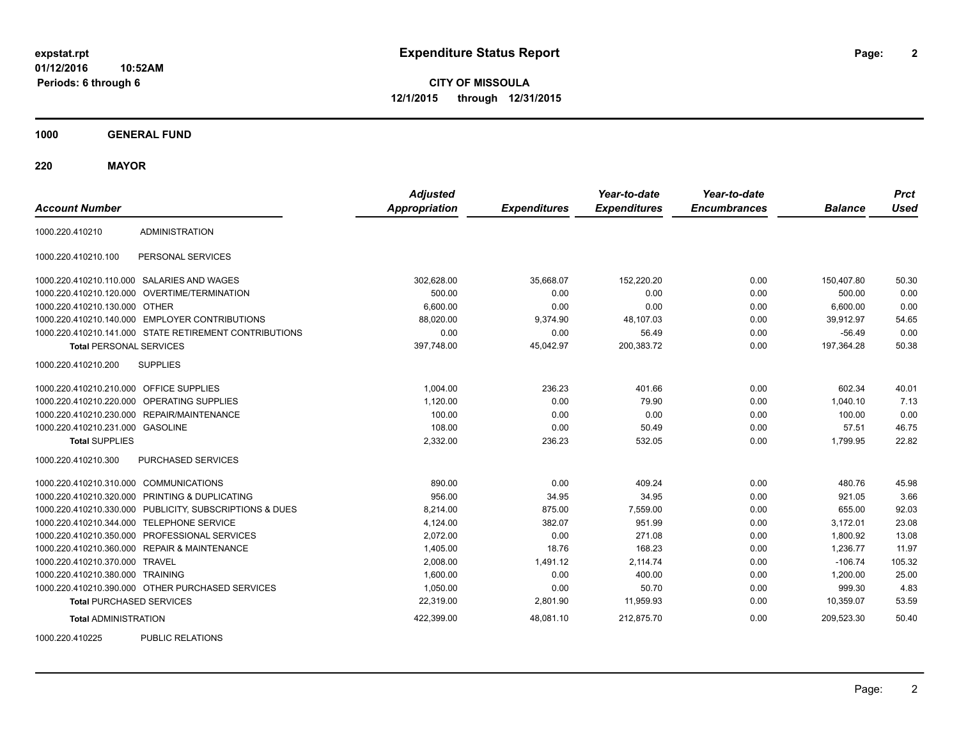**2**

**CITY OF MISSOULA 12/1/2015 through 12/31/2015**

**1000 GENERAL FUND**

**220 MAYOR**

| <b>Account Number</b>                   |                                                         | <b>Adjusted</b><br><b>Appropriation</b> | <b>Expenditures</b> | Year-to-date<br><b>Expenditures</b> | Year-to-date<br><b>Encumbrances</b> | <b>Balance</b> | <b>Prct</b><br><b>Used</b> |
|-----------------------------------------|---------------------------------------------------------|-----------------------------------------|---------------------|-------------------------------------|-------------------------------------|----------------|----------------------------|
| 1000.220.410210                         | <b>ADMINISTRATION</b>                                   |                                         |                     |                                     |                                     |                |                            |
| 1000.220.410210.100                     | PERSONAL SERVICES                                       |                                         |                     |                                     |                                     |                |                            |
|                                         | 1000.220.410210.110.000 SALARIES AND WAGES              | 302,628.00                              | 35,668.07           | 152,220.20                          | 0.00                                | 150.407.80     | 50.30                      |
|                                         | 1000.220.410210.120.000 OVERTIME/TERMINATION            | 500.00                                  | 0.00                | 0.00                                | 0.00                                | 500.00         | 0.00                       |
| 1000.220.410210.130.000 OTHER           |                                                         | 6,600.00                                | 0.00                | 0.00                                | 0.00                                | 6,600.00       | 0.00                       |
|                                         | 1000.220.410210.140.000 EMPLOYER CONTRIBUTIONS          | 88,020.00                               | 9,374.90            | 48,107.03                           | 0.00                                | 39,912.97      | 54.65                      |
|                                         | 1000.220.410210.141.000 STATE RETIREMENT CONTRIBUTIONS  | 0.00                                    | 0.00                | 56.49                               | 0.00                                | $-56.49$       | 0.00                       |
| <b>Total PERSONAL SERVICES</b>          |                                                         | 397,748.00                              | 45,042.97           | 200,383.72                          | 0.00                                | 197,364.28     | 50.38                      |
| 1000.220.410210.200                     | <b>SUPPLIES</b>                                         |                                         |                     |                                     |                                     |                |                            |
| 1000.220.410210.210.000 OFFICE SUPPLIES |                                                         | 1,004.00                                | 236.23              | 401.66                              | 0.00                                | 602.34         | 40.01                      |
|                                         | 1000.220.410210.220.000 OPERATING SUPPLIES              | 1,120.00                                | 0.00                | 79.90                               | 0.00                                | 1,040.10       | 7.13                       |
|                                         | 1000.220.410210.230.000 REPAIR/MAINTENANCE              | 100.00                                  | 0.00                | 0.00                                | 0.00                                | 100.00         | 0.00                       |
| 1000.220.410210.231.000 GASOLINE        |                                                         | 108.00                                  | 0.00                | 50.49                               | 0.00                                | 57.51          | 46.75                      |
| <b>Total SUPPLIES</b>                   |                                                         | 2,332.00                                | 236.23              | 532.05                              | 0.00                                | 1,799.95       | 22.82                      |
| 1000.220.410210.300                     | PURCHASED SERVICES                                      |                                         |                     |                                     |                                     |                |                            |
| 1000.220.410210.310.000 COMMUNICATIONS  |                                                         | 890.00                                  | 0.00                | 409.24                              | 0.00                                | 480.76         | 45.98                      |
|                                         | 1000.220.410210.320.000 PRINTING & DUPLICATING          | 956.00                                  | 34.95               | 34.95                               | 0.00                                | 921.05         | 3.66                       |
|                                         | 1000.220.410210.330.000 PUBLICITY, SUBSCRIPTIONS & DUES | 8,214.00                                | 875.00              | 7,559.00                            | 0.00                                | 655.00         | 92.03                      |
|                                         | 1000.220.410210.344.000 TELEPHONE SERVICE               | 4,124.00                                | 382.07              | 951.99                              | 0.00                                | 3,172.01       | 23.08                      |
|                                         | 1000.220.410210.350.000 PROFESSIONAL SERVICES           | 2,072.00                                | 0.00                | 271.08                              | 0.00                                | 1,800.92       | 13.08                      |
|                                         | 1000.220.410210.360.000 REPAIR & MAINTENANCE            | 1,405.00                                | 18.76               | 168.23                              | 0.00                                | 1,236.77       | 11.97                      |
| 1000.220.410210.370.000 TRAVEL          |                                                         | 2.008.00                                | 1,491.12            | 2.114.74                            | 0.00                                | $-106.74$      | 105.32                     |
| 1000.220.410210.380.000 TRAINING        |                                                         | 1,600.00                                | 0.00                | 400.00                              | 0.00                                | 1,200.00       | 25.00                      |
|                                         | 1000.220.410210.390.000 OTHER PURCHASED SERVICES        | 1,050.00                                | 0.00                | 50.70                               | 0.00                                | 999.30         | 4.83                       |
| <b>Total PURCHASED SERVICES</b>         |                                                         | 22,319.00                               | 2,801.90            | 11,959.93                           | 0.00                                | 10,359.07      | 53.59                      |
| <b>Total ADMINISTRATION</b>             |                                                         | 422,399.00                              | 48,081.10           | 212,875.70                          | 0.00                                | 209,523.30     | 50.40                      |
| 1000000110000                           | BURLIO BEL ITIOHO                                       |                                         |                     |                                     |                                     |                |                            |

1000.220.410225 PUBLIC RELATIONS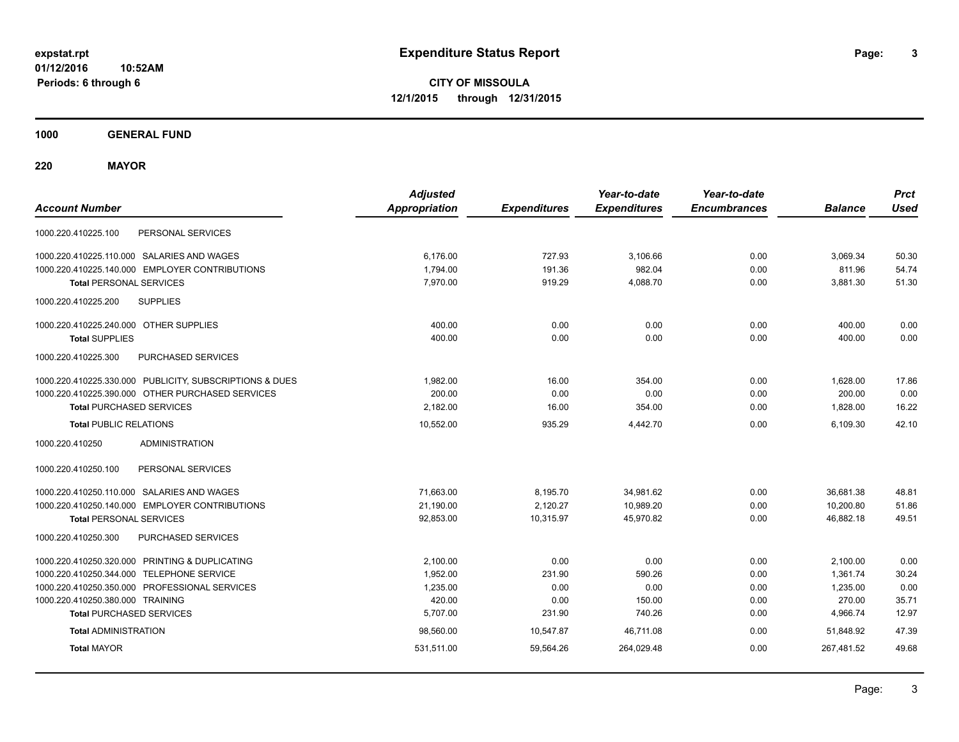**CITY OF MISSOULA 12/1/2015 through 12/31/2015**

**1000 GENERAL FUND**

**220 MAYOR**

| <b>Account Number</b>                                   | <b>Adjusted</b><br><b>Appropriation</b> | <b>Expenditures</b> | Year-to-date<br><b>Expenditures</b> | Year-to-date<br><b>Encumbrances</b> | <b>Balance</b> | <b>Prct</b><br><b>Used</b> |
|---------------------------------------------------------|-----------------------------------------|---------------------|-------------------------------------|-------------------------------------|----------------|----------------------------|
| PERSONAL SERVICES<br>1000.220.410225.100                |                                         |                     |                                     |                                     |                |                            |
| 1000.220.410225.110.000 SALARIES AND WAGES              | 6.176.00                                | 727.93              | 3.106.66                            | 0.00                                | 3.069.34       | 50.30                      |
| 1000.220.410225.140.000 EMPLOYER CONTRIBUTIONS          | 1,794.00                                | 191.36              | 982.04                              | 0.00                                | 811.96         | 54.74                      |
| <b>Total PERSONAL SERVICES</b>                          | 7.970.00                                | 919.29              | 4,088.70                            | 0.00                                | 3,881.30       | 51.30                      |
| 1000.220.410225.200<br><b>SUPPLIES</b>                  |                                         |                     |                                     |                                     |                |                            |
| 1000.220.410225.240.000 OTHER SUPPLIES                  | 400.00                                  | 0.00                | 0.00                                | 0.00                                | 400.00         | 0.00                       |
| <b>Total SUPPLIES</b>                                   | 400.00                                  | 0.00                | 0.00                                | 0.00                                | 400.00         | 0.00                       |
| 1000.220.410225.300<br><b>PURCHASED SERVICES</b>        |                                         |                     |                                     |                                     |                |                            |
| 1000.220.410225.330.000 PUBLICITY, SUBSCRIPTIONS & DUES | 1.982.00                                | 16.00               | 354.00                              | 0.00                                | 1,628.00       | 17.86                      |
| 1000.220.410225.390.000 OTHER PURCHASED SERVICES        | 200.00                                  | 0.00                | 0.00                                | 0.00                                | 200.00         | 0.00                       |
| <b>Total PURCHASED SERVICES</b>                         | 2,182.00                                | 16.00               | 354.00                              | 0.00                                | 1,828.00       | 16.22                      |
| <b>Total PUBLIC RELATIONS</b>                           | 10,552.00                               | 935.29              | 4,442.70                            | 0.00                                | 6,109.30       | 42.10                      |
| <b>ADMINISTRATION</b><br>1000.220.410250                |                                         |                     |                                     |                                     |                |                            |
| 1000.220.410250.100<br>PERSONAL SERVICES                |                                         |                     |                                     |                                     |                |                            |
| 1000.220.410250.110.000 SALARIES AND WAGES              | 71,663.00                               | 8,195.70            | 34,981.62                           | 0.00                                | 36,681.38      | 48.81                      |
| 1000.220.410250.140.000 EMPLOYER CONTRIBUTIONS          | 21,190.00                               | 2,120.27            | 10,989.20                           | 0.00                                | 10,200.80      | 51.86                      |
| <b>Total PERSONAL SERVICES</b>                          | 92,853.00                               | 10,315.97           | 45,970.82                           | 0.00                                | 46,882.18      | 49.51                      |
| 1000.220.410250.300<br>PURCHASED SERVICES               |                                         |                     |                                     |                                     |                |                            |
| 1000.220.410250.320.000 PRINTING & DUPLICATING          | 2,100.00                                | 0.00                | 0.00                                | 0.00                                | 2,100.00       | 0.00                       |
| 1000.220.410250.344.000 TELEPHONE SERVICE               | 1,952.00                                | 231.90              | 590.26                              | 0.00                                | 1,361.74       | 30.24                      |
| 1000.220.410250.350.000 PROFESSIONAL SERVICES           | 1,235.00                                | 0.00                | 0.00                                | 0.00                                | 1,235.00       | 0.00                       |
| 1000.220.410250.380.000 TRAINING                        | 420.00                                  | 0.00                | 150.00                              | 0.00                                | 270.00         | 35.71                      |
| <b>Total PURCHASED SERVICES</b>                         | 5,707.00                                | 231.90              | 740.26                              | 0.00                                | 4,966.74       | 12.97                      |
| <b>Total ADMINISTRATION</b>                             | 98.560.00                               | 10.547.87           | 46.711.08                           | 0.00                                | 51.848.92      | 47.39                      |
| <b>Total MAYOR</b>                                      | 531,511.00                              | 59,564.26           | 264,029.48                          | 0.00                                | 267,481.52     | 49.68                      |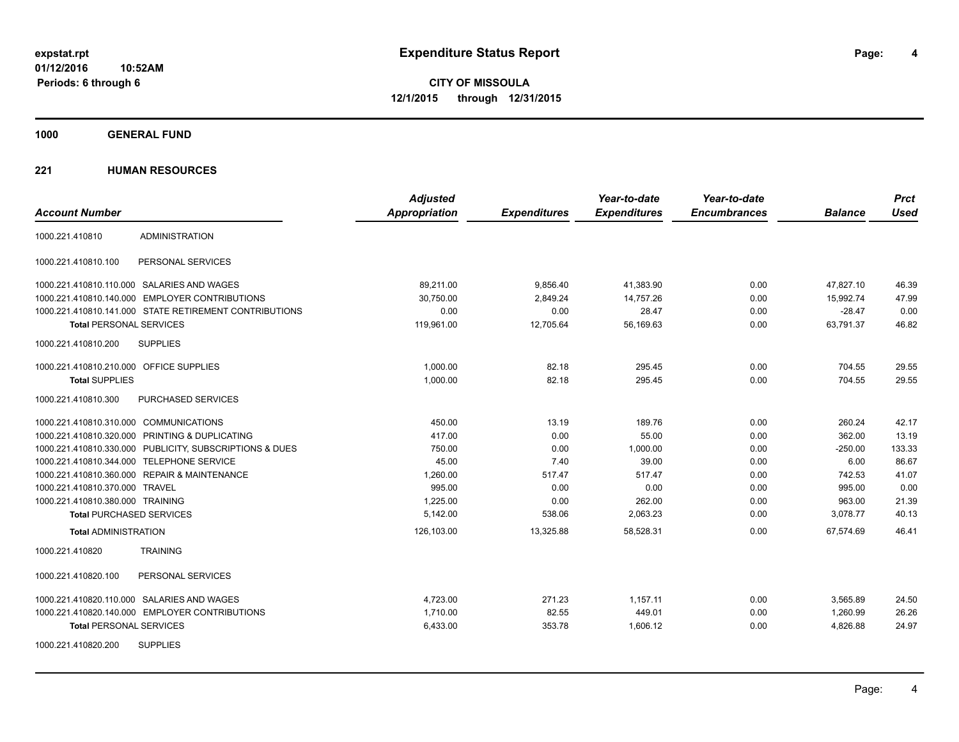**4**

**CITY OF MISSOULA 12/1/2015 through 12/31/2015**

**1000 GENERAL FUND**

|                                                         | <b>Adjusted</b>      |                     | Year-to-date        | Year-to-date        |                | <b>Prct</b> |
|---------------------------------------------------------|----------------------|---------------------|---------------------|---------------------|----------------|-------------|
| <b>Account Number</b>                                   | <b>Appropriation</b> | <b>Expenditures</b> | <b>Expenditures</b> | <b>Encumbrances</b> | <b>Balance</b> | <b>Used</b> |
| <b>ADMINISTRATION</b><br>1000.221.410810                |                      |                     |                     |                     |                |             |
| PERSONAL SERVICES<br>1000.221.410810.100                |                      |                     |                     |                     |                |             |
| 1000.221.410810.110.000 SALARIES AND WAGES              | 89,211.00            | 9,856.40            | 41,383.90           | 0.00                | 47,827.10      | 46.39       |
| 1000.221.410810.140.000 EMPLOYER CONTRIBUTIONS          | 30,750.00            | 2,849.24            | 14,757.26           | 0.00                | 15,992.74      | 47.99       |
| 1000.221.410810.141.000 STATE RETIREMENT CONTRIBUTIONS  | 0.00                 | 0.00                | 28.47               | 0.00                | $-28.47$       | 0.00        |
| <b>Total PERSONAL SERVICES</b>                          | 119,961.00           | 12,705.64           | 56,169.63           | 0.00                | 63,791.37      | 46.82       |
| 1000.221.410810.200<br><b>SUPPLIES</b>                  |                      |                     |                     |                     |                |             |
| 1000.221.410810.210.000 OFFICE SUPPLIES                 | 1.000.00             | 82.18               | 295.45              | 0.00                | 704.55         | 29.55       |
| <b>Total SUPPLIES</b>                                   | 1,000.00             | 82.18               | 295.45              | 0.00                | 704.55         | 29.55       |
| 1000.221.410810.300<br>PURCHASED SERVICES               |                      |                     |                     |                     |                |             |
| 1000.221.410810.310.000 COMMUNICATIONS                  | 450.00               | 13.19               | 189.76              | 0.00                | 260.24         | 42.17       |
| 1000.221.410810.320.000 PRINTING & DUPLICATING          | 417.00               | 0.00                | 55.00               | 0.00                | 362.00         | 13.19       |
| 1000.221.410810.330.000 PUBLICITY, SUBSCRIPTIONS & DUES | 750.00               | 0.00                | 1,000.00            | 0.00                | $-250.00$      | 133.33      |
| 1000.221.410810.344.000 TELEPHONE SERVICE               | 45.00                | 7.40                | 39.00               | 0.00                | 6.00           | 86.67       |
| 1000.221.410810.360.000 REPAIR & MAINTENANCE            | 1,260.00             | 517.47              | 517.47              | 0.00                | 742.53         | 41.07       |
| 1000.221.410810.370.000 TRAVEL                          | 995.00               | 0.00                | 0.00                | 0.00                | 995.00         | 0.00        |
| 1000.221.410810.380.000 TRAINING                        | 1,225.00             | 0.00                | 262.00              | 0.00                | 963.00         | 21.39       |
| <b>Total PURCHASED SERVICES</b>                         | 5,142.00             | 538.06              | 2,063.23            | 0.00                | 3,078.77       | 40.13       |
| <b>Total ADMINISTRATION</b>                             | 126,103.00           | 13,325.88           | 58,528.31           | 0.00                | 67.574.69      | 46.41       |
| 1000.221.410820<br><b>TRAINING</b>                      |                      |                     |                     |                     |                |             |
| 1000.221.410820.100<br>PERSONAL SERVICES                |                      |                     |                     |                     |                |             |
| 1000.221.410820.110.000 SALARIES AND WAGES              | 4,723.00             | 271.23              | 1,157.11            | 0.00                | 3,565.89       | 24.50       |
| 1000.221.410820.140.000 EMPLOYER CONTRIBUTIONS          | 1,710.00             | 82.55               | 449.01              | 0.00                | 1,260.99       | 26.26       |
| <b>Total PERSONAL SERVICES</b>                          | 6,433.00             | 353.78              | 1,606.12            | 0.00                | 4,826.88       | 24.97       |
| <b>SUPPLIES</b><br>1000.221.410820.200                  |                      |                     |                     |                     |                |             |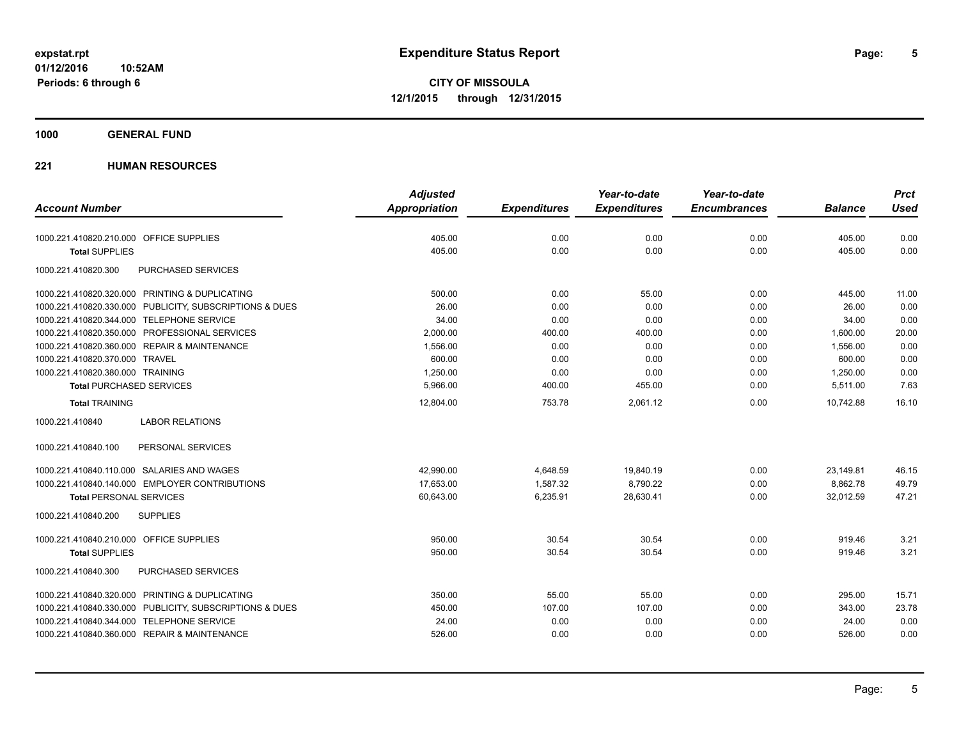**1000 GENERAL FUND**

|                                                         | <b>Adjusted</b>      |                     | Year-to-date        | Year-to-date        |                | <b>Prct</b> |
|---------------------------------------------------------|----------------------|---------------------|---------------------|---------------------|----------------|-------------|
| <b>Account Number</b>                                   | <b>Appropriation</b> | <b>Expenditures</b> | <b>Expenditures</b> | <b>Encumbrances</b> | <b>Balance</b> | <b>Used</b> |
| 1000.221.410820.210.000 OFFICE SUPPLIES                 | 405.00               | 0.00                | 0.00                | 0.00                | 405.00         | 0.00        |
| <b>Total SUPPLIES</b>                                   | 405.00               | 0.00                | 0.00                | 0.00                | 405.00         | 0.00        |
| 1000.221.410820.300<br>PURCHASED SERVICES               |                      |                     |                     |                     |                |             |
| 1000.221.410820.320.000 PRINTING & DUPLICATING          | 500.00               | 0.00                | 55.00               | 0.00                | 445.00         | 11.00       |
| 1000.221.410820.330.000 PUBLICITY, SUBSCRIPTIONS & DUES | 26.00                | 0.00                | 0.00                | 0.00                | 26.00          | 0.00        |
| 1000.221.410820.344.000 TELEPHONE SERVICE               | 34.00                | 0.00                | 0.00                | 0.00                | 34.00          | 0.00        |
| 1000.221.410820.350.000 PROFESSIONAL SERVICES           | 2,000.00             | 400.00              | 400.00              | 0.00                | 1,600.00       | 20.00       |
| 1000.221.410820.360.000 REPAIR & MAINTENANCE            | 1,556.00             | 0.00                | 0.00                | 0.00                | 1,556.00       | 0.00        |
| 1000.221.410820.370.000 TRAVEL                          | 600.00               | 0.00                | 0.00                | 0.00                | 600.00         | 0.00        |
| 1000.221.410820.380.000 TRAINING                        | 1,250.00             | 0.00                | 0.00                | 0.00                | 1,250.00       | 0.00        |
| <b>Total PURCHASED SERVICES</b>                         | 5,966.00             | 400.00              | 455.00              | 0.00                | 5,511.00       | 7.63        |
| <b>Total TRAINING</b>                                   | 12,804.00            | 753.78              | 2,061.12            | 0.00                | 10,742.88      | 16.10       |
| <b>LABOR RELATIONS</b><br>1000.221.410840               |                      |                     |                     |                     |                |             |
| PERSONAL SERVICES<br>1000.221.410840.100                |                      |                     |                     |                     |                |             |
| 1000.221.410840.110.000 SALARIES AND WAGES              | 42,990.00            | 4,648.59            | 19,840.19           | 0.00                | 23,149.81      | 46.15       |
| 1000.221.410840.140.000 EMPLOYER CONTRIBUTIONS          | 17,653.00            | 1,587.32            | 8,790.22            | 0.00                | 8,862.78       | 49.79       |
| <b>Total PERSONAL SERVICES</b>                          | 60,643.00            | 6,235.91            | 28,630.41           | 0.00                | 32,012.59      | 47.21       |
| 1000.221.410840.200<br><b>SUPPLIES</b>                  |                      |                     |                     |                     |                |             |
| 1000.221.410840.210.000 OFFICE SUPPLIES                 | 950.00               | 30.54               | 30.54               | 0.00                | 919.46         | 3.21        |
| <b>Total SUPPLIES</b>                                   | 950.00               | 30.54               | 30.54               | 0.00                | 919.46         | 3.21        |
| 1000.221.410840.300<br>PURCHASED SERVICES               |                      |                     |                     |                     |                |             |
| 1000.221.410840.320.000 PRINTING & DUPLICATING          | 350.00               | 55.00               | 55.00               | 0.00                | 295.00         | 15.71       |
| 1000.221.410840.330.000 PUBLICITY, SUBSCRIPTIONS & DUES | 450.00               | 107.00              | 107.00              | 0.00                | 343.00         | 23.78       |
| 1000.221.410840.344.000 TELEPHONE SERVICE               | 24.00                | 0.00                | 0.00                | 0.00                | 24.00          | 0.00        |
| 1000.221.410840.360.000 REPAIR & MAINTENANCE            | 526.00               | 0.00                | 0.00                | 0.00                | 526.00         | 0.00        |
|                                                         |                      |                     |                     |                     |                |             |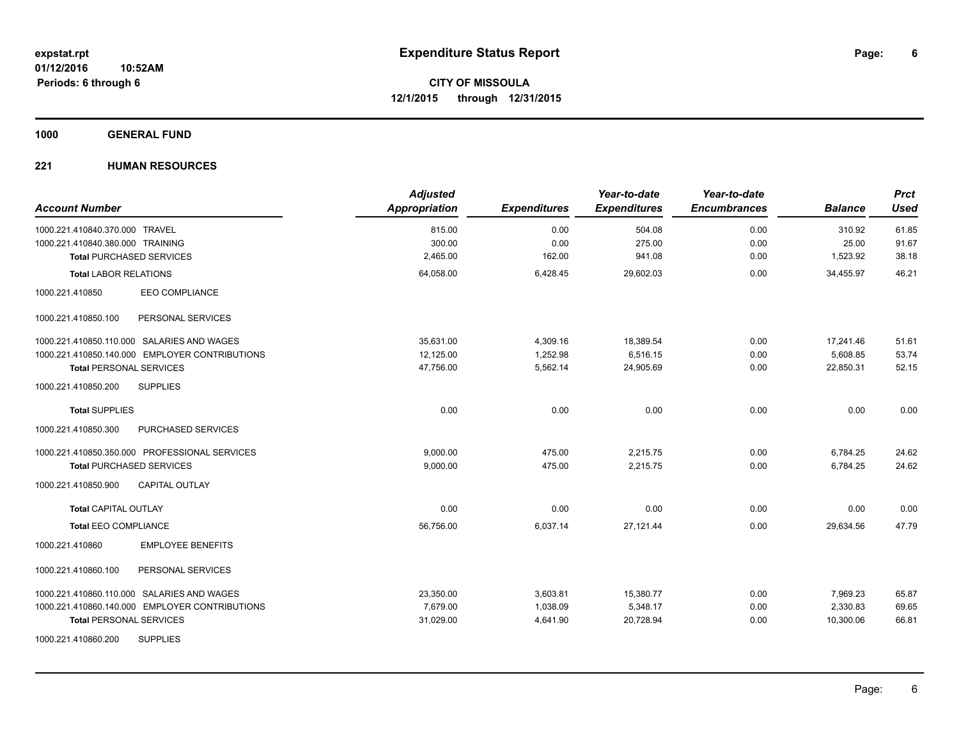**1000 GENERAL FUND**

| <b>Account Number</b>                          | <b>Adjusted</b><br>Appropriation | <b>Expenditures</b> | Year-to-date<br><b>Expenditures</b> | Year-to-date<br><b>Encumbrances</b> | <b>Balance</b> | <b>Prct</b><br><b>Used</b> |
|------------------------------------------------|----------------------------------|---------------------|-------------------------------------|-------------------------------------|----------------|----------------------------|
| 1000.221.410840.370.000 TRAVEL                 | 815.00                           | 0.00                | 504.08                              | 0.00                                | 310.92         | 61.85                      |
| 1000.221.410840.380.000 TRAINING               | 300.00                           | 0.00                | 275.00                              | 0.00                                | 25.00          | 91.67                      |
| <b>Total PURCHASED SERVICES</b>                | 2,465.00                         | 162.00              | 941.08                              | 0.00                                | 1,523.92       | 38.18                      |
| <b>Total LABOR RELATIONS</b>                   | 64,058.00                        | 6,428.45            | 29,602.03                           | 0.00                                | 34.455.97      | 46.21                      |
| <b>EEO COMPLIANCE</b><br>1000.221.410850       |                                  |                     |                                     |                                     |                |                            |
| PERSONAL SERVICES<br>1000.221.410850.100       |                                  |                     |                                     |                                     |                |                            |
| 1000.221.410850.110.000 SALARIES AND WAGES     | 35.631.00                        | 4,309.16            | 18,389.54                           | 0.00                                | 17,241.46      | 51.61                      |
| 1000.221.410850.140.000 EMPLOYER CONTRIBUTIONS | 12,125.00                        | 1,252.98            | 6,516.15                            | 0.00                                | 5,608.85       | 53.74                      |
| <b>Total PERSONAL SERVICES</b>                 | 47,756.00                        | 5,562.14            | 24,905.69                           | 0.00                                | 22.850.31      | 52.15                      |
| 1000.221.410850.200<br><b>SUPPLIES</b>         |                                  |                     |                                     |                                     |                |                            |
| <b>Total SUPPLIES</b>                          | 0.00                             | 0.00                | 0.00                                | 0.00                                | 0.00           | 0.00                       |
| 1000.221.410850.300<br>PURCHASED SERVICES      |                                  |                     |                                     |                                     |                |                            |
| 1000.221.410850.350.000 PROFESSIONAL SERVICES  | 9,000.00                         | 475.00              | 2,215.75                            | 0.00                                | 6,784.25       | 24.62                      |
| <b>Total PURCHASED SERVICES</b>                | 9,000.00                         | 475.00              | 2,215.75                            | 0.00                                | 6,784.25       | 24.62                      |
| 1000.221.410850.900<br><b>CAPITAL OUTLAY</b>   |                                  |                     |                                     |                                     |                |                            |
| <b>Total CAPITAL OUTLAY</b>                    | 0.00                             | 0.00                | 0.00                                | 0.00                                | 0.00           | 0.00                       |
| <b>Total EEO COMPLIANCE</b>                    | 56,756.00                        | 6,037.14            | 27,121.44                           | 0.00                                | 29,634.56      | 47.79                      |
| <b>EMPLOYEE BENEFITS</b><br>1000.221.410860    |                                  |                     |                                     |                                     |                |                            |
| 1000.221.410860.100<br>PERSONAL SERVICES       |                                  |                     |                                     |                                     |                |                            |
| 1000.221.410860.110.000 SALARIES AND WAGES     | 23,350.00                        | 3,603.81            | 15,380.77                           | 0.00                                | 7,969.23       | 65.87                      |
| 1000.221.410860.140.000 EMPLOYER CONTRIBUTIONS | 7,679.00                         | 1,038.09            | 5,348.17                            | 0.00                                | 2,330.83       | 69.65                      |
| <b>Total PERSONAL SERVICES</b>                 | 31,029.00                        | 4,641.90            | 20,728.94                           | 0.00                                | 10,300.06      | 66.81                      |
| <b>SUPPLIES</b><br>1000.221.410860.200         |                                  |                     |                                     |                                     |                |                            |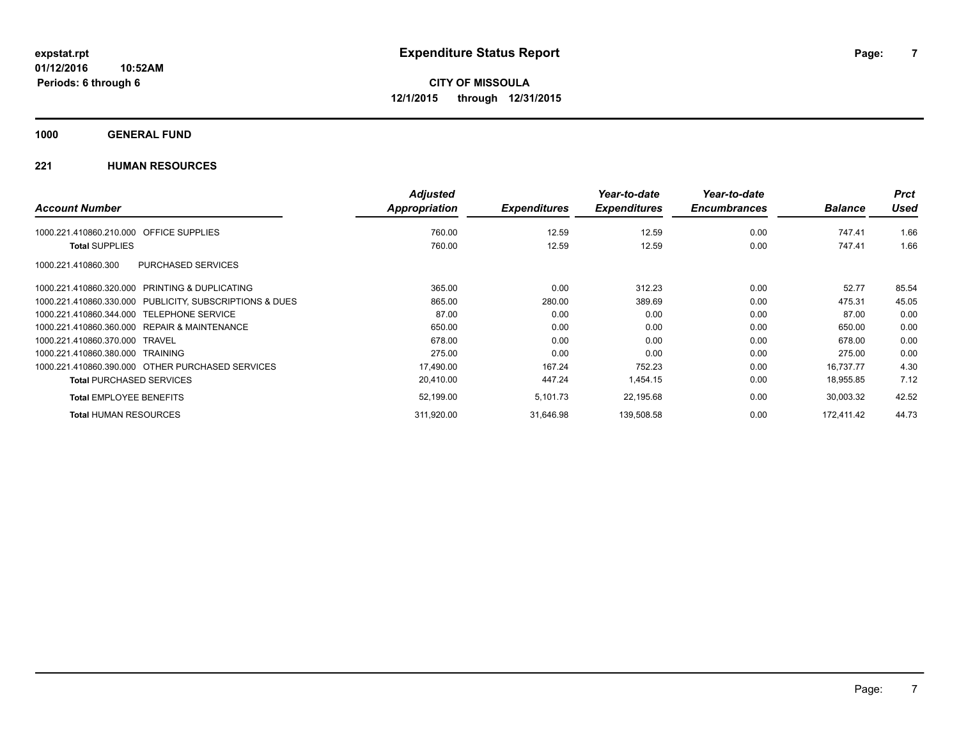### **1000 GENERAL FUND**

|                                                         | <b>Adjusted</b> |                     | Year-to-date        | Year-to-date        |                | <b>Prct</b> |
|---------------------------------------------------------|-----------------|---------------------|---------------------|---------------------|----------------|-------------|
| <b>Account Number</b>                                   | Appropriation   | <b>Expenditures</b> | <b>Expenditures</b> | <b>Encumbrances</b> | <b>Balance</b> | <b>Used</b> |
| <b>OFFICE SUPPLIES</b><br>1000.221.410860.210.000       | 760.00          | 12.59               | 12.59               | 0.00                | 747.41         | 1.66        |
| <b>Total SUPPLIES</b>                                   | 760.00          | 12.59               | 12.59               | 0.00                | 747.41         | 1.66        |
| <b>PURCHASED SERVICES</b><br>1000.221.410860.300        |                 |                     |                     |                     |                |             |
| 1000.221.410860.320.000 PRINTING & DUPLICATING          | 365.00          | 0.00                | 312.23              | 0.00                | 52.77          | 85.54       |
| 1000.221.410860.330.000 PUBLICITY, SUBSCRIPTIONS & DUES | 865.00          | 280.00              | 389.69              | 0.00                | 475.31         | 45.05       |
| 1000.221.410860.344.000 TELEPHONE SERVICE               | 87.00           | 0.00                | 0.00                | 0.00                | 87.00          | 0.00        |
| 1000.221.410860.360.000 REPAIR & MAINTENANCE            | 650.00          | 0.00                | 0.00                | 0.00                | 650.00         | 0.00        |
| 1000.221.410860.370.000 TRAVEL                          | 678.00          | 0.00                | 0.00                | 0.00                | 678.00         | 0.00        |
| 1000.221.410860.380.000 TRAINING                        | 275.00          | 0.00                | 0.00                | 0.00                | 275.00         | 0.00        |
| 1000.221.410860.390.000 OTHER PURCHASED SERVICES        | 17,490.00       | 167.24              | 752.23              | 0.00                | 16,737.77      | 4.30        |
| <b>Total PURCHASED SERVICES</b>                         | 20,410.00       | 447.24              | 1,454.15            | 0.00                | 18,955.85      | 7.12        |
| <b>Total EMPLOYEE BENEFITS</b>                          | 52,199.00       | 5,101.73            | 22,195.68           | 0.00                | 30,003.32      | 42.52       |
| <b>Total HUMAN RESOURCES</b>                            | 311,920.00      | 31,646.98           | 139,508.58          | 0.00                | 172.411.42     | 44.73       |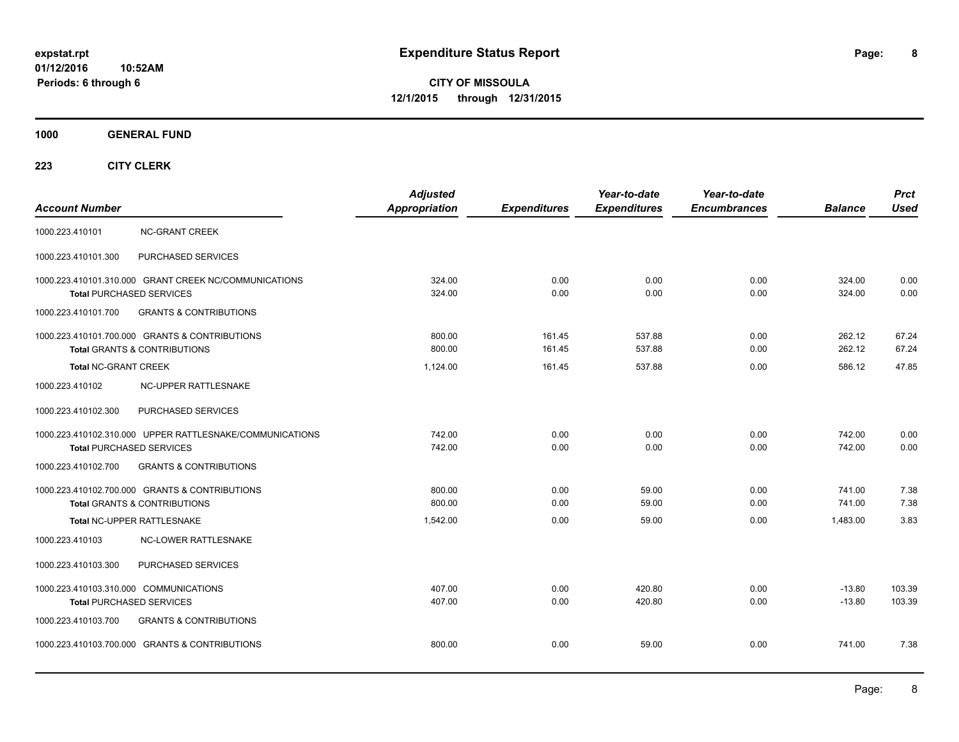**CITY OF MISSOULA 12/1/2015 through 12/31/2015**

**1000 GENERAL FUND**

| <b>Account Number</b>                  |                                                                                             | <b>Adjusted</b><br>Appropriation | <b>Expenditures</b> | Year-to-date<br><b>Expenditures</b> | Year-to-date<br><b>Encumbrances</b> | <b>Balance</b>       | <b>Prct</b><br><b>Used</b> |
|----------------------------------------|---------------------------------------------------------------------------------------------|----------------------------------|---------------------|-------------------------------------|-------------------------------------|----------------------|----------------------------|
| 1000.223.410101                        | <b>NC-GRANT CREEK</b>                                                                       |                                  |                     |                                     |                                     |                      |                            |
| 1000.223.410101.300                    | PURCHASED SERVICES                                                                          |                                  |                     |                                     |                                     |                      |                            |
|                                        | 1000.223.410101.310.000 GRANT CREEK NC/COMMUNICATIONS<br>Total PURCHASED SERVICES           | 324.00<br>324.00                 | 0.00<br>0.00        | 0.00<br>0.00                        | 0.00<br>0.00                        | 324.00<br>324.00     | 0.00<br>0.00               |
| 1000.223.410101.700                    | <b>GRANTS &amp; CONTRIBUTIONS</b>                                                           |                                  |                     |                                     |                                     |                      |                            |
|                                        | 1000.223.410101.700.000 GRANTS & CONTRIBUTIONS<br><b>Total GRANTS &amp; CONTRIBUTIONS</b>   | 800.00<br>800.00                 | 161.45<br>161.45    | 537.88<br>537.88                    | 0.00<br>0.00                        | 262.12<br>262.12     | 67.24<br>67.24             |
| <b>Total NC-GRANT CREEK</b>            |                                                                                             | 1.124.00                         | 161.45              | 537.88                              | 0.00                                | 586.12               | 47.85                      |
| 1000.223.410102                        | NC-UPPER RATTLESNAKE                                                                        |                                  |                     |                                     |                                     |                      |                            |
| 1000.223.410102.300                    | PURCHASED SERVICES                                                                          |                                  |                     |                                     |                                     |                      |                            |
|                                        | 1000.223.410102.310.000 UPPER RATTLESNAKE/COMMUNICATIONS<br><b>Total PURCHASED SERVICES</b> | 742.00<br>742.00                 | 0.00<br>0.00        | 0.00<br>0.00                        | 0.00<br>0.00                        | 742.00<br>742.00     | 0.00<br>0.00               |
| 1000.223.410102.700                    | <b>GRANTS &amp; CONTRIBUTIONS</b>                                                           |                                  |                     |                                     |                                     |                      |                            |
|                                        | 1000.223.410102.700.000 GRANTS & CONTRIBUTIONS<br><b>Total GRANTS &amp; CONTRIBUTIONS</b>   | 800.00<br>800.00                 | 0.00<br>0.00        | 59.00<br>59.00                      | 0.00<br>0.00                        | 741.00<br>741.00     | 7.38<br>7.38               |
|                                        | Total NC-UPPER RATTLESNAKE                                                                  | 1,542.00                         | 0.00                | 59.00                               | 0.00                                | 1,483.00             | 3.83                       |
| 1000.223.410103                        | <b>NC-LOWER RATTLESNAKE</b>                                                                 |                                  |                     |                                     |                                     |                      |                            |
| 1000.223.410103.300                    | PURCHASED SERVICES                                                                          |                                  |                     |                                     |                                     |                      |                            |
| 1000.223.410103.310.000 COMMUNICATIONS | Total PURCHASED SERVICES                                                                    | 407.00<br>407.00                 | 0.00<br>0.00        | 420.80<br>420.80                    | 0.00<br>0.00                        | $-13.80$<br>$-13.80$ | 103.39<br>103.39           |
| 1000.223.410103.700                    | <b>GRANTS &amp; CONTRIBUTIONS</b>                                                           |                                  |                     |                                     |                                     |                      |                            |
|                                        | 1000.223.410103.700.000 GRANTS & CONTRIBUTIONS                                              | 800.00                           | 0.00                | 59.00                               | 0.00                                | 741.00               | 7.38                       |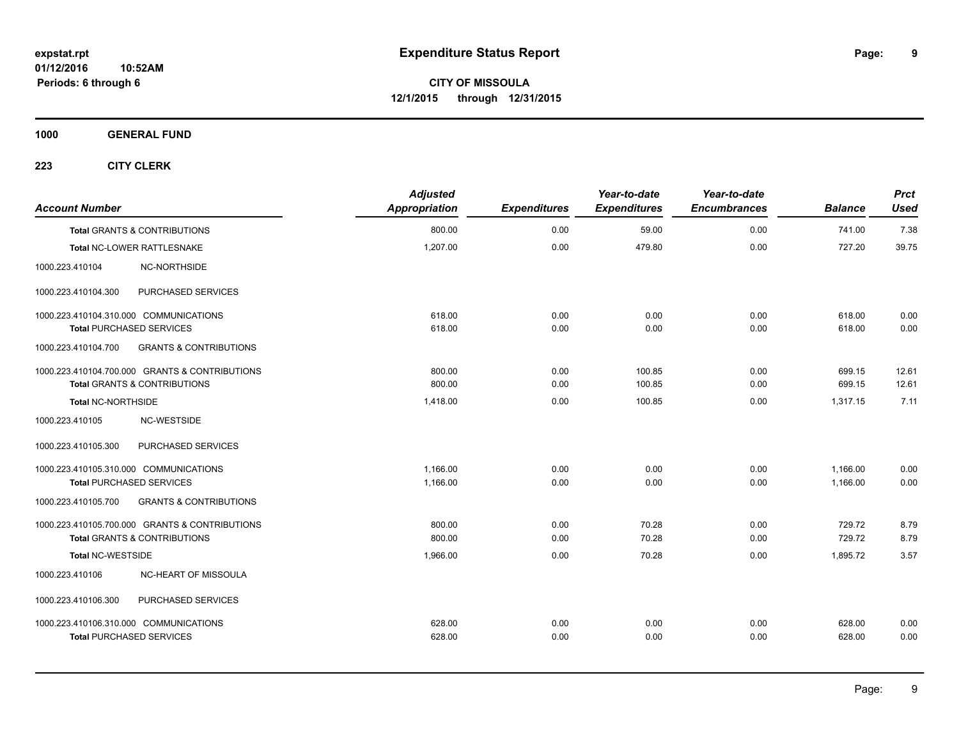**1000 GENERAL FUND**

| <b>Account Number</b>                   |                                                | <b>Adjusted</b><br>Appropriation | <b>Expenditures</b> | Year-to-date<br><b>Expenditures</b> | Year-to-date<br><b>Encumbrances</b> | <b>Balance</b> | <b>Prct</b><br><b>Used</b> |
|-----------------------------------------|------------------------------------------------|----------------------------------|---------------------|-------------------------------------|-------------------------------------|----------------|----------------------------|
| <b>Total GRANTS &amp; CONTRIBUTIONS</b> |                                                | 800.00                           | 0.00                | 59.00                               | 0.00                                | 741.00         | 7.38                       |
| Total NC-LOWER RATTLESNAKE              |                                                | 1,207.00                         | 0.00                | 479.80                              | 0.00                                | 727.20         | 39.75                      |
| 1000.223.410104                         | NC-NORTHSIDE                                   |                                  |                     |                                     |                                     |                |                            |
| 1000.223.410104.300                     | PURCHASED SERVICES                             |                                  |                     |                                     |                                     |                |                            |
| 1000.223.410104.310.000 COMMUNICATIONS  |                                                | 618.00                           | 0.00                | 0.00                                | 0.00                                | 618.00         | 0.00                       |
| <b>Total PURCHASED SERVICES</b>         |                                                | 618.00                           | 0.00                | 0.00                                | 0.00                                | 618.00         | 0.00                       |
| 1000.223.410104.700                     | <b>GRANTS &amp; CONTRIBUTIONS</b>              |                                  |                     |                                     |                                     |                |                            |
|                                         | 1000.223.410104.700.000 GRANTS & CONTRIBUTIONS | 800.00                           | 0.00                | 100.85                              | 0.00                                | 699.15         | 12.61                      |
| <b>Total GRANTS &amp; CONTRIBUTIONS</b> |                                                | 800.00                           | 0.00                | 100.85                              | 0.00                                | 699.15         | 12.61                      |
| <b>Total NC-NORTHSIDE</b>               |                                                | 1,418.00                         | 0.00                | 100.85                              | 0.00                                | 1,317.15       | 7.11                       |
| 1000.223.410105                         | NC-WESTSIDE                                    |                                  |                     |                                     |                                     |                |                            |
| 1000.223.410105.300                     | PURCHASED SERVICES                             |                                  |                     |                                     |                                     |                |                            |
| 1000.223.410105.310.000 COMMUNICATIONS  |                                                | 1,166.00                         | 0.00                | 0.00                                | 0.00                                | 1,166.00       | 0.00                       |
| <b>Total PURCHASED SERVICES</b>         |                                                | 1,166.00                         | 0.00                | 0.00                                | 0.00                                | 1,166.00       | 0.00                       |
| 1000.223.410105.700                     | <b>GRANTS &amp; CONTRIBUTIONS</b>              |                                  |                     |                                     |                                     |                |                            |
|                                         | 1000.223.410105.700.000 GRANTS & CONTRIBUTIONS | 800.00                           | 0.00                | 70.28                               | 0.00                                | 729.72         | 8.79                       |
| Total GRANTS & CONTRIBUTIONS            |                                                | 800.00                           | 0.00                | 70.28                               | 0.00                                | 729.72         | 8.79                       |
| <b>Total NC-WESTSIDE</b>                |                                                | 1,966.00                         | 0.00                | 70.28                               | 0.00                                | 1,895.72       | 3.57                       |
| 1000.223.410106                         | NC-HEART OF MISSOULA                           |                                  |                     |                                     |                                     |                |                            |
| 1000.223.410106.300                     | PURCHASED SERVICES                             |                                  |                     |                                     |                                     |                |                            |
| 1000.223.410106.310.000 COMMUNICATIONS  |                                                | 628.00                           | 0.00                | 0.00                                | 0.00                                | 628.00         | 0.00                       |
| <b>Total PURCHASED SERVICES</b>         |                                                | 628.00                           | 0.00                | 0.00                                | 0.00                                | 628.00         | 0.00                       |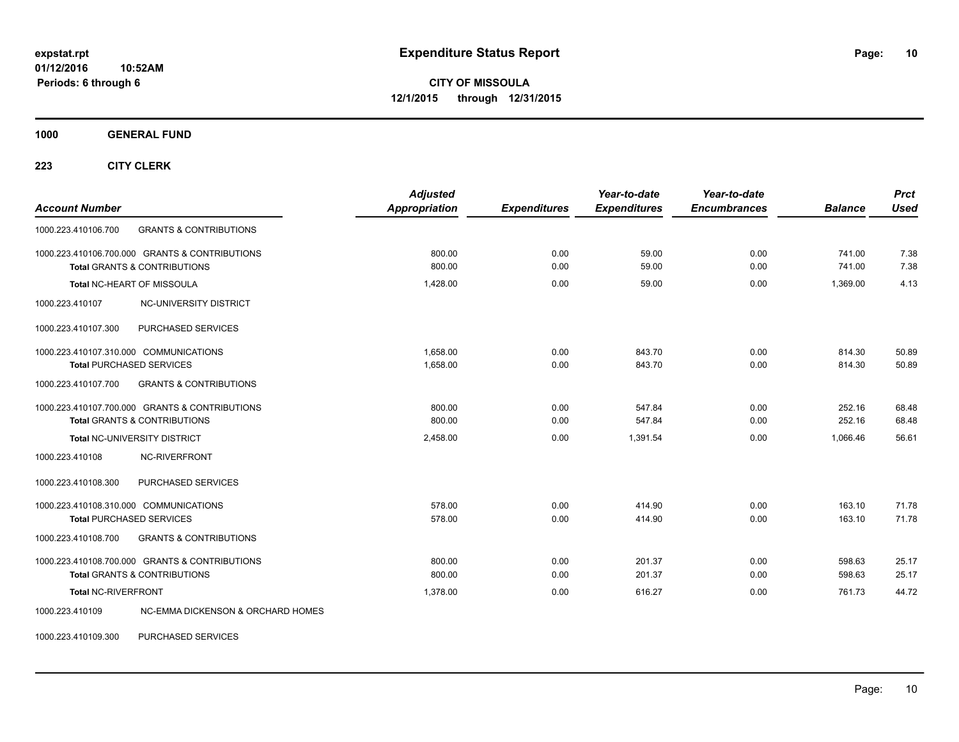**1000 GENERAL FUND**

**223 CITY CLERK**

| <b>Account Number</b>                                                                     | <b>Adjusted</b><br>Appropriation | <b>Expenditures</b> | Year-to-date<br><b>Expenditures</b> | Year-to-date<br><b>Encumbrances</b> | <b>Balance</b>   | <b>Prct</b><br><b>Used</b> |
|-------------------------------------------------------------------------------------------|----------------------------------|---------------------|-------------------------------------|-------------------------------------|------------------|----------------------------|
| <b>GRANTS &amp; CONTRIBUTIONS</b><br>1000.223.410106.700                                  |                                  |                     |                                     |                                     |                  |                            |
| 1000.223.410106.700.000 GRANTS & CONTRIBUTIONS<br><b>Total GRANTS &amp; CONTRIBUTIONS</b> | 800.00<br>800.00                 | 0.00<br>0.00        | 59.00<br>59.00                      | 0.00<br>0.00                        | 741.00<br>741.00 | 7.38<br>7.38               |
| Total NC-HEART OF MISSOULA                                                                | 1,428.00                         | 0.00                | 59.00                               | 0.00                                | 1,369.00         | 4.13                       |
| NC-UNIVERSITY DISTRICT<br>1000.223.410107                                                 |                                  |                     |                                     |                                     |                  |                            |
| PURCHASED SERVICES<br>1000.223.410107.300                                                 |                                  |                     |                                     |                                     |                  |                            |
| 1000.223.410107.310.000 COMMUNICATIONS<br><b>Total PURCHASED SERVICES</b>                 | 1.658.00<br>1,658.00             | 0.00<br>0.00        | 843.70<br>843.70                    | 0.00<br>0.00                        | 814.30<br>814.30 | 50.89<br>50.89             |
| <b>GRANTS &amp; CONTRIBUTIONS</b><br>1000.223.410107.700                                  |                                  |                     |                                     |                                     |                  |                            |
| 1000.223.410107.700.000 GRANTS & CONTRIBUTIONS<br><b>Total GRANTS &amp; CONTRIBUTIONS</b> | 800.00<br>800.00                 | 0.00<br>0.00        | 547.84<br>547.84                    | 0.00<br>0.00                        | 252.16<br>252.16 | 68.48<br>68.48             |
| Total NC-UNIVERSITY DISTRICT                                                              | 2,458.00                         | 0.00                | 1,391.54                            | 0.00                                | 1,066.46         | 56.61                      |
| NC-RIVERFRONT<br>1000.223.410108                                                          |                                  |                     |                                     |                                     |                  |                            |
| 1000.223.410108.300<br>PURCHASED SERVICES                                                 |                                  |                     |                                     |                                     |                  |                            |
| 1000.223.410108.310.000 COMMUNICATIONS<br><b>Total PURCHASED SERVICES</b>                 | 578.00<br>578.00                 | 0.00<br>0.00        | 414.90<br>414.90                    | 0.00<br>0.00                        | 163.10<br>163.10 | 71.78<br>71.78             |
| <b>GRANTS &amp; CONTRIBUTIONS</b><br>1000.223.410108.700                                  |                                  |                     |                                     |                                     |                  |                            |
| 1000.223.410108.700.000 GRANTS & CONTRIBUTIONS<br><b>Total GRANTS &amp; CONTRIBUTIONS</b> | 800.00<br>800.00                 | 0.00<br>0.00        | 201.37<br>201.37                    | 0.00<br>0.00                        | 598.63<br>598.63 | 25.17<br>25.17             |
| Total NC-RIVERFRONT                                                                       | 1,378.00                         | 0.00                | 616.27                              | 0.00                                | 761.73           | 44.72                      |
| 1000.223.410109<br>NC-EMMA DICKENSON & ORCHARD HOMES                                      |                                  |                     |                                     |                                     |                  |                            |

1000.223.410109.300 PURCHASED SERVICES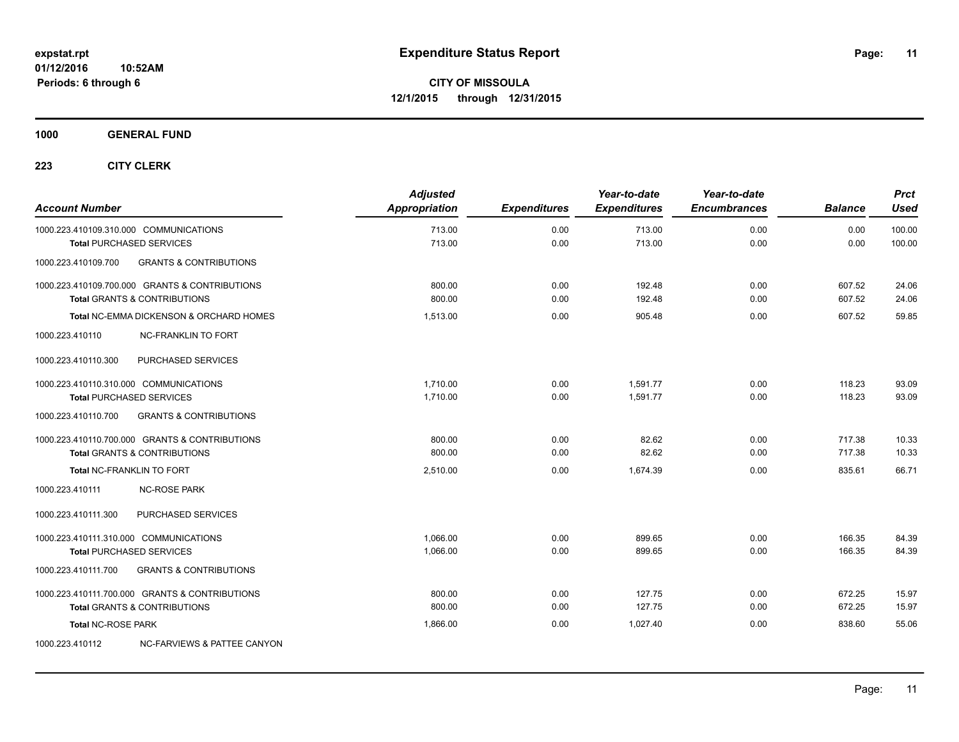**1000 GENERAL FUND**

| <b>Account Number</b>     |                                                                           | <b>Adjusted</b><br>Appropriation | <b>Expenditures</b> | Year-to-date<br><b>Expenditures</b> | Year-to-date<br><b>Encumbrances</b> | <b>Balance</b> | <b>Prct</b><br><b>Used</b> |
|---------------------------|---------------------------------------------------------------------------|----------------------------------|---------------------|-------------------------------------|-------------------------------------|----------------|----------------------------|
|                           | 1000.223.410109.310.000 COMMUNICATIONS<br><b>Total PURCHASED SERVICES</b> | 713.00<br>713.00                 | 0.00<br>0.00        | 713.00<br>713.00                    | 0.00<br>0.00                        | 0.00<br>0.00   | 100.00<br>100.00           |
| 1000.223.410109.700       | <b>GRANTS &amp; CONTRIBUTIONS</b>                                         |                                  |                     |                                     |                                     |                |                            |
|                           | 1000.223.410109.700.000 GRANTS & CONTRIBUTIONS                            | 800.00                           | 0.00                | 192.48                              | 0.00                                | 607.52         | 24.06                      |
|                           | Total GRANTS & CONTRIBUTIONS                                              | 800.00                           | 0.00                | 192.48                              | 0.00                                | 607.52         | 24.06                      |
|                           | <b>Total NC-EMMA DICKENSON &amp; ORCHARD HOMES</b>                        | 1,513.00                         | 0.00                | 905.48                              | 0.00                                | 607.52         | 59.85                      |
| 1000.223.410110           | <b>NC-FRANKLIN TO FORT</b>                                                |                                  |                     |                                     |                                     |                |                            |
| 1000.223.410110.300       | PURCHASED SERVICES                                                        |                                  |                     |                                     |                                     |                |                            |
|                           | 1000.223.410110.310.000 COMMUNICATIONS                                    | 1,710.00                         | 0.00                | 1,591.77                            | 0.00                                | 118.23         | 93.09                      |
|                           | <b>Total PURCHASED SERVICES</b>                                           | 1.710.00                         | 0.00                | 1,591.77                            | 0.00                                | 118.23         | 93.09                      |
| 1000.223.410110.700       | <b>GRANTS &amp; CONTRIBUTIONS</b>                                         |                                  |                     |                                     |                                     |                |                            |
|                           | 1000.223.410110.700.000 GRANTS & CONTRIBUTIONS                            | 800.00                           | 0.00                | 82.62                               | 0.00                                | 717.38         | 10.33                      |
|                           | <b>Total GRANTS &amp; CONTRIBUTIONS</b>                                   | 800.00                           | 0.00                | 82.62                               | 0.00                                | 717.38         | 10.33                      |
|                           | Total NC-FRANKLIN TO FORT                                                 | 2,510.00                         | 0.00                | 1,674.39                            | 0.00                                | 835.61         | 66.71                      |
| 1000.223.410111           | <b>NC-ROSE PARK</b>                                                       |                                  |                     |                                     |                                     |                |                            |
| 1000.223.410111.300       | PURCHASED SERVICES                                                        |                                  |                     |                                     |                                     |                |                            |
|                           | 1000.223.410111.310.000 COMMUNICATIONS                                    | 1.066.00                         | 0.00                | 899.65                              | 0.00                                | 166.35         | 84.39                      |
|                           | <b>Total PURCHASED SERVICES</b>                                           | 1,066.00                         | 0.00                | 899.65                              | 0.00                                | 166.35         | 84.39                      |
| 1000.223.410111.700       | <b>GRANTS &amp; CONTRIBUTIONS</b>                                         |                                  |                     |                                     |                                     |                |                            |
|                           | 1000.223.410111.700.000 GRANTS & CONTRIBUTIONS                            | 800.00                           | 0.00                | 127.75                              | 0.00                                | 672.25         | 15.97                      |
|                           | <b>Total GRANTS &amp; CONTRIBUTIONS</b>                                   | 800.00                           | 0.00                | 127.75                              | 0.00                                | 672.25         | 15.97                      |
| <b>Total NC-ROSE PARK</b> |                                                                           | 1,866.00                         | 0.00                | 1,027.40                            | 0.00                                | 838.60         | 55.06                      |
| 1000.223.410112           | NC-FARVIEWS & PATTEE CANYON                                               |                                  |                     |                                     |                                     |                |                            |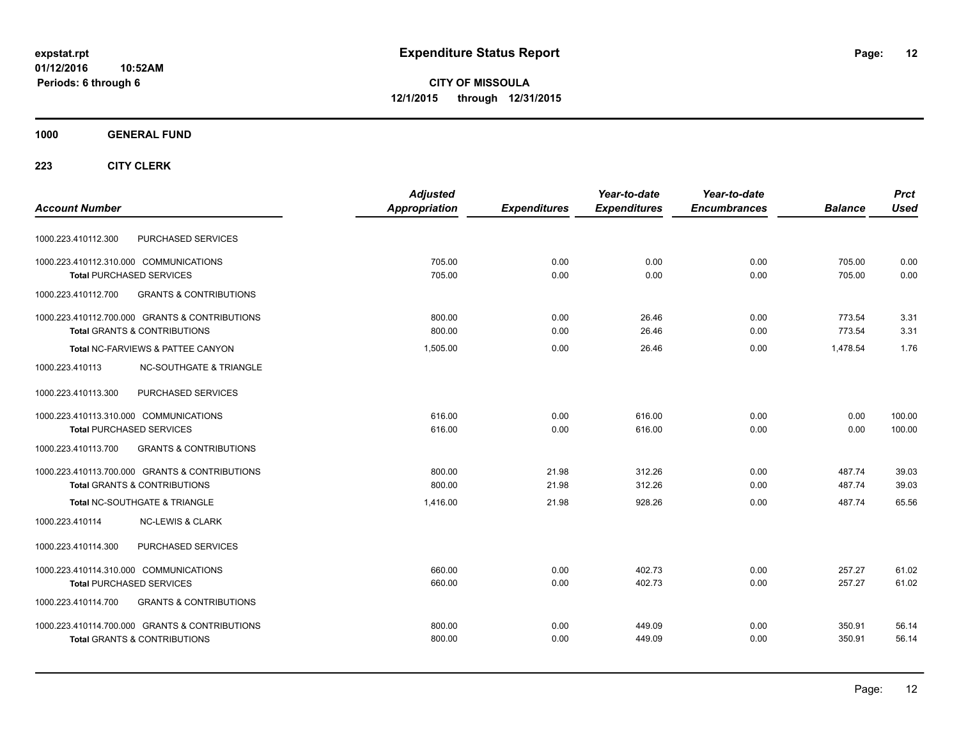**CITY OF MISSOULA 12/1/2015 through 12/31/2015**

### **1000 GENERAL FUND**

|                                                          | <b>Adjusted</b> |                     | Year-to-date        | Year-to-date        |                | <b>Prct</b> |
|----------------------------------------------------------|-----------------|---------------------|---------------------|---------------------|----------------|-------------|
| <b>Account Number</b>                                    | Appropriation   | <b>Expenditures</b> | <b>Expenditures</b> | <b>Encumbrances</b> | <b>Balance</b> | <b>Used</b> |
| PURCHASED SERVICES<br>1000.223.410112.300                |                 |                     |                     |                     |                |             |
| 1000.223.410112.310.000 COMMUNICATIONS                   | 705.00          | 0.00                | 0.00                | 0.00                | 705.00         | 0.00        |
| <b>Total PURCHASED SERVICES</b>                          | 705.00          | 0.00                | 0.00                | 0.00                | 705.00         | 0.00        |
| 1000.223.410112.700<br><b>GRANTS &amp; CONTRIBUTIONS</b> |                 |                     |                     |                     |                |             |
| 1000.223.410112.700.000 GRANTS & CONTRIBUTIONS           | 800.00          | 0.00                | 26.46               | 0.00                | 773.54         | 3.31        |
| <b>Total GRANTS &amp; CONTRIBUTIONS</b>                  | 800.00          | 0.00                | 26.46               | 0.00                | 773.54         | 3.31        |
| Total NC-FARVIEWS & PATTEE CANYON                        | 1,505.00        | 0.00                | 26.46               | 0.00                | 1.478.54       | 1.76        |
| <b>NC-SOUTHGATE &amp; TRIANGLE</b><br>1000.223.410113    |                 |                     |                     |                     |                |             |
| 1000.223.410113.300<br>PURCHASED SERVICES                |                 |                     |                     |                     |                |             |
| 1000.223.410113.310.000 COMMUNICATIONS                   | 616.00          | 0.00                | 616.00              | 0.00                | 0.00           | 100.00      |
| <b>Total PURCHASED SERVICES</b>                          | 616.00          | 0.00                | 616.00              | 0.00                | 0.00           | 100.00      |
| 1000.223.410113.700<br><b>GRANTS &amp; CONTRIBUTIONS</b> |                 |                     |                     |                     |                |             |
| 1000.223.410113.700.000 GRANTS & CONTRIBUTIONS           | 800.00          | 21.98               | 312.26              | 0.00                | 487.74         | 39.03       |
| <b>Total GRANTS &amp; CONTRIBUTIONS</b>                  | 800.00          | 21.98               | 312.26              | 0.00                | 487.74         | 39.03       |
| Total NC-SOUTHGATE & TRIANGLE                            | 1.416.00        | 21.98               | 928.26              | 0.00                | 487.74         | 65.56       |
| 1000.223.410114<br><b>NC-LEWIS &amp; CLARK</b>           |                 |                     |                     |                     |                |             |
| PURCHASED SERVICES<br>1000.223.410114.300                |                 |                     |                     |                     |                |             |
| 1000.223.410114.310.000 COMMUNICATIONS                   | 660.00          | 0.00                | 402.73              | 0.00                | 257.27         | 61.02       |
| <b>Total PURCHASED SERVICES</b>                          | 660.00          | 0.00                | 402.73              | 0.00                | 257.27         | 61.02       |
| <b>GRANTS &amp; CONTRIBUTIONS</b><br>1000.223.410114.700 |                 |                     |                     |                     |                |             |
| 1000.223.410114.700.000 GRANTS & CONTRIBUTIONS           | 800.00          | 0.00                | 449.09              | 0.00                | 350.91         | 56.14       |
| <b>Total GRANTS &amp; CONTRIBUTIONS</b>                  | 800.00          | 0.00                | 449.09              | 0.00                | 350.91         | 56.14       |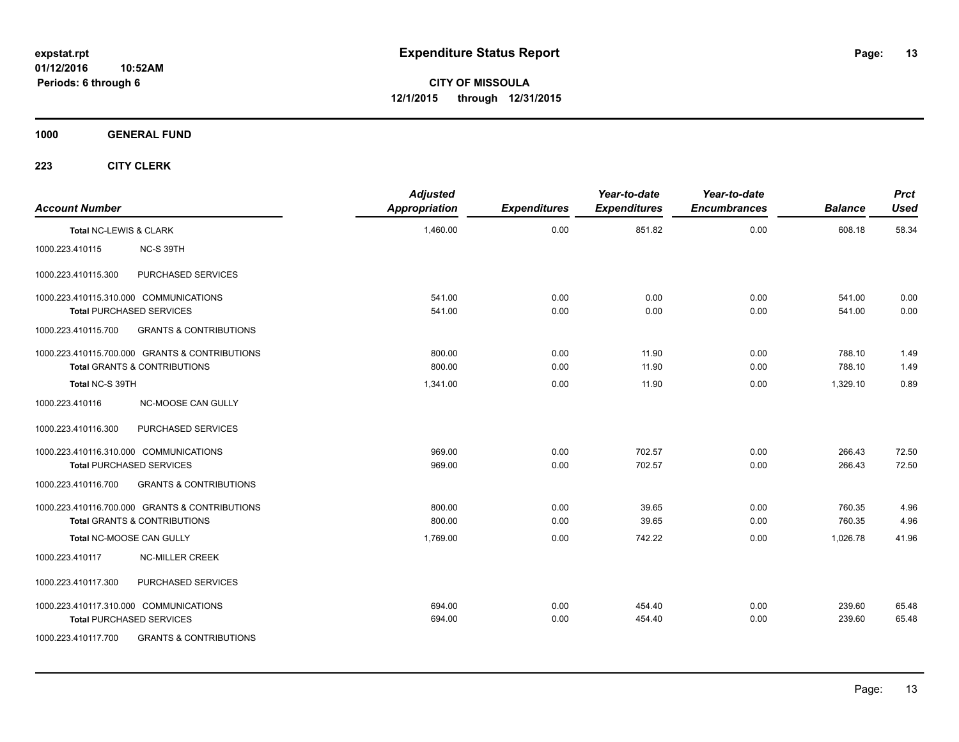**1000 GENERAL FUND**

| <b>Account Number</b>  |                                                | <b>Adjusted</b><br><b>Appropriation</b> | <b>Expenditures</b> | Year-to-date<br><b>Expenditures</b> | Year-to-date<br><b>Encumbrances</b> | <b>Balance</b> | <b>Prct</b><br><b>Used</b> |
|------------------------|------------------------------------------------|-----------------------------------------|---------------------|-------------------------------------|-------------------------------------|----------------|----------------------------|
| Total NC-LEWIS & CLARK |                                                | 1,460.00                                | 0.00                | 851.82                              | 0.00                                | 608.18         | 58.34                      |
| 1000.223.410115        | NC-S 39TH                                      |                                         |                     |                                     |                                     |                |                            |
| 1000.223.410115.300    | PURCHASED SERVICES                             |                                         |                     |                                     |                                     |                |                            |
|                        | 1000.223.410115.310.000 COMMUNICATIONS         | 541.00                                  | 0.00                | 0.00                                | 0.00                                | 541.00         | 0.00                       |
|                        | <b>Total PURCHASED SERVICES</b>                | 541.00                                  | 0.00                | 0.00                                | 0.00                                | 541.00         | 0.00                       |
| 1000.223.410115.700    | <b>GRANTS &amp; CONTRIBUTIONS</b>              |                                         |                     |                                     |                                     |                |                            |
|                        | 1000.223.410115.700.000 GRANTS & CONTRIBUTIONS | 800.00                                  | 0.00                | 11.90                               | 0.00                                | 788.10         | 1.49                       |
|                        | <b>Total GRANTS &amp; CONTRIBUTIONS</b>        | 800.00                                  | 0.00                | 11.90                               | 0.00                                | 788.10         | 1.49                       |
| Total NC-S 39TH        |                                                | 1,341.00                                | 0.00                | 11.90                               | 0.00                                | 1.329.10       | 0.89                       |
| 1000.223.410116        | NC-MOOSE CAN GULLY                             |                                         |                     |                                     |                                     |                |                            |
| 1000.223.410116.300    | PURCHASED SERVICES                             |                                         |                     |                                     |                                     |                |                            |
|                        | 1000.223.410116.310.000 COMMUNICATIONS         | 969.00                                  | 0.00                | 702.57                              | 0.00                                | 266.43         | 72.50                      |
|                        | <b>Total PURCHASED SERVICES</b>                | 969.00                                  | 0.00                | 702.57                              | 0.00                                | 266.43         | 72.50                      |
| 1000.223.410116.700    | <b>GRANTS &amp; CONTRIBUTIONS</b>              |                                         |                     |                                     |                                     |                |                            |
|                        | 1000.223.410116.700.000 GRANTS & CONTRIBUTIONS | 800.00                                  | 0.00                | 39.65                               | 0.00                                | 760.35         | 4.96                       |
|                        | <b>Total GRANTS &amp; CONTRIBUTIONS</b>        | 800.00                                  | 0.00                | 39.65                               | 0.00                                | 760.35         | 4.96                       |
|                        | Total NC-MOOSE CAN GULLY                       | 1,769.00                                | 0.00                | 742.22                              | 0.00                                | 1,026.78       | 41.96                      |
| 1000.223.410117        | <b>NC-MILLER CREEK</b>                         |                                         |                     |                                     |                                     |                |                            |
| 1000.223.410117.300    | PURCHASED SERVICES                             |                                         |                     |                                     |                                     |                |                            |
|                        | 1000.223.410117.310.000 COMMUNICATIONS         | 694.00                                  | 0.00                | 454.40                              | 0.00                                | 239.60         | 65.48                      |
|                        | <b>Total PURCHASED SERVICES</b>                | 694.00                                  | 0.00                | 454.40                              | 0.00                                | 239.60         | 65.48                      |
| 1000.223.410117.700    | <b>GRANTS &amp; CONTRIBUTIONS</b>              |                                         |                     |                                     |                                     |                |                            |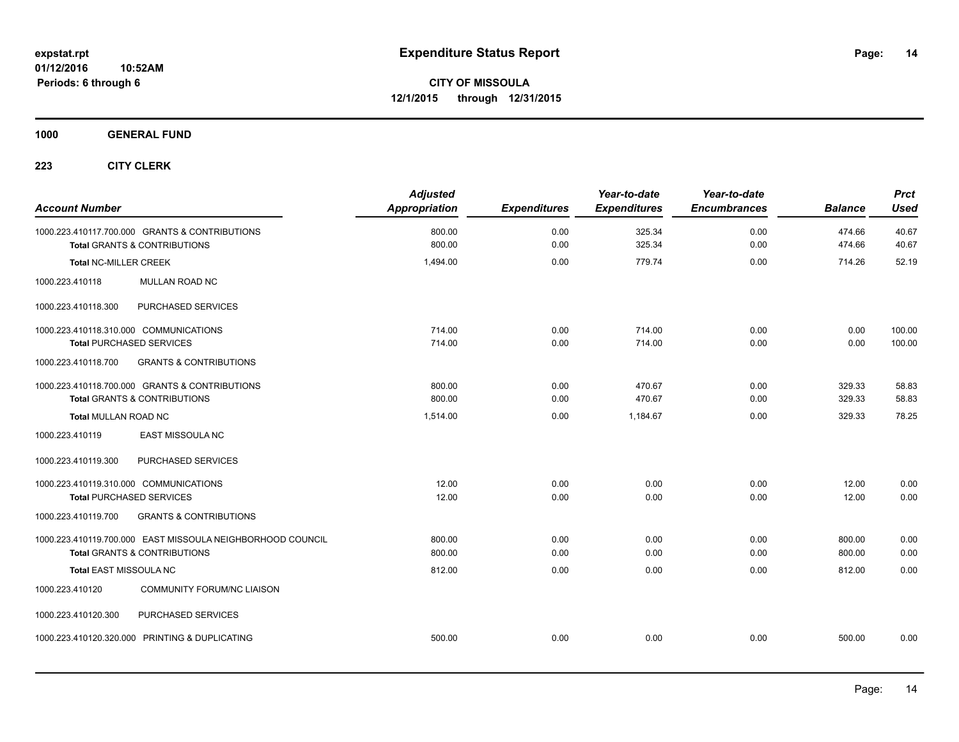**1000 GENERAL FUND**

| <b>Account Number</b>                                                                                 | <b>Adjusted</b><br><b>Appropriation</b> | <b>Expenditures</b> | Year-to-date<br><b>Expenditures</b> | Year-to-date<br><b>Encumbrances</b> | <b>Balance</b>   | <b>Prct</b><br><b>Used</b> |
|-------------------------------------------------------------------------------------------------------|-----------------------------------------|---------------------|-------------------------------------|-------------------------------------|------------------|----------------------------|
| 1000.223.410117.700.000 GRANTS & CONTRIBUTIONS<br><b>Total GRANTS &amp; CONTRIBUTIONS</b>             | 800.00<br>800.00                        | 0.00<br>0.00        | 325.34<br>325.34                    | 0.00<br>0.00                        | 474.66<br>474.66 | 40.67<br>40.67             |
| <b>Total NC-MILLER CREEK</b>                                                                          | 1,494.00                                | 0.00                | 779.74                              | 0.00                                | 714.26           | 52.19                      |
| 1000.223.410118<br><b>MULLAN ROAD NC</b>                                                              |                                         |                     |                                     |                                     |                  |                            |
| PURCHASED SERVICES<br>1000.223.410118.300                                                             |                                         |                     |                                     |                                     |                  |                            |
| 1000.223.410118.310.000 COMMUNICATIONS<br><b>Total PURCHASED SERVICES</b>                             | 714.00<br>714.00                        | 0.00<br>0.00        | 714.00<br>714.00                    | 0.00<br>0.00                        | 0.00<br>0.00     | 100.00<br>100.00           |
| <b>GRANTS &amp; CONTRIBUTIONS</b><br>1000.223.410118.700                                              |                                         |                     |                                     |                                     |                  |                            |
| 1000.223.410118.700.000 GRANTS & CONTRIBUTIONS<br><b>Total GRANTS &amp; CONTRIBUTIONS</b>             | 800.00<br>800.00                        | 0.00<br>0.00        | 470.67<br>470.67                    | 0.00<br>0.00                        | 329.33<br>329.33 | 58.83<br>58.83             |
| <b>Total MULLAN ROAD NC</b>                                                                           | 1,514.00                                | 0.00                | 1,184.67                            | 0.00                                | 329.33           | 78.25                      |
| EAST MISSOULA NC<br>1000.223.410119                                                                   |                                         |                     |                                     |                                     |                  |                            |
| PURCHASED SERVICES<br>1000.223.410119.300                                                             |                                         |                     |                                     |                                     |                  |                            |
| 1000.223.410119.310.000 COMMUNICATIONS<br><b>Total PURCHASED SERVICES</b>                             | 12.00<br>12.00                          | 0.00<br>0.00        | 0.00<br>0.00                        | 0.00<br>0.00                        | 12.00<br>12.00   | 0.00<br>0.00               |
| <b>GRANTS &amp; CONTRIBUTIONS</b><br>1000.223.410119.700                                              |                                         |                     |                                     |                                     |                  |                            |
| 1000.223.410119.700.000 EAST MISSOULA NEIGHBORHOOD COUNCIL<br><b>Total GRANTS &amp; CONTRIBUTIONS</b> | 800.00<br>800.00                        | 0.00<br>0.00        | 0.00<br>0.00                        | 0.00<br>0.00                        | 800.00<br>800.00 | 0.00<br>0.00               |
| Total EAST MISSOULA NC                                                                                | 812.00                                  | 0.00                | 0.00                                | 0.00                                | 812.00           | 0.00                       |
| 1000.223.410120<br><b>COMMUNITY FORUM/NC LIAISON</b>                                                  |                                         |                     |                                     |                                     |                  |                            |
| 1000.223.410120.300<br>PURCHASED SERVICES                                                             |                                         |                     |                                     |                                     |                  |                            |
| 1000.223.410120.320.000 PRINTING & DUPLICATING                                                        | 500.00                                  | 0.00                | 0.00                                | 0.00                                | 500.00           | 0.00                       |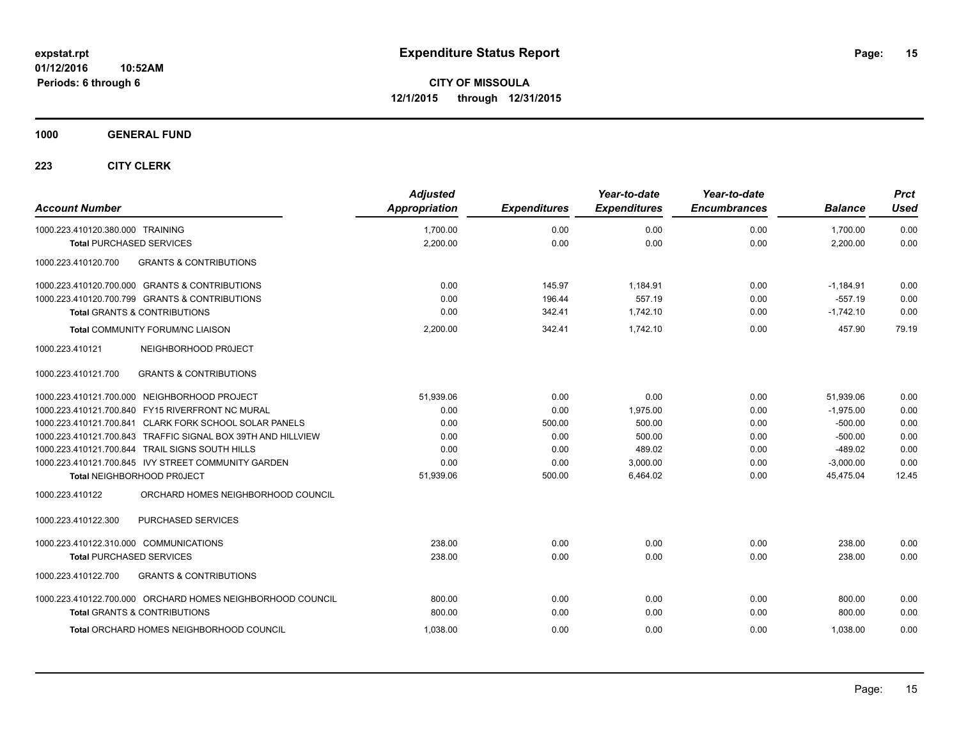### **1000 GENERAL FUND**

| <b>Account Number</b>                                        | <b>Adjusted</b><br>Appropriation | <b>Expenditures</b> | Year-to-date<br><b>Expenditures</b> | Year-to-date<br><b>Encumbrances</b> | <b>Balance</b> | <b>Prct</b><br><b>Used</b> |
|--------------------------------------------------------------|----------------------------------|---------------------|-------------------------------------|-------------------------------------|----------------|----------------------------|
| 1000.223.410120.380.000 TRAINING                             | 1,700.00                         | 0.00                | 0.00                                | 0.00                                | 1,700.00       | 0.00                       |
| <b>Total PURCHASED SERVICES</b>                              | 2,200.00                         | 0.00                | 0.00                                | 0.00                                | 2,200.00       | 0.00                       |
| <b>GRANTS &amp; CONTRIBUTIONS</b><br>1000.223.410120.700     |                                  |                     |                                     |                                     |                |                            |
| 1000.223.410120.700.000 GRANTS & CONTRIBUTIONS               | 0.00                             | 145.97              | 1,184.91                            | 0.00                                | $-1,184.91$    | 0.00                       |
| 1000.223.410120.700.799 GRANTS & CONTRIBUTIONS               | 0.00                             | 196.44              | 557.19                              | 0.00                                | $-557.19$      | 0.00                       |
| <b>Total GRANTS &amp; CONTRIBUTIONS</b>                      | 0.00                             | 342.41              | 1,742.10                            | 0.00                                | $-1,742.10$    | 0.00                       |
| Total COMMUNITY FORUM/NC LIAISON                             | 2,200.00                         | 342.41              | 1,742.10                            | 0.00                                | 457.90         | 79.19                      |
| 1000.223.410121<br>NEIGHBORHOOD PROJECT                      |                                  |                     |                                     |                                     |                |                            |
| <b>GRANTS &amp; CONTRIBUTIONS</b><br>1000.223.410121.700     |                                  |                     |                                     |                                     |                |                            |
| 1000.223.410121.700.000 NEIGHBORHOOD PROJECT                 | 51,939.06                        | 0.00                | 0.00                                | 0.00                                | 51,939.06      | 0.00                       |
| 1000.223.410121.700.840 FY15 RIVERFRONT NC MURAL             | 0.00                             | 0.00                | 1,975.00                            | 0.00                                | $-1,975.00$    | 0.00                       |
| 1000.223.410121.700.841 CLARK FORK SCHOOL SOLAR PANELS       | 0.00                             | 500.00              | 500.00                              | 0.00                                | $-500.00$      | 0.00                       |
| 1000.223.410121.700.843 TRAFFIC SIGNAL BOX 39TH AND HILLVIEW | 0.00                             | 0.00                | 500.00                              | 0.00                                | $-500.00$      | 0.00                       |
| 1000.223.410121.700.844 TRAIL SIGNS SOUTH HILLS              | 0.00                             | 0.00                | 489.02                              | 0.00                                | $-489.02$      | 0.00                       |
| 1000.223.410121.700.845 IVY STREET COMMUNITY GARDEN          | 0.00                             | 0.00                | 3,000.00                            | 0.00                                | $-3,000.00$    | 0.00                       |
| Total NEIGHBORHOOD PROJECT                                   | 51,939.06                        | 500.00              | 6,464.02                            | 0.00                                | 45,475.04      | 12.45                      |
| 1000.223.410122<br>ORCHARD HOMES NEIGHBORHOOD COUNCIL        |                                  |                     |                                     |                                     |                |                            |
| PURCHASED SERVICES<br>1000.223.410122.300                    |                                  |                     |                                     |                                     |                |                            |
| 1000.223.410122.310.000 COMMUNICATIONS                       | 238.00                           | 0.00                | 0.00                                | 0.00                                | 238.00         | 0.00                       |
| <b>Total PURCHASED SERVICES</b>                              | 238.00                           | 0.00                | 0.00                                | 0.00                                | 238.00         | 0.00                       |
| 1000.223.410122.700<br><b>GRANTS &amp; CONTRIBUTIONS</b>     |                                  |                     |                                     |                                     |                |                            |
| 1000.223.410122.700.000 ORCHARD HOMES NEIGHBORHOOD COUNCIL   | 800.00                           | 0.00                | 0.00                                | 0.00                                | 800.00         | 0.00                       |
| <b>Total GRANTS &amp; CONTRIBUTIONS</b>                      | 800.00                           | 0.00                | 0.00                                | 0.00                                | 800.00         | 0.00                       |
| Total ORCHARD HOMES NEIGHBORHOOD COUNCIL                     | 1,038.00                         | 0.00                | 0.00                                | 0.00                                | 1,038.00       | 0.00                       |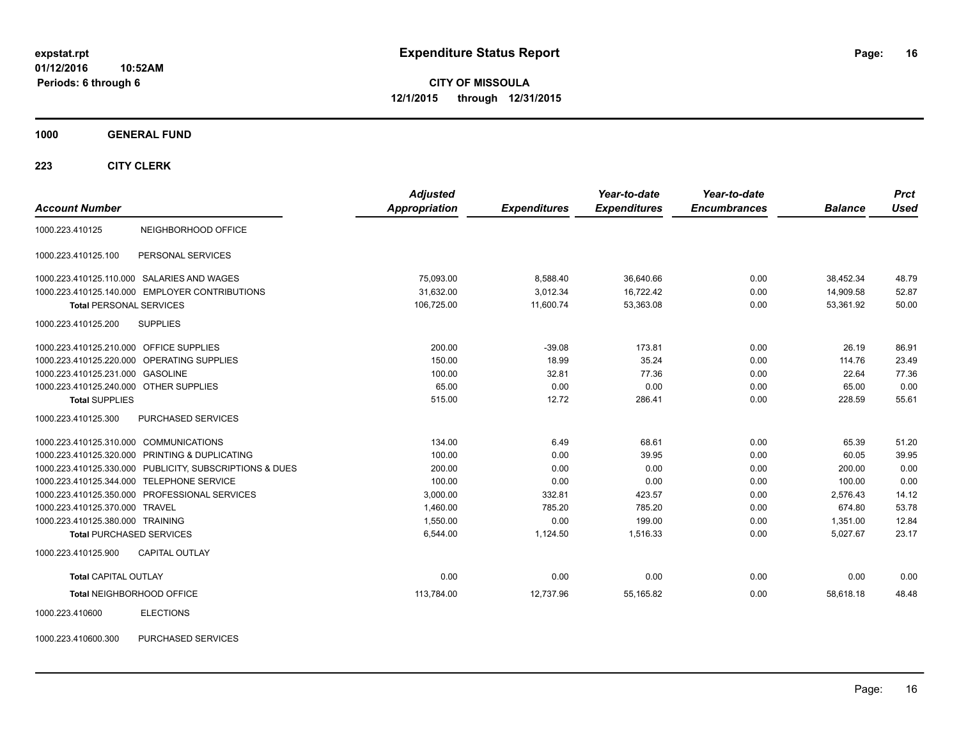**CITY OF MISSOULA 12/1/2015 through 12/31/2015**

**1000 GENERAL FUND**

**223 CITY CLERK**

| <b>Account Number</b>                   |                                                         | <b>Adjusted</b><br>Appropriation | <b>Expenditures</b> | Year-to-date<br><b>Expenditures</b> | Year-to-date<br><b>Encumbrances</b> | <b>Balance</b> | <b>Prct</b><br><b>Used</b> |
|-----------------------------------------|---------------------------------------------------------|----------------------------------|---------------------|-------------------------------------|-------------------------------------|----------------|----------------------------|
| 1000.223.410125                         | NEIGHBORHOOD OFFICE                                     |                                  |                     |                                     |                                     |                |                            |
| 1000.223.410125.100                     | PERSONAL SERVICES                                       |                                  |                     |                                     |                                     |                |                            |
|                                         | 1000.223.410125.110.000 SALARIES AND WAGES              | 75,093.00                        | 8,588.40            | 36,640.66                           | 0.00                                | 38,452.34      | 48.79                      |
|                                         | 1000.223.410125.140.000 EMPLOYER CONTRIBUTIONS          | 31,632.00                        | 3,012.34            | 16,722.42                           | 0.00                                | 14,909.58      | 52.87                      |
| <b>Total PERSONAL SERVICES</b>          |                                                         | 106,725.00                       | 11,600.74           | 53,363.08                           | 0.00                                | 53,361.92      | 50.00                      |
| 1000.223.410125.200                     | <b>SUPPLIES</b>                                         |                                  |                     |                                     |                                     |                |                            |
| 1000.223.410125.210.000 OFFICE SUPPLIES |                                                         | 200.00                           | $-39.08$            | 173.81                              | 0.00                                | 26.19          | 86.91                      |
|                                         | 1000.223.410125.220.000 OPERATING SUPPLIES              | 150.00                           | 18.99               | 35.24                               | 0.00                                | 114.76         | 23.49                      |
| 1000.223.410125.231.000 GASOLINE        |                                                         | 100.00                           | 32.81               | 77.36                               | 0.00                                | 22.64          | 77.36                      |
| 1000.223.410125.240.000 OTHER SUPPLIES  |                                                         | 65.00                            | 0.00                | 0.00                                | 0.00                                | 65.00          | 0.00                       |
| <b>Total SUPPLIES</b>                   |                                                         | 515.00                           | 12.72               | 286.41                              | 0.00                                | 228.59         | 55.61                      |
| 1000.223.410125.300                     | PURCHASED SERVICES                                      |                                  |                     |                                     |                                     |                |                            |
| 1000.223.410125.310.000 COMMUNICATIONS  |                                                         | 134.00                           | 6.49                | 68.61                               | 0.00                                | 65.39          | 51.20                      |
|                                         | 1000.223.410125.320.000 PRINTING & DUPLICATING          | 100.00                           | 0.00                | 39.95                               | 0.00                                | 60.05          | 39.95                      |
|                                         | 1000.223.410125.330.000 PUBLICITY, SUBSCRIPTIONS & DUES | 200.00                           | 0.00                | 0.00                                | 0.00                                | 200.00         | 0.00                       |
|                                         | 1000.223.410125.344.000 TELEPHONE SERVICE               | 100.00                           | 0.00                | 0.00                                | 0.00                                | 100.00         | 0.00                       |
|                                         | 1000.223.410125.350.000 PROFESSIONAL SERVICES           | 3,000.00                         | 332.81              | 423.57                              | 0.00                                | 2,576.43       | 14.12                      |
| 1000.223.410125.370.000 TRAVEL          |                                                         | 1.460.00                         | 785.20              | 785.20                              | 0.00                                | 674.80         | 53.78                      |
| 1000.223.410125.380.000 TRAINING        |                                                         | 1,550.00                         | 0.00                | 199.00                              | 0.00                                | 1,351.00       | 12.84                      |
| <b>Total PURCHASED SERVICES</b>         |                                                         | 6,544.00                         | 1,124.50            | 1,516.33                            | 0.00                                | 5,027.67       | 23.17                      |
| 1000.223.410125.900                     | <b>CAPITAL OUTLAY</b>                                   |                                  |                     |                                     |                                     |                |                            |
| <b>Total CAPITAL OUTLAY</b>             |                                                         | 0.00                             | 0.00                | 0.00                                | 0.00                                | 0.00           | 0.00                       |
|                                         | Total NEIGHBORHOOD OFFICE                               | 113,784.00                       | 12,737.96           | 55,165.82                           | 0.00                                | 58,618.18      | 48.48                      |
| 1000.223.410600                         | <b>ELECTIONS</b>                                        |                                  |                     |                                     |                                     |                |                            |

1000.223.410600.300 PURCHASED SERVICES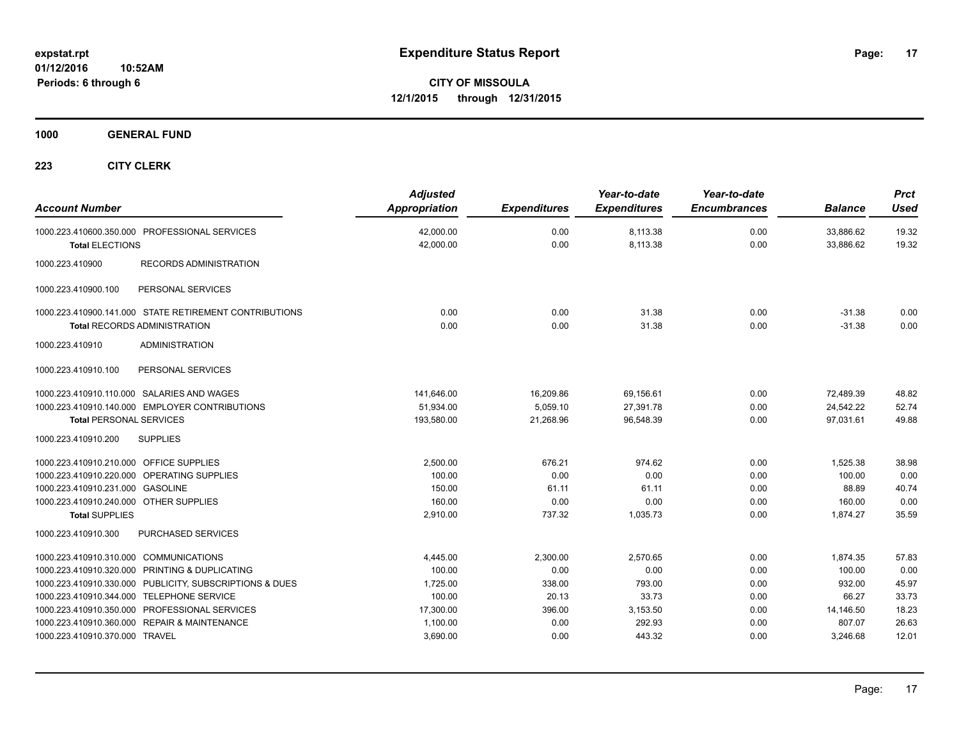**1000 GENERAL FUND**

| <b>Adjusted</b><br>Appropriation                                  | <b>Expenditures</b>                                   | Year-to-date<br><b>Expenditures</b>                       | Year-to-date<br><b>Encumbrances</b>          | <b>Balance</b>                                               | <b>Prct</b><br><b>Used</b>                                 |
|-------------------------------------------------------------------|-------------------------------------------------------|-----------------------------------------------------------|----------------------------------------------|--------------------------------------------------------------|------------------------------------------------------------|
| 42,000.00<br>42,000.00                                            | 0.00<br>0.00                                          | 8,113.38<br>8,113.38                                      | 0.00<br>0.00                                 | 33.886.62<br>33.886.62                                       | 19.32<br>19.32                                             |
|                                                                   |                                                       |                                                           |                                              |                                                              |                                                            |
|                                                                   |                                                       |                                                           |                                              |                                                              |                                                            |
| 0.00<br>0.00                                                      | 0.00<br>0.00                                          | 31.38<br>31.38                                            | 0.00<br>0.00                                 | $-31.38$<br>$-31.38$                                         | 0.00<br>0.00                                               |
|                                                                   |                                                       |                                                           |                                              |                                                              |                                                            |
|                                                                   |                                                       |                                                           |                                              |                                                              |                                                            |
| 141,646.00<br>51,934.00<br>193,580.00                             | 16,209.86<br>5,059.10<br>21,268.96                    | 69,156.61<br>27,391.78<br>96,548.39                       | 0.00<br>0.00<br>0.00                         | 72,489.39<br>24.542.22<br>97,031.61                          | 48.82<br>52.74<br>49.88                                    |
|                                                                   |                                                       |                                                           |                                              |                                                              |                                                            |
| 2.500.00<br>100.00<br>150.00<br>160.00<br>2,910.00                | 676.21<br>0.00<br>61.11<br>0.00<br>737.32             | 974.62<br>0.00<br>61.11<br>0.00<br>1,035.73               | 0.00<br>0.00<br>0.00<br>0.00<br>0.00         | 1.525.38<br>100.00<br>88.89<br>160.00<br>1,874.27            | 38.98<br>0.00<br>40.74<br>0.00<br>35.59                    |
|                                                                   |                                                       |                                                           |                                              |                                                              |                                                            |
| 4,445.00<br>100.00<br>1,725.00<br>100.00<br>17,300.00<br>1,100.00 | 2,300.00<br>0.00<br>338.00<br>20.13<br>396.00<br>0.00 | 2,570.65<br>0.00<br>793.00<br>33.73<br>3,153.50<br>292.93 | 0.00<br>0.00<br>0.00<br>0.00<br>0.00<br>0.00 | 1,874.35<br>100.00<br>932.00<br>66.27<br>14,146.50<br>807.07 | 57.83<br>0.00<br>45.97<br>33.73<br>18.23<br>26.63<br>12.01 |
|                                                                   | 3,690.00                                              | 0.00                                                      | 443.32                                       | 0.00                                                         | 3,246.68                                                   |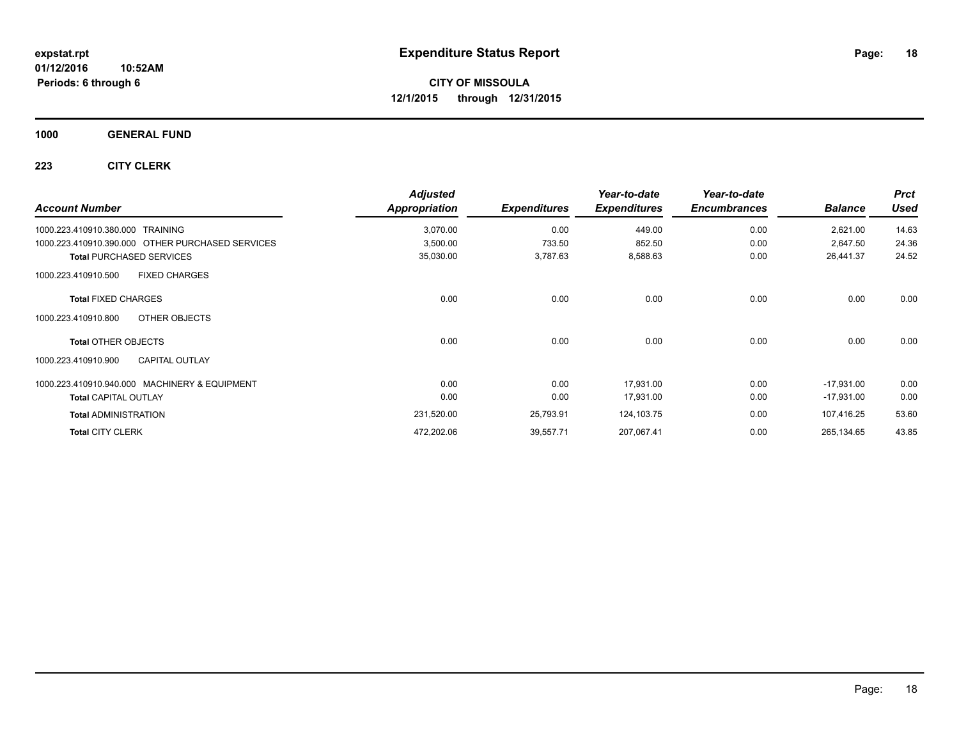**1000 GENERAL FUND**

| <b>Account Number</b>                            | <b>Adjusted</b><br><b>Appropriation</b> | <b>Expenditures</b> | Year-to-date<br><b>Expenditures</b> | Year-to-date<br><b>Encumbrances</b> | <b>Balance</b> | <b>Prct</b><br><b>Used</b> |
|--------------------------------------------------|-----------------------------------------|---------------------|-------------------------------------|-------------------------------------|----------------|----------------------------|
| 1000.223.410910.380.000 TRAINING                 | 3,070.00                                | 0.00                | 449.00                              | 0.00                                | 2,621.00       | 14.63                      |
| 1000.223.410910.390.000 OTHER PURCHASED SERVICES | 3,500.00                                | 733.50              | 852.50                              | 0.00                                | 2,647.50       | 24.36                      |
| <b>Total PURCHASED SERVICES</b>                  | 35,030.00                               | 3,787.63            | 8,588.63                            | 0.00                                | 26,441.37      | 24.52                      |
| <b>FIXED CHARGES</b><br>1000.223.410910.500      |                                         |                     |                                     |                                     |                |                            |
| <b>Total FIXED CHARGES</b>                       | 0.00                                    | 0.00                | 0.00                                | 0.00                                | 0.00           | 0.00                       |
| OTHER OBJECTS<br>1000.223.410910.800             |                                         |                     |                                     |                                     |                |                            |
| <b>Total OTHER OBJECTS</b>                       | 0.00                                    | 0.00                | 0.00                                | 0.00                                | 0.00           | 0.00                       |
| <b>CAPITAL OUTLAY</b><br>1000.223.410910.900     |                                         |                     |                                     |                                     |                |                            |
| 1000.223.410910.940.000 MACHINERY & EQUIPMENT    | 0.00                                    | 0.00                | 17,931.00                           | 0.00                                | $-17,931.00$   | 0.00                       |
| <b>Total CAPITAL OUTLAY</b>                      | 0.00                                    | 0.00                | 17,931.00                           | 0.00                                | $-17,931.00$   | 0.00                       |
| <b>Total ADMINISTRATION</b>                      | 231,520.00                              | 25,793.91           | 124,103.75                          | 0.00                                | 107,416.25     | 53.60                      |
| <b>Total CITY CLERK</b>                          | 472,202.06                              | 39,557.71           | 207,067.41                          | 0.00                                | 265,134.65     | 43.85                      |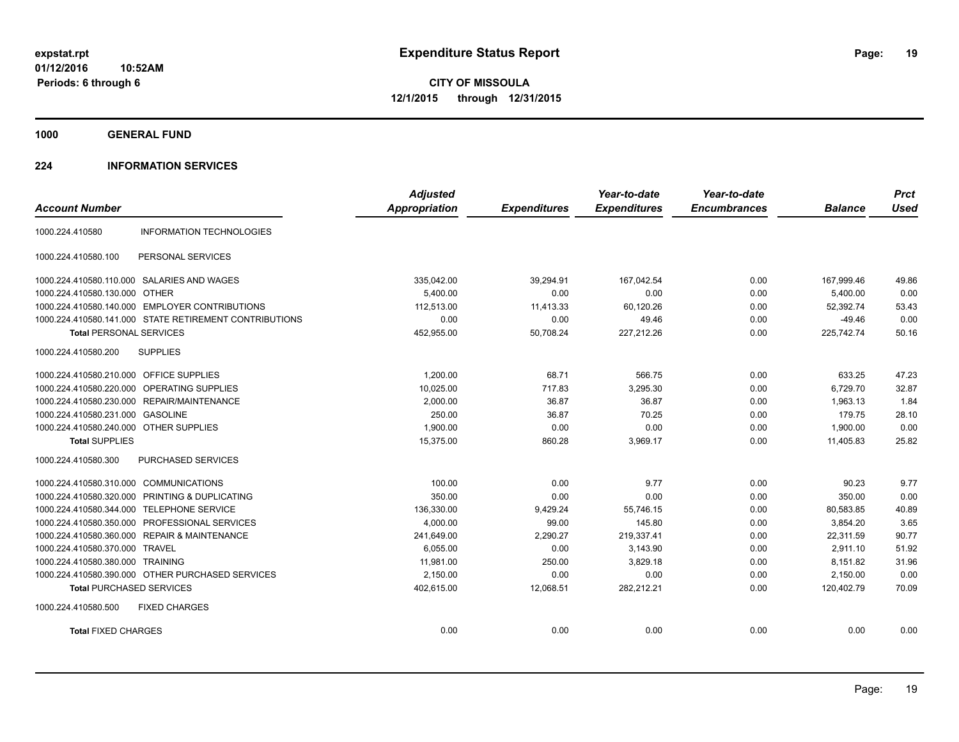**1000 GENERAL FUND**

### **224 INFORMATION SERVICES**

|                                                        |                                 | <b>Adjusted</b>      |                     | Year-to-date        | Year-to-date        |                | <b>Prct</b> |
|--------------------------------------------------------|---------------------------------|----------------------|---------------------|---------------------|---------------------|----------------|-------------|
| <b>Account Number</b>                                  |                                 | <b>Appropriation</b> | <b>Expenditures</b> | <b>Expenditures</b> | <b>Encumbrances</b> | <b>Balance</b> | <b>Used</b> |
| 1000.224.410580                                        | <b>INFORMATION TECHNOLOGIES</b> |                      |                     |                     |                     |                |             |
| PERSONAL SERVICES<br>1000.224.410580.100               |                                 |                      |                     |                     |                     |                |             |
| 1000.224.410580.110.000 SALARIES AND WAGES             |                                 | 335,042.00           | 39,294.91           | 167,042.54          | 0.00                | 167,999.46     | 49.86       |
| 1000.224.410580.130.000 OTHER                          |                                 | 5.400.00             | 0.00                | 0.00                | 0.00                | 5,400.00       | 0.00        |
| 1000.224.410580.140.000 EMPLOYER CONTRIBUTIONS         |                                 | 112.513.00           | 11,413.33           | 60,120.26           | 0.00                | 52.392.74      | 53.43       |
| 1000.224.410580.141.000 STATE RETIREMENT CONTRIBUTIONS |                                 | 0.00                 | 0.00                | 49.46               | 0.00                | $-49.46$       | 0.00        |
| <b>Total PERSONAL SERVICES</b>                         |                                 | 452,955.00           | 50,708.24           | 227,212.26          | 0.00                | 225,742.74     | 50.16       |
| <b>SUPPLIES</b><br>1000.224.410580.200                 |                                 |                      |                     |                     |                     |                |             |
| 1000.224.410580.210.000 OFFICE SUPPLIES                |                                 | 1,200.00             | 68.71               | 566.75              | 0.00                | 633.25         | 47.23       |
| OPERATING SUPPLIES<br>1000.224.410580.220.000          |                                 | 10,025.00            | 717.83              | 3,295.30            | 0.00                | 6,729.70       | 32.87       |
| 1000.224.410580.230.000 REPAIR/MAINTENANCE             |                                 | 2,000.00             | 36.87               | 36.87               | 0.00                | 1,963.13       | 1.84        |
| 1000.224.410580.231.000 GASOLINE                       |                                 | 250.00               | 36.87               | 70.25               | 0.00                | 179.75         | 28.10       |
| 1000.224.410580.240.000 OTHER SUPPLIES                 |                                 | 1,900.00             | 0.00                | 0.00                | 0.00                | 1.900.00       | 0.00        |
| <b>Total SUPPLIES</b>                                  |                                 | 15,375.00            | 860.28              | 3,969.17            | 0.00                | 11,405.83      | 25.82       |
| <b>PURCHASED SERVICES</b><br>1000.224.410580.300       |                                 |                      |                     |                     |                     |                |             |
| 1000.224.410580.310.000 COMMUNICATIONS                 |                                 | 100.00               | 0.00                | 9.77                | 0.00                | 90.23          | 9.77        |
| 1000.224.410580.320.000                                | PRINTING & DUPLICATING          | 350.00               | 0.00                | 0.00                | 0.00                | 350.00         | 0.00        |
| 1000.224.410580.344.000 TELEPHONE SERVICE              |                                 | 136,330.00           | 9,429.24            | 55,746.15           | 0.00                | 80,583.85      | 40.89       |
| 1000.224.410580.350.000 PROFESSIONAL SERVICES          |                                 | 4,000.00             | 99.00               | 145.80              | 0.00                | 3,854.20       | 3.65        |
| 1000.224.410580.360.000 REPAIR & MAINTENANCE           |                                 | 241,649.00           | 2,290.27            | 219,337.41          | 0.00                | 22,311.59      | 90.77       |
| 1000.224.410580.370.000 TRAVEL                         |                                 | 6.055.00             | 0.00                | 3,143.90            | 0.00                | 2.911.10       | 51.92       |
| 1000.224.410580.380.000 TRAINING                       |                                 | 11,981.00            | 250.00              | 3,829.18            | 0.00                | 8,151.82       | 31.96       |
| 1000.224.410580.390.000 OTHER PURCHASED SERVICES       |                                 | 2,150.00             | 0.00                | 0.00                | 0.00                | 2,150.00       | 0.00        |
| <b>Total PURCHASED SERVICES</b>                        |                                 | 402,615.00           | 12,068.51           | 282,212.21          | 0.00                | 120,402.79     | 70.09       |
| 1000.224.410580.500<br><b>FIXED CHARGES</b>            |                                 |                      |                     |                     |                     |                |             |
| <b>Total FIXED CHARGES</b>                             |                                 | 0.00                 | 0.00                | 0.00                | 0.00                | 0.00           | 0.00        |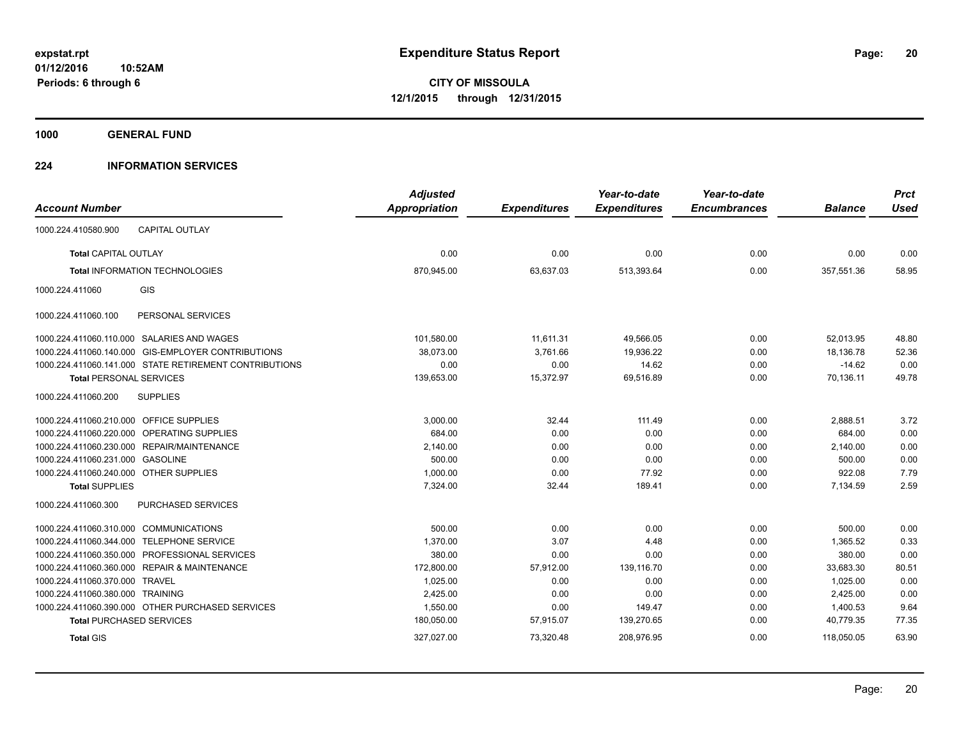**1000 GENERAL FUND**

### **224 INFORMATION SERVICES**

|                                                        | <b>Adjusted</b> |                     | Year-to-date        | Year-to-date        |                | <b>Prct</b> |
|--------------------------------------------------------|-----------------|---------------------|---------------------|---------------------|----------------|-------------|
| <b>Account Number</b>                                  | Appropriation   | <b>Expenditures</b> | <b>Expenditures</b> | <b>Encumbrances</b> | <b>Balance</b> | <b>Used</b> |
| 1000.224.410580.900<br><b>CAPITAL OUTLAY</b>           |                 |                     |                     |                     |                |             |
| <b>Total CAPITAL OUTLAY</b>                            | 0.00            | 0.00                | 0.00                | 0.00                | 0.00           | 0.00        |
| <b>Total INFORMATION TECHNOLOGIES</b>                  | 870,945.00      | 63,637.03           | 513,393.64          | 0.00                | 357,551.36     | 58.95       |
| GIS<br>1000.224.411060                                 |                 |                     |                     |                     |                |             |
| 1000.224.411060.100<br>PERSONAL SERVICES               |                 |                     |                     |                     |                |             |
| 1000.224.411060.110.000 SALARIES AND WAGES             | 101,580.00      | 11,611.31           | 49,566.05           | 0.00                | 52,013.95      | 48.80       |
| 1000.224.411060.140.000 GIS-EMPLOYER CONTRIBUTIONS     | 38,073.00       | 3,761.66            | 19,936.22           | 0.00                | 18,136.78      | 52.36       |
| 1000.224.411060.141.000 STATE RETIREMENT CONTRIBUTIONS | 0.00            | 0.00                | 14.62               | 0.00                | $-14.62$       | 0.00        |
| <b>Total PERSONAL SERVICES</b>                         | 139,653.00      | 15,372.97           | 69,516.89           | 0.00                | 70,136.11      | 49.78       |
| <b>SUPPLIES</b><br>1000.224.411060.200                 |                 |                     |                     |                     |                |             |
| 1000.224.411060.210.000 OFFICE SUPPLIES                | 3,000.00        | 32.44               | 111.49              | 0.00                | 2,888.51       | 3.72        |
| 1000.224.411060.220.000 OPERATING SUPPLIES             | 684.00          | 0.00                | 0.00                | 0.00                | 684.00         | 0.00        |
| 1000.224.411060.230.000 REPAIR/MAINTENANCE             | 2,140.00        | 0.00                | 0.00                | 0.00                | 2,140.00       | 0.00        |
| 1000.224.411060.231.000 GASOLINE                       | 500.00          | 0.00                | 0.00                | 0.00                | 500.00         | 0.00        |
| 1000.224.411060.240.000 OTHER SUPPLIES                 | 1.000.00        | 0.00                | 77.92               | 0.00                | 922.08         | 7.79        |
| <b>Total SUPPLIES</b>                                  | 7,324.00        | 32.44               | 189.41              | 0.00                | 7,134.59       | 2.59        |
| 1000.224.411060.300<br>PURCHASED SERVICES              |                 |                     |                     |                     |                |             |
| 1000.224.411060.310.000 COMMUNICATIONS                 | 500.00          | 0.00                | 0.00                | 0.00                | 500.00         | 0.00        |
| 1000.224.411060.344.000 TELEPHONE SERVICE              | 1.370.00        | 3.07                | 4.48                | 0.00                | 1,365.52       | 0.33        |
| 1000.224.411060.350.000 PROFESSIONAL SERVICES          | 380.00          | 0.00                | 0.00                | 0.00                | 380.00         | 0.00        |
| 1000.224.411060.360.000 REPAIR & MAINTENANCE           | 172,800.00      | 57,912.00           | 139,116.70          | 0.00                | 33,683.30      | 80.51       |
| 1000.224.411060.370.000 TRAVEL                         | 1,025.00        | 0.00                | 0.00                | 0.00                | 1,025.00       | 0.00        |
| 1000.224.411060.380.000 TRAINING                       | 2,425.00        | 0.00                | 0.00                | 0.00                | 2,425.00       | 0.00        |
| 1000.224.411060.390.000 OTHER PURCHASED SERVICES       | 1,550.00        | 0.00                | 149.47              | 0.00                | 1,400.53       | 9.64        |
| <b>Total PURCHASED SERVICES</b>                        | 180,050.00      | 57,915.07           | 139,270.65          | 0.00                | 40,779.35      | 77.35       |
| <b>Total GIS</b>                                       | 327,027.00      | 73,320.48           | 208,976.95          | 0.00                | 118,050.05     | 63.90       |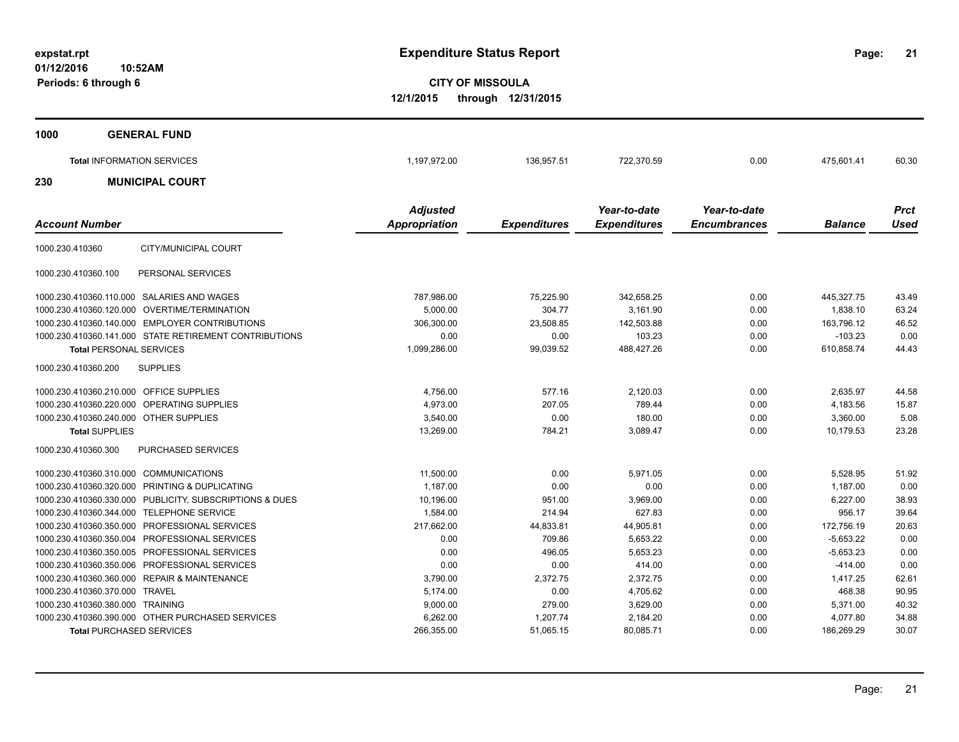**21**

**CITY OF MISSOULA 12/1/2015 through 12/31/2015**

| 1000 | <b>GENERAL FUND</b>               |                                  |                     |                                     |                                     |                |                            |
|------|-----------------------------------|----------------------------------|---------------------|-------------------------------------|-------------------------------------|----------------|----------------------------|
|      | <b>Total INFORMATION SERVICES</b> | 1,197,972.00                     | 136,957.51          | 722,370.59                          | 0.00                                | 475,601.41     | 60.30                      |
| 230  | <b>MUNICIPAL COURT</b>            |                                  |                     |                                     |                                     |                |                            |
|      | <b>Account Number</b>             | <b>Adjusted</b><br>Appropriation | <b>Expenditures</b> | Year-to-date<br><b>Expenditures</b> | Year-to-date<br><b>Encumbrances</b> | <b>Balance</b> | <b>Prct</b><br><b>Used</b> |

| Account number                                          | Appropriation | <i><b>Expenditures</b></i> | <i><b>Expenditures</b></i> | <i><b>Encumprances</b></i> | <b>Balance</b> | usea  |
|---------------------------------------------------------|---------------|----------------------------|----------------------------|----------------------------|----------------|-------|
| 1000.230.410360<br>CITY/MUNICIPAL COURT                 |               |                            |                            |                            |                |       |
| PERSONAL SERVICES<br>1000.230.410360.100                |               |                            |                            |                            |                |       |
| 1000.230.410360.110.000 SALARIES AND WAGES              | 787,986.00    | 75,225.90                  | 342,658.25                 | 0.00                       | 445,327.75     | 43.49 |
| 1000.230.410360.120.000 OVERTIME/TERMINATION            | 5.000.00      | 304.77                     | 3,161.90                   | 0.00                       | 1.838.10       | 63.24 |
| 1000.230.410360.140.000 EMPLOYER CONTRIBUTIONS          | 306,300.00    | 23,508.85                  | 142,503.88                 | 0.00                       | 163.796.12     | 46.52 |
| 1000.230.410360.141.000 STATE RETIREMENT CONTRIBUTIONS  | 0.00          | 0.00                       | 103.23                     | 0.00                       | $-103.23$      | 0.00  |
| <b>Total PERSONAL SERVICES</b>                          | 1,099,286.00  | 99,039.52                  | 488,427.26                 | 0.00                       | 610,858.74     | 44.43 |
| 1000.230.410360.200<br><b>SUPPLIES</b>                  |               |                            |                            |                            |                |       |
| 1000.230.410360.210.000 OFFICE SUPPLIES                 | 4,756.00      | 577.16                     | 2,120.03                   | 0.00                       | 2,635.97       | 44.58 |
| 1000.230.410360.220.000 OPERATING SUPPLIES              | 4,973.00      | 207.05                     | 789.44                     | 0.00                       | 4,183.56       | 15.87 |
| 1000.230.410360.240.000 OTHER SUPPLIES                  | 3,540.00      | 0.00                       | 180.00                     | 0.00                       | 3,360.00       | 5.08  |
| <b>Total SUPPLIES</b>                                   | 13,269.00     | 784.21                     | 3,089.47                   | 0.00                       | 10.179.53      | 23.28 |
| PURCHASED SERVICES<br>1000.230.410360.300               |               |                            |                            |                            |                |       |
| 1000.230.410360.310.000 COMMUNICATIONS                  | 11,500.00     | 0.00                       | 5,971.05                   | 0.00                       | 5,528.95       | 51.92 |
| 1000.230.410360.320.000 PRINTING & DUPLICATING          | 1,187.00      | 0.00                       | 0.00                       | 0.00                       | 1,187.00       | 0.00  |
| 1000.230.410360.330.000 PUBLICITY, SUBSCRIPTIONS & DUES | 10,196.00     | 951.00                     | 3,969.00                   | 0.00                       | 6,227.00       | 38.93 |
| 1000.230.410360.344.000<br><b>TELEPHONE SERVICE</b>     | 1,584.00      | 214.94                     | 627.83                     | 0.00                       | 956.17         | 39.64 |
| 1000.230.410360.350.000 PROFESSIONAL SERVICES           | 217,662.00    | 44,833.81                  | 44,905.81                  | 0.00                       | 172,756.19     | 20.63 |
| 1000.230.410360.350.004 PROFESSIONAL SERVICES           | 0.00          | 709.86                     | 5,653.22                   | 0.00                       | $-5,653.22$    | 0.00  |
| 1000.230.410360.350.005 PROFESSIONAL SERVICES           | 0.00          | 496.05                     | 5,653.23                   | 0.00                       | $-5,653.23$    | 0.00  |
| 1000.230.410360.350.006 PROFESSIONAL SERVICES           | 0.00          | 0.00                       | 414.00                     | 0.00                       | $-414.00$      | 0.00  |
| 1000.230.410360.360.000 REPAIR & MAINTENANCE            | 3,790.00      | 2,372.75                   | 2,372.75                   | 0.00                       | 1.417.25       | 62.61 |
| 1000.230.410360.370.000 TRAVEL                          | 5,174.00      | 0.00                       | 4,705.62                   | 0.00                       | 468.38         | 90.95 |
| 1000.230.410360.380.000 TRAINING                        | 9,000.00      | 279.00                     | 3,629.00                   | 0.00                       | 5,371.00       | 40.32 |
| 1000.230.410360.390.000 OTHER PURCHASED SERVICES        | 6,262.00      | 1,207.74                   | 2,184.20                   | 0.00                       | 4,077.80       | 34.88 |
| <b>Total PURCHASED SERVICES</b>                         | 266,355.00    | 51,065.15                  | 80,085.71                  | 0.00                       | 186,269.29     | 30.07 |
|                                                         |               |                            |                            |                            |                |       |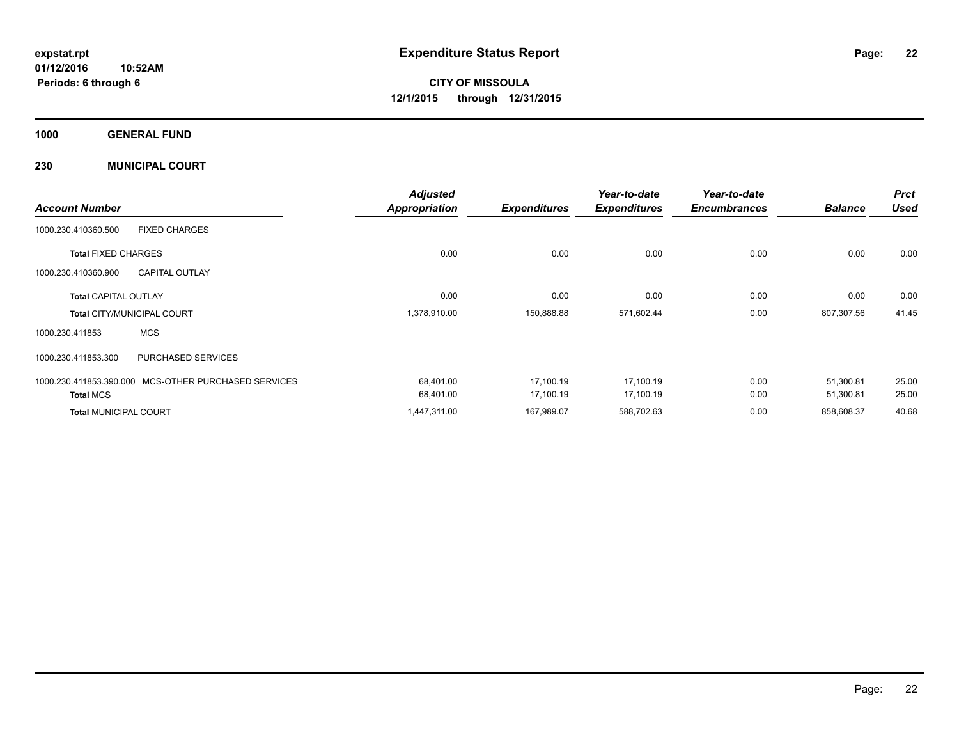**Periods: 6 through 6**

**CITY OF MISSOULA 12/1/2015 through 12/31/2015**

**1000 GENERAL FUND**

**230 MUNICIPAL COURT**

**10:52AM**

|                              |                                   | <b>Adjusted</b>      |                     | Year-to-date        | Year-to-date        |                | <b>Prct</b> |
|------------------------------|-----------------------------------|----------------------|---------------------|---------------------|---------------------|----------------|-------------|
| <b>Account Number</b>        |                                   | <b>Appropriation</b> | <b>Expenditures</b> | <b>Expenditures</b> | <b>Encumbrances</b> | <b>Balance</b> | <b>Used</b> |
| 1000.230.410360.500          | <b>FIXED CHARGES</b>              |                      |                     |                     |                     |                |             |
| <b>Total FIXED CHARGES</b>   |                                   | 0.00                 | 0.00                | 0.00                | 0.00                | 0.00           | 0.00        |
| 1000.230.410360.900          | <b>CAPITAL OUTLAY</b>             |                      |                     |                     |                     |                |             |
| <b>Total CAPITAL OUTLAY</b>  |                                   | 0.00                 | 0.00                | 0.00                | 0.00                | 0.00           | 0.00        |
|                              | <b>Total CITY/MUNICIPAL COURT</b> | 1,378,910.00         | 150,888.88          | 571,602.44          | 0.00                | 807,307.56     | 41.45       |
| 1000.230.411853              | <b>MCS</b>                        |                      |                     |                     |                     |                |             |
| 1000.230.411853.300          | PURCHASED SERVICES                |                      |                     |                     |                     |                |             |
| 1000.230.411853.390.000      | MCS-OTHER PURCHASED SERVICES      | 68,401.00            | 17,100.19           | 17,100.19           | 0.00                | 51,300.81      | 25.00       |
| <b>Total MCS</b>             |                                   | 68,401.00            | 17,100.19           | 17,100.19           | 0.00                | 51,300.81      | 25.00       |
| <b>Total MUNICIPAL COURT</b> |                                   | 1,447,311.00         | 167,989.07          | 588,702.63          | 0.00                | 858,608.37     | 40.68       |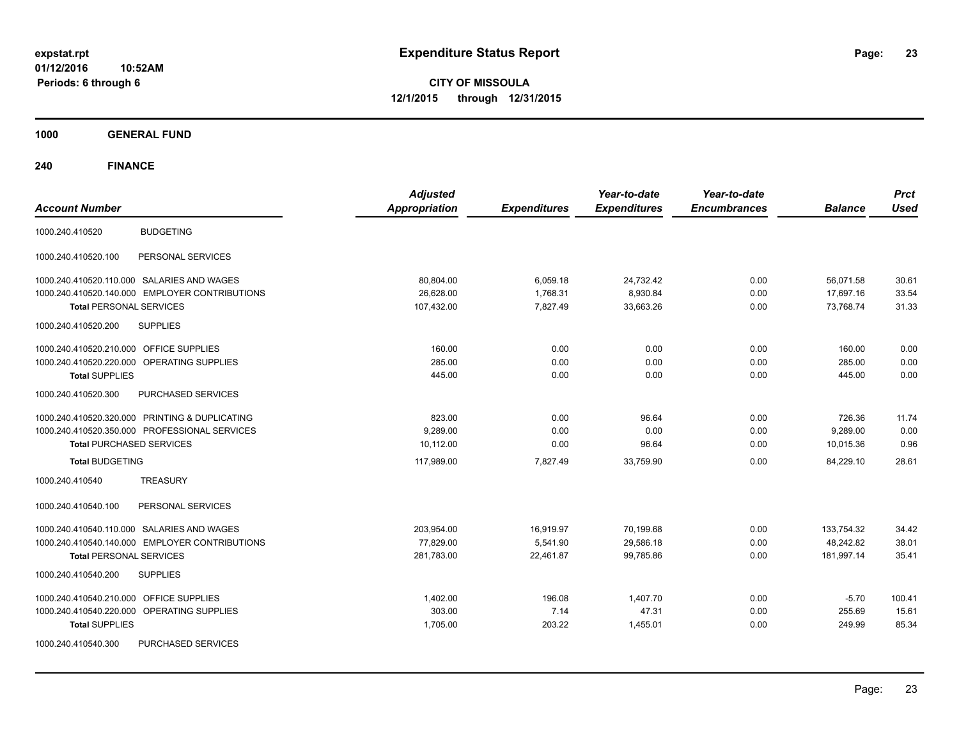**CITY OF MISSOULA 12/1/2015 through 12/31/2015**

**1000 GENERAL FUND**

| <b>Account Number</b>                             | <b>Adjusted</b><br><b>Appropriation</b> | <b>Expenditures</b> | Year-to-date<br><b>Expenditures</b> | Year-to-date<br><b>Encumbrances</b> | <b>Balance</b> | <b>Prct</b><br><b>Used</b> |
|---------------------------------------------------|-----------------------------------------|---------------------|-------------------------------------|-------------------------------------|----------------|----------------------------|
| <b>BUDGETING</b><br>1000.240.410520               |                                         |                     |                                     |                                     |                |                            |
| PERSONAL SERVICES<br>1000.240.410520.100          |                                         |                     |                                     |                                     |                |                            |
| 1000.240.410520.110.000 SALARIES AND WAGES        | 80,804.00                               | 6,059.18            | 24,732.42                           | 0.00                                | 56,071.58      | 30.61                      |
| 1000.240.410520.140.000 EMPLOYER CONTRIBUTIONS    | 26.628.00                               | 1.768.31            | 8,930.84                            | 0.00                                | 17,697.16      | 33.54                      |
| <b>Total PERSONAL SERVICES</b>                    | 107,432.00                              | 7,827.49            | 33,663.26                           | 0.00                                | 73,768.74      | 31.33                      |
| 1000.240.410520.200<br><b>SUPPLIES</b>            |                                         |                     |                                     |                                     |                |                            |
| <b>OFFICE SUPPLIES</b><br>1000.240.410520.210.000 | 160.00                                  | 0.00                | 0.00                                | 0.00                                | 160.00         | 0.00                       |
| OPERATING SUPPLIES<br>1000.240.410520.220.000     | 285.00                                  | 0.00                | 0.00                                | 0.00                                | 285.00         | 0.00                       |
| <b>Total SUPPLIES</b>                             | 445.00                                  | 0.00                | 0.00                                | 0.00                                | 445.00         | 0.00                       |
| 1000.240.410520.300<br>PURCHASED SERVICES         |                                         |                     |                                     |                                     |                |                            |
| 1000.240.410520.320.000 PRINTING & DUPLICATING    | 823.00                                  | 0.00                | 96.64                               | 0.00                                | 726.36         | 11.74                      |
| 1000.240.410520.350.000 PROFESSIONAL SERVICES     | 9,289.00                                | 0.00                | 0.00                                | 0.00                                | 9,289.00       | 0.00                       |
| <b>Total PURCHASED SERVICES</b>                   | 10.112.00                               | 0.00                | 96.64                               | 0.00                                | 10,015.36      | 0.96                       |
| <b>Total BUDGETING</b>                            | 117,989.00                              | 7,827.49            | 33,759.90                           | 0.00                                | 84,229.10      | 28.61                      |
| 1000.240.410540<br><b>TREASURY</b>                |                                         |                     |                                     |                                     |                |                            |
| PERSONAL SERVICES<br>1000.240.410540.100          |                                         |                     |                                     |                                     |                |                            |
| 1000.240.410540.110.000 SALARIES AND WAGES        | 203,954.00                              | 16,919.97           | 70,199.68                           | 0.00                                | 133,754.32     | 34.42                      |
| 1000.240.410540.140.000 EMPLOYER CONTRIBUTIONS    | 77,829.00                               | 5,541.90            | 29,586.18                           | 0.00                                | 48,242.82      | 38.01                      |
| <b>Total PERSONAL SERVICES</b>                    | 281,783.00                              | 22,461.87           | 99,785.86                           | 0.00                                | 181,997.14     | 35.41                      |
| <b>SUPPLIES</b><br>1000.240.410540.200            |                                         |                     |                                     |                                     |                |                            |
| <b>OFFICE SUPPLIES</b><br>1000.240.410540.210.000 | 1,402.00                                | 196.08              | 1,407.70                            | 0.00                                | $-5.70$        | 100.41                     |
| 1000.240.410540.220.000<br>OPERATING SUPPLIES     | 303.00                                  | 7.14                | 47.31                               | 0.00                                | 255.69         | 15.61                      |
| <b>Total SUPPLIES</b>                             | 1,705.00                                | 203.22              | 1,455.01                            | 0.00                                | 249.99         | 85.34                      |
| PURCHASED SERVICES<br>1000.240.410540.300         |                                         |                     |                                     |                                     |                |                            |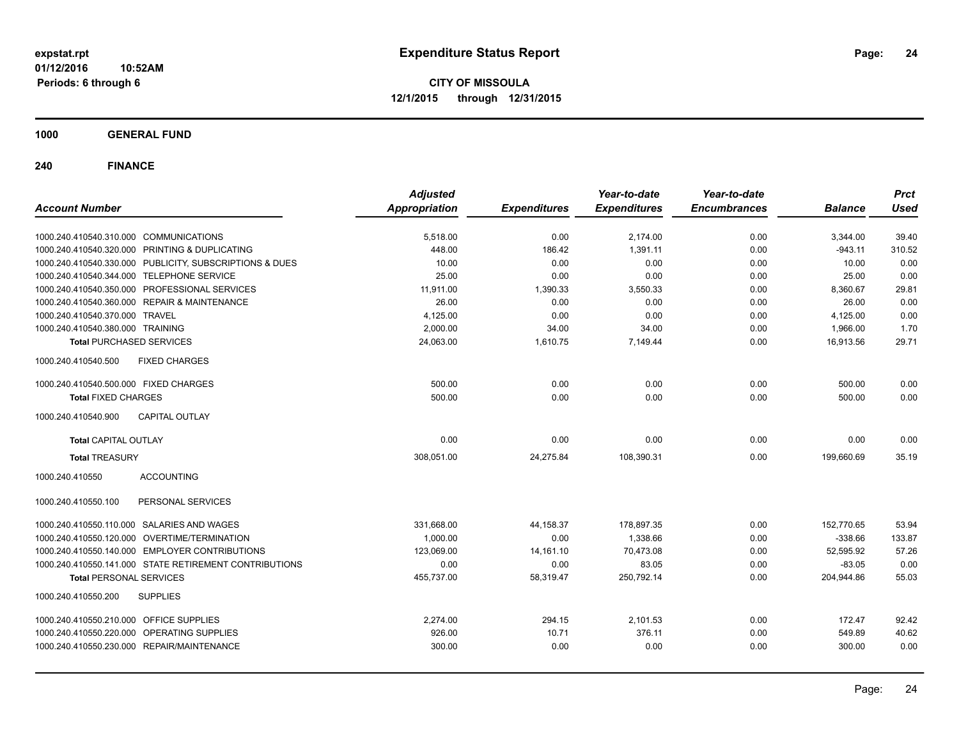**CITY OF MISSOULA 12/1/2015 through 12/31/2015**

**1000 GENERAL FUND**

| <b>Account Number</b>                                   | <b>Adjusted</b><br><b>Appropriation</b> | <b>Expenditures</b> | Year-to-date<br><b>Expenditures</b> | Year-to-date<br><b>Encumbrances</b> | <b>Balance</b> | <b>Prct</b><br><b>Used</b> |
|---------------------------------------------------------|-----------------------------------------|---------------------|-------------------------------------|-------------------------------------|----------------|----------------------------|
| 1000.240.410540.310.000 COMMUNICATIONS                  | 5,518.00                                | 0.00                | 2,174.00                            | 0.00                                | 3,344.00       | 39.40                      |
| 1000.240.410540.320.000 PRINTING & DUPLICATING          | 448.00                                  | 186.42              | 1,391.11                            | 0.00                                | $-943.11$      | 310.52                     |
| 1000.240.410540.330.000 PUBLICITY, SUBSCRIPTIONS & DUES | 10.00                                   | 0.00                | 0.00                                | 0.00                                | 10.00          | 0.00                       |
| 1000.240.410540.344.000 TELEPHONE SERVICE               | 25.00                                   | 0.00                | 0.00                                | 0.00                                | 25.00          | 0.00                       |
| 1000.240.410540.350.000 PROFESSIONAL SERVICES           | 11,911.00                               | 1,390.33            | 3,550.33                            | 0.00                                | 8,360.67       | 29.81                      |
| 1000.240.410540.360.000 REPAIR & MAINTENANCE            | 26.00                                   | 0.00                | 0.00                                | 0.00                                | 26.00          | 0.00                       |
| 1000.240.410540.370.000 TRAVEL                          | 4,125.00                                | 0.00                | 0.00                                | 0.00                                | 4,125.00       | 0.00                       |
| 1000.240.410540.380.000 TRAINING                        | 2.000.00                                | 34.00               | 34.00                               | 0.00                                | 1,966.00       | 1.70                       |
| <b>Total PURCHASED SERVICES</b>                         | 24.063.00                               | 1,610.75            | 7,149.44                            | 0.00                                | 16.913.56      | 29.71                      |
| <b>FIXED CHARGES</b><br>1000.240.410540.500             |                                         |                     |                                     |                                     |                |                            |
| 1000.240.410540.500.000 FIXED CHARGES                   | 500.00                                  | 0.00                | 0.00                                | 0.00                                | 500.00         | 0.00                       |
| <b>Total FIXED CHARGES</b>                              | 500.00                                  | 0.00                | 0.00                                | 0.00                                | 500.00         | 0.00                       |
| 1000.240.410540.900<br><b>CAPITAL OUTLAY</b>            |                                         |                     |                                     |                                     |                |                            |
| <b>Total CAPITAL OUTLAY</b>                             | 0.00                                    | 0.00                | 0.00                                | 0.00                                | 0.00           | 0.00                       |
| <b>Total TREASURY</b>                                   | 308,051.00                              | 24,275.84           | 108,390.31                          | 0.00                                | 199.660.69     | 35.19                      |
| <b>ACCOUNTING</b><br>1000.240.410550                    |                                         |                     |                                     |                                     |                |                            |
| 1000.240.410550.100<br>PERSONAL SERVICES                |                                         |                     |                                     |                                     |                |                            |
| 1000.240.410550.110.000 SALARIES AND WAGES              | 331,668.00                              | 44,158.37           | 178,897.35                          | 0.00                                | 152,770.65     | 53.94                      |
| 1000.240.410550.120.000 OVERTIME/TERMINATION            | 1.000.00                                | 0.00                | 1,338.66                            | 0.00                                | $-338.66$      | 133.87                     |
| 1000.240.410550.140.000 EMPLOYER CONTRIBUTIONS          | 123.069.00                              | 14,161.10           | 70.473.08                           | 0.00                                | 52,595.92      | 57.26                      |
| 1000.240.410550.141.000 STATE RETIREMENT CONTRIBUTIONS  | 0.00                                    | 0.00                | 83.05                               | 0.00                                | $-83.05$       | 0.00                       |
| <b>Total PERSONAL SERVICES</b>                          | 455,737.00                              | 58,319.47           | 250,792.14                          | 0.00                                | 204,944.86     | 55.03                      |
| 1000.240.410550.200<br><b>SUPPLIES</b>                  |                                         |                     |                                     |                                     |                |                            |
| 1000.240.410550.210.000 OFFICE SUPPLIES                 | 2,274.00                                | 294.15              | 2,101.53                            | 0.00                                | 172.47         | 92.42                      |
| 1000.240.410550.220.000 OPERATING SUPPLIES              | 926.00                                  | 10.71               | 376.11                              | 0.00                                | 549.89         | 40.62                      |
| 1000.240.410550.230.000 REPAIR/MAINTENANCE              | 300.00                                  | 0.00                | 0.00                                | 0.00                                | 300.00         | 0.00                       |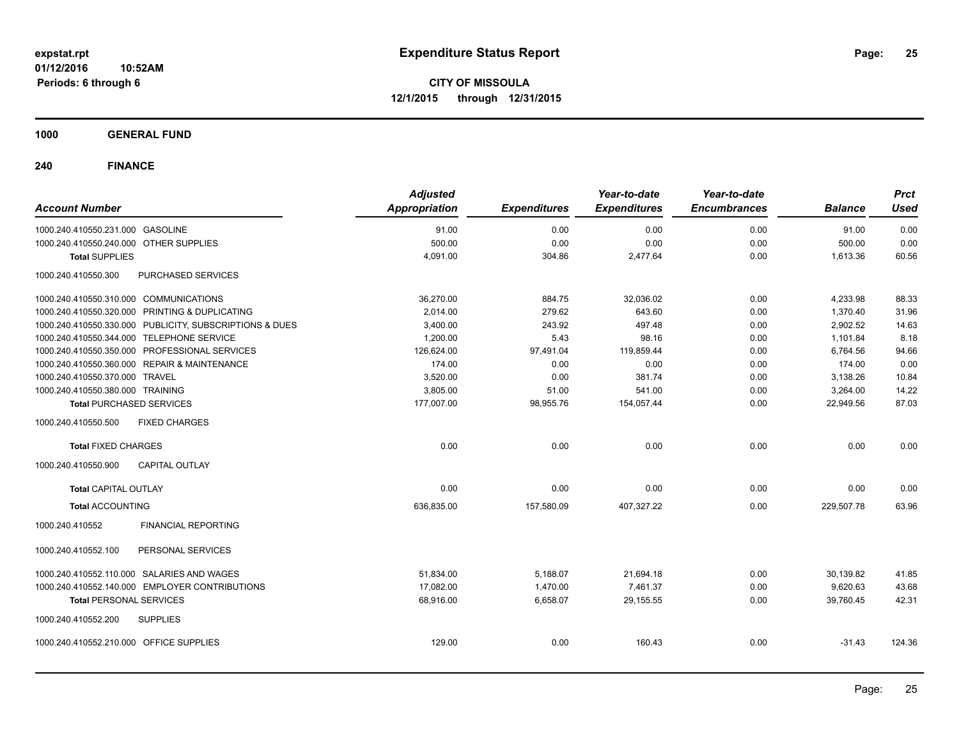**1000 GENERAL FUND**

| <b>Account Number</b>                                   | <b>Adjusted</b><br>Appropriation | <b>Expenditures</b> | Year-to-date<br><b>Expenditures</b> | Year-to-date<br><b>Encumbrances</b> | <b>Balance</b> | <b>Prct</b><br><b>Used</b> |
|---------------------------------------------------------|----------------------------------|---------------------|-------------------------------------|-------------------------------------|----------------|----------------------------|
| 1000.240.410550.231.000 GASOLINE                        | 91.00                            | 0.00                | 0.00                                | 0.00                                | 91.00          | 0.00                       |
| 1000.240.410550.240.000 OTHER SUPPLIES                  | 500.00                           | 0.00                | 0.00                                | 0.00                                | 500.00         | 0.00                       |
| <b>Total SUPPLIES</b>                                   | 4,091.00                         | 304.86              | 2,477.64                            | 0.00                                | 1,613.36       | 60.56                      |
| 1000.240.410550.300<br>PURCHASED SERVICES               |                                  |                     |                                     |                                     |                |                            |
| 1000.240.410550.310.000 COMMUNICATIONS                  | 36,270.00                        | 884.75              | 32,036.02                           | 0.00                                | 4,233.98       | 88.33                      |
| 1000.240.410550.320.000 PRINTING & DUPLICATING          | 2,014.00                         | 279.62              | 643.60                              | 0.00                                | 1,370.40       | 31.96                      |
| 1000.240.410550.330.000 PUBLICITY, SUBSCRIPTIONS & DUES | 3,400.00                         | 243.92              | 497.48                              | 0.00                                | 2,902.52       | 14.63                      |
| 1000.240.410550.344.000 TELEPHONE SERVICE               | 1,200.00                         | 5.43                | 98.16                               | 0.00                                | 1,101.84       | 8.18                       |
| 1000.240.410550.350.000 PROFESSIONAL SERVICES           | 126,624.00                       | 97,491.04           | 119,859.44                          | 0.00                                | 6,764.56       | 94.66                      |
| 1000.240.410550.360.000 REPAIR & MAINTENANCE            | 174.00                           | 0.00                | 0.00                                | 0.00                                | 174.00         | 0.00                       |
| 1000.240.410550.370.000 TRAVEL                          | 3,520.00                         | 0.00                | 381.74                              | 0.00                                | 3,138.26       | 10.84                      |
| 1000.240.410550.380.000 TRAINING                        | 3,805.00                         | 51.00               | 541.00                              | 0.00                                | 3,264.00       | 14.22                      |
| <b>Total PURCHASED SERVICES</b>                         | 177,007.00                       | 98,955.76           | 154,057.44                          | 0.00                                | 22,949.56      | 87.03                      |
| 1000.240.410550.500<br><b>FIXED CHARGES</b>             |                                  |                     |                                     |                                     |                |                            |
| <b>Total FIXED CHARGES</b>                              | 0.00                             | 0.00                | 0.00                                | 0.00                                | 0.00           | 0.00                       |
| CAPITAL OUTLAY<br>1000.240.410550.900                   |                                  |                     |                                     |                                     |                |                            |
| <b>Total CAPITAL OUTLAY</b>                             | 0.00                             | 0.00                | 0.00                                | 0.00                                | 0.00           | 0.00                       |
| <b>Total ACCOUNTING</b>                                 | 636,835.00                       | 157,580.09          | 407,327.22                          | 0.00                                | 229,507.78     | 63.96                      |
| 1000.240.410552<br><b>FINANCIAL REPORTING</b>           |                                  |                     |                                     |                                     |                |                            |
| PERSONAL SERVICES<br>1000.240.410552.100                |                                  |                     |                                     |                                     |                |                            |
| 1000.240.410552.110.000 SALARIES AND WAGES              | 51,834.00                        | 5,188.07            | 21,694.18                           | 0.00                                | 30,139.82      | 41.85                      |
| 1000.240.410552.140.000 EMPLOYER CONTRIBUTIONS          | 17,082.00                        | 1,470.00            | 7,461.37                            | 0.00                                | 9,620.63       | 43.68                      |
| <b>Total PERSONAL SERVICES</b>                          | 68,916.00                        | 6,658.07            | 29,155.55                           | 0.00                                | 39,760.45      | 42.31                      |
| 1000.240.410552.200<br><b>SUPPLIES</b>                  |                                  |                     |                                     |                                     |                |                            |
| 1000.240.410552.210.000 OFFICE SUPPLIES                 | 129.00                           | 0.00                | 160.43                              | 0.00                                | $-31.43$       | 124.36                     |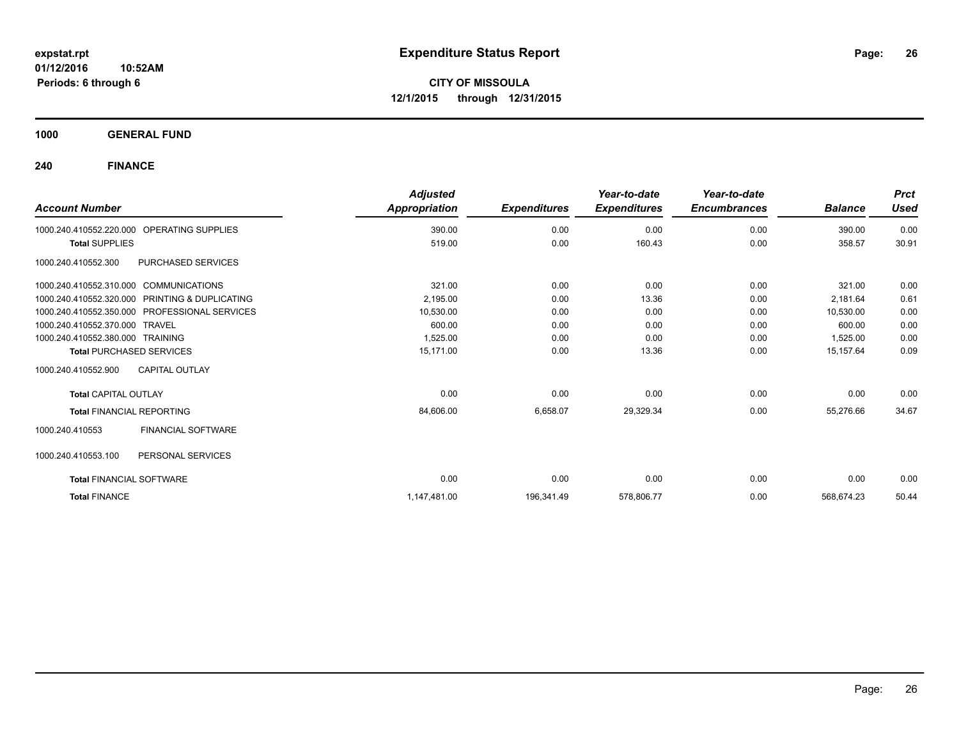**1000 GENERAL FUND**

| <b>Account Number</b>                          | <b>Adjusted</b><br>Appropriation | <b>Expenditures</b> | Year-to-date<br><b>Expenditures</b> | Year-to-date<br><b>Encumbrances</b> | <b>Balance</b> | <b>Prct</b><br><b>Used</b> |
|------------------------------------------------|----------------------------------|---------------------|-------------------------------------|-------------------------------------|----------------|----------------------------|
| OPERATING SUPPLIES<br>1000.240.410552.220.000  | 390.00                           | 0.00                | 0.00                                | 0.00                                | 390.00         | 0.00                       |
| <b>Total SUPPLIES</b>                          | 519.00                           | 0.00                | 160.43                              | 0.00                                | 358.57         | 30.91                      |
| PURCHASED SERVICES<br>1000.240.410552.300      |                                  |                     |                                     |                                     |                |                            |
| 1000.240.410552.310.000 COMMUNICATIONS         | 321.00                           | 0.00                | 0.00                                | 0.00                                | 321.00         | 0.00                       |
| 1000.240.410552.320.000 PRINTING & DUPLICATING | 2,195.00                         | 0.00                | 13.36                               | 0.00                                | 2.181.64       | 0.61                       |
| 1000.240.410552.350.000 PROFESSIONAL SERVICES  | 10,530.00                        | 0.00                | 0.00                                | 0.00                                | 10,530.00      | 0.00                       |
| 1000.240.410552.370.000 TRAVEL                 | 600.00                           | 0.00                | 0.00                                | 0.00                                | 600.00         | 0.00                       |
| 1000.240.410552.380.000 TRAINING               | 1,525.00                         | 0.00                | 0.00                                | 0.00                                | 1,525.00       | 0.00                       |
| <b>Total PURCHASED SERVICES</b>                | 15,171.00                        | 0.00                | 13.36                               | 0.00                                | 15,157.64      | 0.09                       |
| 1000.240.410552.900<br><b>CAPITAL OUTLAY</b>   |                                  |                     |                                     |                                     |                |                            |
| <b>Total CAPITAL OUTLAY</b>                    | 0.00                             | 0.00                | 0.00                                | 0.00                                | 0.00           | 0.00                       |
| <b>Total FINANCIAL REPORTING</b>               | 84,606.00                        | 6,658.07            | 29,329.34                           | 0.00                                | 55,276.66      | 34.67                      |
| <b>FINANCIAL SOFTWARE</b><br>1000.240.410553   |                                  |                     |                                     |                                     |                |                            |
| 1000.240.410553.100<br>PERSONAL SERVICES       |                                  |                     |                                     |                                     |                |                            |
| <b>Total FINANCIAL SOFTWARE</b>                | 0.00                             | 0.00                | 0.00                                | 0.00                                | 0.00           | 0.00                       |
| <b>Total FINANCE</b>                           | 1,147,481.00                     | 196,341.49          | 578,806.77                          | 0.00                                | 568,674.23     | 50.44                      |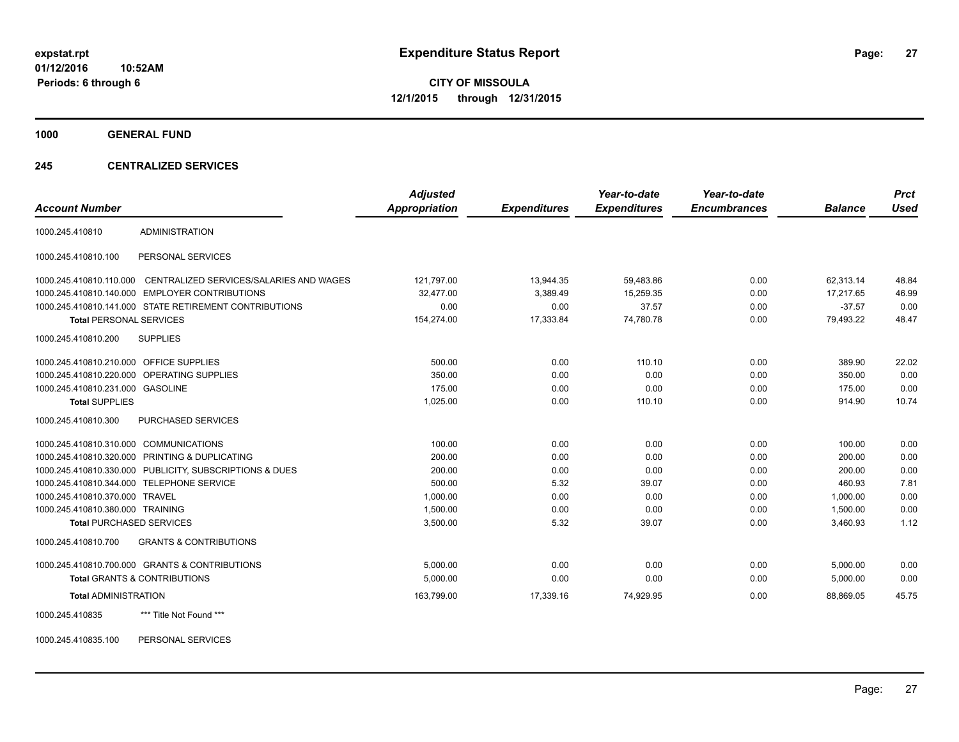**1000 GENERAL FUND**

### **245 CENTRALIZED SERVICES**

| <b>Account Number</b>                   |                                                         | <b>Adjusted</b><br><b>Appropriation</b> | <b>Expenditures</b> | Year-to-date<br><b>Expenditures</b> | Year-to-date<br><b>Encumbrances</b> | <b>Balance</b> | <b>Prct</b><br><b>Used</b> |
|-----------------------------------------|---------------------------------------------------------|-----------------------------------------|---------------------|-------------------------------------|-------------------------------------|----------------|----------------------------|
|                                         |                                                         |                                         |                     |                                     |                                     |                |                            |
| 1000.245.410810                         | <b>ADMINISTRATION</b>                                   |                                         |                     |                                     |                                     |                |                            |
| 1000.245.410810.100                     | PERSONAL SERVICES                                       |                                         |                     |                                     |                                     |                |                            |
| 1000.245.410810.110.000                 | CENTRALIZED SERVICES/SALARIES AND WAGES                 | 121,797.00                              | 13,944.35           | 59,483.86                           | 0.00                                | 62,313.14      | 48.84                      |
|                                         | 1000.245.410810.140.000 EMPLOYER CONTRIBUTIONS          | 32,477.00                               | 3,389.49            | 15,259.35                           | 0.00                                | 17.217.65      | 46.99                      |
|                                         | 1000.245.410810.141.000 STATE RETIREMENT CONTRIBUTIONS  | 0.00                                    | 0.00                | 37.57                               | 0.00                                | $-37.57$       | 0.00                       |
| <b>Total PERSONAL SERVICES</b>          |                                                         | 154,274.00                              | 17,333.84           | 74,780.78                           | 0.00                                | 79,493.22      | 48.47                      |
| 1000.245.410810.200                     | <b>SUPPLIES</b>                                         |                                         |                     |                                     |                                     |                |                            |
| 1000.245.410810.210.000 OFFICE SUPPLIES |                                                         | 500.00                                  | 0.00                | 110.10                              | 0.00                                | 389.90         | 22.02                      |
|                                         | 1000.245.410810.220.000 OPERATING SUPPLIES              | 350.00                                  | 0.00                | 0.00                                | 0.00                                | 350.00         | 0.00                       |
| 1000.245.410810.231.000 GASOLINE        |                                                         | 175.00                                  | 0.00                | 0.00                                | 0.00                                | 175.00         | 0.00                       |
| <b>Total SUPPLIES</b>                   |                                                         | 1,025.00                                | 0.00                | 110.10                              | 0.00                                | 914.90         | 10.74                      |
| 1000.245.410810.300                     | PURCHASED SERVICES                                      |                                         |                     |                                     |                                     |                |                            |
| 1000.245.410810.310.000 COMMUNICATIONS  |                                                         | 100.00                                  | 0.00                | 0.00                                | 0.00                                | 100.00         | 0.00                       |
|                                         | 1000.245.410810.320.000 PRINTING & DUPLICATING          | 200.00                                  | 0.00                | 0.00                                | 0.00                                | 200.00         | 0.00                       |
|                                         | 1000.245.410810.330.000 PUBLICITY, SUBSCRIPTIONS & DUES | 200.00                                  | 0.00                | 0.00                                | 0.00                                | 200.00         | 0.00                       |
|                                         | 1000.245.410810.344.000 TELEPHONE SERVICE               | 500.00                                  | 5.32                | 39.07                               | 0.00                                | 460.93         | 7.81                       |
| 1000.245.410810.370.000                 | <b>TRAVEL</b>                                           | 1,000.00                                | 0.00                | 0.00                                | 0.00                                | 1.000.00       | 0.00                       |
| 1000.245.410810.380.000 TRAINING        |                                                         | 1,500.00                                | 0.00                | 0.00                                | 0.00                                | 1,500.00       | 0.00                       |
| <b>Total PURCHASED SERVICES</b>         |                                                         | 3,500.00                                | 5.32                | 39.07                               | 0.00                                | 3,460.93       | 1.12                       |
| 1000.245.410810.700                     | <b>GRANTS &amp; CONTRIBUTIONS</b>                       |                                         |                     |                                     |                                     |                |                            |
|                                         | 1000.245.410810.700.000 GRANTS & CONTRIBUTIONS          | 5.000.00                                | 0.00                | 0.00                                | 0.00                                | 5,000.00       | 0.00                       |
|                                         | <b>Total GRANTS &amp; CONTRIBUTIONS</b>                 | 5,000.00                                | 0.00                | 0.00                                | 0.00                                | 5,000.00       | 0.00                       |
| <b>Total ADMINISTRATION</b>             |                                                         | 163,799.00                              | 17,339.16           | 74,929.95                           | 0.00                                | 88.869.05      | 45.75                      |
| 1000.245.410835                         | *** Title Not Found ***                                 |                                         |                     |                                     |                                     |                |                            |

1000.245.410835.100 PERSONAL SERVICES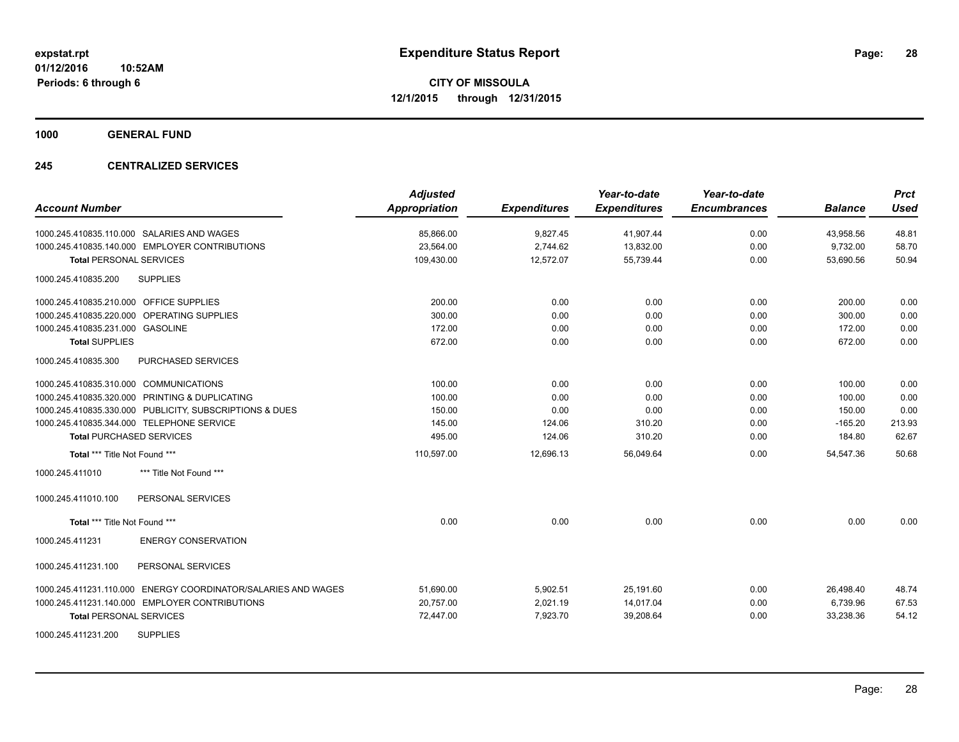**1000 GENERAL FUND**

### **245 CENTRALIZED SERVICES**

| <b>Account Number</b>                                            | <b>Adjusted</b><br><b>Appropriation</b> | <b>Expenditures</b> | Year-to-date<br><b>Expenditures</b> | Year-to-date<br><b>Encumbrances</b> | <b>Balance</b> | <b>Prct</b><br><b>Used</b> |
|------------------------------------------------------------------|-----------------------------------------|---------------------|-------------------------------------|-------------------------------------|----------------|----------------------------|
| 1000.245.410835.110.000 SALARIES AND WAGES                       | 85,866.00                               | 9,827.45            | 41,907.44                           | 0.00                                | 43,958.56      | 48.81                      |
| 1000.245.410835.140.000 EMPLOYER CONTRIBUTIONS                   | 23,564.00                               | 2,744.62            | 13,832.00                           | 0.00                                | 9,732.00       | 58.70                      |
| <b>Total PERSONAL SERVICES</b>                                   | 109,430.00                              | 12,572.07           | 55,739.44                           | 0.00                                | 53,690.56      | 50.94                      |
| <b>SUPPLIES</b><br>1000.245.410835.200                           |                                         |                     |                                     |                                     |                |                            |
| 1000.245.410835.210.000 OFFICE SUPPLIES                          | 200.00                                  | 0.00                | 0.00                                | 0.00                                | 200.00         | 0.00                       |
| 1000.245.410835.220.000 OPERATING SUPPLIES                       | 300.00                                  | 0.00                | 0.00                                | 0.00                                | 300.00         | 0.00                       |
| 1000.245.410835.231.000 GASOLINE                                 | 172.00                                  | 0.00                | 0.00                                | 0.00                                | 172.00         | 0.00                       |
| <b>Total SUPPLIES</b>                                            | 672.00                                  | 0.00                | 0.00                                | 0.00                                | 672.00         | 0.00                       |
| 1000.245.410835.300<br><b>PURCHASED SERVICES</b>                 |                                         |                     |                                     |                                     |                |                            |
| 1000.245.410835.310.000 COMMUNICATIONS                           | 100.00                                  | 0.00                | 0.00                                | 0.00                                | 100.00         | 0.00                       |
| 1000.245.410835.320.000 PRINTING & DUPLICATING                   | 100.00                                  | 0.00                | 0.00                                | 0.00                                | 100.00         | 0.00                       |
| 1000.245.410835.330.000 PUBLICITY, SUBSCRIPTIONS & DUES          | 150.00                                  | 0.00                | 0.00                                | 0.00                                | 150.00         | 0.00                       |
| 1000.245.410835.344.000 TELEPHONE SERVICE                        | 145.00                                  | 124.06              | 310.20                              | 0.00                                | $-165.20$      | 213.93                     |
| <b>Total PURCHASED SERVICES</b>                                  | 495.00                                  | 124.06              | 310.20                              | 0.00                                | 184.80         | 62.67                      |
| Total *** Title Not Found ***                                    | 110,597.00                              | 12,696.13           | 56,049.64                           | 0.00                                | 54,547.36      | 50.68                      |
| 1000.245.411010<br>*** Title Not Found ***                       |                                         |                     |                                     |                                     |                |                            |
| PERSONAL SERVICES<br>1000.245.411010.100                         |                                         |                     |                                     |                                     |                |                            |
| Total *** Title Not Found ***                                    | 0.00                                    | 0.00                | 0.00                                | 0.00                                | 0.00           | 0.00                       |
| <b>ENERGY CONSERVATION</b><br>1000.245.411231                    |                                         |                     |                                     |                                     |                |                            |
| 1000.245.411231.100<br>PERSONAL SERVICES                         |                                         |                     |                                     |                                     |                |                            |
| ENERGY COORDINATOR/SALARIES AND WAGES<br>1000.245.411231.110.000 | 51,690.00                               | 5,902.51            | 25,191.60                           | 0.00                                | 26,498.40      | 48.74                      |
| 1000.245.411231.140.000 EMPLOYER CONTRIBUTIONS                   | 20,757.00                               | 2,021.19            | 14,017.04                           | 0.00                                | 6,739.96       | 67.53                      |
| <b>Total PERSONAL SERVICES</b>                                   | 72,447.00                               | 7,923.70            | 39,208.64                           | 0.00                                | 33,238.36      | 54.12                      |
| <b>SUPPLIES</b><br>1000.245.411231.200                           |                                         |                     |                                     |                                     |                |                            |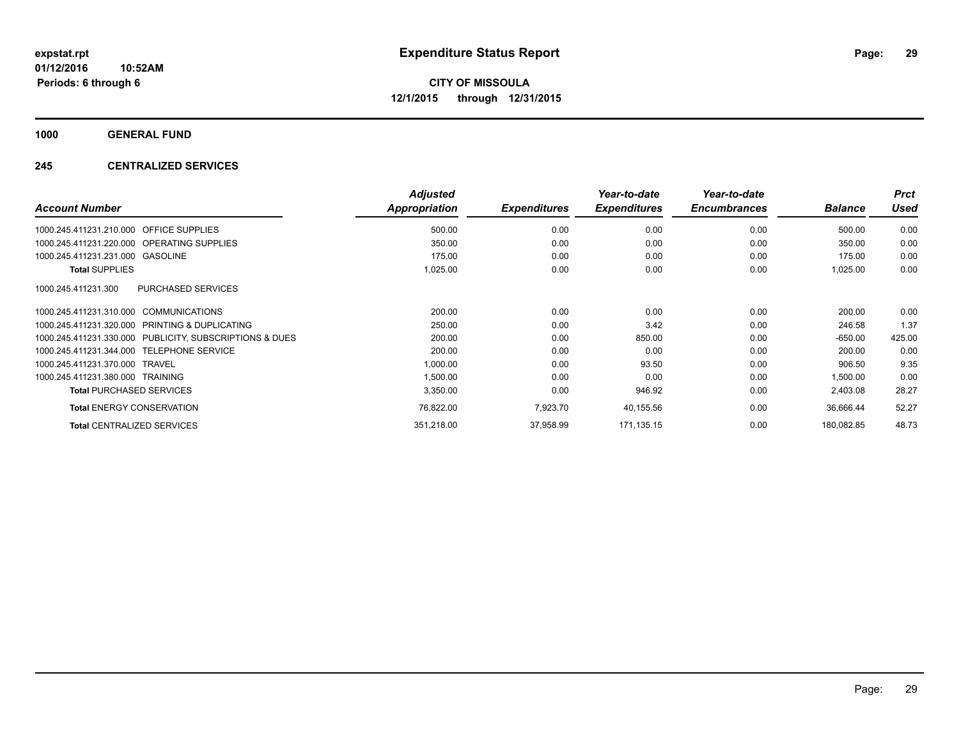**1000 GENERAL FUND**

### **245 CENTRALIZED SERVICES**

|                                                         | <b>Adjusted</b>      |                     | Year-to-date        | Year-to-date        |                | <b>Prct</b> |
|---------------------------------------------------------|----------------------|---------------------|---------------------|---------------------|----------------|-------------|
| <b>Account Number</b>                                   | <b>Appropriation</b> | <b>Expenditures</b> | <b>Expenditures</b> | <b>Encumbrances</b> | <b>Balance</b> | Used        |
| 1000.245.411231.210.000 OFFICE SUPPLIES                 | 500.00               | 0.00                | 0.00                | 0.00                | 500.00         | 0.00        |
| 1000.245.411231.220.000 OPERATING SUPPLIES              | 350.00               | 0.00                | 0.00                | 0.00                | 350.00         | 0.00        |
| 1000.245.411231.231.000 GASOLINE                        | 175.00               | 0.00                | 0.00                | 0.00                | 175.00         | 0.00        |
| <b>Total SUPPLIES</b>                                   | 1,025.00             | 0.00                | 0.00                | 0.00                | 1,025.00       | 0.00        |
| <b>PURCHASED SERVICES</b><br>1000.245.411231.300        |                      |                     |                     |                     |                |             |
| 1000.245.411231.310.000 COMMUNICATIONS                  | 200.00               | 0.00                | 0.00                | 0.00                | 200.00         | 0.00        |
| 1000.245.411231.320.000 PRINTING & DUPLICATING          | 250.00               | 0.00                | 3.42                | 0.00                | 246.58         | 1.37        |
| 1000.245.411231.330.000 PUBLICITY, SUBSCRIPTIONS & DUES | 200.00               | 0.00                | 850.00              | 0.00                | $-650.00$      | 425.00      |
| 1000.245.411231.344.000 TELEPHONE SERVICE               | 200.00               | 0.00                | 0.00                | 0.00                | 200.00         | 0.00        |
| 1000.245.411231.370.000 TRAVEL                          | 1,000.00             | 0.00                | 93.50               | 0.00                | 906.50         | 9.35        |
| 1000.245.411231.380.000 TRAINING                        | 1,500.00             | 0.00                | 0.00                | 0.00                | 1,500.00       | 0.00        |
| <b>Total PURCHASED SERVICES</b>                         | 3,350.00             | 0.00                | 946.92              | 0.00                | 2,403.08       | 28.27       |
| <b>Total ENERGY CONSERVATION</b>                        | 76,822.00            | 7,923.70            | 40,155.56           | 0.00                | 36,666.44      | 52.27       |
| <b>Total CENTRALIZED SERVICES</b>                       | 351,218.00           | 37,958.99           | 171,135.15          | 0.00                | 180,082.85     | 48.73       |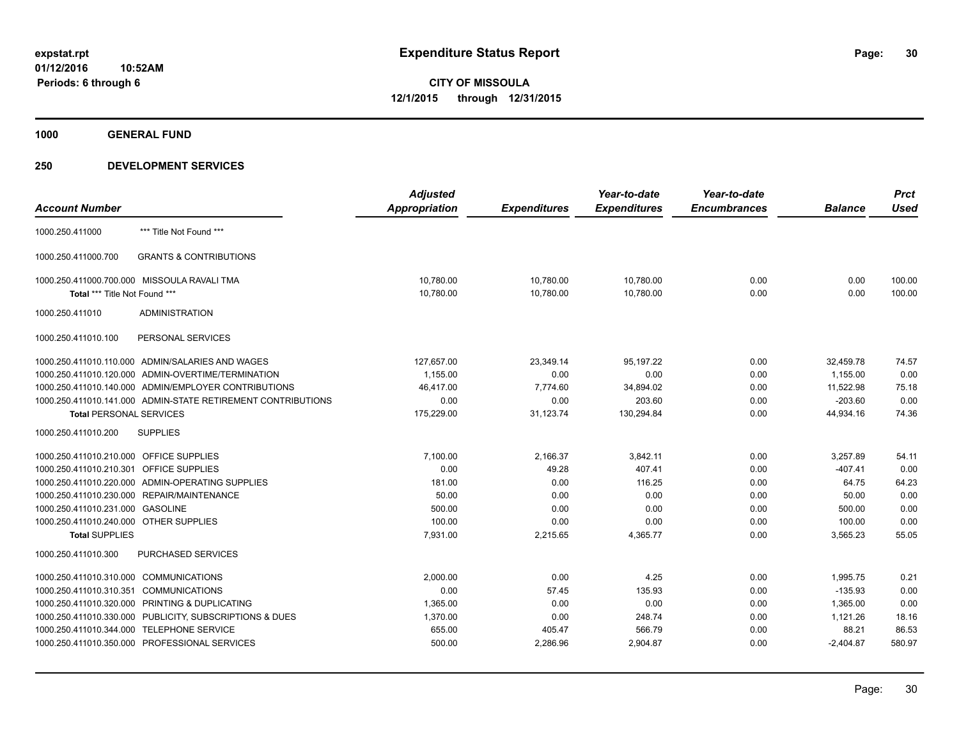**1000 GENERAL FUND**

|                                         |                                                              | <b>Adjusted</b>      |                     | Year-to-date        | Year-to-date        |                | <b>Prct</b> |
|-----------------------------------------|--------------------------------------------------------------|----------------------|---------------------|---------------------|---------------------|----------------|-------------|
| <b>Account Number</b>                   |                                                              | <b>Appropriation</b> | <b>Expenditures</b> | <b>Expenditures</b> | <b>Encumbrances</b> | <b>Balance</b> | <b>Used</b> |
| 1000.250.411000                         | *** Title Not Found ***                                      |                      |                     |                     |                     |                |             |
| 1000.250.411000.700                     | <b>GRANTS &amp; CONTRIBUTIONS</b>                            |                      |                     |                     |                     |                |             |
|                                         | 1000.250.411000.700.000 MISSOULA RAVALI TMA                  | 10,780.00            | 10,780.00           | 10,780.00           | 0.00                | 0.00           | 100.00      |
| Total *** Title Not Found ***           |                                                              | 10,780.00            | 10,780.00           | 10,780.00           | 0.00                | 0.00           | 100.00      |
| 1000.250.411010                         | <b>ADMINISTRATION</b>                                        |                      |                     |                     |                     |                |             |
| 1000.250.411010.100                     | PERSONAL SERVICES                                            |                      |                     |                     |                     |                |             |
|                                         | 1000.250.411010.110.000 ADMIN/SALARIES AND WAGES             | 127,657.00           | 23,349.14           | 95,197.22           | 0.00                | 32,459.78      | 74.57       |
|                                         | 1000.250.411010.120.000 ADMIN-OVERTIME/TERMINATION           | 1,155.00             | 0.00                | 0.00                | 0.00                | 1,155.00       | 0.00        |
|                                         | 1000.250.411010.140.000 ADMIN/EMPLOYER CONTRIBUTIONS         | 46,417.00            | 7,774.60            | 34,894.02           | 0.00                | 11,522.98      | 75.18       |
|                                         | 1000.250.411010.141.000 ADMIN-STATE RETIREMENT CONTRIBUTIONS | 0.00                 | 0.00                | 203.60              | 0.00                | $-203.60$      | 0.00        |
| <b>Total PERSONAL SERVICES</b>          |                                                              | 175,229.00           | 31,123.74           | 130,294.84          | 0.00                | 44,934.16      | 74.36       |
| 1000.250.411010.200                     | <b>SUPPLIES</b>                                              |                      |                     |                     |                     |                |             |
| 1000.250.411010.210.000 OFFICE SUPPLIES |                                                              | 7,100.00             | 2,166.37            | 3,842.11            | 0.00                | 3,257.89       | 54.11       |
| 1000.250.411010.210.301 OFFICE SUPPLIES |                                                              | 0.00                 | 49.28               | 407.41              | 0.00                | $-407.41$      | 0.00        |
|                                         | 1000.250.411010.220.000 ADMIN-OPERATING SUPPLIES             | 181.00               | 0.00                | 116.25              | 0.00                | 64.75          | 64.23       |
|                                         | 1000.250.411010.230.000 REPAIR/MAINTENANCE                   | 50.00                | 0.00                | 0.00                | 0.00                | 50.00          | 0.00        |
| 1000.250.411010.231.000 GASOLINE        |                                                              | 500.00               | 0.00                | 0.00                | 0.00                | 500.00         | 0.00        |
| 1000.250.411010.240.000 OTHER SUPPLIES  |                                                              | 100.00               | 0.00                | 0.00                | 0.00                | 100.00         | 0.00        |
| <b>Total SUPPLIES</b>                   |                                                              | 7,931.00             | 2,215.65            | 4,365.77            | 0.00                | 3,565.23       | 55.05       |
| 1000.250.411010.300                     | PURCHASED SERVICES                                           |                      |                     |                     |                     |                |             |
| 1000.250.411010.310.000 COMMUNICATIONS  |                                                              | 2,000.00             | 0.00                | 4.25                | 0.00                | 1,995.75       | 0.21        |
| 1000.250.411010.310.351 COMMUNICATIONS  |                                                              | 0.00                 | 57.45               | 135.93              | 0.00                | $-135.93$      | 0.00        |
|                                         | 1000.250.411010.320.000 PRINTING & DUPLICATING               | 1,365.00             | 0.00                | 0.00                | 0.00                | 1,365.00       | 0.00        |
|                                         | 1000.250.411010.330.000 PUBLICITY, SUBSCRIPTIONS & DUES      | 1,370.00             | 0.00                | 248.74              | 0.00                | 1,121.26       | 18.16       |
|                                         | 1000.250.411010.344.000 TELEPHONE SERVICE                    | 655.00               | 405.47              | 566.79              | 0.00                | 88.21          | 86.53       |
|                                         | 1000.250.411010.350.000 PROFESSIONAL SERVICES                | 500.00               | 2,286.96            | 2,904.87            | 0.00                | $-2,404.87$    | 580.97      |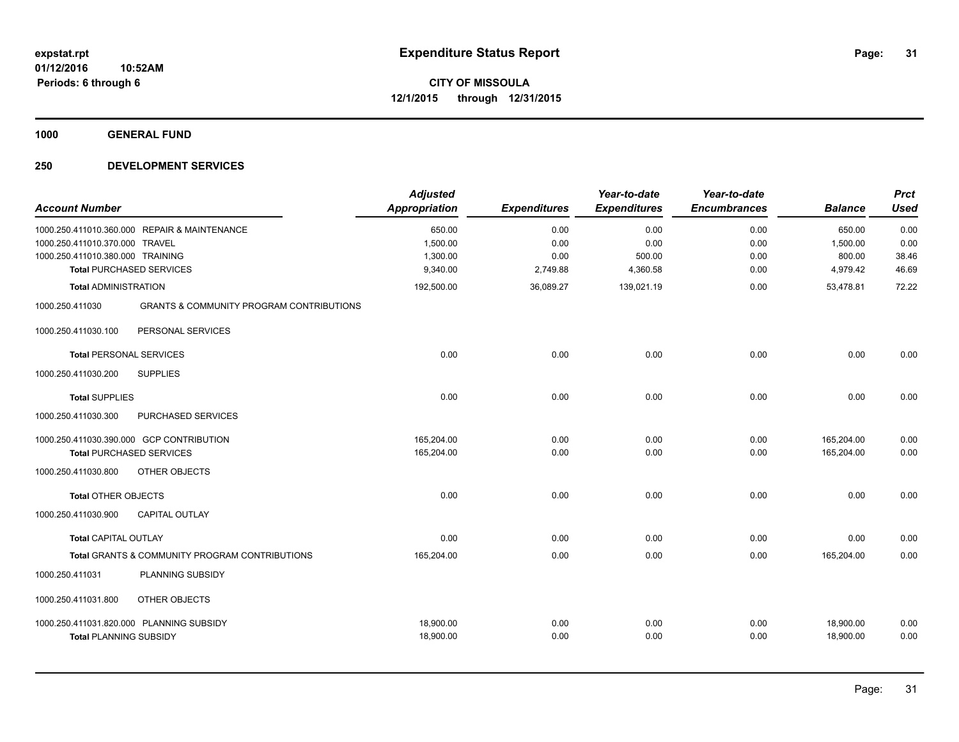**1000 GENERAL FUND**

| <b>Account Number</b>            |                                                     | <b>Adjusted</b><br><b>Appropriation</b> | <b>Expenditures</b> | Year-to-date<br><b>Expenditures</b> | Year-to-date<br><b>Encumbrances</b> | <b>Balance</b> | <b>Prct</b><br><b>Used</b> |
|----------------------------------|-----------------------------------------------------|-----------------------------------------|---------------------|-------------------------------------|-------------------------------------|----------------|----------------------------|
|                                  | 1000.250.411010.360.000 REPAIR & MAINTENANCE        | 650.00                                  | 0.00                | 0.00                                | 0.00                                | 650.00         | 0.00                       |
| 1000.250.411010.370.000 TRAVEL   |                                                     | 1,500.00                                | 0.00                | 0.00                                | 0.00                                | 1,500.00       | 0.00                       |
| 1000.250.411010.380.000 TRAINING |                                                     | 1,300.00                                | 0.00                | 500.00                              | 0.00                                | 800.00         | 38.46                      |
|                                  | <b>Total PURCHASED SERVICES</b>                     | 9,340.00                                | 2,749.88            | 4,360.58                            | 0.00                                | 4,979.42       | 46.69                      |
| <b>Total ADMINISTRATION</b>      |                                                     | 192,500.00                              | 36,089.27           | 139,021.19                          | 0.00                                | 53,478.81      | 72.22                      |
| 1000.250.411030                  | <b>GRANTS &amp; COMMUNITY PROGRAM CONTRIBUTIONS</b> |                                         |                     |                                     |                                     |                |                            |
| 1000.250.411030.100              | PERSONAL SERVICES                                   |                                         |                     |                                     |                                     |                |                            |
| <b>Total PERSONAL SERVICES</b>   |                                                     | 0.00                                    | 0.00                | 0.00                                | 0.00                                | 0.00           | 0.00                       |
| 1000.250.411030.200              | <b>SUPPLIES</b>                                     |                                         |                     |                                     |                                     |                |                            |
| <b>Total SUPPLIES</b>            |                                                     | 0.00                                    | 0.00                | 0.00                                | 0.00                                | 0.00           | 0.00                       |
| 1000.250.411030.300              | PURCHASED SERVICES                                  |                                         |                     |                                     |                                     |                |                            |
|                                  | 1000.250.411030.390.000 GCP CONTRIBUTION            | 165,204.00                              | 0.00                | 0.00                                | 0.00                                | 165,204.00     | 0.00                       |
|                                  | <b>Total PURCHASED SERVICES</b>                     | 165,204.00                              | 0.00                | 0.00                                | 0.00                                | 165,204.00     | 0.00                       |
| 1000.250.411030.800              | OTHER OBJECTS                                       |                                         |                     |                                     |                                     |                |                            |
| <b>Total OTHER OBJECTS</b>       |                                                     | 0.00                                    | 0.00                | 0.00                                | 0.00                                | 0.00           | 0.00                       |
| 1000.250.411030.900              | <b>CAPITAL OUTLAY</b>                               |                                         |                     |                                     |                                     |                |                            |
| <b>Total CAPITAL OUTLAY</b>      |                                                     | 0.00                                    | 0.00                | 0.00                                | 0.00                                | 0.00           | 0.00                       |
|                                  | Total GRANTS & COMMUNITY PROGRAM CONTRIBUTIONS      | 165,204.00                              | 0.00                | 0.00                                | 0.00                                | 165,204.00     | 0.00                       |
| 1000.250.411031                  | PLANNING SUBSIDY                                    |                                         |                     |                                     |                                     |                |                            |
| 1000.250.411031.800              | OTHER OBJECTS                                       |                                         |                     |                                     |                                     |                |                            |
|                                  | 1000.250.411031.820.000 PLANNING SUBSIDY            | 18,900.00                               | 0.00                | 0.00                                | 0.00                                | 18,900.00      | 0.00                       |
| <b>Total PLANNING SUBSIDY</b>    |                                                     | 18,900.00                               | 0.00                | 0.00                                | 0.00                                | 18,900.00      | 0.00                       |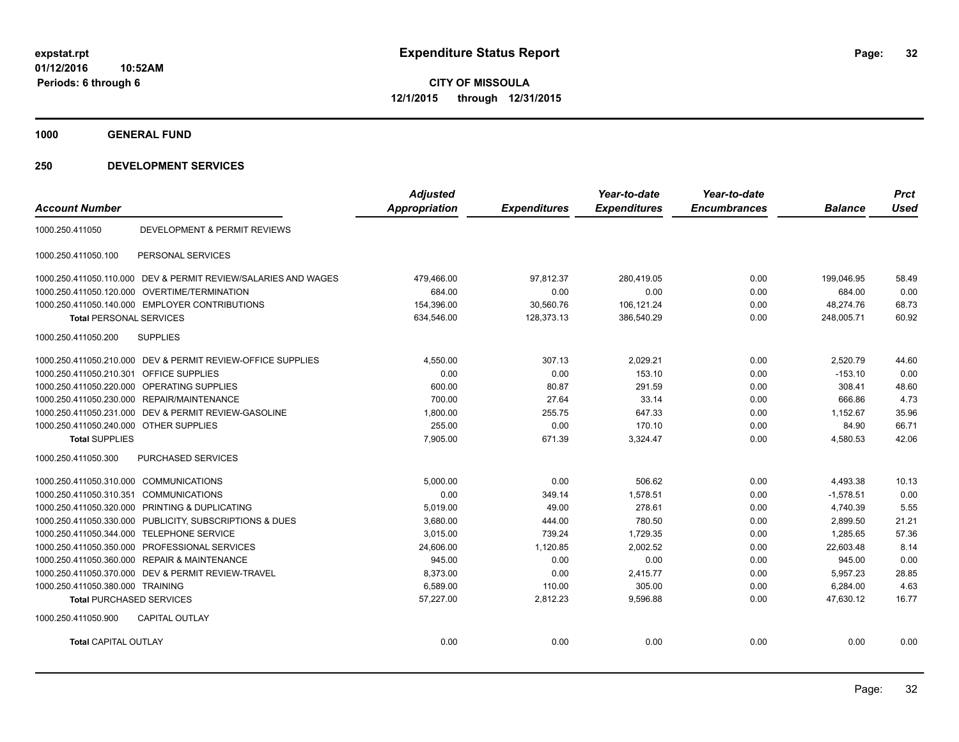**1000 GENERAL FUND**

| <b>Account Number</b>                     |                                                                | <b>Adjusted</b><br><b>Appropriation</b> | <b>Expenditures</b> | Year-to-date<br><b>Expenditures</b> | Year-to-date<br><b>Encumbrances</b> | <b>Balance</b> | <b>Prct</b><br><b>Used</b> |
|-------------------------------------------|----------------------------------------------------------------|-----------------------------------------|---------------------|-------------------------------------|-------------------------------------|----------------|----------------------------|
| 1000.250.411050                           | <b>DEVELOPMENT &amp; PERMIT REVIEWS</b>                        |                                         |                     |                                     |                                     |                |                            |
|                                           |                                                                |                                         |                     |                                     |                                     |                |                            |
| 1000.250.411050.100                       | PERSONAL SERVICES                                              |                                         |                     |                                     |                                     |                |                            |
|                                           | 1000.250.411050.110.000 DEV & PERMIT REVIEW/SALARIES AND WAGES | 479,466.00                              | 97,812.37           | 280,419.05                          | 0.00                                | 199,046.95     | 58.49                      |
| 1000.250.411050.120.000                   | OVERTIME/TERMINATION                                           | 684.00                                  | 0.00                | 0.00                                | 0.00                                | 684.00         | 0.00                       |
|                                           | 1000.250.411050.140.000 EMPLOYER CONTRIBUTIONS                 | 154,396.00                              | 30,560.76           | 106,121.24                          | 0.00                                | 48,274.76      | 68.73                      |
| <b>Total PERSONAL SERVICES</b>            |                                                                | 634,546.00                              | 128,373.13          | 386,540.29                          | 0.00                                | 248,005.71     | 60.92                      |
| 1000.250.411050.200                       | <b>SUPPLIES</b>                                                |                                         |                     |                                     |                                     |                |                            |
|                                           | 1000.250.411050.210.000 DEV & PERMIT REVIEW-OFFICE SUPPLIES    | 4,550.00                                | 307.13              | 2,029.21                            | 0.00                                | 2,520.79       | 44.60                      |
| 1000.250.411050.210.301 OFFICE SUPPLIES   |                                                                | 0.00                                    | 0.00                | 153.10                              | 0.00                                | $-153.10$      | 0.00                       |
| 1000.250.411050.220.000                   | <b>OPERATING SUPPLIES</b>                                      | 600.00                                  | 80.87               | 291.59                              | 0.00                                | 308.41         | 48.60                      |
| 1000.250.411050.230.000                   | <b>REPAIR/MAINTENANCE</b>                                      | 700.00                                  | 27.64               | 33.14                               | 0.00                                | 666.86         | 4.73                       |
| 1000.250.411050.231.000                   | DEV & PERMIT REVIEW-GASOLINE                                   | 1,800.00                                | 255.75              | 647.33                              | 0.00                                | 1,152.67       | 35.96                      |
| 1000.250.411050.240.000 OTHER SUPPLIES    |                                                                | 255.00                                  | 0.00                | 170.10                              | 0.00                                | 84.90          | 66.71                      |
| <b>Total SUPPLIES</b>                     |                                                                | 7,905.00                                | 671.39              | 3,324.47                            | 0.00                                | 4,580.53       | 42.06                      |
| 1000.250.411050.300                       | PURCHASED SERVICES                                             |                                         |                     |                                     |                                     |                |                            |
| 1000.250.411050.310.000 COMMUNICATIONS    |                                                                | 5,000.00                                | 0.00                | 506.62                              | 0.00                                | 4,493.38       | 10.13                      |
| 1000.250.411050.310.351 COMMUNICATIONS    |                                                                | 0.00                                    | 349.14              | 1,578.51                            | 0.00                                | $-1,578.51$    | 0.00                       |
|                                           | 1000.250.411050.320.000 PRINTING & DUPLICATING                 | 5,019.00                                | 49.00               | 278.61                              | 0.00                                | 4,740.39       | 5.55                       |
|                                           | 1000.250.411050.330.000 PUBLICITY, SUBSCRIPTIONS & DUES        | 3,680.00                                | 444.00              | 780.50                              | 0.00                                | 2,899.50       | 21.21                      |
| 1000.250.411050.344.000 TELEPHONE SERVICE |                                                                | 3.015.00                                | 739.24              | 1,729.35                            | 0.00                                | 1.285.65       | 57.36                      |
| 1000.250.411050.350.000                   | <b>PROFESSIONAL SERVICES</b>                                   | 24,606.00                               | 1,120.85            | 2,002.52                            | 0.00                                | 22,603.48      | 8.14                       |
| 1000.250.411050.360.000                   | <b>REPAIR &amp; MAINTENANCE</b>                                | 945.00                                  | 0.00                | 0.00                                | 0.00                                | 945.00         | 0.00                       |
| 1000.250.411050.370.000                   | DEV & PERMIT REVIEW-TRAVEL                                     | 8.373.00                                | 0.00                | 2.415.77                            | 0.00                                | 5.957.23       | 28.85                      |
| 1000.250.411050.380.000 TRAINING          |                                                                | 6,589.00                                | 110.00              | 305.00                              | 0.00                                | 6,284.00       | 4.63                       |
| <b>Total PURCHASED SERVICES</b>           |                                                                | 57,227.00                               | 2,812.23            | 9,596.88                            | 0.00                                | 47,630.12      | 16.77                      |
| 1000.250.411050.900                       | <b>CAPITAL OUTLAY</b>                                          |                                         |                     |                                     |                                     |                |                            |
| <b>Total CAPITAL OUTLAY</b>               |                                                                | 0.00                                    | 0.00                | 0.00                                | 0.00                                | 0.00           | 0.00                       |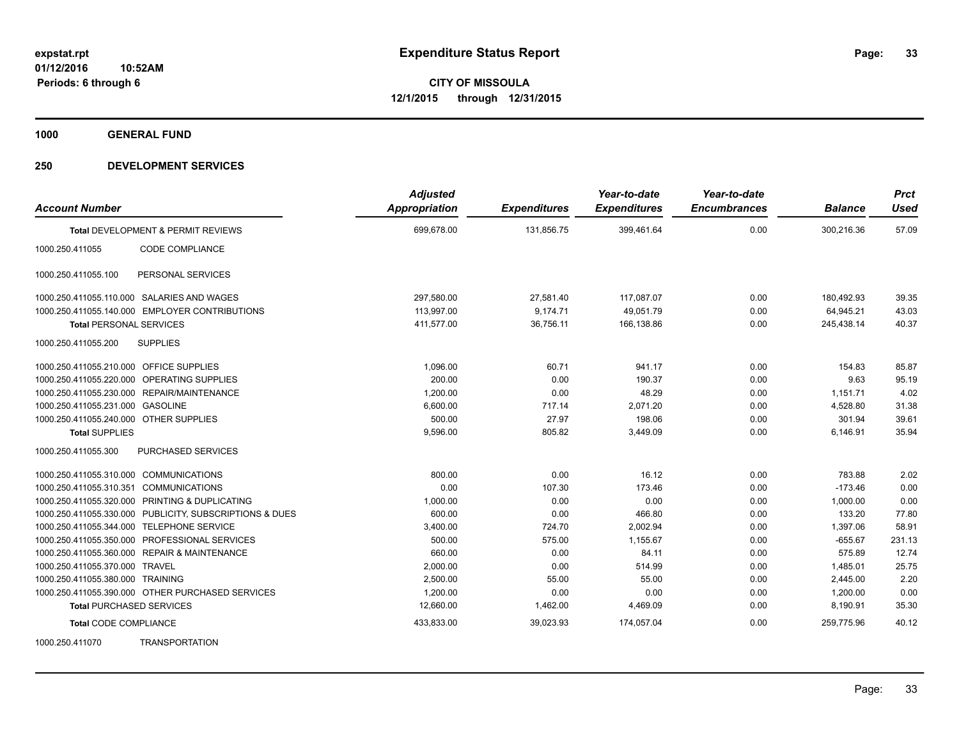**1000 GENERAL FUND**

| <b>Account Number</b>                   |                                                         | <b>Adjusted</b><br><b>Appropriation</b> | <b>Expenditures</b> | Year-to-date<br><b>Expenditures</b> | Year-to-date<br><b>Encumbrances</b> | <b>Balance</b> | <b>Prct</b><br><b>Used</b> |
|-----------------------------------------|---------------------------------------------------------|-----------------------------------------|---------------------|-------------------------------------|-------------------------------------|----------------|----------------------------|
|                                         | Total DEVELOPMENT & PERMIT REVIEWS                      | 699,678.00                              | 131,856.75          | 399,461.64                          | 0.00                                | 300,216.36     | 57.09                      |
| 1000.250.411055                         | CODE COMPLIANCE                                         |                                         |                     |                                     |                                     |                |                            |
| 1000.250.411055.100                     | PERSONAL SERVICES                                       |                                         |                     |                                     |                                     |                |                            |
|                                         | 1000.250.411055.110.000 SALARIES AND WAGES              | 297,580.00                              | 27,581.40           | 117,087.07                          | 0.00                                | 180,492.93     | 39.35                      |
|                                         | 1000.250.411055.140.000 EMPLOYER CONTRIBUTIONS          | 113,997.00                              | 9,174.71            | 49,051.79                           | 0.00                                | 64,945.21      | 43.03                      |
| <b>Total PERSONAL SERVICES</b>          |                                                         | 411,577.00                              | 36,756.11           | 166,138.86                          | 0.00                                | 245,438.14     | 40.37                      |
| 1000.250.411055.200                     | <b>SUPPLIES</b>                                         |                                         |                     |                                     |                                     |                |                            |
| 1000.250.411055.210.000 OFFICE SUPPLIES |                                                         | 1,096.00                                | 60.71               | 941.17                              | 0.00                                | 154.83         | 85.87                      |
|                                         | 1000.250.411055.220.000 OPERATING SUPPLIES              | 200.00                                  | 0.00                | 190.37                              | 0.00                                | 9.63           | 95.19                      |
|                                         | 1000.250.411055.230.000 REPAIR/MAINTENANCE              | 1,200.00                                | 0.00                | 48.29                               | 0.00                                | 1,151.71       | 4.02                       |
| 1000.250.411055.231.000 GASOLINE        |                                                         | 6,600.00                                | 717.14              | 2.071.20                            | 0.00                                | 4,528.80       | 31.38                      |
| 1000.250.411055.240.000 OTHER SUPPLIES  |                                                         | 500.00                                  | 27.97               | 198.06                              | 0.00                                | 301.94         | 39.61                      |
| <b>Total SUPPLIES</b>                   |                                                         | 9,596.00                                | 805.82              | 3,449.09                            | 0.00                                | 6,146.91       | 35.94                      |
| 1000.250.411055.300                     | PURCHASED SERVICES                                      |                                         |                     |                                     |                                     |                |                            |
| 1000.250.411055.310.000 COMMUNICATIONS  |                                                         | 800.00                                  | 0.00                | 16.12                               | 0.00                                | 783.88         | 2.02                       |
| 1000.250.411055.310.351 COMMUNICATIONS  |                                                         | 0.00                                    | 107.30              | 173.46                              | 0.00                                | $-173.46$      | 0.00                       |
|                                         | 1000.250.411055.320.000 PRINTING & DUPLICATING          | 1,000.00                                | 0.00                | 0.00                                | 0.00                                | 1,000.00       | 0.00                       |
|                                         | 1000.250.411055.330.000 PUBLICITY, SUBSCRIPTIONS & DUES | 600.00                                  | 0.00                | 466.80                              | 0.00                                | 133.20         | 77.80                      |
|                                         | 1000.250.411055.344.000 TELEPHONE SERVICE               | 3,400.00                                | 724.70              | 2,002.94                            | 0.00                                | 1,397.06       | 58.91                      |
|                                         | 1000.250.411055.350.000 PROFESSIONAL SERVICES           | 500.00                                  | 575.00              | 1,155.67                            | 0.00                                | $-655.67$      | 231.13                     |
|                                         | 1000.250.411055.360.000 REPAIR & MAINTENANCE            | 660.00                                  | 0.00                | 84.11                               | 0.00                                | 575.89         | 12.74                      |
| 1000.250.411055.370.000 TRAVEL          |                                                         | 2,000.00                                | 0.00                | 514.99                              | 0.00                                | 1,485.01       | 25.75                      |
| 1000.250.411055.380.000 TRAINING        |                                                         | 2,500.00                                | 55.00               | 55.00                               | 0.00                                | 2,445.00       | 2.20                       |
|                                         | 1000.250.411055.390.000 OTHER PURCHASED SERVICES        | 1,200.00                                | 0.00                | 0.00                                | 0.00                                | 1,200.00       | 0.00                       |
| <b>Total PURCHASED SERVICES</b>         |                                                         | 12,660.00                               | 1,462.00            | 4,469.09                            | 0.00                                | 8,190.91       | 35.30                      |
| <b>Total CODE COMPLIANCE</b>            |                                                         | 433,833.00                              | 39,023.93           | 174,057.04                          | 0.00                                | 259,775.96     | 40.12                      |
| 1000.250.411070                         | <b>TRANSPORTATION</b>                                   |                                         |                     |                                     |                                     |                |                            |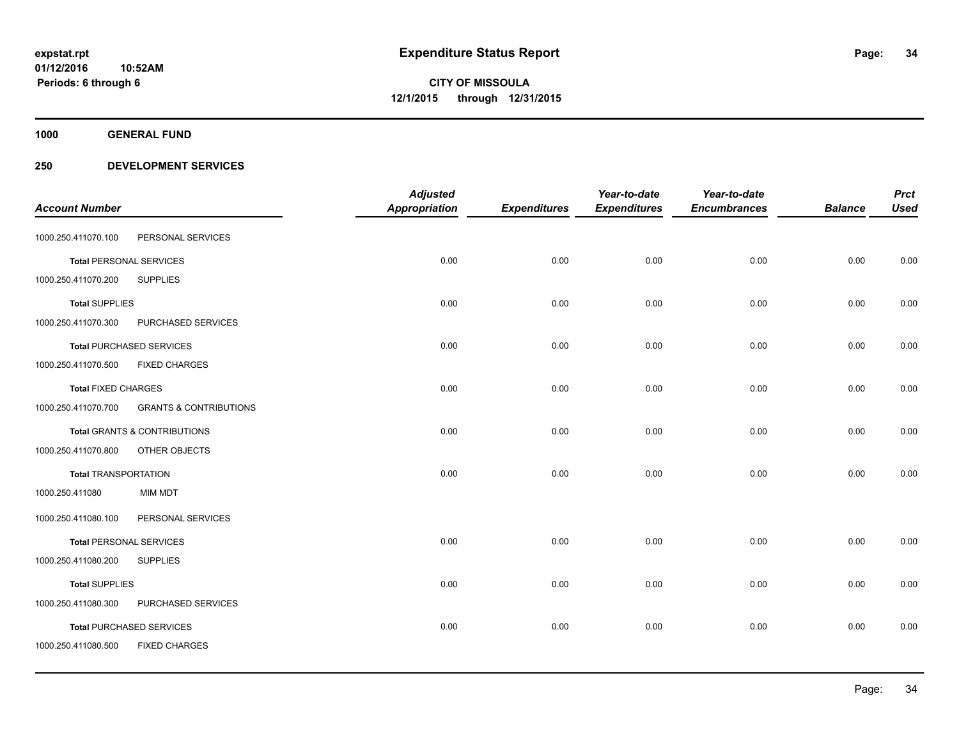**1000 GENERAL FUND**

| <b>Account Number</b>       |                                   | <b>Adjusted</b><br><b>Appropriation</b> | <b>Expenditures</b> | Year-to-date<br><b>Expenditures</b> | Year-to-date<br><b>Encumbrances</b> | <b>Balance</b> | <b>Prct</b><br><b>Used</b> |
|-----------------------------|-----------------------------------|-----------------------------------------|---------------------|-------------------------------------|-------------------------------------|----------------|----------------------------|
| 1000.250.411070.100         | PERSONAL SERVICES                 |                                         |                     |                                     |                                     |                |                            |
|                             | <b>Total PERSONAL SERVICES</b>    | 0.00                                    | 0.00                | 0.00                                | 0.00                                | 0.00           | 0.00                       |
| 1000.250.411070.200         | <b>SUPPLIES</b>                   |                                         |                     |                                     |                                     |                |                            |
| <b>Total SUPPLIES</b>       |                                   | 0.00                                    | 0.00                | 0.00                                | 0.00                                | 0.00           | 0.00                       |
| 1000.250.411070.300         | PURCHASED SERVICES                |                                         |                     |                                     |                                     |                |                            |
|                             | <b>Total PURCHASED SERVICES</b>   | 0.00                                    | 0.00                | 0.00                                | 0.00                                | 0.00           | 0.00                       |
| 1000.250.411070.500         | <b>FIXED CHARGES</b>              |                                         |                     |                                     |                                     |                |                            |
| <b>Total FIXED CHARGES</b>  |                                   | 0.00                                    | 0.00                | 0.00                                | 0.00                                | 0.00           | 0.00                       |
| 1000.250.411070.700         | <b>GRANTS &amp; CONTRIBUTIONS</b> |                                         |                     |                                     |                                     |                |                            |
|                             | Total GRANTS & CONTRIBUTIONS      | 0.00                                    | 0.00                | 0.00                                | 0.00                                | 0.00           | 0.00                       |
| 1000.250.411070.800         | OTHER OBJECTS                     |                                         |                     |                                     |                                     |                |                            |
| <b>Total TRANSPORTATION</b> |                                   | 0.00                                    | 0.00                | 0.00                                | 0.00                                | 0.00           | 0.00                       |
| 1000.250.411080             | <b>MIM MDT</b>                    |                                         |                     |                                     |                                     |                |                            |
| 1000.250.411080.100         | PERSONAL SERVICES                 |                                         |                     |                                     |                                     |                |                            |
|                             | <b>Total PERSONAL SERVICES</b>    | 0.00                                    | 0.00                | 0.00                                | 0.00                                | 0.00           | 0.00                       |
| 1000.250.411080.200         | <b>SUPPLIES</b>                   |                                         |                     |                                     |                                     |                |                            |
| <b>Total SUPPLIES</b>       |                                   | 0.00                                    | 0.00                | 0.00                                | 0.00                                | 0.00           | 0.00                       |
| 1000.250.411080.300         | PURCHASED SERVICES                |                                         |                     |                                     |                                     |                |                            |
|                             | <b>Total PURCHASED SERVICES</b>   | 0.00                                    | 0.00                | 0.00                                | 0.00                                | 0.00           | 0.00                       |
| 1000.250.411080.500         | <b>FIXED CHARGES</b>              |                                         |                     |                                     |                                     |                |                            |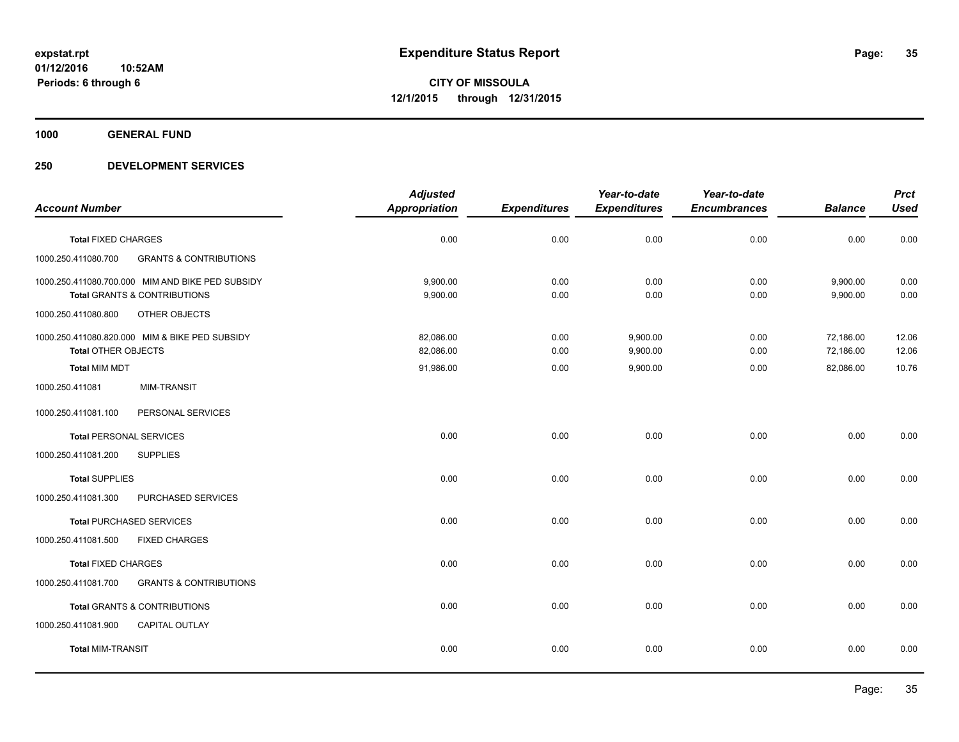**1000 GENERAL FUND**

|                                |                                                  | <b>Adjusted</b>      |                     | Year-to-date        | Year-to-date        |                | <b>Prct</b> |
|--------------------------------|--------------------------------------------------|----------------------|---------------------|---------------------|---------------------|----------------|-------------|
| <b>Account Number</b>          |                                                  | <b>Appropriation</b> | <b>Expenditures</b> | <b>Expenditures</b> | <b>Encumbrances</b> | <b>Balance</b> | <b>Used</b> |
| <b>Total FIXED CHARGES</b>     |                                                  | 0.00                 | 0.00                | 0.00                | 0.00                | 0.00           | 0.00        |
| 1000.250.411080.700            | <b>GRANTS &amp; CONTRIBUTIONS</b>                |                      |                     |                     |                     |                |             |
|                                | 1000.250.411080.700.000 MIM AND BIKE PED SUBSIDY | 9,900.00             | 0.00                | 0.00                | 0.00                | 9,900.00       | 0.00        |
|                                | <b>Total GRANTS &amp; CONTRIBUTIONS</b>          | 9,900.00             | 0.00                | 0.00                | 0.00                | 9,900.00       | 0.00        |
| 1000.250.411080.800            | OTHER OBJECTS                                    |                      |                     |                     |                     |                |             |
|                                | 1000.250.411080.820.000 MIM & BIKE PED SUBSIDY   | 82.086.00            | 0.00                | 9,900.00            | 0.00                | 72,186.00      | 12.06       |
| <b>Total OTHER OBJECTS</b>     |                                                  | 82,086.00            | 0.00                | 9,900.00            | 0.00                | 72,186.00      | 12.06       |
| <b>Total MIM MDT</b>           |                                                  | 91,986.00            | 0.00                | 9,900.00            | 0.00                | 82,086.00      | 10.76       |
| 1000.250.411081                | <b>MIM-TRANSIT</b>                               |                      |                     |                     |                     |                |             |
| 1000.250.411081.100            | PERSONAL SERVICES                                |                      |                     |                     |                     |                |             |
| <b>Total PERSONAL SERVICES</b> |                                                  | 0.00                 | 0.00                | 0.00                | 0.00                | 0.00           | 0.00        |
| 1000.250.411081.200            | <b>SUPPLIES</b>                                  |                      |                     |                     |                     |                |             |
| <b>Total SUPPLIES</b>          |                                                  | 0.00                 | 0.00                | 0.00                | 0.00                | 0.00           | 0.00        |
| 1000.250.411081.300            | PURCHASED SERVICES                               |                      |                     |                     |                     |                |             |
|                                | <b>Total PURCHASED SERVICES</b>                  | 0.00                 | 0.00                | 0.00                | 0.00                | 0.00           | 0.00        |
| 1000.250.411081.500            | <b>FIXED CHARGES</b>                             |                      |                     |                     |                     |                |             |
| <b>Total FIXED CHARGES</b>     |                                                  | 0.00                 | 0.00                | 0.00                | 0.00                | 0.00           | 0.00        |
| 1000.250.411081.700            | <b>GRANTS &amp; CONTRIBUTIONS</b>                |                      |                     |                     |                     |                |             |
|                                | <b>Total GRANTS &amp; CONTRIBUTIONS</b>          | 0.00                 | 0.00                | 0.00                | 0.00                | 0.00           | 0.00        |
| 1000.250.411081.900            | <b>CAPITAL OUTLAY</b>                            |                      |                     |                     |                     |                |             |
| <b>Total MIM-TRANSIT</b>       |                                                  | 0.00                 | 0.00                | 0.00                | 0.00                | 0.00           | 0.00        |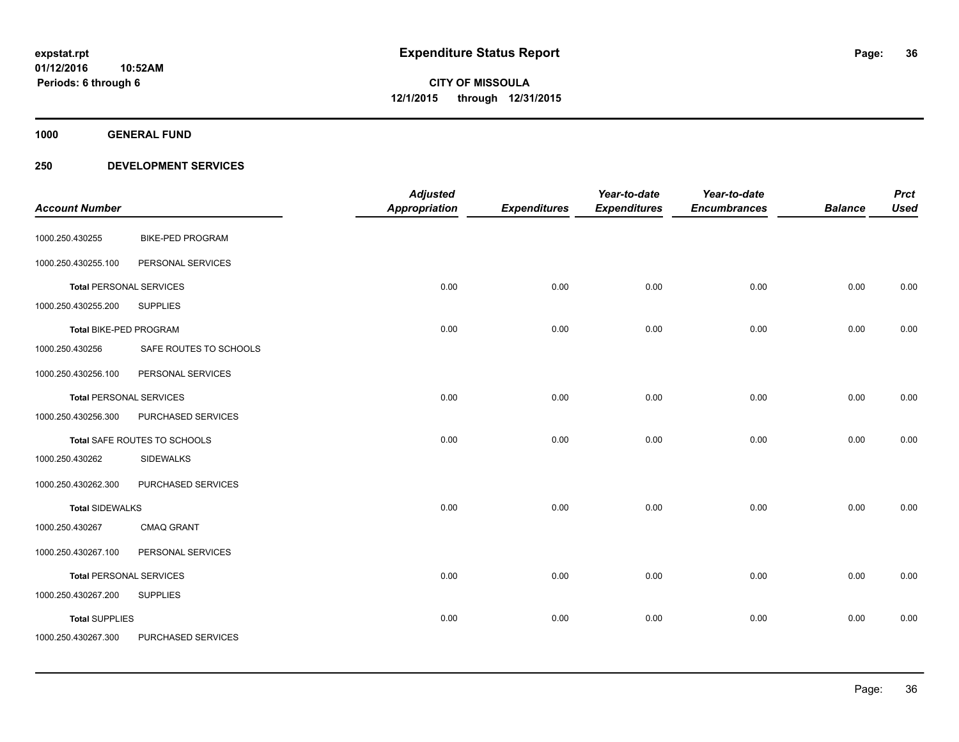**1000 GENERAL FUND**

|                                |                         | <b>Adjusted</b> |                     | Year-to-date        | Year-to-date        |                | <b>Prct</b> |
|--------------------------------|-------------------------|-----------------|---------------------|---------------------|---------------------|----------------|-------------|
| <b>Account Number</b>          |                         | Appropriation   | <b>Expenditures</b> | <b>Expenditures</b> | <b>Encumbrances</b> | <b>Balance</b> | <b>Used</b> |
| 1000.250.430255                | <b>BIKE-PED PROGRAM</b> |                 |                     |                     |                     |                |             |
| 1000.250.430255.100            | PERSONAL SERVICES       |                 |                     |                     |                     |                |             |
| <b>Total PERSONAL SERVICES</b> |                         | 0.00            | 0.00                | 0.00                | 0.00                | 0.00           | 0.00        |
| 1000.250.430255.200            | <b>SUPPLIES</b>         |                 |                     |                     |                     |                |             |
| Total BIKE-PED PROGRAM         |                         | 0.00            | 0.00                | 0.00                | 0.00                | 0.00           | 0.00        |
| 1000.250.430256                | SAFE ROUTES TO SCHOOLS  |                 |                     |                     |                     |                |             |
| 1000.250.430256.100            | PERSONAL SERVICES       |                 |                     |                     |                     |                |             |
| <b>Total PERSONAL SERVICES</b> |                         | 0.00            | 0.00                | 0.00                | 0.00                | 0.00           | 0.00        |
| 1000.250.430256.300            | PURCHASED SERVICES      |                 |                     |                     |                     |                |             |
| Total SAFE ROUTES TO SCHOOLS   |                         | 0.00            | 0.00                | 0.00                | 0.00                | 0.00           | 0.00        |
| 1000.250.430262                | <b>SIDEWALKS</b>        |                 |                     |                     |                     |                |             |
| 1000.250.430262.300            | PURCHASED SERVICES      |                 |                     |                     |                     |                |             |
| <b>Total SIDEWALKS</b>         |                         | 0.00            | 0.00                | 0.00                | 0.00                | 0.00           | 0.00        |
| 1000.250.430267                | <b>CMAQ GRANT</b>       |                 |                     |                     |                     |                |             |
| 1000.250.430267.100            | PERSONAL SERVICES       |                 |                     |                     |                     |                |             |
| <b>Total PERSONAL SERVICES</b> |                         | 0.00            | 0.00                | 0.00                | 0.00                | 0.00           | 0.00        |
| 1000.250.430267.200            | <b>SUPPLIES</b>         |                 |                     |                     |                     |                |             |
| <b>Total SUPPLIES</b>          |                         | 0.00            | 0.00                | 0.00                | 0.00                | 0.00           | 0.00        |
| 1000.250.430267.300            | PURCHASED SERVICES      |                 |                     |                     |                     |                |             |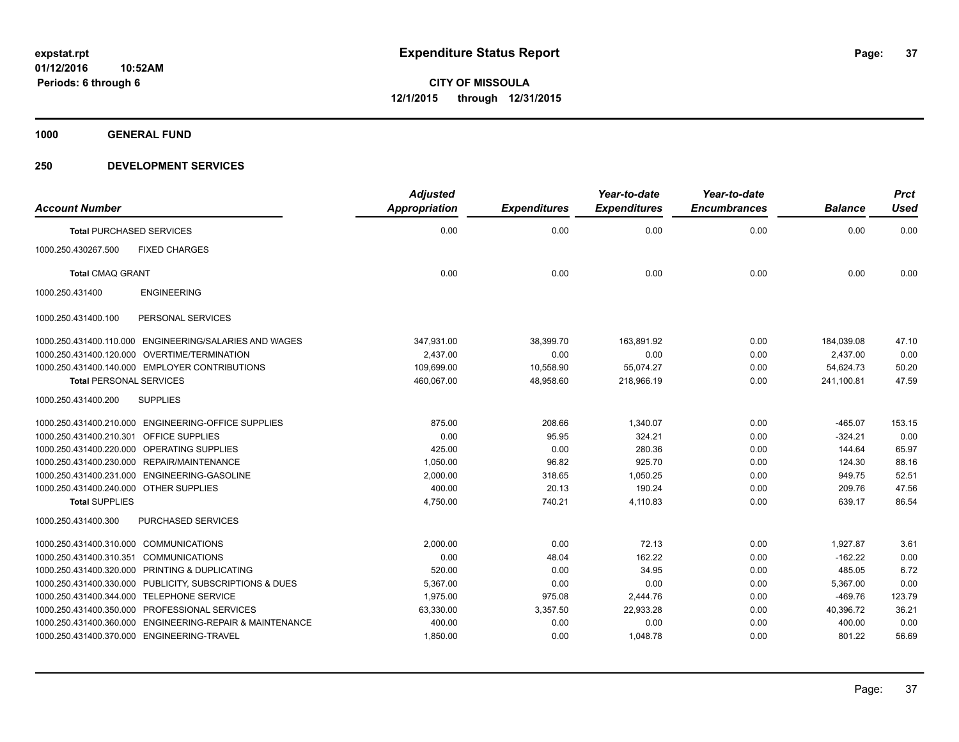**1000 GENERAL FUND**

## **250 DEVELOPMENT SERVICES**

| <b>Account Number</b>                                    | <b>Adjusted</b><br><b>Appropriation</b> | <b>Expenditures</b> | Year-to-date<br><b>Expenditures</b> | Year-to-date<br><b>Encumbrances</b> | <b>Balance</b> | <b>Prct</b><br><b>Used</b> |
|----------------------------------------------------------|-----------------------------------------|---------------------|-------------------------------------|-------------------------------------|----------------|----------------------------|
| <b>Total PURCHASED SERVICES</b>                          | 0.00                                    | 0.00                | 0.00                                | 0.00                                | 0.00           | 0.00                       |
| <b>FIXED CHARGES</b><br>1000.250.430267.500              |                                         |                     |                                     |                                     |                |                            |
| <b>Total CMAQ GRANT</b>                                  | 0.00                                    | 0.00                | 0.00                                | 0.00                                | 0.00           | 0.00                       |
| <b>ENGINEERING</b><br>1000.250.431400                    |                                         |                     |                                     |                                     |                |                            |
| PERSONAL SERVICES<br>1000.250.431400.100                 |                                         |                     |                                     |                                     |                |                            |
| 1000.250.431400.110.000 ENGINEERING/SALARIES AND WAGES   | 347,931.00                              | 38,399.70           | 163,891.92                          | 0.00                                | 184,039.08     | 47.10                      |
| 1000.250.431400.120.000 OVERTIME/TERMINATION             | 2,437.00                                | 0.00                | 0.00                                | 0.00                                | 2,437.00       | 0.00                       |
| 1000.250.431400.140.000 EMPLOYER CONTRIBUTIONS           | 109.699.00                              | 10.558.90           | 55.074.27                           | 0.00                                | 54.624.73      | 50.20                      |
| <b>Total PERSONAL SERVICES</b>                           | 460,067.00                              | 48,958.60           | 218,966.19                          | 0.00                                | 241,100.81     | 47.59                      |
| 1000.250.431400.200<br><b>SUPPLIES</b>                   |                                         |                     |                                     |                                     |                |                            |
| 1000.250.431400.210.000 ENGINEERING-OFFICE SUPPLIES      | 875.00                                  | 208.66              | 1,340.07                            | 0.00                                | $-465.07$      | 153.15                     |
| 1000.250.431400.210.301<br><b>OFFICE SUPPLIES</b>        | 0.00                                    | 95.95               | 324.21                              | 0.00                                | $-324.21$      | 0.00                       |
| 1000.250.431400.220.000 OPERATING SUPPLIES               | 425.00                                  | 0.00                | 280.36                              | 0.00                                | 144.64         | 65.97                      |
| 1000.250.431400.230.000 REPAIR/MAINTENANCE               | 1,050.00                                | 96.82               | 925.70                              | 0.00                                | 124.30         | 88.16                      |
| 1000.250.431400.231.000 ENGINEERING-GASOLINE             | 2,000.00                                | 318.65              | 1,050.25                            | 0.00                                | 949.75         | 52.51                      |
| 1000.250.431400.240.000 OTHER SUPPLIES                   | 400.00                                  | 20.13               | 190.24                              | 0.00                                | 209.76         | 47.56                      |
| <b>Total SUPPLIES</b>                                    | 4,750.00                                | 740.21              | 4,110.83                            | 0.00                                | 639.17         | 86.54                      |
| 1000.250.431400.300<br>PURCHASED SERVICES                |                                         |                     |                                     |                                     |                |                            |
| 1000.250.431400.310.000 COMMUNICATIONS                   | 2.000.00                                | 0.00                | 72.13                               | 0.00                                | 1.927.87       | 3.61                       |
| 1000.250.431400.310.351<br><b>COMMUNICATIONS</b>         | 0.00                                    | 48.04               | 162.22                              | 0.00                                | $-162.22$      | 0.00                       |
| 1000.250.431400.320.000 PRINTING & DUPLICATING           | 520.00                                  | 0.00                | 34.95                               | 0.00                                | 485.05         | 6.72                       |
| 1000.250.431400.330.000 PUBLICITY, SUBSCRIPTIONS & DUES  | 5,367.00                                | 0.00                | 0.00                                | 0.00                                | 5,367.00       | 0.00                       |
| 1000.250.431400.344.000 TELEPHONE SERVICE                | 1,975.00                                | 975.08              | 2,444.76                            | 0.00                                | $-469.76$      | 123.79                     |
| 1000.250.431400.350.000 PROFESSIONAL SERVICES            | 63,330.00                               | 3,357.50            | 22,933.28                           | 0.00                                | 40,396.72      | 36.21                      |
| 1000.250.431400.360.000 ENGINEERING-REPAIR & MAINTENANCE | 400.00                                  | 0.00                | 0.00                                | 0.00                                | 400.00         | 0.00                       |
| 1000.250.431400.370.000 ENGINEERING-TRAVEL               | 1,850.00                                | 0.00                | 1,048.78                            | 0.00                                | 801.22         | 56.69                      |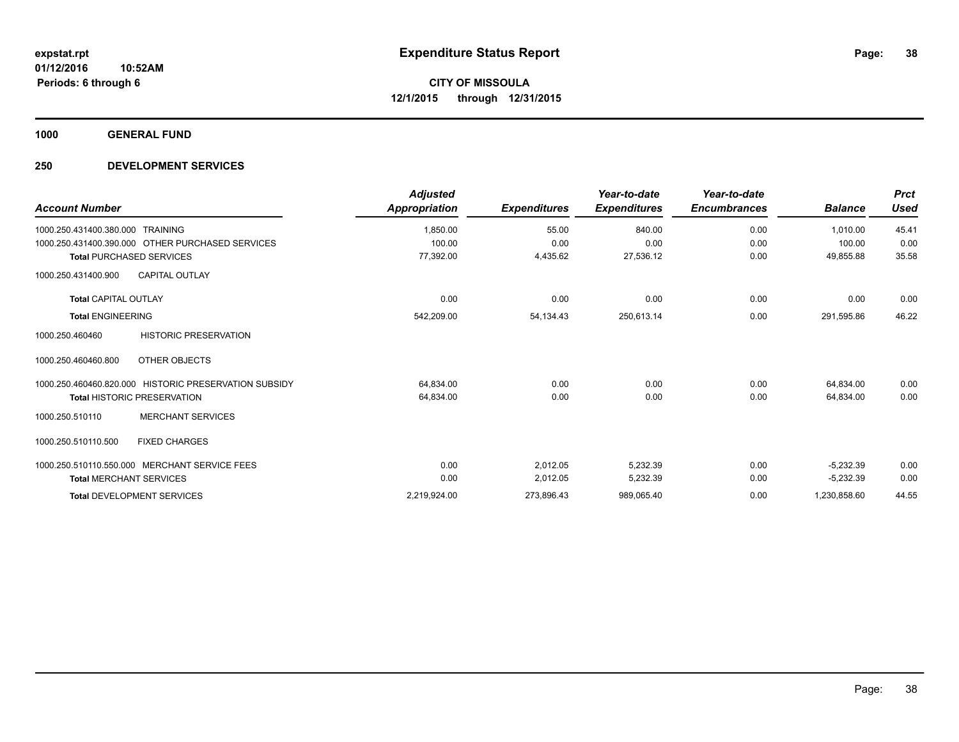**1000 GENERAL FUND**

## **250 DEVELOPMENT SERVICES**

| <b>Account Number</b>                                 | <b>Adjusted</b><br>Appropriation | <b>Expenditures</b> | Year-to-date<br><b>Expenditures</b> | Year-to-date<br><b>Encumbrances</b> | <b>Balance</b> | <b>Prct</b><br><b>Used</b> |
|-------------------------------------------------------|----------------------------------|---------------------|-------------------------------------|-------------------------------------|----------------|----------------------------|
| 1000.250.431400.380.000 TRAINING                      | 1,850.00                         | 55.00               | 840.00                              | 0.00                                | 1,010.00       | 45.41                      |
| 1000.250.431400.390.000 OTHER PURCHASED SERVICES      | 100.00                           | 0.00                | 0.00                                | 0.00                                | 100.00         | 0.00                       |
| <b>Total PURCHASED SERVICES</b>                       | 77,392.00                        | 4,435.62            | 27,536.12                           | 0.00                                | 49,855.88      | 35.58                      |
| 1000.250.431400.900<br><b>CAPITAL OUTLAY</b>          |                                  |                     |                                     |                                     |                |                            |
| <b>Total CAPITAL OUTLAY</b>                           | 0.00                             | 0.00                | 0.00                                | 0.00                                | 0.00           | 0.00                       |
| <b>Total ENGINEERING</b>                              | 542,209.00                       | 54,134.43           | 250,613.14                          | 0.00                                | 291,595.86     | 46.22                      |
| <b>HISTORIC PRESERVATION</b><br>1000.250.460460       |                                  |                     |                                     |                                     |                |                            |
| OTHER OBJECTS<br>1000.250.460460.800                  |                                  |                     |                                     |                                     |                |                            |
| 1000.250.460460.820.000 HISTORIC PRESERVATION SUBSIDY | 64,834.00                        | 0.00                | 0.00                                | 0.00                                | 64,834.00      | 0.00                       |
| <b>Total HISTORIC PRESERVATION</b>                    | 64,834.00                        | 0.00                | 0.00                                | 0.00                                | 64,834.00      | 0.00                       |
| <b>MERCHANT SERVICES</b><br>1000.250.510110           |                                  |                     |                                     |                                     |                |                            |
| <b>FIXED CHARGES</b><br>1000.250.510110.500           |                                  |                     |                                     |                                     |                |                            |
| 1000.250.510110.550.000 MERCHANT SERVICE FEES         | 0.00                             | 2.012.05            | 5,232.39                            | 0.00                                | $-5.232.39$    | 0.00                       |
| <b>Total MERCHANT SERVICES</b>                        | 0.00                             | 2,012.05            | 5,232.39                            | 0.00                                | $-5,232.39$    | 0.00                       |
| <b>Total DEVELOPMENT SERVICES</b>                     | 2,219,924.00                     | 273,896.43          | 989,065.40                          | 0.00                                | 1,230,858.60   | 44.55                      |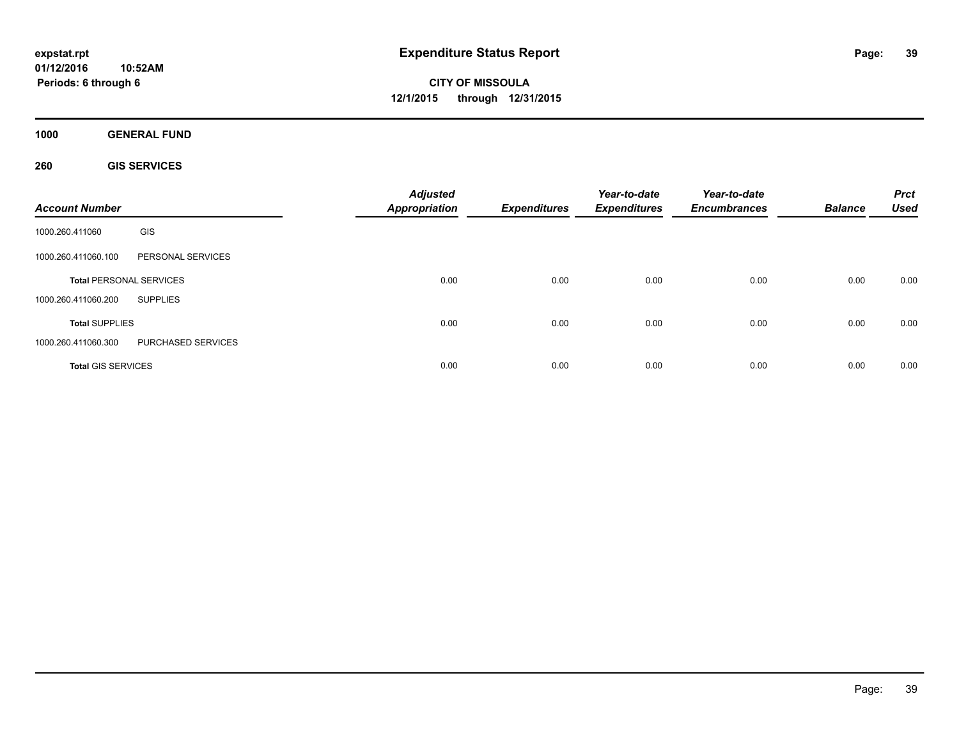**CITY OF MISSOULA 12/1/2015 through 12/31/2015**

**1000 GENERAL FUND**

**260 GIS SERVICES**

| <b>Account Number</b>     |                                | <b>Adjusted</b><br><b>Appropriation</b> | <b>Expenditures</b> | Year-to-date<br><b>Expenditures</b> | Year-to-date<br><b>Encumbrances</b> | <b>Balance</b> | <b>Prct</b><br><b>Used</b> |
|---------------------------|--------------------------------|-----------------------------------------|---------------------|-------------------------------------|-------------------------------------|----------------|----------------------------|
| 1000.260.411060           | GIS                            |                                         |                     |                                     |                                     |                |                            |
| 1000.260.411060.100       | PERSONAL SERVICES              |                                         |                     |                                     |                                     |                |                            |
|                           | <b>Total PERSONAL SERVICES</b> | 0.00                                    | 0.00                | 0.00                                | 0.00                                | 0.00           | 0.00                       |
| 1000.260.411060.200       | <b>SUPPLIES</b>                |                                         |                     |                                     |                                     |                |                            |
| <b>Total SUPPLIES</b>     |                                | 0.00                                    | 0.00                | 0.00                                | 0.00                                | 0.00           | 0.00                       |
| 1000.260.411060.300       | <b>PURCHASED SERVICES</b>      |                                         |                     |                                     |                                     |                |                            |
| <b>Total GIS SERVICES</b> |                                | 0.00                                    | 0.00                | 0.00                                | 0.00                                | 0.00           | 0.00                       |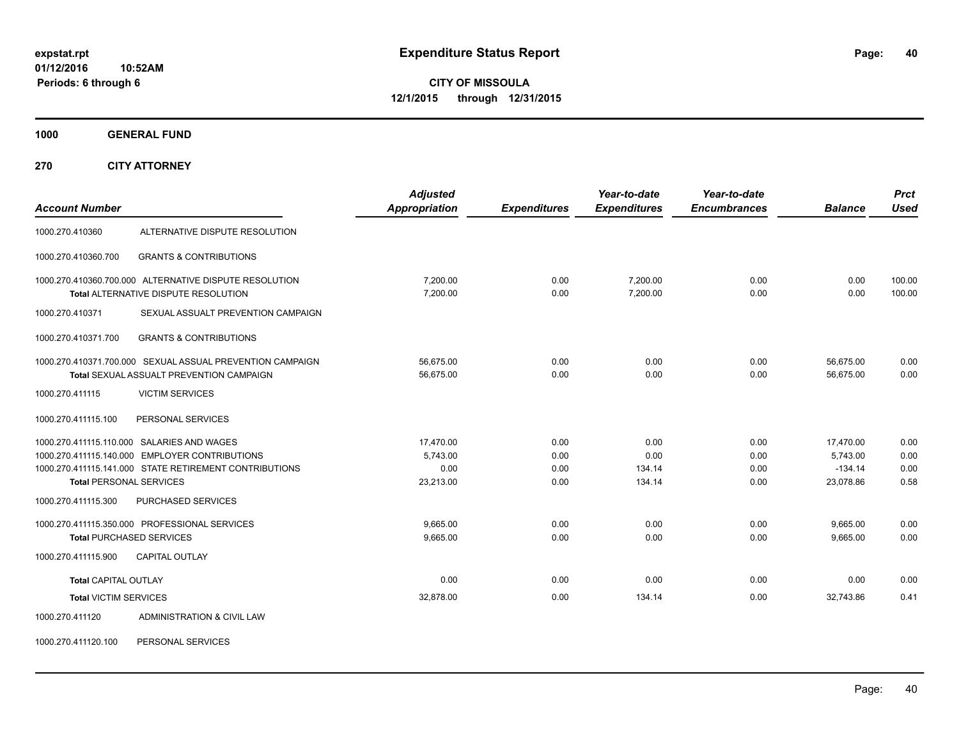**CITY OF MISSOULA 12/1/2015 through 12/31/2015**

**1000 GENERAL FUND**

**270 CITY ATTORNEY**

| <b>Account Number</b>                                     |                                                                                                                                | <b>Adjusted</b><br>Appropriation           | <b>Expenditures</b>          | Year-to-date<br><b>Expenditures</b> | Year-to-date<br><b>Encumbrances</b> | <b>Balance</b>                                  | <b>Prct</b><br><b>Used</b>   |
|-----------------------------------------------------------|--------------------------------------------------------------------------------------------------------------------------------|--------------------------------------------|------------------------------|-------------------------------------|-------------------------------------|-------------------------------------------------|------------------------------|
| 1000.270.410360                                           | ALTERNATIVE DISPUTE RESOLUTION                                                                                                 |                                            |                              |                                     |                                     |                                                 |                              |
| 1000.270.410360.700                                       | <b>GRANTS &amp; CONTRIBUTIONS</b>                                                                                              |                                            |                              |                                     |                                     |                                                 |                              |
|                                                           | 1000.270.410360.700.000 ALTERNATIVE DISPUTE RESOLUTION<br>Total ALTERNATIVE DISPUTE RESOLUTION                                 | 7,200.00<br>7,200.00                       | 0.00<br>0.00                 | 7.200.00<br>7,200.00                | 0.00<br>0.00                        | 0.00<br>0.00                                    | 100.00<br>100.00             |
| 1000.270.410371                                           | SEXUAL ASSUALT PREVENTION CAMPAIGN                                                                                             |                                            |                              |                                     |                                     |                                                 |                              |
| 1000.270.410371.700                                       | <b>GRANTS &amp; CONTRIBUTIONS</b>                                                                                              |                                            |                              |                                     |                                     |                                                 |                              |
|                                                           | 1000.270.410371.700.000 SEXUAL ASSUAL PREVENTION CAMPAIGN<br>Total SEXUAL ASSUALT PREVENTION CAMPAIGN                          | 56,675.00<br>56,675.00                     | 0.00<br>0.00                 | 0.00<br>0.00                        | 0.00<br>0.00                        | 56,675.00<br>56,675.00                          | 0.00<br>0.00                 |
| 1000.270.411115                                           | <b>VICTIM SERVICES</b>                                                                                                         |                                            |                              |                                     |                                     |                                                 |                              |
| 1000.270.411115.100                                       | PERSONAL SERVICES                                                                                                              |                                            |                              |                                     |                                     |                                                 |                              |
| 1000.270.411115.110.000<br><b>Total PERSONAL SERVICES</b> | SALARIES AND WAGES<br>1000.270.411115.140.000 EMPLOYER CONTRIBUTIONS<br>1000.270.411115.141.000 STATE RETIREMENT CONTRIBUTIONS | 17,470.00<br>5,743.00<br>0.00<br>23,213.00 | 0.00<br>0.00<br>0.00<br>0.00 | 0.00<br>0.00<br>134.14<br>134.14    | 0.00<br>0.00<br>0.00<br>0.00        | 17,470.00<br>5,743.00<br>$-134.14$<br>23.078.86 | 0.00<br>0.00<br>0.00<br>0.58 |
| 1000.270.411115.300                                       | <b>PURCHASED SERVICES</b>                                                                                                      |                                            |                              |                                     |                                     |                                                 |                              |
|                                                           | 1000.270.411115.350.000 PROFESSIONAL SERVICES<br><b>Total PURCHASED SERVICES</b>                                               | 9.665.00<br>9,665.00                       | 0.00<br>0.00                 | 0.00<br>0.00                        | 0.00<br>0.00                        | 9,665.00<br>9,665.00                            | 0.00<br>0.00                 |
| 1000.270.411115.900                                       | <b>CAPITAL OUTLAY</b>                                                                                                          |                                            |                              |                                     |                                     |                                                 |                              |
| <b>Total CAPITAL OUTLAY</b>                               |                                                                                                                                | 0.00                                       | 0.00                         | 0.00                                | 0.00                                | 0.00                                            | 0.00                         |
| <b>Total VICTIM SERVICES</b>                              |                                                                                                                                | 32,878.00                                  | 0.00                         | 134.14                              | 0.00                                | 32,743.86                                       | 0.41                         |
| 1000.270.411120                                           | ADMINISTRATION & CIVIL LAW                                                                                                     |                                            |                              |                                     |                                     |                                                 |                              |

1000.270.411120.100 PERSONAL SERVICES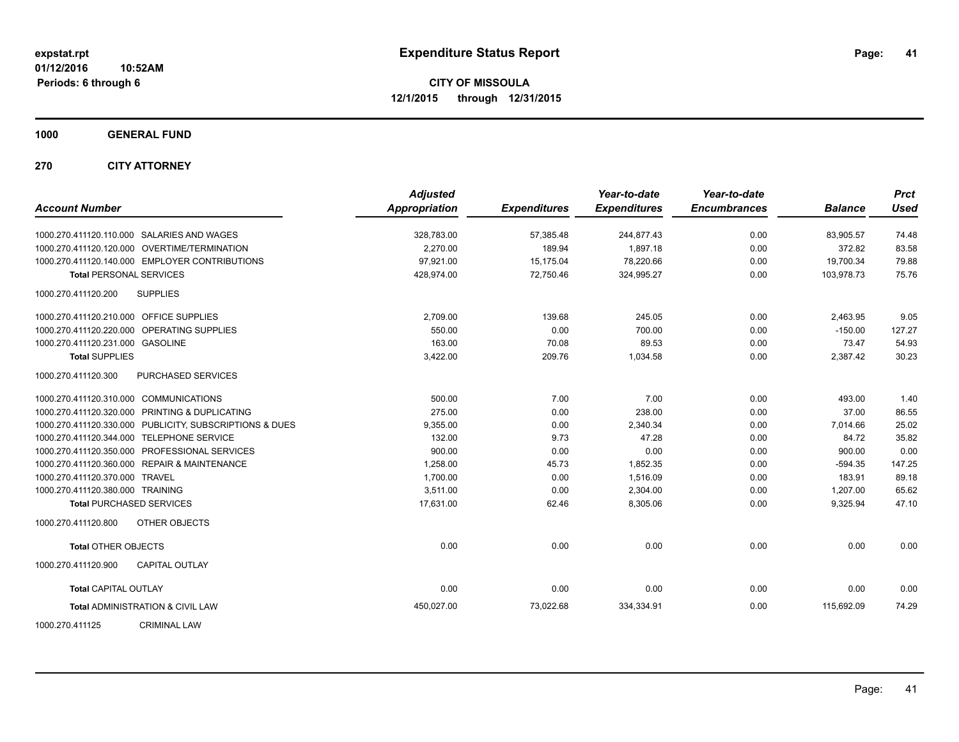**1000 GENERAL FUND**

**270 CITY ATTORNEY**

| <b>Account Number</b>                   |                                                         | <b>Adjusted</b><br><b>Appropriation</b> | <b>Expenditures</b> | Year-to-date<br><b>Expenditures</b> | Year-to-date<br><b>Encumbrances</b> | <b>Balance</b> | <b>Prct</b><br><b>Used</b> |
|-----------------------------------------|---------------------------------------------------------|-----------------------------------------|---------------------|-------------------------------------|-------------------------------------|----------------|----------------------------|
|                                         | 1000.270.411120.110.000 SALARIES AND WAGES              | 328,783.00                              | 57,385.48           | 244,877.43                          | 0.00                                | 83,905.57      | 74.48                      |
|                                         | 1000.270.411120.120.000 OVERTIME/TERMINATION            | 2.270.00                                | 189.94              | 1.897.18                            | 0.00                                | 372.82         | 83.58                      |
|                                         | 1000.270.411120.140.000 EMPLOYER CONTRIBUTIONS          | 97,921.00                               | 15,175.04           | 78,220.66                           | 0.00                                | 19,700.34      | 79.88                      |
| <b>Total PERSONAL SERVICES</b>          |                                                         | 428,974.00                              | 72,750.46           | 324,995.27                          | 0.00                                | 103,978.73     | 75.76                      |
| 1000.270.411120.200                     | <b>SUPPLIES</b>                                         |                                         |                     |                                     |                                     |                |                            |
| 1000.270.411120.210.000 OFFICE SUPPLIES |                                                         | 2,709.00                                | 139.68              | 245.05                              | 0.00                                | 2,463.95       | 9.05                       |
|                                         | 1000.270.411120.220.000 OPERATING SUPPLIES              | 550.00                                  | 0.00                | 700.00                              | 0.00                                | $-150.00$      | 127.27                     |
| 1000.270.411120.231.000 GASOLINE        |                                                         | 163.00                                  | 70.08               | 89.53                               | 0.00                                | 73.47          | 54.93                      |
| <b>Total SUPPLIES</b>                   |                                                         | 3,422.00                                | 209.76              | 1,034.58                            | 0.00                                | 2,387.42       | 30.23                      |
| 1000.270.411120.300                     | PURCHASED SERVICES                                      |                                         |                     |                                     |                                     |                |                            |
| 1000.270.411120.310.000 COMMUNICATIONS  |                                                         | 500.00                                  | 7.00                | 7.00                                | 0.00                                | 493.00         | 1.40                       |
|                                         | 1000.270.411120.320.000 PRINTING & DUPLICATING          | 275.00                                  | 0.00                | 238.00                              | 0.00                                | 37.00          | 86.55                      |
|                                         | 1000.270.411120.330.000 PUBLICITY, SUBSCRIPTIONS & DUES | 9,355.00                                | 0.00                | 2,340.34                            | 0.00                                | 7,014.66       | 25.02                      |
|                                         | 1000.270.411120.344.000 TELEPHONE SERVICE               | 132.00                                  | 9.73                | 47.28                               | 0.00                                | 84.72          | 35.82                      |
|                                         | 1000.270.411120.350.000 PROFESSIONAL SERVICES           | 900.00                                  | 0.00                | 0.00                                | 0.00                                | 900.00         | 0.00                       |
|                                         | 1000.270.411120.360.000 REPAIR & MAINTENANCE            | 1,258.00                                | 45.73               | 1,852.35                            | 0.00                                | $-594.35$      | 147.25                     |
| 1000.270.411120.370.000 TRAVEL          |                                                         | 1,700.00                                | 0.00                | 1,516.09                            | 0.00                                | 183.91         | 89.18                      |
| 1000.270.411120.380.000 TRAINING        |                                                         | 3,511.00                                | 0.00                | 2,304.00                            | 0.00                                | 1,207.00       | 65.62                      |
| <b>Total PURCHASED SERVICES</b>         |                                                         | 17,631.00                               | 62.46               | 8,305.06                            | 0.00                                | 9,325.94       | 47.10                      |
| 1000.270.411120.800                     | <b>OTHER OBJECTS</b>                                    |                                         |                     |                                     |                                     |                |                            |
| <b>Total OTHER OBJECTS</b>              |                                                         | 0.00                                    | 0.00                | 0.00                                | 0.00                                | 0.00           | 0.00                       |
| 1000.270.411120.900                     | <b>CAPITAL OUTLAY</b>                                   |                                         |                     |                                     |                                     |                |                            |
| <b>Total CAPITAL OUTLAY</b>             |                                                         | 0.00                                    | 0.00                | 0.00                                | 0.00                                | 0.00           | 0.00                       |
|                                         | <b>Total ADMINISTRATION &amp; CIVIL LAW</b>             | 450,027.00                              | 73,022.68           | 334,334.91                          | 0.00                                | 115.692.09     | 74.29                      |
| 1000.270.411125                         | <b>CRIMINAL LAW</b>                                     |                                         |                     |                                     |                                     |                |                            |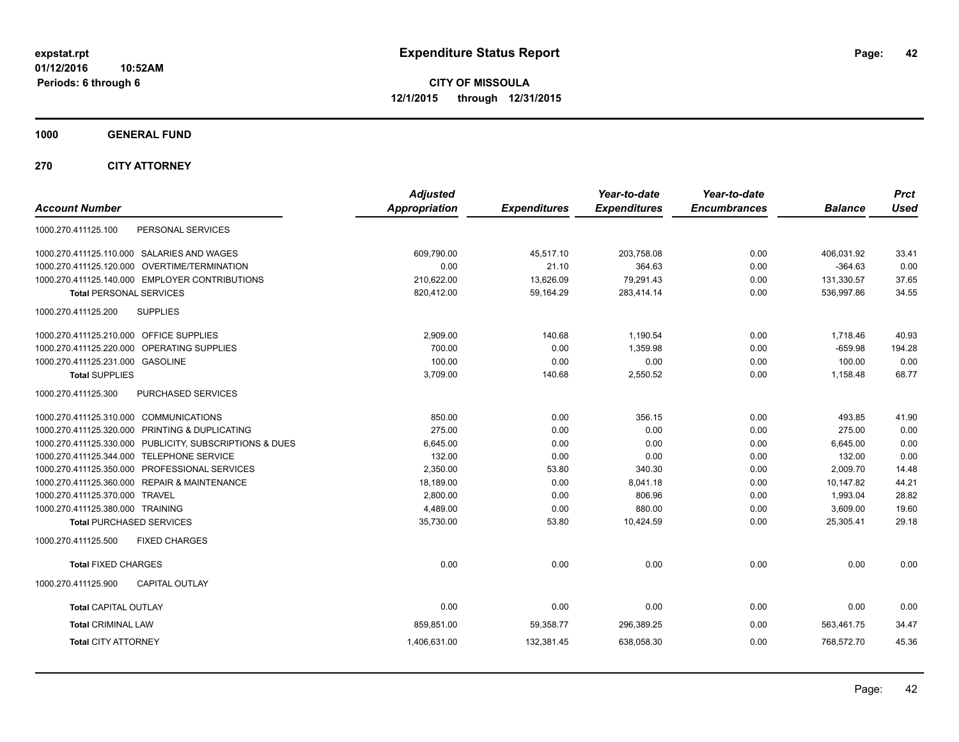**CITY OF MISSOULA 12/1/2015 through 12/31/2015**

**1000 GENERAL FUND**

**270 CITY ATTORNEY**

| <b>Account Number</b>                                   | <b>Adjusted</b><br><b>Appropriation</b> | <b>Expenditures</b> | Year-to-date<br><b>Expenditures</b> | Year-to-date<br><b>Encumbrances</b> | <b>Balance</b> | <b>Prct</b><br><b>Used</b> |
|---------------------------------------------------------|-----------------------------------------|---------------------|-------------------------------------|-------------------------------------|----------------|----------------------------|
| PERSONAL SERVICES<br>1000.270.411125.100                |                                         |                     |                                     |                                     |                |                            |
| 1000.270.411125.110.000 SALARIES AND WAGES              | 609,790.00                              | 45,517.10           | 203,758.08                          | 0.00                                | 406,031.92     | 33.41                      |
| 1000.270.411125.120.000 OVERTIME/TERMINATION            | 0.00                                    | 21.10               | 364.63                              | 0.00                                | $-364.63$      | 0.00                       |
| 1000.270.411125.140.000 EMPLOYER CONTRIBUTIONS          | 210,622.00                              | 13,626.09           | 79,291.43                           | 0.00                                | 131,330.57     | 37.65                      |
| <b>Total PERSONAL SERVICES</b>                          | 820,412.00                              | 59,164.29           | 283,414.14                          | 0.00                                | 536,997.86     | 34.55                      |
| 1000.270.411125.200<br><b>SUPPLIES</b>                  |                                         |                     |                                     |                                     |                |                            |
| 1000.270.411125.210.000 OFFICE SUPPLIES                 | 2,909.00                                | 140.68              | 1,190.54                            | 0.00                                | 1.718.46       | 40.93                      |
| OPERATING SUPPLIES<br>1000.270.411125.220.000           | 700.00                                  | 0.00                | 1,359.98                            | 0.00                                | $-659.98$      | 194.28                     |
| 1000.270.411125.231.000 GASOLINE                        | 100.00                                  | 0.00                | 0.00                                | 0.00                                | 100.00         | 0.00                       |
| <b>Total SUPPLIES</b>                                   | 3,709.00                                | 140.68              | 2,550.52                            | 0.00                                | 1,158.48       | 68.77                      |
| 1000.270.411125.300<br>PURCHASED SERVICES               |                                         |                     |                                     |                                     |                |                            |
| 1000.270.411125.310.000 COMMUNICATIONS                  | 850.00                                  | 0.00                | 356.15                              | 0.00                                | 493.85         | 41.90                      |
| 1000.270.411125.320.000 PRINTING & DUPLICATING          | 275.00                                  | 0.00                | 0.00                                | 0.00                                | 275.00         | 0.00                       |
| 1000.270.411125.330.000 PUBLICITY, SUBSCRIPTIONS & DUES | 6,645.00                                | 0.00                | 0.00                                | 0.00                                | 6,645.00       | 0.00                       |
| 1000.270.411125.344.000 TELEPHONE SERVICE               | 132.00                                  | 0.00                | 0.00                                | 0.00                                | 132.00         | 0.00                       |
| 1000.270.411125.350.000 PROFESSIONAL SERVICES           | 2,350.00                                | 53.80               | 340.30                              | 0.00                                | 2,009.70       | 14.48                      |
| 1000.270.411125.360.000 REPAIR & MAINTENANCE            | 18,189.00                               | 0.00                | 8,041.18                            | 0.00                                | 10,147.82      | 44.21                      |
| 1000.270.411125.370.000 TRAVEL                          | 2,800.00                                | 0.00                | 806.96                              | 0.00                                | 1,993.04       | 28.82                      |
| 1000.270.411125.380.000 TRAINING                        | 4.489.00                                | 0.00                | 880.00                              | 0.00                                | 3.609.00       | 19.60                      |
| <b>Total PURCHASED SERVICES</b>                         | 35,730.00                               | 53.80               | 10,424.59                           | 0.00                                | 25,305.41      | 29.18                      |
| 1000.270.411125.500<br><b>FIXED CHARGES</b>             |                                         |                     |                                     |                                     |                |                            |
| <b>Total FIXED CHARGES</b>                              | 0.00                                    | 0.00                | 0.00                                | 0.00                                | 0.00           | 0.00                       |
| <b>CAPITAL OUTLAY</b><br>1000.270.411125.900            |                                         |                     |                                     |                                     |                |                            |
| <b>Total CAPITAL OUTLAY</b>                             | 0.00                                    | 0.00                | 0.00                                | 0.00                                | 0.00           | 0.00                       |
| <b>Total CRIMINAL LAW</b>                               | 859,851.00                              | 59,358.77           | 296,389.25                          | 0.00                                | 563,461.75     | 34.47                      |
| <b>Total CITY ATTORNEY</b>                              | 1,406,631.00                            | 132,381.45          | 638,058.30                          | 0.00                                | 768,572.70     | 45.36                      |
|                                                         |                                         |                     |                                     |                                     |                |                            |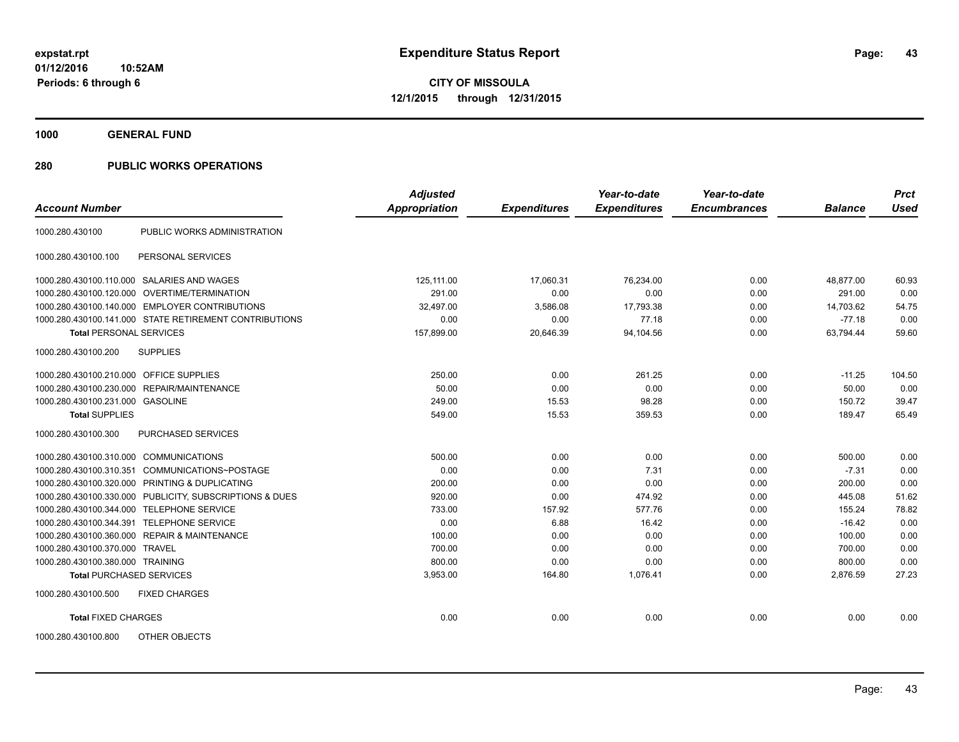**1000 GENERAL FUND**

| <b>Account Number</b>                   |                                                         | <b>Adjusted</b><br><b>Appropriation</b> | <b>Expenditures</b> | Year-to-date<br><b>Expenditures</b> | Year-to-date<br><b>Encumbrances</b> | <b>Balance</b> | <b>Prct</b><br><b>Used</b> |
|-----------------------------------------|---------------------------------------------------------|-----------------------------------------|---------------------|-------------------------------------|-------------------------------------|----------------|----------------------------|
|                                         |                                                         |                                         |                     |                                     |                                     |                |                            |
| 1000.280.430100                         | PUBLIC WORKS ADMINISTRATION                             |                                         |                     |                                     |                                     |                |                            |
| 1000.280.430100.100                     | PERSONAL SERVICES                                       |                                         |                     |                                     |                                     |                |                            |
|                                         | 1000.280.430100.110.000 SALARIES AND WAGES              | 125.111.00                              | 17.060.31           | 76.234.00                           | 0.00                                | 48.877.00      | 60.93                      |
|                                         | 1000.280.430100.120.000 OVERTIME/TERMINATION            | 291.00                                  | 0.00                | 0.00                                | 0.00                                | 291.00         | 0.00                       |
|                                         | 1000.280.430100.140.000 EMPLOYER CONTRIBUTIONS          | 32,497.00                               | 3,586.08            | 17,793.38                           | 0.00                                | 14,703.62      | 54.75                      |
|                                         | 1000.280.430100.141.000 STATE RETIREMENT CONTRIBUTIONS  | 0.00                                    | 0.00                | 77.18                               | 0.00                                | $-77.18$       | 0.00                       |
| <b>Total PERSONAL SERVICES</b>          |                                                         | 157,899.00                              | 20,646.39           | 94,104.56                           | 0.00                                | 63,794.44      | 59.60                      |
| 1000.280.430100.200                     | <b>SUPPLIES</b>                                         |                                         |                     |                                     |                                     |                |                            |
| 1000.280.430100.210.000 OFFICE SUPPLIES |                                                         | 250.00                                  | 0.00                | 261.25                              | 0.00                                | $-11.25$       | 104.50                     |
|                                         | 1000.280.430100.230.000 REPAIR/MAINTENANCE              | 50.00                                   | 0.00                | 0.00                                | 0.00                                | 50.00          | 0.00                       |
| 1000.280.430100.231.000 GASOLINE        |                                                         | 249.00                                  | 15.53               | 98.28                               | 0.00                                | 150.72         | 39.47                      |
| <b>Total SUPPLIES</b>                   |                                                         | 549.00                                  | 15.53               | 359.53                              | 0.00                                | 189.47         | 65.49                      |
| 1000.280.430100.300                     | <b>PURCHASED SERVICES</b>                               |                                         |                     |                                     |                                     |                |                            |
| 1000.280.430100.310.000 COMMUNICATIONS  |                                                         | 500.00                                  | 0.00                | 0.00                                | 0.00                                | 500.00         | 0.00                       |
| 1000.280.430100.310.351                 | COMMUNICATIONS~POSTAGE                                  | 0.00                                    | 0.00                | 7.31                                | 0.00                                | $-7.31$        | 0.00                       |
|                                         | 1000.280.430100.320.000 PRINTING & DUPLICATING          | 200.00                                  | 0.00                | 0.00                                | 0.00                                | 200.00         | 0.00                       |
|                                         | 1000.280.430100.330.000 PUBLICITY, SUBSCRIPTIONS & DUES | 920.00                                  | 0.00                | 474.92                              | 0.00                                | 445.08         | 51.62                      |
| 1000.280.430100.344.000                 | <b>TELEPHONE SERVICE</b>                                | 733.00                                  | 157.92              | 577.76                              | 0.00                                | 155.24         | 78.82                      |
| 1000.280.430100.344.391                 | <b>TELEPHONE SERVICE</b>                                | 0.00                                    | 6.88                | 16.42                               | 0.00                                | $-16.42$       | 0.00                       |
|                                         | 1000.280.430100.360.000 REPAIR & MAINTENANCE            | 100.00                                  | 0.00                | 0.00                                | 0.00                                | 100.00         | 0.00                       |
| 1000.280.430100.370.000 TRAVEL          |                                                         | 700.00                                  | 0.00                | 0.00                                | 0.00                                | 700.00         | 0.00                       |
| 1000.280.430100.380.000 TRAINING        |                                                         | 800.00                                  | 0.00                | 0.00                                | 0.00                                | 800.00         | 0.00                       |
| <b>Total PURCHASED SERVICES</b>         |                                                         | 3,953.00                                | 164.80              | 1,076.41                            | 0.00                                | 2,876.59       | 27.23                      |
| 1000.280.430100.500                     | <b>FIXED CHARGES</b>                                    |                                         |                     |                                     |                                     |                |                            |
| <b>Total FIXED CHARGES</b>              |                                                         | 0.00                                    | 0.00                | 0.00                                | 0.00                                | 0.00           | 0.00                       |
| 1000.280.430100.800                     | OTHER OBJECTS                                           |                                         |                     |                                     |                                     |                |                            |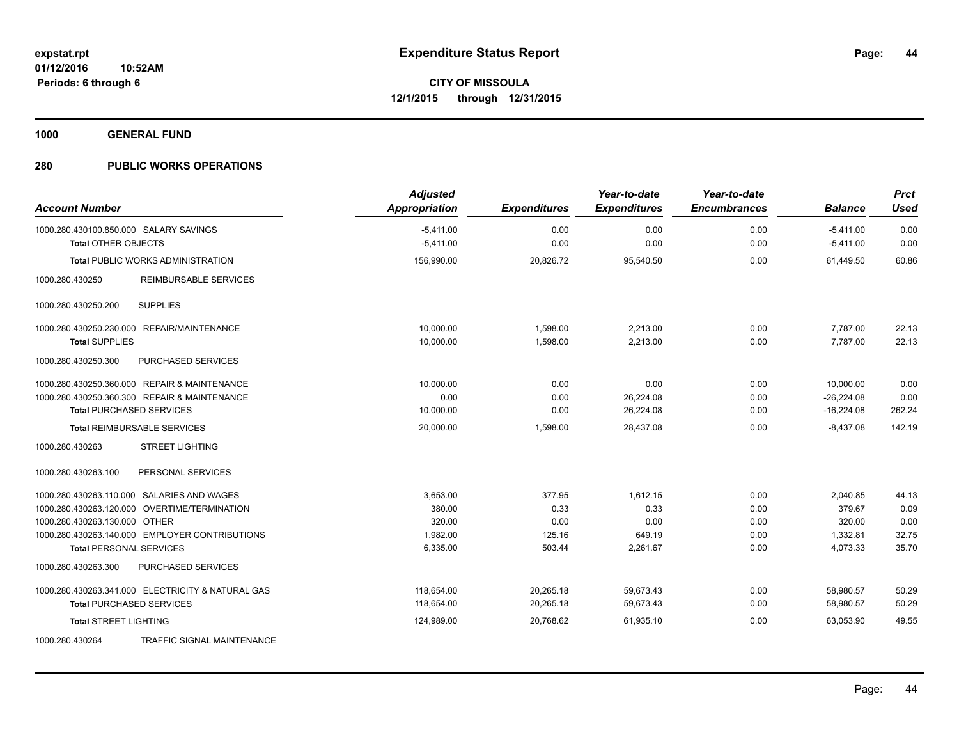**1000 GENERAL FUND**

| <b>Account Number</b>                                                | <b>Adjusted</b><br><b>Appropriation</b> | <b>Expenditures</b> | Year-to-date<br><b>Expenditures</b> | Year-to-date<br><b>Encumbrances</b> | <b>Balance</b>             | <b>Prct</b><br><b>Used</b> |
|----------------------------------------------------------------------|-----------------------------------------|---------------------|-------------------------------------|-------------------------------------|----------------------------|----------------------------|
| 1000.280.430100.850.000 SALARY SAVINGS<br><b>Total OTHER OBJECTS</b> | $-5,411.00$<br>$-5,411.00$              | 0.00<br>0.00        | 0.00<br>0.00                        | 0.00<br>0.00                        | $-5,411.00$<br>$-5,411.00$ | 0.00<br>0.00               |
| <b>Total PUBLIC WORKS ADMINISTRATION</b>                             | 156,990.00                              | 20,826.72           | 95,540.50                           | 0.00                                | 61,449.50                  | 60.86                      |
| 1000.280.430250<br><b>REIMBURSABLE SERVICES</b>                      |                                         |                     |                                     |                                     |                            |                            |
| <b>SUPPLIES</b><br>1000.280.430250.200                               |                                         |                     |                                     |                                     |                            |                            |
| 1000.280.430250.230.000 REPAIR/MAINTENANCE                           | 10,000.00                               | 1,598.00            | 2,213.00                            | 0.00                                | 7,787.00                   | 22.13                      |
| <b>Total SUPPLIES</b>                                                | 10,000.00                               | 1.598.00            | 2,213.00                            | 0.00                                | 7,787.00                   | 22.13                      |
| 1000.280.430250.300<br>PURCHASED SERVICES                            |                                         |                     |                                     |                                     |                            |                            |
| 1000.280.430250.360.000 REPAIR & MAINTENANCE                         | 10,000.00                               | 0.00                | 0.00                                | 0.00                                | 10.000.00                  | 0.00                       |
| 1000.280.430250.360.300 REPAIR & MAINTENANCE                         | 0.00                                    | 0.00                | 26,224.08                           | 0.00                                | $-26,224.08$               | 0.00                       |
| <b>Total PURCHASED SERVICES</b>                                      | 10,000.00                               | 0.00                | 26,224.08                           | 0.00                                | $-16,224.08$               | 262.24                     |
| <b>Total REIMBURSABLE SERVICES</b>                                   | 20,000.00                               | 1,598.00            | 28,437.08                           | 0.00                                | $-8,437.08$                | 142.19                     |
| <b>STREET LIGHTING</b><br>1000.280.430263                            |                                         |                     |                                     |                                     |                            |                            |
| 1000.280.430263.100<br>PERSONAL SERVICES                             |                                         |                     |                                     |                                     |                            |                            |
| 1000.280.430263.110.000 SALARIES AND WAGES                           | 3,653.00                                | 377.95              | 1,612.15                            | 0.00                                | 2,040.85                   | 44.13                      |
| 1000.280.430263.120.000 OVERTIME/TERMINATION                         | 380.00                                  | 0.33                | 0.33                                | 0.00                                | 379.67                     | 0.09                       |
| 1000.280.430263.130.000 OTHER                                        | 320.00                                  | 0.00                | 0.00                                | 0.00                                | 320.00                     | 0.00                       |
| 1000.280.430263.140.000 EMPLOYER CONTRIBUTIONS                       | 1,982.00                                | 125.16              | 649.19                              | 0.00                                | 1,332.81                   | 32.75                      |
| <b>Total PERSONAL SERVICES</b>                                       | 6,335.00                                | 503.44              | 2,261.67                            | 0.00                                | 4,073.33                   | 35.70                      |
| 1000.280.430263.300<br>PURCHASED SERVICES                            |                                         |                     |                                     |                                     |                            |                            |
| 1000.280.430263.341.000 ELECTRICITY & NATURAL GAS                    | 118,654.00                              | 20,265.18           | 59,673.43                           | 0.00                                | 58,980.57                  | 50.29                      |
| <b>Total PURCHASED SERVICES</b>                                      | 118,654.00                              | 20,265.18           | 59,673.43                           | 0.00                                | 58,980.57                  | 50.29                      |
| <b>Total STREET LIGHTING</b>                                         | 124,989.00                              | 20,768.62           | 61,935.10                           | 0.00                                | 63,053.90                  | 49.55                      |
| TRAFFIC SIGNAL MAINTENANCE<br>1000.280.430264                        |                                         |                     |                                     |                                     |                            |                            |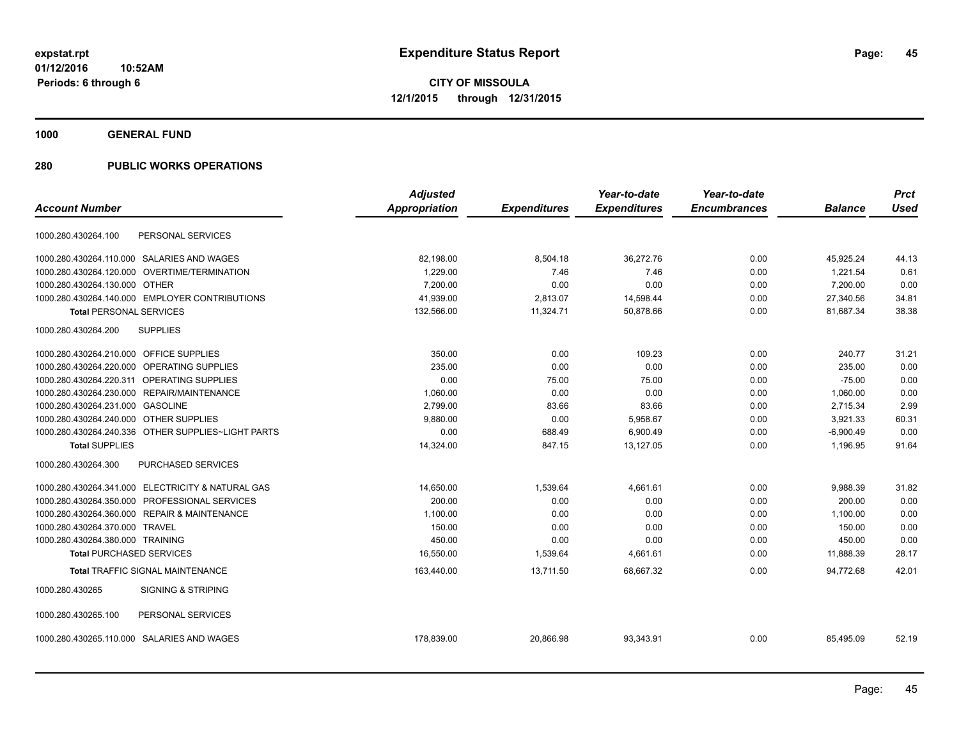**1000 GENERAL FUND**

|                                                    | <b>Adjusted</b>      |                     | Year-to-date        | Year-to-date        |                | <b>Prct</b> |
|----------------------------------------------------|----------------------|---------------------|---------------------|---------------------|----------------|-------------|
| <b>Account Number</b>                              | <b>Appropriation</b> | <b>Expenditures</b> | <b>Expenditures</b> | <b>Encumbrances</b> | <b>Balance</b> | <b>Used</b> |
| PERSONAL SERVICES<br>1000.280.430264.100           |                      |                     |                     |                     |                |             |
| 1000.280.430264.110.000 SALARIES AND WAGES         | 82,198.00            | 8,504.18            | 36,272.76           | 0.00                | 45,925.24      | 44.13       |
| 1000.280.430264.120.000<br>OVERTIME/TERMINATION    | 1,229.00             | 7.46                | 7.46                | 0.00                | 1,221.54       | 0.61        |
| 1000.280.430264.130.000<br>OTHER                   | 7.200.00             | 0.00                | 0.00                | 0.00                | 7,200.00       | 0.00        |
| 1000.280.430264.140.000 EMPLOYER CONTRIBUTIONS     | 41,939.00            | 2,813.07            | 14,598.44           | 0.00                | 27,340.56      | 34.81       |
| <b>Total PERSONAL SERVICES</b>                     | 132,566.00           | 11,324.71           | 50,878.66           | 0.00                | 81,687.34      | 38.38       |
| 1000.280.430264.200<br><b>SUPPLIES</b>             |                      |                     |                     |                     |                |             |
| 1000.280.430264.210.000 OFFICE SUPPLIES            | 350.00               | 0.00                | 109.23              | 0.00                | 240.77         | 31.21       |
| 1000.280.430264.220.000 OPERATING SUPPLIES         | 235.00               | 0.00                | 0.00                | 0.00                | 235.00         | 0.00        |
| 1000.280.430264.220.311 OPERATING SUPPLIES         | 0.00                 | 75.00               | 75.00               | 0.00                | $-75.00$       | 0.00        |
| 1000.280.430264.230.000 REPAIR/MAINTENANCE         | 1,060.00             | 0.00                | 0.00                | 0.00                | 1,060.00       | 0.00        |
| 1000.280.430264.231.000 GASOLINE                   | 2,799.00             | 83.66               | 83.66               | 0.00                | 2,715.34       | 2.99        |
| 1000.280.430264.240.000 OTHER SUPPLIES             | 9,880.00             | 0.00                | 5,958.67            | 0.00                | 3,921.33       | 60.31       |
| 1000.280.430264.240.336 OTHER SUPPLIES~LIGHT PARTS | 0.00                 | 688.49              | 6,900.49            | 0.00                | $-6,900.49$    | 0.00        |
| <b>Total SUPPLIES</b>                              | 14,324.00            | 847.15              | 13,127.05           | 0.00                | 1,196.95       | 91.64       |
| PURCHASED SERVICES<br>1000.280.430264.300          |                      |                     |                     |                     |                |             |
| 1000.280.430264.341.000 ELECTRICITY & NATURAL GAS  | 14,650.00            | 1,539.64            | 4,661.61            | 0.00                | 9.988.39       | 31.82       |
| 1000.280.430264.350.000 PROFESSIONAL SERVICES      | 200.00               | 0.00                | 0.00                | 0.00                | 200.00         | 0.00        |
| 1000.280.430264.360.000 REPAIR & MAINTENANCE       | 1,100.00             | 0.00                | 0.00                | 0.00                | 1.100.00       | 0.00        |
| 1000.280.430264.370.000 TRAVEL                     | 150.00               | 0.00                | 0.00                | 0.00                | 150.00         | 0.00        |
| 1000.280.430264.380.000 TRAINING                   | 450.00               | 0.00                | 0.00                | 0.00                | 450.00         | 0.00        |
| <b>Total PURCHASED SERVICES</b>                    | 16,550.00            | 1,539.64            | 4,661.61            | 0.00                | 11,888.39      | 28.17       |
| <b>Total TRAFFIC SIGNAL MAINTENANCE</b>            | 163,440.00           | 13,711.50           | 68,667.32           | 0.00                | 94.772.68      | 42.01       |
| 1000.280.430265<br><b>SIGNING &amp; STRIPING</b>   |                      |                     |                     |                     |                |             |
| PERSONAL SERVICES<br>1000.280.430265.100           |                      |                     |                     |                     |                |             |
| 1000.280.430265.110.000 SALARIES AND WAGES         | 178,839.00           | 20.866.98           | 93,343.91           | 0.00                | 85.495.09      | 52.19       |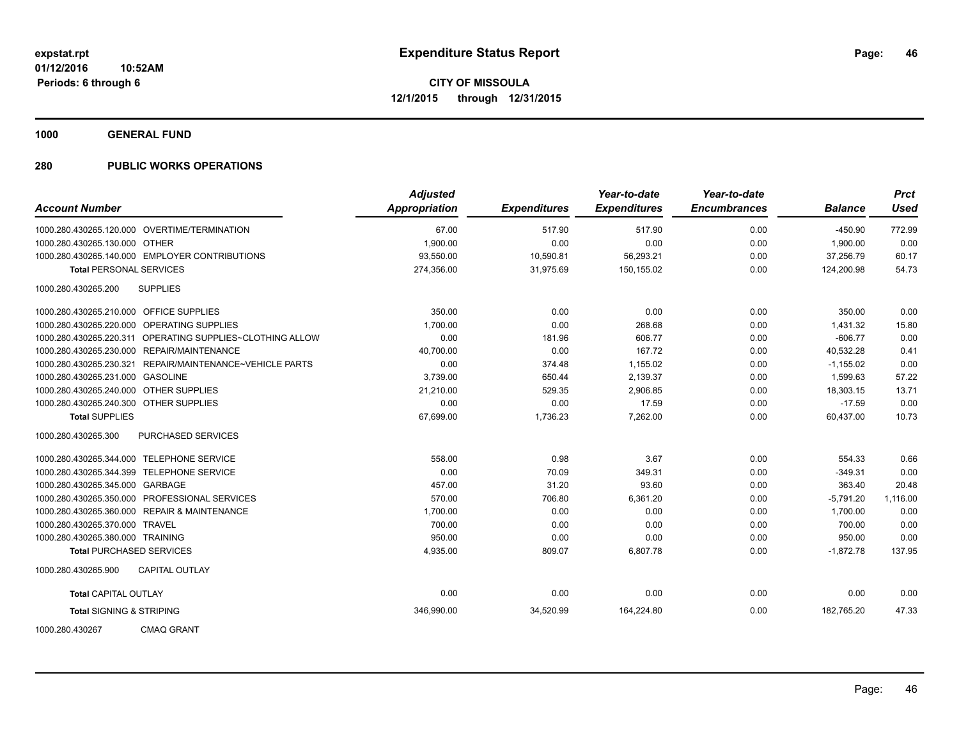**1000 GENERAL FUND**

## **280 PUBLIC WORKS OPERATIONS**

| <b>Account Number</b>                                       | <b>Adjusted</b><br><b>Appropriation</b> | <b>Expenditures</b> | Year-to-date<br><b>Expenditures</b> | Year-to-date<br><b>Encumbrances</b> | <b>Balance</b> | <b>Prct</b><br><b>Used</b> |
|-------------------------------------------------------------|-----------------------------------------|---------------------|-------------------------------------|-------------------------------------|----------------|----------------------------|
|                                                             |                                         |                     |                                     |                                     |                |                            |
| 1000.280.430265.120.000 OVERTIME/TERMINATION                | 67.00                                   | 517.90              | 517.90                              | 0.00                                | $-450.90$      | 772.99                     |
| 1000.280.430265.130.000 OTHER                               | 1,900.00                                | 0.00                | 0.00                                | 0.00                                | 1,900.00       | 0.00                       |
| 1000.280.430265.140.000 EMPLOYER CONTRIBUTIONS              | 93,550.00                               | 10,590.81           | 56,293.21                           | 0.00                                | 37,256.79      | 60.17                      |
| <b>Total PERSONAL SERVICES</b>                              | 274,356.00                              | 31.975.69           | 150.155.02                          | 0.00                                | 124.200.98     | 54.73                      |
| 1000.280.430265.200<br><b>SUPPLIES</b>                      |                                         |                     |                                     |                                     |                |                            |
| 1000.280.430265.210.000 OFFICE SUPPLIES                     | 350.00                                  | 0.00                | 0.00                                | 0.00                                | 350.00         | 0.00                       |
| 1000.280.430265.220.000 OPERATING SUPPLIES                  | 1,700.00                                | 0.00                | 268.68                              | 0.00                                | 1.431.32       | 15.80                      |
| 1000.280.430265.220.311 OPERATING SUPPLIES~CLOTHING ALLOW   | 0.00                                    | 181.96              | 606.77                              | 0.00                                | $-606.77$      | 0.00                       |
| 1000.280.430265.230.000 REPAIR/MAINTENANCE                  | 40,700.00                               | 0.00                | 167.72                              | 0.00                                | 40,532.28      | 0.41                       |
| 1000.280.430265.230.321<br>REPAIR/MAINTENANCE~VEHICLE PARTS | 0.00                                    | 374.48              | 1,155.02                            | 0.00                                | $-1,155.02$    | 0.00                       |
| 1000.280.430265.231.000 GASOLINE                            | 3,739.00                                | 650.44              | 2,139.37                            | 0.00                                | 1,599.63       | 57.22                      |
| 1000.280.430265.240.000 OTHER SUPPLIES                      | 21,210.00                               | 529.35              | 2,906.85                            | 0.00                                | 18.303.15      | 13.71                      |
| 1000.280.430265.240.300 OTHER SUPPLIES                      | 0.00                                    | 0.00                | 17.59                               | 0.00                                | $-17.59$       | 0.00                       |
| <b>Total SUPPLIES</b>                                       | 67,699.00                               | 1,736.23            | 7,262.00                            | 0.00                                | 60,437.00      | 10.73                      |
| 1000.280.430265.300<br><b>PURCHASED SERVICES</b>            |                                         |                     |                                     |                                     |                |                            |
| 1000.280.430265.344.000 TELEPHONE SERVICE                   | 558.00                                  | 0.98                | 3.67                                | 0.00                                | 554.33         | 0.66                       |
| <b>TELEPHONE SERVICE</b><br>1000.280.430265.344.399         | 0.00                                    | 70.09               | 349.31                              | 0.00                                | $-349.31$      | 0.00                       |
| 1000.280.430265.345.000 GARBAGE                             | 457.00                                  | 31.20               | 93.60                               | 0.00                                | 363.40         | 20.48                      |
| 1000.280.430265.350.000 PROFESSIONAL SERVICES               | 570.00                                  | 706.80              | 6,361.20                            | 0.00                                | $-5,791.20$    | 1,116.00                   |
| 1000.280.430265.360.000 REPAIR & MAINTENANCE                | 1,700.00                                | 0.00                | 0.00                                | 0.00                                | 1.700.00       | 0.00                       |
| 1000.280.430265.370.000 TRAVEL                              | 700.00                                  | 0.00                | 0.00                                | 0.00                                | 700.00         | 0.00                       |
| 1000.280.430265.380.000 TRAINING                            | 950.00                                  | 0.00                | 0.00                                | 0.00                                | 950.00         | 0.00                       |
| <b>Total PURCHASED SERVICES</b>                             | 4,935.00                                | 809.07              | 6,807.78                            | 0.00                                | $-1,872.78$    | 137.95                     |
| 1000.280.430265.900<br><b>CAPITAL OUTLAY</b>                |                                         |                     |                                     |                                     |                |                            |
| <b>Total CAPITAL OUTLAY</b>                                 | 0.00                                    | 0.00                | 0.00                                | 0.00                                | 0.00           | 0.00                       |
| <b>Total SIGNING &amp; STRIPING</b>                         | 346,990.00                              | 34,520.99           | 164,224.80                          | 0.00                                | 182,765.20     | 47.33                      |

1000.280.430267 CMAQ GRANT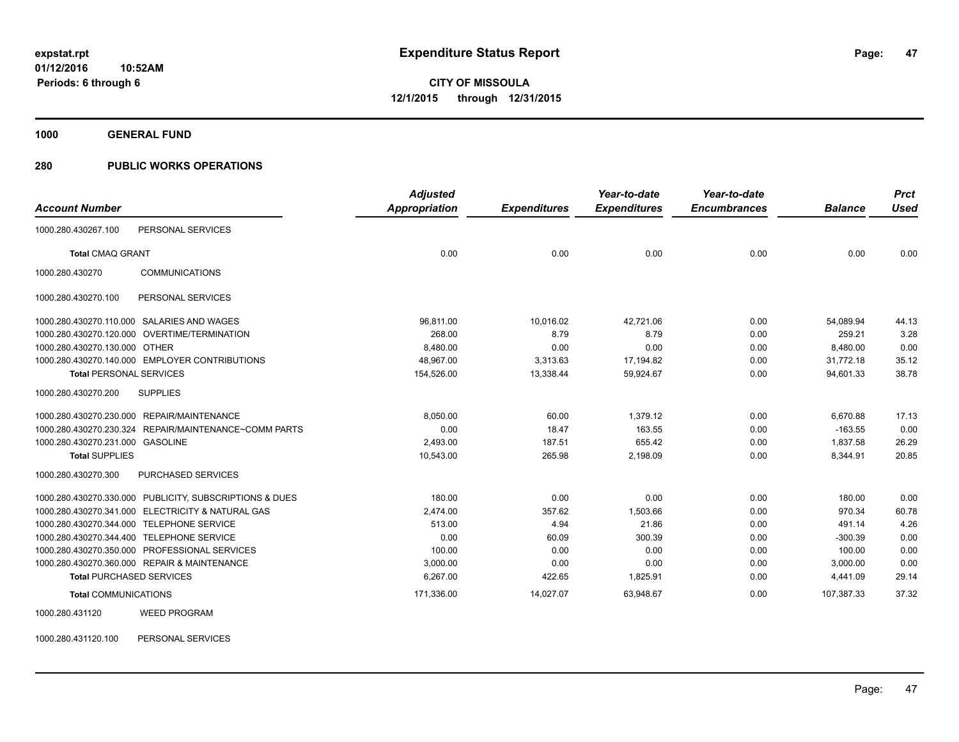**1000 GENERAL FUND**

## **280 PUBLIC WORKS OPERATIONS**

| <b>Account Number</b>                     |                                                         | <b>Adjusted</b>      |                     | Year-to-date<br><b>Expenditures</b> | Year-to-date<br><b>Encumbrances</b> | <b>Balance</b> | <b>Prct</b><br><b>Used</b> |
|-------------------------------------------|---------------------------------------------------------|----------------------|---------------------|-------------------------------------|-------------------------------------|----------------|----------------------------|
|                                           |                                                         | <b>Appropriation</b> | <b>Expenditures</b> |                                     |                                     |                |                            |
| 1000.280.430267.100                       | PERSONAL SERVICES                                       |                      |                     |                                     |                                     |                |                            |
| <b>Total CMAQ GRANT</b>                   |                                                         | 0.00                 | 0.00                | 0.00                                | 0.00                                | 0.00           | 0.00                       |
| 1000.280.430270                           | <b>COMMUNICATIONS</b>                                   |                      |                     |                                     |                                     |                |                            |
| 1000.280.430270.100                       | PERSONAL SERVICES                                       |                      |                     |                                     |                                     |                |                            |
|                                           | 1000.280.430270.110.000 SALARIES AND WAGES              | 96,811.00            | 10,016.02           | 42,721.06                           | 0.00                                | 54,089.94      | 44.13                      |
|                                           | 1000.280.430270.120.000 OVERTIME/TERMINATION            | 268.00               | 8.79                | 8.79                                | 0.00                                | 259.21         | 3.28                       |
| 1000.280.430270.130.000 OTHER             |                                                         | 8,480.00             | 0.00                | 0.00                                | 0.00                                | 8,480.00       | 0.00                       |
|                                           | 1000.280.430270.140.000 EMPLOYER CONTRIBUTIONS          | 48,967.00            | 3,313.63            | 17,194.82                           | 0.00                                | 31,772.18      | 35.12                      |
| <b>Total PERSONAL SERVICES</b>            |                                                         | 154,526.00           | 13,338.44           | 59,924.67                           | 0.00                                | 94,601.33      | 38.78                      |
| 1000.280.430270.200                       | <b>SUPPLIES</b>                                         |                      |                     |                                     |                                     |                |                            |
|                                           | 1000.280.430270.230.000 REPAIR/MAINTENANCE              | 8,050.00             | 60.00               | 1,379.12                            | 0.00                                | 6,670.88       | 17.13                      |
| 1000.280.430270.230.324                   | REPAIR/MAINTENANCE~COMM PARTS                           | 0.00                 | 18.47               | 163.55                              | 0.00                                | $-163.55$      | 0.00                       |
| 1000.280.430270.231.000 GASOLINE          |                                                         | 2,493.00             | 187.51              | 655.42                              | 0.00                                | 1,837.58       | 26.29                      |
| <b>Total SUPPLIES</b>                     |                                                         | 10,543.00            | 265.98              | 2,198.09                            | 0.00                                | 8,344.91       | 20.85                      |
| 1000.280.430270.300                       | <b>PURCHASED SERVICES</b>                               |                      |                     |                                     |                                     |                |                            |
|                                           | 1000.280.430270.330.000 PUBLICITY, SUBSCRIPTIONS & DUES | 180.00               | 0.00                | 0.00                                | 0.00                                | 180.00         | 0.00                       |
|                                           | 1000.280.430270.341.000 ELECTRICITY & NATURAL GAS       | 2,474.00             | 357.62              | 1,503.66                            | 0.00                                | 970.34         | 60.78                      |
| 1000.280.430270.344.000 TELEPHONE SERVICE |                                                         | 513.00               | 4.94                | 21.86                               | 0.00                                | 491.14         | 4.26                       |
| 1000.280.430270.344.400 TELEPHONE SERVICE |                                                         | 0.00                 | 60.09               | 300.39                              | 0.00                                | $-300.39$      | 0.00                       |
|                                           | 1000.280.430270.350.000 PROFESSIONAL SERVICES           | 100.00               | 0.00                | 0.00                                | 0.00                                | 100.00         | 0.00                       |
|                                           | 1000.280.430270.360.000 REPAIR & MAINTENANCE            | 3,000.00             | 0.00                | 0.00                                | 0.00                                | 3,000.00       | 0.00                       |
| <b>Total PURCHASED SERVICES</b>           |                                                         | 6.267.00             | 422.65              | 1,825.91                            | 0.00                                | 4,441.09       | 29.14                      |
| <b>Total COMMUNICATIONS</b>               |                                                         | 171,336.00           | 14,027.07           | 63,948.67                           | 0.00                                | 107,387.33     | 37.32                      |
| 1000.280.431120                           | <b>WEED PROGRAM</b>                                     |                      |                     |                                     |                                     |                |                            |

1000.280.431120.100 PERSONAL SERVICES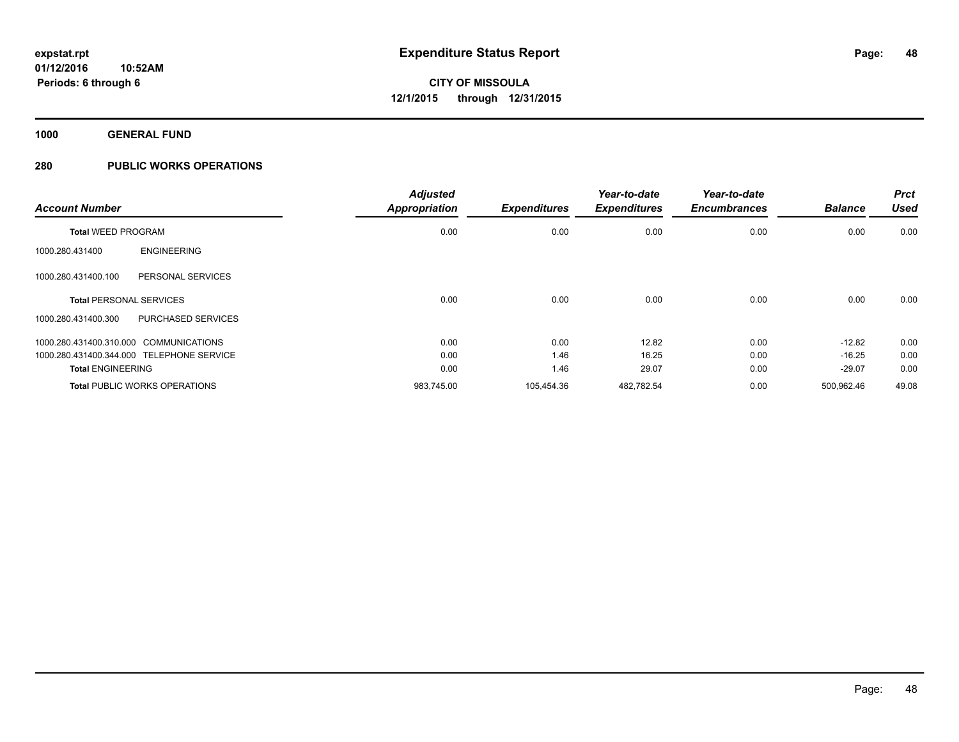**1000 GENERAL FUND**

| <b>Account Number</b>                     |                    | <b>Adjusted</b><br>Appropriation | <b>Expenditures</b> | Year-to-date<br><b>Expenditures</b> | Year-to-date<br><b>Encumbrances</b> | <b>Balance</b> | <b>Prct</b><br><b>Used</b> |
|-------------------------------------------|--------------------|----------------------------------|---------------------|-------------------------------------|-------------------------------------|----------------|----------------------------|
|                                           |                    |                                  |                     |                                     |                                     |                |                            |
| <b>Total WEED PROGRAM</b>                 |                    | 0.00                             | 0.00                | 0.00                                | 0.00                                | 0.00           | 0.00                       |
| 1000.280.431400                           | <b>ENGINEERING</b> |                                  |                     |                                     |                                     |                |                            |
| 1000.280.431400.100                       | PERSONAL SERVICES  |                                  |                     |                                     |                                     |                |                            |
| <b>Total PERSONAL SERVICES</b>            |                    | 0.00                             | 0.00                | 0.00                                | 0.00                                | 0.00           | 0.00                       |
| 1000.280.431400.300                       | PURCHASED SERVICES |                                  |                     |                                     |                                     |                |                            |
| 1000.280.431400.310.000 COMMUNICATIONS    |                    | 0.00                             | 0.00                | 12.82                               | 0.00                                | $-12.82$       | 0.00                       |
| 1000.280.431400.344.000 TELEPHONE SERVICE |                    | 0.00                             | 1.46                | 16.25                               | 0.00                                | $-16.25$       | 0.00                       |
| <b>Total ENGINEERING</b>                  |                    | 0.00                             | 1.46                | 29.07                               | 0.00                                | $-29.07$       | 0.00                       |
| <b>Total PUBLIC WORKS OPERATIONS</b>      |                    | 983.745.00                       | 105.454.36          | 482.782.54                          | 0.00                                | 500.962.46     | 49.08                      |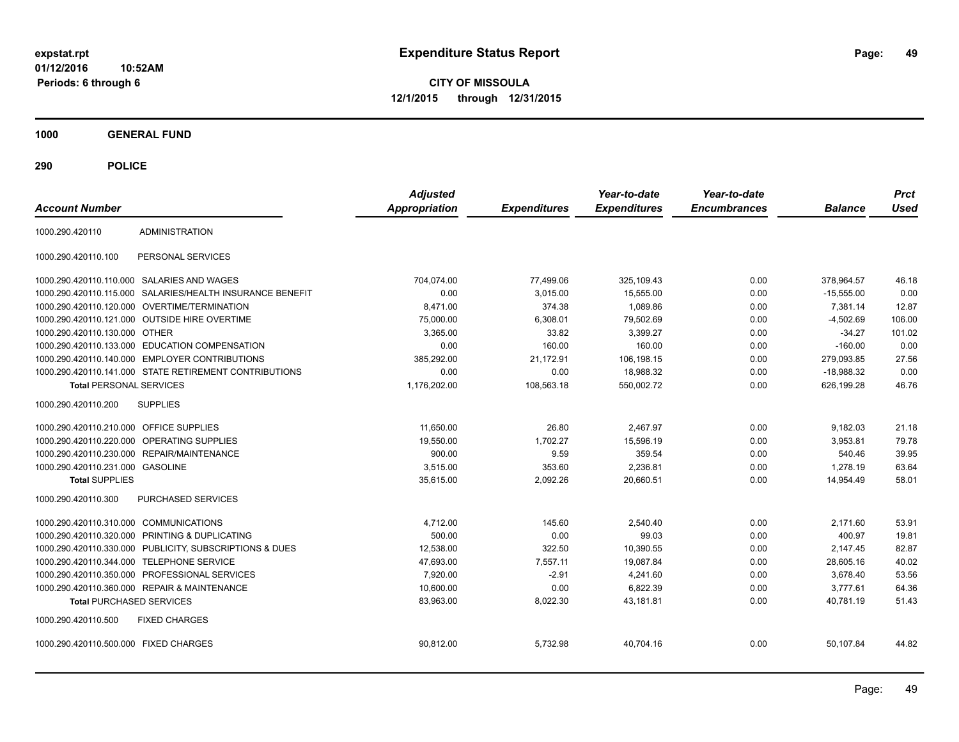**CITY OF MISSOULA 12/1/2015 through 12/31/2015**

**1000 GENERAL FUND**

| <b>Account Number</b>                   |                                              | <b>Adjusted</b><br><b>Appropriation</b> | <b>Expenditures</b> | Year-to-date<br><b>Expenditures</b> | Year-to-date<br><b>Encumbrances</b> | <b>Balance</b> | <b>Prct</b><br><b>Used</b> |
|-----------------------------------------|----------------------------------------------|-----------------------------------------|---------------------|-------------------------------------|-------------------------------------|----------------|----------------------------|
| 1000.290.420110                         | <b>ADMINISTRATION</b>                        |                                         |                     |                                     |                                     |                |                            |
| 1000.290.420110.100                     | PERSONAL SERVICES                            |                                         |                     |                                     |                                     |                |                            |
|                                         | 1000.290.420110.110.000 SALARIES AND WAGES   | 704.074.00                              | 77,499.06           | 325,109.43                          | 0.00                                | 378,964.57     | 46.18                      |
| 1000.290.420110.115.000                 | SALARIES/HEALTH INSURANCE BENEFIT            | 0.00                                    | 3.015.00            | 15,555.00                           | 0.00                                | $-15.555.00$   | 0.00                       |
| 1000.290.420110.120.000                 | OVERTIME/TERMINATION                         | 8,471.00                                | 374.38              | 1,089.86                            | 0.00                                | 7,381.14       | 12.87                      |
| 1000.290.420110.121.000                 | <b>OUTSIDE HIRE OVERTIME</b>                 | 75.000.00                               | 6.308.01            | 79.502.69                           | 0.00                                | $-4.502.69$    | 106.00                     |
| 1000.290.420110.130.000                 | <b>OTHER</b>                                 | 3,365.00                                | 33.82               | 3,399.27                            | 0.00                                | $-34.27$       | 101.02                     |
| 1000.290.420110.133.000                 | <b>EDUCATION COMPENSATION</b>                | 0.00                                    | 160.00              | 160.00                              | 0.00                                | $-160.00$      | 0.00                       |
| 1000.290.420110.140.000                 | <b>EMPLOYER CONTRIBUTIONS</b>                | 385,292.00                              | 21,172.91           | 106,198.15                          | 0.00                                | 279,093.85     | 27.56                      |
| 1000.290.420110.141.000                 | STATE RETIREMENT CONTRIBUTIONS               | 0.00                                    | 0.00                | 18,988.32                           | 0.00                                | $-18,988.32$   | 0.00                       |
| <b>Total PERSONAL SERVICES</b>          |                                              | 1,176,202.00                            | 108,563.18          | 550,002.72                          | 0.00                                | 626,199.28     | 46.76                      |
| 1000.290.420110.200                     | <b>SUPPLIES</b>                              |                                         |                     |                                     |                                     |                |                            |
| 1000.290.420110.210.000 OFFICE SUPPLIES |                                              | 11,650.00                               | 26.80               | 2,467.97                            | 0.00                                | 9,182.03       | 21.18                      |
| 1000.290.420110.220.000                 | <b>OPERATING SUPPLIES</b>                    | 19,550.00                               | 1,702.27            | 15.596.19                           | 0.00                                | 3.953.81       | 79.78                      |
| 1000.290.420110.230.000                 | <b>REPAIR/MAINTENANCE</b>                    | 900.00                                  | 9.59                | 359.54                              | 0.00                                | 540.46         | 39.95                      |
| 1000.290.420110.231.000                 | <b>GASOLINE</b>                              | 3,515.00                                | 353.60              | 2,236.81                            | 0.00                                | 1,278.19       | 63.64                      |
| <b>Total SUPPLIES</b>                   |                                              | 35,615.00                               | 2,092.26            | 20,660.51                           | 0.00                                | 14,954.49      | 58.01                      |
| 1000.290.420110.300                     | PURCHASED SERVICES                           |                                         |                     |                                     |                                     |                |                            |
| 1000.290.420110.310.000                 | <b>COMMUNICATIONS</b>                        | 4,712.00                                | 145.60              | 2.540.40                            | 0.00                                | 2.171.60       | 53.91                      |
| 1000.290.420110.320.000                 | PRINTING & DUPLICATING                       | 500.00                                  | 0.00                | 99.03                               | 0.00                                | 400.97         | 19.81                      |
| 1000.290.420110.330.000                 | PUBLICITY, SUBSCRIPTIONS & DUES              | 12,538.00                               | 322.50              | 10,390.55                           | 0.00                                | 2,147.45       | 82.87                      |
| 1000.290.420110.344.000                 | <b>TELEPHONE SERVICE</b>                     | 47,693.00                               | 7,557.11            | 19,087.84                           | 0.00                                | 28,605.16      | 40.02                      |
| 1000.290.420110.350.000                 | PROFESSIONAL SERVICES                        | 7,920.00                                | $-2.91$             | 4,241.60                            | 0.00                                | 3,678.40       | 53.56                      |
|                                         | 1000.290.420110.360.000 REPAIR & MAINTENANCE | 10,600.00                               | 0.00                | 6,822.39                            | 0.00                                | 3,777.61       | 64.36                      |
| <b>Total PURCHASED SERVICES</b>         |                                              | 83,963.00                               | 8,022.30            | 43,181.81                           | 0.00                                | 40,781.19      | 51.43                      |
| 1000.290.420110.500                     | <b>FIXED CHARGES</b>                         |                                         |                     |                                     |                                     |                |                            |
| 1000.290.420110.500.000 FIXED CHARGES   |                                              | 90,812.00                               | 5,732.98            | 40,704.16                           | 0.00                                | 50,107.84      | 44.82                      |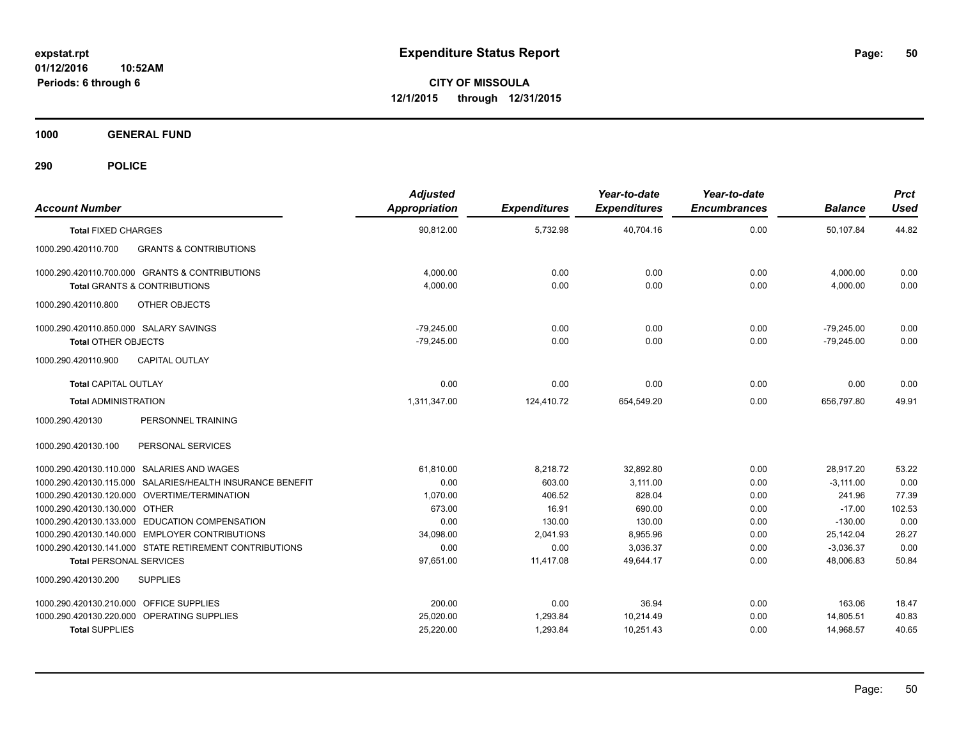**CITY OF MISSOULA 12/1/2015 through 12/31/2015**

**1000 GENERAL FUND**

| <b>Account Number</b>                                                                            | <b>Adjusted</b><br><b>Appropriation</b> | <b>Expenditures</b> | Year-to-date<br><b>Expenditures</b> | Year-to-date<br><b>Encumbrances</b> | <b>Balance</b>           | <b>Prct</b><br><b>Used</b> |
|--------------------------------------------------------------------------------------------------|-----------------------------------------|---------------------|-------------------------------------|-------------------------------------|--------------------------|----------------------------|
| <b>Total FIXED CHARGES</b>                                                                       | 90,812.00                               | 5,732.98            | 40,704.16                           | 0.00                                | 50,107.84                | 44.82                      |
| 1000.290.420110.700<br><b>GRANTS &amp; CONTRIBUTIONS</b>                                         |                                         |                     |                                     |                                     |                          |                            |
| 1000.290.420110.700.000 GRANTS & CONTRIBUTIONS                                                   | 4,000.00                                | 0.00                | 0.00                                | 0.00                                | 4,000.00                 | 0.00                       |
| <b>Total GRANTS &amp; CONTRIBUTIONS</b>                                                          | 4.000.00                                | 0.00                | 0.00                                | 0.00                                | 4,000.00                 | 0.00                       |
| OTHER OBJECTS<br>1000.290.420110.800                                                             |                                         |                     |                                     |                                     |                          |                            |
| 1000.290.420110.850.000 SALARY SAVINGS                                                           | $-79.245.00$                            | 0.00                | 0.00                                | 0.00                                | $-79.245.00$             | 0.00                       |
| <b>Total OTHER OBJECTS</b>                                                                       | $-79.245.00$                            | 0.00                | 0.00                                | 0.00                                | $-79.245.00$             | 0.00                       |
| 1000.290.420110.900<br><b>CAPITAL OUTLAY</b>                                                     |                                         |                     |                                     |                                     |                          |                            |
| <b>Total CAPITAL OUTLAY</b>                                                                      | 0.00                                    | 0.00                | 0.00                                | 0.00                                | 0.00                     | 0.00                       |
| <b>Total ADMINISTRATION</b>                                                                      | 1,311,347.00                            | 124,410.72          | 654,549.20                          | 0.00                                | 656,797.80               | 49.91                      |
| PERSONNEL TRAINING<br>1000.290.420130                                                            |                                         |                     |                                     |                                     |                          |                            |
| PERSONAL SERVICES<br>1000.290.420130.100                                                         |                                         |                     |                                     |                                     |                          |                            |
| 1000.290.420130.110.000 SALARIES AND WAGES                                                       | 61,810.00                               | 8,218.72            | 32,892.80                           | 0.00                                | 28,917.20                | 53.22                      |
| 1000.290.420130.115.000 SALARIES/HEALTH INSURANCE BENEFIT                                        | 0.00                                    | 603.00              | 3,111.00                            | 0.00                                | $-3,111.00$              | 0.00                       |
| 1000.290.420130.120.000 OVERTIME/TERMINATION                                                     | 1.070.00                                | 406.52              | 828.04                              | 0.00                                | 241.96                   | 77.39                      |
| 1000.290.420130.130.000 OTHER                                                                    | 673.00                                  | 16.91               | 690.00                              | 0.00                                | $-17.00$                 | 102.53                     |
| 1000.290.420130.133.000 EDUCATION COMPENSATION<br>1000.290.420130.140.000 EMPLOYER CONTRIBUTIONS | 0.00<br>34,098.00                       | 130.00<br>2,041.93  | 130.00<br>8,955.96                  | 0.00<br>0.00                        | $-130.00$                | 0.00<br>26.27              |
| 1000.290.420130.141.000 STATE RETIREMENT CONTRIBUTIONS                                           | 0.00                                    | 0.00                | 3,036.37                            | 0.00                                | 25,142.04<br>$-3.036.37$ | 0.00                       |
| <b>Total PERSONAL SERVICES</b>                                                                   | 97,651.00                               | 11,417.08           | 49,644.17                           | 0.00                                | 48,006.83                | 50.84                      |
| <b>SUPPLIES</b><br>1000.290.420130.200                                                           |                                         |                     |                                     |                                     |                          |                            |
| 1000.290.420130.210.000 OFFICE SUPPLIES                                                          | 200.00                                  | 0.00                | 36.94                               | 0.00                                | 163.06                   | 18.47                      |
| OPERATING SUPPLIES<br>1000.290.420130.220.000                                                    | 25,020.00                               | 1,293.84            | 10,214.49                           | 0.00                                | 14,805.51                | 40.83                      |
| <b>Total SUPPLIES</b>                                                                            | 25,220.00                               | 1,293.84            | 10,251.43                           | 0.00                                | 14,968.57                | 40.65                      |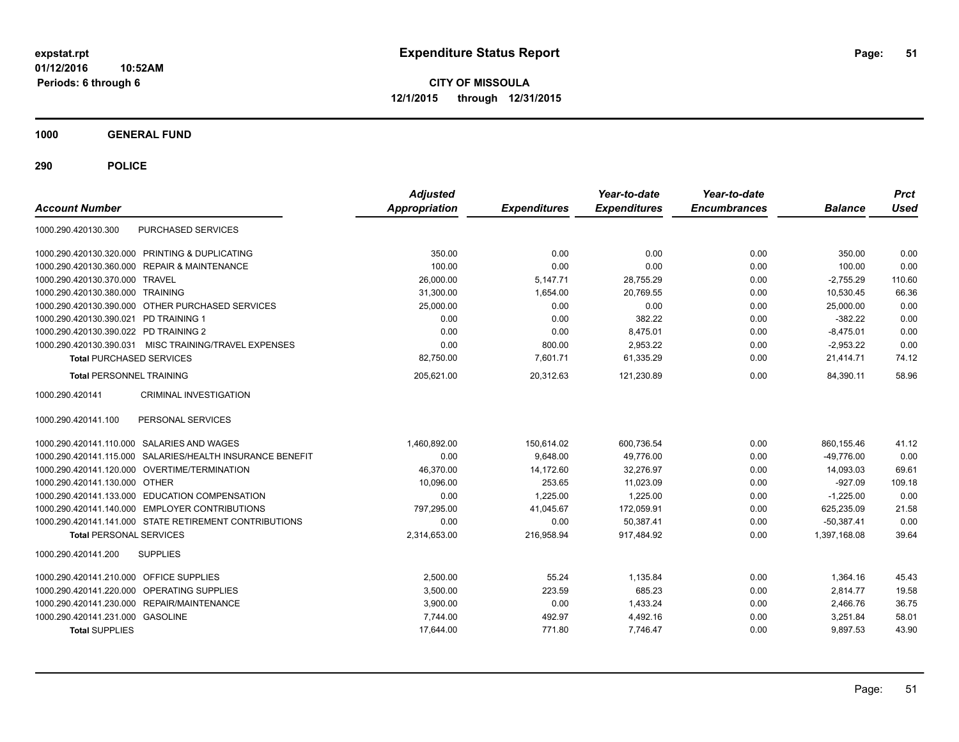**CITY OF MISSOULA 12/1/2015 through 12/31/2015**

**1000 GENERAL FUND**

| <b>Account Number</b>                   |                                                        | <b>Adjusted</b><br>Appropriation | <b>Expenditures</b> | Year-to-date<br><b>Expenditures</b> | Year-to-date<br><b>Encumbrances</b> | <b>Balance</b> | <b>Prct</b><br><b>Used</b> |
|-----------------------------------------|--------------------------------------------------------|----------------------------------|---------------------|-------------------------------------|-------------------------------------|----------------|----------------------------|
| 1000.290.420130.300                     | PURCHASED SERVICES                                     |                                  |                     |                                     |                                     |                |                            |
|                                         | 1000.290.420130.320.000 PRINTING & DUPLICATING         | 350.00                           | 0.00                | 0.00                                | 0.00                                | 350.00         | 0.00                       |
|                                         | 1000.290.420130.360.000 REPAIR & MAINTENANCE           | 100.00                           | 0.00                | 0.00                                | 0.00                                | 100.00         | 0.00                       |
| 1000.290.420130.370.000 TRAVEL          |                                                        | 26,000.00                        | 5,147.71            | 28,755.29                           | 0.00                                | $-2.755.29$    | 110.60                     |
| 1000.290.420130.380.000 TRAINING        |                                                        | 31,300.00                        | 1,654.00            | 20,769.55                           | 0.00                                | 10,530.45      | 66.36                      |
|                                         | 1000.290.420130.390.000 OTHER PURCHASED SERVICES       | 25,000.00                        | 0.00                | 0.00                                | 0.00                                | 25,000.00      | 0.00                       |
| 1000.290.420130.390.021 PD TRAINING 1   |                                                        | 0.00                             | 0.00                | 382.22                              | 0.00                                | $-382.22$      | 0.00                       |
| 1000.290.420130.390.022 PD TRAINING 2   |                                                        | 0.00                             | 0.00                | 8,475.01                            | 0.00                                | $-8.475.01$    | 0.00                       |
| 1000.290.420130.390.031                 | MISC TRAINING/TRAVEL EXPENSES                          | 0.00                             | 800.00              | 2,953.22                            | 0.00                                | $-2,953.22$    | 0.00                       |
| <b>Total PURCHASED SERVICES</b>         |                                                        | 82,750.00                        | 7,601.71            | 61,335.29                           | 0.00                                | 21,414.71      | 74.12                      |
| <b>Total PERSONNEL TRAINING</b>         |                                                        | 205.621.00                       | 20,312.63           | 121,230.89                          | 0.00                                | 84.390.11      | 58.96                      |
| 1000.290.420141                         | <b>CRIMINAL INVESTIGATION</b>                          |                                  |                     |                                     |                                     |                |                            |
| 1000.290.420141.100                     | PERSONAL SERVICES                                      |                                  |                     |                                     |                                     |                |                            |
|                                         | 1000.290.420141.110.000 SALARIES AND WAGES             | 1,460,892.00                     | 150,614.02          | 600,736.54                          | 0.00                                | 860,155.46     | 41.12                      |
| 1000.290.420141.115.000                 | SALARIES/HEALTH INSURANCE BENEFIT                      | 0.00                             | 9,648.00            | 49,776.00                           | 0.00                                | $-49,776.00$   | 0.00                       |
|                                         | 1000.290.420141.120.000 OVERTIME/TERMINATION           | 46,370.00                        | 14,172.60           | 32,276.97                           | 0.00                                | 14,093.03      | 69.61                      |
| 1000.290.420141.130.000 OTHER           |                                                        | 10,096.00                        | 253.65              | 11,023.09                           | 0.00                                | $-927.09$      | 109.18                     |
|                                         | 1000.290.420141.133.000 EDUCATION COMPENSATION         | 0.00                             | 1,225.00            | 1,225.00                            | 0.00                                | $-1,225.00$    | 0.00                       |
|                                         | 1000.290.420141.140.000 EMPLOYER CONTRIBUTIONS         | 797,295.00                       | 41,045.67           | 172,059.91                          | 0.00                                | 625,235.09     | 21.58                      |
|                                         | 1000.290.420141.141.000 STATE RETIREMENT CONTRIBUTIONS | 0.00                             | 0.00                | 50,387.41                           | 0.00                                | $-50.387.41$   | 0.00                       |
| <b>Total PERSONAL SERVICES</b>          |                                                        | 2,314,653.00                     | 216.958.94          | 917.484.92                          | 0.00                                | 1.397.168.08   | 39.64                      |
| 1000.290.420141.200                     | <b>SUPPLIES</b>                                        |                                  |                     |                                     |                                     |                |                            |
| 1000.290.420141.210.000 OFFICE SUPPLIES |                                                        | 2,500.00                         | 55.24               | 1,135.84                            | 0.00                                | 1,364.16       | 45.43                      |
|                                         | 1000.290.420141.220.000 OPERATING SUPPLIES             | 3,500.00                         | 223.59              | 685.23                              | 0.00                                | 2,814.77       | 19.58                      |
|                                         | 1000.290.420141.230.000 REPAIR/MAINTENANCE             | 3,900.00                         | 0.00                | 1,433.24                            | 0.00                                | 2,466.76       | 36.75                      |
| 1000.290.420141.231.000 GASOLINE        |                                                        | 7,744.00                         | 492.97              | 4,492.16                            | 0.00                                | 3,251.84       | 58.01                      |
| <b>Total SUPPLIES</b>                   |                                                        | 17,644.00                        | 771.80              | 7,746.47                            | 0.00                                | 9,897.53       | 43.90                      |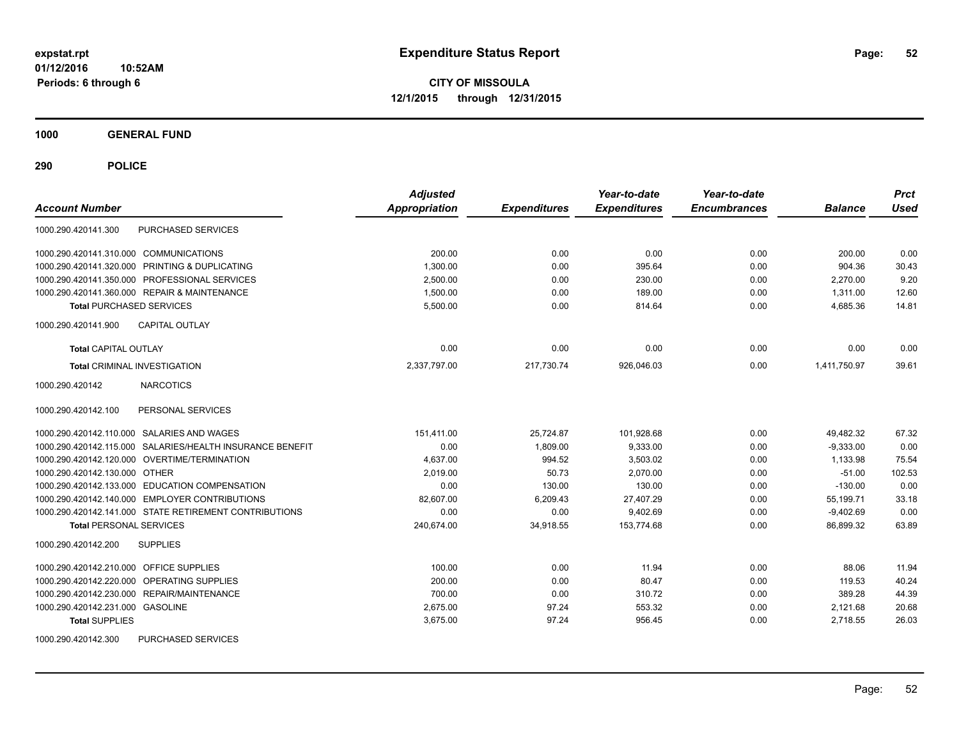**CITY OF MISSOULA 12/1/2015 through 12/31/2015**

**1000 GENERAL FUND**

| <b>Account Number</b>                                     | <b>Adjusted</b><br><b>Appropriation</b> | <b>Expenditures</b> | Year-to-date<br><b>Expenditures</b> | Year-to-date<br><b>Encumbrances</b> | <b>Balance</b> | <b>Prct</b><br>Used |
|-----------------------------------------------------------|-----------------------------------------|---------------------|-------------------------------------|-------------------------------------|----------------|---------------------|
| PURCHASED SERVICES<br>1000.290.420141.300                 |                                         |                     |                                     |                                     |                |                     |
| 1000.290.420141.310.000 COMMUNICATIONS                    | 200.00                                  | 0.00                | 0.00                                | 0.00                                | 200.00         | 0.00                |
| 1000.290.420141.320.000 PRINTING & DUPLICATING            | 1,300.00                                | 0.00                | 395.64                              | 0.00                                | 904.36         | 30.43               |
| 1000.290.420141.350.000 PROFESSIONAL SERVICES             | 2.500.00                                | 0.00                | 230.00                              | 0.00                                | 2.270.00       | 9.20                |
| 1000.290.420141.360.000 REPAIR & MAINTENANCE              | 1,500.00                                | 0.00                | 189.00                              | 0.00                                | 1,311.00       | 12.60               |
| <b>Total PURCHASED SERVICES</b>                           | 5.500.00                                | 0.00                | 814.64                              | 0.00                                | 4,685.36       | 14.81               |
| 1000.290.420141.900<br><b>CAPITAL OUTLAY</b>              |                                         |                     |                                     |                                     |                |                     |
| <b>Total CAPITAL OUTLAY</b>                               | 0.00                                    | 0.00                | 0.00                                | 0.00                                | 0.00           | 0.00                |
| <b>Total CRIMINAL INVESTIGATION</b>                       | 2,337,797.00                            | 217,730.74          | 926,046.03                          | 0.00                                | 1,411,750.97   | 39.61               |
| 1000.290.420142<br><b>NARCOTICS</b>                       |                                         |                     |                                     |                                     |                |                     |
| PERSONAL SERVICES<br>1000.290.420142.100                  |                                         |                     |                                     |                                     |                |                     |
| 1000.290.420142.110.000 SALARIES AND WAGES                | 151.411.00                              | 25,724.87           | 101,928.68                          | 0.00                                | 49,482.32      | 67.32               |
| 1000.290.420142.115.000 SALARIES/HEALTH INSURANCE BENEFIT | 0.00                                    | 1,809.00            | 9,333.00                            | 0.00                                | $-9,333.00$    | 0.00                |
| 1000.290.420142.120.000 OVERTIME/TERMINATION              | 4.637.00                                | 994.52              | 3,503.02                            | 0.00                                | 1,133.98       | 75.54               |
| 1000.290.420142.130.000 OTHER                             | 2,019.00                                | 50.73               | 2.070.00                            | 0.00                                | $-51.00$       | 102.53              |
| 1000.290.420142.133.000 EDUCATION COMPENSATION            | 0.00                                    | 130.00              | 130.00                              | 0.00                                | $-130.00$      | 0.00                |
| 1000.290.420142.140.000 EMPLOYER CONTRIBUTIONS            | 82.607.00                               | 6,209.43            | 27,407.29                           | 0.00                                | 55,199.71      | 33.18               |
| 1000.290.420142.141.000 STATE RETIREMENT CONTRIBUTIONS    | 0.00                                    | 0.00                | 9,402.69                            | 0.00                                | $-9,402.69$    | 0.00                |
| <b>Total PERSONAL SERVICES</b>                            | 240,674.00                              | 34,918.55           | 153.774.68                          | 0.00                                | 86,899.32      | 63.89               |
| 1000.290.420142.200<br><b>SUPPLIES</b>                    |                                         |                     |                                     |                                     |                |                     |
| 1000.290.420142.210.000 OFFICE SUPPLIES                   | 100.00                                  | 0.00                | 11.94                               | 0.00                                | 88.06          | 11.94               |
| 1000.290.420142.220.000<br>OPERATING SUPPLIES             | 200.00                                  | 0.00                | 80.47                               | 0.00                                | 119.53         | 40.24               |
| <b>REPAIR/MAINTENANCE</b><br>1000.290.420142.230.000      | 700.00                                  | 0.00                | 310.72                              | 0.00                                | 389.28         | 44.39               |
| 1000.290.420142.231.000 GASOLINE                          | 2,675.00                                | 97.24               | 553.32                              | 0.00                                | 2,121.68       | 20.68               |
| <b>Total SUPPLIES</b>                                     | 3,675.00                                | 97.24               | 956.45                              | 0.00                                | 2,718.55       | 26.03               |
| 1000.290.420142.300<br>PURCHASED SERVICES                 |                                         |                     |                                     |                                     |                |                     |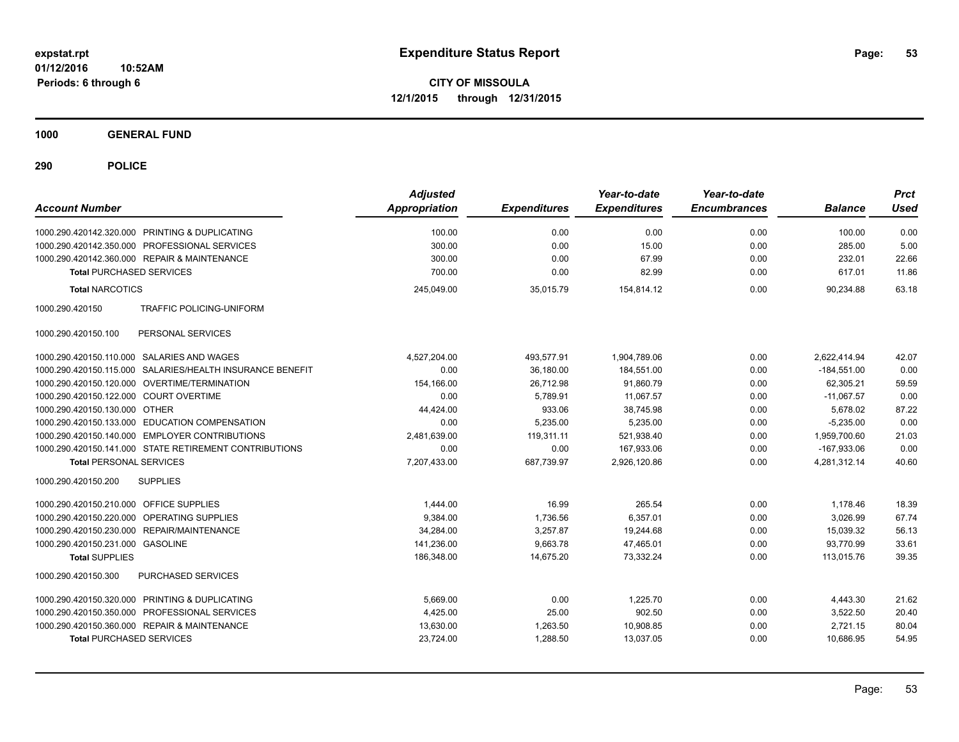**CITY OF MISSOULA 12/1/2015 through 12/31/2015**

**1000 GENERAL FUND**

| <b>Account Number</b>                                     | <b>Adjusted</b><br><b>Appropriation</b> | <b>Expenditures</b> | Year-to-date<br><b>Expenditures</b> | Year-to-date<br><b>Encumbrances</b> | <b>Balance</b> | <b>Prct</b><br>Used |
|-----------------------------------------------------------|-----------------------------------------|---------------------|-------------------------------------|-------------------------------------|----------------|---------------------|
| 1000.290.420142.320.000 PRINTING & DUPLICATING            | 100.00                                  | 0.00                | 0.00                                | 0.00                                | 100.00         | 0.00                |
| 1000.290.420142.350.000 PROFESSIONAL SERVICES             | 300.00                                  | 0.00                | 15.00                               | 0.00                                | 285.00         | 5.00                |
| 1000.290.420142.360.000 REPAIR & MAINTENANCE              | 300.00                                  | 0.00                | 67.99                               | 0.00                                | 232.01         | 22.66               |
| <b>Total PURCHASED SERVICES</b>                           | 700.00                                  | 0.00                | 82.99                               | 0.00                                | 617.01         | 11.86               |
| <b>Total NARCOTICS</b>                                    | 245,049.00                              | 35,015.79           | 154,814.12                          | 0.00                                | 90,234.88      | 63.18               |
| 1000.290.420150<br>TRAFFIC POLICING-UNIFORM               |                                         |                     |                                     |                                     |                |                     |
| 1000.290.420150.100<br>PERSONAL SERVICES                  |                                         |                     |                                     |                                     |                |                     |
| 1000.290.420150.110.000 SALARIES AND WAGES                | 4,527,204.00                            | 493,577.91          | 1,904,789.06                        | 0.00                                | 2,622,414.94   | 42.07               |
| 1000.290.420150.115.000 SALARIES/HEALTH INSURANCE BENEFIT | 0.00                                    | 36,180.00           | 184,551.00                          | 0.00                                | $-184,551.00$  | 0.00                |
| 1000.290.420150.120.000 OVERTIME/TERMINATION              | 154,166.00                              | 26,712.98           | 91,860.79                           | 0.00                                | 62,305.21      | 59.59               |
| 1000.290.420150.122.000 COURT OVERTIME                    | 0.00                                    | 5,789.91            | 11,067.57                           | 0.00                                | $-11,067.57$   | 0.00                |
| 1000.290.420150.130.000 OTHER                             | 44,424.00                               | 933.06              | 38,745.98                           | 0.00                                | 5,678.02       | 87.22               |
| 1000.290.420150.133.000 EDUCATION COMPENSATION            | 0.00                                    | 5,235.00            | 5,235.00                            | 0.00                                | $-5,235.00$    | 0.00                |
| 1000.290.420150.140.000 EMPLOYER CONTRIBUTIONS            | 2,481,639.00                            | 119,311.11          | 521,938.40                          | 0.00                                | 1,959,700.60   | 21.03               |
| 1000.290.420150.141.000 STATE RETIREMENT CONTRIBUTIONS    | 0.00                                    | 0.00                | 167.933.06                          | 0.00                                | $-167,933.06$  | 0.00                |
| <b>Total PERSONAL SERVICES</b>                            | 7,207,433.00                            | 687.739.97          | 2.926.120.86                        | 0.00                                | 4,281,312.14   | 40.60               |
| 1000.290.420150.200<br><b>SUPPLIES</b>                    |                                         |                     |                                     |                                     |                |                     |
| 1000.290.420150.210.000 OFFICE SUPPLIES                   | 1.444.00                                | 16.99               | 265.54                              | 0.00                                | 1.178.46       | 18.39               |
| 1000.290.420150.220.000 OPERATING SUPPLIES                | 9,384.00                                | 1,736.56            | 6,357.01                            | 0.00                                | 3,026.99       | 67.74               |
| 1000.290.420150.230.000 REPAIR/MAINTENANCE                | 34,284.00                               | 3,257.87            | 19,244.68                           | 0.00                                | 15,039.32      | 56.13               |
| 1000.290.420150.231.000 GASOLINE                          | 141,236.00                              | 9,663.78            | 47,465.01                           | 0.00                                | 93,770.99      | 33.61               |
| <b>Total SUPPLIES</b>                                     | 186,348.00                              | 14,675.20           | 73,332.24                           | 0.00                                | 113,015.76     | 39.35               |
| 1000.290.420150.300<br>PURCHASED SERVICES                 |                                         |                     |                                     |                                     |                |                     |
| 1000.290.420150.320.000 PRINTING & DUPLICATING            | 5,669.00                                | 0.00                | 1,225.70                            | 0.00                                | 4,443.30       | 21.62               |
| 1000.290.420150.350.000 PROFESSIONAL SERVICES             | 4,425.00                                | 25.00               | 902.50                              | 0.00                                | 3,522.50       | 20.40               |
| 1000.290.420150.360.000 REPAIR & MAINTENANCE              | 13,630.00                               | 1,263.50            | 10,908.85                           | 0.00                                | 2,721.15       | 80.04               |
| <b>Total PURCHASED SERVICES</b>                           | 23,724.00                               | 1,288.50            | 13,037.05                           | 0.00                                | 10,686.95      | 54.95               |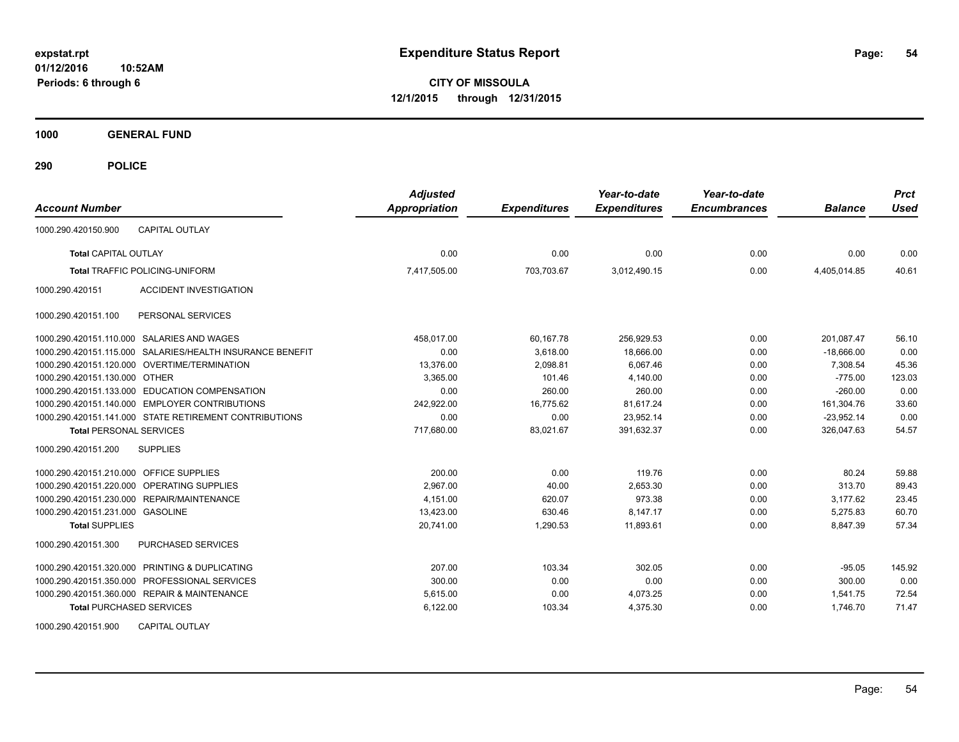**CITY OF MISSOULA 12/1/2015 through 12/31/2015**

**1000 GENERAL FUND**

**290 POLICE**

| <b>Account Number</b>                      |                                                                                                                                                                                                                                | <b>Adjusted</b><br>Appropriation | <b>Expenditures</b> | Year-to-date<br><b>Expenditures</b> | Year-to-date<br><b>Encumbrances</b> | <b>Balance</b> | <b>Prct</b><br>Used |
|--------------------------------------------|--------------------------------------------------------------------------------------------------------------------------------------------------------------------------------------------------------------------------------|----------------------------------|---------------------|-------------------------------------|-------------------------------------|----------------|---------------------|
| 1000.290.420150.900                        | <b>CAPITAL OUTLAY</b>                                                                                                                                                                                                          |                                  |                     |                                     |                                     |                |                     |
| <b>Total CAPITAL OUTLAY</b>                |                                                                                                                                                                                                                                | 0.00                             | 0.00                | 0.00                                | 0.00                                | 0.00           | 0.00                |
|                                            | <b>Total TRAFFIC POLICING-UNIFORM</b>                                                                                                                                                                                          | 7,417,505.00                     | 703,703.67          | 3,012,490.15                        | 0.00                                | 4,405,014.85   | 40.61               |
| 1000.290.420151                            | <b>ACCIDENT INVESTIGATION</b>                                                                                                                                                                                                  |                                  |                     |                                     |                                     |                |                     |
| 1000.290.420151.100                        | PERSONAL SERVICES                                                                                                                                                                                                              |                                  |                     |                                     |                                     |                |                     |
| 1000.290.420151.110.000 SALARIES AND WAGES |                                                                                                                                                                                                                                | 458,017.00                       | 60,167.78           | 256,929.53                          | 0.00                                | 201,087.47     | 56.10               |
|                                            | 1000.290.420151.115.000 SALARIES/HEALTH INSURANCE BENEFIT                                                                                                                                                                      | 0.00                             | 3.618.00            | 18,666.00                           | 0.00                                | $-18.666.00$   | 0.00                |
|                                            | 1000.290.420151.120.000 OVERTIME/TERMINATION                                                                                                                                                                                   | 13.376.00                        | 2.098.81            | 6.067.46                            | 0.00                                | 7.308.54       | 45.36               |
| 1000.290.420151.130.000 OTHER              |                                                                                                                                                                                                                                | 3,365.00                         | 101.46              | 4.140.00                            | 0.00                                | $-775.00$      | 123.03              |
|                                            | 1000.290.420151.133.000 EDUCATION COMPENSATION                                                                                                                                                                                 | 0.00                             | 260.00              | 260.00                              | 0.00                                | $-260.00$      | 0.00                |
|                                            | 1000.290.420151.140.000 EMPLOYER CONTRIBUTIONS                                                                                                                                                                                 | 242.922.00                       | 16.775.62           | 81,617.24                           | 0.00                                | 161,304.76     | 33.60               |
|                                            | 1000.290.420151.141.000 STATE RETIREMENT CONTRIBUTIONS                                                                                                                                                                         | 0.00                             | 0.00                | 23,952.14                           | 0.00                                | $-23,952.14$   | 0.00                |
| <b>Total PERSONAL SERVICES</b>             |                                                                                                                                                                                                                                | 717,680.00                       | 83,021.67           | 391,632.37                          | 0.00                                | 326,047.63     | 54.57               |
| 1000.290.420151.200                        | <b>SUPPLIES</b>                                                                                                                                                                                                                |                                  |                     |                                     |                                     |                |                     |
| 1000.290.420151.210.000 OFFICE SUPPLIES    |                                                                                                                                                                                                                                | 200.00                           | 0.00                | 119.76                              | 0.00                                | 80.24          | 59.88               |
| 1000.290.420151.220.000 OPERATING SUPPLIES |                                                                                                                                                                                                                                | 2.967.00                         | 40.00               | 2,653.30                            | 0.00                                | 313.70         | 89.43               |
|                                            | 1000.290.420151.230.000 REPAIR/MAINTENANCE                                                                                                                                                                                     | 4.151.00                         | 620.07              | 973.38                              | 0.00                                | 3,177.62       | 23.45               |
| 1000.290.420151.231.000 GASOLINE           |                                                                                                                                                                                                                                | 13,423.00                        | 630.46              | 8.147.17                            | 0.00                                | 5,275.83       | 60.70               |
| <b>Total SUPPLIES</b>                      |                                                                                                                                                                                                                                | 20,741.00                        | 1,290.53            | 11,893.61                           | 0.00                                | 8,847.39       | 57.34               |
| 1000.290.420151.300                        | <b>PURCHASED SERVICES</b>                                                                                                                                                                                                      |                                  |                     |                                     |                                     |                |                     |
|                                            | 1000.290.420151.320.000 PRINTING & DUPLICATING                                                                                                                                                                                 | 207.00                           | 103.34              | 302.05                              | 0.00                                | $-95.05$       | 145.92              |
|                                            | 1000.290.420151.350.000 PROFESSIONAL SERVICES                                                                                                                                                                                  | 300.00                           | 0.00                | 0.00                                | 0.00                                | 300.00         | 0.00                |
|                                            | 1000.290.420151.360.000 REPAIR & MAINTENANCE                                                                                                                                                                                   | 5,615.00                         | 0.00                | 4,073.25                            | 0.00                                | 1,541.75       | 72.54               |
| <b>Total PURCHASED SERVICES</b>            |                                                                                                                                                                                                                                | 6,122.00                         | 103.34              | 4,375.30                            | 0.00                                | 1,746.70       | 71.47               |
|                                            | and a substitute of the second contract of the second contract of the second contract of the second contract of the second contract of the second contract of the second contract of the second contract of the second contrac |                                  |                     |                                     |                                     |                |                     |

1000.290.420151.900 CAPITAL OUTLAY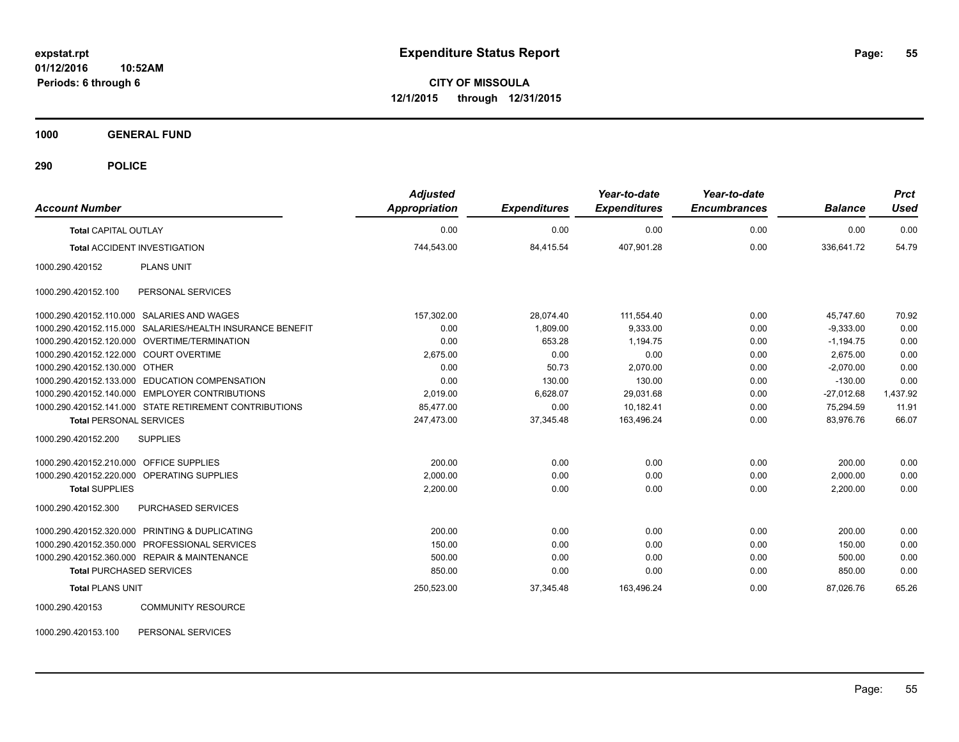**CITY OF MISSOULA 12/1/2015 through 12/31/2015**

**1000 GENERAL FUND**

**290 POLICE**

| <b>Account Number</b>                   |                                                           | <b>Adjusted</b><br><b>Appropriation</b> | <b>Expenditures</b> | Year-to-date<br><b>Expenditures</b> | Year-to-date<br><b>Encumbrances</b> | <b>Balance</b> | <b>Prct</b><br><b>Used</b> |
|-----------------------------------------|-----------------------------------------------------------|-----------------------------------------|---------------------|-------------------------------------|-------------------------------------|----------------|----------------------------|
| <b>Total CAPITAL OUTLAY</b>             |                                                           | 0.00                                    | 0.00                | 0.00                                | 0.00                                | 0.00           | 0.00                       |
|                                         | <b>Total ACCIDENT INVESTIGATION</b>                       | 744,543.00                              | 84,415.54           | 407,901.28                          | 0.00                                | 336,641.72     | 54.79                      |
| 1000.290.420152                         | <b>PLANS UNIT</b>                                         |                                         |                     |                                     |                                     |                |                            |
| 1000.290.420152.100                     | PERSONAL SERVICES                                         |                                         |                     |                                     |                                     |                |                            |
|                                         | 1000.290.420152.110.000 SALARIES AND WAGES                | 157,302.00                              | 28,074.40           | 111,554.40                          | 0.00                                | 45,747.60      | 70.92                      |
|                                         | 1000.290.420152.115.000 SALARIES/HEALTH INSURANCE BENEFIT | 0.00                                    | 1.809.00            | 9,333.00                            | 0.00                                | $-9,333.00$    | 0.00                       |
|                                         | 1000.290.420152.120.000 OVERTIME/TERMINATION              | 0.00                                    | 653.28              | 1,194.75                            | 0.00                                | $-1,194.75$    | 0.00                       |
| 1000.290.420152.122.000 COURT OVERTIME  |                                                           | 2,675.00                                | 0.00                | 0.00                                | 0.00                                | 2,675.00       | 0.00                       |
| 1000.290.420152.130.000 OTHER           |                                                           | 0.00                                    | 50.73               | 2,070.00                            | 0.00                                | $-2,070.00$    | 0.00                       |
|                                         | 1000.290.420152.133.000 EDUCATION COMPENSATION            | 0.00                                    | 130.00              | 130.00                              | 0.00                                | $-130.00$      | 0.00                       |
|                                         | 1000.290.420152.140.000 EMPLOYER CONTRIBUTIONS            | 2,019.00                                | 6,628.07            | 29,031.68                           | 0.00                                | $-27,012.68$   | 1,437.92                   |
|                                         | 1000.290.420152.141.000 STATE RETIREMENT CONTRIBUTIONS    | 85.477.00                               | 0.00                | 10.182.41                           | 0.00                                | 75.294.59      | 11.91                      |
| <b>Total PERSONAL SERVICES</b>          |                                                           | 247,473.00                              | 37,345.48           | 163,496.24                          | 0.00                                | 83,976.76      | 66.07                      |
| 1000.290.420152.200                     | <b>SUPPLIES</b>                                           |                                         |                     |                                     |                                     |                |                            |
| 1000.290.420152.210.000 OFFICE SUPPLIES |                                                           | 200.00                                  | 0.00                | 0.00                                | 0.00                                | 200.00         | 0.00                       |
|                                         | 1000.290.420152.220.000 OPERATING SUPPLIES                | 2.000.00                                | 0.00                | 0.00                                | 0.00                                | 2,000.00       | 0.00                       |
| <b>Total SUPPLIES</b>                   |                                                           | 2,200.00                                | 0.00                | 0.00                                | 0.00                                | 2,200.00       | 0.00                       |
| 1000.290.420152.300                     | PURCHASED SERVICES                                        |                                         |                     |                                     |                                     |                |                            |
|                                         | 1000.290.420152.320.000 PRINTING & DUPLICATING            | 200.00                                  | 0.00                | 0.00                                | 0.00                                | 200.00         | 0.00                       |
|                                         | 1000.290.420152.350.000 PROFESSIONAL SERVICES             | 150.00                                  | 0.00                | 0.00                                | 0.00                                | 150.00         | 0.00                       |
|                                         | 1000.290.420152.360.000 REPAIR & MAINTENANCE              | 500.00                                  | 0.00                | 0.00                                | 0.00                                | 500.00         | 0.00                       |
| <b>Total PURCHASED SERVICES</b>         |                                                           | 850.00                                  | 0.00                | 0.00                                | 0.00                                | 850.00         | 0.00                       |
| <b>Total PLANS UNIT</b>                 |                                                           | 250,523.00                              | 37,345.48           | 163,496.24                          | 0.00                                | 87.026.76      | 65.26                      |
| 1000.290.420153                         | <b>COMMUNITY RESOURCE</b>                                 |                                         |                     |                                     |                                     |                |                            |

1000.290.420153.100 PERSONAL SERVICES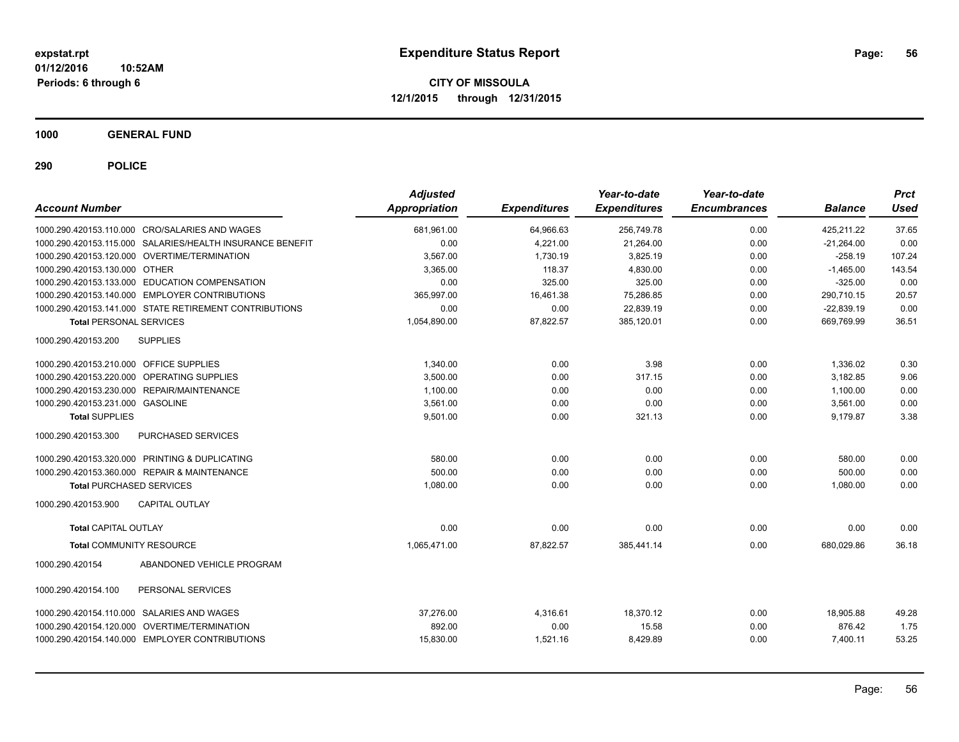**CITY OF MISSOULA 12/1/2015 through 12/31/2015**

**1000 GENERAL FUND**

| <b>Account Number</b>                                     | <b>Adjusted</b><br>Appropriation | <b>Expenditures</b> | Year-to-date<br><b>Expenditures</b> | Year-to-date<br><b>Encumbrances</b> | <b>Balance</b> | <b>Prct</b><br><b>Used</b> |
|-----------------------------------------------------------|----------------------------------|---------------------|-------------------------------------|-------------------------------------|----------------|----------------------------|
| 1000.290.420153.110.000 CRO/SALARIES AND WAGES            | 681.961.00                       | 64,966.63           | 256.749.78                          | 0.00                                | 425.211.22     | 37.65                      |
| 1000.290.420153.115.000 SALARIES/HEALTH INSURANCE BENEFIT | 0.00                             | 4.221.00            | 21,264.00                           | 0.00                                | $-21.264.00$   | 0.00                       |
| 1000.290.420153.120.000 OVERTIME/TERMINATION              | 3,567.00                         | 1,730.19            | 3,825.19                            | 0.00                                | $-258.19$      | 107.24                     |
| 1000.290.420153.130.000 OTHER                             | 3,365.00                         | 118.37              | 4,830.00                            | 0.00                                | $-1,465.00$    | 143.54                     |
| 1000.290.420153.133.000 EDUCATION COMPENSATION            | 0.00                             | 325.00              | 325.00                              | 0.00                                | $-325.00$      | 0.00                       |
| 1000.290.420153.140.000 EMPLOYER CONTRIBUTIONS            | 365.997.00                       | 16,461.38           | 75,286.85                           | 0.00                                | 290.710.15     | 20.57                      |
| 1000.290.420153.141.000 STATE RETIREMENT CONTRIBUTIONS    | 0.00                             | 0.00                | 22.839.19                           | 0.00                                | $-22.839.19$   | 0.00                       |
| <b>Total PERSONAL SERVICES</b>                            | 1,054,890.00                     | 87,822.57           | 385,120.01                          | 0.00                                | 669.769.99     | 36.51                      |
| <b>SUPPLIES</b><br>1000.290.420153.200                    |                                  |                     |                                     |                                     |                |                            |
| 1000.290.420153.210.000 OFFICE SUPPLIES                   | 1,340.00                         | 0.00                | 3.98                                | 0.00                                | 1,336.02       | 0.30                       |
| 1000.290.420153.220.000 OPERATING SUPPLIES                | 3,500.00                         | 0.00                | 317.15                              | 0.00                                | 3,182.85       | 9.06                       |
| 1000.290.420153.230.000 REPAIR/MAINTENANCE                | 1,100.00                         | 0.00                | 0.00                                | 0.00                                | 1,100.00       | 0.00                       |
| 1000.290.420153.231.000 GASOLINE                          | 3,561.00                         | 0.00                | 0.00                                | 0.00                                | 3,561.00       | 0.00                       |
| <b>Total SUPPLIES</b>                                     | 9.501.00                         | 0.00                | 321.13                              | 0.00                                | 9.179.87       | 3.38                       |
| 1000.290.420153.300<br>PURCHASED SERVICES                 |                                  |                     |                                     |                                     |                |                            |
| 1000.290.420153.320.000 PRINTING & DUPLICATING            | 580.00                           | 0.00                | 0.00                                | 0.00                                | 580.00         | 0.00                       |
| 1000.290.420153.360.000 REPAIR & MAINTENANCE              | 500.00                           | 0.00                | 0.00                                | 0.00                                | 500.00         | 0.00                       |
| <b>Total PURCHASED SERVICES</b>                           | 1,080.00                         | 0.00                | 0.00                                | 0.00                                | 1,080.00       | 0.00                       |
| 1000.290.420153.900<br><b>CAPITAL OUTLAY</b>              |                                  |                     |                                     |                                     |                |                            |
| <b>Total CAPITAL OUTLAY</b>                               | 0.00                             | 0.00                | 0.00                                | 0.00                                | 0.00           | 0.00                       |
| <b>Total COMMUNITY RESOURCE</b>                           | 1,065,471.00                     | 87,822.57           | 385,441.14                          | 0.00                                | 680,029.86     | 36.18                      |
| ABANDONED VEHICLE PROGRAM<br>1000.290.420154              |                                  |                     |                                     |                                     |                |                            |
| 1000.290.420154.100<br>PERSONAL SERVICES                  |                                  |                     |                                     |                                     |                |                            |
| 1000.290.420154.110.000 SALARIES AND WAGES                | 37,276.00                        | 4,316.61            | 18,370.12                           | 0.00                                | 18,905.88      | 49.28                      |
| 1000.290.420154.120.000 OVERTIME/TERMINATION              | 892.00                           | 0.00                | 15.58                               | 0.00                                | 876.42         | 1.75                       |
| 1000.290.420154.140.000 EMPLOYER CONTRIBUTIONS            | 15,830.00                        | 1,521.16            | 8,429.89                            | 0.00                                | 7,400.11       | 53.25                      |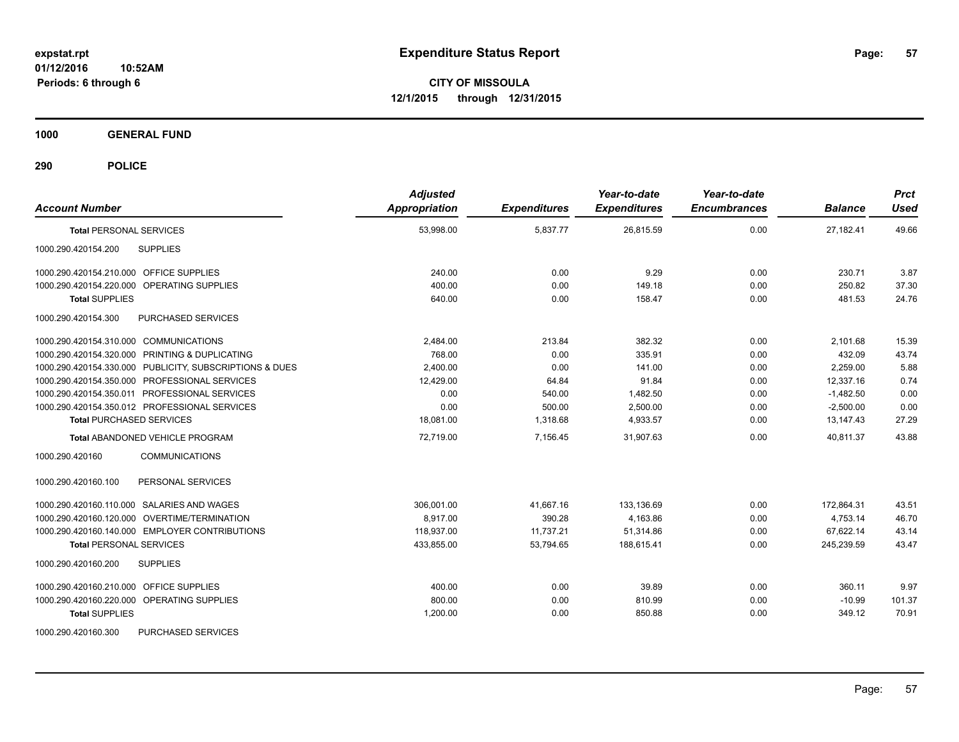**CITY OF MISSOULA 12/1/2015 through 12/31/2015**

**1000 GENERAL FUND**

| <b>Account Number</b>                                   | <b>Adjusted</b><br><b>Appropriation</b> | <b>Expenditures</b> | Year-to-date<br><b>Expenditures</b> | Year-to-date<br><b>Encumbrances</b> | <b>Balance</b> | <b>Prct</b><br><b>Used</b> |
|---------------------------------------------------------|-----------------------------------------|---------------------|-------------------------------------|-------------------------------------|----------------|----------------------------|
| <b>Total PERSONAL SERVICES</b>                          | 53,998.00                               | 5,837.77            | 26,815.59                           | 0.00                                | 27,182.41      | 49.66                      |
| <b>SUPPLIES</b><br>1000.290.420154.200                  |                                         |                     |                                     |                                     |                |                            |
| 1000.290.420154.210.000 OFFICE SUPPLIES                 | 240.00                                  | 0.00                | 9.29                                | 0.00                                | 230.71         | 3.87                       |
| <b>OPERATING SUPPLIES</b><br>1000.290.420154.220.000    | 400.00                                  | 0.00                | 149.18                              | 0.00                                | 250.82         | 37.30                      |
| <b>Total SUPPLIES</b>                                   | 640.00                                  | 0.00                | 158.47                              | 0.00                                | 481.53         | 24.76                      |
| 1000.290.420154.300<br>PURCHASED SERVICES               |                                         |                     |                                     |                                     |                |                            |
| 1000.290.420154.310.000 COMMUNICATIONS                  | 2.484.00                                | 213.84              | 382.32                              | 0.00                                | 2,101.68       | 15.39                      |
| 1000.290.420154.320.000 PRINTING & DUPLICATING          | 768.00                                  | 0.00                | 335.91                              | 0.00                                | 432.09         | 43.74                      |
| 1000.290.420154.330.000 PUBLICITY, SUBSCRIPTIONS & DUES | 2,400.00                                | 0.00                | 141.00                              | 0.00                                | 2,259.00       | 5.88                       |
| 1000.290.420154.350.000 PROFESSIONAL SERVICES           | 12,429.00                               | 64.84               | 91.84                               | 0.00                                | 12,337.16      | 0.74                       |
| 1000.290.420154.350.011 PROFESSIONAL SERVICES           | 0.00                                    | 540.00              | 1,482.50                            | 0.00                                | $-1,482.50$    | 0.00                       |
| 1000.290.420154.350.012 PROFESSIONAL SERVICES           | 0.00                                    | 500.00              | 2,500.00                            | 0.00                                | $-2,500.00$    | 0.00                       |
| <b>Total PURCHASED SERVICES</b>                         | 18.081.00                               | 1.318.68            | 4,933.57                            | 0.00                                | 13.147.43      | 27.29                      |
| Total ABANDONED VEHICLE PROGRAM                         | 72,719.00                               | 7,156.45            | 31,907.63                           | 0.00                                | 40,811.37      | 43.88                      |
| 1000.290.420160<br><b>COMMUNICATIONS</b>                |                                         |                     |                                     |                                     |                |                            |
| 1000.290.420160.100<br>PERSONAL SERVICES                |                                         |                     |                                     |                                     |                |                            |
| 1000.290.420160.110.000 SALARIES AND WAGES              | 306.001.00                              | 41.667.16           | 133.136.69                          | 0.00                                | 172.864.31     | 43.51                      |
| 1000.290.420160.120.000 OVERTIME/TERMINATION            | 8,917.00                                | 390.28              | 4,163.86                            | 0.00                                | 4,753.14       | 46.70                      |
| 1000.290.420160.140.000 EMPLOYER CONTRIBUTIONS          | 118,937.00                              | 11,737.21           | 51,314.86                           | 0.00                                | 67,622.14      | 43.14                      |
| <b>Total PERSONAL SERVICES</b>                          | 433,855.00                              | 53,794.65           | 188,615.41                          | 0.00                                | 245,239.59     | 43.47                      |
| 1000.290.420160.200<br><b>SUPPLIES</b>                  |                                         |                     |                                     |                                     |                |                            |
| 1000.290.420160.210.000 OFFICE SUPPLIES                 | 400.00                                  | 0.00                | 39.89                               | 0.00                                | 360.11         | 9.97                       |
| 1000.290.420160.220.000 OPERATING SUPPLIES              | 800.00                                  | 0.00                | 810.99                              | 0.00                                | $-10.99$       | 101.37                     |
| <b>Total SUPPLIES</b>                                   | 1,200.00                                | 0.00                | 850.88                              | 0.00                                | 349.12         | 70.91                      |
| 1000.290.420160.300<br>PURCHASED SERVICES               |                                         |                     |                                     |                                     |                |                            |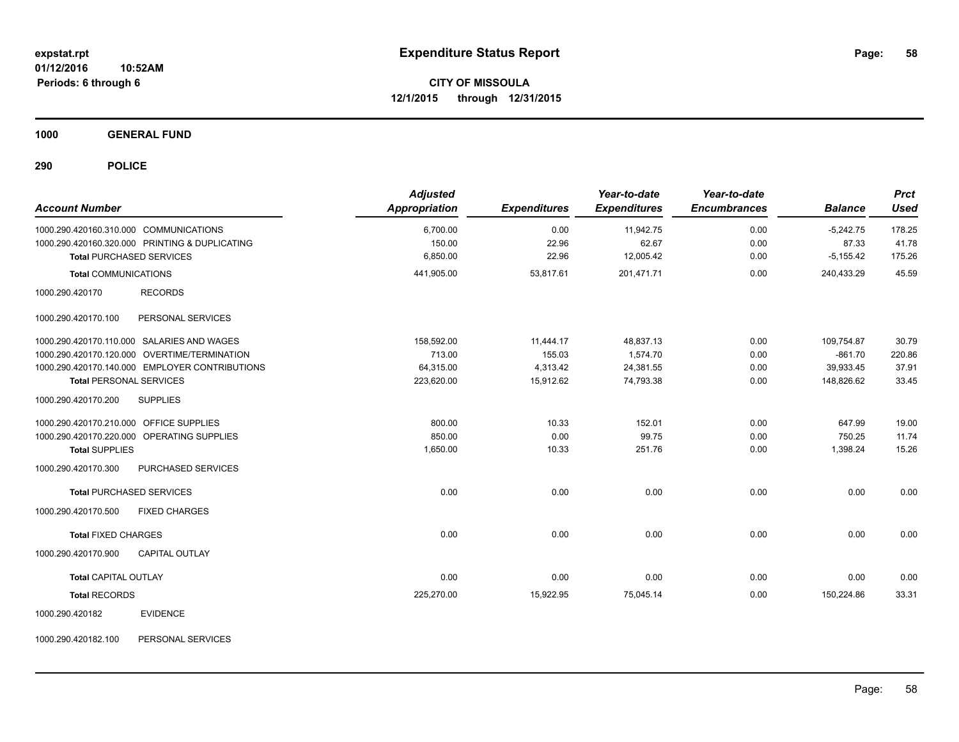**1000 GENERAL FUND**

**290 POLICE**

| <b>Account Number</b>                                                             | <b>Adjusted</b><br><b>Appropriation</b> | <b>Expenditures</b> | Year-to-date<br><b>Expenditures</b> | Year-to-date<br><b>Encumbrances</b> | <b>Balance</b>       | <b>Prct</b><br><b>Used</b> |
|-----------------------------------------------------------------------------------|-----------------------------------------|---------------------|-------------------------------------|-------------------------------------|----------------------|----------------------------|
| 1000.290.420160.310.000 COMMUNICATIONS                                            | 6,700.00                                | 0.00                | 11,942.75                           | 0.00                                | $-5,242.75$          | 178.25                     |
| 1000.290.420160.320.000 PRINTING & DUPLICATING<br><b>Total PURCHASED SERVICES</b> | 150.00<br>6,850.00                      | 22.96<br>22.96      | 62.67<br>12,005.42                  | 0.00<br>0.00                        | 87.33<br>$-5,155.42$ | 41.78<br>175.26            |
| <b>Total COMMUNICATIONS</b>                                                       | 441,905.00                              | 53,817.61           | 201,471.71                          | 0.00                                | 240,433.29           | 45.59                      |
| <b>RECORDS</b><br>1000.290.420170                                                 |                                         |                     |                                     |                                     |                      |                            |
| 1000.290.420170.100<br>PERSONAL SERVICES                                          |                                         |                     |                                     |                                     |                      |                            |
| 1000.290.420170.110.000 SALARIES AND WAGES                                        | 158,592.00                              | 11,444.17           | 48,837.13                           | 0.00                                | 109,754.87           | 30.79                      |
| 1000.290.420170.120.000 OVERTIME/TERMINATION                                      | 713.00                                  | 155.03              | 1,574.70                            | 0.00                                | $-861.70$            | 220.86                     |
| 1000.290.420170.140.000 EMPLOYER CONTRIBUTIONS                                    | 64,315.00                               | 4,313.42            | 24,381.55                           | 0.00                                | 39,933.45            | 37.91                      |
| <b>Total PERSONAL SERVICES</b>                                                    | 223,620.00                              | 15,912.62           | 74,793.38                           | 0.00                                | 148,826.62           | 33.45                      |
| <b>SUPPLIES</b><br>1000.290.420170.200                                            |                                         |                     |                                     |                                     |                      |                            |
| 1000.290.420170.210.000 OFFICE SUPPLIES                                           | 800.00                                  | 10.33               | 152.01                              | 0.00                                | 647.99               | 19.00                      |
| 1000.290.420170.220.000 OPERATING SUPPLIES                                        | 850.00                                  | 0.00                | 99.75                               | 0.00                                | 750.25               | 11.74                      |
| <b>Total SUPPLIES</b>                                                             | 1,650.00                                | 10.33               | 251.76                              | 0.00                                | 1,398.24             | 15.26                      |
| PURCHASED SERVICES<br>1000.290.420170.300                                         |                                         |                     |                                     |                                     |                      |                            |
| <b>Total PURCHASED SERVICES</b>                                                   | 0.00                                    | 0.00                | 0.00                                | 0.00                                | 0.00                 | 0.00                       |
| 1000.290.420170.500<br><b>FIXED CHARGES</b>                                       |                                         |                     |                                     |                                     |                      |                            |
| <b>Total FIXED CHARGES</b>                                                        | 0.00                                    | 0.00                | 0.00                                | 0.00                                | 0.00                 | 0.00                       |
| CAPITAL OUTLAY<br>1000.290.420170.900                                             |                                         |                     |                                     |                                     |                      |                            |
| <b>Total CAPITAL OUTLAY</b>                                                       | 0.00                                    | 0.00                | 0.00                                | 0.00                                | 0.00                 | 0.00                       |
| <b>Total RECORDS</b>                                                              | 225,270.00                              | 15,922.95           | 75,045.14                           | 0.00                                | 150,224.86           | 33.31                      |
| <b>EVIDENCE</b><br>1000.290.420182                                                |                                         |                     |                                     |                                     |                      |                            |

1000.290.420182.100 PERSONAL SERVICES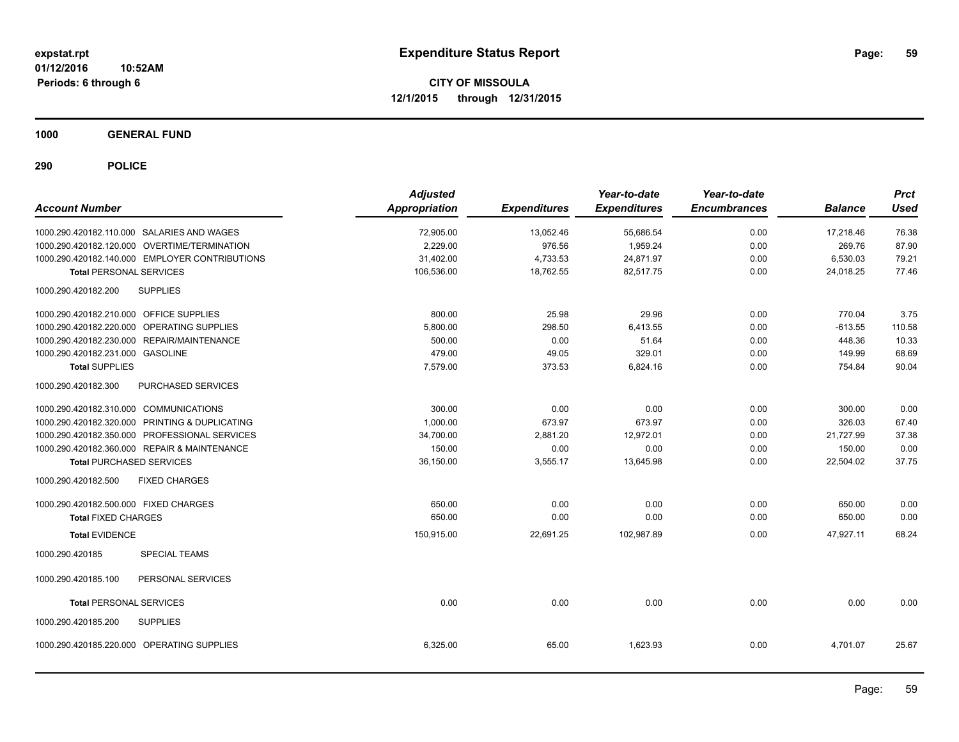**CITY OF MISSOULA 12/1/2015 through 12/31/2015**

**1000 GENERAL FUND**

| <b>Account Number</b>                          | <b>Adjusted</b><br><b>Appropriation</b> | <b>Expenditures</b> | Year-to-date<br><b>Expenditures</b> | Year-to-date<br><b>Encumbrances</b> | <b>Balance</b> | <b>Prct</b><br><b>Used</b> |
|------------------------------------------------|-----------------------------------------|---------------------|-------------------------------------|-------------------------------------|----------------|----------------------------|
| 1000.290.420182.110.000 SALARIES AND WAGES     | 72,905.00                               | 13.052.46           | 55,686.54                           | 0.00                                | 17.218.46      | 76.38                      |
| 1000.290.420182.120.000 OVERTIME/TERMINATION   | 2.229.00                                | 976.56              | 1.959.24                            | 0.00                                | 269.76         | 87.90                      |
| 1000.290.420182.140.000 EMPLOYER CONTRIBUTIONS | 31.402.00                               | 4,733.53            | 24,871.97                           | 0.00                                | 6,530.03       | 79.21                      |
| <b>Total PERSONAL SERVICES</b>                 | 106,536.00                              | 18,762.55           | 82,517.75                           | 0.00                                | 24,018.25      | 77.46                      |
| 1000.290.420182.200<br><b>SUPPLIES</b>         |                                         |                     |                                     |                                     |                |                            |
| 1000.290.420182.210.000 OFFICE SUPPLIES        | 800.00                                  | 25.98               | 29.96                               | 0.00                                | 770.04         | 3.75                       |
| 1000.290.420182.220.000 OPERATING SUPPLIES     | 5.800.00                                | 298.50              | 6.413.55                            | 0.00                                | $-613.55$      | 110.58                     |
| 1000.290.420182.230.000 REPAIR/MAINTENANCE     | 500.00                                  | 0.00                | 51.64                               | 0.00                                | 448.36         | 10.33                      |
| 1000.290.420182.231.000 GASOLINE               | 479.00                                  | 49.05               | 329.01                              | 0.00                                | 149.99         | 68.69                      |
| <b>Total SUPPLIES</b>                          | 7,579.00                                | 373.53              | 6,824.16                            | 0.00                                | 754.84         | 90.04                      |
| 1000.290.420182.300<br>PURCHASED SERVICES      |                                         |                     |                                     |                                     |                |                            |
| 1000.290.420182.310.000 COMMUNICATIONS         | 300.00                                  | 0.00                | 0.00                                | 0.00                                | 300.00         | 0.00                       |
| 1000.290.420182.320.000 PRINTING & DUPLICATING | 1,000.00                                | 673.97              | 673.97                              | 0.00                                | 326.03         | 67.40                      |
| 1000.290.420182.350.000 PROFESSIONAL SERVICES  | 34,700.00                               | 2,881.20            | 12,972.01                           | 0.00                                | 21,727.99      | 37.38                      |
| 1000.290.420182.360.000 REPAIR & MAINTENANCE   | 150.00                                  | 0.00                | 0.00                                | 0.00                                | 150.00         | 0.00                       |
| <b>Total PURCHASED SERVICES</b>                | 36,150.00                               | 3,555.17            | 13,645.98                           | 0.00                                | 22,504.02      | 37.75                      |
| 1000.290.420182.500<br><b>FIXED CHARGES</b>    |                                         |                     |                                     |                                     |                |                            |
| 1000.290.420182.500.000 FIXED CHARGES          | 650.00                                  | 0.00                | 0.00                                | 0.00                                | 650.00         | 0.00                       |
| <b>Total FIXED CHARGES</b>                     | 650.00                                  | 0.00                | 0.00                                | 0.00                                | 650.00         | 0.00                       |
| <b>Total EVIDENCE</b>                          | 150,915.00                              | 22,691.25           | 102,987.89                          | 0.00                                | 47.927.11      | 68.24                      |
| <b>SPECIAL TEAMS</b><br>1000.290.420185        |                                         |                     |                                     |                                     |                |                            |
| 1000.290.420185.100<br>PERSONAL SERVICES       |                                         |                     |                                     |                                     |                |                            |
| <b>Total PERSONAL SERVICES</b>                 | 0.00                                    | 0.00                | 0.00                                | 0.00                                | 0.00           | 0.00                       |
| <b>SUPPLIES</b><br>1000.290.420185.200         |                                         |                     |                                     |                                     |                |                            |
| 1000.290.420185.220.000 OPERATING SUPPLIES     | 6,325.00                                | 65.00               | 1,623.93                            | 0.00                                | 4,701.07       | 25.67                      |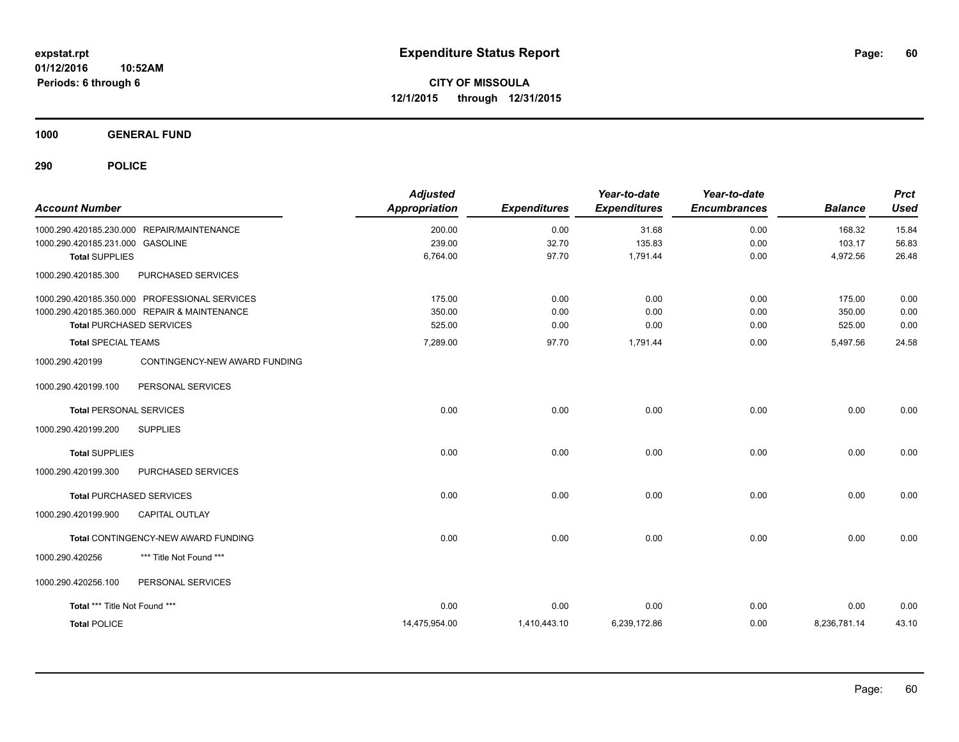**1000 GENERAL FUND**

| <b>Account Number</b>                                     |                                               | <b>Adjusted</b><br><b>Appropriation</b> | <b>Expenditures</b> | Year-to-date<br><b>Expenditures</b> | Year-to-date<br><b>Encumbrances</b> | <b>Balance</b>   | <b>Prct</b><br><b>Used</b> |
|-----------------------------------------------------------|-----------------------------------------------|-----------------------------------------|---------------------|-------------------------------------|-------------------------------------|------------------|----------------------------|
|                                                           | 1000.290.420185.230.000 REPAIR/MAINTENANCE    | 200.00<br>239.00                        | 0.00                | 31.68<br>135.83                     | 0.00                                | 168.32<br>103.17 | 15.84                      |
| 1000.290.420185.231.000 GASOLINE<br><b>Total SUPPLIES</b> |                                               | 6,764.00                                | 32.70<br>97.70      | 1,791.44                            | 0.00<br>0.00                        | 4,972.56         | 56.83<br>26.48             |
| 1000.290.420185.300                                       | PURCHASED SERVICES                            |                                         |                     |                                     |                                     |                  |                            |
|                                                           | 1000.290.420185.350.000 PROFESSIONAL SERVICES | 175.00                                  | 0.00                | 0.00                                | 0.00                                | 175.00           | 0.00                       |
|                                                           | 1000.290.420185.360.000 REPAIR & MAINTENANCE  | 350.00                                  | 0.00                | 0.00                                | 0.00                                | 350.00           | 0.00                       |
|                                                           | <b>Total PURCHASED SERVICES</b>               | 525.00                                  | 0.00                | 0.00                                | 0.00                                | 525.00           | 0.00                       |
| <b>Total SPECIAL TEAMS</b>                                |                                               | 7,289.00                                | 97.70               | 1,791.44                            | 0.00                                | 5,497.56         | 24.58                      |
| 1000.290.420199                                           | CONTINGENCY-NEW AWARD FUNDING                 |                                         |                     |                                     |                                     |                  |                            |
| 1000.290.420199.100                                       | PERSONAL SERVICES                             |                                         |                     |                                     |                                     |                  |                            |
| <b>Total PERSONAL SERVICES</b>                            |                                               | 0.00                                    | 0.00                | 0.00                                | 0.00                                | 0.00             | 0.00                       |
| 1000.290.420199.200                                       | <b>SUPPLIES</b>                               |                                         |                     |                                     |                                     |                  |                            |
| <b>Total SUPPLIES</b>                                     |                                               | 0.00                                    | 0.00                | 0.00                                | 0.00                                | 0.00             | 0.00                       |
| 1000.290.420199.300                                       | PURCHASED SERVICES                            |                                         |                     |                                     |                                     |                  |                            |
|                                                           | <b>Total PURCHASED SERVICES</b>               | 0.00                                    | 0.00                | 0.00                                | 0.00                                | 0.00             | 0.00                       |
| 1000.290.420199.900                                       | <b>CAPITAL OUTLAY</b>                         |                                         |                     |                                     |                                     |                  |                            |
|                                                           | Total CONTINGENCY-NEW AWARD FUNDING           | 0.00                                    | 0.00                | 0.00                                | 0.00                                | 0.00             | 0.00                       |
| 1000.290.420256                                           | *** Title Not Found ***                       |                                         |                     |                                     |                                     |                  |                            |
| 1000.290.420256.100                                       | PERSONAL SERVICES                             |                                         |                     |                                     |                                     |                  |                            |
| Total *** Title Not Found ***                             |                                               | 0.00                                    | 0.00                | 0.00                                | 0.00                                | 0.00             | 0.00                       |
| <b>Total POLICE</b>                                       |                                               | 14,475,954.00                           | 1,410,443.10        | 6,239,172.86                        | 0.00                                | 8,236,781.14     | 43.10                      |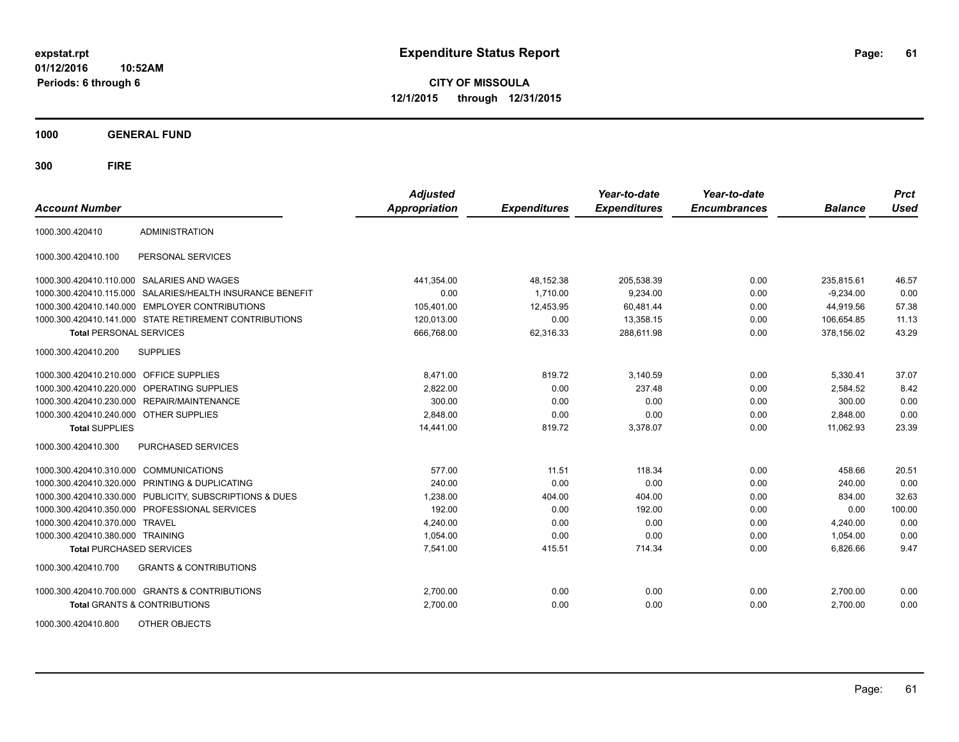**CITY OF MISSOULA 12/1/2015 through 12/31/2015**

**1000 GENERAL FUND**

| <b>Account Number</b>                   |                                                           | <b>Adjusted</b><br><b>Appropriation</b> | <b>Expenditures</b> | Year-to-date<br><b>Expenditures</b> | Year-to-date<br><b>Encumbrances</b> | <b>Balance</b> | <b>Prct</b><br><b>Used</b> |
|-----------------------------------------|-----------------------------------------------------------|-----------------------------------------|---------------------|-------------------------------------|-------------------------------------|----------------|----------------------------|
| 1000.300.420410                         | <b>ADMINISTRATION</b>                                     |                                         |                     |                                     |                                     |                |                            |
| 1000.300.420410.100                     | PERSONAL SERVICES                                         |                                         |                     |                                     |                                     |                |                            |
|                                         | 1000.300.420410.110.000 SALARIES AND WAGES                | 441,354.00                              | 48,152.38           | 205,538.39                          | 0.00                                | 235,815.61     | 46.57                      |
|                                         | 1000.300.420410.115.000 SALARIES/HEALTH INSURANCE BENEFIT | 0.00                                    | 1,710.00            | 9,234.00                            | 0.00                                | $-9,234.00$    | 0.00                       |
|                                         | 1000.300.420410.140.000 EMPLOYER CONTRIBUTIONS            | 105,401.00                              | 12,453.95           | 60.481.44                           | 0.00                                | 44.919.56      | 57.38                      |
|                                         | 1000.300.420410.141.000 STATE RETIREMENT CONTRIBUTIONS    | 120,013.00                              | 0.00                | 13,358.15                           | 0.00                                | 106,654.85     | 11.13                      |
| <b>Total PERSONAL SERVICES</b>          |                                                           | 666,768.00                              | 62,316.33           | 288,611.98                          | 0.00                                | 378,156.02     | 43.29                      |
| 1000.300.420410.200                     | <b>SUPPLIES</b>                                           |                                         |                     |                                     |                                     |                |                            |
| 1000.300.420410.210.000 OFFICE SUPPLIES |                                                           | 8,471.00                                | 819.72              | 3,140.59                            | 0.00                                | 5,330.41       | 37.07                      |
|                                         | 1000.300.420410.220.000 OPERATING SUPPLIES                | 2,822.00                                | 0.00                | 237.48                              | 0.00                                | 2,584.52       | 8.42                       |
| 1000.300.420410.230.000                 | REPAIR/MAINTENANCE                                        | 300.00                                  | 0.00                | 0.00                                | 0.00                                | 300.00         | 0.00                       |
| 1000.300.420410.240.000                 | <b>OTHER SUPPLIES</b>                                     | 2,848.00                                | 0.00                | 0.00                                | 0.00                                | 2,848.00       | 0.00                       |
| <b>Total SUPPLIES</b>                   |                                                           | 14,441.00                               | 819.72              | 3,378.07                            | 0.00                                | 11,062.93      | 23.39                      |
| 1000.300.420410.300                     | <b>PURCHASED SERVICES</b>                                 |                                         |                     |                                     |                                     |                |                            |
| 1000.300.420410.310.000                 | <b>COMMUNICATIONS</b>                                     | 577.00                                  | 11.51               | 118.34                              | 0.00                                | 458.66         | 20.51                      |
| 1000.300.420410.320.000                 | <b>PRINTING &amp; DUPLICATING</b>                         | 240.00                                  | 0.00                | 0.00                                | 0.00                                | 240.00         | 0.00                       |
| 1000.300.420410.330.000                 | PUBLICITY, SUBSCRIPTIONS & DUES                           | 1,238.00                                | 404.00              | 404.00                              | 0.00                                | 834.00         | 32.63                      |
| 1000.300.420410.350.000                 | PROFESSIONAL SERVICES                                     | 192.00                                  | 0.00                | 192.00                              | 0.00                                | 0.00           | 100.00                     |
| 1000.300.420410.370.000                 | <b>TRAVEL</b>                                             | 4,240.00                                | 0.00                | 0.00                                | 0.00                                | 4,240.00       | 0.00                       |
| 1000.300.420410.380.000 TRAINING        |                                                           | 1,054.00                                | 0.00                | 0.00                                | 0.00                                | 1,054.00       | 0.00                       |
| <b>Total PURCHASED SERVICES</b>         |                                                           | 7,541.00                                | 415.51              | 714.34                              | 0.00                                | 6,826.66       | 9.47                       |
| 1000.300.420410.700                     | <b>GRANTS &amp; CONTRIBUTIONS</b>                         |                                         |                     |                                     |                                     |                |                            |
|                                         | 1000.300.420410.700.000 GRANTS & CONTRIBUTIONS            | 2,700.00                                | 0.00                | 0.00                                | 0.00                                | 2,700.00       | 0.00                       |
|                                         | <b>Total GRANTS &amp; CONTRIBUTIONS</b>                   | 2,700.00                                | 0.00                | 0.00                                | 0.00                                | 2,700.00       | 0.00                       |
| 1000.300.420410.800                     | OTHER OBJECTS                                             |                                         |                     |                                     |                                     |                |                            |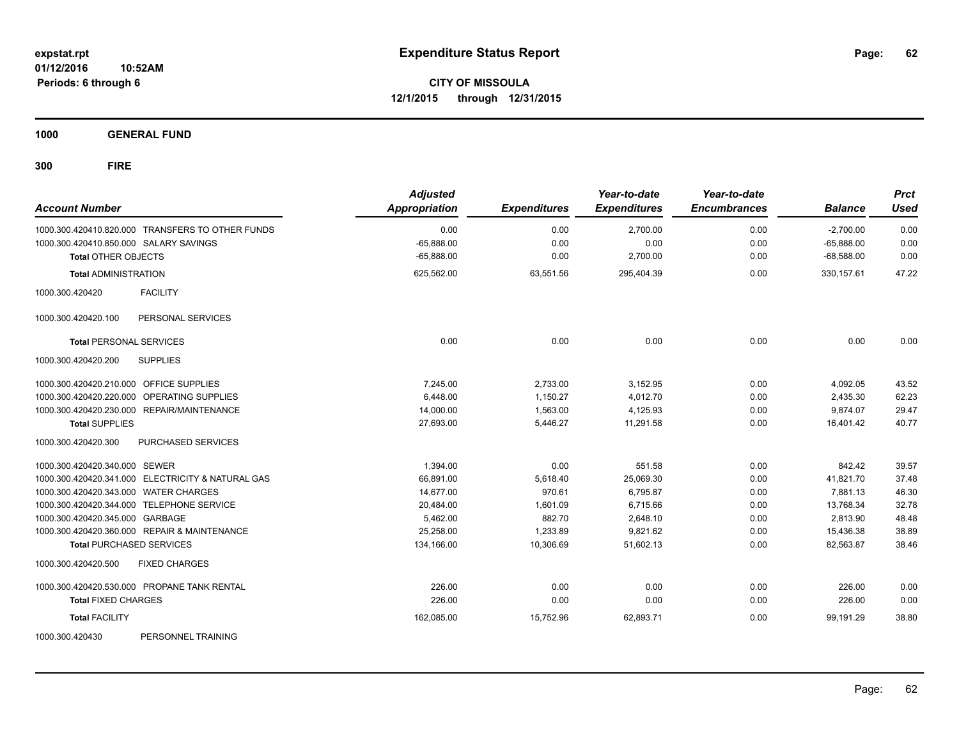**CITY OF MISSOULA 12/1/2015 through 12/31/2015**

**1000 GENERAL FUND**

| <b>Account Number</b>                             | <b>Adjusted</b><br><b>Appropriation</b> | <b>Expenditures</b> | Year-to-date<br><b>Expenditures</b> | Year-to-date<br><b>Encumbrances</b> | <b>Balance</b> | <b>Prct</b><br><b>Used</b> |
|---------------------------------------------------|-----------------------------------------|---------------------|-------------------------------------|-------------------------------------|----------------|----------------------------|
| 1000.300.420410.820.000 TRANSFERS TO OTHER FUNDS  | 0.00                                    | 0.00                | 2,700.00                            | 0.00                                | $-2,700.00$    | 0.00                       |
| 1000.300.420410.850.000 SALARY SAVINGS            | $-65,888.00$                            | 0.00                | 0.00                                | 0.00                                | $-65,888.00$   | 0.00                       |
| <b>Total OTHER OBJECTS</b>                        | $-65,888.00$                            | 0.00                | 2,700.00                            | 0.00                                | $-68,588.00$   | 0.00                       |
| <b>Total ADMINISTRATION</b>                       | 625,562.00                              | 63,551.56           | 295,404.39                          | 0.00                                | 330, 157.61    | 47.22                      |
| <b>FACILITY</b><br>1000.300.420420                |                                         |                     |                                     |                                     |                |                            |
| PERSONAL SERVICES<br>1000.300.420420.100          |                                         |                     |                                     |                                     |                |                            |
| <b>Total PERSONAL SERVICES</b>                    | 0.00                                    | 0.00                | 0.00                                | 0.00                                | 0.00           | 0.00                       |
| <b>SUPPLIES</b><br>1000.300.420420.200            |                                         |                     |                                     |                                     |                |                            |
| 1000.300.420420.210.000 OFFICE SUPPLIES           | 7.245.00                                | 2,733.00            | 3,152.95                            | 0.00                                | 4,092.05       | 43.52                      |
| 1000.300.420420.220.000<br>OPERATING SUPPLIES     | 6,448.00                                | 1,150.27            | 4,012.70                            | 0.00                                | 2,435.30       | 62.23                      |
| 1000.300.420420.230.000 REPAIR/MAINTENANCE        | 14,000.00                               | 1,563.00            | 4,125.93                            | 0.00                                | 9,874.07       | 29.47                      |
| <b>Total SUPPLIES</b>                             | 27,693.00                               | 5,446.27            | 11,291.58                           | 0.00                                | 16,401.42      | 40.77                      |
| <b>PURCHASED SERVICES</b><br>1000.300.420420.300  |                                         |                     |                                     |                                     |                |                            |
| 1000.300.420420.340.000 SEWER                     | 1,394.00                                | 0.00                | 551.58                              | 0.00                                | 842.42         | 39.57                      |
| 1000.300.420420.341.000 ELECTRICITY & NATURAL GAS | 66,891.00                               | 5,618.40            | 25,069.30                           | 0.00                                | 41,821.70      | 37.48                      |
| 1000.300.420420.343.000 WATER CHARGES             | 14,677.00                               | 970.61              | 6,795.87                            | 0.00                                | 7,881.13       | 46.30                      |
| 1000.300.420420.344.000 TELEPHONE SERVICE         | 20,484.00                               | 1,601.09            | 6,715.66                            | 0.00                                | 13,768.34      | 32.78                      |
| 1000.300.420420.345.000 GARBAGE                   | 5,462.00                                | 882.70              | 2,648.10                            | 0.00                                | 2,813.90       | 48.48                      |
| 1000.300.420420.360.000 REPAIR & MAINTENANCE      | 25,258.00                               | 1,233.89            | 9,821.62                            | 0.00                                | 15,436.38      | 38.89                      |
| <b>Total PURCHASED SERVICES</b>                   | 134,166.00                              | 10,306.69           | 51,602.13                           | 0.00                                | 82,563.87      | 38.46                      |
| <b>FIXED CHARGES</b><br>1000.300.420420.500       |                                         |                     |                                     |                                     |                |                            |
| 1000.300.420420.530.000 PROPANE TANK RENTAL       | 226.00                                  | 0.00                | 0.00                                | 0.00                                | 226.00         | 0.00                       |
| <b>Total FIXED CHARGES</b>                        | 226.00                                  | 0.00                | 0.00                                | 0.00                                | 226.00         | 0.00                       |
| <b>Total FACILITY</b>                             | 162,085.00                              | 15,752.96           | 62,893.71                           | 0.00                                | 99.191.29      | 38.80                      |
| 1000.300.420430<br>PERSONNEL TRAINING             |                                         |                     |                                     |                                     |                |                            |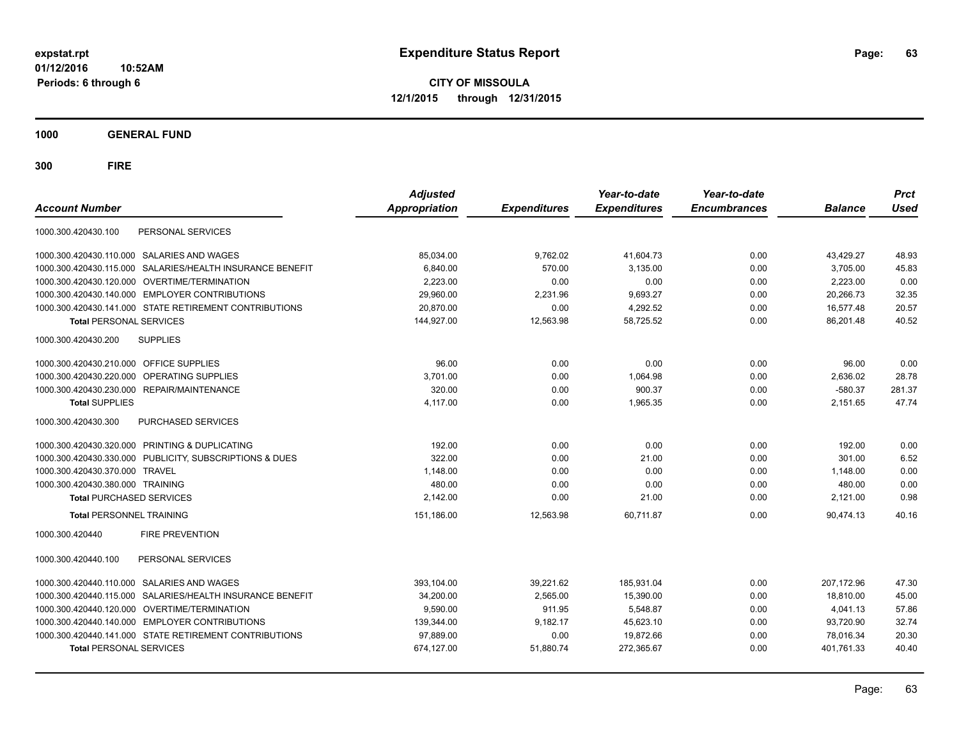**CITY OF MISSOULA 12/1/2015 through 12/31/2015**

**1000 GENERAL FUND**

| <b>Account Number</b>                          |                                                         | <b>Adjusted</b><br><b>Appropriation</b> | <b>Expenditures</b> | Year-to-date<br><b>Expenditures</b> | Year-to-date<br><b>Encumbrances</b> | <b>Balance</b> | <b>Prct</b><br><b>Used</b> |
|------------------------------------------------|---------------------------------------------------------|-----------------------------------------|---------------------|-------------------------------------|-------------------------------------|----------------|----------------------------|
| 1000.300.420430.100                            | PERSONAL SERVICES                                       |                                         |                     |                                     |                                     |                |                            |
| 1000.300.420430.110.000 SALARIES AND WAGES     |                                                         | 85,034.00                               | 9,762.02            | 41,604.73                           | 0.00                                | 43,429.27      | 48.93                      |
| 1000.300.420430.115.000                        | SALARIES/HEALTH INSURANCE BENEFIT                       | 6,840.00                                | 570.00              | 3,135.00                            | 0.00                                | 3,705.00       | 45.83                      |
| 1000.300.420430.120.000                        | OVERTIME/TERMINATION                                    | 2.223.00                                | 0.00                | 0.00                                | 0.00                                | 2,223.00       | 0.00                       |
| 1000.300.420430.140.000 EMPLOYER CONTRIBUTIONS |                                                         | 29.960.00                               | 2,231.96            | 9,693.27                            | 0.00                                | 20,266.73      | 32.35                      |
|                                                | 1000.300.420430.141.000 STATE RETIREMENT CONTRIBUTIONS  | 20,870.00                               | 0.00                | 4,292.52                            | 0.00                                | 16,577.48      | 20.57                      |
| <b>Total PERSONAL SERVICES</b>                 |                                                         | 144,927.00                              | 12,563.98           | 58,725.52                           | 0.00                                | 86,201.48      | 40.52                      |
| 1000.300.420430.200<br><b>SUPPLIES</b>         |                                                         |                                         |                     |                                     |                                     |                |                            |
| 1000.300.420430.210.000                        | <b>OFFICE SUPPLIES</b>                                  | 96.00                                   | 0.00                | 0.00                                | 0.00                                | 96.00          | 0.00                       |
| 1000.300.420430.220.000                        | OPERATING SUPPLIES                                      | 3,701.00                                | 0.00                | 1,064.98                            | 0.00                                | 2,636.02       | 28.78                      |
| 1000.300.420430.230.000 REPAIR/MAINTENANCE     |                                                         | 320.00                                  | 0.00                | 900.37                              | 0.00                                | $-580.37$      | 281.37                     |
| <b>Total SUPPLIES</b>                          |                                                         | 4,117.00                                | 0.00                | 1,965.35                            | 0.00                                | 2,151.65       | 47.74                      |
| 1000.300.420430.300                            | <b>PURCHASED SERVICES</b>                               |                                         |                     |                                     |                                     |                |                            |
| 1000.300.420430.320.000 PRINTING & DUPLICATING |                                                         | 192.00                                  | 0.00                | 0.00                                | 0.00                                | 192.00         | 0.00                       |
|                                                | 1000.300.420430.330.000 PUBLICITY, SUBSCRIPTIONS & DUES | 322.00                                  | 0.00                | 21.00                               | 0.00                                | 301.00         | 6.52                       |
| 1000.300.420430.370.000 TRAVEL                 |                                                         | 1,148.00                                | 0.00                | 0.00                                | 0.00                                | 1,148.00       | 0.00                       |
| 1000.300.420430.380.000 TRAINING               |                                                         | 480.00                                  | 0.00                | 0.00                                | 0.00                                | 480.00         | 0.00                       |
| <b>Total PURCHASED SERVICES</b>                |                                                         | 2.142.00                                | 0.00                | 21.00                               | 0.00                                | 2,121.00       | 0.98                       |
| <b>Total PERSONNEL TRAINING</b>                |                                                         | 151,186.00                              | 12,563.98           | 60,711.87                           | 0.00                                | 90,474.13      | 40.16                      |
| 1000.300.420440                                | <b>FIRE PREVENTION</b>                                  |                                         |                     |                                     |                                     |                |                            |
| 1000.300.420440.100                            | PERSONAL SERVICES                                       |                                         |                     |                                     |                                     |                |                            |
| 1000.300.420440.110.000                        | SALARIES AND WAGES                                      | 393,104.00                              | 39,221.62           | 185,931.04                          | 0.00                                | 207.172.96     | 47.30                      |
| 1000.300.420440.115.000                        | SALARIES/HEALTH INSURANCE BENEFIT                       | 34,200.00                               | 2,565.00            | 15,390.00                           | 0.00                                | 18,810.00      | 45.00                      |
| 1000.300.420440.120.000                        | OVERTIME/TERMINATION                                    | 9,590.00                                | 911.95              | 5,548.87                            | 0.00                                | 4,041.13       | 57.86                      |
| 1000.300.420440.140.000 EMPLOYER CONTRIBUTIONS |                                                         | 139,344.00                              | 9,182.17            | 45,623.10                           | 0.00                                | 93,720.90      | 32.74                      |
|                                                | 1000.300.420440.141.000 STATE RETIREMENT CONTRIBUTIONS  | 97,889.00                               | 0.00                | 19,872.66                           | 0.00                                | 78.016.34      | 20.30                      |
| <b>Total PERSONAL SERVICES</b>                 |                                                         | 674,127.00                              | 51,880.74           | 272,365.67                          | 0.00                                | 401,761.33     | 40.40                      |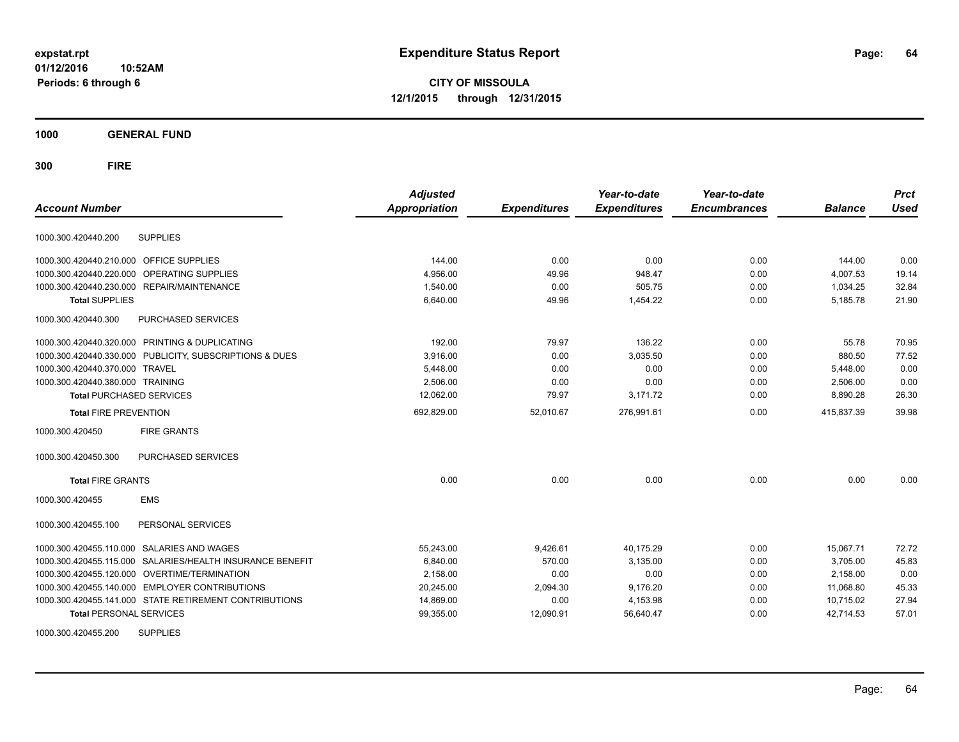**CITY OF MISSOULA 12/1/2015 through 12/31/2015**

**1000 GENERAL FUND**

**300 FIRE**

| <b>Account Number</b>                                        | <b>Adjusted</b><br><b>Appropriation</b> | <b>Expenditures</b> | Year-to-date<br><b>Expenditures</b> | Year-to-date<br><b>Encumbrances</b> | <b>Balance</b> | <b>Prct</b><br><b>Used</b> |
|--------------------------------------------------------------|-----------------------------------------|---------------------|-------------------------------------|-------------------------------------|----------------|----------------------------|
| <b>SUPPLIES</b><br>1000.300.420440.200                       |                                         |                     |                                     |                                     |                |                            |
| 1000.300.420440.210.000 OFFICE SUPPLIES                      | 144.00                                  | 0.00                | 0.00                                | 0.00                                | 144.00         | 0.00                       |
| OPERATING SUPPLIES<br>1000.300.420440.220.000                | 4,956.00                                | 49.96               | 948.47                              | 0.00                                | 4,007.53       | 19.14                      |
| 1000.300.420440.230.000 REPAIR/MAINTENANCE                   | 1,540.00                                | 0.00                | 505.75                              | 0.00                                | 1,034.25       | 32.84                      |
| <b>Total SUPPLIES</b>                                        | 6,640.00                                | 49.96               | 1,454.22                            | 0.00                                | 5,185.78       | 21.90                      |
| 1000.300.420440.300<br>PURCHASED SERVICES                    |                                         |                     |                                     |                                     |                |                            |
| 1000.300.420440.320.000 PRINTING & DUPLICATING               | 192.00                                  | 79.97               | 136.22                              | 0.00                                | 55.78          | 70.95                      |
| 1000.300.420440.330.000 PUBLICITY, SUBSCRIPTIONS & DUES      | 3,916.00                                | 0.00                | 3,035.50                            | 0.00                                | 880.50         | 77.52                      |
| 1000.300.420440.370.000 TRAVEL                               | 5,448.00                                | 0.00                | 0.00                                | 0.00                                | 5,448.00       | 0.00                       |
| 1000.300.420440.380.000 TRAINING                             | 2,506.00                                | 0.00                | 0.00                                | 0.00                                | 2,506.00       | 0.00                       |
| <b>Total PURCHASED SERVICES</b>                              | 12,062.00                               | 79.97               | 3,171.72                            | 0.00                                | 8,890.28       | 26.30                      |
| <b>Total FIRE PREVENTION</b>                                 | 692,829.00                              | 52,010.67           | 276,991.61                          | 0.00                                | 415.837.39     | 39.98                      |
| <b>FIRE GRANTS</b><br>1000.300.420450                        |                                         |                     |                                     |                                     |                |                            |
| PURCHASED SERVICES<br>1000.300.420450.300                    |                                         |                     |                                     |                                     |                |                            |
| <b>Total FIRE GRANTS</b>                                     | 0.00                                    | 0.00                | 0.00                                | 0.00                                | 0.00           | 0.00                       |
| <b>EMS</b><br>1000.300.420455                                |                                         |                     |                                     |                                     |                |                            |
| PERSONAL SERVICES<br>1000.300.420455.100                     |                                         |                     |                                     |                                     |                |                            |
| 1000.300.420455.110.000 SALARIES AND WAGES                   | 55,243.00                               | 9,426.61            | 40.175.29                           | 0.00                                | 15.067.71      | 72.72                      |
| SALARIES/HEALTH INSURANCE BENEFIT<br>1000.300.420455.115.000 | 6,840.00                                | 570.00              | 3,135.00                            | 0.00                                | 3,705.00       | 45.83                      |
| 1000.300.420455.120.000 OVERTIME/TERMINATION                 | 2,158.00                                | 0.00                | 0.00                                | 0.00                                | 2,158.00       | 0.00                       |
| 1000.300.420455.140.000 EMPLOYER CONTRIBUTIONS               | 20,245.00                               | 2,094.30            | 9,176.20                            | 0.00                                | 11,068.80      | 45.33                      |
| 1000.300.420455.141.000 STATE RETIREMENT CONTRIBUTIONS       | 14,869.00                               | 0.00                | 4,153.98                            | 0.00                                | 10,715.02      | 27.94                      |
| <b>Total PERSONAL SERVICES</b>                               | 99,355.00                               | 12,090.91           | 56,640.47                           | 0.00                                | 42,714.53      | 57.01                      |
| 1000000010015500<br>0.1001100                                |                                         |                     |                                     |                                     |                |                            |

1000.300.420455.200 SUPPLIES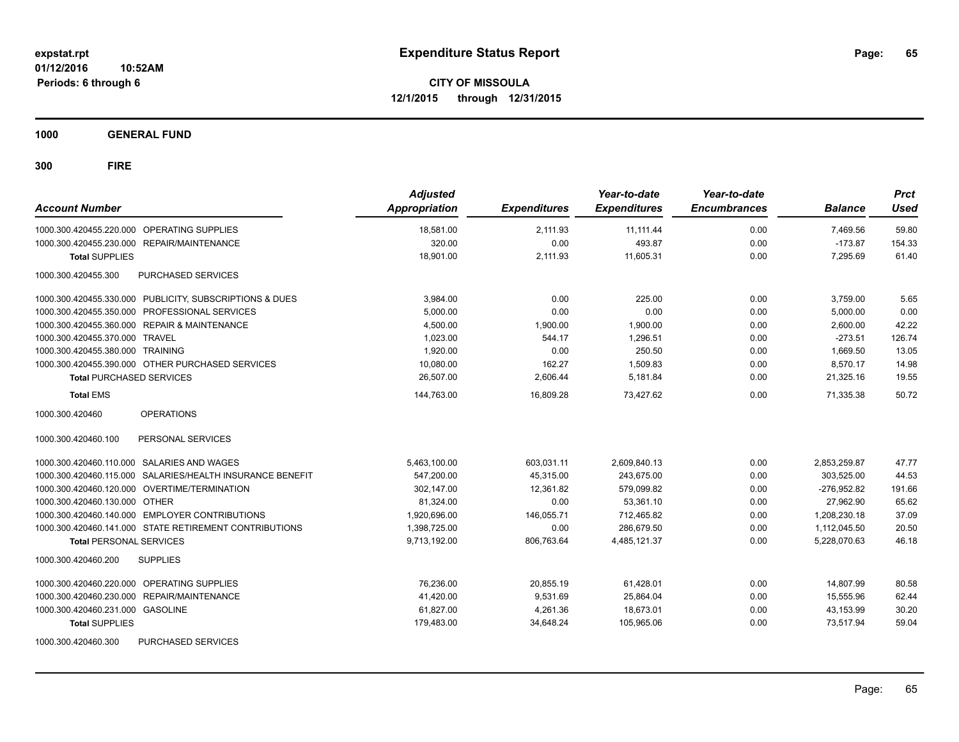**1000 GENERAL FUND**

| <b>Account Number</b>                                      | <b>Adjusted</b><br><b>Appropriation</b> | <b>Expenditures</b> | Year-to-date<br><b>Expenditures</b> | Year-to-date<br><b>Encumbrances</b> | <b>Balance</b> | <b>Prct</b><br><b>Used</b> |
|------------------------------------------------------------|-----------------------------------------|---------------------|-------------------------------------|-------------------------------------|----------------|----------------------------|
| 1000.300.420455.220.000 OPERATING SUPPLIES                 | 18,581.00                               | 2.111.93            | 11.111.44                           | 0.00                                | 7,469.56       | 59.80                      |
| 1000.300.420455.230.000 REPAIR/MAINTENANCE                 | 320.00                                  | 0.00                | 493.87                              | 0.00                                | $-173.87$      | 154.33                     |
| <b>Total SUPPLIES</b>                                      | 18,901.00                               | 2,111.93            | 11,605.31                           | 0.00                                | 7,295.69       | 61.40                      |
| 1000.300.420455.300<br>PURCHASED SERVICES                  |                                         |                     |                                     |                                     |                |                            |
| 1000.300.420455.330.000 PUBLICITY, SUBSCRIPTIONS & DUES    | 3,984.00                                | 0.00                | 225.00                              | 0.00                                | 3,759.00       | 5.65                       |
| PROFESSIONAL SERVICES<br>1000.300.420455.350.000           | 5.000.00                                | 0.00                | 0.00                                | 0.00                                | 5,000.00       | 0.00                       |
| <b>REPAIR &amp; MAINTENANCE</b><br>1000.300.420455.360.000 | 4,500.00                                | 1,900.00            | 1,900.00                            | 0.00                                | 2,600.00       | 42.22                      |
| 1000.300.420455.370.000 TRAVEL                             | 1.023.00                                | 544.17              | 1.296.51                            | 0.00                                | $-273.51$      | 126.74                     |
| 1000.300.420455.380.000 TRAINING                           | 1,920.00                                | 0.00                | 250.50                              | 0.00                                | 1,669.50       | 13.05                      |
| 1000.300.420455.390.000 OTHER PURCHASED SERVICES           | 10,080.00                               | 162.27              | 1,509.83                            | 0.00                                | 8,570.17       | 14.98                      |
| <b>Total PURCHASED SERVICES</b>                            | 26,507.00                               | 2,606.44            | 5,181.84                            | 0.00                                | 21,325.16      | 19.55                      |
| <b>Total EMS</b>                                           | 144,763.00                              | 16,809.28           | 73,427.62                           | 0.00                                | 71,335.38      | 50.72                      |
| <b>OPERATIONS</b><br>1000.300.420460                       |                                         |                     |                                     |                                     |                |                            |
| PERSONAL SERVICES<br>1000.300.420460.100                   |                                         |                     |                                     |                                     |                |                            |
| 1000.300.420460.110.000 SALARIES AND WAGES                 | 5,463,100.00                            | 603,031.11          | 2,609,840.13                        | 0.00                                | 2,853,259.87   | 47.77                      |
| 1000.300.420460.115.000 SALARIES/HEALTH INSURANCE BENEFIT  | 547,200.00                              | 45,315.00           | 243,675.00                          | 0.00                                | 303,525.00     | 44.53                      |
| 1000.300.420460.120.000 OVERTIME/TERMINATION               | 302,147.00                              | 12,361.82           | 579,099.82                          | 0.00                                | $-276,952.82$  | 191.66                     |
| 1000.300.420460.130.000 OTHER                              | 81.324.00                               | 0.00                | 53.361.10                           | 0.00                                | 27.962.90      | 65.62                      |
| 1000.300.420460.140.000 EMPLOYER CONTRIBUTIONS             | 1.920.696.00                            | 146.055.71          | 712.465.82                          | 0.00                                | 1.208.230.18   | 37.09                      |
| 1000.300.420460.141.000 STATE RETIREMENT CONTRIBUTIONS     | 1,398,725.00                            | 0.00                | 286.679.50                          | 0.00                                | 1,112,045.50   | 20.50                      |
| <b>Total PERSONAL SERVICES</b>                             | 9,713,192.00                            | 806,763.64          | 4,485,121.37                        | 0.00                                | 5,228,070.63   | 46.18                      |
| 1000.300.420460.200<br><b>SUPPLIES</b>                     |                                         |                     |                                     |                                     |                |                            |
| OPERATING SUPPLIES<br>1000.300.420460.220.000              | 76.236.00                               | 20,855.19           | 61,428.01                           | 0.00                                | 14,807.99      | 80.58                      |
| REPAIR/MAINTENANCE<br>1000.300.420460.230.000              | 41,420.00                               | 9,531.69            | 25,864.04                           | 0.00                                | 15,555.96      | 62.44                      |
| 1000.300.420460.231.000 GASOLINE                           | 61,827.00                               | 4,261.36            | 18,673.01                           | 0.00                                | 43,153.99      | 30.20                      |
| <b>Total SUPPLIES</b>                                      | 179,483.00                              | 34,648.24           | 105,965.06                          | 0.00                                | 73,517.94      | 59.04                      |
| 1000.300.420460.300<br>PURCHASED SERVICES                  |                                         |                     |                                     |                                     |                |                            |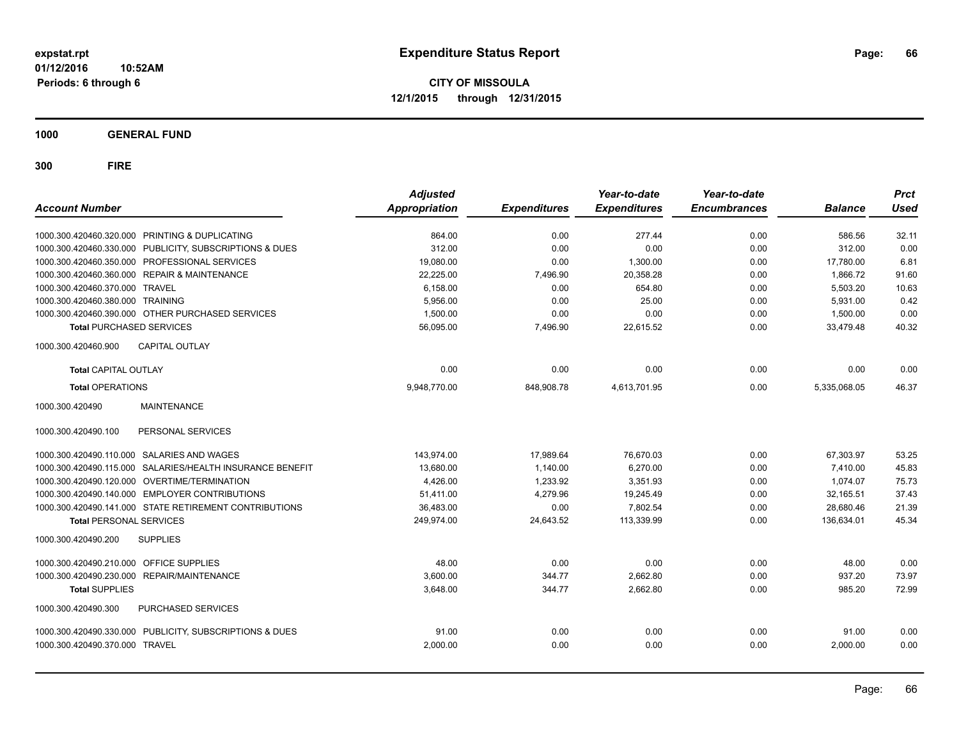**CITY OF MISSOULA 12/1/2015 through 12/31/2015**

**1000 GENERAL FUND**

| <b>Account Number</b>                                     | <b>Adjusted</b><br><b>Appropriation</b> | <b>Expenditures</b> | Year-to-date<br><b>Expenditures</b> | Year-to-date<br><b>Encumbrances</b> | <b>Balance</b> | <b>Prct</b><br>Used |
|-----------------------------------------------------------|-----------------------------------------|---------------------|-------------------------------------|-------------------------------------|----------------|---------------------|
| 1000.300.420460.320.000 PRINTING & DUPLICATING            | 864.00                                  | 0.00                | 277.44                              | 0.00                                | 586.56         | 32.11               |
| 1000.300.420460.330.000 PUBLICITY, SUBSCRIPTIONS & DUES   | 312.00                                  | 0.00                | 0.00                                | 0.00                                | 312.00         | 0.00                |
| 1000.300.420460.350.000 PROFESSIONAL SERVICES             | 19,080.00                               | 0.00                | 1,300.00                            | 0.00                                | 17,780.00      | 6.81                |
| 1000.300.420460.360.000 REPAIR & MAINTENANCE              | 22,225.00                               | 7,496.90            | 20,358.28                           | 0.00                                | 1,866.72       | 91.60               |
| 1000.300.420460.370.000 TRAVEL                            | 6.158.00                                | 0.00                | 654.80                              | 0.00                                | 5.503.20       | 10.63               |
| 1000.300.420460.380.000 TRAINING                          | 5.956.00                                | 0.00                | 25.00                               | 0.00                                | 5,931.00       | 0.42                |
| 1000.300.420460.390.000 OTHER PURCHASED SERVICES          | 1,500.00                                | 0.00                | 0.00                                | 0.00                                | 1,500.00       | 0.00                |
| <b>Total PURCHASED SERVICES</b>                           | 56,095.00                               | 7,496.90            | 22,615.52                           | 0.00                                | 33,479.48      | 40.32               |
| <b>CAPITAL OUTLAY</b><br>1000.300.420460.900              |                                         |                     |                                     |                                     |                |                     |
| Total CAPITAL OUTLAY                                      | 0.00                                    | 0.00                | 0.00                                | 0.00                                | 0.00           | 0.00                |
| <b>Total OPERATIONS</b>                                   | 9,948,770.00                            | 848,908.78          | 4,613,701.95                        | 0.00                                | 5,335,068.05   | 46.37               |
| <b>MAINTENANCE</b><br>1000.300.420490                     |                                         |                     |                                     |                                     |                |                     |
| PERSONAL SERVICES<br>1000.300.420490.100                  |                                         |                     |                                     |                                     |                |                     |
| 1000.300.420490.110.000 SALARIES AND WAGES                | 143.974.00                              | 17,989.64           | 76,670.03                           | 0.00                                | 67,303.97      | 53.25               |
| 1000.300.420490.115.000 SALARIES/HEALTH INSURANCE BENEFIT | 13,680.00                               | 1,140.00            | 6,270.00                            | 0.00                                | 7,410.00       | 45.83               |
| 1000.300.420490.120.000 OVERTIME/TERMINATION              | 4,426.00                                | 1,233.92            | 3,351.93                            | 0.00                                | 1,074.07       | 75.73               |
| 1000.300.420490.140.000 EMPLOYER CONTRIBUTIONS            | 51,411.00                               | 4,279.96            | 19,245.49                           | 0.00                                | 32,165.51      | 37.43               |
| 1000.300.420490.141.000 STATE RETIREMENT CONTRIBUTIONS    | 36,483.00                               | 0.00                | 7,802.54                            | 0.00                                | 28,680.46      | 21.39               |
| <b>Total PERSONAL SERVICES</b>                            | 249,974.00                              | 24,643.52           | 113,339.99                          | 0.00                                | 136,634.01     | 45.34               |
| 1000.300.420490.200<br><b>SUPPLIES</b>                    |                                         |                     |                                     |                                     |                |                     |
| 1000.300.420490.210.000<br><b>OFFICE SUPPLIES</b>         | 48.00                                   | 0.00                | 0.00                                | 0.00                                | 48.00          | 0.00                |
| 1000.300.420490.230.000<br>REPAIR/MAINTENANCE             | 3,600.00                                | 344.77              | 2,662.80                            | 0.00                                | 937.20         | 73.97               |
| <b>Total SUPPLIES</b>                                     | 3,648.00                                | 344.77              | 2,662.80                            | 0.00                                | 985.20         | 72.99               |
| 1000.300.420490.300<br>PURCHASED SERVICES                 |                                         |                     |                                     |                                     |                |                     |
| 1000.300.420490.330.000 PUBLICITY, SUBSCRIPTIONS & DUES   | 91.00                                   | 0.00                | 0.00                                | 0.00                                | 91.00          | 0.00                |
| 1000.300.420490.370.000 TRAVEL                            | 2,000.00                                | 0.00                | 0.00                                | 0.00                                | 2,000.00       | 0.00                |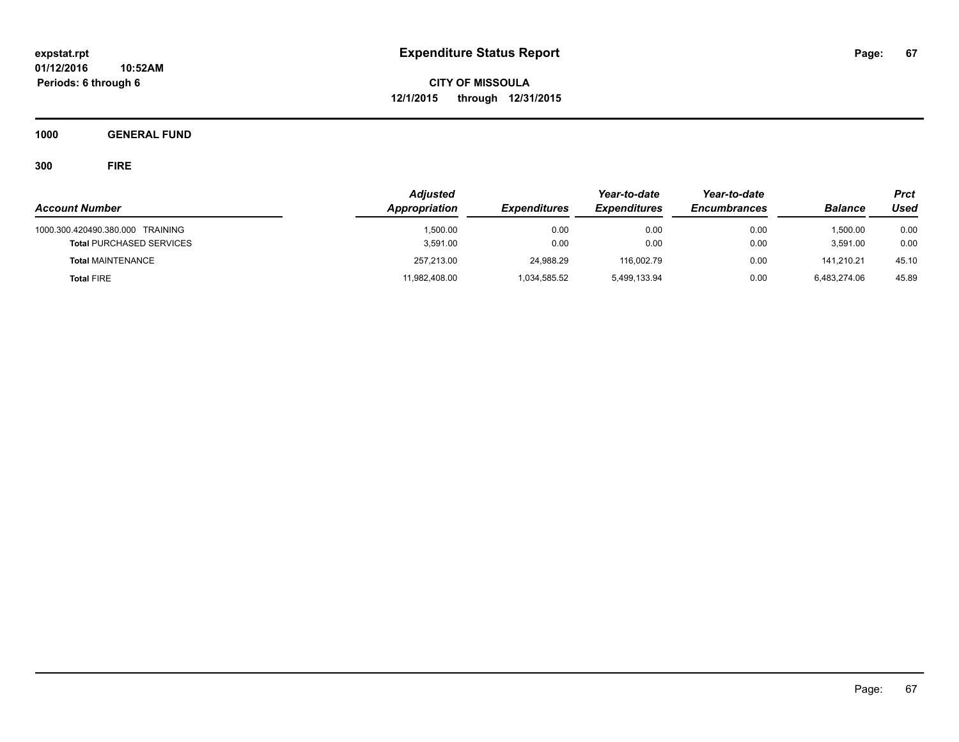**CITY OF MISSOULA 12/1/2015 through 12/31/2015**

**1000 GENERAL FUND**

| <b>Account Number</b>                                               | <b>Adjusted</b><br>Appropriation | <b>Expenditures</b> | Year-to-date<br><b>Expenditures</b> | Year-to-date<br><b>Encumbrances</b> | <b>Balance</b>       | <b>Prct</b><br>Used |
|---------------------------------------------------------------------|----------------------------------|---------------------|-------------------------------------|-------------------------------------|----------------------|---------------------|
| 1000.300.420490.380.000 TRAINING<br><b>Total PURCHASED SERVICES</b> | 1.500.00<br>3,591.00             | 0.00<br>0.00        | 0.00<br>0.00                        | 0.00<br>0.00                        | 1.500.00<br>3,591.00 | 0.00<br>0.00        |
| <b>Total MAINTENANCE</b>                                            | 257,213.00                       | 24.988.29           | 116.002.79                          | 0.00                                | 141.210.21           | 45.10               |
| <b>Total FIRE</b>                                                   | 11,982,408.00                    | 1,034,585.52        | 5,499,133.94                        | 0.00                                | 6,483,274.06         | 45.89               |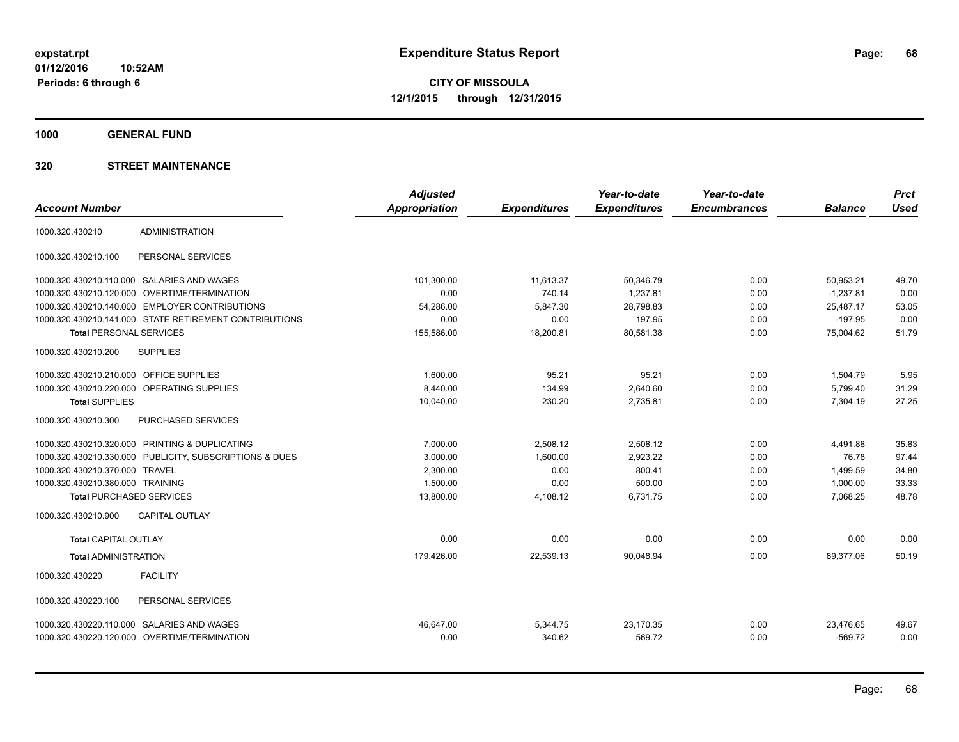**1000 GENERAL FUND**

|                                         |                                                         | <b>Adjusted</b> |                     | Year-to-date        | Year-to-date        |                | <b>Prct</b> |
|-----------------------------------------|---------------------------------------------------------|-----------------|---------------------|---------------------|---------------------|----------------|-------------|
| <b>Account Number</b>                   |                                                         | Appropriation   | <b>Expenditures</b> | <b>Expenditures</b> | <b>Encumbrances</b> | <b>Balance</b> | <b>Used</b> |
| 1000.320.430210                         | <b>ADMINISTRATION</b>                                   |                 |                     |                     |                     |                |             |
| 1000.320.430210.100                     | PERSONAL SERVICES                                       |                 |                     |                     |                     |                |             |
|                                         | 1000.320.430210.110.000 SALARIES AND WAGES              | 101.300.00      | 11,613.37           | 50.346.79           | 0.00                | 50.953.21      | 49.70       |
| 1000.320.430210.120.000                 | OVERTIME/TERMINATION                                    | 0.00            | 740.14              | 1,237.81            | 0.00                | $-1,237.81$    | 0.00        |
|                                         | 1000.320.430210.140.000 EMPLOYER CONTRIBUTIONS          | 54,286.00       | 5,847.30            | 28,798.83           | 0.00                | 25,487.17      | 53.05       |
|                                         | 1000.320.430210.141.000 STATE RETIREMENT CONTRIBUTIONS  | 0.00            | 0.00                | 197.95              | 0.00                | $-197.95$      | 0.00        |
| <b>Total PERSONAL SERVICES</b>          |                                                         | 155,586.00      | 18,200.81           | 80.581.38           | 0.00                | 75.004.62      | 51.79       |
| 1000.320.430210.200                     | <b>SUPPLIES</b>                                         |                 |                     |                     |                     |                |             |
| 1000.320.430210.210.000 OFFICE SUPPLIES |                                                         | 1,600.00        | 95.21               | 95.21               | 0.00                | 1,504.79       | 5.95        |
|                                         | 1000.320.430210.220.000 OPERATING SUPPLIES              | 8.440.00        | 134.99              | 2,640.60            | 0.00                | 5,799.40       | 31.29       |
| <b>Total SUPPLIES</b>                   |                                                         | 10,040.00       | 230.20              | 2,735.81            | 0.00                | 7,304.19       | 27.25       |
| 1000.320.430210.300                     | PURCHASED SERVICES                                      |                 |                     |                     |                     |                |             |
|                                         | 1000.320.430210.320.000 PRINTING & DUPLICATING          | 7,000.00        | 2,508.12            | 2,508.12            | 0.00                | 4,491.88       | 35.83       |
|                                         | 1000.320.430210.330.000 PUBLICITY, SUBSCRIPTIONS & DUES | 3,000.00        | 1,600.00            | 2,923.22            | 0.00                | 76.78          | 97.44       |
| 1000.320.430210.370.000 TRAVEL          |                                                         | 2,300.00        | 0.00                | 800.41              | 0.00                | 1,499.59       | 34.80       |
| 1000.320.430210.380.000 TRAINING        |                                                         | 1,500.00        | 0.00                | 500.00              | 0.00                | 1,000.00       | 33.33       |
| <b>Total PURCHASED SERVICES</b>         |                                                         | 13,800.00       | 4,108.12            | 6,731.75            | 0.00                | 7,068.25       | 48.78       |
| 1000.320.430210.900                     | <b>CAPITAL OUTLAY</b>                                   |                 |                     |                     |                     |                |             |
| <b>Total CAPITAL OUTLAY</b>             |                                                         | 0.00            | 0.00                | 0.00                | 0.00                | 0.00           | 0.00        |
| <b>Total ADMINISTRATION</b>             |                                                         | 179,426.00      | 22,539.13           | 90,048.94           | 0.00                | 89,377.06      | 50.19       |
| 1000.320.430220                         | <b>FACILITY</b>                                         |                 |                     |                     |                     |                |             |
| 1000.320.430220.100                     | PERSONAL SERVICES                                       |                 |                     |                     |                     |                |             |
|                                         | 1000.320.430220.110.000 SALARIES AND WAGES              | 46,647.00       | 5,344.75            | 23,170.35           | 0.00                | 23,476.65      | 49.67       |
|                                         | 1000.320.430220.120.000 OVERTIME/TERMINATION            | 0.00            | 340.62              | 569.72              | 0.00                | $-569.72$      | 0.00        |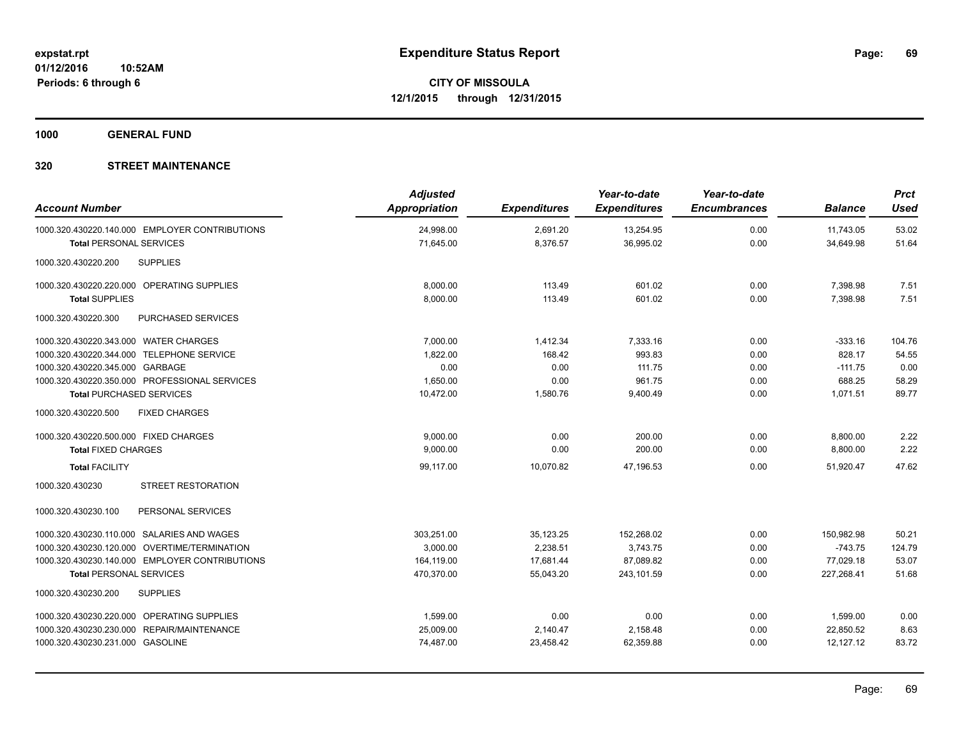**1000 GENERAL FUND**

| <b>Account Number</b>                          | <b>Adjusted</b><br><b>Appropriation</b> | <b>Expenditures</b> | Year-to-date<br><b>Expenditures</b> | Year-to-date<br><b>Encumbrances</b> | <b>Balance</b> | <b>Prct</b><br><b>Used</b> |
|------------------------------------------------|-----------------------------------------|---------------------|-------------------------------------|-------------------------------------|----------------|----------------------------|
| 1000.320.430220.140.000 EMPLOYER CONTRIBUTIONS | 24,998.00                               | 2,691.20            | 13,254.95                           | 0.00                                | 11,743.05      | 53.02                      |
| <b>Total PERSONAL SERVICES</b>                 | 71,645.00                               | 8,376.57            | 36,995.02                           | 0.00                                | 34,649.98      | 51.64                      |
| 1000.320.430220.200<br><b>SUPPLIES</b>         |                                         |                     |                                     |                                     |                |                            |
| 1000.320.430220.220.000 OPERATING SUPPLIES     | 8,000.00                                | 113.49              | 601.02                              | 0.00                                | 7,398.98       | 7.51                       |
| <b>Total SUPPLIES</b>                          | 8,000.00                                | 113.49              | 601.02                              | 0.00                                | 7,398.98       | 7.51                       |
| 1000.320.430220.300<br>PURCHASED SERVICES      |                                         |                     |                                     |                                     |                |                            |
| 1000.320.430220.343.000 WATER CHARGES          | 7.000.00                                | 1,412.34            | 7.333.16                            | 0.00                                | $-333.16$      | 104.76                     |
| 1000.320.430220.344.000 TELEPHONE SERVICE      | 1,822.00                                | 168.42              | 993.83                              | 0.00                                | 828.17         | 54.55                      |
| 1000.320.430220.345.000 GARBAGE                | 0.00                                    | 0.00                | 111.75                              | 0.00                                | $-111.75$      | 0.00                       |
| 1000.320.430220.350.000 PROFESSIONAL SERVICES  | 1,650.00                                | 0.00                | 961.75                              | 0.00                                | 688.25         | 58.29                      |
| <b>Total PURCHASED SERVICES</b>                | 10,472.00                               | 1,580.76            | 9,400.49                            | 0.00                                | 1,071.51       | 89.77                      |
| 1000.320.430220.500<br><b>FIXED CHARGES</b>    |                                         |                     |                                     |                                     |                |                            |
| 1000.320.430220.500.000 FIXED CHARGES          | 9,000.00                                | 0.00                | 200.00                              | 0.00                                | 8,800.00       | 2.22                       |
| <b>Total FIXED CHARGES</b>                     | 9,000.00                                | 0.00                | 200.00                              | 0.00                                | 8,800.00       | 2.22                       |
| <b>Total FACILITY</b>                          | 99,117.00                               | 10,070.82           | 47,196.53                           | 0.00                                | 51,920.47      | 47.62                      |
| <b>STREET RESTORATION</b><br>1000.320.430230   |                                         |                     |                                     |                                     |                |                            |
| PERSONAL SERVICES<br>1000.320.430230.100       |                                         |                     |                                     |                                     |                |                            |
| 1000.320.430230.110.000 SALARIES AND WAGES     | 303,251.00                              | 35,123.25           | 152,268.02                          | 0.00                                | 150.982.98     | 50.21                      |
| 1000.320.430230.120.000 OVERTIME/TERMINATION   | 3.000.00                                | 2.238.51            | 3,743.75                            | 0.00                                | $-743.75$      | 124.79                     |
| 1000.320.430230.140.000 EMPLOYER CONTRIBUTIONS | 164,119.00                              | 17,681.44           | 87,089.82                           | 0.00                                | 77,029.18      | 53.07                      |
| <b>Total PERSONAL SERVICES</b>                 | 470,370.00                              | 55,043.20           | 243,101.59                          | 0.00                                | 227,268.41     | 51.68                      |
| 1000.320.430230.200<br><b>SUPPLIES</b>         |                                         |                     |                                     |                                     |                |                            |
| 1000.320.430230.220.000 OPERATING SUPPLIES     | 1,599.00                                | 0.00                | 0.00                                | 0.00                                | 1,599.00       | 0.00                       |
| 1000.320.430230.230.000 REPAIR/MAINTENANCE     | 25,009.00                               | 2,140.47            | 2,158.48                            | 0.00                                | 22,850.52      | 8.63                       |
| 1000.320.430230.231.000 GASOLINE               | 74,487.00                               | 23,458.42           | 62,359.88                           | 0.00                                | 12,127.12      | 83.72                      |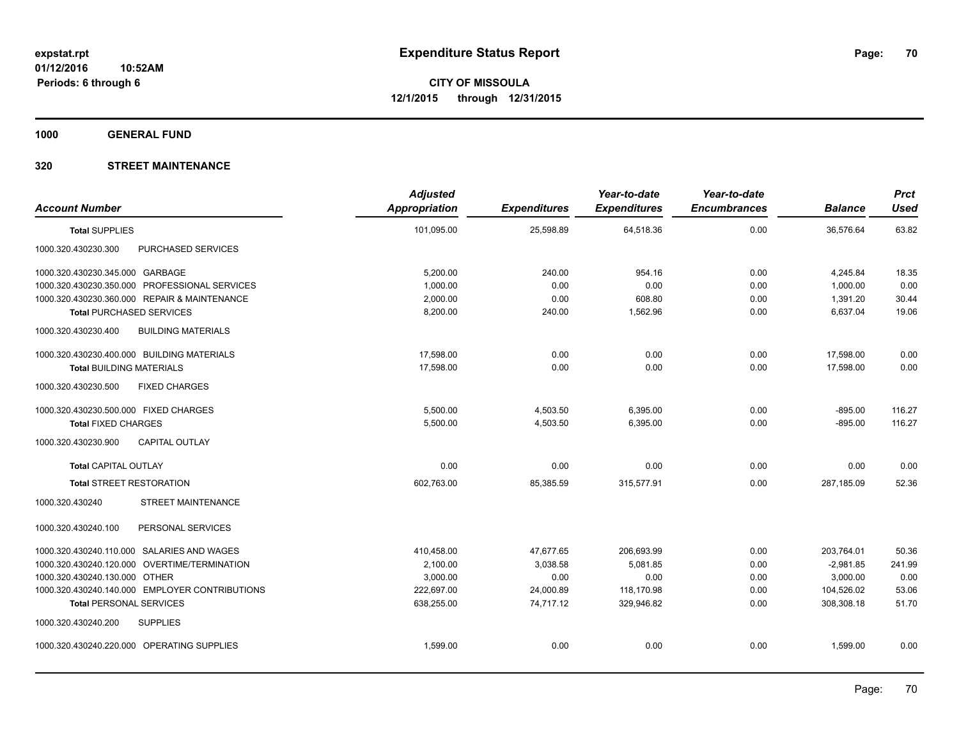**1000 GENERAL FUND**

| <b>Account Number</b>                            | <b>Adjusted</b><br><b>Appropriation</b> | <b>Expenditures</b> | Year-to-date<br><b>Expenditures</b> | Year-to-date<br><b>Encumbrances</b> | <b>Balance</b> | <b>Prct</b><br><b>Used</b> |
|--------------------------------------------------|-----------------------------------------|---------------------|-------------------------------------|-------------------------------------|----------------|----------------------------|
| <b>Total SUPPLIES</b>                            | 101,095.00                              | 25,598.89           | 64,518.36                           | 0.00                                | 36,576.64      | 63.82                      |
| PURCHASED SERVICES<br>1000.320.430230.300        |                                         |                     |                                     |                                     |                |                            |
| 1000.320.430230.345.000 GARBAGE                  | 5,200.00                                | 240.00              | 954.16                              | 0.00                                | 4,245.84       | 18.35                      |
| 1000.320.430230.350.000 PROFESSIONAL SERVICES    | 1,000.00                                | 0.00                | 0.00                                | 0.00                                | 1,000.00       | 0.00                       |
| 1000.320.430230.360.000 REPAIR & MAINTENANCE     | 2,000.00                                | 0.00                | 608.80                              | 0.00                                | 1,391.20       | 30.44                      |
| <b>Total PURCHASED SERVICES</b>                  | 8,200.00                                | 240.00              | 1,562.96                            | 0.00                                | 6,637.04       | 19.06                      |
| <b>BUILDING MATERIALS</b><br>1000.320.430230.400 |                                         |                     |                                     |                                     |                |                            |
| 1000.320.430230.400.000 BUILDING MATERIALS       | 17,598.00                               | 0.00                | 0.00                                | 0.00                                | 17,598.00      | 0.00                       |
| <b>Total BUILDING MATERIALS</b>                  | 17.598.00                               | 0.00                | 0.00                                | 0.00                                | 17.598.00      | 0.00                       |
| 1000.320.430230.500<br><b>FIXED CHARGES</b>      |                                         |                     |                                     |                                     |                |                            |
| 1000.320.430230.500.000 FIXED CHARGES            | 5,500.00                                | 4,503.50            | 6,395.00                            | 0.00                                | $-895.00$      | 116.27                     |
| <b>Total FIXED CHARGES</b>                       | 5,500.00                                | 4,503.50            | 6,395.00                            | 0.00                                | $-895.00$      | 116.27                     |
| 1000.320.430230.900<br><b>CAPITAL OUTLAY</b>     |                                         |                     |                                     |                                     |                |                            |
| <b>Total CAPITAL OUTLAY</b>                      | 0.00                                    | 0.00                | 0.00                                | 0.00                                | 0.00           | 0.00                       |
| <b>Total STREET RESTORATION</b>                  | 602.763.00                              | 85.385.59           | 315.577.91                          | 0.00                                | 287.185.09     | 52.36                      |
| <b>STREET MAINTENANCE</b><br>1000.320.430240     |                                         |                     |                                     |                                     |                |                            |
| PERSONAL SERVICES<br>1000.320.430240.100         |                                         |                     |                                     |                                     |                |                            |
| 1000.320.430240.110.000 SALARIES AND WAGES       | 410,458.00                              | 47,677.65           | 206,693.99                          | 0.00                                | 203,764.01     | 50.36                      |
| 1000.320.430240.120.000 OVERTIME/TERMINATION     | 2,100.00                                | 3,038.58            | 5,081.85                            | 0.00                                | $-2,981.85$    | 241.99                     |
| 1000.320.430240.130.000 OTHER                    | 3,000.00                                | 0.00                | 0.00                                | 0.00                                | 3,000.00       | 0.00                       |
| 1000.320.430240.140.000 EMPLOYER CONTRIBUTIONS   | 222,697.00                              | 24,000.89           | 118,170.98                          | 0.00                                | 104,526.02     | 53.06                      |
| <b>Total PERSONAL SERVICES</b>                   | 638,255.00                              | 74.717.12           | 329,946.82                          | 0.00                                | 308,308.18     | 51.70                      |
| 1000.320.430240.200<br><b>SUPPLIES</b>           |                                         |                     |                                     |                                     |                |                            |
| 1000.320.430240.220.000 OPERATING SUPPLIES       | 1,599.00                                | 0.00                | 0.00                                | 0.00                                | 1,599.00       | 0.00                       |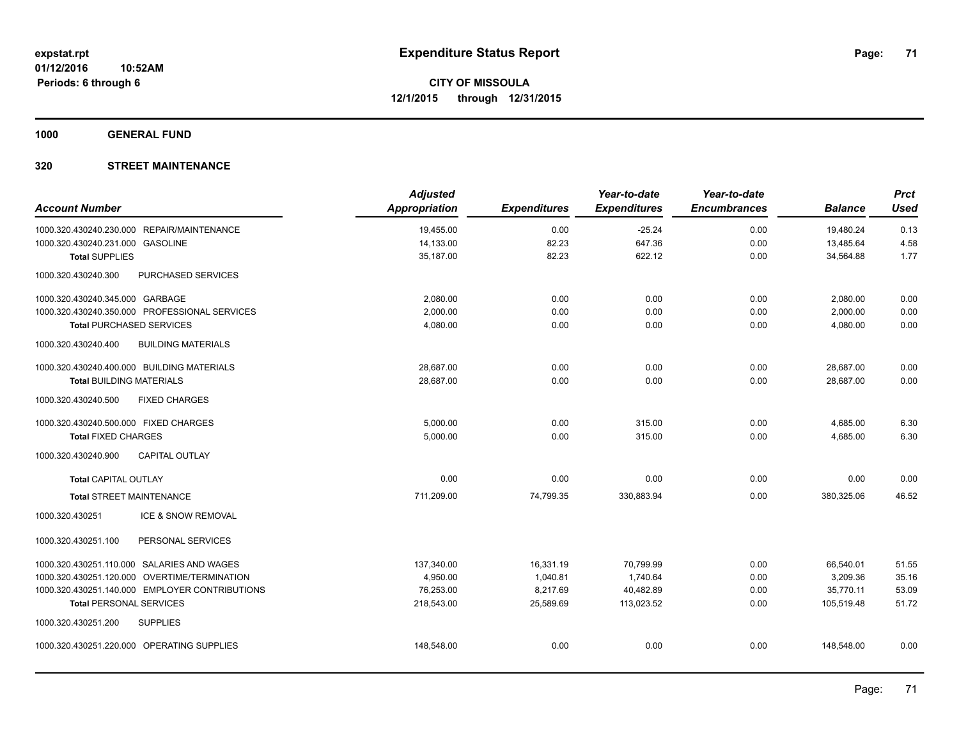**1000 GENERAL FUND**

| <b>Account Number</b>                            | <b>Adjusted</b><br><b>Appropriation</b> | <b>Expenditures</b> | Year-to-date<br><b>Expenditures</b> | Year-to-date<br><b>Encumbrances</b> | <b>Balance</b> | <b>Prct</b><br><b>Used</b> |
|--------------------------------------------------|-----------------------------------------|---------------------|-------------------------------------|-------------------------------------|----------------|----------------------------|
| 1000.320.430240.230.000 REPAIR/MAINTENANCE       | 19,455.00                               | 0.00                | $-25.24$                            | 0.00                                | 19,480.24      | 0.13                       |
| 1000.320.430240.231.000 GASOLINE                 | 14,133.00                               | 82.23               | 647.36                              | 0.00                                | 13,485.64      | 4.58                       |
| <b>Total SUPPLIES</b>                            | 35,187.00                               | 82.23               | 622.12                              | 0.00                                | 34,564.88      | 1.77                       |
| 1000.320.430240.300<br>PURCHASED SERVICES        |                                         |                     |                                     |                                     |                |                            |
| 1000.320.430240.345.000 GARBAGE                  | 2,080.00                                | 0.00                | 0.00                                | 0.00                                | 2,080.00       | 0.00                       |
| 1000.320.430240.350.000 PROFESSIONAL SERVICES    | 2,000.00                                | 0.00                | 0.00                                | 0.00                                | 2,000.00       | 0.00                       |
| <b>Total PURCHASED SERVICES</b>                  | 4,080.00                                | 0.00                | 0.00                                | 0.00                                | 4,080.00       | 0.00                       |
| 1000.320.430240.400<br><b>BUILDING MATERIALS</b> |                                         |                     |                                     |                                     |                |                            |
| 1000.320.430240.400.000 BUILDING MATERIALS       | 28,687.00                               | 0.00                | 0.00                                | 0.00                                | 28,687.00      | 0.00                       |
| <b>Total BUILDING MATERIALS</b>                  | 28,687.00                               | 0.00                | 0.00                                | 0.00                                | 28,687.00      | 0.00                       |
| 1000.320.430240.500<br><b>FIXED CHARGES</b>      |                                         |                     |                                     |                                     |                |                            |
| 1000.320.430240.500.000 FIXED CHARGES            | 5,000.00                                | 0.00                | 315.00                              | 0.00                                | 4,685.00       | 6.30                       |
| <b>Total FIXED CHARGES</b>                       | 5,000.00                                | 0.00                | 315.00                              | 0.00                                | 4,685.00       | 6.30                       |
| <b>CAPITAL OUTLAY</b><br>1000.320.430240.900     |                                         |                     |                                     |                                     |                |                            |
| <b>Total CAPITAL OUTLAY</b>                      | 0.00                                    | 0.00                | 0.00                                | 0.00                                | 0.00           | 0.00                       |
| <b>Total STREET MAINTENANCE</b>                  | 711,209.00                              | 74,799.35           | 330,883.94                          | 0.00                                | 380,325.06     | 46.52                      |
| 1000.320.430251<br>ICE & SNOW REMOVAL            |                                         |                     |                                     |                                     |                |                            |
| PERSONAL SERVICES<br>1000.320.430251.100         |                                         |                     |                                     |                                     |                |                            |
| 1000.320.430251.110.000 SALARIES AND WAGES       | 137,340.00                              | 16,331.19           | 70,799.99                           | 0.00                                | 66,540.01      | 51.55                      |
| 1000.320.430251.120.000 OVERTIME/TERMINATION     | 4,950.00                                | 1,040.81            | 1,740.64                            | 0.00                                | 3,209.36       | 35.16                      |
| 1000.320.430251.140.000 EMPLOYER CONTRIBUTIONS   | 76,253.00                               | 8,217.69            | 40,482.89                           | 0.00                                | 35,770.11      | 53.09                      |
| <b>Total PERSONAL SERVICES</b>                   | 218,543.00                              | 25,589.69           | 113,023.52                          | 0.00                                | 105,519.48     | 51.72                      |
| 1000.320.430251.200<br><b>SUPPLIES</b>           |                                         |                     |                                     |                                     |                |                            |
| 1000.320.430251.220.000 OPERATING SUPPLIES       | 148,548.00                              | 0.00                | 0.00                                | 0.00                                | 148,548.00     | 0.00                       |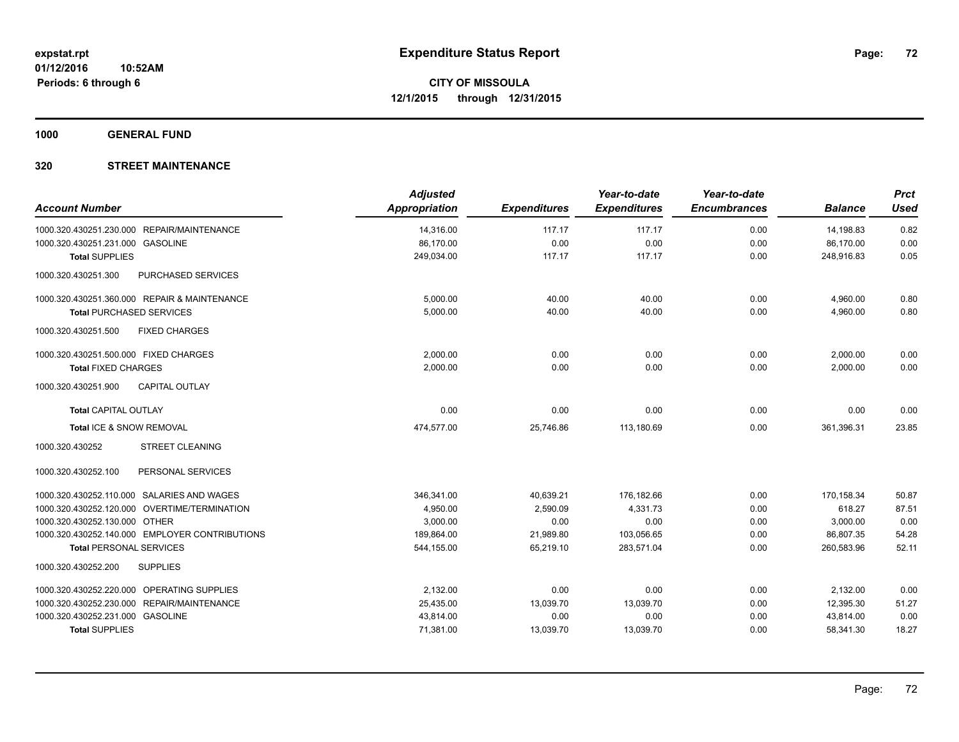**1000 GENERAL FUND**

| <b>Account Number</b>                            | <b>Adjusted</b><br>Appropriation | <b>Expenditures</b> | Year-to-date<br><b>Expenditures</b> | Year-to-date<br><b>Encumbrances</b> | <b>Balance</b> | <b>Prct</b><br><b>Used</b> |
|--------------------------------------------------|----------------------------------|---------------------|-------------------------------------|-------------------------------------|----------------|----------------------------|
| 1000.320.430251.230.000 REPAIR/MAINTENANCE       | 14,316.00                        | 117.17              | 117.17                              | 0.00                                | 14,198.83      | 0.82                       |
| 1000.320.430251.231.000 GASOLINE                 | 86,170.00                        | 0.00                | 0.00                                | 0.00                                | 86,170.00      | 0.00                       |
| <b>Total SUPPLIES</b>                            | 249,034.00                       | 117.17              | 117.17                              | 0.00                                | 248,916.83     | 0.05                       |
| <b>PURCHASED SERVICES</b><br>1000.320.430251.300 |                                  |                     |                                     |                                     |                |                            |
| 1000.320.430251.360.000 REPAIR & MAINTENANCE     | 5,000.00                         | 40.00               | 40.00                               | 0.00                                | 4,960.00       | 0.80                       |
| <b>Total PURCHASED SERVICES</b>                  | 5,000.00                         | 40.00               | 40.00                               | 0.00                                | 4,960.00       | 0.80                       |
| 1000.320.430251.500<br><b>FIXED CHARGES</b>      |                                  |                     |                                     |                                     |                |                            |
| 1000.320.430251.500.000 FIXED CHARGES            | 2,000.00                         | 0.00                | 0.00                                | 0.00                                | 2,000.00       | 0.00                       |
| <b>Total FIXED CHARGES</b>                       | 2,000.00                         | 0.00                | 0.00                                | 0.00                                | 2,000.00       | 0.00                       |
| 1000.320.430251.900<br><b>CAPITAL OUTLAY</b>     |                                  |                     |                                     |                                     |                |                            |
| <b>Total CAPITAL OUTLAY</b>                      | 0.00                             | 0.00                | 0.00                                | 0.00                                | 0.00           | 0.00                       |
| Total ICE & SNOW REMOVAL                         | 474,577.00                       | 25,746.86           | 113,180.69                          | 0.00                                | 361,396.31     | 23.85                      |
| <b>STREET CLEANING</b><br>1000.320.430252        |                                  |                     |                                     |                                     |                |                            |
| 1000.320.430252.100<br>PERSONAL SERVICES         |                                  |                     |                                     |                                     |                |                            |
| 1000.320.430252.110.000 SALARIES AND WAGES       | 346,341.00                       | 40,639.21           | 176,182.66                          | 0.00                                | 170,158.34     | 50.87                      |
| 1000.320.430252.120.000 OVERTIME/TERMINATION     | 4,950.00                         | 2,590.09            | 4,331.73                            | 0.00                                | 618.27         | 87.51                      |
| 1000.320.430252.130.000 OTHER                    | 3,000.00                         | 0.00                | 0.00                                | 0.00                                | 3,000.00       | 0.00                       |
| 1000.320.430252.140.000 EMPLOYER CONTRIBUTIONS   | 189,864.00                       | 21,989.80           | 103,056.65                          | 0.00                                | 86,807.35      | 54.28                      |
| <b>Total PERSONAL SERVICES</b>                   | 544,155.00                       | 65,219.10           | 283,571.04                          | 0.00                                | 260,583.96     | 52.11                      |
| <b>SUPPLIES</b><br>1000.320.430252.200           |                                  |                     |                                     |                                     |                |                            |
| 1000.320.430252.220.000 OPERATING SUPPLIES       | 2,132.00                         | 0.00                | 0.00                                | 0.00                                | 2,132.00       | 0.00                       |
| 1000.320.430252.230.000 REPAIR/MAINTENANCE       | 25,435.00                        | 13,039.70           | 13,039.70                           | 0.00                                | 12,395.30      | 51.27                      |
| 1000.320.430252.231.000 GASOLINE                 | 43,814.00                        | 0.00                | 0.00                                | 0.00                                | 43,814.00      | 0.00                       |
| <b>Total SUPPLIES</b>                            | 71,381.00                        | 13,039.70           | 13,039.70                           | 0.00                                | 58,341.30      | 18.27                      |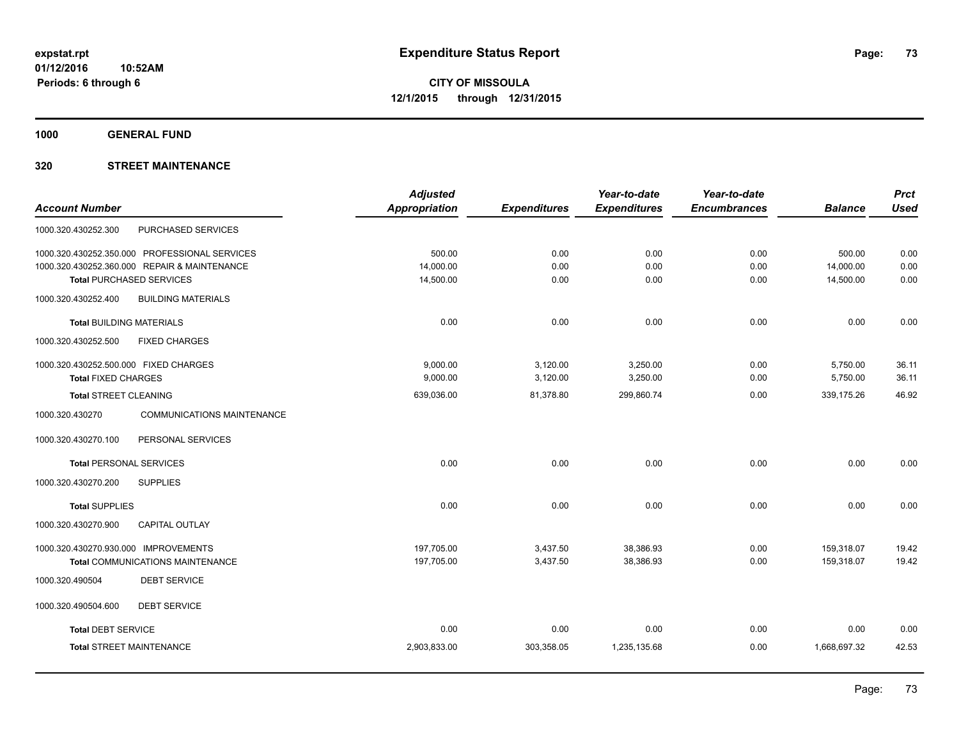**1000 GENERAL FUND**

## **320 STREET MAINTENANCE**

|                                                      | <b>Adjusted</b> |                     | Year-to-date        | Year-to-date        |                | <b>Prct</b> |
|------------------------------------------------------|-----------------|---------------------|---------------------|---------------------|----------------|-------------|
| <b>Account Number</b>                                | Appropriation   | <b>Expenditures</b> | <b>Expenditures</b> | <b>Encumbrances</b> | <b>Balance</b> | <b>Used</b> |
| PURCHASED SERVICES<br>1000.320.430252.300            |                 |                     |                     |                     |                |             |
| 1000.320.430252.350.000 PROFESSIONAL SERVICES        | 500.00          | 0.00                | 0.00                | 0.00                | 500.00         | 0.00        |
| 1000.320.430252.360.000 REPAIR & MAINTENANCE         | 14,000.00       | 0.00                | 0.00                | 0.00                | 14,000.00      | 0.00        |
| <b>Total PURCHASED SERVICES</b>                      | 14,500.00       | 0.00                | 0.00                | 0.00                | 14,500.00      | 0.00        |
| 1000.320.430252.400<br><b>BUILDING MATERIALS</b>     |                 |                     |                     |                     |                |             |
| <b>Total BUILDING MATERIALS</b>                      | 0.00            | 0.00                | 0.00                | 0.00                | 0.00           | 0.00        |
| 1000.320.430252.500<br><b>FIXED CHARGES</b>          |                 |                     |                     |                     |                |             |
| 1000.320.430252.500.000 FIXED CHARGES                | 9,000.00        | 3,120.00            | 3,250.00            | 0.00                | 5,750.00       | 36.11       |
| <b>Total FIXED CHARGES</b>                           | 9,000.00        | 3,120.00            | 3,250.00            | 0.00                | 5,750.00       | 36.11       |
| <b>Total STREET CLEANING</b>                         | 639,036.00      | 81,378.80           | 299,860.74          | 0.00                | 339,175.26     | 46.92       |
| 1000.320.430270<br><b>COMMUNICATIONS MAINTENANCE</b> |                 |                     |                     |                     |                |             |
| 1000.320.430270.100<br>PERSONAL SERVICES             |                 |                     |                     |                     |                |             |
| <b>Total PERSONAL SERVICES</b>                       | 0.00            | 0.00                | 0.00                | 0.00                | 0.00           | 0.00        |
| 1000.320.430270.200<br><b>SUPPLIES</b>               |                 |                     |                     |                     |                |             |
| <b>Total SUPPLIES</b>                                | 0.00            | 0.00                | 0.00                | 0.00                | 0.00           | 0.00        |
| 1000.320.430270.900<br><b>CAPITAL OUTLAY</b>         |                 |                     |                     |                     |                |             |
| 1000.320.430270.930.000 IMPROVEMENTS                 | 197,705.00      | 3,437.50            | 38,386.93           | 0.00                | 159,318.07     | 19.42       |
| Total COMMUNICATIONS MAINTENANCE                     | 197,705.00      | 3,437.50            | 38,386.93           | 0.00                | 159,318.07     | 19.42       |
| <b>DEBT SERVICE</b><br>1000.320.490504               |                 |                     |                     |                     |                |             |
| 1000.320.490504.600<br><b>DEBT SERVICE</b>           |                 |                     |                     |                     |                |             |
| <b>Total DEBT SERVICE</b>                            | 0.00            | 0.00                | 0.00                | 0.00                | 0.00           | 0.00        |
| <b>Total STREET MAINTENANCE</b>                      | 2,903,833.00    | 303,358.05          | 1,235,135.68        | 0.00                | 1,668,697.32   | 42.53       |
|                                                      |                 |                     |                     |                     |                |             |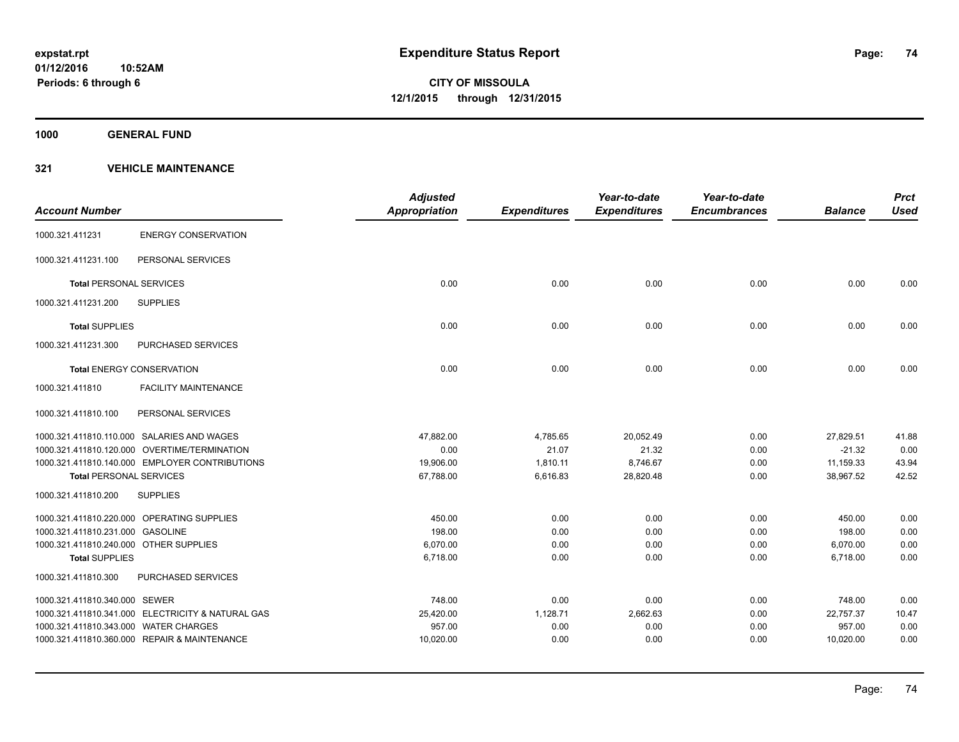**1000 GENERAL FUND**

|                                        |                                                   | <b>Adjusted</b> |                     | Year-to-date        | Year-to-date        |                | <b>Prct</b> |
|----------------------------------------|---------------------------------------------------|-----------------|---------------------|---------------------|---------------------|----------------|-------------|
| <b>Account Number</b>                  |                                                   | Appropriation   | <b>Expenditures</b> | <b>Expenditures</b> | <b>Encumbrances</b> | <b>Balance</b> | <b>Used</b> |
| 1000.321.411231                        | <b>ENERGY CONSERVATION</b>                        |                 |                     |                     |                     |                |             |
| 1000.321.411231.100                    | PERSONAL SERVICES                                 |                 |                     |                     |                     |                |             |
| <b>Total PERSONAL SERVICES</b>         |                                                   | 0.00            | 0.00                | 0.00                | 0.00                | 0.00           | 0.00        |
| 1000.321.411231.200                    | <b>SUPPLIES</b>                                   |                 |                     |                     |                     |                |             |
| <b>Total SUPPLIES</b>                  |                                                   | 0.00            | 0.00                | 0.00                | 0.00                | 0.00           | 0.00        |
| 1000.321.411231.300                    | <b>PURCHASED SERVICES</b>                         |                 |                     |                     |                     |                |             |
|                                        | <b>Total ENERGY CONSERVATION</b>                  | 0.00            | 0.00                | 0.00                | 0.00                | 0.00           | 0.00        |
| 1000.321.411810                        | <b>FACILITY MAINTENANCE</b>                       |                 |                     |                     |                     |                |             |
| 1000.321.411810.100                    | PERSONAL SERVICES                                 |                 |                     |                     |                     |                |             |
|                                        | 1000.321.411810.110.000 SALARIES AND WAGES        | 47,882.00       | 4,785.65            | 20,052.49           | 0.00                | 27,829.51      | 41.88       |
|                                        | 1000.321.411810.120.000 OVERTIME/TERMINATION      | 0.00            | 21.07               | 21.32               | 0.00                | $-21.32$       | 0.00        |
|                                        | 1000.321.411810.140.000 EMPLOYER CONTRIBUTIONS    | 19,906.00       | 1,810.11            | 8,746.67            | 0.00                | 11,159.33      | 43.94       |
| <b>Total PERSONAL SERVICES</b>         |                                                   | 67,788.00       | 6,616.83            | 28,820.48           | 0.00                | 38,967.52      | 42.52       |
| 1000.321.411810.200                    | <b>SUPPLIES</b>                                   |                 |                     |                     |                     |                |             |
|                                        | 1000.321.411810.220.000 OPERATING SUPPLIES        | 450.00          | 0.00                | 0.00                | 0.00                | 450.00         | 0.00        |
| 1000.321.411810.231.000 GASOLINE       |                                                   | 198.00          | 0.00                | 0.00                | 0.00                | 198.00         | 0.00        |
| 1000.321.411810.240.000 OTHER SUPPLIES |                                                   | 6.070.00        | 0.00                | 0.00                | 0.00                | 6,070.00       | 0.00        |
| <b>Total SUPPLIES</b>                  |                                                   | 6,718.00        | 0.00                | 0.00                | 0.00                | 6,718.00       | 0.00        |
| 1000.321.411810.300                    | <b>PURCHASED SERVICES</b>                         |                 |                     |                     |                     |                |             |
| 1000.321.411810.340.000 SEWER          |                                                   | 748.00          | 0.00                | 0.00                | 0.00                | 748.00         | 0.00        |
|                                        | 1000.321.411810.341.000 ELECTRICITY & NATURAL GAS | 25,420.00       | 1,128.71            | 2,662.63            | 0.00                | 22,757.37      | 10.47       |
| 1000.321.411810.343.000 WATER CHARGES  |                                                   | 957.00          | 0.00                | 0.00                | 0.00                | 957.00         | 0.00        |
|                                        | 1000.321.411810.360.000 REPAIR & MAINTENANCE      | 10,020.00       | 0.00                | 0.00                | 0.00                | 10,020.00      | 0.00        |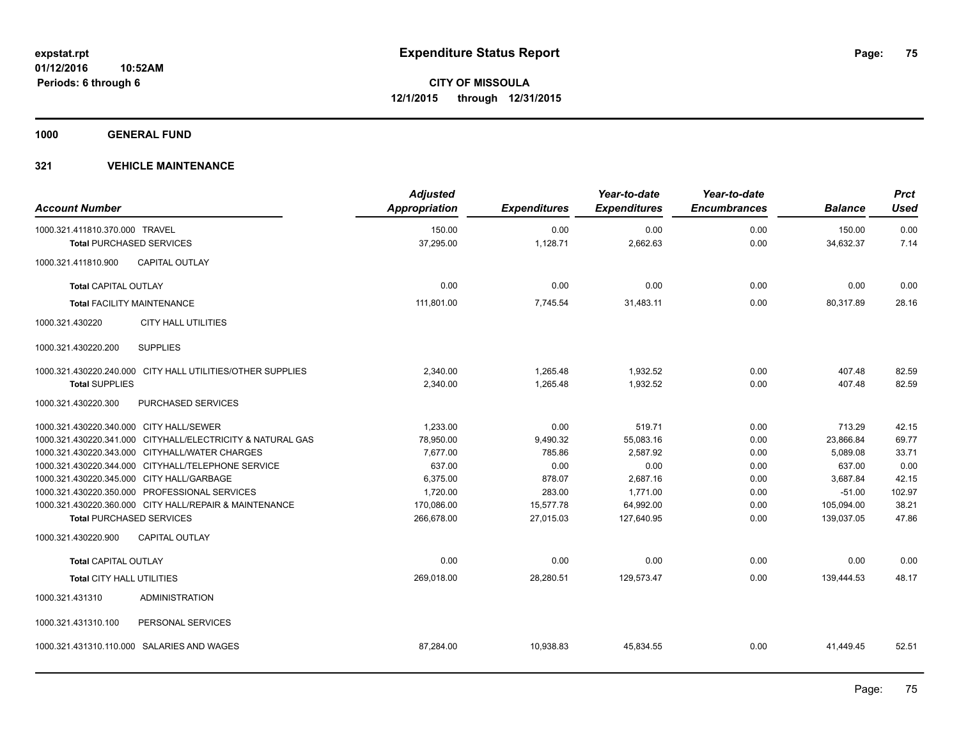**1000 GENERAL FUND**

| <b>Account Number</b>                   |                                                            | <b>Adjusted</b><br>Appropriation | <b>Expenditures</b> | Year-to-date<br><b>Expenditures</b> | Year-to-date<br><b>Encumbrances</b> | <b>Balance</b> | <b>Prct</b><br><b>Used</b> |
|-----------------------------------------|------------------------------------------------------------|----------------------------------|---------------------|-------------------------------------|-------------------------------------|----------------|----------------------------|
| 1000.321.411810.370.000 TRAVEL          |                                                            | 150.00                           | 0.00<br>1,128.71    | 0.00                                | 0.00<br>0.00                        | 150.00         | 0.00<br>7.14               |
| <b>Total PURCHASED SERVICES</b>         |                                                            | 37,295.00                        |                     | 2,662.63                            |                                     | 34,632.37      |                            |
| 1000.321.411810.900                     | <b>CAPITAL OUTLAY</b>                                      |                                  |                     |                                     |                                     |                |                            |
| <b>Total CAPITAL OUTLAY</b>             |                                                            | 0.00                             | 0.00                | 0.00                                | 0.00                                | 0.00           | 0.00                       |
|                                         | <b>Total FACILITY MAINTENANCE</b>                          | 111,801.00                       | 7,745.54            | 31,483.11                           | 0.00                                | 80,317.89      | 28.16                      |
| 1000.321.430220                         | <b>CITY HALL UTILITIES</b>                                 |                                  |                     |                                     |                                     |                |                            |
| 1000.321.430220.200                     | <b>SUPPLIES</b>                                            |                                  |                     |                                     |                                     |                |                            |
|                                         | 1000.321.430220.240.000 CITY HALL UTILITIES/OTHER SUPPLIES | 2,340.00                         | 1,265.48            | 1,932.52                            | 0.00                                | 407.48         | 82.59                      |
| <b>Total SUPPLIES</b>                   |                                                            | 2,340.00                         | 1,265.48            | 1,932.52                            | 0.00                                | 407.48         | 82.59                      |
| 1000.321.430220.300                     | PURCHASED SERVICES                                         |                                  |                     |                                     |                                     |                |                            |
| 1000.321.430220.340.000 CITY HALL/SEWER |                                                            | 1,233.00                         | 0.00                | 519.71                              | 0.00                                | 713.29         | 42.15                      |
|                                         | 1000.321.430220.341.000 CITYHALL/ELECTRICITY & NATURAL GAS | 78,950.00                        | 9,490.32            | 55,083.16                           | 0.00                                | 23,866.84      | 69.77                      |
|                                         | 1000.321.430220.343.000 CITYHALL/WATER CHARGES             | 7,677.00                         | 785.86              | 2,587.92                            | 0.00                                | 5,089.08       | 33.71                      |
|                                         | 1000.321.430220.344.000 CITYHALL/TELEPHONE SERVICE         | 637.00                           | 0.00                | 0.00                                | 0.00                                | 637.00         | 0.00                       |
|                                         | 1000.321.430220.345.000 CITY HALL/GARBAGE                  | 6,375.00                         | 878.07              | 2,687.16                            | 0.00                                | 3,687.84       | 42.15                      |
|                                         | 1000.321.430220.350.000 PROFESSIONAL SERVICES              | 1,720.00                         | 283.00              | 1,771.00                            | 0.00                                | $-51.00$       | 102.97                     |
|                                         | 1000.321.430220.360.000 CITY HALL/REPAIR & MAINTENANCE     | 170,086.00                       | 15,577.78           | 64,992.00                           | 0.00                                | 105,094.00     | 38.21                      |
| <b>Total PURCHASED SERVICES</b>         |                                                            | 266,678.00                       | 27,015.03           | 127,640.95                          | 0.00                                | 139,037.05     | 47.86                      |
| 1000.321.430220.900                     | <b>CAPITAL OUTLAY</b>                                      |                                  |                     |                                     |                                     |                |                            |
| <b>Total CAPITAL OUTLAY</b>             |                                                            | 0.00                             | 0.00                | 0.00                                | 0.00                                | 0.00           | 0.00                       |
| <b>Total CITY HALL UTILITIES</b>        |                                                            | 269,018.00                       | 28,280.51           | 129,573.47                          | 0.00                                | 139,444.53     | 48.17                      |
| 1000.321.431310                         | <b>ADMINISTRATION</b>                                      |                                  |                     |                                     |                                     |                |                            |
| 1000.321.431310.100                     | PERSONAL SERVICES                                          |                                  |                     |                                     |                                     |                |                            |
|                                         | 1000.321.431310.110.000 SALARIES AND WAGES                 | 87,284.00                        | 10,938.83           | 45,834.55                           | 0.00                                | 41,449.45      | 52.51                      |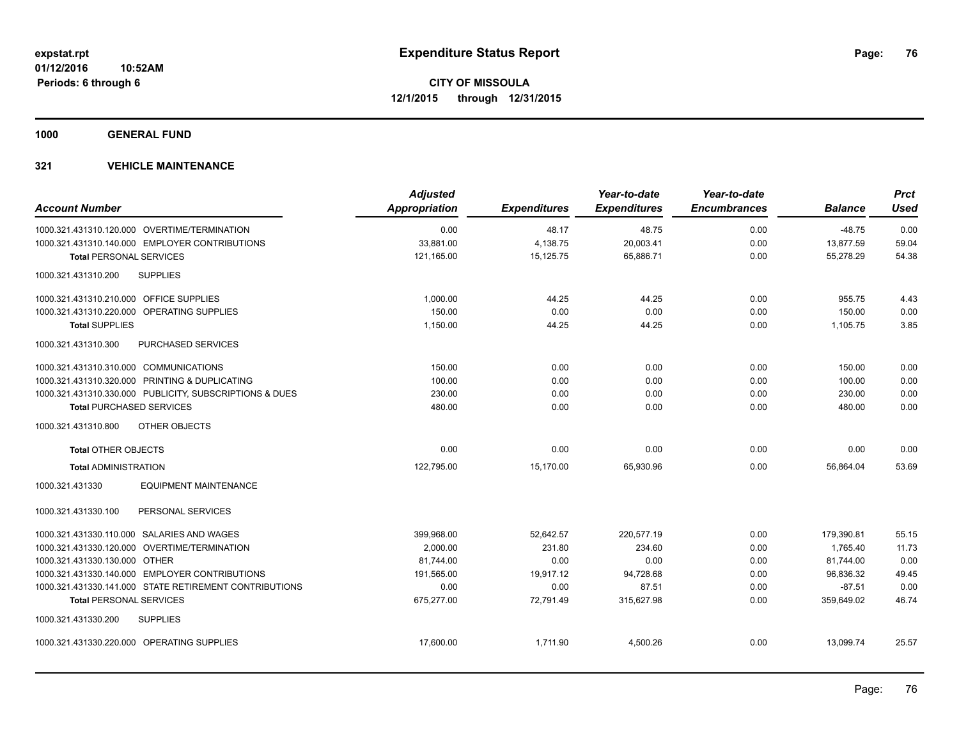**1000 GENERAL FUND**

| <b>Account Number</b>                      |                                                         | <b>Adjusted</b><br><b>Appropriation</b> | <b>Expenditures</b> | Year-to-date<br><b>Expenditures</b> | Year-to-date<br><b>Encumbrances</b> | <b>Balance</b> | <b>Prct</b><br><b>Used</b> |
|--------------------------------------------|---------------------------------------------------------|-----------------------------------------|---------------------|-------------------------------------|-------------------------------------|----------------|----------------------------|
|                                            |                                                         |                                         |                     |                                     |                                     |                |                            |
|                                            | 1000.321.431310.120.000 OVERTIME/TERMINATION            | 0.00                                    | 48.17               | 48.75                               | 0.00                                | $-48.75$       | 0.00                       |
|                                            | 1000.321.431310.140.000 EMPLOYER CONTRIBUTIONS          | 33,881.00                               | 4,138.75            | 20,003.41                           | 0.00                                | 13,877.59      | 59.04                      |
| <b>Total PERSONAL SERVICES</b>             |                                                         | 121,165.00                              | 15,125.75           | 65,886.71                           | 0.00                                | 55,278.29      | 54.38                      |
| 1000.321.431310.200                        | <b>SUPPLIES</b>                                         |                                         |                     |                                     |                                     |                |                            |
| 1000.321.431310.210.000 OFFICE SUPPLIES    |                                                         | 1.000.00                                | 44.25               | 44.25                               | 0.00                                | 955.75         | 4.43                       |
| 1000.321.431310.220.000 OPERATING SUPPLIES |                                                         | 150.00                                  | 0.00                | 0.00                                | 0.00                                | 150.00         | 0.00                       |
| <b>Total SUPPLIES</b>                      |                                                         | 1,150.00                                | 44.25               | 44.25                               | 0.00                                | 1,105.75       | 3.85                       |
| 1000.321.431310.300                        | <b>PURCHASED SERVICES</b>                               |                                         |                     |                                     |                                     |                |                            |
| 1000.321.431310.310.000 COMMUNICATIONS     |                                                         | 150.00                                  | 0.00                | 0.00                                | 0.00                                | 150.00         | 0.00                       |
|                                            | 1000.321.431310.320.000 PRINTING & DUPLICATING          | 100.00                                  | 0.00                | 0.00                                | 0.00                                | 100.00         | 0.00                       |
|                                            | 1000.321.431310.330.000 PUBLICITY, SUBSCRIPTIONS & DUES | 230.00                                  | 0.00                | 0.00                                | 0.00                                | 230.00         | 0.00                       |
| <b>Total PURCHASED SERVICES</b>            |                                                         | 480.00                                  | 0.00                | 0.00                                | 0.00                                | 480.00         | 0.00                       |
| 1000.321.431310.800                        | OTHER OBJECTS                                           |                                         |                     |                                     |                                     |                |                            |
| <b>Total OTHER OBJECTS</b>                 |                                                         | 0.00                                    | 0.00                | 0.00                                | 0.00                                | 0.00           | 0.00                       |
| <b>Total ADMINISTRATION</b>                |                                                         | 122,795.00                              | 15,170.00           | 65.930.96                           | 0.00                                | 56.864.04      | 53.69                      |
| 1000.321.431330                            | <b>EQUIPMENT MAINTENANCE</b>                            |                                         |                     |                                     |                                     |                |                            |
| 1000.321.431330.100                        | PERSONAL SERVICES                                       |                                         |                     |                                     |                                     |                |                            |
|                                            | 1000.321.431330.110.000 SALARIES AND WAGES              | 399,968.00                              | 52,642.57           | 220,577.19                          | 0.00                                | 179,390.81     | 55.15                      |
|                                            | 1000.321.431330.120.000 OVERTIME/TERMINATION            | 2,000.00                                | 231.80              | 234.60                              | 0.00                                | 1,765.40       | 11.73                      |
| 1000.321.431330.130.000 OTHER              |                                                         | 81.744.00                               | 0.00                | 0.00                                | 0.00                                | 81,744.00      | 0.00                       |
|                                            | 1000.321.431330.140.000 EMPLOYER CONTRIBUTIONS          | 191,565.00                              | 19,917.12           | 94,728.68                           | 0.00                                | 96,836.32      | 49.45                      |
|                                            | 1000.321.431330.141.000 STATE RETIREMENT CONTRIBUTIONS  | 0.00                                    | 0.00                | 87.51                               | 0.00                                | $-87.51$       | 0.00                       |
| <b>Total PERSONAL SERVICES</b>             |                                                         | 675,277.00                              | 72.791.49           | 315,627.98                          | 0.00                                | 359,649.02     | 46.74                      |
| 1000.321.431330.200                        | <b>SUPPLIES</b>                                         |                                         |                     |                                     |                                     |                |                            |
| 1000.321.431330.220.000 OPERATING SUPPLIES |                                                         | 17.600.00                               | 1.711.90            | 4.500.26                            | 0.00                                | 13.099.74      | 25.57                      |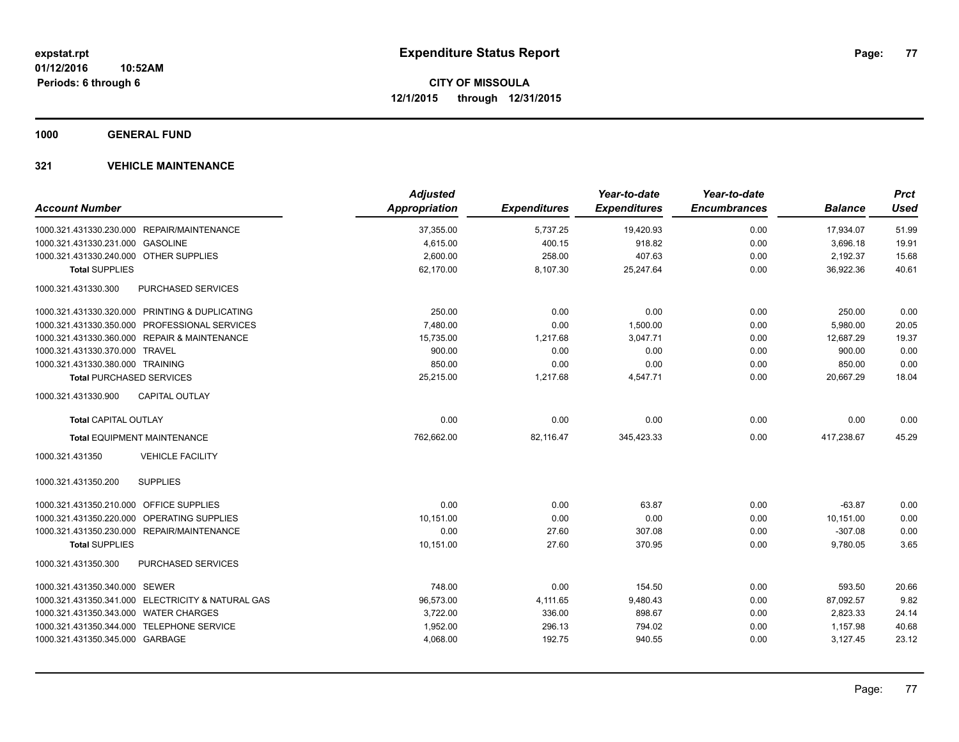**1000 GENERAL FUND**

|                                                      | <b>Adjusted</b>      |                     | Year-to-date        | Year-to-date        |                | <b>Prct</b> |
|------------------------------------------------------|----------------------|---------------------|---------------------|---------------------|----------------|-------------|
| <b>Account Number</b>                                | <b>Appropriation</b> | <b>Expenditures</b> | <b>Expenditures</b> | <b>Encumbrances</b> | <b>Balance</b> | <b>Used</b> |
| 1000.321.431330.230.000 REPAIR/MAINTENANCE           | 37,355.00            | 5,737.25            | 19,420.93           | 0.00                | 17,934.07      | 51.99       |
| 1000.321.431330.231.000 GASOLINE                     | 4,615.00             | 400.15              | 918.82              | 0.00                | 3,696.18       | 19.91       |
| 1000.321.431330.240.000 OTHER SUPPLIES               | 2,600.00             | 258.00              | 407.63              | 0.00                | 2,192.37       | 15.68       |
| <b>Total SUPPLIES</b>                                | 62,170.00            | 8,107.30            | 25,247.64           | 0.00                | 36,922.36      | 40.61       |
| 1000.321.431330.300<br>PURCHASED SERVICES            |                      |                     |                     |                     |                |             |
| 1000.321.431330.320.000 PRINTING & DUPLICATING       | 250.00               | 0.00                | 0.00                | 0.00                | 250.00         | 0.00        |
| 1000.321.431330.350.000 PROFESSIONAL SERVICES        | 7,480.00             | 0.00                | 1,500.00            | 0.00                | 5,980.00       | 20.05       |
| 1000.321.431330.360.000 REPAIR & MAINTENANCE         | 15,735.00            | 1,217.68            | 3,047.71            | 0.00                | 12,687.29      | 19.37       |
| 1000.321.431330.370.000 TRAVEL                       | 900.00               | 0.00                | 0.00                | 0.00                | 900.00         | 0.00        |
| 1000.321.431330.380.000 TRAINING                     | 850.00               | 0.00                | 0.00                | 0.00                | 850.00         | 0.00        |
| <b>Total PURCHASED SERVICES</b>                      | 25,215.00            | 1,217.68            | 4,547.71            | 0.00                | 20,667.29      | 18.04       |
| <b>CAPITAL OUTLAY</b><br>1000.321.431330.900         |                      |                     |                     |                     |                |             |
| <b>Total CAPITAL OUTLAY</b>                          | 0.00                 | 0.00                | 0.00                | 0.00                | 0.00           | 0.00        |
| <b>Total EQUIPMENT MAINTENANCE</b>                   | 762,662.00           | 82,116.47           | 345,423.33          | 0.00                | 417,238.67     | 45.29       |
| <b>VEHICLE FACILITY</b><br>1000.321.431350           |                      |                     |                     |                     |                |             |
| <b>SUPPLIES</b><br>1000.321.431350.200               |                      |                     |                     |                     |                |             |
| 1000.321.431350.210.000 OFFICE SUPPLIES              | 0.00                 | 0.00                | 63.87               | 0.00                | $-63.87$       | 0.00        |
| 1000.321.431350.220.000<br><b>OPERATING SUPPLIES</b> | 10,151.00            | 0.00                | 0.00                | 0.00                | 10,151.00      | 0.00        |
| 1000.321.431350.230.000 REPAIR/MAINTENANCE           | 0.00                 | 27.60               | 307.08              | 0.00                | $-307.08$      | 0.00        |
| <b>Total SUPPLIES</b>                                | 10,151.00            | 27.60               | 370.95              | 0.00                | 9,780.05       | 3.65        |
| 1000.321.431350.300<br>PURCHASED SERVICES            |                      |                     |                     |                     |                |             |
| 1000.321.431350.340.000 SEWER                        | 748.00               | 0.00                | 154.50              | 0.00                | 593.50         | 20.66       |
| 1000.321.431350.341.000 ELECTRICITY & NATURAL GAS    | 96,573.00            | 4,111.65            | 9,480.43            | 0.00                | 87,092.57      | 9.82        |
| 1000.321.431350.343.000 WATER CHARGES                | 3,722.00             | 336.00              | 898.67              | 0.00                | 2,823.33       | 24.14       |
| 1000.321.431350.344.000 TELEPHONE SERVICE            | 1,952.00             | 296.13              | 794.02              | 0.00                | 1,157.98       | 40.68       |
| 1000.321.431350.345.000 GARBAGE                      | 4,068.00             | 192.75              | 940.55              | 0.00                | 3,127.45       | 23.12       |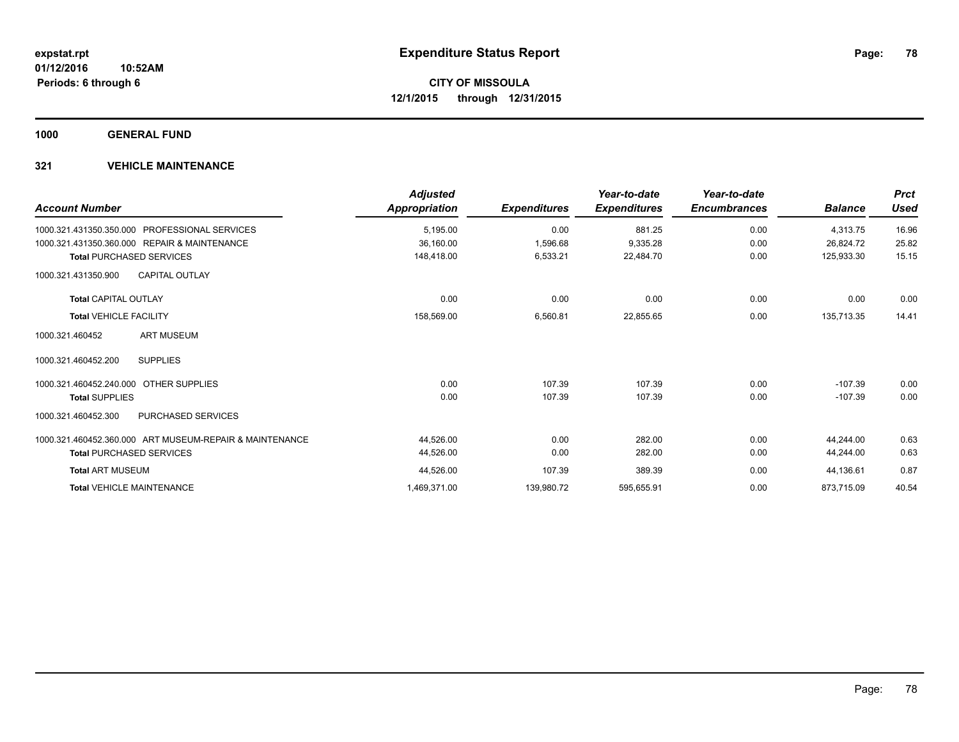**1000 GENERAL FUND**

| <b>Account Number</b>                                   | <b>Adjusted</b><br>Appropriation | <b>Expenditures</b> | Year-to-date<br><b>Expenditures</b> | Year-to-date<br><b>Encumbrances</b> | <b>Balance</b> | <b>Prct</b><br><b>Used</b> |
|---------------------------------------------------------|----------------------------------|---------------------|-------------------------------------|-------------------------------------|----------------|----------------------------|
| 1000.321.431350.350.000 PROFESSIONAL SERVICES           | 5,195.00                         | 0.00                | 881.25                              | 0.00                                | 4,313.75       | 16.96                      |
| 1000.321.431350.360.000 REPAIR & MAINTENANCE            | 36,160.00                        | 1,596.68            | 9,335.28                            | 0.00                                | 26,824.72      | 25.82                      |
| <b>Total PURCHASED SERVICES</b>                         | 148,418.00                       | 6,533.21            | 22,484.70                           | 0.00                                | 125,933.30     | 15.15                      |
| <b>CAPITAL OUTLAY</b><br>1000.321.431350.900            |                                  |                     |                                     |                                     |                |                            |
| <b>Total CAPITAL OUTLAY</b>                             | 0.00                             | 0.00                | 0.00                                | 0.00                                | 0.00           | 0.00                       |
| <b>Total VEHICLE FACILITY</b>                           | 158,569.00                       | 6,560.81            | 22,855.65                           | 0.00                                | 135,713.35     | 14.41                      |
| <b>ART MUSEUM</b><br>1000.321.460452                    |                                  |                     |                                     |                                     |                |                            |
| <b>SUPPLIES</b><br>1000.321.460452.200                  |                                  |                     |                                     |                                     |                |                            |
| OTHER SUPPLIES<br>1000.321.460452.240.000               | 0.00                             | 107.39              | 107.39                              | 0.00                                | $-107.39$      | 0.00                       |
| <b>Total SUPPLIES</b>                                   | 0.00                             | 107.39              | 107.39                              | 0.00                                | $-107.39$      | 0.00                       |
| 1000.321.460452.300<br>PURCHASED SERVICES               |                                  |                     |                                     |                                     |                |                            |
| 1000.321.460452.360.000 ART MUSEUM-REPAIR & MAINTENANCE | 44,526.00                        | 0.00                | 282.00                              | 0.00                                | 44,244.00      | 0.63                       |
| <b>Total PURCHASED SERVICES</b>                         | 44,526.00                        | 0.00                | 282.00                              | 0.00                                | 44,244.00      | 0.63                       |
| <b>Total ART MUSEUM</b>                                 | 44,526.00                        | 107.39              | 389.39                              | 0.00                                | 44,136.61      | 0.87                       |
| <b>Total VEHICLE MAINTENANCE</b>                        | 1,469,371.00                     | 139,980.72          | 595,655.91                          | 0.00                                | 873,715.09     | 40.54                      |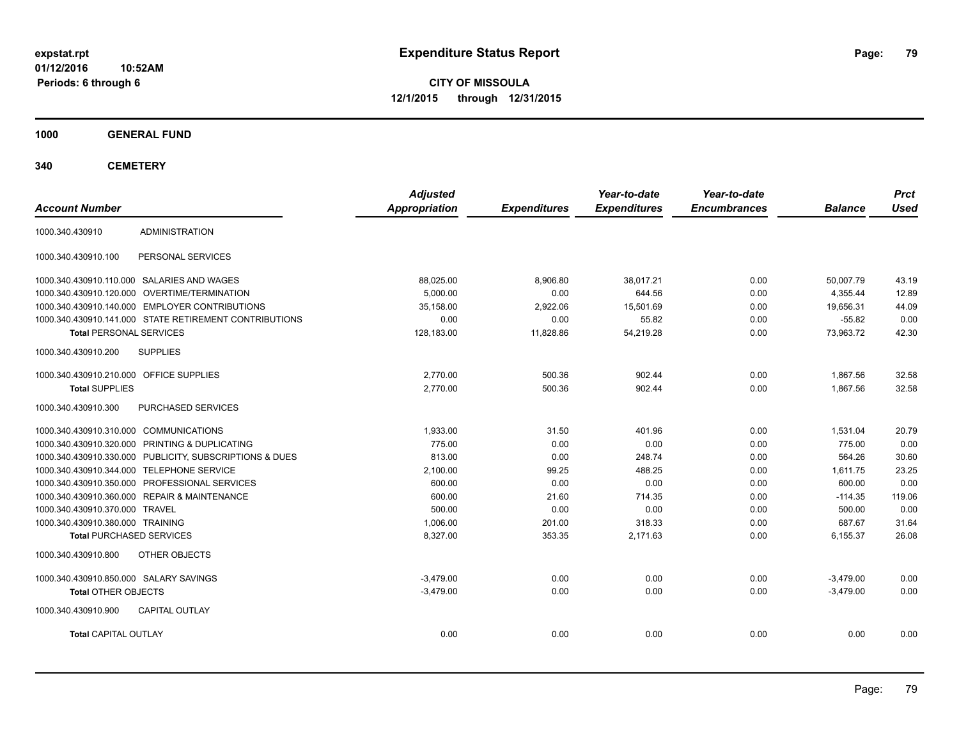**CITY OF MISSOULA 12/1/2015 through 12/31/2015**

**1000 GENERAL FUND**

| <b>Account Number</b>                   |                                                         | <b>Adjusted</b><br><b>Appropriation</b> | <b>Expenditures</b> | Year-to-date<br><b>Expenditures</b> | Year-to-date<br><b>Encumbrances</b> | <b>Balance</b> | <b>Prct</b><br><b>Used</b> |
|-----------------------------------------|---------------------------------------------------------|-----------------------------------------|---------------------|-------------------------------------|-------------------------------------|----------------|----------------------------|
| 1000.340.430910                         | <b>ADMINISTRATION</b>                                   |                                         |                     |                                     |                                     |                |                            |
| 1000.340.430910.100                     | PERSONAL SERVICES                                       |                                         |                     |                                     |                                     |                |                            |
|                                         | 1000.340.430910.110.000 SALARIES AND WAGES              | 88,025.00                               | 8,906.80            | 38.017.21                           | 0.00                                | 50,007.79      | 43.19                      |
| 1000.340.430910.120.000                 | OVERTIME/TERMINATION                                    | 5.000.00                                | 0.00                | 644.56                              | 0.00                                | 4,355.44       | 12.89                      |
| 1000.340.430910.140.000                 | <b>EMPLOYER CONTRIBUTIONS</b>                           | 35,158.00                               | 2,922.06            | 15,501.69                           | 0.00                                | 19,656.31      | 44.09                      |
|                                         | 1000.340.430910.141.000 STATE RETIREMENT CONTRIBUTIONS  | 0.00                                    | 0.00                | 55.82                               | 0.00                                | $-55.82$       | 0.00                       |
| <b>Total PERSONAL SERVICES</b>          |                                                         | 128,183.00                              | 11,828.86           | 54,219.28                           | 0.00                                | 73,963.72      | 42.30                      |
| 1000.340.430910.200                     | <b>SUPPLIES</b>                                         |                                         |                     |                                     |                                     |                |                            |
| 1000.340.430910.210.000 OFFICE SUPPLIES |                                                         | 2,770.00                                | 500.36              | 902.44                              | 0.00                                | 1,867.56       | 32.58                      |
| <b>Total SUPPLIES</b>                   |                                                         | 2.770.00                                | 500.36              | 902.44                              | 0.00                                | 1.867.56       | 32.58                      |
| 1000.340.430910.300                     | PURCHASED SERVICES                                      |                                         |                     |                                     |                                     |                |                            |
| 1000.340.430910.310.000 COMMUNICATIONS  |                                                         | 1,933.00                                | 31.50               | 401.96                              | 0.00                                | 1,531.04       | 20.79                      |
|                                         | 1000.340.430910.320.000 PRINTING & DUPLICATING          | 775.00                                  | 0.00                | 0.00                                | 0.00                                | 775.00         | 0.00                       |
|                                         | 1000.340.430910.330.000 PUBLICITY, SUBSCRIPTIONS & DUES | 813.00                                  | 0.00                | 248.74                              | 0.00                                | 564.26         | 30.60                      |
|                                         | 1000.340.430910.344.000 TELEPHONE SERVICE               | 2,100.00                                | 99.25               | 488.25                              | 0.00                                | 1,611.75       | 23.25                      |
|                                         | 1000.340.430910.350.000 PROFESSIONAL SERVICES           | 600.00                                  | 0.00                | 0.00                                | 0.00                                | 600.00         | 0.00                       |
|                                         | 1000.340.430910.360.000 REPAIR & MAINTENANCE            | 600.00                                  | 21.60               | 714.35                              | 0.00                                | $-114.35$      | 119.06                     |
| 1000.340.430910.370.000 TRAVEL          |                                                         | 500.00                                  | 0.00                | 0.00                                | 0.00                                | 500.00         | 0.00                       |
| 1000.340.430910.380.000 TRAINING        |                                                         | 1.006.00                                | 201.00              | 318.33                              | 0.00                                | 687.67         | 31.64                      |
| <b>Total PURCHASED SERVICES</b>         |                                                         | 8,327.00                                | 353.35              | 2,171.63                            | 0.00                                | 6,155.37       | 26.08                      |
| 1000.340.430910.800                     | OTHER OBJECTS                                           |                                         |                     |                                     |                                     |                |                            |
| 1000.340.430910.850.000 SALARY SAVINGS  |                                                         | $-3.479.00$                             | 0.00                | 0.00                                | 0.00                                | $-3.479.00$    | 0.00                       |
| <b>Total OTHER OBJECTS</b>              |                                                         | $-3,479.00$                             | 0.00                | 0.00                                | 0.00                                | $-3,479.00$    | 0.00                       |
| 1000.340.430910.900                     | <b>CAPITAL OUTLAY</b>                                   |                                         |                     |                                     |                                     |                |                            |
| <b>Total CAPITAL OUTLAY</b>             |                                                         | 0.00                                    | 0.00                | 0.00                                | 0.00                                | 0.00           | 0.00                       |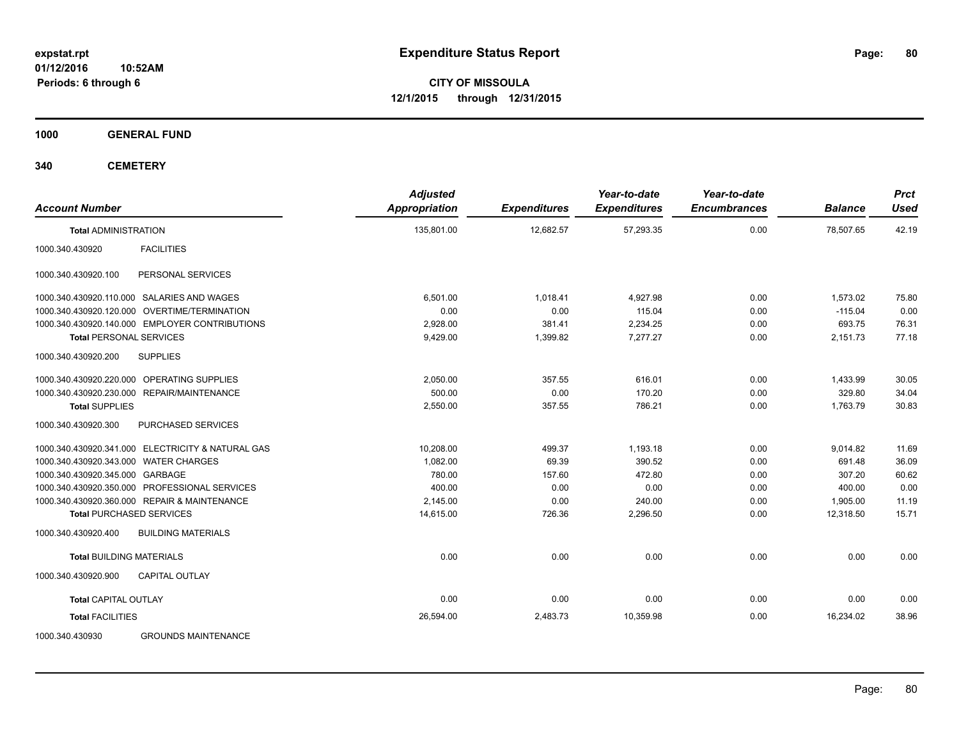**CITY OF MISSOULA 12/1/2015 through 12/31/2015**

**1000 GENERAL FUND**

| <b>Account Number</b>                             | <b>Adjusted</b><br><b>Appropriation</b> | <b>Expenditures</b> | Year-to-date<br><b>Expenditures</b> | Year-to-date<br><b>Encumbrances</b> | <b>Balance</b> | <b>Prct</b><br><b>Used</b> |
|---------------------------------------------------|-----------------------------------------|---------------------|-------------------------------------|-------------------------------------|----------------|----------------------------|
| <b>Total ADMINISTRATION</b>                       | 135,801.00                              | 12,682.57           | 57.293.35                           | 0.00                                | 78.507.65      | 42.19                      |
| <b>FACILITIES</b><br>1000.340.430920              |                                         |                     |                                     |                                     |                |                            |
| PERSONAL SERVICES<br>1000.340.430920.100          |                                         |                     |                                     |                                     |                |                            |
| 1000.340.430920.110.000 SALARIES AND WAGES        | 6.501.00                                | 1.018.41            | 4,927.98                            | 0.00                                | 1,573.02       | 75.80                      |
| 1000.340.430920.120.000 OVERTIME/TERMINATION      | 0.00                                    | 0.00                | 115.04                              | 0.00                                | $-115.04$      | 0.00                       |
| 1000.340.430920.140.000 EMPLOYER CONTRIBUTIONS    | 2,928.00                                | 381.41              | 2,234.25                            | 0.00                                | 693.75         | 76.31                      |
| <b>Total PERSONAL SERVICES</b>                    | 9,429.00                                | 1,399.82            | 7,277.27                            | 0.00                                | 2,151.73       | 77.18                      |
| 1000.340.430920.200<br><b>SUPPLIES</b>            |                                         |                     |                                     |                                     |                |                            |
| 1000.340.430920.220.000 OPERATING SUPPLIES        | 2,050.00                                | 357.55              | 616.01                              | 0.00                                | 1,433.99       | 30.05                      |
| 1000.340.430920.230.000 REPAIR/MAINTENANCE        | 500.00                                  | 0.00                | 170.20                              | 0.00                                | 329.80         | 34.04                      |
| <b>Total SUPPLIES</b>                             | 2,550.00                                | 357.55              | 786.21                              | 0.00                                | 1,763.79       | 30.83                      |
| 1000.340.430920.300<br>PURCHASED SERVICES         |                                         |                     |                                     |                                     |                |                            |
| 1000.340.430920.341.000 ELECTRICITY & NATURAL GAS | 10,208.00                               | 499.37              | 1,193.18                            | 0.00                                | 9,014.82       | 11.69                      |
| 1000.340.430920.343.000 WATER CHARGES             | 1.082.00                                | 69.39               | 390.52                              | 0.00                                | 691.48         | 36.09                      |
| 1000.340.430920.345.000 GARBAGE                   | 780.00                                  | 157.60              | 472.80                              | 0.00                                | 307.20         | 60.62                      |
| 1000.340.430920.350.000 PROFESSIONAL SERVICES     | 400.00                                  | 0.00                | 0.00                                | 0.00                                | 400.00         | 0.00                       |
| 1000.340.430920.360.000 REPAIR & MAINTENANCE      | 2.145.00                                | 0.00                | 240.00                              | 0.00                                | 1,905.00       | 11.19                      |
| <b>Total PURCHASED SERVICES</b>                   | 14,615.00                               | 726.36              | 2,296.50                            | 0.00                                | 12,318.50      | 15.71                      |
| <b>BUILDING MATERIALS</b><br>1000.340.430920.400  |                                         |                     |                                     |                                     |                |                            |
| <b>Total BUILDING MATERIALS</b>                   | 0.00                                    | 0.00                | 0.00                                | 0.00                                | 0.00           | 0.00                       |
| CAPITAL OUTLAY<br>1000.340.430920.900             |                                         |                     |                                     |                                     |                |                            |
| <b>Total CAPITAL OUTLAY</b>                       | 0.00                                    | 0.00                | 0.00                                | 0.00                                | 0.00           | 0.00                       |
| <b>Total FACILITIES</b>                           | 26,594.00                               | 2,483.73            | 10,359.98                           | 0.00                                | 16.234.02      | 38.96                      |
| 1000.340.430930<br><b>GROUNDS MAINTENANCE</b>     |                                         |                     |                                     |                                     |                |                            |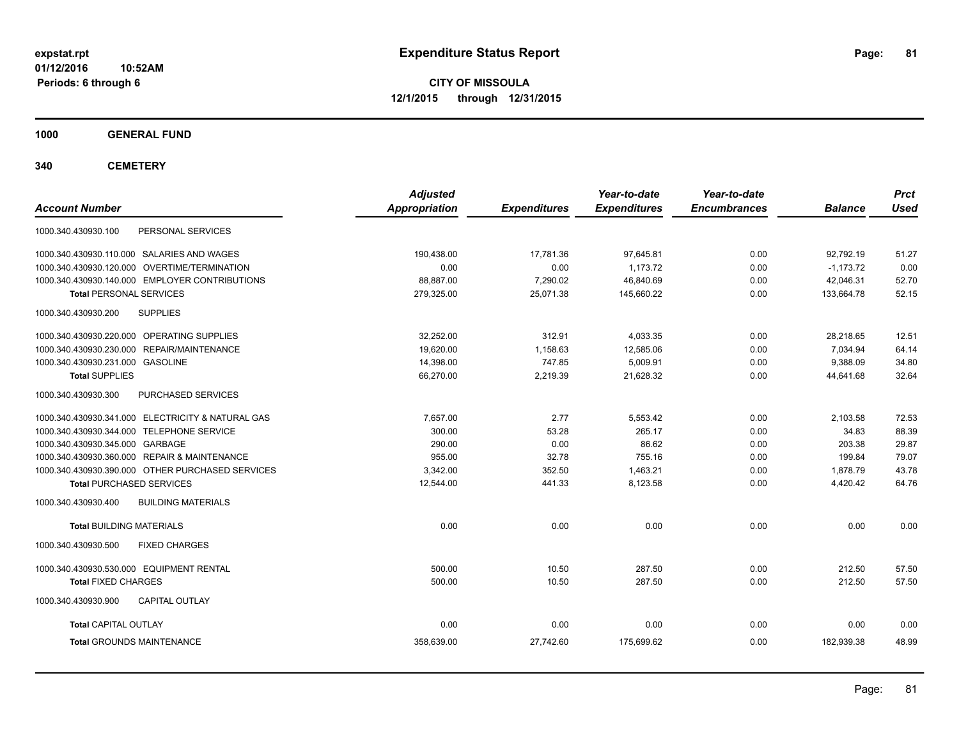**CITY OF MISSOULA 12/1/2015 through 12/31/2015**

**1000 GENERAL FUND**

| <b>Account Number</b>                             | <b>Adjusted</b><br><b>Appropriation</b> | <b>Expenditures</b> | Year-to-date<br><b>Expenditures</b> | Year-to-date<br><b>Encumbrances</b> | <b>Balance</b> | <b>Prct</b><br><b>Used</b> |
|---------------------------------------------------|-----------------------------------------|---------------------|-------------------------------------|-------------------------------------|----------------|----------------------------|
| PERSONAL SERVICES<br>1000.340.430930.100          |                                         |                     |                                     |                                     |                |                            |
| 1000.340.430930.110.000 SALARIES AND WAGES        | 190,438.00                              | 17,781.36           | 97,645.81                           | 0.00                                | 92,792.19      | 51.27                      |
| 1000.340.430930.120.000 OVERTIME/TERMINATION      | 0.00                                    | 0.00                | 1.173.72                            | 0.00                                | $-1.173.72$    | 0.00                       |
| 1000.340.430930.140.000 EMPLOYER CONTRIBUTIONS    | 88,887.00                               | 7,290.02            | 46,840.69                           | 0.00                                | 42,046.31      | 52.70                      |
| <b>Total PERSONAL SERVICES</b>                    | 279,325.00                              | 25,071.38           | 145,660.22                          | 0.00                                | 133,664.78     | 52.15                      |
| 1000.340.430930.200<br><b>SUPPLIES</b>            |                                         |                     |                                     |                                     |                |                            |
| 1000.340.430930.220.000 OPERATING SUPPLIES        | 32,252.00                               | 312.91              | 4,033.35                            | 0.00                                | 28,218.65      | 12.51                      |
| 1000.340.430930.230.000 REPAIR/MAINTENANCE        | 19,620.00                               | 1,158.63            | 12,585.06                           | 0.00                                | 7,034.94       | 64.14                      |
| 1000.340.430930.231.000 GASOLINE                  | 14,398.00                               | 747.85              | 5.009.91                            | 0.00                                | 9.388.09       | 34.80                      |
| <b>Total SUPPLIES</b>                             | 66,270.00                               | 2,219.39            | 21,628.32                           | 0.00                                | 44,641.68      | 32.64                      |
| 1000.340.430930.300<br>PURCHASED SERVICES         |                                         |                     |                                     |                                     |                |                            |
| 1000.340.430930.341.000 ELECTRICITY & NATURAL GAS | 7.657.00                                | 2.77                | 5,553.42                            | 0.00                                | 2,103.58       | 72.53                      |
| 1000.340.430930.344.000 TELEPHONE SERVICE         | 300.00                                  | 53.28               | 265.17                              | 0.00                                | 34.83          | 88.39                      |
| 1000.340.430930.345.000 GARBAGE                   | 290.00                                  | 0.00                | 86.62                               | 0.00                                | 203.38         | 29.87                      |
| 1000.340.430930.360.000 REPAIR & MAINTENANCE      | 955.00                                  | 32.78               | 755.16                              | 0.00                                | 199.84         | 79.07                      |
| 1000.340.430930.390.000 OTHER PURCHASED SERVICES  | 3,342.00                                | 352.50              | 1.463.21                            | 0.00                                | 1,878.79       | 43.78                      |
| <b>Total PURCHASED SERVICES</b>                   | 12,544.00                               | 441.33              | 8,123.58                            | 0.00                                | 4,420.42       | 64.76                      |
| 1000.340.430930.400<br><b>BUILDING MATERIALS</b>  |                                         |                     |                                     |                                     |                |                            |
| <b>Total BUILDING MATERIALS</b>                   | 0.00                                    | 0.00                | 0.00                                | 0.00                                | 0.00           | 0.00                       |
| 1000.340.430930.500<br><b>FIXED CHARGES</b>       |                                         |                     |                                     |                                     |                |                            |
| 1000.340.430930.530.000 EQUIPMENT RENTAL          | 500.00                                  | 10.50               | 287.50                              | 0.00                                | 212.50         | 57.50                      |
| <b>Total FIXED CHARGES</b>                        | 500.00                                  | 10.50               | 287.50                              | 0.00                                | 212.50         | 57.50                      |
| 1000.340.430930.900<br><b>CAPITAL OUTLAY</b>      |                                         |                     |                                     |                                     |                |                            |
| <b>Total CAPITAL OUTLAY</b>                       | 0.00                                    | 0.00                | 0.00                                | 0.00                                | 0.00           | 0.00                       |
| <b>Total GROUNDS MAINTENANCE</b>                  | 358,639.00                              | 27,742.60           | 175,699.62                          | 0.00                                | 182,939.38     | 48.99                      |
|                                                   |                                         |                     |                                     |                                     |                |                            |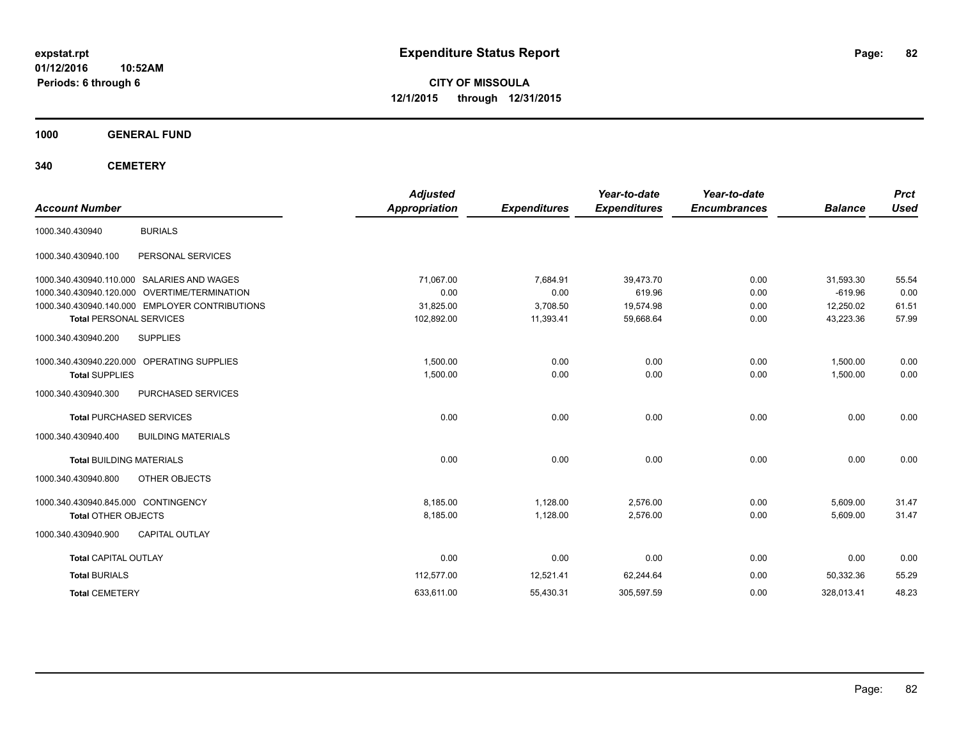**CITY OF MISSOULA 12/1/2015 through 12/31/2015**

**1000 GENERAL FUND**

| <b>Account Number</b>               |                                                | <b>Adjusted</b><br><b>Appropriation</b> | <b>Expenditures</b> | Year-to-date<br><b>Expenditures</b> | Year-to-date<br><b>Encumbrances</b> | <b>Balance</b> | <b>Prct</b><br><b>Used</b> |
|-------------------------------------|------------------------------------------------|-----------------------------------------|---------------------|-------------------------------------|-------------------------------------|----------------|----------------------------|
| 1000.340.430940                     | <b>BURIALS</b>                                 |                                         |                     |                                     |                                     |                |                            |
| 1000.340.430940.100                 | PERSONAL SERVICES                              |                                         |                     |                                     |                                     |                |                            |
| 1000.340.430940.110.000             | <b>SALARIES AND WAGES</b>                      | 71,067.00                               | 7,684.91            | 39,473.70                           | 0.00                                | 31,593.30      | 55.54                      |
| 1000.340.430940.120.000             | <b>OVERTIME/TERMINATION</b>                    | 0.00                                    | 0.00                | 619.96                              | 0.00                                | $-619.96$      | 0.00                       |
|                                     | 1000.340.430940.140.000 EMPLOYER CONTRIBUTIONS | 31,825.00                               | 3,708.50            | 19,574.98                           | 0.00                                | 12,250.02      | 61.51                      |
| <b>Total PERSONAL SERVICES</b>      |                                                | 102,892.00                              | 11,393.41           | 59,668.64                           | 0.00                                | 43,223.36      | 57.99                      |
| 1000.340.430940.200                 | <b>SUPPLIES</b>                                |                                         |                     |                                     |                                     |                |                            |
|                                     | 1000.340.430940.220.000 OPERATING SUPPLIES     | 1.500.00                                | 0.00                | 0.00                                | 0.00                                | 1.500.00       | 0.00                       |
| <b>Total SUPPLIES</b>               |                                                | 1,500.00                                | 0.00                | 0.00                                | 0.00                                | 1,500.00       | 0.00                       |
| 1000.340.430940.300                 | PURCHASED SERVICES                             |                                         |                     |                                     |                                     |                |                            |
|                                     | <b>Total PURCHASED SERVICES</b>                | 0.00                                    | 0.00                | 0.00                                | 0.00                                | 0.00           | 0.00                       |
| 1000.340.430940.400                 | <b>BUILDING MATERIALS</b>                      |                                         |                     |                                     |                                     |                |                            |
| <b>Total BUILDING MATERIALS</b>     |                                                | 0.00                                    | 0.00                | 0.00                                | 0.00                                | 0.00           | 0.00                       |
| 1000.340.430940.800                 | OTHER OBJECTS                                  |                                         |                     |                                     |                                     |                |                            |
| 1000.340.430940.845.000 CONTINGENCY |                                                | 8,185.00                                | 1,128.00            | 2,576.00                            | 0.00                                | 5,609.00       | 31.47                      |
| <b>Total OTHER OBJECTS</b>          |                                                | 8,185.00                                | 1,128.00            | 2,576.00                            | 0.00                                | 5,609.00       | 31.47                      |
| 1000.340.430940.900                 | <b>CAPITAL OUTLAY</b>                          |                                         |                     |                                     |                                     |                |                            |
| <b>Total CAPITAL OUTLAY</b>         |                                                | 0.00                                    | 0.00                | 0.00                                | 0.00                                | 0.00           | 0.00                       |
| <b>Total BURIALS</b>                |                                                | 112,577.00                              | 12,521.41           | 62,244.64                           | 0.00                                | 50,332.36      | 55.29                      |
| <b>Total CEMETERY</b>               |                                                | 633,611.00                              | 55,430.31           | 305,597.59                          | 0.00                                | 328,013.41     | 48.23                      |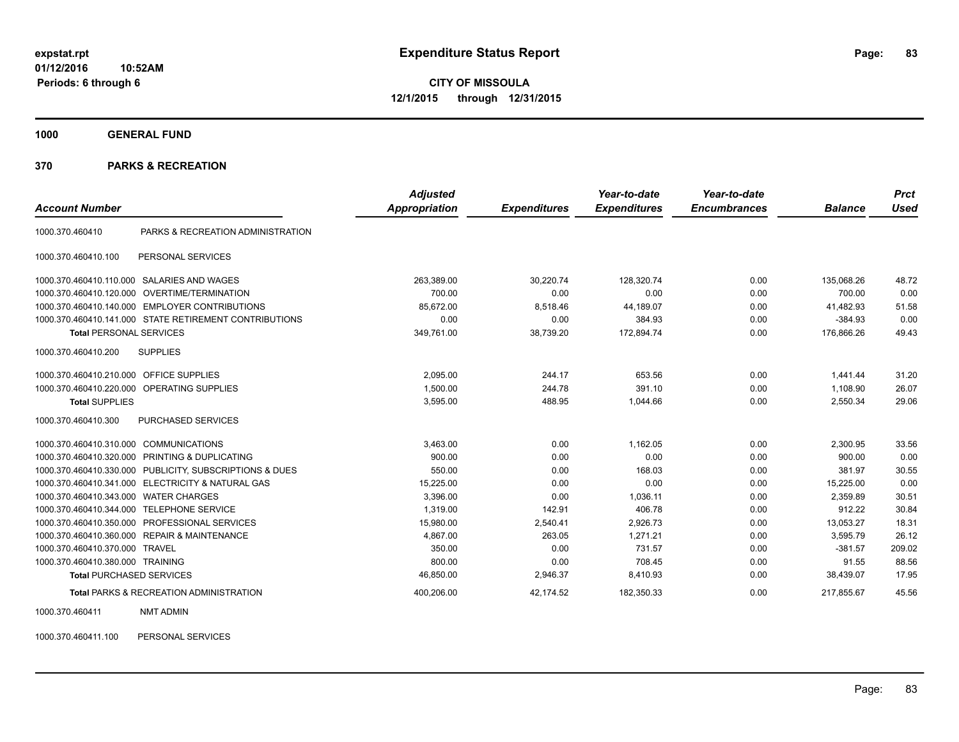**1000 GENERAL FUND**

#### **370 PARKS & RECREATION**

|                                            |                                                         | <b>Adjusted</b> |                     | Year-to-date        | Year-to-date        |                | <b>Prct</b> |
|--------------------------------------------|---------------------------------------------------------|-----------------|---------------------|---------------------|---------------------|----------------|-------------|
| <b>Account Number</b>                      |                                                         | Appropriation   | <b>Expenditures</b> | <b>Expenditures</b> | <b>Encumbrances</b> | <b>Balance</b> | <b>Used</b> |
| 1000.370.460410                            | PARKS & RECREATION ADMINISTRATION                       |                 |                     |                     |                     |                |             |
| 1000.370.460410.100                        | PERSONAL SERVICES                                       |                 |                     |                     |                     |                |             |
| 1000.370.460410.110.000                    | SALARIES AND WAGES                                      | 263,389.00      | 30,220.74           | 128,320.74          | 0.00                | 135.068.26     | 48.72       |
| 1000.370.460410.120.000                    | OVERTIME/TERMINATION                                    | 700.00          | 0.00                | 0.00                | 0.00                | 700.00         | 0.00        |
|                                            | 1000.370.460410.140.000 EMPLOYER CONTRIBUTIONS          | 85,672.00       | 8,518.46            | 44,189.07           | 0.00                | 41,482.93      | 51.58       |
|                                            | 1000.370.460410.141.000 STATE RETIREMENT CONTRIBUTIONS  | 0.00            | 0.00                | 384.93              | 0.00                | $-384.93$      | 0.00        |
| <b>Total PERSONAL SERVICES</b>             |                                                         | 349,761.00      | 38,739.20           | 172,894.74          | 0.00                | 176,866.26     | 49.43       |
| 1000.370.460410.200                        | <b>SUPPLIES</b>                                         |                 |                     |                     |                     |                |             |
| 1000.370.460410.210.000 OFFICE SUPPLIES    |                                                         | 2,095.00        | 244.17              | 653.56              | 0.00                | 1.441.44       | 31.20       |
| 1000.370.460410.220.000 OPERATING SUPPLIES |                                                         | 1,500.00        | 244.78              | 391.10              | 0.00                | 1,108.90       | 26.07       |
| <b>Total SUPPLIES</b>                      |                                                         | 3,595.00        | 488.95              | 1,044.66            | 0.00                | 2,550.34       | 29.06       |
| 1000.370.460410.300                        | <b>PURCHASED SERVICES</b>                               |                 |                     |                     |                     |                |             |
| 1000.370.460410.310.000 COMMUNICATIONS     |                                                         | 3,463.00        | 0.00                | 1,162.05            | 0.00                | 2,300.95       | 33.56       |
|                                            | 1000.370.460410.320.000 PRINTING & DUPLICATING          | 900.00          | 0.00                | 0.00                | 0.00                | 900.00         | 0.00        |
|                                            | 1000.370.460410.330.000 PUBLICITY, SUBSCRIPTIONS & DUES | 550.00          | 0.00                | 168.03              | 0.00                | 381.97         | 30.55       |
| 1000.370.460410.341.000                    | <b>ELECTRICITY &amp; NATURAL GAS</b>                    | 15,225.00       | 0.00                | 0.00                | 0.00                | 15,225.00      | 0.00        |
| 1000.370.460410.343.000 WATER CHARGES      |                                                         | 3,396.00        | 0.00                | 1.036.11            | 0.00                | 2.359.89       | 30.51       |
| 1000.370.460410.344.000 TELEPHONE SERVICE  |                                                         | 1.319.00        | 142.91              | 406.78              | 0.00                | 912.22         | 30.84       |
|                                            | 1000.370.460410.350.000 PROFESSIONAL SERVICES           | 15,980.00       | 2,540.41            | 2,926.73            | 0.00                | 13,053.27      | 18.31       |
|                                            | 1000.370.460410.360.000 REPAIR & MAINTENANCE            | 4,867.00        | 263.05              | 1.271.21            | 0.00                | 3,595.79       | 26.12       |
| 1000.370.460410.370.000 TRAVEL             |                                                         | 350.00          | 0.00                | 731.57              | 0.00                | $-381.57$      | 209.02      |
| 1000.370.460410.380.000 TRAINING           |                                                         | 800.00          | 0.00                | 708.45              | 0.00                | 91.55          | 88.56       |
| <b>Total PURCHASED SERVICES</b>            |                                                         | 46,850.00       | 2,946.37            | 8,410.93            | 0.00                | 38,439.07      | 17.95       |
|                                            | <b>Total PARKS &amp; RECREATION ADMINISTRATION</b>      | 400,206.00      | 42.174.52           | 182,350.33          | 0.00                | 217.855.67     | 45.56       |

1000.370.460411 NMT ADMIN

1000.370.460411.100 PERSONAL SERVICES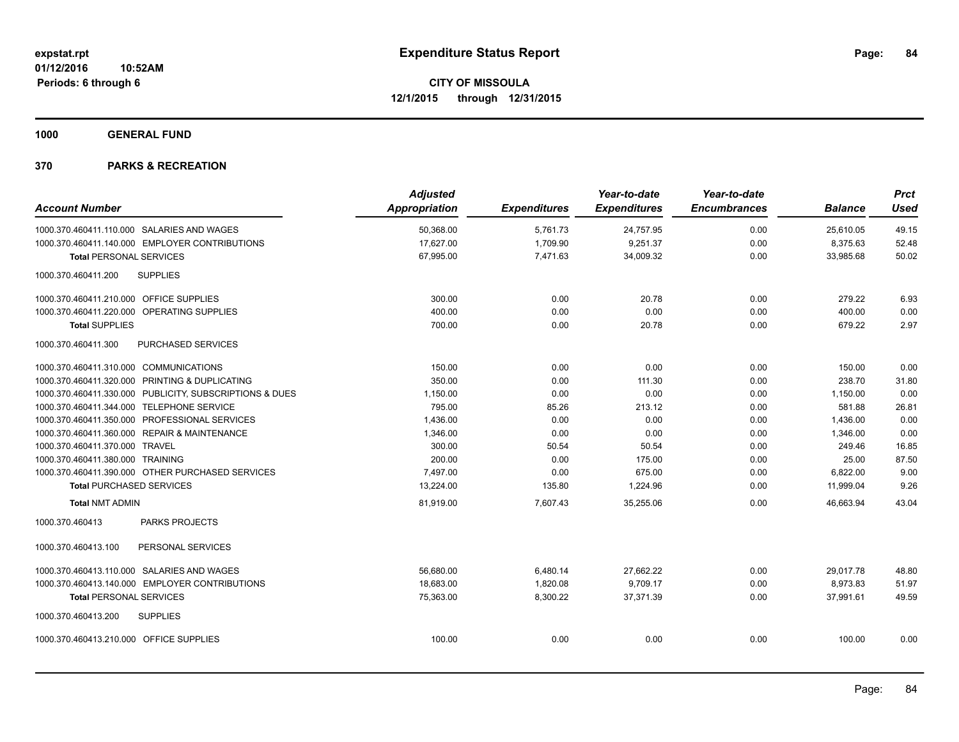**1000 GENERAL FUND**

|                                         |                                                         | <b>Adjusted</b>      |                     | Year-to-date        | Year-to-date        |                | <b>Prct</b> |
|-----------------------------------------|---------------------------------------------------------|----------------------|---------------------|---------------------|---------------------|----------------|-------------|
| <b>Account Number</b>                   |                                                         | <b>Appropriation</b> | <b>Expenditures</b> | <b>Expenditures</b> | <b>Encumbrances</b> | <b>Balance</b> | <b>Used</b> |
|                                         | 1000.370.460411.110.000 SALARIES AND WAGES              | 50,368.00            | 5,761.73            | 24,757.95           | 0.00                | 25,610.05      | 49.15       |
|                                         | 1000.370.460411.140.000 EMPLOYER CONTRIBUTIONS          | 17,627.00            | 1,709.90            | 9,251.37            | 0.00                | 8,375.63       | 52.48       |
| <b>Total PERSONAL SERVICES</b>          |                                                         | 67,995.00            | 7,471.63            | 34,009.32           | 0.00                | 33,985.68      | 50.02       |
| 1000.370.460411.200                     | <b>SUPPLIES</b>                                         |                      |                     |                     |                     |                |             |
| 1000.370.460411.210.000 OFFICE SUPPLIES |                                                         | 300.00               | 0.00                | 20.78               | 0.00                | 279.22         | 6.93        |
|                                         | 1000.370.460411.220.000 OPERATING SUPPLIES              | 400.00               | 0.00                | 0.00                | 0.00                | 400.00         | 0.00        |
| <b>Total SUPPLIES</b>                   |                                                         | 700.00               | 0.00                | 20.78               | 0.00                | 679.22         | 2.97        |
| 1000.370.460411.300                     | PURCHASED SERVICES                                      |                      |                     |                     |                     |                |             |
| 1000.370.460411.310.000 COMMUNICATIONS  |                                                         | 150.00               | 0.00                | 0.00                | 0.00                | 150.00         | 0.00        |
|                                         | 1000.370.460411.320.000 PRINTING & DUPLICATING          | 350.00               | 0.00                | 111.30              | 0.00                | 238.70         | 31.80       |
|                                         | 1000.370.460411.330.000 PUBLICITY, SUBSCRIPTIONS & DUES | 1,150.00             | 0.00                | 0.00                | 0.00                | 1,150.00       | 0.00        |
|                                         | 1000.370.460411.344.000 TELEPHONE SERVICE               | 795.00               | 85.26               | 213.12              | 0.00                | 581.88         | 26.81       |
|                                         | 1000.370.460411.350.000 PROFESSIONAL SERVICES           | 1,436.00             | 0.00                | 0.00                | 0.00                | 1,436.00       | 0.00        |
|                                         | 1000.370.460411.360.000 REPAIR & MAINTENANCE            | 1,346.00             | 0.00                | 0.00                | 0.00                | 1,346.00       | 0.00        |
| 1000.370.460411.370.000 TRAVEL          |                                                         | 300.00               | 50.54               | 50.54               | 0.00                | 249.46         | 16.85       |
| 1000.370.460411.380.000 TRAINING        |                                                         | 200.00               | 0.00                | 175.00              | 0.00                | 25.00          | 87.50       |
|                                         | 1000.370.460411.390.000 OTHER PURCHASED SERVICES        | 7.497.00             | 0.00                | 675.00              | 0.00                | 6,822.00       | 9.00        |
| <b>Total PURCHASED SERVICES</b>         |                                                         | 13,224.00            | 135.80              | 1,224.96            | 0.00                | 11,999.04      | 9.26        |
| <b>Total NMT ADMIN</b>                  |                                                         | 81,919.00            | 7,607.43            | 35,255.06           | 0.00                | 46,663.94      | 43.04       |
| 1000.370.460413                         | <b>PARKS PROJECTS</b>                                   |                      |                     |                     |                     |                |             |
| 1000.370.460413.100                     | PERSONAL SERVICES                                       |                      |                     |                     |                     |                |             |
|                                         | 1000.370.460413.110.000 SALARIES AND WAGES              | 56,680.00            | 6,480.14            | 27,662.22           | 0.00                | 29,017.78      | 48.80       |
|                                         | 1000.370.460413.140.000 EMPLOYER CONTRIBUTIONS          | 18,683.00            | 1,820.08            | 9,709.17            | 0.00                | 8,973.83       | 51.97       |
| <b>Total PERSONAL SERVICES</b>          |                                                         | 75,363.00            | 8,300.22            | 37,371.39           | 0.00                | 37,991.61      | 49.59       |
| 1000.370.460413.200                     | <b>SUPPLIES</b>                                         |                      |                     |                     |                     |                |             |
| 1000.370.460413.210.000 OFFICE SUPPLIES |                                                         | 100.00               | 0.00                | 0.00                | 0.00                | 100.00         | 0.00        |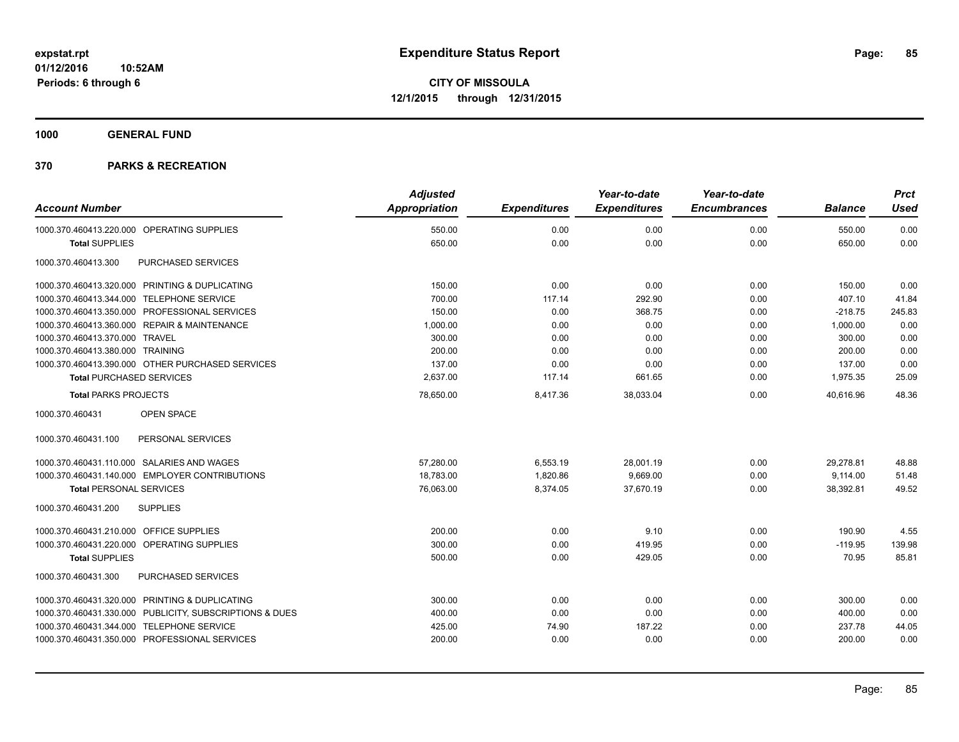**1000 GENERAL FUND**

|                                                         | <b>Adjusted</b>      |                     | Year-to-date        | Year-to-date        |                | <b>Prct</b> |
|---------------------------------------------------------|----------------------|---------------------|---------------------|---------------------|----------------|-------------|
| <b>Account Number</b>                                   | <b>Appropriation</b> | <b>Expenditures</b> | <b>Expenditures</b> | <b>Encumbrances</b> | <b>Balance</b> | <b>Used</b> |
| 1000.370.460413.220.000 OPERATING SUPPLIES              | 550.00               | 0.00                | 0.00                | 0.00                | 550.00         | 0.00        |
| <b>Total SUPPLIES</b>                                   | 650.00               | 0.00                | 0.00                | 0.00                | 650.00         | 0.00        |
| PURCHASED SERVICES<br>1000.370.460413.300               |                      |                     |                     |                     |                |             |
| 1000.370.460413.320.000 PRINTING & DUPLICATING          | 150.00               | 0.00                | 0.00                | 0.00                | 150.00         | 0.00        |
| 1000.370.460413.344.000 TELEPHONE SERVICE               | 700.00               | 117.14              | 292.90              | 0.00                | 407.10         | 41.84       |
| 1000.370.460413.350.000 PROFESSIONAL SERVICES           | 150.00               | 0.00                | 368.75              | 0.00                | $-218.75$      | 245.83      |
| 1000.370.460413.360.000 REPAIR & MAINTENANCE            | 1,000.00             | 0.00                | 0.00                | 0.00                | 1,000.00       | 0.00        |
| 1000.370.460413.370.000 TRAVEL                          | 300.00               | 0.00                | 0.00                | 0.00                | 300.00         | 0.00        |
| 1000.370.460413.380.000 TRAINING                        | 200.00               | 0.00                | 0.00                | 0.00                | 200.00         | 0.00        |
| 1000.370.460413.390.000 OTHER PURCHASED SERVICES        | 137.00               | 0.00                | 0.00                | 0.00                | 137.00         | 0.00        |
| <b>Total PURCHASED SERVICES</b>                         | 2,637.00             | 117.14              | 661.65              | 0.00                | 1,975.35       | 25.09       |
| <b>Total PARKS PROJECTS</b>                             | 78,650.00            | 8,417.36            | 38,033.04           | 0.00                | 40,616.96      | 48.36       |
| OPEN SPACE<br>1000.370.460431                           |                      |                     |                     |                     |                |             |
| 1000.370.460431.100<br>PERSONAL SERVICES                |                      |                     |                     |                     |                |             |
| 1000.370.460431.110.000 SALARIES AND WAGES              | 57,280.00            | 6,553.19            | 28,001.19           | 0.00                | 29,278.81      | 48.88       |
| 1000.370.460431.140.000 EMPLOYER CONTRIBUTIONS          | 18,783.00            | 1,820.86            | 9,669.00            | 0.00                | 9,114.00       | 51.48       |
| <b>Total PERSONAL SERVICES</b>                          | 76,063.00            | 8,374.05            | 37,670.19           | 0.00                | 38,392.81      | 49.52       |
| <b>SUPPLIES</b><br>1000.370.460431.200                  |                      |                     |                     |                     |                |             |
| 1000.370.460431.210.000 OFFICE SUPPLIES                 | 200.00               | 0.00                | 9.10                | 0.00                | 190.90         | 4.55        |
| 1000.370.460431.220.000 OPERATING SUPPLIES              | 300.00               | 0.00                | 419.95              | 0.00                | $-119.95$      | 139.98      |
| <b>Total SUPPLIES</b>                                   | 500.00               | 0.00                | 429.05              | 0.00                | 70.95          | 85.81       |
| PURCHASED SERVICES<br>1000.370.460431.300               |                      |                     |                     |                     |                |             |
| 1000.370.460431.320.000 PRINTING & DUPLICATING          | 300.00               | 0.00                | 0.00                | 0.00                | 300.00         | 0.00        |
| 1000.370.460431.330.000 PUBLICITY, SUBSCRIPTIONS & DUES | 400.00               | 0.00                | 0.00                | 0.00                | 400.00         | 0.00        |
| 1000.370.460431.344.000 TELEPHONE SERVICE               | 425.00               | 74.90               | 187.22              | 0.00                | 237.78         | 44.05       |
| 1000.370.460431.350.000 PROFESSIONAL SERVICES           | 200.00               | 0.00                | 0.00                | 0.00                | 200.00         | 0.00        |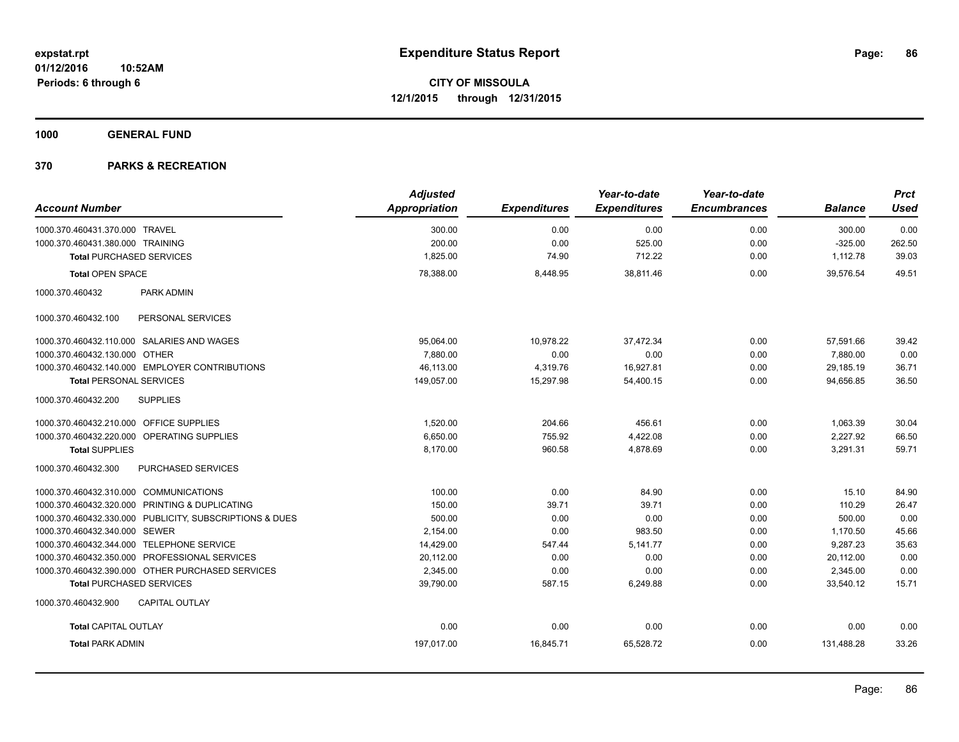**1000 GENERAL FUND**

|                                                |                                                         | <b>Adjusted</b>      |                     | Year-to-date        | Year-to-date        |                | <b>Prct</b> |
|------------------------------------------------|---------------------------------------------------------|----------------------|---------------------|---------------------|---------------------|----------------|-------------|
| <b>Account Number</b>                          |                                                         | <b>Appropriation</b> | <b>Expenditures</b> | <b>Expenditures</b> | <b>Encumbrances</b> | <b>Balance</b> | <b>Used</b> |
| 1000.370.460431.370.000 TRAVEL                 |                                                         | 300.00               | 0.00                | 0.00                | 0.00                | 300.00         | 0.00        |
| 1000.370.460431.380.000 TRAINING               |                                                         | 200.00               | 0.00                | 525.00              | 0.00                | $-325.00$      | 262.50      |
| <b>Total PURCHASED SERVICES</b>                |                                                         | 1,825.00             | 74.90               | 712.22              | 0.00                | 1,112.78       | 39.03       |
| <b>Total OPEN SPACE</b>                        |                                                         | 78,388.00            | 8,448.95            | 38,811.46           | 0.00                | 39,576.54      | 49.51       |
| 1000.370.460432                                | PARK ADMIN                                              |                      |                     |                     |                     |                |             |
| 1000.370.460432.100                            | PERSONAL SERVICES                                       |                      |                     |                     |                     |                |             |
| 1000.370.460432.110.000 SALARIES AND WAGES     |                                                         | 95,064.00            | 10,978.22           | 37,472.34           | 0.00                | 57,591.66      | 39.42       |
| 1000.370.460432.130.000 OTHER                  |                                                         | 7.880.00             | 0.00                | 0.00                | 0.00                | 7,880.00       | 0.00        |
| 1000.370.460432.140.000 EMPLOYER CONTRIBUTIONS |                                                         | 46.113.00            | 4.319.76            | 16,927.81           | 0.00                | 29.185.19      | 36.71       |
| Total PERSONAL SERVICES                        |                                                         | 149,057.00           | 15,297.98           | 54,400.15           | 0.00                | 94,656.85      | 36.50       |
| 1000.370.460432.200                            | <b>SUPPLIES</b>                                         |                      |                     |                     |                     |                |             |
| 1000.370.460432.210.000 OFFICE SUPPLIES        |                                                         | 1,520.00             | 204.66              | 456.61              | 0.00                | 1,063.39       | 30.04       |
| 1000.370.460432.220.000 OPERATING SUPPLIES     |                                                         | 6.650.00             | 755.92              | 4,422.08            | 0.00                | 2,227.92       | 66.50       |
| <b>Total SUPPLIES</b>                          |                                                         | 8,170.00             | 960.58              | 4,878.69            | 0.00                | 3,291.31       | 59.71       |
| 1000.370.460432.300                            | PURCHASED SERVICES                                      |                      |                     |                     |                     |                |             |
| 1000.370.460432.310.000 COMMUNICATIONS         |                                                         | 100.00               | 0.00                | 84.90               | 0.00                | 15.10          | 84.90       |
| 1000.370.460432.320.000 PRINTING & DUPLICATING |                                                         | 150.00               | 39.71               | 39.71               | 0.00                | 110.29         | 26.47       |
|                                                | 1000.370.460432.330.000 PUBLICITY, SUBSCRIPTIONS & DUES | 500.00               | 0.00                | 0.00                | 0.00                | 500.00         | 0.00        |
| 1000.370.460432.340.000 SEWER                  |                                                         | 2,154.00             | 0.00                | 983.50              | 0.00                | 1,170.50       | 45.66       |
| 1000.370.460432.344.000 TELEPHONE SERVICE      |                                                         | 14,429.00            | 547.44              | 5,141.77            | 0.00                | 9,287.23       | 35.63       |
| 1000.370.460432.350.000 PROFESSIONAL SERVICES  |                                                         | 20,112.00            | 0.00                | 0.00                | 0.00                | 20,112.00      | 0.00        |
|                                                | 1000.370.460432.390.000 OTHER PURCHASED SERVICES        | 2,345.00             | 0.00                | 0.00                | 0.00                | 2,345.00       | 0.00        |
| <b>Total PURCHASED SERVICES</b>                |                                                         | 39,790.00            | 587.15              | 6,249.88            | 0.00                | 33,540.12      | 15.71       |
| 1000.370.460432.900                            | <b>CAPITAL OUTLAY</b>                                   |                      |                     |                     |                     |                |             |
| <b>Total CAPITAL OUTLAY</b>                    |                                                         | 0.00                 | 0.00                | 0.00                | 0.00                | 0.00           | 0.00        |
| <b>Total PARK ADMIN</b>                        |                                                         | 197,017.00           | 16,845.71           | 65,528.72           | 0.00                | 131,488.28     | 33.26       |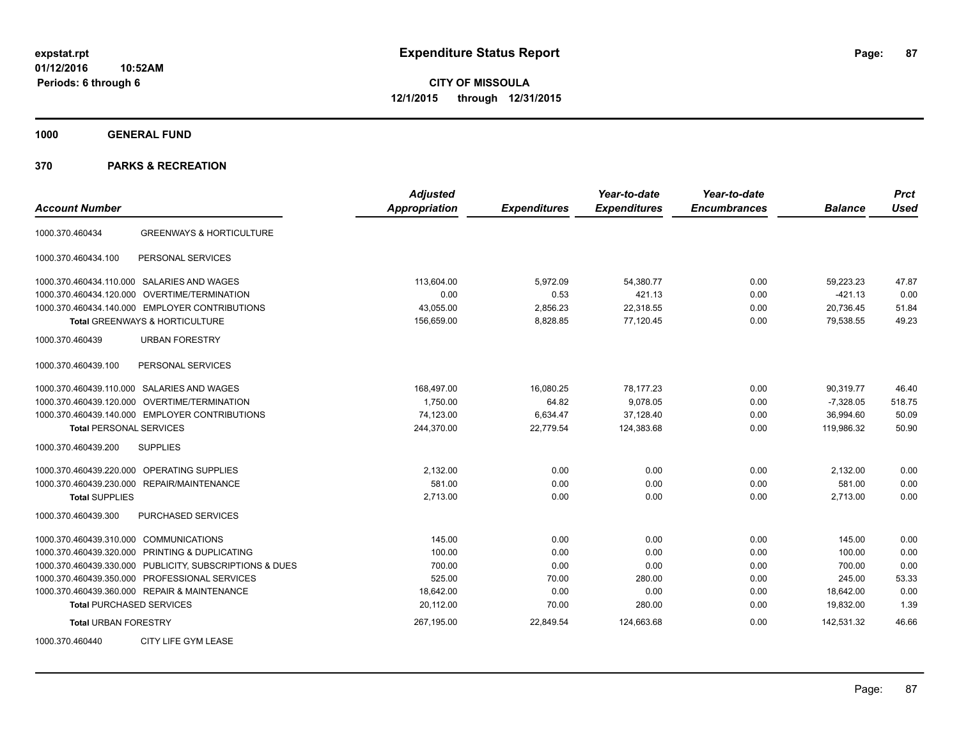**1000 GENERAL FUND**

| <b>Account Number</b>                                   | <b>Adjusted</b><br>Appropriation | <b>Expenditures</b> | Year-to-date<br><b>Expenditures</b> | Year-to-date<br><b>Encumbrances</b> | <b>Balance</b> | <b>Prct</b><br><b>Used</b> |
|---------------------------------------------------------|----------------------------------|---------------------|-------------------------------------|-------------------------------------|----------------|----------------------------|
| <b>GREENWAYS &amp; HORTICULTURE</b><br>1000.370.460434  |                                  |                     |                                     |                                     |                |                            |
|                                                         |                                  |                     |                                     |                                     |                |                            |
| PERSONAL SERVICES<br>1000.370.460434.100                |                                  |                     |                                     |                                     |                |                            |
| 1000.370.460434.110.000 SALARIES AND WAGES              | 113.604.00                       | 5,972.09            | 54,380.77                           | 0.00                                | 59,223.23      | 47.87                      |
| 1000.370.460434.120.000 OVERTIME/TERMINATION            | 0.00                             | 0.53                | 421.13                              | 0.00                                | $-421.13$      | 0.00                       |
| 1000.370.460434.140.000 EMPLOYER CONTRIBUTIONS          | 43,055.00                        | 2,856.23            | 22,318.55                           | 0.00                                | 20,736.45      | 51.84                      |
| <b>Total GREENWAYS &amp; HORTICULTURE</b>               | 156,659.00                       | 8,828.85            | 77,120.45                           | 0.00                                | 79.538.55      | 49.23                      |
| 1000.370.460439<br><b>URBAN FORESTRY</b>                |                                  |                     |                                     |                                     |                |                            |
| PERSONAL SERVICES<br>1000.370.460439.100                |                                  |                     |                                     |                                     |                |                            |
| 1000.370.460439.110.000 SALARIES AND WAGES              | 168,497.00                       | 16,080.25           | 78,177.23                           | 0.00                                | 90,319.77      | 46.40                      |
| 1000.370.460439.120.000 OVERTIME/TERMINATION            | 1,750.00                         | 64.82               | 9,078.05                            | 0.00                                | $-7,328.05$    | 518.75                     |
| 1000.370.460439.140.000 EMPLOYER CONTRIBUTIONS          | 74,123.00                        | 6,634.47            | 37,128.40                           | 0.00                                | 36,994.60      | 50.09                      |
| <b>Total PERSONAL SERVICES</b>                          | 244,370.00                       | 22,779.54           | 124,383.68                          | 0.00                                | 119,986.32     | 50.90                      |
| <b>SUPPLIES</b><br>1000.370.460439.200                  |                                  |                     |                                     |                                     |                |                            |
| 1000.370.460439.220.000<br><b>OPERATING SUPPLIES</b>    | 2,132.00                         | 0.00                | 0.00                                | 0.00                                | 2,132.00       | 0.00                       |
| 1000.370.460439.230.000 REPAIR/MAINTENANCE              | 581.00                           | 0.00                | 0.00                                | 0.00                                | 581.00         | 0.00                       |
| <b>Total SUPPLIES</b>                                   | 2,713.00                         | 0.00                | 0.00                                | 0.00                                | 2,713.00       | 0.00                       |
| 1000.370.460439.300<br>PURCHASED SERVICES               |                                  |                     |                                     |                                     |                |                            |
| 1000.370.460439.310.000 COMMUNICATIONS                  | 145.00                           | 0.00                | 0.00                                | 0.00                                | 145.00         | 0.00                       |
| 1000.370.460439.320.000 PRINTING & DUPLICATING          | 100.00                           | 0.00                | 0.00                                | 0.00                                | 100.00         | 0.00                       |
| 1000.370.460439.330.000 PUBLICITY, SUBSCRIPTIONS & DUES | 700.00                           | 0.00                | 0.00                                | 0.00                                | 700.00         | 0.00                       |
| 1000.370.460439.350.000 PROFESSIONAL SERVICES           | 525.00                           | 70.00               | 280.00                              | 0.00                                | 245.00         | 53.33                      |
| 1000.370.460439.360.000 REPAIR & MAINTENANCE            | 18,642.00                        | 0.00                | 0.00                                | 0.00                                | 18,642.00      | 0.00                       |
| <b>Total PURCHASED SERVICES</b>                         | 20,112.00                        | 70.00               | 280.00                              | 0.00                                | 19,832.00      | 1.39                       |
| <b>Total URBAN FORESTRY</b>                             | 267,195.00                       | 22,849.54           | 124,663.68                          | 0.00                                | 142,531.32     | 46.66                      |
| CITY LIFE GYM LEASE<br>1000.370.460440                  |                                  |                     |                                     |                                     |                |                            |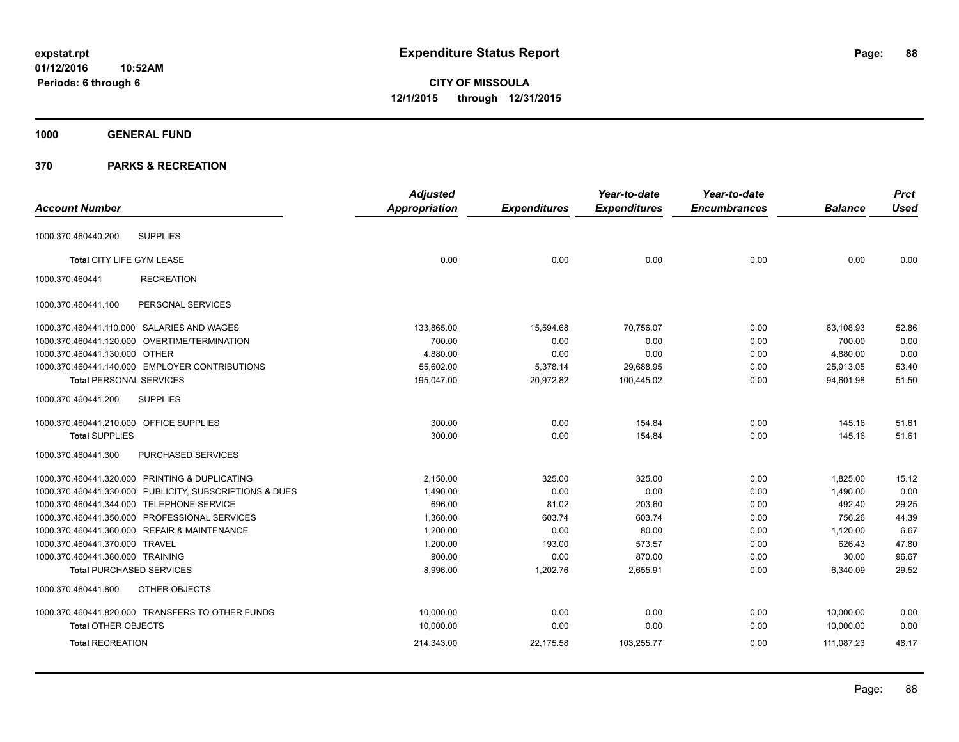# **1000 GENERAL FUND**

|                                                         | <b>Adjusted</b>      |                     | Year-to-date        | Year-to-date        |                | <b>Prct</b> |
|---------------------------------------------------------|----------------------|---------------------|---------------------|---------------------|----------------|-------------|
| <b>Account Number</b>                                   | <b>Appropriation</b> | <b>Expenditures</b> | <b>Expenditures</b> | <b>Encumbrances</b> | <b>Balance</b> | <b>Used</b> |
| <b>SUPPLIES</b><br>1000.370.460440.200                  |                      |                     |                     |                     |                |             |
| Total CITY LIFE GYM LEASE                               | 0.00                 | 0.00                | 0.00                | 0.00                | 0.00           | 0.00        |
| <b>RECREATION</b><br>1000.370.460441                    |                      |                     |                     |                     |                |             |
| PERSONAL SERVICES<br>1000.370.460441.100                |                      |                     |                     |                     |                |             |
| 1000.370.460441.110.000 SALARIES AND WAGES              | 133,865.00           | 15,594.68           | 70,756.07           | 0.00                | 63,108.93      | 52.86       |
| 1000.370.460441.120.000 OVERTIME/TERMINATION            | 700.00               | 0.00                | 0.00                | 0.00                | 700.00         | 0.00        |
| 1000.370.460441.130.000 OTHER                           | 4,880.00             | 0.00                | 0.00                | 0.00                | 4,880.00       | 0.00        |
| 1000.370.460441.140.000 EMPLOYER CONTRIBUTIONS          | 55,602.00            | 5,378.14            | 29,688.95           | 0.00                | 25,913.05      | 53.40       |
| <b>Total PERSONAL SERVICES</b>                          | 195,047.00           | 20,972.82           | 100,445.02          | 0.00                | 94,601.98      | 51.50       |
| 1000.370.460441.200<br><b>SUPPLIES</b>                  |                      |                     |                     |                     |                |             |
| 1000.370.460441.210.000 OFFICE SUPPLIES                 | 300.00               | 0.00                | 154.84              | 0.00                | 145.16         | 51.61       |
| <b>Total SUPPLIES</b>                                   | 300.00               | 0.00                | 154.84              | 0.00                | 145.16         | 51.61       |
| PURCHASED SERVICES<br>1000.370.460441.300               |                      |                     |                     |                     |                |             |
| 1000.370.460441.320.000 PRINTING & DUPLICATING          | 2,150.00             | 325.00              | 325.00              | 0.00                | 1,825.00       | 15.12       |
| 1000.370.460441.330.000 PUBLICITY, SUBSCRIPTIONS & DUES | 1,490.00             | 0.00                | 0.00                | 0.00                | 1,490.00       | 0.00        |
| 1000.370.460441.344.000 TELEPHONE SERVICE               | 696.00               | 81.02               | 203.60              | 0.00                | 492.40         | 29.25       |
| 1000.370.460441.350.000 PROFESSIONAL SERVICES           | 1,360.00             | 603.74              | 603.74              | 0.00                | 756.26         | 44.39       |
| 1000.370.460441.360.000 REPAIR & MAINTENANCE            | 1,200.00             | 0.00                | 80.00               | 0.00                | 1,120.00       | 6.67        |
| 1000.370.460441.370.000 TRAVEL                          | 1,200.00             | 193.00              | 573.57              | 0.00                | 626.43         | 47.80       |
| 1000.370.460441.380.000 TRAINING                        | 900.00               | 0.00                | 870.00              | 0.00                | 30.00          | 96.67       |
| <b>Total PURCHASED SERVICES</b>                         | 8,996.00             | 1,202.76            | 2,655.91            | 0.00                | 6,340.09       | 29.52       |
| OTHER OBJECTS<br>1000.370.460441.800                    |                      |                     |                     |                     |                |             |
| 1000.370.460441.820.000 TRANSFERS TO OTHER FUNDS        | 10,000.00            | 0.00                | 0.00                | 0.00                | 10,000.00      | 0.00        |
| <b>Total OTHER OBJECTS</b>                              | 10,000.00            | 0.00                | 0.00                | 0.00                | 10,000.00      | 0.00        |
| <b>Total RECREATION</b>                                 | 214,343.00           | 22,175.58           | 103,255.77          | 0.00                | 111,087.23     | 48.17       |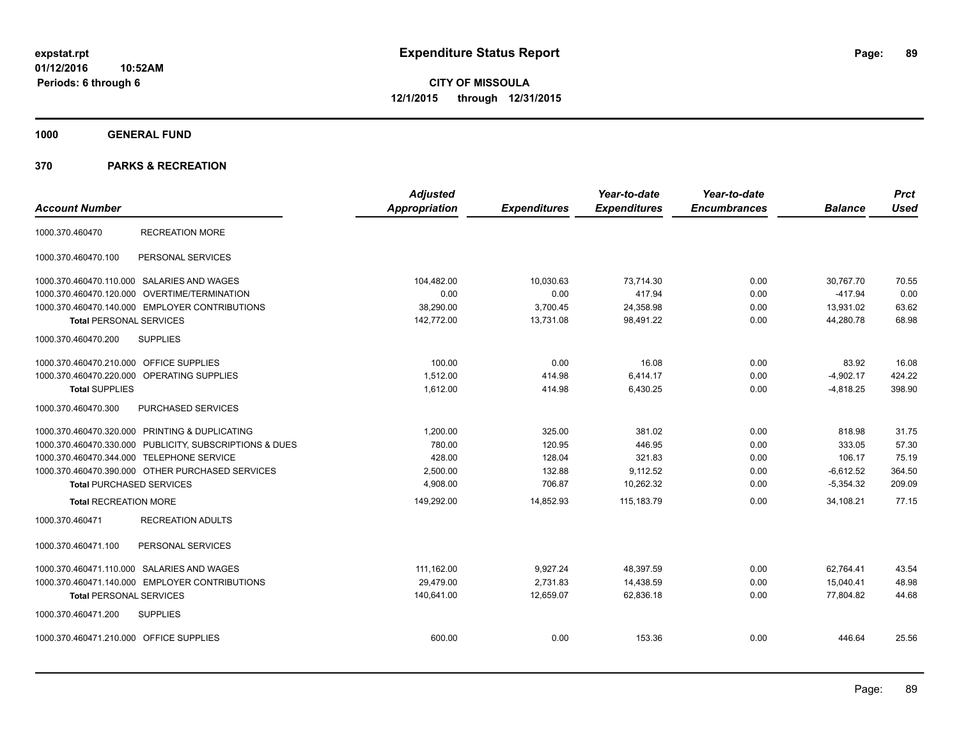**1000 GENERAL FUND**

| <b>Account Number</b>                   |                                                         | <b>Adjusted</b><br><b>Appropriation</b> | <b>Expenditures</b> | Year-to-date<br><b>Expenditures</b> | Year-to-date<br><b>Encumbrances</b> | <b>Balance</b> | <b>Prct</b><br><b>Used</b> |
|-----------------------------------------|---------------------------------------------------------|-----------------------------------------|---------------------|-------------------------------------|-------------------------------------|----------------|----------------------------|
| 1000.370.460470                         | <b>RECREATION MORE</b>                                  |                                         |                     |                                     |                                     |                |                            |
| 1000.370.460470.100                     | PERSONAL SERVICES                                       |                                         |                     |                                     |                                     |                |                            |
|                                         | 1000.370.460470.110.000 SALARIES AND WAGES              | 104,482.00                              | 10,030.63           | 73,714.30                           | 0.00                                | 30,767.70      | 70.55                      |
|                                         | 1000.370.460470.120.000 OVERTIME/TERMINATION            | 0.00                                    | 0.00                | 417.94                              | 0.00                                | $-417.94$      | 0.00                       |
|                                         | 1000.370.460470.140.000 EMPLOYER CONTRIBUTIONS          | 38,290.00                               | 3,700.45            | 24,358.98                           | 0.00                                | 13,931.02      | 63.62                      |
| <b>Total PERSONAL SERVICES</b>          |                                                         | 142,772.00                              | 13,731.08           | 98,491.22                           | 0.00                                | 44,280.78      | 68.98                      |
| 1000.370.460470.200                     | <b>SUPPLIES</b>                                         |                                         |                     |                                     |                                     |                |                            |
| 1000.370.460470.210.000 OFFICE SUPPLIES |                                                         | 100.00                                  | 0.00                | 16.08                               | 0.00                                | 83.92          | 16.08                      |
|                                         | 1000.370.460470.220.000 OPERATING SUPPLIES              | 1,512.00                                | 414.98              | 6,414.17                            | 0.00                                | $-4,902.17$    | 424.22                     |
| <b>Total SUPPLIES</b>                   |                                                         | 1,612.00                                | 414.98              | 6,430.25                            | 0.00                                | $-4,818.25$    | 398.90                     |
| 1000.370.460470.300                     | PURCHASED SERVICES                                      |                                         |                     |                                     |                                     |                |                            |
|                                         | 1000.370.460470.320.000 PRINTING & DUPLICATING          | 1,200.00                                | 325.00              | 381.02                              | 0.00                                | 818.98         | 31.75                      |
|                                         | 1000.370.460470.330.000 PUBLICITY, SUBSCRIPTIONS & DUES | 780.00                                  | 120.95              | 446.95                              | 0.00                                | 333.05         | 57.30                      |
|                                         | 1000.370.460470.344.000 TELEPHONE SERVICE               | 428.00                                  | 128.04              | 321.83                              | 0.00                                | 106.17         | 75.19                      |
|                                         | 1000.370.460470.390.000 OTHER PURCHASED SERVICES        | 2,500.00                                | 132.88              | 9,112.52                            | 0.00                                | $-6,612.52$    | 364.50                     |
| <b>Total PURCHASED SERVICES</b>         |                                                         | 4,908.00                                | 706.87              | 10,262.32                           | 0.00                                | $-5,354.32$    | 209.09                     |
| <b>Total RECREATION MORE</b>            |                                                         | 149,292.00                              | 14,852.93           | 115,183.79                          | 0.00                                | 34,108.21      | 77.15                      |
| 1000.370.460471                         | <b>RECREATION ADULTS</b>                                |                                         |                     |                                     |                                     |                |                            |
| 1000.370.460471.100                     | PERSONAL SERVICES                                       |                                         |                     |                                     |                                     |                |                            |
|                                         | 1000.370.460471.110.000 SALARIES AND WAGES              | 111.162.00                              | 9,927.24            | 48,397.59                           | 0.00                                | 62,764.41      | 43.54                      |
|                                         | 1000.370.460471.140.000 EMPLOYER CONTRIBUTIONS          | 29.479.00                               | 2.731.83            | 14,438.59                           | 0.00                                | 15.040.41      | 48.98                      |
| <b>Total PERSONAL SERVICES</b>          |                                                         | 140.641.00                              | 12.659.07           | 62.836.18                           | 0.00                                | 77.804.82      | 44.68                      |
| 1000.370.460471.200                     | <b>SUPPLIES</b>                                         |                                         |                     |                                     |                                     |                |                            |
| 1000.370.460471.210.000 OFFICE SUPPLIES |                                                         | 600.00                                  | 0.00                | 153.36                              | 0.00                                | 446.64         | 25.56                      |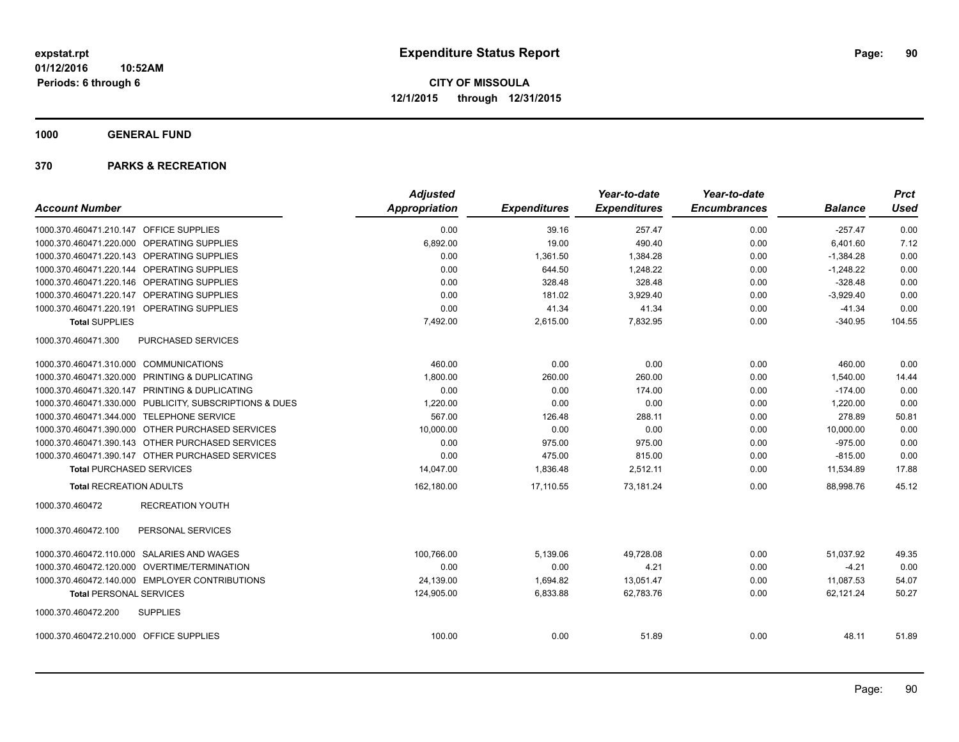**1000 GENERAL FUND**

|                                                         | <b>Adjusted</b>      |                     | Year-to-date        | Year-to-date        |                | <b>Prct</b> |
|---------------------------------------------------------|----------------------|---------------------|---------------------|---------------------|----------------|-------------|
| <b>Account Number</b>                                   | <b>Appropriation</b> | <b>Expenditures</b> | <b>Expenditures</b> | <b>Encumbrances</b> | <b>Balance</b> | <b>Used</b> |
| 1000.370.460471.210.147 OFFICE SUPPLIES                 | 0.00                 | 39.16               | 257.47              | 0.00                | $-257.47$      | 0.00        |
| 1000.370.460471.220.000 OPERATING SUPPLIES              | 6,892.00             | 19.00               | 490.40              | 0.00                | 6,401.60       | 7.12        |
| 1000.370.460471.220.143 OPERATING SUPPLIES              | 0.00                 | 1,361.50            | 1,384.28            | 0.00                | $-1,384.28$    | 0.00        |
| 1000.370.460471.220.144 OPERATING SUPPLIES              | 0.00                 | 644.50              | 1,248.22            | 0.00                | $-1,248.22$    | 0.00        |
| 1000.370.460471.220.146 OPERATING SUPPLIES              | 0.00                 | 328.48              | 328.48              | 0.00                | $-328.48$      | 0.00        |
| 1000.370.460471.220.147 OPERATING SUPPLIES              | 0.00                 | 181.02              | 3,929.40            | 0.00                | $-3,929.40$    | 0.00        |
| 1000.370.460471.220.191 OPERATING SUPPLIES              | 0.00                 | 41.34               | 41.34               | 0.00                | $-41.34$       | 0.00        |
| <b>Total SUPPLIES</b>                                   | 7,492.00             | 2,615.00            | 7,832.95            | 0.00                | $-340.95$      | 104.55      |
| PURCHASED SERVICES<br>1000.370.460471.300               |                      |                     |                     |                     |                |             |
| 1000.370.460471.310.000 COMMUNICATIONS                  | 460.00               | 0.00                | 0.00                | 0.00                | 460.00         | 0.00        |
| 1000.370.460471.320.000 PRINTING & DUPLICATING          | 1,800.00             | 260.00              | 260.00              | 0.00                | 1.540.00       | 14.44       |
| 1000.370.460471.320.147 PRINTING & DUPLICATING          | 0.00                 | 0.00                | 174.00              | 0.00                | $-174.00$      | 0.00        |
| 1000.370.460471.330.000 PUBLICITY, SUBSCRIPTIONS & DUES | 1,220.00             | 0.00                | 0.00                | 0.00                | 1,220.00       | 0.00        |
| 1000.370.460471.344.000 TELEPHONE SERVICE               | 567.00               | 126.48              | 288.11              | 0.00                | 278.89         | 50.81       |
| 1000.370.460471.390.000 OTHER PURCHASED SERVICES        | 10,000.00            | 0.00                | 0.00                | 0.00                | 10,000.00      | 0.00        |
| 1000.370.460471.390.143 OTHER PURCHASED SERVICES        | 0.00                 | 975.00              | 975.00              | 0.00                | $-975.00$      | 0.00        |
| 1000.370.460471.390.147 OTHER PURCHASED SERVICES        | 0.00                 | 475.00              | 815.00              | 0.00                | $-815.00$      | 0.00        |
| <b>Total PURCHASED SERVICES</b>                         | 14,047.00            | 1,836.48            | 2,512.11            | 0.00                | 11,534.89      | 17.88       |
| <b>Total RECREATION ADULTS</b>                          | 162,180.00           | 17,110.55           | 73,181.24           | 0.00                | 88,998.76      | 45.12       |
| 1000.370.460472<br><b>RECREATION YOUTH</b>              |                      |                     |                     |                     |                |             |
| PERSONAL SERVICES<br>1000.370.460472.100                |                      |                     |                     |                     |                |             |
| 1000.370.460472.110.000 SALARIES AND WAGES              | 100,766.00           | 5,139.06            | 49,728.08           | 0.00                | 51,037.92      | 49.35       |
| 1000.370.460472.120.000 OVERTIME/TERMINATION            | 0.00                 | 0.00                | 4.21                | 0.00                | $-4.21$        | 0.00        |
| 1000.370.460472.140.000 EMPLOYER CONTRIBUTIONS          | 24,139.00            | 1,694.82            | 13,051.47           | 0.00                | 11,087.53      | 54.07       |
| <b>Total PERSONAL SERVICES</b>                          | 124,905.00           | 6,833.88            | 62,783.76           | 0.00                | 62,121.24      | 50.27       |
| 1000.370.460472.200<br><b>SUPPLIES</b>                  |                      |                     |                     |                     |                |             |
| 1000.370.460472.210.000 OFFICE SUPPLIES                 | 100.00               | 0.00                | 51.89               | 0.00                | 48.11          | 51.89       |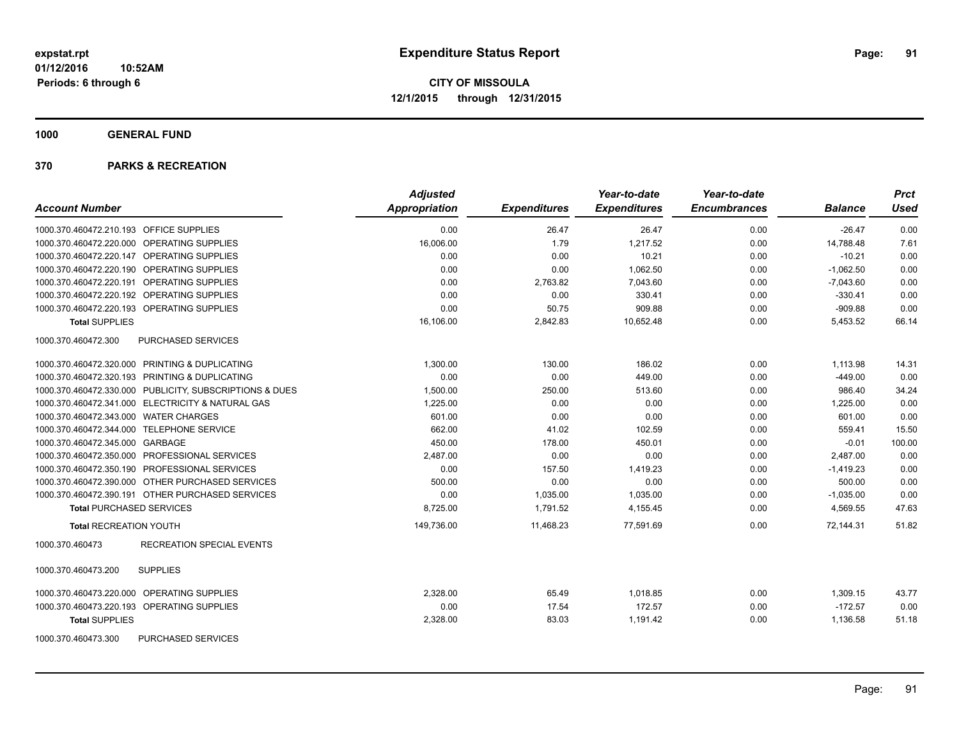**1000 GENERAL FUND**

| <b>Account Number</b>                                   | <b>Adjusted</b><br>Appropriation | <b>Expenditures</b> | Year-to-date<br><b>Expenditures</b> | Year-to-date<br><b>Encumbrances</b> | <b>Balance</b> | <b>Prct</b><br><b>Used</b> |
|---------------------------------------------------------|----------------------------------|---------------------|-------------------------------------|-------------------------------------|----------------|----------------------------|
|                                                         |                                  |                     |                                     |                                     |                |                            |
| 1000.370.460472.210.193 OFFICE SUPPLIES                 | 0.00                             | 26.47               | 26.47                               | 0.00                                | $-26.47$       | 0.00                       |
| 1000.370.460472.220.000 OPERATING SUPPLIES              | 16,006.00                        | 1.79                | 1,217.52                            | 0.00                                | 14,788.48      | 7.61                       |
| 1000.370.460472.220.147 OPERATING SUPPLIES              | 0.00                             | 0.00                | 10.21                               | 0.00                                | $-10.21$       | 0.00                       |
| 1000.370.460472.220.190 OPERATING SUPPLIES              | 0.00                             | 0.00                | 1,062.50                            | 0.00                                | $-1,062.50$    | 0.00                       |
| 1000.370.460472.220.191 OPERATING SUPPLIES              | 0.00                             | 2,763.82            | 7,043.60                            | 0.00                                | $-7,043.60$    | 0.00                       |
| 1000.370.460472.220.192 OPERATING SUPPLIES              | 0.00                             | 0.00                | 330.41                              | 0.00                                | $-330.41$      | 0.00                       |
| 1000.370.460472.220.193 OPERATING SUPPLIES              | 0.00                             | 50.75               | 909.88                              | 0.00                                | $-909.88$      | 0.00                       |
| <b>Total SUPPLIES</b>                                   | 16,106.00                        | 2,842.83            | 10,652.48                           | 0.00                                | 5,453.52       | 66.14                      |
| 1000.370.460472.300<br>PURCHASED SERVICES               |                                  |                     |                                     |                                     |                |                            |
| 1000.370.460472.320.000 PRINTING & DUPLICATING          | 1,300.00                         | 130.00              | 186.02                              | 0.00                                | 1,113.98       | 14.31                      |
| 1000.370.460472.320.193 PRINTING & DUPLICATING          | 0.00                             | 0.00                | 449.00                              | 0.00                                | $-449.00$      | 0.00                       |
| 1000.370.460472.330.000 PUBLICITY, SUBSCRIPTIONS & DUES | 1,500.00                         | 250.00              | 513.60                              | 0.00                                | 986.40         | 34.24                      |
| 1000.370.460472.341.000 ELECTRICITY & NATURAL GAS       | 1,225.00                         | 0.00                | 0.00                                | 0.00                                | 1.225.00       | 0.00                       |
| 1000.370.460472.343.000 WATER CHARGES                   | 601.00                           | 0.00                | 0.00                                | 0.00                                | 601.00         | 0.00                       |
| 1000.370.460472.344.000 TELEPHONE SERVICE               | 662.00                           | 41.02               | 102.59                              | 0.00                                | 559.41         | 15.50                      |
| 1000.370.460472.345.000 GARBAGE                         | 450.00                           | 178.00              | 450.01                              | 0.00                                | $-0.01$        | 100.00                     |
| 1000.370.460472.350.000 PROFESSIONAL SERVICES           | 2,487.00                         | 0.00                | 0.00                                | 0.00                                | 2,487.00       | 0.00                       |
| 1000.370.460472.350.190 PROFESSIONAL SERVICES           | 0.00                             | 157.50              | 1,419.23                            | 0.00                                | $-1,419.23$    | 0.00                       |
| 1000.370.460472.390.000 OTHER PURCHASED SERVICES        | 500.00                           | 0.00                | 0.00                                | 0.00                                | 500.00         | 0.00                       |
| 1000.370.460472.390.191 OTHER PURCHASED SERVICES        | 0.00                             | 1,035.00            | 1,035.00                            | 0.00                                | $-1,035.00$    | 0.00                       |
| <b>Total PURCHASED SERVICES</b>                         | 8,725.00                         | 1,791.52            | 4,155.45                            | 0.00                                | 4,569.55       | 47.63                      |
| <b>Total RECREATION YOUTH</b>                           | 149,736.00                       | 11,468.23           | 77,591.69                           | 0.00                                | 72.144.31      | 51.82                      |
| 1000.370.460473<br><b>RECREATION SPECIAL EVENTS</b>     |                                  |                     |                                     |                                     |                |                            |
| 1000.370.460473.200<br><b>SUPPLIES</b>                  |                                  |                     |                                     |                                     |                |                            |
| 1000.370.460473.220.000 OPERATING SUPPLIES              | 2,328.00                         | 65.49               | 1,018.85                            | 0.00                                | 1,309.15       | 43.77                      |
| 1000.370.460473.220.193 OPERATING SUPPLIES              | 0.00                             | 17.54               | 172.57                              | 0.00                                | $-172.57$      | 0.00                       |
| <b>Total SUPPLIES</b>                                   | 2,328.00                         | 83.03               | 1,191.42                            | 0.00                                | 1,136.58       | 51.18                      |
| 1000.370.460473.300<br>PURCHASED SERVICES               |                                  |                     |                                     |                                     |                |                            |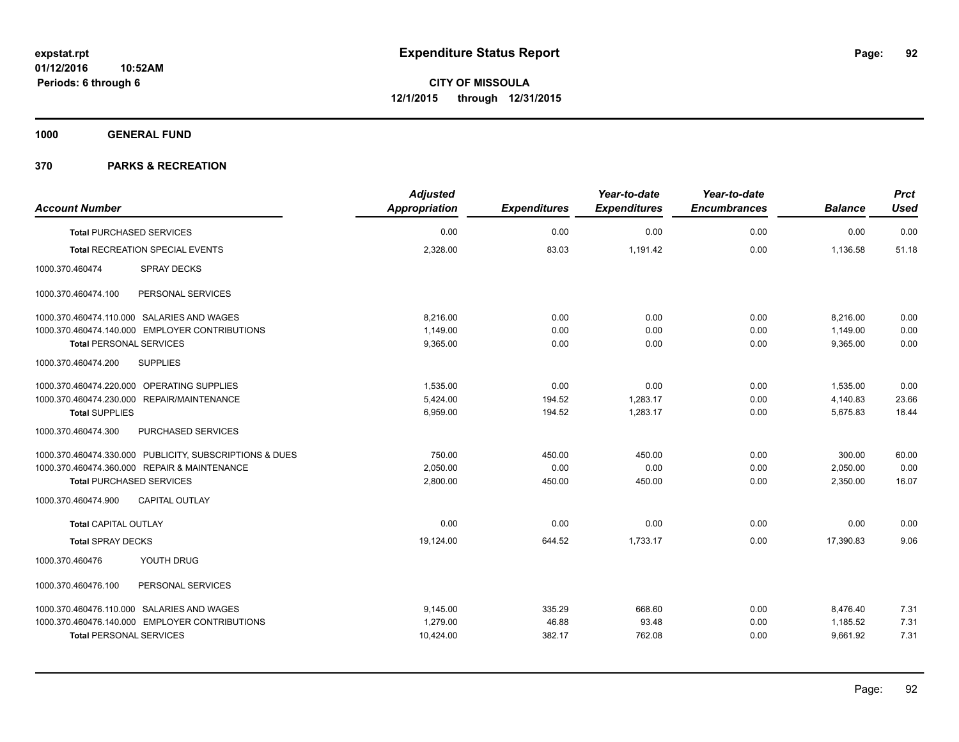**1000 GENERAL FUND**

|                                                         | <b>Adjusted</b>      |                     | Year-to-date        | Year-to-date        |                | <b>Prct</b> |
|---------------------------------------------------------|----------------------|---------------------|---------------------|---------------------|----------------|-------------|
| <b>Account Number</b>                                   | <b>Appropriation</b> | <b>Expenditures</b> | <b>Expenditures</b> | <b>Encumbrances</b> | <b>Balance</b> | <b>Used</b> |
| <b>Total PURCHASED SERVICES</b>                         | 0.00                 | 0.00                | 0.00                | 0.00                | 0.00           | 0.00        |
| Total RECREATION SPECIAL EVENTS                         | 2,328.00             | 83.03               | 1,191.42            | 0.00                | 1,136.58       | 51.18       |
| 1000.370.460474<br><b>SPRAY DECKS</b>                   |                      |                     |                     |                     |                |             |
| 1000.370.460474.100<br>PERSONAL SERVICES                |                      |                     |                     |                     |                |             |
| 1000.370.460474.110.000 SALARIES AND WAGES              | 8,216.00             | 0.00                | 0.00                | 0.00                | 8,216.00       | 0.00        |
| 1000.370.460474.140.000 EMPLOYER CONTRIBUTIONS          | 1,149.00             | 0.00                | 0.00                | 0.00                | 1.149.00       | 0.00        |
| <b>Total PERSONAL SERVICES</b>                          | 9,365.00             | 0.00                | 0.00                | 0.00                | 9,365.00       | 0.00        |
| 1000.370.460474.200<br><b>SUPPLIES</b>                  |                      |                     |                     |                     |                |             |
| 1000.370.460474.220.000 OPERATING SUPPLIES              | 1,535.00             | 0.00                | 0.00                | 0.00                | 1,535.00       | 0.00        |
| 1000.370.460474.230.000 REPAIR/MAINTENANCE              | 5.424.00             | 194.52              | 1,283.17            | 0.00                | 4,140.83       | 23.66       |
| <b>Total SUPPLIES</b>                                   | 6,959.00             | 194.52              | 1,283.17            | 0.00                | 5,675.83       | 18.44       |
| PURCHASED SERVICES<br>1000.370.460474.300               |                      |                     |                     |                     |                |             |
| 1000.370.460474.330.000 PUBLICITY, SUBSCRIPTIONS & DUES | 750.00               | 450.00              | 450.00              | 0.00                | 300.00         | 60.00       |
| 1000.370.460474.360.000 REPAIR & MAINTENANCE            | 2,050.00             | 0.00                | 0.00                | 0.00                | 2,050.00       | 0.00        |
| <b>Total PURCHASED SERVICES</b>                         | 2,800.00             | 450.00              | 450.00              | 0.00                | 2,350.00       | 16.07       |
| 1000.370.460474.900<br><b>CAPITAL OUTLAY</b>            |                      |                     |                     |                     |                |             |
| <b>Total CAPITAL OUTLAY</b>                             | 0.00                 | 0.00                | 0.00                | 0.00                | 0.00           | 0.00        |
| <b>Total SPRAY DECKS</b>                                | 19,124.00            | 644.52              | 1,733.17            | 0.00                | 17.390.83      | 9.06        |
| 1000.370.460476<br>YOUTH DRUG                           |                      |                     |                     |                     |                |             |
| 1000.370.460476.100<br>PERSONAL SERVICES                |                      |                     |                     |                     |                |             |
| 1000.370.460476.110.000 SALARIES AND WAGES              | 9,145.00             | 335.29              | 668.60              | 0.00                | 8,476.40       | 7.31        |
| 1000.370.460476.140.000 EMPLOYER CONTRIBUTIONS          | 1.279.00             | 46.88               | 93.48               | 0.00                | 1,185.52       | 7.31        |
| <b>Total PERSONAL SERVICES</b>                          | 10,424.00            | 382.17              | 762.08              | 0.00                | 9,661.92       | 7.31        |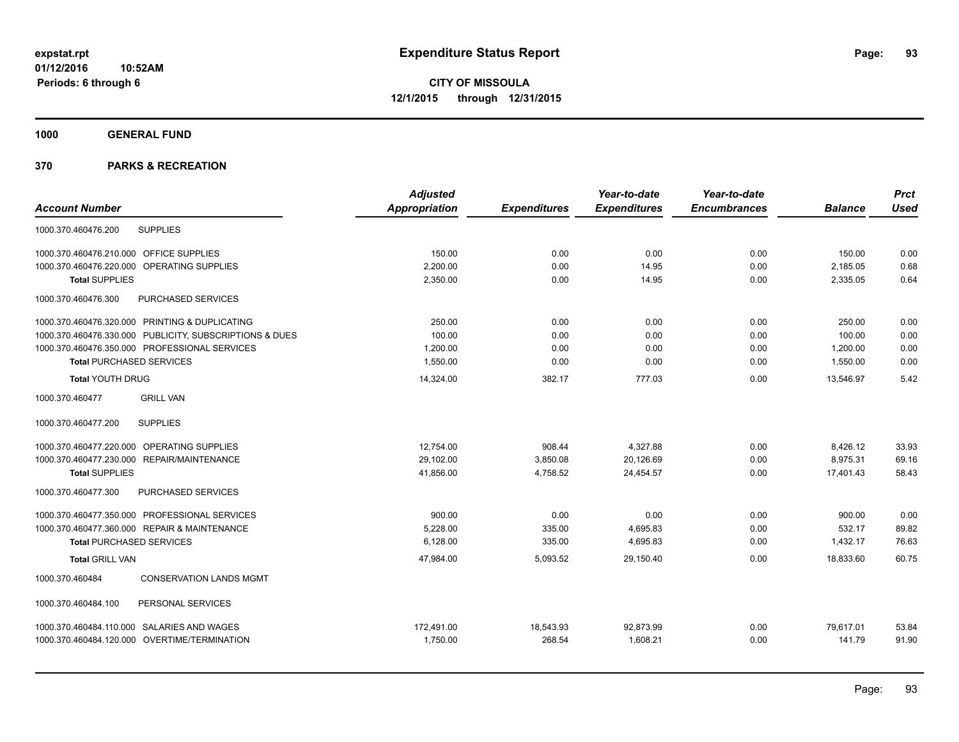**1000 GENERAL FUND**

|                                            |                                                         | <b>Adjusted</b>      |                     | Year-to-date        | Year-to-date        |                | <b>Prct</b> |
|--------------------------------------------|---------------------------------------------------------|----------------------|---------------------|---------------------|---------------------|----------------|-------------|
| <b>Account Number</b>                      |                                                         | <b>Appropriation</b> | <b>Expenditures</b> | <b>Expenditures</b> | <b>Encumbrances</b> | <b>Balance</b> | <b>Used</b> |
| 1000.370.460476.200                        | <b>SUPPLIES</b>                                         |                      |                     |                     |                     |                |             |
| 1000.370.460476.210.000                    | <b>OFFICE SUPPLIES</b>                                  | 150.00               | 0.00                | 0.00                | 0.00                | 150.00         | 0.00        |
| 1000.370.460476.220.000                    | OPERATING SUPPLIES                                      | 2,200.00             | 0.00                | 14.95               | 0.00                | 2,185.05       | 0.68        |
| <b>Total SUPPLIES</b>                      |                                                         | 2,350.00             | 0.00                | 14.95               | 0.00                | 2,335.05       | 0.64        |
| 1000.370.460476.300                        | PURCHASED SERVICES                                      |                      |                     |                     |                     |                |             |
|                                            | 1000.370.460476.320.000 PRINTING & DUPLICATING          | 250.00               | 0.00                | 0.00                | 0.00                | 250.00         | 0.00        |
|                                            | 1000.370.460476.330.000 PUBLICITY, SUBSCRIPTIONS & DUES | 100.00               | 0.00                | 0.00                | 0.00                | 100.00         | 0.00        |
|                                            | 1000.370.460476.350.000 PROFESSIONAL SERVICES           | 1,200.00             | 0.00                | 0.00                | 0.00                | 1,200.00       | 0.00        |
| <b>Total PURCHASED SERVICES</b>            |                                                         | 1,550.00             | 0.00                | 0.00                | 0.00                | 1,550.00       | 0.00        |
| <b>Total YOUTH DRUG</b>                    |                                                         | 14,324.00            | 382.17              | 777.03              | 0.00                | 13.546.97      | 5.42        |
| 1000.370.460477                            | <b>GRILL VAN</b>                                        |                      |                     |                     |                     |                |             |
| 1000.370.460477.200                        | <b>SUPPLIES</b>                                         |                      |                     |                     |                     |                |             |
| 1000.370.460477.220.000 OPERATING SUPPLIES |                                                         | 12,754.00            | 908.44              | 4,327.88            | 0.00                | 8,426.12       | 33.93       |
|                                            | 1000.370.460477.230.000 REPAIR/MAINTENANCE              | 29,102.00            | 3,850.08            | 20,126.69           | 0.00                | 8,975.31       | 69.16       |
| <b>Total SUPPLIES</b>                      |                                                         | 41,856.00            | 4,758.52            | 24,454.57           | 0.00                | 17,401.43      | 58.43       |
| 1000.370.460477.300                        | PURCHASED SERVICES                                      |                      |                     |                     |                     |                |             |
|                                            | 1000.370.460477.350.000 PROFESSIONAL SERVICES           | 900.00               | 0.00                | 0.00                | 0.00                | 900.00         | 0.00        |
|                                            | 1000.370.460477.360.000 REPAIR & MAINTENANCE            | 5,228.00             | 335.00              | 4,695.83            | 0.00                | 532.17         | 89.82       |
| <b>Total PURCHASED SERVICES</b>            |                                                         | 6,128.00             | 335.00              | 4,695.83            | 0.00                | 1,432.17       | 76.63       |
| <b>Total GRILL VAN</b>                     |                                                         | 47,984.00            | 5,093.52            | 29,150.40           | 0.00                | 18,833.60      | 60.75       |
| 1000.370.460484                            | <b>CONSERVATION LANDS MGMT</b>                          |                      |                     |                     |                     |                |             |
| 1000.370.460484.100                        | PERSONAL SERVICES                                       |                      |                     |                     |                     |                |             |
|                                            | 1000.370.460484.110.000 SALARIES AND WAGES              | 172,491.00           | 18,543.93           | 92,873.99           | 0.00                | 79,617.01      | 53.84       |
|                                            | 1000.370.460484.120.000 OVERTIME/TERMINATION            | 1,750.00             | 268.54              | 1,608.21            | 0.00                | 141.79         | 91.90       |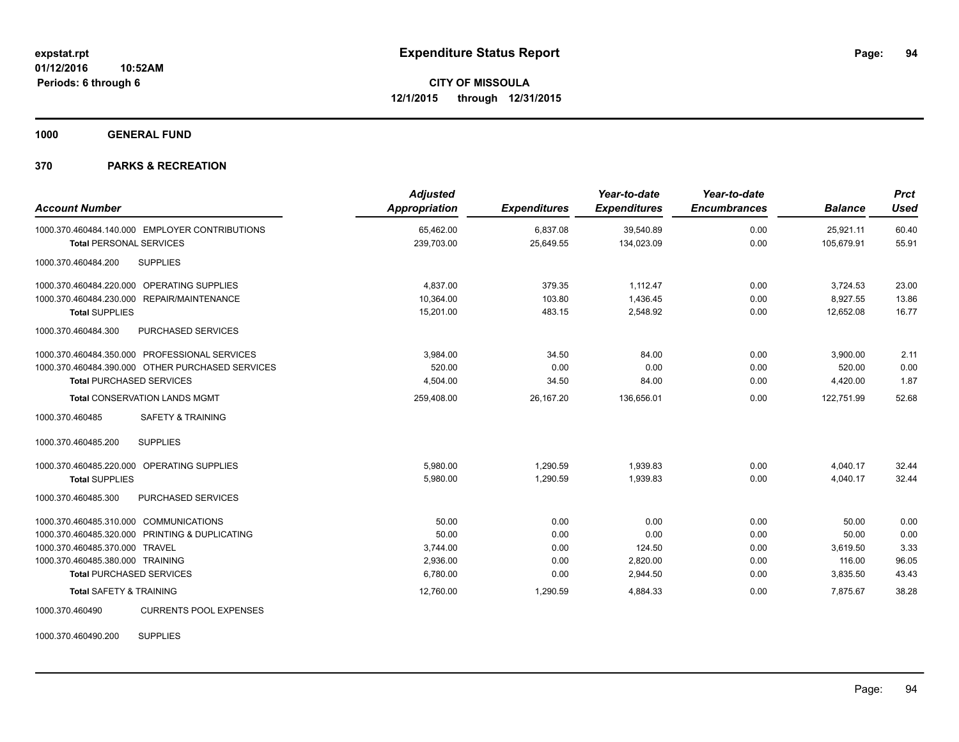**1000 GENERAL FUND**

## **370 PARKS & RECREATION**

| <b>Account Number</b>                                                                                                                                                                             | <b>Adjusted</b><br>Appropriation                   | <b>Expenditures</b>                  | Year-to-date<br><b>Expenditures</b>            | Year-to-date<br><b>Encumbrances</b>  | <b>Balance</b>                                   | <b>Prct</b><br><b>Used</b>             |
|---------------------------------------------------------------------------------------------------------------------------------------------------------------------------------------------------|----------------------------------------------------|--------------------------------------|------------------------------------------------|--------------------------------------|--------------------------------------------------|----------------------------------------|
| 1000.370.460484.140.000 EMPLOYER CONTRIBUTIONS                                                                                                                                                    | 65,462.00                                          | 6,837.08                             | 39,540.89                                      | 0.00                                 | 25,921.11                                        | 60.40                                  |
| <b>Total PERSONAL SERVICES</b><br>1000.370.460484.200<br><b>SUPPLIES</b>                                                                                                                          | 239.703.00                                         | 25.649.55                            | 134,023.09                                     | 0.00                                 | 105.679.91                                       | 55.91                                  |
| 1000.370.460484.220.000 OPERATING SUPPLIES                                                                                                                                                        | 4.837.00                                           | 379.35                               | 1.112.47                                       | 0.00                                 | 3,724.53                                         | 23.00                                  |
| 1000.370.460484.230.000 REPAIR/MAINTENANCE<br><b>Total SUPPLIES</b>                                                                                                                               | 10,364.00<br>15,201.00                             | 103.80<br>483.15                     | 1,436.45<br>2.548.92                           | 0.00<br>0.00                         | 8,927.55<br>12.652.08                            | 13.86<br>16.77                         |
| 1000.370.460484.300<br>PURCHASED SERVICES                                                                                                                                                         |                                                    |                                      |                                                |                                      |                                                  |                                        |
| 1000.370.460484.350.000 PROFESSIONAL SERVICES                                                                                                                                                     | 3,984.00                                           | 34.50                                | 84.00                                          | 0.00                                 | 3,900.00                                         | 2.11                                   |
| 1000.370.460484.390.000 OTHER PURCHASED SERVICES<br><b>Total PURCHASED SERVICES</b>                                                                                                               | 520.00<br>4,504.00                                 | 0.00<br>34.50                        | 0.00<br>84.00                                  | 0.00<br>0.00                         | 520.00<br>4,420.00                               | 0.00<br>1.87                           |
| <b>Total CONSERVATION LANDS MGMT</b>                                                                                                                                                              | 259,408.00                                         | 26,167.20                            | 136,656.01                                     | 0.00                                 | 122,751.99                                       | 52.68                                  |
| <b>SAFETY &amp; TRAINING</b><br>1000.370.460485                                                                                                                                                   |                                                    |                                      |                                                |                                      |                                                  |                                        |
| <b>SUPPLIES</b><br>1000.370.460485.200                                                                                                                                                            |                                                    |                                      |                                                |                                      |                                                  |                                        |
| 1000.370.460485.220.000 OPERATING SUPPLIES<br><b>Total SUPPLIES</b>                                                                                                                               | 5.980.00<br>5,980.00                               | 1.290.59<br>1,290.59                 | 1.939.83<br>1,939.83                           | 0.00<br>0.00                         | 4.040.17<br>4,040.17                             | 32.44<br>32.44                         |
| 1000.370.460485.300<br>PURCHASED SERVICES                                                                                                                                                         |                                                    |                                      |                                                |                                      |                                                  |                                        |
| 1000.370.460485.310.000 COMMUNICATIONS<br>1000.370.460485.320.000 PRINTING & DUPLICATING<br>1000.370.460485.370.000 TRAVEL<br>1000.370.460485.380.000 TRAINING<br><b>Total PURCHASED SERVICES</b> | 50.00<br>50.00<br>3,744.00<br>2,936.00<br>6,780.00 | 0.00<br>0.00<br>0.00<br>0.00<br>0.00 | 0.00<br>0.00<br>124.50<br>2,820.00<br>2,944.50 | 0.00<br>0.00<br>0.00<br>0.00<br>0.00 | 50.00<br>50.00<br>3,619.50<br>116.00<br>3,835.50 | 0.00<br>0.00<br>3.33<br>96.05<br>43.43 |
| <b>Total SAFETY &amp; TRAINING</b>                                                                                                                                                                | 12,760.00                                          | 1,290.59                             | 4,884.33                                       | 0.00                                 | 7,875.67                                         | 38.28                                  |
| 1000.370.460490<br><b>CURRENTS POOL EXPENSES</b>                                                                                                                                                  |                                                    |                                      |                                                |                                      |                                                  |                                        |

1000.370.460490.200 SUPPLIES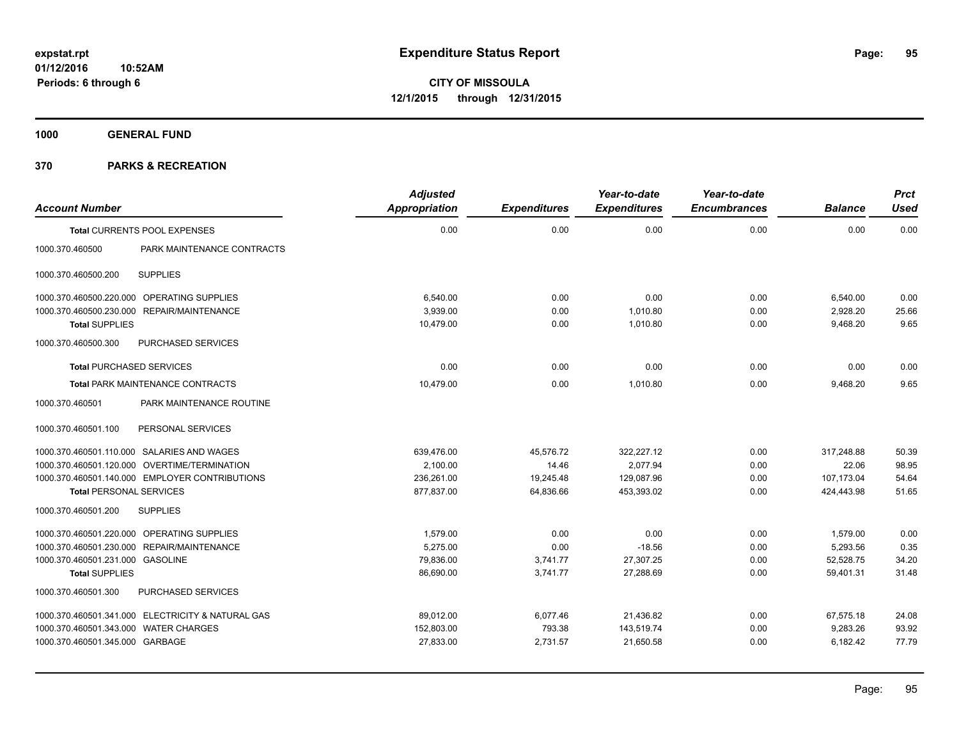**1000 GENERAL FUND**

| <b>Account Number</b>                 |                                                   | <b>Adjusted</b><br><b>Appropriation</b> | <b>Expenditures</b> | Year-to-date<br><b>Expenditures</b> | Year-to-date<br><b>Encumbrances</b> | <b>Balance</b> | <b>Prct</b><br><b>Used</b> |
|---------------------------------------|---------------------------------------------------|-----------------------------------------|---------------------|-------------------------------------|-------------------------------------|----------------|----------------------------|
|                                       | <b>Total CURRENTS POOL EXPENSES</b>               | 0.00                                    | 0.00                | 0.00                                | 0.00                                | 0.00           | 0.00                       |
| 1000.370.460500                       | PARK MAINTENANCE CONTRACTS                        |                                         |                     |                                     |                                     |                |                            |
| 1000.370.460500.200                   | <b>SUPPLIES</b>                                   |                                         |                     |                                     |                                     |                |                            |
|                                       | 1000.370.460500.220.000 OPERATING SUPPLIES        | 6,540.00                                | 0.00                | 0.00                                | 0.00                                | 6,540.00       | 0.00                       |
|                                       | 1000.370.460500.230.000 REPAIR/MAINTENANCE        | 3,939.00                                | 0.00                | 1,010.80                            | 0.00                                | 2,928.20       | 25.66                      |
| <b>Total SUPPLIES</b>                 |                                                   | 10,479.00                               | 0.00                | 1,010.80                            | 0.00                                | 9,468.20       | 9.65                       |
| 1000.370.460500.300                   | PURCHASED SERVICES                                |                                         |                     |                                     |                                     |                |                            |
| <b>Total PURCHASED SERVICES</b>       |                                                   | 0.00                                    | 0.00                | 0.00                                | 0.00                                | 0.00           | 0.00                       |
|                                       | <b>Total PARK MAINTENANCE CONTRACTS</b>           | 10,479.00                               | 0.00                | 1,010.80                            | 0.00                                | 9,468.20       | 9.65                       |
| 1000.370.460501                       | PARK MAINTENANCE ROUTINE                          |                                         |                     |                                     |                                     |                |                            |
| 1000.370.460501.100                   | PERSONAL SERVICES                                 |                                         |                     |                                     |                                     |                |                            |
|                                       | 1000.370.460501.110.000 SALARIES AND WAGES        | 639,476.00                              | 45,576.72           | 322.227.12                          | 0.00                                | 317.248.88     | 50.39                      |
|                                       | 1000.370.460501.120.000 OVERTIME/TERMINATION      | 2,100.00                                | 14.46               | 2,077.94                            | 0.00                                | 22.06          | 98.95                      |
|                                       | 1000.370.460501.140.000 EMPLOYER CONTRIBUTIONS    | 236,261.00                              | 19,245.48           | 129,087.96                          | 0.00                                | 107,173.04     | 54.64                      |
| <b>Total PERSONAL SERVICES</b>        |                                                   | 877,837.00                              | 64,836.66           | 453,393.02                          | 0.00                                | 424,443.98     | 51.65                      |
| 1000.370.460501.200                   | <b>SUPPLIES</b>                                   |                                         |                     |                                     |                                     |                |                            |
|                                       | 1000.370.460501.220.000 OPERATING SUPPLIES        | 1,579.00                                | 0.00                | 0.00                                | 0.00                                | 1,579.00       | 0.00                       |
| 1000.370.460501.230.000               | REPAIR/MAINTENANCE                                | 5.275.00                                | 0.00                | $-18.56$                            | 0.00                                | 5,293.56       | 0.35                       |
| 1000.370.460501.231.000 GASOLINE      |                                                   | 79.836.00                               | 3.741.77            | 27,307.25                           | 0.00                                | 52.528.75      | 34.20                      |
| <b>Total SUPPLIES</b>                 |                                                   | 86,690.00                               | 3,741.77            | 27,288.69                           | 0.00                                | 59,401.31      | 31.48                      |
| 1000.370.460501.300                   | PURCHASED SERVICES                                |                                         |                     |                                     |                                     |                |                            |
|                                       | 1000.370.460501.341.000 ELECTRICITY & NATURAL GAS | 89.012.00                               | 6,077.46            | 21,436.82                           | 0.00                                | 67,575.18      | 24.08                      |
| 1000.370.460501.343.000 WATER CHARGES |                                                   | 152,803.00                              | 793.38              | 143,519.74                          | 0.00                                | 9,283.26       | 93.92                      |
| 1000.370.460501.345.000 GARBAGE       |                                                   | 27,833.00                               | 2,731.57            | 21,650.58                           | 0.00                                | 6,182.42       | 77.79                      |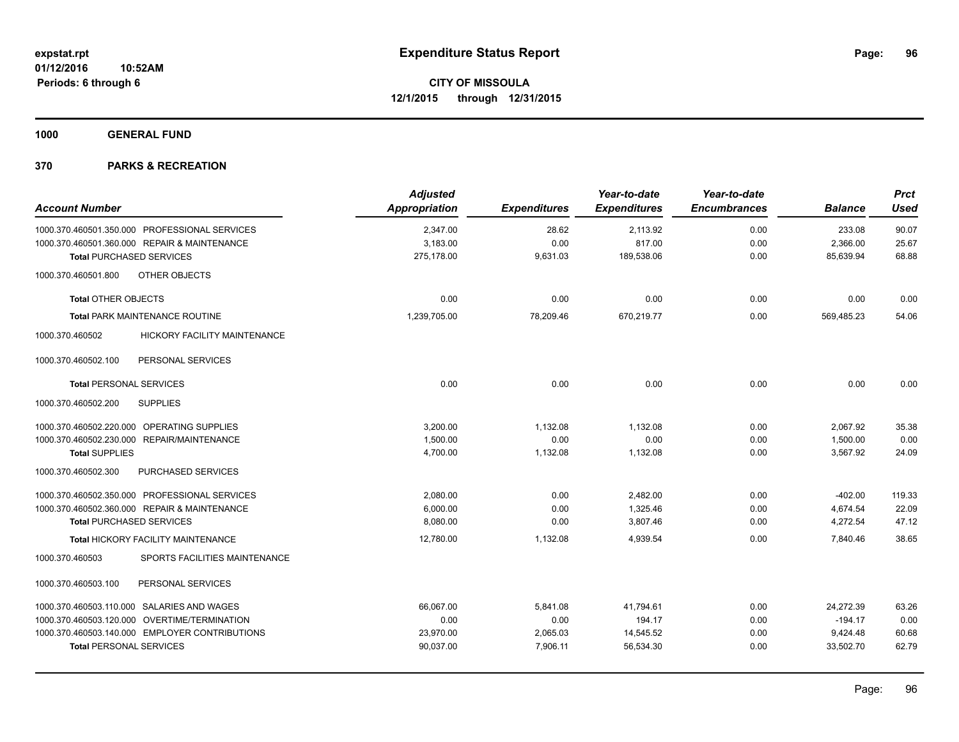**1000 GENERAL FUND**

| <b>Account Number</b>                                  | <b>Adjusted</b><br><b>Appropriation</b> | <b>Expenditures</b> | Year-to-date<br><b>Expenditures</b> | Year-to-date<br><b>Encumbrances</b> | <b>Balance</b> | <b>Prct</b><br><b>Used</b> |
|--------------------------------------------------------|-----------------------------------------|---------------------|-------------------------------------|-------------------------------------|----------------|----------------------------|
| 1000.370.460501.350.000 PROFESSIONAL SERVICES          | 2,347.00                                | 28.62               | 2,113.92                            | 0.00                                | 233.08         | 90.07                      |
| 1000.370.460501.360.000 REPAIR & MAINTENANCE           | 3,183.00                                | 0.00                | 817.00                              | 0.00                                | 2,366.00       | 25.67                      |
| <b>Total PURCHASED SERVICES</b>                        | 275,178.00                              | 9,631.03            | 189,538.06                          | 0.00                                | 85,639.94      | 68.88                      |
| OTHER OBJECTS<br>1000.370.460501.800                   |                                         |                     |                                     |                                     |                |                            |
| <b>Total OTHER OBJECTS</b>                             | 0.00                                    | 0.00                | 0.00                                | 0.00                                | 0.00           | 0.00                       |
| Total PARK MAINTENANCE ROUTINE                         | 1,239,705.00                            | 78,209.46           | 670,219.77                          | 0.00                                | 569,485.23     | 54.06                      |
| 1000.370.460502<br><b>HICKORY FACILITY MAINTENANCE</b> |                                         |                     |                                     |                                     |                |                            |
| 1000.370.460502.100<br>PERSONAL SERVICES               |                                         |                     |                                     |                                     |                |                            |
| <b>Total PERSONAL SERVICES</b>                         | 0.00                                    | 0.00                | 0.00                                | 0.00                                | 0.00           | 0.00                       |
| <b>SUPPLIES</b><br>1000.370.460502.200                 |                                         |                     |                                     |                                     |                |                            |
| 1000.370.460502.220.000 OPERATING SUPPLIES             | 3,200.00                                | 1,132.08            | 1,132.08                            | 0.00                                | 2,067.92       | 35.38                      |
| 1000.370.460502.230.000 REPAIR/MAINTENANCE             | 1,500.00                                | 0.00                | 0.00                                | 0.00                                | 1,500.00       | 0.00                       |
| <b>Total SUPPLIES</b>                                  | 4,700.00                                | 1,132.08            | 1,132.08                            | 0.00                                | 3,567.92       | 24.09                      |
| PURCHASED SERVICES<br>1000.370.460502.300              |                                         |                     |                                     |                                     |                |                            |
| 1000.370.460502.350.000 PROFESSIONAL SERVICES          | 2,080.00                                | 0.00                | 2,482.00                            | 0.00                                | $-402.00$      | 119.33                     |
| 1000.370.460502.360.000 REPAIR & MAINTENANCE           | 6,000.00                                | 0.00                | 1,325.46                            | 0.00                                | 4,674.54       | 22.09                      |
| <b>Total PURCHASED SERVICES</b>                        | 8,080.00                                | 0.00                | 3,807.46                            | 0.00                                | 4,272.54       | 47.12                      |
| <b>Total HICKORY FACILITY MAINTENANCE</b>              | 12,780.00                               | 1,132.08            | 4,939.54                            | 0.00                                | 7,840.46       | 38.65                      |
| SPORTS FACILITIES MAINTENANCE<br>1000.370.460503       |                                         |                     |                                     |                                     |                |                            |
| 1000.370.460503.100<br>PERSONAL SERVICES               |                                         |                     |                                     |                                     |                |                            |
| 1000.370.460503.110.000 SALARIES AND WAGES             | 66.067.00                               | 5,841.08            | 41,794.61                           | 0.00                                | 24.272.39      | 63.26                      |
| 1000.370.460503.120.000 OVERTIME/TERMINATION           | 0.00                                    | 0.00                | 194.17                              | 0.00                                | $-194.17$      | 0.00                       |
| 1000.370.460503.140.000 EMPLOYER CONTRIBUTIONS         | 23.970.00                               | 2,065.03            | 14,545.52                           | 0.00                                | 9,424.48       | 60.68                      |
| <b>Total PERSONAL SERVICES</b>                         | 90,037.00                               | 7,906.11            | 56,534.30                           | 0.00                                | 33,502.70      | 62.79                      |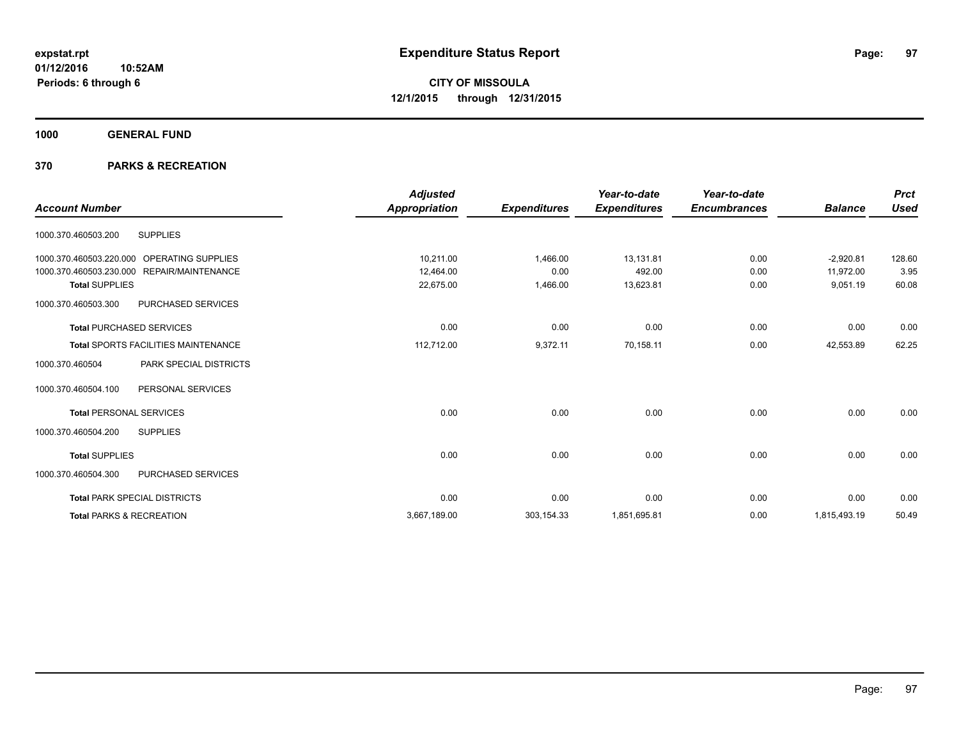**1000 GENERAL FUND**

|                                |                                            | <b>Adjusted</b> |                     | Year-to-date        | Year-to-date        |                | <b>Prct</b> |
|--------------------------------|--------------------------------------------|-----------------|---------------------|---------------------|---------------------|----------------|-------------|
| <b>Account Number</b>          |                                            | Appropriation   | <b>Expenditures</b> | <b>Expenditures</b> | <b>Encumbrances</b> | <b>Balance</b> | <b>Used</b> |
| 1000.370.460503.200            | <b>SUPPLIES</b>                            |                 |                     |                     |                     |                |             |
| 1000.370.460503.220.000        | OPERATING SUPPLIES                         | 10.211.00       | 1,466.00            | 13,131.81           | 0.00                | $-2,920.81$    | 128.60      |
| 1000.370.460503.230.000        | REPAIR/MAINTENANCE                         | 12,464.00       | 0.00                | 492.00              | 0.00                | 11,972.00      | 3.95        |
| <b>Total SUPPLIES</b>          |                                            | 22,675.00       | 1,466.00            | 13,623.81           | 0.00                | 9,051.19       | 60.08       |
| 1000.370.460503.300            | PURCHASED SERVICES                         |                 |                     |                     |                     |                |             |
|                                | <b>Total PURCHASED SERVICES</b>            | 0.00            | 0.00                | 0.00                | 0.00                | 0.00           | 0.00        |
|                                | <b>Total SPORTS FACILITIES MAINTENANCE</b> | 112,712.00      | 9,372.11            | 70,158.11           | 0.00                | 42,553.89      | 62.25       |
| 1000.370.460504                | PARK SPECIAL DISTRICTS                     |                 |                     |                     |                     |                |             |
| 1000.370.460504.100            | PERSONAL SERVICES                          |                 |                     |                     |                     |                |             |
| <b>Total PERSONAL SERVICES</b> |                                            | 0.00            | 0.00                | 0.00                | 0.00                | 0.00           | 0.00        |
| 1000.370.460504.200            | <b>SUPPLIES</b>                            |                 |                     |                     |                     |                |             |
| <b>Total SUPPLIES</b>          |                                            | 0.00            | 0.00                | 0.00                | 0.00                | 0.00           | 0.00        |
| 1000.370.460504.300            | PURCHASED SERVICES                         |                 |                     |                     |                     |                |             |
|                                | <b>Total PARK SPECIAL DISTRICTS</b>        | 0.00            | 0.00                | 0.00                | 0.00                | 0.00           | 0.00        |
|                                | <b>Total PARKS &amp; RECREATION</b>        | 3,667,189.00    | 303,154.33          | 1,851,695.81        | 0.00                | 1,815,493.19   | 50.49       |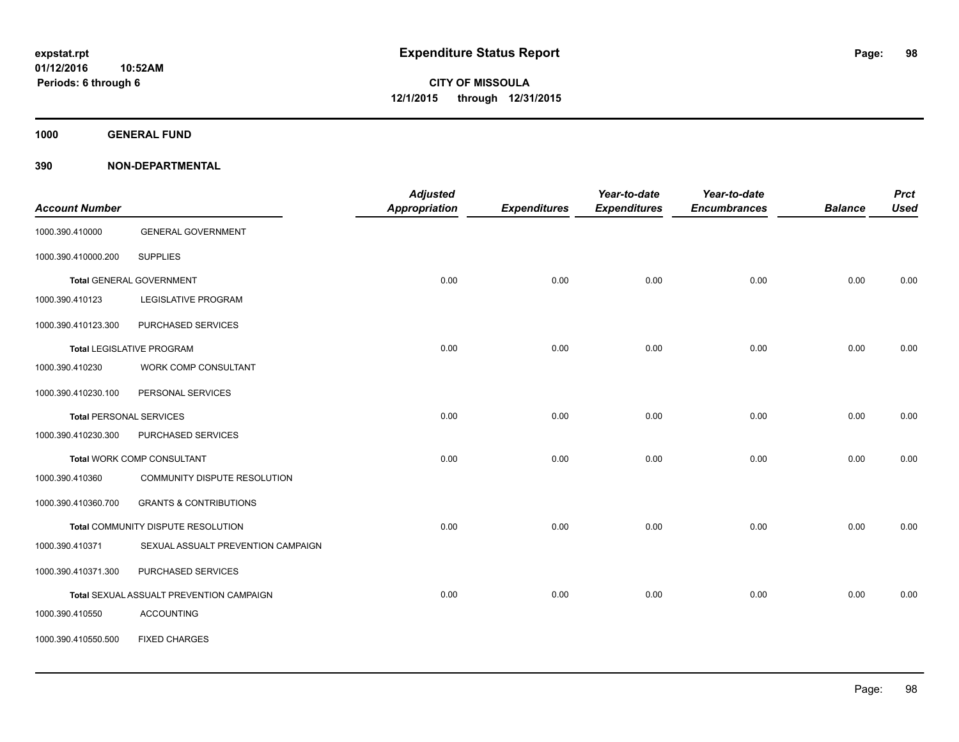**1000 GENERAL FUND**

| <b>Account Number</b> |                                          | <b>Adjusted</b><br><b>Appropriation</b> | <b>Expenditures</b> | Year-to-date<br><b>Expenditures</b> | Year-to-date<br><b>Encumbrances</b> | <b>Balance</b> | <b>Prct</b><br><b>Used</b> |
|-----------------------|------------------------------------------|-----------------------------------------|---------------------|-------------------------------------|-------------------------------------|----------------|----------------------------|
| 1000.390.410000       | <b>GENERAL GOVERNMENT</b>                |                                         |                     |                                     |                                     |                |                            |
| 1000.390.410000.200   | <b>SUPPLIES</b>                          |                                         |                     |                                     |                                     |                |                            |
|                       | <b>Total GENERAL GOVERNMENT</b>          | 0.00                                    | 0.00                | 0.00                                | 0.00                                | 0.00           | 0.00                       |
| 1000.390.410123       | <b>LEGISLATIVE PROGRAM</b>               |                                         |                     |                                     |                                     |                |                            |
| 1000.390.410123.300   | PURCHASED SERVICES                       |                                         |                     |                                     |                                     |                |                            |
|                       | <b>Total LEGISLATIVE PROGRAM</b>         | 0.00                                    | 0.00                | 0.00                                | 0.00                                | 0.00           | 0.00                       |
| 1000.390.410230       | WORK COMP CONSULTANT                     |                                         |                     |                                     |                                     |                |                            |
| 1000.390.410230.100   | PERSONAL SERVICES                        |                                         |                     |                                     |                                     |                |                            |
|                       | <b>Total PERSONAL SERVICES</b>           | 0.00                                    | 0.00                | 0.00                                | 0.00                                | 0.00           | 0.00                       |
| 1000.390.410230.300   | PURCHASED SERVICES                       |                                         |                     |                                     |                                     |                |                            |
|                       | <b>Total WORK COMP CONSULTANT</b>        | 0.00                                    | 0.00                | 0.00                                | 0.00                                | 0.00           | 0.00                       |
| 1000.390.410360       | COMMUNITY DISPUTE RESOLUTION             |                                         |                     |                                     |                                     |                |                            |
| 1000.390.410360.700   | <b>GRANTS &amp; CONTRIBUTIONS</b>        |                                         |                     |                                     |                                     |                |                            |
|                       | Total COMMUNITY DISPUTE RESOLUTION       | 0.00                                    | 0.00                | 0.00                                | 0.00                                | 0.00           | 0.00                       |
| 1000.390.410371       | SEXUAL ASSUALT PREVENTION CAMPAIGN       |                                         |                     |                                     |                                     |                |                            |
| 1000.390.410371.300   | PURCHASED SERVICES                       |                                         |                     |                                     |                                     |                |                            |
|                       | Total SEXUAL ASSUALT PREVENTION CAMPAIGN | 0.00                                    | 0.00                | 0.00                                | 0.00                                | 0.00           | 0.00                       |
| 1000.390.410550       | <b>ACCOUNTING</b>                        |                                         |                     |                                     |                                     |                |                            |
| 1000.390.410550.500   | <b>FIXED CHARGES</b>                     |                                         |                     |                                     |                                     |                |                            |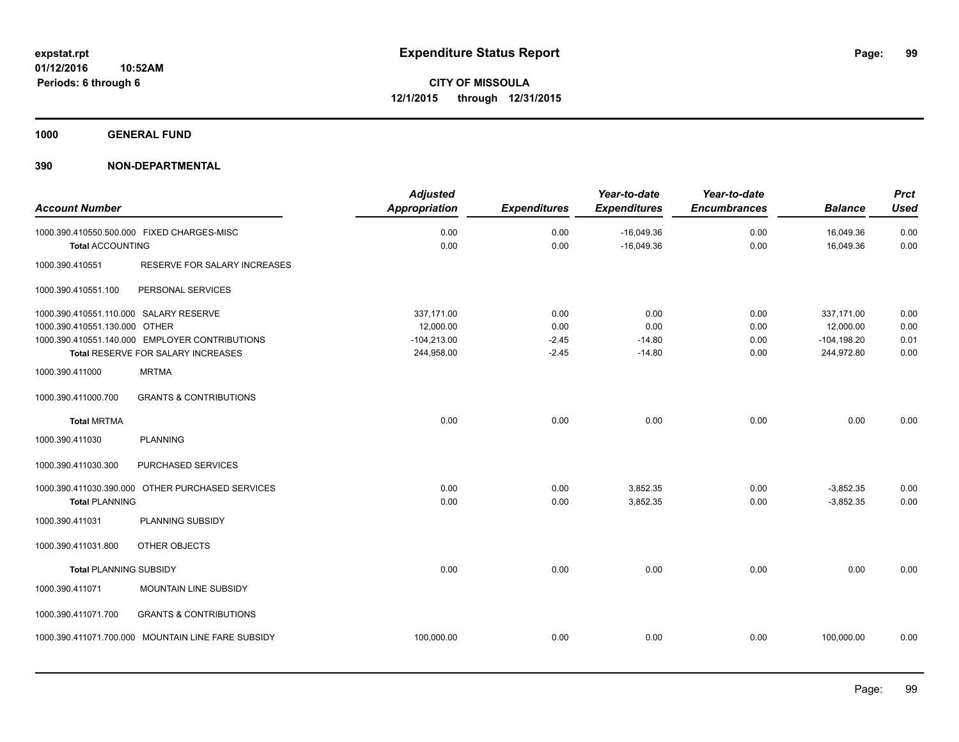**1000 GENERAL FUND**

|                                        |                                                    | <b>Adjusted</b>      |                     | Year-to-date        | Year-to-date        |                | <b>Prct</b> |
|----------------------------------------|----------------------------------------------------|----------------------|---------------------|---------------------|---------------------|----------------|-------------|
| <b>Account Number</b>                  |                                                    | <b>Appropriation</b> | <b>Expenditures</b> | <b>Expenditures</b> | <b>Encumbrances</b> | <b>Balance</b> | <b>Used</b> |
|                                        | 1000.390.410550.500.000 FIXED CHARGES-MISC         | 0.00                 | 0.00                | $-16,049.36$        | 0.00                | 16,049.36      | 0.00        |
| <b>Total ACCOUNTING</b>                |                                                    | 0.00                 | 0.00                | $-16,049.36$        | 0.00                | 16,049.36      | 0.00        |
| 1000.390.410551                        | RESERVE FOR SALARY INCREASES                       |                      |                     |                     |                     |                |             |
| 1000.390.410551.100                    | PERSONAL SERVICES                                  |                      |                     |                     |                     |                |             |
| 1000.390.410551.110.000 SALARY RESERVE |                                                    | 337,171.00           | 0.00                | 0.00                | 0.00                | 337,171.00     | 0.00        |
| 1000.390.410551.130.000 OTHER          |                                                    | 12,000.00            | 0.00                | 0.00                | 0.00                | 12,000.00      | 0.00        |
|                                        | 1000.390.410551.140.000 EMPLOYER CONTRIBUTIONS     | $-104,213.00$        | $-2.45$             | $-14.80$            | 0.00                | $-104, 198.20$ | 0.01        |
|                                        | Total RESERVE FOR SALARY INCREASES                 | 244,958.00           | $-2.45$             | $-14.80$            | 0.00                | 244,972.80     | 0.00        |
| 1000.390.411000                        | <b>MRTMA</b>                                       |                      |                     |                     |                     |                |             |
| 1000.390.411000.700                    | <b>GRANTS &amp; CONTRIBUTIONS</b>                  |                      |                     |                     |                     |                |             |
| <b>Total MRTMA</b>                     |                                                    | 0.00                 | 0.00                | 0.00                | 0.00                | 0.00           | 0.00        |
| 1000.390.411030                        | <b>PLANNING</b>                                    |                      |                     |                     |                     |                |             |
| 1000.390.411030.300                    | PURCHASED SERVICES                                 |                      |                     |                     |                     |                |             |
|                                        | 1000.390.411030.390.000 OTHER PURCHASED SERVICES   | 0.00                 | 0.00                | 3,852.35            | 0.00                | $-3,852.35$    | 0.00        |
| <b>Total PLANNING</b>                  |                                                    | 0.00                 | 0.00                | 3,852.35            | 0.00                | $-3,852.35$    | 0.00        |
| 1000.390.411031                        | PLANNING SUBSIDY                                   |                      |                     |                     |                     |                |             |
| 1000.390.411031.800                    | OTHER OBJECTS                                      |                      |                     |                     |                     |                |             |
| <b>Total PLANNING SUBSIDY</b>          |                                                    | 0.00                 | 0.00                | 0.00                | 0.00                | 0.00           | 0.00        |
| 1000.390.411071                        | MOUNTAIN LINE SUBSIDY                              |                      |                     |                     |                     |                |             |
| 1000.390.411071.700                    | <b>GRANTS &amp; CONTRIBUTIONS</b>                  |                      |                     |                     |                     |                |             |
|                                        | 1000.390.411071.700.000 MOUNTAIN LINE FARE SUBSIDY | 100,000.00           | 0.00                | 0.00                | 0.00                | 100,000.00     | 0.00        |
|                                        |                                                    |                      |                     |                     |                     |                |             |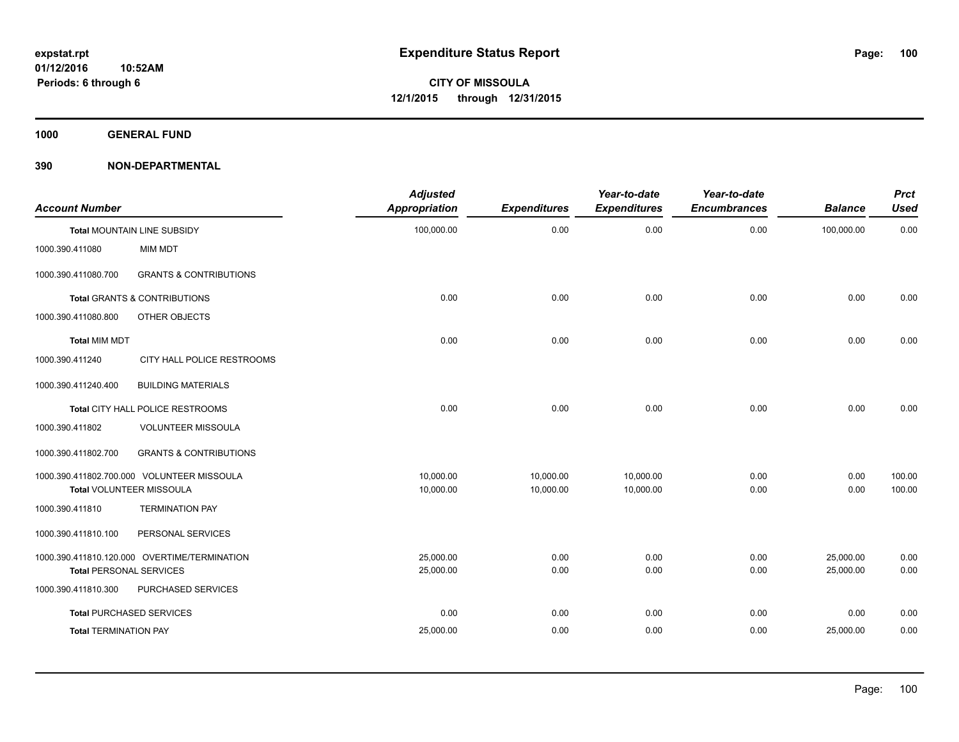**1000 GENERAL FUND**

| <b>Account Number</b>          |                                              | <b>Adjusted</b><br><b>Appropriation</b> | <b>Expenditures</b> | Year-to-date<br><b>Expenditures</b> | Year-to-date<br><b>Encumbrances</b> | <b>Balance</b> | <b>Prct</b><br><b>Used</b> |
|--------------------------------|----------------------------------------------|-----------------------------------------|---------------------|-------------------------------------|-------------------------------------|----------------|----------------------------|
|                                | <b>Total MOUNTAIN LINE SUBSIDY</b>           | 100,000.00                              | 0.00                | 0.00                                | 0.00                                | 100,000.00     | 0.00                       |
| 1000.390.411080                | <b>MIM MDT</b>                               |                                         |                     |                                     |                                     |                |                            |
| 1000.390.411080.700            | <b>GRANTS &amp; CONTRIBUTIONS</b>            |                                         |                     |                                     |                                     |                |                            |
|                                | <b>Total GRANTS &amp; CONTRIBUTIONS</b>      | 0.00                                    | 0.00                | 0.00                                | 0.00                                | 0.00           | 0.00                       |
| 1000.390.411080.800            | OTHER OBJECTS                                |                                         |                     |                                     |                                     |                |                            |
| <b>Total MIM MDT</b>           |                                              | 0.00                                    | 0.00                | 0.00                                | 0.00                                | 0.00           | 0.00                       |
| 1000.390.411240                | CITY HALL POLICE RESTROOMS                   |                                         |                     |                                     |                                     |                |                            |
| 1000.390.411240.400            | <b>BUILDING MATERIALS</b>                    |                                         |                     |                                     |                                     |                |                            |
|                                | Total CITY HALL POLICE RESTROOMS             | 0.00                                    | 0.00                | 0.00                                | 0.00                                | 0.00           | 0.00                       |
| 1000.390.411802                | <b>VOLUNTEER MISSOULA</b>                    |                                         |                     |                                     |                                     |                |                            |
| 1000.390.411802.700            | <b>GRANTS &amp; CONTRIBUTIONS</b>            |                                         |                     |                                     |                                     |                |                            |
|                                | 1000.390.411802.700.000 VOLUNTEER MISSOULA   | 10,000.00                               | 10,000.00           | 10,000.00                           | 0.00                                | 0.00           | 100.00                     |
|                                | Total VOLUNTEER MISSOULA                     | 10,000.00                               | 10,000.00           | 10,000.00                           | 0.00                                | 0.00           | 100.00                     |
| 1000.390.411810                | <b>TERMINATION PAY</b>                       |                                         |                     |                                     |                                     |                |                            |
| 1000.390.411810.100            | PERSONAL SERVICES                            |                                         |                     |                                     |                                     |                |                            |
|                                | 1000.390.411810.120.000 OVERTIME/TERMINATION | 25,000.00                               | 0.00                | 0.00                                | 0.00                                | 25,000.00      | 0.00                       |
| <b>Total PERSONAL SERVICES</b> |                                              | 25,000.00                               | 0.00                | 0.00                                | 0.00                                | 25,000.00      | 0.00                       |
| 1000.390.411810.300            | PURCHASED SERVICES                           |                                         |                     |                                     |                                     |                |                            |
|                                | <b>Total PURCHASED SERVICES</b>              | 0.00                                    | 0.00                | 0.00                                | 0.00                                | 0.00           | 0.00                       |
| <b>Total TERMINATION PAY</b>   |                                              | 25,000.00                               | 0.00                | 0.00                                | 0.00                                | 25,000.00      | 0.00                       |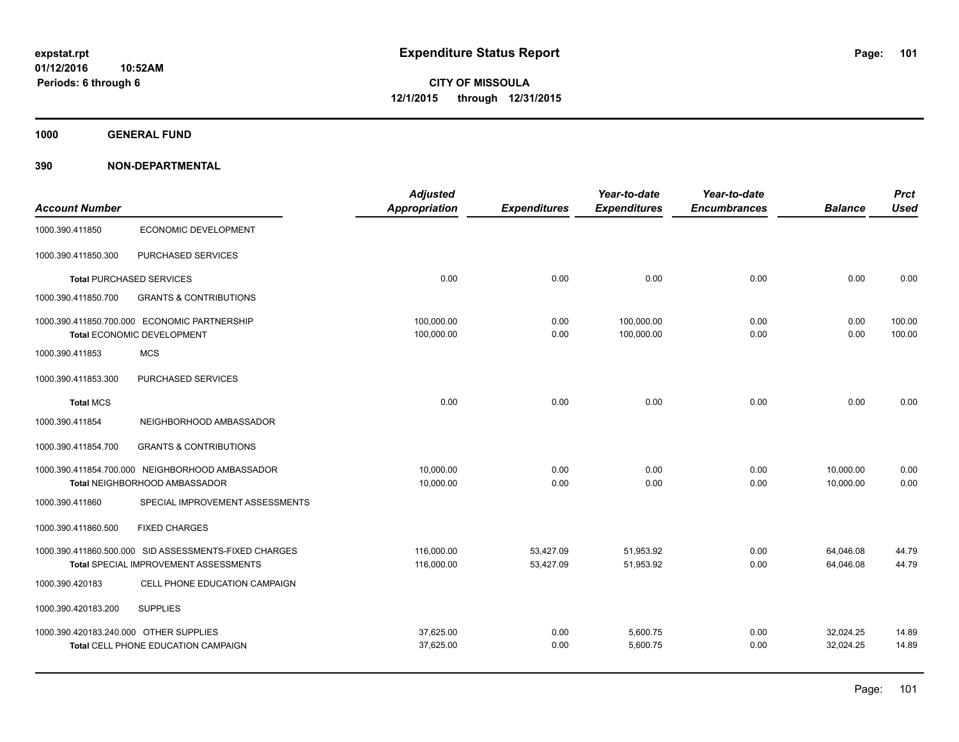**1000 GENERAL FUND**

|                                        |                                                                                                       | <b>Adjusted</b>          |                        | Year-to-date             | Year-to-date        |                        | <b>Prct</b>      |
|----------------------------------------|-------------------------------------------------------------------------------------------------------|--------------------------|------------------------|--------------------------|---------------------|------------------------|------------------|
| <b>Account Number</b>                  |                                                                                                       | <b>Appropriation</b>     | <b>Expenditures</b>    | <b>Expenditures</b>      | <b>Encumbrances</b> | <b>Balance</b>         | <b>Used</b>      |
| 1000.390.411850                        | ECONOMIC DEVELOPMENT                                                                                  |                          |                        |                          |                     |                        |                  |
| 1000.390.411850.300                    | PURCHASED SERVICES                                                                                    |                          |                        |                          |                     |                        |                  |
|                                        | <b>Total PURCHASED SERVICES</b>                                                                       | 0.00                     | 0.00                   | 0.00                     | 0.00                | 0.00                   | 0.00             |
| 1000.390.411850.700                    | <b>GRANTS &amp; CONTRIBUTIONS</b>                                                                     |                          |                        |                          |                     |                        |                  |
|                                        | 1000.390.411850.700.000 ECONOMIC PARTNERSHIP<br>Total ECONOMIC DEVELOPMENT                            | 100,000.00<br>100,000.00 | 0.00<br>0.00           | 100,000.00<br>100,000.00 | 0.00<br>0.00        | 0.00<br>0.00           | 100.00<br>100.00 |
| 1000.390.411853                        | <b>MCS</b>                                                                                            |                          |                        |                          |                     |                        |                  |
| 1000.390.411853.300                    | PURCHASED SERVICES                                                                                    |                          |                        |                          |                     |                        |                  |
| <b>Total MCS</b>                       |                                                                                                       | 0.00                     | 0.00                   | 0.00                     | 0.00                | 0.00                   | 0.00             |
| 1000.390.411854                        | NEIGHBORHOOD AMBASSADOR                                                                               |                          |                        |                          |                     |                        |                  |
| 1000.390.411854.700                    | <b>GRANTS &amp; CONTRIBUTIONS</b>                                                                     |                          |                        |                          |                     |                        |                  |
|                                        | 1000.390.411854.700.000 NEIGHBORHOOD AMBASSADOR<br>Total NEIGHBORHOOD AMBASSADOR                      | 10.000.00<br>10,000.00   | 0.00<br>0.00           | 0.00<br>0.00             | 0.00<br>0.00        | 10.000.00<br>10,000.00 | 0.00<br>0.00     |
| 1000.390.411860                        | SPECIAL IMPROVEMENT ASSESSMENTS                                                                       |                          |                        |                          |                     |                        |                  |
| 1000.390.411860.500                    | <b>FIXED CHARGES</b>                                                                                  |                          |                        |                          |                     |                        |                  |
|                                        | 1000.390.411860.500.000 SID ASSESSMENTS-FIXED CHARGES<br><b>Total SPECIAL IMPROVEMENT ASSESSMENTS</b> | 116,000.00<br>116,000.00 | 53,427.09<br>53,427.09 | 51,953.92<br>51,953.92   | 0.00<br>0.00        | 64,046.08<br>64,046.08 | 44.79<br>44.79   |
| 1000.390.420183                        | CELL PHONE EDUCATION CAMPAIGN                                                                         |                          |                        |                          |                     |                        |                  |
| 1000.390.420183.200                    | <b>SUPPLIES</b>                                                                                       |                          |                        |                          |                     |                        |                  |
| 1000.390.420183.240.000 OTHER SUPPLIES | Total CELL PHONE EDUCATION CAMPAIGN                                                                   | 37,625.00<br>37,625.00   | 0.00<br>0.00           | 5,600.75<br>5,600.75     | 0.00<br>0.00        | 32,024.25<br>32,024.25 | 14.89<br>14.89   |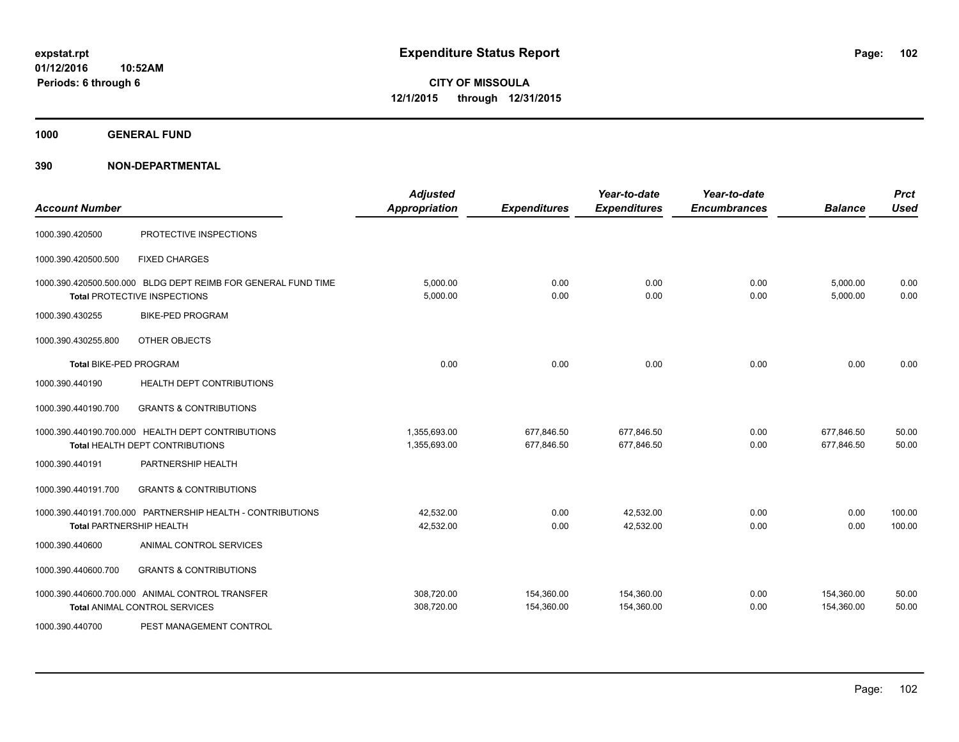**1000 GENERAL FUND**

| <b>Account Number</b>         |                                                                                                      | <b>Adjusted</b><br><b>Appropriation</b> | <b>Expenditures</b>      | Year-to-date<br><b>Expenditures</b> | Year-to-date<br><b>Encumbrances</b> | <b>Balance</b>           | <b>Prct</b><br><b>Used</b> |
|-------------------------------|------------------------------------------------------------------------------------------------------|-----------------------------------------|--------------------------|-------------------------------------|-------------------------------------|--------------------------|----------------------------|
| 1000.390.420500               | PROTECTIVE INSPECTIONS                                                                               |                                         |                          |                                     |                                     |                          |                            |
| 1000.390.420500.500           | <b>FIXED CHARGES</b>                                                                                 |                                         |                          |                                     |                                     |                          |                            |
|                               | 1000.390.420500.500.000 BLDG DEPT REIMB FOR GENERAL FUND TIME<br><b>Total PROTECTIVE INSPECTIONS</b> | 5,000.00<br>5,000.00                    | 0.00<br>0.00             | 0.00<br>0.00                        | 0.00<br>0.00                        | 5,000.00<br>5,000.00     | 0.00<br>0.00               |
| 1000.390.430255               | <b>BIKE-PED PROGRAM</b>                                                                              |                                         |                          |                                     |                                     |                          |                            |
| 1000.390.430255.800           | OTHER OBJECTS                                                                                        |                                         |                          |                                     |                                     |                          |                            |
| <b>Total BIKE-PED PROGRAM</b> |                                                                                                      | 0.00                                    | 0.00                     | 0.00                                | 0.00                                | 0.00                     | 0.00                       |
| 1000.390.440190               | HEALTH DEPT CONTRIBUTIONS                                                                            |                                         |                          |                                     |                                     |                          |                            |
| 1000.390.440190.700           | <b>GRANTS &amp; CONTRIBUTIONS</b>                                                                    |                                         |                          |                                     |                                     |                          |                            |
|                               | 1000.390.440190.700.000 HEALTH DEPT CONTRIBUTIONS<br>Total HEALTH DEPT CONTRIBUTIONS                 | 1,355,693.00<br>1,355,693.00            | 677,846.50<br>677,846.50 | 677.846.50<br>677,846.50            | 0.00<br>0.00                        | 677,846.50<br>677,846.50 | 50.00<br>50.00             |
| 1000.390.440191               | PARTNERSHIP HEALTH                                                                                   |                                         |                          |                                     |                                     |                          |                            |
| 1000.390.440191.700           | <b>GRANTS &amp; CONTRIBUTIONS</b>                                                                    |                                         |                          |                                     |                                     |                          |                            |
|                               | 1000.390.440191.700.000 PARTNERSHIP HEALTH - CONTRIBUTIONS<br><b>Total PARTNERSHIP HEALTH</b>        | 42,532.00<br>42,532.00                  | 0.00<br>0.00             | 42,532.00<br>42,532.00              | 0.00<br>0.00                        | 0.00<br>0.00             | 100.00<br>100.00           |
| 1000.390.440600               | ANIMAL CONTROL SERVICES                                                                              |                                         |                          |                                     |                                     |                          |                            |
| 1000.390.440600.700           | <b>GRANTS &amp; CONTRIBUTIONS</b>                                                                    |                                         |                          |                                     |                                     |                          |                            |
|                               | 1000.390.440600.700.000 ANIMAL CONTROL TRANSFER<br>Total ANIMAL CONTROL SERVICES                     | 308,720.00<br>308,720.00                | 154,360.00<br>154,360.00 | 154,360.00<br>154,360.00            | 0.00<br>0.00                        | 154,360.00<br>154.360.00 | 50.00<br>50.00             |
| 1000.390.440700               | PEST MANAGEMENT CONTROL                                                                              |                                         |                          |                                     |                                     |                          |                            |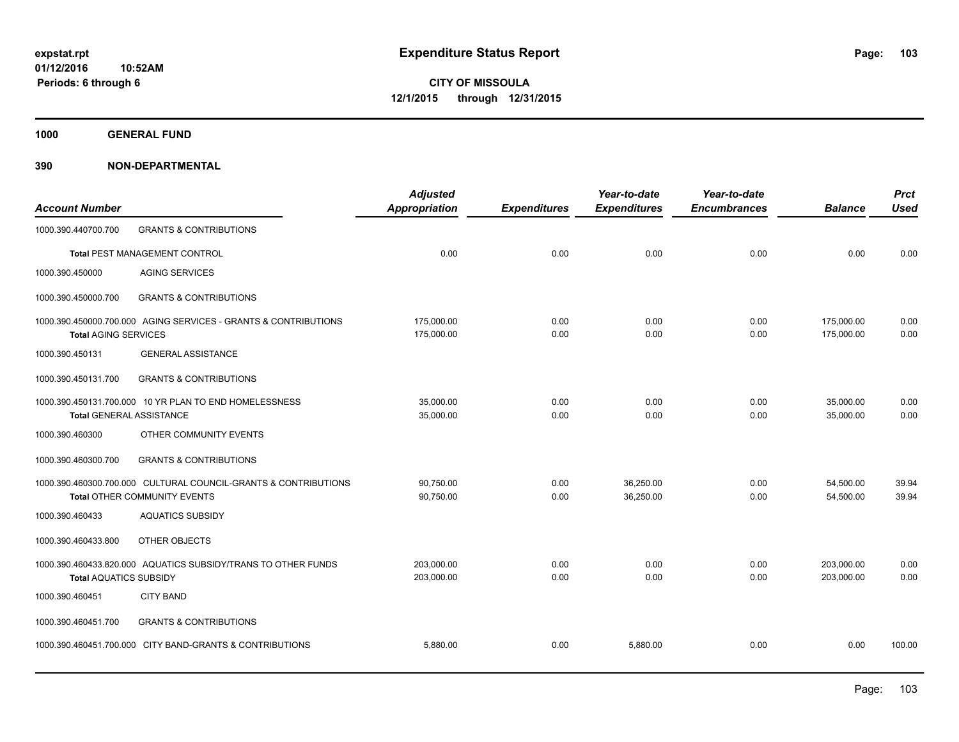**1000 GENERAL FUND**

| <b>Account Number</b>         |                                                                                                 | <b>Adjusted</b><br><b>Appropriation</b> | <b>Expenditures</b> | Year-to-date<br><b>Expenditures</b> | Year-to-date<br><b>Encumbrances</b> | <b>Balance</b>           | <b>Prct</b><br><b>Used</b> |
|-------------------------------|-------------------------------------------------------------------------------------------------|-----------------------------------------|---------------------|-------------------------------------|-------------------------------------|--------------------------|----------------------------|
| 1000.390.440700.700           | <b>GRANTS &amp; CONTRIBUTIONS</b>                                                               |                                         |                     |                                     |                                     |                          |                            |
|                               | Total PEST MANAGEMENT CONTROL                                                                   | 0.00                                    | 0.00                | 0.00                                | 0.00                                | 0.00                     | 0.00                       |
| 1000.390.450000               | <b>AGING SERVICES</b>                                                                           |                                         |                     |                                     |                                     |                          |                            |
| 1000.390.450000.700           | <b>GRANTS &amp; CONTRIBUTIONS</b>                                                               |                                         |                     |                                     |                                     |                          |                            |
| <b>Total AGING SERVICES</b>   | 1000.390.450000.700.000 AGING SERVICES - GRANTS & CONTRIBUTIONS                                 | 175,000.00<br>175,000.00                | 0.00<br>0.00        | 0.00<br>0.00                        | 0.00<br>0.00                        | 175,000.00<br>175,000.00 | 0.00<br>0.00               |
| 1000.390.450131               | <b>GENERAL ASSISTANCE</b>                                                                       |                                         |                     |                                     |                                     |                          |                            |
| 1000.390.450131.700           | <b>GRANTS &amp; CONTRIBUTIONS</b>                                                               |                                         |                     |                                     |                                     |                          |                            |
| Total GENERAL ASSISTANCE      | 1000.390.450131.700.000 10 YR PLAN TO END HOMELESSNESS                                          | 35,000.00<br>35,000.00                  | 0.00<br>0.00        | 0.00<br>0.00                        | 0.00<br>0.00                        | 35,000.00<br>35,000.00   | 0.00<br>0.00               |
| 1000.390.460300               | OTHER COMMUNITY EVENTS                                                                          |                                         |                     |                                     |                                     |                          |                            |
| 1000.390.460300.700           | <b>GRANTS &amp; CONTRIBUTIONS</b>                                                               |                                         |                     |                                     |                                     |                          |                            |
|                               | 1000.390.460300.700.000 CULTURAL COUNCIL-GRANTS & CONTRIBUTIONS<br>Total OTHER COMMUNITY EVENTS | 90.750.00<br>90,750.00                  | 0.00<br>0.00        | 36.250.00<br>36,250.00              | 0.00<br>0.00                        | 54,500.00<br>54,500.00   | 39.94<br>39.94             |
| 1000.390.460433               | <b>AQUATICS SUBSIDY</b>                                                                         |                                         |                     |                                     |                                     |                          |                            |
| 1000.390.460433.800           | OTHER OBJECTS                                                                                   |                                         |                     |                                     |                                     |                          |                            |
| <b>Total AQUATICS SUBSIDY</b> | 1000.390.460433.820.000 AQUATICS SUBSIDY/TRANS TO OTHER FUNDS                                   | 203,000.00<br>203.000.00                | 0.00<br>0.00        | 0.00<br>0.00                        | 0.00<br>0.00                        | 203,000.00<br>203.000.00 | 0.00<br>0.00               |
| 1000.390.460451               | <b>CITY BAND</b>                                                                                |                                         |                     |                                     |                                     |                          |                            |
| 1000.390.460451.700           | <b>GRANTS &amp; CONTRIBUTIONS</b>                                                               |                                         |                     |                                     |                                     |                          |                            |
|                               | 1000.390.460451.700.000 CITY BAND-GRANTS & CONTRIBUTIONS                                        | 5,880.00                                | 0.00                | 5,880.00                            | 0.00                                | 0.00                     | 100.00                     |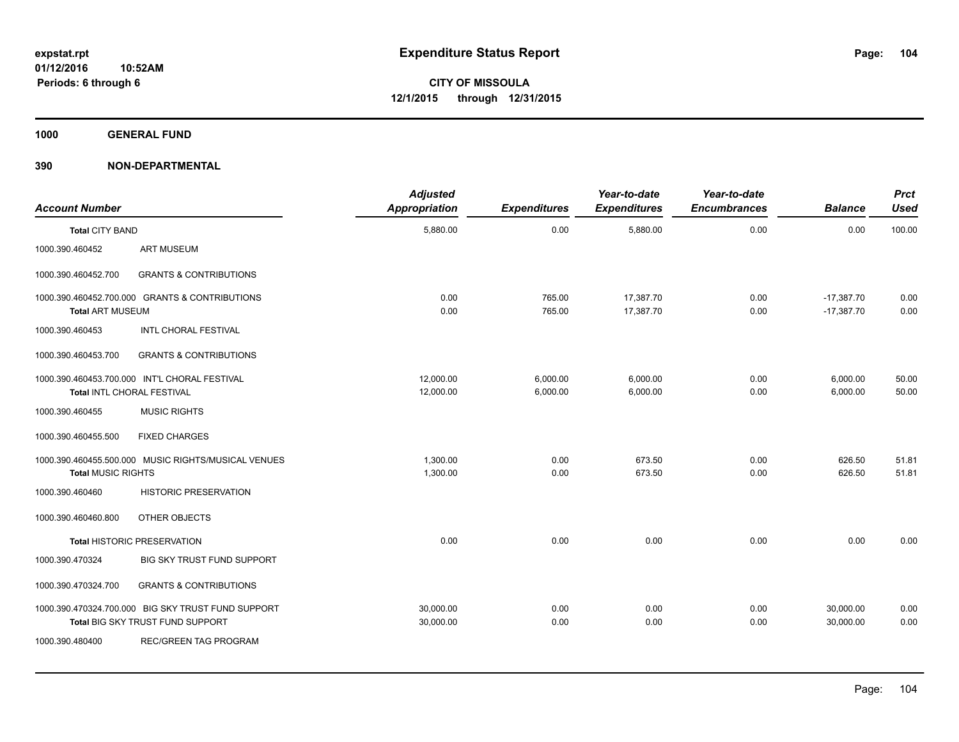**1000 GENERAL FUND**

| <b>Account Number</b>                                                     |                                                                                        | <b>Adjusted</b><br>Appropriation | <b>Expenditures</b>  | Year-to-date<br><b>Expenditures</b> | Year-to-date<br><b>Encumbrances</b> | <b>Balance</b>               | <b>Prct</b><br><b>Used</b> |
|---------------------------------------------------------------------------|----------------------------------------------------------------------------------------|----------------------------------|----------------------|-------------------------------------|-------------------------------------|------------------------------|----------------------------|
| <b>Total CITY BAND</b>                                                    |                                                                                        | 5,880.00                         | 0.00                 | 5,880.00                            | 0.00                                | 0.00                         | 100.00                     |
| 1000.390.460452                                                           | <b>ART MUSEUM</b>                                                                      |                                  |                      |                                     |                                     |                              |                            |
| 1000.390.460452.700                                                       | <b>GRANTS &amp; CONTRIBUTIONS</b>                                                      |                                  |                      |                                     |                                     |                              |                            |
| 1000.390.460452.700.000 GRANTS & CONTRIBUTIONS<br><b>Total ART MUSEUM</b> |                                                                                        | 0.00<br>0.00                     | 765.00<br>765.00     | 17,387.70<br>17,387.70              | 0.00<br>0.00                        | $-17,387.70$<br>$-17,387.70$ | 0.00<br>0.00               |
| 1000.390.460453                                                           | <b>INTL CHORAL FESTIVAL</b>                                                            |                                  |                      |                                     |                                     |                              |                            |
| 1000.390.460453.700                                                       | <b>GRANTS &amp; CONTRIBUTIONS</b>                                                      |                                  |                      |                                     |                                     |                              |                            |
|                                                                           | 1000.390.460453.700.000 INT'L CHORAL FESTIVAL<br>Total INTL CHORAL FESTIVAL            | 12,000.00<br>12,000.00           | 6,000.00<br>6,000.00 | 6,000.00<br>6,000.00                | 0.00<br>0.00                        | 6,000.00<br>6,000.00         | 50.00<br>50.00             |
| 1000.390.460455                                                           | <b>MUSIC RIGHTS</b>                                                                    |                                  |                      |                                     |                                     |                              |                            |
| 1000.390.460455.500                                                       | <b>FIXED CHARGES</b>                                                                   |                                  |                      |                                     |                                     |                              |                            |
| <b>Total MUSIC RIGHTS</b>                                                 | 1000.390.460455.500.000 MUSIC RIGHTS/MUSICAL VENUES                                    | 1,300.00<br>1,300.00             | 0.00<br>0.00         | 673.50<br>673.50                    | 0.00<br>0.00                        | 626.50<br>626.50             | 51.81<br>51.81             |
| 1000.390.460460                                                           | <b>HISTORIC PRESERVATION</b>                                                           |                                  |                      |                                     |                                     |                              |                            |
| 1000.390.460460.800                                                       | OTHER OBJECTS                                                                          |                                  |                      |                                     |                                     |                              |                            |
|                                                                           | <b>Total HISTORIC PRESERVATION</b>                                                     | 0.00                             | 0.00                 | 0.00                                | 0.00                                | 0.00                         | 0.00                       |
| 1000.390.470324                                                           | BIG SKY TRUST FUND SUPPORT                                                             |                                  |                      |                                     |                                     |                              |                            |
| 1000.390.470324.700                                                       | <b>GRANTS &amp; CONTRIBUTIONS</b>                                                      |                                  |                      |                                     |                                     |                              |                            |
|                                                                           | 1000.390.470324.700.000 BIG SKY TRUST FUND SUPPORT<br>Total BIG SKY TRUST FUND SUPPORT | 30,000.00<br>30,000.00           | 0.00<br>0.00         | 0.00<br>0.00                        | 0.00<br>0.00                        | 30,000.00<br>30,000.00       | 0.00<br>0.00               |
| 1000.390.480400                                                           | <b>REC/GREEN TAG PROGRAM</b>                                                           |                                  |                      |                                     |                                     |                              |                            |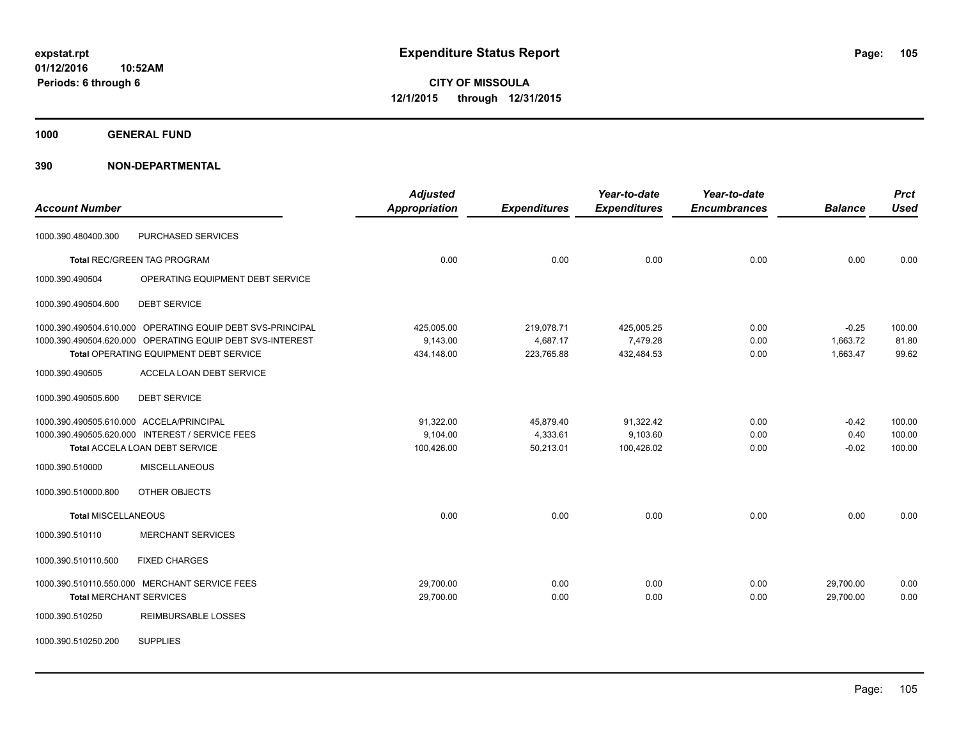**1000 GENERAL FUND**

| <b>Account Number</b>                    |                                                            | <b>Adjusted</b><br>Appropriation | <b>Expenditures</b> | Year-to-date<br><b>Expenditures</b> | Year-to-date<br><b>Encumbrances</b> | <b>Balance</b> | <b>Prct</b><br><b>Used</b> |
|------------------------------------------|------------------------------------------------------------|----------------------------------|---------------------|-------------------------------------|-------------------------------------|----------------|----------------------------|
| 1000.390.480400.300                      | PURCHASED SERVICES                                         |                                  |                     |                                     |                                     |                |                            |
|                                          | <b>Total REC/GREEN TAG PROGRAM</b>                         | 0.00                             | 0.00                | 0.00                                | 0.00                                | 0.00           | 0.00                       |
| 1000.390.490504                          | OPERATING EQUIPMENT DEBT SERVICE                           |                                  |                     |                                     |                                     |                |                            |
| 1000.390.490504.600                      | <b>DEBT SERVICE</b>                                        |                                  |                     |                                     |                                     |                |                            |
|                                          | 1000.390.490504.610.000 OPERATING EQUIP DEBT SVS-PRINCIPAL | 425,005.00                       | 219,078.71          | 425,005.25                          | 0.00                                | $-0.25$        | 100.00                     |
|                                          | 1000.390.490504.620.000 OPERATING EQUIP DEBT SVS-INTEREST  | 9,143.00                         | 4,687.17            | 7,479.28                            | 0.00                                | 1,663.72       | 81.80                      |
|                                          | Total OPERATING EQUIPMENT DEBT SERVICE                     | 434,148.00                       | 223,765.88          | 432,484.53                          | 0.00                                | 1,663.47       | 99.62                      |
| 1000.390.490505                          | ACCELA LOAN DEBT SERVICE                                   |                                  |                     |                                     |                                     |                |                            |
| 1000.390.490505.600                      | <b>DEBT SERVICE</b>                                        |                                  |                     |                                     |                                     |                |                            |
| 1000.390.490505.610.000 ACCELA/PRINCIPAL |                                                            | 91,322.00                        | 45,879.40           | 91,322.42                           | 0.00                                | $-0.42$        | 100.00                     |
|                                          | 1000.390.490505.620.000 INTEREST / SERVICE FEES            | 9,104.00                         | 4,333.61            | 9,103.60                            | 0.00                                | 0.40           | 100.00                     |
|                                          | <b>Total ACCELA LOAN DEBT SERVICE</b>                      | 100,426.00                       | 50,213.01           | 100,426.02                          | 0.00                                | $-0.02$        | 100.00                     |
| 1000.390.510000                          | <b>MISCELLANEOUS</b>                                       |                                  |                     |                                     |                                     |                |                            |
| 1000.390.510000.800                      | OTHER OBJECTS                                              |                                  |                     |                                     |                                     |                |                            |
| <b>Total MISCELLANEOUS</b>               |                                                            | 0.00                             | 0.00                | 0.00                                | 0.00                                | 0.00           | 0.00                       |
| 1000.390.510110                          | <b>MERCHANT SERVICES</b>                                   |                                  |                     |                                     |                                     |                |                            |
| 1000.390.510110.500                      | <b>FIXED CHARGES</b>                                       |                                  |                     |                                     |                                     |                |                            |
|                                          | 1000.390.510110.550.000 MERCHANT SERVICE FEES              | 29,700.00                        | 0.00                | 0.00                                | 0.00                                | 29,700.00      | 0.00                       |
| <b>Total MERCHANT SERVICES</b>           |                                                            | 29,700.00                        | 0.00                | 0.00                                | 0.00                                | 29,700.00      | 0.00                       |
| 1000.390.510250                          | <b>REIMBURSABLE LOSSES</b>                                 |                                  |                     |                                     |                                     |                |                            |
| 1000.390.510250.200                      | <b>SUPPLIES</b>                                            |                                  |                     |                                     |                                     |                |                            |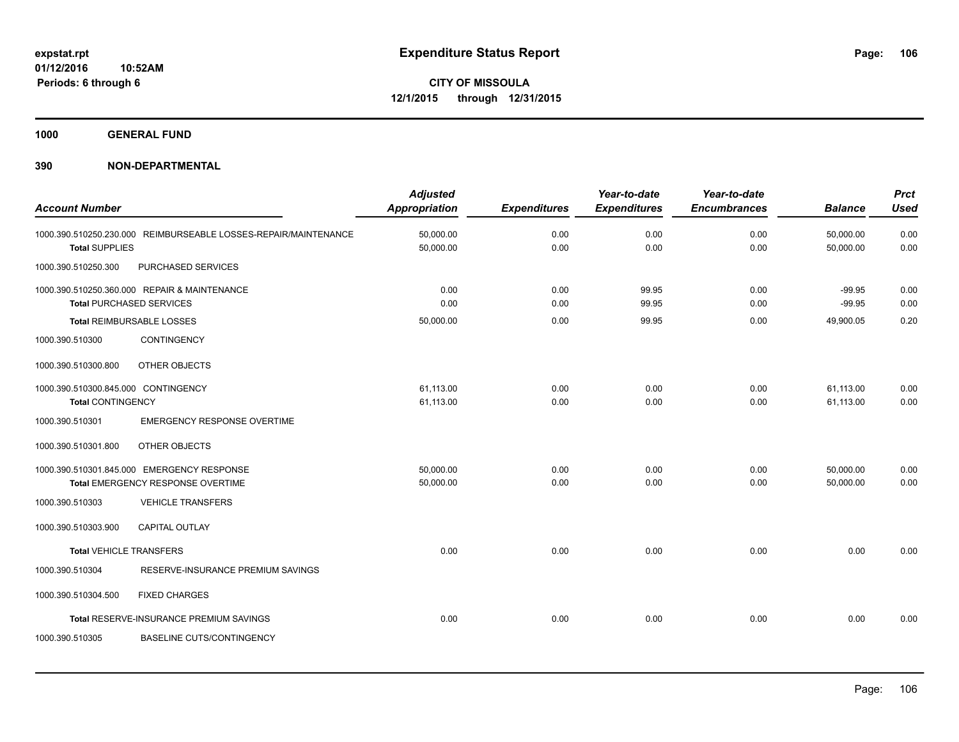**1000 GENERAL FUND**

| <b>Account Number</b>               |                                                                                 | <b>Adjusted</b><br>Appropriation | <b>Expenditures</b> | Year-to-date<br><b>Expenditures</b> | Year-to-date<br><b>Encumbrances</b> | <b>Balance</b>         | <b>Prct</b><br><b>Used</b> |
|-------------------------------------|---------------------------------------------------------------------------------|----------------------------------|---------------------|-------------------------------------|-------------------------------------|------------------------|----------------------------|
| <b>Total SUPPLIES</b>               | 1000.390.510250.230.000 REIMBURSEABLE LOSSES-REPAIR/MAINTENANCE                 | 50,000.00<br>50,000.00           | 0.00<br>0.00        | 0.00<br>0.00                        | 0.00<br>0.00                        | 50,000.00<br>50,000.00 | 0.00<br>0.00               |
| 1000.390.510250.300                 | PURCHASED SERVICES                                                              |                                  |                     |                                     |                                     |                        |                            |
|                                     | 1000.390.510250.360.000 REPAIR & MAINTENANCE<br><b>Total PURCHASED SERVICES</b> | 0.00<br>0.00                     | 0.00<br>0.00        | 99.95<br>99.95                      | 0.00<br>0.00                        | $-99.95$<br>$-99.95$   | 0.00<br>0.00               |
|                                     | Total REIMBURSABLE LOSSES                                                       | 50,000.00                        | 0.00                | 99.95                               | 0.00                                | 49,900.05              | 0.20                       |
| 1000.390.510300                     | CONTINGENCY                                                                     |                                  |                     |                                     |                                     |                        |                            |
| 1000.390.510300.800                 | OTHER OBJECTS                                                                   |                                  |                     |                                     |                                     |                        |                            |
| 1000.390.510300.845.000 CONTINGENCY |                                                                                 | 61,113.00                        | 0.00                | 0.00                                | 0.00                                | 61,113.00              | 0.00                       |
| <b>Total CONTINGENCY</b>            |                                                                                 | 61,113.00                        | 0.00                | 0.00                                | 0.00                                | 61,113.00              | 0.00                       |
| 1000.390.510301                     | EMERGENCY RESPONSE OVERTIME                                                     |                                  |                     |                                     |                                     |                        |                            |
| 1000.390.510301.800                 | OTHER OBJECTS                                                                   |                                  |                     |                                     |                                     |                        |                            |
|                                     | 1000.390.510301.845.000 EMERGENCY RESPONSE                                      | 50,000.00                        | 0.00                | 0.00                                | 0.00                                | 50,000.00              | 0.00                       |
|                                     | Total EMERGENCY RESPONSE OVERTIME                                               | 50,000.00                        | 0.00                | 0.00                                | 0.00                                | 50,000.00              | 0.00                       |
| 1000.390.510303                     | <b>VEHICLE TRANSFERS</b>                                                        |                                  |                     |                                     |                                     |                        |                            |
| 1000.390.510303.900                 | <b>CAPITAL OUTLAY</b>                                                           |                                  |                     |                                     |                                     |                        |                            |
| <b>Total VEHICLE TRANSFERS</b>      |                                                                                 | 0.00                             | 0.00                | 0.00                                | 0.00                                | 0.00                   | 0.00                       |
| 1000.390.510304                     | RESERVE-INSURANCE PREMIUM SAVINGS                                               |                                  |                     |                                     |                                     |                        |                            |
| 1000.390.510304.500                 | <b>FIXED CHARGES</b>                                                            |                                  |                     |                                     |                                     |                        |                            |
|                                     | Total RESERVE-INSURANCE PREMIUM SAVINGS                                         | 0.00                             | 0.00                | 0.00                                | 0.00                                | 0.00                   | 0.00                       |
| 1000.390.510305                     | <b>BASELINE CUTS/CONTINGENCY</b>                                                |                                  |                     |                                     |                                     |                        |                            |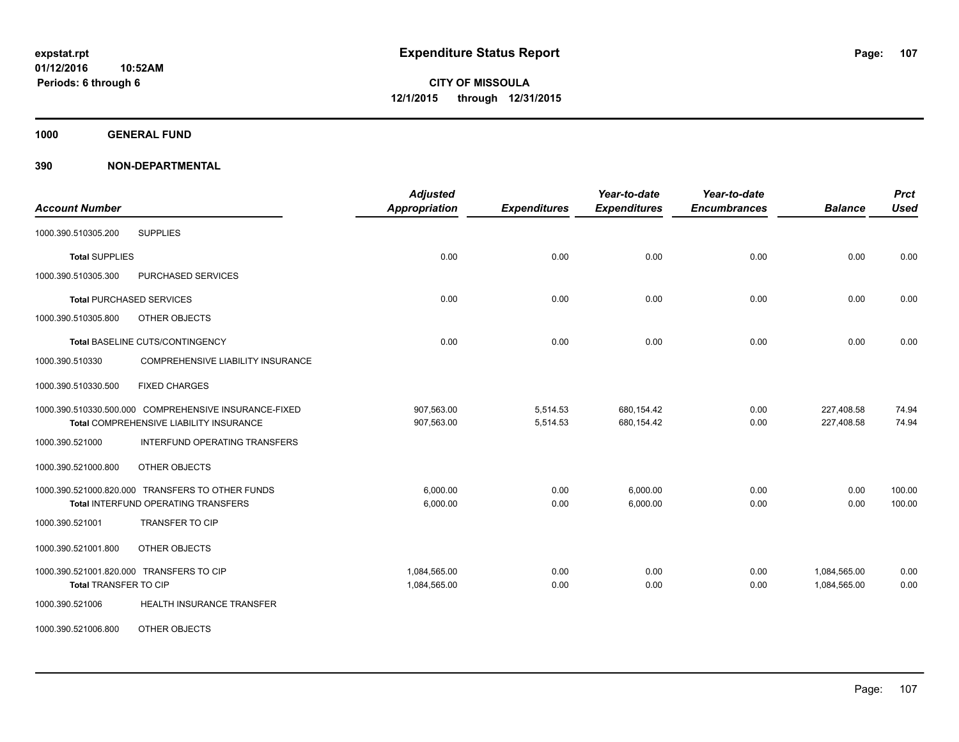**1000 GENERAL FUND**

| <b>Account Number</b>                                 | <b>Adjusted</b><br>Appropriation | <b>Expenditures</b> | Year-to-date<br><b>Expenditures</b> | Year-to-date<br><b>Encumbrances</b> | <b>Balance</b> | <b>Prct</b><br><b>Used</b> |
|-------------------------------------------------------|----------------------------------|---------------------|-------------------------------------|-------------------------------------|----------------|----------------------------|
| <b>SUPPLIES</b><br>1000.390.510305.200                |                                  |                     |                                     |                                     |                |                            |
| <b>Total SUPPLIES</b>                                 | 0.00                             | 0.00                | 0.00                                | 0.00                                | 0.00           | 0.00                       |
| 1000.390.510305.300<br>PURCHASED SERVICES             |                                  |                     |                                     |                                     |                |                            |
| Total PURCHASED SERVICES                              | 0.00                             | 0.00                | 0.00                                | 0.00                                | 0.00           | 0.00                       |
| OTHER OBJECTS<br>1000.390.510305.800                  |                                  |                     |                                     |                                     |                |                            |
| Total BASELINE CUTS/CONTINGENCY                       | 0.00                             | 0.00                | 0.00                                | 0.00                                | 0.00           | 0.00                       |
| 1000.390.510330<br>COMPREHENSIVE LIABILITY INSURANCE  |                                  |                     |                                     |                                     |                |                            |
| <b>FIXED CHARGES</b><br>1000.390.510330.500           |                                  |                     |                                     |                                     |                |                            |
| 1000.390.510330.500.000 COMPREHENSIVE INSURANCE-FIXED | 907,563.00                       | 5,514.53            | 680,154.42                          | 0.00                                | 227,408.58     | 74.94                      |
| Total COMPREHENSIVE LIABILITY INSURANCE               | 907,563.00                       | 5,514.53            | 680.154.42                          | 0.00                                | 227.408.58     | 74.94                      |
| INTERFUND OPERATING TRANSFERS<br>1000.390.521000      |                                  |                     |                                     |                                     |                |                            |
| 1000.390.521000.800<br>OTHER OBJECTS                  |                                  |                     |                                     |                                     |                |                            |
| 1000.390.521000.820.000 TRANSFERS TO OTHER FUNDS      | 6,000.00                         | 0.00                | 6,000.00                            | 0.00                                | 0.00           | 100.00                     |
| <b>Total INTERFUND OPERATING TRANSFERS</b>            | 6,000.00                         | 0.00                | 6,000.00                            | 0.00                                | 0.00           | 100.00                     |
| <b>TRANSFER TO CIP</b><br>1000.390.521001             |                                  |                     |                                     |                                     |                |                            |
| 1000.390.521001.800<br>OTHER OBJECTS                  |                                  |                     |                                     |                                     |                |                            |
| 1000.390.521001.820.000 TRANSFERS TO CIP              | 1,084,565.00                     | 0.00                | 0.00                                | 0.00                                | 1,084,565.00   | 0.00                       |
| Total TRANSFER TO CIP                                 | 1,084,565.00                     | 0.00                | 0.00                                | 0.00                                | 1,084,565.00   | 0.00                       |
| HEALTH INSURANCE TRANSFER<br>1000.390.521006          |                                  |                     |                                     |                                     |                |                            |
| 1000.390.521006.800<br>OTHER OBJECTS                  |                                  |                     |                                     |                                     |                |                            |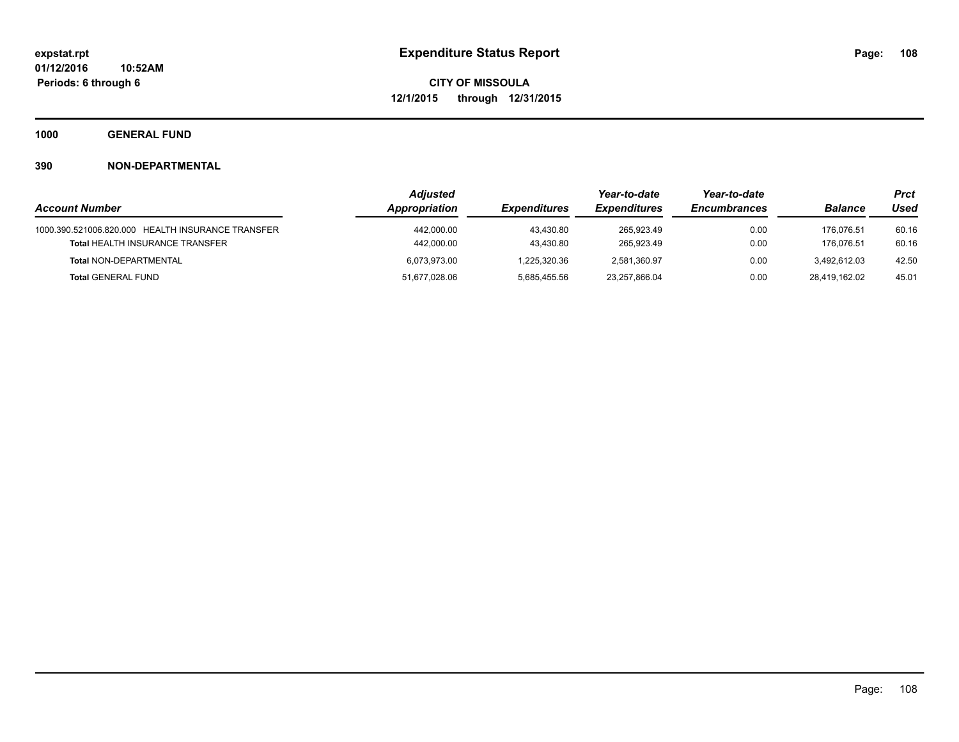**1000 GENERAL FUND**

|                                                   | <b>Adjusted</b> |                     | Year-to-date        | Year-to-date        |                | Prct  |
|---------------------------------------------------|-----------------|---------------------|---------------------|---------------------|----------------|-------|
| <b>Account Number</b>                             | Appropriation   | <b>Expenditures</b> | <b>Expenditures</b> | <b>Encumbrances</b> | <b>Balance</b> | Used  |
| 1000.390.521006.820.000 HEALTH INSURANCE TRANSFER | 442.000.00      | 43.430.80           | 265.923.49          | 0.00                | 176.076.51     | 60.16 |
| <b>Total HEALTH INSURANCE TRANSFER</b>            | 442.000.00      | 43.430.80           | 265.923.49          | 0.00                | 176.076.51     | 60.16 |
| Total NON-DEPARTMENTAL                            | 6.073.973.00    | 1.225.320.36        | 2.581.360.97        | 0.00                | 3.492.612.03   | 42.50 |
| <b>Total GENERAL FUND</b>                         | 51,677,028.06   | 5.685.455.56        | 23,257,866.04       | 0.00                | 28.419.162.02  | 45.01 |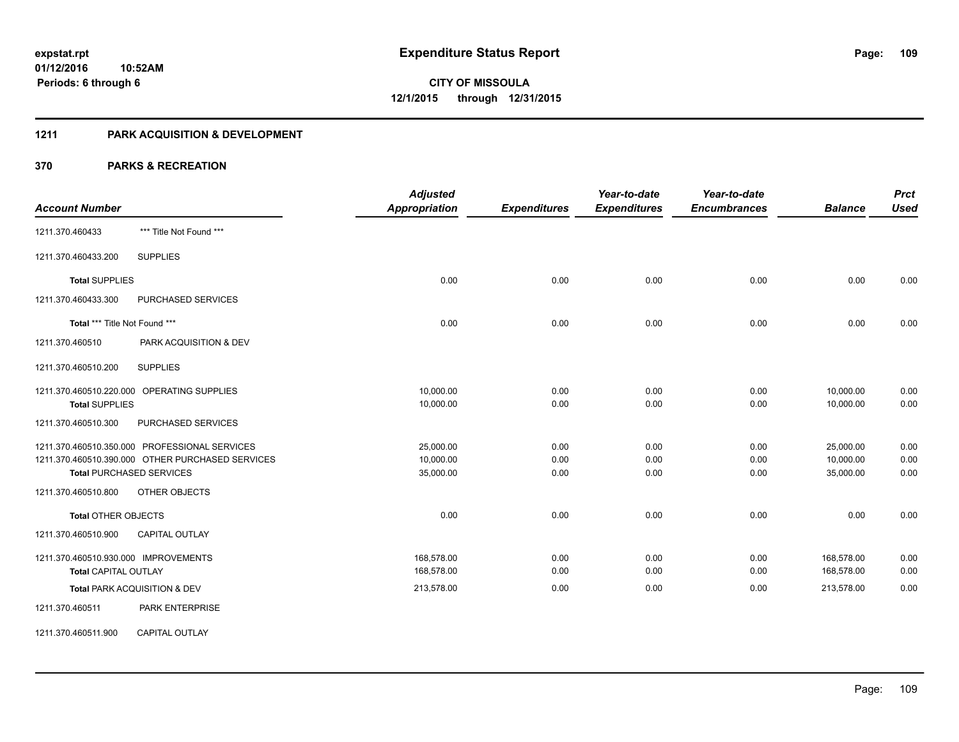# **1211 PARK ACQUISITION & DEVELOPMENT**

|                                               |                                                  | <b>Adjusted</b>      |                     | Year-to-date        | Year-to-date        |                | <b>Prct</b> |
|-----------------------------------------------|--------------------------------------------------|----------------------|---------------------|---------------------|---------------------|----------------|-------------|
| <b>Account Number</b>                         |                                                  | <b>Appropriation</b> | <b>Expenditures</b> | <b>Expenditures</b> | <b>Encumbrances</b> | <b>Balance</b> | <b>Used</b> |
| 1211.370.460433                               | *** Title Not Found ***                          |                      |                     |                     |                     |                |             |
| 1211.370.460433.200                           | <b>SUPPLIES</b>                                  |                      |                     |                     |                     |                |             |
| <b>Total SUPPLIES</b>                         |                                                  | 0.00                 | 0.00                | 0.00                | 0.00                | 0.00           | 0.00        |
| 1211.370.460433.300                           | PURCHASED SERVICES                               |                      |                     |                     |                     |                |             |
| Total *** Title Not Found ***                 |                                                  | 0.00                 | 0.00                | 0.00                | 0.00                | 0.00           | 0.00        |
| 1211.370.460510                               | PARK ACQUISITION & DEV                           |                      |                     |                     |                     |                |             |
| 1211.370.460510.200                           | <b>SUPPLIES</b>                                  |                      |                     |                     |                     |                |             |
| 1211.370.460510.220.000 OPERATING SUPPLIES    |                                                  | 10,000.00            | 0.00                | 0.00                | 0.00                | 10,000.00      | 0.00        |
| <b>Total SUPPLIES</b>                         |                                                  | 10,000.00            | 0.00                | 0.00                | 0.00                | 10,000.00      | 0.00        |
| 1211.370.460510.300                           | PURCHASED SERVICES                               |                      |                     |                     |                     |                |             |
| 1211.370.460510.350.000 PROFESSIONAL SERVICES |                                                  | 25,000.00            | 0.00                | 0.00                | 0.00                | 25,000.00      | 0.00        |
|                                               | 1211.370.460510.390.000 OTHER PURCHASED SERVICES | 10,000.00            | 0.00                | 0.00                | 0.00                | 10,000.00      | 0.00        |
| <b>Total PURCHASED SERVICES</b>               |                                                  | 35,000.00            | 0.00                | 0.00                | 0.00                | 35,000.00      | 0.00        |
| 1211.370.460510.800                           | OTHER OBJECTS                                    |                      |                     |                     |                     |                |             |
| <b>Total OTHER OBJECTS</b>                    |                                                  | 0.00                 | 0.00                | 0.00                | 0.00                | 0.00           | 0.00        |
| 1211.370.460510.900                           | CAPITAL OUTLAY                                   |                      |                     |                     |                     |                |             |
| 1211.370.460510.930.000 IMPROVEMENTS          |                                                  | 168,578.00           | 0.00                | 0.00                | 0.00                | 168,578.00     | 0.00        |
| <b>Total CAPITAL OUTLAY</b>                   |                                                  | 168,578.00           | 0.00                | 0.00                | 0.00                | 168,578.00     | 0.00        |
| Total PARK ACQUISITION & DEV                  |                                                  | 213,578.00           | 0.00                | 0.00                | 0.00                | 213,578.00     | 0.00        |
| 1211.370.460511                               | PARK ENTERPRISE                                  |                      |                     |                     |                     |                |             |
| 1211.370.460511.900                           | <b>CAPITAL OUTLAY</b>                            |                      |                     |                     |                     |                |             |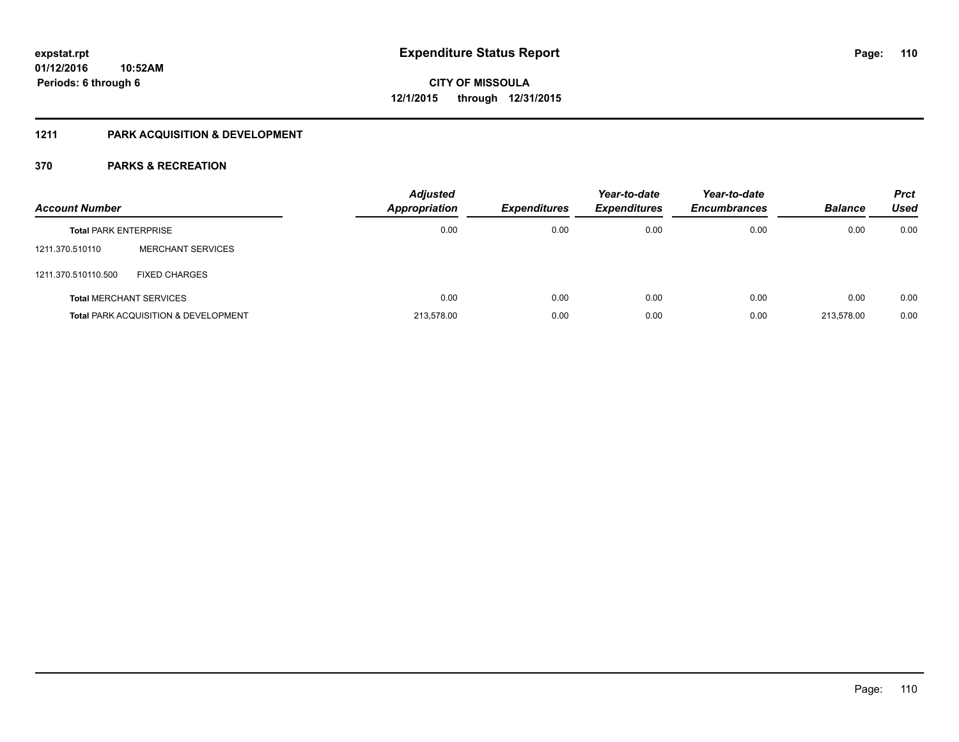# **1211 PARK ACQUISITION & DEVELOPMENT**

| <b>Account Number</b>        |                                                 | <b>Adjusted</b><br><b>Appropriation</b> | <b>Expenditures</b> | Year-to-date<br><b>Expenditures</b> | Year-to-date<br><b>Encumbrances</b> | <b>Balance</b> | <b>Prct</b><br><b>Used</b> |
|------------------------------|-------------------------------------------------|-----------------------------------------|---------------------|-------------------------------------|-------------------------------------|----------------|----------------------------|
| <b>Total PARK ENTERPRISE</b> |                                                 | 0.00                                    | 0.00                | 0.00                                | 0.00                                | 0.00           | 0.00                       |
| 1211.370.510110              | <b>MERCHANT SERVICES</b>                        |                                         |                     |                                     |                                     |                |                            |
| 1211.370.510110.500          | <b>FIXED CHARGES</b>                            |                                         |                     |                                     |                                     |                |                            |
|                              | <b>Total MERCHANT SERVICES</b>                  | 0.00                                    | 0.00                | 0.00                                | 0.00                                | 0.00           | 0.00                       |
|                              | <b>Total PARK ACQUISITION &amp; DEVELOPMENT</b> | 213.578.00                              | 0.00                | 0.00                                | 0.00                                | 213.578.00     | 0.00                       |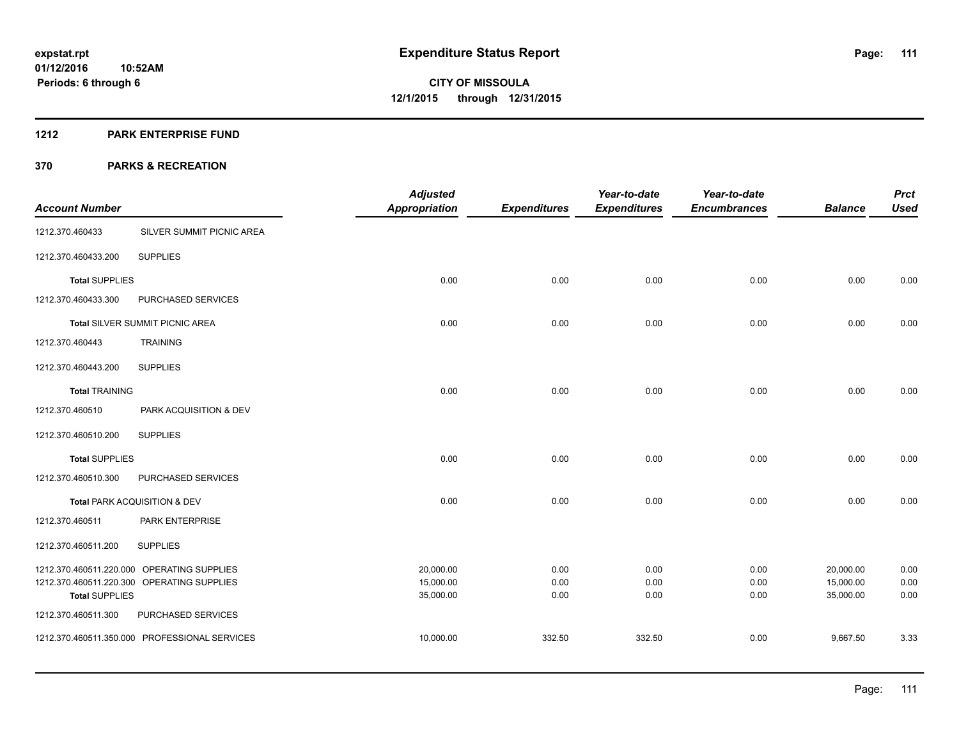### **1212 PARK ENTERPRISE FUND**

|                       |                                               | <b>Adjusted</b>        |                     | Year-to-date        | Year-to-date        |                        | <b>Prct</b>  |
|-----------------------|-----------------------------------------------|------------------------|---------------------|---------------------|---------------------|------------------------|--------------|
| <b>Account Number</b> |                                               | <b>Appropriation</b>   | <b>Expenditures</b> | <b>Expenditures</b> | <b>Encumbrances</b> | <b>Balance</b>         | <b>Used</b>  |
| 1212.370.460433       | SILVER SUMMIT PICNIC AREA                     |                        |                     |                     |                     |                        |              |
| 1212.370.460433.200   | <b>SUPPLIES</b>                               |                        |                     |                     |                     |                        |              |
| <b>Total SUPPLIES</b> |                                               | 0.00                   | 0.00                | 0.00                | 0.00                | 0.00                   | 0.00         |
| 1212.370.460433.300   | PURCHASED SERVICES                            |                        |                     |                     |                     |                        |              |
|                       | Total SILVER SUMMIT PICNIC AREA               | 0.00                   | 0.00                | 0.00                | 0.00                | 0.00                   | 0.00         |
| 1212.370.460443       | <b>TRAINING</b>                               |                        |                     |                     |                     |                        |              |
| 1212.370.460443.200   | <b>SUPPLIES</b>                               |                        |                     |                     |                     |                        |              |
| <b>Total TRAINING</b> |                                               | 0.00                   | 0.00                | 0.00                | 0.00                | 0.00                   | 0.00         |
| 1212.370.460510       | PARK ACQUISITION & DEV                        |                        |                     |                     |                     |                        |              |
| 1212.370.460510.200   | <b>SUPPLIES</b>                               |                        |                     |                     |                     |                        |              |
| <b>Total SUPPLIES</b> |                                               | 0.00                   | 0.00                | 0.00                | 0.00                | 0.00                   | 0.00         |
| 1212.370.460510.300   | PURCHASED SERVICES                            |                        |                     |                     |                     |                        |              |
|                       | Total PARK ACQUISITION & DEV                  | 0.00                   | 0.00                | 0.00                | 0.00                | 0.00                   | 0.00         |
| 1212.370.460511       | PARK ENTERPRISE                               |                        |                     |                     |                     |                        |              |
| 1212.370.460511.200   | <b>SUPPLIES</b>                               |                        |                     |                     |                     |                        |              |
|                       | 1212.370.460511.220.000 OPERATING SUPPLIES    | 20,000.00              | 0.00                | 0.00                | 0.00                | 20,000.00              | 0.00         |
| <b>Total SUPPLIES</b> | 1212.370.460511.220.300 OPERATING SUPPLIES    | 15,000.00<br>35,000.00 | 0.00<br>0.00        | 0.00<br>0.00        | 0.00<br>0.00        | 15,000.00<br>35,000.00 | 0.00<br>0.00 |
| 1212.370.460511.300   | PURCHASED SERVICES                            |                        |                     |                     |                     |                        |              |
|                       | 1212.370.460511.350.000 PROFESSIONAL SERVICES | 10,000.00              | 332.50              | 332.50              | 0.00                | 9,667.50               | 3.33         |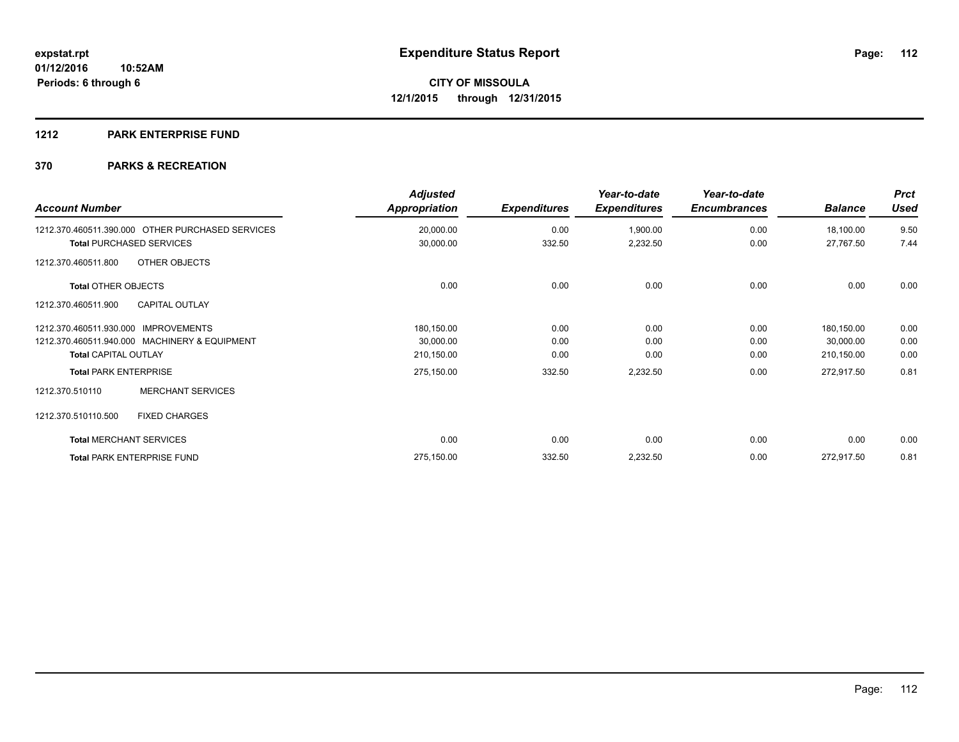# **1212 PARK ENTERPRISE FUND**

| <b>Account Number</b>                            | <b>Adjusted</b><br>Appropriation | <b>Expenditures</b> | Year-to-date<br><b>Expenditures</b> | Year-to-date<br><b>Encumbrances</b> | <b>Balance</b> | <b>Prct</b><br><b>Used</b> |
|--------------------------------------------------|----------------------------------|---------------------|-------------------------------------|-------------------------------------|----------------|----------------------------|
| 1212.370.460511.390.000 OTHER PURCHASED SERVICES | 20,000.00                        | 0.00                | 1,900.00                            | 0.00                                | 18,100.00      | 9.50                       |
| <b>Total PURCHASED SERVICES</b>                  | 30,000.00                        | 332.50              | 2,232.50                            | 0.00                                | 27,767.50      | 7.44                       |
| OTHER OBJECTS<br>1212.370.460511.800             |                                  |                     |                                     |                                     |                |                            |
| <b>Total OTHER OBJECTS</b>                       | 0.00                             | 0.00                | 0.00                                | 0.00                                | 0.00           | 0.00                       |
| <b>CAPITAL OUTLAY</b><br>1212.370.460511.900     |                                  |                     |                                     |                                     |                |                            |
| 1212.370.460511.930.000 IMPROVEMENTS             | 180,150.00                       | 0.00                | 0.00                                | 0.00                                | 180,150.00     | 0.00                       |
| 1212.370.460511.940.000 MACHINERY & EQUIPMENT    | 30,000.00                        | 0.00                | 0.00                                | 0.00                                | 30,000.00      | 0.00                       |
| <b>Total CAPITAL OUTLAY</b>                      | 210,150.00                       | 0.00                | 0.00                                | 0.00                                | 210,150.00     | 0.00                       |
| <b>Total PARK ENTERPRISE</b>                     | 275,150.00                       | 332.50              | 2,232.50                            | 0.00                                | 272,917.50     | 0.81                       |
| <b>MERCHANT SERVICES</b><br>1212.370.510110      |                                  |                     |                                     |                                     |                |                            |
| 1212.370.510110.500<br><b>FIXED CHARGES</b>      |                                  |                     |                                     |                                     |                |                            |
| <b>Total MERCHANT SERVICES</b>                   | 0.00                             | 0.00                | 0.00                                | 0.00                                | 0.00           | 0.00                       |
| <b>Total PARK ENTERPRISE FUND</b>                | 275,150.00                       | 332.50              | 2,232.50                            | 0.00                                | 272,917.50     | 0.81                       |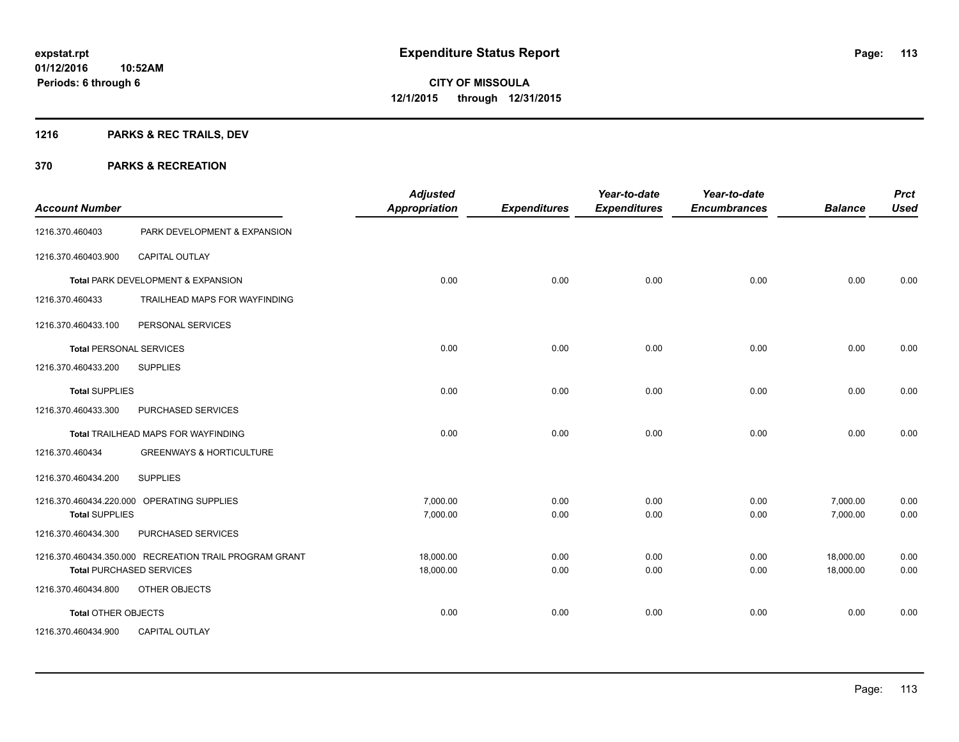# **1216 PARKS & REC TRAILS, DEV**

| <b>Account Number</b>          |                                                        | <b>Adjusted</b><br><b>Appropriation</b> | <b>Expenditures</b> | Year-to-date<br><b>Expenditures</b> | Year-to-date<br><b>Encumbrances</b> | <b>Balance</b> | <b>Prct</b><br><b>Used</b> |
|--------------------------------|--------------------------------------------------------|-----------------------------------------|---------------------|-------------------------------------|-------------------------------------|----------------|----------------------------|
| 1216.370.460403                | PARK DEVELOPMENT & EXPANSION                           |                                         |                     |                                     |                                     |                |                            |
| 1216.370.460403.900            | <b>CAPITAL OUTLAY</b>                                  |                                         |                     |                                     |                                     |                |                            |
|                                | Total PARK DEVELOPMENT & EXPANSION                     | 0.00                                    | 0.00                | 0.00                                | 0.00                                | 0.00           | 0.00                       |
| 1216.370.460433                | TRAILHEAD MAPS FOR WAYFINDING                          |                                         |                     |                                     |                                     |                |                            |
| 1216.370.460433.100            | PERSONAL SERVICES                                      |                                         |                     |                                     |                                     |                |                            |
| <b>Total PERSONAL SERVICES</b> |                                                        | 0.00                                    | 0.00                | 0.00                                | 0.00                                | 0.00           | 0.00                       |
| 1216.370.460433.200            | <b>SUPPLIES</b>                                        |                                         |                     |                                     |                                     |                |                            |
| <b>Total SUPPLIES</b>          |                                                        | 0.00                                    | 0.00                | 0.00                                | 0.00                                | 0.00           | 0.00                       |
| 1216.370.460433.300            | PURCHASED SERVICES                                     |                                         |                     |                                     |                                     |                |                            |
|                                | Total TRAILHEAD MAPS FOR WAYFINDING                    | 0.00                                    | 0.00                | 0.00                                | 0.00                                | 0.00           | 0.00                       |
| 1216.370.460434                | <b>GREENWAYS &amp; HORTICULTURE</b>                    |                                         |                     |                                     |                                     |                |                            |
| 1216.370.460434.200            | <b>SUPPLIES</b>                                        |                                         |                     |                                     |                                     |                |                            |
|                                | 1216.370.460434.220.000 OPERATING SUPPLIES             | 7,000.00                                | 0.00                | 0.00                                | 0.00                                | 7,000.00       | 0.00                       |
| <b>Total SUPPLIES</b>          |                                                        | 7,000.00                                | 0.00                | 0.00                                | 0.00                                | 7,000.00       | 0.00                       |
| 1216.370.460434.300            | PURCHASED SERVICES                                     |                                         |                     |                                     |                                     |                |                            |
|                                | 1216.370.460434.350.000 RECREATION TRAIL PROGRAM GRANT | 18,000.00                               | 0.00                | 0.00                                | 0.00                                | 18,000.00      | 0.00                       |
|                                | <b>Total PURCHASED SERVICES</b>                        | 18,000.00                               | 0.00                | 0.00                                | 0.00                                | 18,000.00      | 0.00                       |
| 1216.370.460434.800            | OTHER OBJECTS                                          |                                         |                     |                                     |                                     |                |                            |
| <b>Total OTHER OBJECTS</b>     |                                                        | 0.00                                    | 0.00                | 0.00                                | 0.00                                | 0.00           | 0.00                       |
| 1216.370.460434.900            | <b>CAPITAL OUTLAY</b>                                  |                                         |                     |                                     |                                     |                |                            |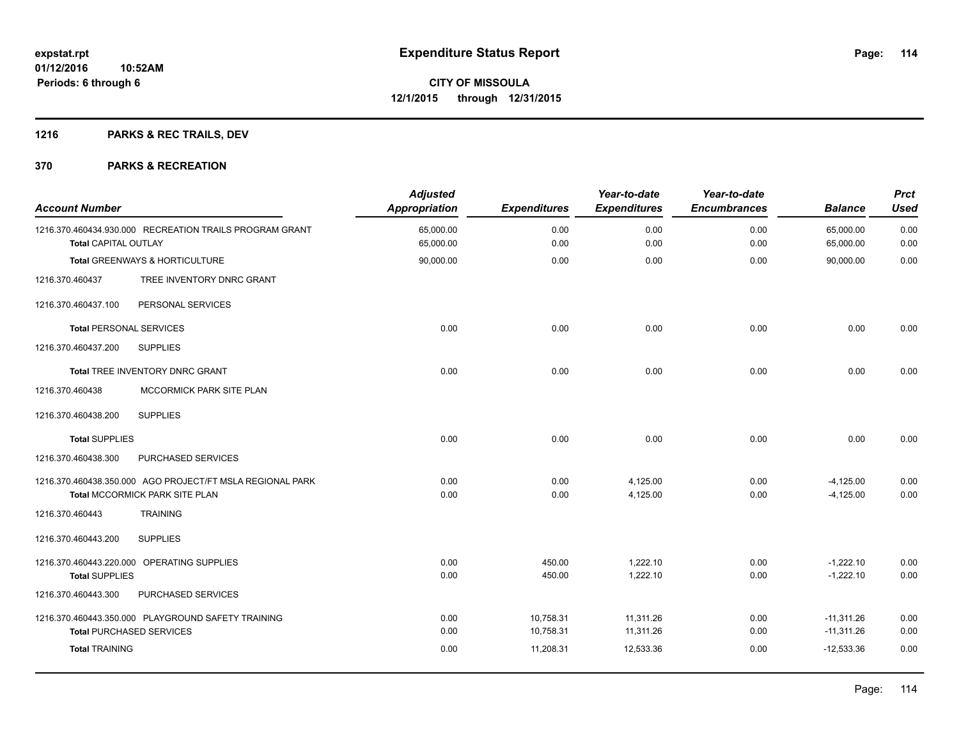# **1216 PARKS & REC TRAILS, DEV**

| <b>Account Number</b>       |                                                           | <b>Adjusted</b><br><b>Appropriation</b> | <b>Expenditures</b> | Year-to-date<br><b>Expenditures</b> | Year-to-date<br><b>Encumbrances</b> | <b>Balance</b> | <b>Prct</b><br><b>Used</b> |
|-----------------------------|-----------------------------------------------------------|-----------------------------------------|---------------------|-------------------------------------|-------------------------------------|----------------|----------------------------|
|                             | 1216.370.460434.930.000 RECREATION TRAILS PROGRAM GRANT   | 65,000.00                               | 0.00                | 0.00                                | 0.00                                | 65,000.00      | 0.00                       |
| <b>Total CAPITAL OUTLAY</b> |                                                           | 65,000.00                               | 0.00                | 0.00                                | 0.00                                | 65,000.00      | 0.00                       |
|                             | Total GREENWAYS & HORTICULTURE                            | 90,000.00                               | 0.00                | 0.00                                | 0.00                                | 90,000.00      | 0.00                       |
| 1216.370.460437             | TREE INVENTORY DNRC GRANT                                 |                                         |                     |                                     |                                     |                |                            |
| 1216.370.460437.100         | PERSONAL SERVICES                                         |                                         |                     |                                     |                                     |                |                            |
|                             | <b>Total PERSONAL SERVICES</b>                            | 0.00                                    | 0.00                | 0.00                                | 0.00                                | 0.00           | 0.00                       |
| 1216.370.460437.200         | <b>SUPPLIES</b>                                           |                                         |                     |                                     |                                     |                |                            |
|                             | <b>Total TREE INVENTORY DNRC GRANT</b>                    | 0.00                                    | 0.00                | 0.00                                | 0.00                                | 0.00           | 0.00                       |
| 1216.370.460438             | MCCORMICK PARK SITE PLAN                                  |                                         |                     |                                     |                                     |                |                            |
| 1216.370.460438.200         | <b>SUPPLIES</b>                                           |                                         |                     |                                     |                                     |                |                            |
| <b>Total SUPPLIES</b>       |                                                           | 0.00                                    | 0.00                | 0.00                                | 0.00                                | 0.00           | 0.00                       |
| 1216.370.460438.300         | PURCHASED SERVICES                                        |                                         |                     |                                     |                                     |                |                            |
|                             | 1216.370.460438.350.000 AGO PROJECT/FT MSLA REGIONAL PARK | 0.00                                    | 0.00                | 4,125.00                            | 0.00                                | $-4,125.00$    | 0.00                       |
|                             | Total MCCORMICK PARK SITE PLAN                            | 0.00                                    | 0.00                | 4,125.00                            | 0.00                                | $-4,125.00$    | 0.00                       |
| 1216.370.460443             | <b>TRAINING</b>                                           |                                         |                     |                                     |                                     |                |                            |
| 1216.370.460443.200         | <b>SUPPLIES</b>                                           |                                         |                     |                                     |                                     |                |                            |
|                             | 1216.370.460443.220.000 OPERATING SUPPLIES                | 0.00                                    | 450.00              | 1,222.10                            | 0.00                                | $-1,222.10$    | 0.00                       |
| <b>Total SUPPLIES</b>       |                                                           | 0.00                                    | 450.00              | 1,222.10                            | 0.00                                | $-1,222.10$    | 0.00                       |
| 1216.370.460443.300         | PURCHASED SERVICES                                        |                                         |                     |                                     |                                     |                |                            |
|                             | 1216.370.460443.350.000 PLAYGROUND SAFETY TRAINING        | 0.00                                    | 10,758.31           | 11,311.26                           | 0.00                                | $-11,311.26$   | 0.00                       |
|                             | <b>Total PURCHASED SERVICES</b>                           | 0.00                                    | 10,758.31           | 11,311.26                           | 0.00                                | $-11,311.26$   | 0.00                       |
| <b>Total TRAINING</b>       |                                                           | 0.00                                    | 11,208.31           | 12,533.36                           | 0.00                                | $-12,533.36$   | 0.00                       |
|                             |                                                           |                                         |                     |                                     |                                     |                |                            |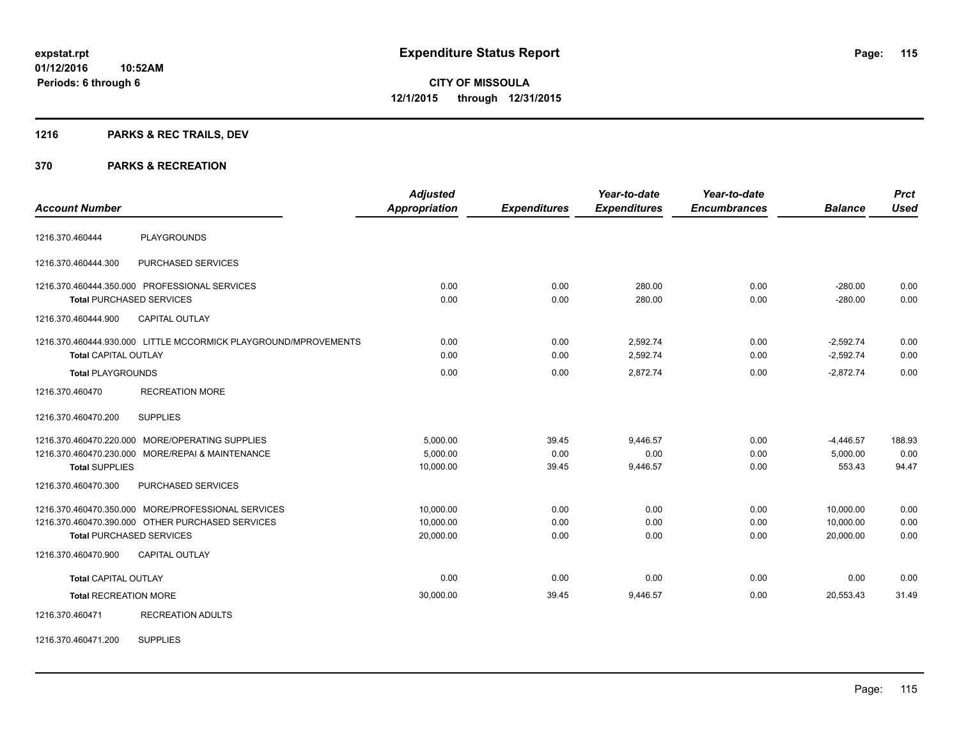# **1216 PARKS & REC TRAILS, DEV**

# **370 PARKS & RECREATION**

| <b>Account Number</b>        |                                                                                                                                           | <b>Adjusted</b><br><b>Appropriation</b> | <b>Expenditures</b>    | Year-to-date<br><b>Expenditures</b> | Year-to-date<br><b>Encumbrances</b> | <b>Balance</b>                      | <b>Prct</b><br><b>Used</b> |
|------------------------------|-------------------------------------------------------------------------------------------------------------------------------------------|-----------------------------------------|------------------------|-------------------------------------|-------------------------------------|-------------------------------------|----------------------------|
| 1216.370.460444              | <b>PLAYGROUNDS</b>                                                                                                                        |                                         |                        |                                     |                                     |                                     |                            |
| 1216.370.460444.300          | PURCHASED SERVICES                                                                                                                        |                                         |                        |                                     |                                     |                                     |                            |
|                              | 1216.370.460444.350.000 PROFESSIONAL SERVICES<br><b>Total PURCHASED SERVICES</b>                                                          | 0.00<br>0.00                            | 0.00<br>0.00           | 280.00<br>280.00                    | 0.00<br>0.00                        | $-280.00$<br>$-280.00$              | 0.00<br>0.00               |
| 1216.370.460444.900          | <b>CAPITAL OUTLAY</b>                                                                                                                     |                                         |                        |                                     |                                     |                                     |                            |
| <b>Total CAPITAL OUTLAY</b>  | 1216.370.460444.930.000 LITTLE MCCORMICK PLAYGROUND/MPROVEMENTS                                                                           | 0.00<br>0.00                            | 0.00<br>0.00           | 2,592.74<br>2,592.74                | 0.00<br>0.00                        | $-2,592.74$<br>$-2,592.74$          | 0.00<br>0.00               |
| <b>Total PLAYGROUNDS</b>     |                                                                                                                                           | 0.00                                    | 0.00                   | 2,872.74                            | 0.00                                | $-2.872.74$                         | 0.00                       |
| 1216.370.460470              | <b>RECREATION MORE</b>                                                                                                                    |                                         |                        |                                     |                                     |                                     |                            |
| 1216.370.460470.200          | <b>SUPPLIES</b>                                                                                                                           |                                         |                        |                                     |                                     |                                     |                            |
| <b>Total SUPPLIES</b>        | 1216.370.460470.220.000 MORE/OPERATING SUPPLIES<br>1216.370.460470.230.000 MORE/REPAI & MAINTENANCE                                       | 5,000.00<br>5,000.00<br>10,000.00       | 39.45<br>0.00<br>39.45 | 9,446.57<br>0.00<br>9,446.57        | 0.00<br>0.00<br>0.00                | $-4,446.57$<br>5,000.00<br>553.43   | 188.93<br>0.00<br>94.47    |
| 1216.370.460470.300          | PURCHASED SERVICES                                                                                                                        |                                         |                        |                                     |                                     |                                     |                            |
|                              | 1216.370.460470.350.000 MORE/PROFESSIONAL SERVICES<br>1216.370.460470.390.000 OTHER PURCHASED SERVICES<br><b>Total PURCHASED SERVICES</b> | 10,000.00<br>10,000.00<br>20,000.00     | 0.00<br>0.00<br>0.00   | 0.00<br>0.00<br>0.00                | 0.00<br>0.00<br>0.00                | 10,000.00<br>10,000.00<br>20,000.00 | 0.00<br>0.00<br>0.00       |
| 1216.370.460470.900          | <b>CAPITAL OUTLAY</b>                                                                                                                     |                                         |                        |                                     |                                     |                                     |                            |
| <b>Total CAPITAL OUTLAY</b>  |                                                                                                                                           | 0.00                                    | 0.00                   | 0.00                                | 0.00                                | 0.00                                | 0.00                       |
| <b>Total RECREATION MORE</b> |                                                                                                                                           | 30,000.00                               | 39.45                  | 9,446.57                            | 0.00                                | 20.553.43                           | 31.49                      |
| 1216.370.460471              | <b>RECREATION ADULTS</b>                                                                                                                  |                                         |                        |                                     |                                     |                                     |                            |

1216.370.460471.200 SUPPLIES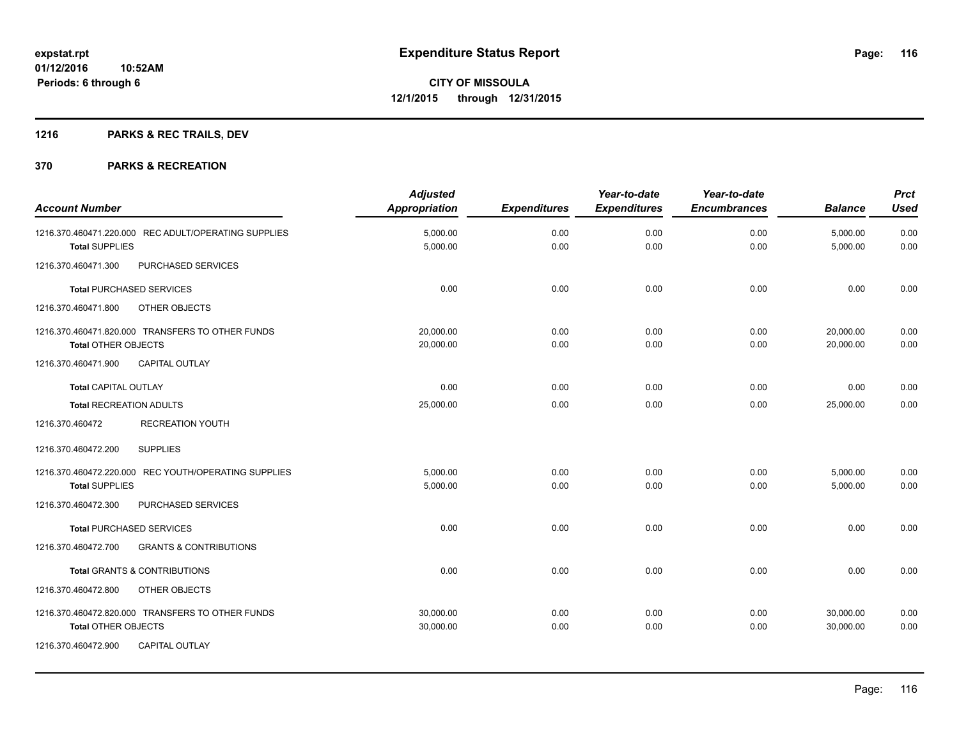# **1216 PARKS & REC TRAILS, DEV**

| <b>Account Number</b>                                                                                                   | <b>Adjusted</b><br><b>Appropriation</b> | <b>Expenditures</b> | Year-to-date<br><b>Expenditures</b> | Year-to-date<br><b>Encumbrances</b> | <b>Balance</b>         | <b>Prct</b><br><b>Used</b> |
|-------------------------------------------------------------------------------------------------------------------------|-----------------------------------------|---------------------|-------------------------------------|-------------------------------------|------------------------|----------------------------|
| 1216.370.460471.220.000 REC ADULT/OPERATING SUPPLIES<br><b>Total SUPPLIES</b>                                           | 5,000.00<br>5,000.00                    | 0.00<br>0.00        | 0.00<br>0.00                        | 0.00<br>0.00                        | 5,000.00<br>5,000.00   | 0.00<br>0.00               |
| 1216.370.460471.300<br>PURCHASED SERVICES                                                                               |                                         |                     |                                     |                                     |                        |                            |
| <b>Total PURCHASED SERVICES</b>                                                                                         | 0.00                                    | 0.00                | 0.00                                | 0.00                                | 0.00                   | 0.00                       |
| OTHER OBJECTS<br>1216.370.460471.800                                                                                    |                                         |                     |                                     |                                     |                        |                            |
| 1216.370.460471.820.000 TRANSFERS TO OTHER FUNDS<br>Total OTHER OBJECTS                                                 | 20.000.00<br>20,000.00                  | 0.00<br>0.00        | 0.00<br>0.00                        | 0.00<br>0.00                        | 20,000.00<br>20,000.00 | 0.00<br>0.00               |
| <b>CAPITAL OUTLAY</b><br>1216.370.460471.900                                                                            |                                         |                     |                                     |                                     |                        |                            |
| <b>Total CAPITAL OUTLAY</b>                                                                                             | 0.00                                    | 0.00                | 0.00                                | 0.00                                | 0.00                   | 0.00                       |
| <b>Total RECREATION ADULTS</b>                                                                                          | 25,000.00                               | 0.00                | 0.00                                | 0.00                                | 25,000.00              | 0.00                       |
| <b>RECREATION YOUTH</b><br>1216.370.460472                                                                              |                                         |                     |                                     |                                     |                        |                            |
| 1216.370.460472.200<br><b>SUPPLIES</b>                                                                                  |                                         |                     |                                     |                                     |                        |                            |
| 1216.370.460472.220.000 REC YOUTH/OPERATING SUPPLIES<br><b>Total SUPPLIES</b>                                           | 5,000.00<br>5,000.00                    | 0.00<br>0.00        | 0.00<br>0.00                        | 0.00<br>0.00                        | 5,000.00<br>5,000.00   | 0.00<br>0.00               |
| PURCHASED SERVICES<br>1216.370.460472.300                                                                               |                                         |                     |                                     |                                     |                        |                            |
| <b>Total PURCHASED SERVICES</b>                                                                                         | 0.00                                    | 0.00                | 0.00                                | 0.00                                | 0.00                   | 0.00                       |
| 1216.370.460472.700<br><b>GRANTS &amp; CONTRIBUTIONS</b>                                                                |                                         |                     |                                     |                                     |                        |                            |
| <b>Total GRANTS &amp; CONTRIBUTIONS</b>                                                                                 | 0.00                                    | 0.00                | 0.00                                | 0.00                                | 0.00                   | 0.00                       |
| 1216.370.460472.800<br>OTHER OBJECTS                                                                                    |                                         |                     |                                     |                                     |                        |                            |
| 1216.370.460472.820.000 TRANSFERS TO OTHER FUNDS<br>Total OTHER OBJECTS<br>1216.370.460472.900<br><b>CAPITAL OUTLAY</b> | 30,000.00<br>30,000.00                  | 0.00<br>0.00        | 0.00<br>0.00                        | 0.00<br>0.00                        | 30,000.00<br>30,000.00 | 0.00<br>0.00               |
|                                                                                                                         |                                         |                     |                                     |                                     |                        |                            |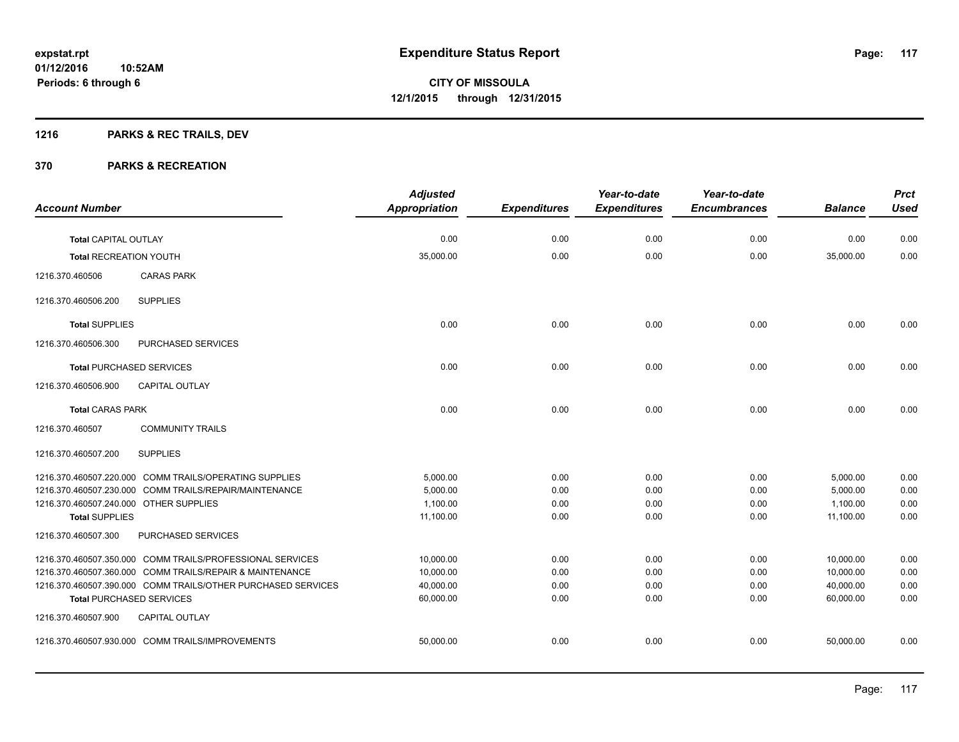# **1216 PARKS & REC TRAILS, DEV**

|                                        |                                                              | <b>Adjusted</b>      |                     | Year-to-date        | Year-to-date        |                | <b>Prct</b> |
|----------------------------------------|--------------------------------------------------------------|----------------------|---------------------|---------------------|---------------------|----------------|-------------|
| <b>Account Number</b>                  |                                                              | <b>Appropriation</b> | <b>Expenditures</b> | <b>Expenditures</b> | <b>Encumbrances</b> | <b>Balance</b> | <b>Used</b> |
|                                        |                                                              |                      |                     |                     |                     |                |             |
| Total CAPITAL OUTLAY                   |                                                              | 0.00                 | 0.00                | 0.00                | 0.00                | 0.00           | 0.00        |
| <b>Total RECREATION YOUTH</b>          |                                                              | 35,000.00            | 0.00                | 0.00                | 0.00                | 35,000.00      | 0.00        |
| 1216.370.460506                        | <b>CARAS PARK</b>                                            |                      |                     |                     |                     |                |             |
| 1216.370.460506.200                    | <b>SUPPLIES</b>                                              |                      |                     |                     |                     |                |             |
| <b>Total SUPPLIES</b>                  |                                                              | 0.00                 | 0.00                | 0.00                | 0.00                | 0.00           | 0.00        |
| 1216.370.460506.300                    | PURCHASED SERVICES                                           |                      |                     |                     |                     |                |             |
|                                        | <b>Total PURCHASED SERVICES</b>                              | 0.00                 | 0.00                | 0.00                | 0.00                | 0.00           | 0.00        |
| 1216.370.460506.900                    | <b>CAPITAL OUTLAY</b>                                        |                      |                     |                     |                     |                |             |
| <b>Total CARAS PARK</b>                |                                                              | 0.00                 | 0.00                | 0.00                | 0.00                | 0.00           | 0.00        |
| 1216.370.460507                        | <b>COMMUNITY TRAILS</b>                                      |                      |                     |                     |                     |                |             |
| 1216.370.460507.200                    | <b>SUPPLIES</b>                                              |                      |                     |                     |                     |                |             |
|                                        | 1216.370.460507.220.000 COMM TRAILS/OPERATING SUPPLIES       | 5,000.00             | 0.00                | 0.00                | 0.00                | 5,000.00       | 0.00        |
|                                        | 1216.370.460507.230.000 COMM TRAILS/REPAIR/MAINTENANCE       | 5,000.00             | 0.00                | 0.00                | 0.00                | 5,000.00       | 0.00        |
| 1216.370.460507.240.000 OTHER SUPPLIES |                                                              | 1,100.00             | 0.00                | 0.00                | 0.00                | 1,100.00       | 0.00        |
| <b>Total SUPPLIES</b>                  |                                                              | 11,100.00            | 0.00                | 0.00                | 0.00                | 11,100.00      | 0.00        |
| 1216.370.460507.300                    | PURCHASED SERVICES                                           |                      |                     |                     |                     |                |             |
|                                        | 1216.370.460507.350.000 COMM TRAILS/PROFESSIONAL SERVICES    | 10,000.00            | 0.00                | 0.00                | 0.00                | 10,000.00      | 0.00        |
|                                        | 1216.370.460507.360.000 COMM TRAILS/REPAIR & MAINTENANCE     | 10,000.00            | 0.00                | 0.00                | 0.00                | 10,000.00      | 0.00        |
|                                        | 1216.370.460507.390.000 COMM TRAILS/OTHER PURCHASED SERVICES | 40,000.00            | 0.00                | 0.00                | 0.00                | 40,000.00      | 0.00        |
|                                        | <b>Total PURCHASED SERVICES</b>                              | 60,000.00            | 0.00                | 0.00                | 0.00                | 60,000.00      | 0.00        |
| 1216.370.460507.900                    | <b>CAPITAL OUTLAY</b>                                        |                      |                     |                     |                     |                |             |
|                                        | 1216.370.460507.930.000 COMM TRAILS/IMPROVEMENTS             | 50,000.00            | 0.00                | 0.00                | 0.00                | 50.000.00      | 0.00        |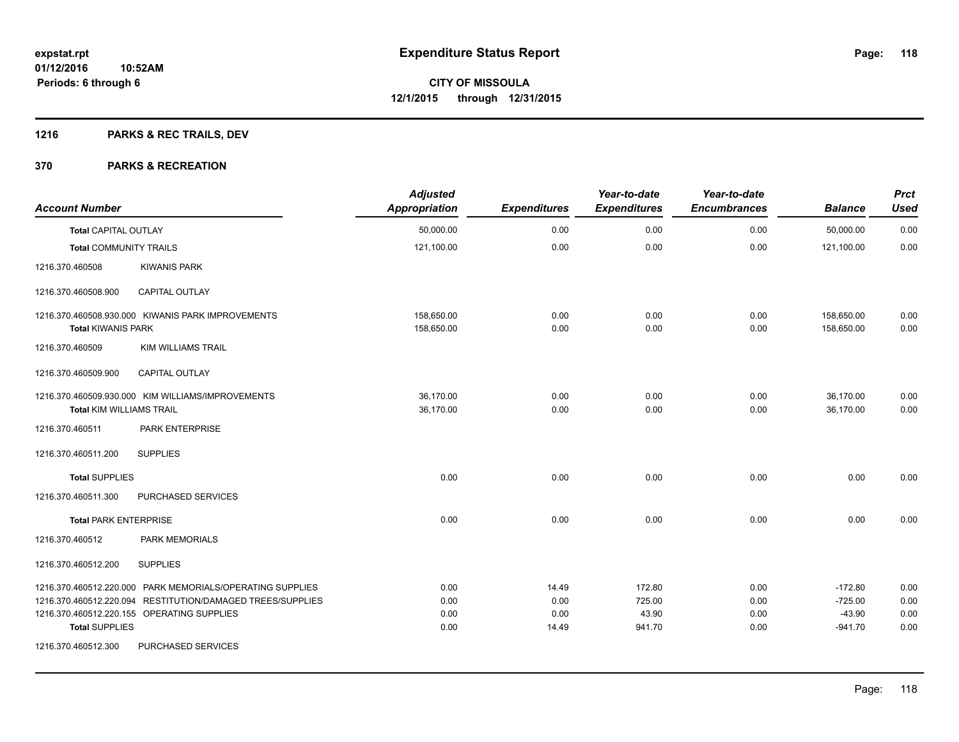# **1216 PARKS & REC TRAILS, DEV**

| <b>Account Number</b>           |                                                                                                                                                                       | <b>Adjusted</b><br><b>Appropriation</b> | <b>Expenditures</b>            | Year-to-date<br><b>Expenditures</b> | Year-to-date<br><b>Encumbrances</b> | <b>Balance</b>                                  | <b>Prct</b><br><b>Used</b>   |
|---------------------------------|-----------------------------------------------------------------------------------------------------------------------------------------------------------------------|-----------------------------------------|--------------------------------|-------------------------------------|-------------------------------------|-------------------------------------------------|------------------------------|
| <b>Total CAPITAL OUTLAY</b>     |                                                                                                                                                                       | 50,000.00                               | 0.00                           | 0.00                                | 0.00                                | 50,000.00                                       | 0.00                         |
| <b>Total COMMUNITY TRAILS</b>   |                                                                                                                                                                       | 121,100.00                              | 0.00                           | 0.00                                | 0.00                                | 121,100.00                                      | 0.00                         |
| 1216.370.460508                 | <b>KIWANIS PARK</b>                                                                                                                                                   |                                         |                                |                                     |                                     |                                                 |                              |
| 1216.370.460508.900             | <b>CAPITAL OUTLAY</b>                                                                                                                                                 |                                         |                                |                                     |                                     |                                                 |                              |
| <b>Total KIWANIS PARK</b>       | 1216.370.460508.930.000 KIWANIS PARK IMPROVEMENTS                                                                                                                     | 158,650.00<br>158,650.00                | 0.00<br>0.00                   | 0.00<br>0.00                        | 0.00<br>0.00                        | 158,650.00<br>158,650.00                        | 0.00<br>0.00                 |
| 1216.370.460509                 | <b>KIM WILLIAMS TRAIL</b>                                                                                                                                             |                                         |                                |                                     |                                     |                                                 |                              |
| 1216.370.460509.900             | CAPITAL OUTLAY                                                                                                                                                        |                                         |                                |                                     |                                     |                                                 |                              |
| <b>Total KIM WILLIAMS TRAIL</b> | 1216.370.460509.930.000 KIM WILLIAMS/IMPROVEMENTS                                                                                                                     | 36,170.00<br>36,170.00                  | 0.00<br>0.00                   | 0.00<br>0.00                        | 0.00<br>0.00                        | 36,170.00<br>36,170.00                          | 0.00<br>0.00                 |
| 1216.370.460511                 | PARK ENTERPRISE                                                                                                                                                       |                                         |                                |                                     |                                     |                                                 |                              |
| 1216.370.460511.200             | <b>SUPPLIES</b>                                                                                                                                                       |                                         |                                |                                     |                                     |                                                 |                              |
| <b>Total SUPPLIES</b>           |                                                                                                                                                                       | 0.00                                    | 0.00                           | 0.00                                | 0.00                                | 0.00                                            | 0.00                         |
| 1216.370.460511.300             | PURCHASED SERVICES                                                                                                                                                    |                                         |                                |                                     |                                     |                                                 |                              |
| <b>Total PARK ENTERPRISE</b>    |                                                                                                                                                                       | 0.00                                    | 0.00                           | 0.00                                | 0.00                                | 0.00                                            | 0.00                         |
| 1216.370.460512                 | PARK MEMORIALS                                                                                                                                                        |                                         |                                |                                     |                                     |                                                 |                              |
| 1216.370.460512.200             | <b>SUPPLIES</b>                                                                                                                                                       |                                         |                                |                                     |                                     |                                                 |                              |
| <b>Total SUPPLIES</b>           | 1216.370.460512.220.000 PARK MEMORIALS/OPERATING SUPPLIES<br>1216.370.460512.220.094 RESTITUTION/DAMAGED TREES/SUPPLIES<br>1216.370.460512.220.155 OPERATING SUPPLIES | 0.00<br>0.00<br>0.00<br>0.00            | 14.49<br>0.00<br>0.00<br>14.49 | 172.80<br>725.00<br>43.90<br>941.70 | 0.00<br>0.00<br>0.00<br>0.00        | $-172.80$<br>$-725.00$<br>$-43.90$<br>$-941.70$ | 0.00<br>0.00<br>0.00<br>0.00 |
| 1216.370.460512.300             | PURCHASED SERVICES                                                                                                                                                    |                                         |                                |                                     |                                     |                                                 |                              |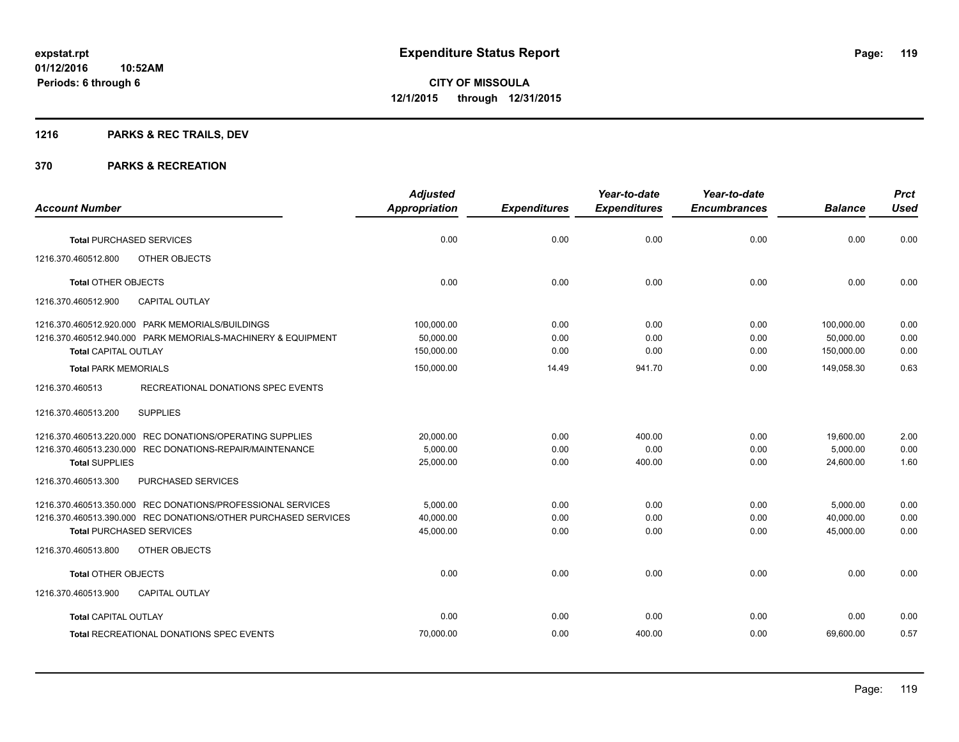# **1216 PARKS & REC TRAILS, DEV**

|                                                                | <b>Adjusted</b>      |                     | Year-to-date        | Year-to-date        |                | <b>Prct</b> |
|----------------------------------------------------------------|----------------------|---------------------|---------------------|---------------------|----------------|-------------|
| <b>Account Number</b>                                          | <b>Appropriation</b> | <b>Expenditures</b> | <b>Expenditures</b> | <b>Encumbrances</b> | <b>Balance</b> | <b>Used</b> |
| <b>Total PURCHASED SERVICES</b>                                | 0.00                 | 0.00                | 0.00                | 0.00                | 0.00           | 0.00        |
| 1216.370.460512.800<br><b>OTHER OBJECTS</b>                    |                      |                     |                     |                     |                |             |
| <b>Total OTHER OBJECTS</b>                                     | 0.00                 | 0.00                | 0.00                | 0.00                | 0.00           | 0.00        |
| <b>CAPITAL OUTLAY</b><br>1216.370.460512.900                   |                      |                     |                     |                     |                |             |
| 1216.370.460512.920.000 PARK MEMORIALS/BUILDINGS               | 100,000.00           | 0.00                | 0.00                | 0.00                | 100,000.00     | 0.00        |
| 1216.370.460512.940.000 PARK MEMORIALS-MACHINERY & EQUIPMENT   | 50.000.00            | 0.00                | 0.00                | 0.00                | 50.000.00      | 0.00        |
| <b>Total CAPITAL OUTLAY</b>                                    | 150,000.00           | 0.00                | 0.00                | 0.00                | 150,000.00     | 0.00        |
| <b>Total PARK MEMORIALS</b>                                    | 150.000.00           | 14.49               | 941.70              | 0.00                | 149.058.30     | 0.63        |
| RECREATIONAL DONATIONS SPEC EVENTS<br>1216.370.460513          |                      |                     |                     |                     |                |             |
| 1216.370.460513.200<br><b>SUPPLIES</b>                         |                      |                     |                     |                     |                |             |
| 1216.370.460513.220.000 REC DONATIONS/OPERATING SUPPLIES       | 20,000.00            | 0.00                | 400.00              | 0.00                | 19,600.00      | 2.00        |
| 1216.370.460513.230.000 REC DONATIONS-REPAIR/MAINTENANCE       | 5,000.00             | 0.00                | 0.00                | 0.00                | 5,000.00       | 0.00        |
| <b>Total SUPPLIES</b>                                          | 25,000.00            | 0.00                | 400.00              | 0.00                | 24,600.00      | 1.60        |
| PURCHASED SERVICES<br>1216.370.460513.300                      |                      |                     |                     |                     |                |             |
| 1216.370.460513.350.000 REC DONATIONS/PROFESSIONAL SERVICES    | 5.000.00             | 0.00                | 0.00                | 0.00                | 5.000.00       | 0.00        |
| 1216.370.460513.390.000 REC DONATIONS/OTHER PURCHASED SERVICES | 40,000.00            | 0.00                | 0.00                | 0.00                | 40,000.00      | 0.00        |
| <b>Total PURCHASED SERVICES</b>                                | 45,000.00            | 0.00                | 0.00                | 0.00                | 45,000.00      | 0.00        |
| OTHER OBJECTS<br>1216.370.460513.800                           |                      |                     |                     |                     |                |             |
| <b>Total OTHER OBJECTS</b>                                     | 0.00                 | 0.00                | 0.00                | 0.00                | 0.00           | 0.00        |
| 1216.370.460513.900<br><b>CAPITAL OUTLAY</b>                   |                      |                     |                     |                     |                |             |
| <b>Total CAPITAL OUTLAY</b>                                    | 0.00                 | 0.00                | 0.00                | 0.00                | 0.00           | 0.00        |
| <b>Total RECREATIONAL DONATIONS SPEC EVENTS</b>                | 70,000.00            | 0.00                | 400.00              | 0.00                | 69,600.00      | 0.57        |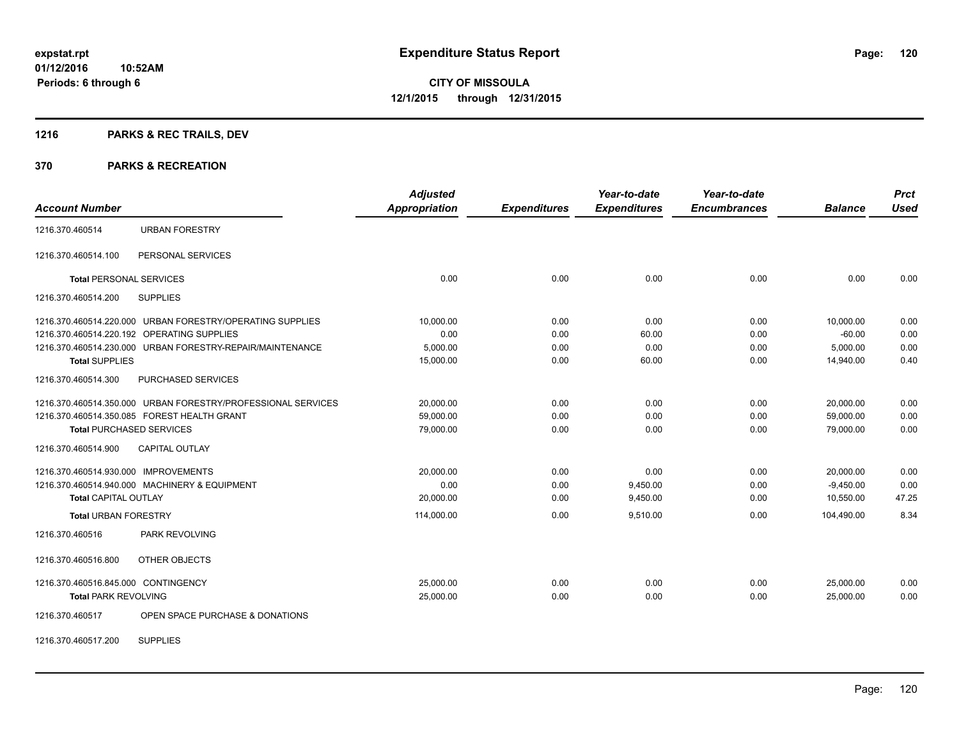# **1216 PARKS & REC TRAILS, DEV**

#### **370 PARKS & RECREATION**

| <b>Account Number</b>                |                                                              | <b>Adjusted</b><br><b>Appropriation</b> | <b>Expenditures</b> | Year-to-date<br><b>Expenditures</b> | Year-to-date<br><b>Encumbrances</b> | <b>Balance</b> | <b>Prct</b><br><b>Used</b> |
|--------------------------------------|--------------------------------------------------------------|-----------------------------------------|---------------------|-------------------------------------|-------------------------------------|----------------|----------------------------|
| 1216.370.460514                      | <b>URBAN FORESTRY</b>                                        |                                         |                     |                                     |                                     |                |                            |
| 1216.370.460514.100                  | PERSONAL SERVICES                                            |                                         |                     |                                     |                                     |                |                            |
| <b>Total PERSONAL SERVICES</b>       |                                                              | 0.00                                    | 0.00                | 0.00                                | 0.00                                | 0.00           | 0.00                       |
| 1216.370.460514.200                  | <b>SUPPLIES</b>                                              |                                         |                     |                                     |                                     |                |                            |
| 1216.370.460514.220.000              | URBAN FORESTRY/OPERATING SUPPLIES                            | 10,000.00                               | 0.00                | 0.00                                | 0.00                                | 10,000.00      | 0.00                       |
|                                      | 1216.370.460514.220.192 OPERATING SUPPLIES                   | 0.00                                    | 0.00                | 60.00                               | 0.00                                | $-60.00$       | 0.00                       |
| 1216.370.460514.230.000              | URBAN FORESTRY-REPAIR/MAINTENANCE                            | 5,000.00                                | 0.00                | 0.00                                | 0.00                                | 5,000.00       | 0.00                       |
| <b>Total SUPPLIES</b>                |                                                              | 15,000.00                               | 0.00                | 60.00                               | 0.00                                | 14.940.00      | 0.40                       |
| 1216.370.460514.300                  | PURCHASED SERVICES                                           |                                         |                     |                                     |                                     |                |                            |
|                                      | 1216.370.460514.350.000 URBAN FORESTRY/PROFESSIONAL SERVICES | 20,000.00                               | 0.00                | 0.00                                | 0.00                                | 20,000.00      | 0.00                       |
|                                      | 1216.370.460514.350.085 FOREST HEALTH GRANT                  | 59,000.00                               | 0.00                | 0.00                                | 0.00                                | 59,000.00      | 0.00                       |
| <b>Total PURCHASED SERVICES</b>      |                                                              | 79,000.00                               | 0.00                | 0.00                                | 0.00                                | 79,000.00      | 0.00                       |
| 1216.370.460514.900                  | <b>CAPITAL OUTLAY</b>                                        |                                         |                     |                                     |                                     |                |                            |
| 1216.370.460514.930.000 IMPROVEMENTS |                                                              | 20,000.00                               | 0.00                | 0.00                                | 0.00                                | 20,000.00      | 0.00                       |
|                                      | 1216.370.460514.940.000 MACHINERY & EQUIPMENT                | 0.00                                    | 0.00                | 9,450.00                            | 0.00                                | $-9,450.00$    | 0.00                       |
| <b>Total CAPITAL OUTLAY</b>          |                                                              | 20,000.00                               | 0.00                | 9,450.00                            | 0.00                                | 10,550.00      | 47.25                      |
| <b>Total URBAN FORESTRY</b>          |                                                              | 114,000.00                              | 0.00                | 9,510.00                            | 0.00                                | 104,490.00     | 8.34                       |
| 1216.370.460516                      | PARK REVOLVING                                               |                                         |                     |                                     |                                     |                |                            |
| 1216.370.460516.800                  | OTHER OBJECTS                                                |                                         |                     |                                     |                                     |                |                            |
| 1216.370.460516.845.000 CONTINGENCY  |                                                              | 25,000.00                               | 0.00                | 0.00                                | 0.00                                | 25,000.00      | 0.00                       |
| <b>Total PARK REVOLVING</b>          |                                                              | 25,000.00                               | 0.00                | 0.00                                | 0.00                                | 25,000.00      | 0.00                       |
| 1216.370.460517                      | OPEN SPACE PURCHASE & DONATIONS                              |                                         |                     |                                     |                                     |                |                            |

1216.370.460517.200 SUPPLIES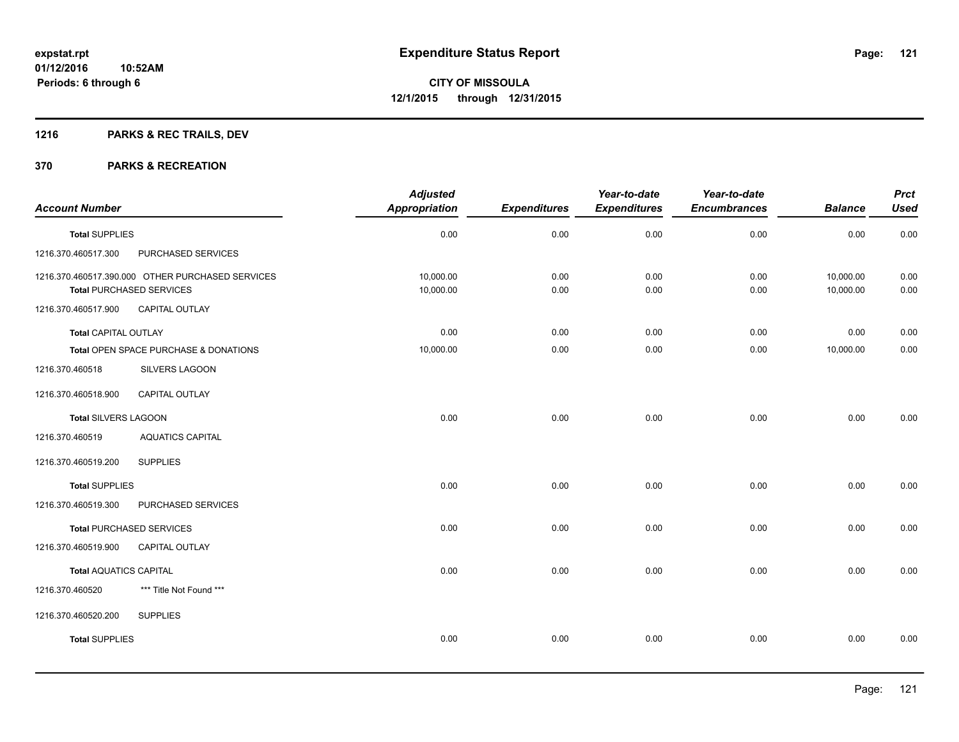# **1216 PARKS & REC TRAILS, DEV**

| <b>Account Number</b>         |                                                                                     | <b>Adjusted</b><br><b>Appropriation</b> | <b>Expenditures</b> | Year-to-date<br><b>Expenditures</b> | Year-to-date<br><b>Encumbrances</b> | <b>Balance</b>         | <b>Prct</b><br><b>Used</b> |
|-------------------------------|-------------------------------------------------------------------------------------|-----------------------------------------|---------------------|-------------------------------------|-------------------------------------|------------------------|----------------------------|
| <b>Total SUPPLIES</b>         |                                                                                     | 0.00                                    | 0.00                | 0.00                                | 0.00                                | 0.00                   | 0.00                       |
| 1216.370.460517.300           | PURCHASED SERVICES                                                                  |                                         |                     |                                     |                                     |                        |                            |
|                               | 1216.370.460517.390.000 OTHER PURCHASED SERVICES<br><b>Total PURCHASED SERVICES</b> | 10,000.00<br>10,000.00                  | 0.00<br>0.00        | 0.00<br>0.00                        | 0.00<br>0.00                        | 10,000.00<br>10,000.00 | 0.00<br>0.00               |
| 1216.370.460517.900           | CAPITAL OUTLAY                                                                      |                                         |                     |                                     |                                     |                        |                            |
| <b>Total CAPITAL OUTLAY</b>   |                                                                                     | 0.00                                    | 0.00                | 0.00                                | 0.00                                | 0.00                   | 0.00                       |
|                               | Total OPEN SPACE PURCHASE & DONATIONS                                               | 10,000.00                               | 0.00                | 0.00                                | 0.00                                | 10,000.00              | 0.00                       |
| 1216.370.460518               | SILVERS LAGOON                                                                      |                                         |                     |                                     |                                     |                        |                            |
| 1216.370.460518.900           | CAPITAL OUTLAY                                                                      |                                         |                     |                                     |                                     |                        |                            |
| <b>Total SILVERS LAGOON</b>   |                                                                                     | 0.00                                    | 0.00                | 0.00                                | 0.00                                | 0.00                   | 0.00                       |
| 1216.370.460519               | <b>AQUATICS CAPITAL</b>                                                             |                                         |                     |                                     |                                     |                        |                            |
| 1216.370.460519.200           | <b>SUPPLIES</b>                                                                     |                                         |                     |                                     |                                     |                        |                            |
| <b>Total SUPPLIES</b>         |                                                                                     | 0.00                                    | 0.00                | 0.00                                | 0.00                                | 0.00                   | 0.00                       |
| 1216.370.460519.300           | PURCHASED SERVICES                                                                  |                                         |                     |                                     |                                     |                        |                            |
|                               | <b>Total PURCHASED SERVICES</b>                                                     | 0.00                                    | 0.00                | 0.00                                | 0.00                                | 0.00                   | 0.00                       |
| 1216.370.460519.900           | <b>CAPITAL OUTLAY</b>                                                               |                                         |                     |                                     |                                     |                        |                            |
| <b>Total AQUATICS CAPITAL</b> |                                                                                     | 0.00                                    | 0.00                | 0.00                                | 0.00                                | 0.00                   | 0.00                       |
| 1216.370.460520               | *** Title Not Found ***                                                             |                                         |                     |                                     |                                     |                        |                            |
| 1216.370.460520.200           | <b>SUPPLIES</b>                                                                     |                                         |                     |                                     |                                     |                        |                            |
| <b>Total SUPPLIES</b>         |                                                                                     | 0.00                                    | 0.00                | 0.00                                | 0.00                                | 0.00                   | 0.00                       |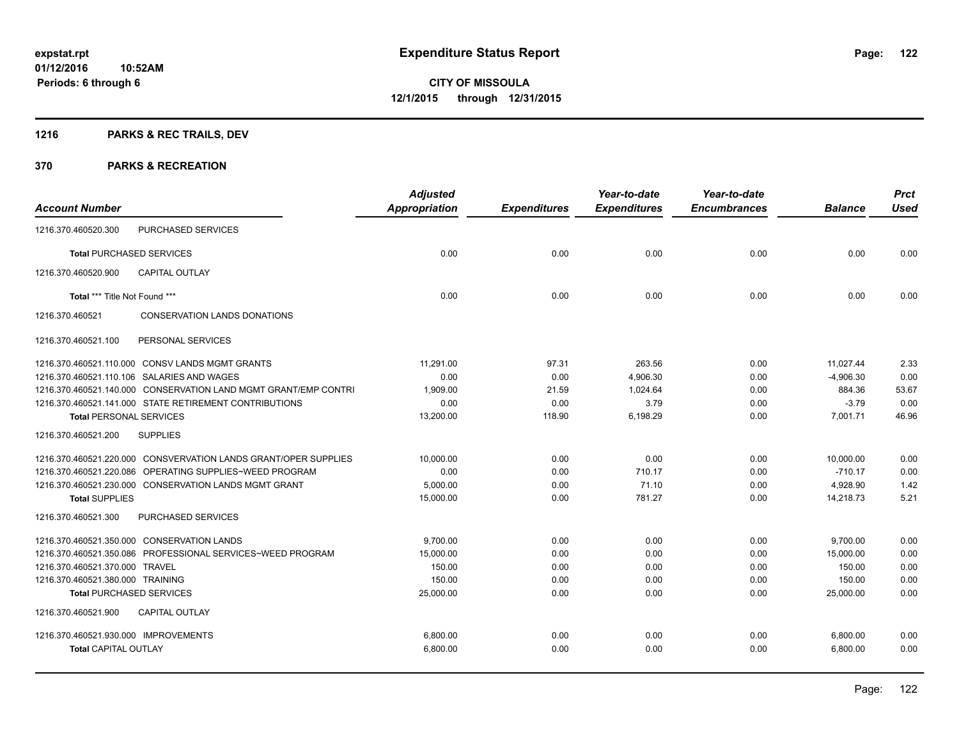# **1216 PARKS & REC TRAILS, DEV**

| <b>Account Number</b>                                           | <b>Adjusted</b><br><b>Appropriation</b> | <b>Expenditures</b> | Year-to-date<br><b>Expenditures</b> | Year-to-date<br><b>Encumbrances</b> | <b>Balance</b> | <b>Prct</b><br><b>Used</b> |
|-----------------------------------------------------------------|-----------------------------------------|---------------------|-------------------------------------|-------------------------------------|----------------|----------------------------|
|                                                                 |                                         |                     |                                     |                                     |                |                            |
| PURCHASED SERVICES<br>1216.370.460520.300                       |                                         |                     |                                     |                                     |                |                            |
| <b>Total PURCHASED SERVICES</b>                                 | 0.00                                    | 0.00                | 0.00                                | 0.00                                | 0.00           | 0.00                       |
| 1216.370.460520.900<br><b>CAPITAL OUTLAY</b>                    |                                         |                     |                                     |                                     |                |                            |
| Total *** Title Not Found ***                                   | 0.00                                    | 0.00                | 0.00                                | 0.00                                | 0.00           | 0.00                       |
| 1216.370.460521<br><b>CONSERVATION LANDS DONATIONS</b>          |                                         |                     |                                     |                                     |                |                            |
| PERSONAL SERVICES<br>1216.370.460521.100                        |                                         |                     |                                     |                                     |                |                            |
| 1216.370.460521.110.000 CONSV LANDS MGMT GRANTS                 | 11.291.00                               | 97.31               | 263.56                              | 0.00                                | 11.027.44      | 2.33                       |
| 1216.370.460521.110.106 SALARIES AND WAGES                      | 0.00                                    | 0.00                | 4,906.30                            | 0.00                                | $-4,906.30$    | 0.00                       |
| 1216.370.460521.140.000 CONSERVATION LAND MGMT GRANT/EMP CONTRI | 1,909.00                                | 21.59               | 1,024.64                            | 0.00                                | 884.36         | 53.67                      |
| 1216.370.460521.141.000 STATE RETIREMENT CONTRIBUTIONS          | 0.00                                    | 0.00                | 3.79                                | 0.00                                | $-3.79$        | 0.00                       |
| <b>Total PERSONAL SERVICES</b>                                  | 13,200.00                               | 118.90              | 6,198.29                            | 0.00                                | 7,001.71       | 46.96                      |
| <b>SUPPLIES</b><br>1216.370.460521.200                          |                                         |                     |                                     |                                     |                |                            |
| 1216.370.460521.220.000 CONSVERVATION LANDS GRANT/OPER SUPPLIES | 10,000.00                               | 0.00                | 0.00                                | 0.00                                | 10,000.00      | 0.00                       |
| 1216.370.460521.220.086 OPERATING SUPPLIES~WEED PROGRAM         | 0.00                                    | 0.00                | 710.17                              | 0.00                                | $-710.17$      | 0.00                       |
| 1216.370.460521.230.000 CONSERVATION LANDS MGMT GRANT           | 5,000.00                                | 0.00                | 71.10                               | 0.00                                | 4,928.90       | 1.42                       |
| <b>Total SUPPLIES</b>                                           | 15,000.00                               | 0.00                | 781.27                              | 0.00                                | 14,218.73      | 5.21                       |
| 1216.370.460521.300<br>PURCHASED SERVICES                       |                                         |                     |                                     |                                     |                |                            |
| 1216.370.460521.350.000 CONSERVATION LANDS                      | 9.700.00                                | 0.00                | 0.00                                | 0.00                                | 9,700.00       | 0.00                       |
| 1216.370.460521.350.086 PROFESSIONAL SERVICES~WEED PROGRAM      | 15,000.00                               | 0.00                | 0.00                                | 0.00                                | 15,000.00      | 0.00                       |
| 1216.370.460521.370.000 TRAVEL                                  | 150.00                                  | 0.00                | 0.00                                | 0.00                                | 150.00         | 0.00                       |
| 1216.370.460521.380.000 TRAINING                                | 150.00                                  | 0.00                | 0.00                                | 0.00                                | 150.00         | 0.00                       |
| <b>Total PURCHASED SERVICES</b>                                 | 25,000.00                               | 0.00                | 0.00                                | 0.00                                | 25,000.00      | 0.00                       |
| <b>CAPITAL OUTLAY</b><br>1216.370.460521.900                    |                                         |                     |                                     |                                     |                |                            |
| 1216.370.460521.930.000 IMPROVEMENTS                            | 6.800.00                                | 0.00                | 0.00                                | 0.00                                | 6,800.00       | 0.00                       |
| <b>Total CAPITAL OUTLAY</b>                                     | 6,800.00                                | 0.00                | 0.00                                | 0.00                                | 6,800.00       | 0.00                       |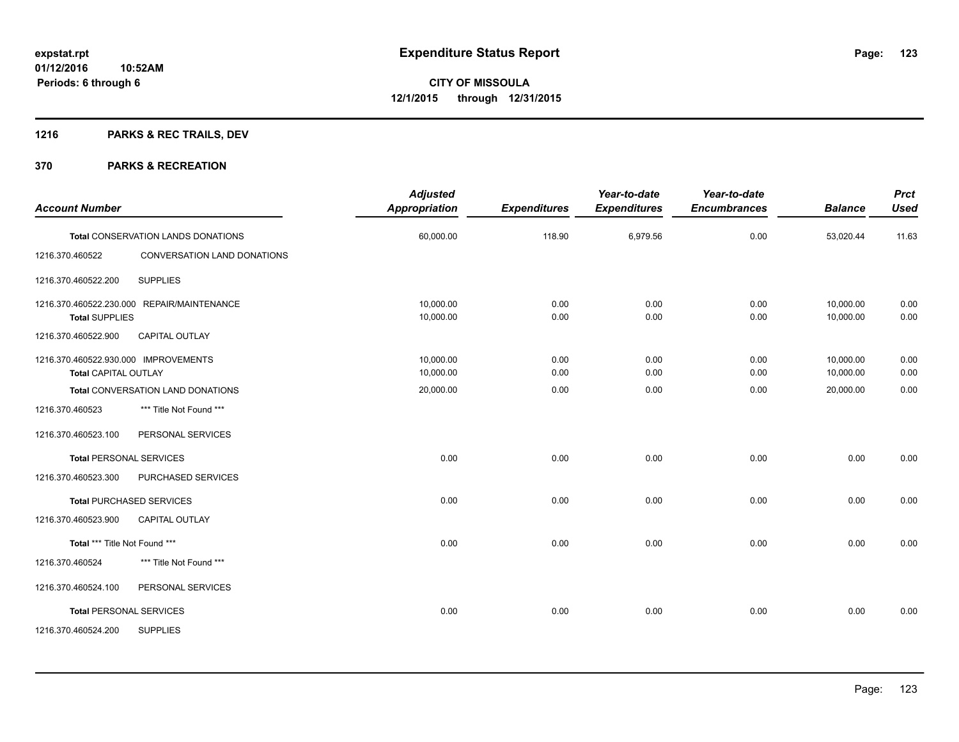# **1216 PARKS & REC TRAILS, DEV**

| <b>Account Number</b>                                               |                                            | <b>Adjusted</b><br><b>Appropriation</b> | <b>Expenditures</b> | Year-to-date<br><b>Expenditures</b> | Year-to-date<br><b>Encumbrances</b> | <b>Balance</b>         | <b>Prct</b><br><b>Used</b> |
|---------------------------------------------------------------------|--------------------------------------------|-----------------------------------------|---------------------|-------------------------------------|-------------------------------------|------------------------|----------------------------|
|                                                                     | Total CONSERVATION LANDS DONATIONS         | 60,000.00                               | 118.90              | 6,979.56                            | 0.00                                | 53,020.44              | 11.63                      |
| 1216.370.460522                                                     | CONVERSATION LAND DONATIONS                |                                         |                     |                                     |                                     |                        |                            |
| 1216.370.460522.200                                                 | <b>SUPPLIES</b>                            |                                         |                     |                                     |                                     |                        |                            |
| <b>Total SUPPLIES</b>                                               | 1216.370.460522.230.000 REPAIR/MAINTENANCE | 10,000.00<br>10,000.00                  | 0.00<br>0.00        | 0.00<br>0.00                        | 0.00<br>0.00                        | 10,000.00<br>10,000.00 | 0.00<br>0.00               |
| 1216.370.460522.900                                                 | <b>CAPITAL OUTLAY</b>                      |                                         |                     |                                     |                                     |                        |                            |
| 1216.370.460522.930.000 IMPROVEMENTS<br><b>Total CAPITAL OUTLAY</b> |                                            | 10,000.00<br>10,000.00                  | 0.00<br>0.00        | 0.00<br>0.00                        | 0.00<br>0.00                        | 10,000.00<br>10,000.00 | 0.00<br>0.00               |
|                                                                     | Total CONVERSATION LAND DONATIONS          | 20,000.00                               | 0.00                | 0.00                                | 0.00                                | 20,000.00              | 0.00                       |
| 1216.370.460523                                                     | *** Title Not Found ***                    |                                         |                     |                                     |                                     |                        |                            |
| 1216.370.460523.100                                                 | PERSONAL SERVICES                          |                                         |                     |                                     |                                     |                        |                            |
|                                                                     | <b>Total PERSONAL SERVICES</b>             | 0.00                                    | 0.00                | 0.00                                | 0.00                                | 0.00                   | 0.00                       |
| 1216.370.460523.300                                                 | PURCHASED SERVICES                         |                                         |                     |                                     |                                     |                        |                            |
|                                                                     | <b>Total PURCHASED SERVICES</b>            | 0.00                                    | 0.00                | 0.00                                | 0.00                                | 0.00                   | 0.00                       |
| 1216.370.460523.900                                                 | CAPITAL OUTLAY                             |                                         |                     |                                     |                                     |                        |                            |
| Total *** Title Not Found ***                                       |                                            | 0.00                                    | 0.00                | 0.00                                | 0.00                                | 0.00                   | 0.00                       |
| 1216.370.460524                                                     | *** Title Not Found ***                    |                                         |                     |                                     |                                     |                        |                            |
| 1216.370.460524.100                                                 | PERSONAL SERVICES                          |                                         |                     |                                     |                                     |                        |                            |
|                                                                     | <b>Total PERSONAL SERVICES</b>             | 0.00                                    | 0.00                | 0.00                                | 0.00                                | 0.00                   | 0.00                       |
| 1216.370.460524.200                                                 | <b>SUPPLIES</b>                            |                                         |                     |                                     |                                     |                        |                            |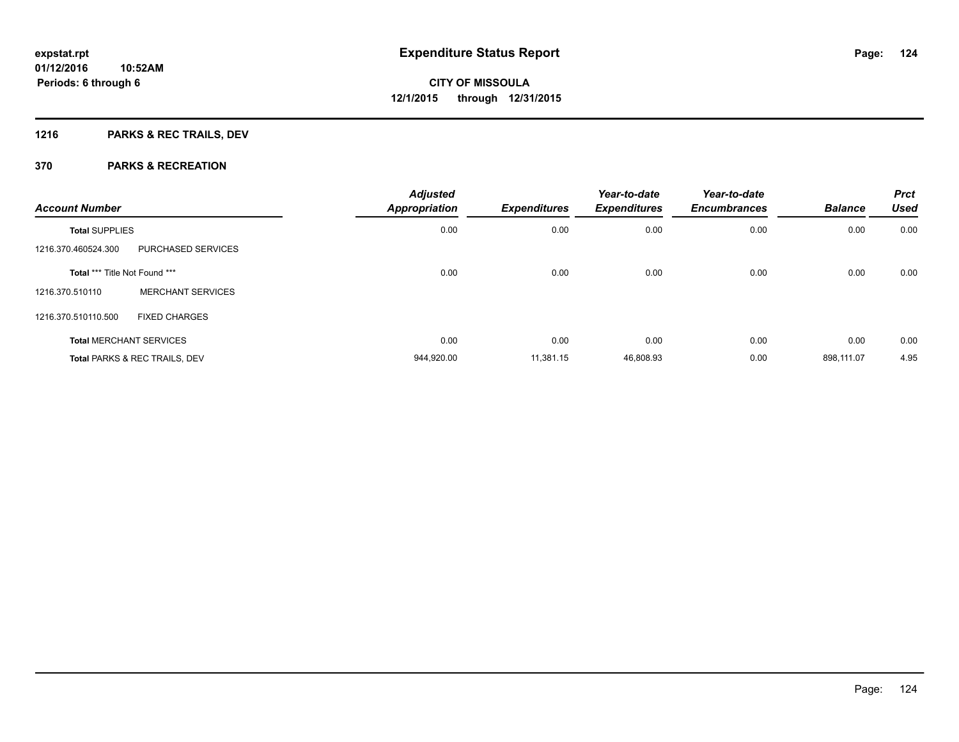# **1216 PARKS & REC TRAILS, DEV**

| <b>Account Number</b>         |                                          | <b>Adjusted</b><br><b>Appropriation</b> | <b>Expenditures</b> | Year-to-date<br><b>Expenditures</b> | Year-to-date<br><b>Encumbrances</b> | <b>Balance</b> | <b>Prct</b><br>Used |
|-------------------------------|------------------------------------------|-----------------------------------------|---------------------|-------------------------------------|-------------------------------------|----------------|---------------------|
| <b>Total SUPPLIES</b>         |                                          | 0.00                                    | 0.00                | 0.00                                | 0.00                                | 0.00           | 0.00                |
| 1216.370.460524.300           | PURCHASED SERVICES                       |                                         |                     |                                     |                                     |                |                     |
| Total *** Title Not Found *** |                                          | 0.00                                    | 0.00                | 0.00                                | 0.00                                | 0.00           | 0.00                |
| 1216.370.510110               | <b>MERCHANT SERVICES</b>                 |                                         |                     |                                     |                                     |                |                     |
| 1216.370.510110.500           | <b>FIXED CHARGES</b>                     |                                         |                     |                                     |                                     |                |                     |
|                               | <b>Total MERCHANT SERVICES</b>           | 0.00                                    | 0.00                | 0.00                                | 0.00                                | 0.00           | 0.00                |
|                               | <b>Total PARKS &amp; REC TRAILS, DEV</b> | 944,920.00                              | 11.381.15           | 46,808.93                           | 0.00                                | 898.111.07     | 4.95                |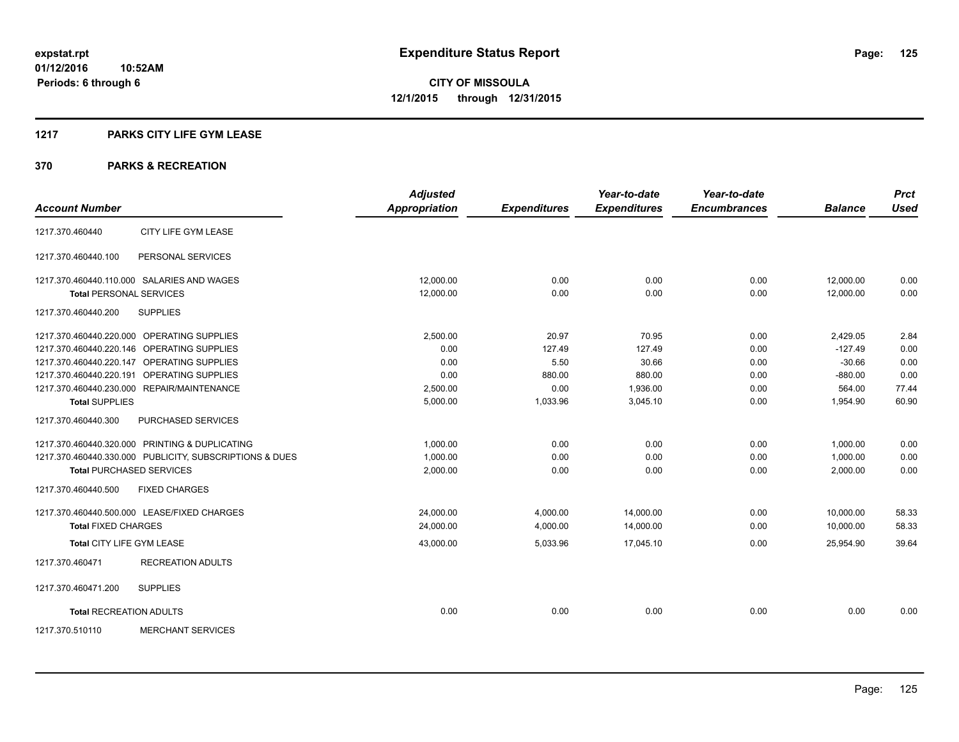# **1217 PARKS CITY LIFE GYM LEASE**

|                                 |                                                         | <b>Adjusted</b>      |                     | Year-to-date        | Year-to-date        |                | <b>Prct</b> |
|---------------------------------|---------------------------------------------------------|----------------------|---------------------|---------------------|---------------------|----------------|-------------|
| <b>Account Number</b>           |                                                         | <b>Appropriation</b> | <b>Expenditures</b> | <b>Expenditures</b> | <b>Encumbrances</b> | <b>Balance</b> | <b>Used</b> |
| 1217.370.460440                 | CITY LIFE GYM LEASE                                     |                      |                     |                     |                     |                |             |
| 1217.370.460440.100             | PERSONAL SERVICES                                       |                      |                     |                     |                     |                |             |
|                                 | 1217.370.460440.110.000 SALARIES AND WAGES              | 12.000.00            | 0.00                | 0.00                | 0.00                | 12,000.00      | 0.00        |
| <b>Total PERSONAL SERVICES</b>  |                                                         | 12.000.00            | 0.00                | 0.00                | 0.00                | 12.000.00      | 0.00        |
| 1217.370.460440.200             | <b>SUPPLIES</b>                                         |                      |                     |                     |                     |                |             |
|                                 | 1217.370.460440.220.000 OPERATING SUPPLIES              | 2,500.00             | 20.97               | 70.95               | 0.00                | 2,429.05       | 2.84        |
|                                 | 1217.370.460440.220.146 OPERATING SUPPLIES              | 0.00                 | 127.49              | 127.49              | 0.00                | $-127.49$      | 0.00        |
|                                 | 1217.370.460440.220.147 OPERATING SUPPLIES              | 0.00                 | 5.50                | 30.66               | 0.00                | $-30.66$       | 0.00        |
|                                 | 1217.370.460440.220.191 OPERATING SUPPLIES              | 0.00                 | 880.00              | 880.00              | 0.00                | $-880.00$      | 0.00        |
|                                 | 1217.370.460440.230.000 REPAIR/MAINTENANCE              | 2.500.00             | 0.00                | 1.936.00            | 0.00                | 564.00         | 77.44       |
| <b>Total SUPPLIES</b>           |                                                         | 5,000.00             | 1,033.96            | 3,045.10            | 0.00                | 1,954.90       | 60.90       |
| 1217.370.460440.300             | PURCHASED SERVICES                                      |                      |                     |                     |                     |                |             |
|                                 | 1217.370.460440.320.000 PRINTING & DUPLICATING          | 1,000.00             | 0.00                | 0.00                | 0.00                | 1,000.00       | 0.00        |
|                                 | 1217.370.460440.330.000 PUBLICITY, SUBSCRIPTIONS & DUES | 1,000.00             | 0.00                | 0.00                | 0.00                | 1,000.00       | 0.00        |
| <b>Total PURCHASED SERVICES</b> |                                                         | 2,000.00             | 0.00                | 0.00                | 0.00                | 2,000.00       | 0.00        |
| 1217.370.460440.500             | <b>FIXED CHARGES</b>                                    |                      |                     |                     |                     |                |             |
|                                 | 1217.370.460440.500.000 LEASE/FIXED CHARGES             | 24,000.00            | 4,000.00            | 14,000.00           | 0.00                | 10,000.00      | 58.33       |
| <b>Total FIXED CHARGES</b>      |                                                         | 24,000.00            | 4,000.00            | 14.000.00           | 0.00                | 10.000.00      | 58.33       |
| Total CITY LIFE GYM LEASE       |                                                         | 43,000.00            | 5,033.96            | 17,045.10           | 0.00                | 25,954.90      | 39.64       |
| 1217.370.460471                 | <b>RECREATION ADULTS</b>                                |                      |                     |                     |                     |                |             |
| 1217.370.460471.200             | <b>SUPPLIES</b>                                         |                      |                     |                     |                     |                |             |
| <b>Total RECREATION ADULTS</b>  |                                                         | 0.00                 | 0.00                | 0.00                | 0.00                | 0.00           | 0.00        |
| 1217.370.510110                 | <b>MERCHANT SERVICES</b>                                |                      |                     |                     |                     |                |             |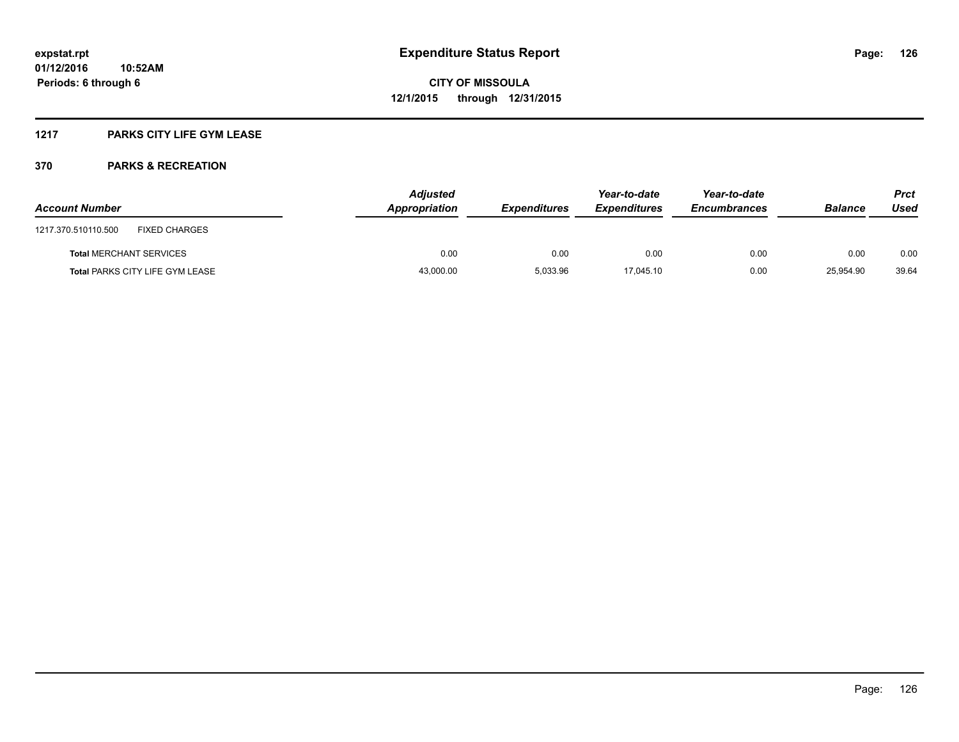# **1217 PARKS CITY LIFE GYM LEASE**

| <b>Account Number</b>                       | <b>Adjusted</b><br>Appropriation | <b>Expenditures</b> | Year-to-date<br><b>Expenditures</b> | Year-to-date<br><b>Encumbrances</b> | <b>Balance</b> | Prct<br>Used |
|---------------------------------------------|----------------------------------|---------------------|-------------------------------------|-------------------------------------|----------------|--------------|
| <b>FIXED CHARGES</b><br>1217.370.510110.500 |                                  |                     |                                     |                                     |                |              |
| <b>Total MERCHANT SERVICES</b>              | 0.00                             | 0.00                | 0.00                                | 0.00                                | 0.00           | 0.00         |
| <b>Total PARKS CITY LIFE GYM LEASE</b>      | 43,000.00                        | 5,033.96            | 17.045.10                           | 0.00                                | 25,954.90      | 39.64        |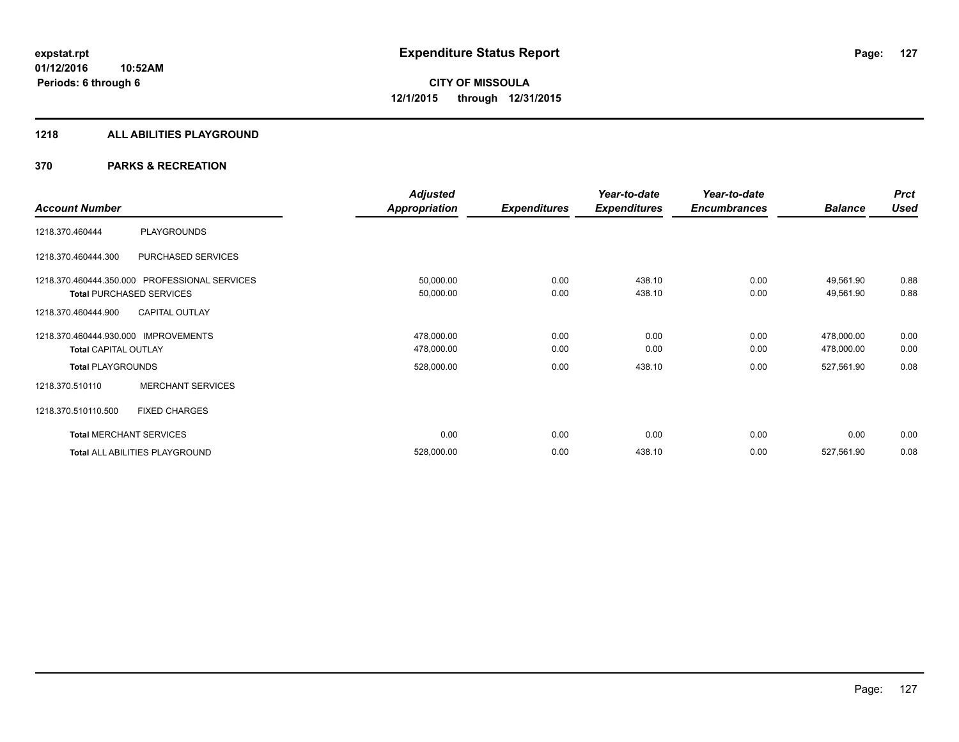### **1218 ALL ABILITIES PLAYGROUND**

|                                      |                                               | <b>Adjusted</b>      |                     | Year-to-date        | Year-to-date        |                | <b>Prct</b> |
|--------------------------------------|-----------------------------------------------|----------------------|---------------------|---------------------|---------------------|----------------|-------------|
| <b>Account Number</b>                |                                               | <b>Appropriation</b> | <b>Expenditures</b> | <b>Expenditures</b> | <b>Encumbrances</b> | <b>Balance</b> | <b>Used</b> |
| 1218.370.460444                      | PLAYGROUNDS                                   |                      |                     |                     |                     |                |             |
| 1218.370.460444.300                  | PURCHASED SERVICES                            |                      |                     |                     |                     |                |             |
|                                      | 1218.370.460444.350.000 PROFESSIONAL SERVICES | 50,000.00            | 0.00                | 438.10              | 0.00                | 49,561.90      | 0.88        |
|                                      | <b>Total PURCHASED SERVICES</b>               | 50,000.00            | 0.00                | 438.10              | 0.00                | 49,561.90      | 0.88        |
| 1218.370.460444.900                  | <b>CAPITAL OUTLAY</b>                         |                      |                     |                     |                     |                |             |
| 1218.370.460444.930.000 IMPROVEMENTS |                                               | 478,000.00           | 0.00                | 0.00                | 0.00                | 478,000.00     | 0.00        |
| <b>Total CAPITAL OUTLAY</b>          |                                               | 478,000.00           | 0.00                | 0.00                | 0.00                | 478,000.00     | 0.00        |
| <b>Total PLAYGROUNDS</b>             |                                               | 528,000.00           | 0.00                | 438.10              | 0.00                | 527,561.90     | 0.08        |
| 1218.370.510110                      | <b>MERCHANT SERVICES</b>                      |                      |                     |                     |                     |                |             |
| 1218.370.510110.500                  | <b>FIXED CHARGES</b>                          |                      |                     |                     |                     |                |             |
|                                      | <b>Total MERCHANT SERVICES</b>                | 0.00                 | 0.00                | 0.00                | 0.00                | 0.00           | 0.00        |
|                                      | Total ALL ABILITIES PLAYGROUND                | 528,000.00           | 0.00                | 438.10              | 0.00                | 527,561.90     | 0.08        |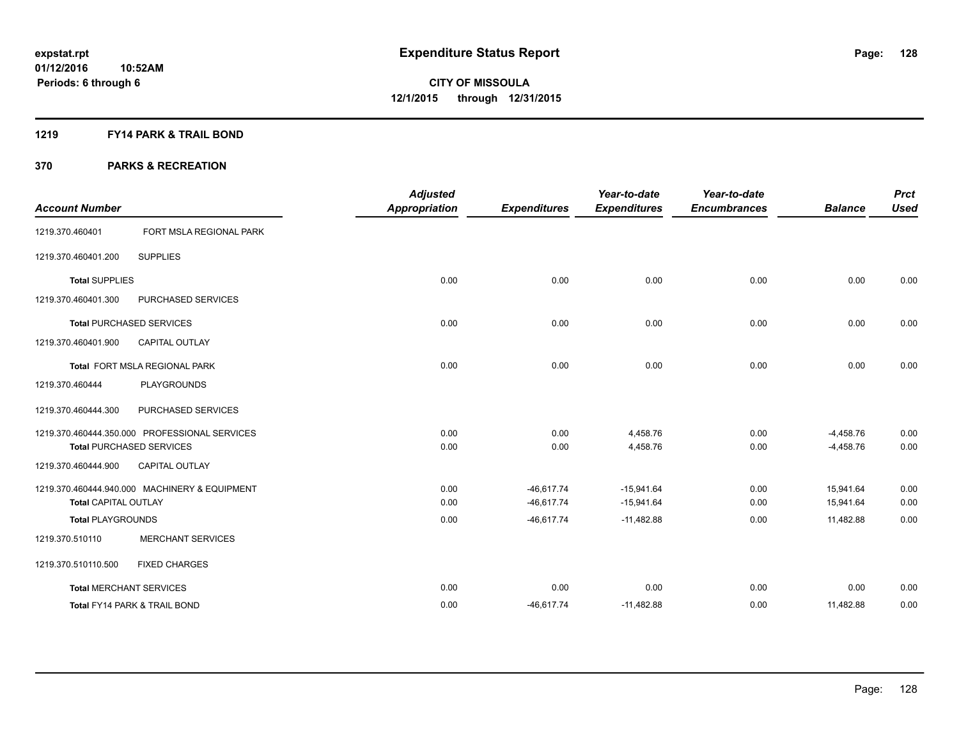# **1219 FY14 PARK & TRAIL BOND**

|                                 |                                               | <b>Adjusted</b>      |                     | Year-to-date        | Year-to-date        |                | <b>Prct</b> |
|---------------------------------|-----------------------------------------------|----------------------|---------------------|---------------------|---------------------|----------------|-------------|
| <b>Account Number</b>           |                                               | <b>Appropriation</b> | <b>Expenditures</b> | <b>Expenditures</b> | <b>Encumbrances</b> | <b>Balance</b> | <b>Used</b> |
| 1219.370.460401                 | FORT MSLA REGIONAL PARK                       |                      |                     |                     |                     |                |             |
| 1219.370.460401.200             | <b>SUPPLIES</b>                               |                      |                     |                     |                     |                |             |
| <b>Total SUPPLIES</b>           |                                               | 0.00                 | 0.00                | 0.00                | 0.00                | 0.00           | 0.00        |
| 1219.370.460401.300             | PURCHASED SERVICES                            |                      |                     |                     |                     |                |             |
| <b>Total PURCHASED SERVICES</b> |                                               | 0.00                 | 0.00                | 0.00                | 0.00                | 0.00           | 0.00        |
| 1219.370.460401.900             | <b>CAPITAL OUTLAY</b>                         |                      |                     |                     |                     |                |             |
|                                 | Total FORT MSLA REGIONAL PARK                 | 0.00                 | 0.00                | 0.00                | 0.00                | 0.00           | 0.00        |
| 1219.370.460444                 | <b>PLAYGROUNDS</b>                            |                      |                     |                     |                     |                |             |
| 1219.370.460444.300             | PURCHASED SERVICES                            |                      |                     |                     |                     |                |             |
|                                 | 1219.370.460444.350.000 PROFESSIONAL SERVICES | 0.00                 | 0.00                | 4,458.76            | 0.00                | $-4,458.76$    | 0.00        |
| <b>Total PURCHASED SERVICES</b> |                                               | 0.00                 | 0.00                | 4,458.76            | 0.00                | $-4,458.76$    | 0.00        |
| 1219.370.460444.900             | <b>CAPITAL OUTLAY</b>                         |                      |                     |                     |                     |                |             |
|                                 | 1219.370.460444.940.000 MACHINERY & EQUIPMENT | 0.00                 | $-46,617.74$        | $-15,941.64$        | 0.00                | 15,941.64      | 0.00        |
| <b>Total CAPITAL OUTLAY</b>     |                                               | 0.00                 | $-46,617.74$        | $-15,941.64$        | 0.00                | 15,941.64      | 0.00        |
| <b>Total PLAYGROUNDS</b>        |                                               | 0.00                 | $-46,617.74$        | $-11,482.88$        | 0.00                | 11,482.88      | 0.00        |
| 1219.370.510110                 | <b>MERCHANT SERVICES</b>                      |                      |                     |                     |                     |                |             |
| 1219.370.510110.500             | <b>FIXED CHARGES</b>                          |                      |                     |                     |                     |                |             |
| <b>Total MERCHANT SERVICES</b>  |                                               | 0.00                 | 0.00                | 0.00                | 0.00                | 0.00           | 0.00        |
| Total FY14 PARK & TRAIL BOND    |                                               | 0.00                 | $-46,617.74$        | $-11,482.88$        | 0.00                | 11,482.88      | 0.00        |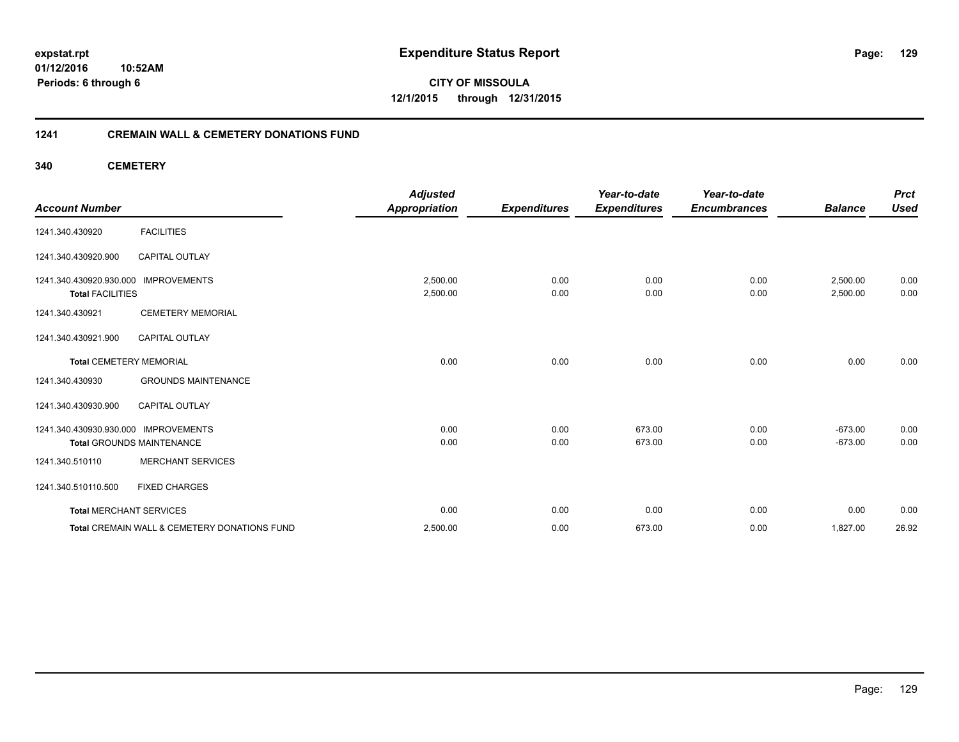**01/12/2016 10:52AM Periods: 6 through 6**

**CITY OF MISSOULA 12/1/2015 through 12/31/2015**

# **1241 CREMAIN WALL & CEMETERY DONATIONS FUND**

**340 CEMETERY**

| <b>Account Number</b>                              |                                              | <b>Adjusted</b><br><b>Appropriation</b> | <b>Expenditures</b> | Year-to-date<br><b>Expenditures</b> | Year-to-date<br><b>Encumbrances</b> | <b>Balance</b>       | <b>Prct</b><br><b>Used</b> |
|----------------------------------------------------|----------------------------------------------|-----------------------------------------|---------------------|-------------------------------------|-------------------------------------|----------------------|----------------------------|
| 1241.340.430920                                    | <b>FACILITIES</b>                            |                                         |                     |                                     |                                     |                      |                            |
| 1241.340.430920.900                                | <b>CAPITAL OUTLAY</b>                        |                                         |                     |                                     |                                     |                      |                            |
| 1241.340.430920.930.000<br><b>Total FACILITIES</b> | <b>IMPROVEMENTS</b>                          | 2.500.00<br>2,500.00                    | 0.00<br>0.00        | 0.00<br>0.00                        | 0.00<br>0.00                        | 2,500.00<br>2,500.00 | 0.00<br>0.00               |
| 1241.340.430921                                    | <b>CEMETERY MEMORIAL</b>                     |                                         |                     |                                     |                                     |                      |                            |
| 1241.340.430921.900                                | <b>CAPITAL OUTLAY</b>                        |                                         |                     |                                     |                                     |                      |                            |
| <b>Total CEMETERY MEMORIAL</b>                     |                                              | 0.00                                    | 0.00                | 0.00                                | 0.00                                | 0.00                 | 0.00                       |
| 1241.340.430930                                    | <b>GROUNDS MAINTENANCE</b>                   |                                         |                     |                                     |                                     |                      |                            |
| 1241.340.430930.900                                | <b>CAPITAL OUTLAY</b>                        |                                         |                     |                                     |                                     |                      |                            |
| 1241.340.430930.930.000 IMPROVEMENTS               |                                              | 0.00                                    | 0.00                | 673.00                              | 0.00                                | $-673.00$            | 0.00                       |
|                                                    | <b>Total GROUNDS MAINTENANCE</b>             | 0.00                                    | 0.00                | 673.00                              | 0.00                                | $-673.00$            | 0.00                       |
| 1241.340.510110                                    | <b>MERCHANT SERVICES</b>                     |                                         |                     |                                     |                                     |                      |                            |
| 1241.340.510110.500                                | <b>FIXED CHARGES</b>                         |                                         |                     |                                     |                                     |                      |                            |
| <b>Total MERCHANT SERVICES</b>                     |                                              | 0.00                                    | 0.00                | 0.00                                | 0.00                                | 0.00                 | 0.00                       |
|                                                    | Total CREMAIN WALL & CEMETERY DONATIONS FUND | 2,500.00                                | 0.00                | 673.00                              | 0.00                                | 1,827.00             | 26.92                      |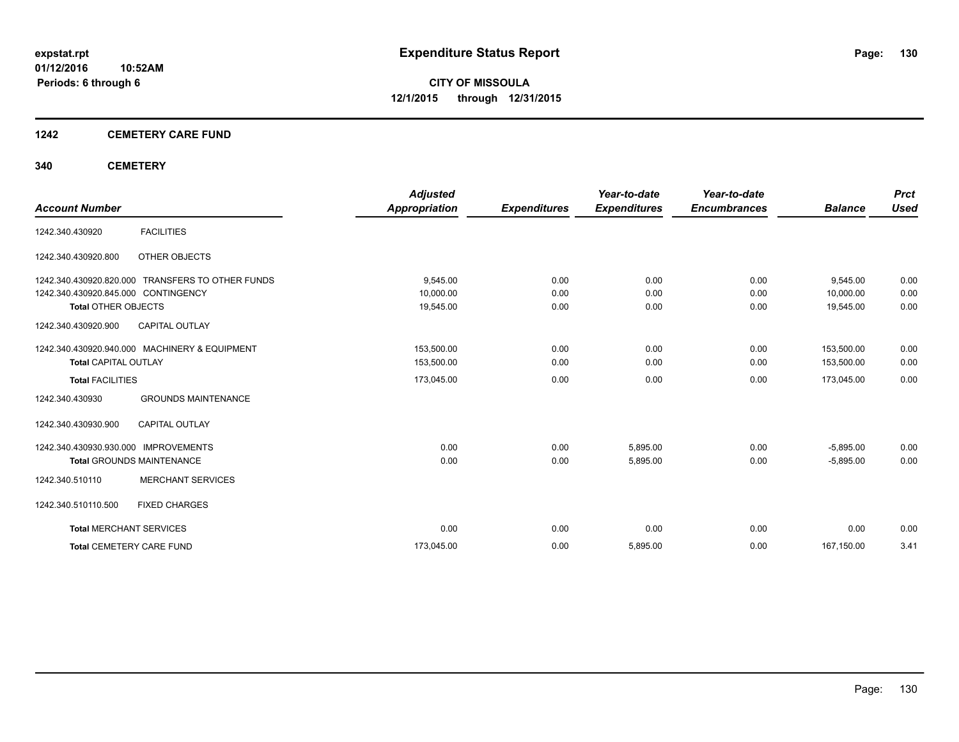# **1242 CEMETERY CARE FUND**

# **340 CEMETERY**

|                                                            | <b>Adjusted</b>      |                     | Year-to-date        | Year-to-date        |                | <b>Prct</b> |
|------------------------------------------------------------|----------------------|---------------------|---------------------|---------------------|----------------|-------------|
| <b>Account Number</b>                                      | <b>Appropriation</b> | <b>Expenditures</b> | <b>Expenditures</b> | <b>Encumbrances</b> | <b>Balance</b> | <b>Used</b> |
| <b>FACILITIES</b><br>1242.340.430920                       |                      |                     |                     |                     |                |             |
| 1242.340.430920.800<br>OTHER OBJECTS                       |                      |                     |                     |                     |                |             |
| <b>TRANSFERS TO OTHER FUNDS</b><br>1242.340.430920.820.000 | 9.545.00             | 0.00                | 0.00                | 0.00                | 9,545.00       | 0.00        |
| 1242.340.430920.845.000 CONTINGENCY                        | 10,000.00            | 0.00                | 0.00                | 0.00                | 10.000.00      | 0.00        |
| <b>Total OTHER OBJECTS</b>                                 | 19,545.00            | 0.00                | 0.00                | 0.00                | 19,545.00      | 0.00        |
| 1242.340.430920.900<br><b>CAPITAL OUTLAY</b>               |                      |                     |                     |                     |                |             |
| 1242.340.430920.940.000 MACHINERY & EQUIPMENT              | 153,500.00           | 0.00                | 0.00                | 0.00                | 153,500.00     | 0.00        |
| <b>Total CAPITAL OUTLAY</b>                                | 153,500.00           | 0.00                | 0.00                | 0.00                | 153,500.00     | 0.00        |
| <b>Total FACILITIES</b>                                    | 173,045.00           | 0.00                | 0.00                | 0.00                | 173,045.00     | 0.00        |
| <b>GROUNDS MAINTENANCE</b><br>1242.340.430930              |                      |                     |                     |                     |                |             |
| <b>CAPITAL OUTLAY</b><br>1242.340.430930.900               |                      |                     |                     |                     |                |             |
| <b>IMPROVEMENTS</b><br>1242.340.430930.930.000             | 0.00                 | 0.00                | 5,895.00            | 0.00                | $-5,895.00$    | 0.00        |
| <b>Total GROUNDS MAINTENANCE</b>                           | 0.00                 | 0.00                | 5,895.00            | 0.00                | $-5,895.00$    | 0.00        |
| <b>MERCHANT SERVICES</b><br>1242.340.510110                |                      |                     |                     |                     |                |             |
| 1242.340.510110.500<br><b>FIXED CHARGES</b>                |                      |                     |                     |                     |                |             |
| <b>Total MERCHANT SERVICES</b>                             | 0.00                 | 0.00                | 0.00                | 0.00                | 0.00           | 0.00        |
| <b>Total CEMETERY CARE FUND</b>                            | 173,045.00           | 0.00                | 5,895.00            | 0.00                | 167,150.00     | 3.41        |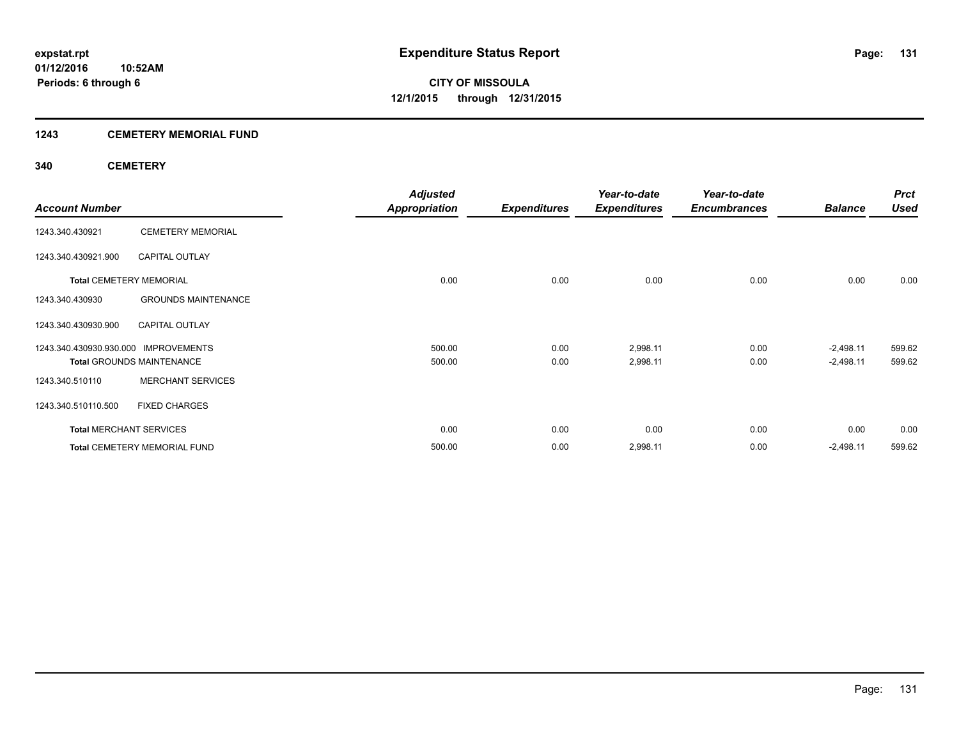# **1243 CEMETERY MEMORIAL FUND**

# **340 CEMETERY**

|                                      |                                  | <b>Adjusted</b>      |                     | Year-to-date        | Year-to-date        |                | <b>Prct</b> |
|--------------------------------------|----------------------------------|----------------------|---------------------|---------------------|---------------------|----------------|-------------|
| <b>Account Number</b>                |                                  | <b>Appropriation</b> | <b>Expenditures</b> | <b>Expenditures</b> | <b>Encumbrances</b> | <b>Balance</b> | <b>Used</b> |
| 1243.340.430921                      | <b>CEMETERY MEMORIAL</b>         |                      |                     |                     |                     |                |             |
| 1243.340.430921.900                  | <b>CAPITAL OUTLAY</b>            |                      |                     |                     |                     |                |             |
| <b>Total CEMETERY MEMORIAL</b>       |                                  | 0.00                 | 0.00                | 0.00                | 0.00                | 0.00           | 0.00        |
| 1243.340.430930                      | <b>GROUNDS MAINTENANCE</b>       |                      |                     |                     |                     |                |             |
| 1243.340.430930.900                  | <b>CAPITAL OUTLAY</b>            |                      |                     |                     |                     |                |             |
| 1243.340.430930.930.000 IMPROVEMENTS |                                  | 500.00               | 0.00                | 2,998.11            | 0.00                | $-2,498.11$    | 599.62      |
|                                      | <b>Total GROUNDS MAINTENANCE</b> | 500.00               | 0.00                | 2,998.11            | 0.00                | $-2,498.11$    | 599.62      |
| 1243.340.510110                      | <b>MERCHANT SERVICES</b>         |                      |                     |                     |                     |                |             |
| 1243.340.510110.500                  | <b>FIXED CHARGES</b>             |                      |                     |                     |                     |                |             |
| <b>Total MERCHANT SERVICES</b>       |                                  | 0.00                 | 0.00                | 0.00                | 0.00                | 0.00           | 0.00        |
|                                      | Total CEMETERY MEMORIAL FUND     | 500.00               | 0.00                | 2,998.11            | 0.00                | $-2,498.11$    | 599.62      |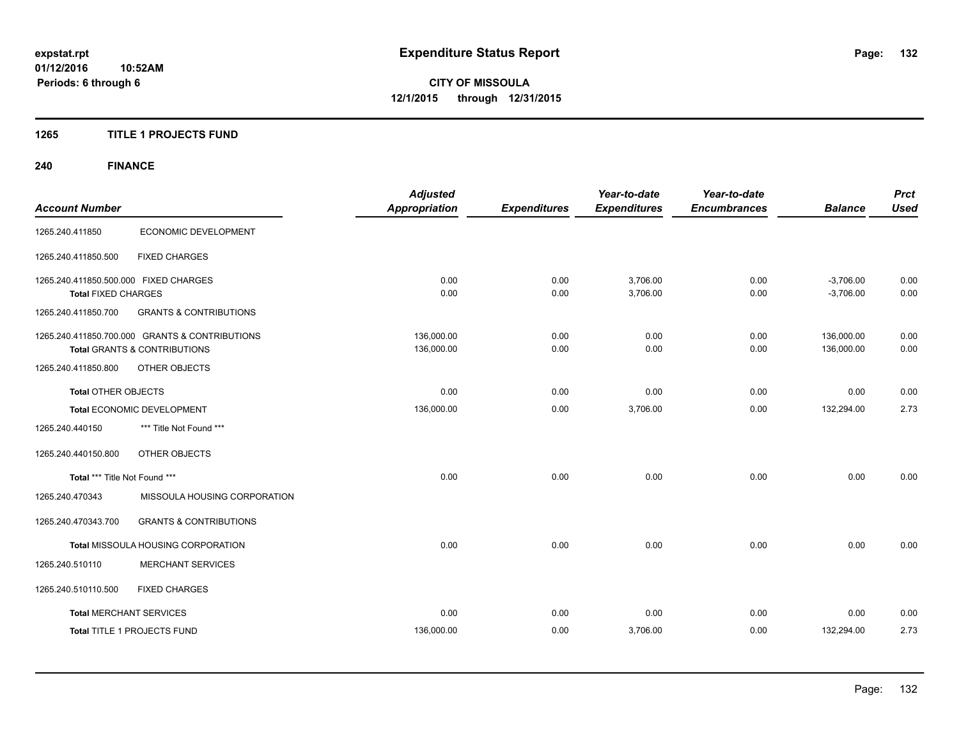# **1265 TITLE 1 PROJECTS FUND**

# **240 FINANCE**

| <b>Account Number</b>                                               |                                                                                           | <b>Adjusted</b><br><b>Appropriation</b> | <b>Expenditures</b> | Year-to-date<br><b>Expenditures</b> | Year-to-date<br><b>Encumbrances</b> | <b>Balance</b>             | <b>Prct</b><br><b>Used</b> |
|---------------------------------------------------------------------|-------------------------------------------------------------------------------------------|-----------------------------------------|---------------------|-------------------------------------|-------------------------------------|----------------------------|----------------------------|
| 1265.240.411850                                                     | ECONOMIC DEVELOPMENT                                                                      |                                         |                     |                                     |                                     |                            |                            |
| 1265.240.411850.500                                                 | <b>FIXED CHARGES</b>                                                                      |                                         |                     |                                     |                                     |                            |                            |
| 1265.240.411850.500.000 FIXED CHARGES<br><b>Total FIXED CHARGES</b> |                                                                                           | 0.00<br>0.00                            | 0.00<br>0.00        | 3,706.00<br>3,706.00                | 0.00<br>0.00                        | $-3,706.00$<br>$-3,706.00$ | 0.00<br>0.00               |
| 1265.240.411850.700                                                 | <b>GRANTS &amp; CONTRIBUTIONS</b>                                                         |                                         |                     |                                     |                                     |                            |                            |
|                                                                     | 1265.240.411850.700.000 GRANTS & CONTRIBUTIONS<br><b>Total GRANTS &amp; CONTRIBUTIONS</b> | 136,000.00<br>136,000.00                | 0.00<br>0.00        | 0.00<br>0.00                        | 0.00<br>0.00                        | 136,000.00<br>136,000.00   | 0.00<br>0.00               |
| 1265.240.411850.800                                                 | OTHER OBJECTS                                                                             |                                         |                     |                                     |                                     |                            |                            |
| <b>Total OTHER OBJECTS</b>                                          |                                                                                           | 0.00                                    | 0.00                | 0.00                                | 0.00                                | 0.00                       | 0.00                       |
|                                                                     | Total ECONOMIC DEVELOPMENT                                                                | 136,000.00                              | 0.00                | 3,706.00                            | 0.00                                | 132,294.00                 | 2.73                       |
| 1265.240.440150                                                     | *** Title Not Found ***                                                                   |                                         |                     |                                     |                                     |                            |                            |
| 1265.240.440150.800                                                 | OTHER OBJECTS                                                                             |                                         |                     |                                     |                                     |                            |                            |
| Total *** Title Not Found ***                                       |                                                                                           | 0.00                                    | 0.00                | 0.00                                | 0.00                                | 0.00                       | 0.00                       |
| 1265.240.470343                                                     | MISSOULA HOUSING CORPORATION                                                              |                                         |                     |                                     |                                     |                            |                            |
| 1265.240.470343.700                                                 | <b>GRANTS &amp; CONTRIBUTIONS</b>                                                         |                                         |                     |                                     |                                     |                            |                            |
|                                                                     | Total MISSOULA HOUSING CORPORATION                                                        | 0.00                                    | 0.00                | 0.00                                | 0.00                                | 0.00                       | 0.00                       |
| 1265.240.510110                                                     | <b>MERCHANT SERVICES</b>                                                                  |                                         |                     |                                     |                                     |                            |                            |
| 1265.240.510110.500                                                 | <b>FIXED CHARGES</b>                                                                      |                                         |                     |                                     |                                     |                            |                            |
| <b>Total MERCHANT SERVICES</b>                                      |                                                                                           | 0.00                                    | 0.00                | 0.00                                | 0.00                                | 0.00                       | 0.00                       |
|                                                                     | Total TITLE 1 PROJECTS FUND                                                               | 136,000.00                              | 0.00                | 3,706.00                            | 0.00                                | 132,294.00                 | 2.73                       |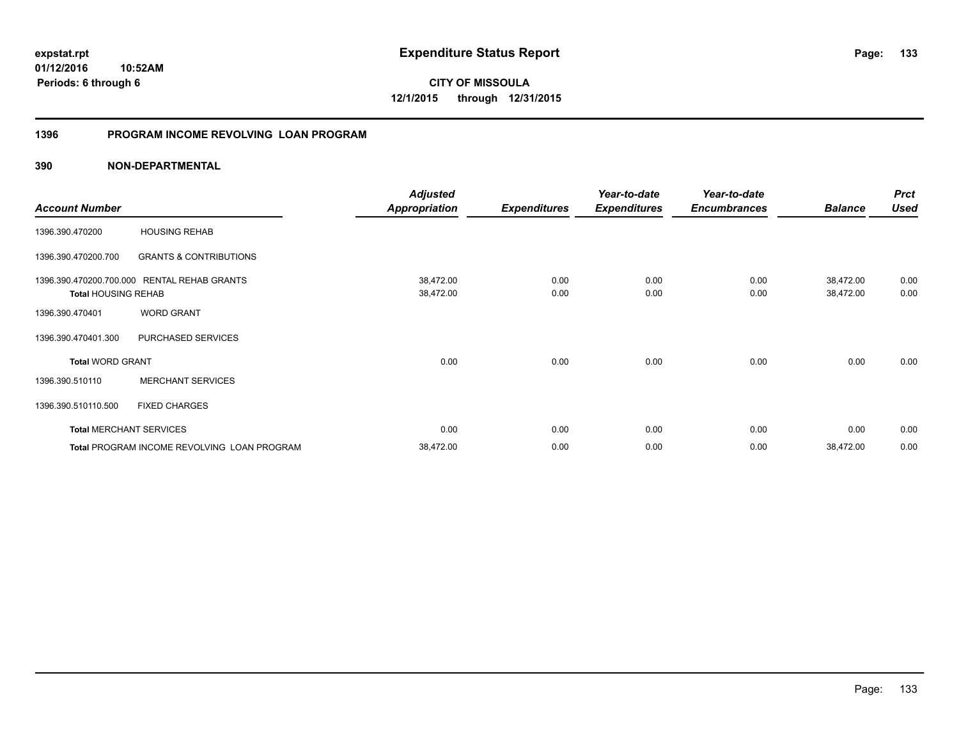# **01/12/2016 10:52AM Periods: 6 through 6**

**CITY OF MISSOULA 12/1/2015 through 12/31/2015**

# **1396 PROGRAM INCOME REVOLVING LOAN PROGRAM**

|                         |                                                                                                                                                                                                                                                        | <b>Adjusted</b>      |                     | Year-to-date        | Year-to-date        |                | <b>Prct</b> |
|-------------------------|--------------------------------------------------------------------------------------------------------------------------------------------------------------------------------------------------------------------------------------------------------|----------------------|---------------------|---------------------|---------------------|----------------|-------------|
| <b>Account Number</b>   | <b>HOUSING REHAB</b><br><b>GRANTS &amp; CONTRIBUTIONS</b><br><b>RENTAL REHAB GRANTS</b><br><b>Total HOUSING REHAB</b><br><b>WORD GRANT</b><br>PURCHASED SERVICES<br><b>MERCHANT SERVICES</b><br><b>FIXED CHARGES</b><br><b>Total MERCHANT SERVICES</b> | <b>Appropriation</b> | <b>Expenditures</b> | <b>Expenditures</b> | <b>Encumbrances</b> | <b>Balance</b> | <b>Used</b> |
| 1396.390.470200         |                                                                                                                                                                                                                                                        |                      |                     |                     |                     |                |             |
| 1396.390.470200.700     |                                                                                                                                                                                                                                                        |                      |                     |                     |                     |                |             |
| 1396.390.470200.700.000 |                                                                                                                                                                                                                                                        | 38,472.00            | 0.00                | 0.00                | 0.00                | 38,472.00      | 0.00        |
|                         |                                                                                                                                                                                                                                                        | 38,472.00            | 0.00                | 0.00                | 0.00                | 38,472.00      | 0.00        |
| 1396.390.470401         |                                                                                                                                                                                                                                                        |                      |                     |                     |                     |                |             |
| 1396.390.470401.300     |                                                                                                                                                                                                                                                        |                      |                     |                     |                     |                |             |
| <b>Total WORD GRANT</b> |                                                                                                                                                                                                                                                        | 0.00                 | 0.00                | 0.00                | 0.00                | 0.00           | 0.00        |
| 1396.390.510110         |                                                                                                                                                                                                                                                        |                      |                     |                     |                     |                |             |
| 1396.390.510110.500     |                                                                                                                                                                                                                                                        |                      |                     |                     |                     |                |             |
|                         |                                                                                                                                                                                                                                                        | 0.00                 | 0.00                | 0.00                | 0.00                | 0.00           | 0.00        |
|                         | Total PROGRAM INCOME REVOLVING LOAN PROGRAM                                                                                                                                                                                                            | 38,472.00            | 0.00                | 0.00                | 0.00                | 38,472.00      | 0.00        |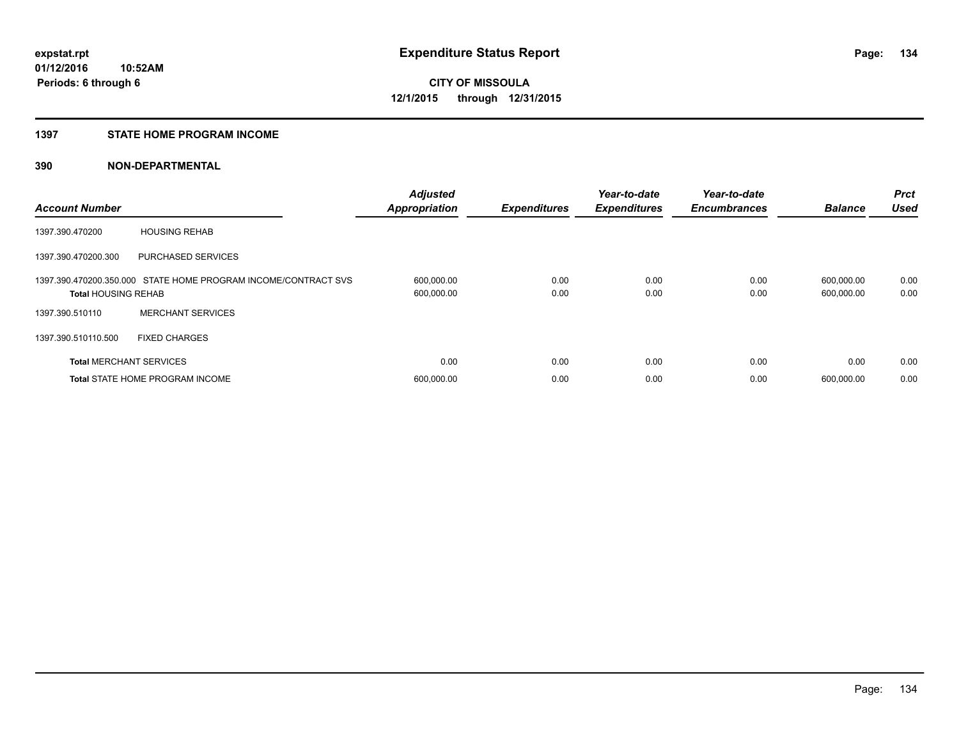# **1397 STATE HOME PROGRAM INCOME**

| <b>Account Number</b>          |                                                                | <b>Adjusted</b><br><b>Appropriation</b> | <b>Expenditures</b> | Year-to-date<br><b>Expenditures</b> | Year-to-date<br><b>Encumbrances</b> | <b>Balance</b>           | <b>Prct</b><br><b>Used</b> |
|--------------------------------|----------------------------------------------------------------|-----------------------------------------|---------------------|-------------------------------------|-------------------------------------|--------------------------|----------------------------|
| 1397.390.470200                | <b>HOUSING REHAB</b>                                           |                                         |                     |                                     |                                     |                          |                            |
| 1397.390.470200.300            | <b>PURCHASED SERVICES</b>                                      |                                         |                     |                                     |                                     |                          |                            |
| <b>Total HOUSING REHAB</b>     | 1397.390.470200.350.000 STATE HOME PROGRAM INCOME/CONTRACT SVS | 600,000.00<br>600,000.00                | 0.00<br>0.00        | 0.00<br>0.00                        | 0.00<br>0.00                        | 600,000.00<br>600,000.00 | 0.00<br>0.00               |
| 1397.390.510110                | <b>MERCHANT SERVICES</b>                                       |                                         |                     |                                     |                                     |                          |                            |
| 1397.390.510110.500            | <b>FIXED CHARGES</b>                                           |                                         |                     |                                     |                                     |                          |                            |
| <b>Total MERCHANT SERVICES</b> |                                                                | 0.00                                    | 0.00                | 0.00                                | 0.00                                | 0.00                     | 0.00                       |
|                                | <b>Total STATE HOME PROGRAM INCOME</b>                         | 600,000.00                              | 0.00                | 0.00                                | 0.00                                | 600.000.00               | 0.00                       |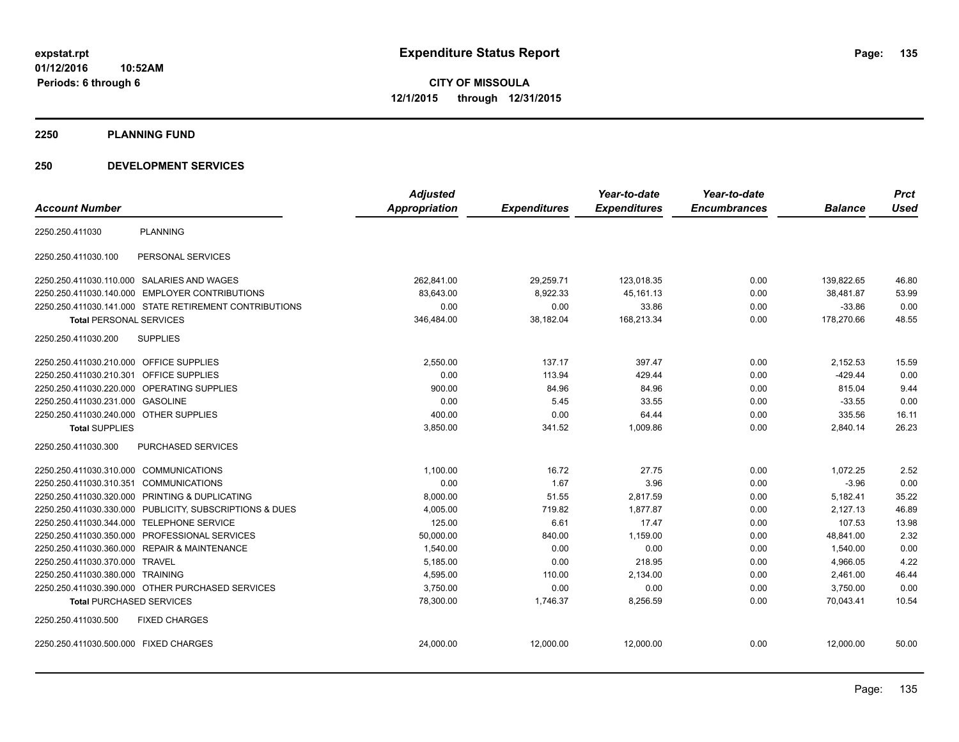**2250 PLANNING FUND**

# **250 DEVELOPMENT SERVICES**

| <b>Account Number</b>                   |                                                         | <b>Adjusted</b><br><b>Appropriation</b> | <b>Expenditures</b> | Year-to-date<br><b>Expenditures</b> | Year-to-date<br><b>Encumbrances</b> | <b>Balance</b> | <b>Prct</b><br><b>Used</b> |
|-----------------------------------------|---------------------------------------------------------|-----------------------------------------|---------------------|-------------------------------------|-------------------------------------|----------------|----------------------------|
| 2250.250.411030                         | <b>PLANNING</b>                                         |                                         |                     |                                     |                                     |                |                            |
| 2250.250.411030.100                     | PERSONAL SERVICES                                       |                                         |                     |                                     |                                     |                |                            |
|                                         | 2250.250.411030.110.000 SALARIES AND WAGES              | 262,841.00                              | 29,259.71           | 123,018.35                          | 0.00                                | 139,822.65     | 46.80                      |
|                                         | 2250.250.411030.140.000 EMPLOYER CONTRIBUTIONS          | 83,643.00                               | 8,922.33            | 45,161.13                           | 0.00                                | 38,481.87      | 53.99                      |
|                                         | 2250.250.411030.141.000 STATE RETIREMENT CONTRIBUTIONS  | 0.00                                    | 0.00                | 33.86                               | 0.00                                | $-33.86$       | 0.00                       |
| <b>Total PERSONAL SERVICES</b>          |                                                         | 346,484.00                              | 38,182.04           | 168,213.34                          | 0.00                                | 178,270.66     | 48.55                      |
| 2250.250.411030.200                     | <b>SUPPLIES</b>                                         |                                         |                     |                                     |                                     |                |                            |
| 2250.250.411030.210.000 OFFICE SUPPLIES |                                                         | 2,550.00                                | 137.17              | 397.47                              | 0.00                                | 2,152.53       | 15.59                      |
| 2250.250.411030.210.301                 | OFFICE SUPPLIES                                         | 0.00                                    | 113.94              | 429.44                              | 0.00                                | $-429.44$      | 0.00                       |
|                                         | 2250.250.411030.220.000 OPERATING SUPPLIES              | 900.00                                  | 84.96               | 84.96                               | 0.00                                | 815.04         | 9.44                       |
| 2250.250.411030.231.000 GASOLINE        |                                                         | 0.00                                    | 5.45                | 33.55                               | 0.00                                | $-33.55$       | 0.00                       |
| 2250.250.411030.240.000 OTHER SUPPLIES  |                                                         | 400.00                                  | 0.00                | 64.44                               | 0.00                                | 335.56         | 16.11                      |
| <b>Total SUPPLIES</b>                   |                                                         | 3,850.00                                | 341.52              | 1,009.86                            | 0.00                                | 2,840.14       | 26.23                      |
| 2250.250.411030.300                     | PURCHASED SERVICES                                      |                                         |                     |                                     |                                     |                |                            |
| 2250.250.411030.310.000 COMMUNICATIONS  |                                                         | 1,100.00                                | 16.72               | 27.75                               | 0.00                                | 1,072.25       | 2.52                       |
| 2250.250.411030.310.351                 | <b>COMMUNICATIONS</b>                                   | 0.00                                    | 1.67                | 3.96                                | 0.00                                | $-3.96$        | 0.00                       |
|                                         | 2250.250.411030.320.000 PRINTING & DUPLICATING          | 8,000.00                                | 51.55               | 2,817.59                            | 0.00                                | 5,182.41       | 35.22                      |
|                                         | 2250.250.411030.330.000 PUBLICITY, SUBSCRIPTIONS & DUES | 4,005.00                                | 719.82              | 1,877.87                            | 0.00                                | 2,127.13       | 46.89                      |
| 2250.250.411030.344.000                 | <b>TELEPHONE SERVICE</b>                                | 125.00                                  | 6.61                | 17.47                               | 0.00                                | 107.53         | 13.98                      |
| 2250.250.411030.350.000                 | PROFESSIONAL SERVICES                                   | 50,000.00                               | 840.00              | 1,159.00                            | 0.00                                | 48,841.00      | 2.32                       |
| 2250.250.411030.360.000                 | <b>REPAIR &amp; MAINTENANCE</b>                         | 1,540.00                                | 0.00                | 0.00                                | 0.00                                | 1,540.00       | 0.00                       |
| 2250.250.411030.370.000 TRAVEL          |                                                         | 5,185.00                                | 0.00                | 218.95                              | 0.00                                | 4,966.05       | 4.22                       |
| 2250.250.411030.380.000 TRAINING        |                                                         | 4,595.00                                | 110.00              | 2,134.00                            | 0.00                                | 2,461.00       | 46.44                      |
|                                         | 2250.250.411030.390.000 OTHER PURCHASED SERVICES        | 3,750.00                                | 0.00                | 0.00                                | 0.00                                | 3,750.00       | 0.00                       |
| <b>Total PURCHASED SERVICES</b>         |                                                         | 78,300.00                               | 1,746.37            | 8,256.59                            | 0.00                                | 70,043.41      | 10.54                      |
| 2250.250.411030.500                     | <b>FIXED CHARGES</b>                                    |                                         |                     |                                     |                                     |                |                            |
| 2250.250.411030.500.000 FIXED CHARGES   |                                                         | 24,000.00                               | 12,000.00           | 12,000.00                           | 0.00                                | 12,000.00      | 50.00                      |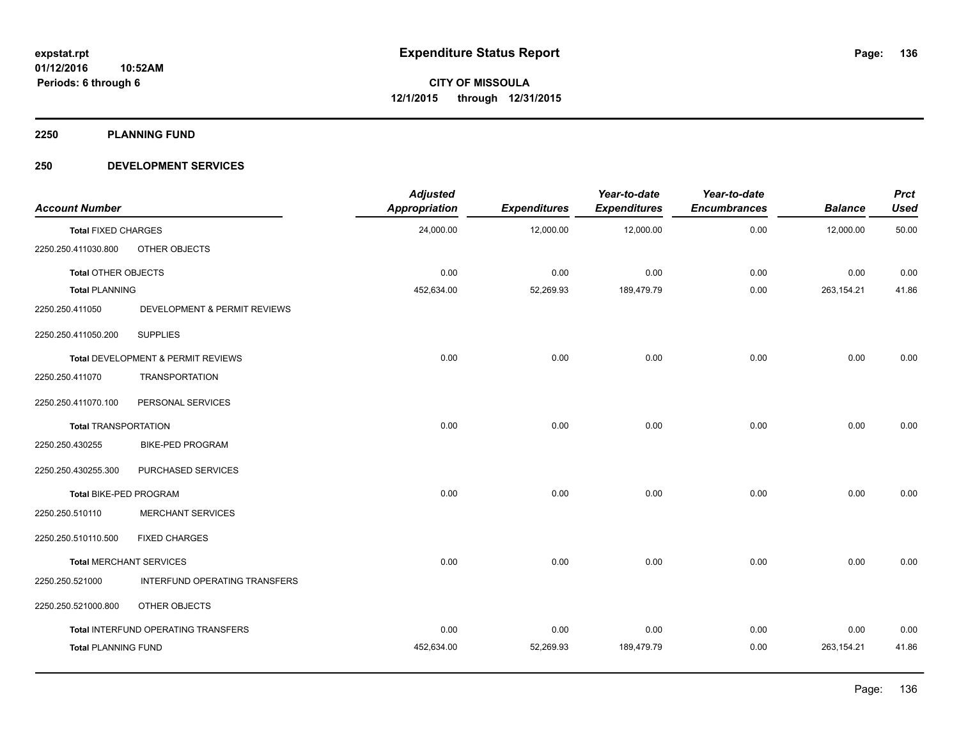**2250 PLANNING FUND**

# **250 DEVELOPMENT SERVICES**

| <b>Account Number</b>       |                                     | <b>Adjusted</b><br><b>Appropriation</b> | <b>Expenditures</b> | Year-to-date<br><b>Expenditures</b> | Year-to-date<br><b>Encumbrances</b> | <b>Balance</b> | <b>Prct</b><br><b>Used</b> |
|-----------------------------|-------------------------------------|-----------------------------------------|---------------------|-------------------------------------|-------------------------------------|----------------|----------------------------|
| <b>Total FIXED CHARGES</b>  |                                     | 24,000.00                               | 12,000.00           | 12,000.00                           | 0.00                                | 12,000.00      | 50.00                      |
| 2250.250.411030.800         | OTHER OBJECTS                       |                                         |                     |                                     |                                     |                |                            |
| <b>Total OTHER OBJECTS</b>  |                                     | 0.00                                    | 0.00                | 0.00                                | 0.00                                | 0.00           | 0.00                       |
| <b>Total PLANNING</b>       |                                     | 452,634.00                              | 52,269.93           | 189,479.79                          | 0.00                                | 263,154.21     | 41.86                      |
| 2250.250.411050             | DEVELOPMENT & PERMIT REVIEWS        |                                         |                     |                                     |                                     |                |                            |
| 2250.250.411050.200         | <b>SUPPLIES</b>                     |                                         |                     |                                     |                                     |                |                            |
|                             | Total DEVELOPMENT & PERMIT REVIEWS  | 0.00                                    | 0.00                | 0.00                                | 0.00                                | 0.00           | 0.00                       |
| 2250.250.411070             | <b>TRANSPORTATION</b>               |                                         |                     |                                     |                                     |                |                            |
| 2250.250.411070.100         | PERSONAL SERVICES                   |                                         |                     |                                     |                                     |                |                            |
| <b>Total TRANSPORTATION</b> |                                     | 0.00                                    | 0.00                | 0.00                                | 0.00                                | 0.00           | 0.00                       |
| 2250.250.430255             | <b>BIKE-PED PROGRAM</b>             |                                         |                     |                                     |                                     |                |                            |
| 2250.250.430255.300         | PURCHASED SERVICES                  |                                         |                     |                                     |                                     |                |                            |
| Total BIKE-PED PROGRAM      |                                     | 0.00                                    | 0.00                | 0.00                                | 0.00                                | 0.00           | 0.00                       |
| 2250.250.510110             | <b>MERCHANT SERVICES</b>            |                                         |                     |                                     |                                     |                |                            |
| 2250.250.510110.500         | <b>FIXED CHARGES</b>                |                                         |                     |                                     |                                     |                |                            |
|                             | <b>Total MERCHANT SERVICES</b>      | 0.00                                    | 0.00                | 0.00                                | 0.00                                | 0.00           | 0.00                       |
| 2250.250.521000             | INTERFUND OPERATING TRANSFERS       |                                         |                     |                                     |                                     |                |                            |
| 2250.250.521000.800         | OTHER OBJECTS                       |                                         |                     |                                     |                                     |                |                            |
|                             | Total INTERFUND OPERATING TRANSFERS | 0.00                                    | 0.00                | 0.00                                | 0.00                                | 0.00           | 0.00                       |
| <b>Total PLANNING FUND</b>  |                                     | 452,634.00                              | 52,269.93           | 189,479.79                          | 0.00                                | 263,154.21     | 41.86                      |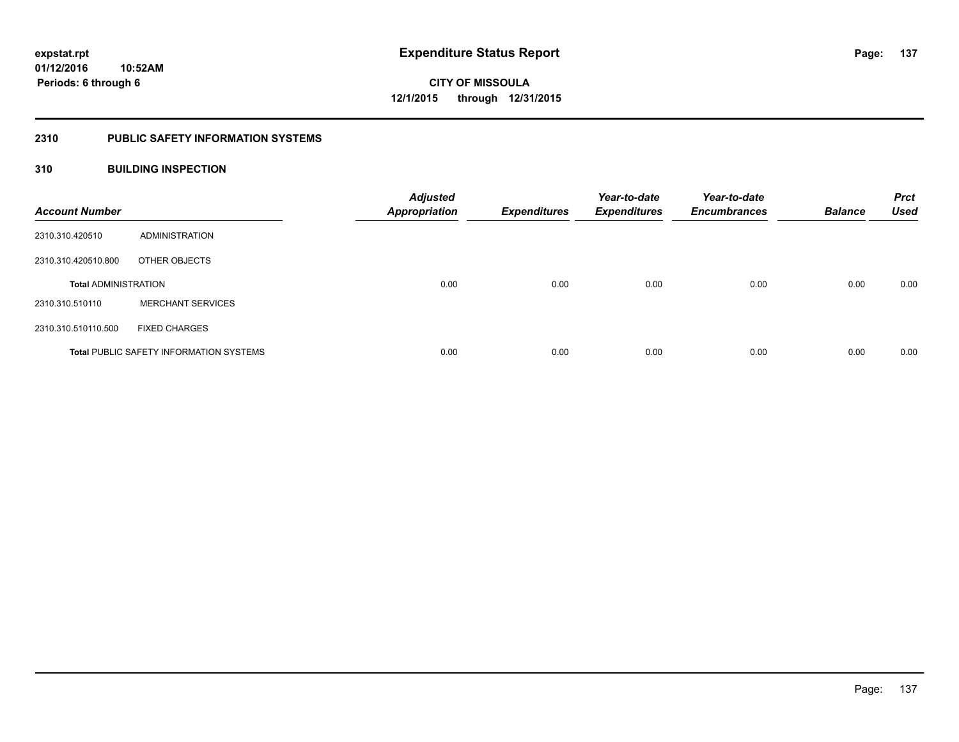# **2310 PUBLIC SAFETY INFORMATION SYSTEMS**

# **310 BUILDING INSPECTION**

| <b>Account Number</b>       |                                                | <b>Adjusted</b><br><b>Appropriation</b> | <b>Expenditures</b> | Year-to-date<br><b>Expenditures</b> | Year-to-date<br><b>Encumbrances</b> | <b>Balance</b> | <b>Prct</b><br><b>Used</b> |
|-----------------------------|------------------------------------------------|-----------------------------------------|---------------------|-------------------------------------|-------------------------------------|----------------|----------------------------|
| 2310.310.420510             | ADMINISTRATION                                 |                                         |                     |                                     |                                     |                |                            |
| 2310.310.420510.800         | OTHER OBJECTS                                  |                                         |                     |                                     |                                     |                |                            |
| <b>Total ADMINISTRATION</b> |                                                | 0.00                                    | 0.00                | 0.00                                | 0.00                                | 0.00           | 0.00                       |
| 2310.310.510110             | <b>MERCHANT SERVICES</b>                       |                                         |                     |                                     |                                     |                |                            |
| 2310.310.510110.500         | <b>FIXED CHARGES</b>                           |                                         |                     |                                     |                                     |                |                            |
|                             | <b>Total PUBLIC SAFETY INFORMATION SYSTEMS</b> | 0.00                                    | 0.00                | 0.00                                | 0.00                                | 0.00           | 0.00                       |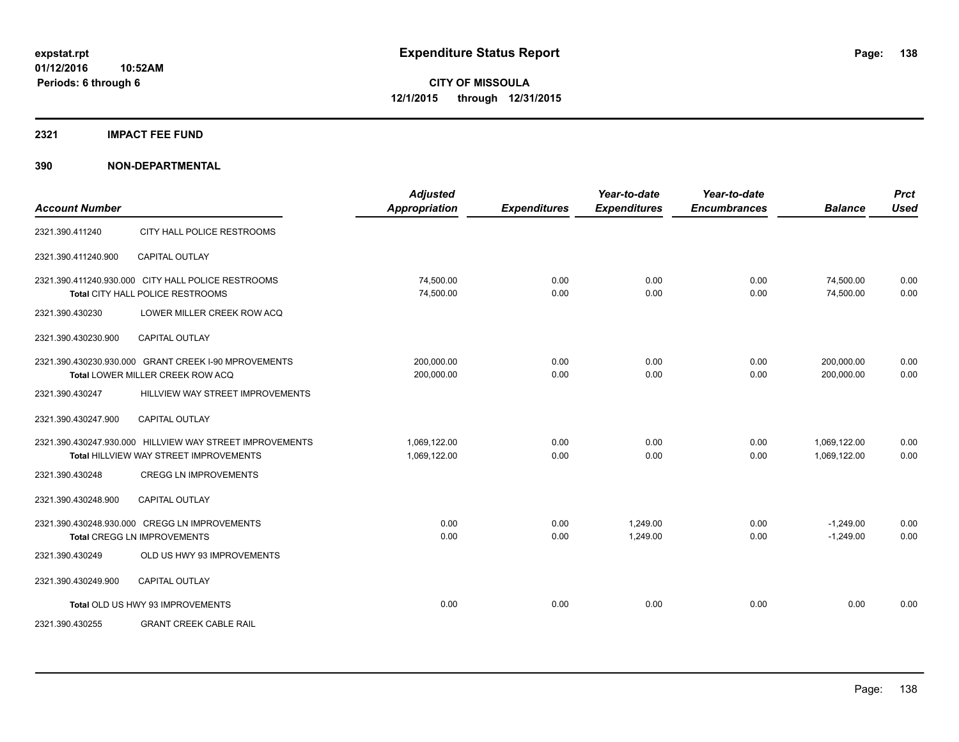# **2321 IMPACT FEE FUND**

| <b>Account Number</b> |                                                                                                    | <b>Adjusted</b><br><b>Appropriation</b> | <b>Expenditures</b> | Year-to-date<br><b>Expenditures</b> | Year-to-date<br><b>Encumbrances</b> | <b>Balance</b>               | <b>Prct</b><br><b>Used</b> |
|-----------------------|----------------------------------------------------------------------------------------------------|-----------------------------------------|---------------------|-------------------------------------|-------------------------------------|------------------------------|----------------------------|
| 2321.390.411240       | CITY HALL POLICE RESTROOMS                                                                         |                                         |                     |                                     |                                     |                              |                            |
| 2321.390.411240.900   | <b>CAPITAL OUTLAY</b>                                                                              |                                         |                     |                                     |                                     |                              |                            |
|                       | 2321.390.411240.930.000 CITY HALL POLICE RESTROOMS<br>Total CITY HALL POLICE RESTROOMS             | 74,500.00<br>74,500.00                  | 0.00<br>0.00        | 0.00<br>0.00                        | 0.00<br>0.00                        | 74,500.00<br>74,500.00       | 0.00<br>0.00               |
| 2321.390.430230       | LOWER MILLER CREEK ROW ACQ                                                                         |                                         |                     |                                     |                                     |                              |                            |
| 2321.390.430230.900   | <b>CAPITAL OUTLAY</b>                                                                              |                                         |                     |                                     |                                     |                              |                            |
|                       | 2321.390.430230.930.000 GRANT CREEK I-90 MPROVEMENTS<br>Total LOWER MILLER CREEK ROW ACQ           | 200,000.00<br>200,000.00                | 0.00<br>0.00        | 0.00<br>0.00                        | 0.00<br>0.00                        | 200,000.00<br>200,000.00     | 0.00<br>0.00               |
| 2321.390.430247       | HILLVIEW WAY STREET IMPROVEMENTS                                                                   |                                         |                     |                                     |                                     |                              |                            |
| 2321.390.430247.900   | <b>CAPITAL OUTLAY</b>                                                                              |                                         |                     |                                     |                                     |                              |                            |
|                       | 2321.390.430247.930.000 HILLVIEW WAY STREET IMPROVEMENTS<br>Total HILLVIEW WAY STREET IMPROVEMENTS | 1,069,122.00<br>1,069,122.00            | 0.00<br>0.00        | 0.00<br>0.00                        | 0.00<br>0.00                        | 1,069,122.00<br>1,069,122.00 | 0.00<br>0.00               |
| 2321.390.430248       | <b>CREGG LN IMPROVEMENTS</b>                                                                       |                                         |                     |                                     |                                     |                              |                            |
| 2321.390.430248.900   | <b>CAPITAL OUTLAY</b>                                                                              |                                         |                     |                                     |                                     |                              |                            |
|                       | 2321.390.430248.930.000 CREGG LN IMPROVEMENTS<br><b>Total CREGG LN IMPROVEMENTS</b>                | 0.00<br>0.00                            | 0.00<br>0.00        | 1.249.00<br>1,249.00                | 0.00<br>0.00                        | $-1,249.00$<br>$-1.249.00$   | 0.00<br>0.00               |
| 2321.390.430249       | OLD US HWY 93 IMPROVEMENTS                                                                         |                                         |                     |                                     |                                     |                              |                            |
| 2321.390.430249.900   | <b>CAPITAL OUTLAY</b>                                                                              |                                         |                     |                                     |                                     |                              |                            |
|                       | Total OLD US HWY 93 IMPROVEMENTS                                                                   | 0.00                                    | 0.00                | 0.00                                | 0.00                                | 0.00                         | 0.00                       |
| 2321.390.430255       | <b>GRANT CREEK CABLE RAIL</b>                                                                      |                                         |                     |                                     |                                     |                              |                            |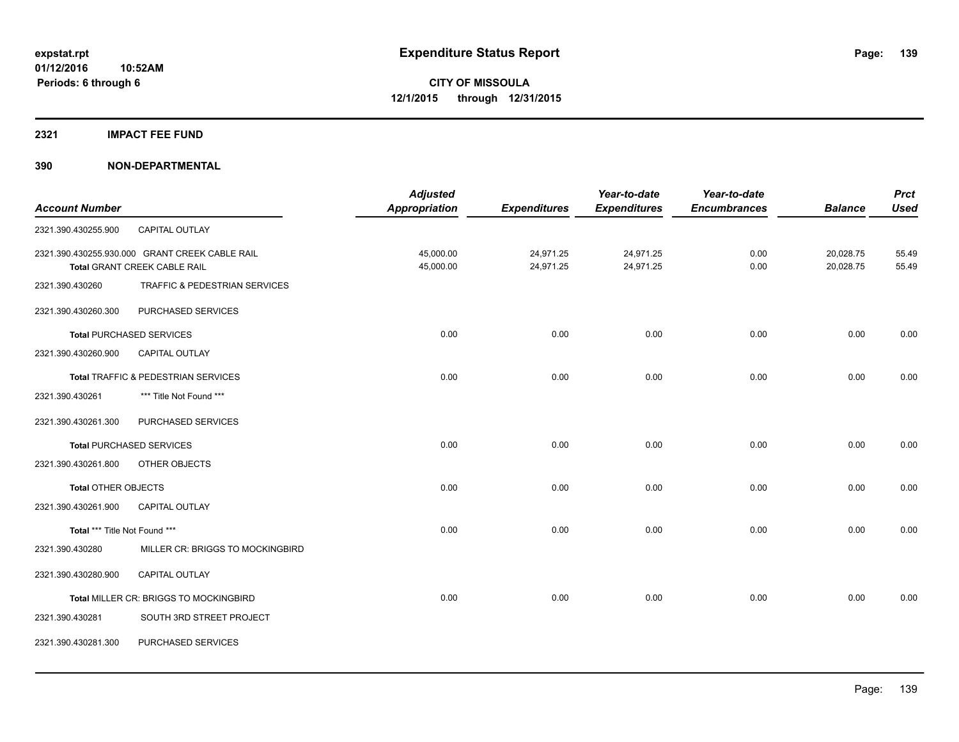**2321 IMPACT FEE FUND**

|                               |                                                | <b>Adjusted</b>      |                     | Year-to-date        | Year-to-date        |                | <b>Prct</b> |
|-------------------------------|------------------------------------------------|----------------------|---------------------|---------------------|---------------------|----------------|-------------|
| <b>Account Number</b>         |                                                | <b>Appropriation</b> | <b>Expenditures</b> | <b>Expenditures</b> | <b>Encumbrances</b> | <b>Balance</b> | <b>Used</b> |
| 2321.390.430255.900           | <b>CAPITAL OUTLAY</b>                          |                      |                     |                     |                     |                |             |
|                               | 2321.390.430255.930.000 GRANT CREEK CABLE RAIL | 45,000.00            | 24,971.25           | 24,971.25           | 0.00                | 20,028.75      | 55.49       |
|                               | Total GRANT CREEK CABLE RAIL                   | 45,000.00            | 24,971.25           | 24,971.25           | 0.00                | 20,028.75      | 55.49       |
| 2321.390.430260               | TRAFFIC & PEDESTRIAN SERVICES                  |                      |                     |                     |                     |                |             |
| 2321.390.430260.300           | PURCHASED SERVICES                             |                      |                     |                     |                     |                |             |
|                               | <b>Total PURCHASED SERVICES</b>                | 0.00                 | 0.00                | 0.00                | 0.00                | 0.00           | 0.00        |
| 2321.390.430260.900           | CAPITAL OUTLAY                                 |                      |                     |                     |                     |                |             |
|                               | Total TRAFFIC & PEDESTRIAN SERVICES            | 0.00                 | 0.00                | 0.00                | 0.00                | 0.00           | 0.00        |
| 2321.390.430261               | *** Title Not Found ***                        |                      |                     |                     |                     |                |             |
| 2321.390.430261.300           | PURCHASED SERVICES                             |                      |                     |                     |                     |                |             |
|                               | <b>Total PURCHASED SERVICES</b>                | 0.00                 | 0.00                | 0.00                | 0.00                | 0.00           | 0.00        |
| 2321.390.430261.800           | OTHER OBJECTS                                  |                      |                     |                     |                     |                |             |
| <b>Total OTHER OBJECTS</b>    |                                                | 0.00                 | 0.00                | 0.00                | 0.00                | 0.00           | 0.00        |
| 2321.390.430261.900           | <b>CAPITAL OUTLAY</b>                          |                      |                     |                     |                     |                |             |
| Total *** Title Not Found *** |                                                | 0.00                 | 0.00                | 0.00                | 0.00                | 0.00           | 0.00        |
| 2321.390.430280               | MILLER CR: BRIGGS TO MOCKINGBIRD               |                      |                     |                     |                     |                |             |
| 2321.390.430280.900           | CAPITAL OUTLAY                                 |                      |                     |                     |                     |                |             |
|                               | Total MILLER CR: BRIGGS TO MOCKINGBIRD         | 0.00                 | 0.00                | 0.00                | 0.00                | 0.00           | 0.00        |
| 2321.390.430281               | SOUTH 3RD STREET PROJECT                       |                      |                     |                     |                     |                |             |
| 2321.390.430281.300           | PURCHASED SERVICES                             |                      |                     |                     |                     |                |             |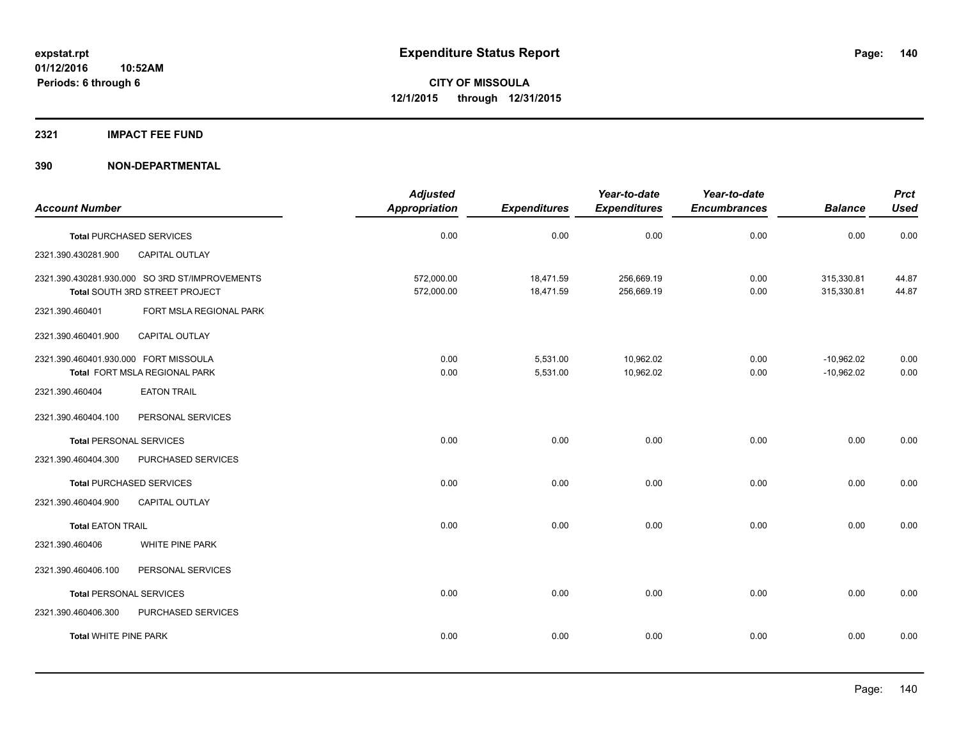# **2321 IMPACT FEE FUND**

|                                       |                                                                                  | <b>Adjusted</b>          |                        | Year-to-date             | Year-to-date        |                              | <b>Prct</b>    |
|---------------------------------------|----------------------------------------------------------------------------------|--------------------------|------------------------|--------------------------|---------------------|------------------------------|----------------|
| <b>Account Number</b>                 |                                                                                  | <b>Appropriation</b>     | <b>Expenditures</b>    | <b>Expenditures</b>      | <b>Encumbrances</b> | <b>Balance</b>               | <b>Used</b>    |
|                                       | <b>Total PURCHASED SERVICES</b>                                                  | 0.00                     | 0.00                   | 0.00                     | 0.00                | 0.00                         | 0.00           |
| 2321.390.430281.900                   | <b>CAPITAL OUTLAY</b>                                                            |                          |                        |                          |                     |                              |                |
|                                       | 2321.390.430281.930.000 SO 3RD ST/IMPROVEMENTS<br>Total SOUTH 3RD STREET PROJECT | 572,000.00<br>572,000.00 | 18,471.59<br>18,471.59 | 256,669.19<br>256,669.19 | 0.00<br>0.00        | 315,330.81<br>315,330.81     | 44.87<br>44.87 |
| 2321.390.460401                       | FORT MSLA REGIONAL PARK                                                          |                          |                        |                          |                     |                              |                |
| 2321.390.460401.900                   | <b>CAPITAL OUTLAY</b>                                                            |                          |                        |                          |                     |                              |                |
| 2321.390.460401.930.000 FORT MISSOULA | Total FORT MSLA REGIONAL PARK                                                    | 0.00<br>0.00             | 5,531.00<br>5,531.00   | 10,962.02<br>10,962.02   | 0.00<br>0.00        | $-10,962.02$<br>$-10.962.02$ | 0.00<br>0.00   |
| 2321.390.460404                       | <b>EATON TRAIL</b>                                                               |                          |                        |                          |                     |                              |                |
| 2321.390.460404.100                   | PERSONAL SERVICES                                                                |                          |                        |                          |                     |                              |                |
| <b>Total PERSONAL SERVICES</b>        |                                                                                  | 0.00                     | 0.00                   | 0.00                     | 0.00                | 0.00                         | 0.00           |
| 2321.390.460404.300                   | PURCHASED SERVICES                                                               |                          |                        |                          |                     |                              |                |
|                                       | <b>Total PURCHASED SERVICES</b>                                                  | 0.00                     | 0.00                   | 0.00                     | 0.00                | 0.00                         | 0.00           |
| 2321.390.460404.900                   | <b>CAPITAL OUTLAY</b>                                                            |                          |                        |                          |                     |                              |                |
| <b>Total EATON TRAIL</b>              |                                                                                  | 0.00                     | 0.00                   | 0.00                     | 0.00                | 0.00                         | 0.00           |
| 2321.390.460406                       | WHITE PINE PARK                                                                  |                          |                        |                          |                     |                              |                |
| 2321.390.460406.100                   | PERSONAL SERVICES                                                                |                          |                        |                          |                     |                              |                |
| <b>Total PERSONAL SERVICES</b>        |                                                                                  | 0.00                     | 0.00                   | 0.00                     | 0.00                | 0.00                         | 0.00           |
| 2321.390.460406.300                   | PURCHASED SERVICES                                                               |                          |                        |                          |                     |                              |                |
| <b>Total WHITE PINE PARK</b>          |                                                                                  | 0.00                     | 0.00                   | 0.00                     | 0.00                | 0.00                         | 0.00           |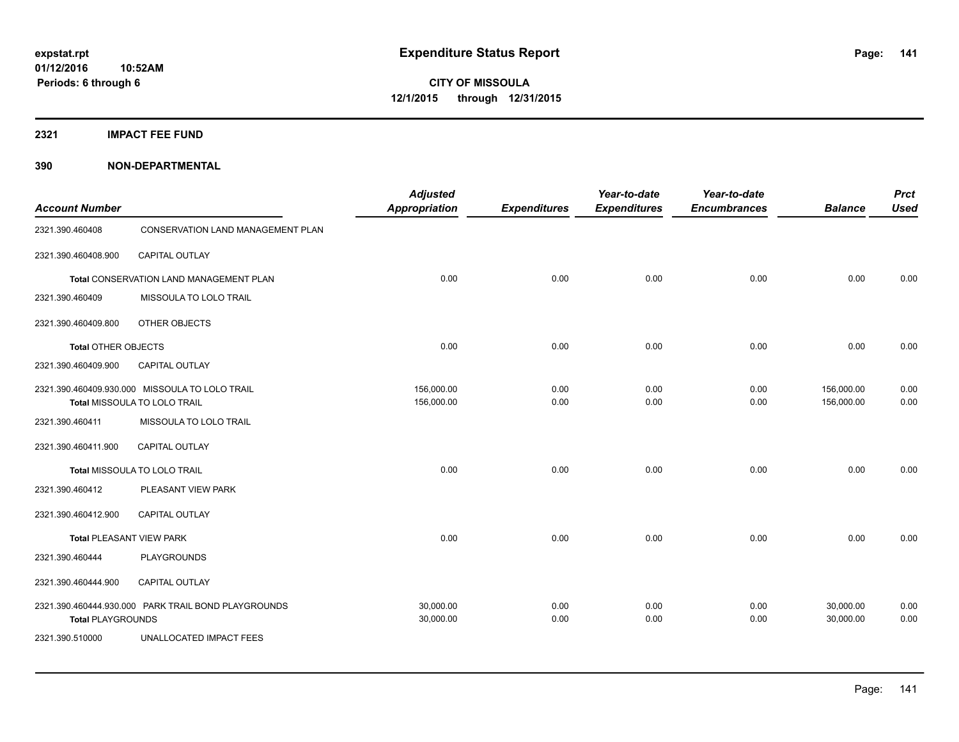**2321 IMPACT FEE FUND**

| <b>Account Number</b>           |                                                                                | <b>Adjusted</b><br>Appropriation | <b>Expenditures</b> | Year-to-date<br><b>Expenditures</b> | Year-to-date<br><b>Encumbrances</b> | <b>Balance</b>           | <b>Prct</b><br><b>Used</b> |
|---------------------------------|--------------------------------------------------------------------------------|----------------------------------|---------------------|-------------------------------------|-------------------------------------|--------------------------|----------------------------|
| 2321.390.460408                 | <b>CONSERVATION LAND MANAGEMENT PLAN</b>                                       |                                  |                     |                                     |                                     |                          |                            |
| 2321.390.460408.900             | <b>CAPITAL OUTLAY</b>                                                          |                                  |                     |                                     |                                     |                          |                            |
|                                 | Total CONSERVATION LAND MANAGEMENT PLAN                                        | 0.00                             | 0.00                | 0.00                                | 0.00                                | 0.00                     | 0.00                       |
| 2321.390.460409                 | MISSOULA TO LOLO TRAIL                                                         |                                  |                     |                                     |                                     |                          |                            |
| 2321.390.460409.800             | OTHER OBJECTS                                                                  |                                  |                     |                                     |                                     |                          |                            |
| <b>Total OTHER OBJECTS</b>      |                                                                                | 0.00                             | 0.00                | 0.00                                | 0.00                                | 0.00                     | 0.00                       |
| 2321.390.460409.900             | <b>CAPITAL OUTLAY</b>                                                          |                                  |                     |                                     |                                     |                          |                            |
|                                 | 2321.390.460409.930.000 MISSOULA TO LOLO TRAIL<br>Total MISSOULA TO LOLO TRAIL | 156,000.00<br>156,000.00         | 0.00<br>0.00        | 0.00<br>0.00                        | 0.00<br>0.00                        | 156,000.00<br>156,000.00 | 0.00<br>0.00               |
| 2321.390.460411                 | MISSOULA TO LOLO TRAIL                                                         |                                  |                     |                                     |                                     |                          |                            |
| 2321.390.460411.900             | CAPITAL OUTLAY                                                                 |                                  |                     |                                     |                                     |                          |                            |
|                                 | Total MISSOULA TO LOLO TRAIL                                                   | 0.00                             | 0.00                | 0.00                                | 0.00                                | 0.00                     | 0.00                       |
| 2321.390.460412                 | PLEASANT VIEW PARK                                                             |                                  |                     |                                     |                                     |                          |                            |
| 2321.390.460412.900             | <b>CAPITAL OUTLAY</b>                                                          |                                  |                     |                                     |                                     |                          |                            |
| <b>Total PLEASANT VIEW PARK</b> |                                                                                | 0.00                             | 0.00                | 0.00                                | 0.00                                | 0.00                     | 0.00                       |
| 2321.390.460444                 | <b>PLAYGROUNDS</b>                                                             |                                  |                     |                                     |                                     |                          |                            |
| 2321.390.460444.900             | CAPITAL OUTLAY                                                                 |                                  |                     |                                     |                                     |                          |                            |
| <b>Total PLAYGROUNDS</b>        | 2321.390.460444.930.000 PARK TRAIL BOND PLAYGROUNDS                            | 30,000.00<br>30,000.00           | 0.00<br>0.00        | 0.00<br>0.00                        | 0.00<br>0.00                        | 30,000.00<br>30,000.00   | 0.00<br>0.00               |
| 2321.390.510000                 | UNALLOCATED IMPACT FEES                                                        |                                  |                     |                                     |                                     |                          |                            |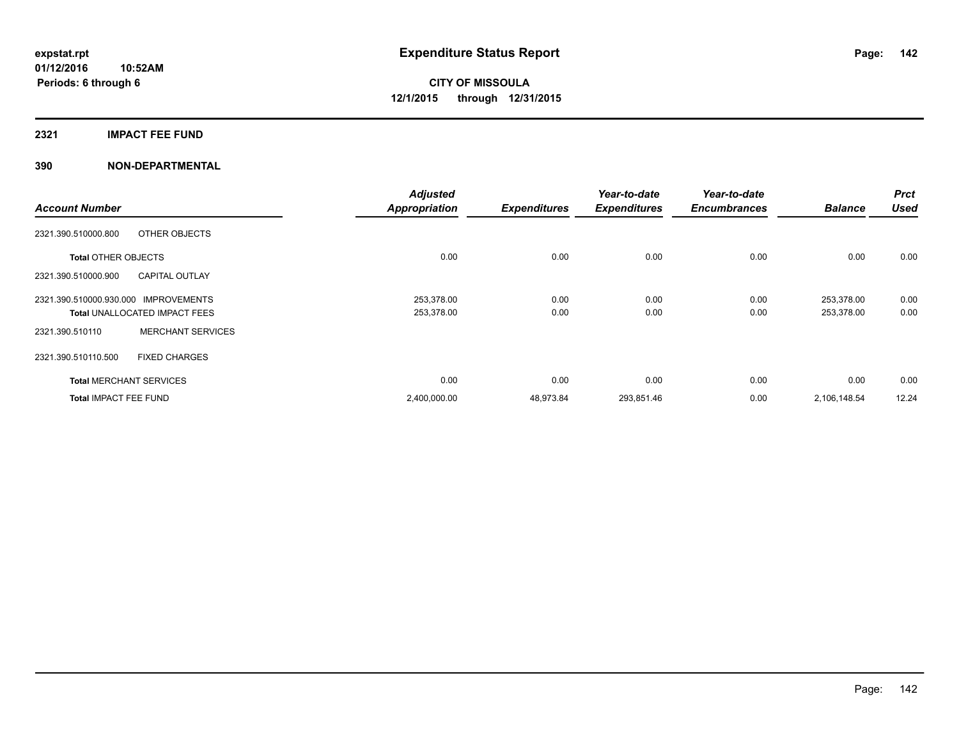# **2321 IMPACT FEE FUND**

|                                                | <b>Adjusted</b>          |                     | Year-to-date        | Year-to-date        |                | <b>Prct</b> |
|------------------------------------------------|--------------------------|---------------------|---------------------|---------------------|----------------|-------------|
| <b>Account Number</b>                          | <b>Appropriation</b>     | <b>Expenditures</b> | <b>Expenditures</b> | <b>Encumbrances</b> | <b>Balance</b> | <b>Used</b> |
| 2321.390.510000.800<br>OTHER OBJECTS           |                          |                     |                     |                     |                |             |
| <b>Total OTHER OBJECTS</b>                     |                          | 0.00<br>0.00        | 0.00                | 0.00                | 0.00           | 0.00        |
| <b>CAPITAL OUTLAY</b><br>2321.390.510000.900   |                          |                     |                     |                     |                |             |
| 2321.390.510000.930.000<br><b>IMPROVEMENTS</b> | 253,378.00               | 0.00                | 0.00                | 0.00                | 253,378.00     | 0.00        |
| <b>Total UNALLOCATED IMPACT FEES</b>           | 253,378.00               | 0.00                | 0.00                | 0.00                | 253,378.00     | 0.00        |
| 2321.390.510110                                | <b>MERCHANT SERVICES</b> |                     |                     |                     |                |             |
| 2321.390.510110.500<br><b>FIXED CHARGES</b>    |                          |                     |                     |                     |                |             |
| <b>Total MERCHANT SERVICES</b>                 |                          | 0.00<br>0.00        | 0.00                | 0.00                | 0.00           | 0.00        |
| <b>Total IMPACT FEE FUND</b>                   | 2,400,000.00             | 48,973.84           | 293,851.46          | 0.00                | 2,106,148.54   | 12.24       |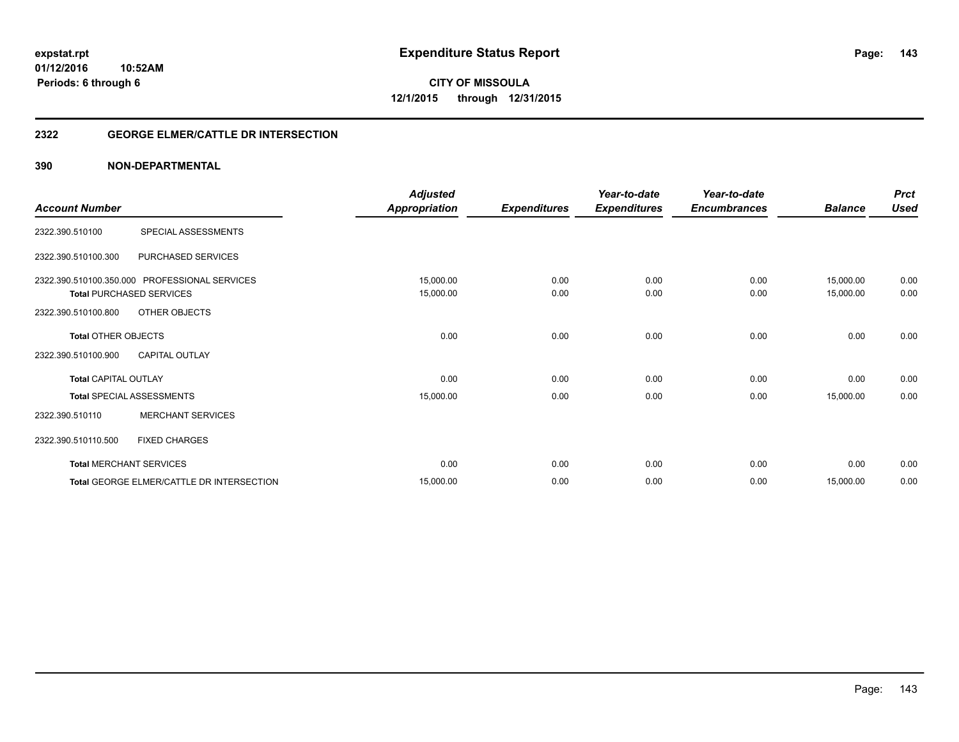# **2322 GEORGE ELMER/CATTLE DR INTERSECTION**

|                             |                                               | <b>Adjusted</b>      |                     | Year-to-date        | Year-to-date        |                | <b>Prct</b> |
|-----------------------------|-----------------------------------------------|----------------------|---------------------|---------------------|---------------------|----------------|-------------|
| <b>Account Number</b>       |                                               | <b>Appropriation</b> | <b>Expenditures</b> | <b>Expenditures</b> | <b>Encumbrances</b> | <b>Balance</b> | <b>Used</b> |
| 2322.390.510100             | SPECIAL ASSESSMENTS                           |                      |                     |                     |                     |                |             |
| 2322.390.510100.300         | PURCHASED SERVICES                            |                      |                     |                     |                     |                |             |
|                             | 2322.390.510100.350.000 PROFESSIONAL SERVICES | 15,000.00            | 0.00                | 0.00                | 0.00                | 15,000.00      | 0.00        |
|                             | <b>Total PURCHASED SERVICES</b>               | 15,000.00            | 0.00                | 0.00                | 0.00                | 15,000.00      | 0.00        |
| 2322.390.510100.800         | OTHER OBJECTS                                 |                      |                     |                     |                     |                |             |
| <b>Total OTHER OBJECTS</b>  |                                               | 0.00                 | 0.00                | 0.00                | 0.00                | 0.00           | 0.00        |
| 2322.390.510100.900         | <b>CAPITAL OUTLAY</b>                         |                      |                     |                     |                     |                |             |
| <b>Total CAPITAL OUTLAY</b> |                                               | 0.00                 | 0.00                | 0.00                | 0.00                | 0.00           | 0.00        |
|                             | <b>Total SPECIAL ASSESSMENTS</b>              | 15,000.00            | 0.00                | 0.00                | 0.00                | 15,000.00      | 0.00        |
| 2322.390.510110             | <b>MERCHANT SERVICES</b>                      |                      |                     |                     |                     |                |             |
| 2322.390.510110.500         | <b>FIXED CHARGES</b>                          |                      |                     |                     |                     |                |             |
|                             | <b>Total MERCHANT SERVICES</b>                | 0.00                 | 0.00                | 0.00                | 0.00                | 0.00           | 0.00        |
|                             | Total GEORGE ELMER/CATTLE DR INTERSECTION     | 15,000.00            | 0.00                | 0.00                | 0.00                | 15,000.00      | 0.00        |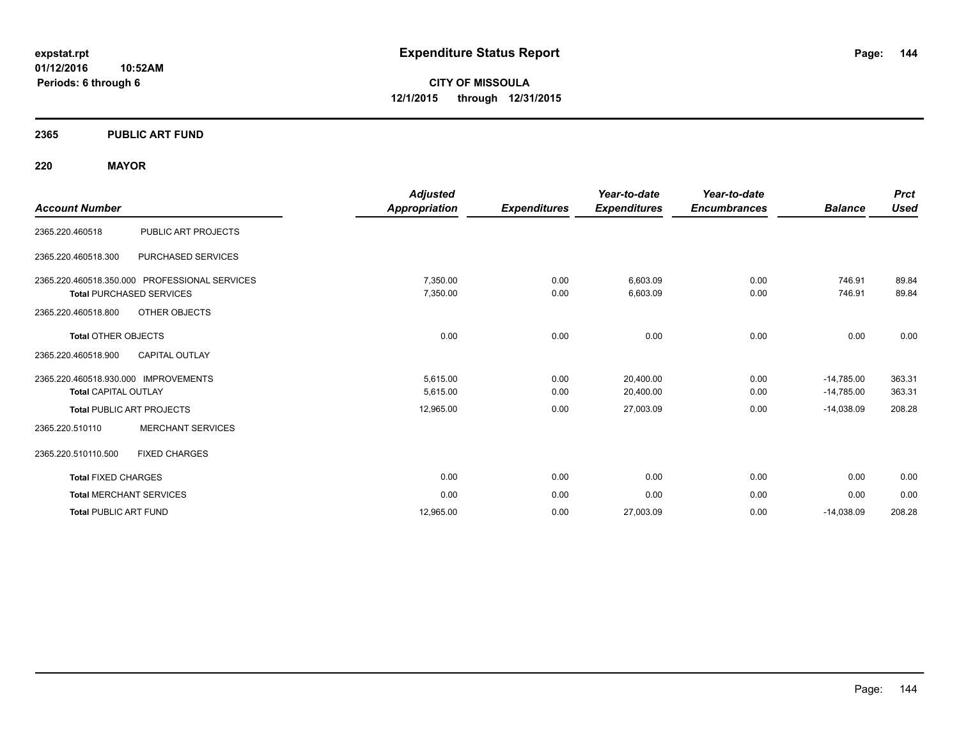**Periods: 6 through 6**

**CITY OF MISSOULA 12/1/2015 through 12/31/2015**

# **2365 PUBLIC ART FUND**

**10:52AM**

# **220 MAYOR**

|                                               | <b>Adjusted</b> |                     | Year-to-date        | Year-to-date        |                | <b>Prct</b> |
|-----------------------------------------------|-----------------|---------------------|---------------------|---------------------|----------------|-------------|
| <b>Account Number</b>                         | Appropriation   | <b>Expenditures</b> | <b>Expenditures</b> | <b>Encumbrances</b> | <b>Balance</b> | <b>Used</b> |
| PUBLIC ART PROJECTS<br>2365.220.460518        |                 |                     |                     |                     |                |             |
| PURCHASED SERVICES<br>2365.220.460518.300     |                 |                     |                     |                     |                |             |
| 2365.220.460518.350.000 PROFESSIONAL SERVICES | 7,350.00        | 0.00                | 6,603.09            | 0.00                | 746.91         | 89.84       |
| <b>Total PURCHASED SERVICES</b>               | 7,350.00        | 0.00                | 6,603.09            | 0.00                | 746.91         | 89.84       |
| <b>OTHER OBJECTS</b><br>2365.220.460518.800   |                 |                     |                     |                     |                |             |
| <b>Total OTHER OBJECTS</b>                    | 0.00            | 0.00                | 0.00                | 0.00                | 0.00           | 0.00        |
| <b>CAPITAL OUTLAY</b><br>2365.220.460518.900  |                 |                     |                     |                     |                |             |
| 2365.220.460518.930.000 IMPROVEMENTS          | 5,615.00        | 0.00                | 20,400.00           | 0.00                | $-14,785.00$   | 363.31      |
| <b>Total CAPITAL OUTLAY</b>                   | 5,615.00        | 0.00                | 20,400.00           | 0.00                | $-14,785.00$   | 363.31      |
| <b>Total PUBLIC ART PROJECTS</b>              | 12,965.00       | 0.00                | 27,003.09           | 0.00                | $-14,038.09$   | 208.28      |
| <b>MERCHANT SERVICES</b><br>2365.220.510110   |                 |                     |                     |                     |                |             |
| <b>FIXED CHARGES</b><br>2365.220.510110.500   |                 |                     |                     |                     |                |             |
| <b>Total FIXED CHARGES</b>                    | 0.00            | 0.00                | 0.00                | 0.00                | 0.00           | 0.00        |
| <b>Total MERCHANT SERVICES</b>                | 0.00            | 0.00                | 0.00                | 0.00                | 0.00           | 0.00        |
| <b>Total PUBLIC ART FUND</b>                  | 12,965.00       | 0.00                | 27,003.09           | 0.00                | $-14,038.09$   | 208.28      |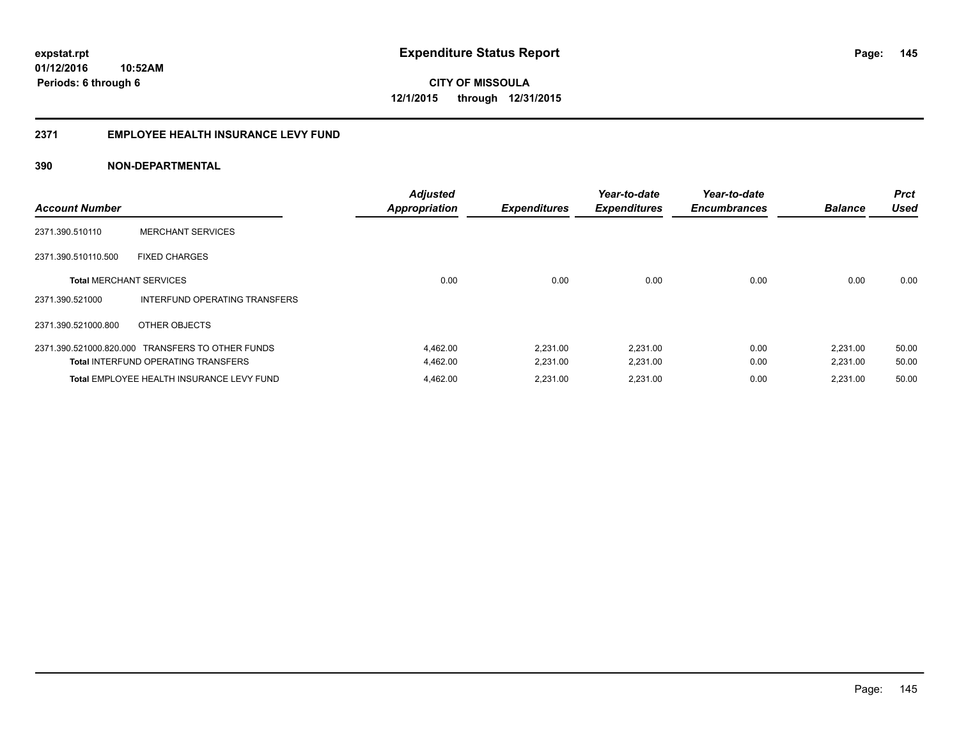#### **2371 EMPLOYEE HEALTH INSURANCE LEVY FUND**

| <b>Account Number</b>          |                                                  | <b>Adjusted</b><br><b>Appropriation</b> | <b>Expenditures</b> | Year-to-date<br><b>Expenditures</b> | Year-to-date<br><b>Encumbrances</b> | <b>Balance</b> | <b>Prct</b><br><b>Used</b> |
|--------------------------------|--------------------------------------------------|-----------------------------------------|---------------------|-------------------------------------|-------------------------------------|----------------|----------------------------|
| 2371.390.510110                | <b>MERCHANT SERVICES</b>                         |                                         |                     |                                     |                                     |                |                            |
| 2371.390.510110.500            | <b>FIXED CHARGES</b>                             |                                         |                     |                                     |                                     |                |                            |
| <b>Total MERCHANT SERVICES</b> |                                                  | 0.00                                    | 0.00                | 0.00                                | 0.00                                | 0.00           | 0.00                       |
| 2371.390.521000                | INTERFUND OPERATING TRANSFERS                    |                                         |                     |                                     |                                     |                |                            |
| 2371.390.521000.800            | OTHER OBJECTS                                    |                                         |                     |                                     |                                     |                |                            |
|                                | 2371.390.521000.820.000 TRANSFERS TO OTHER FUNDS | 4,462.00                                | 2,231.00            | 2.231.00                            | 0.00                                | 2.231.00       | 50.00                      |
|                                | <b>Total INTERFUND OPERATING TRANSFERS</b>       | 4,462.00                                | 2,231.00            | 2,231.00                            | 0.00                                | 2,231.00       | 50.00                      |
|                                | Total EMPLOYEE HEALTH INSURANCE LEVY FUND        | 4,462.00                                | 2.231.00            | 2,231.00                            | 0.00                                | 2.231.00       | 50.00                      |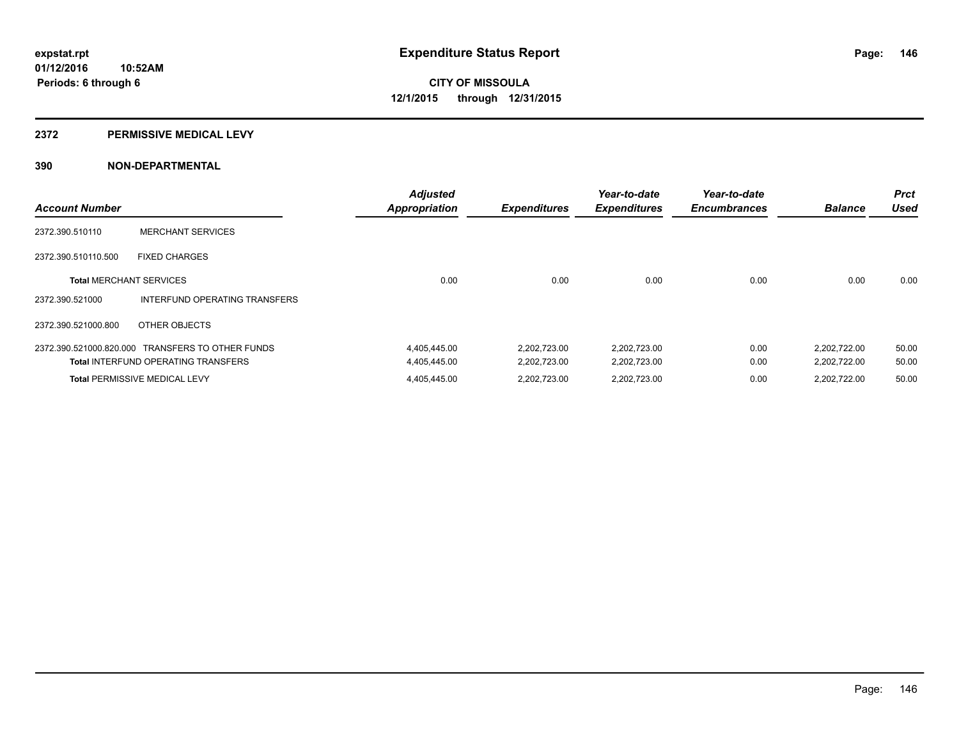#### **2372 PERMISSIVE MEDICAL LEVY**

| <b>Account Number</b>          |                                                  | <b>Adjusted</b><br><b>Appropriation</b> | <b>Expenditures</b> | Year-to-date<br><b>Expenditures</b> | Year-to-date<br><b>Encumbrances</b> | <b>Balance</b> | <b>Prct</b><br><b>Used</b> |
|--------------------------------|--------------------------------------------------|-----------------------------------------|---------------------|-------------------------------------|-------------------------------------|----------------|----------------------------|
| 2372.390.510110                | <b>MERCHANT SERVICES</b>                         |                                         |                     |                                     |                                     |                |                            |
| 2372.390.510110.500            | <b>FIXED CHARGES</b>                             |                                         |                     |                                     |                                     |                |                            |
| <b>Total MERCHANT SERVICES</b> |                                                  | 0.00                                    | 0.00                | 0.00                                | 0.00                                | 0.00           | 0.00                       |
| 2372.390.521000                | INTERFUND OPERATING TRANSFERS                    |                                         |                     |                                     |                                     |                |                            |
| 2372.390.521000.800            | OTHER OBJECTS                                    |                                         |                     |                                     |                                     |                |                            |
|                                | 2372.390.521000.820.000 TRANSFERS TO OTHER FUNDS | 4,405,445.00                            | 2,202,723.00        | 2,202,723.00                        | 0.00                                | 2,202,722.00   | 50.00                      |
|                                | <b>Total INTERFUND OPERATING TRANSFERS</b>       | 4,405,445.00                            | 2,202,723.00        | 2,202,723.00                        | 0.00                                | 2,202,722.00   | 50.00                      |
|                                | <b>Total PERMISSIVE MEDICAL LEVY</b>             | 4,405,445.00                            | 2,202,723.00        | 2,202,723.00                        | 0.00                                | 2.202.722.00   | 50.00                      |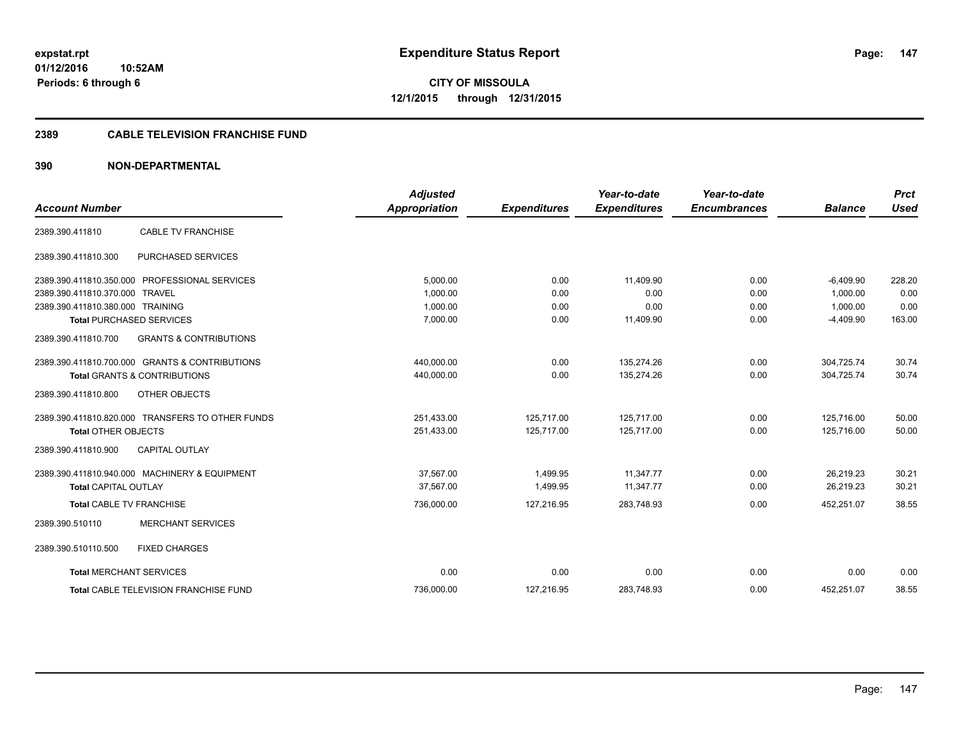**CITY OF MISSOULA 12/1/2015 through 12/31/2015**

### **2389 CABLE TELEVISION FRANCHISE FUND**

|                                  |                                                  | <b>Adjusted</b>      |                     | Year-to-date        | Year-to-date        |                | <b>Prct</b> |
|----------------------------------|--------------------------------------------------|----------------------|---------------------|---------------------|---------------------|----------------|-------------|
| <b>Account Number</b>            |                                                  | <b>Appropriation</b> | <b>Expenditures</b> | <b>Expenditures</b> | <b>Encumbrances</b> | <b>Balance</b> | <b>Used</b> |
| 2389.390.411810                  | <b>CABLE TV FRANCHISE</b>                        |                      |                     |                     |                     |                |             |
| 2389.390.411810.300              | PURCHASED SERVICES                               |                      |                     |                     |                     |                |             |
|                                  | 2389.390.411810.350.000 PROFESSIONAL SERVICES    | 5,000.00             | 0.00                | 11.409.90           | 0.00                | $-6,409.90$    | 228.20      |
| 2389.390.411810.370.000 TRAVEL   |                                                  | 1.000.00             | 0.00                | 0.00                | 0.00                | 1.000.00       | 0.00        |
| 2389.390.411810.380.000 TRAINING |                                                  | 1,000.00             | 0.00                | 0.00                | 0.00                | 1,000.00       | 0.00        |
|                                  | <b>Total PURCHASED SERVICES</b>                  | 7,000.00             | 0.00                | 11,409.90           | 0.00                | $-4,409.90$    | 163.00      |
| 2389.390.411810.700              | <b>GRANTS &amp; CONTRIBUTIONS</b>                |                      |                     |                     |                     |                |             |
|                                  | 2389.390.411810.700.000 GRANTS & CONTRIBUTIONS   | 440,000.00           | 0.00                | 135,274.26          | 0.00                | 304,725.74     | 30.74       |
|                                  | <b>Total GRANTS &amp; CONTRIBUTIONS</b>          | 440,000.00           | 0.00                | 135,274.26          | 0.00                | 304,725.74     | 30.74       |
| 2389.390.411810.800              | OTHER OBJECTS                                    |                      |                     |                     |                     |                |             |
|                                  | 2389.390.411810.820.000 TRANSFERS TO OTHER FUNDS | 251,433.00           | 125,717.00          | 125,717.00          | 0.00                | 125,716.00     | 50.00       |
| <b>Total OTHER OBJECTS</b>       |                                                  | 251,433.00           | 125.717.00          | 125,717.00          | 0.00                | 125,716.00     | 50.00       |
| 2389.390.411810.900              | <b>CAPITAL OUTLAY</b>                            |                      |                     |                     |                     |                |             |
|                                  | 2389.390.411810.940.000 MACHINERY & EQUIPMENT    | 37.567.00            | 1.499.95            | 11.347.77           | 0.00                | 26,219.23      | 30.21       |
| <b>Total CAPITAL OUTLAY</b>      |                                                  | 37,567.00            | 1,499.95            | 11,347.77           | 0.00                | 26,219.23      | 30.21       |
| <b>Total CABLE TV FRANCHISE</b>  |                                                  | 736,000.00           | 127,216.95          | 283,748.93          | 0.00                | 452,251.07     | 38.55       |
| 2389.390.510110                  | <b>MERCHANT SERVICES</b>                         |                      |                     |                     |                     |                |             |
| 2389.390.510110.500              | <b>FIXED CHARGES</b>                             |                      |                     |                     |                     |                |             |
| <b>Total MERCHANT SERVICES</b>   |                                                  | 0.00                 | 0.00                | 0.00                | 0.00                | 0.00           | 0.00        |
|                                  | <b>Total CABLE TELEVISION FRANCHISE FUND</b>     | 736,000.00           | 127,216.95          | 283,748.93          | 0.00                | 452,251.07     | 38.55       |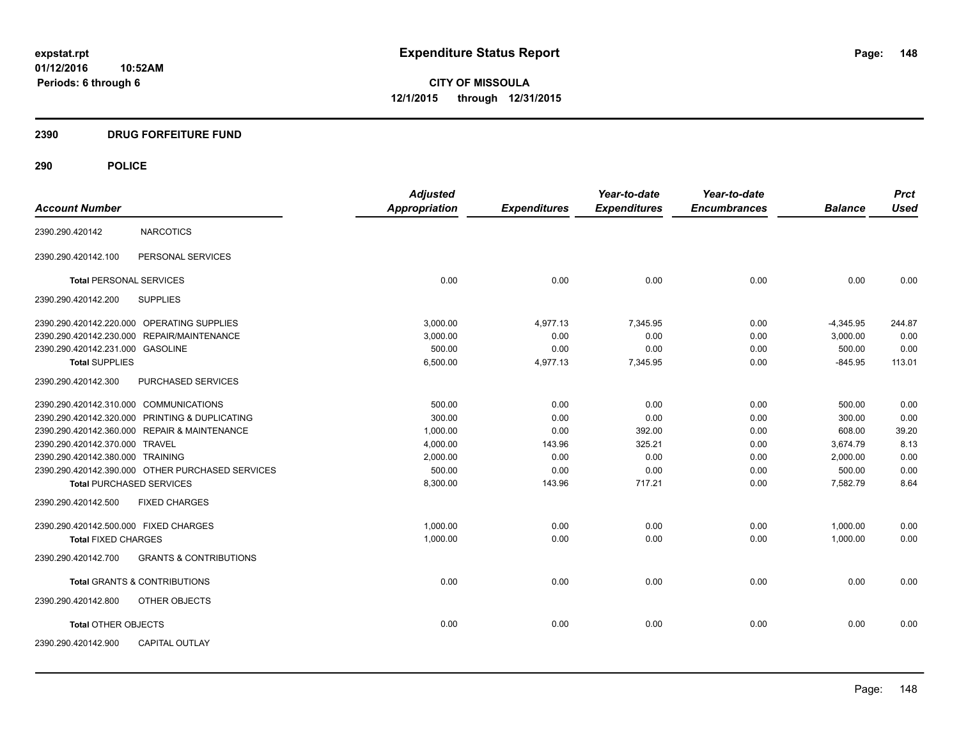**Periods: 6 through 6**

**CITY OF MISSOULA 12/1/2015 through 12/31/2015**

# **2390 DRUG FORFEITURE FUND**

|                                                          | <b>Adjusted</b>      |                     | Year-to-date        | Year-to-date        |                | <b>Prct</b> |
|----------------------------------------------------------|----------------------|---------------------|---------------------|---------------------|----------------|-------------|
| <b>Account Number</b>                                    | <b>Appropriation</b> | <b>Expenditures</b> | <b>Expenditures</b> | <b>Encumbrances</b> | <b>Balance</b> | <b>Used</b> |
| <b>NARCOTICS</b><br>2390.290.420142                      |                      |                     |                     |                     |                |             |
| PERSONAL SERVICES<br>2390.290.420142.100                 |                      |                     |                     |                     |                |             |
| <b>Total PERSONAL SERVICES</b>                           | 0.00                 | 0.00                | 0.00                | 0.00                | 0.00           | 0.00        |
| <b>SUPPLIES</b><br>2390.290.420142.200                   |                      |                     |                     |                     |                |             |
| 2390.290.420142.220.000 OPERATING SUPPLIES               | 3.000.00             | 4,977.13            | 7.345.95            | 0.00                | $-4,345.95$    | 244.87      |
| 2390.290.420142.230.000<br><b>REPAIR/MAINTENANCE</b>     | 3,000.00             | 0.00                | 0.00                | 0.00                | 3,000.00       | 0.00        |
| 2390.290.420142.231.000 GASOLINE                         | 500.00               | 0.00                | 0.00                | 0.00                | 500.00         | 0.00        |
| <b>Total SUPPLIES</b>                                    | 6,500.00             | 4,977.13            | 7,345.95            | 0.00                | $-845.95$      | 113.01      |
| 2390.290.420142.300<br>PURCHASED SERVICES                |                      |                     |                     |                     |                |             |
| 2390.290.420142.310.000 COMMUNICATIONS                   | 500.00               | 0.00                | 0.00                | 0.00                | 500.00         | 0.00        |
| 2390.290.420142.320.000 PRINTING & DUPLICATING           | 300.00               | 0.00                | 0.00                | 0.00                | 300.00         | 0.00        |
| 2390.290.420142.360.000 REPAIR & MAINTENANCE             | 1,000.00             | 0.00                | 392.00              | 0.00                | 608.00         | 39.20       |
| 2390.290.420142.370.000 TRAVEL                           | 4,000.00             | 143.96              | 325.21              | 0.00                | 3,674.79       | 8.13        |
| 2390.290.420142.380.000 TRAINING                         | 2,000.00             | 0.00                | 0.00                | 0.00                | 2,000.00       | 0.00        |
| 2390.290.420142.390.000 OTHER PURCHASED SERVICES         | 500.00               | 0.00                | 0.00                | 0.00                | 500.00         | 0.00        |
| <b>Total PURCHASED SERVICES</b>                          | 8,300.00             | 143.96              | 717.21              | 0.00                | 7,582.79       | 8.64        |
| 2390.290.420142.500<br><b>FIXED CHARGES</b>              |                      |                     |                     |                     |                |             |
| 2390.290.420142.500.000 FIXED CHARGES                    | 1,000.00             | 0.00                | 0.00                | 0.00                | 1,000.00       | 0.00        |
| <b>Total FIXED CHARGES</b>                               | 1,000.00             | 0.00                | 0.00                | 0.00                | 1,000.00       | 0.00        |
| <b>GRANTS &amp; CONTRIBUTIONS</b><br>2390.290.420142.700 |                      |                     |                     |                     |                |             |
| <b>Total GRANTS &amp; CONTRIBUTIONS</b>                  | 0.00                 | 0.00                | 0.00                | 0.00                | 0.00           | 0.00        |
| 2390.290.420142.800<br>OTHER OBJECTS                     |                      |                     |                     |                     |                |             |
| <b>Total OTHER OBJECTS</b>                               | 0.00                 | 0.00                | 0.00                | 0.00                | 0.00           | 0.00        |
| 2390.290.420142.900<br><b>CAPITAL OUTLAY</b>             |                      |                     |                     |                     |                |             |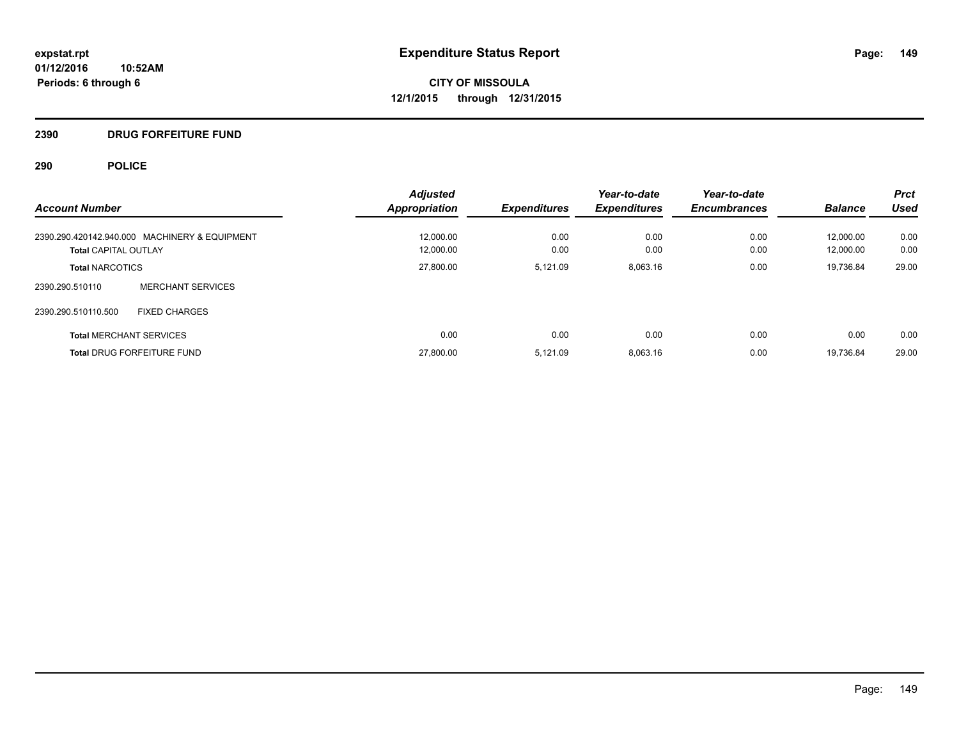# **2390 DRUG FORFEITURE FUND**

|                                               | <b>Adjusted</b>      |                     | Year-to-date        | Year-to-date        |                | <b>Prct</b> |
|-----------------------------------------------|----------------------|---------------------|---------------------|---------------------|----------------|-------------|
| <b>Account Number</b>                         | <b>Appropriation</b> | <b>Expenditures</b> | <b>Expenditures</b> | <b>Encumbrances</b> | <b>Balance</b> | Used        |
| 2390.290.420142.940.000 MACHINERY & EQUIPMENT | 12,000.00            | 0.00                | 0.00                | 0.00                | 12.000.00      | 0.00        |
| <b>Total CAPITAL OUTLAY</b>                   | 12.000.00            | 0.00                | 0.00                | 0.00                | 12.000.00      | 0.00        |
| <b>Total NARCOTICS</b>                        | 27,800.00            | 5,121.09            | 8,063.16            | 0.00                | 19,736.84      | 29.00       |
| <b>MERCHANT SERVICES</b><br>2390.290.510110   |                      |                     |                     |                     |                |             |
| <b>FIXED CHARGES</b><br>2390.290.510110.500   |                      |                     |                     |                     |                |             |
| <b>Total MERCHANT SERVICES</b>                | 0.00                 | 0.00                | 0.00                | 0.00                | 0.00           | 0.00        |
| <b>Total DRUG FORFEITURE FUND</b>             | 27,800.00            | 5.121.09            | 8,063.16            | 0.00                | 19.736.84      | 29.00       |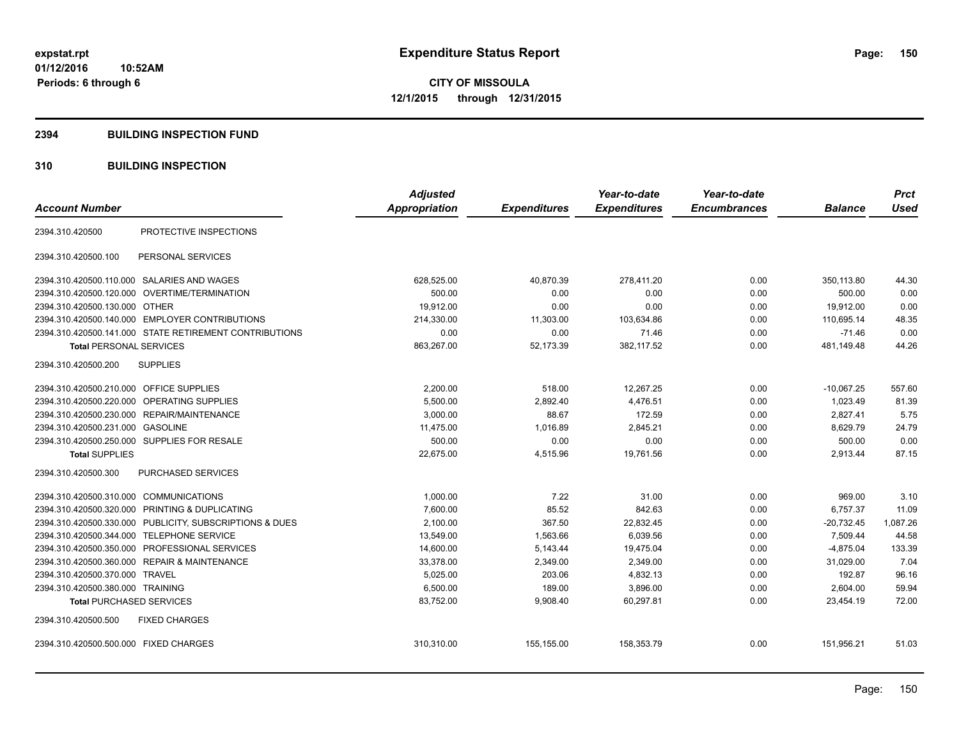#### **2394 BUILDING INSPECTION FUND**

### **310 BUILDING INSPECTION**

| <b>Account Number</b>                                   | <b>Adjusted</b><br>Appropriation | <b>Expenditures</b> | Year-to-date<br><b>Expenditures</b> | Year-to-date<br><b>Encumbrances</b> | <b>Balance</b> | <b>Prct</b><br><b>Used</b> |
|---------------------------------------------------------|----------------------------------|---------------------|-------------------------------------|-------------------------------------|----------------|----------------------------|
|                                                         |                                  |                     |                                     |                                     |                |                            |
| PROTECTIVE INSPECTIONS<br>2394.310.420500               |                                  |                     |                                     |                                     |                |                            |
| PERSONAL SERVICES<br>2394.310.420500.100                |                                  |                     |                                     |                                     |                |                            |
| 2394.310.420500.110.000 SALARIES AND WAGES              | 628,525.00                       | 40,870.39           | 278,411.20                          | 0.00                                | 350,113.80     | 44.30                      |
| OVERTIME/TERMINATION<br>2394.310.420500.120.000         | 500.00                           | 0.00                | 0.00                                | 0.00                                | 500.00         | 0.00                       |
| 2394.310.420500.130.000 OTHER                           | 19,912.00                        | 0.00                | 0.00                                | 0.00                                | 19,912.00      | 0.00                       |
| 2394.310.420500.140.000 EMPLOYER CONTRIBUTIONS          | 214,330.00                       | 11,303.00           | 103,634.86                          | 0.00                                | 110.695.14     | 48.35                      |
| 2394.310.420500.141.000 STATE RETIREMENT CONTRIBUTIONS  | 0.00                             | 0.00                | 71.46                               | 0.00                                | $-71.46$       | 0.00                       |
| <b>Total PERSONAL SERVICES</b>                          | 863,267.00                       | 52,173.39           | 382,117.52                          | 0.00                                | 481,149.48     | 44.26                      |
| <b>SUPPLIES</b><br>2394.310.420500.200                  |                                  |                     |                                     |                                     |                |                            |
| 2394.310.420500.210.000 OFFICE SUPPLIES                 | 2,200.00                         | 518.00              | 12,267.25                           | 0.00                                | $-10,067.25$   | 557.60                     |
| OPERATING SUPPLIES<br>2394.310.420500.220.000           | 5,500.00                         | 2,892.40            | 4,476.51                            | 0.00                                | 1,023.49       | 81.39                      |
| 2394.310.420500.230.000 REPAIR/MAINTENANCE              | 3.000.00                         | 88.67               | 172.59                              | 0.00                                | 2.827.41       | 5.75                       |
| 2394.310.420500.231.000<br><b>GASOLINE</b>              | 11,475.00                        | 1,016.89            | 2,845.21                            | 0.00                                | 8,629.79       | 24.79                      |
| 2394.310.420500.250.000 SUPPLIES FOR RESALE             | 500.00                           | 0.00                | 0.00                                | 0.00                                | 500.00         | 0.00                       |
| <b>Total SUPPLIES</b>                                   | 22,675.00                        | 4,515.96            | 19,761.56                           | 0.00                                | 2,913.44       | 87.15                      |
| 2394.310.420500.300<br><b>PURCHASED SERVICES</b>        |                                  |                     |                                     |                                     |                |                            |
| 2394.310.420500.310.000 COMMUNICATIONS                  | 1.000.00                         | 7.22                | 31.00                               | 0.00                                | 969.00         | 3.10                       |
| 2394.310.420500.320.000<br>PRINTING & DUPLICATING       | 7,600.00                         | 85.52               | 842.63                              | 0.00                                | 6,757.37       | 11.09                      |
| 2394.310.420500.330.000 PUBLICITY, SUBSCRIPTIONS & DUES | 2,100.00                         | 367.50              | 22,832.45                           | 0.00                                | $-20,732.45$   | 1,087.26                   |
| 2394.310.420500.344.000 TELEPHONE SERVICE               | 13,549.00                        | 1,563.66            | 6,039.56                            | 0.00                                | 7,509.44       | 44.58                      |
| 2394.310.420500.350.000 PROFESSIONAL SERVICES           | 14,600.00                        | 5,143.44            | 19,475.04                           | 0.00                                | $-4,875.04$    | 133.39                     |
| 2394.310.420500.360.000 REPAIR & MAINTENANCE            | 33,378.00                        | 2,349.00            | 2,349.00                            | 0.00                                | 31,029.00      | 7.04                       |
| 2394.310.420500.370.000 TRAVEL                          | 5,025.00                         | 203.06              | 4,832.13                            | 0.00                                | 192.87         | 96.16                      |
| 2394.310.420500.380.000 TRAINING                        | 6,500.00                         | 189.00              | 3,896.00                            | 0.00                                | 2,604.00       | 59.94                      |
| <b>Total PURCHASED SERVICES</b>                         | 83,752.00                        | 9,908.40            | 60,297.81                           | 0.00                                | 23,454.19      | 72.00                      |
| 2394.310.420500.500<br><b>FIXED CHARGES</b>             |                                  |                     |                                     |                                     |                |                            |
| 2394.310.420500.500.000 FIXED CHARGES                   | 310,310.00                       | 155,155.00          | 158,353.79                          | 0.00                                | 151,956.21     | 51.03                      |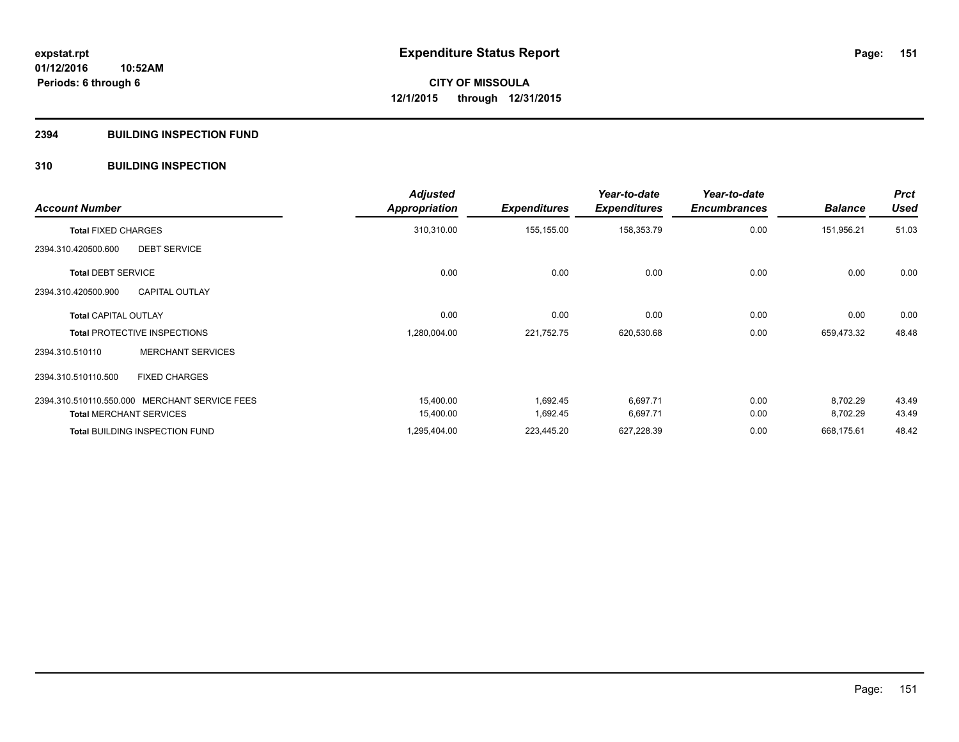#### **2394 BUILDING INSPECTION FUND**

### **310 BUILDING INSPECTION**

| <b>Account Number</b>          |                                               | <b>Adjusted</b><br><b>Appropriation</b> | <b>Expenditures</b> | Year-to-date<br><b>Expenditures</b> | Year-to-date<br><b>Encumbrances</b> | <b>Balance</b> | <b>Prct</b><br><b>Used</b> |
|--------------------------------|-----------------------------------------------|-----------------------------------------|---------------------|-------------------------------------|-------------------------------------|----------------|----------------------------|
| <b>Total FIXED CHARGES</b>     |                                               | 310,310.00                              | 155,155.00          | 158,353.79                          | 0.00                                | 151,956.21     | 51.03                      |
| 2394.310.420500.600            | <b>DEBT SERVICE</b>                           |                                         |                     |                                     |                                     |                |                            |
| <b>Total DEBT SERVICE</b>      |                                               | 0.00                                    | 0.00                | 0.00                                | 0.00                                | 0.00           | 0.00                       |
| 2394.310.420500.900            | <b>CAPITAL OUTLAY</b>                         |                                         |                     |                                     |                                     |                |                            |
| <b>Total CAPITAL OUTLAY</b>    |                                               | 0.00                                    | 0.00                | 0.00                                | 0.00                                | 0.00           | 0.00                       |
|                                | <b>Total PROTECTIVE INSPECTIONS</b>           | 1,280,004.00                            | 221,752.75          | 620,530.68                          | 0.00                                | 659,473.32     | 48.48                      |
| 2394.310.510110                | <b>MERCHANT SERVICES</b>                      |                                         |                     |                                     |                                     |                |                            |
| 2394.310.510110.500            | <b>FIXED CHARGES</b>                          |                                         |                     |                                     |                                     |                |                            |
|                                | 2394.310.510110.550.000 MERCHANT SERVICE FEES | 15,400.00                               | 1,692.45            | 6,697.71                            | 0.00                                | 8,702.29       | 43.49                      |
| <b>Total MERCHANT SERVICES</b> |                                               | 15,400.00                               | 1,692.45            | 6,697.71                            | 0.00                                | 8,702.29       | 43.49                      |
|                                | Total BUILDING INSPECTION FUND                | 1,295,404.00                            | 223,445.20          | 627,228.39                          | 0.00                                | 668,175.61     | 48.42                      |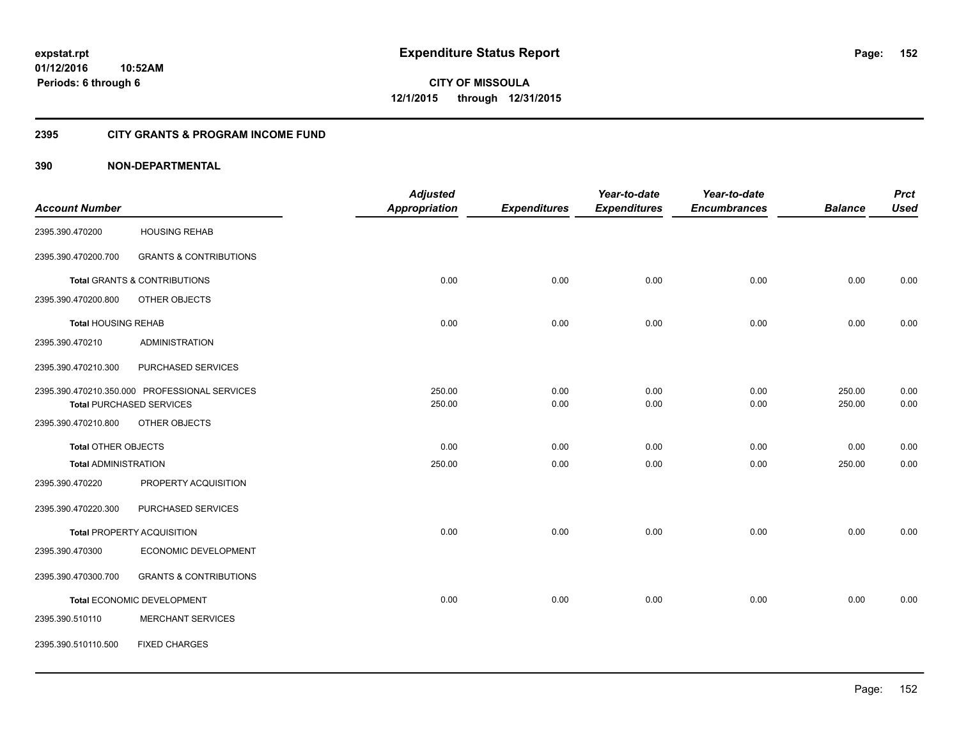#### **2395 CITY GRANTS & PROGRAM INCOME FUND**

|                             |                                               | <b>Adjusted</b>      |                     | Year-to-date        | Year-to-date        |                | <b>Prct</b> |
|-----------------------------|-----------------------------------------------|----------------------|---------------------|---------------------|---------------------|----------------|-------------|
| <b>Account Number</b>       |                                               | <b>Appropriation</b> | <b>Expenditures</b> | <b>Expenditures</b> | <b>Encumbrances</b> | <b>Balance</b> | <b>Used</b> |
| 2395.390.470200             | <b>HOUSING REHAB</b>                          |                      |                     |                     |                     |                |             |
| 2395.390.470200.700         | <b>GRANTS &amp; CONTRIBUTIONS</b>             |                      |                     |                     |                     |                |             |
|                             | <b>Total GRANTS &amp; CONTRIBUTIONS</b>       | 0.00                 | 0.00                | 0.00                | 0.00                | 0.00           | 0.00        |
| 2395.390.470200.800         | OTHER OBJECTS                                 |                      |                     |                     |                     |                |             |
| <b>Total HOUSING REHAB</b>  |                                               | 0.00                 | 0.00                | 0.00                | 0.00                | 0.00           | 0.00        |
| 2395.390.470210             | <b>ADMINISTRATION</b>                         |                      |                     |                     |                     |                |             |
| 2395.390.470210.300         | PURCHASED SERVICES                            |                      |                     |                     |                     |                |             |
|                             | 2395.390.470210.350.000 PROFESSIONAL SERVICES | 250.00               | 0.00                | 0.00                | 0.00                | 250.00         | 0.00        |
|                             | <b>Total PURCHASED SERVICES</b>               | 250.00               | 0.00                | 0.00                | 0.00                | 250.00         | 0.00        |
| 2395.390.470210.800         | OTHER OBJECTS                                 |                      |                     |                     |                     |                |             |
| Total OTHER OBJECTS         |                                               | 0.00                 | 0.00                | 0.00                | 0.00                | 0.00           | 0.00        |
| <b>Total ADMINISTRATION</b> |                                               | 250.00               | 0.00                | 0.00                | 0.00                | 250.00         | 0.00        |
| 2395.390.470220             | PROPERTY ACQUISITION                          |                      |                     |                     |                     |                |             |
| 2395.390.470220.300         | PURCHASED SERVICES                            |                      |                     |                     |                     |                |             |
|                             | <b>Total PROPERTY ACQUISITION</b>             | 0.00                 | 0.00                | 0.00                | 0.00                | 0.00           | 0.00        |
| 2395.390.470300             | ECONOMIC DEVELOPMENT                          |                      |                     |                     |                     |                |             |
| 2395.390.470300.700         | <b>GRANTS &amp; CONTRIBUTIONS</b>             |                      |                     |                     |                     |                |             |
|                             | Total ECONOMIC DEVELOPMENT                    | 0.00                 | 0.00                | 0.00                | 0.00                | 0.00           | 0.00        |
| 2395.390.510110             | <b>MERCHANT SERVICES</b>                      |                      |                     |                     |                     |                |             |
| 2395.390.510110.500         | <b>FIXED CHARGES</b>                          |                      |                     |                     |                     |                |             |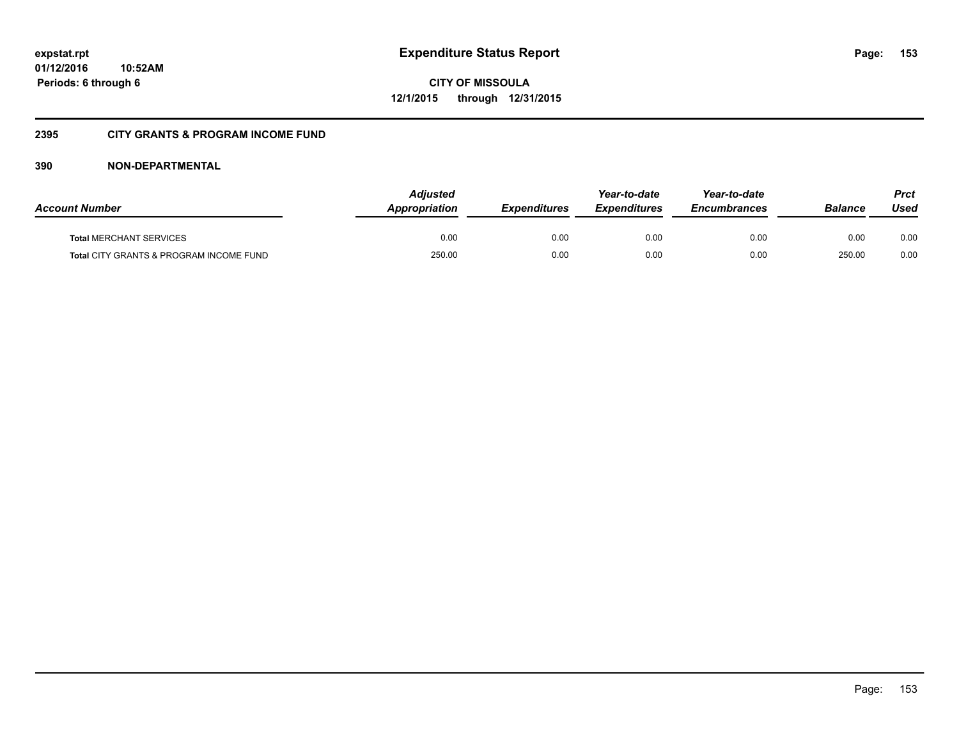**CITY OF MISSOULA 12/1/2015 through 12/31/2015**

### **2395 CITY GRANTS & PROGRAM INCOME FUND**

| <b>Account Number</b>                   | Adjusted<br><b>Appropriation</b> | <b>Expenditures</b> | Year-to-date<br><b>Expenditures</b> | Year-to-date<br><b>Encumbrances</b> | <b>Balance</b> | <b>Prct</b><br>Used |
|-----------------------------------------|----------------------------------|---------------------|-------------------------------------|-------------------------------------|----------------|---------------------|
| <b>Total MERCHANT SERVICES</b>          | 0.00                             | 0.00                | 0.00                                | 0.00                                | 0.00           | 0.00                |
| Total CITY GRANTS & PROGRAM INCOME FUND | 250.00                           | 0.00                | 0.00                                | 0.00                                | 250.00         | 0.00                |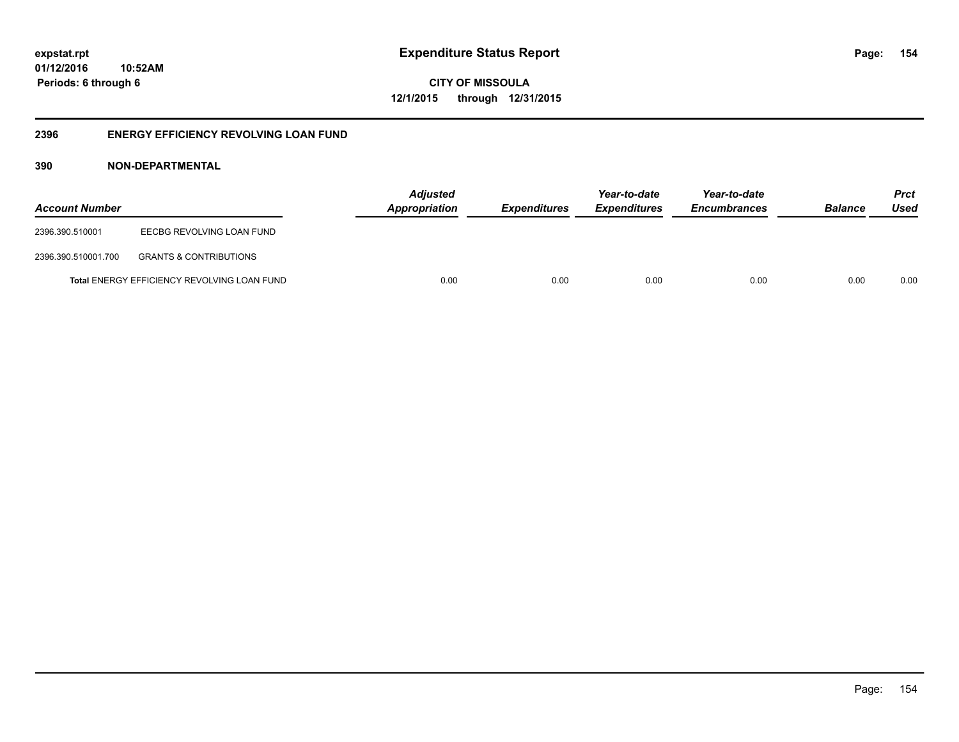**CITY OF MISSOULA 12/1/2015 through 12/31/2015**

### **2396 ENERGY EFFICIENCY REVOLVING LOAN FUND**

| <b>Account Number</b> |                                                    | <b>Adjusted</b><br>Appropriation | <b>Expenditures</b> | Year-to-date<br><i><b>Expenditures</b></i> | Year-to-date<br><b>Encumbrances</b> | <b>Balance</b> | <b>Prct</b><br>Used |
|-----------------------|----------------------------------------------------|----------------------------------|---------------------|--------------------------------------------|-------------------------------------|----------------|---------------------|
| 2396.390.510001       | EECBG REVOLVING LOAN FUND                          |                                  |                     |                                            |                                     |                |                     |
| 2396.390.510001.700   | <b>GRANTS &amp; CONTRIBUTIONS</b>                  |                                  |                     |                                            |                                     |                |                     |
|                       | <b>Total ENERGY EFFICIENCY REVOLVING LOAN FUND</b> | 0.00                             | 0.00                | 0.00                                       | 0.00                                | 0.00           | 0.00                |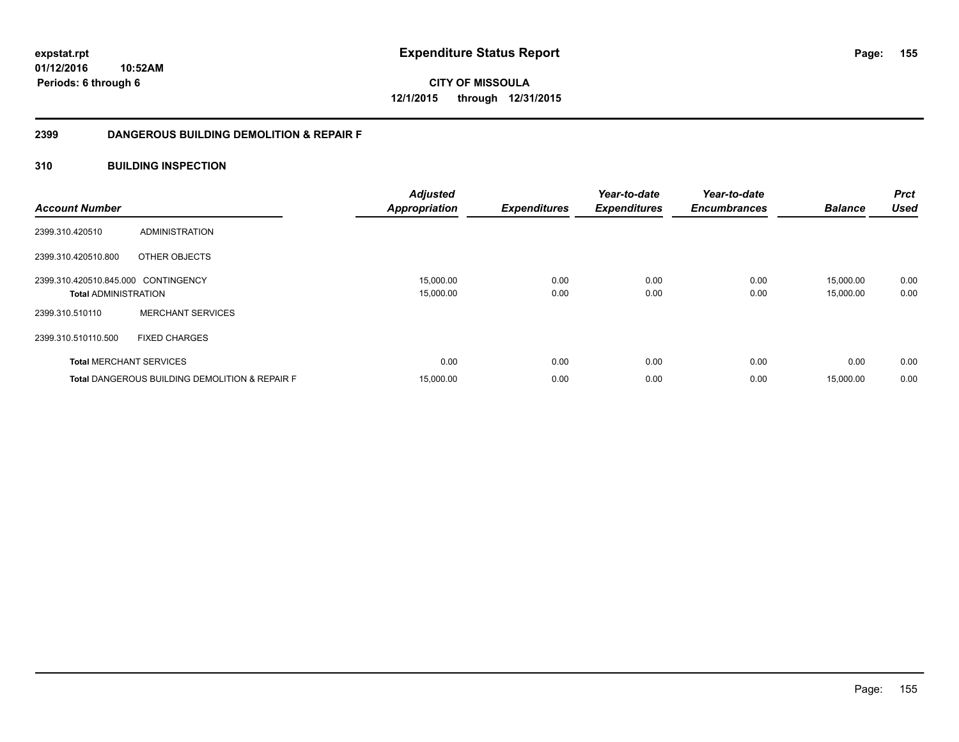**155**

**01/12/2016 10:52AM Periods: 6 through 6**

**CITY OF MISSOULA 12/1/2015 through 12/31/2015**

### **2399 DANGEROUS BUILDING DEMOLITION & REPAIR F**

### **310 BUILDING INSPECTION**

| <b>Account Number</b>                                              |                                                           | <b>Adjusted</b><br><b>Appropriation</b> | <b>Expenditures</b> | Year-to-date<br><b>Expenditures</b> | Year-to-date<br><b>Encumbrances</b> | <b>Balance</b>         | <b>Prct</b><br><b>Used</b> |
|--------------------------------------------------------------------|-----------------------------------------------------------|-----------------------------------------|---------------------|-------------------------------------|-------------------------------------|------------------------|----------------------------|
| 2399.310.420510                                                    | ADMINISTRATION                                            |                                         |                     |                                     |                                     |                        |                            |
| 2399.310.420510.800                                                | OTHER OBJECTS                                             |                                         |                     |                                     |                                     |                        |                            |
| 2399.310.420510.845.000 CONTINGENCY<br><b>Total ADMINISTRATION</b> |                                                           | 15,000.00<br>15,000.00                  | 0.00<br>0.00        | 0.00<br>0.00                        | 0.00<br>0.00                        | 15,000.00<br>15,000.00 | 0.00<br>0.00               |
| 2399.310.510110                                                    | <b>MERCHANT SERVICES</b>                                  |                                         |                     |                                     |                                     |                        |                            |
| 2399.310.510110.500                                                | <b>FIXED CHARGES</b>                                      |                                         |                     |                                     |                                     |                        |                            |
|                                                                    | <b>Total MERCHANT SERVICES</b>                            | 0.00                                    | 0.00                | 0.00                                | 0.00                                | 0.00                   | 0.00                       |
|                                                                    | <b>Total DANGEROUS BUILDING DEMOLITION &amp; REPAIR F</b> | 15,000.00                               | 0.00                | 0.00                                | 0.00                                | 15,000.00              | 0.00                       |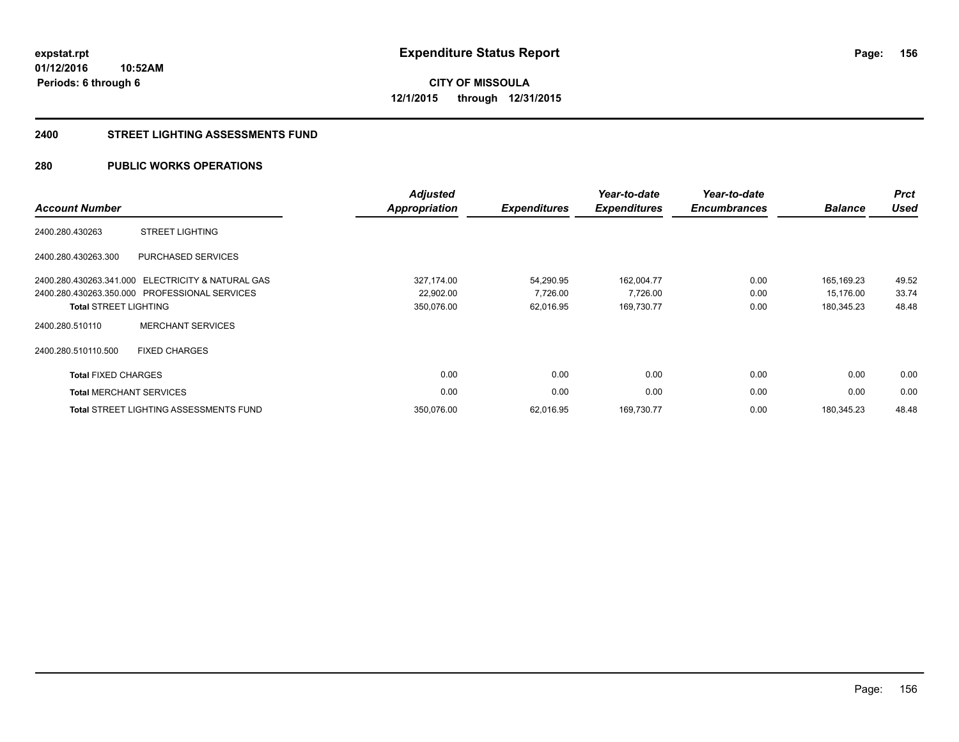# **CITY OF MISSOULA 12/1/2015 through 12/31/2015**

#### **2400 STREET LIGHTING ASSESSMENTS FUND**

### **280 PUBLIC WORKS OPERATIONS**

| <b>Account Number</b>          |                                               | <b>Adjusted</b><br>Appropriation | <b>Expenditures</b> | Year-to-date<br><b>Expenditures</b> | Year-to-date<br><b>Encumbrances</b> | <b>Balance</b> | <b>Prct</b><br><b>Used</b> |
|--------------------------------|-----------------------------------------------|----------------------------------|---------------------|-------------------------------------|-------------------------------------|----------------|----------------------------|
| 2400.280.430263                | <b>STREET LIGHTING</b>                        |                                  |                     |                                     |                                     |                |                            |
| 2400.280.430263.300            | PURCHASED SERVICES                            |                                  |                     |                                     |                                     |                |                            |
| 2400.280.430263.341.000        | ELECTRICITY & NATURAL GAS                     | 327,174.00                       | 54,290.95           | 162,004.77                          | 0.00                                | 165.169.23     | 49.52                      |
|                                | 2400.280.430263.350.000 PROFESSIONAL SERVICES | 22,902.00                        | 7,726.00            | 7,726.00                            | 0.00                                | 15,176.00      | 33.74                      |
| <b>Total STREET LIGHTING</b>   |                                               | 350,076.00                       | 62,016.95           | 169,730.77                          | 0.00                                | 180,345.23     | 48.48                      |
| 2400.280.510110                | <b>MERCHANT SERVICES</b>                      |                                  |                     |                                     |                                     |                |                            |
| 2400.280.510110.500            | <b>FIXED CHARGES</b>                          |                                  |                     |                                     |                                     |                |                            |
| <b>Total FIXED CHARGES</b>     |                                               | 0.00                             | 0.00                | 0.00                                | 0.00                                | 0.00           | 0.00                       |
| <b>Total MERCHANT SERVICES</b> |                                               | 0.00                             | 0.00                | 0.00                                | 0.00                                | 0.00           | 0.00                       |
|                                | <b>Total STREET LIGHTING ASSESSMENTS FUND</b> | 350,076.00                       | 62,016.95           | 169,730.77                          | 0.00                                | 180.345.23     | 48.48                      |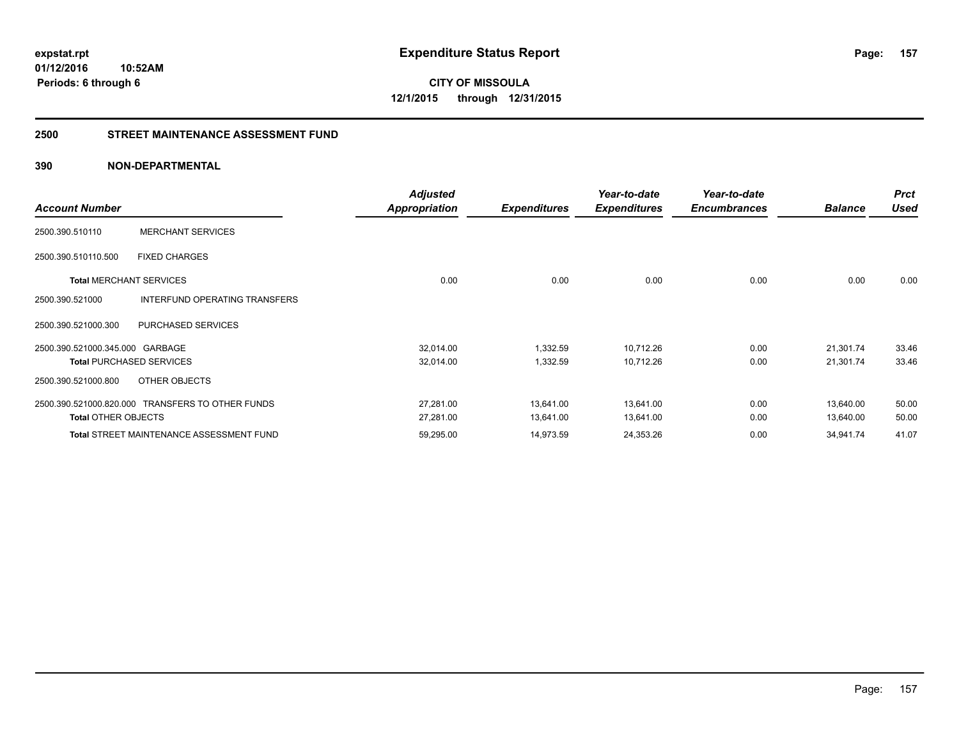**157**

**01/12/2016 10:52AM Periods: 6 through 6**

**CITY OF MISSOULA 12/1/2015 through 12/31/2015**

#### **2500 STREET MAINTENANCE ASSESSMENT FUND**

| <b>Account Number</b>           |                                                  | <b>Adjusted</b><br>Appropriation | <b>Expenditures</b> | Year-to-date<br><b>Expenditures</b> | Year-to-date<br><b>Encumbrances</b> | <b>Balance</b> | <b>Prct</b><br>Used |
|---------------------------------|--------------------------------------------------|----------------------------------|---------------------|-------------------------------------|-------------------------------------|----------------|---------------------|
| 2500.390.510110                 | <b>MERCHANT SERVICES</b>                         |                                  |                     |                                     |                                     |                |                     |
| 2500.390.510110.500             | <b>FIXED CHARGES</b>                             |                                  |                     |                                     |                                     |                |                     |
| <b>Total MERCHANT SERVICES</b>  |                                                  | 0.00                             | 0.00                | 0.00                                | 0.00                                | 0.00           | 0.00                |
| 2500.390.521000                 | INTERFUND OPERATING TRANSFERS                    |                                  |                     |                                     |                                     |                |                     |
| 2500.390.521000.300             | PURCHASED SERVICES                               |                                  |                     |                                     |                                     |                |                     |
| 2500.390.521000.345.000 GARBAGE |                                                  | 32,014.00                        | 1,332.59            | 10,712.26                           | 0.00                                | 21,301.74      | 33.46               |
|                                 | <b>Total PURCHASED SERVICES</b>                  | 32,014.00                        | 1,332.59            | 10,712.26                           | 0.00                                | 21,301.74      | 33.46               |
| 2500.390.521000.800             | OTHER OBJECTS                                    |                                  |                     |                                     |                                     |                |                     |
|                                 | 2500.390.521000.820.000 TRANSFERS TO OTHER FUNDS | 27,281.00                        | 13,641.00           | 13,641.00                           | 0.00                                | 13,640.00      | 50.00               |
| <b>Total OTHER OBJECTS</b>      |                                                  | 27,281.00                        | 13,641.00           | 13,641.00                           | 0.00                                | 13,640.00      | 50.00               |
|                                 | <b>Total STREET MAINTENANCE ASSESSMENT FUND</b>  | 59,295.00                        | 14,973.59           | 24,353.26                           | 0.00                                | 34,941.74      | 41.07               |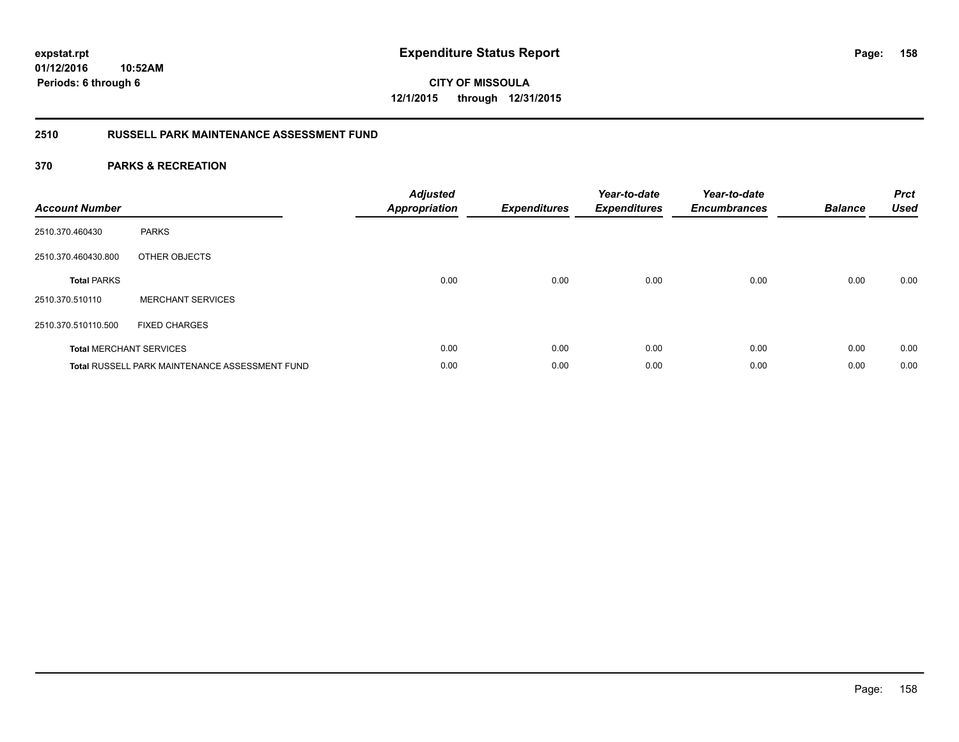### **2510 RUSSELL PARK MAINTENANCE ASSESSMENT FUND**

| <b>Account Number</b> |                                                       | <b>Adjusted</b><br><b>Appropriation</b> | <b>Expenditures</b> | Year-to-date<br><b>Expenditures</b> | Year-to-date<br><b>Encumbrances</b> | <b>Balance</b> | <b>Prct</b><br><b>Used</b> |
|-----------------------|-------------------------------------------------------|-----------------------------------------|---------------------|-------------------------------------|-------------------------------------|----------------|----------------------------|
| 2510.370.460430       | <b>PARKS</b>                                          |                                         |                     |                                     |                                     |                |                            |
| 2510.370.460430.800   | OTHER OBJECTS                                         |                                         |                     |                                     |                                     |                |                            |
| <b>Total PARKS</b>    |                                                       | 0.00                                    | 0.00                | 0.00                                | 0.00                                | 0.00           | 0.00                       |
| 2510.370.510110       | <b>MERCHANT SERVICES</b>                              |                                         |                     |                                     |                                     |                |                            |
| 2510.370.510110.500   | <b>FIXED CHARGES</b>                                  |                                         |                     |                                     |                                     |                |                            |
|                       | <b>Total MERCHANT SERVICES</b>                        | 0.00                                    | 0.00                | 0.00                                | 0.00                                | 0.00           | 0.00                       |
|                       | <b>Total RUSSELL PARK MAINTENANCE ASSESSMENT FUND</b> | 0.00                                    | 0.00                | 0.00                                | 0.00                                | 0.00           | 0.00                       |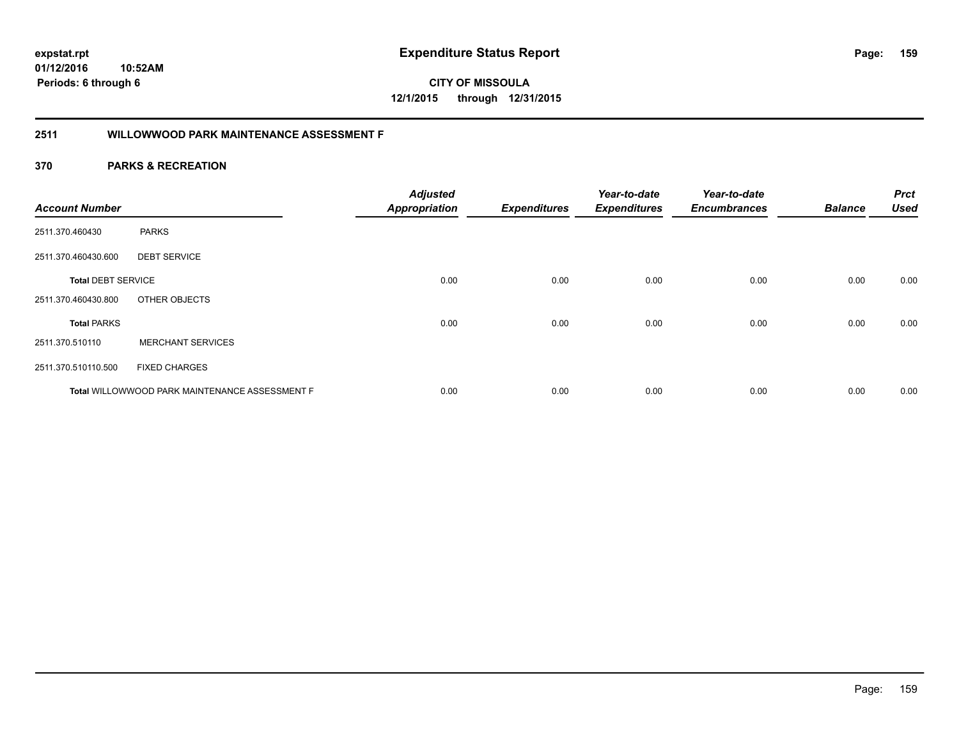**CITY OF MISSOULA 12/1/2015 through 12/31/2015**

### **2511 WILLOWWOOD PARK MAINTENANCE ASSESSMENT F**

| <b>Account Number</b>     |                                                       | <b>Adjusted</b><br><b>Appropriation</b> | <b>Expenditures</b> | Year-to-date<br><b>Expenditures</b> | Year-to-date<br><b>Encumbrances</b> | <b>Balance</b> | <b>Prct</b><br><b>Used</b> |
|---------------------------|-------------------------------------------------------|-----------------------------------------|---------------------|-------------------------------------|-------------------------------------|----------------|----------------------------|
| 2511.370.460430           | <b>PARKS</b>                                          |                                         |                     |                                     |                                     |                |                            |
| 2511.370.460430.600       | <b>DEBT SERVICE</b>                                   |                                         |                     |                                     |                                     |                |                            |
| <b>Total DEBT SERVICE</b> |                                                       | 0.00                                    | 0.00                | 0.00                                | 0.00                                | 0.00           | 0.00                       |
| 2511.370.460430.800       | OTHER OBJECTS                                         |                                         |                     |                                     |                                     |                |                            |
| <b>Total PARKS</b>        |                                                       | 0.00                                    | 0.00                | 0.00                                | 0.00                                | 0.00           | 0.00                       |
| 2511.370.510110           | <b>MERCHANT SERVICES</b>                              |                                         |                     |                                     |                                     |                |                            |
| 2511.370.510110.500       | <b>FIXED CHARGES</b>                                  |                                         |                     |                                     |                                     |                |                            |
|                           | <b>Total WILLOWWOOD PARK MAINTENANCE ASSESSMENT F</b> | 0.00                                    | 0.00                | 0.00                                | 0.00                                | 0.00           | 0.00                       |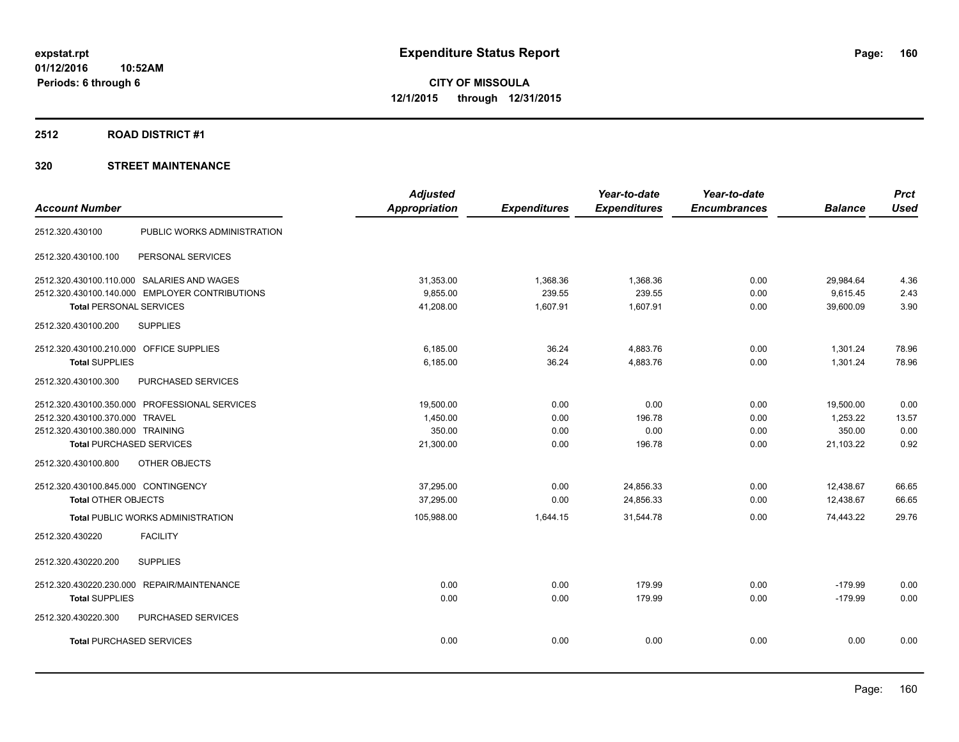#### **2512 ROAD DISTRICT #1**

|                                                | <b>Adjusted</b>      |                     | Year-to-date        | Year-to-date        |                | <b>Prct</b> |
|------------------------------------------------|----------------------|---------------------|---------------------|---------------------|----------------|-------------|
| <b>Account Number</b>                          | <b>Appropriation</b> | <b>Expenditures</b> | <b>Expenditures</b> | <b>Encumbrances</b> | <b>Balance</b> | <b>Used</b> |
| PUBLIC WORKS ADMINISTRATION<br>2512.320.430100 |                      |                     |                     |                     |                |             |
| PERSONAL SERVICES<br>2512.320.430100.100       |                      |                     |                     |                     |                |             |
| 2512.320.430100.110.000 SALARIES AND WAGES     | 31,353.00            | 1,368.36            | 1.368.36            | 0.00                | 29,984.64      | 4.36        |
| 2512.320.430100.140.000 EMPLOYER CONTRIBUTIONS | 9,855.00             | 239.55              | 239.55              | 0.00                | 9,615.45       | 2.43        |
| <b>Total PERSONAL SERVICES</b>                 | 41,208.00            | 1,607.91            | 1,607.91            | 0.00                | 39,600.09      | 3.90        |
| <b>SUPPLIES</b><br>2512.320.430100.200         |                      |                     |                     |                     |                |             |
| 2512.320.430100.210.000 OFFICE SUPPLIES        | 6,185.00             | 36.24               | 4,883.76            | 0.00                | 1,301.24       | 78.96       |
| <b>Total SUPPLIES</b>                          | 6,185.00             | 36.24               | 4,883.76            | 0.00                | 1,301.24       | 78.96       |
| 2512.320.430100.300<br>PURCHASED SERVICES      |                      |                     |                     |                     |                |             |
| 2512.320.430100.350.000 PROFESSIONAL SERVICES  | 19,500.00            | 0.00                | 0.00                | 0.00                | 19,500.00      | 0.00        |
| 2512.320.430100.370.000 TRAVEL                 | 1,450.00             | 0.00                | 196.78              | 0.00                | 1,253.22       | 13.57       |
| 2512.320.430100.380.000 TRAINING               | 350.00               | 0.00                | 0.00                | 0.00                | 350.00         | 0.00        |
| <b>Total PURCHASED SERVICES</b>                | 21,300.00            | 0.00                | 196.78              | 0.00                | 21,103.22      | 0.92        |
| OTHER OBJECTS<br>2512.320.430100.800           |                      |                     |                     |                     |                |             |
| 2512.320.430100.845.000 CONTINGENCY            | 37,295.00            | 0.00                | 24,856.33           | 0.00                | 12,438.67      | 66.65       |
| <b>Total OTHER OBJECTS</b>                     | 37,295.00            | 0.00                | 24,856.33           | 0.00                | 12,438.67      | 66.65       |
| <b>Total PUBLIC WORKS ADMINISTRATION</b>       | 105,988.00           | 1,644.15            | 31,544.78           | 0.00                | 74,443.22      | 29.76       |
| 2512.320.430220<br><b>FACILITY</b>             |                      |                     |                     |                     |                |             |
| 2512.320.430220.200<br><b>SUPPLIES</b>         |                      |                     |                     |                     |                |             |
| 2512.320.430220.230.000 REPAIR/MAINTENANCE     | 0.00                 | 0.00                | 179.99              | 0.00                | $-179.99$      | 0.00        |
| <b>Total SUPPLIES</b>                          | 0.00                 | 0.00                | 179.99              | 0.00                | $-179.99$      | 0.00        |
| PURCHASED SERVICES<br>2512.320.430220.300      |                      |                     |                     |                     |                |             |
| <b>Total PURCHASED SERVICES</b>                | 0.00                 | 0.00                | 0.00                | 0.00                | 0.00           | 0.00        |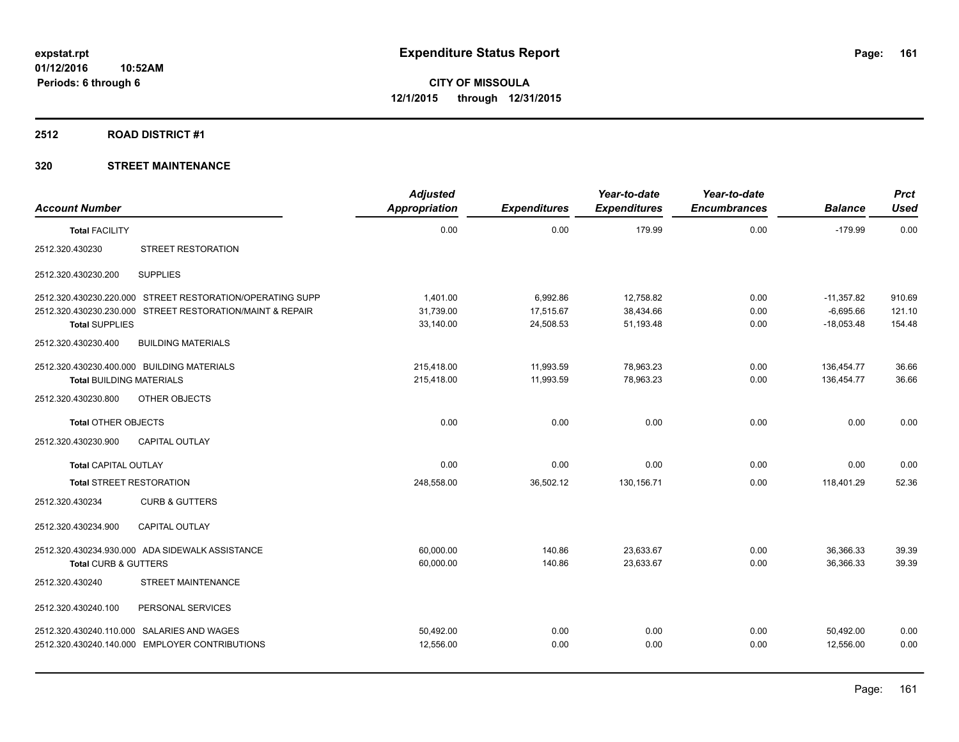#### **2512 ROAD DISTRICT #1**

| <b>Account Number</b>           |                                                           | <b>Adjusted</b><br>Appropriation | <b>Expenditures</b> | Year-to-date<br><b>Expenditures</b> | Year-to-date<br><b>Encumbrances</b> | <b>Balance</b> | <b>Prct</b><br><b>Used</b> |
|---------------------------------|-----------------------------------------------------------|----------------------------------|---------------------|-------------------------------------|-------------------------------------|----------------|----------------------------|
| <b>Total FACILITY</b>           |                                                           | 0.00                             | 0.00                | 179.99                              | 0.00                                | $-179.99$      | 0.00                       |
| 2512.320.430230                 | STREET RESTORATION                                        |                                  |                     |                                     |                                     |                |                            |
| 2512.320.430230.200             | <b>SUPPLIES</b>                                           |                                  |                     |                                     |                                     |                |                            |
|                                 | 2512.320.430230.220.000 STREET RESTORATION/OPERATING SUPP | 1.401.00                         | 6,992.86            | 12,758.82                           | 0.00                                | $-11,357.82$   | 910.69                     |
|                                 | 2512.320.430230.230.000 STREET RESTORATION/MAINT & REPAIR | 31,739.00                        | 17,515.67           | 38,434.66                           | 0.00                                | $-6,695.66$    | 121.10                     |
| <b>Total SUPPLIES</b>           |                                                           | 33,140.00                        | 24,508.53           | 51.193.48                           | 0.00                                | $-18.053.48$   | 154.48                     |
| 2512.320.430230.400             | <b>BUILDING MATERIALS</b>                                 |                                  |                     |                                     |                                     |                |                            |
|                                 | 2512.320.430230.400.000 BUILDING MATERIALS                | 215,418.00                       | 11,993.59           | 78,963.23                           | 0.00                                | 136,454.77     | 36.66                      |
| <b>Total BUILDING MATERIALS</b> |                                                           | 215,418.00                       | 11,993.59           | 78,963.23                           | 0.00                                | 136,454.77     | 36.66                      |
| 2512.320.430230.800             | OTHER OBJECTS                                             |                                  |                     |                                     |                                     |                |                            |
| <b>Total OTHER OBJECTS</b>      |                                                           | 0.00                             | 0.00                | 0.00                                | 0.00                                | 0.00           | 0.00                       |
| 2512.320.430230.900             | <b>CAPITAL OUTLAY</b>                                     |                                  |                     |                                     |                                     |                |                            |
| <b>Total CAPITAL OUTLAY</b>     |                                                           | 0.00                             | 0.00                | 0.00                                | 0.00                                | 0.00           | 0.00                       |
| <b>Total STREET RESTORATION</b> |                                                           | 248,558.00                       | 36,502.12           | 130,156.71                          | 0.00                                | 118,401.29     | 52.36                      |
| 2512.320.430234                 | <b>CURB &amp; GUTTERS</b>                                 |                                  |                     |                                     |                                     |                |                            |
| 2512.320.430234.900             | <b>CAPITAL OUTLAY</b>                                     |                                  |                     |                                     |                                     |                |                            |
|                                 | 2512.320.430234.930.000 ADA SIDEWALK ASSISTANCE           | 60,000.00                        | 140.86              | 23,633.67                           | 0.00                                | 36,366.33      | 39.39                      |
| Total CURB & GUTTERS            |                                                           | 60,000.00                        | 140.86              | 23,633.67                           | 0.00                                | 36,366.33      | 39.39                      |
| 2512.320.430240                 | <b>STREET MAINTENANCE</b>                                 |                                  |                     |                                     |                                     |                |                            |
| 2512.320.430240.100             | PERSONAL SERVICES                                         |                                  |                     |                                     |                                     |                |                            |
|                                 | 2512.320.430240.110.000 SALARIES AND WAGES                | 50,492.00                        | 0.00                | 0.00                                | 0.00                                | 50,492.00      | 0.00                       |
|                                 | 2512.320.430240.140.000 EMPLOYER CONTRIBUTIONS            | 12,556.00                        | 0.00                | 0.00                                | 0.00                                | 12,556.00      | 0.00                       |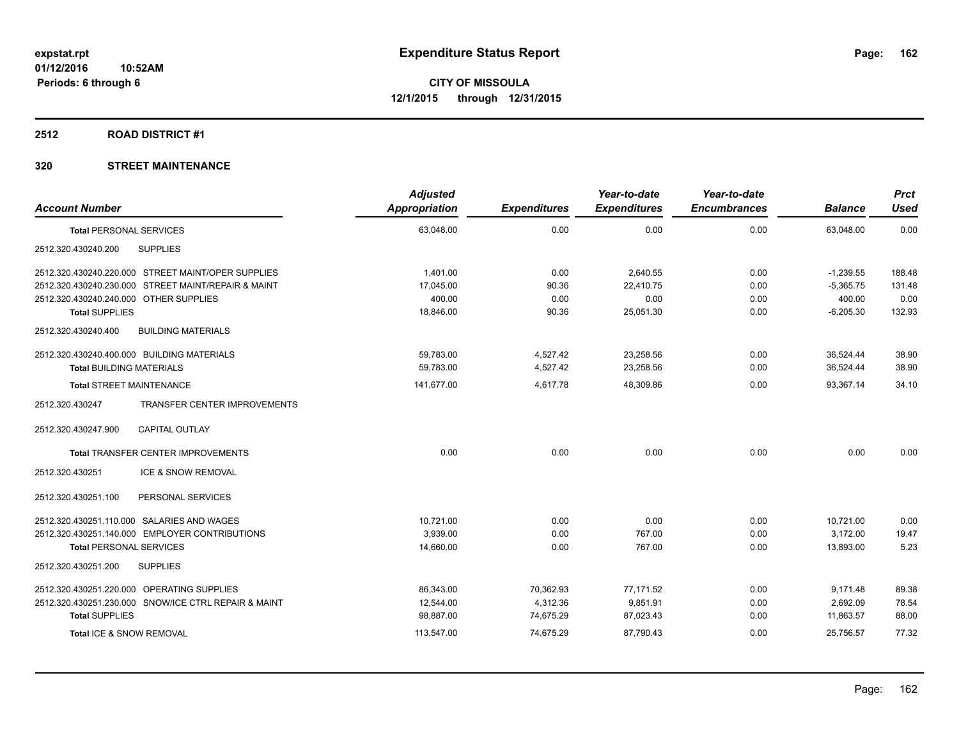#### **2512 ROAD DISTRICT #1**

|                                                        | <b>Adjusted</b> |                     | Year-to-date        | Year-to-date        |                | <b>Prct</b> |
|--------------------------------------------------------|-----------------|---------------------|---------------------|---------------------|----------------|-------------|
| <b>Account Number</b>                                  | Appropriation   | <b>Expenditures</b> | <b>Expenditures</b> | <b>Encumbrances</b> | <b>Balance</b> | <b>Used</b> |
| <b>Total PERSONAL SERVICES</b>                         | 63,048.00       | 0.00                | 0.00                | 0.00                | 63,048.00      | 0.00        |
| <b>SUPPLIES</b><br>2512.320.430240.200                 |                 |                     |                     |                     |                |             |
| 2512.320.430240.220.000 STREET MAINT/OPER SUPPLIES     | 1,401.00        | 0.00                | 2,640.55            | 0.00                | $-1,239.55$    | 188.48      |
| 2512.320.430240.230.000 STREET MAINT/REPAIR & MAINT    | 17,045.00       | 90.36               | 22,410.75           | 0.00                | $-5,365.75$    | 131.48      |
| 2512.320.430240.240.000 OTHER SUPPLIES                 | 400.00          | 0.00                | 0.00                | 0.00                | 400.00         | 0.00        |
| <b>Total SUPPLIES</b>                                  | 18,846.00       | 90.36               | 25,051.30           | 0.00                | $-6,205.30$    | 132.93      |
| 2512.320.430240.400<br><b>BUILDING MATERIALS</b>       |                 |                     |                     |                     |                |             |
| 2512.320.430240.400.000 BUILDING MATERIALS             | 59,783.00       | 4,527.42            | 23,258.56           | 0.00                | 36,524.44      | 38.90       |
| <b>Total BUILDING MATERIALS</b>                        | 59.783.00       | 4,527.42            | 23,258.56           | 0.00                | 36,524.44      | 38.90       |
| <b>Total STREET MAINTENANCE</b>                        | 141,677.00      | 4,617.78            | 48,309.86           | 0.00                | 93,367.14      | 34.10       |
| <b>TRANSFER CENTER IMPROVEMENTS</b><br>2512.320.430247 |                 |                     |                     |                     |                |             |
| <b>CAPITAL OUTLAY</b><br>2512.320.430247.900           |                 |                     |                     |                     |                |             |
| <b>Total TRANSFER CENTER IMPROVEMENTS</b>              | 0.00            | 0.00                | 0.00                | 0.00                | 0.00           | 0.00        |
| 2512.320.430251<br><b>ICE &amp; SNOW REMOVAL</b>       |                 |                     |                     |                     |                |             |
| PERSONAL SERVICES<br>2512.320.430251.100               |                 |                     |                     |                     |                |             |
| 2512.320.430251.110.000 SALARIES AND WAGES             | 10,721.00       | 0.00                | 0.00                | 0.00                | 10,721.00      | 0.00        |
| 2512.320.430251.140.000 EMPLOYER CONTRIBUTIONS         | 3,939.00        | 0.00                | 767.00              | 0.00                | 3,172.00       | 19.47       |
| <b>Total PERSONAL SERVICES</b>                         | 14,660.00       | 0.00                | 767.00              | 0.00                | 13.893.00      | 5.23        |
| 2512.320.430251.200<br><b>SUPPLIES</b>                 |                 |                     |                     |                     |                |             |
| 2512.320.430251.220.000 OPERATING SUPPLIES             | 86,343.00       | 70,362.93           | 77,171.52           | 0.00                | 9,171.48       | 89.38       |
| 2512.320.430251.230.000 SNOW/ICE CTRL REPAIR & MAINT   | 12,544.00       | 4,312.36            | 9,851.91            | 0.00                | 2,692.09       | 78.54       |
| <b>Total SUPPLIES</b>                                  | 98,887.00       | 74,675.29           | 87,023.43           | 0.00                | 11,863.57      | 88.00       |
| Total ICE & SNOW REMOVAL                               | 113,547.00      | 74,675.29           | 87,790.43           | 0.00                | 25,756.57      | 77.32       |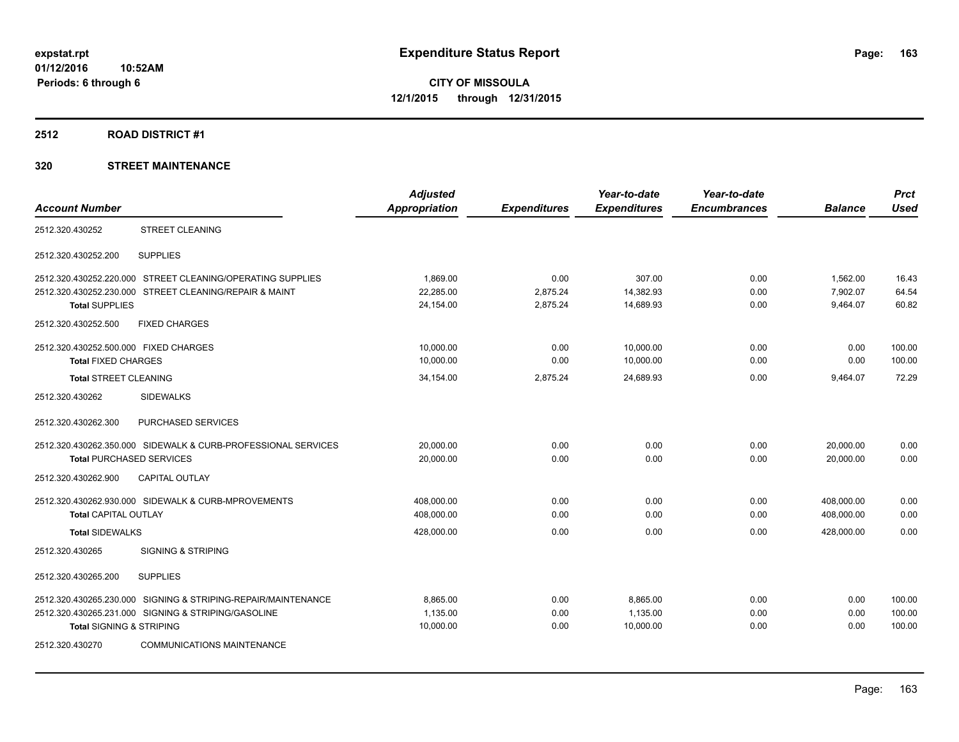#### **2512 ROAD DISTRICT #1**

|                                       |                                                               | <b>Adjusted</b>      |                     | Year-to-date        | Year-to-date        |                | <b>Prct</b> |
|---------------------------------------|---------------------------------------------------------------|----------------------|---------------------|---------------------|---------------------|----------------|-------------|
| <b>Account Number</b>                 |                                                               | <b>Appropriation</b> | <b>Expenditures</b> | <b>Expenditures</b> | <b>Encumbrances</b> | <b>Balance</b> | <b>Used</b> |
| 2512.320.430252                       | <b>STREET CLEANING</b>                                        |                      |                     |                     |                     |                |             |
| 2512.320.430252.200                   | <b>SUPPLIES</b>                                               |                      |                     |                     |                     |                |             |
|                                       | 2512.320.430252.220.000 STREET CLEANING/OPERATING SUPPLIES    | 1.869.00             | 0.00                | 307.00              | 0.00                | 1,562.00       | 16.43       |
|                                       | 2512.320.430252.230.000 STREET CLEANING/REPAIR & MAINT        | 22.285.00            | 2,875.24            | 14,382.93           | 0.00                | 7.902.07       | 64.54       |
| <b>Total SUPPLIES</b>                 |                                                               | 24,154.00            | 2,875.24            | 14.689.93           | 0.00                | 9,464.07       | 60.82       |
| 2512.320.430252.500                   | <b>FIXED CHARGES</b>                                          |                      |                     |                     |                     |                |             |
| 2512.320.430252.500.000 FIXED CHARGES |                                                               | 10,000.00            | 0.00                | 10,000.00           | 0.00                | 0.00           | 100.00      |
| <b>Total FIXED CHARGES</b>            |                                                               | 10,000.00            | 0.00                | 10,000.00           | 0.00                | 0.00           | 100.00      |
| Total STREET CLEANING                 |                                                               | 34,154.00            | 2,875.24            | 24,689.93           | 0.00                | 9,464.07       | 72.29       |
| 2512.320.430262                       | <b>SIDEWALKS</b>                                              |                      |                     |                     |                     |                |             |
| 2512.320.430262.300                   | PURCHASED SERVICES                                            |                      |                     |                     |                     |                |             |
|                                       | 2512.320.430262.350.000 SIDEWALK & CURB-PROFESSIONAL SERVICES | 20,000.00            | 0.00                | 0.00                | 0.00                | 20,000.00      | 0.00        |
| <b>Total PURCHASED SERVICES</b>       |                                                               | 20.000.00            | 0.00                | 0.00                | 0.00                | 20.000.00      | 0.00        |
| 2512.320.430262.900                   | <b>CAPITAL OUTLAY</b>                                         |                      |                     |                     |                     |                |             |
|                                       | 2512.320.430262.930.000 SIDEWALK & CURB-MPROVEMENTS           | 408,000.00           | 0.00                | 0.00                | 0.00                | 408,000.00     | 0.00        |
| <b>Total CAPITAL OUTLAY</b>           |                                                               | 408,000.00           | 0.00                | 0.00                | 0.00                | 408.000.00     | 0.00        |
| <b>Total SIDEWALKS</b>                |                                                               | 428,000.00           | 0.00                | 0.00                | 0.00                | 428,000.00     | 0.00        |
| 2512.320.430265                       | <b>SIGNING &amp; STRIPING</b>                                 |                      |                     |                     |                     |                |             |
| 2512.320.430265.200                   | <b>SUPPLIES</b>                                               |                      |                     |                     |                     |                |             |
| 2512.320.430265.230.000               | SIGNING & STRIPING-REPAIR/MAINTENANCE                         | 8.865.00             | 0.00                | 8,865.00            | 0.00                | 0.00           | 100.00      |
|                                       | 2512.320.430265.231.000 SIGNING & STRIPING/GASOLINE           | 1,135.00             | 0.00                | 1,135.00            | 0.00                | 0.00           | 100.00      |
| <b>Total SIGNING &amp; STRIPING</b>   |                                                               | 10,000.00            | 0.00                | 10,000.00           | 0.00                | 0.00           | 100.00      |
| 2512.320.430270                       | <b>COMMUNICATIONS MAINTENANCE</b>                             |                      |                     |                     |                     |                |             |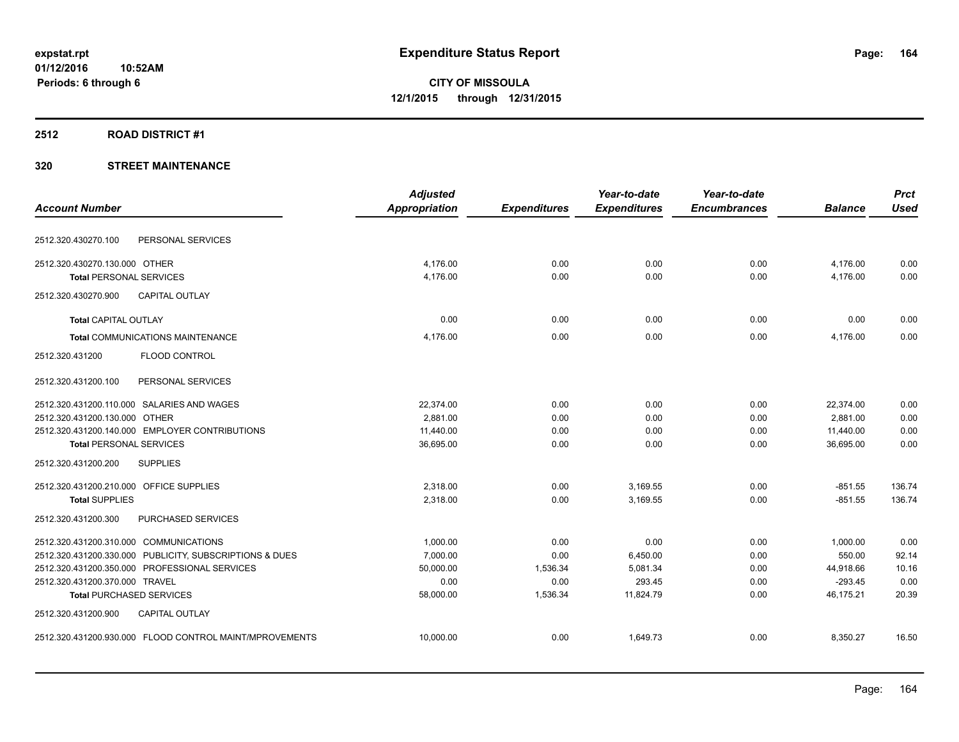#### **2512 ROAD DISTRICT #1**

|                                         |                                                         | <b>Adjusted</b>      |                     | Year-to-date        | Year-to-date        |                | <b>Prct</b> |
|-----------------------------------------|---------------------------------------------------------|----------------------|---------------------|---------------------|---------------------|----------------|-------------|
| <b>Account Number</b>                   |                                                         | <b>Appropriation</b> | <b>Expenditures</b> | <b>Expenditures</b> | <b>Encumbrances</b> | <b>Balance</b> | <b>Used</b> |
| 2512.320.430270.100                     | PERSONAL SERVICES                                       |                      |                     |                     |                     |                |             |
| 2512.320.430270.130.000 OTHER           |                                                         | 4.176.00             | 0.00                | 0.00                | 0.00                | 4,176.00       | 0.00        |
| <b>Total PERSONAL SERVICES</b>          |                                                         | 4.176.00             | 0.00                | 0.00                | 0.00                | 4,176.00       | 0.00        |
| 2512.320.430270.900                     | <b>CAPITAL OUTLAY</b>                                   |                      |                     |                     |                     |                |             |
| <b>Total CAPITAL OUTLAY</b>             |                                                         | 0.00                 | 0.00                | 0.00                | 0.00                | 0.00           | 0.00        |
|                                         | Total COMMUNICATIONS MAINTENANCE                        | 4,176.00             | 0.00                | 0.00                | 0.00                | 4,176.00       | 0.00        |
| 2512.320.431200                         | FLOOD CONTROL                                           |                      |                     |                     |                     |                |             |
| 2512.320.431200.100                     | PERSONAL SERVICES                                       |                      |                     |                     |                     |                |             |
|                                         | 2512.320.431200.110.000 SALARIES AND WAGES              | 22,374.00            | 0.00                | 0.00                | 0.00                | 22,374.00      | 0.00        |
| 2512.320.431200.130.000 OTHER           |                                                         | 2,881.00             | 0.00                | 0.00                | 0.00                | 2,881.00       | 0.00        |
|                                         | 2512.320.431200.140.000 EMPLOYER CONTRIBUTIONS          | 11,440.00            | 0.00                | 0.00                | 0.00                | 11,440.00      | 0.00        |
| <b>Total PERSONAL SERVICES</b>          |                                                         | 36.695.00            | 0.00                | 0.00                | 0.00                | 36.695.00      | 0.00        |
| 2512.320.431200.200                     | <b>SUPPLIES</b>                                         |                      |                     |                     |                     |                |             |
| 2512.320.431200.210.000 OFFICE SUPPLIES |                                                         | 2,318.00             | 0.00                | 3,169.55            | 0.00                | $-851.55$      | 136.74      |
| <b>Total SUPPLIES</b>                   |                                                         | 2,318.00             | 0.00                | 3,169.55            | 0.00                | $-851.55$      | 136.74      |
| 2512.320.431200.300                     | <b>PURCHASED SERVICES</b>                               |                      |                     |                     |                     |                |             |
| 2512.320.431200.310.000 COMMUNICATIONS  |                                                         | 1,000.00             | 0.00                | 0.00                | 0.00                | 1,000.00       | 0.00        |
|                                         | 2512.320.431200.330.000 PUBLICITY, SUBSCRIPTIONS & DUES | 7.000.00             | 0.00                | 6,450.00            | 0.00                | 550.00         | 92.14       |
|                                         | 2512.320.431200.350.000 PROFESSIONAL SERVICES           | 50.000.00            | 1,536.34            | 5.081.34            | 0.00                | 44,918.66      | 10.16       |
| 2512.320.431200.370.000 TRAVEL          |                                                         | 0.00                 | 0.00                | 293.45              | 0.00                | $-293.45$      | 0.00        |
| <b>Total PURCHASED SERVICES</b>         |                                                         | 58,000.00            | 1,536.34            | 11,824.79           | 0.00                | 46,175.21      | 20.39       |
| 2512.320.431200.900                     | <b>CAPITAL OUTLAY</b>                                   |                      |                     |                     |                     |                |             |
|                                         | 2512.320.431200.930.000 FLOOD CONTROL MAINT/MPROVEMENTS | 10,000.00            | 0.00                | 1.649.73            | 0.00                | 8,350.27       | 16.50       |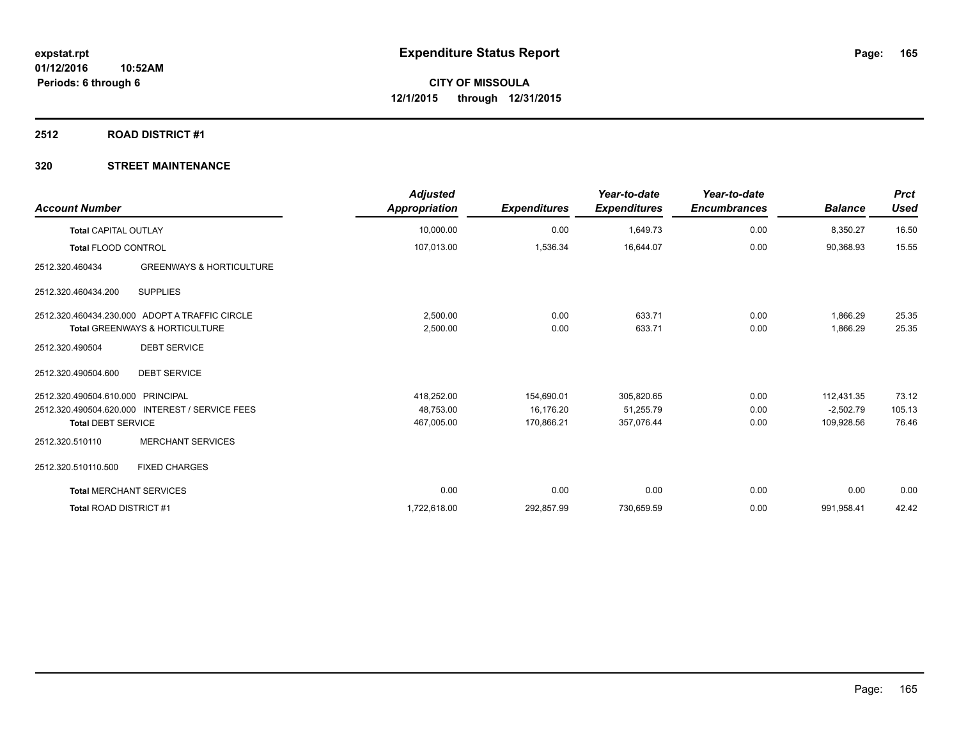#### **2512 ROAD DISTRICT #1**

| <b>Account Number</b>             |                                                 | <b>Adjusted</b><br>Appropriation | <b>Expenditures</b> | Year-to-date<br><b>Expenditures</b> | Year-to-date<br><b>Encumbrances</b> | <b>Balance</b> | <b>Prct</b><br><b>Used</b> |
|-----------------------------------|-------------------------------------------------|----------------------------------|---------------------|-------------------------------------|-------------------------------------|----------------|----------------------------|
| <b>Total CAPITAL OUTLAY</b>       |                                                 | 10,000.00                        | 0.00                | 1,649.73                            | 0.00                                | 8,350.27       | 16.50                      |
| <b>Total FLOOD CONTROL</b>        |                                                 | 107,013.00                       | 1,536.34            | 16,644.07                           | 0.00                                | 90,368.93      | 15.55                      |
| 2512.320.460434                   | <b>GREENWAYS &amp; HORTICULTURE</b>             |                                  |                     |                                     |                                     |                |                            |
| 2512.320.460434.200               | <b>SUPPLIES</b>                                 |                                  |                     |                                     |                                     |                |                            |
|                                   | 2512.320.460434.230.000 ADOPT A TRAFFIC CIRCLE  | 2,500.00                         | 0.00                | 633.71                              | 0.00                                | 1,866.29       | 25.35                      |
|                                   | <b>Total GREENWAYS &amp; HORTICULTURE</b>       | 2,500.00                         | 0.00                | 633.71                              | 0.00                                | 1,866.29       | 25.35                      |
| 2512.320.490504                   | <b>DEBT SERVICE</b>                             |                                  |                     |                                     |                                     |                |                            |
| 2512.320.490504.600               | <b>DEBT SERVICE</b>                             |                                  |                     |                                     |                                     |                |                            |
| 2512.320.490504.610.000 PRINCIPAL |                                                 | 418,252.00                       | 154,690.01          | 305,820.65                          | 0.00                                | 112,431.35     | 73.12                      |
|                                   | 2512.320.490504.620.000 INTEREST / SERVICE FEES | 48.753.00                        | 16.176.20           | 51,255.79                           | 0.00                                | $-2,502.79$    | 105.13                     |
| <b>Total DEBT SERVICE</b>         |                                                 | 467,005.00                       | 170,866.21          | 357,076.44                          | 0.00                                | 109,928.56     | 76.46                      |
| 2512.320.510110                   | <b>MERCHANT SERVICES</b>                        |                                  |                     |                                     |                                     |                |                            |
| 2512.320.510110.500               | <b>FIXED CHARGES</b>                            |                                  |                     |                                     |                                     |                |                            |
| <b>Total MERCHANT SERVICES</b>    |                                                 | 0.00                             | 0.00                | 0.00                                | 0.00                                | 0.00           | 0.00                       |
| <b>Total ROAD DISTRICT #1</b>     |                                                 | 1,722,618.00                     | 292,857.99          | 730,659.59                          | 0.00                                | 991,958.41     | 42.42                      |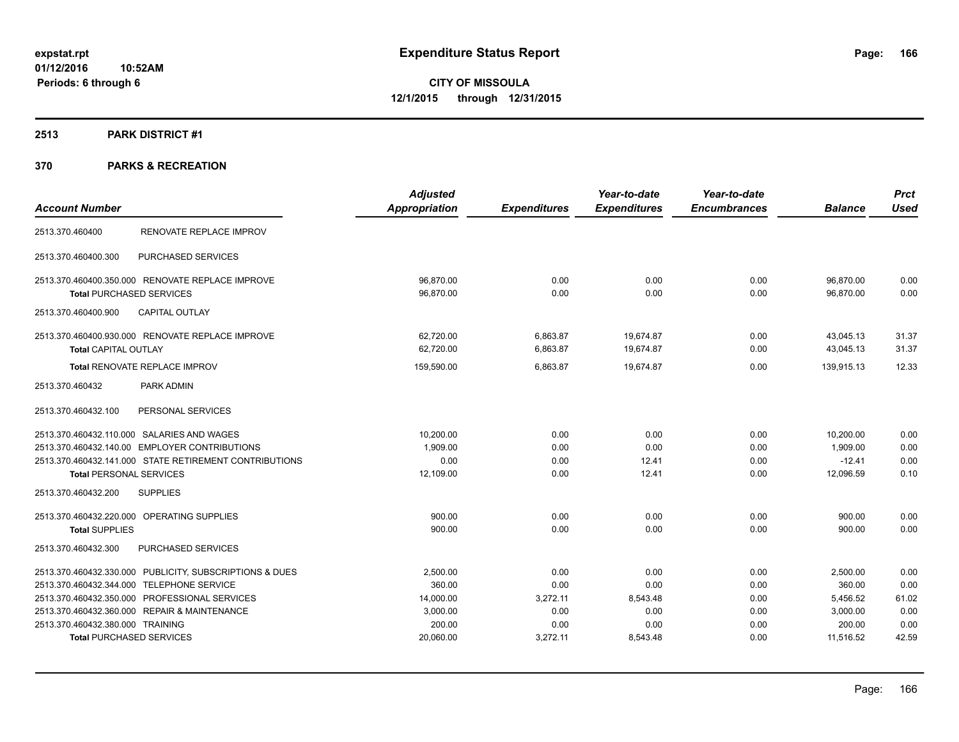### **2513 PARK DISTRICT #1**

|                                                         | <b>Adjusted</b>      |                     | Year-to-date        | Year-to-date        |                | <b>Prct</b> |
|---------------------------------------------------------|----------------------|---------------------|---------------------|---------------------|----------------|-------------|
| <b>Account Number</b>                                   | <b>Appropriation</b> | <b>Expenditures</b> | <b>Expenditures</b> | <b>Encumbrances</b> | <b>Balance</b> | <b>Used</b> |
| RENOVATE REPLACE IMPROV<br>2513.370.460400              |                      |                     |                     |                     |                |             |
| <b>PURCHASED SERVICES</b><br>2513.370.460400.300        |                      |                     |                     |                     |                |             |
| 2513.370.460400.350.000 RENOVATE REPLACE IMPROVE        | 96,870.00            | 0.00                | 0.00                | 0.00                | 96,870.00      | 0.00        |
| <b>Total PURCHASED SERVICES</b>                         | 96,870.00            | 0.00                | 0.00                | 0.00                | 96,870.00      | 0.00        |
| <b>CAPITAL OUTLAY</b><br>2513.370.460400.900            |                      |                     |                     |                     |                |             |
| 2513.370.460400.930.000 RENOVATE REPLACE IMPROVE        | 62,720.00            | 6,863.87            | 19,674.87           | 0.00                | 43.045.13      | 31.37       |
| Total CAPITAL OUTLAY                                    | 62,720.00            | 6,863.87            | 19,674.87           | 0.00                | 43,045.13      | 31.37       |
| Total RENOVATE REPLACE IMPROV                           | 159,590.00           | 6.863.87            | 19.674.87           | 0.00                | 139.915.13     | 12.33       |
| PARK ADMIN<br>2513.370.460432                           |                      |                     |                     |                     |                |             |
| PERSONAL SERVICES<br>2513.370.460432.100                |                      |                     |                     |                     |                |             |
| 2513.370.460432.110.000 SALARIES AND WAGES              | 10,200.00            | 0.00                | 0.00                | 0.00                | 10,200.00      | 0.00        |
| 2513.370.460432.140.00 EMPLOYER CONTRIBUTIONS           | 1,909.00             | 0.00                | 0.00                | 0.00                | 1,909.00       | 0.00        |
| 2513.370.460432.141.000 STATE RETIREMENT CONTRIBUTIONS  | 0.00                 | 0.00                | 12.41               | 0.00                | $-12.41$       | 0.00        |
| <b>Total PERSONAL SERVICES</b>                          | 12,109.00            | 0.00                | 12.41               | 0.00                | 12,096.59      | 0.10        |
| <b>SUPPLIES</b><br>2513.370.460432.200                  |                      |                     |                     |                     |                |             |
| 2513.370.460432.220.000 OPERATING SUPPLIES              | 900.00               | 0.00                | 0.00                | 0.00                | 900.00         | 0.00        |
| <b>Total SUPPLIES</b>                                   | 900.00               | 0.00                | 0.00                | 0.00                | 900.00         | 0.00        |
| PURCHASED SERVICES<br>2513.370.460432.300               |                      |                     |                     |                     |                |             |
| 2513.370.460432.330.000 PUBLICITY, SUBSCRIPTIONS & DUES | 2,500.00             | 0.00                | 0.00                | 0.00                | 2,500.00       | 0.00        |
| 2513.370.460432.344.000 TELEPHONE SERVICE               | 360.00               | 0.00                | 0.00                | 0.00                | 360.00         | 0.00        |
| 2513.370.460432.350.000 PROFESSIONAL SERVICES           | 14,000.00            | 3,272.11            | 8,543.48            | 0.00                | 5,456.52       | 61.02       |
| 2513.370.460432.360.000 REPAIR & MAINTENANCE            | 3,000.00             | 0.00                | 0.00                | 0.00                | 3,000.00       | 0.00        |
| 2513.370.460432.380.000 TRAINING                        | 200.00               | 0.00                | 0.00                | 0.00                | 200.00         | 0.00        |
| <b>Total PURCHASED SERVICES</b>                         | 20,060.00            | 3,272.11            | 8,543.48            | 0.00                | 11,516.52      | 42.59       |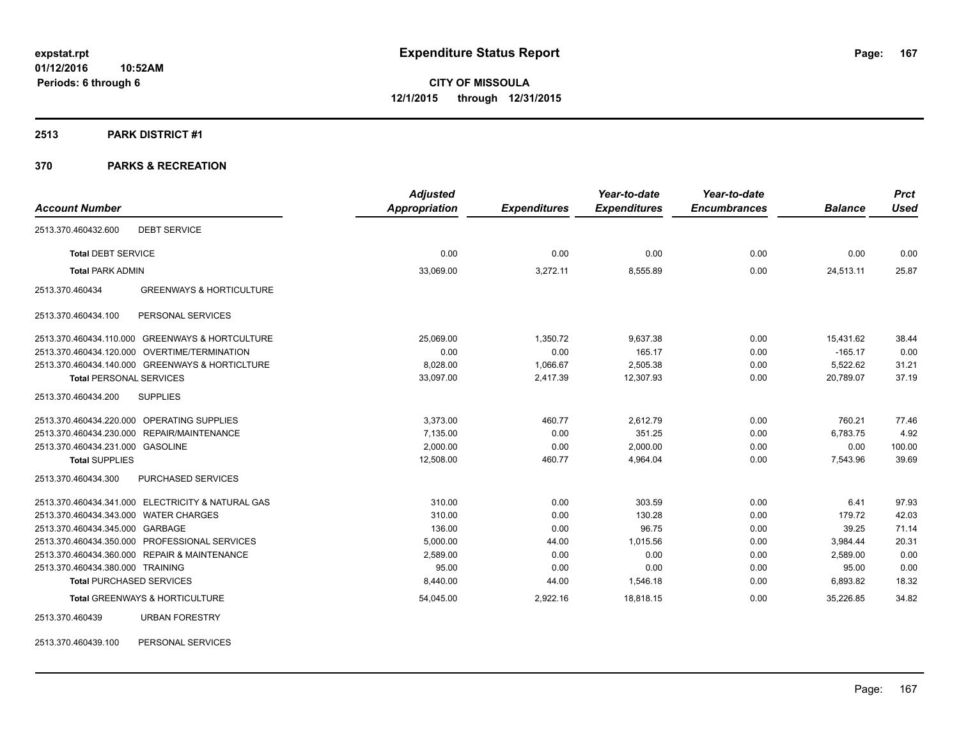#### **2513 PARK DISTRICT #1**

### **370 PARKS & RECREATION**

|                                                        | <b>Adjusted</b> |                     | Year-to-date        | Year-to-date        |                | <b>Prct</b> |
|--------------------------------------------------------|-----------------|---------------------|---------------------|---------------------|----------------|-------------|
| <b>Account Number</b>                                  | Appropriation   | <b>Expenditures</b> | <b>Expenditures</b> | <b>Encumbrances</b> | <b>Balance</b> | <b>Used</b> |
| <b>DEBT SERVICE</b><br>2513.370.460432.600             |                 |                     |                     |                     |                |             |
| <b>Total DEBT SERVICE</b>                              | 0.00            | 0.00                | 0.00                | 0.00                | 0.00           | 0.00        |
| <b>Total PARK ADMIN</b>                                | 33,069.00       | 3,272.11            | 8,555.89            | 0.00                | 24,513.11      | 25.87       |
| <b>GREENWAYS &amp; HORTICULTURE</b><br>2513.370.460434 |                 |                     |                     |                     |                |             |
| PERSONAL SERVICES<br>2513.370.460434.100               |                 |                     |                     |                     |                |             |
| 2513.370.460434.110.000 GREENWAYS & HORTCULTURE        | 25.069.00       | 1,350.72            | 9,637.38            | 0.00                | 15,431.62      | 38.44       |
| 2513.370.460434.120.000 OVERTIME/TERMINATION           | 0.00            | 0.00                | 165.17              | 0.00                | $-165.17$      | 0.00        |
| 2513.370.460434.140.000 GREENWAYS & HORTICLTURE        | 8,028.00        | 1,066.67            | 2,505.38            | 0.00                | 5,522.62       | 31.21       |
| <b>Total PERSONAL SERVICES</b>                         | 33,097.00       | 2,417.39            | 12,307.93           | 0.00                | 20,789.07      | 37.19       |
| 2513.370.460434.200<br><b>SUPPLIES</b>                 |                 |                     |                     |                     |                |             |
| 2513.370.460434.220.000 OPERATING SUPPLIES             | 3,373.00        | 460.77              | 2,612.79            | 0.00                | 760.21         | 77.46       |
| 2513.370.460434.230.000 REPAIR/MAINTENANCE             | 7,135.00        | 0.00                | 351.25              | 0.00                | 6,783.75       | 4.92        |
| 2513.370.460434.231.000 GASOLINE                       | 2.000.00        | 0.00                | 2,000.00            | 0.00                | 0.00           | 100.00      |
| <b>Total SUPPLIES</b>                                  | 12,508.00       | 460.77              | 4,964.04            | 0.00                | 7,543.96       | 39.69       |
| PURCHASED SERVICES<br>2513.370.460434.300              |                 |                     |                     |                     |                |             |
| 2513.370.460434.341.000 ELECTRICITY & NATURAL GAS      | 310.00          | 0.00                | 303.59              | 0.00                | 6.41           | 97.93       |
| 2513.370.460434.343.000 WATER CHARGES                  | 310.00          | 0.00                | 130.28              | 0.00                | 179.72         | 42.03       |
| 2513.370.460434.345.000 GARBAGE                        | 136.00          | 0.00                | 96.75               | 0.00                | 39.25          | 71.14       |
| 2513.370.460434.350.000 PROFESSIONAL SERVICES          | 5,000.00        | 44.00               | 1,015.56            | 0.00                | 3,984.44       | 20.31       |
| 2513.370.460434.360.000 REPAIR & MAINTENANCE           | 2,589.00        | 0.00                | 0.00                | 0.00                | 2,589.00       | 0.00        |
| 2513.370.460434.380.000 TRAINING                       | 95.00           | 0.00                | 0.00                | 0.00                | 95.00          | 0.00        |
| <b>Total PURCHASED SERVICES</b>                        | 8,440.00        | 44.00               | 1,546.18            | 0.00                | 6,893.82       | 18.32       |
| Total GREENWAYS & HORTICULTURE                         | 54,045.00       | 2,922.16            | 18,818.15           | 0.00                | 35,226.85      | 34.82       |
| 2513.370.460439<br><b>URBAN FORESTRY</b>               |                 |                     |                     |                     |                |             |

2513.370.460439.100 PERSONAL SERVICES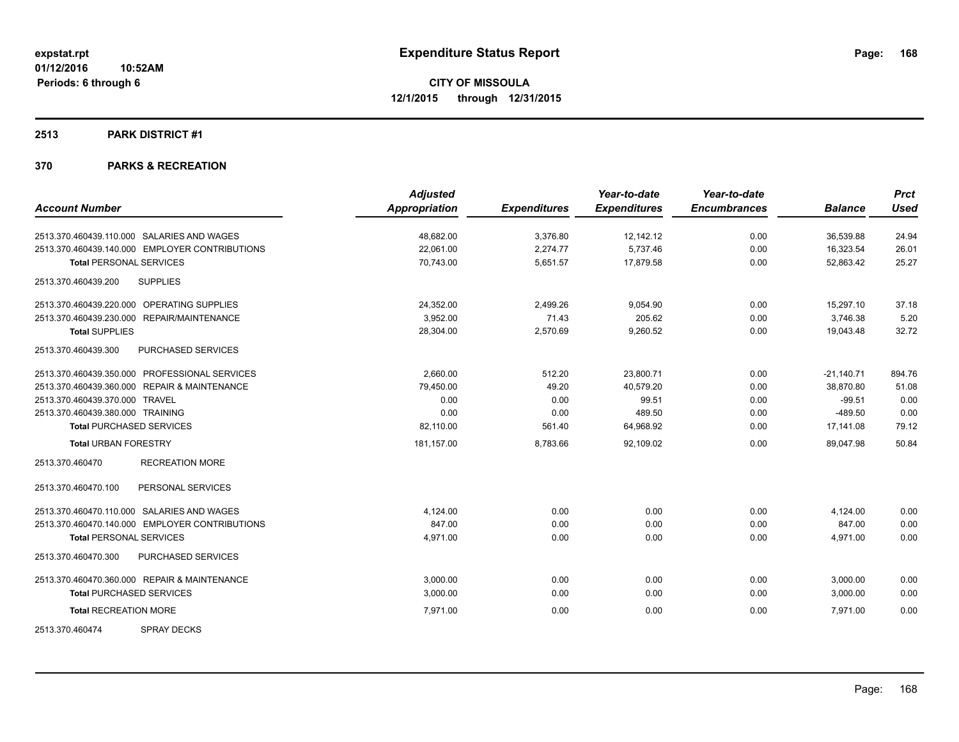#### **2513 PARK DISTRICT #1**

|                                                | <b>Adjusted</b>      |                     | Year-to-date        | Year-to-date        | <b>Balance</b> | <b>Prct</b> |
|------------------------------------------------|----------------------|---------------------|---------------------|---------------------|----------------|-------------|
| <b>Account Number</b>                          | <b>Appropriation</b> | <b>Expenditures</b> | <b>Expenditures</b> | <b>Encumbrances</b> |                | <b>Used</b> |
| 2513.370.460439.110.000 SALARIES AND WAGES     | 48,682.00            | 3,376.80            | 12,142.12           | 0.00                | 36,539.88      | 24.94       |
| 2513.370.460439.140.000 EMPLOYER CONTRIBUTIONS | 22.061.00            | 2.274.77            | 5,737.46            | 0.00                | 16,323.54      | 26.01       |
| <b>Total PERSONAL SERVICES</b>                 | 70,743.00            | 5,651.57            | 17,879.58           | 0.00                | 52,863.42      | 25.27       |
| 2513.370.460439.200<br><b>SUPPLIES</b>         |                      |                     |                     |                     |                |             |
| 2513.370.460439.220.000 OPERATING SUPPLIES     | 24,352.00            | 2,499.26            | 9,054.90            | 0.00                | 15.297.10      | 37.18       |
| 2513.370.460439.230.000 REPAIR/MAINTENANCE     | 3.952.00             | 71.43               | 205.62              | 0.00                | 3,746.38       | 5.20        |
| <b>Total SUPPLIES</b>                          | 28,304.00            | 2,570.69            | 9,260.52            | 0.00                | 19,043.48      | 32.72       |
| PURCHASED SERVICES<br>2513.370.460439.300      |                      |                     |                     |                     |                |             |
| 2513.370.460439.350.000 PROFESSIONAL SERVICES  | 2,660.00             | 512.20              | 23,800.71           | 0.00                | $-21,140.71$   | 894.76      |
| 2513.370.460439.360.000 REPAIR & MAINTENANCE   | 79,450.00            | 49.20               | 40,579.20           | 0.00                | 38,870.80      | 51.08       |
| 2513.370.460439.370.000 TRAVEL                 | 0.00                 | 0.00                | 99.51               | 0.00                | $-99.51$       | 0.00        |
| 2513.370.460439.380.000 TRAINING               | 0.00                 | 0.00                | 489.50              | 0.00                | $-489.50$      | 0.00        |
| <b>Total PURCHASED SERVICES</b>                | 82.110.00            | 561.40              | 64,968.92           | 0.00                | 17,141.08      | 79.12       |
| <b>Total URBAN FORESTRY</b>                    | 181,157.00           | 8,783.66            | 92.109.02           | 0.00                | 89.047.98      | 50.84       |
| <b>RECREATION MORE</b><br>2513.370.460470      |                      |                     |                     |                     |                |             |
| PERSONAL SERVICES<br>2513.370.460470.100       |                      |                     |                     |                     |                |             |
| 2513.370.460470.110.000 SALARIES AND WAGES     | 4,124.00             | 0.00                | 0.00                | 0.00                | 4,124.00       | 0.00        |
| 2513.370.460470.140.000 EMPLOYER CONTRIBUTIONS | 847.00               | 0.00                | 0.00                | 0.00                | 847.00         | 0.00        |
| <b>Total PERSONAL SERVICES</b>                 | 4,971.00             | 0.00                | 0.00                | 0.00                | 4,971.00       | 0.00        |
| PURCHASED SERVICES<br>2513.370.460470.300      |                      |                     |                     |                     |                |             |
| 2513.370.460470.360.000 REPAIR & MAINTENANCE   | 3,000.00             | 0.00                | 0.00                | 0.00                | 3,000.00       | 0.00        |
| <b>Total PURCHASED SERVICES</b>                | 3,000.00             | 0.00                | 0.00                | 0.00                | 3,000.00       | 0.00        |
| <b>Total RECREATION MORE</b>                   | 7,971.00             | 0.00                | 0.00                | 0.00                | 7,971.00       | 0.00        |
| <b>SPRAY DECKS</b><br>2513.370.460474          |                      |                     |                     |                     |                |             |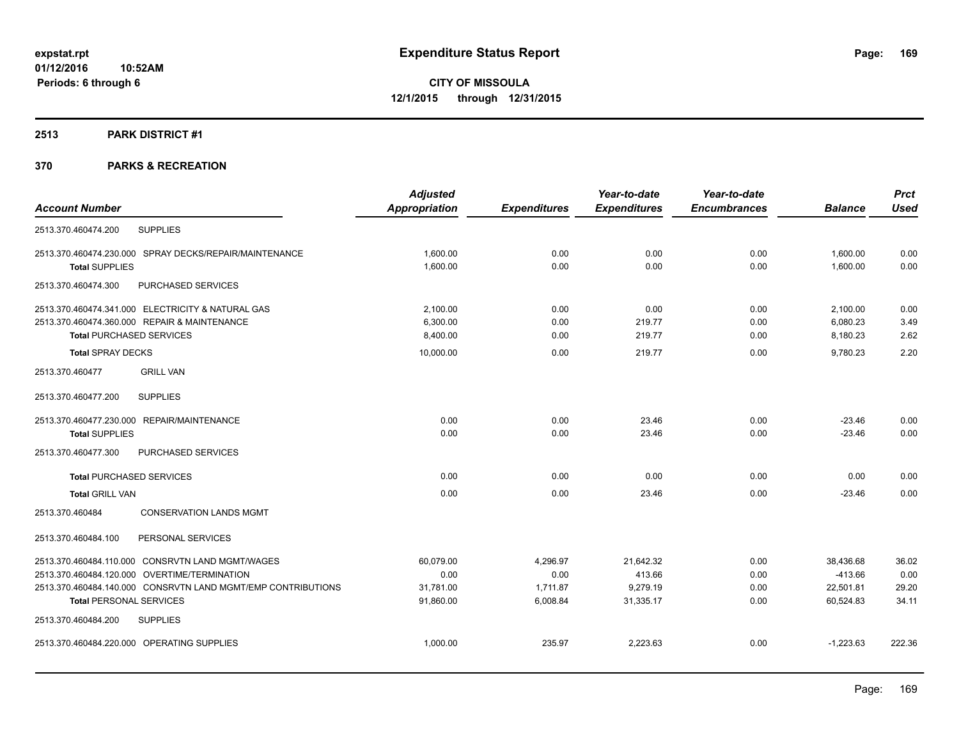#### **2513 PARK DISTRICT #1**

|                                                   |                                                              | <b>Adjusted</b> |                     | Year-to-date        | Year-to-date        |                | <b>Prct</b> |
|---------------------------------------------------|--------------------------------------------------------------|-----------------|---------------------|---------------------|---------------------|----------------|-------------|
| <b>Account Number</b>                             |                                                              | Appropriation   | <b>Expenditures</b> | <b>Expenditures</b> | <b>Encumbrances</b> | <b>Balance</b> | <b>Used</b> |
| <b>SUPPLIES</b><br>2513.370.460474.200            |                                                              |                 |                     |                     |                     |                |             |
|                                                   | 2513.370.460474.230.000 SPRAY DECKS/REPAIR/MAINTENANCE       | 1,600.00        | 0.00                | 0.00                | 0.00                | 1,600.00       | 0.00        |
| <b>Total SUPPLIES</b>                             |                                                              | 1,600.00        | 0.00                | 0.00                | 0.00                | 1,600.00       | 0.00        |
| 2513.370.460474.300                               | PURCHASED SERVICES                                           |                 |                     |                     |                     |                |             |
| 2513.370.460474.341.000 ELECTRICITY & NATURAL GAS |                                                              | 2,100.00        | 0.00                | 0.00                | 0.00                | 2,100.00       | 0.00        |
| 2513.370.460474.360.000 REPAIR & MAINTENANCE      |                                                              | 6,300.00        | 0.00                | 219.77              | 0.00                | 6,080.23       | 3.49        |
| <b>Total PURCHASED SERVICES</b>                   |                                                              | 8,400.00        | 0.00                | 219.77              | 0.00                | 8,180.23       | 2.62        |
| <b>Total SPRAY DECKS</b>                          |                                                              | 10,000.00       | 0.00                | 219.77              | 0.00                | 9,780.23       | 2.20        |
| <b>GRILL VAN</b><br>2513.370.460477               |                                                              |                 |                     |                     |                     |                |             |
| 2513.370.460477.200<br><b>SUPPLIES</b>            |                                                              |                 |                     |                     |                     |                |             |
| 2513.370.460477.230.000 REPAIR/MAINTENANCE        |                                                              | 0.00            | 0.00                | 23.46               | 0.00                | $-23.46$       | 0.00        |
| <b>Total SUPPLIES</b>                             |                                                              | 0.00            | 0.00                | 23.46               | 0.00                | $-23.46$       | 0.00        |
| 2513.370.460477.300                               | PURCHASED SERVICES                                           |                 |                     |                     |                     |                |             |
| <b>Total PURCHASED SERVICES</b>                   |                                                              | 0.00            | 0.00                | 0.00                | 0.00                | 0.00           | 0.00        |
| <b>Total GRILL VAN</b>                            |                                                              | 0.00            | 0.00                | 23.46               | 0.00                | $-23.46$       | 0.00        |
| 2513.370.460484                                   | <b>CONSERVATION LANDS MGMT</b>                               |                 |                     |                     |                     |                |             |
| 2513.370.460484.100                               | PERSONAL SERVICES                                            |                 |                     |                     |                     |                |             |
| 2513.370.460484.110.000 CONSRVTN LAND MGMT/WAGES  |                                                              | 60,079.00       | 4,296.97            | 21,642.32           | 0.00                | 38,436.68      | 36.02       |
| 2513.370.460484.120.000 OVERTIME/TERMINATION      |                                                              | 0.00            | 0.00                | 413.66              | 0.00                | $-413.66$      | 0.00        |
|                                                   | 2513.370.460484.140.000 CONSRVTN LAND MGMT/EMP CONTRIBUTIONS | 31,781.00       | 1,711.87            | 9,279.19            | 0.00                | 22,501.81      | 29.20       |
| <b>Total PERSONAL SERVICES</b>                    |                                                              | 91,860.00       | 6,008.84            | 31,335.17           | 0.00                | 60,524.83      | 34.11       |
| 2513.370.460484.200<br><b>SUPPLIES</b>            |                                                              |                 |                     |                     |                     |                |             |
| 2513.370.460484.220.000 OPERATING SUPPLIES        |                                                              | 1,000.00        | 235.97              | 2,223.63            | 0.00                | $-1,223.63$    | 222.36      |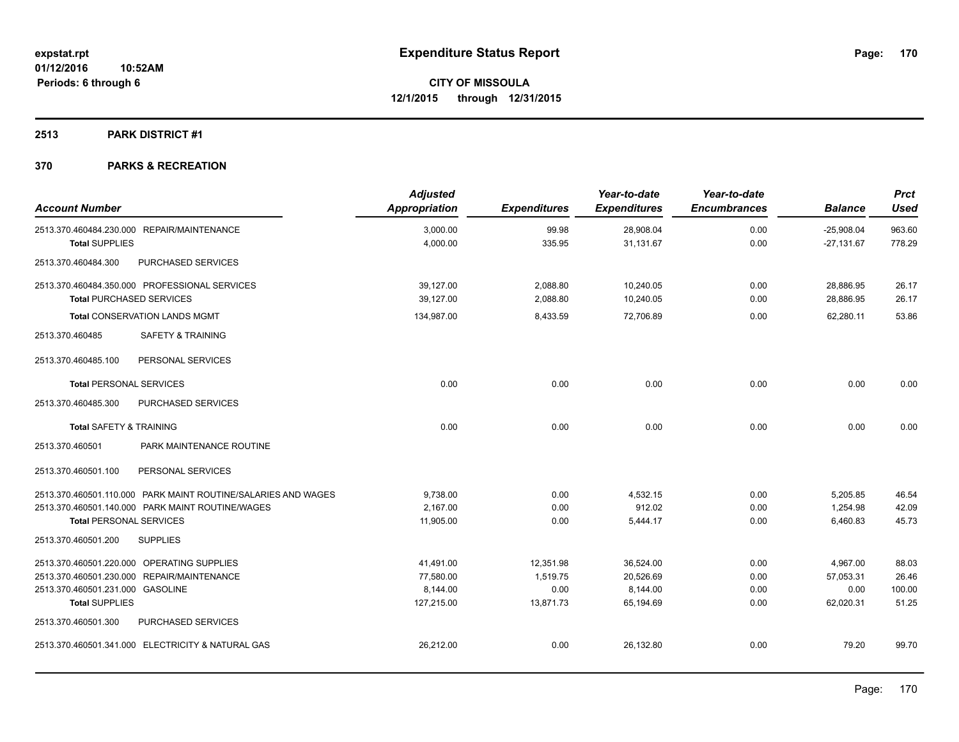#### **2513 PARK DISTRICT #1**

| <b>Account Number</b>            |                                                               | <b>Adjusted</b><br>Appropriation | <b>Expenditures</b> | Year-to-date<br><b>Expenditures</b> | Year-to-date<br><b>Encumbrances</b> | <b>Balance</b>               | <b>Prct</b><br><b>Used</b> |
|----------------------------------|---------------------------------------------------------------|----------------------------------|---------------------|-------------------------------------|-------------------------------------|------------------------------|----------------------------|
| <b>Total SUPPLIES</b>            | 2513.370.460484.230.000 REPAIR/MAINTENANCE                    | 3,000.00<br>4,000.00             | 99.98<br>335.95     | 28,908.04<br>31,131.67              | 0.00<br>0.00                        | $-25,908.04$<br>$-27,131.67$ | 963.60<br>778.29           |
| 2513.370.460484.300              | PURCHASED SERVICES                                            |                                  |                     |                                     |                                     |                              |                            |
|                                  | 2513.370.460484.350.000 PROFESSIONAL SERVICES                 | 39.127.00                        | 2,088.80            | 10,240.05                           | 0.00                                | 28,886.95                    | 26.17                      |
| <b>Total PURCHASED SERVICES</b>  |                                                               | 39,127.00                        | 2,088.80            | 10,240.05                           | 0.00                                | 28,886.95                    | 26.17                      |
|                                  | <b>Total CONSERVATION LANDS MGMT</b>                          | 134,987.00                       | 8,433.59            | 72,706.89                           | 0.00                                | 62,280.11                    | 53.86                      |
| 2513.370.460485                  | <b>SAFETY &amp; TRAINING</b>                                  |                                  |                     |                                     |                                     |                              |                            |
| 2513.370.460485.100              | PERSONAL SERVICES                                             |                                  |                     |                                     |                                     |                              |                            |
| <b>Total PERSONAL SERVICES</b>   |                                                               | 0.00                             | 0.00                | 0.00                                | 0.00                                | 0.00                         | 0.00                       |
| 2513.370.460485.300              | PURCHASED SERVICES                                            |                                  |                     |                                     |                                     |                              |                            |
| Total SAFETY & TRAINING          |                                                               | 0.00                             | 0.00                | 0.00                                | 0.00                                | 0.00                         | 0.00                       |
| 2513.370.460501                  | PARK MAINTENANCE ROUTINE                                      |                                  |                     |                                     |                                     |                              |                            |
| 2513.370.460501.100              | PERSONAL SERVICES                                             |                                  |                     |                                     |                                     |                              |                            |
|                                  | 2513.370.460501.110.000 PARK MAINT ROUTINE/SALARIES AND WAGES | 9,738.00                         | 0.00                | 4,532.15                            | 0.00                                | 5,205.85                     | 46.54                      |
|                                  | 2513.370.460501.140.000 PARK MAINT ROUTINE/WAGES              | 2,167.00                         | 0.00                | 912.02                              | 0.00                                | 1,254.98                     | 42.09                      |
| <b>Total PERSONAL SERVICES</b>   |                                                               | 11,905.00                        | 0.00                | 5,444.17                            | 0.00                                | 6,460.83                     | 45.73                      |
| 2513.370.460501.200              | <b>SUPPLIES</b>                                               |                                  |                     |                                     |                                     |                              |                            |
|                                  | 2513.370.460501.220.000 OPERATING SUPPLIES                    | 41,491.00                        | 12,351.98           | 36,524.00                           | 0.00                                | 4,967.00                     | 88.03                      |
|                                  | 2513.370.460501.230.000 REPAIR/MAINTENANCE                    | 77,580.00                        | 1,519.75            | 20,526.69                           | 0.00                                | 57,053.31                    | 26.46                      |
| 2513.370.460501.231.000 GASOLINE |                                                               | 8,144.00                         | 0.00                | 8,144.00                            | 0.00                                | 0.00                         | 100.00                     |
| <b>Total SUPPLIES</b>            |                                                               | 127,215.00                       | 13,871.73           | 65,194.69                           | 0.00                                | 62,020.31                    | 51.25                      |
| 2513.370.460501.300              | PURCHASED SERVICES                                            |                                  |                     |                                     |                                     |                              |                            |
|                                  | 2513.370.460501.341.000 ELECTRICITY & NATURAL GAS             | 26,212.00                        | 0.00                | 26,132.80                           | 0.00                                | 79.20                        | 99.70                      |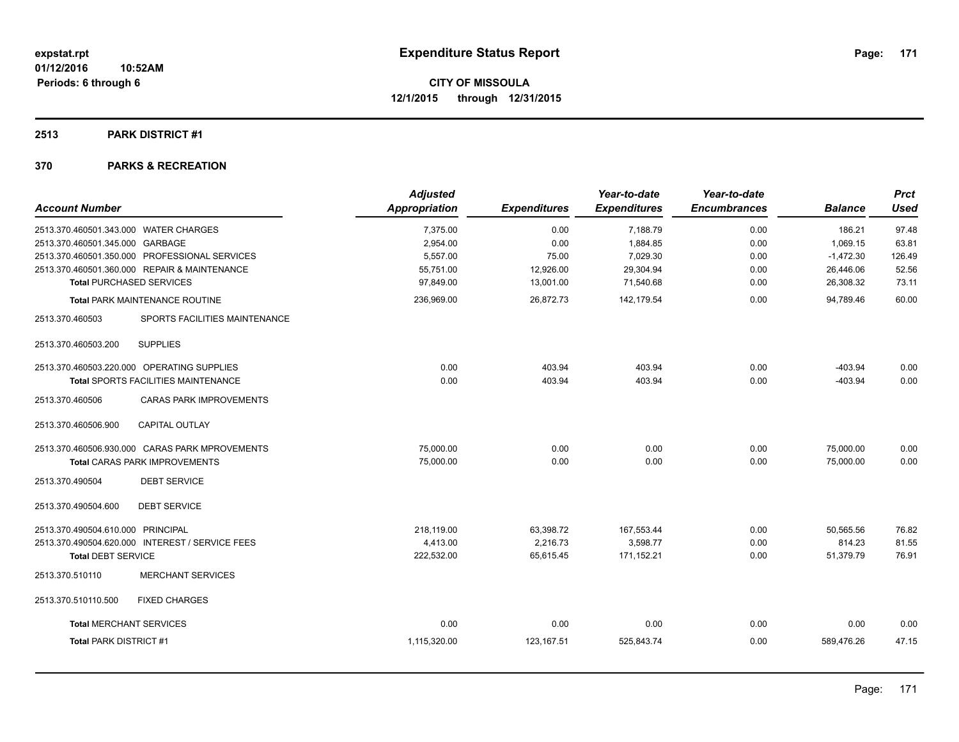#### **2513 PARK DISTRICT #1**

| <b>Account Number</b>                             | <b>Adjusted</b><br>Appropriation | <b>Expenditures</b> | Year-to-date<br><b>Expenditures</b> | Year-to-date<br><b>Encumbrances</b> | <b>Balance</b> | <b>Prct</b><br><b>Used</b> |
|---------------------------------------------------|----------------------------------|---------------------|-------------------------------------|-------------------------------------|----------------|----------------------------|
| 2513.370.460501.343.000 WATER CHARGES             | 7,375.00                         | 0.00                | 7,188.79                            | 0.00                                | 186.21         | 97.48                      |
| 2513.370.460501.345.000 GARBAGE                   | 2,954.00                         | 0.00                | 1,884.85                            | 0.00                                | 1,069.15       | 63.81                      |
| 2513.370.460501.350.000 PROFESSIONAL SERVICES     | 5,557.00                         | 75.00               | 7,029.30                            | 0.00                                | $-1,472.30$    | 126.49                     |
| 2513.370.460501.360.000 REPAIR & MAINTENANCE      | 55,751.00                        | 12,926.00           | 29,304.94                           | 0.00                                | 26,446.06      | 52.56                      |
| <b>Total PURCHASED SERVICES</b>                   | 97,849.00                        | 13,001.00           | 71,540.68                           | 0.00                                | 26,308.32      | 73.11                      |
| <b>Total PARK MAINTENANCE ROUTINE</b>             | 236.969.00                       | 26.872.73           | 142.179.54                          | 0.00                                | 94.789.46      | 60.00                      |
| 2513.370.460503<br>SPORTS FACILITIES MAINTENANCE  |                                  |                     |                                     |                                     |                |                            |
| <b>SUPPLIES</b><br>2513.370.460503.200            |                                  |                     |                                     |                                     |                |                            |
| 2513.370.460503.220.000 OPERATING SUPPLIES        | 0.00                             | 403.94              | 403.94                              | 0.00                                | $-403.94$      | 0.00                       |
| Total SPORTS FACILITIES MAINTENANCE               | 0.00                             | 403.94              | 403.94                              | 0.00                                | $-403.94$      | 0.00                       |
| <b>CARAS PARK IMPROVEMENTS</b><br>2513.370.460506 |                                  |                     |                                     |                                     |                |                            |
| 2513.370.460506.900<br><b>CAPITAL OUTLAY</b>      |                                  |                     |                                     |                                     |                |                            |
| 2513.370.460506.930.000 CARAS PARK MPROVEMENTS    | 75,000.00                        | 0.00                | 0.00                                | 0.00                                | 75,000.00      | 0.00                       |
| <b>Total CARAS PARK IMPROVEMENTS</b>              | 75,000.00                        | 0.00                | 0.00                                | 0.00                                | 75.000.00      | 0.00                       |
| 2513.370.490504<br><b>DEBT SERVICE</b>            |                                  |                     |                                     |                                     |                |                            |
| 2513.370.490504.600<br><b>DEBT SERVICE</b>        |                                  |                     |                                     |                                     |                |                            |
| 2513.370.490504.610.000 PRINCIPAL                 | 218.119.00                       | 63,398.72           | 167,553.44                          | 0.00                                | 50,565.56      | 76.82                      |
| 2513.370.490504.620.000 INTEREST / SERVICE FEES   | 4,413.00                         | 2,216.73            | 3,598.77                            | 0.00                                | 814.23         | 81.55                      |
| <b>Total DEBT SERVICE</b>                         | 222,532.00                       | 65,615.45           | 171,152.21                          | 0.00                                | 51,379.79      | 76.91                      |
| 2513.370.510110<br><b>MERCHANT SERVICES</b>       |                                  |                     |                                     |                                     |                |                            |
| 2513.370.510110.500<br><b>FIXED CHARGES</b>       |                                  |                     |                                     |                                     |                |                            |
| <b>Total MERCHANT SERVICES</b>                    | 0.00                             | 0.00                | 0.00                                | 0.00                                | 0.00           | 0.00                       |
| <b>Total PARK DISTRICT #1</b>                     | 1,115,320.00                     | 123, 167.51         | 525,843.74                          | 0.00                                | 589,476.26     | 47.15                      |
|                                                   |                                  |                     |                                     |                                     |                |                            |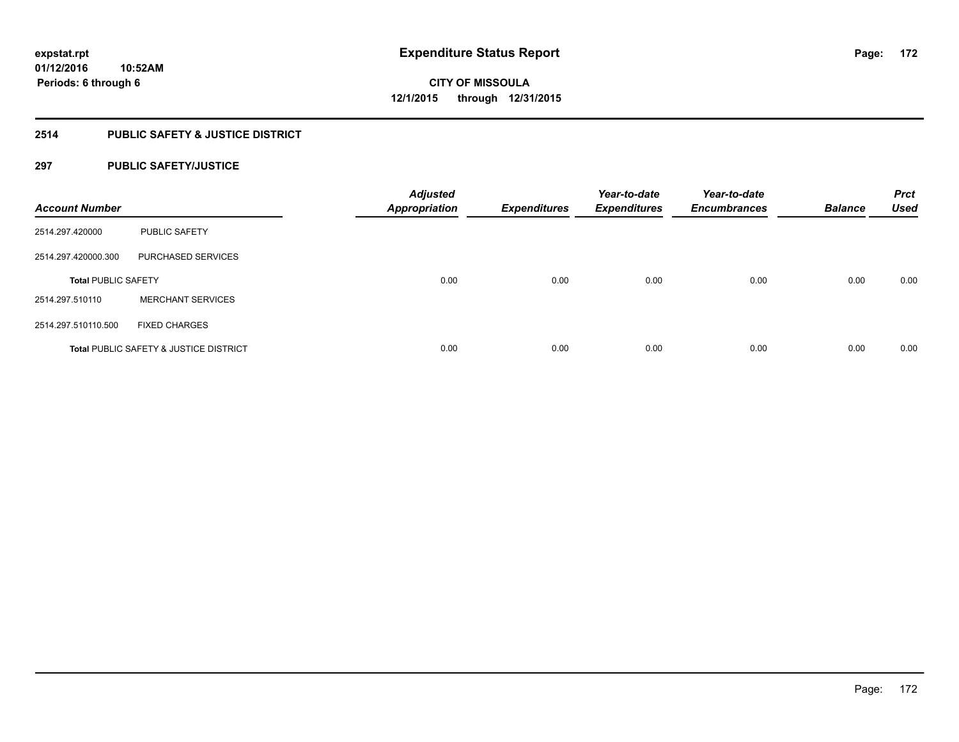### **2514 PUBLIC SAFETY & JUSTICE DISTRICT**

### **297 PUBLIC SAFETY/JUSTICE**

| <b>Account Number</b>      |                                        | <b>Adjusted</b><br><b>Appropriation</b> | <b>Expenditures</b> | Year-to-date<br><b>Expenditures</b> | Year-to-date<br><b>Encumbrances</b> | <b>Balance</b> | <b>Prct</b><br><b>Used</b> |
|----------------------------|----------------------------------------|-----------------------------------------|---------------------|-------------------------------------|-------------------------------------|----------------|----------------------------|
| 2514.297.420000            | <b>PUBLIC SAFETY</b>                   |                                         |                     |                                     |                                     |                |                            |
| 2514.297.420000.300        | PURCHASED SERVICES                     |                                         |                     |                                     |                                     |                |                            |
| <b>Total PUBLIC SAFETY</b> |                                        | 0.00                                    | 0.00                | 0.00                                | 0.00                                | 0.00           | 0.00                       |
| 2514.297.510110            | <b>MERCHANT SERVICES</b>               |                                         |                     |                                     |                                     |                |                            |
| 2514.297.510110.500        | <b>FIXED CHARGES</b>                   |                                         |                     |                                     |                                     |                |                            |
|                            | Total PUBLIC SAFETY & JUSTICE DISTRICT | 0.00                                    | 0.00                | 0.00                                | 0.00                                | 0.00           | 0.00                       |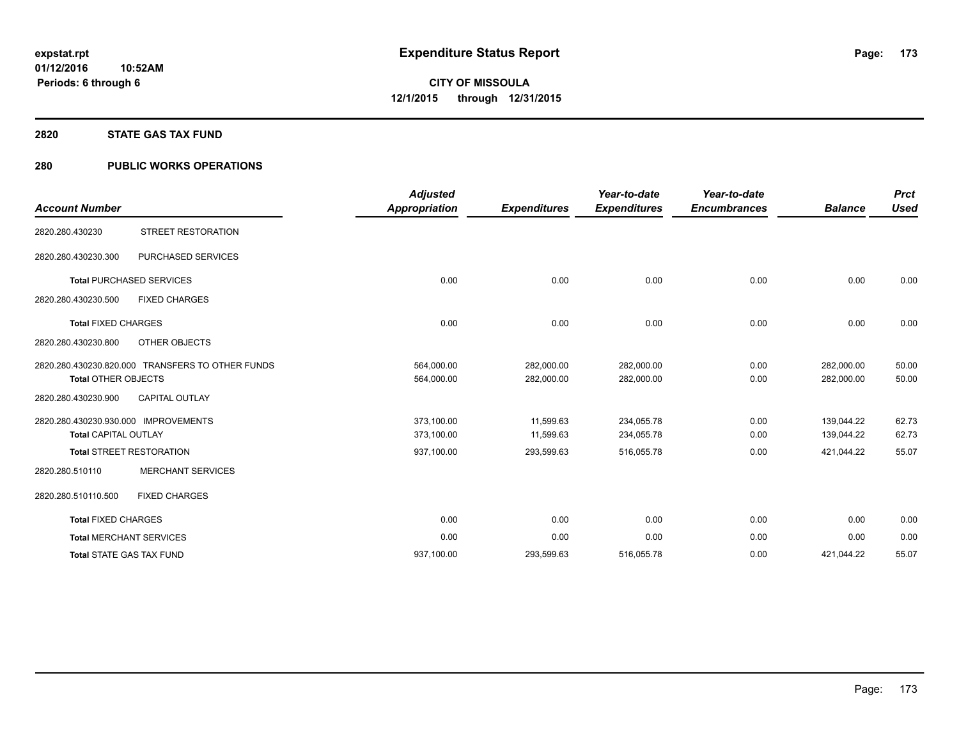#### **2820 STATE GAS TAX FUND**

### **280 PUBLIC WORKS OPERATIONS**

| <b>Account Number</b>                                               |                                                  | <b>Adjusted</b><br><b>Appropriation</b> | <b>Expenditures</b>      | Year-to-date<br><b>Expenditures</b> | Year-to-date<br><b>Encumbrances</b> | <b>Balance</b>           | <b>Prct</b><br><b>Used</b> |
|---------------------------------------------------------------------|--------------------------------------------------|-----------------------------------------|--------------------------|-------------------------------------|-------------------------------------|--------------------------|----------------------------|
| 2820.280.430230                                                     | <b>STREET RESTORATION</b>                        |                                         |                          |                                     |                                     |                          |                            |
| 2820.280.430230.300                                                 | PURCHASED SERVICES                               |                                         |                          |                                     |                                     |                          |                            |
|                                                                     | <b>Total PURCHASED SERVICES</b>                  | 0.00                                    | 0.00                     | 0.00                                | 0.00                                | 0.00                     | 0.00                       |
| 2820.280.430230.500                                                 | <b>FIXED CHARGES</b>                             |                                         |                          |                                     |                                     |                          |                            |
| <b>Total FIXED CHARGES</b>                                          |                                                  | 0.00                                    | 0.00                     | 0.00                                | 0.00                                | 0.00                     | 0.00                       |
| 2820.280.430230.800                                                 | OTHER OBJECTS                                    |                                         |                          |                                     |                                     |                          |                            |
| <b>Total OTHER OBJECTS</b>                                          | 2820.280.430230.820.000 TRANSFERS TO OTHER FUNDS | 564,000.00<br>564,000.00                | 282,000.00<br>282,000.00 | 282,000.00<br>282,000.00            | 0.00<br>0.00                        | 282.000.00<br>282,000.00 | 50.00<br>50.00             |
| 2820.280.430230.900                                                 | <b>CAPITAL OUTLAY</b>                            |                                         |                          |                                     |                                     |                          |                            |
| 2820.280.430230.930.000 IMPROVEMENTS<br><b>Total CAPITAL OUTLAY</b> |                                                  | 373,100.00<br>373,100.00                | 11,599.63<br>11,599.63   | 234,055.78<br>234,055.78            | 0.00<br>0.00                        | 139,044.22<br>139,044.22 | 62.73<br>62.73             |
|                                                                     | <b>Total STREET RESTORATION</b>                  | 937,100.00                              | 293,599.63               | 516,055.78                          | 0.00                                | 421,044.22               | 55.07                      |
| 2820.280.510110                                                     | <b>MERCHANT SERVICES</b>                         |                                         |                          |                                     |                                     |                          |                            |
| 2820.280.510110.500                                                 | <b>FIXED CHARGES</b>                             |                                         |                          |                                     |                                     |                          |                            |
| <b>Total FIXED CHARGES</b>                                          |                                                  | 0.00                                    | 0.00                     | 0.00                                | 0.00                                | 0.00                     | 0.00                       |
|                                                                     | <b>Total MERCHANT SERVICES</b>                   | 0.00                                    | 0.00                     | 0.00                                | 0.00                                | 0.00                     | 0.00                       |
|                                                                     | <b>Total STATE GAS TAX FUND</b>                  | 937,100.00                              | 293,599.63               | 516,055.78                          | 0.00                                | 421,044.22               | 55.07                      |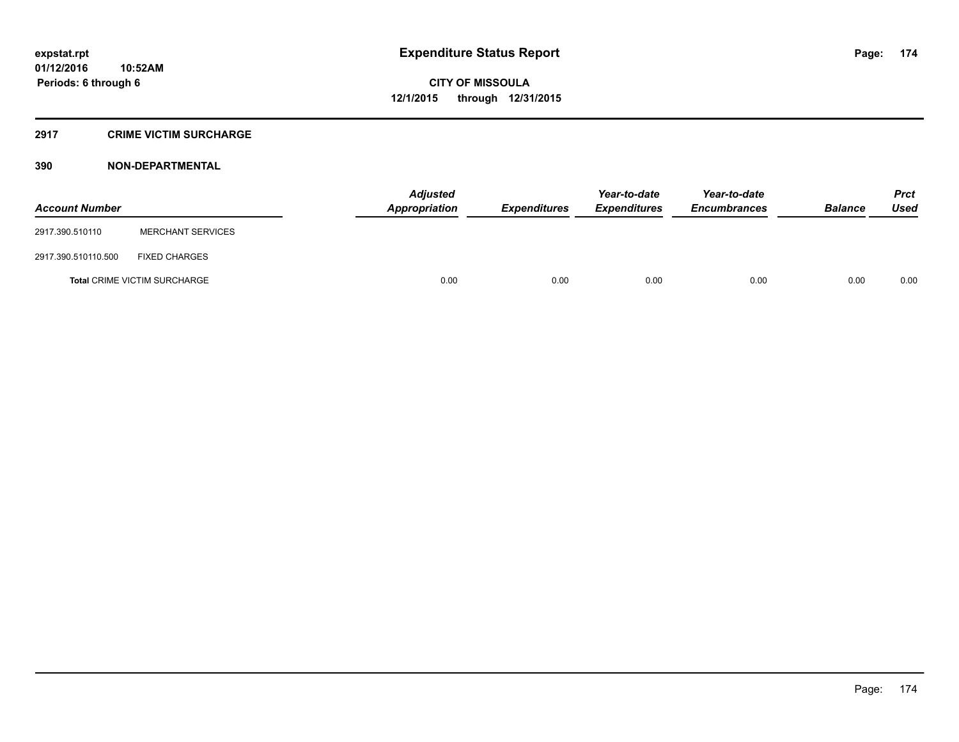#### **2917 CRIME VICTIM SURCHARGE**

| <b>Account Number</b> |                                     | Adjusted<br>Appropriation | <b>Expenditures</b> | Year-to-date<br><b>Expenditures</b> | Year-to-date<br><b>Encumbrances</b> | <b>Balance</b> | <b>Prct</b><br><b>Used</b> |
|-----------------------|-------------------------------------|---------------------------|---------------------|-------------------------------------|-------------------------------------|----------------|----------------------------|
| 2917.390.510110       | <b>MERCHANT SERVICES</b>            |                           |                     |                                     |                                     |                |                            |
| 2917.390.510110.500   | <b>FIXED CHARGES</b>                |                           |                     |                                     |                                     |                |                            |
|                       | <b>Total CRIME VICTIM SURCHARGE</b> | 0.00                      | 0.00                | 0.00                                | 0.00                                | 0.00           | 0.00                       |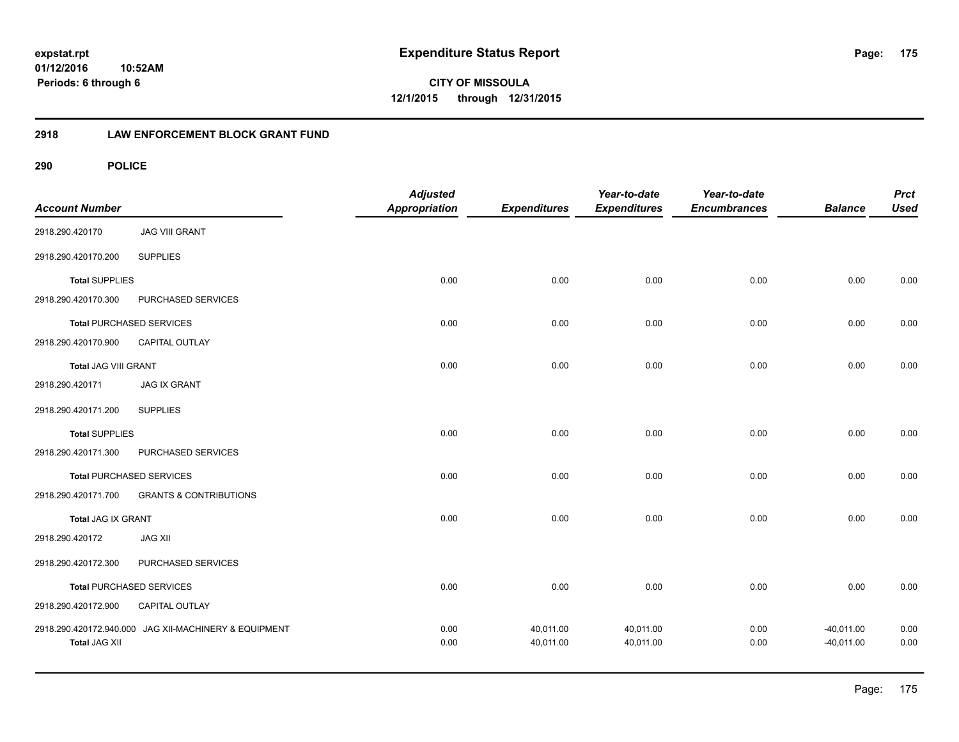**CITY OF MISSOULA 12/1/2015 through 12/31/2015**

### **2918 LAW ENFORCEMENT BLOCK GRANT FUND**

| <b>Account Number</b> |                                                       | <b>Adjusted</b><br><b>Appropriation</b> | <b>Expenditures</b>    | Year-to-date<br><b>Expenditures</b> | Year-to-date<br><b>Encumbrances</b> | <b>Balance</b>               | <b>Prct</b><br><b>Used</b> |
|-----------------------|-------------------------------------------------------|-----------------------------------------|------------------------|-------------------------------------|-------------------------------------|------------------------------|----------------------------|
| 2918.290.420170       | <b>JAG VIII GRANT</b>                                 |                                         |                        |                                     |                                     |                              |                            |
| 2918.290.420170.200   | <b>SUPPLIES</b>                                       |                                         |                        |                                     |                                     |                              |                            |
| <b>Total SUPPLIES</b> |                                                       | 0.00                                    | 0.00                   | 0.00                                | 0.00                                | 0.00                         | 0.00                       |
| 2918.290.420170.300   | PURCHASED SERVICES                                    |                                         |                        |                                     |                                     |                              |                            |
|                       | <b>Total PURCHASED SERVICES</b>                       | 0.00                                    | 0.00                   | 0.00                                | 0.00                                | 0.00                         | 0.00                       |
| 2918.290.420170.900   | <b>CAPITAL OUTLAY</b>                                 |                                         |                        |                                     |                                     |                              |                            |
| Total JAG VIII GRANT  |                                                       | 0.00                                    | 0.00                   | 0.00                                | 0.00                                | 0.00                         | 0.00                       |
| 2918.290.420171       | <b>JAG IX GRANT</b>                                   |                                         |                        |                                     |                                     |                              |                            |
| 2918.290.420171.200   | <b>SUPPLIES</b>                                       |                                         |                        |                                     |                                     |                              |                            |
| <b>Total SUPPLIES</b> |                                                       | 0.00                                    | 0.00                   | 0.00                                | 0.00                                | 0.00                         | 0.00                       |
| 2918.290.420171.300   | PURCHASED SERVICES                                    |                                         |                        |                                     |                                     |                              |                            |
|                       | <b>Total PURCHASED SERVICES</b>                       | 0.00                                    | 0.00                   | 0.00                                | 0.00                                | 0.00                         | 0.00                       |
| 2918.290.420171.700   | <b>GRANTS &amp; CONTRIBUTIONS</b>                     |                                         |                        |                                     |                                     |                              |                            |
| Total JAG IX GRANT    |                                                       | 0.00                                    | 0.00                   | 0.00                                | 0.00                                | 0.00                         | 0.00                       |
| 2918.290.420172       | <b>JAG XII</b>                                        |                                         |                        |                                     |                                     |                              |                            |
| 2918.290.420172.300   | PURCHASED SERVICES                                    |                                         |                        |                                     |                                     |                              |                            |
|                       | <b>Total PURCHASED SERVICES</b>                       | 0.00                                    | 0.00                   | 0.00                                | 0.00                                | 0.00                         | 0.00                       |
| 2918.290.420172.900   | CAPITAL OUTLAY                                        |                                         |                        |                                     |                                     |                              |                            |
| <b>Total JAG XII</b>  | 2918.290.420172.940.000 JAG XII-MACHINERY & EQUIPMENT | 0.00<br>0.00                            | 40,011.00<br>40,011.00 | 40,011.00<br>40,011.00              | 0.00<br>0.00                        | $-40,011.00$<br>$-40,011.00$ | 0.00<br>0.00               |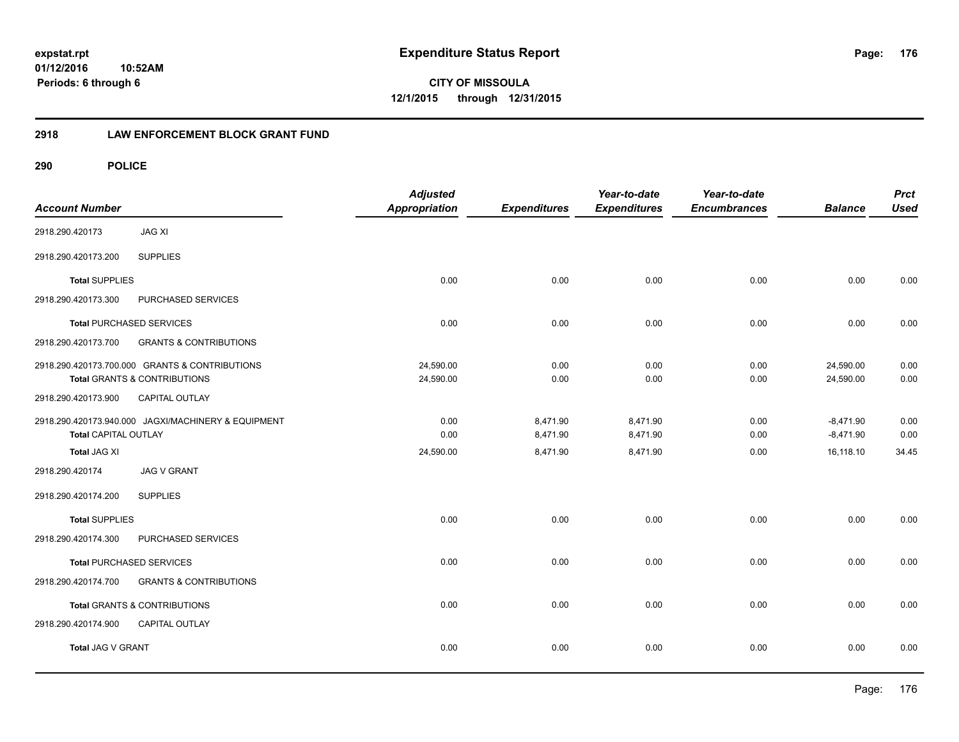**CITY OF MISSOULA 12/1/2015 through 12/31/2015**

### **2918 LAW ENFORCEMENT BLOCK GRANT FUND**

| <b>Account Number</b>       |                                                                                           | <b>Adjusted</b><br>Appropriation | <b>Expenditures</b>  | Year-to-date<br><b>Expenditures</b> | Year-to-date<br><b>Encumbrances</b> | <b>Balance</b>             | <b>Prct</b><br><b>Used</b> |
|-----------------------------|-------------------------------------------------------------------------------------------|----------------------------------|----------------------|-------------------------------------|-------------------------------------|----------------------------|----------------------------|
| 2918.290.420173             | <b>JAG XI</b>                                                                             |                                  |                      |                                     |                                     |                            |                            |
| 2918.290.420173.200         | <b>SUPPLIES</b>                                                                           |                                  |                      |                                     |                                     |                            |                            |
| <b>Total SUPPLIES</b>       |                                                                                           | 0.00                             | 0.00                 | 0.00                                | 0.00                                | 0.00                       | 0.00                       |
| 2918.290.420173.300         | PURCHASED SERVICES                                                                        |                                  |                      |                                     |                                     |                            |                            |
|                             | <b>Total PURCHASED SERVICES</b>                                                           | 0.00                             | 0.00                 | 0.00                                | 0.00                                | 0.00                       | 0.00                       |
| 2918.290.420173.700         | <b>GRANTS &amp; CONTRIBUTIONS</b>                                                         |                                  |                      |                                     |                                     |                            |                            |
|                             | 2918.290.420173.700.000 GRANTS & CONTRIBUTIONS<br><b>Total GRANTS &amp; CONTRIBUTIONS</b> | 24,590.00<br>24,590.00           | 0.00<br>0.00         | 0.00<br>0.00                        | 0.00<br>0.00                        | 24,590.00<br>24,590.00     | 0.00<br>0.00               |
| 2918.290.420173.900         | CAPITAL OUTLAY                                                                            |                                  |                      |                                     |                                     |                            |                            |
| <b>Total CAPITAL OUTLAY</b> | 2918.290.420173.940.000 JAGXI/MACHINERY & EQUIPMENT                                       | 0.00<br>0.00                     | 8,471.90<br>8,471.90 | 8,471.90<br>8,471.90                | 0.00<br>0.00                        | $-8,471.90$<br>$-8,471.90$ | 0.00<br>0.00               |
| <b>Total JAG XI</b>         |                                                                                           | 24,590.00                        | 8,471.90             | 8,471.90                            | 0.00                                | 16,118.10                  | 34.45                      |
| 2918.290.420174             | <b>JAG V GRANT</b>                                                                        |                                  |                      |                                     |                                     |                            |                            |
| 2918.290.420174.200         | <b>SUPPLIES</b>                                                                           |                                  |                      |                                     |                                     |                            |                            |
| <b>Total SUPPLIES</b>       |                                                                                           | 0.00                             | 0.00                 | 0.00                                | 0.00                                | 0.00                       | 0.00                       |
| 2918.290.420174.300         | PURCHASED SERVICES                                                                        |                                  |                      |                                     |                                     |                            |                            |
|                             | <b>Total PURCHASED SERVICES</b>                                                           | 0.00                             | 0.00                 | 0.00                                | 0.00                                | 0.00                       | 0.00                       |
| 2918.290.420174.700         | <b>GRANTS &amp; CONTRIBUTIONS</b>                                                         |                                  |                      |                                     |                                     |                            |                            |
|                             | Total GRANTS & CONTRIBUTIONS                                                              | 0.00                             | 0.00                 | 0.00                                | 0.00                                | 0.00                       | 0.00                       |
| 2918.290.420174.900         | CAPITAL OUTLAY                                                                            |                                  |                      |                                     |                                     |                            |                            |
| Total JAG V GRANT           |                                                                                           | 0.00                             | 0.00                 | 0.00                                | 0.00                                | 0.00                       | 0.00                       |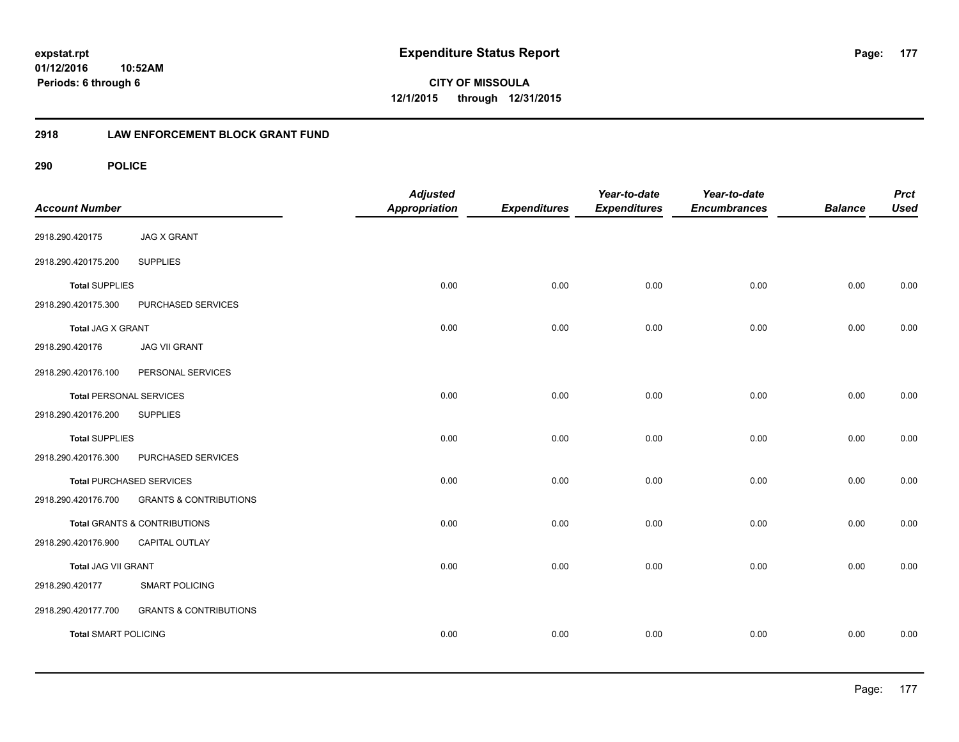**CITY OF MISSOULA 12/1/2015 through 12/31/2015**

### **2918 LAW ENFORCEMENT BLOCK GRANT FUND**

| <b>Account Number</b>          |                                   | <b>Adjusted</b><br><b>Appropriation</b> | <b>Expenditures</b> | Year-to-date<br><b>Expenditures</b> | Year-to-date<br><b>Encumbrances</b> | <b>Balance</b> | <b>Prct</b><br><b>Used</b> |
|--------------------------------|-----------------------------------|-----------------------------------------|---------------------|-------------------------------------|-------------------------------------|----------------|----------------------------|
| 2918.290.420175                | <b>JAG X GRANT</b>                |                                         |                     |                                     |                                     |                |                            |
| 2918.290.420175.200            | <b>SUPPLIES</b>                   |                                         |                     |                                     |                                     |                |                            |
| <b>Total SUPPLIES</b>          |                                   | 0.00                                    | 0.00                | 0.00                                | 0.00                                | 0.00           | 0.00                       |
| 2918.290.420175.300            | PURCHASED SERVICES                |                                         |                     |                                     |                                     |                |                            |
| <b>Total JAG X GRANT</b>       |                                   | 0.00                                    | 0.00                | 0.00                                | 0.00                                | 0.00           | 0.00                       |
| 2918.290.420176                | <b>JAG VII GRANT</b>              |                                         |                     |                                     |                                     |                |                            |
| 2918.290.420176.100            | PERSONAL SERVICES                 |                                         |                     |                                     |                                     |                |                            |
| <b>Total PERSONAL SERVICES</b> |                                   | 0.00                                    | 0.00                | 0.00                                | 0.00                                | 0.00           | 0.00                       |
| 2918.290.420176.200            | <b>SUPPLIES</b>                   |                                         |                     |                                     |                                     |                |                            |
| <b>Total SUPPLIES</b>          |                                   | 0.00                                    | 0.00                | 0.00                                | 0.00                                | 0.00           | 0.00                       |
| 2918.290.420176.300            | PURCHASED SERVICES                |                                         |                     |                                     |                                     |                |                            |
|                                | <b>Total PURCHASED SERVICES</b>   | 0.00                                    | 0.00                | 0.00                                | 0.00                                | 0.00           | 0.00                       |
| 2918.290.420176.700            | <b>GRANTS &amp; CONTRIBUTIONS</b> |                                         |                     |                                     |                                     |                |                            |
|                                | Total GRANTS & CONTRIBUTIONS      | 0.00                                    | 0.00                | 0.00                                | 0.00                                | 0.00           | 0.00                       |
| 2918.290.420176.900            | CAPITAL OUTLAY                    |                                         |                     |                                     |                                     |                |                            |
| <b>Total JAG VII GRANT</b>     |                                   | 0.00                                    | 0.00                | 0.00                                | 0.00                                | 0.00           | 0.00                       |
| 2918.290.420177                | <b>SMART POLICING</b>             |                                         |                     |                                     |                                     |                |                            |
| 2918.290.420177.700            | <b>GRANTS &amp; CONTRIBUTIONS</b> |                                         |                     |                                     |                                     |                |                            |
| <b>Total SMART POLICING</b>    |                                   | 0.00                                    | 0.00                | 0.00                                | 0.00                                | 0.00           | 0.00                       |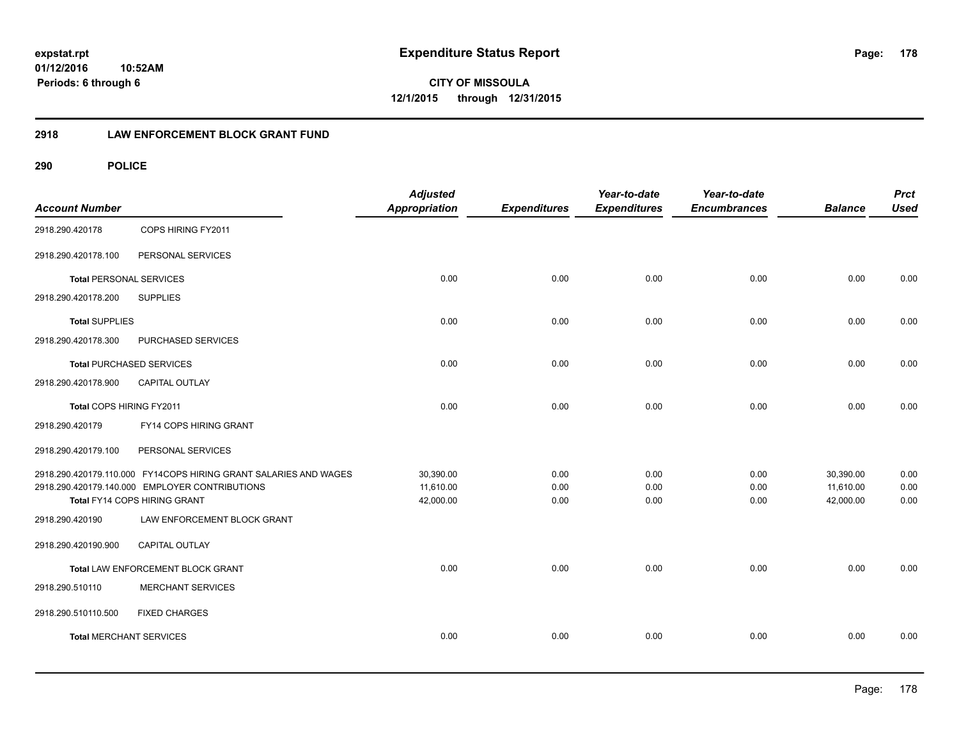**CITY OF MISSOULA 12/1/2015 through 12/31/2015**

### **2918 LAW ENFORCEMENT BLOCK GRANT FUND**

| <b>Account Number</b>          |                                                                  | <b>Adjusted</b><br><b>Appropriation</b> | <b>Expenditures</b> | Year-to-date<br><b>Expenditures</b> | Year-to-date<br><b>Encumbrances</b> | <b>Balance</b> | <b>Prct</b><br><b>Used</b> |
|--------------------------------|------------------------------------------------------------------|-----------------------------------------|---------------------|-------------------------------------|-------------------------------------|----------------|----------------------------|
| 2918.290.420178                | COPS HIRING FY2011                                               |                                         |                     |                                     |                                     |                |                            |
| 2918.290.420178.100            | PERSONAL SERVICES                                                |                                         |                     |                                     |                                     |                |                            |
| <b>Total PERSONAL SERVICES</b> |                                                                  | 0.00                                    | 0.00                | 0.00                                | 0.00                                | 0.00           | 0.00                       |
| 2918.290.420178.200            | <b>SUPPLIES</b>                                                  |                                         |                     |                                     |                                     |                |                            |
| <b>Total SUPPLIES</b>          |                                                                  | 0.00                                    | 0.00                | 0.00                                | 0.00                                | 0.00           | 0.00                       |
| 2918.290.420178.300            | PURCHASED SERVICES                                               |                                         |                     |                                     |                                     |                |                            |
|                                | <b>Total PURCHASED SERVICES</b>                                  | 0.00                                    | 0.00                | 0.00                                | 0.00                                | 0.00           | 0.00                       |
| 2918.290.420178.900            | CAPITAL OUTLAY                                                   |                                         |                     |                                     |                                     |                |                            |
| Total COPS HIRING FY2011       |                                                                  | 0.00                                    | 0.00                | 0.00                                | 0.00                                | 0.00           | 0.00                       |
| 2918.290.420179                | FY14 COPS HIRING GRANT                                           |                                         |                     |                                     |                                     |                |                            |
| 2918.290.420179.100            | PERSONAL SERVICES                                                |                                         |                     |                                     |                                     |                |                            |
|                                | 2918.290.420179.110.000 FY14COPS HIRING GRANT SALARIES AND WAGES | 30,390.00                               | 0.00                | 0.00                                | 0.00                                | 30,390.00      | 0.00                       |
|                                | 2918.290.420179.140.000 EMPLOYER CONTRIBUTIONS                   | 11,610.00                               | 0.00                | 0.00                                | 0.00                                | 11,610.00      | 0.00                       |
| 2918.290.420190                | Total FY14 COPS HIRING GRANT<br>LAW ENFORCEMENT BLOCK GRANT      | 42,000.00                               | 0.00                | 0.00                                | 0.00                                | 42,000.00      | 0.00                       |
| 2918.290.420190.900            | <b>CAPITAL OUTLAY</b>                                            |                                         |                     |                                     |                                     |                |                            |
|                                | Total LAW ENFORCEMENT BLOCK GRANT                                | 0.00                                    | 0.00                | 0.00                                | 0.00                                | 0.00           | 0.00                       |
| 2918.290.510110                | MERCHANT SERVICES                                                |                                         |                     |                                     |                                     |                |                            |
| 2918.290.510110.500            | <b>FIXED CHARGES</b>                                             |                                         |                     |                                     |                                     |                |                            |
| <b>Total MERCHANT SERVICES</b> |                                                                  | 0.00                                    | 0.00                | 0.00                                | 0.00                                | 0.00           | 0.00                       |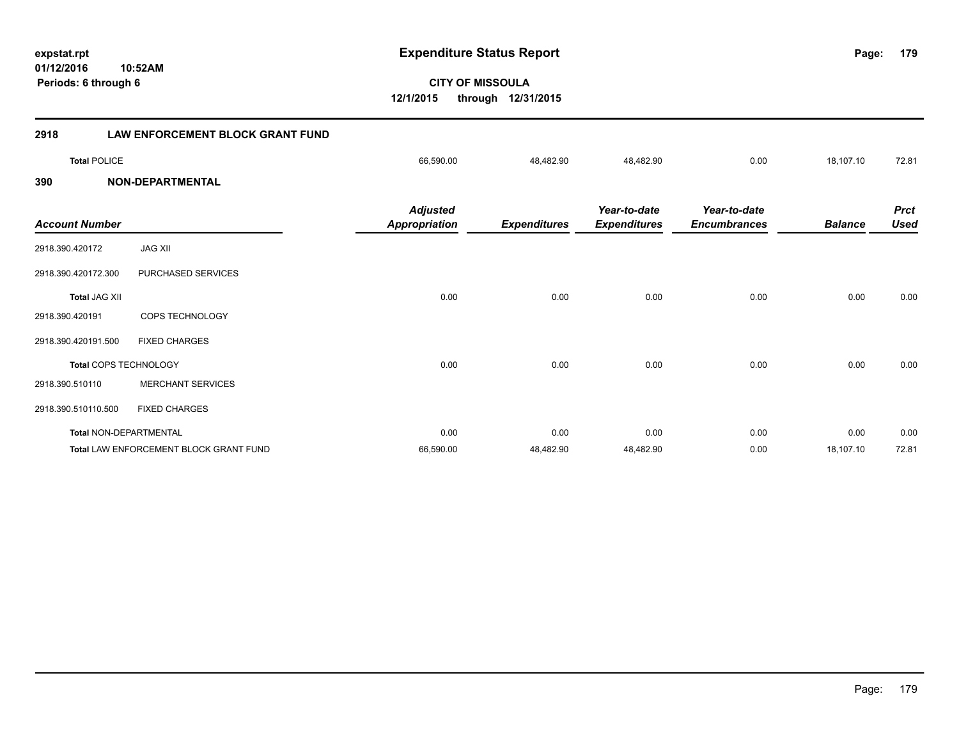**179**

**CITY OF MISSOULA 12/1/2015 through 12/31/2015**

| 2918                  | <b>LAW ENFORCEMENT BLOCK GRANT FUND</b>       |                                         |                     |                                     |                                     |                |                            |
|-----------------------|-----------------------------------------------|-----------------------------------------|---------------------|-------------------------------------|-------------------------------------|----------------|----------------------------|
| <b>Total POLICE</b>   |                                               | 66,590.00                               | 48,482.90           | 48,482.90                           | 0.00                                | 18,107.10      | 72.81                      |
| 390                   | <b>NON-DEPARTMENTAL</b>                       |                                         |                     |                                     |                                     |                |                            |
| <b>Account Number</b> |                                               | <b>Adjusted</b><br><b>Appropriation</b> | <b>Expenditures</b> | Year-to-date<br><b>Expenditures</b> | Year-to-date<br><b>Encumbrances</b> | <b>Balance</b> | <b>Prct</b><br><b>Used</b> |
| 2918.390.420172       | <b>JAG XII</b>                                |                                         |                     |                                     |                                     |                |                            |
| 2918.390.420172.300   | PURCHASED SERVICES                            |                                         |                     |                                     |                                     |                |                            |
| <b>Total JAG XII</b>  |                                               | 0.00                                    | 0.00                | 0.00                                | 0.00                                | 0.00           | 0.00                       |
| 2918.390.420191       | COPS TECHNOLOGY                               |                                         |                     |                                     |                                     |                |                            |
| 2918.390.420191.500   | <b>FIXED CHARGES</b>                          |                                         |                     |                                     |                                     |                |                            |
|                       | <b>Total COPS TECHNOLOGY</b>                  | 0.00                                    | 0.00                | 0.00                                | 0.00                                | 0.00           | 0.00                       |
| 2918.390.510110       | <b>MERCHANT SERVICES</b>                      |                                         |                     |                                     |                                     |                |                            |
| 2918.390.510110.500   | <b>FIXED CHARGES</b>                          |                                         |                     |                                     |                                     |                |                            |
|                       | Total NON-DEPARTMENTAL                        | 0.00                                    | 0.00                | 0.00                                | 0.00                                | 0.00           | 0.00                       |
|                       | <b>Total LAW ENFORCEMENT BLOCK GRANT FUND</b> | 66,590.00                               | 48,482.90           | 48,482.90                           | 0.00                                | 18,107.10      | 72.81                      |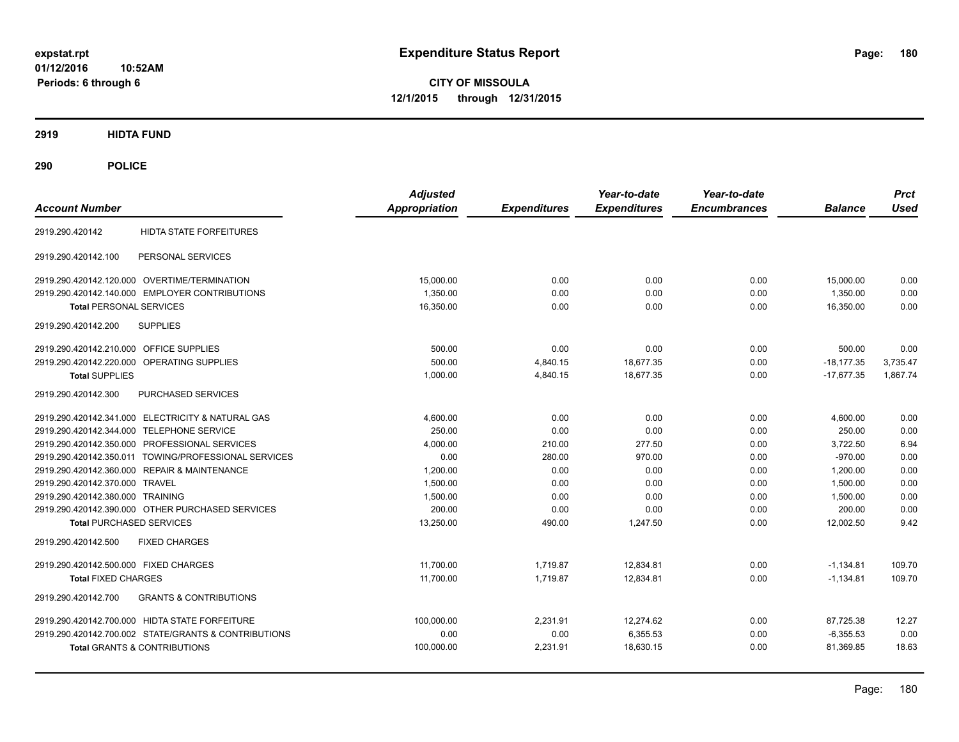**CITY OF MISSOULA 12/1/2015 through 12/31/2015**

**2919 HIDTA FUND**

| <b>Account Number</b>                                    | <b>Adjusted</b><br><b>Appropriation</b> | <b>Expenditures</b> | Year-to-date<br><b>Expenditures</b> | Year-to-date<br><b>Encumbrances</b> | <b>Balance</b> | <b>Prct</b><br><b>Used</b> |
|----------------------------------------------------------|-----------------------------------------|---------------------|-------------------------------------|-------------------------------------|----------------|----------------------------|
| <b>HIDTA STATE FORFEITURES</b><br>2919.290.420142        |                                         |                     |                                     |                                     |                |                            |
| PERSONAL SERVICES<br>2919.290.420142.100                 |                                         |                     |                                     |                                     |                |                            |
| 2919.290.420142.120.000 OVERTIME/TERMINATION             | 15,000.00                               | 0.00                | 0.00                                | 0.00                                | 15,000.00      | 0.00                       |
| 2919.290.420142.140.000 EMPLOYER CONTRIBUTIONS           | 1,350.00                                | 0.00                | 0.00                                | 0.00                                | 1,350.00       | 0.00                       |
| <b>Total PERSONAL SERVICES</b>                           | 16,350.00                               | 0.00                | 0.00                                | 0.00                                | 16,350.00      | 0.00                       |
| <b>SUPPLIES</b><br>2919.290.420142.200                   |                                         |                     |                                     |                                     |                |                            |
| 2919.290.420142.210.000 OFFICE SUPPLIES                  | 500.00                                  | 0.00                | 0.00                                | 0.00                                | 500.00         | 0.00                       |
| 2919.290.420142.220.000 OPERATING SUPPLIES               | 500.00                                  | 4,840.15            | 18,677.35                           | 0.00                                | $-18,177.35$   | 3,735.47                   |
| <b>Total SUPPLIES</b>                                    | 1,000.00                                | 4,840.15            | 18,677.35                           | 0.00                                | $-17,677.35$   | 1,867.74                   |
| 2919.290.420142.300<br>PURCHASED SERVICES                |                                         |                     |                                     |                                     |                |                            |
| 2919.290.420142.341.000 ELECTRICITY & NATURAL GAS        | 4.600.00                                | 0.00                | 0.00                                | 0.00                                | 4,600.00       | 0.00                       |
| 2919.290.420142.344.000 TELEPHONE SERVICE                | 250.00                                  | 0.00                | 0.00                                | 0.00                                | 250.00         | 0.00                       |
| 2919.290.420142.350.000 PROFESSIONAL SERVICES            | 4.000.00                                | 210.00              | 277.50                              | 0.00                                | 3.722.50       | 6.94                       |
| 2919.290.420142.350.011 TOWING/PROFESSIONAL SERVICES     | 0.00                                    | 280.00              | 970.00                              | 0.00                                | $-970.00$      | 0.00                       |
| 2919.290.420142.360.000 REPAIR & MAINTENANCE             | 1.200.00                                | 0.00                | 0.00                                | 0.00                                | 1.200.00       | 0.00                       |
| 2919.290.420142.370.000 TRAVEL                           | 1,500.00                                | 0.00                | 0.00                                | 0.00                                | 1.500.00       | 0.00                       |
| 2919.290.420142.380.000 TRAINING                         | 1,500.00                                | 0.00                | 0.00                                | 0.00                                | 1,500.00       | 0.00                       |
| 2919.290.420142.390.000 OTHER PURCHASED SERVICES         | 200.00                                  | 0.00                | 0.00                                | 0.00                                | 200.00         | 0.00                       |
| <b>Total PURCHASED SERVICES</b>                          | 13,250.00                               | 490.00              | 1.247.50                            | 0.00                                | 12,002.50      | 9.42                       |
| 2919.290.420142.500<br><b>FIXED CHARGES</b>              |                                         |                     |                                     |                                     |                |                            |
| 2919.290.420142.500.000 FIXED CHARGES                    | 11.700.00                               | 1,719.87            | 12.834.81                           | 0.00                                | $-1,134.81$    | 109.70                     |
| <b>Total FIXED CHARGES</b>                               | 11,700.00                               | 1,719.87            | 12,834.81                           | 0.00                                | $-1,134.81$    | 109.70                     |
| <b>GRANTS &amp; CONTRIBUTIONS</b><br>2919.290.420142.700 |                                         |                     |                                     |                                     |                |                            |
| 2919.290.420142.700.000 HIDTA STATE FORFEITURE           | 100,000.00                              | 2,231.91            | 12,274.62                           | 0.00                                | 87,725.38      | 12.27                      |
| 2919.290.420142.700.002 STATE/GRANTS & CONTRIBUTIONS     | 0.00                                    | 0.00                | 6,355.53                            | 0.00                                | $-6,355.53$    | 0.00                       |
| <b>Total GRANTS &amp; CONTRIBUTIONS</b>                  | 100,000.00                              | 2,231.91            | 18,630.15                           | 0.00                                | 81,369.85      | 18.63                      |
|                                                          |                                         |                     |                                     |                                     |                |                            |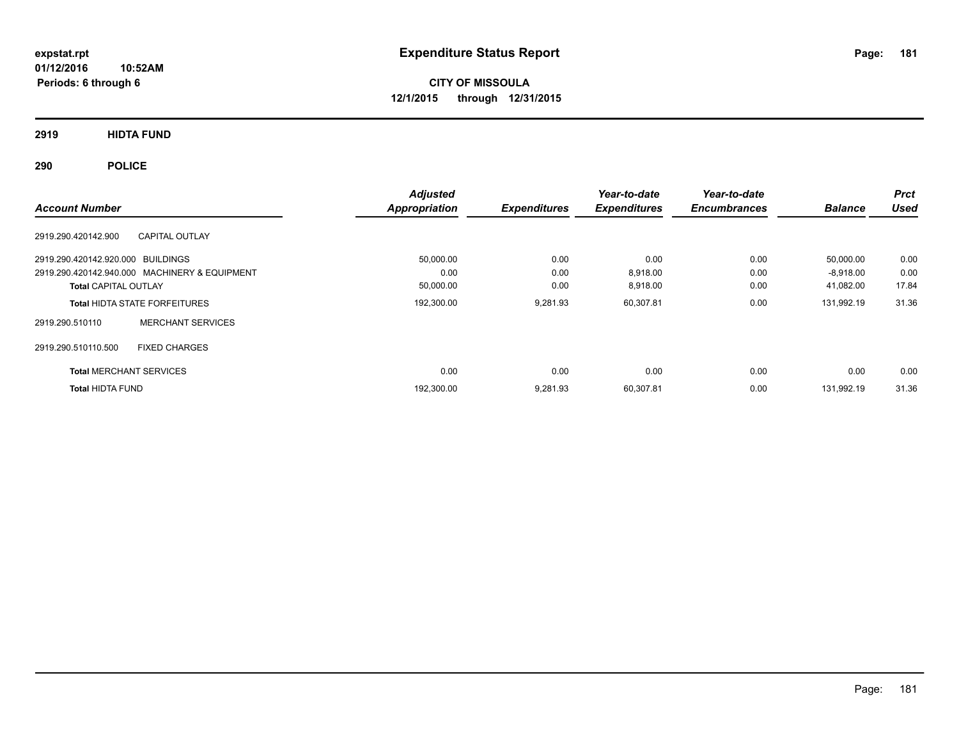**CITY OF MISSOULA 12/1/2015 through 12/31/2015**

**2919 HIDTA FUND**

**290 POLICE**

|                                   |                                               | <b>Adjusted</b>      |                     | Year-to-date        | Year-to-date        |                | <b>Prct</b> |
|-----------------------------------|-----------------------------------------------|----------------------|---------------------|---------------------|---------------------|----------------|-------------|
| <b>Account Number</b>             |                                               | <b>Appropriation</b> | <b>Expenditures</b> | <b>Expenditures</b> | <b>Encumbrances</b> | <b>Balance</b> | <b>Used</b> |
| 2919.290.420142.900               | <b>CAPITAL OUTLAY</b>                         |                      |                     |                     |                     |                |             |
| 2919.290.420142.920.000 BUILDINGS |                                               | 50,000.00            | 0.00                | 0.00                | 0.00                | 50,000.00      | 0.00        |
|                                   | 2919.290.420142.940.000 MACHINERY & EQUIPMENT | 0.00                 | 0.00                | 8,918.00            | 0.00                | $-8,918.00$    | 0.00        |
| <b>Total CAPITAL OUTLAY</b>       |                                               | 50,000.00            | 0.00                | 8,918.00            | 0.00                | 41,082.00      | 17.84       |
|                                   | <b>Total HIDTA STATE FORFEITURES</b>          | 192,300.00           | 9,281.93            | 60,307.81           | 0.00                | 131,992.19     | 31.36       |
| 2919.290.510110                   | <b>MERCHANT SERVICES</b>                      |                      |                     |                     |                     |                |             |
| 2919.290.510110.500               | <b>FIXED CHARGES</b>                          |                      |                     |                     |                     |                |             |
| <b>Total MERCHANT SERVICES</b>    |                                               | 0.00                 | 0.00                | 0.00                | 0.00                | 0.00           | 0.00        |
| <b>Total HIDTA FUND</b>           |                                               | 192,300.00           | 9,281.93            | 60,307.81           | 0.00                | 131.992.19     | 31.36       |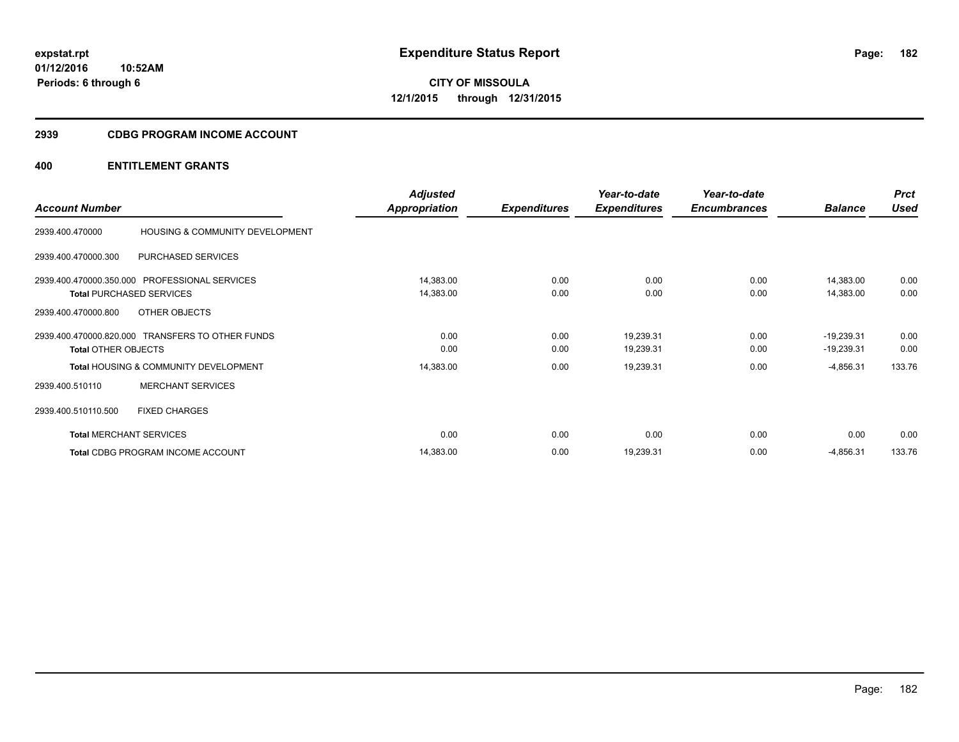#### **2939 CDBG PROGRAM INCOME ACCOUNT**

|                            |                                                  | <b>Adjusted</b> |                     | Year-to-date        | Year-to-date        |                | <b>Prct</b> |
|----------------------------|--------------------------------------------------|-----------------|---------------------|---------------------|---------------------|----------------|-------------|
| <b>Account Number</b>      |                                                  | Appropriation   | <b>Expenditures</b> | <b>Expenditures</b> | <b>Encumbrances</b> | <b>Balance</b> | <b>Used</b> |
| 2939.400.470000            | HOUSING & COMMUNITY DEVELOPMENT                  |                 |                     |                     |                     |                |             |
| 2939.400.470000.300        | PURCHASED SERVICES                               |                 |                     |                     |                     |                |             |
|                            | 2939.400.470000.350.000 PROFESSIONAL SERVICES    | 14,383.00       | 0.00                | 0.00                | 0.00                | 14,383.00      | 0.00        |
|                            | <b>Total PURCHASED SERVICES</b>                  | 14,383.00       | 0.00                | 0.00                | 0.00                | 14,383.00      | 0.00        |
| 2939.400.470000.800        | OTHER OBJECTS                                    |                 |                     |                     |                     |                |             |
|                            | 2939.400.470000.820.000 TRANSFERS TO OTHER FUNDS | 0.00            | 0.00                | 19,239.31           | 0.00                | $-19,239.31$   | 0.00        |
| <b>Total OTHER OBJECTS</b> |                                                  | 0.00            | 0.00                | 19,239.31           | 0.00                | $-19,239.31$   | 0.00        |
|                            | <b>Total HOUSING &amp; COMMUNITY DEVELOPMENT</b> | 14,383.00       | 0.00                | 19,239.31           | 0.00                | $-4,856.31$    | 133.76      |
| 2939.400.510110            | <b>MERCHANT SERVICES</b>                         |                 |                     |                     |                     |                |             |
| 2939.400.510110.500        | <b>FIXED CHARGES</b>                             |                 |                     |                     |                     |                |             |
|                            | <b>Total MERCHANT SERVICES</b>                   | 0.00            | 0.00                | 0.00                | 0.00                | 0.00           | 0.00        |
|                            | <b>Total CDBG PROGRAM INCOME ACCOUNT</b>         | 14,383.00       | 0.00                | 19,239.31           | 0.00                | $-4,856.31$    | 133.76      |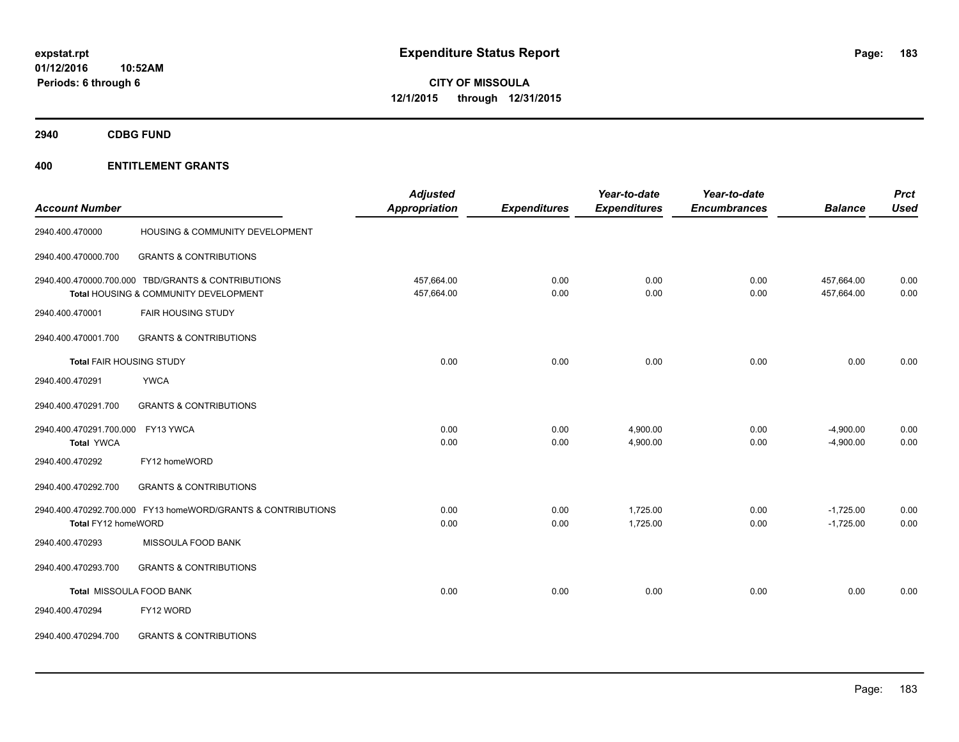**2940 CDBG FUND**

|                                                              | <b>Adjusted</b> |                     | Year-to-date        | Year-to-date        |                | <b>Prct</b> |
|--------------------------------------------------------------|-----------------|---------------------|---------------------|---------------------|----------------|-------------|
| <b>Account Number</b>                                        | Appropriation   | <b>Expenditures</b> | <b>Expenditures</b> | <b>Encumbrances</b> | <b>Balance</b> | <b>Used</b> |
| HOUSING & COMMUNITY DEVELOPMENT<br>2940.400.470000           |                 |                     |                     |                     |                |             |
| 2940.400.470000.700<br><b>GRANTS &amp; CONTRIBUTIONS</b>     |                 |                     |                     |                     |                |             |
| 2940.400.470000.700.000 TBD/GRANTS & CONTRIBUTIONS           | 457,664.00      | 0.00                | 0.00                | 0.00                | 457,664.00     | 0.00        |
| Total HOUSING & COMMUNITY DEVELOPMENT                        | 457,664.00      | 0.00                | 0.00                | 0.00                | 457,664.00     | 0.00        |
| <b>FAIR HOUSING STUDY</b><br>2940.400.470001                 |                 |                     |                     |                     |                |             |
| 2940.400.470001.700<br><b>GRANTS &amp; CONTRIBUTIONS</b>     |                 |                     |                     |                     |                |             |
| <b>Total FAIR HOUSING STUDY</b>                              | 0.00            | 0.00                | 0.00                | 0.00                | 0.00           | 0.00        |
| <b>YWCA</b><br>2940.400.470291                               |                 |                     |                     |                     |                |             |
| <b>GRANTS &amp; CONTRIBUTIONS</b><br>2940.400.470291.700     |                 |                     |                     |                     |                |             |
| 2940.400.470291.700.000<br>FY13 YWCA                         | 0.00            | 0.00                | 4,900.00            | 0.00                | $-4,900.00$    | 0.00        |
| <b>Total YWCA</b>                                            | 0.00            | 0.00                | 4,900.00            | 0.00                | $-4,900.00$    | 0.00        |
| 2940.400.470292<br>FY12 homeWORD                             |                 |                     |                     |                     |                |             |
| 2940.400.470292.700<br><b>GRANTS &amp; CONTRIBUTIONS</b>     |                 |                     |                     |                     |                |             |
| 2940.400.470292.700.000 FY13 homeWORD/GRANTS & CONTRIBUTIONS | 0.00            | 0.00                | 1,725.00            | 0.00                | $-1,725.00$    | 0.00        |
| Total FY12 homeWORD                                          | 0.00            | 0.00                | 1,725.00            | 0.00                | $-1,725.00$    | 0.00        |
| 2940.400.470293<br>MISSOULA FOOD BANK                        |                 |                     |                     |                     |                |             |
| 2940.400.470293.700<br><b>GRANTS &amp; CONTRIBUTIONS</b>     |                 |                     |                     |                     |                |             |
| Total MISSOULA FOOD BANK                                     | 0.00            | 0.00                | 0.00                | 0.00                | 0.00           | 0.00        |
| 2940.400.470294<br>FY12 WORD                                 |                 |                     |                     |                     |                |             |
| <b>GRANTS &amp; CONTRIBUTIONS</b><br>2940.400.470294.700     |                 |                     |                     |                     |                |             |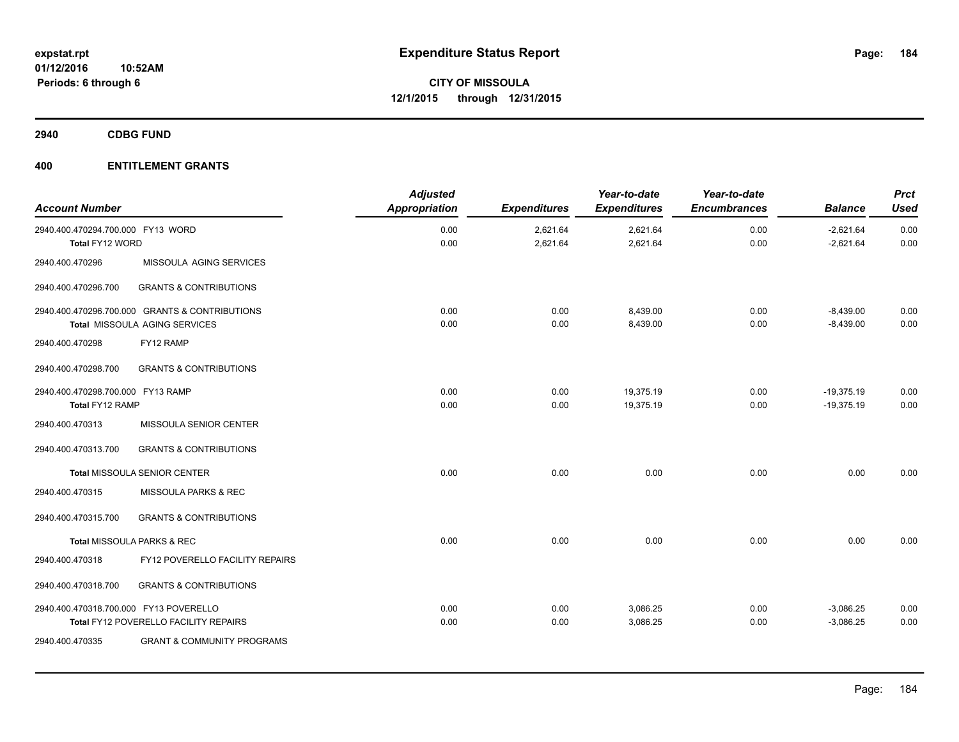**2940 CDBG FUND**

| <b>Account Number</b>                                |                                                                                 | <b>Adjusted</b><br>Appropriation | <b>Expenditures</b>  | Year-to-date<br><b>Expenditures</b> | Year-to-date<br><b>Encumbrances</b> | <b>Balance</b>               | <b>Prct</b><br>Used |
|------------------------------------------------------|---------------------------------------------------------------------------------|----------------------------------|----------------------|-------------------------------------|-------------------------------------|------------------------------|---------------------|
| 2940.400.470294.700.000 FY13 WORD<br>Total FY12 WORD |                                                                                 | 0.00<br>0.00                     | 2,621.64<br>2,621.64 | 2,621.64<br>2,621.64                | 0.00<br>0.00                        | $-2,621.64$<br>$-2,621.64$   | 0.00<br>0.00        |
| 2940.400.470296                                      | MISSOULA AGING SERVICES                                                         |                                  |                      |                                     |                                     |                              |                     |
| 2940.400.470296.700                                  | <b>GRANTS &amp; CONTRIBUTIONS</b>                                               |                                  |                      |                                     |                                     |                              |                     |
|                                                      | 2940.400.470296.700.000 GRANTS & CONTRIBUTIONS<br>Total MISSOULA AGING SERVICES | 0.00<br>0.00                     | 0.00<br>0.00         | 8,439.00<br>8,439.00                | 0.00<br>0.00                        | $-8,439.00$<br>$-8,439.00$   | 0.00<br>0.00        |
| 2940.400.470298                                      | FY12 RAMP                                                                       |                                  |                      |                                     |                                     |                              |                     |
| 2940.400.470298.700                                  | <b>GRANTS &amp; CONTRIBUTIONS</b>                                               |                                  |                      |                                     |                                     |                              |                     |
| 2940.400.470298.700.000 FY13 RAMP<br>Total FY12 RAMP |                                                                                 | 0.00<br>0.00                     | 0.00<br>0.00         | 19,375.19<br>19,375.19              | 0.00<br>0.00                        | $-19,375.19$<br>$-19,375.19$ | 0.00<br>0.00        |
| 2940.400.470313                                      | MISSOULA SENIOR CENTER                                                          |                                  |                      |                                     |                                     |                              |                     |
| 2940.400.470313.700                                  | <b>GRANTS &amp; CONTRIBUTIONS</b>                                               |                                  |                      |                                     |                                     |                              |                     |
|                                                      | <b>Total MISSOULA SENIOR CENTER</b>                                             | 0.00                             | 0.00                 | 0.00                                | 0.00                                | 0.00                         | 0.00                |
| 2940.400.470315                                      | MISSOULA PARKS & REC                                                            |                                  |                      |                                     |                                     |                              |                     |
| 2940.400.470315.700                                  | <b>GRANTS &amp; CONTRIBUTIONS</b>                                               |                                  |                      |                                     |                                     |                              |                     |
|                                                      | Total MISSOULA PARKS & REC                                                      | 0.00                             | 0.00                 | 0.00                                | 0.00                                | 0.00                         | 0.00                |
| 2940.400.470318                                      | FY12 POVERELLO FACILITY REPAIRS                                                 |                                  |                      |                                     |                                     |                              |                     |
| 2940.400.470318.700                                  | <b>GRANTS &amp; CONTRIBUTIONS</b>                                               |                                  |                      |                                     |                                     |                              |                     |
| 2940.400.470318.700.000 FY13 POVERELLO               | Total FY12 POVERELLO FACILITY REPAIRS                                           | 0.00<br>0.00                     | 0.00<br>0.00         | 3,086.25<br>3,086.25                | 0.00<br>0.00                        | $-3,086.25$<br>$-3,086.25$   | 0.00<br>0.00        |
| 2940.400.470335                                      | <b>GRANT &amp; COMMUNITY PROGRAMS</b>                                           |                                  |                      |                                     |                                     |                              |                     |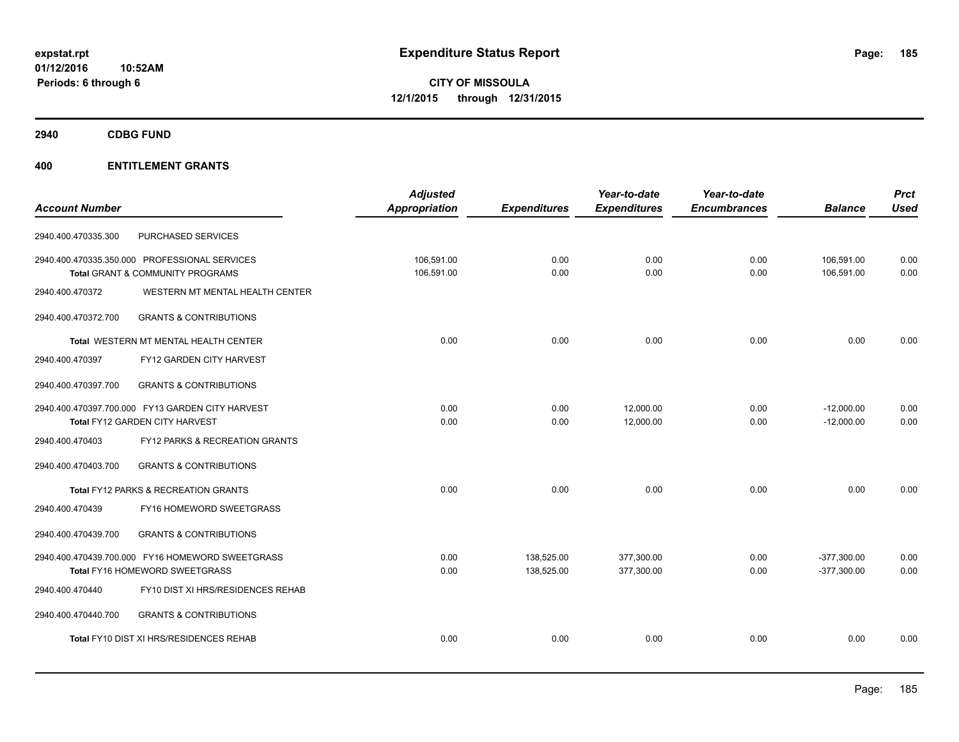**2940 CDBG FUND**

|                                                          | <b>Adjusted</b> |                     | Year-to-date        | Year-to-date        |                | <b>Prct</b> |
|----------------------------------------------------------|-----------------|---------------------|---------------------|---------------------|----------------|-------------|
| <b>Account Number</b>                                    | Appropriation   | <b>Expenditures</b> | <b>Expenditures</b> | <b>Encumbrances</b> | <b>Balance</b> | <b>Used</b> |
| PURCHASED SERVICES<br>2940.400.470335.300                |                 |                     |                     |                     |                |             |
| 2940.400.470335.350.000 PROFESSIONAL SERVICES            | 106,591.00      | 0.00                | 0.00                | 0.00                | 106,591.00     | 0.00        |
| Total GRANT & COMMUNITY PROGRAMS                         | 106,591.00      | 0.00                | 0.00                | 0.00                | 106,591.00     | 0.00        |
| WESTERN MT MENTAL HEALTH CENTER<br>2940.400.470372       |                 |                     |                     |                     |                |             |
| <b>GRANTS &amp; CONTRIBUTIONS</b><br>2940.400.470372.700 |                 |                     |                     |                     |                |             |
| Total WESTERN MT MENTAL HEALTH CENTER                    | 0.00            | 0.00                | 0.00                | 0.00                | 0.00           | 0.00        |
| 2940.400.470397<br>FY12 GARDEN CITY HARVEST              |                 |                     |                     |                     |                |             |
| <b>GRANTS &amp; CONTRIBUTIONS</b><br>2940.400.470397.700 |                 |                     |                     |                     |                |             |
| 2940.400.470397.700.000 FY13 GARDEN CITY HARVEST         | 0.00            | 0.00                | 12,000.00           | 0.00                | $-12,000.00$   | 0.00        |
| Total FY12 GARDEN CITY HARVEST                           | 0.00            | 0.00                | 12,000.00           | 0.00                | $-12,000.00$   | 0.00        |
| 2940.400.470403<br>FY12 PARKS & RECREATION GRANTS        |                 |                     |                     |                     |                |             |
| <b>GRANTS &amp; CONTRIBUTIONS</b><br>2940.400.470403.700 |                 |                     |                     |                     |                |             |
| Total FY12 PARKS & RECREATION GRANTS                     | 0.00            | 0.00                | 0.00                | 0.00                | 0.00           | 0.00        |
| 2940.400.470439<br>FY16 HOMEWORD SWEETGRASS              |                 |                     |                     |                     |                |             |
| <b>GRANTS &amp; CONTRIBUTIONS</b><br>2940.400.470439.700 |                 |                     |                     |                     |                |             |
| 2940.400.470439.700.000 FY16 HOMEWORD SWEETGRASS         | 0.00            | 138,525.00          | 377,300.00          | 0.00                | $-377,300.00$  | 0.00        |
| Total FY16 HOMEWORD SWEETGRASS                           | 0.00            | 138,525.00          | 377,300.00          | 0.00                | $-377,300.00$  | 0.00        |
| FY10 DIST XI HRS/RESIDENCES REHAB<br>2940.400.470440     |                 |                     |                     |                     |                |             |
| 2940.400.470440.700<br><b>GRANTS &amp; CONTRIBUTIONS</b> |                 |                     |                     |                     |                |             |
| Total FY10 DIST XI HRS/RESIDENCES REHAB                  | 0.00            | 0.00                | 0.00                | 0.00                | 0.00           | 0.00        |
|                                                          |                 |                     |                     |                     |                |             |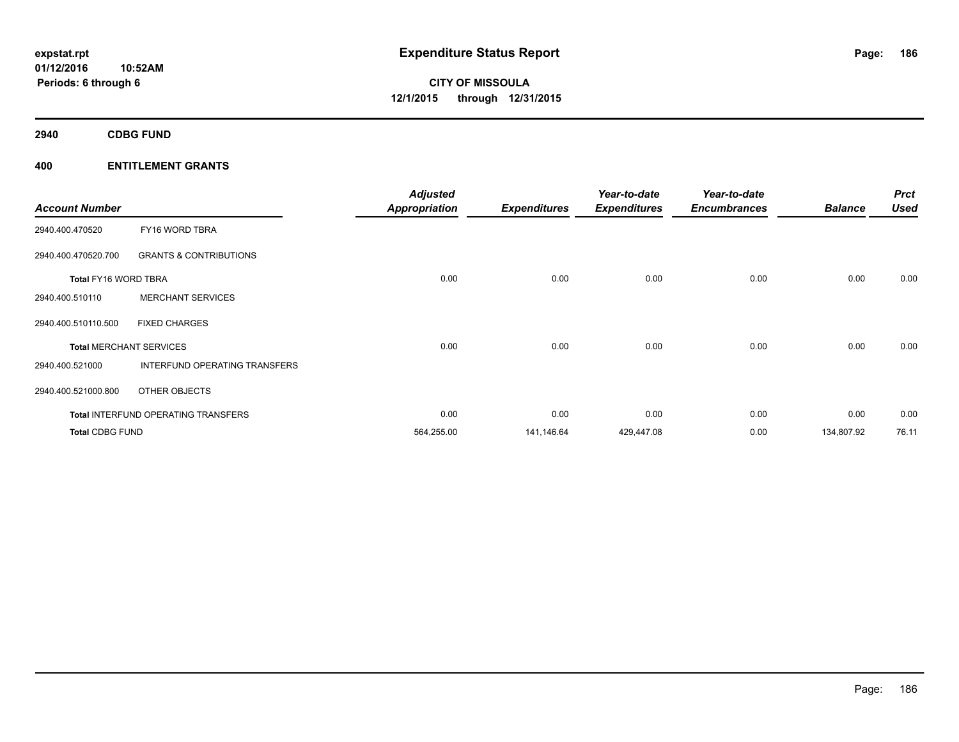**2940 CDBG FUND**

| <b>Account Number</b>  |                                            | <b>Adjusted</b><br><b>Appropriation</b> | <b>Expenditures</b> | Year-to-date<br><b>Expenditures</b> | Year-to-date<br><b>Encumbrances</b> | <b>Balance</b> | <b>Prct</b><br><b>Used</b> |
|------------------------|--------------------------------------------|-----------------------------------------|---------------------|-------------------------------------|-------------------------------------|----------------|----------------------------|
| 2940.400.470520        | FY16 WORD TBRA                             |                                         |                     |                                     |                                     |                |                            |
| 2940.400.470520.700    | <b>GRANTS &amp; CONTRIBUTIONS</b>          |                                         |                     |                                     |                                     |                |                            |
| Total FY16 WORD TBRA   |                                            | 0.00                                    | 0.00                | 0.00                                | 0.00                                | 0.00           | 0.00                       |
| 2940.400.510110        | <b>MERCHANT SERVICES</b>                   |                                         |                     |                                     |                                     |                |                            |
| 2940.400.510110.500    | <b>FIXED CHARGES</b>                       |                                         |                     |                                     |                                     |                |                            |
|                        | <b>Total MERCHANT SERVICES</b>             | 0.00                                    | 0.00                | 0.00                                | 0.00                                | 0.00           | 0.00                       |
| 2940.400.521000        | INTERFUND OPERATING TRANSFERS              |                                         |                     |                                     |                                     |                |                            |
| 2940.400.521000.800    | OTHER OBJECTS                              |                                         |                     |                                     |                                     |                |                            |
|                        | <b>Total INTERFUND OPERATING TRANSFERS</b> | 0.00                                    | 0.00                | 0.00                                | 0.00                                | 0.00           | 0.00                       |
| <b>Total CDBG FUND</b> |                                            | 564,255.00                              | 141,146.64          | 429,447.08                          | 0.00                                | 134,807.92     | 76.11                      |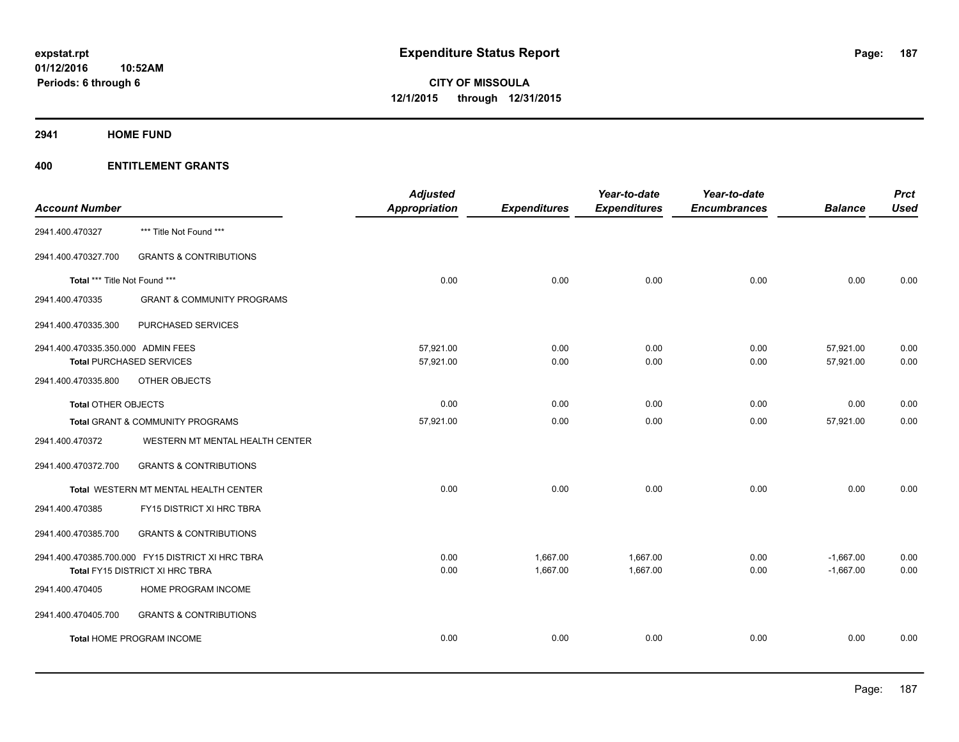**2941 HOME FUND**

|                                    |                                                   | <b>Adjusted</b>      |                     | Year-to-date        | Year-to-date        |                | <b>Prct</b> |
|------------------------------------|---------------------------------------------------|----------------------|---------------------|---------------------|---------------------|----------------|-------------|
| <b>Account Number</b>              |                                                   | <b>Appropriation</b> | <b>Expenditures</b> | <b>Expenditures</b> | <b>Encumbrances</b> | <b>Balance</b> | <b>Used</b> |
| 2941.400.470327                    | *** Title Not Found ***                           |                      |                     |                     |                     |                |             |
| 2941.400.470327.700                | <b>GRANTS &amp; CONTRIBUTIONS</b>                 |                      |                     |                     |                     |                |             |
| Total *** Title Not Found ***      |                                                   | 0.00                 | 0.00                | 0.00                | 0.00                | 0.00           | 0.00        |
| 2941.400.470335                    | <b>GRANT &amp; COMMUNITY PROGRAMS</b>             |                      |                     |                     |                     |                |             |
| 2941.400.470335.300                | PURCHASED SERVICES                                |                      |                     |                     |                     |                |             |
| 2941.400.470335.350.000 ADMIN FEES |                                                   | 57,921.00            | 0.00                | 0.00                | 0.00                | 57,921.00      | 0.00        |
|                                    | <b>Total PURCHASED SERVICES</b>                   | 57,921.00            | 0.00                | 0.00                | 0.00                | 57,921.00      | 0.00        |
| 2941.400.470335.800                | OTHER OBJECTS                                     |                      |                     |                     |                     |                |             |
| <b>Total OTHER OBJECTS</b>         |                                                   | 0.00                 | 0.00                | 0.00                | 0.00                | 0.00           | 0.00        |
|                                    | Total GRANT & COMMUNITY PROGRAMS                  | 57,921.00            | 0.00                | 0.00                | 0.00                | 57,921.00      | 0.00        |
| 2941.400.470372                    | WESTERN MT MENTAL HEALTH CENTER                   |                      |                     |                     |                     |                |             |
| 2941.400.470372.700                | <b>GRANTS &amp; CONTRIBUTIONS</b>                 |                      |                     |                     |                     |                |             |
|                                    | Total WESTERN MT MENTAL HEALTH CENTER             | 0.00                 | 0.00                | 0.00                | 0.00                | 0.00           | 0.00        |
| 2941.400.470385                    | FY15 DISTRICT XI HRC TBRA                         |                      |                     |                     |                     |                |             |
| 2941.400.470385.700                | <b>GRANTS &amp; CONTRIBUTIONS</b>                 |                      |                     |                     |                     |                |             |
|                                    | 2941.400.470385.700.000 FY15 DISTRICT XI HRC TBRA | 0.00                 | 1,667.00            | 1,667.00            | 0.00                | $-1,667.00$    | 0.00        |
|                                    | Total FY15 DISTRICT XI HRC TBRA                   | 0.00                 | 1,667.00            | 1,667.00            | 0.00                | $-1,667.00$    | 0.00        |
| 2941.400.470405                    | HOME PROGRAM INCOME                               |                      |                     |                     |                     |                |             |
| 2941.400.470405.700                | <b>GRANTS &amp; CONTRIBUTIONS</b>                 |                      |                     |                     |                     |                |             |
|                                    | <b>Total HOME PROGRAM INCOME</b>                  | 0.00                 | 0.00                | 0.00                | 0.00                | 0.00           | 0.00        |
|                                    |                                                   |                      |                     |                     |                     |                |             |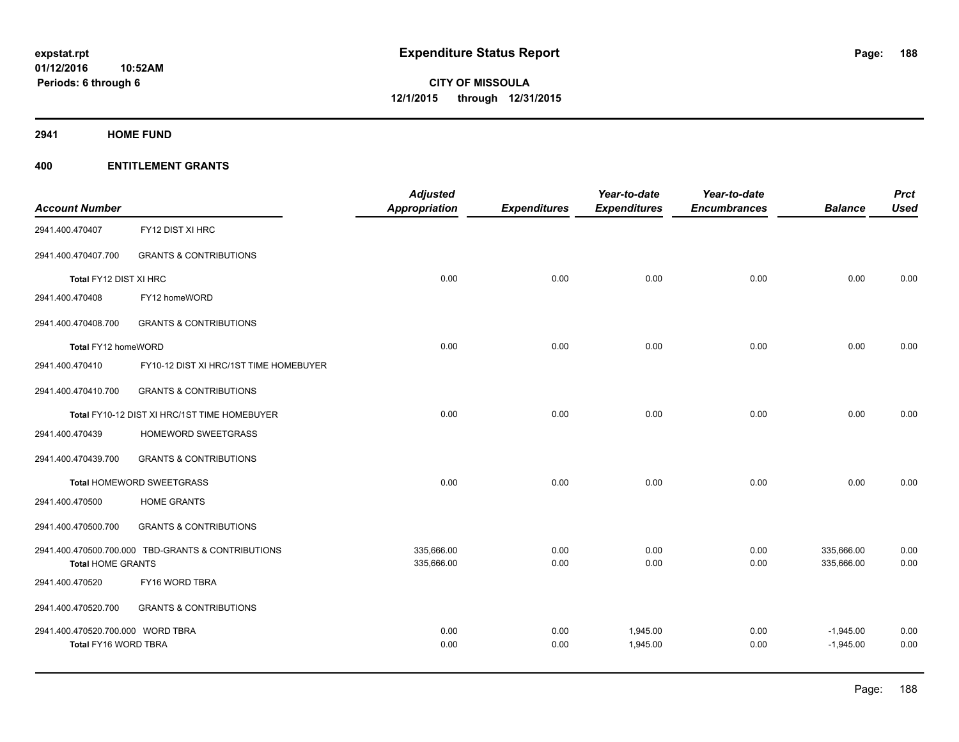**2941 HOME FUND**

| <b>Account Number</b>             |                                                    | <b>Adjusted</b><br><b>Appropriation</b> | <b>Expenditures</b> | Year-to-date<br><b>Expenditures</b> | Year-to-date<br><b>Encumbrances</b> | <b>Balance</b> | <b>Prct</b><br><b>Used</b> |
|-----------------------------------|----------------------------------------------------|-----------------------------------------|---------------------|-------------------------------------|-------------------------------------|----------------|----------------------------|
| 2941.400.470407                   | FY12 DIST XI HRC                                   |                                         |                     |                                     |                                     |                |                            |
| 2941.400.470407.700               | <b>GRANTS &amp; CONTRIBUTIONS</b>                  |                                         |                     |                                     |                                     |                |                            |
| Total FY12 DIST XI HRC            |                                                    | 0.00                                    | 0.00                | 0.00                                | 0.00                                | 0.00           | 0.00                       |
| 2941.400.470408                   | FY12 homeWORD                                      |                                         |                     |                                     |                                     |                |                            |
| 2941.400.470408.700               | <b>GRANTS &amp; CONTRIBUTIONS</b>                  |                                         |                     |                                     |                                     |                |                            |
| Total FY12 homeWORD               |                                                    | 0.00                                    | 0.00                | 0.00                                | 0.00                                | 0.00           | 0.00                       |
| 2941.400.470410                   | FY10-12 DIST XI HRC/1ST TIME HOMEBUYER             |                                         |                     |                                     |                                     |                |                            |
| 2941.400.470410.700               | <b>GRANTS &amp; CONTRIBUTIONS</b>                  |                                         |                     |                                     |                                     |                |                            |
|                                   | Total FY10-12 DIST XI HRC/1ST TIME HOMEBUYER       | 0.00                                    | 0.00                | 0.00                                | 0.00                                | 0.00           | 0.00                       |
| 2941.400.470439                   | HOMEWORD SWEETGRASS                                |                                         |                     |                                     |                                     |                |                            |
| 2941.400.470439.700               | <b>GRANTS &amp; CONTRIBUTIONS</b>                  |                                         |                     |                                     |                                     |                |                            |
|                                   | Total HOMEWORD SWEETGRASS                          | 0.00                                    | 0.00                | 0.00                                | 0.00                                | 0.00           | 0.00                       |
| 2941.400.470500                   | <b>HOME GRANTS</b>                                 |                                         |                     |                                     |                                     |                |                            |
| 2941.400.470500.700               | <b>GRANTS &amp; CONTRIBUTIONS</b>                  |                                         |                     |                                     |                                     |                |                            |
|                                   | 2941.400.470500.700.000 TBD-GRANTS & CONTRIBUTIONS | 335,666.00                              | 0.00                | 0.00                                | 0.00                                | 335,666.00     | 0.00                       |
| <b>Total HOME GRANTS</b>          |                                                    | 335,666.00                              | 0.00                | 0.00                                | 0.00                                | 335,666.00     | 0.00                       |
| 2941.400.470520                   | FY16 WORD TBRA                                     |                                         |                     |                                     |                                     |                |                            |
| 2941.400.470520.700               | <b>GRANTS &amp; CONTRIBUTIONS</b>                  |                                         |                     |                                     |                                     |                |                            |
| 2941.400.470520.700.000 WORD TBRA |                                                    | 0.00                                    | 0.00                | 1,945.00                            | 0.00                                | $-1,945.00$    | 0.00                       |
| Total FY16 WORD TBRA              |                                                    | 0.00                                    | 0.00                | 1,945.00                            | 0.00                                | $-1,945.00$    | 0.00                       |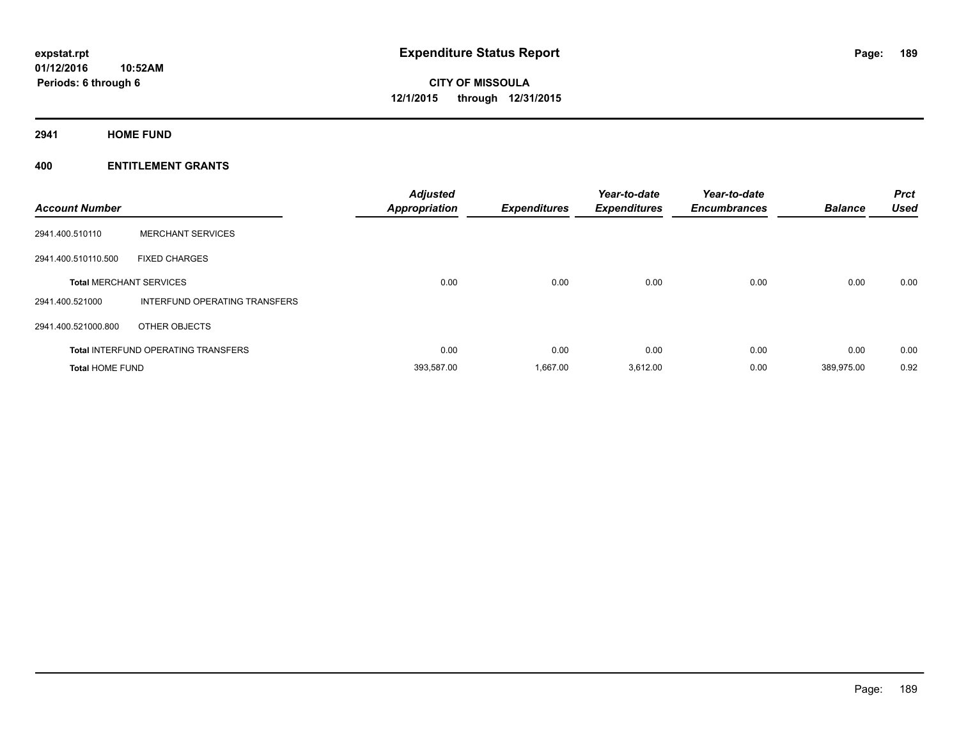**2941 HOME FUND**

| <b>Account Number</b>  |                                            | <b>Adjusted</b><br>Appropriation | <b>Expenditures</b> | Year-to-date<br><b>Expenditures</b> | Year-to-date<br><b>Encumbrances</b> | <b>Balance</b> | <b>Prct</b><br><b>Used</b> |
|------------------------|--------------------------------------------|----------------------------------|---------------------|-------------------------------------|-------------------------------------|----------------|----------------------------|
| 2941.400.510110        | <b>MERCHANT SERVICES</b>                   |                                  |                     |                                     |                                     |                |                            |
| 2941.400.510110.500    | <b>FIXED CHARGES</b>                       |                                  |                     |                                     |                                     |                |                            |
|                        | <b>Total MERCHANT SERVICES</b>             | 0.00                             | 0.00                | 0.00                                | 0.00                                | 0.00           | 0.00                       |
| 2941.400.521000        | INTERFUND OPERATING TRANSFERS              |                                  |                     |                                     |                                     |                |                            |
| 2941.400.521000.800    | OTHER OBJECTS                              |                                  |                     |                                     |                                     |                |                            |
|                        | <b>Total INTERFUND OPERATING TRANSFERS</b> | 0.00                             | 0.00                | 0.00                                | 0.00                                | 0.00           | 0.00                       |
| <b>Total HOME FUND</b> |                                            | 393,587.00                       | 1.667.00            | 3,612.00                            | 0.00                                | 389.975.00     | 0.92                       |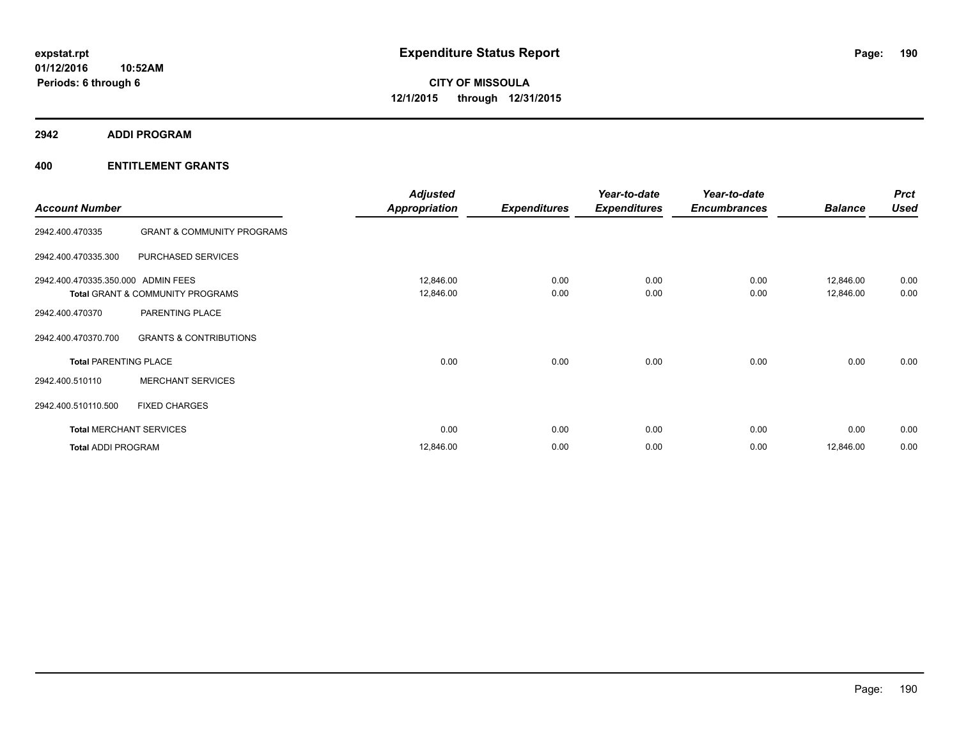**2942 ADDI PROGRAM**

|                                    |                                             | <b>Adjusted</b>      |                     | Year-to-date        | Year-to-date        |                | <b>Prct</b> |
|------------------------------------|---------------------------------------------|----------------------|---------------------|---------------------|---------------------|----------------|-------------|
| <b>Account Number</b>              |                                             | <b>Appropriation</b> | <b>Expenditures</b> | <b>Expenditures</b> | <b>Encumbrances</b> | <b>Balance</b> | <b>Used</b> |
| 2942.400.470335                    | <b>GRANT &amp; COMMUNITY PROGRAMS</b>       |                      |                     |                     |                     |                |             |
| 2942.400.470335.300                | <b>PURCHASED SERVICES</b>                   |                      |                     |                     |                     |                |             |
| 2942.400.470335.350.000 ADMIN FEES |                                             | 12,846.00            | 0.00                | 0.00                | 0.00                | 12,846.00      | 0.00        |
|                                    | <b>Total GRANT &amp; COMMUNITY PROGRAMS</b> | 12,846.00            | 0.00                | 0.00                | 0.00                | 12,846.00      | 0.00        |
| 2942.400.470370                    | PARENTING PLACE                             |                      |                     |                     |                     |                |             |
| 2942.400.470370.700                | <b>GRANTS &amp; CONTRIBUTIONS</b>           |                      |                     |                     |                     |                |             |
| <b>Total PARENTING PLACE</b>       |                                             | 0.00                 | 0.00                | 0.00                | 0.00                | 0.00           | 0.00        |
| 2942.400.510110                    | <b>MERCHANT SERVICES</b>                    |                      |                     |                     |                     |                |             |
| 2942.400.510110.500                | <b>FIXED CHARGES</b>                        |                      |                     |                     |                     |                |             |
|                                    | <b>Total MERCHANT SERVICES</b>              | 0.00                 | 0.00                | 0.00                | 0.00                | 0.00           | 0.00        |
| <b>Total ADDI PROGRAM</b>          |                                             | 12,846.00            | 0.00                | 0.00                | 0.00                | 12,846.00      | 0.00        |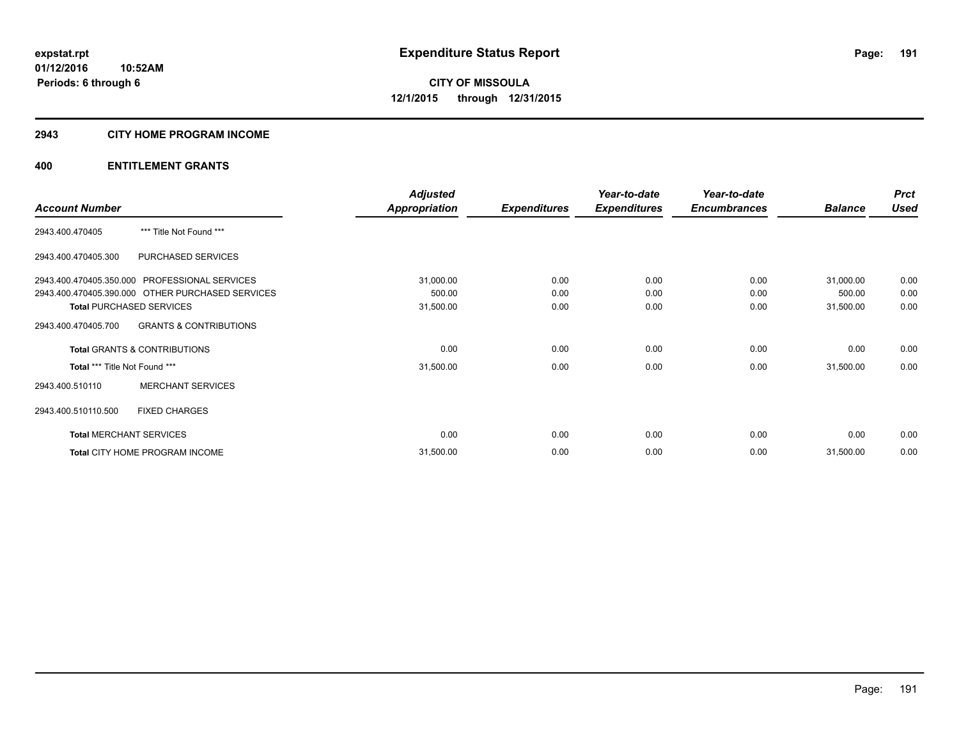#### **2943 CITY HOME PROGRAM INCOME**

|                                |                                                  | <b>Adjusted</b>      |                     | Year-to-date        | Year-to-date        |                | <b>Prct</b> |
|--------------------------------|--------------------------------------------------|----------------------|---------------------|---------------------|---------------------|----------------|-------------|
| <b>Account Number</b>          |                                                  | <b>Appropriation</b> | <b>Expenditures</b> | <b>Expenditures</b> | <b>Encumbrances</b> | <b>Balance</b> | <b>Used</b> |
| 2943.400.470405                | *** Title Not Found ***                          |                      |                     |                     |                     |                |             |
| 2943.400.470405.300            | PURCHASED SERVICES                               |                      |                     |                     |                     |                |             |
|                                | 2943.400.470405.350.000 PROFESSIONAL SERVICES    | 31,000.00            | 0.00                | 0.00                | 0.00                | 31,000.00      | 0.00        |
|                                | 2943.400.470405.390.000 OTHER PURCHASED SERVICES | 500.00               | 0.00                | 0.00                | 0.00                | 500.00         | 0.00        |
|                                | <b>Total PURCHASED SERVICES</b>                  | 31,500.00            | 0.00                | 0.00                | 0.00                | 31,500.00      | 0.00        |
| 2943.400.470405.700            | <b>GRANTS &amp; CONTRIBUTIONS</b>                |                      |                     |                     |                     |                |             |
|                                | <b>Total GRANTS &amp; CONTRIBUTIONS</b>          | 0.00                 | 0.00                | 0.00                | 0.00                | 0.00           | 0.00        |
| Total *** Title Not Found ***  |                                                  | 31,500.00            | 0.00                | 0.00                | 0.00                | 31,500.00      | 0.00        |
| 2943.400.510110                | <b>MERCHANT SERVICES</b>                         |                      |                     |                     |                     |                |             |
| 2943.400.510110.500            | <b>FIXED CHARGES</b>                             |                      |                     |                     |                     |                |             |
| <b>Total MERCHANT SERVICES</b> |                                                  | 0.00                 | 0.00                | 0.00                | 0.00                | 0.00           | 0.00        |
|                                | Total CITY HOME PROGRAM INCOME                   | 31,500.00            | 0.00                | 0.00                | 0.00                | 31,500.00      | 0.00        |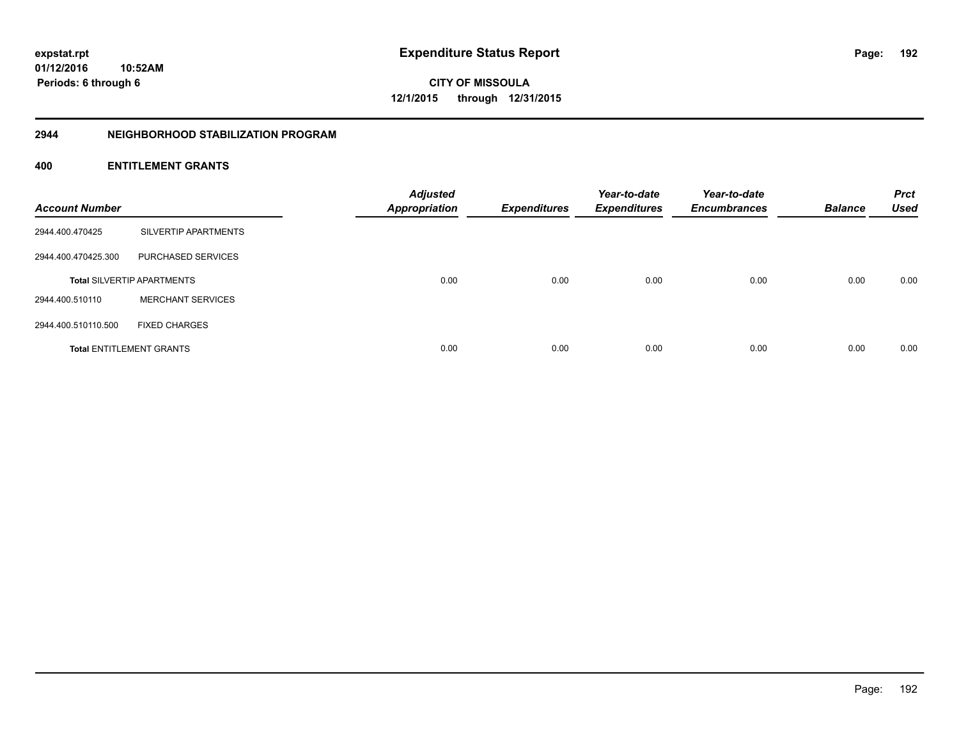**CITY OF MISSOULA 12/1/2015 through 12/31/2015**

#### **2944 NEIGHBORHOOD STABILIZATION PROGRAM**

| <b>Account Number</b> |                                   | <b>Adjusted</b><br><b>Appropriation</b> | <b>Expenditures</b> | Year-to-date<br><b>Expenditures</b> | Year-to-date<br><b>Encumbrances</b> | <b>Balance</b> | <b>Prct</b><br><b>Used</b> |
|-----------------------|-----------------------------------|-----------------------------------------|---------------------|-------------------------------------|-------------------------------------|----------------|----------------------------|
| 2944.400.470425       | SILVERTIP APARTMENTS              |                                         |                     |                                     |                                     |                |                            |
| 2944.400.470425.300   | PURCHASED SERVICES                |                                         |                     |                                     |                                     |                |                            |
|                       | <b>Total SILVERTIP APARTMENTS</b> | 0.00                                    | 0.00                | 0.00                                | 0.00                                | 0.00           | 0.00                       |
| 2944.400.510110       | <b>MERCHANT SERVICES</b>          |                                         |                     |                                     |                                     |                |                            |
| 2944.400.510110.500   | <b>FIXED CHARGES</b>              |                                         |                     |                                     |                                     |                |                            |
|                       | <b>Total ENTITLEMENT GRANTS</b>   | 0.00                                    | 0.00                | 0.00                                | 0.00                                | 0.00           | 0.00                       |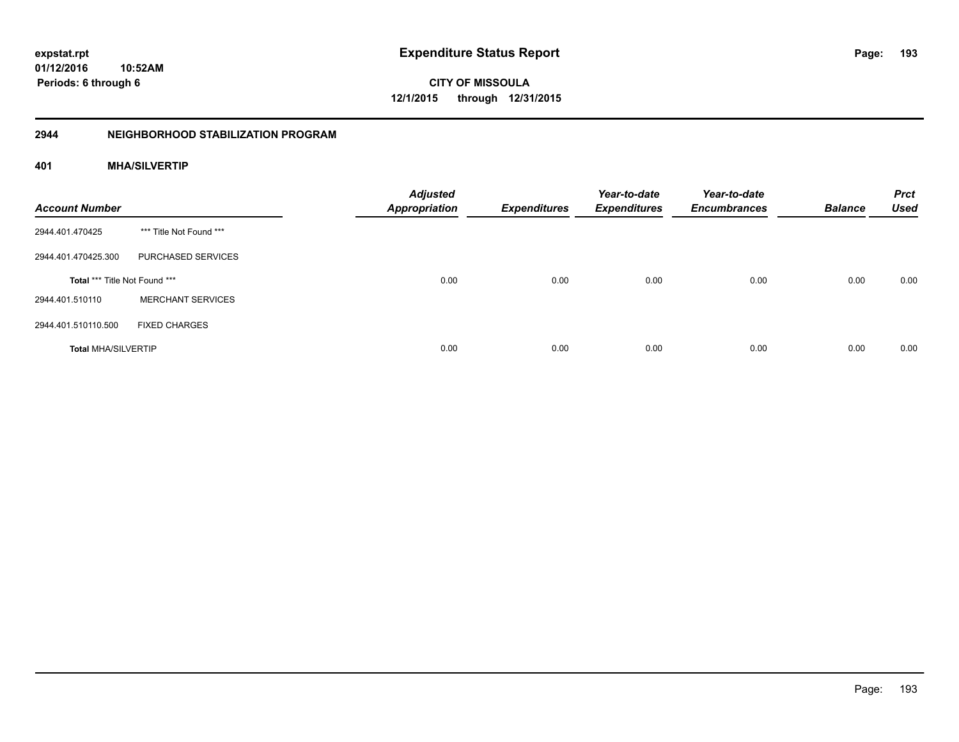**CITY OF MISSOULA 12/1/2015 through 12/31/2015**

#### **2944 NEIGHBORHOOD STABILIZATION PROGRAM**

# **401 MHA/SILVERTIP**

| <b>Account Number</b>         |                          | <b>Adjusted</b><br><b>Appropriation</b> | <b>Expenditures</b> | Year-to-date<br><b>Expenditures</b> | Year-to-date<br><b>Encumbrances</b> | <b>Balance</b> | <b>Prct</b><br><b>Used</b> |
|-------------------------------|--------------------------|-----------------------------------------|---------------------|-------------------------------------|-------------------------------------|----------------|----------------------------|
| 2944.401.470425               | *** Title Not Found ***  |                                         |                     |                                     |                                     |                |                            |
| 2944.401.470425.300           | PURCHASED SERVICES       |                                         |                     |                                     |                                     |                |                            |
| Total *** Title Not Found *** |                          | 0.00                                    | 0.00                | 0.00                                | 0.00                                | 0.00           | 0.00                       |
| 2944.401.510110               | <b>MERCHANT SERVICES</b> |                                         |                     |                                     |                                     |                |                            |
| 2944.401.510110.500           | <b>FIXED CHARGES</b>     |                                         |                     |                                     |                                     |                |                            |
| <b>Total MHA/SILVERTIP</b>    |                          | 0.00                                    | 0.00                | 0.00                                | 0.00                                | 0.00           | 0.00                       |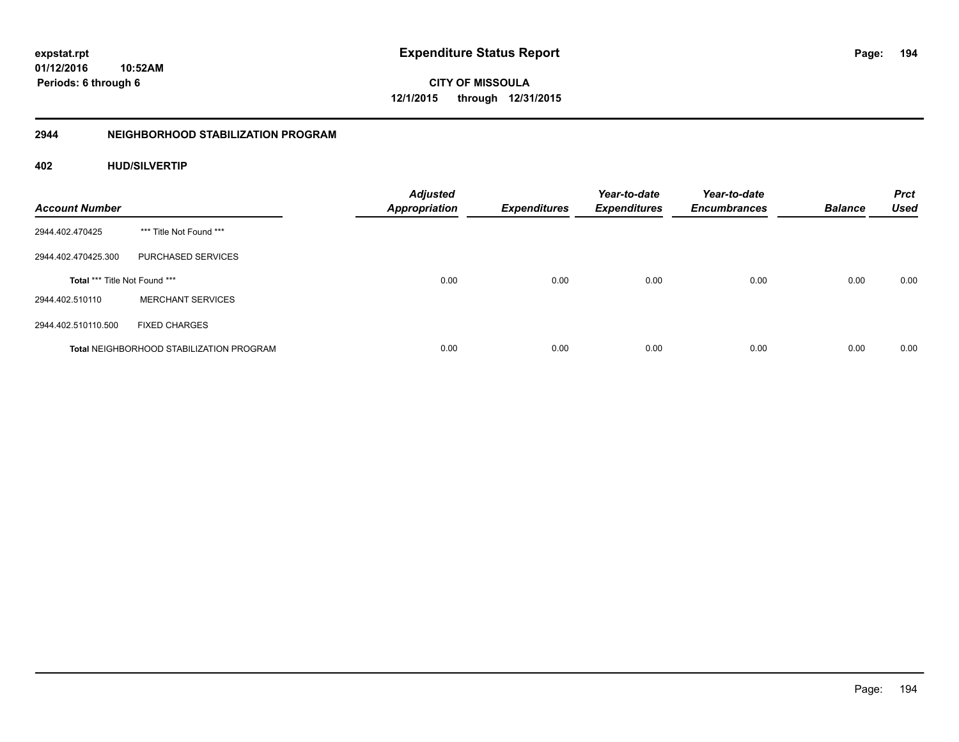**CITY OF MISSOULA 12/1/2015 through 12/31/2015**

#### **2944 NEIGHBORHOOD STABILIZATION PROGRAM**

# **402 HUD/SILVERTIP**

| <b>Account Number</b>                |                                                 | <b>Adjusted</b><br><b>Appropriation</b> | <b>Expenditures</b> | Year-to-date<br><b>Expenditures</b> | Year-to-date<br><b>Encumbrances</b> | <b>Balance</b> | <b>Prct</b><br><b>Used</b> |
|--------------------------------------|-------------------------------------------------|-----------------------------------------|---------------------|-------------------------------------|-------------------------------------|----------------|----------------------------|
| 2944.402.470425                      | *** Title Not Found ***                         |                                         |                     |                                     |                                     |                |                            |
| 2944.402.470425.300                  | PURCHASED SERVICES                              |                                         |                     |                                     |                                     |                |                            |
| <b>Total *** Title Not Found ***</b> |                                                 | 0.00                                    | 0.00                | 0.00                                | 0.00                                | 0.00           | 0.00                       |
| 2944.402.510110                      | <b>MERCHANT SERVICES</b>                        |                                         |                     |                                     |                                     |                |                            |
| 2944.402.510110.500                  | <b>FIXED CHARGES</b>                            |                                         |                     |                                     |                                     |                |                            |
|                                      | <b>Total NEIGHBORHOOD STABILIZATION PROGRAM</b> | 0.00                                    | 0.00                | 0.00                                | 0.00                                | 0.00           | 0.00                       |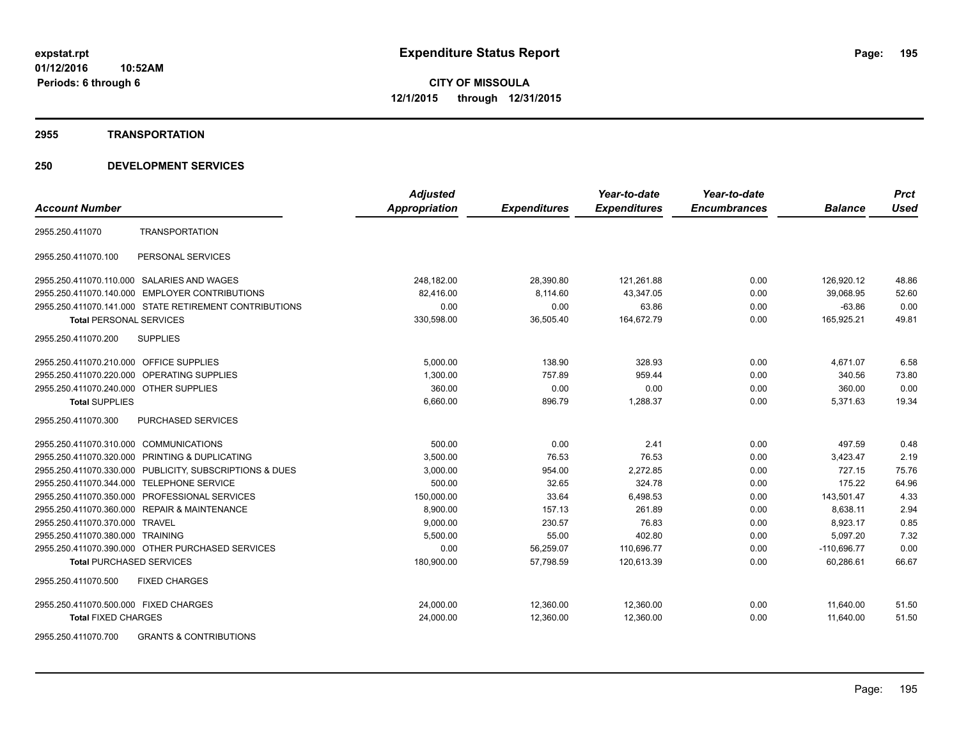#### **2955 TRANSPORTATION**

|                                                            | <b>Adjusted</b> |                     | Year-to-date        | Year-to-date        |                | <b>Prct</b> |
|------------------------------------------------------------|-----------------|---------------------|---------------------|---------------------|----------------|-------------|
| <b>Account Number</b>                                      | Appropriation   | <b>Expenditures</b> | <b>Expenditures</b> | <b>Encumbrances</b> | <b>Balance</b> | <b>Used</b> |
| <b>TRANSPORTATION</b><br>2955.250.411070                   |                 |                     |                     |                     |                |             |
| 2955.250.411070.100<br>PERSONAL SERVICES                   |                 |                     |                     |                     |                |             |
| 2955.250.411070.110.000 SALARIES AND WAGES                 | 248,182.00      | 28,390.80           | 121,261.88          | 0.00                | 126,920.12     | 48.86       |
| <b>EMPLOYER CONTRIBUTIONS</b><br>2955.250.411070.140.000   | 82.416.00       | 8,114.60            | 43.347.05           | 0.00                | 39.068.95      | 52.60       |
| 2955.250.411070.141.000 STATE RETIREMENT CONTRIBUTIONS     | 0.00            | 0.00                | 63.86               | 0.00                | $-63.86$       | 0.00        |
| <b>Total PERSONAL SERVICES</b>                             | 330,598.00      | 36,505.40           | 164,672.79          | 0.00                | 165,925.21     | 49.81       |
| 2955.250.411070.200<br><b>SUPPLIES</b>                     |                 |                     |                     |                     |                |             |
| 2955.250.411070.210.000 OFFICE SUPPLIES                    | 5,000.00        | 138.90              | 328.93              | 0.00                | 4,671.07       | 6.58        |
| 2955.250.411070.220.000<br><b>OPERATING SUPPLIES</b>       | 1,300.00        | 757.89              | 959.44              | 0.00                | 340.56         | 73.80       |
| 2955.250.411070.240.000 OTHER SUPPLIES                     | 360.00          | 0.00                | 0.00                | 0.00                | 360.00         | 0.00        |
| <b>Total SUPPLIES</b>                                      | 6,660.00        | 896.79              | 1,288.37            | 0.00                | 5,371.63       | 19.34       |
| 2955.250.411070.300<br><b>PURCHASED SERVICES</b>           |                 |                     |                     |                     |                |             |
| <b>COMMUNICATIONS</b><br>2955.250.411070.310.000           | 500.00          | 0.00                | 2.41                | 0.00                | 497.59         | 0.48        |
| 2955.250.411070.320.000<br>PRINTING & DUPLICATING          | 3,500.00        | 76.53               | 76.53               | 0.00                | 3,423.47       | 2.19        |
| 2955.250.411070.330.000<br>PUBLICITY, SUBSCRIPTIONS & DUES | 3,000.00        | 954.00              | 2,272.85            | 0.00                | 727.15         | 75.76       |
| <b>TELEPHONE SERVICE</b><br>2955.250.411070.344.000        | 500.00          | 32.65               | 324.78              | 0.00                | 175.22         | 64.96       |
| PROFESSIONAL SERVICES<br>2955.250.411070.350.000           | 150,000.00      | 33.64               | 6,498.53            | 0.00                | 143,501.47     | 4.33        |
| 2955.250.411070.360.000<br><b>REPAIR &amp; MAINTENANCE</b> | 8,900.00        | 157.13              | 261.89              | 0.00                | 8,638.11       | 2.94        |
| 2955.250.411070.370.000 TRAVEL                             | 9,000.00        | 230.57              | 76.83               | 0.00                | 8,923.17       | 0.85        |
| 2955.250.411070.380.000 TRAINING                           | 5,500.00        | 55.00               | 402.80              | 0.00                | 5,097.20       | 7.32        |
| 2955.250.411070.390.000 OTHER PURCHASED SERVICES           | 0.00            | 56,259.07           | 110,696.77          | 0.00                | $-110,696.77$  | 0.00        |
| <b>Total PURCHASED SERVICES</b>                            | 180,900.00      | 57,798.59           | 120,613.39          | 0.00                | 60,286.61      | 66.67       |
| <b>FIXED CHARGES</b><br>2955.250.411070.500                |                 |                     |                     |                     |                |             |
| 2955.250.411070.500.000 FIXED CHARGES                      | 24,000.00       | 12,360.00           | 12,360.00           | 0.00                | 11,640.00      | 51.50       |
| <b>Total FIXED CHARGES</b>                                 | 24,000.00       | 12,360.00           | 12,360.00           | 0.00                | 11,640.00      | 51.50       |
| 2955.250.411070.700<br><b>GRANTS &amp; CONTRIBUTIONS</b>   |                 |                     |                     |                     |                |             |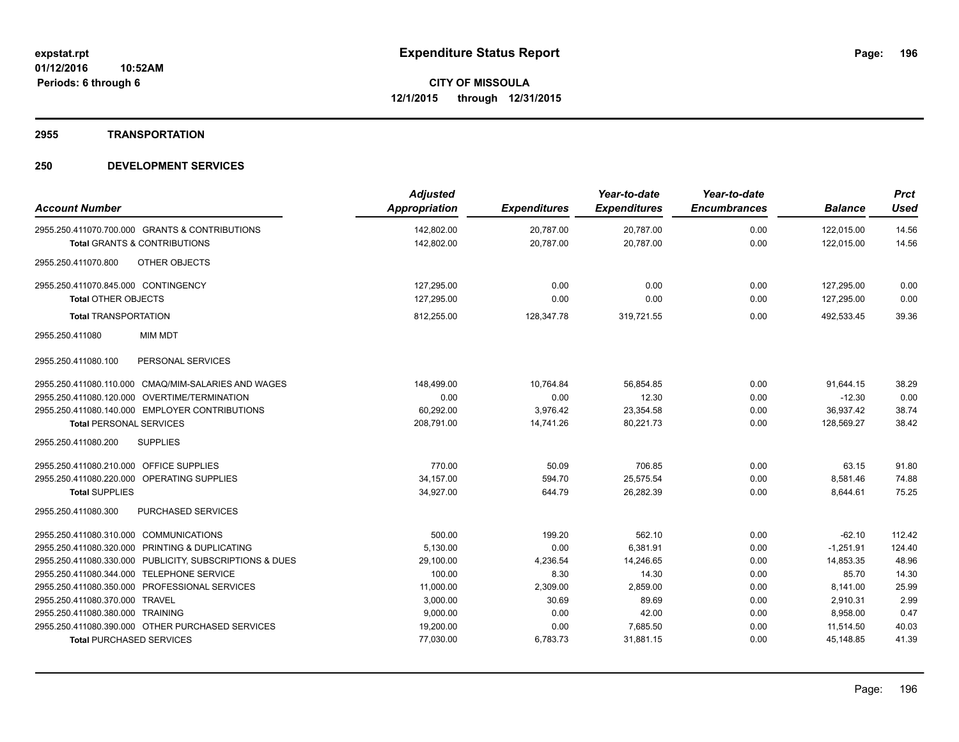# **2955 TRANSPORTATION**

| <b>Account Number</b>                                   | <b>Adjusted</b><br>Appropriation | <b>Expenditures</b> | Year-to-date<br><b>Expenditures</b> | Year-to-date<br><b>Encumbrances</b> | <b>Balance</b> | <b>Prct</b><br><b>Used</b> |
|---------------------------------------------------------|----------------------------------|---------------------|-------------------------------------|-------------------------------------|----------------|----------------------------|
| 2955.250.411070.700.000 GRANTS & CONTRIBUTIONS          | 142,802.00                       | 20,787.00           | 20,787.00                           | 0.00                                | 122,015.00     | 14.56                      |
| <b>Total GRANTS &amp; CONTRIBUTIONS</b>                 | 142,802.00                       | 20,787.00           | 20,787.00                           | 0.00                                | 122,015.00     | 14.56                      |
| <b>OTHER OBJECTS</b><br>2955.250.411070.800             |                                  |                     |                                     |                                     |                |                            |
| 2955.250.411070.845.000 CONTINGENCY                     | 127,295.00                       | 0.00                | 0.00                                | 0.00                                | 127,295.00     | 0.00                       |
| <b>Total OTHER OBJECTS</b>                              | 127,295.00                       | 0.00                | 0.00                                | 0.00                                | 127,295.00     | 0.00                       |
| <b>Total TRANSPORTATION</b>                             | 812,255.00                       | 128,347.78          | 319,721.55                          | 0.00                                | 492,533.45     | 39.36                      |
| <b>MIM MDT</b><br>2955.250.411080                       |                                  |                     |                                     |                                     |                |                            |
| PERSONAL SERVICES<br>2955.250.411080.100                |                                  |                     |                                     |                                     |                |                            |
| 2955.250.411080.110.000 CMAQ/MIM-SALARIES AND WAGES     | 148,499.00                       | 10,764.84           | 56.854.85                           | 0.00                                | 91.644.15      | 38.29                      |
| 2955.250.411080.120.000 OVERTIME/TERMINATION            | 0.00                             | 0.00                | 12.30                               | 0.00                                | $-12.30$       | 0.00                       |
| 2955.250.411080.140.000 EMPLOYER CONTRIBUTIONS          | 60,292.00                        | 3,976.42            | 23,354.58                           | 0.00                                | 36,937.42      | 38.74                      |
| <b>Total PERSONAL SERVICES</b>                          | 208,791.00                       | 14,741.26           | 80,221.73                           | 0.00                                | 128,569.27     | 38.42                      |
| <b>SUPPLIES</b><br>2955.250.411080.200                  |                                  |                     |                                     |                                     |                |                            |
| 2955.250.411080.210.000 OFFICE SUPPLIES                 | 770.00                           | 50.09               | 706.85                              | 0.00                                | 63.15          | 91.80                      |
| 2955.250.411080.220.000 OPERATING SUPPLIES              | 34,157.00                        | 594.70              | 25.575.54                           | 0.00                                | 8,581.46       | 74.88                      |
| <b>Total SUPPLIES</b>                                   | 34,927.00                        | 644.79              | 26.282.39                           | 0.00                                | 8,644.61       | 75.25                      |
| <b>PURCHASED SERVICES</b><br>2955.250.411080.300        |                                  |                     |                                     |                                     |                |                            |
| 2955.250.411080.310.000 COMMUNICATIONS                  | 500.00                           | 199.20              | 562.10                              | 0.00                                | $-62.10$       | 112.42                     |
| 2955.250.411080.320.000 PRINTING & DUPLICATING          | 5,130.00                         | 0.00                | 6,381.91                            | 0.00                                | $-1.251.91$    | 124.40                     |
| 2955.250.411080.330.000 PUBLICITY, SUBSCRIPTIONS & DUES | 29,100.00                        | 4,236.54            | 14,246.65                           | 0.00                                | 14,853.35      | 48.96                      |
| 2955.250.411080.344.000 TELEPHONE SERVICE               | 100.00                           | 8.30                | 14.30                               | 0.00                                | 85.70          | 14.30                      |
| 2955.250.411080.350.000 PROFESSIONAL SERVICES           | 11,000.00                        | 2,309.00            | 2,859.00                            | 0.00                                | 8,141.00       | 25.99                      |
| 2955.250.411080.370.000 TRAVEL                          | 3,000.00                         | 30.69               | 89.69                               | 0.00                                | 2,910.31       | 2.99                       |
| 2955.250.411080.380.000 TRAINING                        | 9,000.00                         | 0.00                | 42.00                               | 0.00                                | 8,958.00       | 0.47                       |
| 2955.250.411080.390.000 OTHER PURCHASED SERVICES        | 19,200.00                        | 0.00                | 7,685.50                            | 0.00                                | 11,514.50      | 40.03                      |
| <b>Total PURCHASED SERVICES</b>                         | 77,030.00                        | 6,783.73            | 31,881.15                           | 0.00                                | 45.148.85      | 41.39                      |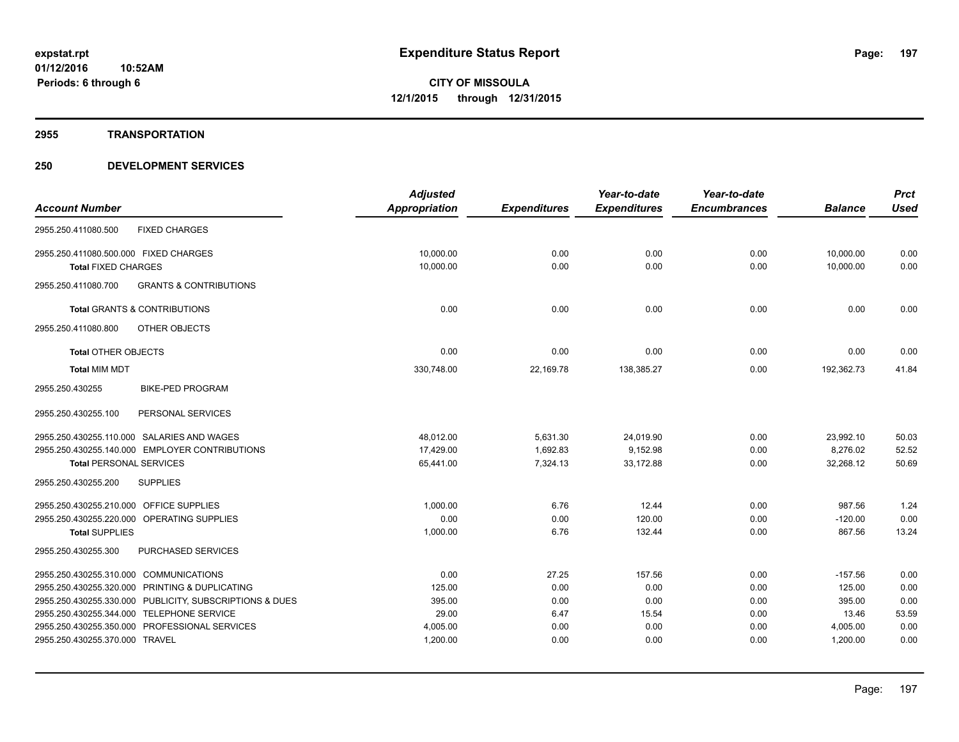#### **2955 TRANSPORTATION**

|                                                                                 | <b>Adjusted</b>      |                     | Year-to-date        | Year-to-date        |                      | <b>Prct</b>  |
|---------------------------------------------------------------------------------|----------------------|---------------------|---------------------|---------------------|----------------------|--------------|
| <b>Account Number</b>                                                           | Appropriation        | <b>Expenditures</b> | <b>Expenditures</b> | <b>Encumbrances</b> | <b>Balance</b>       | <b>Used</b>  |
| 2955.250.411080.500<br><b>FIXED CHARGES</b>                                     |                      |                     |                     |                     |                      |              |
| 2955.250.411080.500.000 FIXED CHARGES                                           | 10,000.00            | 0.00                | 0.00                | 0.00                | 10,000.00            | 0.00         |
| <b>Total FIXED CHARGES</b>                                                      | 10,000.00            | 0.00                | 0.00                | 0.00                | 10,000.00            | 0.00         |
| 2955.250.411080.700<br><b>GRANTS &amp; CONTRIBUTIONS</b>                        |                      |                     |                     |                     |                      |              |
| Total GRANTS & CONTRIBUTIONS                                                    | 0.00                 | 0.00                | 0.00                | 0.00                | 0.00                 | 0.00         |
| 2955.250.411080.800<br>OTHER OBJECTS                                            |                      |                     |                     |                     |                      |              |
| <b>Total OTHER OBJECTS</b>                                                      | 0.00                 | 0.00                | 0.00                | 0.00                | 0.00                 | 0.00         |
| <b>Total MIM MDT</b>                                                            | 330,748.00           | 22,169.78           | 138,385.27          | 0.00                | 192,362.73           | 41.84        |
| 2955.250.430255<br><b>BIKE-PED PROGRAM</b>                                      |                      |                     |                     |                     |                      |              |
| 2955.250.430255.100<br>PERSONAL SERVICES                                        |                      |                     |                     |                     |                      |              |
| 2955.250.430255.110.000 SALARIES AND WAGES                                      | 48,012.00            | 5,631.30            | 24,019.90           | 0.00                | 23,992.10            | 50.03        |
| 2955.250.430255.140.000 EMPLOYER CONTRIBUTIONS                                  | 17,429.00            | 1,692.83            | 9,152.98            | 0.00                | 8,276.02             | 52.52        |
| <b>Total PERSONAL SERVICES</b>                                                  | 65,441.00            | 7,324.13            | 33,172.88           | 0.00                | 32,268.12            | 50.69        |
| 2955.250.430255.200<br><b>SUPPLIES</b>                                          |                      |                     |                     |                     |                      |              |
| 2955.250.430255.210.000 OFFICE SUPPLIES                                         | 1,000.00             | 6.76                | 12.44               | 0.00                | 987.56               | 1.24         |
| 2955.250.430255.220.000 OPERATING SUPPLIES                                      | 0.00                 | 0.00                | 120.00              | 0.00                | $-120.00$            | 0.00         |
| <b>Total SUPPLIES</b>                                                           | 1,000.00             | 6.76                | 132.44              | 0.00                | 867.56               | 13.24        |
| 2955.250.430255.300<br>PURCHASED SERVICES                                       |                      |                     |                     |                     |                      |              |
| 2955.250.430255.310.000 COMMUNICATIONS                                          | 0.00                 | 27.25               | 157.56              | 0.00                | $-157.56$            | 0.00         |
| 2955.250.430255.320.000 PRINTING & DUPLICATING                                  | 125.00               | 0.00                | 0.00                | 0.00                | 125.00               | 0.00         |
| 2955.250.430255.330.000 PUBLICITY, SUBSCRIPTIONS & DUES                         | 395.00               | 0.00                | 0.00                | 0.00                | 395.00               | 0.00         |
| 2955.250.430255.344.000 TELEPHONE SERVICE                                       | 29.00                | 6.47                | 15.54               | 0.00                | 13.46                | 53.59        |
| 2955.250.430255.350.000 PROFESSIONAL SERVICES<br>2955.250.430255.370.000 TRAVEL | 4,005.00<br>1,200.00 | 0.00<br>0.00        | 0.00<br>0.00        | 0.00<br>0.00        | 4,005.00<br>1,200.00 | 0.00<br>0.00 |
|                                                                                 |                      |                     |                     |                     |                      |              |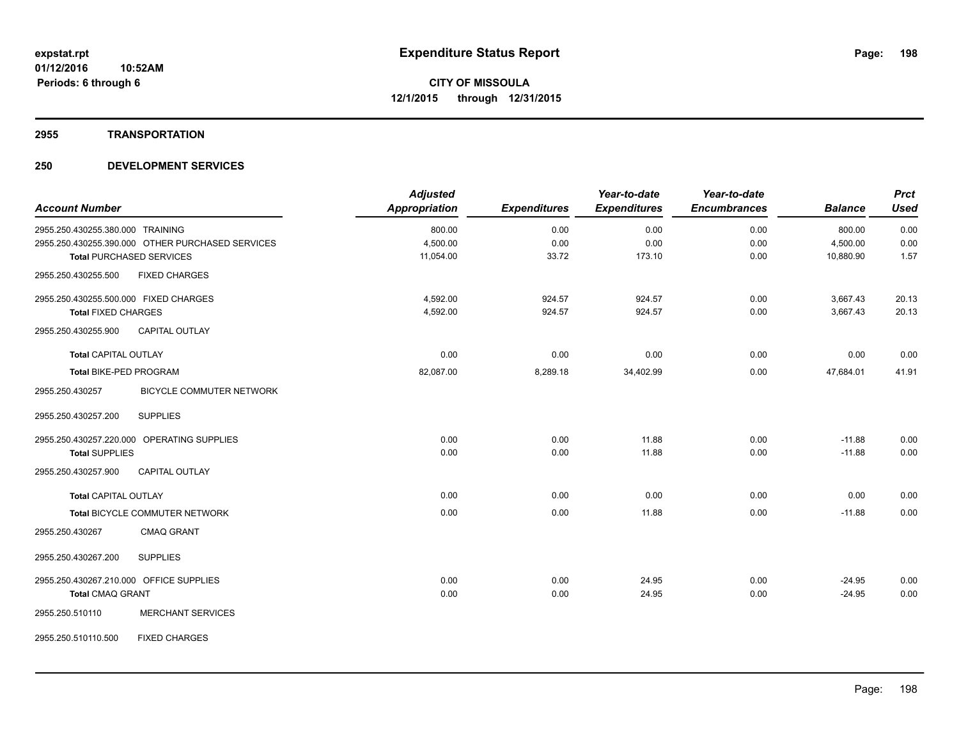#### **2955 TRANSPORTATION**

| <b>Account Number</b>                   |                                                  | <b>Adjusted</b><br><b>Appropriation</b> | <b>Expenditures</b> | Year-to-date<br><b>Expenditures</b> | Year-to-date<br><b>Encumbrances</b> | <b>Balance</b> | <b>Prct</b><br><b>Used</b> |
|-----------------------------------------|--------------------------------------------------|-----------------------------------------|---------------------|-------------------------------------|-------------------------------------|----------------|----------------------------|
| 2955.250.430255.380.000 TRAINING        |                                                  | 800.00                                  | 0.00                | 0.00                                | 0.00                                | 800.00         | 0.00                       |
|                                         | 2955.250.430255.390.000 OTHER PURCHASED SERVICES | 4,500.00                                | 0.00                | 0.00                                | 0.00                                | 4,500.00       | 0.00                       |
|                                         | <b>Total PURCHASED SERVICES</b>                  | 11,054.00                               | 33.72               | 173.10                              | 0.00                                | 10,880.90      | 1.57                       |
| 2955.250.430255.500                     | <b>FIXED CHARGES</b>                             |                                         |                     |                                     |                                     |                |                            |
| 2955.250.430255.500.000 FIXED CHARGES   |                                                  | 4,592.00                                | 924.57              | 924.57                              | 0.00                                | 3,667.43       | 20.13                      |
| <b>Total FIXED CHARGES</b>              |                                                  | 4,592.00                                | 924.57              | 924.57                              | 0.00                                | 3,667.43       | 20.13                      |
| 2955.250.430255.900                     | <b>CAPITAL OUTLAY</b>                            |                                         |                     |                                     |                                     |                |                            |
| <b>Total CAPITAL OUTLAY</b>             |                                                  | 0.00                                    | 0.00                | 0.00                                | 0.00                                | 0.00           | 0.00                       |
| <b>Total BIKE-PED PROGRAM</b>           |                                                  | 82,087.00                               | 8,289.18            | 34,402.99                           | 0.00                                | 47,684.01      | 41.91                      |
| 2955.250.430257                         | <b>BICYCLE COMMUTER NETWORK</b>                  |                                         |                     |                                     |                                     |                |                            |
| 2955.250.430257.200                     | <b>SUPPLIES</b>                                  |                                         |                     |                                     |                                     |                |                            |
|                                         | 2955.250.430257.220.000 OPERATING SUPPLIES       | 0.00                                    | 0.00                | 11.88                               | 0.00                                | $-11.88$       | 0.00                       |
| <b>Total SUPPLIES</b>                   |                                                  | 0.00                                    | 0.00                | 11.88                               | 0.00                                | $-11.88$       | 0.00                       |
| 2955.250.430257.900                     | <b>CAPITAL OUTLAY</b>                            |                                         |                     |                                     |                                     |                |                            |
| <b>Total CAPITAL OUTLAY</b>             |                                                  | 0.00                                    | 0.00                | 0.00                                | 0.00                                | 0.00           | 0.00                       |
|                                         | Total BICYCLE COMMUTER NETWORK                   | 0.00                                    | 0.00                | 11.88                               | 0.00                                | $-11.88$       | 0.00                       |
| 2955.250.430267                         | <b>CMAQ GRANT</b>                                |                                         |                     |                                     |                                     |                |                            |
| 2955.250.430267.200                     | <b>SUPPLIES</b>                                  |                                         |                     |                                     |                                     |                |                            |
| 2955.250.430267.210.000 OFFICE SUPPLIES |                                                  | 0.00                                    | 0.00                | 24.95                               | 0.00                                | $-24.95$       | 0.00                       |
| <b>Total CMAQ GRANT</b>                 |                                                  | 0.00                                    | 0.00                | 24.95                               | 0.00                                | $-24.95$       | 0.00                       |
| 2955.250.510110                         | <b>MERCHANT SERVICES</b>                         |                                         |                     |                                     |                                     |                |                            |
| 2955.250.510110.500                     | <b>FIXED CHARGES</b>                             |                                         |                     |                                     |                                     |                |                            |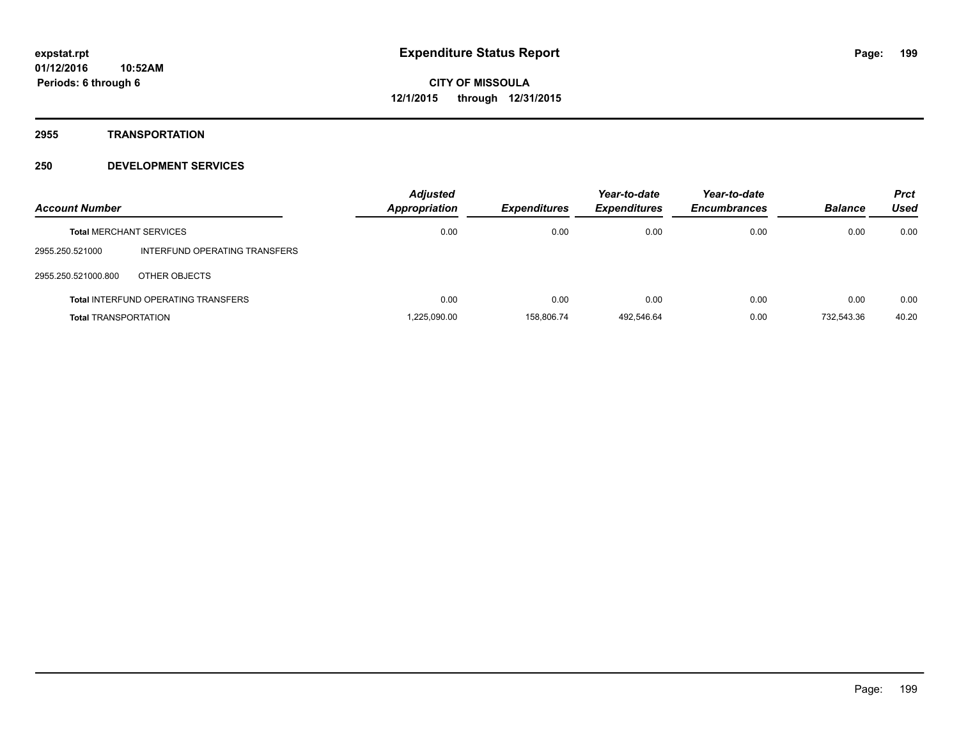**2955 TRANSPORTATION**

| <b>Account Number</b>          |                                            | <b>Adjusted</b><br>Appropriation | <b>Expenditures</b> | Year-to-date<br><b>Expenditures</b> | Year-to-date<br><b>Encumbrances</b> | <b>Balance</b> | <b>Prct</b><br>Used |
|--------------------------------|--------------------------------------------|----------------------------------|---------------------|-------------------------------------|-------------------------------------|----------------|---------------------|
| <b>Total MERCHANT SERVICES</b> |                                            | 0.00                             | 0.00                | 0.00                                | 0.00                                | 0.00           | 0.00                |
| 2955.250.521000                | INTERFUND OPERATING TRANSFERS              |                                  |                     |                                     |                                     |                |                     |
| 2955.250.521000.800            | OTHER OBJECTS                              |                                  |                     |                                     |                                     |                |                     |
|                                | <b>Total INTERFUND OPERATING TRANSFERS</b> | 0.00                             | 0.00                | 0.00                                | 0.00                                | 0.00           | 0.00                |
| <b>Total TRANSPORTATION</b>    |                                            | 1.225.090.00                     | 158.806.74          | 492.546.64                          | 0.00                                | 732.543.36     | 40.20               |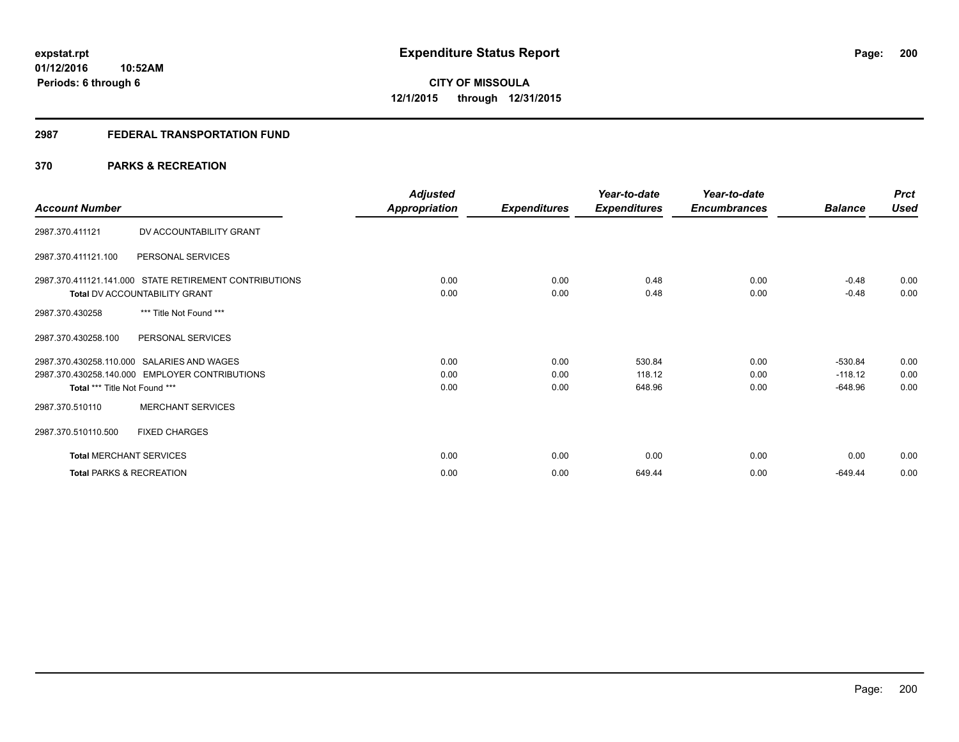# **2987 FEDERAL TRANSPORTATION FUND**

# **370 PARKS & RECREATION**

| <b>Account Number</b>                                                                                                         | <b>Adjusted</b><br>Appropriation | <b>Expenditures</b>  | Year-to-date<br><b>Expenditures</b> | Year-to-date<br><b>Encumbrances</b> | <b>Balance</b>                      | <b>Prct</b><br>Used  |
|-------------------------------------------------------------------------------------------------------------------------------|----------------------------------|----------------------|-------------------------------------|-------------------------------------|-------------------------------------|----------------------|
| DV ACCOUNTABILITY GRANT<br>2987.370.411121                                                                                    |                                  |                      |                                     |                                     |                                     |                      |
| 2987.370.411121.100<br>PERSONAL SERVICES                                                                                      |                                  |                      |                                     |                                     |                                     |                      |
| 2987.370.411121.141.000 STATE RETIREMENT CONTRIBUTIONS<br><b>Total DV ACCOUNTABILITY GRANT</b>                                | 0.00<br>0.00                     | 0.00<br>0.00         | 0.48<br>0.48                        | 0.00<br>0.00                        | $-0.48$<br>$-0.48$                  | 0.00<br>0.00         |
| *** Title Not Found ***<br>2987.370.430258                                                                                    |                                  |                      |                                     |                                     |                                     |                      |
| 2987.370.430258.100<br>PERSONAL SERVICES                                                                                      |                                  |                      |                                     |                                     |                                     |                      |
| 2987.370.430258.110.000 SALARIES AND WAGES<br>2987.370.430258.140.000 EMPLOYER CONTRIBUTIONS<br>Total *** Title Not Found *** | 0.00<br>0.00<br>0.00             | 0.00<br>0.00<br>0.00 | 530.84<br>118.12<br>648.96          | 0.00<br>0.00<br>0.00                | $-530.84$<br>$-118.12$<br>$-648.96$ | 0.00<br>0.00<br>0.00 |
| <b>MERCHANT SERVICES</b><br>2987.370.510110                                                                                   |                                  |                      |                                     |                                     |                                     |                      |
| 2987.370.510110.500<br><b>FIXED CHARGES</b>                                                                                   |                                  |                      |                                     |                                     |                                     |                      |
| <b>Total MERCHANT SERVICES</b>                                                                                                | 0.00                             | 0.00                 | 0.00                                | 0.00                                | 0.00                                | 0.00                 |
| <b>Total PARKS &amp; RECREATION</b>                                                                                           | 0.00                             | 0.00                 | 649.44                              | 0.00                                | $-649.44$                           | 0.00                 |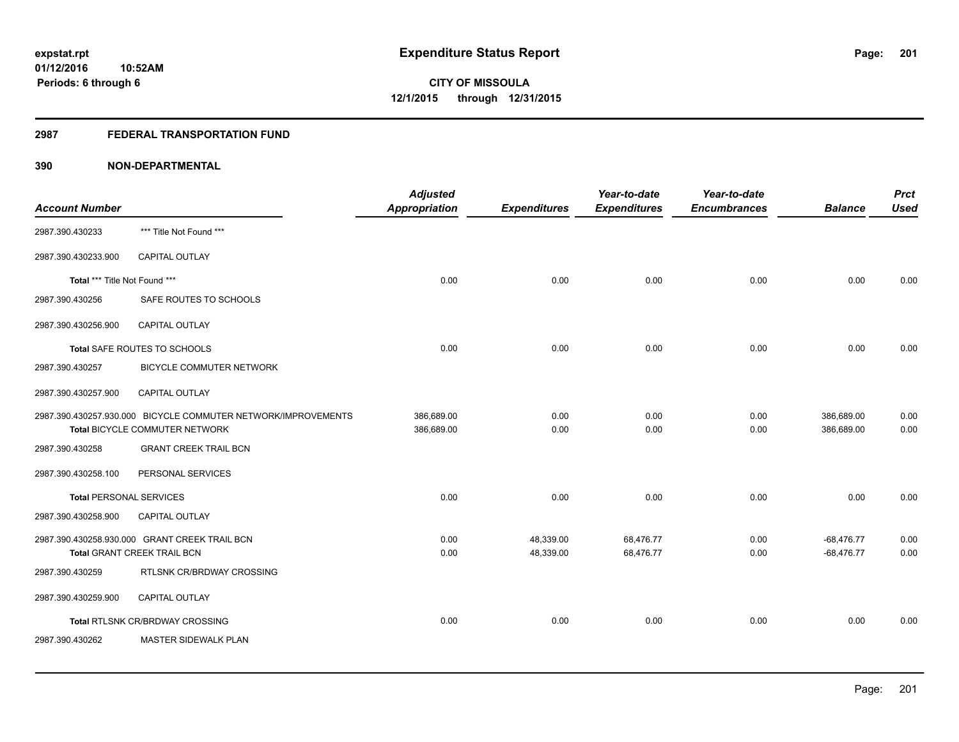# **2987 FEDERAL TRANSPORTATION FUND**

| <b>Account Number</b>          |                                                                                                 | <b>Adjusted</b><br><b>Appropriation</b> | <b>Expenditures</b>    | Year-to-date<br><b>Expenditures</b> | Year-to-date<br><b>Encumbrances</b> | <b>Balance</b>               | <b>Prct</b><br><b>Used</b> |
|--------------------------------|-------------------------------------------------------------------------------------------------|-----------------------------------------|------------------------|-------------------------------------|-------------------------------------|------------------------------|----------------------------|
| 2987.390.430233                | *** Title Not Found ***                                                                         |                                         |                        |                                     |                                     |                              |                            |
| 2987.390.430233.900            | CAPITAL OUTLAY                                                                                  |                                         |                        |                                     |                                     |                              |                            |
| Total *** Title Not Found ***  |                                                                                                 | 0.00                                    | 0.00                   | 0.00                                | 0.00                                | 0.00                         | 0.00                       |
| 2987.390.430256                | SAFE ROUTES TO SCHOOLS                                                                          |                                         |                        |                                     |                                     |                              |                            |
| 2987.390.430256.900            | <b>CAPITAL OUTLAY</b>                                                                           |                                         |                        |                                     |                                     |                              |                            |
|                                | Total SAFE ROUTES TO SCHOOLS                                                                    | 0.00                                    | 0.00                   | 0.00                                | 0.00                                | 0.00                         | 0.00                       |
| 2987.390.430257                | BICYCLE COMMUTER NETWORK                                                                        |                                         |                        |                                     |                                     |                              |                            |
| 2987.390.430257.900            | CAPITAL OUTLAY                                                                                  |                                         |                        |                                     |                                     |                              |                            |
|                                | 2987.390.430257.930.000 BICYCLE COMMUTER NETWORK/IMPROVEMENTS<br>Total BICYCLE COMMUTER NETWORK | 386,689.00<br>386,689.00                | 0.00<br>0.00           | 0.00<br>0.00                        | 0.00<br>0.00                        | 386,689.00<br>386,689.00     | 0.00<br>0.00               |
| 2987.390.430258                | <b>GRANT CREEK TRAIL BCN</b>                                                                    |                                         |                        |                                     |                                     |                              |                            |
| 2987.390.430258.100            | PERSONAL SERVICES                                                                               |                                         |                        |                                     |                                     |                              |                            |
| <b>Total PERSONAL SERVICES</b> |                                                                                                 | 0.00                                    | 0.00                   | 0.00                                | 0.00                                | 0.00                         | 0.00                       |
| 2987.390.430258.900            | CAPITAL OUTLAY                                                                                  |                                         |                        |                                     |                                     |                              |                            |
|                                | 2987.390.430258.930.000 GRANT CREEK TRAIL BCN<br><b>Total GRANT CREEK TRAIL BCN</b>             | 0.00<br>0.00                            | 48,339.00<br>48,339.00 | 68,476.77<br>68,476.77              | 0.00<br>0.00                        | $-68,476.77$<br>$-68,476.77$ | 0.00<br>0.00               |
| 2987.390.430259                | RTLSNK CR/BRDWAY CROSSING                                                                       |                                         |                        |                                     |                                     |                              |                            |
| 2987.390.430259.900            | <b>CAPITAL OUTLAY</b>                                                                           |                                         |                        |                                     |                                     |                              |                            |
|                                | Total RTLSNK CR/BRDWAY CROSSING                                                                 | 0.00                                    | 0.00                   | 0.00                                | 0.00                                | 0.00                         | 0.00                       |
| 2987.390.430262                | MASTER SIDEWALK PLAN                                                                            |                                         |                        |                                     |                                     |                              |                            |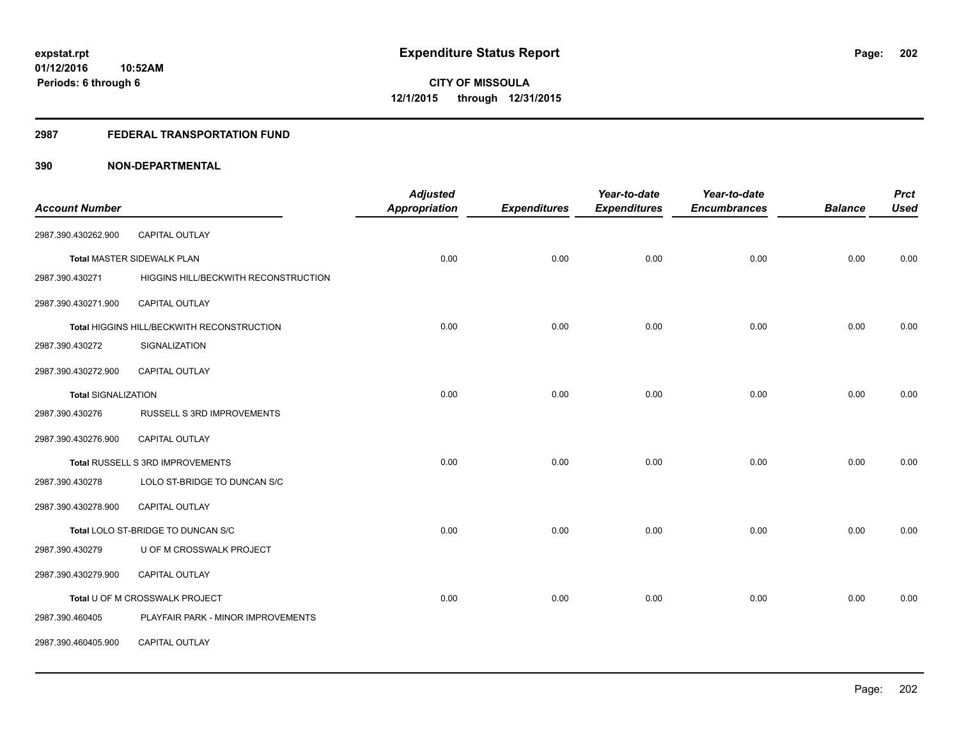#### **2987 FEDERAL TRANSPORTATION FUND**

| <b>Account Number</b>      |                                            | <b>Adjusted</b><br><b>Appropriation</b> | <b>Expenditures</b> | Year-to-date<br><b>Expenditures</b> | Year-to-date<br><b>Encumbrances</b> | <b>Balance</b> | <b>Prct</b><br><b>Used</b> |
|----------------------------|--------------------------------------------|-----------------------------------------|---------------------|-------------------------------------|-------------------------------------|----------------|----------------------------|
|                            |                                            |                                         |                     |                                     |                                     |                |                            |
| 2987.390.430262.900        | CAPITAL OUTLAY                             |                                         |                     |                                     |                                     |                |                            |
|                            | <b>Total MASTER SIDEWALK PLAN</b>          | 0.00                                    | 0.00                | 0.00                                | 0.00                                | 0.00           | 0.00                       |
| 2987.390.430271            | HIGGINS HILL/BECKWITH RECONSTRUCTION       |                                         |                     |                                     |                                     |                |                            |
| 2987.390.430271.900        | <b>CAPITAL OUTLAY</b>                      |                                         |                     |                                     |                                     |                |                            |
|                            | Total HIGGINS HILL/BECKWITH RECONSTRUCTION | 0.00                                    | 0.00                | 0.00                                | 0.00                                | 0.00           | 0.00                       |
| 2987.390.430272            | SIGNALIZATION                              |                                         |                     |                                     |                                     |                |                            |
| 2987.390.430272.900        | <b>CAPITAL OUTLAY</b>                      |                                         |                     |                                     |                                     |                |                            |
| <b>Total SIGNALIZATION</b> |                                            | 0.00                                    | 0.00                | 0.00                                | 0.00                                | 0.00           | 0.00                       |
| 2987.390.430276            | RUSSELL S 3RD IMPROVEMENTS                 |                                         |                     |                                     |                                     |                |                            |
| 2987.390.430276.900        | <b>CAPITAL OUTLAY</b>                      |                                         |                     |                                     |                                     |                |                            |
|                            | Total RUSSELL S 3RD IMPROVEMENTS           | 0.00                                    | 0.00                | 0.00                                | 0.00                                | 0.00           | 0.00                       |
| 2987.390.430278            | LOLO ST-BRIDGE TO DUNCAN S/C               |                                         |                     |                                     |                                     |                |                            |
| 2987.390.430278.900        | CAPITAL OUTLAY                             |                                         |                     |                                     |                                     |                |                            |
|                            | Total LOLO ST-BRIDGE TO DUNCAN S/C         | 0.00                                    | 0.00                | 0.00                                | 0.00                                | 0.00           | 0.00                       |
| 2987.390.430279            | U OF M CROSSWALK PROJECT                   |                                         |                     |                                     |                                     |                |                            |
| 2987.390.430279.900        | CAPITAL OUTLAY                             |                                         |                     |                                     |                                     |                |                            |
|                            | Total U OF M CROSSWALK PROJECT             | 0.00                                    | 0.00                | 0.00                                | 0.00                                | 0.00           | 0.00                       |
| 2987.390.460405            | PLAYFAIR PARK - MINOR IMPROVEMENTS         |                                         |                     |                                     |                                     |                |                            |
| 2987.390.460405.900        | CAPITAL OUTLAY                             |                                         |                     |                                     |                                     |                |                            |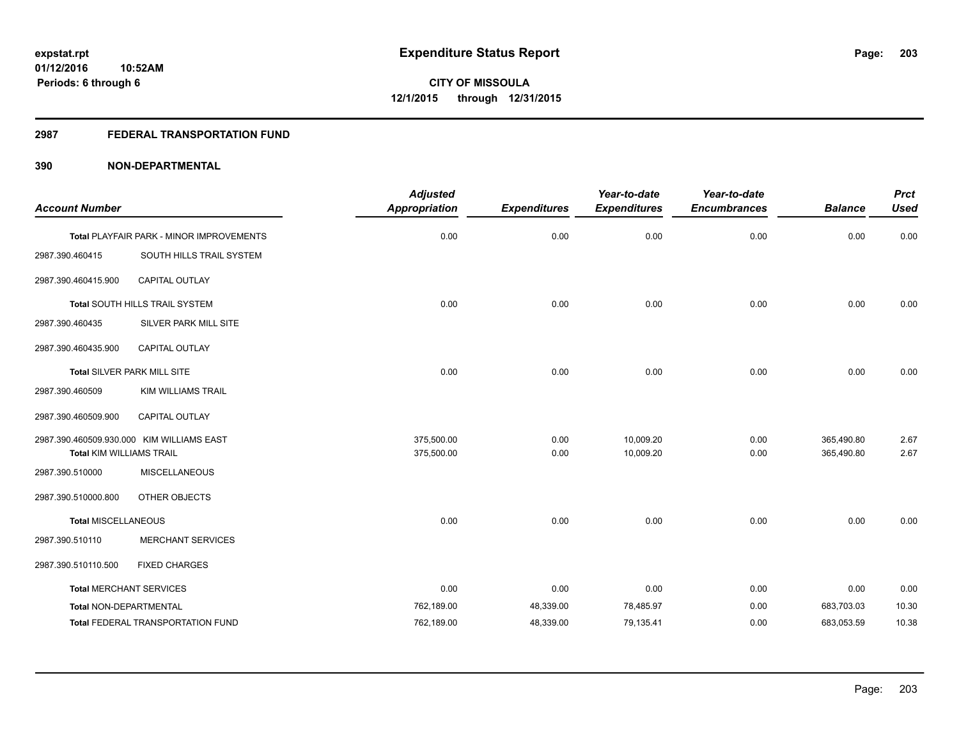#### **2987 FEDERAL TRANSPORTATION FUND**

| <b>Account Number</b>                              |                                           | <b>Adjusted</b><br><b>Appropriation</b> | <b>Expenditures</b> | Year-to-date<br><b>Expenditures</b> | Year-to-date<br><b>Encumbrances</b> | <b>Balance</b>           | <b>Prct</b><br><b>Used</b> |
|----------------------------------------------------|-------------------------------------------|-----------------------------------------|---------------------|-------------------------------------|-------------------------------------|--------------------------|----------------------------|
|                                                    | Total PLAYFAIR PARK - MINOR IMPROVEMENTS  | 0.00                                    | 0.00                | 0.00                                | 0.00                                | 0.00                     | 0.00                       |
| 2987.390.460415                                    | SOUTH HILLS TRAIL SYSTEM                  |                                         |                     |                                     |                                     |                          |                            |
| 2987.390.460415.900                                | <b>CAPITAL OUTLAY</b>                     |                                         |                     |                                     |                                     |                          |                            |
|                                                    | Total SOUTH HILLS TRAIL SYSTEM            | 0.00                                    | 0.00                | 0.00                                | 0.00                                | 0.00                     | 0.00                       |
| 2987.390.460435                                    | SILVER PARK MILL SITE                     |                                         |                     |                                     |                                     |                          |                            |
| 2987.390.460435.900                                | CAPITAL OUTLAY                            |                                         |                     |                                     |                                     |                          |                            |
|                                                    | Total SILVER PARK MILL SITE               | 0.00                                    | 0.00                | 0.00                                | 0.00                                | 0.00                     | 0.00                       |
| 2987.390.460509                                    | <b>KIM WILLIAMS TRAIL</b>                 |                                         |                     |                                     |                                     |                          |                            |
| 2987.390.460509.900                                | <b>CAPITAL OUTLAY</b>                     |                                         |                     |                                     |                                     |                          |                            |
|                                                    | 2987.390.460509.930.000 KIM WILLIAMS EAST | 375,500.00<br>375,500.00                | 0.00<br>0.00        | 10,009.20<br>10,009.20              | 0.00<br>0.00                        | 365,490.80<br>365,490.80 | 2.67<br>2.67               |
| <b>Total KIM WILLIAMS TRAIL</b><br>2987.390.510000 | <b>MISCELLANEOUS</b>                      |                                         |                     |                                     |                                     |                          |                            |
|                                                    |                                           |                                         |                     |                                     |                                     |                          |                            |
| 2987.390.510000.800                                | OTHER OBJECTS                             |                                         |                     |                                     |                                     |                          |                            |
| Total MISCELLANEOUS                                |                                           | 0.00                                    | 0.00                | 0.00                                | 0.00                                | 0.00                     | 0.00                       |
| 2987.390.510110                                    | <b>MERCHANT SERVICES</b>                  |                                         |                     |                                     |                                     |                          |                            |
| 2987.390.510110.500                                | <b>FIXED CHARGES</b>                      |                                         |                     |                                     |                                     |                          |                            |
| <b>Total MERCHANT SERVICES</b>                     |                                           | 0.00                                    | 0.00                | 0.00                                | 0.00                                | 0.00                     | 0.00                       |
| Total NON-DEPARTMENTAL                             |                                           | 762,189.00                              | 48,339.00           | 78,485.97                           | 0.00                                | 683,703.03               | 10.30                      |
|                                                    | <b>Total FEDERAL TRANSPORTATION FUND</b>  | 762,189.00                              | 48,339.00           | 79,135.41                           | 0.00                                | 683,053.59               | 10.38                      |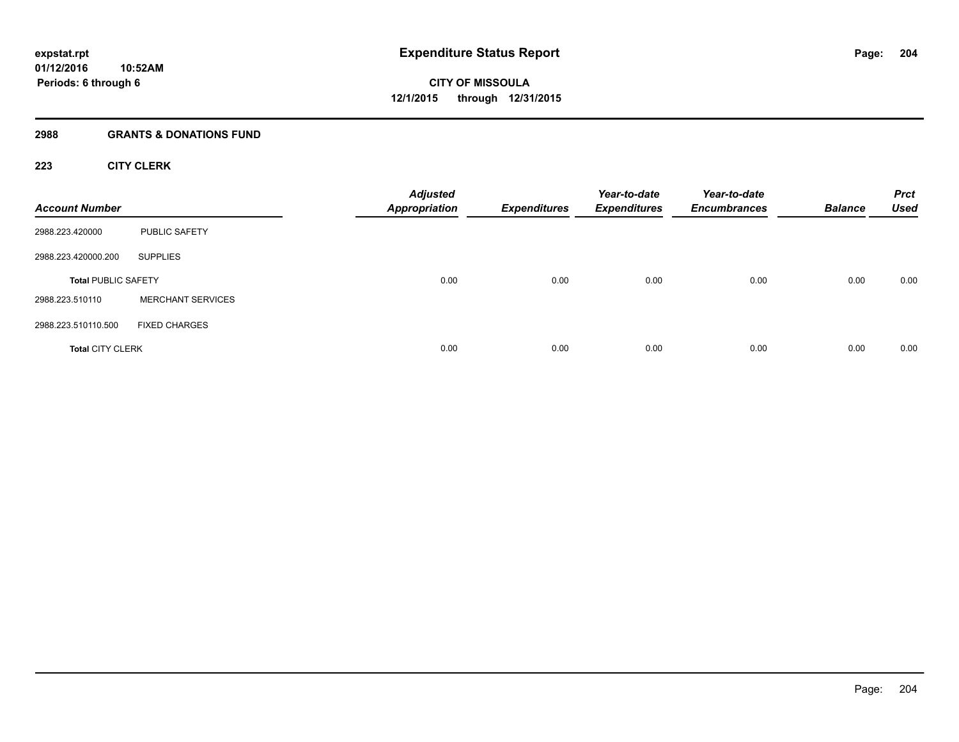#### **2988 GRANTS & DONATIONS FUND**

# **223 CITY CLERK**

| <b>Account Number</b>      |                          | <b>Adjusted</b><br><b>Appropriation</b> | <b>Expenditures</b> | Year-to-date<br><b>Expenditures</b> | Year-to-date<br><b>Encumbrances</b> | <b>Balance</b> | <b>Prct</b><br><b>Used</b> |
|----------------------------|--------------------------|-----------------------------------------|---------------------|-------------------------------------|-------------------------------------|----------------|----------------------------|
| 2988.223.420000            | PUBLIC SAFETY            |                                         |                     |                                     |                                     |                |                            |
| 2988.223.420000.200        | <b>SUPPLIES</b>          |                                         |                     |                                     |                                     |                |                            |
| <b>Total PUBLIC SAFETY</b> |                          | 0.00                                    | 0.00                | 0.00                                | 0.00                                | 0.00           | 0.00                       |
| 2988.223.510110            | <b>MERCHANT SERVICES</b> |                                         |                     |                                     |                                     |                |                            |
| 2988.223.510110.500        | <b>FIXED CHARGES</b>     |                                         |                     |                                     |                                     |                |                            |
| <b>Total CITY CLERK</b>    |                          | 0.00                                    | 0.00                | 0.00                                | 0.00                                | 0.00           | 0.00                       |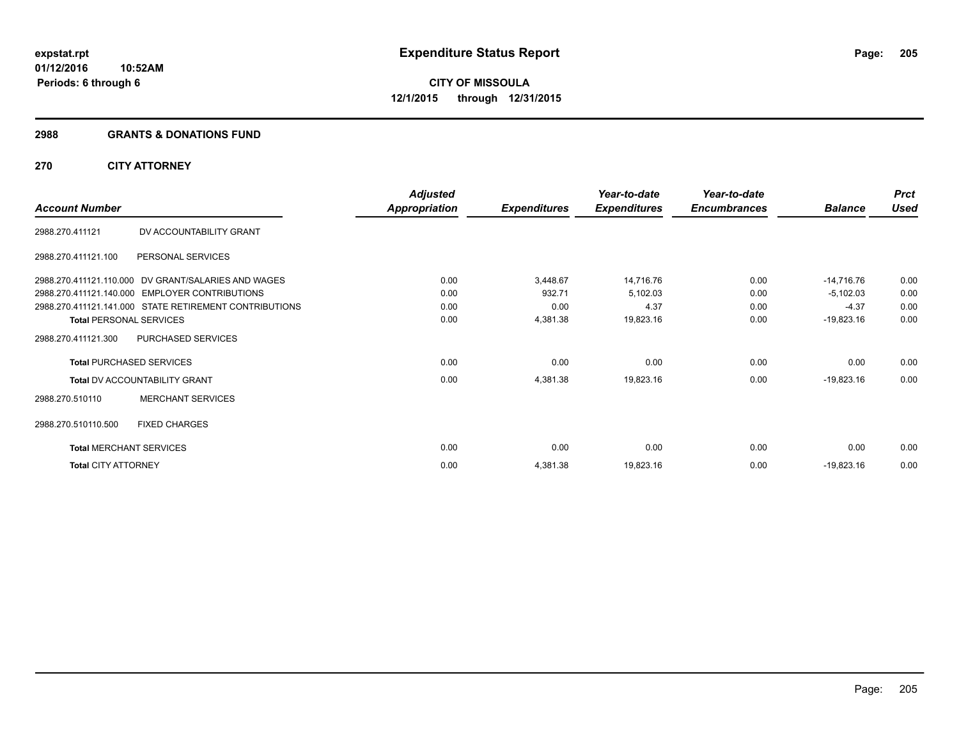#### **2988 GRANTS & DONATIONS FUND**

# **270 CITY ATTORNEY**

|                                 |                                                        | Adjusted      |                     | Year-to-date        | Year-to-date        |                | <b>Prct</b> |
|---------------------------------|--------------------------------------------------------|---------------|---------------------|---------------------|---------------------|----------------|-------------|
| <b>Account Number</b>           |                                                        | Appropriation | <b>Expenditures</b> | <b>Expenditures</b> | <b>Encumbrances</b> | <b>Balance</b> | <b>Used</b> |
| 2988.270.411121                 | DV ACCOUNTABILITY GRANT                                |               |                     |                     |                     |                |             |
| 2988.270.411121.100             | PERSONAL SERVICES                                      |               |                     |                     |                     |                |             |
|                                 | 2988.270.411121.110.000 DV GRANT/SALARIES AND WAGES    | 0.00          | 3,448.67            | 14,716.76           | 0.00                | $-14,716.76$   | 0.00        |
|                                 | 2988.270.411121.140.000 EMPLOYER CONTRIBUTIONS         | 0.00          | 932.71              | 5,102.03            | 0.00                | $-5,102.03$    | 0.00        |
|                                 | 2988.270.411121.141.000 STATE RETIREMENT CONTRIBUTIONS | 0.00          | 0.00                | 4.37                | 0.00                | $-4.37$        | 0.00        |
| <b>Total PERSONAL SERVICES</b>  |                                                        | 0.00          | 4,381.38            | 19,823.16           | 0.00                | $-19,823.16$   | 0.00        |
| 2988.270.411121.300             | PURCHASED SERVICES                                     |               |                     |                     |                     |                |             |
| <b>Total PURCHASED SERVICES</b> |                                                        | 0.00          | 0.00                | 0.00                | 0.00                | 0.00           | 0.00        |
|                                 | <b>Total DV ACCOUNTABILITY GRANT</b>                   | 0.00          | 4,381.38            | 19,823.16           | 0.00                | $-19,823.16$   | 0.00        |
| 2988.270.510110                 | <b>MERCHANT SERVICES</b>                               |               |                     |                     |                     |                |             |
| 2988.270.510110.500             | <b>FIXED CHARGES</b>                                   |               |                     |                     |                     |                |             |
| <b>Total MERCHANT SERVICES</b>  |                                                        | 0.00          | 0.00                | 0.00                | 0.00                | 0.00           | 0.00        |
| <b>Total CITY ATTORNEY</b>      |                                                        | 0.00          | 4,381.38            | 19,823.16           | 0.00                | $-19,823.16$   | 0.00        |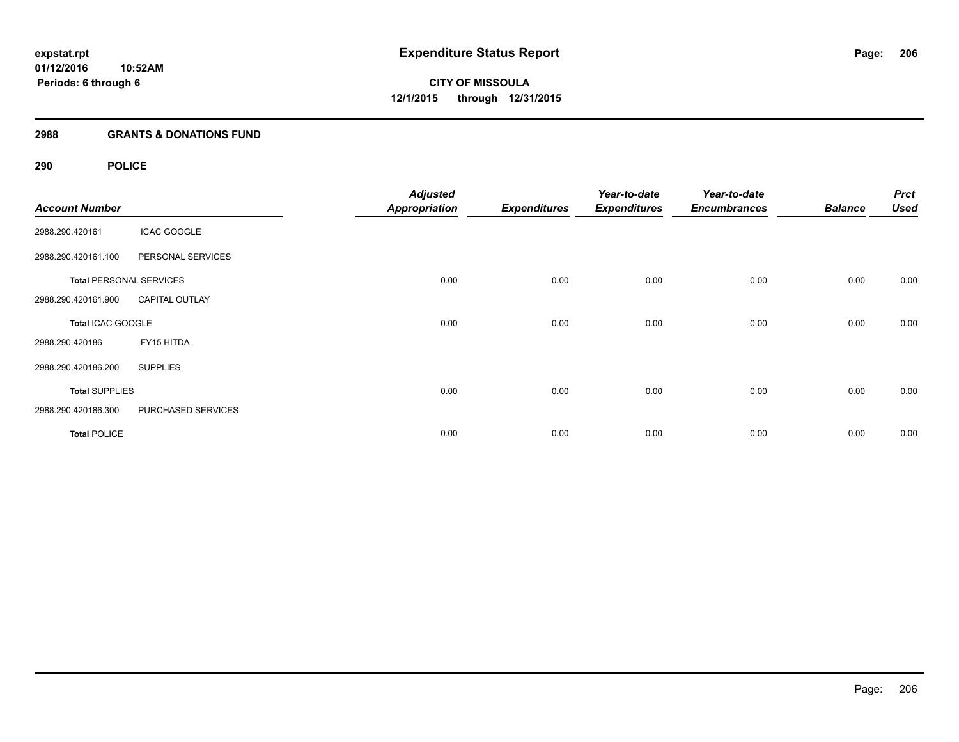#### **2988 GRANTS & DONATIONS FUND**

# **290 POLICE**

| <b>Account Number</b>          |                       | <b>Adjusted</b><br><b>Appropriation</b> | <b>Expenditures</b> | Year-to-date<br><b>Expenditures</b> | Year-to-date<br><b>Encumbrances</b> | <b>Balance</b> | <b>Prct</b><br><b>Used</b> |
|--------------------------------|-----------------------|-----------------------------------------|---------------------|-------------------------------------|-------------------------------------|----------------|----------------------------|
| 2988.290.420161                | <b>ICAC GOOGLE</b>    |                                         |                     |                                     |                                     |                |                            |
| 2988.290.420161.100            | PERSONAL SERVICES     |                                         |                     |                                     |                                     |                |                            |
| <b>Total PERSONAL SERVICES</b> |                       | 0.00                                    | 0.00                | 0.00                                | 0.00                                | 0.00           | 0.00                       |
| 2988.290.420161.900            | <b>CAPITAL OUTLAY</b> |                                         |                     |                                     |                                     |                |                            |
| Total ICAC GOOGLE              |                       | 0.00                                    | 0.00                | 0.00                                | 0.00                                | 0.00           | 0.00                       |
| 2988.290.420186                | FY15 HITDA            |                                         |                     |                                     |                                     |                |                            |
| 2988.290.420186.200            | <b>SUPPLIES</b>       |                                         |                     |                                     |                                     |                |                            |
| <b>Total SUPPLIES</b>          |                       | 0.00                                    | 0.00                | 0.00                                | 0.00                                | 0.00           | 0.00                       |
| 2988.290.420186.300            | PURCHASED SERVICES    |                                         |                     |                                     |                                     |                |                            |
| <b>Total POLICE</b>            |                       | 0.00                                    | 0.00                | 0.00                                | 0.00                                | 0.00           | 0.00                       |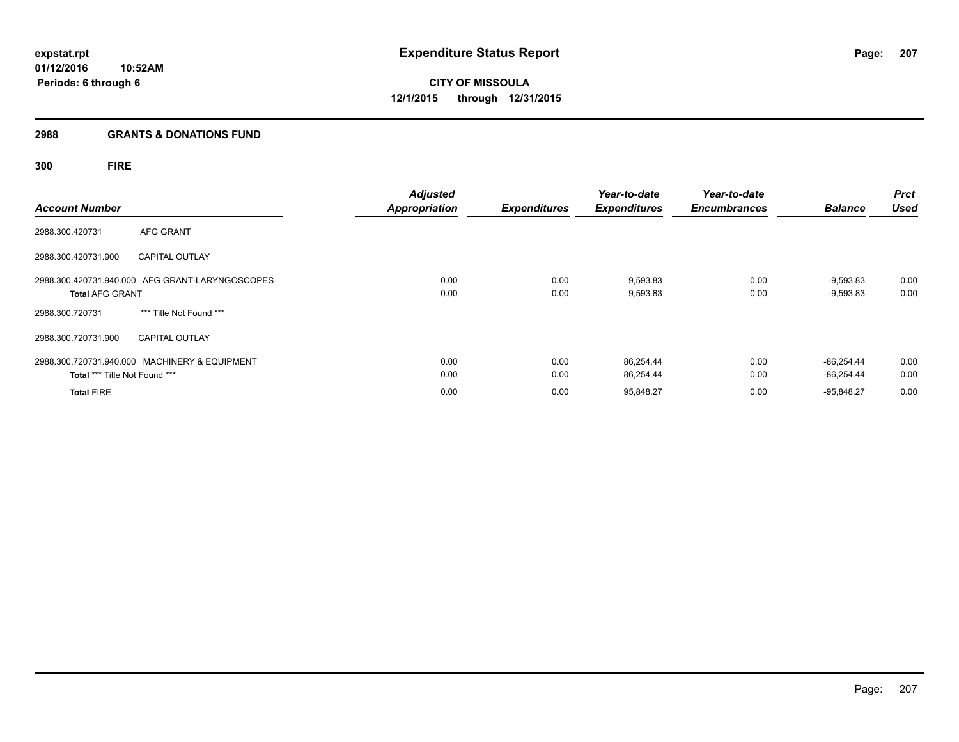# **2988 GRANTS & DONATIONS FUND**

# **300 FIRE**

| <b>Account Number</b>                                                          | <b>Adjusted</b><br><b>Appropriation</b> | <b>Expenditures</b> | Year-to-date<br><b>Expenditures</b> | Year-to-date<br><b>Encumbrances</b> | <b>Balance</b>               | <b>Prct</b><br><b>Used</b> |
|--------------------------------------------------------------------------------|-----------------------------------------|---------------------|-------------------------------------|-------------------------------------|------------------------------|----------------------------|
| AFG GRANT<br>2988.300.420731                                                   |                                         |                     |                                     |                                     |                              |                            |
| 2988.300.420731.900<br><b>CAPITAL OUTLAY</b>                                   |                                         |                     |                                     |                                     |                              |                            |
| 2988.300.420731.940.000 AFG GRANT-LARYNGOSCOPES<br><b>Total AFG GRANT</b>      | 0.00<br>0.00                            | 0.00<br>0.00        | 9,593.83<br>9,593.83                | 0.00<br>0.00                        | $-9,593.83$<br>$-9,593.83$   | 0.00<br>0.00               |
| *** Title Not Found ***<br>2988.300.720731                                     |                                         |                     |                                     |                                     |                              |                            |
| 2988.300.720731.900<br><b>CAPITAL OUTLAY</b>                                   |                                         |                     |                                     |                                     |                              |                            |
| 2988.300.720731.940.000 MACHINERY & EQUIPMENT<br>Total *** Title Not Found *** | 0.00<br>0.00                            | 0.00<br>0.00        | 86,254.44<br>86,254.44              | 0.00<br>0.00                        | $-86.254.44$<br>$-86,254.44$ | 0.00<br>0.00               |
| <b>Total FIRE</b>                                                              | 0.00                                    | 0.00                | 95,848.27                           | 0.00                                | $-95.848.27$                 | 0.00                       |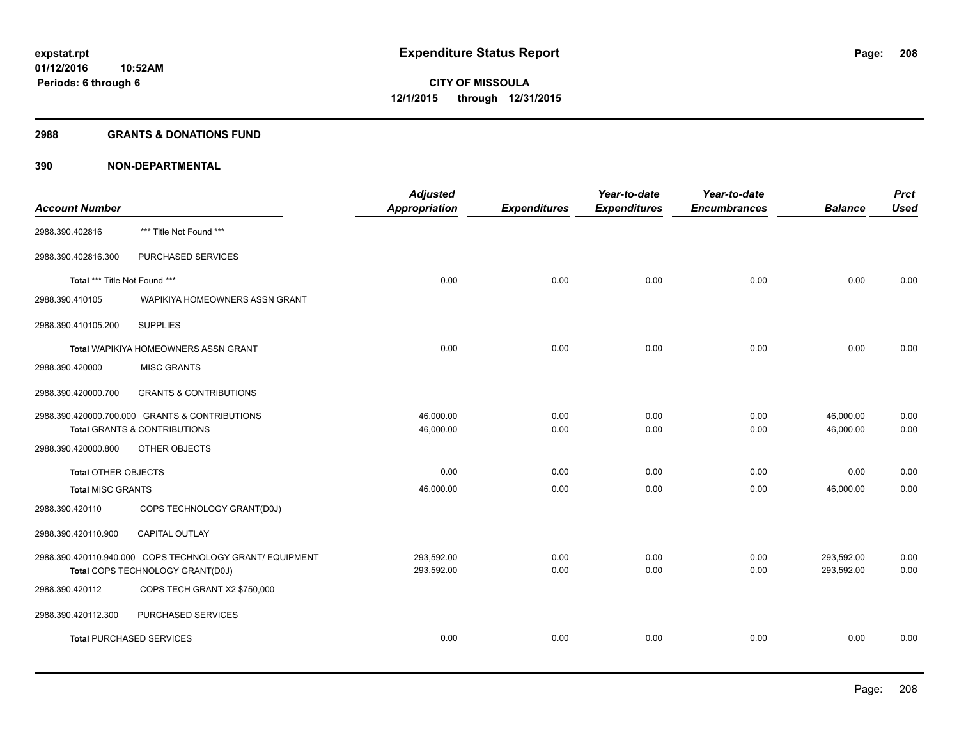#### **2988 GRANTS & DONATIONS FUND**

|                                 |                                                          | <b>Adjusted</b> |                     | Year-to-date        | Year-to-date        |                | <b>Prct</b> |
|---------------------------------|----------------------------------------------------------|-----------------|---------------------|---------------------|---------------------|----------------|-------------|
| <b>Account Number</b>           |                                                          | Appropriation   | <b>Expenditures</b> | <b>Expenditures</b> | <b>Encumbrances</b> | <b>Balance</b> | <b>Used</b> |
| 2988.390.402816                 | *** Title Not Found ***                                  |                 |                     |                     |                     |                |             |
| 2988.390.402816.300             | PURCHASED SERVICES                                       |                 |                     |                     |                     |                |             |
| Total *** Title Not Found ***   |                                                          | 0.00            | 0.00                | 0.00                | 0.00                | 0.00           | 0.00        |
| 2988.390.410105                 | WAPIKIYA HOMEOWNERS ASSN GRANT                           |                 |                     |                     |                     |                |             |
| 2988.390.410105.200             | <b>SUPPLIES</b>                                          |                 |                     |                     |                     |                |             |
|                                 | <b>Total WAPIKIYA HOMEOWNERS ASSN GRANT</b>              | 0.00            | 0.00                | 0.00                | 0.00                | 0.00           | 0.00        |
| 2988.390.420000                 | <b>MISC GRANTS</b>                                       |                 |                     |                     |                     |                |             |
| 2988.390.420000.700             | <b>GRANTS &amp; CONTRIBUTIONS</b>                        |                 |                     |                     |                     |                |             |
|                                 | 2988.390.420000.700.000 GRANTS & CONTRIBUTIONS           | 46,000.00       | 0.00                | 0.00                | 0.00                | 46,000.00      | 0.00        |
|                                 | <b>Total GRANTS &amp; CONTRIBUTIONS</b>                  | 46,000.00       | 0.00                | 0.00                | 0.00                | 46.000.00      | 0.00        |
| 2988.390.420000.800             | OTHER OBJECTS                                            |                 |                     |                     |                     |                |             |
| <b>Total OTHER OBJECTS</b>      |                                                          | 0.00            | 0.00                | 0.00                | 0.00                | 0.00           | 0.00        |
| <b>Total MISC GRANTS</b>        |                                                          | 46,000.00       | 0.00                | 0.00                | 0.00                | 46,000.00      | 0.00        |
| 2988.390.420110                 | COPS TECHNOLOGY GRANT(D0J)                               |                 |                     |                     |                     |                |             |
| 2988.390.420110.900             | <b>CAPITAL OUTLAY</b>                                    |                 |                     |                     |                     |                |             |
|                                 | 2988.390.420110.940.000 COPS TECHNOLOGY GRANT/ EQUIPMENT | 293,592.00      | 0.00                | 0.00                | 0.00                | 293,592.00     | 0.00        |
|                                 | Total COPS TECHNOLOGY GRANT(D0J)                         | 293,592.00      | 0.00                | 0.00                | 0.00                | 293,592.00     | 0.00        |
| 2988.390.420112                 | COPS TECH GRANT X2 \$750,000                             |                 |                     |                     |                     |                |             |
| 2988.390.420112.300             | PURCHASED SERVICES                                       |                 |                     |                     |                     |                |             |
| <b>Total PURCHASED SERVICES</b> |                                                          | 0.00            | 0.00                | 0.00                | 0.00                | 0.00           | 0.00        |
|                                 |                                                          |                 |                     |                     |                     |                |             |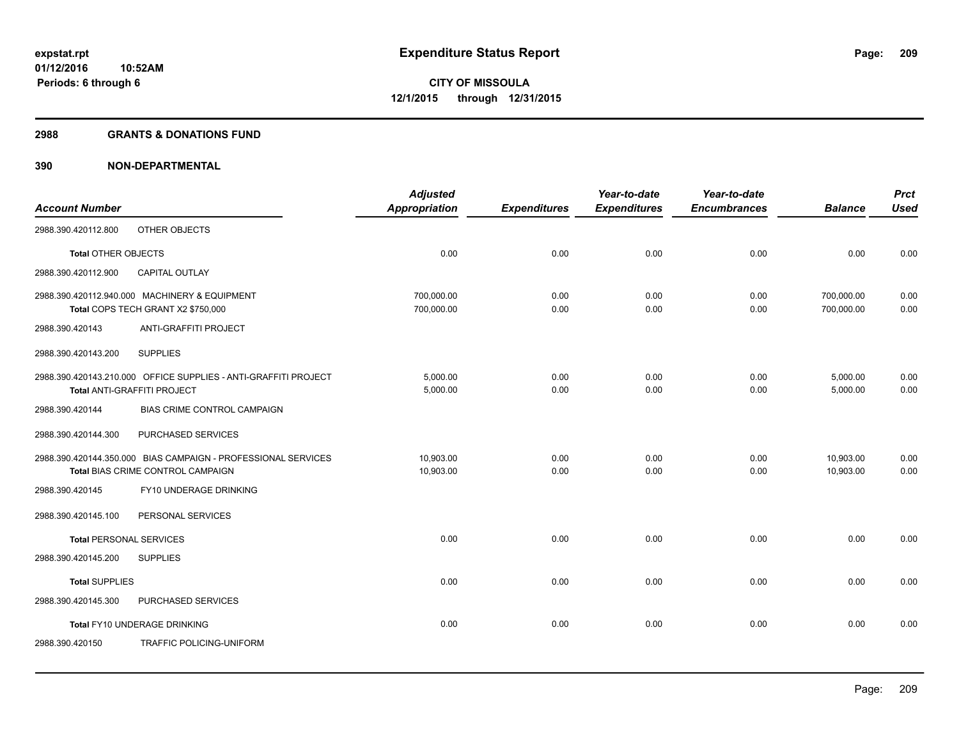#### **2988 GRANTS & DONATIONS FUND**

|                                |                                                                                                    | <b>Adjusted</b>          |                     | Year-to-date        | Year-to-date        |                          | <b>Prct</b>  |
|--------------------------------|----------------------------------------------------------------------------------------------------|--------------------------|---------------------|---------------------|---------------------|--------------------------|--------------|
| <b>Account Number</b>          |                                                                                                    | <b>Appropriation</b>     | <b>Expenditures</b> | <b>Expenditures</b> | <b>Encumbrances</b> | <b>Balance</b>           | <b>Used</b>  |
| 2988.390.420112.800            | OTHER OBJECTS                                                                                      |                          |                     |                     |                     |                          |              |
| <b>Total OTHER OBJECTS</b>     |                                                                                                    | 0.00                     | 0.00                | 0.00                | 0.00                | 0.00                     | 0.00         |
| 2988.390.420112.900            | CAPITAL OUTLAY                                                                                     |                          |                     |                     |                     |                          |              |
|                                | 2988.390.420112.940.000 MACHINERY & EQUIPMENT<br>Total COPS TECH GRANT X2 \$750,000                | 700,000.00<br>700,000.00 | 0.00<br>0.00        | 0.00<br>0.00        | 0.00<br>0.00        | 700,000.00<br>700,000.00 | 0.00<br>0.00 |
| 2988.390.420143                | ANTI-GRAFFITI PROJECT                                                                              |                          |                     |                     |                     |                          |              |
| 2988.390.420143.200            | <b>SUPPLIES</b>                                                                                    |                          |                     |                     |                     |                          |              |
|                                | 2988.390.420143.210.000 OFFICE SUPPLIES - ANTI-GRAFFITI PROJECT<br>Total ANTI-GRAFFITI PROJECT     | 5,000.00<br>5,000.00     | 0.00<br>0.00        | 0.00<br>0.00        | 0.00<br>0.00        | 5,000.00<br>5,000.00     | 0.00<br>0.00 |
| 2988.390.420144                | BIAS CRIME CONTROL CAMPAIGN                                                                        |                          |                     |                     |                     |                          |              |
| 2988.390.420144.300            | PURCHASED SERVICES                                                                                 |                          |                     |                     |                     |                          |              |
|                                | 2988.390.420144.350.000 BIAS CAMPAIGN - PROFESSIONAL SERVICES<br>Total BIAS CRIME CONTROL CAMPAIGN | 10,903.00<br>10,903.00   | 0.00<br>0.00        | 0.00<br>0.00        | 0.00<br>0.00        | 10,903.00<br>10.903.00   | 0.00<br>0.00 |
| 2988.390.420145                | FY10 UNDERAGE DRINKING                                                                             |                          |                     |                     |                     |                          |              |
| 2988.390.420145.100            | PERSONAL SERVICES                                                                                  |                          |                     |                     |                     |                          |              |
| <b>Total PERSONAL SERVICES</b> |                                                                                                    | 0.00                     | 0.00                | 0.00                | 0.00                | 0.00                     | 0.00         |
| 2988.390.420145.200            | <b>SUPPLIES</b>                                                                                    |                          |                     |                     |                     |                          |              |
| <b>Total SUPPLIES</b>          |                                                                                                    | 0.00                     | 0.00                | 0.00                | 0.00                | 0.00                     | 0.00         |
| 2988.390.420145.300            | PURCHASED SERVICES                                                                                 |                          |                     |                     |                     |                          |              |
|                                | Total FY10 UNDERAGE DRINKING                                                                       | 0.00                     | 0.00                | 0.00                | 0.00                | 0.00                     | 0.00         |
| 2988.390.420150                | TRAFFIC POLICING-UNIFORM                                                                           |                          |                     |                     |                     |                          |              |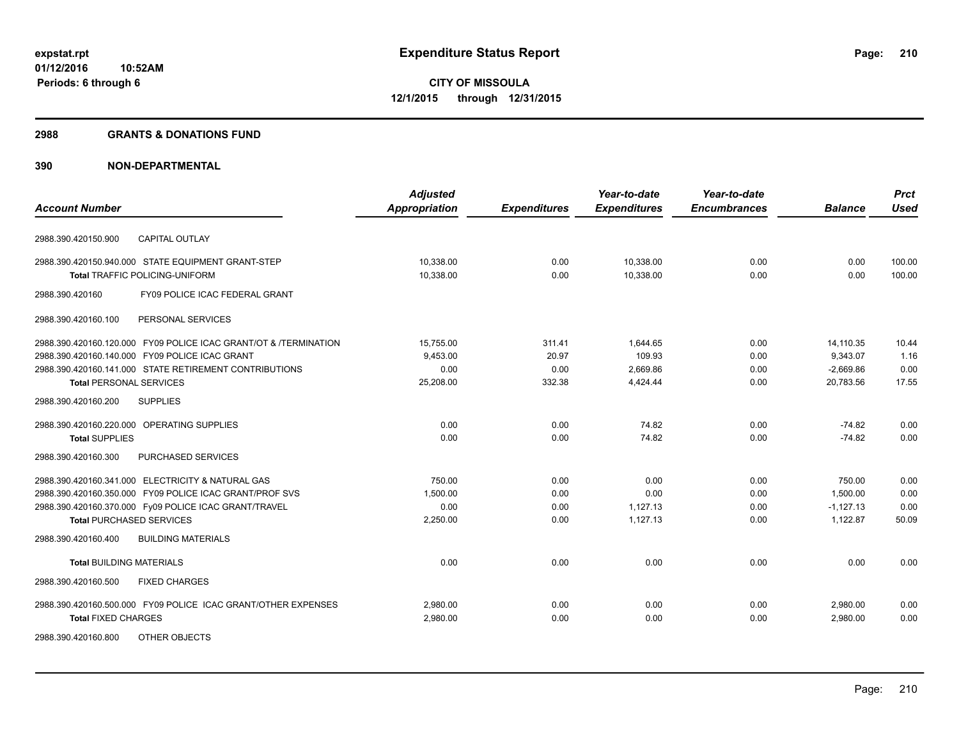#### **2988 GRANTS & DONATIONS FUND**

|                                                                  | <b>Adjusted</b>      |                     | Year-to-date        | Year-to-date        |                | <b>Prct</b> |
|------------------------------------------------------------------|----------------------|---------------------|---------------------|---------------------|----------------|-------------|
| <b>Account Number</b>                                            | <b>Appropriation</b> | <b>Expenditures</b> | <b>Expenditures</b> | <b>Encumbrances</b> | <b>Balance</b> | <b>Used</b> |
| <b>CAPITAL OUTLAY</b><br>2988.390.420150.900                     |                      |                     |                     |                     |                |             |
| 2988.390.420150.940.000 STATE EQUIPMENT GRANT-STEP               | 10,338.00            | 0.00                | 10,338.00           | 0.00                | 0.00           | 100.00      |
| <b>Total TRAFFIC POLICING-UNIFORM</b>                            | 10,338.00            | 0.00                | 10,338.00           | 0.00                | 0.00           | 100.00      |
| FY09 POLICE ICAC FEDERAL GRANT<br>2988.390.420160                |                      |                     |                     |                     |                |             |
| PERSONAL SERVICES<br>2988.390.420160.100                         |                      |                     |                     |                     |                |             |
| 2988.390.420160.120.000 FY09 POLICE ICAC GRANT/OT & /TERMINATION | 15,755.00            | 311.41              | 1,644.65            | 0.00                | 14,110.35      | 10.44       |
| 2988.390.420160.140.000 FY09 POLICE ICAC GRANT                   | 9,453.00             | 20.97               | 109.93              | 0.00                | 9,343.07       | 1.16        |
| 2988.390.420160.141.000 STATE RETIREMENT CONTRIBUTIONS           | 0.00                 | 0.00                | 2,669.86            | 0.00                | $-2,669.86$    | 0.00        |
| <b>Total PERSONAL SERVICES</b>                                   | 25,208.00            | 332.38              | 4,424.44            | 0.00                | 20,783.56      | 17.55       |
| <b>SUPPLIES</b><br>2988.390.420160.200                           |                      |                     |                     |                     |                |             |
| 2988.390.420160.220.000 OPERATING SUPPLIES                       | 0.00                 | 0.00                | 74.82               | 0.00                | $-74.82$       | 0.00        |
| <b>Total SUPPLIES</b>                                            | 0.00                 | 0.00                | 74.82               | 0.00                | $-74.82$       | 0.00        |
| PURCHASED SERVICES<br>2988.390.420160.300                        |                      |                     |                     |                     |                |             |
| 2988.390.420160.341.000 ELECTRICITY & NATURAL GAS                | 750.00               | 0.00                | 0.00                | 0.00                | 750.00         | 0.00        |
| 2988.390.420160.350.000 FY09 POLICE ICAC GRANT/PROF SVS          | 1,500.00             | 0.00                | 0.00                | 0.00                | 1,500.00       | 0.00        |
| 2988.390.420160.370.000 Fy09 POLICE ICAC GRANT/TRAVEL            | 0.00                 | 0.00                | 1,127.13            | 0.00                | $-1,127.13$    | 0.00        |
| <b>Total PURCHASED SERVICES</b>                                  | 2,250.00             | 0.00                | 1,127.13            | 0.00                | 1,122.87       | 50.09       |
| <b>BUILDING MATERIALS</b><br>2988.390.420160.400                 |                      |                     |                     |                     |                |             |
| <b>Total BUILDING MATERIALS</b>                                  | 0.00                 | 0.00                | 0.00                | 0.00                | 0.00           | 0.00        |
| <b>FIXED CHARGES</b><br>2988.390.420160.500                      |                      |                     |                     |                     |                |             |
| 2988.390.420160.500.000 FY09 POLICE ICAC GRANT/OTHER EXPENSES    | 2.980.00             | 0.00                | 0.00                | 0.00                | 2,980.00       | 0.00        |
| <b>Total FIXED CHARGES</b>                                       | 2,980.00             | 0.00                | 0.00                | 0.00                | 2,980.00       | 0.00        |
| 2988.390.420160.800<br>OTHER OBJECTS                             |                      |                     |                     |                     |                |             |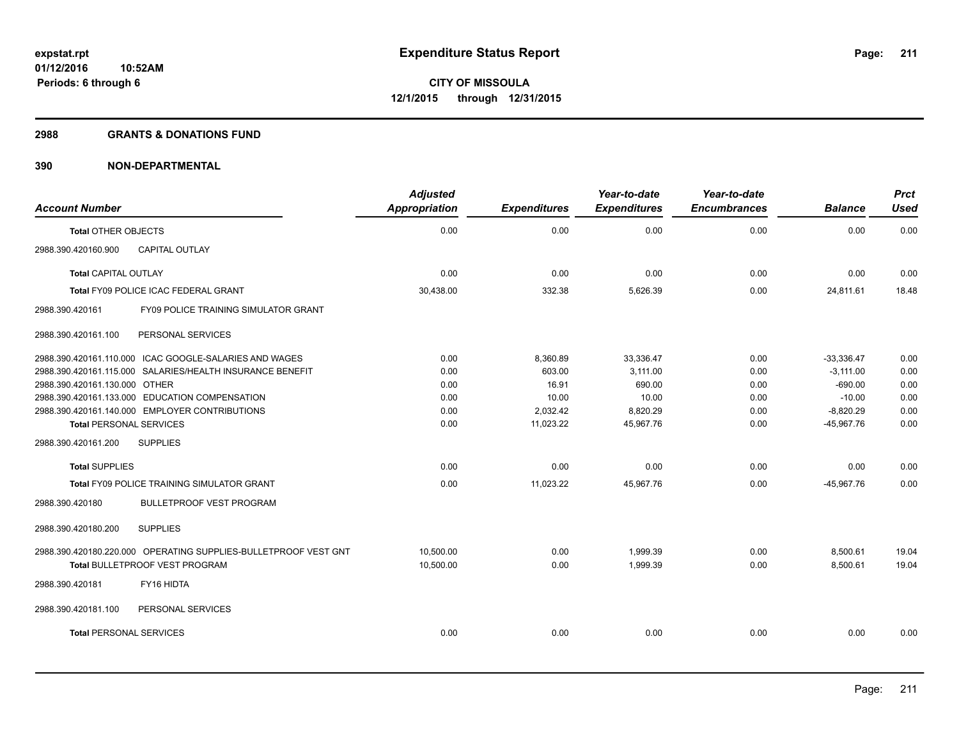#### **2988 GRANTS & DONATIONS FUND**

| <b>Account Number</b>          |                                                                 | <b>Adjusted</b><br>Appropriation | <b>Expenditures</b> | Year-to-date<br><b>Expenditures</b> | Year-to-date<br><b>Encumbrances</b> | <b>Balance</b> | <b>Prct</b><br><b>Used</b> |
|--------------------------------|-----------------------------------------------------------------|----------------------------------|---------------------|-------------------------------------|-------------------------------------|----------------|----------------------------|
|                                |                                                                 |                                  |                     |                                     |                                     |                |                            |
| <b>Total OTHER OBJECTS</b>     |                                                                 | 0.00                             | 0.00                | 0.00                                | 0.00                                | 0.00           | 0.00                       |
| 2988.390.420160.900            | <b>CAPITAL OUTLAY</b>                                           |                                  |                     |                                     |                                     |                |                            |
| <b>Total CAPITAL OUTLAY</b>    |                                                                 | 0.00                             | 0.00                | 0.00                                | 0.00                                | 0.00           | 0.00                       |
|                                | Total FY09 POLICE ICAC FEDERAL GRANT                            | 30,438.00                        | 332.38              | 5,626.39                            | 0.00                                | 24,811.61      | 18.48                      |
| 2988.390.420161                | FY09 POLICE TRAINING SIMULATOR GRANT                            |                                  |                     |                                     |                                     |                |                            |
| 2988.390.420161.100            | PERSONAL SERVICES                                               |                                  |                     |                                     |                                     |                |                            |
|                                | 2988.390.420161.110.000 ICAC GOOGLE-SALARIES AND WAGES          | 0.00                             | 8,360.89            | 33,336.47                           | 0.00                                | $-33.336.47$   | 0.00                       |
|                                | 2988.390.420161.115.000 SALARIES/HEALTH INSURANCE BENEFIT       | 0.00                             | 603.00              | 3.111.00                            | 0.00                                | $-3.111.00$    | 0.00                       |
| 2988.390.420161.130.000 OTHER  |                                                                 | 0.00                             | 16.91               | 690.00                              | 0.00                                | $-690.00$      | 0.00                       |
|                                | 2988.390.420161.133.000 EDUCATION COMPENSATION                  | 0.00                             | 10.00               | 10.00                               | 0.00                                | $-10.00$       | 0.00                       |
|                                | 2988.390.420161.140.000 EMPLOYER CONTRIBUTIONS                  | 0.00                             | 2,032.42            | 8,820.29                            | 0.00                                | $-8,820.29$    | 0.00                       |
| <b>Total PERSONAL SERVICES</b> |                                                                 | 0.00                             | 11,023.22           | 45,967.76                           | 0.00                                | $-45.967.76$   | 0.00                       |
| 2988.390.420161.200            | <b>SUPPLIES</b>                                                 |                                  |                     |                                     |                                     |                |                            |
| <b>Total SUPPLIES</b>          |                                                                 | 0.00                             | 0.00                | 0.00                                | 0.00                                | 0.00           | 0.00                       |
|                                | Total FY09 POLICE TRAINING SIMULATOR GRANT                      | 0.00                             | 11,023.22           | 45,967.76                           | 0.00                                | $-45,967.76$   | 0.00                       |
| 2988.390.420180                | <b>BULLETPROOF VEST PROGRAM</b>                                 |                                  |                     |                                     |                                     |                |                            |
| 2988.390.420180.200            | <b>SUPPLIES</b>                                                 |                                  |                     |                                     |                                     |                |                            |
|                                | 2988.390.420180.220.000 OPERATING SUPPLIES-BULLETPROOF VEST GNT | 10,500.00                        | 0.00                | 1,999.39                            | 0.00                                | 8,500.61       | 19.04                      |
|                                | Total BULLETPROOF VEST PROGRAM                                  | 10,500.00                        | 0.00                | 1,999.39                            | 0.00                                | 8,500.61       | 19.04                      |
| 2988.390.420181                | FY16 HIDTA                                                      |                                  |                     |                                     |                                     |                |                            |
| 2988.390.420181.100            | PERSONAL SERVICES                                               |                                  |                     |                                     |                                     |                |                            |
| <b>Total PERSONAL SERVICES</b> |                                                                 | 0.00                             | 0.00                | 0.00                                | 0.00                                | 0.00           | 0.00                       |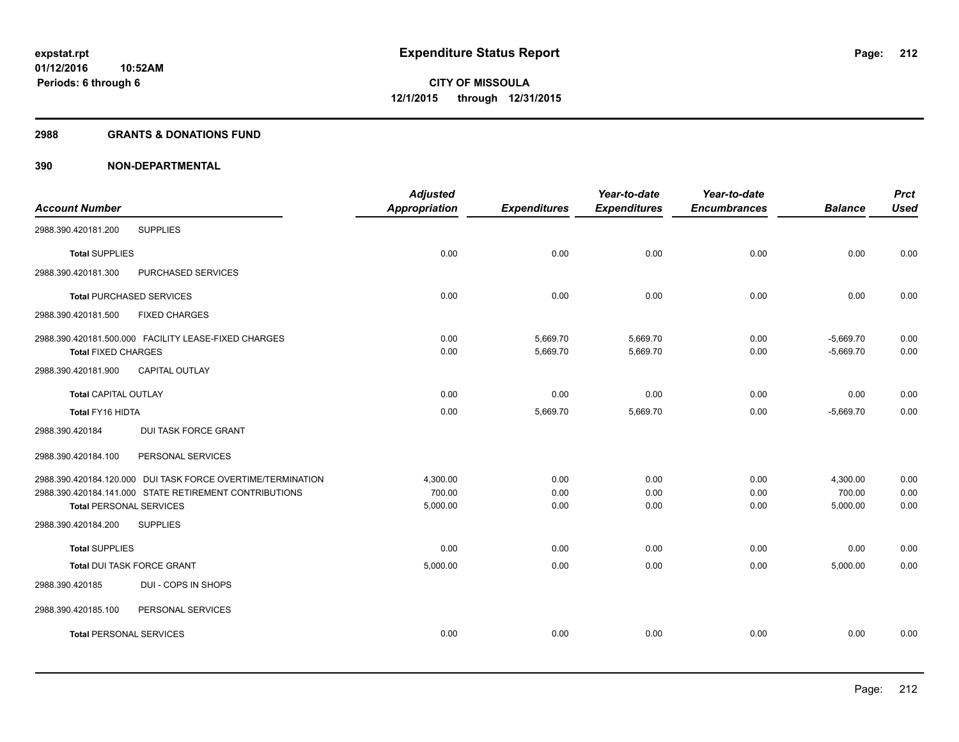#### **2988 GRANTS & DONATIONS FUND**

| <b>Account Number</b>                                                                                                                                   | <b>Adjusted</b><br><b>Appropriation</b> | <b>Expenditures</b>  | Year-to-date<br><b>Expenditures</b> | Year-to-date<br><b>Encumbrances</b> | <b>Balance</b>                 | <b>Prct</b><br><b>Used</b> |
|---------------------------------------------------------------------------------------------------------------------------------------------------------|-----------------------------------------|----------------------|-------------------------------------|-------------------------------------|--------------------------------|----------------------------|
| <b>SUPPLIES</b><br>2988.390.420181.200                                                                                                                  |                                         |                      |                                     |                                     |                                |                            |
| <b>Total SUPPLIES</b>                                                                                                                                   | 0.00                                    | 0.00                 | 0.00                                | 0.00                                | 0.00                           | 0.00                       |
| 2988.390.420181.300<br>PURCHASED SERVICES                                                                                                               |                                         |                      |                                     |                                     |                                |                            |
| <b>Total PURCHASED SERVICES</b>                                                                                                                         | 0.00                                    | 0.00                 | 0.00                                | 0.00                                | 0.00                           | 0.00                       |
| 2988.390.420181.500<br><b>FIXED CHARGES</b>                                                                                                             |                                         |                      |                                     |                                     |                                |                            |
| 2988.390.420181.500.000 FACILITY LEASE-FIXED CHARGES<br><b>Total FIXED CHARGES</b>                                                                      | 0.00<br>0.00                            | 5,669.70<br>5,669.70 | 5,669.70<br>5,669.70                | 0.00<br>0.00                        | $-5,669.70$<br>$-5,669.70$     | 0.00<br>0.00               |
| CAPITAL OUTLAY<br>2988.390.420181.900                                                                                                                   |                                         |                      |                                     |                                     |                                |                            |
| <b>Total CAPITAL OUTLAY</b>                                                                                                                             | 0.00                                    | 0.00                 | 0.00                                | 0.00                                | 0.00                           | 0.00                       |
| Total FY16 HIDTA                                                                                                                                        | 0.00                                    | 5,669.70             | 5,669.70                            | 0.00                                | $-5,669.70$                    | 0.00                       |
| <b>DUI TASK FORCE GRANT</b><br>2988.390.420184                                                                                                          |                                         |                      |                                     |                                     |                                |                            |
| 2988.390.420184.100<br>PERSONAL SERVICES                                                                                                                |                                         |                      |                                     |                                     |                                |                            |
| 2988.390.420184.120.000 DUI TASK FORCE OVERTIME/TERMINATION<br>2988.390.420184.141.000 STATE RETIREMENT CONTRIBUTIONS<br><b>Total PERSONAL SERVICES</b> | 4,300.00<br>700.00<br>5,000.00          | 0.00<br>0.00<br>0.00 | 0.00<br>0.00<br>0.00                | 0.00<br>0.00<br>0.00                | 4,300.00<br>700.00<br>5,000.00 | 0.00<br>0.00<br>0.00       |
| 2988.390.420184.200<br><b>SUPPLIES</b>                                                                                                                  |                                         |                      |                                     |                                     |                                |                            |
| <b>Total SUPPLIES</b>                                                                                                                                   | 0.00                                    | 0.00                 | 0.00                                | 0.00                                | 0.00                           | 0.00                       |
| <b>Total DUI TASK FORCE GRANT</b>                                                                                                                       | 5,000.00                                | 0.00                 | 0.00                                | 0.00                                | 5,000.00                       | 0.00                       |
| 2988.390.420185<br>DUI - COPS IN SHOPS                                                                                                                  |                                         |                      |                                     |                                     |                                |                            |
| 2988.390.420185.100<br>PERSONAL SERVICES                                                                                                                |                                         |                      |                                     |                                     |                                |                            |
| <b>Total PERSONAL SERVICES</b>                                                                                                                          | 0.00                                    | 0.00                 | 0.00                                | 0.00                                | 0.00                           | 0.00                       |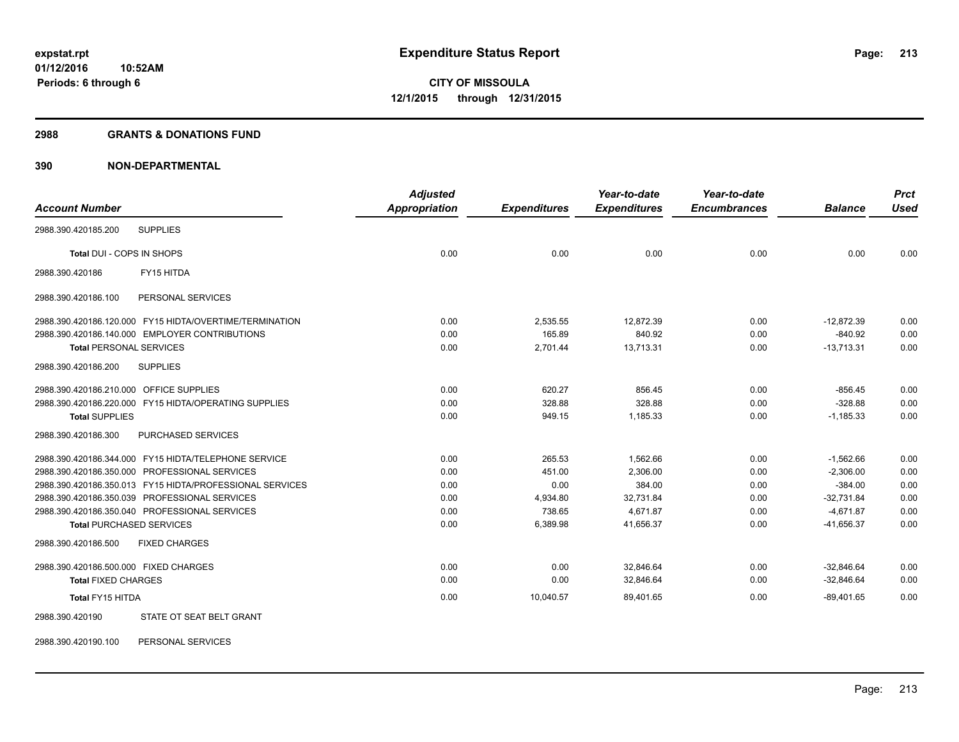#### **2988 GRANTS & DONATIONS FUND**

# **390 NON-DEPARTMENTAL**

|                                         |                                                                | <b>Adjusted</b> |                     | Year-to-date        | Year-to-date        |                | <b>Prct</b> |
|-----------------------------------------|----------------------------------------------------------------|-----------------|---------------------|---------------------|---------------------|----------------|-------------|
| <b>Account Number</b>                   |                                                                | Appropriation   | <b>Expenditures</b> | <b>Expenditures</b> | <b>Encumbrances</b> | <b>Balance</b> | <b>Used</b> |
| 2988.390.420185.200                     | <b>SUPPLIES</b>                                                |                 |                     |                     |                     |                |             |
| Total DUI - COPS IN SHOPS               |                                                                | 0.00            | 0.00                | 0.00                | 0.00                | 0.00           | 0.00        |
| 2988.390.420186                         | FY15 HITDA                                                     |                 |                     |                     |                     |                |             |
| 2988.390.420186.100                     | PERSONAL SERVICES                                              |                 |                     |                     |                     |                |             |
|                                         | 2988.390.420186.120.000 FY15 HIDTA/OVERTIME/TERMINATION        | 0.00            | 2,535.55            | 12,872.39           | 0.00                | $-12,872.39$   | 0.00        |
|                                         | 2988.390.420186.140.000 EMPLOYER CONTRIBUTIONS                 | 0.00            | 165.89              | 840.92              | 0.00                | $-840.92$      | 0.00        |
| <b>Total PERSONAL SERVICES</b>          |                                                                | 0.00            | 2,701.44            | 13.713.31           | 0.00                | $-13,713.31$   | 0.00        |
| 2988.390.420186.200                     | <b>SUPPLIES</b>                                                |                 |                     |                     |                     |                |             |
| 2988.390.420186.210.000 OFFICE SUPPLIES |                                                                | 0.00            | 620.27              | 856.45              | 0.00                | $-856.45$      | 0.00        |
|                                         | 2988.390.420186.220.000 FY15 HIDTA/OPERATING SUPPLIES          | 0.00            | 328.88              | 328.88              | 0.00                | $-328.88$      | 0.00        |
| <b>Total SUPPLIES</b>                   |                                                                | 0.00            | 949.15              | 1,185.33            | 0.00                | $-1,185.33$    | 0.00        |
| 2988.390.420186.300                     | PURCHASED SERVICES                                             |                 |                     |                     |                     |                |             |
|                                         | 2988.390.420186.344.000 FY15 HIDTA/TELEPHONE SERVICE           | 0.00            | 265.53              | 1.562.66            | 0.00                | $-1.562.66$    | 0.00        |
|                                         | 2988.390.420186.350.000 PROFESSIONAL SERVICES                  | 0.00            | 451.00              | 2,306.00            | 0.00                | $-2,306.00$    | 0.00        |
|                                         | 2988.390.420186.350.013    FY15    HIDTA/PROFESSIONAL SERVICES | 0.00            | 0.00                | 384.00              | 0.00                | $-384.00$      | 0.00        |
|                                         | 2988.390.420186.350.039 PROFESSIONAL SERVICES                  | 0.00            | 4,934.80            | 32,731.84           | 0.00                | $-32,731.84$   | 0.00        |
|                                         | 2988.390.420186.350.040 PROFESSIONAL SERVICES                  | 0.00            | 738.65              | 4,671.87            | 0.00                | $-4,671.87$    | 0.00        |
| <b>Total PURCHASED SERVICES</b>         |                                                                | 0.00            | 6,389.98            | 41.656.37           | 0.00                | $-41.656.37$   | 0.00        |
| 2988.390.420186.500                     | <b>FIXED CHARGES</b>                                           |                 |                     |                     |                     |                |             |
| 2988.390.420186.500.000 FIXED CHARGES   |                                                                | 0.00            | 0.00                | 32.846.64           | 0.00                | $-32.846.64$   | 0.00        |
| <b>Total FIXED CHARGES</b>              |                                                                | 0.00            | 0.00                | 32,846.64           | 0.00                | $-32,846.64$   | 0.00        |
| Total FY15 HITDA                        |                                                                | 0.00            | 10,040.57           | 89,401.65           | 0.00                | $-89.401.65$   | 0.00        |
| 2988.390.420190                         | STATE OT SEAT BELT GRANT                                       |                 |                     |                     |                     |                |             |

2988.390.420190.100 PERSONAL SERVICES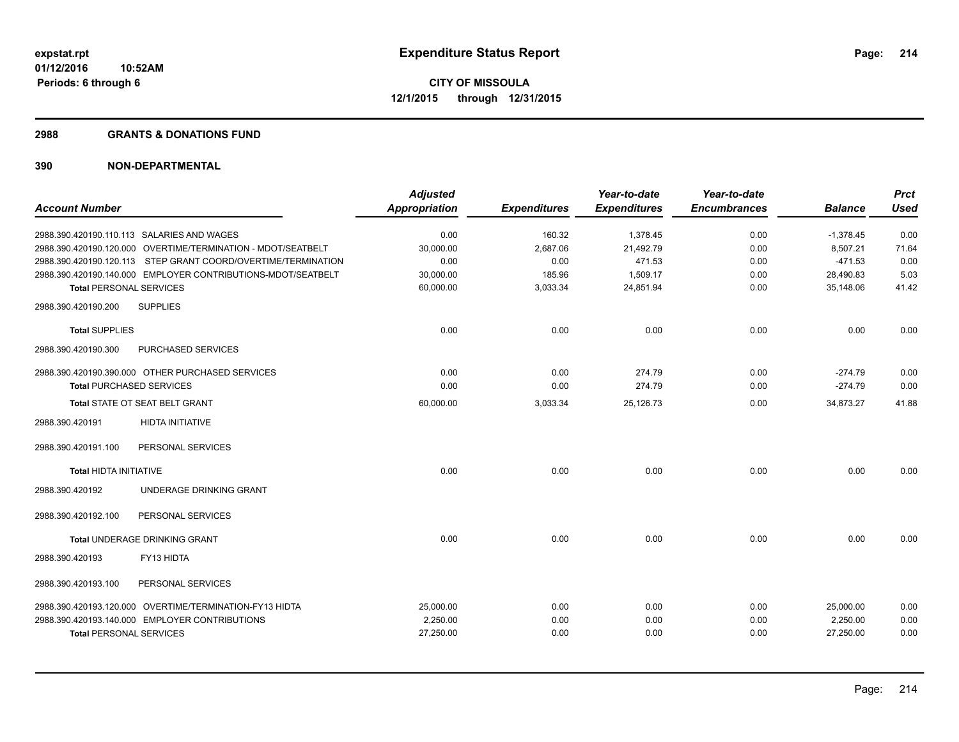#### **2988 GRANTS & DONATIONS FUND**

|                                                               | <b>Adjusted</b>      |                     | Year-to-date        | Year-to-date        |                | <b>Prct</b> |
|---------------------------------------------------------------|----------------------|---------------------|---------------------|---------------------|----------------|-------------|
| <b>Account Number</b>                                         | <b>Appropriation</b> | <b>Expenditures</b> | <b>Expenditures</b> | <b>Encumbrances</b> | <b>Balance</b> | <b>Used</b> |
| 2988.390.420190.110.113 SALARIES AND WAGES                    | 0.00                 | 160.32              | 1,378.45            | 0.00                | $-1,378.45$    | 0.00        |
| 2988.390.420190.120.000 OVERTIME/TERMINATION - MDOT/SEATBELT  | 30,000.00            | 2,687.06            | 21,492.79           | 0.00                | 8,507.21       | 71.64       |
| 2988.390.420190.120.113 STEP GRANT COORD/OVERTIME/TERMINATION | 0.00                 | 0.00                | 471.53              | 0.00                | $-471.53$      | 0.00        |
| 2988.390.420190.140.000 EMPLOYER CONTRIBUTIONS-MDOT/SEATBELT  | 30,000.00            | 185.96              | 1,509.17            | 0.00                | 28,490.83      | 5.03        |
| <b>Total PERSONAL SERVICES</b>                                | 60,000.00            | 3,033.34            | 24,851.94           | 0.00                | 35,148.06      | 41.42       |
| 2988.390.420190.200<br><b>SUPPLIES</b>                        |                      |                     |                     |                     |                |             |
| <b>Total SUPPLIES</b>                                         | 0.00                 | 0.00                | 0.00                | 0.00                | 0.00           | 0.00        |
| PURCHASED SERVICES<br>2988.390.420190.300                     |                      |                     |                     |                     |                |             |
| 2988.390.420190.390.000 OTHER PURCHASED SERVICES              | 0.00                 | 0.00                | 274.79              | 0.00                | $-274.79$      | 0.00        |
| <b>Total PURCHASED SERVICES</b>                               | 0.00                 | 0.00                | 274.79              | 0.00                | $-274.79$      | 0.00        |
| <b>Total STATE OT SEAT BELT GRANT</b>                         | 60,000.00            | 3,033.34            | 25,126.73           | 0.00                | 34,873.27      | 41.88       |
| 2988.390.420191<br><b>HIDTA INITIATIVE</b>                    |                      |                     |                     |                     |                |             |
| 2988.390.420191.100<br>PERSONAL SERVICES                      |                      |                     |                     |                     |                |             |
| <b>Total HIDTA INITIATIVE</b>                                 | 0.00                 | 0.00                | 0.00                | 0.00                | 0.00           | 0.00        |
| 2988.390.420192<br>UNDERAGE DRINKING GRANT                    |                      |                     |                     |                     |                |             |
| PERSONAL SERVICES<br>2988.390.420192.100                      |                      |                     |                     |                     |                |             |
| <b>Total UNDERAGE DRINKING GRANT</b>                          | 0.00                 | 0.00                | 0.00                | 0.00                | 0.00           | 0.00        |
| FY13 HIDTA<br>2988.390.420193                                 |                      |                     |                     |                     |                |             |
| 2988.390.420193.100<br>PERSONAL SERVICES                      |                      |                     |                     |                     |                |             |
| 2988.390.420193.120.000 OVERTIME/TERMINATION-FY13 HIDTA       | 25,000.00            | 0.00                | 0.00                | 0.00                | 25,000.00      | 0.00        |
| 2988.390.420193.140.000 EMPLOYER CONTRIBUTIONS                | 2,250.00             | 0.00                | 0.00                | 0.00                | 2,250.00       | 0.00        |
| <b>Total PERSONAL SERVICES</b>                                | 27,250.00            | 0.00                | 0.00                | 0.00                | 27,250.00      | 0.00        |
|                                                               |                      |                     |                     |                     |                |             |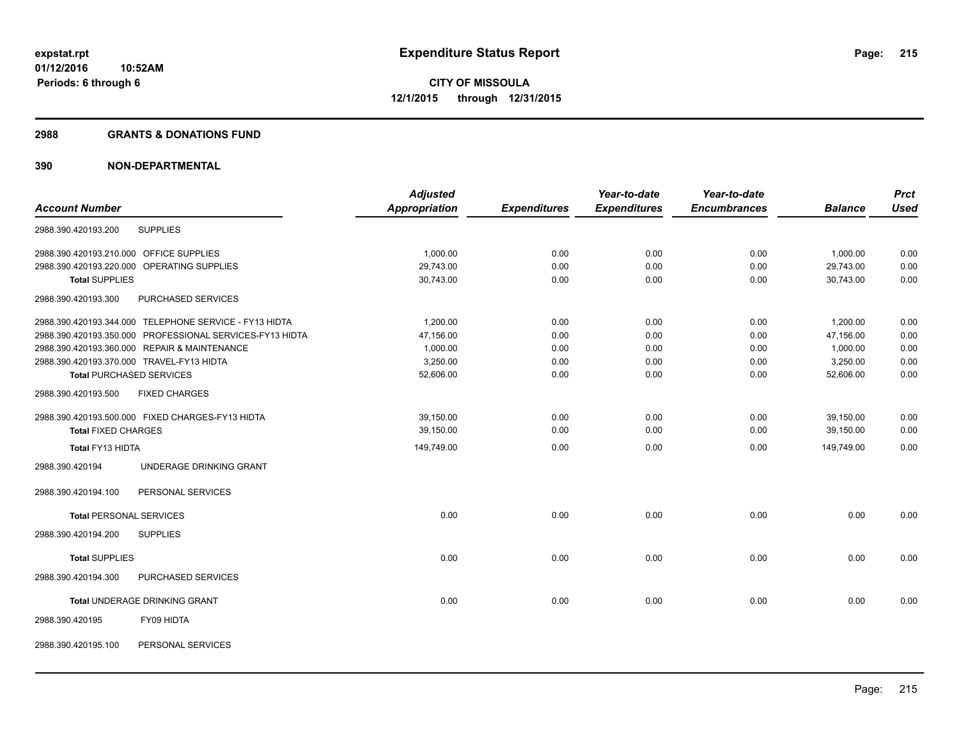#### **2988 GRANTS & DONATIONS FUND**

|                                         |                                                          | <b>Adjusted</b> |                     | Year-to-date        | Year-to-date        |                | <b>Prct</b> |
|-----------------------------------------|----------------------------------------------------------|-----------------|---------------------|---------------------|---------------------|----------------|-------------|
| <b>Account Number</b>                   |                                                          | Appropriation   | <b>Expenditures</b> | <b>Expenditures</b> | <b>Encumbrances</b> | <b>Balance</b> | <b>Used</b> |
| 2988.390.420193.200                     | <b>SUPPLIES</b>                                          |                 |                     |                     |                     |                |             |
| 2988.390.420193.210.000 OFFICE SUPPLIES |                                                          | 1,000.00        | 0.00                | 0.00                | 0.00                | 1,000.00       | 0.00        |
|                                         | 2988.390.420193.220.000 OPERATING SUPPLIES               | 29,743.00       | 0.00                | 0.00                | 0.00                | 29,743.00      | 0.00        |
| <b>Total SUPPLIES</b>                   |                                                          | 30,743.00       | 0.00                | 0.00                | 0.00                | 30,743.00      | 0.00        |
| 2988.390.420193.300                     | PURCHASED SERVICES                                       |                 |                     |                     |                     |                |             |
|                                         | 2988.390.420193.344.000 TELEPHONE SERVICE - FY13 HIDTA   | 1,200.00        | 0.00                | 0.00                | 0.00                | 1,200.00       | 0.00        |
|                                         | 2988.390.420193.350.000 PROFESSIONAL SERVICES-FY13 HIDTA | 47,156.00       | 0.00                | 0.00                | 0.00                | 47,156.00      | 0.00        |
|                                         | 2988.390.420193.360.000 REPAIR & MAINTENANCE             | 1,000.00        | 0.00                | 0.00                | 0.00                | 1,000.00       | 0.00        |
|                                         | 2988.390.420193.370.000 TRAVEL-FY13 HIDTA                | 3,250.00        | 0.00                | 0.00                | 0.00                | 3,250.00       | 0.00        |
|                                         | <b>Total PURCHASED SERVICES</b>                          | 52,606.00       | 0.00                | 0.00                | 0.00                | 52,606.00      | 0.00        |
| 2988.390.420193.500                     | <b>FIXED CHARGES</b>                                     |                 |                     |                     |                     |                |             |
|                                         | 2988.390.420193.500.000 FIXED CHARGES-FY13 HIDTA         | 39,150.00       | 0.00                | 0.00                | 0.00                | 39,150.00      | 0.00        |
| <b>Total FIXED CHARGES</b>              |                                                          | 39.150.00       | 0.00                | 0.00                | 0.00                | 39,150.00      | 0.00        |
| Total FY13 HIDTA                        |                                                          | 149,749.00      | 0.00                | 0.00                | 0.00                | 149.749.00     | 0.00        |
| 2988.390.420194                         | UNDERAGE DRINKING GRANT                                  |                 |                     |                     |                     |                |             |
| 2988.390.420194.100                     | PERSONAL SERVICES                                        |                 |                     |                     |                     |                |             |
| <b>Total PERSONAL SERVICES</b>          |                                                          | 0.00            | 0.00                | 0.00                | 0.00                | 0.00           | 0.00        |
| 2988.390.420194.200                     | <b>SUPPLIES</b>                                          |                 |                     |                     |                     |                |             |
| <b>Total SUPPLIES</b>                   |                                                          | 0.00            | 0.00                | 0.00                | 0.00                | 0.00           | 0.00        |
| 2988.390.420194.300                     | PURCHASED SERVICES                                       |                 |                     |                     |                     |                |             |
|                                         | <b>Total UNDERAGE DRINKING GRANT</b>                     | 0.00            | 0.00                | 0.00                | 0.00                | 0.00           | 0.00        |
| 2988.390.420195                         | FY09 HIDTA                                               |                 |                     |                     |                     |                |             |
| 2988.390.420195.100                     | PERSONAL SERVICES                                        |                 |                     |                     |                     |                |             |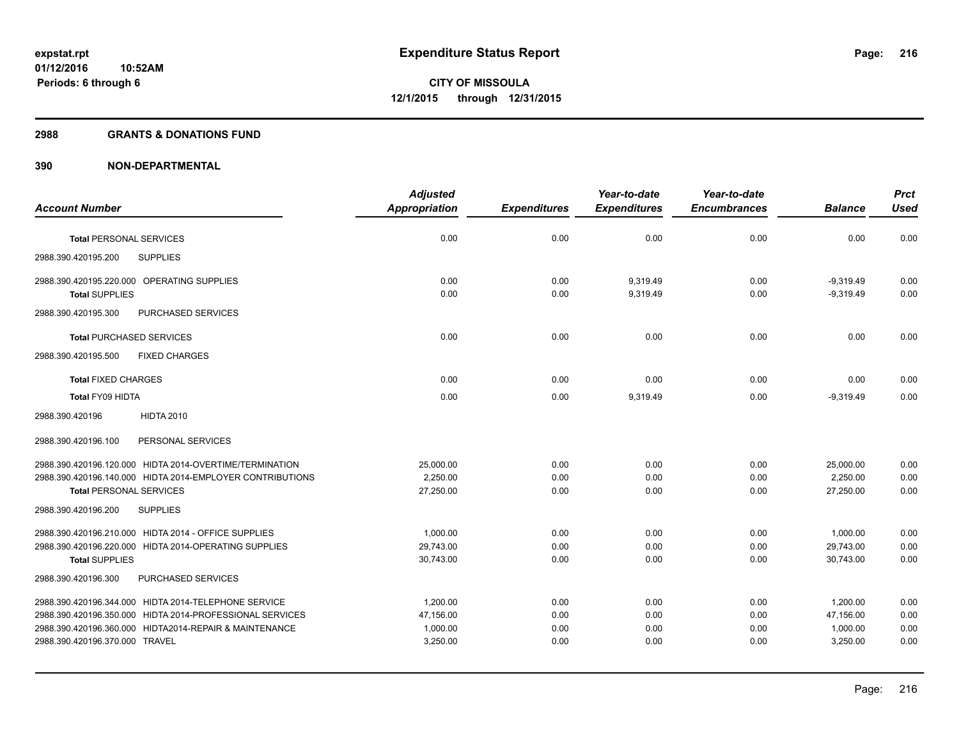#### **2988 GRANTS & DONATIONS FUND**

|                                 |                                                           | <b>Adjusted</b>      |                     | Year-to-date        | Year-to-date        |                | <b>Prct</b> |
|---------------------------------|-----------------------------------------------------------|----------------------|---------------------|---------------------|---------------------|----------------|-------------|
| <b>Account Number</b>           |                                                           | <b>Appropriation</b> | <b>Expenditures</b> | <b>Expenditures</b> | <b>Encumbrances</b> | <b>Balance</b> | <b>Used</b> |
| <b>Total PERSONAL SERVICES</b>  |                                                           | 0.00                 | 0.00                | 0.00                | 0.00                | 0.00           | 0.00        |
| 2988.390.420195.200             | <b>SUPPLIES</b>                                           |                      |                     |                     |                     |                |             |
|                                 | 2988.390.420195.220.000 OPERATING SUPPLIES                | 0.00                 | 0.00                | 9,319.49            | 0.00                | $-9,319.49$    | 0.00        |
| <b>Total SUPPLIES</b>           |                                                           | 0.00                 | 0.00                | 9,319.49            | 0.00                | $-9,319.49$    | 0.00        |
| 2988.390.420195.300             | PURCHASED SERVICES                                        |                      |                     |                     |                     |                |             |
| <b>Total PURCHASED SERVICES</b> |                                                           | 0.00                 | 0.00                | 0.00                | 0.00                | 0.00           | 0.00        |
| 2988.390.420195.500             | <b>FIXED CHARGES</b>                                      |                      |                     |                     |                     |                |             |
| <b>Total FIXED CHARGES</b>      |                                                           | 0.00                 | 0.00                | 0.00                | 0.00                | 0.00           | 0.00        |
| Total FY09 HIDTA                |                                                           | 0.00                 | 0.00                | 9,319.49            | 0.00                | $-9.319.49$    | 0.00        |
| 2988.390.420196                 | <b>HIDTA 2010</b>                                         |                      |                     |                     |                     |                |             |
| 2988.390.420196.100             | PERSONAL SERVICES                                         |                      |                     |                     |                     |                |             |
|                                 | 2988.390.420196.120.000 HIDTA 2014-OVERTIME/TERMINATION   | 25.000.00            | 0.00                | 0.00                | 0.00                | 25,000.00      | 0.00        |
|                                 | 2988.390.420196.140.000 HIDTA 2014-EMPLOYER CONTRIBUTIONS | 2.250.00             | 0.00                | 0.00                | 0.00                | 2.250.00       | 0.00        |
| <b>Total PERSONAL SERVICES</b>  |                                                           | 27,250.00            | 0.00                | 0.00                | 0.00                | 27,250.00      | 0.00        |
| 2988.390.420196.200             | <b>SUPPLIES</b>                                           |                      |                     |                     |                     |                |             |
|                                 | 2988.390.420196.210.000 HIDTA 2014 - OFFICE SUPPLIES      | 1,000.00             | 0.00                | 0.00                | 0.00                | 1,000.00       | 0.00        |
|                                 | 2988.390.420196.220.000 HIDTA 2014-OPERATING SUPPLIES     | 29,743.00            | 0.00                | 0.00                | 0.00                | 29,743.00      | 0.00        |
| <b>Total SUPPLIES</b>           |                                                           | 30,743.00            | 0.00                | 0.00                | 0.00                | 30,743.00      | 0.00        |
| 2988.390.420196.300             | PURCHASED SERVICES                                        |                      |                     |                     |                     |                |             |
|                                 | 2988.390.420196.344.000 HIDTA 2014-TELEPHONE SERVICE      | 1.200.00             | 0.00                | 0.00                | 0.00                | 1,200.00       | 0.00        |
|                                 | 2988.390.420196.350.000 HIDTA 2014-PROFESSIONAL SERVICES  | 47,156.00            | 0.00                | 0.00                | 0.00                | 47,156.00      | 0.00        |
|                                 | 2988.390.420196.360.000 HIDTA2014-REPAIR & MAINTENANCE    | 1,000.00             | 0.00                | 0.00                | 0.00                | 1,000.00       | 0.00        |
| 2988.390.420196.370.000 TRAVEL  |                                                           | 3,250.00             | 0.00                | 0.00                | 0.00                | 3,250.00       | 0.00        |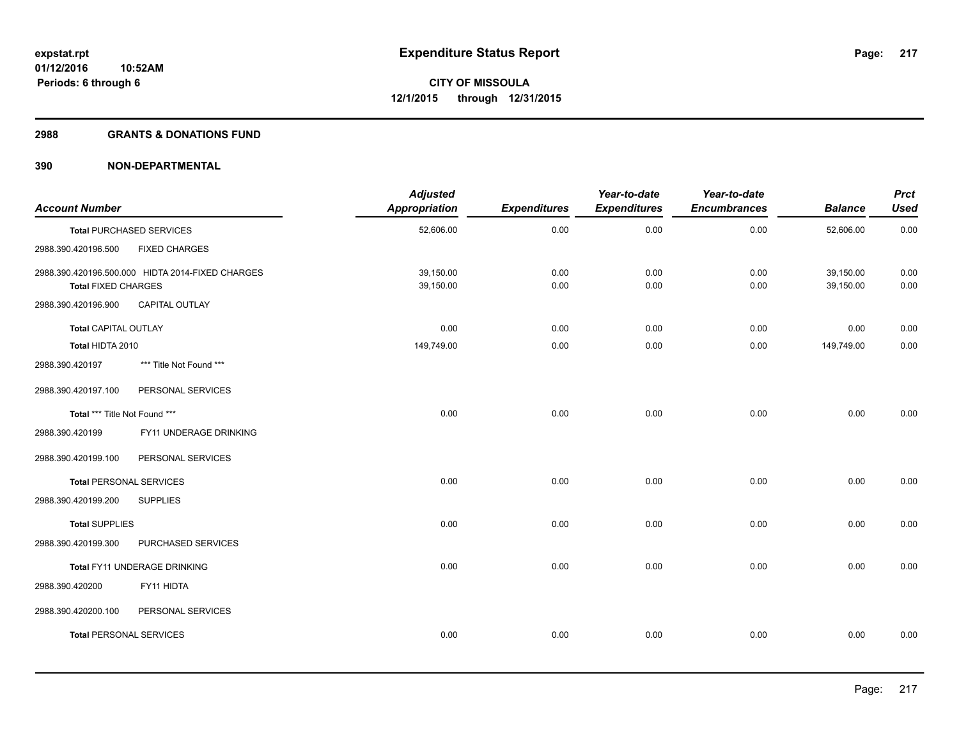#### **2988 GRANTS & DONATIONS FUND**

| <b>Account Number</b>          |                                                  | <b>Adjusted</b><br><b>Appropriation</b> | <b>Expenditures</b> | Year-to-date<br><b>Expenditures</b> | Year-to-date<br><b>Encumbrances</b> | <b>Balance</b>         | <b>Prct</b><br><b>Used</b> |
|--------------------------------|--------------------------------------------------|-----------------------------------------|---------------------|-------------------------------------|-------------------------------------|------------------------|----------------------------|
|                                | <b>Total PURCHASED SERVICES</b>                  | 52,606.00                               | 0.00                | 0.00                                | 0.00                                | 52,606.00              | 0.00                       |
| 2988.390.420196.500            | <b>FIXED CHARGES</b>                             |                                         |                     |                                     |                                     |                        |                            |
| <b>Total FIXED CHARGES</b>     | 2988.390.420196.500.000 HIDTA 2014-FIXED CHARGES | 39,150.00<br>39,150.00                  | 0.00<br>0.00        | 0.00<br>0.00                        | 0.00<br>0.00                        | 39,150.00<br>39,150.00 | 0.00<br>0.00               |
| 2988.390.420196.900            | <b>CAPITAL OUTLAY</b>                            |                                         |                     |                                     |                                     |                        |                            |
| <b>Total CAPITAL OUTLAY</b>    |                                                  | 0.00                                    | 0.00                | 0.00                                | 0.00                                | 0.00                   | 0.00                       |
| Total HIDTA 2010               |                                                  | 149,749.00                              | 0.00                | 0.00                                | 0.00                                | 149,749.00             | 0.00                       |
| 2988.390.420197                | *** Title Not Found ***                          |                                         |                     |                                     |                                     |                        |                            |
| 2988.390.420197.100            | PERSONAL SERVICES                                |                                         |                     |                                     |                                     |                        |                            |
| Total *** Title Not Found ***  |                                                  | 0.00                                    | 0.00                | 0.00                                | 0.00                                | 0.00                   | 0.00                       |
| 2988.390.420199                | FY11 UNDERAGE DRINKING                           |                                         |                     |                                     |                                     |                        |                            |
| 2988.390.420199.100            | PERSONAL SERVICES                                |                                         |                     |                                     |                                     |                        |                            |
| <b>Total PERSONAL SERVICES</b> |                                                  | 0.00                                    | 0.00                | 0.00                                | 0.00                                | 0.00                   | 0.00                       |
| 2988.390.420199.200            | <b>SUPPLIES</b>                                  |                                         |                     |                                     |                                     |                        |                            |
| <b>Total SUPPLIES</b>          |                                                  | 0.00                                    | 0.00                | 0.00                                | 0.00                                | 0.00                   | 0.00                       |
| 2988.390.420199.300            | PURCHASED SERVICES                               |                                         |                     |                                     |                                     |                        |                            |
|                                | Total FY11 UNDERAGE DRINKING                     | 0.00                                    | 0.00                | 0.00                                | 0.00                                | 0.00                   | 0.00                       |
| 2988.390.420200                | FY11 HIDTA                                       |                                         |                     |                                     |                                     |                        |                            |
| 2988.390.420200.100            | PERSONAL SERVICES                                |                                         |                     |                                     |                                     |                        |                            |
| <b>Total PERSONAL SERVICES</b> |                                                  | 0.00                                    | 0.00                | 0.00                                | 0.00                                | 0.00                   | 0.00                       |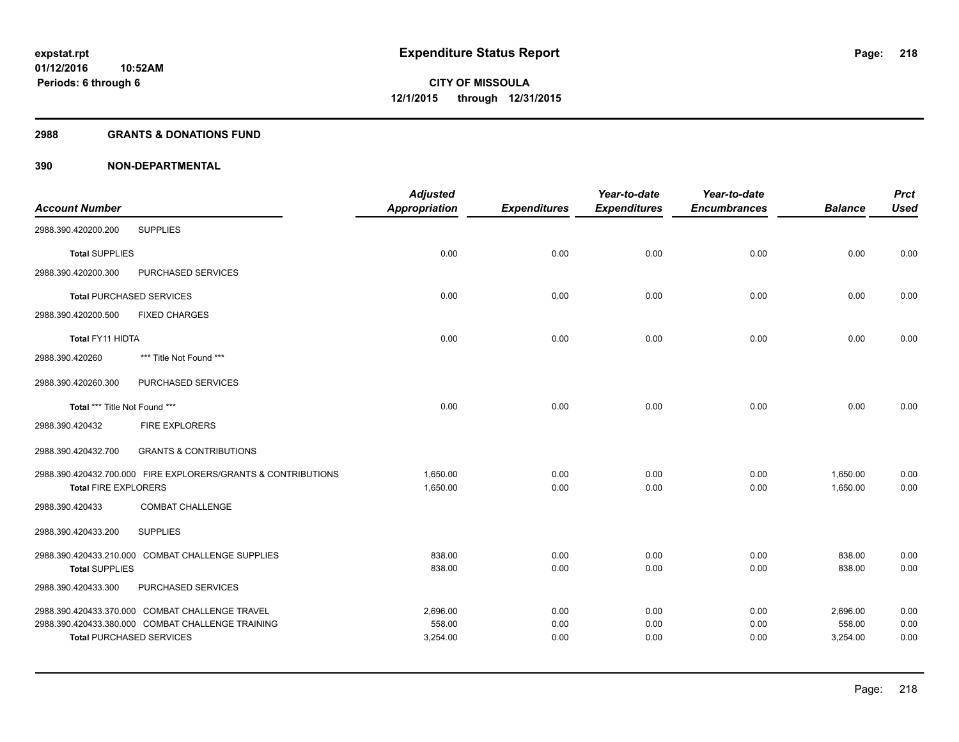#### **2988 GRANTS & DONATIONS FUND**

| <b>Account Number</b>         |                                                               | <b>Adjusted</b><br><b>Appropriation</b> | <b>Expenditures</b> | Year-to-date<br><b>Expenditures</b> | Year-to-date<br><b>Encumbrances</b> | <b>Balance</b> | <b>Prct</b><br><b>Used</b> |
|-------------------------------|---------------------------------------------------------------|-----------------------------------------|---------------------|-------------------------------------|-------------------------------------|----------------|----------------------------|
|                               |                                                               |                                         |                     |                                     |                                     |                |                            |
| 2988.390.420200.200           | <b>SUPPLIES</b>                                               |                                         |                     |                                     |                                     |                |                            |
| <b>Total SUPPLIES</b>         |                                                               | 0.00                                    | 0.00                | 0.00                                | 0.00                                | 0.00           | 0.00                       |
| 2988.390.420200.300           | PURCHASED SERVICES                                            |                                         |                     |                                     |                                     |                |                            |
|                               | <b>Total PURCHASED SERVICES</b>                               | 0.00                                    | 0.00                | 0.00                                | 0.00                                | 0.00           | 0.00                       |
| 2988.390.420200.500           | <b>FIXED CHARGES</b>                                          |                                         |                     |                                     |                                     |                |                            |
| Total FY11 HIDTA              |                                                               | 0.00                                    | 0.00                | 0.00                                | 0.00                                | 0.00           | 0.00                       |
| 2988.390.420260               | *** Title Not Found ***                                       |                                         |                     |                                     |                                     |                |                            |
| 2988.390.420260.300           | PURCHASED SERVICES                                            |                                         |                     |                                     |                                     |                |                            |
| Total *** Title Not Found *** |                                                               | 0.00                                    | 0.00                | 0.00                                | 0.00                                | 0.00           | 0.00                       |
| 2988.390.420432               | <b>FIRE EXPLORERS</b>                                         |                                         |                     |                                     |                                     |                |                            |
| 2988.390.420432.700           | <b>GRANTS &amp; CONTRIBUTIONS</b>                             |                                         |                     |                                     |                                     |                |                            |
|                               | 2988.390.420432.700.000 FIRE EXPLORERS/GRANTS & CONTRIBUTIONS | 1,650.00                                | 0.00                | 0.00                                | 0.00                                | 1,650.00       | 0.00                       |
| <b>Total FIRE EXPLORERS</b>   |                                                               | 1,650.00                                | 0.00                | 0.00                                | 0.00                                | 1,650.00       | 0.00                       |
| 2988.390.420433               | <b>COMBAT CHALLENGE</b>                                       |                                         |                     |                                     |                                     |                |                            |
| 2988.390.420433.200           | <b>SUPPLIES</b>                                               |                                         |                     |                                     |                                     |                |                            |
|                               | 2988.390.420433.210.000 COMBAT CHALLENGE SUPPLIES             | 838.00                                  | 0.00                | 0.00                                | 0.00                                | 838.00         | 0.00                       |
| <b>Total SUPPLIES</b>         |                                                               | 838.00                                  | 0.00                | 0.00                                | 0.00                                | 838.00         | 0.00                       |
| 2988.390.420433.300           | PURCHASED SERVICES                                            |                                         |                     |                                     |                                     |                |                            |
|                               | 2988.390.420433.370.000 COMBAT CHALLENGE TRAVEL               | 2,696.00                                | 0.00                | 0.00                                | 0.00                                | 2,696.00       | 0.00                       |
|                               | 2988.390.420433.380.000 COMBAT CHALLENGE TRAINING             | 558.00                                  | 0.00                | 0.00                                | 0.00                                | 558.00         | 0.00                       |
|                               | <b>Total PURCHASED SERVICES</b>                               | 3,254.00                                | 0.00                | 0.00                                | 0.00                                | 3,254.00       | 0.00                       |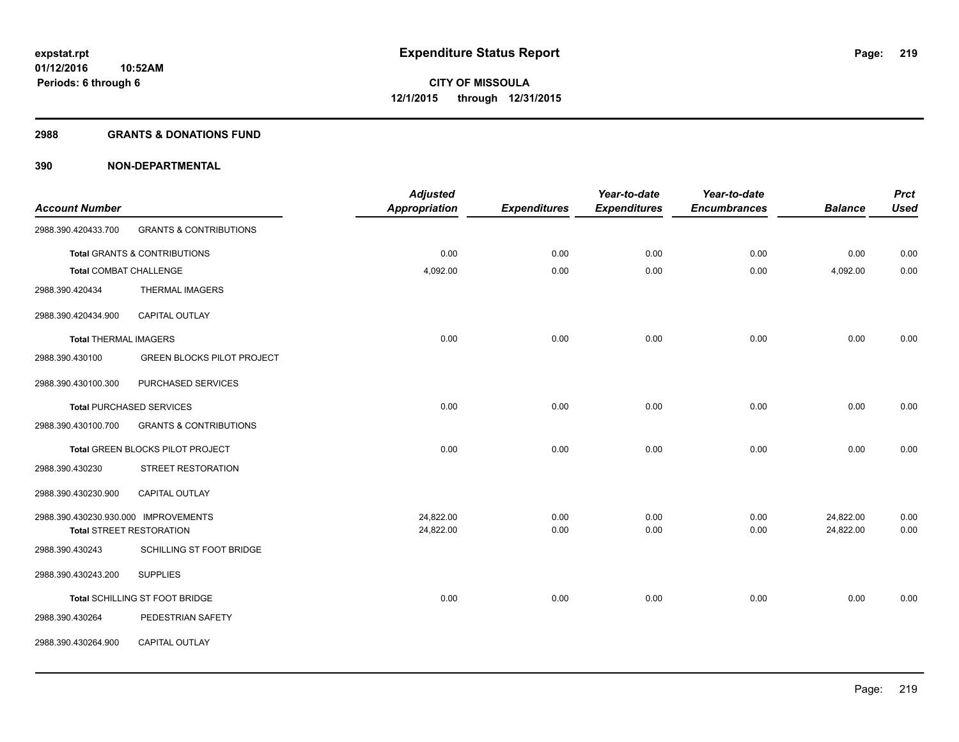#### **2988 GRANTS & DONATIONS FUND**

| <b>Account Number</b>                |                                         | <b>Adjusted</b><br><b>Appropriation</b> | <b>Expenditures</b> | Year-to-date<br><b>Expenditures</b> | Year-to-date<br><b>Encumbrances</b> | <b>Balance</b> | <b>Prct</b><br><b>Used</b> |
|--------------------------------------|-----------------------------------------|-----------------------------------------|---------------------|-------------------------------------|-------------------------------------|----------------|----------------------------|
| 2988.390.420433.700                  | <b>GRANTS &amp; CONTRIBUTIONS</b>       |                                         |                     |                                     |                                     |                |                            |
|                                      | <b>Total GRANTS &amp; CONTRIBUTIONS</b> | 0.00                                    | 0.00                | 0.00                                | 0.00                                | 0.00           | 0.00                       |
| <b>Total COMBAT CHALLENGE</b>        |                                         | 4,092.00                                | 0.00                | 0.00                                | 0.00                                | 4,092.00       | 0.00                       |
| 2988.390.420434                      | <b>THERMAL IMAGERS</b>                  |                                         |                     |                                     |                                     |                |                            |
| 2988.390.420434.900                  | <b>CAPITAL OUTLAY</b>                   |                                         |                     |                                     |                                     |                |                            |
| <b>Total THERMAL IMAGERS</b>         |                                         | 0.00                                    | 0.00                | 0.00                                | 0.00                                | 0.00           | 0.00                       |
| 2988.390.430100                      | <b>GREEN BLOCKS PILOT PROJECT</b>       |                                         |                     |                                     |                                     |                |                            |
| 2988.390.430100.300                  | PURCHASED SERVICES                      |                                         |                     |                                     |                                     |                |                            |
|                                      | <b>Total PURCHASED SERVICES</b>         | 0.00                                    | 0.00                | 0.00                                | 0.00                                | 0.00           | 0.00                       |
| 2988.390.430100.700                  | <b>GRANTS &amp; CONTRIBUTIONS</b>       |                                         |                     |                                     |                                     |                |                            |
|                                      | Total GREEN BLOCKS PILOT PROJECT        | 0.00                                    | 0.00                | 0.00                                | 0.00                                | 0.00           | 0.00                       |
| 2988.390.430230                      | STREET RESTORATION                      |                                         |                     |                                     |                                     |                |                            |
| 2988.390.430230.900                  | CAPITAL OUTLAY                          |                                         |                     |                                     |                                     |                |                            |
| 2988.390.430230.930.000 IMPROVEMENTS |                                         | 24,822.00                               | 0.00                | 0.00                                | 0.00                                | 24,822.00      | 0.00                       |
|                                      | <b>Total STREET RESTORATION</b>         | 24,822.00                               | 0.00                | 0.00                                | 0.00                                | 24,822.00      | 0.00                       |
| 2988.390.430243                      | SCHILLING ST FOOT BRIDGE                |                                         |                     |                                     |                                     |                |                            |
| 2988.390.430243.200                  | <b>SUPPLIES</b>                         |                                         |                     |                                     |                                     |                |                            |
|                                      | Total SCHILLING ST FOOT BRIDGE          | 0.00                                    | 0.00                | 0.00                                | 0.00                                | 0.00           | 0.00                       |
| 2988.390.430264                      | PEDESTRIAN SAFETY                       |                                         |                     |                                     |                                     |                |                            |
| 2988.390.430264.900                  | <b>CAPITAL OUTLAY</b>                   |                                         |                     |                                     |                                     |                |                            |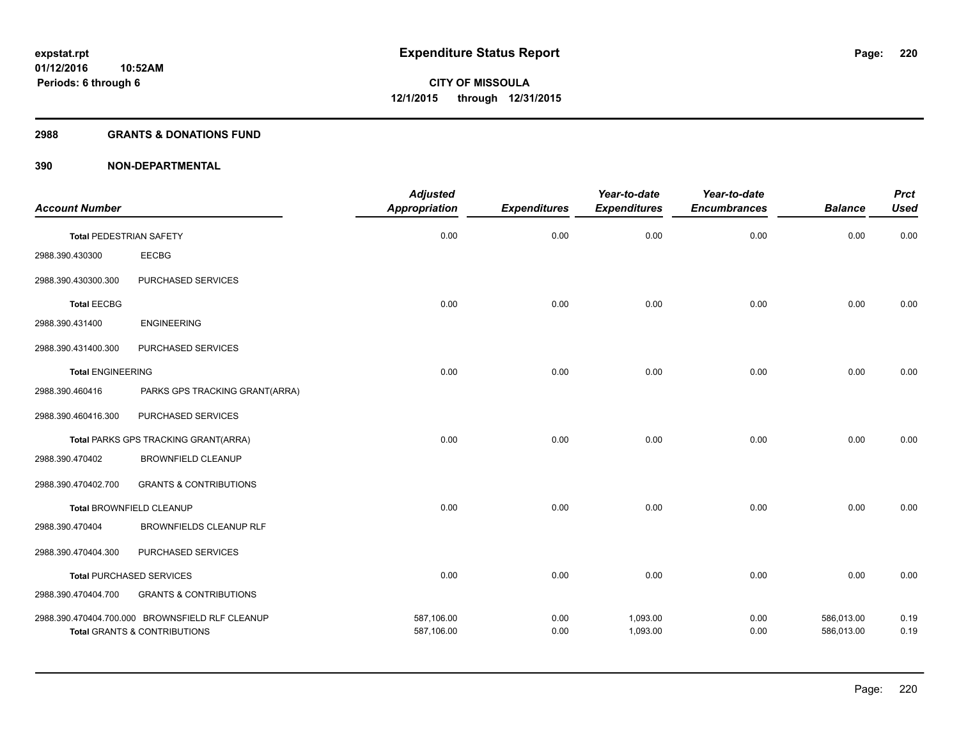#### **2988 GRANTS & DONATIONS FUND**

| <b>Account Number</b>          |                                                                                            | <b>Adjusted</b><br><b>Appropriation</b> | <b>Expenditures</b> | Year-to-date<br><b>Expenditures</b> | Year-to-date<br><b>Encumbrances</b> | <b>Balance</b>           | <b>Prct</b><br><b>Used</b> |
|--------------------------------|--------------------------------------------------------------------------------------------|-----------------------------------------|---------------------|-------------------------------------|-------------------------------------|--------------------------|----------------------------|
| <b>Total PEDESTRIAN SAFETY</b> |                                                                                            | 0.00                                    | 0.00                | 0.00                                | 0.00                                | 0.00                     | 0.00                       |
| 2988.390.430300                | <b>EECBG</b>                                                                               |                                         |                     |                                     |                                     |                          |                            |
| 2988.390.430300.300            | PURCHASED SERVICES                                                                         |                                         |                     |                                     |                                     |                          |                            |
| <b>Total EECBG</b>             |                                                                                            | 0.00                                    | 0.00                | 0.00                                | 0.00                                | 0.00                     | 0.00                       |
| 2988.390.431400                | <b>ENGINEERING</b>                                                                         |                                         |                     |                                     |                                     |                          |                            |
| 2988.390.431400.300            | PURCHASED SERVICES                                                                         |                                         |                     |                                     |                                     |                          |                            |
| <b>Total ENGINEERING</b>       |                                                                                            | 0.00                                    | 0.00                | 0.00                                | 0.00                                | 0.00                     | 0.00                       |
| 2988.390.460416                | PARKS GPS TRACKING GRANT(ARRA)                                                             |                                         |                     |                                     |                                     |                          |                            |
| 2988.390.460416.300            | PURCHASED SERVICES                                                                         |                                         |                     |                                     |                                     |                          |                            |
|                                | Total PARKS GPS TRACKING GRANT(ARRA)                                                       | 0.00                                    | 0.00                | 0.00                                | 0.00                                | 0.00                     | 0.00                       |
| 2988.390.470402                | <b>BROWNFIELD CLEANUP</b>                                                                  |                                         |                     |                                     |                                     |                          |                            |
| 2988.390.470402.700            | <b>GRANTS &amp; CONTRIBUTIONS</b>                                                          |                                         |                     |                                     |                                     |                          |                            |
|                                | Total BROWNFIELD CLEANUP                                                                   | 0.00                                    | 0.00                | 0.00                                | 0.00                                | 0.00                     | 0.00                       |
| 2988.390.470404                | BROWNFIELDS CLEANUP RLF                                                                    |                                         |                     |                                     |                                     |                          |                            |
| 2988.390.470404.300            | PURCHASED SERVICES                                                                         |                                         |                     |                                     |                                     |                          |                            |
|                                | <b>Total PURCHASED SERVICES</b>                                                            | 0.00                                    | 0.00                | 0.00                                | 0.00                                | 0.00                     | 0.00                       |
| 2988.390.470404.700            | <b>GRANTS &amp; CONTRIBUTIONS</b>                                                          |                                         |                     |                                     |                                     |                          |                            |
|                                | 2988.390.470404.700.000 BROWNSFIELD RLF CLEANUP<br><b>Total GRANTS &amp; CONTRIBUTIONS</b> | 587,106.00<br>587,106.00                | 0.00<br>0.00        | 1,093.00<br>1,093.00                | 0.00<br>0.00                        | 586,013.00<br>586,013.00 | 0.19<br>0.19               |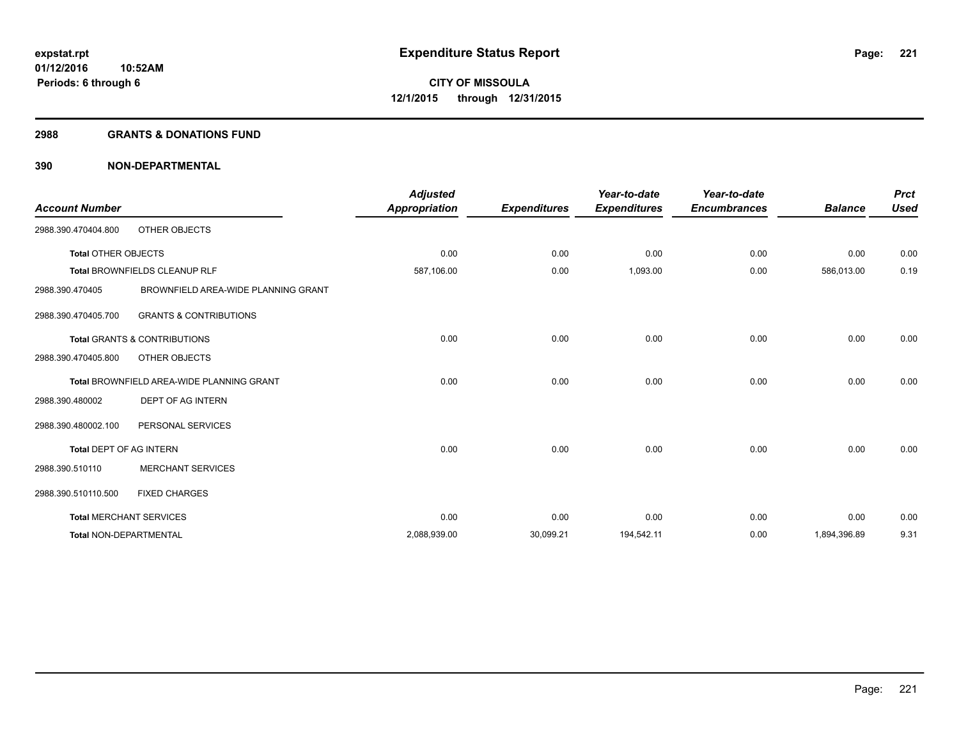#### **2988 GRANTS & DONATIONS FUND**

| <b>Account Number</b>          |                                           | <b>Adjusted</b><br>Appropriation | <b>Expenditures</b> | Year-to-date<br><b>Expenditures</b> | Year-to-date<br><b>Encumbrances</b> | <b>Balance</b> | <b>Prct</b><br><b>Used</b> |
|--------------------------------|-------------------------------------------|----------------------------------|---------------------|-------------------------------------|-------------------------------------|----------------|----------------------------|
| 2988.390.470404.800            | OTHER OBJECTS                             |                                  |                     |                                     |                                     |                |                            |
| <b>Total OTHER OBJECTS</b>     |                                           | 0.00                             | 0.00                | 0.00                                | 0.00                                | 0.00           | 0.00                       |
|                                | Total BROWNFIELDS CLEANUP RLF             | 587,106.00                       | 0.00                | 1,093.00                            | 0.00                                | 586,013.00     | 0.19                       |
| 2988.390.470405                | BROWNFIELD AREA-WIDE PLANNING GRANT       |                                  |                     |                                     |                                     |                |                            |
| 2988.390.470405.700            | <b>GRANTS &amp; CONTRIBUTIONS</b>         |                                  |                     |                                     |                                     |                |                            |
|                                | <b>Total GRANTS &amp; CONTRIBUTIONS</b>   | 0.00                             | 0.00                | 0.00                                | 0.00                                | 0.00           | 0.00                       |
| 2988.390.470405.800            | OTHER OBJECTS                             |                                  |                     |                                     |                                     |                |                            |
|                                | Total BROWNFIELD AREA-WIDE PLANNING GRANT | 0.00                             | 0.00                | 0.00                                | 0.00                                | 0.00           | 0.00                       |
| 2988.390.480002                | <b>DEPT OF AG INTERN</b>                  |                                  |                     |                                     |                                     |                |                            |
| 2988.390.480002.100            | PERSONAL SERVICES                         |                                  |                     |                                     |                                     |                |                            |
| <b>Total DEPT OF AG INTERN</b> |                                           | 0.00                             | 0.00                | 0.00                                | 0.00                                | 0.00           | 0.00                       |
| 2988.390.510110                | <b>MERCHANT SERVICES</b>                  |                                  |                     |                                     |                                     |                |                            |
| 2988.390.510110.500            | <b>FIXED CHARGES</b>                      |                                  |                     |                                     |                                     |                |                            |
|                                | <b>Total MERCHANT SERVICES</b>            | 0.00                             | 0.00                | 0.00                                | 0.00                                | 0.00           | 0.00                       |
| <b>Total NON-DEPARTMENTAL</b>  |                                           | 2,088,939.00                     | 30,099.21           | 194,542.11                          | 0.00                                | 1,894,396.89   | 9.31                       |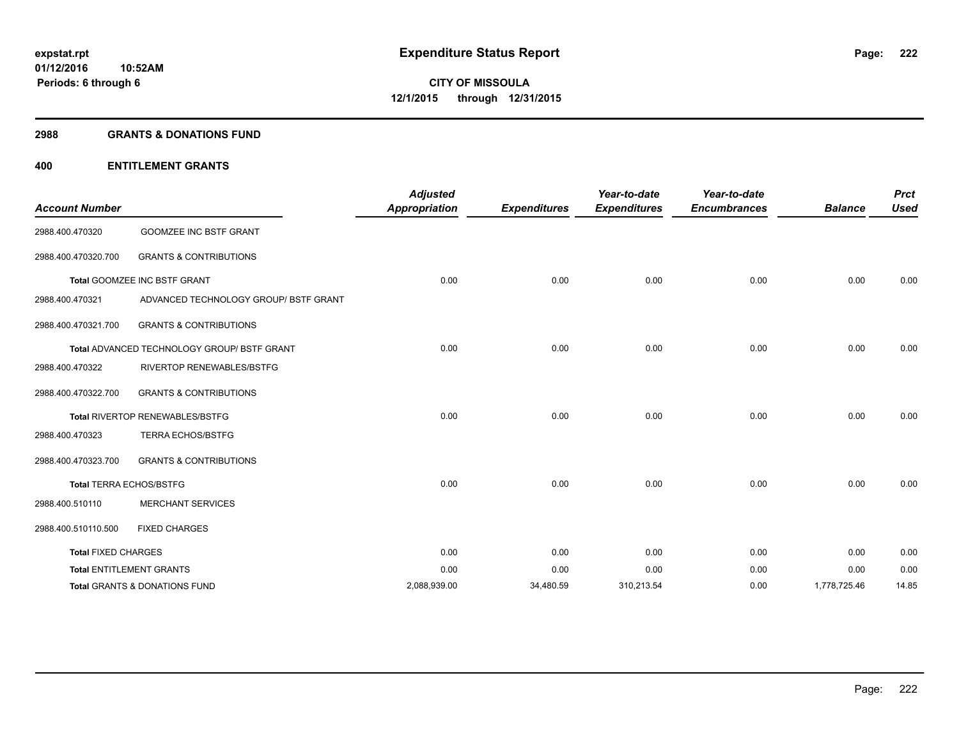#### **2988 GRANTS & DONATIONS FUND**

#### **400 ENTITLEMENT GRANTS**

| <b>Account Number</b>      |                                                    | <b>Adjusted</b><br><b>Appropriation</b> | <b>Expenditures</b> | Year-to-date<br><b>Expenditures</b> | Year-to-date<br><b>Encumbrances</b> | <b>Balance</b> | <b>Prct</b><br><b>Used</b> |
|----------------------------|----------------------------------------------------|-----------------------------------------|---------------------|-------------------------------------|-------------------------------------|----------------|----------------------------|
| 2988.400.470320            | <b>GOOMZEE INC BSTF GRANT</b>                      |                                         |                     |                                     |                                     |                |                            |
| 2988.400.470320.700        | <b>GRANTS &amp; CONTRIBUTIONS</b>                  |                                         |                     |                                     |                                     |                |                            |
|                            | Total GOOMZEE INC BSTF GRANT                       | 0.00                                    | 0.00                | 0.00                                | 0.00                                | 0.00           | 0.00                       |
| 2988.400.470321            | ADVANCED TECHNOLOGY GROUP/ BSTF GRANT              |                                         |                     |                                     |                                     |                |                            |
| 2988.400.470321.700        | <b>GRANTS &amp; CONTRIBUTIONS</b>                  |                                         |                     |                                     |                                     |                |                            |
|                            | <b>Total ADVANCED TECHNOLOGY GROUP/ BSTF GRANT</b> | 0.00                                    | 0.00                | 0.00                                | 0.00                                | 0.00           | 0.00                       |
| 2988.400.470322            | RIVERTOP RENEWABLES/BSTFG                          |                                         |                     |                                     |                                     |                |                            |
| 2988.400.470322.700        | <b>GRANTS &amp; CONTRIBUTIONS</b>                  |                                         |                     |                                     |                                     |                |                            |
|                            | Total RIVERTOP RENEWABLES/BSTFG                    | 0.00                                    | 0.00                | 0.00                                | 0.00                                | 0.00           | 0.00                       |
| 2988.400.470323            | <b>TERRA ECHOS/BSTFG</b>                           |                                         |                     |                                     |                                     |                |                            |
| 2988.400.470323.700        | <b>GRANTS &amp; CONTRIBUTIONS</b>                  |                                         |                     |                                     |                                     |                |                            |
|                            | <b>Total TERRA ECHOS/BSTFG</b>                     | 0.00                                    | 0.00                | 0.00                                | 0.00                                | 0.00           | 0.00                       |
| 2988.400.510110            | <b>MERCHANT SERVICES</b>                           |                                         |                     |                                     |                                     |                |                            |
| 2988.400.510110.500        | <b>FIXED CHARGES</b>                               |                                         |                     |                                     |                                     |                |                            |
| <b>Total FIXED CHARGES</b> |                                                    | 0.00                                    | 0.00                | 0.00                                | 0.00                                | 0.00           | 0.00                       |
|                            | <b>Total ENTITLEMENT GRANTS</b>                    | 0.00                                    | 0.00                | 0.00                                | 0.00                                | 0.00           | 0.00                       |
|                            | Total GRANTS & DONATIONS FUND                      | 2,088,939.00                            | 34,480.59           | 310,213.54                          | 0.00                                | 1,778,725.46   | 14.85                      |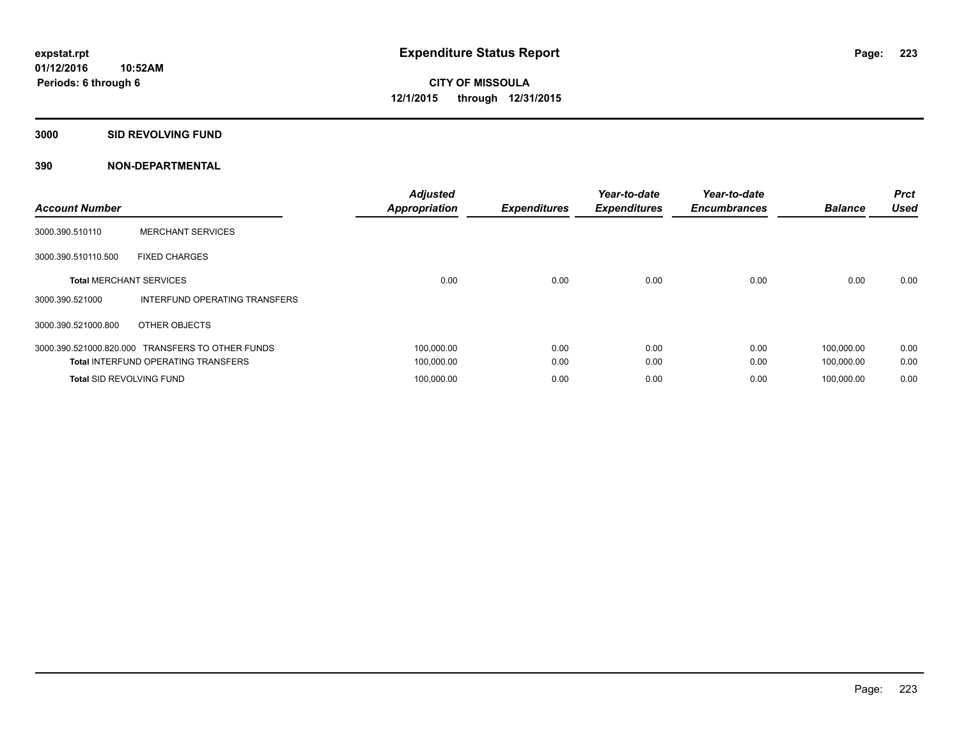#### **3000 SID REVOLVING FUND**

| <b>Account Number</b>           |                                                  | <b>Adjusted</b><br><b>Appropriation</b> | <b>Expenditures</b> | Year-to-date<br><b>Expenditures</b> | Year-to-date<br><b>Encumbrances</b> | <b>Balance</b> | <b>Prct</b><br><b>Used</b> |
|---------------------------------|--------------------------------------------------|-----------------------------------------|---------------------|-------------------------------------|-------------------------------------|----------------|----------------------------|
| 3000.390.510110                 | <b>MERCHANT SERVICES</b>                         |                                         |                     |                                     |                                     |                |                            |
| 3000.390.510110.500             | <b>FIXED CHARGES</b>                             |                                         |                     |                                     |                                     |                |                            |
| <b>Total MERCHANT SERVICES</b>  |                                                  | 0.00                                    | 0.00                | 0.00                                | 0.00                                | 0.00           | 0.00                       |
| 3000.390.521000                 | INTERFUND OPERATING TRANSFERS                    |                                         |                     |                                     |                                     |                |                            |
| 3000.390.521000.800             | OTHER OBJECTS                                    |                                         |                     |                                     |                                     |                |                            |
|                                 | 3000.390.521000.820.000 TRANSFERS TO OTHER FUNDS | 100,000.00                              | 0.00                | 0.00                                | 0.00                                | 100.000.00     | 0.00                       |
|                                 | <b>Total INTERFUND OPERATING TRANSFERS</b>       | 100,000.00                              | 0.00                | 0.00                                | 0.00                                | 100,000.00     | 0.00                       |
| <b>Total SID REVOLVING FUND</b> |                                                  | 100.000.00                              | 0.00                | 0.00                                | 0.00                                | 100.000.00     | 0.00                       |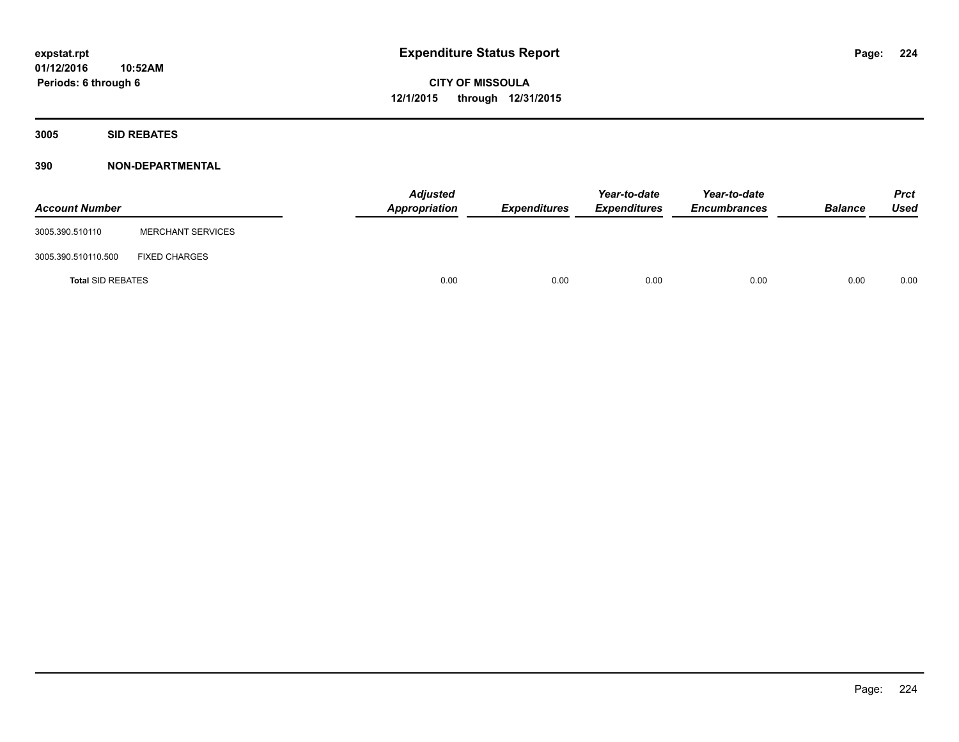**3005 SID REBATES**

| <b>Account Number</b>    |                          | <b>Adjusted</b><br>Appropriation | <b>Expenditures</b> | Year-to-date<br><b>Expenditures</b> | Year-to-date<br><b>Encumbrances</b> | <b>Balance</b> | Prct<br><b>Used</b> |
|--------------------------|--------------------------|----------------------------------|---------------------|-------------------------------------|-------------------------------------|----------------|---------------------|
| 3005.390.510110          | <b>MERCHANT SERVICES</b> |                                  |                     |                                     |                                     |                |                     |
| 3005.390.510110.500      | <b>FIXED CHARGES</b>     |                                  |                     |                                     |                                     |                |                     |
| <b>Total SID REBATES</b> |                          | 0.00                             | 0.00                | 0.00                                | 0.00                                | 0.00           | 0.00                |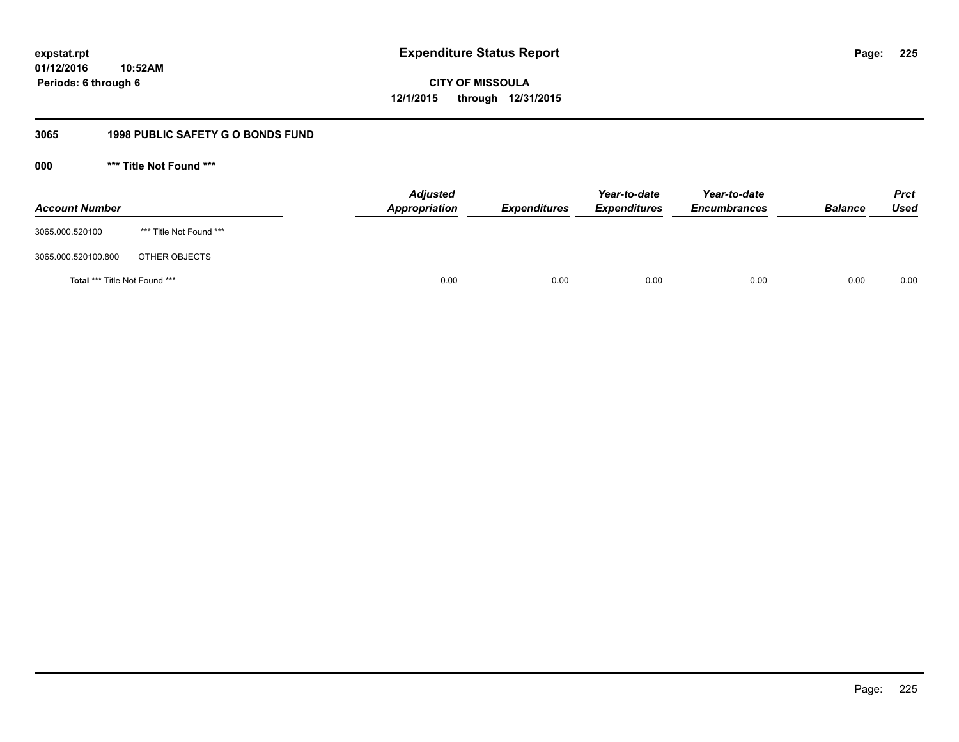## **01/12/2016 10:52AM Periods: 6 through 6**

**CITY OF MISSOULA 12/1/2015 through 12/31/2015**

## **3065 1998 PUBLIC SAFETY G O BONDS FUND**

**000 \*\*\* Title Not Found \*\*\***

| <b>Account Number</b>         |                         | <b>Adjusted</b><br>Appropriation | <b>Expenditures</b> | Year-to-date<br><b>Expenditures</b> | Year-to-date<br><b>Encumbrances</b> | <b>Balance</b> | <b>Prct</b><br><b>Used</b> |
|-------------------------------|-------------------------|----------------------------------|---------------------|-------------------------------------|-------------------------------------|----------------|----------------------------|
| 3065.000.520100               | *** Title Not Found *** |                                  |                     |                                     |                                     |                |                            |
| 3065.000.520100.800           | OTHER OBJECTS           |                                  |                     |                                     |                                     |                |                            |
| Total *** Title Not Found *** |                         | 0.00                             | 0.00                | 0.00                                | 0.00                                | 0.00           | 0.00                       |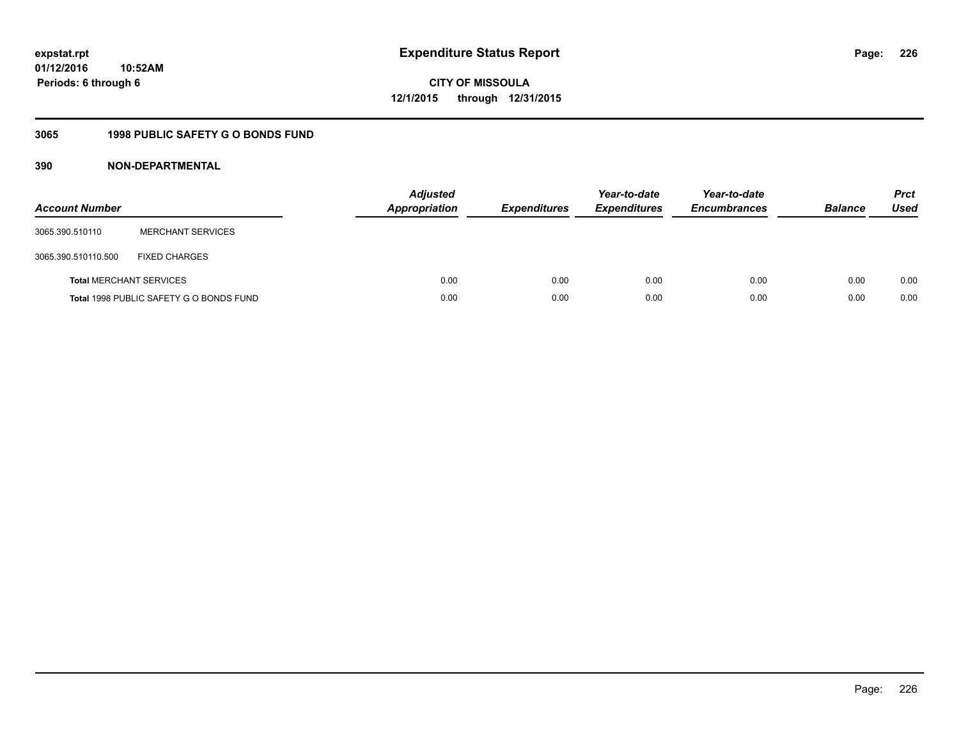## **01/12/2016 10:52AM Periods: 6 through 6**

**CITY OF MISSOULA 12/1/2015 through 12/31/2015**

## **3065 1998 PUBLIC SAFETY G O BONDS FUND**

| <b>Account Number</b>          |                                         | <b>Adjusted</b><br><b>Appropriation</b> | <b>Expenditures</b> | Year-to-date<br><b>Expenditures</b> | Year-to-date<br><b>Encumbrances</b> | <b>Balance</b> | <b>Prct</b><br>Used |
|--------------------------------|-----------------------------------------|-----------------------------------------|---------------------|-------------------------------------|-------------------------------------|----------------|---------------------|
| 3065.390.510110                | <b>MERCHANT SERVICES</b>                |                                         |                     |                                     |                                     |                |                     |
| 3065.390.510110.500            | <b>FIXED CHARGES</b>                    |                                         |                     |                                     |                                     |                |                     |
| <b>Total MERCHANT SERVICES</b> |                                         | 0.00                                    | 0.00                | 0.00                                | 0.00                                | 0.00           | 0.00                |
|                                | Total 1998 PUBLIC SAFETY G O BONDS FUND | 0.00                                    | 0.00                | 0.00                                | 0.00                                | 0.00           | 0.00                |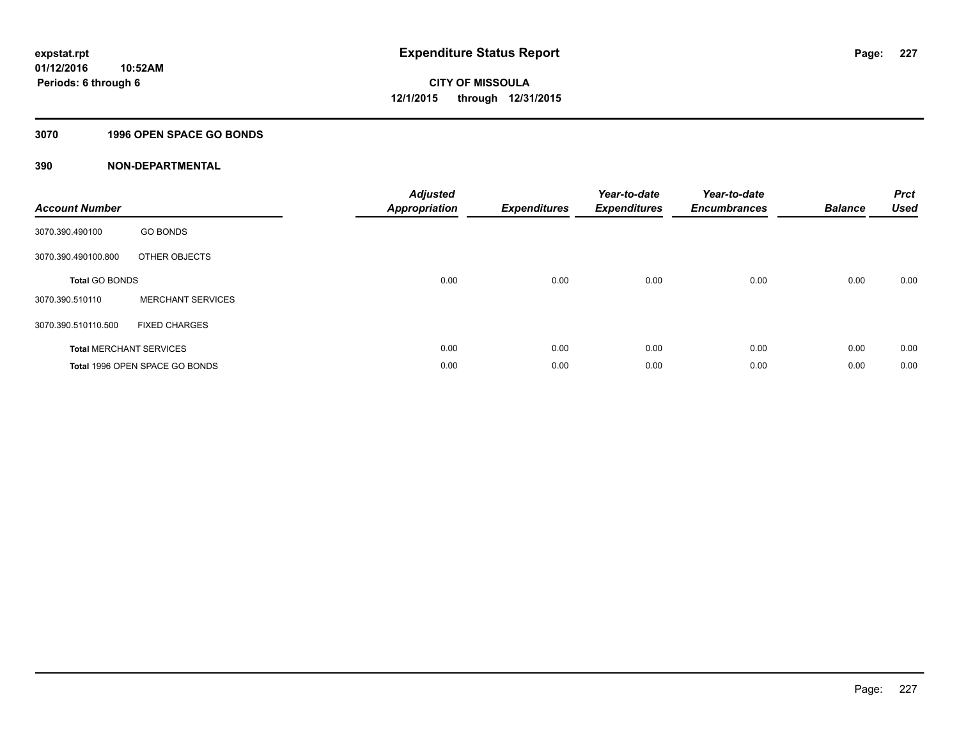#### **3070 1996 OPEN SPACE GO BONDS**

| <b>Account Number</b>          |                                | <b>Adjusted</b><br><b>Appropriation</b> | <b>Expenditures</b> | Year-to-date<br><b>Expenditures</b> | Year-to-date<br><b>Encumbrances</b> | <b>Balance</b> | <b>Prct</b><br><b>Used</b> |
|--------------------------------|--------------------------------|-----------------------------------------|---------------------|-------------------------------------|-------------------------------------|----------------|----------------------------|
| 3070.390.490100                | <b>GO BONDS</b>                |                                         |                     |                                     |                                     |                |                            |
| 3070.390.490100.800            | OTHER OBJECTS                  |                                         |                     |                                     |                                     |                |                            |
| <b>Total GO BONDS</b>          |                                | 0.00                                    | 0.00                | 0.00                                | 0.00                                | 0.00           | 0.00                       |
| 3070.390.510110                | <b>MERCHANT SERVICES</b>       |                                         |                     |                                     |                                     |                |                            |
| 3070.390.510110.500            | <b>FIXED CHARGES</b>           |                                         |                     |                                     |                                     |                |                            |
| <b>Total MERCHANT SERVICES</b> |                                | 0.00                                    | 0.00                | 0.00                                | 0.00                                | 0.00           | 0.00                       |
|                                | Total 1996 OPEN SPACE GO BONDS | 0.00                                    | 0.00                | 0.00                                | 0.00                                | 0.00           | 0.00                       |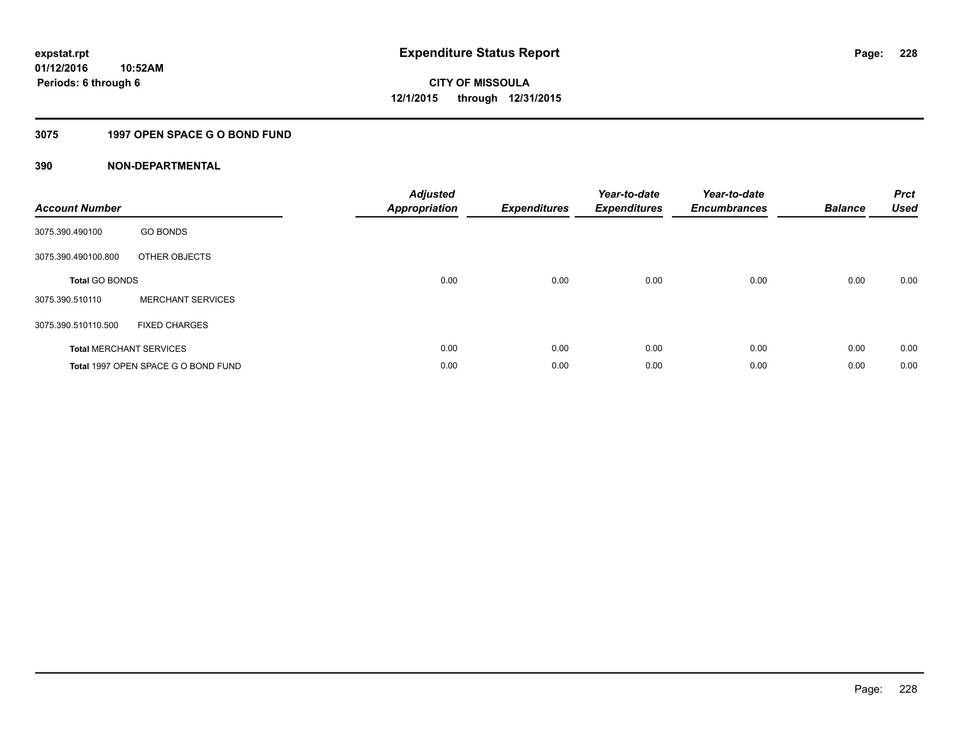#### **3075 1997 OPEN SPACE G O BOND FUND**

| <b>Account Number</b> |                                     | <b>Adjusted</b><br><b>Appropriation</b> | <b>Expenditures</b> | Year-to-date<br><b>Expenditures</b> | Year-to-date<br><b>Encumbrances</b> | <b>Balance</b> | <b>Prct</b><br>Used |
|-----------------------|-------------------------------------|-----------------------------------------|---------------------|-------------------------------------|-------------------------------------|----------------|---------------------|
| 3075.390.490100       | <b>GO BONDS</b>                     |                                         |                     |                                     |                                     |                |                     |
| 3075.390.490100.800   | OTHER OBJECTS                       |                                         |                     |                                     |                                     |                |                     |
| <b>Total GO BONDS</b> |                                     | 0.00                                    | 0.00                | 0.00                                | 0.00                                | 0.00           | 0.00                |
| 3075.390.510110       | <b>MERCHANT SERVICES</b>            |                                         |                     |                                     |                                     |                |                     |
| 3075.390.510110.500   | <b>FIXED CHARGES</b>                |                                         |                     |                                     |                                     |                |                     |
|                       | <b>Total MERCHANT SERVICES</b>      | 0.00                                    | 0.00                | 0.00                                | 0.00                                | 0.00           | 0.00                |
|                       | Total 1997 OPEN SPACE G O BOND FUND | 0.00                                    | 0.00                | 0.00                                | 0.00                                | 0.00           | 0.00                |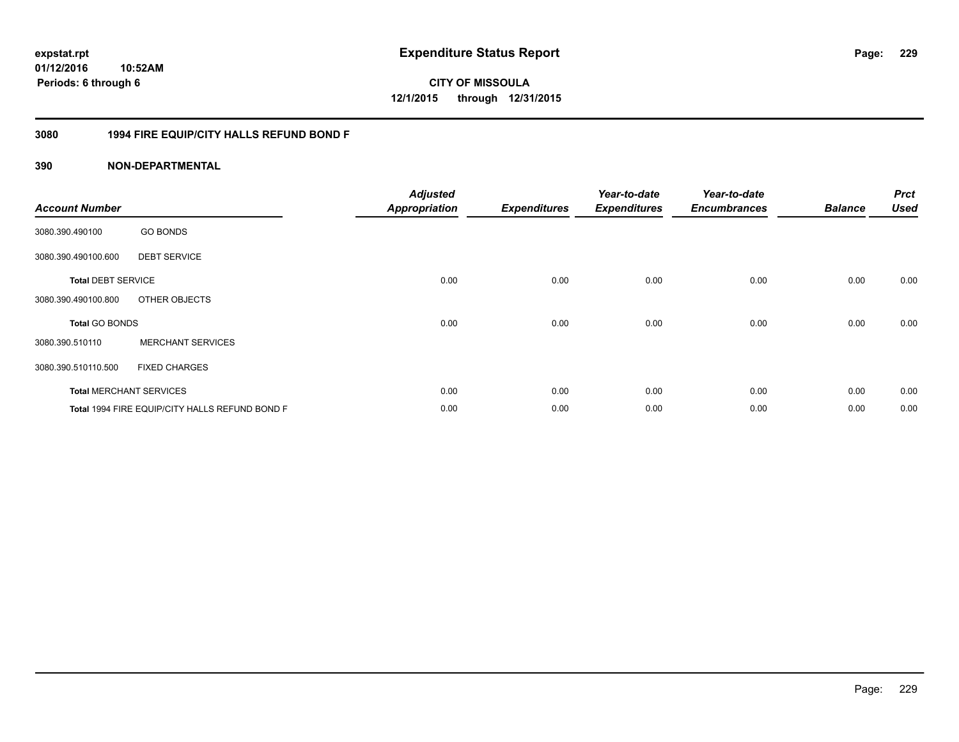## **01/12/2016 10:52AM Periods: 6 through 6**

**CITY OF MISSOULA 12/1/2015 through 12/31/2015**

#### **3080 1994 FIRE EQUIP/CITY HALLS REFUND BOND F**

| <b>Account Number</b>     |                                                | <b>Adjusted</b><br><b>Appropriation</b> | <b>Expenditures</b> | Year-to-date<br><b>Expenditures</b> | Year-to-date<br><b>Encumbrances</b> | <b>Balance</b> | <b>Prct</b><br><b>Used</b> |
|---------------------------|------------------------------------------------|-----------------------------------------|---------------------|-------------------------------------|-------------------------------------|----------------|----------------------------|
| 3080.390.490100           | <b>GO BONDS</b>                                |                                         |                     |                                     |                                     |                |                            |
| 3080.390.490100.600       | <b>DEBT SERVICE</b>                            |                                         |                     |                                     |                                     |                |                            |
| <b>Total DEBT SERVICE</b> |                                                | 0.00                                    | 0.00                | 0.00                                | 0.00                                | 0.00           | 0.00                       |
| 3080.390.490100.800       | OTHER OBJECTS                                  |                                         |                     |                                     |                                     |                |                            |
| <b>Total GO BONDS</b>     |                                                | 0.00                                    | 0.00                | 0.00                                | 0.00                                | 0.00           | 0.00                       |
| 3080.390.510110           | <b>MERCHANT SERVICES</b>                       |                                         |                     |                                     |                                     |                |                            |
| 3080.390.510110.500       | <b>FIXED CHARGES</b>                           |                                         |                     |                                     |                                     |                |                            |
|                           | <b>Total MERCHANT SERVICES</b>                 | 0.00                                    | 0.00                | 0.00                                | 0.00                                | 0.00           | 0.00                       |
|                           | Total 1994 FIRE EQUIP/CITY HALLS REFUND BOND F | 0.00                                    | 0.00                | 0.00                                | 0.00                                | 0.00           | 0.00                       |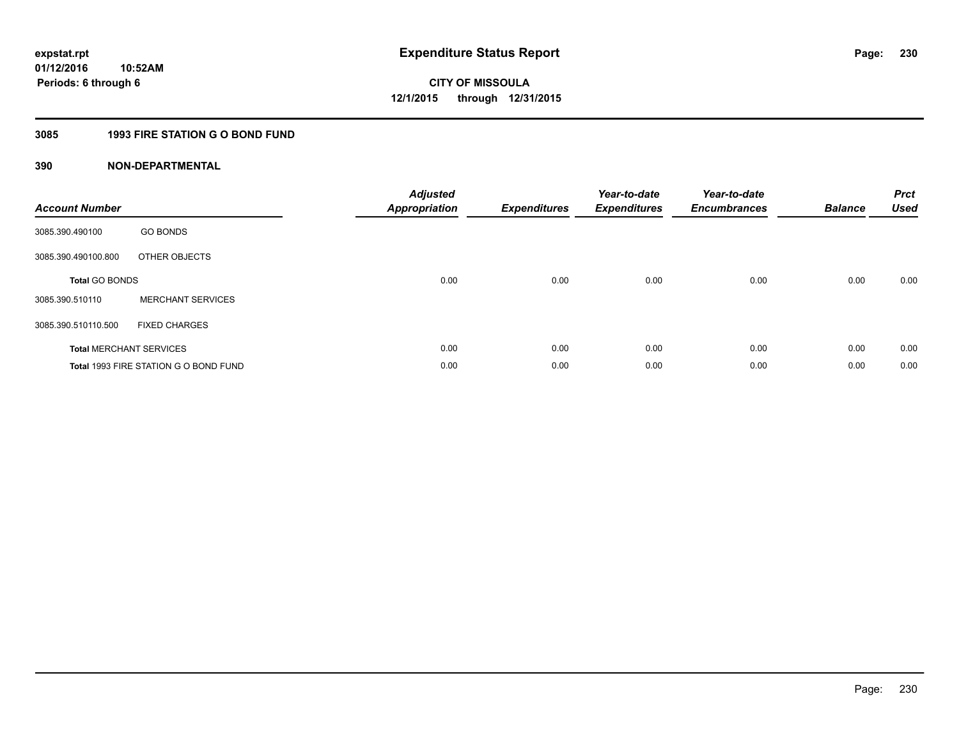#### **3085 1993 FIRE STATION G O BOND FUND**

| <b>Account Number</b> |                                       | <b>Adjusted</b><br><b>Appropriation</b> | <b>Expenditures</b> | Year-to-date<br><b>Expenditures</b> | Year-to-date<br><b>Encumbrances</b> | <b>Balance</b> | <b>Prct</b><br><b>Used</b> |
|-----------------------|---------------------------------------|-----------------------------------------|---------------------|-------------------------------------|-------------------------------------|----------------|----------------------------|
| 3085.390.490100       | <b>GO BONDS</b>                       |                                         |                     |                                     |                                     |                |                            |
| 3085.390.490100.800   | OTHER OBJECTS                         |                                         |                     |                                     |                                     |                |                            |
| <b>Total GO BONDS</b> |                                       | 0.00                                    | 0.00                | 0.00                                | 0.00                                | 0.00           | 0.00                       |
| 3085.390.510110       | <b>MERCHANT SERVICES</b>              |                                         |                     |                                     |                                     |                |                            |
| 3085.390.510110.500   | <b>FIXED CHARGES</b>                  |                                         |                     |                                     |                                     |                |                            |
|                       | <b>Total MERCHANT SERVICES</b>        | 0.00                                    | 0.00                | 0.00                                | 0.00                                | 0.00           | 0.00                       |
|                       | Total 1993 FIRE STATION G O BOND FUND | 0.00                                    | 0.00                | 0.00                                | 0.00                                | 0.00           | 0.00                       |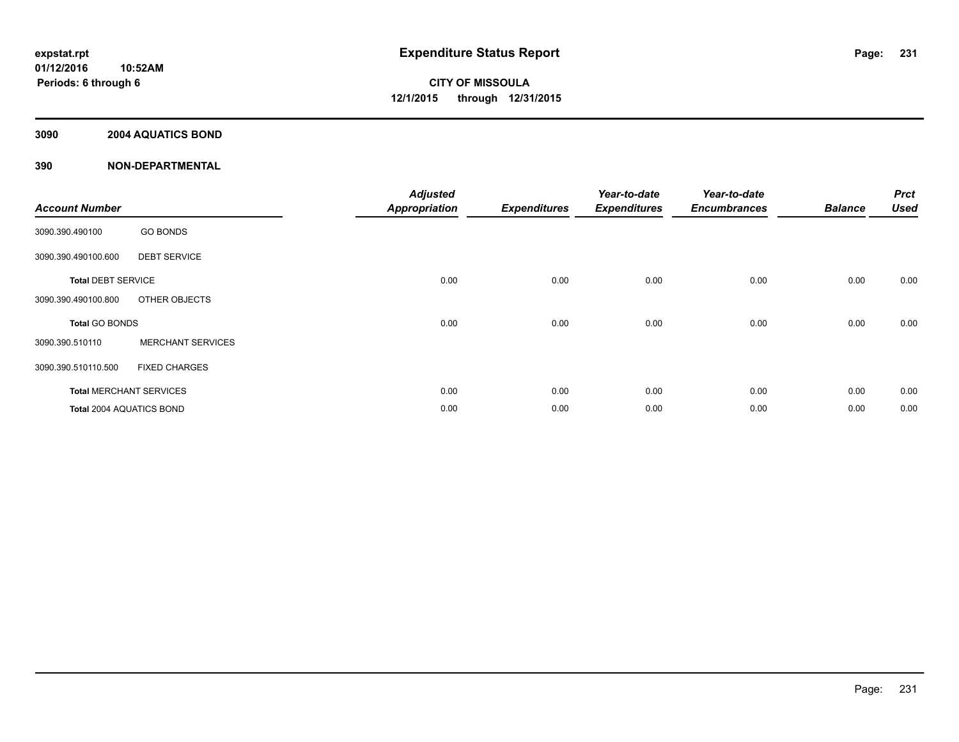#### **3090 2004 AQUATICS BOND**

| <b>Account Number</b>     |                                | <b>Adjusted</b><br><b>Appropriation</b> | <b>Expenditures</b> | Year-to-date<br><b>Expenditures</b> | Year-to-date<br><b>Encumbrances</b> | <b>Balance</b> | <b>Prct</b><br><b>Used</b> |
|---------------------------|--------------------------------|-----------------------------------------|---------------------|-------------------------------------|-------------------------------------|----------------|----------------------------|
| 3090.390.490100           | <b>GO BONDS</b>                |                                         |                     |                                     |                                     |                |                            |
| 3090.390.490100.600       | <b>DEBT SERVICE</b>            |                                         |                     |                                     |                                     |                |                            |
| <b>Total DEBT SERVICE</b> |                                | 0.00                                    | 0.00                | 0.00                                | 0.00                                | 0.00           | 0.00                       |
| 3090.390.490100.800       | OTHER OBJECTS                  |                                         |                     |                                     |                                     |                |                            |
| Total GO BONDS            |                                | 0.00                                    | 0.00                | 0.00                                | 0.00                                | 0.00           | 0.00                       |
| 3090.390.510110           | <b>MERCHANT SERVICES</b>       |                                         |                     |                                     |                                     |                |                            |
| 3090.390.510110.500       | <b>FIXED CHARGES</b>           |                                         |                     |                                     |                                     |                |                            |
|                           | <b>Total MERCHANT SERVICES</b> | 0.00                                    | 0.00                | 0.00                                | 0.00                                | 0.00           | 0.00                       |
| Total 2004 AQUATICS BOND  |                                | 0.00                                    | 0.00                | 0.00                                | 0.00                                | 0.00           | 0.00                       |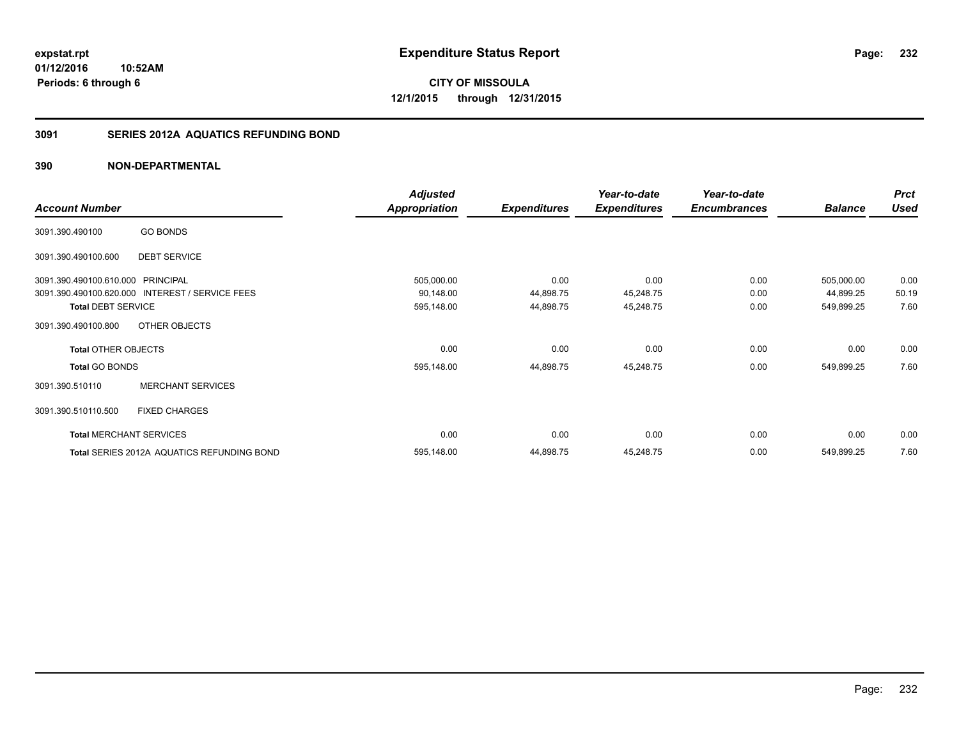**Periods: 6 through 6**

**CITY OF MISSOULA 12/1/2015 through 12/31/2015**

#### **3091 SERIES 2012A AQUATICS REFUNDING BOND**

|                                   |                                                 | <b>Adjusted</b> |                     | Year-to-date        | Year-to-date        |                | <b>Prct</b> |
|-----------------------------------|-------------------------------------------------|-----------------|---------------------|---------------------|---------------------|----------------|-------------|
| <b>Account Number</b>             |                                                 | Appropriation   | <b>Expenditures</b> | <b>Expenditures</b> | <b>Encumbrances</b> | <b>Balance</b> | <b>Used</b> |
| 3091.390.490100                   | <b>GO BONDS</b>                                 |                 |                     |                     |                     |                |             |
| 3091.390.490100.600               | <b>DEBT SERVICE</b>                             |                 |                     |                     |                     |                |             |
| 3091.390.490100.610.000 PRINCIPAL |                                                 | 505,000.00      | 0.00                | 0.00                | 0.00                | 505,000.00     | 0.00        |
|                                   | 3091.390.490100.620.000 INTEREST / SERVICE FEES | 90,148.00       | 44,898.75           | 45,248.75           | 0.00                | 44,899.25      | 50.19       |
| <b>Total DEBT SERVICE</b>         |                                                 | 595,148.00      | 44,898.75           | 45,248.75           | 0.00                | 549,899.25     | 7.60        |
| 3091.390.490100.800               | OTHER OBJECTS                                   |                 |                     |                     |                     |                |             |
| <b>Total OTHER OBJECTS</b>        |                                                 | 0.00            | 0.00                | 0.00                | 0.00                | 0.00           | 0.00        |
| <b>Total GO BONDS</b>             |                                                 | 595,148.00      | 44,898.75           | 45,248.75           | 0.00                | 549,899.25     | 7.60        |
| 3091.390.510110                   | <b>MERCHANT SERVICES</b>                        |                 |                     |                     |                     |                |             |
| 3091.390.510110.500               | <b>FIXED CHARGES</b>                            |                 |                     |                     |                     |                |             |
|                                   | <b>Total MERCHANT SERVICES</b>                  | 0.00            | 0.00                | 0.00                | 0.00                | 0.00           | 0.00        |
|                                   | Total SERIES 2012A AQUATICS REFUNDING BOND      | 595,148.00      | 44,898.75           | 45,248.75           | 0.00                | 549,899.25     | 7.60        |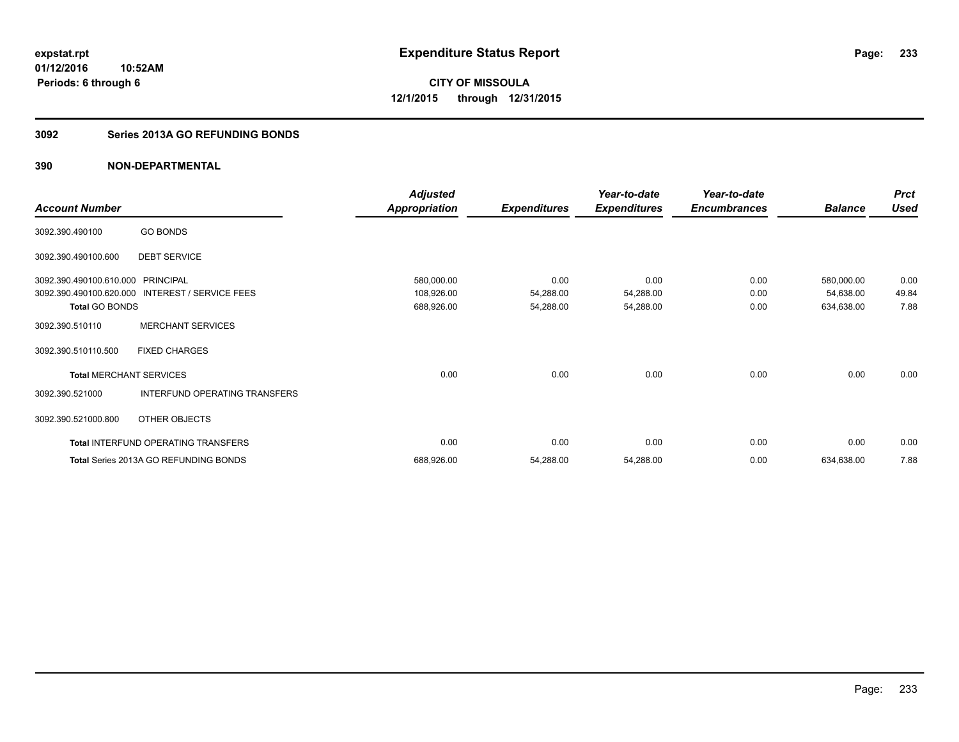#### **3092 Series 2013A GO REFUNDING BONDS**

|                                |                                              | <b>Adjusted</b>      |                     | Year-to-date        | Year-to-date        |                | <b>Prct</b> |
|--------------------------------|----------------------------------------------|----------------------|---------------------|---------------------|---------------------|----------------|-------------|
| <b>Account Number</b>          |                                              | <b>Appropriation</b> | <b>Expenditures</b> | <b>Expenditures</b> | <b>Encumbrances</b> | <b>Balance</b> | <b>Used</b> |
| 3092.390.490100                | <b>GO BONDS</b>                              |                      |                     |                     |                     |                |             |
| 3092.390.490100.600            | <b>DEBT SERVICE</b>                          |                      |                     |                     |                     |                |             |
| 3092.390.490100.610.000        | <b>PRINCIPAL</b>                             | 580,000.00           | 0.00                | 0.00                | 0.00                | 580,000.00     | 0.00        |
| 3092.390.490100.620.000        | <b>INTEREST / SERVICE FEES</b>               | 108,926.00           | 54,288.00           | 54,288.00           | 0.00                | 54,638.00      | 49.84       |
| <b>Total GO BONDS</b>          |                                              | 688,926.00           | 54,288.00           | 54,288.00           | 0.00                | 634,638.00     | 7.88        |
| 3092.390.510110                | <b>MERCHANT SERVICES</b>                     |                      |                     |                     |                     |                |             |
| 3092.390.510110.500            | <b>FIXED CHARGES</b>                         |                      |                     |                     |                     |                |             |
| <b>Total MERCHANT SERVICES</b> |                                              | 0.00                 | 0.00                | 0.00                | 0.00                | 0.00           | 0.00        |
| 3092.390.521000                | INTERFUND OPERATING TRANSFERS                |                      |                     |                     |                     |                |             |
| 3092.390.521000.800            | OTHER OBJECTS                                |                      |                     |                     |                     |                |             |
|                                | Total INTERFUND OPERATING TRANSFERS          | 0.00                 | 0.00                | 0.00                | 0.00                | 0.00           | 0.00        |
|                                | <b>Total Series 2013A GO REFUNDING BONDS</b> | 688,926.00           | 54,288.00           | 54,288.00           | 0.00                | 634,638.00     | 7.88        |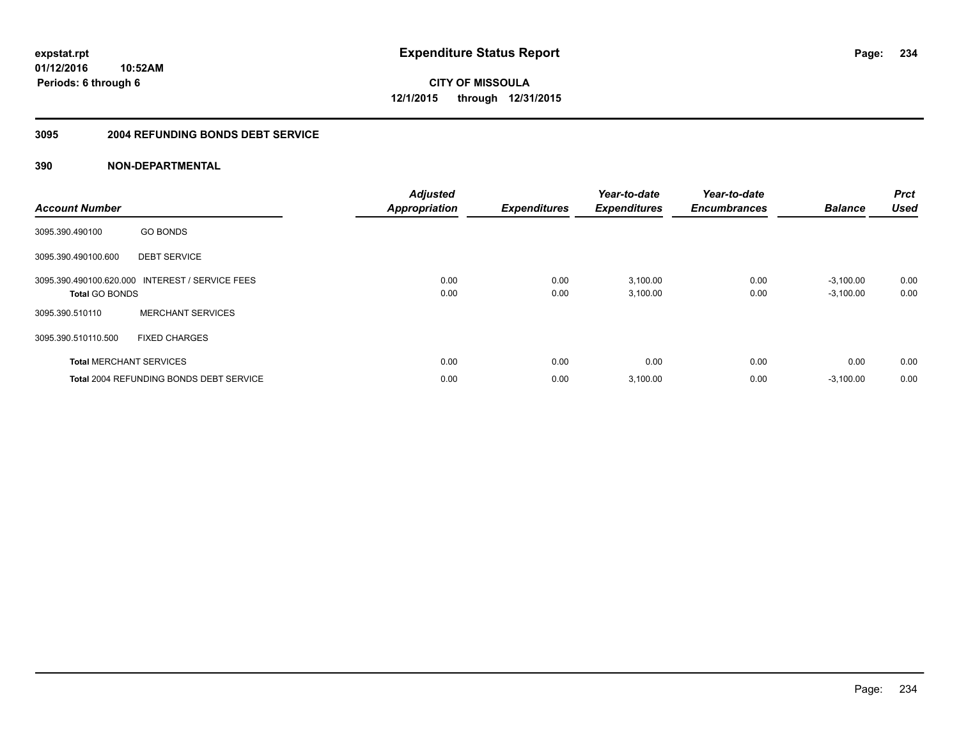#### **3095 2004 REFUNDING BONDS DEBT SERVICE**

| <b>Account Number</b> |                                                 | <b>Adjusted</b><br><b>Appropriation</b> | <b>Expenditures</b> | Year-to-date<br><b>Expenditures</b> | Year-to-date<br><b>Encumbrances</b> | <b>Balance</b>             | <b>Prct</b><br><b>Used</b> |
|-----------------------|-------------------------------------------------|-----------------------------------------|---------------------|-------------------------------------|-------------------------------------|----------------------------|----------------------------|
| 3095.390.490100       | <b>GO BONDS</b>                                 |                                         |                     |                                     |                                     |                            |                            |
| 3095.390.490100.600   | <b>DEBT SERVICE</b>                             |                                         |                     |                                     |                                     |                            |                            |
| <b>Total GO BONDS</b> | 3095.390.490100.620.000 INTEREST / SERVICE FEES | 0.00<br>0.00                            | 0.00<br>0.00        | 3,100.00<br>3,100.00                | 0.00<br>0.00                        | $-3,100.00$<br>$-3,100.00$ | 0.00<br>0.00               |
| 3095.390.510110       | <b>MERCHANT SERVICES</b>                        |                                         |                     |                                     |                                     |                            |                            |
| 3095.390.510110.500   | <b>FIXED CHARGES</b>                            |                                         |                     |                                     |                                     |                            |                            |
|                       | <b>Total MERCHANT SERVICES</b>                  | 0.00                                    | 0.00                | 0.00                                | 0.00                                | 0.00                       | 0.00                       |
|                       | Total 2004 REFUNDING BONDS DEBT SERVICE         | 0.00                                    | 0.00                | 3,100.00                            | 0.00                                | $-3,100.00$                | 0.00                       |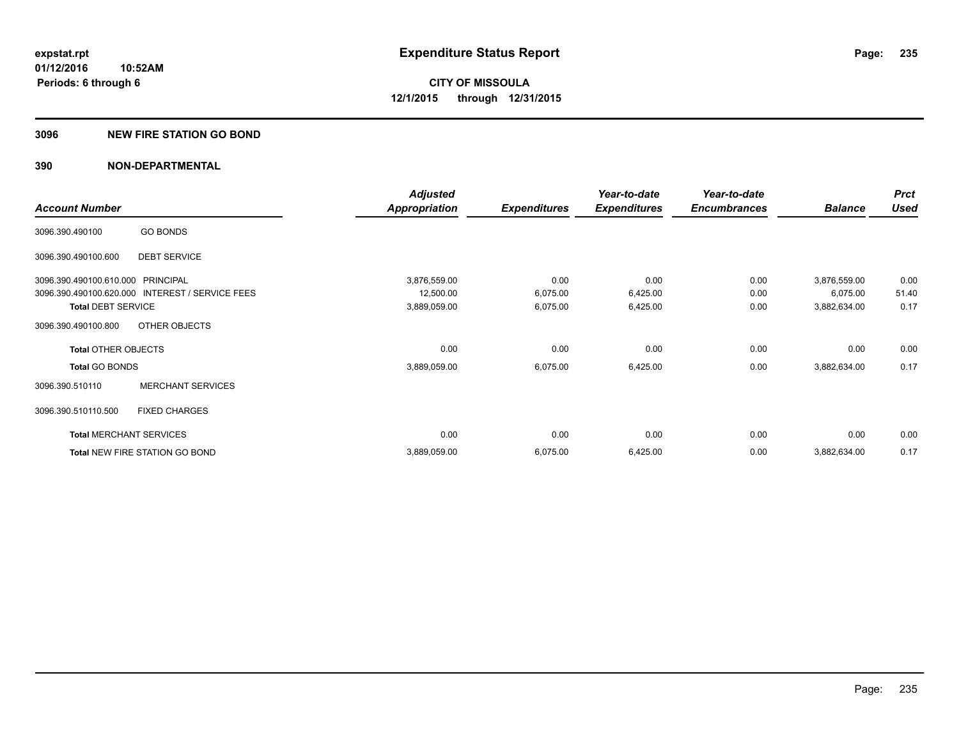#### **3096 NEW FIRE STATION GO BOND**

|                                   |                                                 | <b>Adjusted</b> |                     | Year-to-date        | Year-to-date        |                | <b>Prct</b> |
|-----------------------------------|-------------------------------------------------|-----------------|---------------------|---------------------|---------------------|----------------|-------------|
| <b>Account Number</b>             |                                                 | Appropriation   | <b>Expenditures</b> | <b>Expenditures</b> | <b>Encumbrances</b> | <b>Balance</b> | <b>Used</b> |
| 3096.390.490100                   | <b>GO BONDS</b>                                 |                 |                     |                     |                     |                |             |
| 3096.390.490100.600               | <b>DEBT SERVICE</b>                             |                 |                     |                     |                     |                |             |
| 3096.390.490100.610.000 PRINCIPAL |                                                 | 3,876,559.00    | 0.00                | 0.00                | 0.00                | 3,876,559.00   | 0.00        |
|                                   | 3096.390.490100.620.000 INTEREST / SERVICE FEES | 12,500.00       | 6,075.00            | 6,425.00            | 0.00                | 6,075.00       | 51.40       |
| <b>Total DEBT SERVICE</b>         |                                                 | 3,889,059.00    | 6,075.00            | 6,425.00            | 0.00                | 3,882,634.00   | 0.17        |
| 3096.390.490100.800               | OTHER OBJECTS                                   |                 |                     |                     |                     |                |             |
| <b>Total OTHER OBJECTS</b>        |                                                 | 0.00            | 0.00                | 0.00                | 0.00                | 0.00           | 0.00        |
| <b>Total GO BONDS</b>             |                                                 | 3,889,059.00    | 6,075.00            | 6,425.00            | 0.00                | 3,882,634.00   | 0.17        |
| 3096.390.510110                   | <b>MERCHANT SERVICES</b>                        |                 |                     |                     |                     |                |             |
| 3096.390.510110.500               | <b>FIXED CHARGES</b>                            |                 |                     |                     |                     |                |             |
|                                   | <b>Total MERCHANT SERVICES</b>                  | 0.00            | 0.00                | 0.00                | 0.00                | 0.00           | 0.00        |
|                                   | Total NEW FIRE STATION GO BOND                  | 3,889,059.00    | 6,075.00            | 6,425.00            | 0.00                | 3,882,634.00   | 0.17        |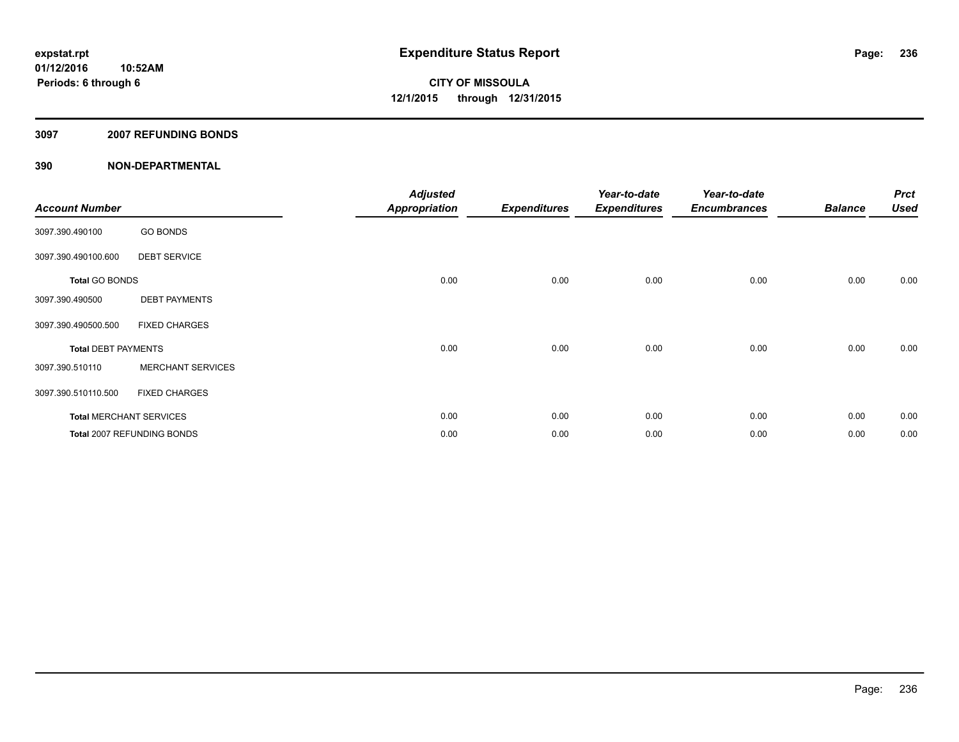#### **3097 2007 REFUNDING BONDS**

| <b>Account Number</b>          |                            | <b>Adjusted</b><br>Appropriation | <b>Expenditures</b> | Year-to-date<br><b>Expenditures</b> | Year-to-date<br><b>Encumbrances</b> | <b>Balance</b> | <b>Prct</b><br><b>Used</b> |
|--------------------------------|----------------------------|----------------------------------|---------------------|-------------------------------------|-------------------------------------|----------------|----------------------------|
| 3097.390.490100                | <b>GO BONDS</b>            |                                  |                     |                                     |                                     |                |                            |
| 3097.390.490100.600            | <b>DEBT SERVICE</b>        |                                  |                     |                                     |                                     |                |                            |
| <b>Total GO BONDS</b>          |                            | 0.00                             | 0.00                | 0.00                                | 0.00                                | 0.00           | 0.00                       |
| 3097.390.490500                | <b>DEBT PAYMENTS</b>       |                                  |                     |                                     |                                     |                |                            |
| 3097.390.490500.500            | <b>FIXED CHARGES</b>       |                                  |                     |                                     |                                     |                |                            |
| <b>Total DEBT PAYMENTS</b>     |                            | 0.00                             | 0.00                | 0.00                                | 0.00                                | 0.00           | 0.00                       |
| 3097.390.510110                | <b>MERCHANT SERVICES</b>   |                                  |                     |                                     |                                     |                |                            |
| 3097.390.510110.500            | <b>FIXED CHARGES</b>       |                                  |                     |                                     |                                     |                |                            |
| <b>Total MERCHANT SERVICES</b> |                            | 0.00                             | 0.00                | 0.00                                | 0.00                                | 0.00           | 0.00                       |
|                                | Total 2007 REFUNDING BONDS | 0.00                             | 0.00                | 0.00                                | 0.00                                | 0.00           | 0.00                       |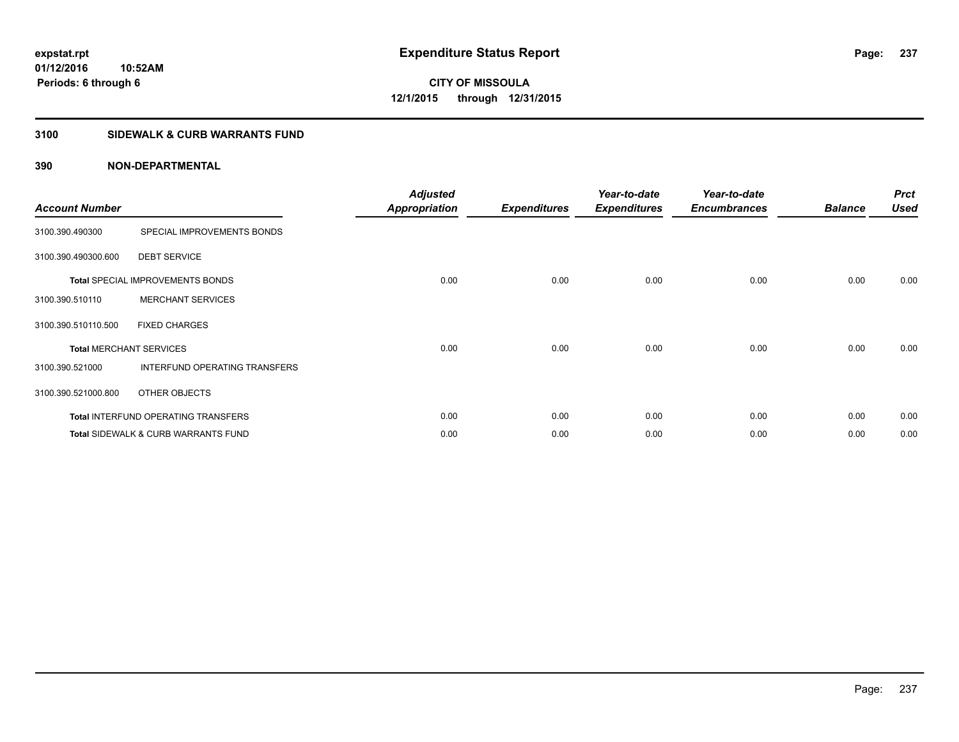#### **3100 SIDEWALK & CURB WARRANTS FUND**

| <b>Account Number</b>          |                                                | <b>Adjusted</b><br><b>Appropriation</b> | <b>Expenditures</b> | Year-to-date<br><b>Expenditures</b> | Year-to-date<br><b>Encumbrances</b> | <b>Balance</b> | <b>Prct</b><br><b>Used</b> |
|--------------------------------|------------------------------------------------|-----------------------------------------|---------------------|-------------------------------------|-------------------------------------|----------------|----------------------------|
| 3100.390.490300                | SPECIAL IMPROVEMENTS BONDS                     |                                         |                     |                                     |                                     |                |                            |
| 3100.390.490300.600            | <b>DEBT SERVICE</b>                            |                                         |                     |                                     |                                     |                |                            |
|                                | <b>Total SPECIAL IMPROVEMENTS BONDS</b>        | 0.00                                    | 0.00                | 0.00                                | 0.00                                | 0.00           | 0.00                       |
| 3100.390.510110                | <b>MERCHANT SERVICES</b>                       |                                         |                     |                                     |                                     |                |                            |
| 3100.390.510110.500            | <b>FIXED CHARGES</b>                           |                                         |                     |                                     |                                     |                |                            |
| <b>Total MERCHANT SERVICES</b> |                                                | 0.00                                    | 0.00                | 0.00                                | 0.00                                | 0.00           | 0.00                       |
| 3100.390.521000                | INTERFUND OPERATING TRANSFERS                  |                                         |                     |                                     |                                     |                |                            |
| 3100.390.521000.800            | OTHER OBJECTS                                  |                                         |                     |                                     |                                     |                |                            |
|                                | <b>Total INTERFUND OPERATING TRANSFERS</b>     | 0.00                                    | 0.00                | 0.00                                | 0.00                                | 0.00           | 0.00                       |
|                                | <b>Total SIDEWALK &amp; CURB WARRANTS FUND</b> | 0.00                                    | 0.00                | 0.00                                | 0.00                                | 0.00           | 0.00                       |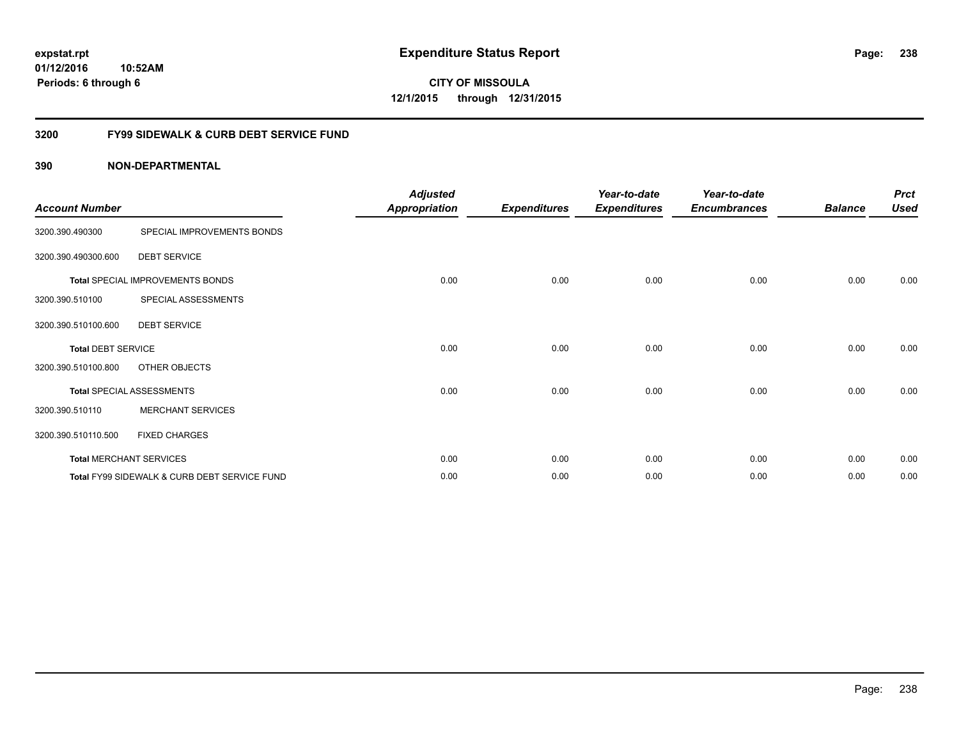**238**

**01/12/2016 10:52AM Periods: 6 through 6**

**CITY OF MISSOULA 12/1/2015 through 12/31/2015**

#### **3200 FY99 SIDEWALK & CURB DEBT SERVICE FUND**

| <b>Account Number</b>     |                                              | <b>Adjusted</b><br>Appropriation | <b>Expenditures</b> | Year-to-date<br><b>Expenditures</b> | Year-to-date<br><b>Encumbrances</b> | <b>Balance</b> | <b>Prct</b><br><b>Used</b> |
|---------------------------|----------------------------------------------|----------------------------------|---------------------|-------------------------------------|-------------------------------------|----------------|----------------------------|
| 3200.390.490300           | SPECIAL IMPROVEMENTS BONDS                   |                                  |                     |                                     |                                     |                |                            |
| 3200.390.490300.600       | <b>DEBT SERVICE</b>                          |                                  |                     |                                     |                                     |                |                            |
|                           | Total SPECIAL IMPROVEMENTS BONDS             | 0.00                             | 0.00                | 0.00                                | 0.00                                | 0.00           | 0.00                       |
| 3200.390.510100           | SPECIAL ASSESSMENTS                          |                                  |                     |                                     |                                     |                |                            |
| 3200.390.510100.600       | <b>DEBT SERVICE</b>                          |                                  |                     |                                     |                                     |                |                            |
| <b>Total DEBT SERVICE</b> |                                              | 0.00                             | 0.00                | 0.00                                | 0.00                                | 0.00           | 0.00                       |
| 3200.390.510100.800       | OTHER OBJECTS                                |                                  |                     |                                     |                                     |                |                            |
|                           | <b>Total SPECIAL ASSESSMENTS</b>             | 0.00                             | 0.00                | 0.00                                | 0.00                                | 0.00           | 0.00                       |
| 3200.390.510110           | <b>MERCHANT SERVICES</b>                     |                                  |                     |                                     |                                     |                |                            |
| 3200.390.510110.500       | <b>FIXED CHARGES</b>                         |                                  |                     |                                     |                                     |                |                            |
|                           | <b>Total MERCHANT SERVICES</b>               | 0.00                             | 0.00                | 0.00                                | 0.00                                | 0.00           | 0.00                       |
|                           | Total FY99 SIDEWALK & CURB DEBT SERVICE FUND | 0.00                             | 0.00                | 0.00                                | 0.00                                | 0.00           | 0.00                       |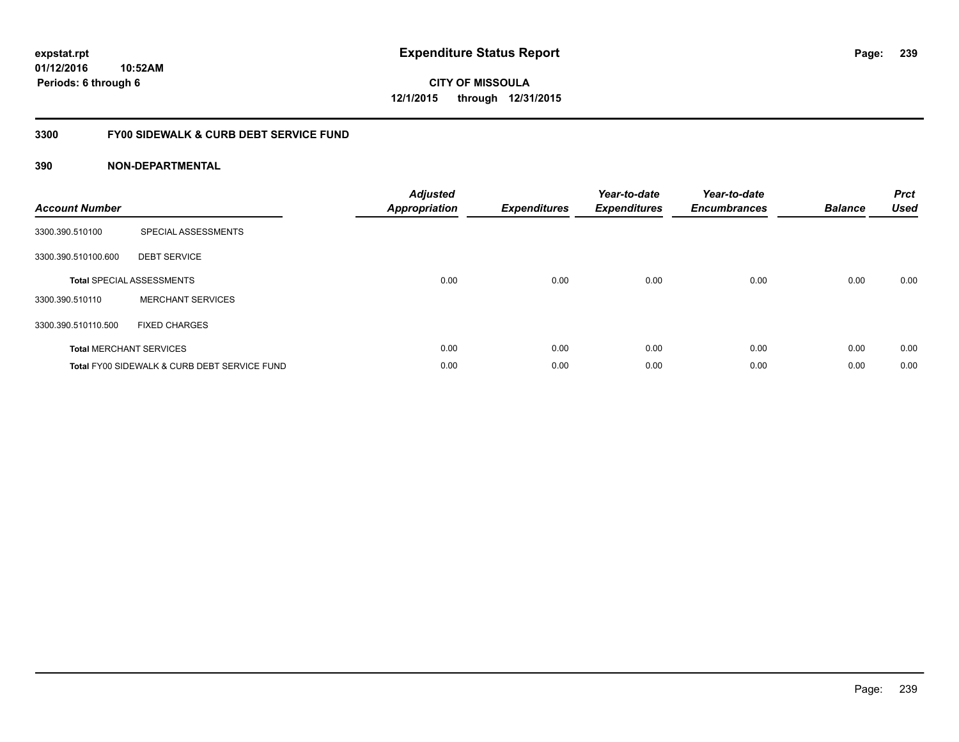**239**

**01/12/2016 10:52AM Periods: 6 through 6**

# **CITY OF MISSOULA 12/1/2015 through 12/31/2015**

#### **3300 FY00 SIDEWALK & CURB DEBT SERVICE FUND**

| <b>Account Number</b> |                                              | <b>Adjusted</b><br>Appropriation | <b>Expenditures</b> | Year-to-date<br><b>Expenditures</b> | Year-to-date<br><b>Encumbrances</b> | <b>Balance</b> | <b>Prct</b><br><b>Used</b> |
|-----------------------|----------------------------------------------|----------------------------------|---------------------|-------------------------------------|-------------------------------------|----------------|----------------------------|
| 3300.390.510100       | SPECIAL ASSESSMENTS                          |                                  |                     |                                     |                                     |                |                            |
| 3300.390.510100.600   | <b>DEBT SERVICE</b>                          |                                  |                     |                                     |                                     |                |                            |
|                       | <b>Total SPECIAL ASSESSMENTS</b>             | 0.00                             | 0.00                | 0.00                                | 0.00                                | 0.00           | 0.00                       |
| 3300.390.510110       | <b>MERCHANT SERVICES</b>                     |                                  |                     |                                     |                                     |                |                            |
| 3300.390.510110.500   | <b>FIXED CHARGES</b>                         |                                  |                     |                                     |                                     |                |                            |
|                       | <b>Total MERCHANT SERVICES</b>               | 0.00                             | 0.00                | 0.00                                | 0.00                                | 0.00           | 0.00                       |
|                       | Total FY00 SIDEWALK & CURB DEBT SERVICE FUND | 0.00                             | 0.00                | 0.00                                | 0.00                                | 0.00           | 0.00                       |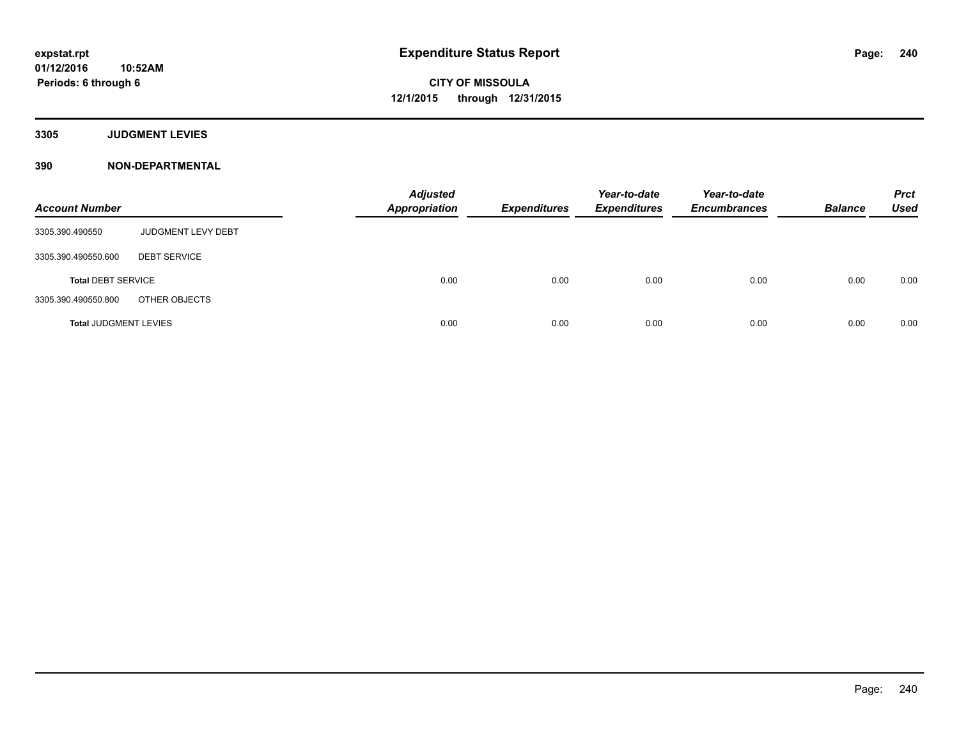**3305 JUDGMENT LEVIES**

| <b>Account Number</b>        |                     | <b>Adjusted</b><br><b>Appropriation</b> | <b>Expenditures</b> | Year-to-date<br><b>Expenditures</b> | Year-to-date<br><b>Encumbrances</b> | <b>Balance</b> | <b>Prct</b><br>Used |
|------------------------------|---------------------|-----------------------------------------|---------------------|-------------------------------------|-------------------------------------|----------------|---------------------|
| 3305.390.490550              | JUDGMENT LEVY DEBT  |                                         |                     |                                     |                                     |                |                     |
| 3305.390.490550.600          | <b>DEBT SERVICE</b> |                                         |                     |                                     |                                     |                |                     |
| <b>Total DEBT SERVICE</b>    |                     | 0.00                                    | 0.00                | 0.00                                | 0.00                                | 0.00           | 0.00                |
| 3305.390.490550.800          | OTHER OBJECTS       |                                         |                     |                                     |                                     |                |                     |
| <b>Total JUDGMENT LEVIES</b> |                     | 0.00                                    | 0.00                | 0.00                                | 0.00                                | 0.00           | 0.00                |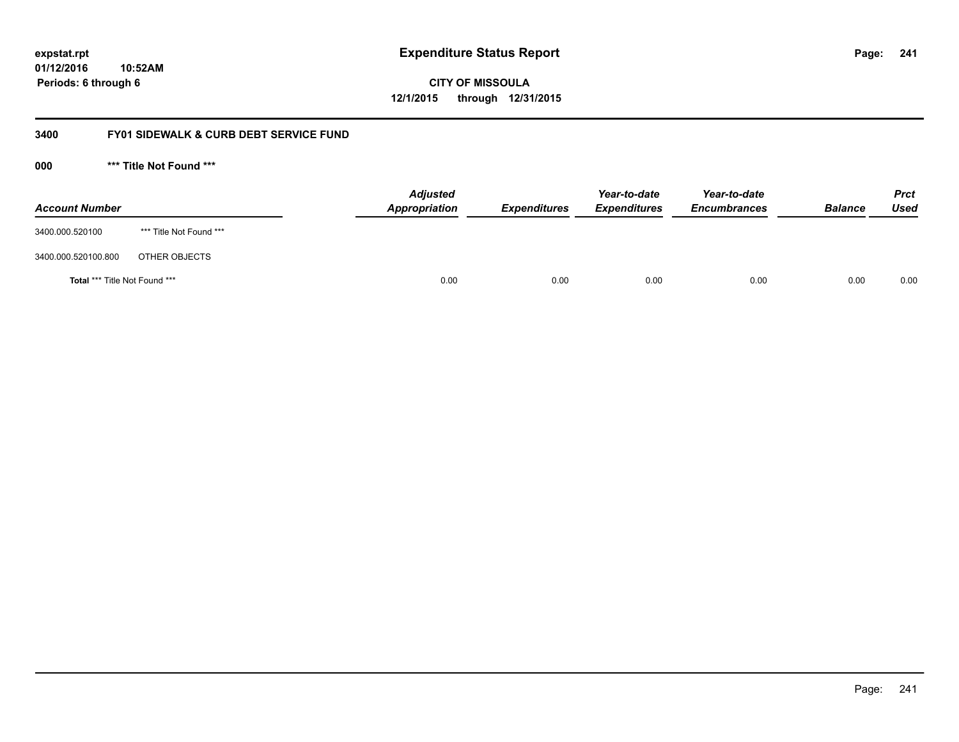**01/12/2016 10:52AM Periods: 6 through 6**

**CITY OF MISSOULA 12/1/2015 through 12/31/2015**

#### **3400 FY01 SIDEWALK & CURB DEBT SERVICE FUND**

**000 \*\*\* Title Not Found \*\*\***

| <b>Account Number</b>         |                         | <b>Adjusted</b><br>Appropriation | <b>Expenditures</b> | Year-to-date<br><b>Expenditures</b> | Year-to-date<br><b>Encumbrances</b> | <b>Balance</b> | Prct<br><b>Used</b> |
|-------------------------------|-------------------------|----------------------------------|---------------------|-------------------------------------|-------------------------------------|----------------|---------------------|
| 3400.000.520100               | *** Title Not Found *** |                                  |                     |                                     |                                     |                |                     |
| 3400.000.520100.800           | OTHER OBJECTS           |                                  |                     |                                     |                                     |                |                     |
| Total *** Title Not Found *** |                         | 0.00                             | 0.00                | 0.00                                | 0.00                                | 0.00           | 0.00                |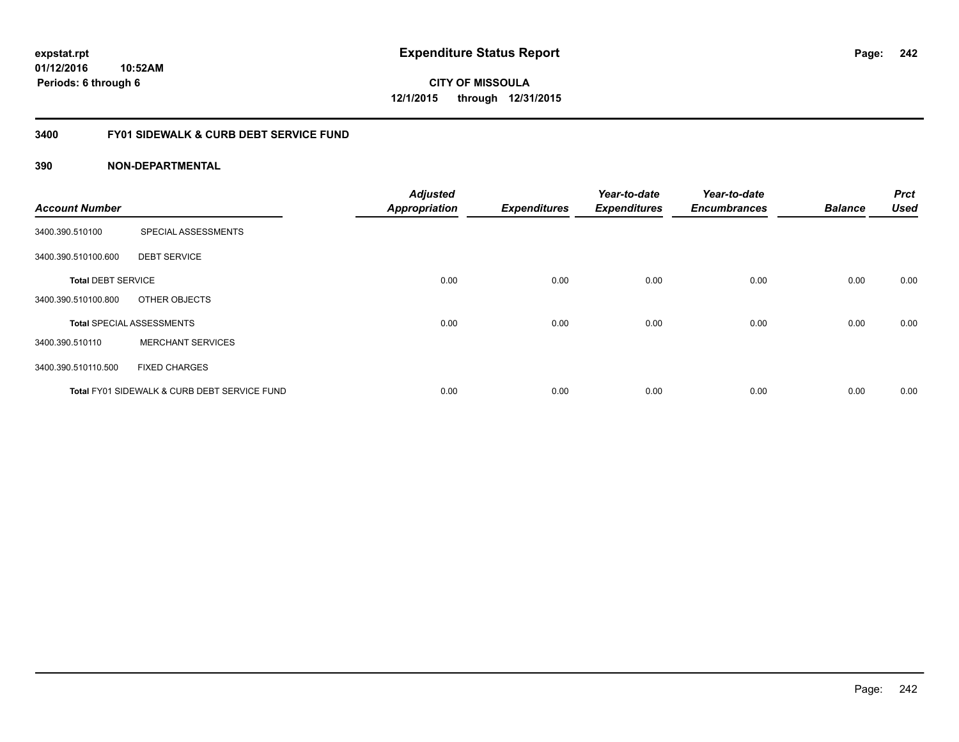# **01/12/2016**

**242**

**10:52AM Periods: 6 through 6**

**CITY OF MISSOULA 12/1/2015 through 12/31/2015**

#### **3400 FY01 SIDEWALK & CURB DEBT SERVICE FUND**

| <b>Account Number</b>     |                                              | <b>Adjusted</b><br><b>Appropriation</b> | <b>Expenditures</b> | Year-to-date<br><b>Expenditures</b> | Year-to-date<br><b>Encumbrances</b> | <b>Balance</b> | <b>Prct</b><br><b>Used</b> |
|---------------------------|----------------------------------------------|-----------------------------------------|---------------------|-------------------------------------|-------------------------------------|----------------|----------------------------|
| 3400.390.510100           | SPECIAL ASSESSMENTS                          |                                         |                     |                                     |                                     |                |                            |
| 3400.390.510100.600       | <b>DEBT SERVICE</b>                          |                                         |                     |                                     |                                     |                |                            |
| <b>Total DEBT SERVICE</b> |                                              | 0.00                                    | 0.00                | 0.00                                | 0.00                                | 0.00           | 0.00                       |
| 3400.390.510100.800       | OTHER OBJECTS                                |                                         |                     |                                     |                                     |                |                            |
|                           | <b>Total SPECIAL ASSESSMENTS</b>             | 0.00                                    | 0.00                | 0.00                                | 0.00                                | 0.00           | 0.00                       |
| 3400.390.510110           | <b>MERCHANT SERVICES</b>                     |                                         |                     |                                     |                                     |                |                            |
| 3400.390.510110.500       | <b>FIXED CHARGES</b>                         |                                         |                     |                                     |                                     |                |                            |
|                           | Total FY01 SIDEWALK & CURB DEBT SERVICE FUND | 0.00                                    | 0.00                | 0.00                                | 0.00                                | 0.00           | 0.00                       |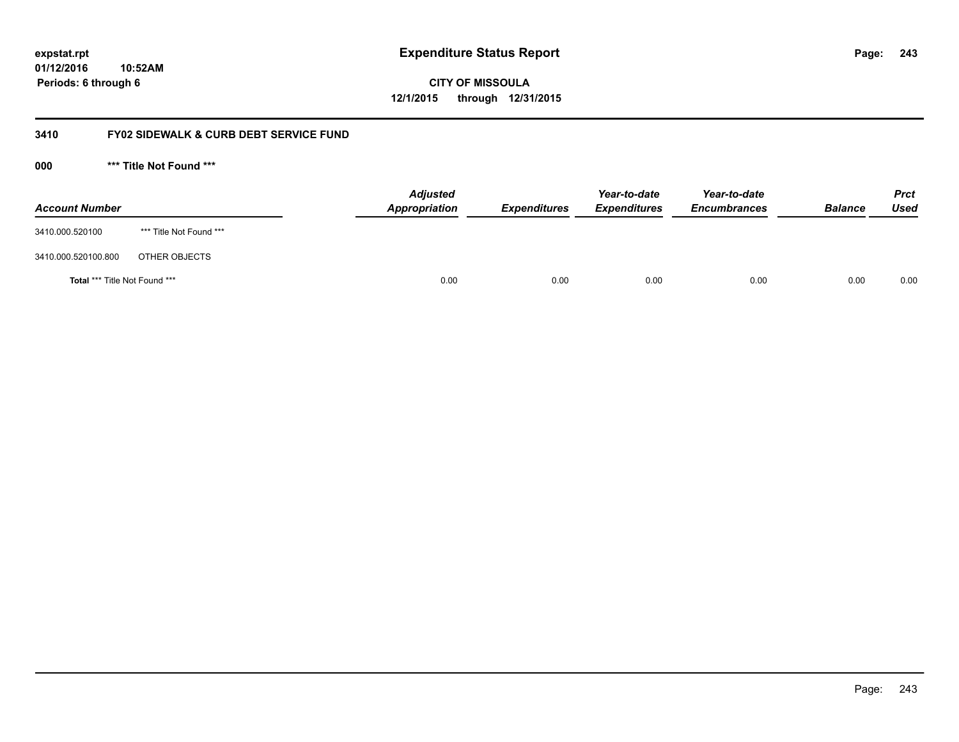**01/12/2016 10:52AM Periods: 6 through 6**

**CITY OF MISSOULA 12/1/2015 through 12/31/2015**

#### **3410 FY02 SIDEWALK & CURB DEBT SERVICE FUND**

**000 \*\*\* Title Not Found \*\*\***

| <b>Account Number</b>         |                         | <b>Adjusted</b><br>Appropriation | <b>Expenditures</b> | Year-to-date<br><b>Expenditures</b> | Year-to-date<br><b>Encumbrances</b> | <b>Balance</b> | <b>Prct</b><br><b>Used</b> |
|-------------------------------|-------------------------|----------------------------------|---------------------|-------------------------------------|-------------------------------------|----------------|----------------------------|
| 3410.000.520100               | *** Title Not Found *** |                                  |                     |                                     |                                     |                |                            |
| 3410.000.520100.800           | OTHER OBJECTS           |                                  |                     |                                     |                                     |                |                            |
| Total *** Title Not Found *** |                         | 0.00                             | 0.00                | 0.00                                | 0.00                                | 0.00           | 0.00                       |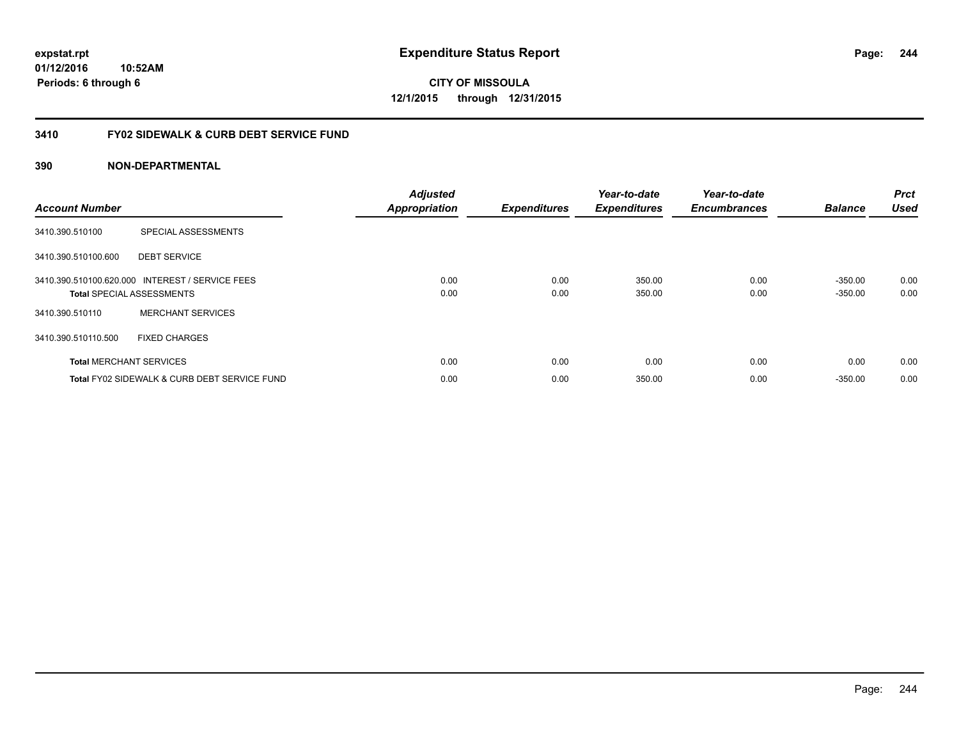**244**

**01/12/2016 10:52AM Periods: 6 through 6**

**CITY OF MISSOULA 12/1/2015 through 12/31/2015**

#### **3410 FY02 SIDEWALK & CURB DEBT SERVICE FUND**

| <b>Account Number</b> |                                                                                     | <b>Adjusted</b><br><b>Appropriation</b> | <b>Expenditures</b> | Year-to-date<br><b>Expenditures</b> | Year-to-date<br><b>Encumbrances</b> | <b>Balance</b>         | <b>Prct</b><br><b>Used</b> |
|-----------------------|-------------------------------------------------------------------------------------|-----------------------------------------|---------------------|-------------------------------------|-------------------------------------|------------------------|----------------------------|
| 3410.390.510100       | SPECIAL ASSESSMENTS                                                                 |                                         |                     |                                     |                                     |                        |                            |
| 3410.390.510100.600   | <b>DEBT SERVICE</b>                                                                 |                                         |                     |                                     |                                     |                        |                            |
|                       | 3410.390.510100.620.000 INTEREST / SERVICE FEES<br><b>Total SPECIAL ASSESSMENTS</b> | 0.00<br>0.00                            | 0.00<br>0.00        | 350.00<br>350.00                    | 0.00<br>0.00                        | $-350.00$<br>$-350.00$ | 0.00<br>0.00               |
| 3410.390.510110       | <b>MERCHANT SERVICES</b>                                                            |                                         |                     |                                     |                                     |                        |                            |
| 3410.390.510110.500   | <b>FIXED CHARGES</b>                                                                |                                         |                     |                                     |                                     |                        |                            |
|                       | <b>Total MERCHANT SERVICES</b>                                                      | 0.00                                    | 0.00                | 0.00                                | 0.00                                | 0.00                   | 0.00                       |
|                       | Total FY02 SIDEWALK & CURB DEBT SERVICE FUND                                        | 0.00                                    | 0.00                | 350.00                              | 0.00                                | $-350.00$              | 0.00                       |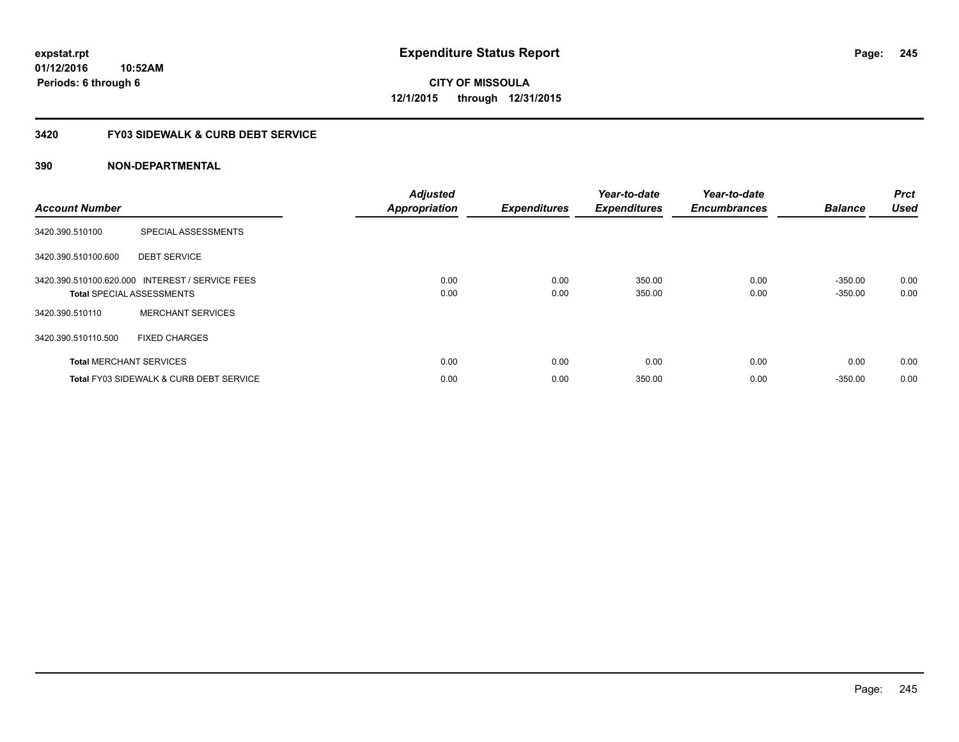#### **3420 FY03 SIDEWALK & CURB DEBT SERVICE**

| <b>Account Number</b> |                                                                                     | <b>Adjusted</b><br><b>Appropriation</b> | <b>Expenditures</b> | Year-to-date<br><b>Expenditures</b> | Year-to-date<br><b>Encumbrances</b> | <b>Balance</b>         | <b>Prct</b><br><b>Used</b> |
|-----------------------|-------------------------------------------------------------------------------------|-----------------------------------------|---------------------|-------------------------------------|-------------------------------------|------------------------|----------------------------|
| 3420.390.510100       | SPECIAL ASSESSMENTS                                                                 |                                         |                     |                                     |                                     |                        |                            |
| 3420.390.510100.600   | <b>DEBT SERVICE</b>                                                                 |                                         |                     |                                     |                                     |                        |                            |
|                       | 3420.390.510100.620.000 INTEREST / SERVICE FEES<br><b>Total SPECIAL ASSESSMENTS</b> | 0.00<br>0.00                            | 0.00<br>0.00        | 350.00<br>350.00                    | 0.00<br>0.00                        | $-350.00$<br>$-350.00$ | 0.00<br>0.00               |
| 3420.390.510110       | <b>MERCHANT SERVICES</b>                                                            |                                         |                     |                                     |                                     |                        |                            |
| 3420.390.510110.500   | <b>FIXED CHARGES</b>                                                                |                                         |                     |                                     |                                     |                        |                            |
|                       | <b>Total MERCHANT SERVICES</b>                                                      | 0.00                                    | 0.00                | 0.00                                | 0.00                                | 0.00                   | 0.00                       |
|                       | <b>Total FY03 SIDEWALK &amp; CURB DEBT SERVICE</b>                                  | 0.00                                    | 0.00                | 350.00                              | 0.00                                | $-350.00$              | 0.00                       |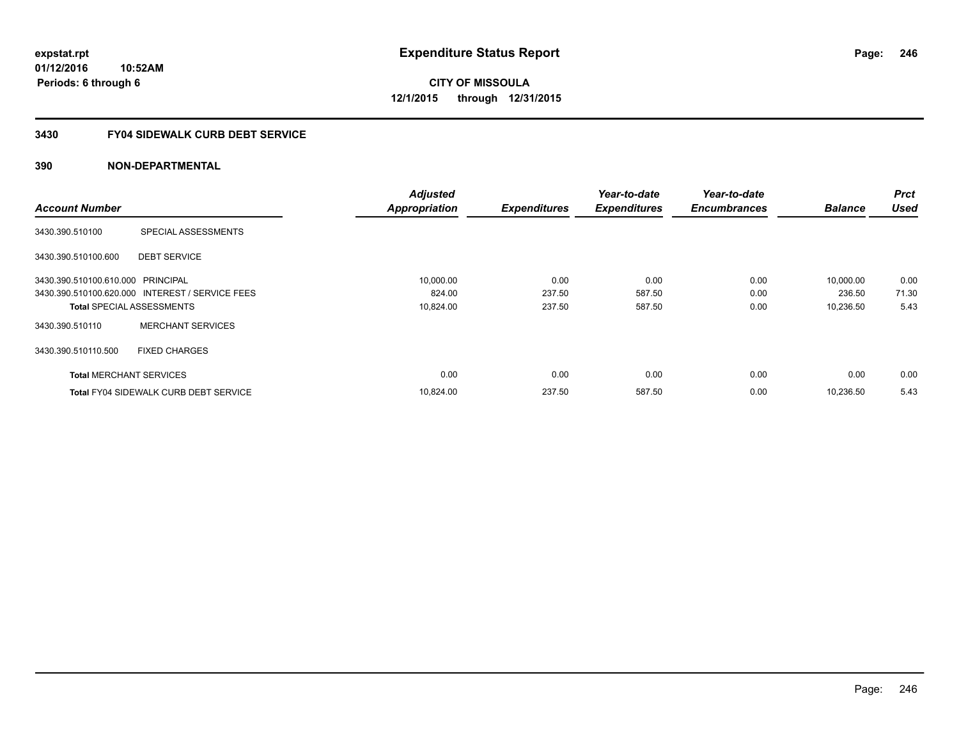#### **3430 FY04 SIDEWALK CURB DEBT SERVICE**

|                                   |                                                 | <b>Adjusted</b>      |                     | Year-to-date        | Year-to-date        |                | <b>Prct</b> |
|-----------------------------------|-------------------------------------------------|----------------------|---------------------|---------------------|---------------------|----------------|-------------|
| <b>Account Number</b>             |                                                 | <b>Appropriation</b> | <b>Expenditures</b> | <b>Expenditures</b> | <b>Encumbrances</b> | <b>Balance</b> | <b>Used</b> |
| 3430.390.510100                   | SPECIAL ASSESSMENTS                             |                      |                     |                     |                     |                |             |
| 3430.390.510100.600               | <b>DEBT SERVICE</b>                             |                      |                     |                     |                     |                |             |
| 3430.390.510100.610.000 PRINCIPAL |                                                 | 10,000.00            | 0.00                | 0.00                | 0.00                | 10,000.00      | 0.00        |
|                                   | 3430.390.510100.620.000 INTEREST / SERVICE FEES | 824.00               | 237.50              | 587.50              | 0.00                | 236.50         | 71.30       |
|                                   | <b>Total SPECIAL ASSESSMENTS</b>                | 10,824.00            | 237.50              | 587.50              | 0.00                | 10,236.50      | 5.43        |
| 3430.390.510110                   | <b>MERCHANT SERVICES</b>                        |                      |                     |                     |                     |                |             |
| 3430.390.510110.500               | <b>FIXED CHARGES</b>                            |                      |                     |                     |                     |                |             |
| <b>Total MERCHANT SERVICES</b>    |                                                 | 0.00                 | 0.00                | 0.00                | 0.00                | 0.00           | 0.00        |
|                                   | <b>Total FY04 SIDEWALK CURB DEBT SERVICE</b>    | 10.824.00            | 237.50              | 587.50              | 0.00                | 10.236.50      | 5.43        |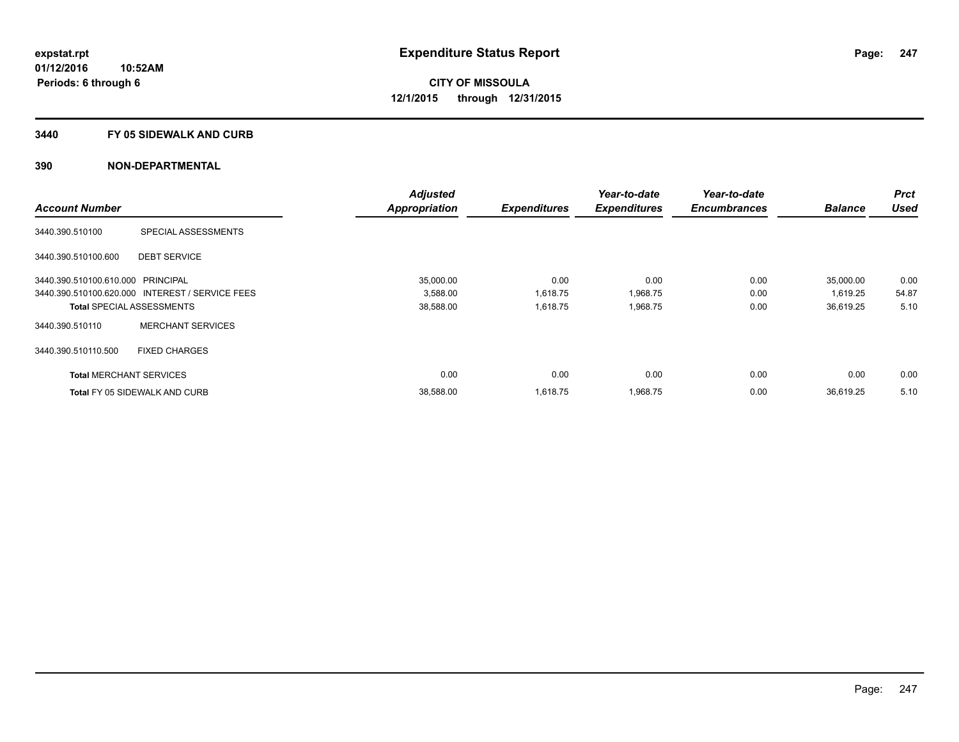#### **3440 FY 05 SIDEWALK AND CURB**

|                                   |                                                 | <b>Adjusted</b>      |                     | Year-to-date        | Year-to-date        |                | <b>Prct</b> |
|-----------------------------------|-------------------------------------------------|----------------------|---------------------|---------------------|---------------------|----------------|-------------|
| <b>Account Number</b>             |                                                 | <b>Appropriation</b> | <b>Expenditures</b> | <b>Expenditures</b> | <b>Encumbrances</b> | <b>Balance</b> | <b>Used</b> |
| 3440.390.510100                   | SPECIAL ASSESSMENTS                             |                      |                     |                     |                     |                |             |
| 3440.390.510100.600               | <b>DEBT SERVICE</b>                             |                      |                     |                     |                     |                |             |
| 3440.390.510100.610.000 PRINCIPAL |                                                 | 35.000.00            | 0.00                | 0.00                | 0.00                | 35,000.00      | 0.00        |
|                                   | 3440.390.510100.620.000 INTEREST / SERVICE FEES | 3,588.00             | 1,618.75            | 1,968.75            | 0.00                | 1,619.25       | 54.87       |
| <b>Total SPECIAL ASSESSMENTS</b>  |                                                 | 38,588.00            | 1,618.75            | 1,968.75            | 0.00                | 36,619.25      | 5.10        |
| 3440.390.510110                   | <b>MERCHANT SERVICES</b>                        |                      |                     |                     |                     |                |             |
| 3440.390.510110.500               | <b>FIXED CHARGES</b>                            |                      |                     |                     |                     |                |             |
| <b>Total MERCHANT SERVICES</b>    |                                                 | 0.00                 | 0.00                | 0.00                | 0.00                | 0.00           | 0.00        |
|                                   | <b>Total FY 05 SIDEWALK AND CURB</b>            | 38,588.00            | 1,618.75            | 1,968.75            | 0.00                | 36.619.25      | 5.10        |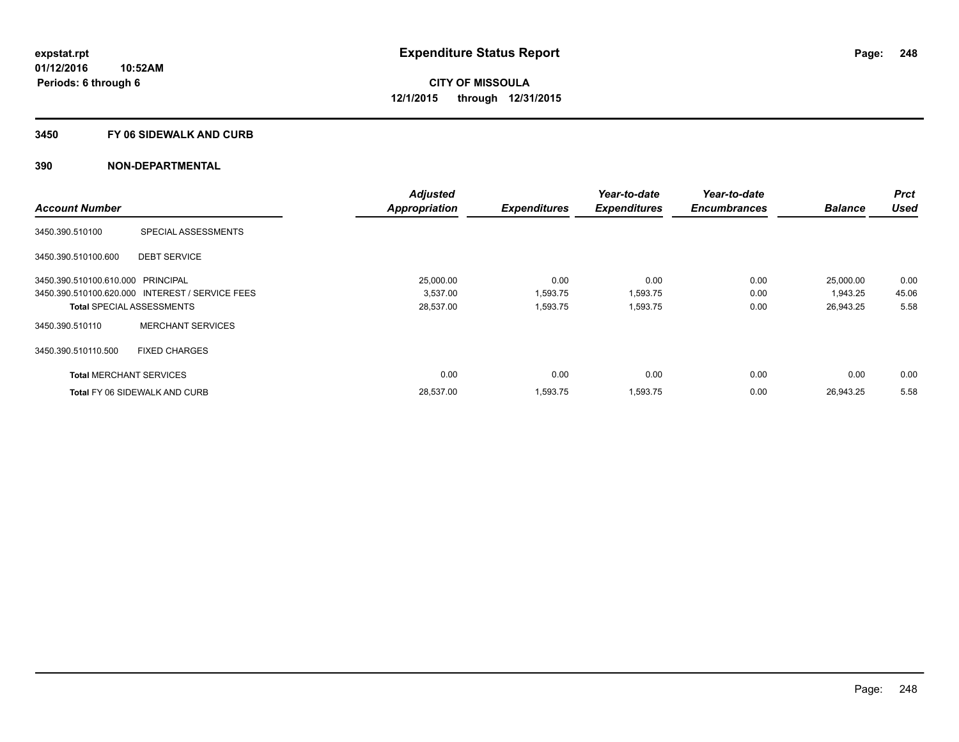#### **3450 FY 06 SIDEWALK AND CURB**

|                                   |                                                 | <b>Adjusted</b>      |                     | Year-to-date        | Year-to-date        |                | <b>Prct</b> |
|-----------------------------------|-------------------------------------------------|----------------------|---------------------|---------------------|---------------------|----------------|-------------|
| <b>Account Number</b>             |                                                 | <b>Appropriation</b> | <b>Expenditures</b> | <b>Expenditures</b> | <b>Encumbrances</b> | <b>Balance</b> | <b>Used</b> |
| 3450.390.510100                   | SPECIAL ASSESSMENTS                             |                      |                     |                     |                     |                |             |
| 3450.390.510100.600               | <b>DEBT SERVICE</b>                             |                      |                     |                     |                     |                |             |
| 3450.390.510100.610.000 PRINCIPAL |                                                 | 25.000.00            | 0.00                | 0.00                | 0.00                | 25,000.00      | 0.00        |
|                                   | 3450.390.510100.620.000 INTEREST / SERVICE FEES | 3,537.00             | 1,593.75            | 1,593.75            | 0.00                | 1,943.25       | 45.06       |
|                                   | <b>Total SPECIAL ASSESSMENTS</b>                | 28,537.00            | 1,593.75            | 1,593.75            | 0.00                | 26,943.25      | 5.58        |
| 3450.390.510110                   | <b>MERCHANT SERVICES</b>                        |                      |                     |                     |                     |                |             |
| 3450.390.510110.500               | <b>FIXED CHARGES</b>                            |                      |                     |                     |                     |                |             |
| <b>Total MERCHANT SERVICES</b>    |                                                 | 0.00                 | 0.00                | 0.00                | 0.00                | 0.00           | 0.00        |
|                                   | <b>Total FY 06 SIDEWALK AND CURB</b>            | 28,537.00            | 1,593.75            | 1,593.75            | 0.00                | 26.943.25      | 5.58        |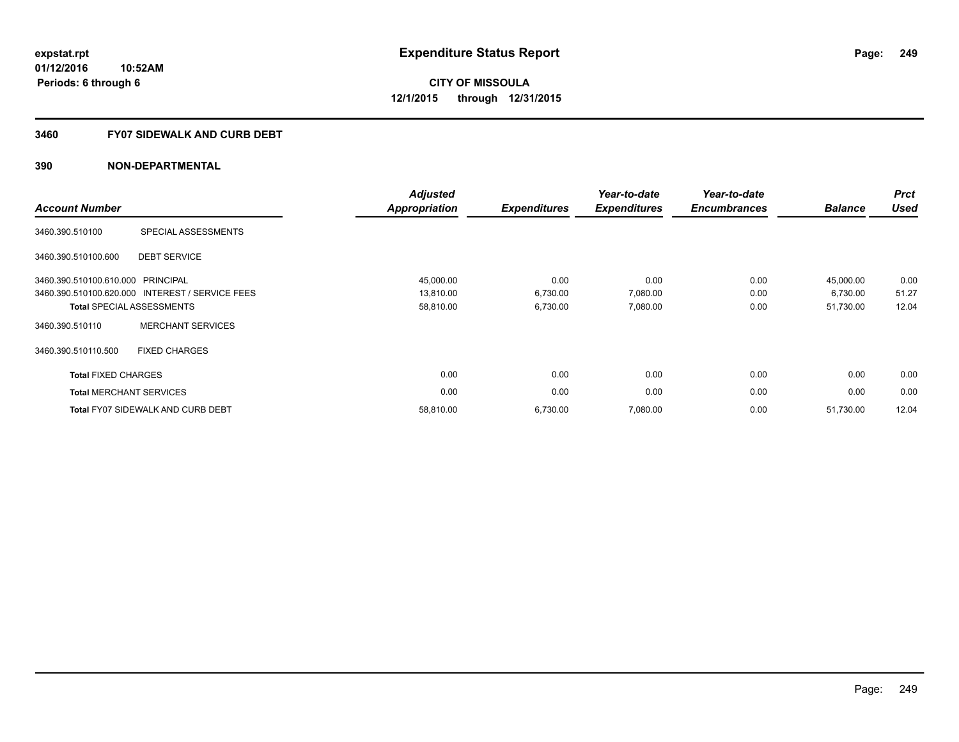#### **3460 FY07 SIDEWALK AND CURB DEBT**

| <b>Account Number</b>             |                                                 | <b>Adjusted</b><br><b>Appropriation</b> | <b>Expenditures</b> | Year-to-date<br><b>Expenditures</b> | Year-to-date<br><b>Encumbrances</b> | <b>Balance</b> | <b>Prct</b><br><b>Used</b> |
|-----------------------------------|-------------------------------------------------|-----------------------------------------|---------------------|-------------------------------------|-------------------------------------|----------------|----------------------------|
| 3460.390.510100                   | SPECIAL ASSESSMENTS                             |                                         |                     |                                     |                                     |                |                            |
| 3460.390.510100.600               | <b>DEBT SERVICE</b>                             |                                         |                     |                                     |                                     |                |                            |
| 3460.390.510100.610.000 PRINCIPAL |                                                 | 45,000.00                               | 0.00                | 0.00                                | 0.00                                | 45,000.00      | 0.00                       |
|                                   | 3460.390.510100.620.000 INTEREST / SERVICE FEES | 13,810.00                               | 6,730.00            | 7,080.00                            | 0.00                                | 6,730.00       | 51.27                      |
|                                   | <b>Total SPECIAL ASSESSMENTS</b>                | 58,810.00                               | 6,730.00            | 7,080.00                            | 0.00                                | 51,730.00      | 12.04                      |
| 3460.390.510110                   | <b>MERCHANT SERVICES</b>                        |                                         |                     |                                     |                                     |                |                            |
| 3460.390.510110.500               | <b>FIXED CHARGES</b>                            |                                         |                     |                                     |                                     |                |                            |
| <b>Total FIXED CHARGES</b>        |                                                 | 0.00                                    | 0.00                | 0.00                                | 0.00                                | 0.00           | 0.00                       |
| <b>Total MERCHANT SERVICES</b>    |                                                 | 0.00                                    | 0.00                | 0.00                                | 0.00                                | 0.00           | 0.00                       |
|                                   | <b>Total FY07 SIDEWALK AND CURB DEBT</b>        | 58,810.00                               | 6,730.00            | 7,080.00                            | 0.00                                | 51,730.00      | 12.04                      |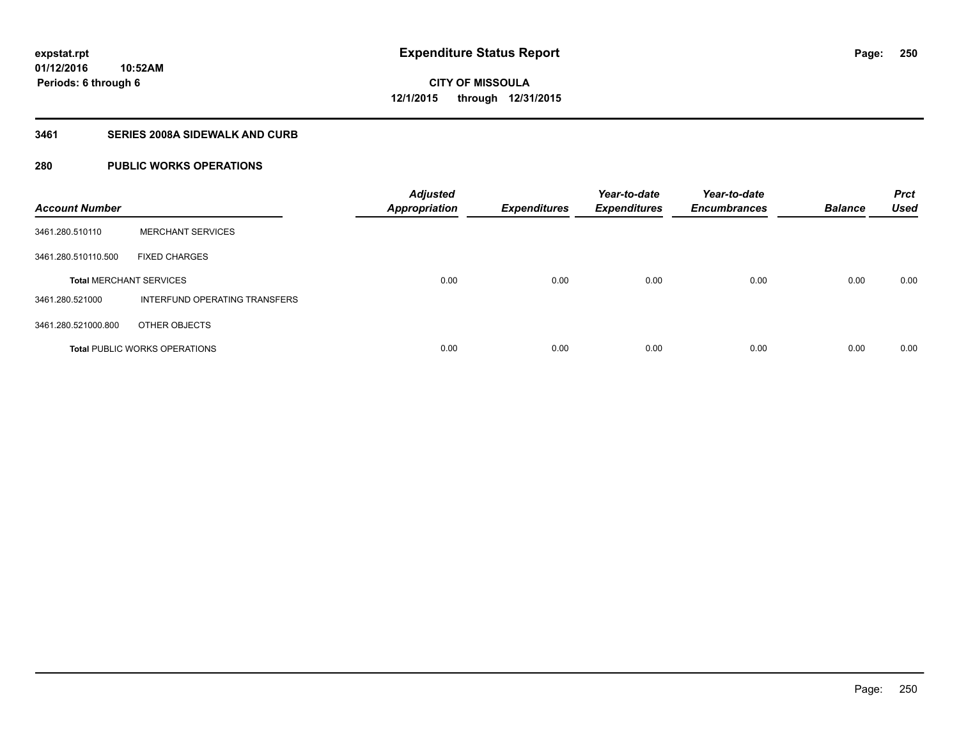## **3461 SERIES 2008A SIDEWALK AND CURB**

## **280 PUBLIC WORKS OPERATIONS**

| <b>Account Number</b>          |                                      | <b>Adjusted</b><br><b>Appropriation</b> | <b>Expenditures</b> | Year-to-date<br><b>Expenditures</b> | Year-to-date<br><b>Encumbrances</b> | <b>Balance</b> | <b>Prct</b><br><b>Used</b> |
|--------------------------------|--------------------------------------|-----------------------------------------|---------------------|-------------------------------------|-------------------------------------|----------------|----------------------------|
| 3461.280.510110                | <b>MERCHANT SERVICES</b>             |                                         |                     |                                     |                                     |                |                            |
| 3461.280.510110.500            | <b>FIXED CHARGES</b>                 |                                         |                     |                                     |                                     |                |                            |
| <b>Total MERCHANT SERVICES</b> |                                      | 0.00                                    | 0.00                | 0.00                                | 0.00                                | 0.00           | 0.00                       |
| 3461.280.521000                | INTERFUND OPERATING TRANSFERS        |                                         |                     |                                     |                                     |                |                            |
| 3461.280.521000.800            | OTHER OBJECTS                        |                                         |                     |                                     |                                     |                |                            |
|                                | <b>Total PUBLIC WORKS OPERATIONS</b> | 0.00                                    | 0.00                | 0.00                                | 0.00                                | 0.00           | 0.00                       |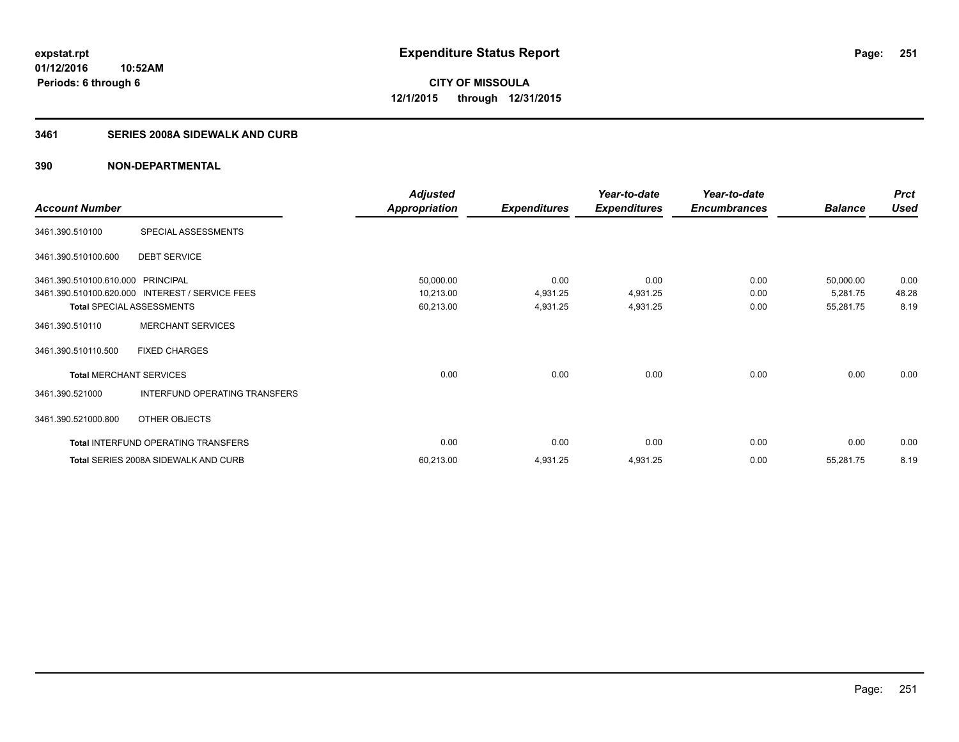#### **3461 SERIES 2008A SIDEWALK AND CURB**

|                         |                                      | <b>Adjusted</b> |                     | Year-to-date        | Year-to-date        |                | <b>Prct</b> |
|-------------------------|--------------------------------------|-----------------|---------------------|---------------------|---------------------|----------------|-------------|
| <b>Account Number</b>   |                                      | Appropriation   | <b>Expenditures</b> | <b>Expenditures</b> | <b>Encumbrances</b> | <b>Balance</b> | <b>Used</b> |
| 3461.390.510100         | SPECIAL ASSESSMENTS                  |                 |                     |                     |                     |                |             |
| 3461.390.510100.600     | <b>DEBT SERVICE</b>                  |                 |                     |                     |                     |                |             |
| 3461.390.510100.610.000 | <b>PRINCIPAL</b>                     | 50,000.00       | 0.00                | 0.00                | 0.00                | 50,000.00      | 0.00        |
| 3461.390.510100.620.000 | <b>INTEREST / SERVICE FEES</b>       | 10,213.00       | 4,931.25            | 4,931.25            | 0.00                | 5,281.75       | 48.28       |
|                         | Total SPECIAL ASSESSMENTS            | 60,213.00       | 4,931.25            | 4,931.25            | 0.00                | 55,281.75      | 8.19        |
| 3461.390.510110         | <b>MERCHANT SERVICES</b>             |                 |                     |                     |                     |                |             |
| 3461.390.510110.500     | <b>FIXED CHARGES</b>                 |                 |                     |                     |                     |                |             |
|                         | <b>Total MERCHANT SERVICES</b>       | 0.00            | 0.00                | 0.00                | 0.00                | 0.00           | 0.00        |
| 3461.390.521000         | INTERFUND OPERATING TRANSFERS        |                 |                     |                     |                     |                |             |
| 3461.390.521000.800     | OTHER OBJECTS                        |                 |                     |                     |                     |                |             |
|                         | Total INTERFUND OPERATING TRANSFERS  | 0.00            | 0.00                | 0.00                | 0.00                | 0.00           | 0.00        |
|                         | Total SERIES 2008A SIDEWALK AND CURB | 60,213.00       | 4,931.25            | 4,931.25            | 0.00                | 55,281.75      | 8.19        |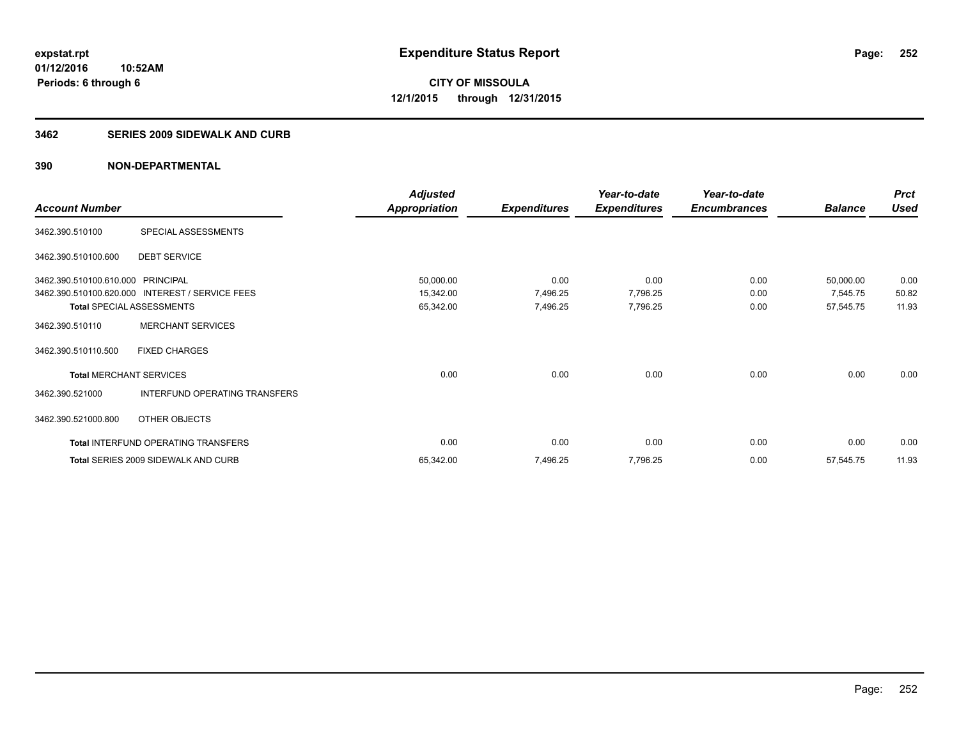#### **3462 SERIES 2009 SIDEWALK AND CURB**

|                                   |                                                 | <b>Adjusted</b>      |                     | Year-to-date        | Year-to-date        |                | <b>Prct</b> |
|-----------------------------------|-------------------------------------------------|----------------------|---------------------|---------------------|---------------------|----------------|-------------|
| <b>Account Number</b>             |                                                 | <b>Appropriation</b> | <b>Expenditures</b> | <b>Expenditures</b> | <b>Encumbrances</b> | <b>Balance</b> | <b>Used</b> |
| 3462.390.510100                   | SPECIAL ASSESSMENTS                             |                      |                     |                     |                     |                |             |
| 3462.390.510100.600               | <b>DEBT SERVICE</b>                             |                      |                     |                     |                     |                |             |
| 3462.390.510100.610.000 PRINCIPAL |                                                 | 50,000.00            | 0.00                | 0.00                | 0.00                | 50,000.00      | 0.00        |
|                                   | 3462.390.510100.620.000 INTEREST / SERVICE FEES | 15,342.00            | 7,496.25            | 7,796.25            | 0.00                | 7,545.75       | 50.82       |
| <b>Total SPECIAL ASSESSMENTS</b>  |                                                 | 65,342.00            | 7,496.25            | 7,796.25            | 0.00                | 57,545.75      | 11.93       |
| 3462.390.510110                   | <b>MERCHANT SERVICES</b>                        |                      |                     |                     |                     |                |             |
| 3462.390.510110.500               | <b>FIXED CHARGES</b>                            |                      |                     |                     |                     |                |             |
| <b>Total MERCHANT SERVICES</b>    |                                                 | 0.00                 | 0.00                | 0.00                | 0.00                | 0.00           | 0.00        |
| 3462.390.521000                   | INTERFUND OPERATING TRANSFERS                   |                      |                     |                     |                     |                |             |
| 3462.390.521000.800               | OTHER OBJECTS                                   |                      |                     |                     |                     |                |             |
|                                   | Total INTERFUND OPERATING TRANSFERS             | 0.00                 | 0.00                | 0.00                | 0.00                | 0.00           | 0.00        |
|                                   | <b>Total SERIES 2009 SIDEWALK AND CURB</b>      | 65,342.00            | 7,496.25            | 7,796.25            | 0.00                | 57,545.75      | 11.93       |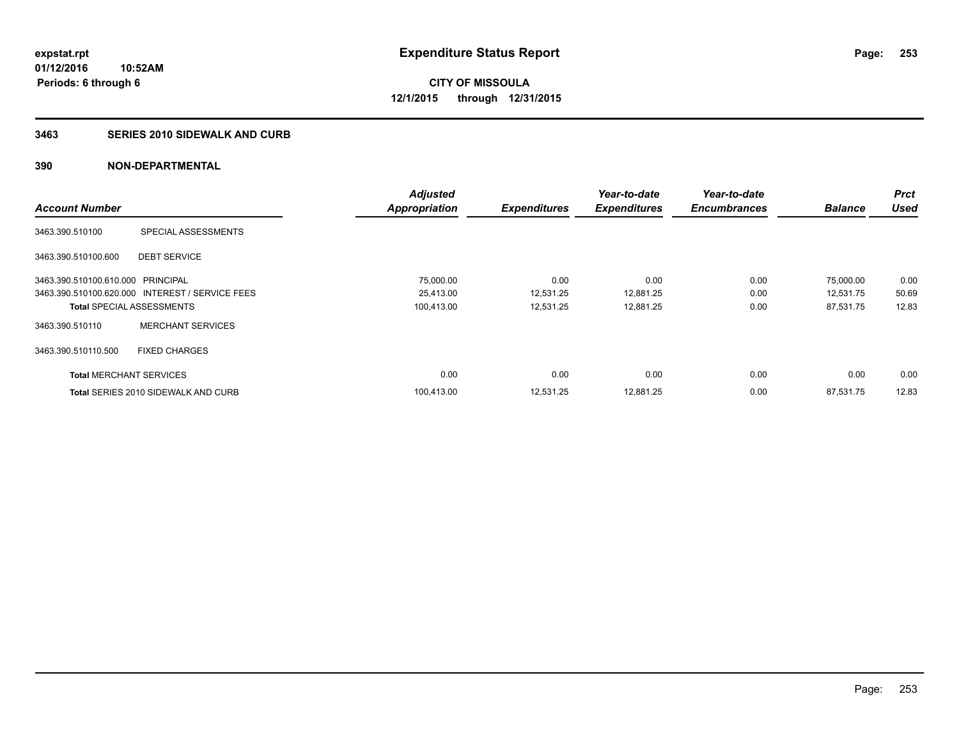# **3463 SERIES 2010 SIDEWALK AND CURB**

|                                   |                                                 | <b>Adjusted</b>      |                     | Year-to-date        | Year-to-date        |                | <b>Prct</b> |
|-----------------------------------|-------------------------------------------------|----------------------|---------------------|---------------------|---------------------|----------------|-------------|
| <b>Account Number</b>             |                                                 | <b>Appropriation</b> | <b>Expenditures</b> | <b>Expenditures</b> | <b>Encumbrances</b> | <b>Balance</b> | <b>Used</b> |
| 3463.390.510100                   | SPECIAL ASSESSMENTS                             |                      |                     |                     |                     |                |             |
| 3463.390.510100.600               | <b>DEBT SERVICE</b>                             |                      |                     |                     |                     |                |             |
| 3463.390.510100.610.000 PRINCIPAL |                                                 | 75,000.00            | 0.00                | 0.00                | 0.00                | 75,000.00      | 0.00        |
|                                   | 3463.390.510100.620.000 INTEREST / SERVICE FEES | 25,413.00            | 12,531.25           | 12,881.25           | 0.00                | 12,531.75      | 50.69       |
| <b>Total SPECIAL ASSESSMENTS</b>  |                                                 | 100,413.00           | 12,531.25           | 12,881.25           | 0.00                | 87,531.75      | 12.83       |
| 3463.390.510110                   | <b>MERCHANT SERVICES</b>                        |                      |                     |                     |                     |                |             |
| 3463.390.510110.500               | <b>FIXED CHARGES</b>                            |                      |                     |                     |                     |                |             |
| <b>Total MERCHANT SERVICES</b>    |                                                 | 0.00                 | 0.00                | 0.00                | 0.00                | 0.00           | 0.00        |
|                                   | <b>Total SERIES 2010 SIDEWALK AND CURB</b>      | 100,413.00           | 12,531.25           | 12,881.25           | 0.00                | 87,531.75      | 12.83       |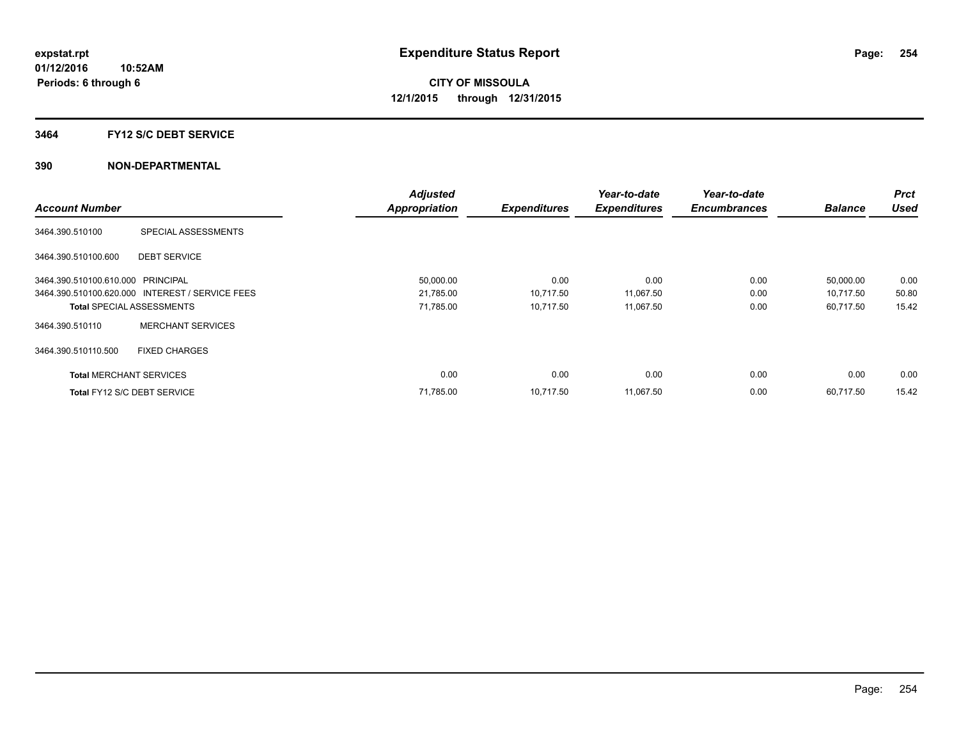#### **3464 FY12 S/C DEBT SERVICE**

|                                   |                                                 | <b>Adjusted</b>      |                     | Year-to-date        | Year-to-date        |                | <b>Prct</b> |
|-----------------------------------|-------------------------------------------------|----------------------|---------------------|---------------------|---------------------|----------------|-------------|
| <b>Account Number</b>             |                                                 | <b>Appropriation</b> | <b>Expenditures</b> | <b>Expenditures</b> | <b>Encumbrances</b> | <b>Balance</b> | <b>Used</b> |
| 3464.390.510100                   | SPECIAL ASSESSMENTS                             |                      |                     |                     |                     |                |             |
| 3464.390.510100.600               | <b>DEBT SERVICE</b>                             |                      |                     |                     |                     |                |             |
| 3464.390.510100.610.000 PRINCIPAL |                                                 | 50,000.00            | 0.00                | 0.00                | 0.00                | 50,000.00      | 0.00        |
|                                   | 3464.390.510100.620.000 INTEREST / SERVICE FEES | 21,785.00            | 10,717.50           | 11,067.50           | 0.00                | 10,717.50      | 50.80       |
| <b>Total SPECIAL ASSESSMENTS</b>  |                                                 | 71,785.00            | 10,717.50           | 11,067.50           | 0.00                | 60,717.50      | 15.42       |
| 3464.390.510110                   | <b>MERCHANT SERVICES</b>                        |                      |                     |                     |                     |                |             |
| 3464.390.510110.500               | <b>FIXED CHARGES</b>                            |                      |                     |                     |                     |                |             |
| <b>Total MERCHANT SERVICES</b>    |                                                 | 0.00                 | 0.00                | 0.00                | 0.00                | 0.00           | 0.00        |
| Total FY12 S/C DEBT SERVICE       |                                                 | 71,785.00            | 10.717.50           | 11,067.50           | 0.00                | 60.717.50      | 15.42       |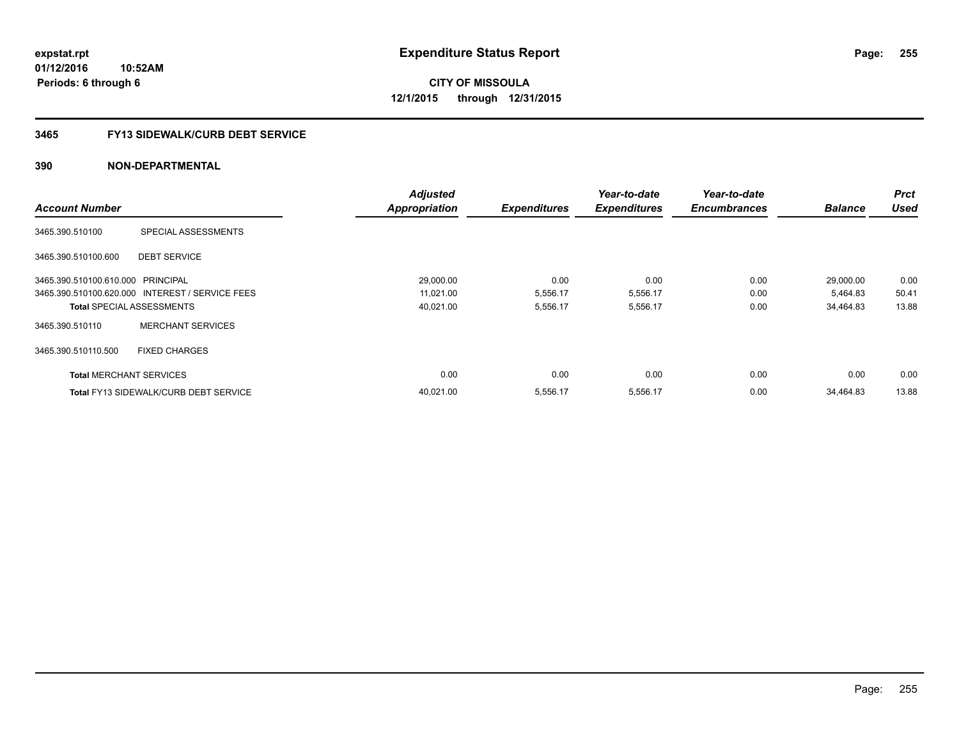# **3465 FY13 SIDEWALK/CURB DEBT SERVICE**

|                                   |                                                 | <b>Adjusted</b>      |                     | Year-to-date        | Year-to-date        |                | <b>Prct</b> |
|-----------------------------------|-------------------------------------------------|----------------------|---------------------|---------------------|---------------------|----------------|-------------|
| <b>Account Number</b>             |                                                 | <b>Appropriation</b> | <b>Expenditures</b> | <b>Expenditures</b> | <b>Encumbrances</b> | <b>Balance</b> | <b>Used</b> |
| 3465.390.510100                   | SPECIAL ASSESSMENTS                             |                      |                     |                     |                     |                |             |
| 3465.390.510100.600               | <b>DEBT SERVICE</b>                             |                      |                     |                     |                     |                |             |
| 3465.390.510100.610.000 PRINCIPAL |                                                 | 29,000.00            | 0.00                | 0.00                | 0.00                | 29,000.00      | 0.00        |
|                                   | 3465.390.510100.620.000 INTEREST / SERVICE FEES | 11.021.00            | 5,556.17            | 5,556.17            | 0.00                | 5.464.83       | 50.41       |
|                                   | <b>Total SPECIAL ASSESSMENTS</b>                | 40,021.00            | 5,556.17            | 5,556.17            | 0.00                | 34,464.83      | 13.88       |
| 3465.390.510110                   | <b>MERCHANT SERVICES</b>                        |                      |                     |                     |                     |                |             |
| 3465.390.510110.500               | <b>FIXED CHARGES</b>                            |                      |                     |                     |                     |                |             |
| <b>Total MERCHANT SERVICES</b>    |                                                 | 0.00                 | 0.00                | 0.00                | 0.00                | 0.00           | 0.00        |
|                                   | <b>Total FY13 SIDEWALK/CURB DEBT SERVICE</b>    | 40,021.00            | 5,556.17            | 5,556.17            | 0.00                | 34.464.83      | 13.88       |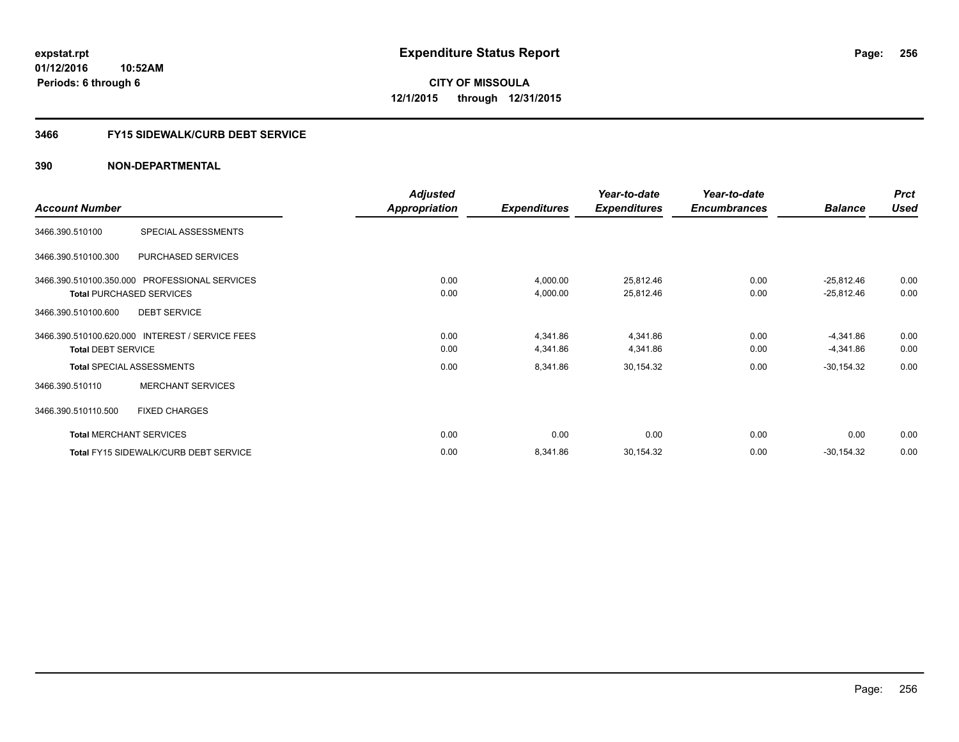# **3466 FY15 SIDEWALK/CURB DEBT SERVICE**

|                                                 |                          | <b>Adjusted</b> |                     | Year-to-date        | Year-to-date        |                | <b>Prct</b> |
|-------------------------------------------------|--------------------------|-----------------|---------------------|---------------------|---------------------|----------------|-------------|
| <b>Account Number</b>                           |                          | Appropriation   | <b>Expenditures</b> | <b>Expenditures</b> | <b>Encumbrances</b> | <b>Balance</b> | <b>Used</b> |
| 3466.390.510100                                 | SPECIAL ASSESSMENTS      |                 |                     |                     |                     |                |             |
| 3466.390.510100.300                             | PURCHASED SERVICES       |                 |                     |                     |                     |                |             |
| 3466.390.510100.350.000 PROFESSIONAL SERVICES   |                          | 0.00            | 4,000.00            | 25,812.46           | 0.00                | $-25,812.46$   | 0.00        |
| <b>Total PURCHASED SERVICES</b>                 |                          | 0.00            | 4,000.00            | 25,812.46           | 0.00                | $-25,812.46$   | 0.00        |
| <b>DEBT SERVICE</b><br>3466.390.510100.600      |                          |                 |                     |                     |                     |                |             |
| 3466.390.510100.620.000 INTEREST / SERVICE FEES |                          | 0.00            | 4,341.86            | 4,341.86            | 0.00                | $-4,341.86$    | 0.00        |
| <b>Total DEBT SERVICE</b>                       |                          | 0.00            | 4,341.86            | 4,341.86            | 0.00                | $-4,341.86$    | 0.00        |
| <b>Total SPECIAL ASSESSMENTS</b>                |                          | 0.00            | 8,341.86            | 30,154.32           | 0.00                | $-30,154.32$   | 0.00        |
| 3466.390.510110                                 | <b>MERCHANT SERVICES</b> |                 |                     |                     |                     |                |             |
| 3466.390.510110.500                             | <b>FIXED CHARGES</b>     |                 |                     |                     |                     |                |             |
| <b>Total MERCHANT SERVICES</b>                  |                          | 0.00            | 0.00                | 0.00                | 0.00                | 0.00           | 0.00        |
| <b>Total FY15 SIDEWALK/CURB DEBT SERVICE</b>    |                          | 0.00            | 8,341.86            | 30,154.32           | 0.00                | $-30,154.32$   | 0.00        |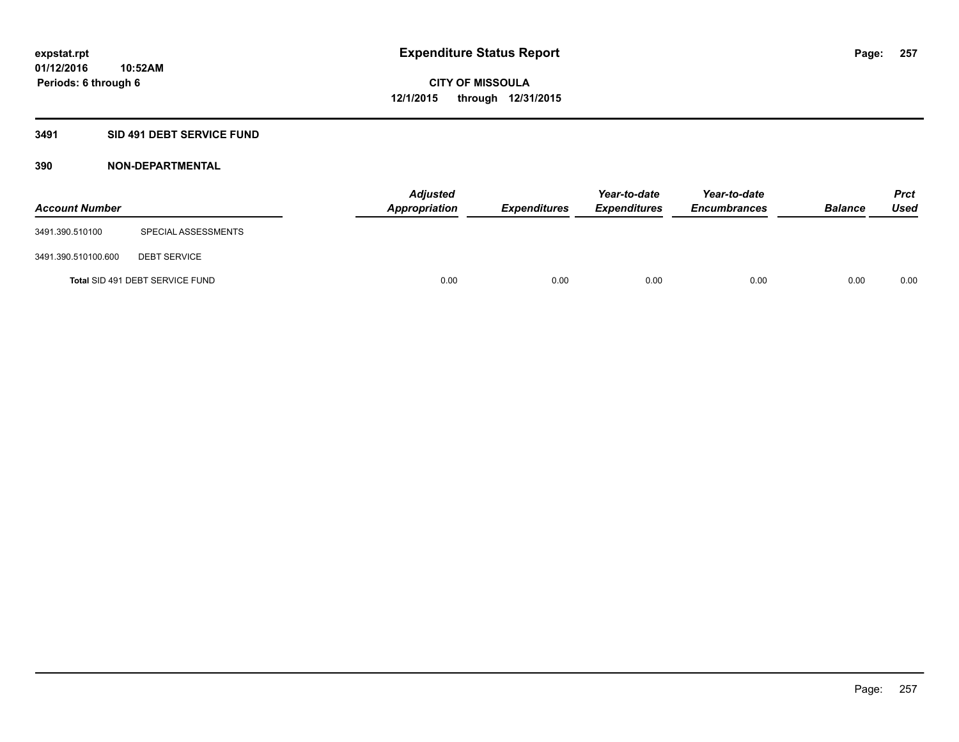## **3491 SID 491 DEBT SERVICE FUND**

| <b>Account Number</b> |                                 | <b>Adjusted</b><br><b>Appropriation</b> | <b>Expenditures</b> | Year-to-date<br><b>Expenditures</b> | Year-to-date<br><b>Encumbrances</b> | <b>Balance</b> | <b>Prct</b><br><b>Used</b> |
|-----------------------|---------------------------------|-----------------------------------------|---------------------|-------------------------------------|-------------------------------------|----------------|----------------------------|
| 3491.390.510100       | SPECIAL ASSESSMENTS             |                                         |                     |                                     |                                     |                |                            |
| 3491.390.510100.600   | <b>DEBT SERVICE</b>             |                                         |                     |                                     |                                     |                |                            |
|                       | Total SID 491 DEBT SERVICE FUND | 0.00                                    | 0.00                | 0.00                                | 0.00                                | 0.00           | 0.00                       |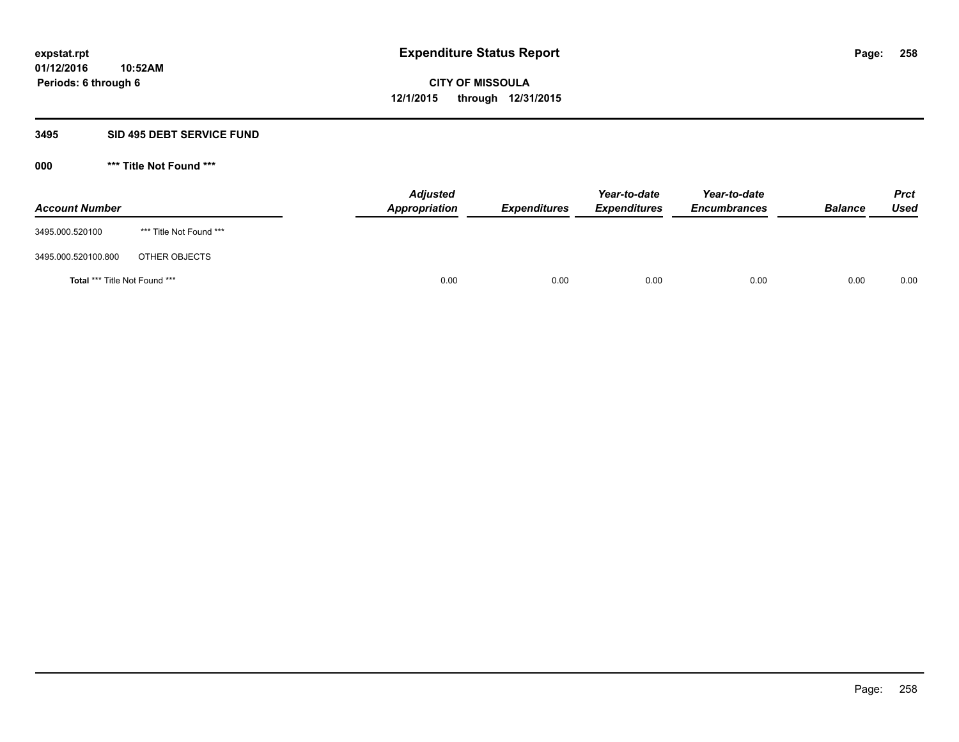#### **3495 SID 495 DEBT SERVICE FUND**

| <b>Account Number</b>         |                         | <b>Adjusted</b><br>Appropriation | <b>Expenditures</b> | Year-to-date<br><b>Expenditures</b> | Year-to-date<br><b>Encumbrances</b> | <b>Balance</b> | <b>Prct</b><br>Used |
|-------------------------------|-------------------------|----------------------------------|---------------------|-------------------------------------|-------------------------------------|----------------|---------------------|
| 3495.000.520100               | *** Title Not Found *** |                                  |                     |                                     |                                     |                |                     |
| 3495.000.520100.800           | OTHER OBJECTS           |                                  |                     |                                     |                                     |                |                     |
| Total *** Title Not Found *** |                         | 0.00                             | 0.00                | 0.00                                | 0.00                                | 0.00           | 0.00                |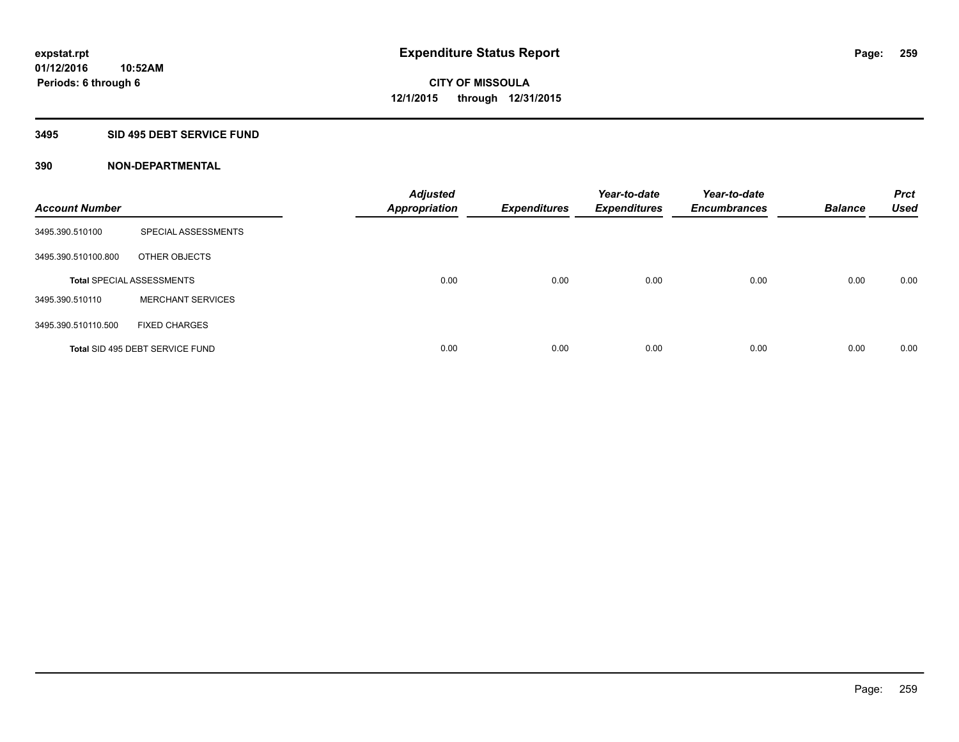## **3495 SID 495 DEBT SERVICE FUND**

| <b>Account Number</b> |                                  | <b>Adjusted</b><br><b>Appropriation</b> | <b>Expenditures</b> | Year-to-date<br><b>Expenditures</b> | Year-to-date<br><b>Encumbrances</b> | <b>Balance</b> | <b>Prct</b><br><b>Used</b> |
|-----------------------|----------------------------------|-----------------------------------------|---------------------|-------------------------------------|-------------------------------------|----------------|----------------------------|
| 3495.390.510100       | SPECIAL ASSESSMENTS              |                                         |                     |                                     |                                     |                |                            |
| 3495.390.510100.800   | OTHER OBJECTS                    |                                         |                     |                                     |                                     |                |                            |
|                       | <b>Total SPECIAL ASSESSMENTS</b> | 0.00                                    | 0.00                | 0.00                                | 0.00                                | 0.00           | 0.00                       |
| 3495.390.510110       | <b>MERCHANT SERVICES</b>         |                                         |                     |                                     |                                     |                |                            |
| 3495.390.510110.500   | <b>FIXED CHARGES</b>             |                                         |                     |                                     |                                     |                |                            |
|                       | Total SID 495 DEBT SERVICE FUND  | 0.00                                    | 0.00                | 0.00                                | 0.00                                | 0.00           | 0.00                       |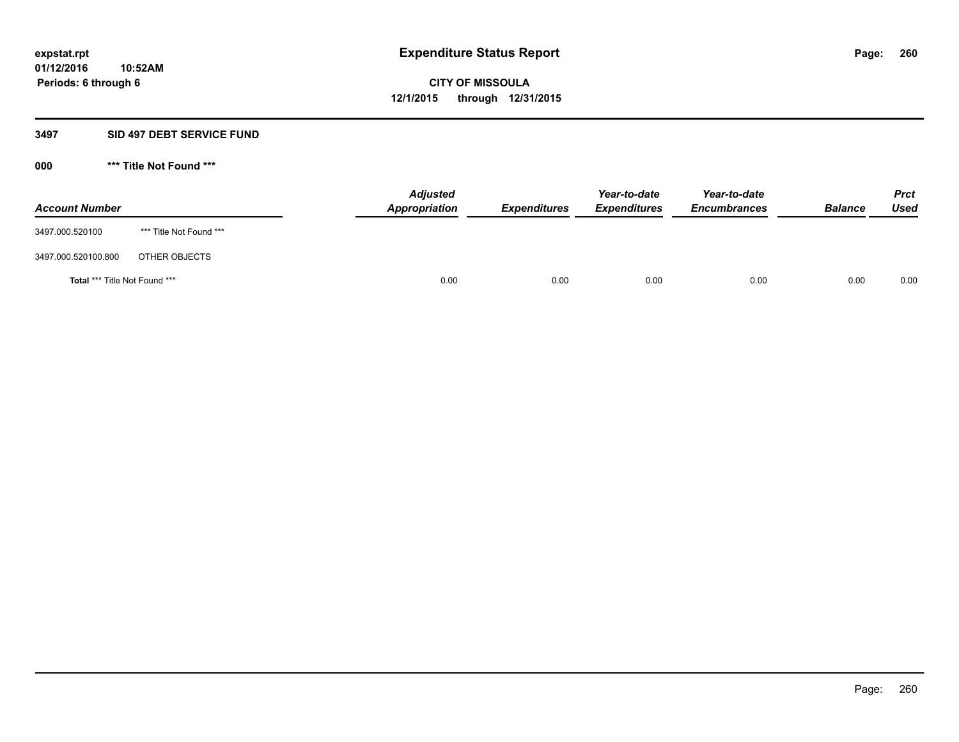#### **3497 SID 497 DEBT SERVICE FUND**

| <b>Account Number</b>         |                         | <b>Adjusted</b><br>Appropriation | <b>Expenditures</b> | Year-to-date<br><b>Expenditures</b> | Year-to-date<br><b>Encumbrances</b> | <b>Balance</b> | <b>Prct</b><br>Used |
|-------------------------------|-------------------------|----------------------------------|---------------------|-------------------------------------|-------------------------------------|----------------|---------------------|
| 3497.000.520100               | *** Title Not Found *** |                                  |                     |                                     |                                     |                |                     |
| 3497.000.520100.800           | OTHER OBJECTS           |                                  |                     |                                     |                                     |                |                     |
| Total *** Title Not Found *** |                         | 0.00                             | 0.00                | 0.00                                | 0.00                                | 0.00           | 0.00                |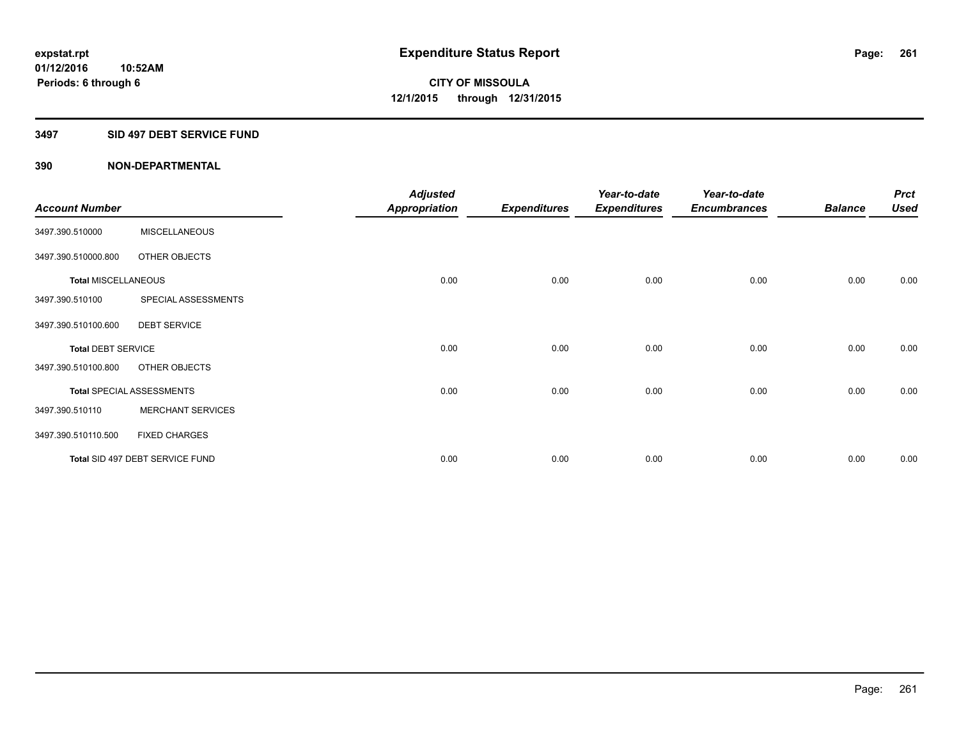#### **3497 SID 497 DEBT SERVICE FUND**

|                            |                                  | <b>Adjusted</b> |                     | Year-to-date        | Year-to-date        |                | <b>Prct</b> |
|----------------------------|----------------------------------|-----------------|---------------------|---------------------|---------------------|----------------|-------------|
| <b>Account Number</b>      |                                  | Appropriation   | <b>Expenditures</b> | <b>Expenditures</b> | <b>Encumbrances</b> | <b>Balance</b> | <b>Used</b> |
| 3497.390.510000            | <b>MISCELLANEOUS</b>             |                 |                     |                     |                     |                |             |
| 3497.390.510000.800        | OTHER OBJECTS                    |                 |                     |                     |                     |                |             |
| <b>Total MISCELLANEOUS</b> |                                  | 0.00            | 0.00                | 0.00                | 0.00                | 0.00           | 0.00        |
| 3497.390.510100            | SPECIAL ASSESSMENTS              |                 |                     |                     |                     |                |             |
| 3497.390.510100.600        | <b>DEBT SERVICE</b>              |                 |                     |                     |                     |                |             |
| <b>Total DEBT SERVICE</b>  |                                  | 0.00            | 0.00                | 0.00                | 0.00                | 0.00           | 0.00        |
| 3497.390.510100.800        | OTHER OBJECTS                    |                 |                     |                     |                     |                |             |
|                            | <b>Total SPECIAL ASSESSMENTS</b> | 0.00            | 0.00                | 0.00                | 0.00                | 0.00           | 0.00        |
| 3497.390.510110            | <b>MERCHANT SERVICES</b>         |                 |                     |                     |                     |                |             |
| 3497.390.510110.500        | <b>FIXED CHARGES</b>             |                 |                     |                     |                     |                |             |
|                            | Total SID 497 DEBT SERVICE FUND  | 0.00            | 0.00                | 0.00                | 0.00                | 0.00           | 0.00        |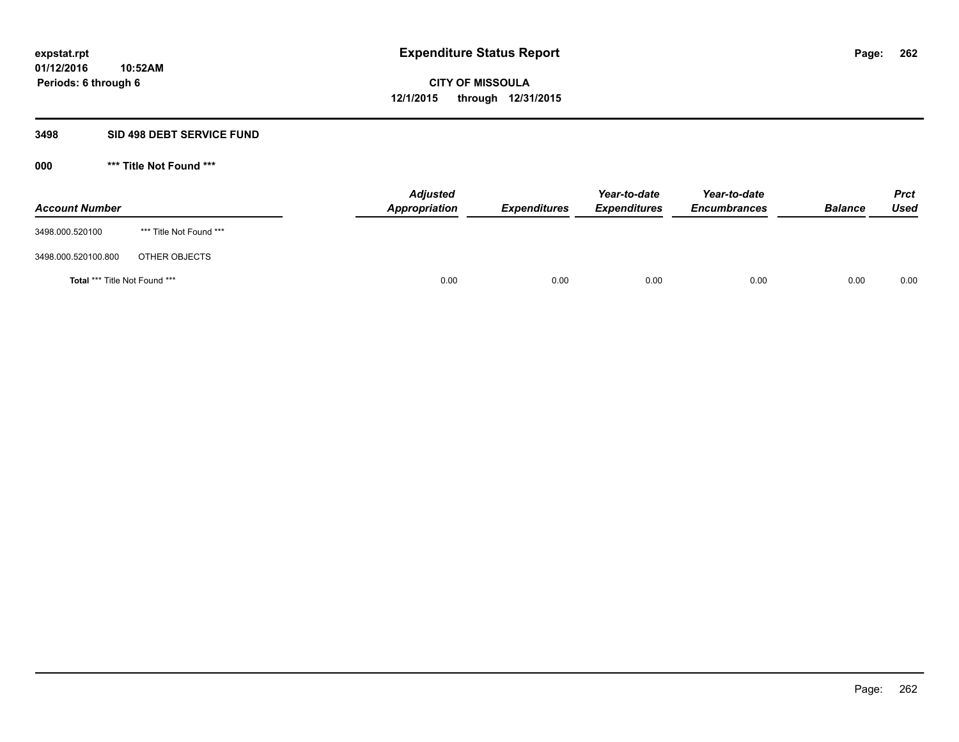#### **3498 SID 498 DEBT SERVICE FUND**

| <b>Account Number</b>         |                         | <b>Adjusted</b><br>Appropriation | <b>Expenditures</b> | Year-to-date<br><b>Expenditures</b> | Year-to-date<br><b>Encumbrances</b> | <b>Balance</b> | <b>Prct</b><br>Used |
|-------------------------------|-------------------------|----------------------------------|---------------------|-------------------------------------|-------------------------------------|----------------|---------------------|
| 3498.000.520100               | *** Title Not Found *** |                                  |                     |                                     |                                     |                |                     |
| 3498.000.520100.800           | OTHER OBJECTS           |                                  |                     |                                     |                                     |                |                     |
| Total *** Title Not Found *** |                         | 0.00                             | 0.00                | 0.00                                | 0.00                                | 0.00           | 0.00                |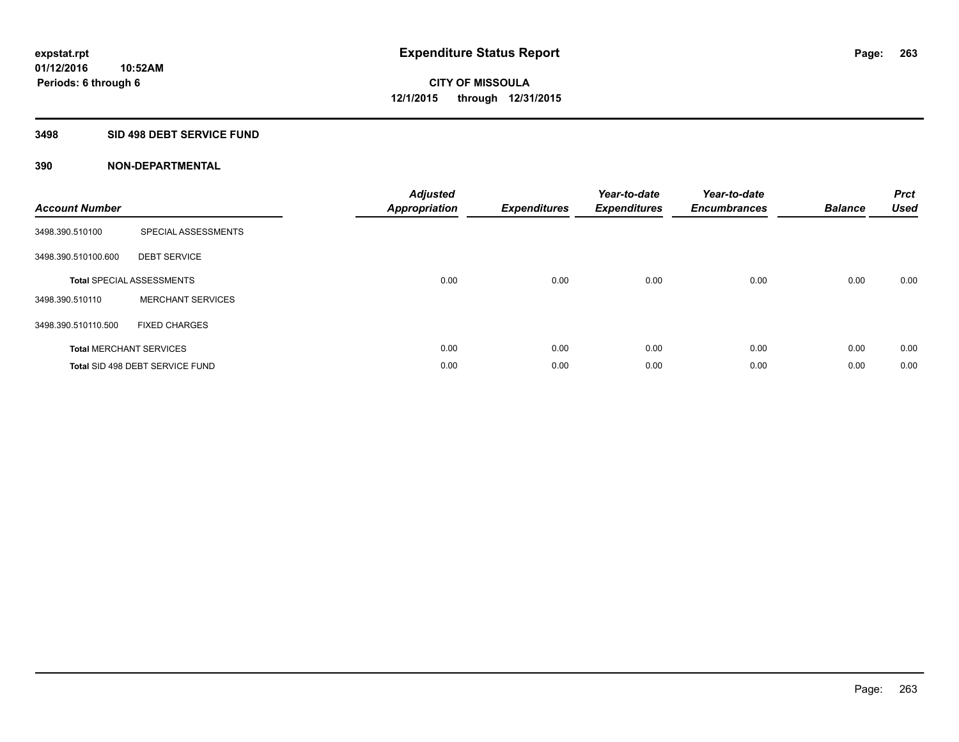## **3498 SID 498 DEBT SERVICE FUND**

| <b>Account Number</b> |                                  | <b>Adjusted</b><br>Appropriation | <b>Expenditures</b> | Year-to-date<br><b>Expenditures</b> | Year-to-date<br><b>Encumbrances</b> | <b>Balance</b> | <b>Prct</b><br>Used |
|-----------------------|----------------------------------|----------------------------------|---------------------|-------------------------------------|-------------------------------------|----------------|---------------------|
| 3498.390.510100       | SPECIAL ASSESSMENTS              |                                  |                     |                                     |                                     |                |                     |
| 3498.390.510100.600   | <b>DEBT SERVICE</b>              |                                  |                     |                                     |                                     |                |                     |
|                       | <b>Total SPECIAL ASSESSMENTS</b> | 0.00                             | 0.00                | 0.00                                | 0.00                                | 0.00           | 0.00                |
| 3498.390.510110       | <b>MERCHANT SERVICES</b>         |                                  |                     |                                     |                                     |                |                     |
| 3498.390.510110.500   | <b>FIXED CHARGES</b>             |                                  |                     |                                     |                                     |                |                     |
|                       | <b>Total MERCHANT SERVICES</b>   | 0.00                             | 0.00                | 0.00                                | 0.00                                | 0.00           | 0.00                |
|                       | Total SID 498 DEBT SERVICE FUND  | 0.00                             | 0.00                | 0.00                                | 0.00                                | 0.00           | 0.00                |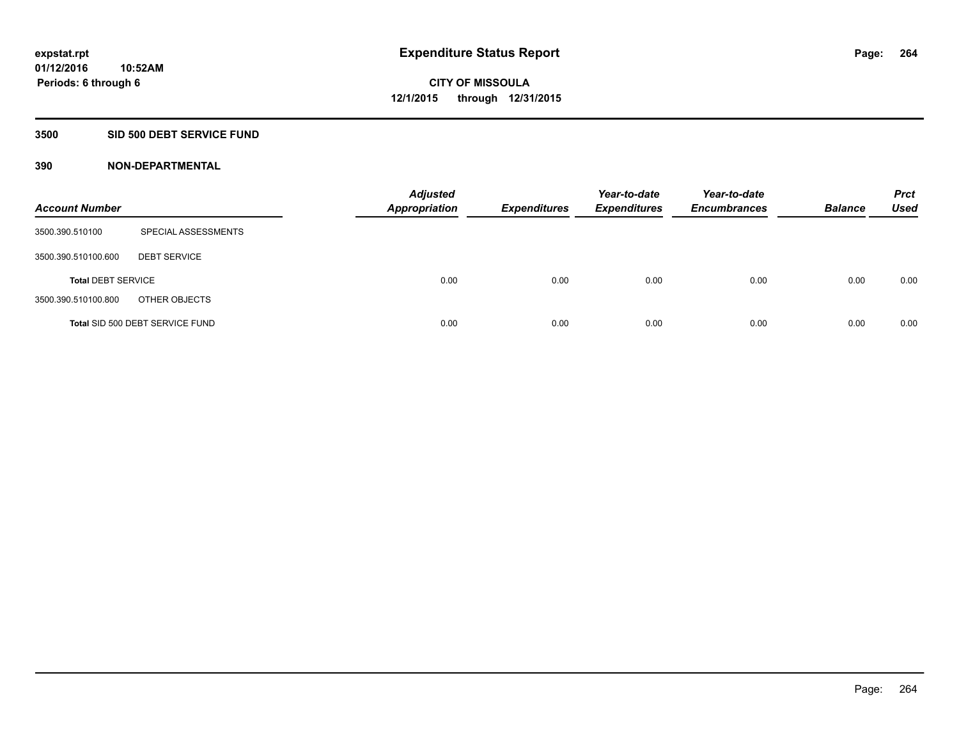# **3500 SID 500 DEBT SERVICE FUND**

| <b>Account Number</b>     |                                 | <b>Adjusted</b><br><b>Appropriation</b> | <b>Expenditures</b> | Year-to-date<br><b>Expenditures</b> | Year-to-date<br><b>Encumbrances</b> | <b>Balance</b> | <b>Prct</b><br>Used |
|---------------------------|---------------------------------|-----------------------------------------|---------------------|-------------------------------------|-------------------------------------|----------------|---------------------|
| 3500.390.510100           | SPECIAL ASSESSMENTS             |                                         |                     |                                     |                                     |                |                     |
| 3500.390.510100.600       | <b>DEBT SERVICE</b>             |                                         |                     |                                     |                                     |                |                     |
| <b>Total DEBT SERVICE</b> |                                 | 0.00                                    | 0.00                | 0.00                                | 0.00                                | 0.00           | 0.00                |
| 3500.390.510100.800       | OTHER OBJECTS                   |                                         |                     |                                     |                                     |                |                     |
|                           | Total SID 500 DEBT SERVICE FUND | 0.00                                    | 0.00                | 0.00                                | 0.00                                | 0.00           | 0.00                |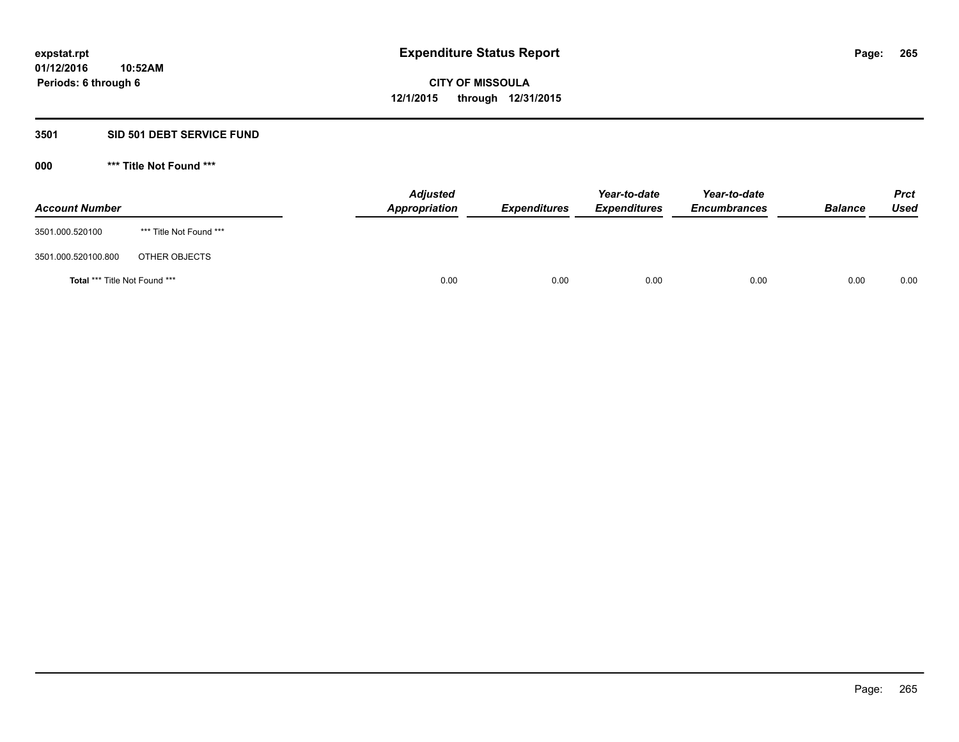## **3501 SID 501 DEBT SERVICE FUND**

| <b>Account Number</b>         |                         | <b>Adjusted</b><br>Appropriation | <b>Expenditures</b> | Year-to-date<br><b>Expenditures</b> | Year-to-date<br><b>Encumbrances</b> | <b>Balance</b> | <b>Prct</b><br><b>Used</b> |
|-------------------------------|-------------------------|----------------------------------|---------------------|-------------------------------------|-------------------------------------|----------------|----------------------------|
| 3501.000.520100               | *** Title Not Found *** |                                  |                     |                                     |                                     |                |                            |
| 3501.000.520100.800           | OTHER OBJECTS           |                                  |                     |                                     |                                     |                |                            |
| Total *** Title Not Found *** |                         | 0.00                             | 0.00                | 0.00                                | 0.00                                | 0.00           | 0.00                       |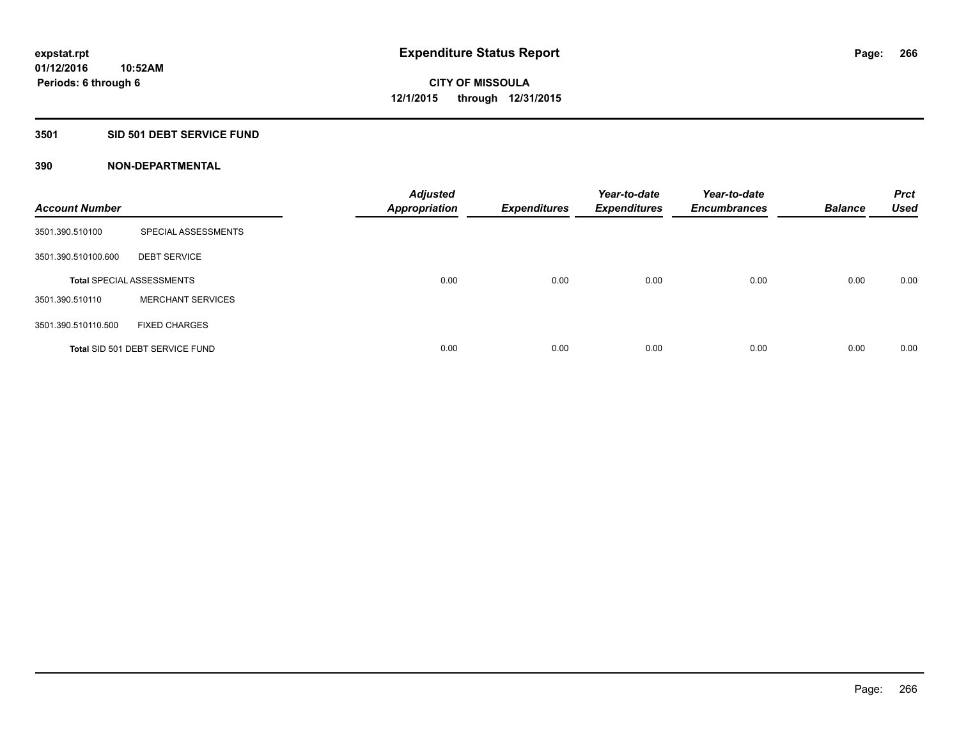# **3501 SID 501 DEBT SERVICE FUND**

| <b>Account Number</b> |                                  | <b>Adjusted</b><br><b>Appropriation</b> | <b>Expenditures</b> | Year-to-date<br><b>Expenditures</b> | Year-to-date<br><b>Encumbrances</b> | <b>Balance</b> | <b>Prct</b><br><b>Used</b> |
|-----------------------|----------------------------------|-----------------------------------------|---------------------|-------------------------------------|-------------------------------------|----------------|----------------------------|
| 3501.390.510100       | SPECIAL ASSESSMENTS              |                                         |                     |                                     |                                     |                |                            |
| 3501.390.510100.600   | <b>DEBT SERVICE</b>              |                                         |                     |                                     |                                     |                |                            |
|                       | <b>Total SPECIAL ASSESSMENTS</b> | 0.00                                    | 0.00                | 0.00                                | 0.00                                | 0.00           | 0.00                       |
| 3501.390.510110       | <b>MERCHANT SERVICES</b>         |                                         |                     |                                     |                                     |                |                            |
| 3501.390.510110.500   | <b>FIXED CHARGES</b>             |                                         |                     |                                     |                                     |                |                            |
|                       | Total SID 501 DEBT SERVICE FUND  | 0.00                                    | 0.00                | 0.00                                | 0.00                                | 0.00           | 0.00                       |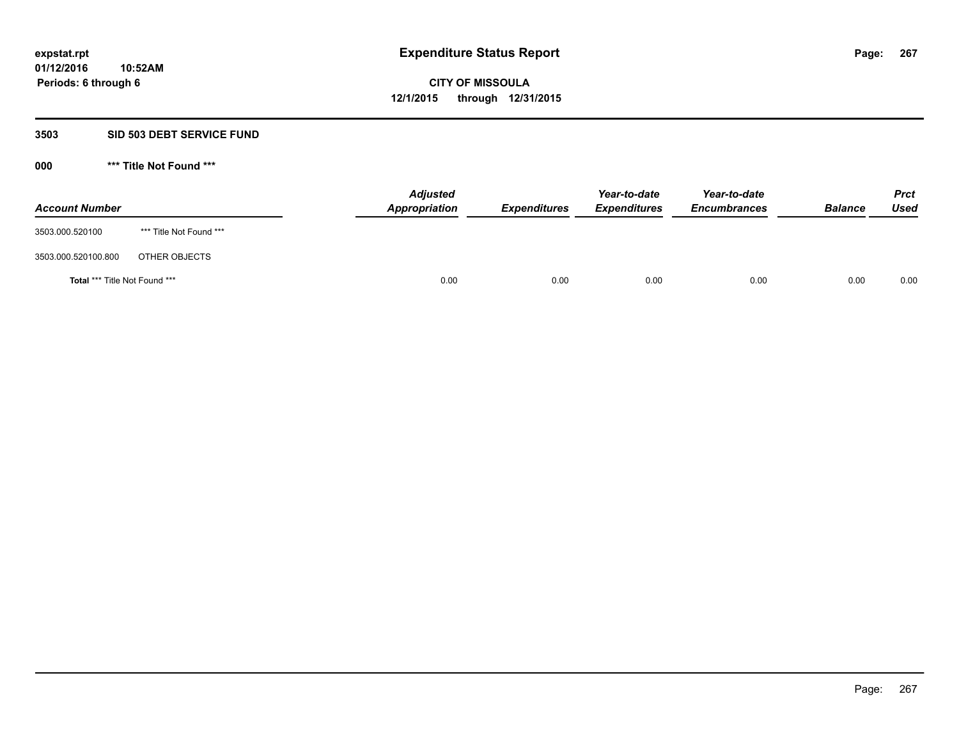#### **3503 SID 503 DEBT SERVICE FUND**

| <b>Account Number</b>         |                         | <b>Adjusted</b><br>Appropriation | <b>Expenditures</b> | Year-to-date<br><b>Expenditures</b> | Year-to-date<br><b>Encumbrances</b> | <b>Balance</b> | <b>Prct</b><br><b>Used</b> |
|-------------------------------|-------------------------|----------------------------------|---------------------|-------------------------------------|-------------------------------------|----------------|----------------------------|
| 3503.000.520100               | *** Title Not Found *** |                                  |                     |                                     |                                     |                |                            |
| 3503.000.520100.800           | OTHER OBJECTS           |                                  |                     |                                     |                                     |                |                            |
| Total *** Title Not Found *** |                         | 0.00                             | 0.00                | 0.00                                | 0.00                                | 0.00           | 0.00                       |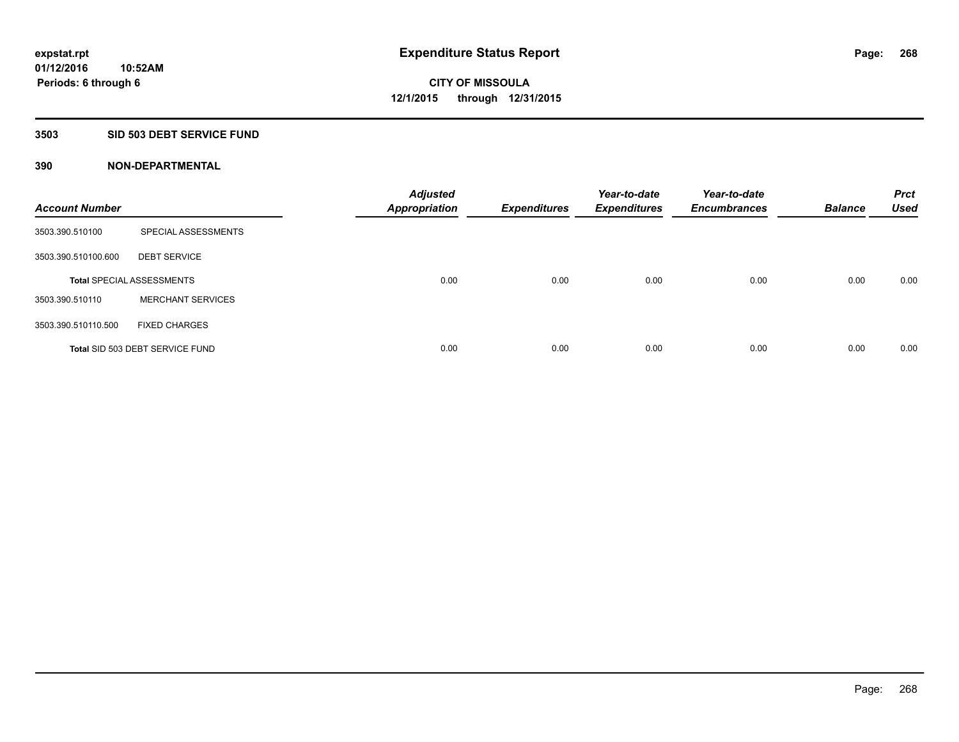# **3503 SID 503 DEBT SERVICE FUND**

| <b>Account Number</b> |                                  | <b>Adjusted</b><br><b>Appropriation</b> | <b>Expenditures</b> | Year-to-date<br><b>Expenditures</b> | Year-to-date<br><b>Encumbrances</b> | <b>Balance</b> | <b>Prct</b><br><b>Used</b> |
|-----------------------|----------------------------------|-----------------------------------------|---------------------|-------------------------------------|-------------------------------------|----------------|----------------------------|
| 3503.390.510100       | SPECIAL ASSESSMENTS              |                                         |                     |                                     |                                     |                |                            |
| 3503.390.510100.600   | <b>DEBT SERVICE</b>              |                                         |                     |                                     |                                     |                |                            |
|                       | <b>Total SPECIAL ASSESSMENTS</b> | 0.00                                    | 0.00                | 0.00                                | 0.00                                | 0.00           | 0.00                       |
| 3503.390.510110       | <b>MERCHANT SERVICES</b>         |                                         |                     |                                     |                                     |                |                            |
| 3503.390.510110.500   | <b>FIXED CHARGES</b>             |                                         |                     |                                     |                                     |                |                            |
|                       | Total SID 503 DEBT SERVICE FUND  | 0.00                                    | 0.00                | 0.00                                | 0.00                                | 0.00           | 0.00                       |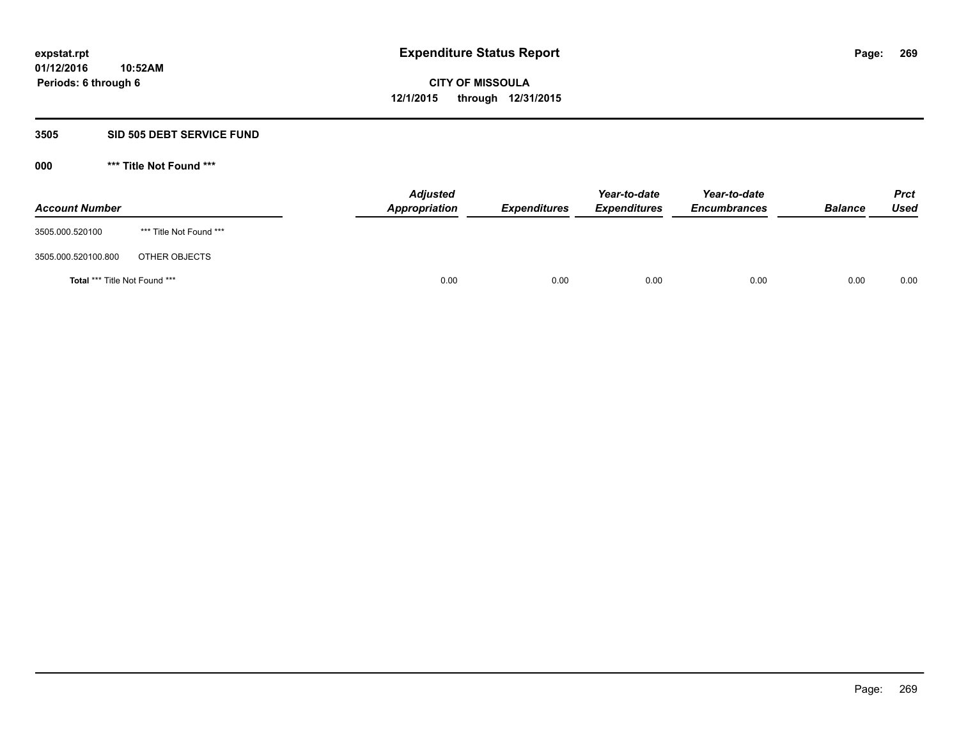#### **3505 SID 505 DEBT SERVICE FUND**

| <b>Account Number</b>                |                         | <b>Adjusted</b><br>Appropriation | <b>Expenditures</b> | Year-to-date<br><b>Expenditures</b> | Year-to-date<br><b>Encumbrances</b> | <b>Balance</b> | <b>Prct</b><br><b>Used</b> |
|--------------------------------------|-------------------------|----------------------------------|---------------------|-------------------------------------|-------------------------------------|----------------|----------------------------|
| 3505.000.520100                      | *** Title Not Found *** |                                  |                     |                                     |                                     |                |                            |
| 3505.000.520100.800                  | OTHER OBJECTS           |                                  |                     |                                     |                                     |                |                            |
| <b>Total *** Title Not Found ***</b> |                         | 0.00                             | 0.00                | 0.00                                | 0.00                                | 0.00           | 0.00                       |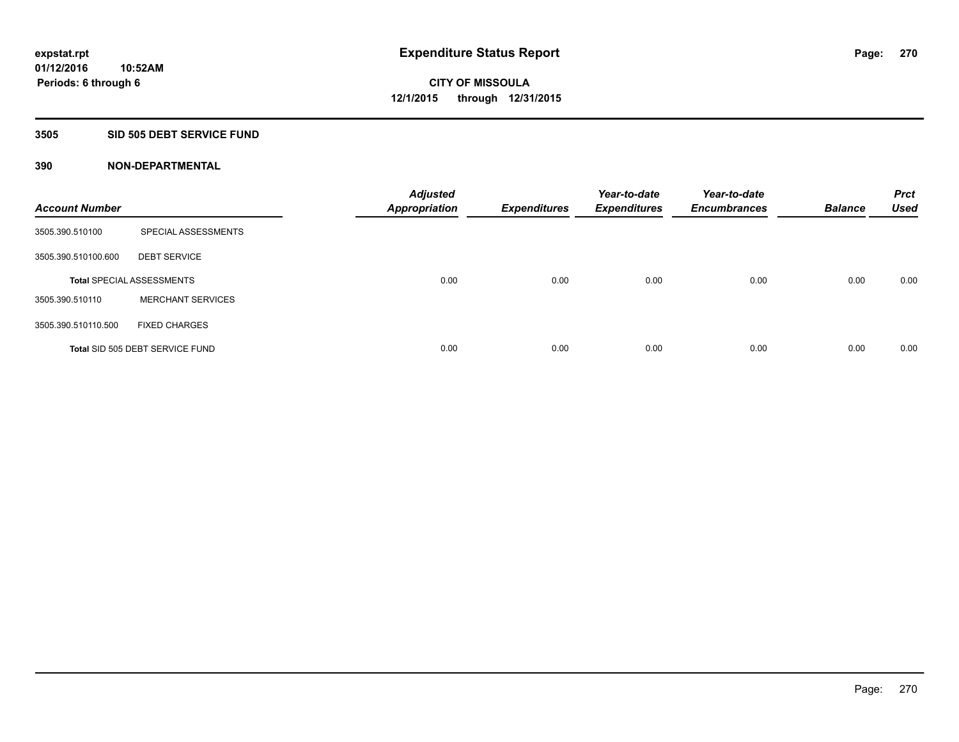#### **3505 SID 505 DEBT SERVICE FUND**

| <b>Account Number</b> |                                  | <b>Adjusted</b><br><b>Appropriation</b> | <b>Expenditures</b> | Year-to-date<br><b>Expenditures</b> | Year-to-date<br><b>Encumbrances</b> | <b>Balance</b> | <b>Prct</b><br><b>Used</b> |
|-----------------------|----------------------------------|-----------------------------------------|---------------------|-------------------------------------|-------------------------------------|----------------|----------------------------|
| 3505.390.510100       | SPECIAL ASSESSMENTS              |                                         |                     |                                     |                                     |                |                            |
| 3505.390.510100.600   | <b>DEBT SERVICE</b>              |                                         |                     |                                     |                                     |                |                            |
|                       | <b>Total SPECIAL ASSESSMENTS</b> | 0.00                                    | 0.00                | 0.00                                | 0.00                                | 0.00           | 0.00                       |
| 3505.390.510110       | <b>MERCHANT SERVICES</b>         |                                         |                     |                                     |                                     |                |                            |
| 3505.390.510110.500   | <b>FIXED CHARGES</b>             |                                         |                     |                                     |                                     |                |                            |
|                       | Total SID 505 DEBT SERVICE FUND  | 0.00                                    | 0.00                | 0.00                                | 0.00                                | 0.00           | 0.00                       |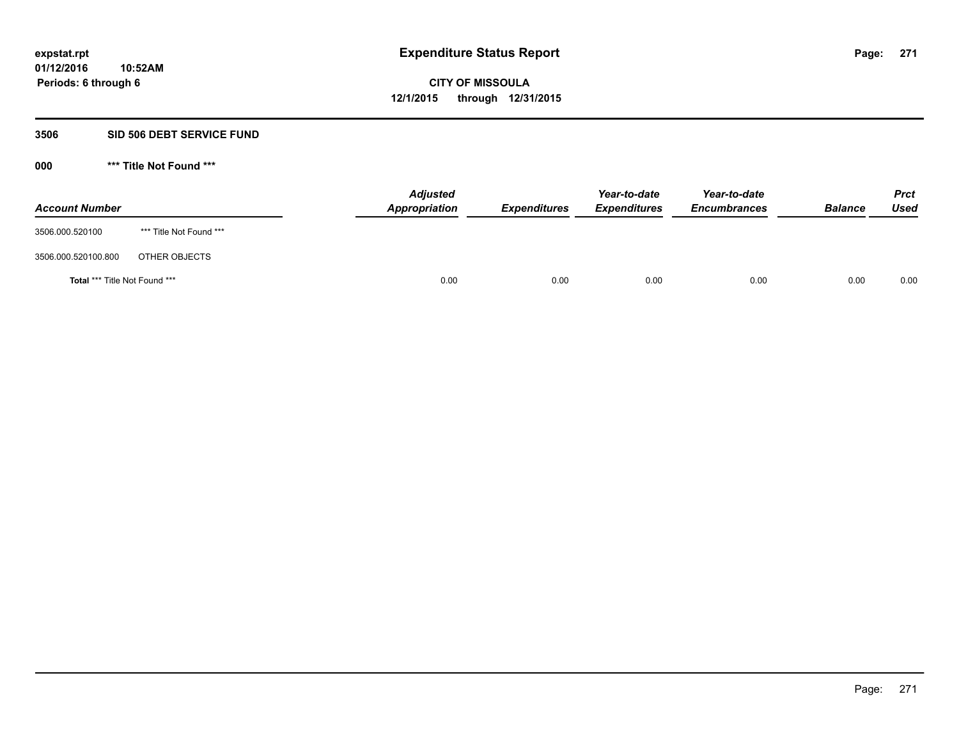#### **3506 SID 506 DEBT SERVICE FUND**

| <b>Account Number</b>         |                         | <b>Adjusted</b><br>Appropriation | <b>Expenditures</b> | Year-to-date<br><b>Expenditures</b> | Year-to-date<br><b>Encumbrances</b> | <b>Balance</b> | <b>Prct</b><br>Used |
|-------------------------------|-------------------------|----------------------------------|---------------------|-------------------------------------|-------------------------------------|----------------|---------------------|
| 3506.000.520100               | *** Title Not Found *** |                                  |                     |                                     |                                     |                |                     |
| 3506.000.520100.800           | OTHER OBJECTS           |                                  |                     |                                     |                                     |                |                     |
| Total *** Title Not Found *** |                         | 0.00                             | 0.00                | 0.00                                | 0.00                                | 0.00           | 0.00                |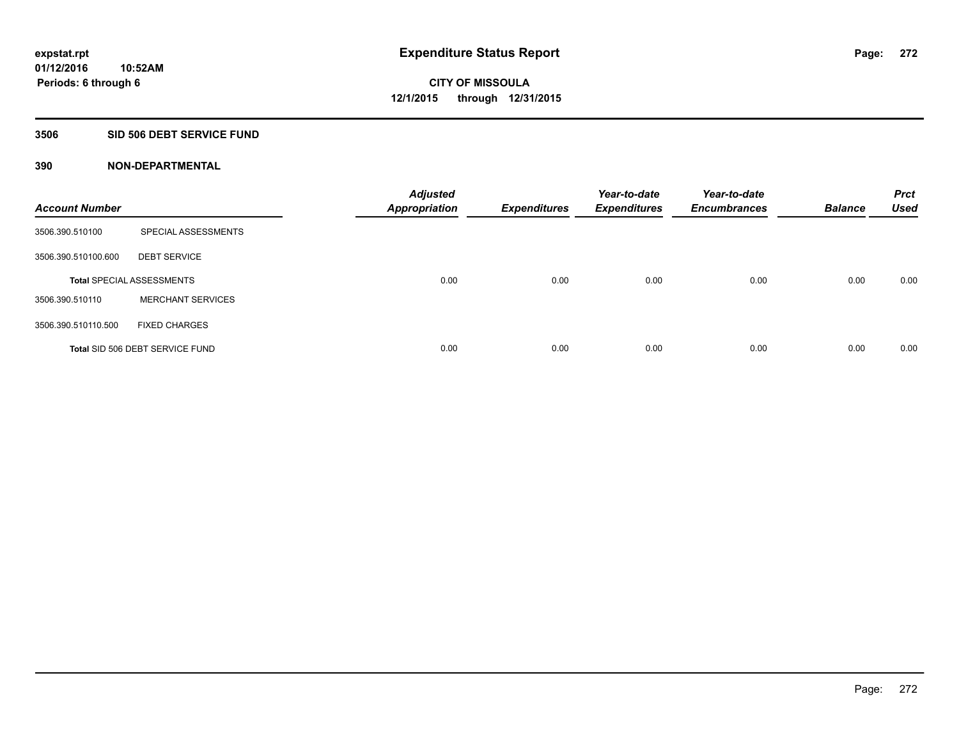#### **3506 SID 506 DEBT SERVICE FUND**

| <b>Account Number</b> |                                  | <b>Adjusted</b><br><b>Appropriation</b> | <b>Expenditures</b> | Year-to-date<br><b>Expenditures</b> | Year-to-date<br><b>Encumbrances</b> | <b>Balance</b> | <b>Prct</b><br><b>Used</b> |
|-----------------------|----------------------------------|-----------------------------------------|---------------------|-------------------------------------|-------------------------------------|----------------|----------------------------|
| 3506.390.510100       | SPECIAL ASSESSMENTS              |                                         |                     |                                     |                                     |                |                            |
| 3506.390.510100.600   | <b>DEBT SERVICE</b>              |                                         |                     |                                     |                                     |                |                            |
|                       | <b>Total SPECIAL ASSESSMENTS</b> | 0.00                                    | 0.00                | 0.00                                | 0.00                                | 0.00           | 0.00                       |
| 3506.390.510110       | <b>MERCHANT SERVICES</b>         |                                         |                     |                                     |                                     |                |                            |
| 3506.390.510110.500   | <b>FIXED CHARGES</b>             |                                         |                     |                                     |                                     |                |                            |
|                       | Total SID 506 DEBT SERVICE FUND  | 0.00                                    | 0.00                | 0.00                                | 0.00                                | 0.00           | 0.00                       |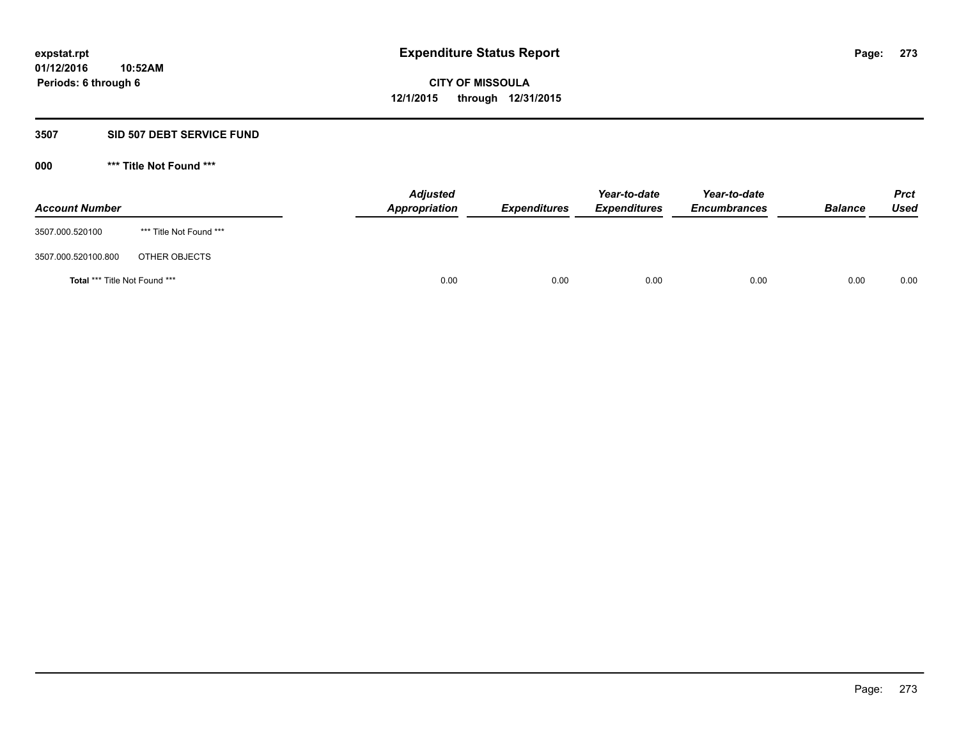## **3507 SID 507 DEBT SERVICE FUND**

| <b>Account Number</b>         |                         | <b>Adjusted</b><br>Appropriation | <b>Expenditures</b> | Year-to-date<br><b>Expenditures</b> | Year-to-date<br><b>Encumbrances</b> | <b>Balance</b> | <b>Prct</b><br><b>Used</b> |
|-------------------------------|-------------------------|----------------------------------|---------------------|-------------------------------------|-------------------------------------|----------------|----------------------------|
| 3507.000.520100               | *** Title Not Found *** |                                  |                     |                                     |                                     |                |                            |
| 3507.000.520100.800           | OTHER OBJECTS           |                                  |                     |                                     |                                     |                |                            |
| Total *** Title Not Found *** |                         | 0.00                             | 0.00                | 0.00                                | 0.00                                | 0.00           | 0.00                       |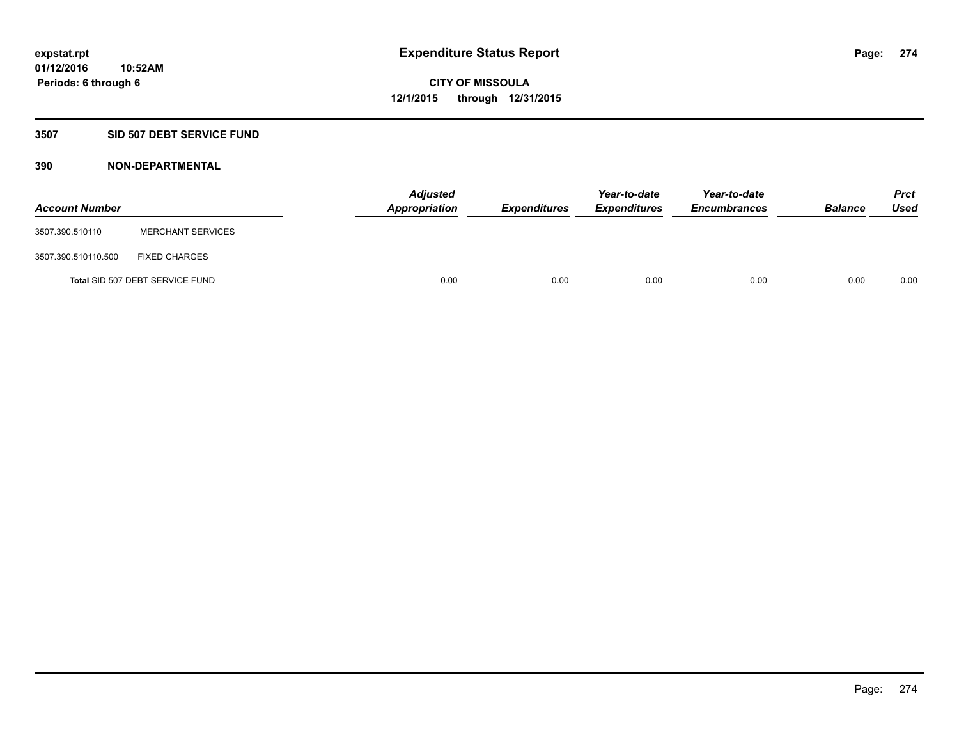## **3507 SID 507 DEBT SERVICE FUND**

| <b>Account Number</b> |                                 | <b>Adjusted</b><br>Appropriation | <b>Expenditures</b> | Year-to-date<br><b>Expenditures</b> | Year-to-date<br><b>Encumbrances</b> | <b>Balance</b> | <b>Prct</b><br><b>Used</b> |
|-----------------------|---------------------------------|----------------------------------|---------------------|-------------------------------------|-------------------------------------|----------------|----------------------------|
| 3507.390.510110       | <b>MERCHANT SERVICES</b>        |                                  |                     |                                     |                                     |                |                            |
| 3507.390.510110.500   | <b>FIXED CHARGES</b>            |                                  |                     |                                     |                                     |                |                            |
|                       | Total SID 507 DEBT SERVICE FUND | 0.00                             | 0.00                | 0.00                                | 0.00                                | 0.00           | 0.00                       |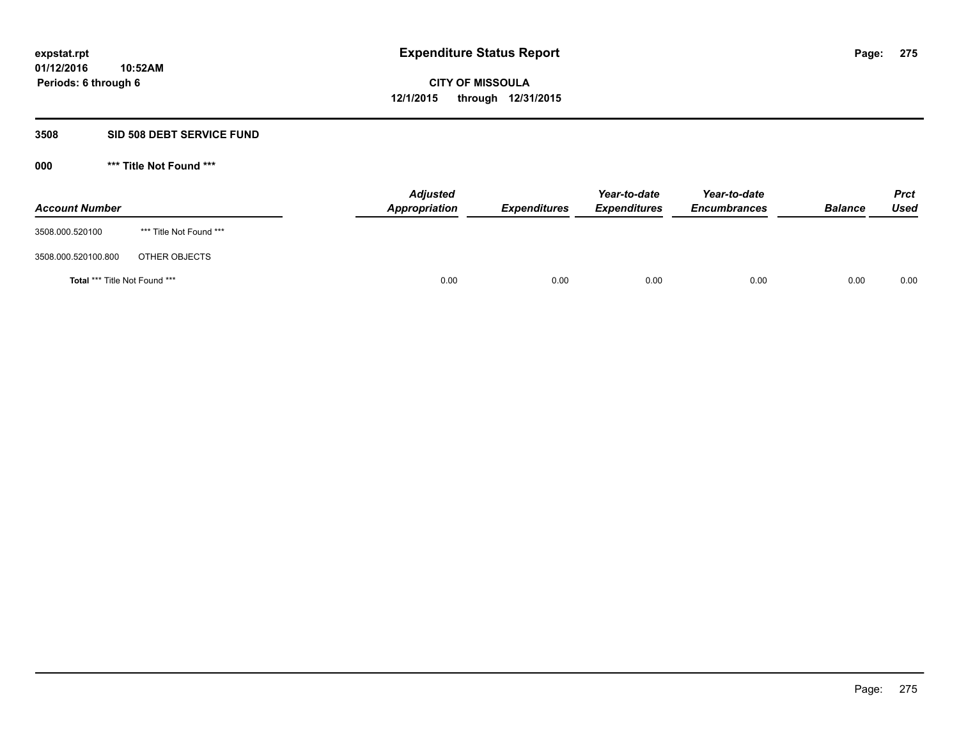#### **3508 SID 508 DEBT SERVICE FUND**

| <b>Account Number</b>         |                         | <b>Adjusted</b><br>Appropriation | <b>Expenditures</b> | Year-to-date<br><b>Expenditures</b> | Year-to-date<br><b>Encumbrances</b> | <b>Balance</b> | <b>Prct</b><br><b>Used</b> |
|-------------------------------|-------------------------|----------------------------------|---------------------|-------------------------------------|-------------------------------------|----------------|----------------------------|
| 3508.000.520100               | *** Title Not Found *** |                                  |                     |                                     |                                     |                |                            |
| 3508.000.520100.800           | OTHER OBJECTS           |                                  |                     |                                     |                                     |                |                            |
| Total *** Title Not Found *** |                         | 0.00                             | 0.00                | 0.00                                | 0.00                                | 0.00           | 0.00                       |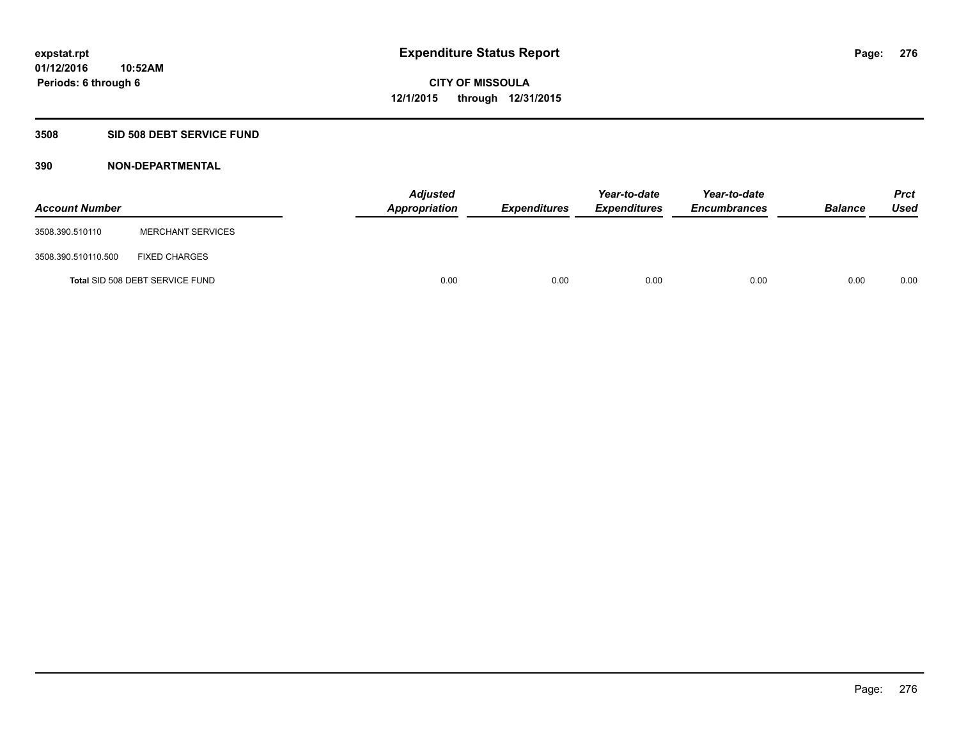# **3508 SID 508 DEBT SERVICE FUND**

| <b>Account Number</b> |                                 | <b>Adjusted</b><br>Appropriation | <b>Expenditures</b> | Year-to-date<br><b>Expenditures</b> | Year-to-date<br><b>Encumbrances</b> | <b>Balance</b> | <b>Prct</b><br><b>Used</b> |
|-----------------------|---------------------------------|----------------------------------|---------------------|-------------------------------------|-------------------------------------|----------------|----------------------------|
| 3508.390.510110       | <b>MERCHANT SERVICES</b>        |                                  |                     |                                     |                                     |                |                            |
| 3508.390.510110.500   | <b>FIXED CHARGES</b>            |                                  |                     |                                     |                                     |                |                            |
|                       | Total SID 508 DEBT SERVICE FUND | 0.00                             | 0.00                | 0.00                                | 0.00                                | 0.00           | 0.00                       |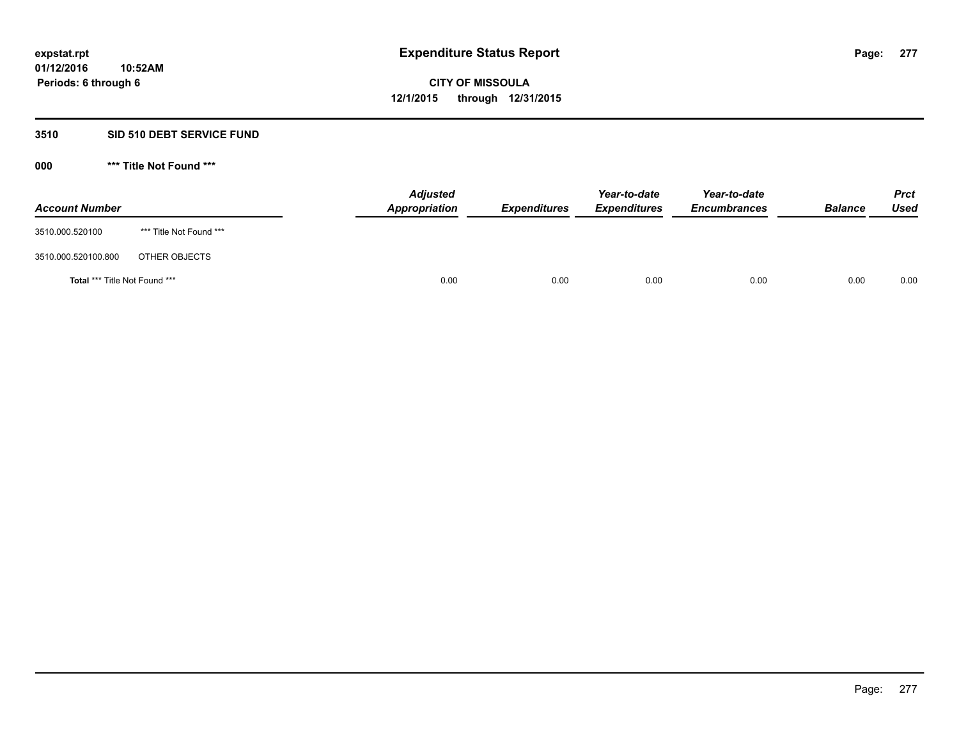# **3510 SID 510 DEBT SERVICE FUND**

| <b>Account Number</b>         |                         | <b>Adjusted</b><br>Appropriation | <b>Expenditures</b> | Year-to-date<br><b>Expenditures</b> | Year-to-date<br><b>Encumbrances</b> | <b>Balance</b> | <b>Prct</b><br><b>Used</b> |
|-------------------------------|-------------------------|----------------------------------|---------------------|-------------------------------------|-------------------------------------|----------------|----------------------------|
| 3510.000.520100               | *** Title Not Found *** |                                  |                     |                                     |                                     |                |                            |
| 3510.000.520100.800           | OTHER OBJECTS           |                                  |                     |                                     |                                     |                |                            |
| Total *** Title Not Found *** |                         | 0.00                             | 0.00                | 0.00                                | 0.00                                | 0.00           | 0.00                       |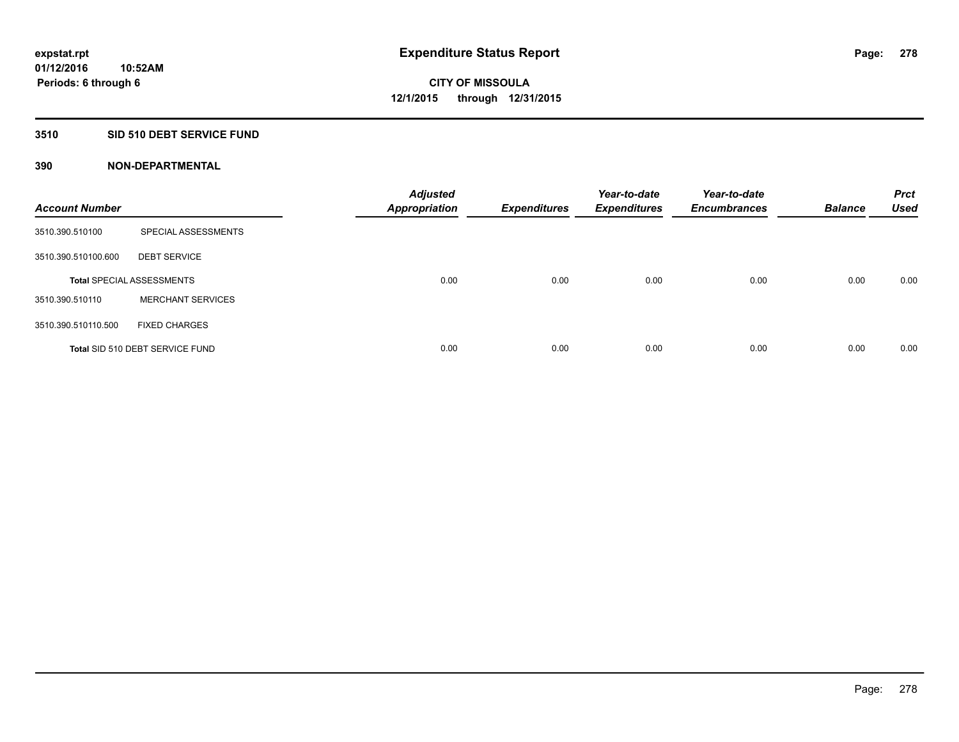## **3510 SID 510 DEBT SERVICE FUND**

| <b>Account Number</b> |                                  | <b>Adjusted</b><br><b>Appropriation</b> | <b>Expenditures</b> | Year-to-date<br><b>Expenditures</b> | Year-to-date<br><b>Encumbrances</b> | <b>Balance</b> | <b>Prct</b><br><b>Used</b> |
|-----------------------|----------------------------------|-----------------------------------------|---------------------|-------------------------------------|-------------------------------------|----------------|----------------------------|
| 3510.390.510100       | SPECIAL ASSESSMENTS              |                                         |                     |                                     |                                     |                |                            |
| 3510.390.510100.600   | <b>DEBT SERVICE</b>              |                                         |                     |                                     |                                     |                |                            |
|                       | <b>Total SPECIAL ASSESSMENTS</b> | 0.00                                    | 0.00                | 0.00                                | 0.00                                | 0.00           | 0.00                       |
| 3510.390.510110       | <b>MERCHANT SERVICES</b>         |                                         |                     |                                     |                                     |                |                            |
| 3510.390.510110.500   | <b>FIXED CHARGES</b>             |                                         |                     |                                     |                                     |                |                            |
|                       | Total SID 510 DEBT SERVICE FUND  | 0.00                                    | 0.00                | 0.00                                | 0.00                                | 0.00           | 0.00                       |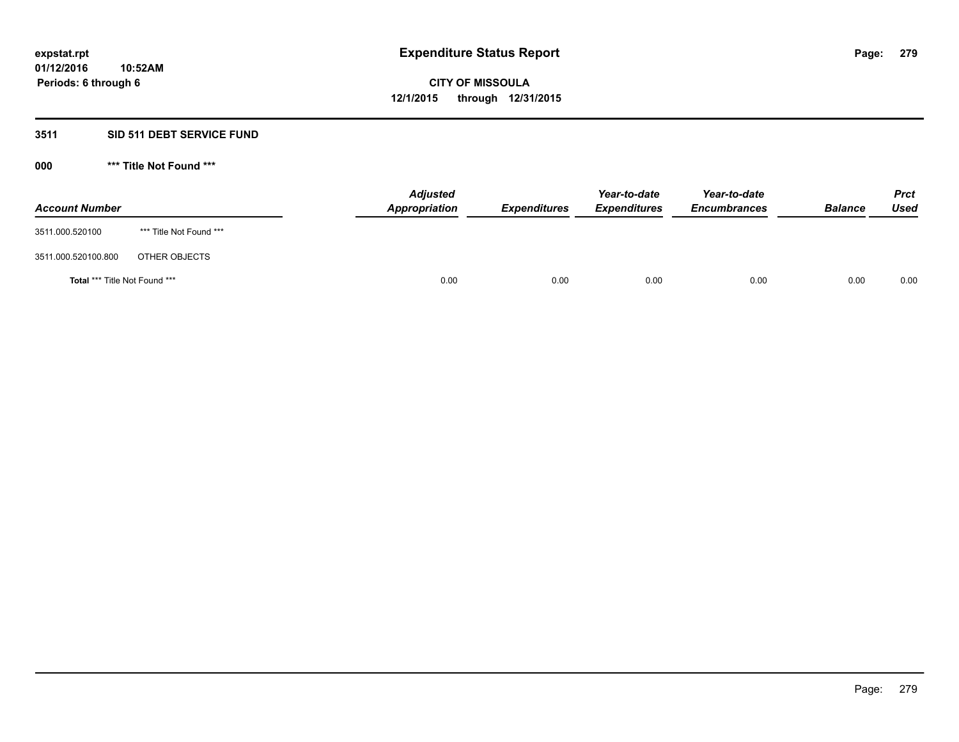# **3511 SID 511 DEBT SERVICE FUND**

| <b>Account Number</b>                |                         | <b>Adjusted</b><br><b>Appropriation</b> | <b>Expenditures</b> | Year-to-date<br><b>Expenditures</b> | Year-to-date<br><b>Encumbrances</b> | <b>Balance</b> | <b>Prct</b><br><b>Used</b> |
|--------------------------------------|-------------------------|-----------------------------------------|---------------------|-------------------------------------|-------------------------------------|----------------|----------------------------|
| 3511.000.520100                      | *** Title Not Found *** |                                         |                     |                                     |                                     |                |                            |
| 3511.000.520100.800                  | OTHER OBJECTS           |                                         |                     |                                     |                                     |                |                            |
| <b>Total *** Title Not Found ***</b> |                         | 0.00                                    | 0.00                | 0.00                                | 0.00                                | 0.00           | 0.00                       |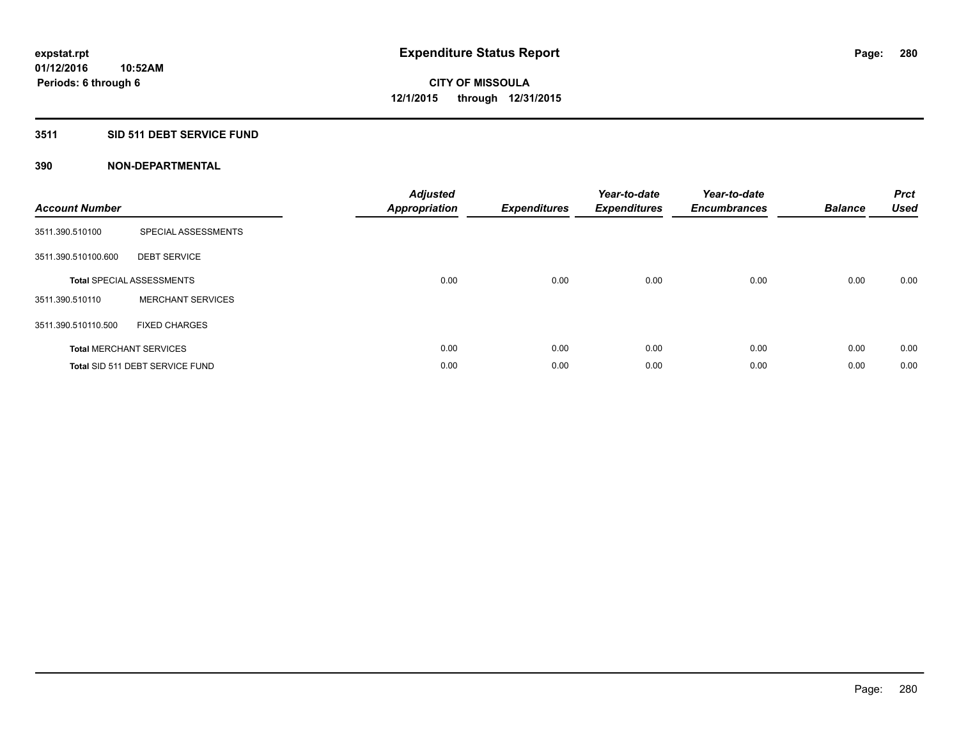# **3511 SID 511 DEBT SERVICE FUND**

| <b>Account Number</b> |                                  | <b>Adjusted</b><br>Appropriation | <b>Expenditures</b> | Year-to-date<br><b>Expenditures</b> | Year-to-date<br><b>Encumbrances</b> | <b>Balance</b> | <b>Prct</b><br><b>Used</b> |
|-----------------------|----------------------------------|----------------------------------|---------------------|-------------------------------------|-------------------------------------|----------------|----------------------------|
| 3511.390.510100       | SPECIAL ASSESSMENTS              |                                  |                     |                                     |                                     |                |                            |
| 3511.390.510100.600   | <b>DEBT SERVICE</b>              |                                  |                     |                                     |                                     |                |                            |
|                       | <b>Total SPECIAL ASSESSMENTS</b> | 0.00                             | 0.00                | 0.00                                | 0.00                                | 0.00           | 0.00                       |
| 3511.390.510110       | <b>MERCHANT SERVICES</b>         |                                  |                     |                                     |                                     |                |                            |
| 3511.390.510110.500   | <b>FIXED CHARGES</b>             |                                  |                     |                                     |                                     |                |                            |
|                       | <b>Total MERCHANT SERVICES</b>   | 0.00                             | 0.00                | 0.00                                | 0.00                                | 0.00           | 0.00                       |
|                       | Total SID 511 DEBT SERVICE FUND  | 0.00                             | 0.00                | 0.00                                | 0.00                                | 0.00           | 0.00                       |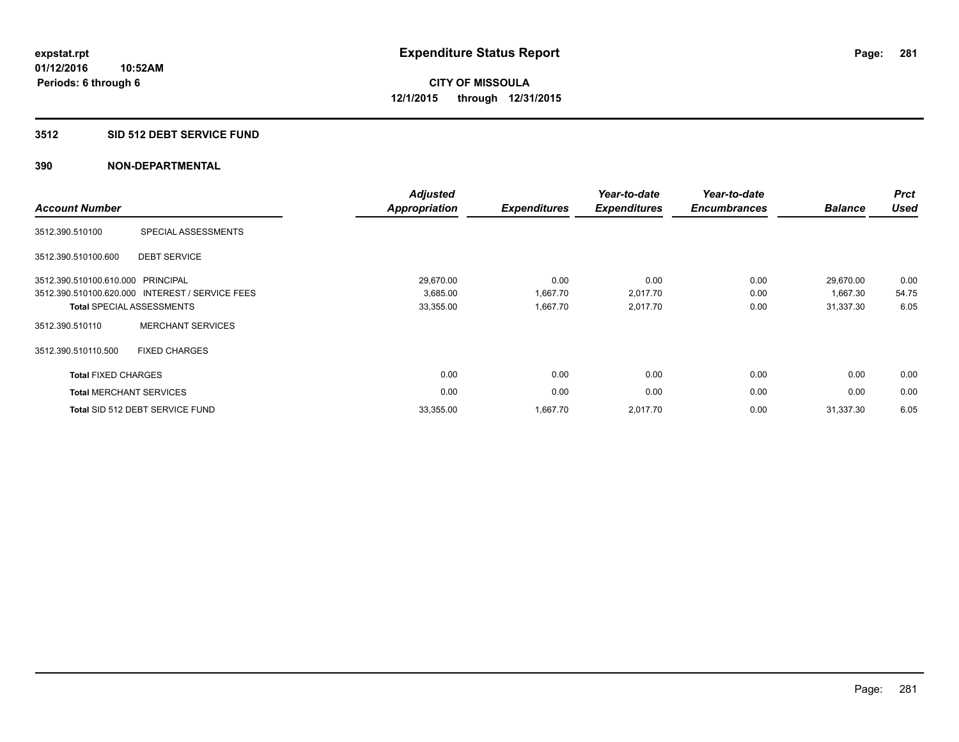#### **3512 SID 512 DEBT SERVICE FUND**

| <b>Account Number</b>             |                                                 | <b>Adjusted</b><br><b>Appropriation</b> | <b>Expenditures</b> | Year-to-date<br><b>Expenditures</b> | Year-to-date<br><b>Encumbrances</b> | <b>Balance</b> | <b>Prct</b><br><b>Used</b> |
|-----------------------------------|-------------------------------------------------|-----------------------------------------|---------------------|-------------------------------------|-------------------------------------|----------------|----------------------------|
| 3512.390.510100                   | SPECIAL ASSESSMENTS                             |                                         |                     |                                     |                                     |                |                            |
| 3512.390.510100.600               | <b>DEBT SERVICE</b>                             |                                         |                     |                                     |                                     |                |                            |
| 3512.390.510100.610.000 PRINCIPAL |                                                 | 29,670.00                               | 0.00                | 0.00                                | 0.00                                | 29,670.00      | 0.00                       |
|                                   | 3512.390.510100.620.000 INTEREST / SERVICE FEES | 3,685.00                                | 1,667.70            | 2,017.70                            | 0.00                                | 1,667.30       | 54.75                      |
|                                   | <b>Total SPECIAL ASSESSMENTS</b>                | 33,355.00                               | 1,667.70            | 2,017.70                            | 0.00                                | 31,337.30      | 6.05                       |
| 3512.390.510110                   | <b>MERCHANT SERVICES</b>                        |                                         |                     |                                     |                                     |                |                            |
| 3512.390.510110.500               | <b>FIXED CHARGES</b>                            |                                         |                     |                                     |                                     |                |                            |
| <b>Total FIXED CHARGES</b>        |                                                 | 0.00                                    | 0.00                | 0.00                                | 0.00                                | 0.00           | 0.00                       |
|                                   | <b>Total MERCHANT SERVICES</b>                  | 0.00                                    | 0.00                | 0.00                                | 0.00                                | 0.00           | 0.00                       |
|                                   | Total SID 512 DEBT SERVICE FUND                 | 33,355.00                               | 1,667.70            | 2,017.70                            | 0.00                                | 31,337.30      | 6.05                       |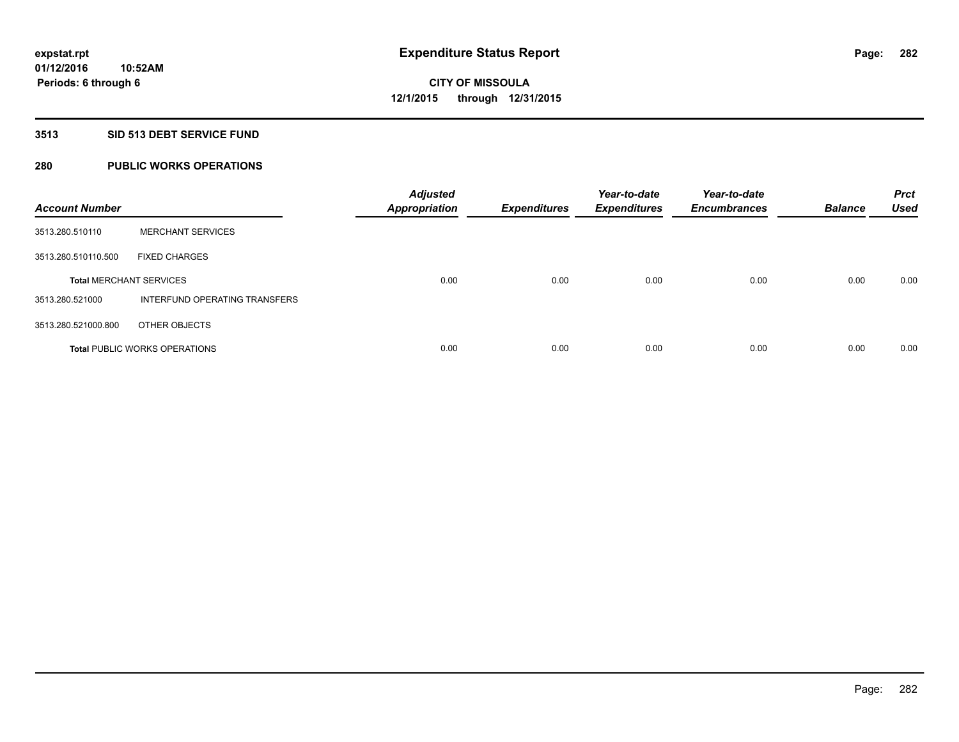# **3513 SID 513 DEBT SERVICE FUND**

# **280 PUBLIC WORKS OPERATIONS**

| <b>Account Number</b>          |                                      | <b>Adjusted</b><br><b>Appropriation</b> | <b>Expenditures</b> | Year-to-date<br><b>Expenditures</b> | Year-to-date<br><b>Encumbrances</b> | <b>Balance</b> | <b>Prct</b><br><b>Used</b> |
|--------------------------------|--------------------------------------|-----------------------------------------|---------------------|-------------------------------------|-------------------------------------|----------------|----------------------------|
| 3513.280.510110                | <b>MERCHANT SERVICES</b>             |                                         |                     |                                     |                                     |                |                            |
| 3513.280.510110.500            | <b>FIXED CHARGES</b>                 |                                         |                     |                                     |                                     |                |                            |
| <b>Total MERCHANT SERVICES</b> |                                      | 0.00                                    | 0.00                | 0.00                                | 0.00                                | 0.00           | 0.00                       |
| 3513.280.521000                | INTERFUND OPERATING TRANSFERS        |                                         |                     |                                     |                                     |                |                            |
| 3513.280.521000.800            | OTHER OBJECTS                        |                                         |                     |                                     |                                     |                |                            |
|                                | <b>Total PUBLIC WORKS OPERATIONS</b> | 0.00                                    | 0.00                | 0.00                                | 0.00                                | 0.00           | 0.00                       |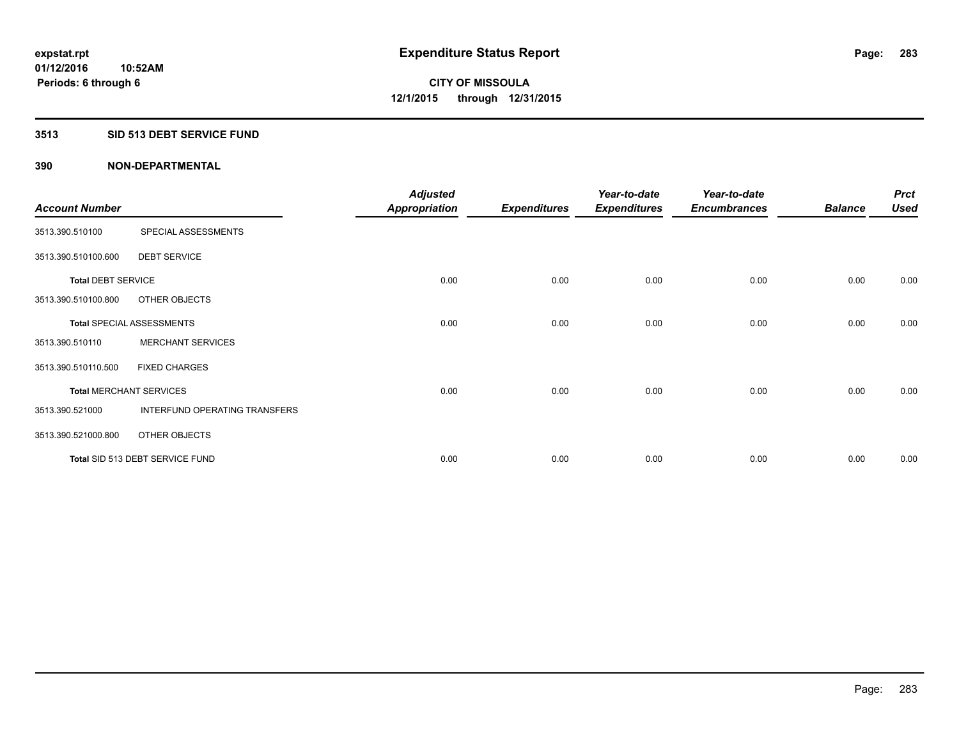## **3513 SID 513 DEBT SERVICE FUND**

|                                |                                  | <b>Adjusted</b>      |                     | Year-to-date        | Year-to-date        |                | <b>Prct</b> |
|--------------------------------|----------------------------------|----------------------|---------------------|---------------------|---------------------|----------------|-------------|
| <b>Account Number</b>          |                                  | <b>Appropriation</b> | <b>Expenditures</b> | <b>Expenditures</b> | <b>Encumbrances</b> | <b>Balance</b> | <b>Used</b> |
| 3513.390.510100                | SPECIAL ASSESSMENTS              |                      |                     |                     |                     |                |             |
| 3513.390.510100.600            | <b>DEBT SERVICE</b>              |                      |                     |                     |                     |                |             |
| <b>Total DEBT SERVICE</b>      |                                  | 0.00                 | 0.00                | 0.00                | 0.00                | 0.00           | 0.00        |
| 3513.390.510100.800            | OTHER OBJECTS                    |                      |                     |                     |                     |                |             |
|                                | <b>Total SPECIAL ASSESSMENTS</b> | 0.00                 | 0.00                | 0.00                | 0.00                | 0.00           | 0.00        |
| 3513.390.510110                | <b>MERCHANT SERVICES</b>         |                      |                     |                     |                     |                |             |
| 3513.390.510110.500            | <b>FIXED CHARGES</b>             |                      |                     |                     |                     |                |             |
| <b>Total MERCHANT SERVICES</b> |                                  | 0.00                 | 0.00                | 0.00                | 0.00                | 0.00           | 0.00        |
| 3513.390.521000                | INTERFUND OPERATING TRANSFERS    |                      |                     |                     |                     |                |             |
| 3513.390.521000.800            | OTHER OBJECTS                    |                      |                     |                     |                     |                |             |
|                                | Total SID 513 DEBT SERVICE FUND  | 0.00                 | 0.00                | 0.00                | 0.00                | 0.00           | 0.00        |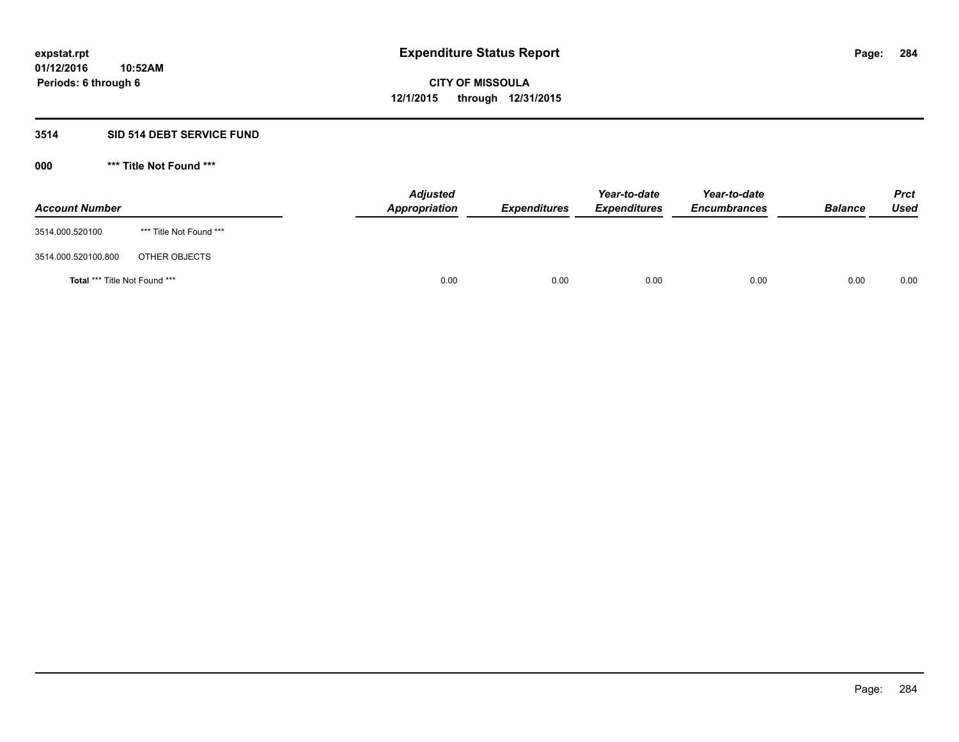#### **3514 SID 514 DEBT SERVICE FUND**

| <b>Account Number</b>         |                         | <b>Adjusted</b><br>Appropriation | <b>Expenditures</b> | Year-to-date<br><b>Expenditures</b> | Year-to-date<br><b>Encumbrances</b> | <b>Balance</b> | <b>Prct</b><br><b>Used</b> |
|-------------------------------|-------------------------|----------------------------------|---------------------|-------------------------------------|-------------------------------------|----------------|----------------------------|
| 3514.000.520100               | *** Title Not Found *** |                                  |                     |                                     |                                     |                |                            |
| 3514.000.520100.800           | OTHER OBJECTS           |                                  |                     |                                     |                                     |                |                            |
| Total *** Title Not Found *** |                         | 0.00                             | 0.00                | 0.00                                | 0.00                                | 0.00           | 0.00                       |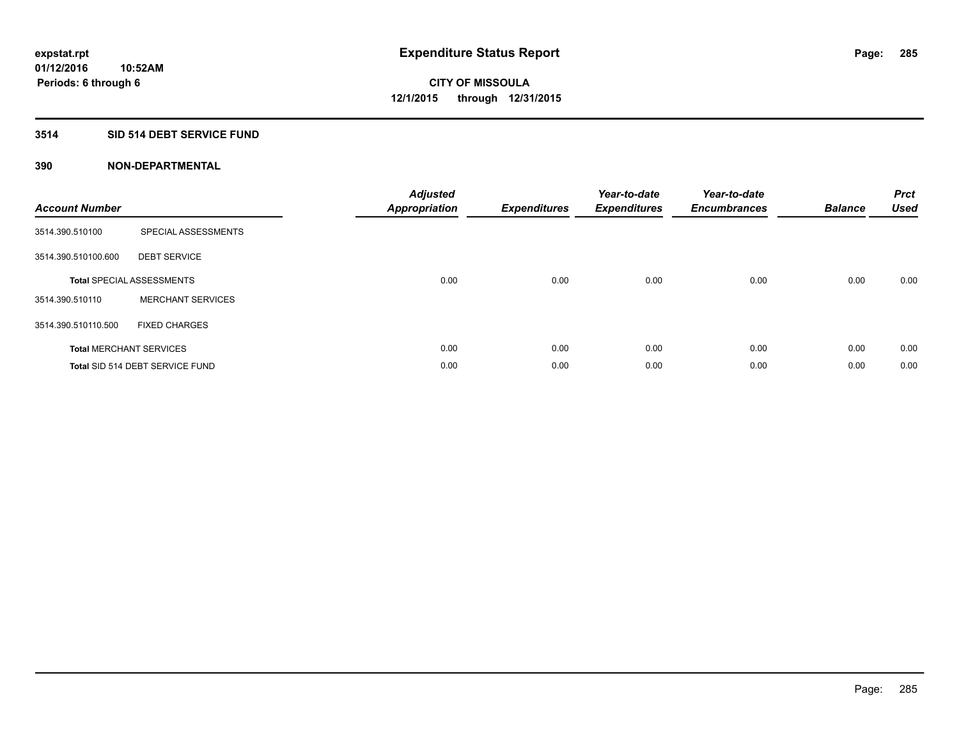# **3514 SID 514 DEBT SERVICE FUND**

| <b>Account Number</b> |                                  | <b>Adjusted</b><br>Appropriation | <b>Expenditures</b> | Year-to-date<br><b>Expenditures</b> | Year-to-date<br><b>Encumbrances</b> | <b>Balance</b> | <b>Prct</b><br><b>Used</b> |
|-----------------------|----------------------------------|----------------------------------|---------------------|-------------------------------------|-------------------------------------|----------------|----------------------------|
| 3514.390.510100       | SPECIAL ASSESSMENTS              |                                  |                     |                                     |                                     |                |                            |
| 3514.390.510100.600   | <b>DEBT SERVICE</b>              |                                  |                     |                                     |                                     |                |                            |
|                       | <b>Total SPECIAL ASSESSMENTS</b> | 0.00                             | 0.00                | 0.00                                | 0.00                                | 0.00           | 0.00                       |
| 3514.390.510110       | <b>MERCHANT SERVICES</b>         |                                  |                     |                                     |                                     |                |                            |
| 3514.390.510110.500   | <b>FIXED CHARGES</b>             |                                  |                     |                                     |                                     |                |                            |
|                       | <b>Total MERCHANT SERVICES</b>   | 0.00                             | 0.00                | 0.00                                | 0.00                                | 0.00           | 0.00                       |
|                       | Total SID 514 DEBT SERVICE FUND  | 0.00                             | 0.00                | 0.00                                | 0.00                                | 0.00           | 0.00                       |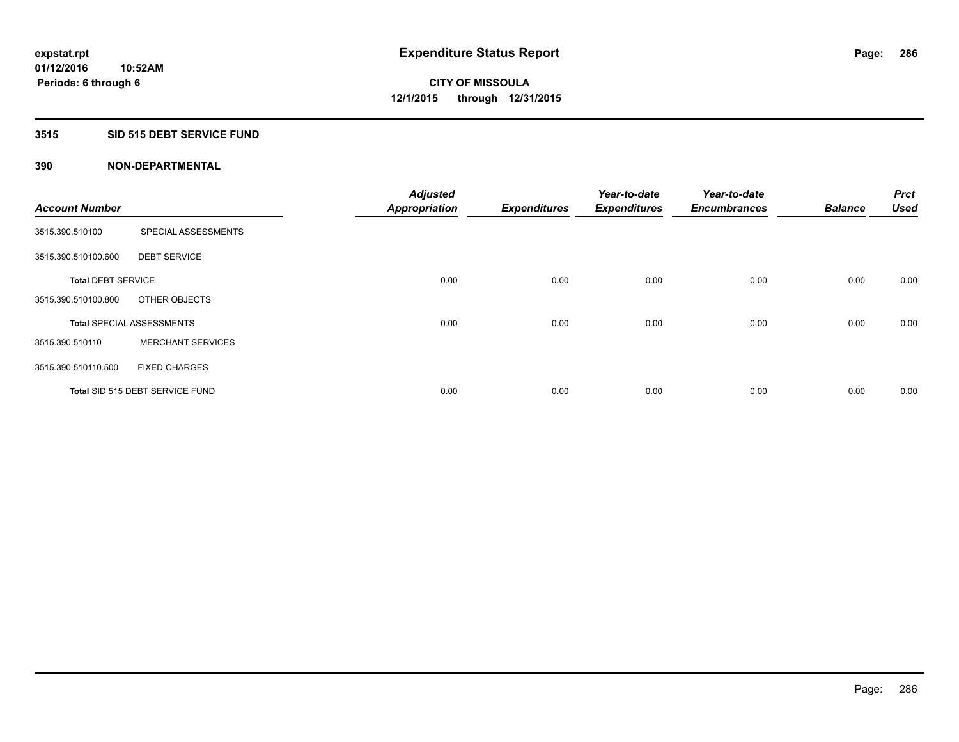# **3515 SID 515 DEBT SERVICE FUND**

|                           |                                  | <b>Adjusted</b>      |                     | Year-to-date        | Year-to-date        |                | <b>Prct</b> |
|---------------------------|----------------------------------|----------------------|---------------------|---------------------|---------------------|----------------|-------------|
| <b>Account Number</b>     |                                  | <b>Appropriation</b> | <b>Expenditures</b> | <b>Expenditures</b> | <b>Encumbrances</b> | <b>Balance</b> | <b>Used</b> |
| 3515.390.510100           | SPECIAL ASSESSMENTS              |                      |                     |                     |                     |                |             |
| 3515.390.510100.600       | <b>DEBT SERVICE</b>              |                      |                     |                     |                     |                |             |
| <b>Total DEBT SERVICE</b> |                                  | 0.00                 | 0.00                | 0.00                | 0.00                | 0.00           | 0.00        |
| 3515.390.510100.800       | OTHER OBJECTS                    |                      |                     |                     |                     |                |             |
|                           | <b>Total SPECIAL ASSESSMENTS</b> | 0.00                 | 0.00                | 0.00                | 0.00                | 0.00           | 0.00        |
| 3515.390.510110           | <b>MERCHANT SERVICES</b>         |                      |                     |                     |                     |                |             |
| 3515.390.510110.500       | <b>FIXED CHARGES</b>             |                      |                     |                     |                     |                |             |
|                           | Total SID 515 DEBT SERVICE FUND  | 0.00                 | 0.00                | 0.00                | 0.00                | 0.00           | 0.00        |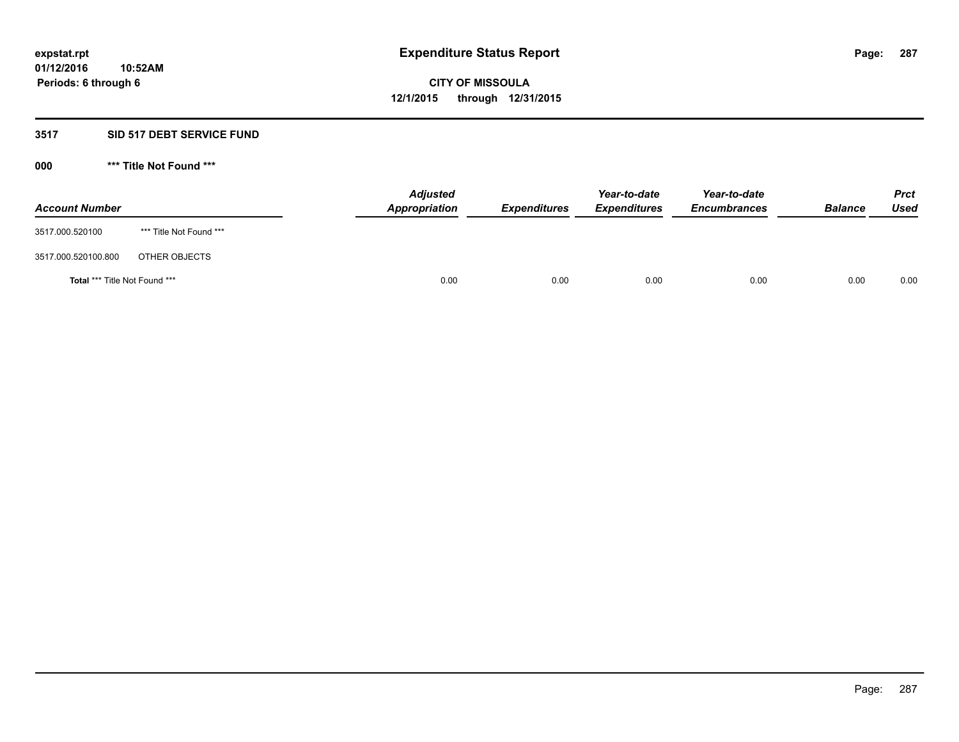## **3517 SID 517 DEBT SERVICE FUND**

| <b>Account Number</b>                |                         | <b>Adjusted</b><br><b>Appropriation</b> | <b>Expenditures</b> | Year-to-date<br><b>Expenditures</b> | Year-to-date<br><b>Encumbrances</b> | <b>Balance</b> | <b>Prct</b><br><b>Used</b> |
|--------------------------------------|-------------------------|-----------------------------------------|---------------------|-------------------------------------|-------------------------------------|----------------|----------------------------|
| 3517.000.520100                      | *** Title Not Found *** |                                         |                     |                                     |                                     |                |                            |
| 3517.000.520100.800                  | OTHER OBJECTS           |                                         |                     |                                     |                                     |                |                            |
| <b>Total *** Title Not Found ***</b> |                         | 0.00                                    | 0.00                | 0.00                                | 0.00                                | 0.00           | 0.00                       |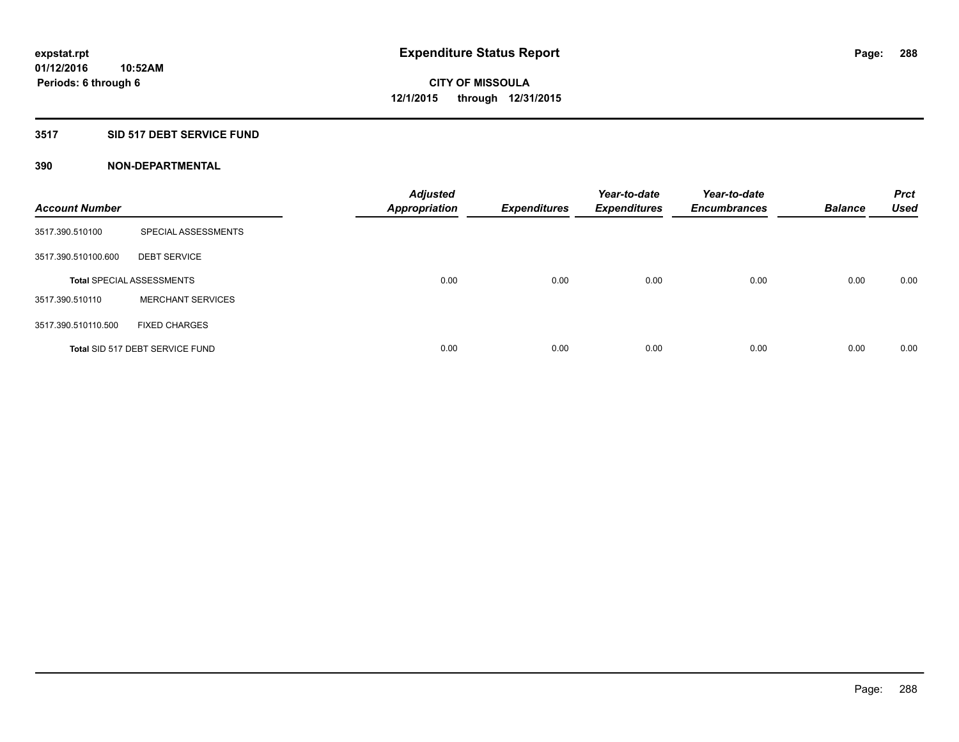# **3517 SID 517 DEBT SERVICE FUND**

| <b>Account Number</b> |                                  | <b>Adjusted</b><br><b>Appropriation</b> | <b>Expenditures</b> | Year-to-date<br><b>Expenditures</b> | Year-to-date<br><b>Encumbrances</b> | <b>Balance</b> | <b>Prct</b><br>Used |
|-----------------------|----------------------------------|-----------------------------------------|---------------------|-------------------------------------|-------------------------------------|----------------|---------------------|
| 3517.390.510100       | SPECIAL ASSESSMENTS              |                                         |                     |                                     |                                     |                |                     |
| 3517.390.510100.600   | <b>DEBT SERVICE</b>              |                                         |                     |                                     |                                     |                |                     |
|                       | <b>Total SPECIAL ASSESSMENTS</b> | 0.00                                    | 0.00                | 0.00                                | 0.00                                | 0.00           | 0.00                |
| 3517.390.510110       | <b>MERCHANT SERVICES</b>         |                                         |                     |                                     |                                     |                |                     |
| 3517.390.510110.500   | <b>FIXED CHARGES</b>             |                                         |                     |                                     |                                     |                |                     |
|                       | Total SID 517 DEBT SERVICE FUND  | 0.00                                    | 0.00                | 0.00                                | 0.00                                | 0.00           | 0.00                |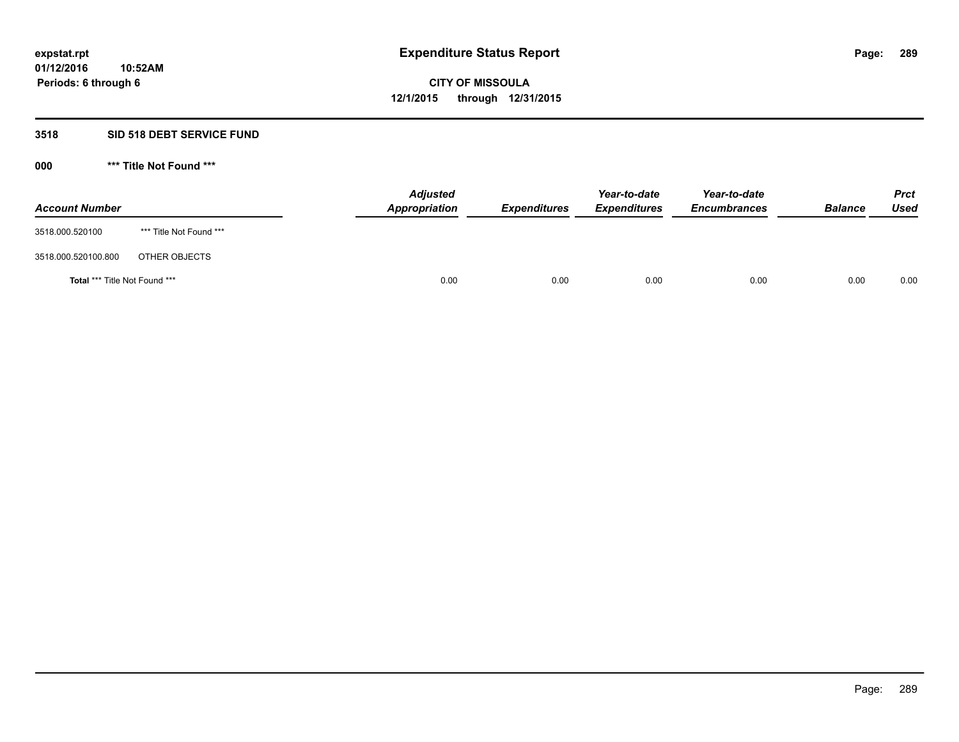# **3518 SID 518 DEBT SERVICE FUND**

**000 \*\*\* Title Not Found \*\*\***

| <b>Account Number</b>                |                         | <b>Adjusted</b><br>Appropriation | <b>Expenditures</b> | Year-to-date<br><b>Expenditures</b> | Year-to-date<br><b>Encumbrances</b> | <b>Balance</b> | <b>Prct</b><br><b>Used</b> |
|--------------------------------------|-------------------------|----------------------------------|---------------------|-------------------------------------|-------------------------------------|----------------|----------------------------|
| 3518.000.520100                      | *** Title Not Found *** |                                  |                     |                                     |                                     |                |                            |
| 3518.000.520100.800                  | OTHER OBJECTS           |                                  |                     |                                     |                                     |                |                            |
| <b>Total *** Title Not Found ***</b> |                         |                                  | 0.00<br>0.00        | 0.00                                | 0.00                                | 0.00           | 0.00                       |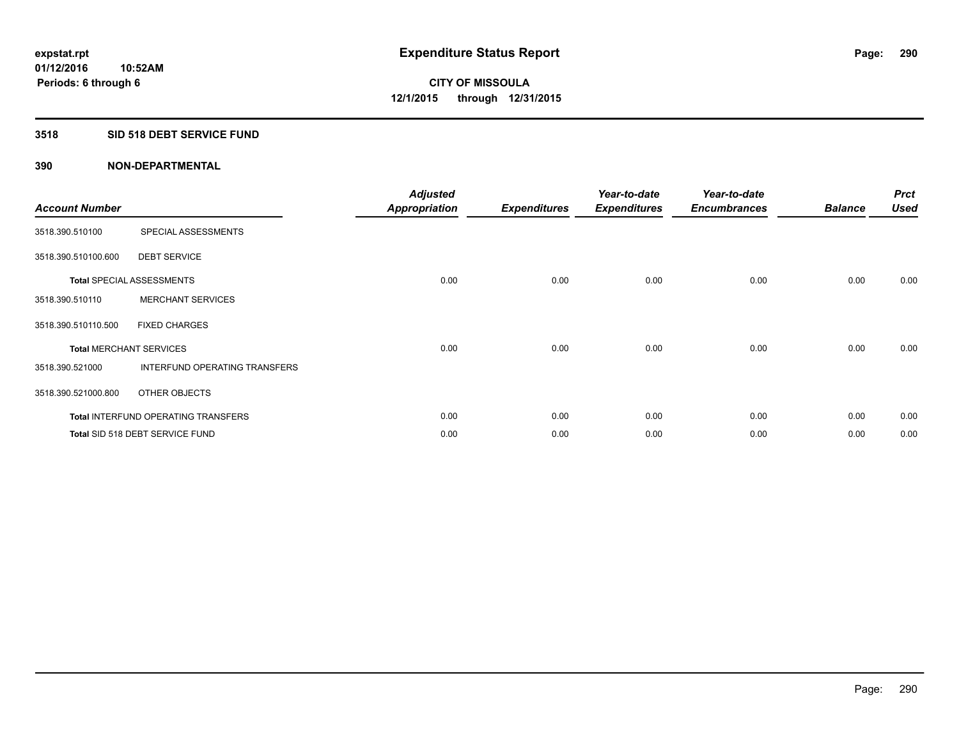# **3518 SID 518 DEBT SERVICE FUND**

| <b>Account Number</b>          |                                            | <b>Adjusted</b><br><b>Appropriation</b> | <b>Expenditures</b> | Year-to-date<br><b>Expenditures</b> | Year-to-date<br><b>Encumbrances</b> | <b>Balance</b> | <b>Prct</b><br><b>Used</b> |
|--------------------------------|--------------------------------------------|-----------------------------------------|---------------------|-------------------------------------|-------------------------------------|----------------|----------------------------|
| 3518.390.510100                | SPECIAL ASSESSMENTS                        |                                         |                     |                                     |                                     |                |                            |
| 3518.390.510100.600            | <b>DEBT SERVICE</b>                        |                                         |                     |                                     |                                     |                |                            |
|                                | <b>Total SPECIAL ASSESSMENTS</b>           | 0.00                                    | 0.00                | 0.00                                | 0.00                                | 0.00           | 0.00                       |
| 3518.390.510110                | <b>MERCHANT SERVICES</b>                   |                                         |                     |                                     |                                     |                |                            |
| 3518.390.510110.500            | <b>FIXED CHARGES</b>                       |                                         |                     |                                     |                                     |                |                            |
| <b>Total MERCHANT SERVICES</b> |                                            | 0.00                                    | 0.00                | 0.00                                | 0.00                                | 0.00           | 0.00                       |
| 3518.390.521000                | INTERFUND OPERATING TRANSFERS              |                                         |                     |                                     |                                     |                |                            |
| 3518.390.521000.800            | OTHER OBJECTS                              |                                         |                     |                                     |                                     |                |                            |
|                                | <b>Total INTERFUND OPERATING TRANSFERS</b> | 0.00                                    | 0.00                | 0.00                                | 0.00                                | 0.00           | 0.00                       |
|                                | Total SID 518 DEBT SERVICE FUND            | 0.00                                    | 0.00                | 0.00                                | 0.00                                | 0.00           | 0.00                       |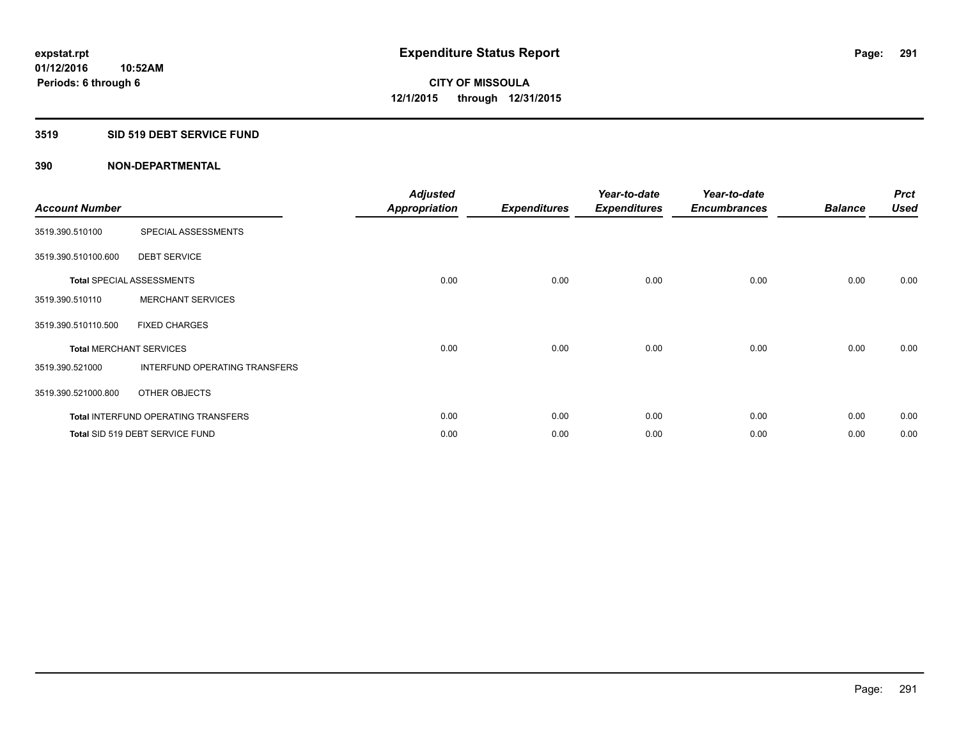# **3519 SID 519 DEBT SERVICE FUND**

| <b>Account Number</b> |                                            | <b>Adjusted</b><br><b>Appropriation</b> | <b>Expenditures</b> | Year-to-date<br><b>Expenditures</b> | Year-to-date<br><b>Encumbrances</b> | <b>Balance</b> | <b>Prct</b><br><b>Used</b> |
|-----------------------|--------------------------------------------|-----------------------------------------|---------------------|-------------------------------------|-------------------------------------|----------------|----------------------------|
| 3519.390.510100       | SPECIAL ASSESSMENTS                        |                                         |                     |                                     |                                     |                |                            |
| 3519.390.510100.600   | <b>DEBT SERVICE</b>                        |                                         |                     |                                     |                                     |                |                            |
|                       | <b>Total SPECIAL ASSESSMENTS</b>           | 0.00                                    | 0.00                | 0.00                                | 0.00                                | 0.00           | 0.00                       |
| 3519.390.510110       | <b>MERCHANT SERVICES</b>                   |                                         |                     |                                     |                                     |                |                            |
| 3519.390.510110.500   | <b>FIXED CHARGES</b>                       |                                         |                     |                                     |                                     |                |                            |
|                       | <b>Total MERCHANT SERVICES</b>             | 0.00                                    | 0.00                | 0.00                                | 0.00                                | 0.00           | 0.00                       |
| 3519.390.521000       | INTERFUND OPERATING TRANSFERS              |                                         |                     |                                     |                                     |                |                            |
| 3519.390.521000.800   | OTHER OBJECTS                              |                                         |                     |                                     |                                     |                |                            |
|                       | <b>Total INTERFUND OPERATING TRANSFERS</b> | 0.00                                    | 0.00                | 0.00                                | 0.00                                | 0.00           | 0.00                       |
|                       | Total SID 519 DEBT SERVICE FUND            | 0.00                                    | 0.00                | 0.00                                | 0.00                                | 0.00           | 0.00                       |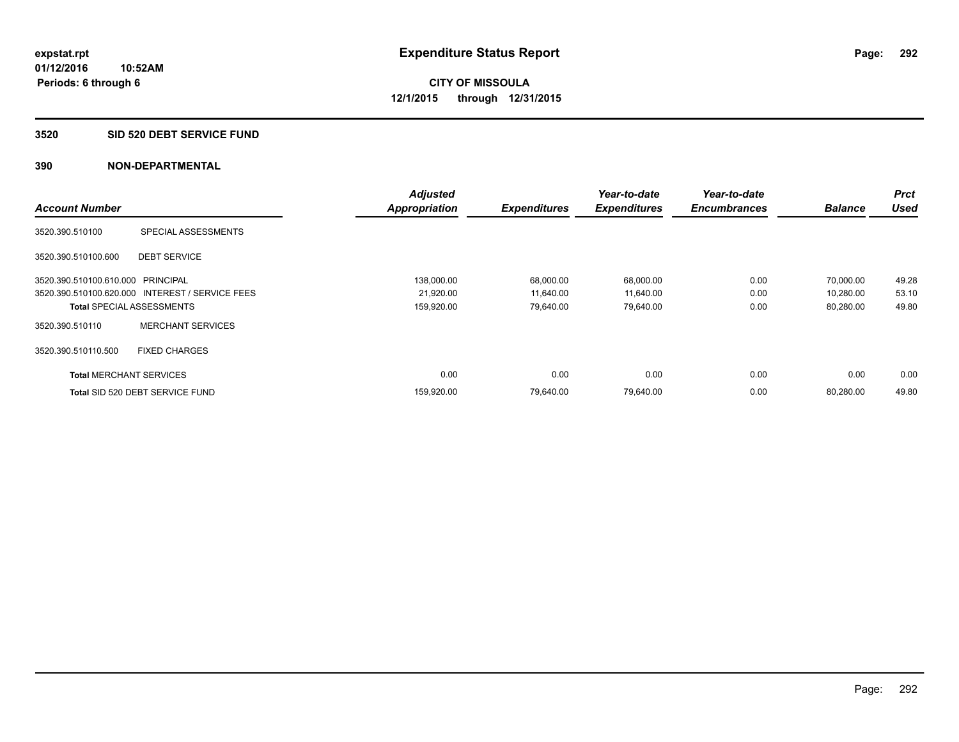## **3520 SID 520 DEBT SERVICE FUND**

|                                   |                                                 | <b>Adjusted</b>      |                     | Year-to-date        | Year-to-date        |                | <b>Prct</b> |
|-----------------------------------|-------------------------------------------------|----------------------|---------------------|---------------------|---------------------|----------------|-------------|
| <b>Account Number</b>             |                                                 | <b>Appropriation</b> | <b>Expenditures</b> | <b>Expenditures</b> | <b>Encumbrances</b> | <b>Balance</b> | <b>Used</b> |
| 3520.390.510100                   | SPECIAL ASSESSMENTS                             |                      |                     |                     |                     |                |             |
| 3520.390.510100.600               | <b>DEBT SERVICE</b>                             |                      |                     |                     |                     |                |             |
| 3520.390.510100.610.000 PRINCIPAL |                                                 | 138,000.00           | 68,000.00           | 68,000.00           | 0.00                | 70.000.00      | 49.28       |
|                                   | 3520.390.510100.620.000 INTEREST / SERVICE FEES | 21,920.00            | 11,640.00           | 11,640.00           | 0.00                | 10,280.00      | 53.10       |
| <b>Total SPECIAL ASSESSMENTS</b>  |                                                 | 159,920.00           | 79,640.00           | 79,640.00           | 0.00                | 80,280.00      | 49.80       |
| 3520.390.510110                   | <b>MERCHANT SERVICES</b>                        |                      |                     |                     |                     |                |             |
| 3520.390.510110.500               | <b>FIXED CHARGES</b>                            |                      |                     |                     |                     |                |             |
| <b>Total MERCHANT SERVICES</b>    |                                                 | 0.00                 | 0.00                | 0.00                | 0.00                | 0.00           | 0.00        |
|                                   | Total SID 520 DEBT SERVICE FUND                 | 159,920.00           | 79.640.00           | 79,640.00           | 0.00                | 80.280.00      | 49.80       |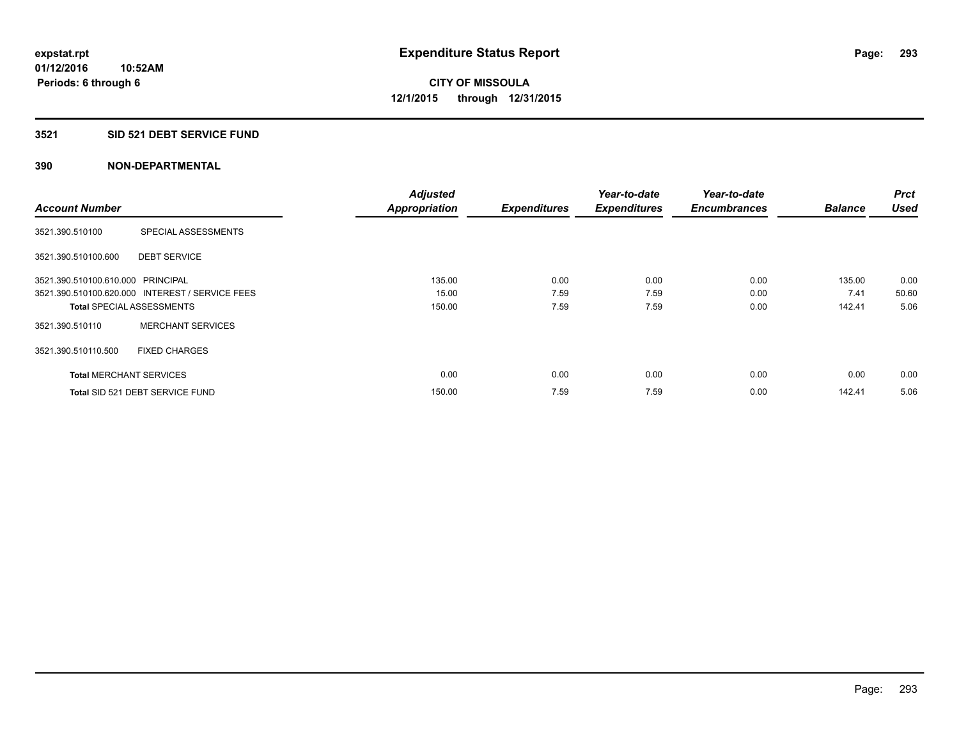# **3521 SID 521 DEBT SERVICE FUND**

|                                   |                                                 | <b>Adjusted</b>      |                     | Year-to-date        | Year-to-date        |                | <b>Prct</b> |
|-----------------------------------|-------------------------------------------------|----------------------|---------------------|---------------------|---------------------|----------------|-------------|
| <b>Account Number</b>             |                                                 | <b>Appropriation</b> | <b>Expenditures</b> | <b>Expenditures</b> | <b>Encumbrances</b> | <b>Balance</b> | <b>Used</b> |
| 3521.390.510100                   | SPECIAL ASSESSMENTS                             |                      |                     |                     |                     |                |             |
| 3521.390.510100.600               | <b>DEBT SERVICE</b>                             |                      |                     |                     |                     |                |             |
| 3521.390.510100.610.000 PRINCIPAL |                                                 | 135.00               | 0.00                | 0.00                | 0.00                | 135.00         | 0.00        |
|                                   | 3521.390.510100.620.000 INTEREST / SERVICE FEES | 15.00                | 7.59                | 7.59                | 0.00                | 7.41           | 50.60       |
| <b>Total SPECIAL ASSESSMENTS</b>  |                                                 | 150.00               | 7.59                | 7.59                | 0.00                | 142.41         | 5.06        |
| 3521.390.510110                   | <b>MERCHANT SERVICES</b>                        |                      |                     |                     |                     |                |             |
| 3521.390.510110.500               | <b>FIXED CHARGES</b>                            |                      |                     |                     |                     |                |             |
| <b>Total MERCHANT SERVICES</b>    |                                                 | 0.00                 | 0.00                | 0.00                | 0.00                | 0.00           | 0.00        |
|                                   | Total SID 521 DEBT SERVICE FUND                 | 150.00               | 7.59                | 7.59                | 0.00                | 142.41         | 5.06        |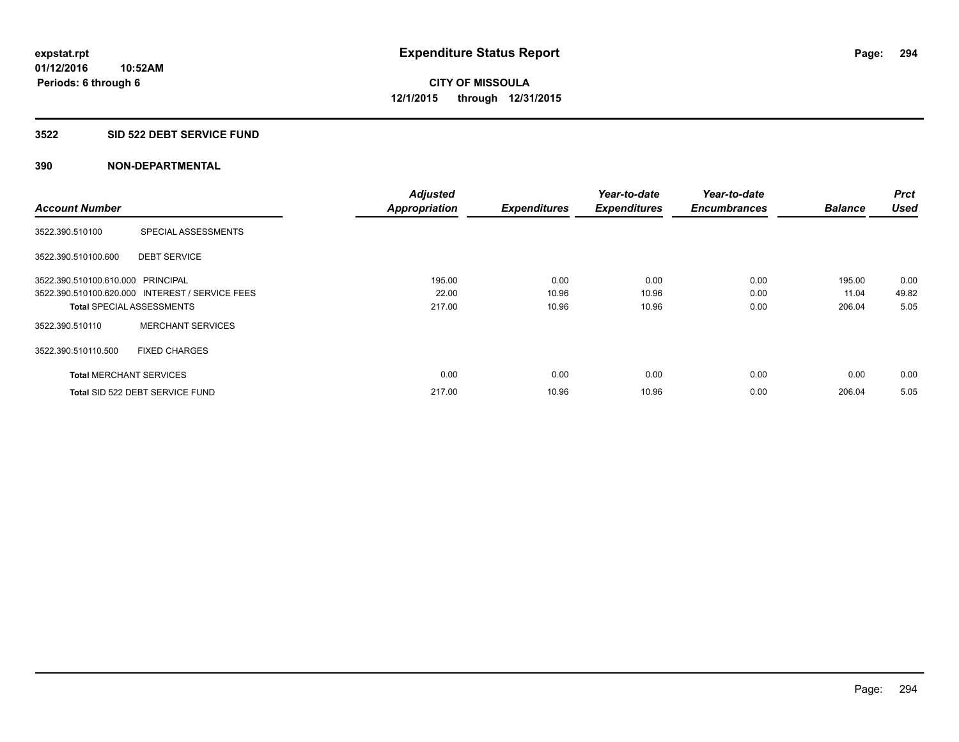# **3522 SID 522 DEBT SERVICE FUND**

|                                   |                                                 | <b>Adjusted</b>      |                     | Year-to-date        | Year-to-date        |                | <b>Prct</b> |
|-----------------------------------|-------------------------------------------------|----------------------|---------------------|---------------------|---------------------|----------------|-------------|
| <b>Account Number</b>             |                                                 | <b>Appropriation</b> | <b>Expenditures</b> | <b>Expenditures</b> | <b>Encumbrances</b> | <b>Balance</b> | <b>Used</b> |
| 3522.390.510100                   | SPECIAL ASSESSMENTS                             |                      |                     |                     |                     |                |             |
| 3522.390.510100.600               | <b>DEBT SERVICE</b>                             |                      |                     |                     |                     |                |             |
| 3522.390.510100.610.000 PRINCIPAL |                                                 | 195.00               | 0.00                | 0.00                | 0.00                | 195.00         | 0.00        |
|                                   | 3522.390.510100.620.000 INTEREST / SERVICE FEES | 22.00                | 10.96               | 10.96               | 0.00                | 11.04          | 49.82       |
| <b>Total SPECIAL ASSESSMENTS</b>  |                                                 | 217.00               | 10.96               | 10.96               | 0.00                | 206.04         | 5.05        |
| 3522.390.510110                   | <b>MERCHANT SERVICES</b>                        |                      |                     |                     |                     |                |             |
| 3522.390.510110.500               | <b>FIXED CHARGES</b>                            |                      |                     |                     |                     |                |             |
| <b>Total MERCHANT SERVICES</b>    |                                                 | 0.00                 | 0.00                | 0.00                | 0.00                | 0.00           | 0.00        |
|                                   | Total SID 522 DEBT SERVICE FUND                 | 217.00               | 10.96               | 10.96               | 0.00                | 206.04         | 5.05        |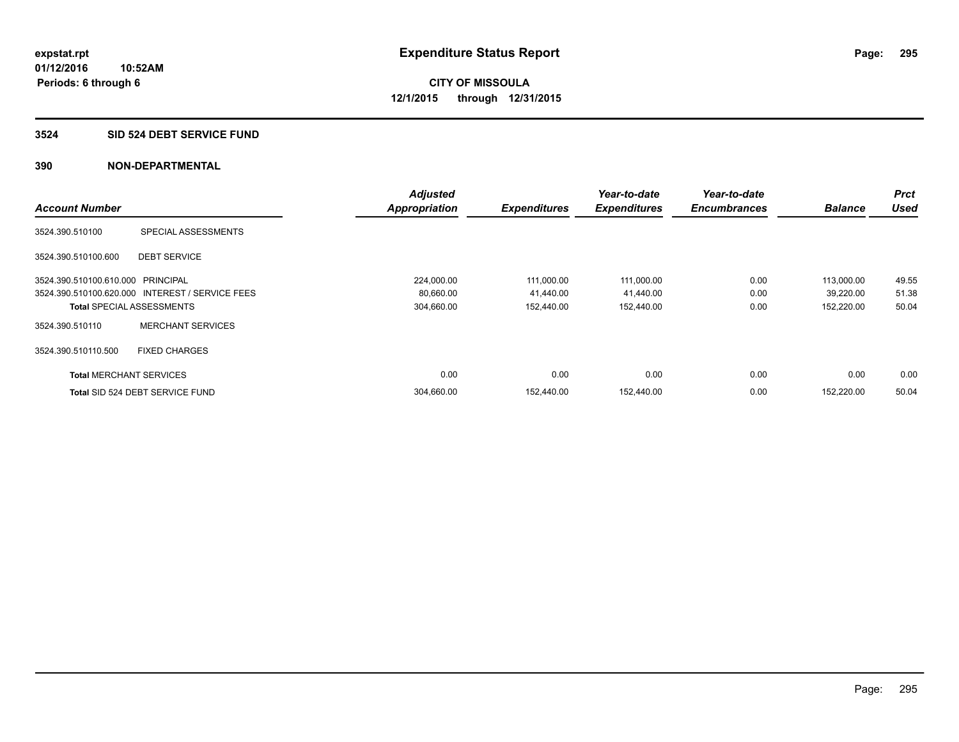# **3524 SID 524 DEBT SERVICE FUND**

|                                   |                                                 | <b>Adjusted</b>      |                     | Year-to-date        | Year-to-date        |                | <b>Prct</b> |
|-----------------------------------|-------------------------------------------------|----------------------|---------------------|---------------------|---------------------|----------------|-------------|
| <b>Account Number</b>             |                                                 | <b>Appropriation</b> | <b>Expenditures</b> | <b>Expenditures</b> | <b>Encumbrances</b> | <b>Balance</b> | <b>Used</b> |
| 3524.390.510100                   | SPECIAL ASSESSMENTS                             |                      |                     |                     |                     |                |             |
| 3524.390.510100.600               | <b>DEBT SERVICE</b>                             |                      |                     |                     |                     |                |             |
| 3524.390.510100.610.000 PRINCIPAL |                                                 | 224,000.00           | 111,000.00          | 111,000.00          | 0.00                | 113,000.00     | 49.55       |
|                                   | 3524.390.510100.620.000 INTEREST / SERVICE FEES | 80,660.00            | 41,440.00           | 41,440.00           | 0.00                | 39,220.00      | 51.38       |
|                                   | <b>Total SPECIAL ASSESSMENTS</b>                | 304,660.00           | 152.440.00          | 152,440.00          | 0.00                | 152,220.00     | 50.04       |
| 3524.390.510110                   | <b>MERCHANT SERVICES</b>                        |                      |                     |                     |                     |                |             |
| 3524.390.510110.500               | <b>FIXED CHARGES</b>                            |                      |                     |                     |                     |                |             |
| <b>Total MERCHANT SERVICES</b>    |                                                 | 0.00                 | 0.00                | 0.00                | 0.00                | 0.00           | 0.00        |
|                                   | Total SID 524 DEBT SERVICE FUND                 | 304.660.00           | 152.440.00          | 152.440.00          | 0.00                | 152.220.00     | 50.04       |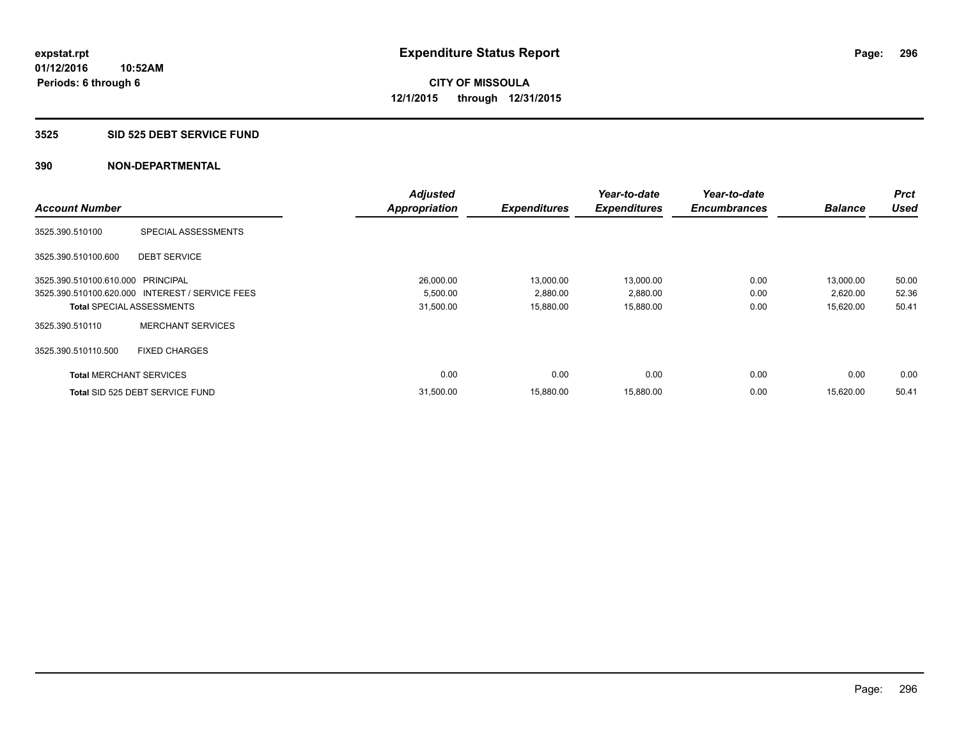## **3525 SID 525 DEBT SERVICE FUND**

|                                   |                                                 | <b>Adjusted</b>      |                     | Year-to-date        | Year-to-date        |                | <b>Prct</b> |
|-----------------------------------|-------------------------------------------------|----------------------|---------------------|---------------------|---------------------|----------------|-------------|
| <b>Account Number</b>             |                                                 | <b>Appropriation</b> | <b>Expenditures</b> | <b>Expenditures</b> | <b>Encumbrances</b> | <b>Balance</b> | <b>Used</b> |
| 3525.390.510100                   | <b>SPECIAL ASSESSMENTS</b>                      |                      |                     |                     |                     |                |             |
| 3525.390.510100.600               | <b>DEBT SERVICE</b>                             |                      |                     |                     |                     |                |             |
| 3525.390.510100.610.000 PRINCIPAL |                                                 | 26,000.00            | 13,000.00           | 13,000.00           | 0.00                | 13,000.00      | 50.00       |
|                                   | 3525.390.510100.620.000 INTEREST / SERVICE FEES | 5,500.00             | 2,880.00            | 2,880.00            | 0.00                | 2,620.00       | 52.36       |
| <b>Total SPECIAL ASSESSMENTS</b>  |                                                 | 31,500.00            | 15,880.00           | 15,880.00           | 0.00                | 15,620.00      | 50.41       |
| 3525.390.510110                   | <b>MERCHANT SERVICES</b>                        |                      |                     |                     |                     |                |             |
| 3525.390.510110.500               | <b>FIXED CHARGES</b>                            |                      |                     |                     |                     |                |             |
| <b>Total MERCHANT SERVICES</b>    |                                                 | 0.00                 | 0.00                | 0.00                | 0.00                | 0.00           | 0.00        |
|                                   | Total SID 525 DEBT SERVICE FUND                 | 31,500.00            | 15,880.00           | 15,880.00           | 0.00                | 15,620.00      | 50.41       |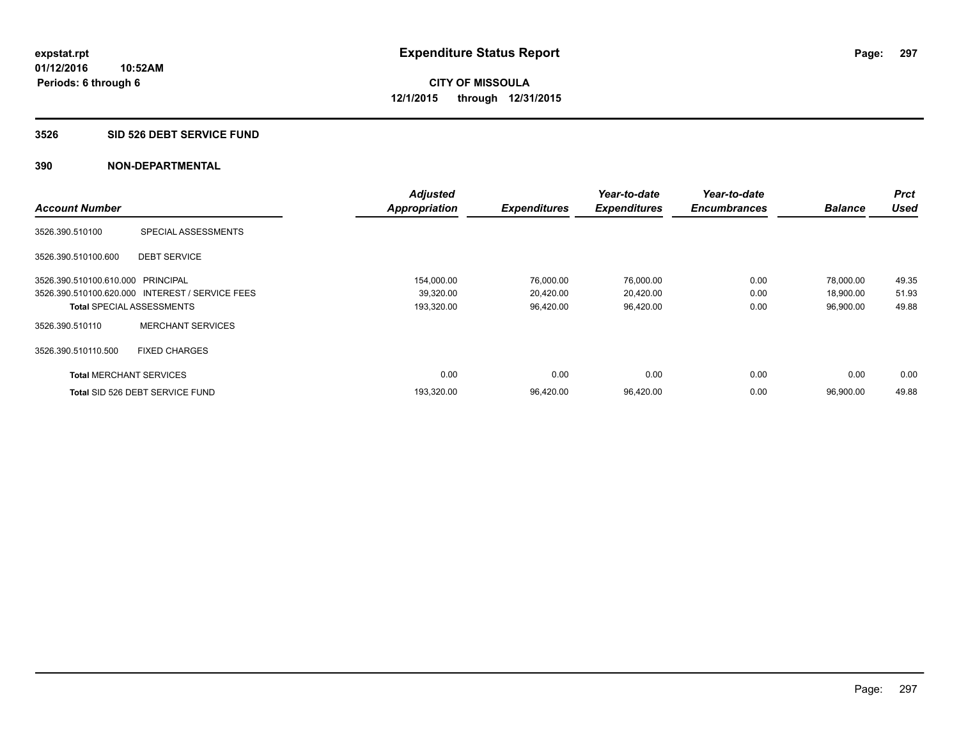## **3526 SID 526 DEBT SERVICE FUND**

|                                   |                                                 | <b>Adjusted</b>      |                     | Year-to-date        | Year-to-date        |                | <b>Prct</b> |
|-----------------------------------|-------------------------------------------------|----------------------|---------------------|---------------------|---------------------|----------------|-------------|
| <b>Account Number</b>             |                                                 | <b>Appropriation</b> | <b>Expenditures</b> | <b>Expenditures</b> | <b>Encumbrances</b> | <b>Balance</b> | <b>Used</b> |
| 3526.390.510100                   | SPECIAL ASSESSMENTS                             |                      |                     |                     |                     |                |             |
| 3526.390.510100.600               | <b>DEBT SERVICE</b>                             |                      |                     |                     |                     |                |             |
| 3526.390.510100.610.000 PRINCIPAL |                                                 | 154,000.00           | 76,000.00           | 76,000.00           | 0.00                | 78,000.00      | 49.35       |
|                                   | 3526.390.510100.620.000 INTEREST / SERVICE FEES | 39,320.00            | 20,420.00           | 20,420.00           | 0.00                | 18,900.00      | 51.93       |
|                                   | <b>Total SPECIAL ASSESSMENTS</b>                | 193,320.00           | 96,420.00           | 96,420.00           | 0.00                | 96,900.00      | 49.88       |
| 3526.390.510110                   | <b>MERCHANT SERVICES</b>                        |                      |                     |                     |                     |                |             |
| 3526.390.510110.500               | <b>FIXED CHARGES</b>                            |                      |                     |                     |                     |                |             |
| <b>Total MERCHANT SERVICES</b>    |                                                 | 0.00                 | 0.00                | 0.00                | 0.00                | 0.00           | 0.00        |
|                                   | Total SID 526 DEBT SERVICE FUND                 | 193,320.00           | 96,420.00           | 96,420.00           | 0.00                | 96,900.00      | 49.88       |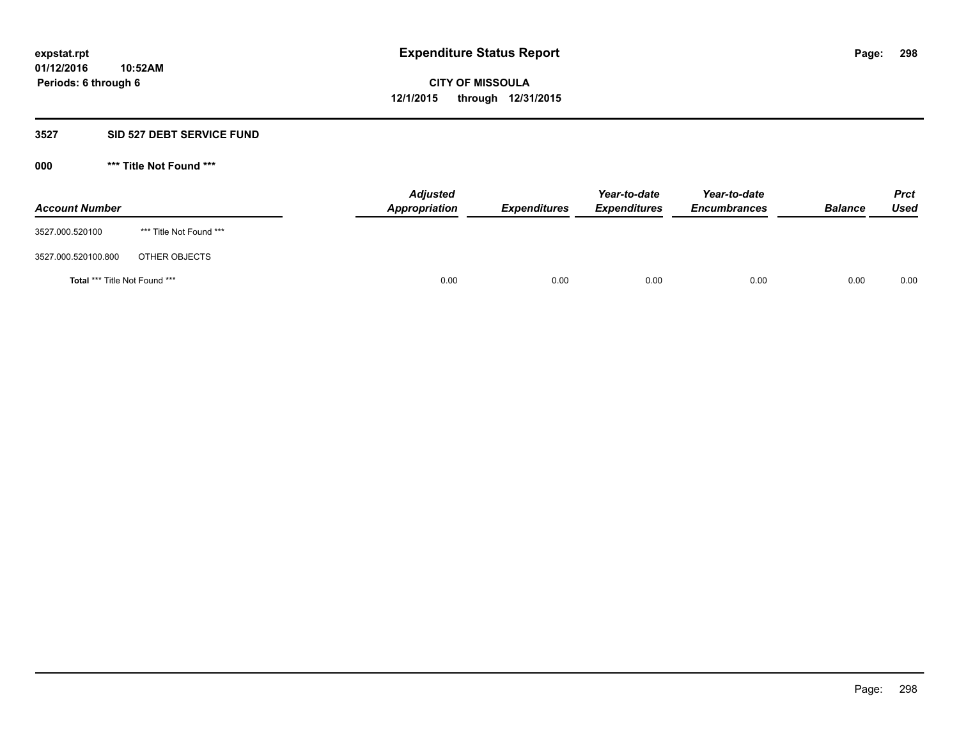# **3527 SID 527 DEBT SERVICE FUND**

**000 \*\*\* Title Not Found \*\*\***

| <b>Account Number</b>         |                         | <b>Adjusted</b><br>Appropriation | <b>Expenditures</b> | Year-to-date<br><b>Expenditures</b> | Year-to-date<br><b>Encumbrances</b> | <b>Balance</b> | <b>Prct</b><br><b>Used</b> |
|-------------------------------|-------------------------|----------------------------------|---------------------|-------------------------------------|-------------------------------------|----------------|----------------------------|
| 3527.000.520100               | *** Title Not Found *** |                                  |                     |                                     |                                     |                |                            |
| 3527.000.520100.800           | OTHER OBJECTS           |                                  |                     |                                     |                                     |                |                            |
| Total *** Title Not Found *** |                         | 0.00                             | 0.00                | 0.00                                | 0.00                                | 0.00           | 0.00                       |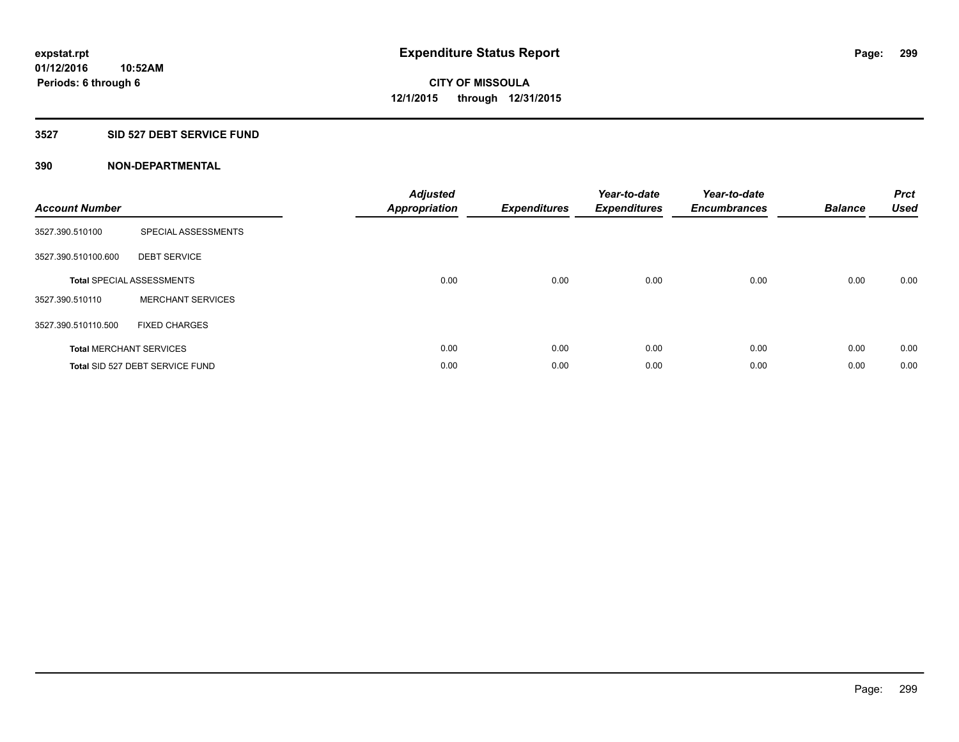# **3527 SID 527 DEBT SERVICE FUND**

| <b>Account Number</b> |                                  | <b>Adjusted</b><br>Appropriation | <b>Expenditures</b> | Year-to-date<br><b>Expenditures</b> | Year-to-date<br><b>Encumbrances</b> | <b>Balance</b> | <b>Prct</b><br>Used |
|-----------------------|----------------------------------|----------------------------------|---------------------|-------------------------------------|-------------------------------------|----------------|---------------------|
| 3527.390.510100       | SPECIAL ASSESSMENTS              |                                  |                     |                                     |                                     |                |                     |
| 3527.390.510100.600   | <b>DEBT SERVICE</b>              |                                  |                     |                                     |                                     |                |                     |
|                       | <b>Total SPECIAL ASSESSMENTS</b> | 0.00                             | 0.00                | 0.00                                | 0.00                                | 0.00           | 0.00                |
| 3527.390.510110       | <b>MERCHANT SERVICES</b>         |                                  |                     |                                     |                                     |                |                     |
| 3527.390.510110.500   | <b>FIXED CHARGES</b>             |                                  |                     |                                     |                                     |                |                     |
|                       | <b>Total MERCHANT SERVICES</b>   | 0.00                             | 0.00                | 0.00                                | 0.00                                | 0.00           | 0.00                |
|                       | Total SID 527 DEBT SERVICE FUND  | 0.00                             | 0.00                | 0.00                                | 0.00                                | 0.00           | 0.00                |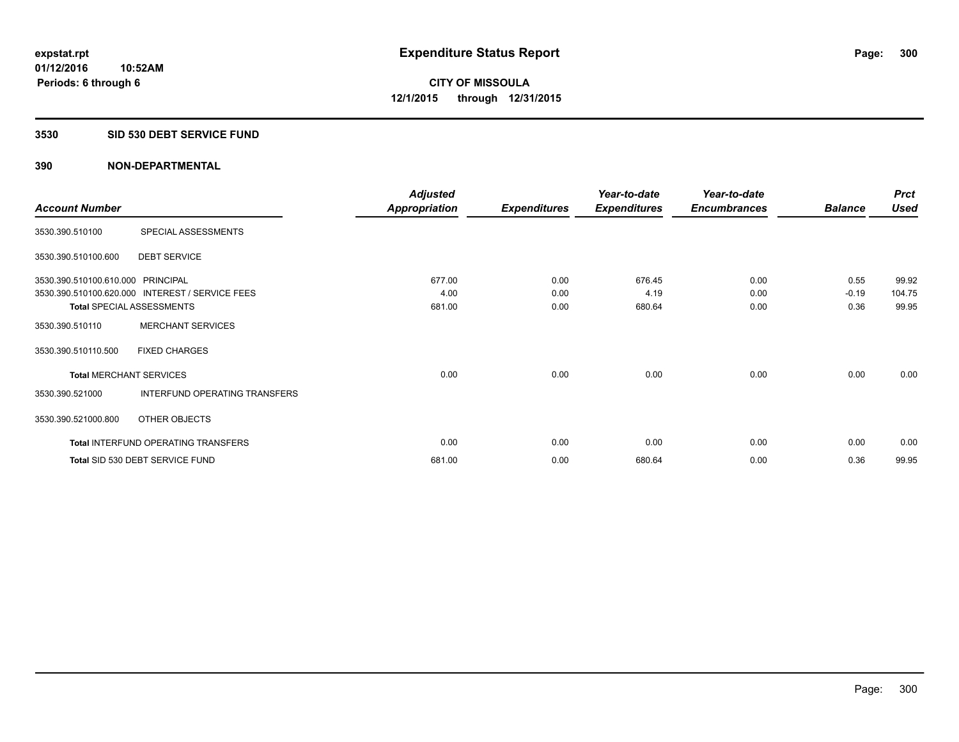## **3530 SID 530 DEBT SERVICE FUND**

|                                   |                                                 | <b>Adjusted</b>      |                     | Year-to-date        | Year-to-date        |                | <b>Prct</b> |
|-----------------------------------|-------------------------------------------------|----------------------|---------------------|---------------------|---------------------|----------------|-------------|
| <b>Account Number</b>             |                                                 | <b>Appropriation</b> | <b>Expenditures</b> | <b>Expenditures</b> | <b>Encumbrances</b> | <b>Balance</b> | <b>Used</b> |
| 3530.390.510100                   | SPECIAL ASSESSMENTS                             |                      |                     |                     |                     |                |             |
| 3530.390.510100.600               | <b>DEBT SERVICE</b>                             |                      |                     |                     |                     |                |             |
| 3530.390.510100.610.000 PRINCIPAL |                                                 | 677.00               | 0.00                | 676.45              | 0.00                | 0.55           | 99.92       |
|                                   | 3530.390.510100.620.000 INTEREST / SERVICE FEES | 4.00                 | 0.00                | 4.19                | 0.00                | $-0.19$        | 104.75      |
| <b>Total SPECIAL ASSESSMENTS</b>  |                                                 | 681.00               | 0.00                | 680.64              | 0.00                | 0.36           | 99.95       |
| 3530.390.510110                   | <b>MERCHANT SERVICES</b>                        |                      |                     |                     |                     |                |             |
| 3530.390.510110.500               | <b>FIXED CHARGES</b>                            |                      |                     |                     |                     |                |             |
| <b>Total MERCHANT SERVICES</b>    |                                                 | 0.00                 | 0.00                | 0.00                | 0.00                | 0.00           | 0.00        |
| 3530.390.521000                   | INTERFUND OPERATING TRANSFERS                   |                      |                     |                     |                     |                |             |
| 3530.390.521000.800               | OTHER OBJECTS                                   |                      |                     |                     |                     |                |             |
|                                   | Total INTERFUND OPERATING TRANSFERS             | 0.00                 | 0.00                | 0.00                | 0.00                | 0.00           | 0.00        |
|                                   | Total SID 530 DEBT SERVICE FUND                 | 681.00               | 0.00                | 680.64              | 0.00                | 0.36           | 99.95       |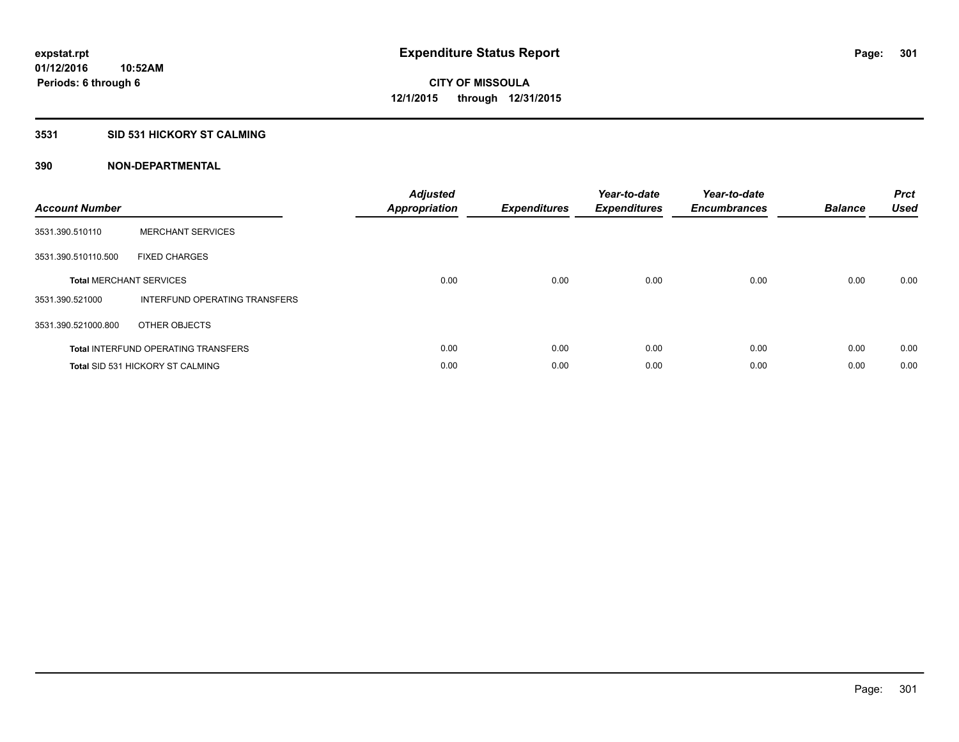# **3531 SID 531 HICKORY ST CALMING**

| <b>Account Number</b> |                                            | <b>Adjusted</b><br>Appropriation | <b>Expenditures</b> | Year-to-date<br><b>Expenditures</b> | Year-to-date<br><b>Encumbrances</b> | <b>Balance</b> | <b>Prct</b><br><b>Used</b> |
|-----------------------|--------------------------------------------|----------------------------------|---------------------|-------------------------------------|-------------------------------------|----------------|----------------------------|
| 3531.390.510110       | <b>MERCHANT SERVICES</b>                   |                                  |                     |                                     |                                     |                |                            |
| 3531.390.510110.500   | <b>FIXED CHARGES</b>                       |                                  |                     |                                     |                                     |                |                            |
|                       | <b>Total MERCHANT SERVICES</b>             | 0.00                             | 0.00                | 0.00                                | 0.00                                | 0.00           | 0.00                       |
| 3531.390.521000       | INTERFUND OPERATING TRANSFERS              |                                  |                     |                                     |                                     |                |                            |
| 3531.390.521000.800   | OTHER OBJECTS                              |                                  |                     |                                     |                                     |                |                            |
|                       | <b>Total INTERFUND OPERATING TRANSFERS</b> | 0.00                             | 0.00                | 0.00                                | 0.00                                | 0.00           | 0.00                       |
|                       | <b>Total SID 531 HICKORY ST CALMING</b>    | 0.00                             | 0.00                | 0.00                                | 0.00                                | 0.00           | 0.00                       |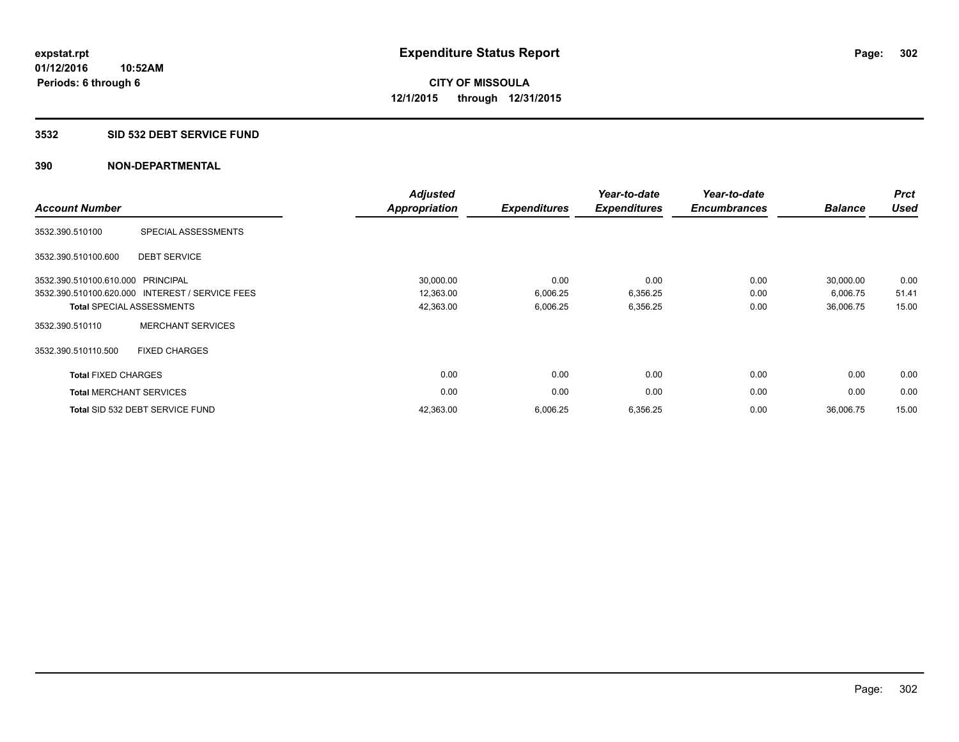## **3532 SID 532 DEBT SERVICE FUND**

| <b>Account Number</b>          |                                                 | <b>Adjusted</b><br><b>Appropriation</b> | <b>Expenditures</b> | Year-to-date<br><b>Expenditures</b> | Year-to-date<br><b>Encumbrances</b> | <b>Balance</b> | <b>Prct</b><br><b>Used</b> |
|--------------------------------|-------------------------------------------------|-----------------------------------------|---------------------|-------------------------------------|-------------------------------------|----------------|----------------------------|
| 3532.390.510100                | SPECIAL ASSESSMENTS                             |                                         |                     |                                     |                                     |                |                            |
| 3532.390.510100.600            | <b>DEBT SERVICE</b>                             |                                         |                     |                                     |                                     |                |                            |
| 3532.390.510100.610.000        | PRINCIPAL                                       | 30,000.00                               | 0.00                | 0.00                                | 0.00                                | 30,000.00      | 0.00                       |
|                                | 3532.390.510100.620.000 INTEREST / SERVICE FEES | 12,363.00                               | 6,006.25            | 6,356.25                            | 0.00                                | 6,006.75       | 51.41                      |
|                                | <b>Total SPECIAL ASSESSMENTS</b>                | 42,363.00                               | 6,006.25            | 6,356.25                            | 0.00                                | 36,006.75      | 15.00                      |
| 3532.390.510110                | <b>MERCHANT SERVICES</b>                        |                                         |                     |                                     |                                     |                |                            |
| 3532.390.510110.500            | <b>FIXED CHARGES</b>                            |                                         |                     |                                     |                                     |                |                            |
| <b>Total FIXED CHARGES</b>     |                                                 | 0.00                                    | 0.00                | 0.00                                | 0.00                                | 0.00           | 0.00                       |
| <b>Total MERCHANT SERVICES</b> |                                                 | 0.00                                    | 0.00                | 0.00                                | 0.00                                | 0.00           | 0.00                       |
|                                | Total SID 532 DEBT SERVICE FUND                 | 42,363.00                               | 6,006.25            | 6,356.25                            | 0.00                                | 36,006.75      | 15.00                      |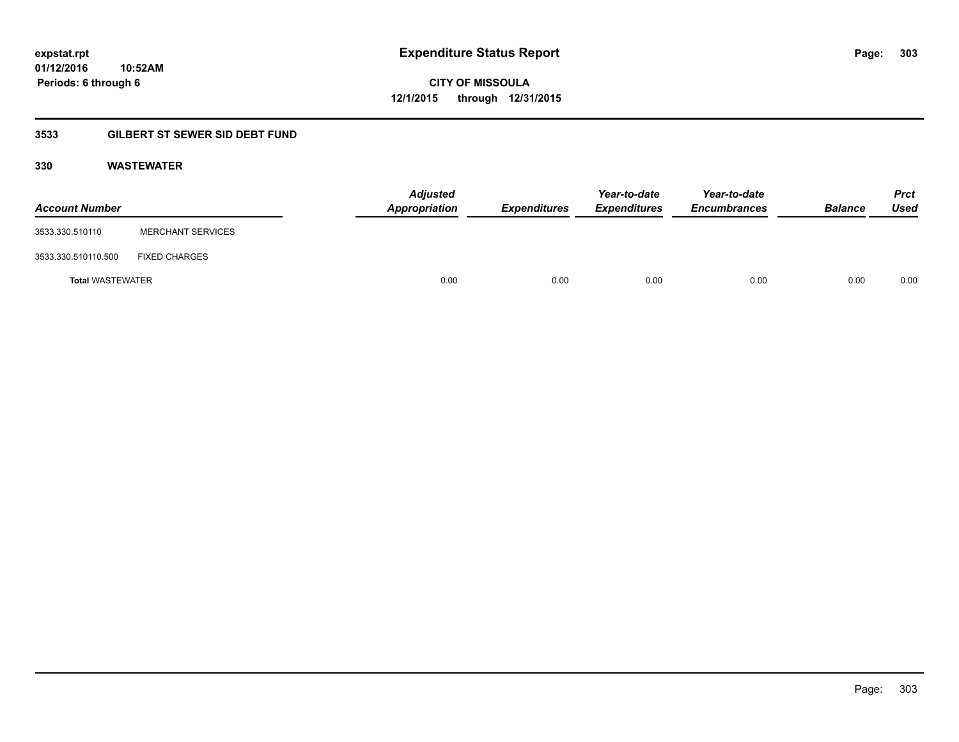# **3533 GILBERT ST SEWER SID DEBT FUND**

# **330 WASTEWATER**

| <b>Account Number</b>   |                          | <b>Adjusted</b><br>Appropriation | Expenditures | Year-to-date<br><b>Expenditures</b> | Year-to-date<br><b>Encumbrances</b> | <b>Balance</b> | <b>Prct</b><br>Used |
|-------------------------|--------------------------|----------------------------------|--------------|-------------------------------------|-------------------------------------|----------------|---------------------|
| 3533.330.510110         | <b>MERCHANT SERVICES</b> |                                  |              |                                     |                                     |                |                     |
| 3533.330.510110.500     | <b>FIXED CHARGES</b>     |                                  |              |                                     |                                     |                |                     |
| <b>Total WASTEWATER</b> |                          | 0.00                             | 0.00         | 0.00                                | 0.00                                | 0.00           | 0.00                |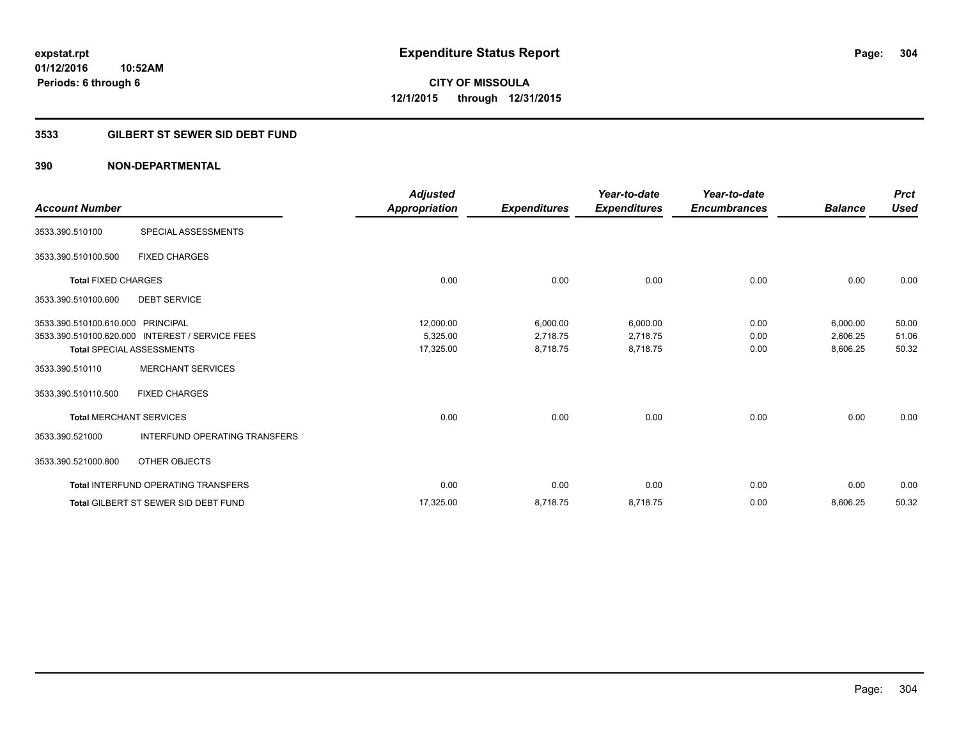# **3533 GILBERT ST SEWER SID DEBT FUND**

| <b>Account Number</b>             |                                                 | <b>Adjusted</b><br>Appropriation | <b>Expenditures</b> | Year-to-date<br><b>Expenditures</b> | Year-to-date<br><b>Encumbrances</b> | <b>Balance</b> | <b>Prct</b><br><b>Used</b> |
|-----------------------------------|-------------------------------------------------|----------------------------------|---------------------|-------------------------------------|-------------------------------------|----------------|----------------------------|
|                                   |                                                 |                                  |                     |                                     |                                     |                |                            |
| 3533.390.510100                   | SPECIAL ASSESSMENTS                             |                                  |                     |                                     |                                     |                |                            |
| 3533.390.510100.500               | <b>FIXED CHARGES</b>                            |                                  |                     |                                     |                                     |                |                            |
| <b>Total FIXED CHARGES</b>        |                                                 | 0.00                             | 0.00                | 0.00                                | 0.00                                | 0.00           | 0.00                       |
| 3533.390.510100.600               | <b>DEBT SERVICE</b>                             |                                  |                     |                                     |                                     |                |                            |
| 3533.390.510100.610.000 PRINCIPAL |                                                 | 12,000.00                        | 6,000.00            | 6,000.00                            | 0.00                                | 6,000.00       | 50.00                      |
|                                   | 3533.390.510100.620.000 INTEREST / SERVICE FEES | 5,325.00                         | 2,718.75            | 2,718.75                            | 0.00                                | 2,606.25       | 51.06                      |
|                                   | <b>Total SPECIAL ASSESSMENTS</b>                | 17,325.00                        | 8,718.75            | 8,718.75                            | 0.00                                | 8,606.25       | 50.32                      |
| 3533.390.510110                   | <b>MERCHANT SERVICES</b>                        |                                  |                     |                                     |                                     |                |                            |
| 3533.390.510110.500               | <b>FIXED CHARGES</b>                            |                                  |                     |                                     |                                     |                |                            |
|                                   | <b>Total MERCHANT SERVICES</b>                  | 0.00                             | 0.00                | 0.00                                | 0.00                                | 0.00           | 0.00                       |
| 3533.390.521000                   | <b>INTERFUND OPERATING TRANSFERS</b>            |                                  |                     |                                     |                                     |                |                            |
| 3533.390.521000.800               | OTHER OBJECTS                                   |                                  |                     |                                     |                                     |                |                            |
|                                   | <b>Total INTERFUND OPERATING TRANSFERS</b>      | 0.00                             | 0.00                | 0.00                                | 0.00                                | 0.00           | 0.00                       |
|                                   | <b>Total GILBERT ST SEWER SID DEBT FUND</b>     | 17,325.00                        | 8,718.75            | 8,718.75                            | 0.00                                | 8,606.25       | 50.32                      |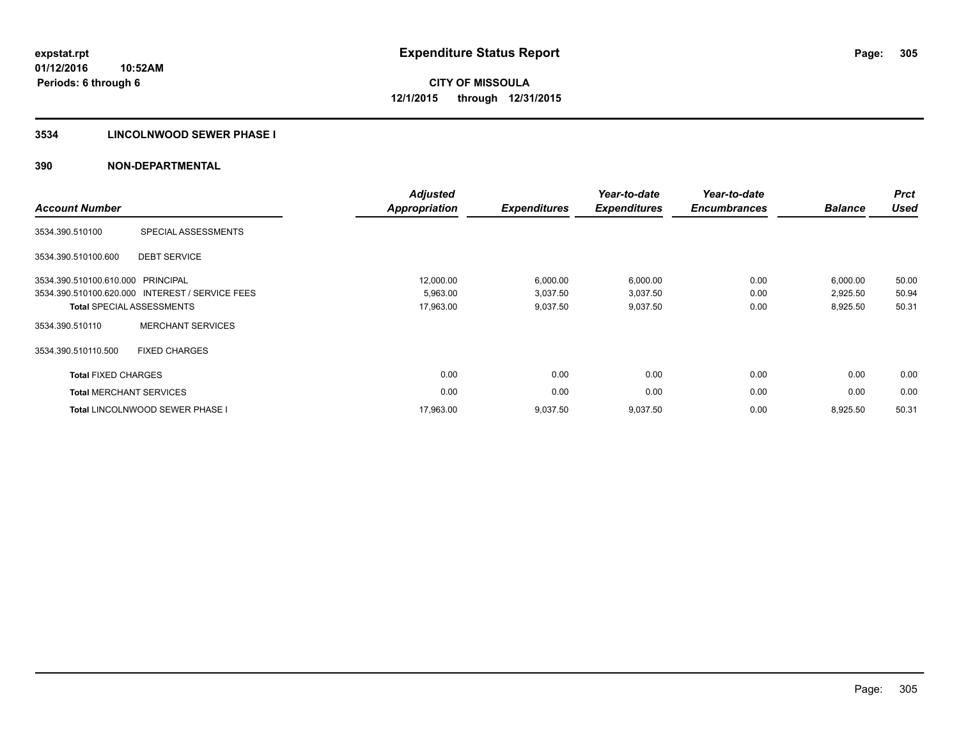# **3534 LINCOLNWOOD SEWER PHASE I**

| <b>Account Number</b>          |                                                 | <b>Adjusted</b><br><b>Appropriation</b> | <b>Expenditures</b> | Year-to-date<br><b>Expenditures</b> | Year-to-date<br><b>Encumbrances</b> | <b>Balance</b> | <b>Prct</b><br><b>Used</b> |
|--------------------------------|-------------------------------------------------|-----------------------------------------|---------------------|-------------------------------------|-------------------------------------|----------------|----------------------------|
| 3534.390.510100                | SPECIAL ASSESSMENTS                             |                                         |                     |                                     |                                     |                |                            |
| 3534.390.510100.600            | <b>DEBT SERVICE</b>                             |                                         |                     |                                     |                                     |                |                            |
| 3534.390.510100.610.000        | PRINCIPAL                                       | 12,000.00                               | 6,000.00            | 6,000.00                            | 0.00                                | 6,000.00       | 50.00                      |
|                                | 3534.390.510100.620.000 INTEREST / SERVICE FEES | 5,963.00                                | 3,037.50            | 3,037.50                            | 0.00                                | 2,925.50       | 50.94                      |
|                                | <b>Total SPECIAL ASSESSMENTS</b>                | 17,963.00                               | 9,037.50            | 9,037.50                            | 0.00                                | 8,925.50       | 50.31                      |
| 3534.390.510110                | <b>MERCHANT SERVICES</b>                        |                                         |                     |                                     |                                     |                |                            |
| 3534.390.510110.500            | <b>FIXED CHARGES</b>                            |                                         |                     |                                     |                                     |                |                            |
| <b>Total FIXED CHARGES</b>     |                                                 | 0.00                                    | 0.00                | 0.00                                | 0.00                                | 0.00           | 0.00                       |
| <b>Total MERCHANT SERVICES</b> |                                                 | 0.00                                    | 0.00                | 0.00                                | 0.00                                | 0.00           | 0.00                       |
|                                | <b>Total LINCOLNWOOD SEWER PHASE I</b>          | 17,963.00                               | 9,037.50            | 9,037.50                            | 0.00                                | 8,925.50       | 50.31                      |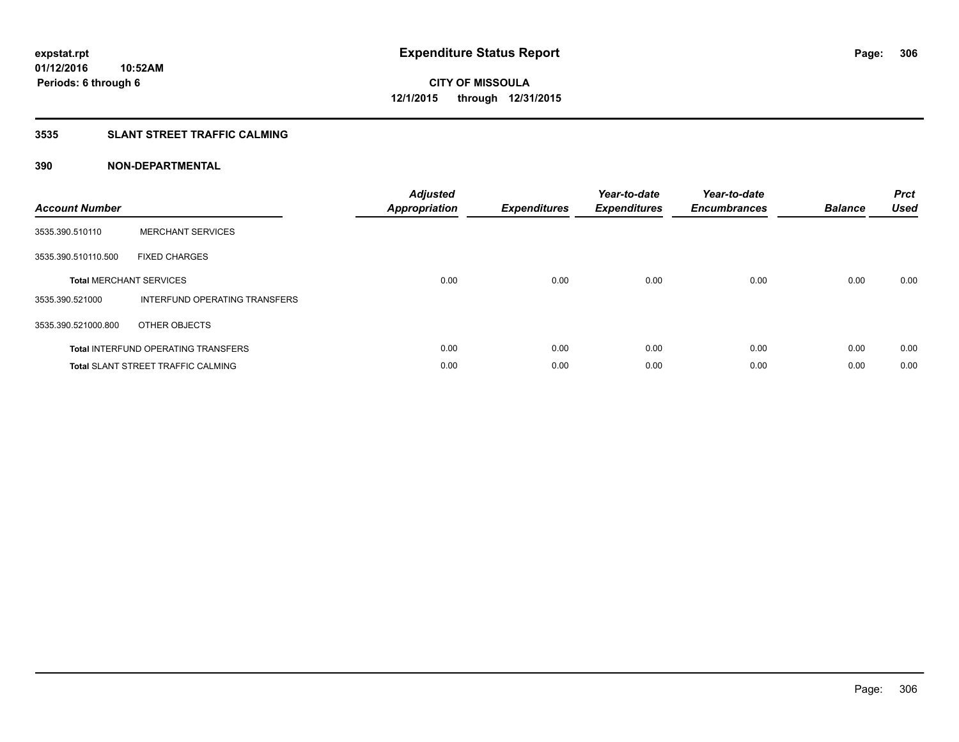# **3535 SLANT STREET TRAFFIC CALMING**

| <b>Account Number</b> |                                            | <b>Adjusted</b><br><b>Appropriation</b> | <b>Expenditures</b> | Year-to-date<br><b>Expenditures</b> | Year-to-date<br><b>Encumbrances</b> | <b>Balance</b> | <b>Prct</b><br><b>Used</b> |
|-----------------------|--------------------------------------------|-----------------------------------------|---------------------|-------------------------------------|-------------------------------------|----------------|----------------------------|
| 3535.390.510110       | <b>MERCHANT SERVICES</b>                   |                                         |                     |                                     |                                     |                |                            |
| 3535.390.510110.500   | <b>FIXED CHARGES</b>                       |                                         |                     |                                     |                                     |                |                            |
|                       | <b>Total MERCHANT SERVICES</b>             | 0.00                                    | 0.00                | 0.00                                | 0.00                                | 0.00           | 0.00                       |
| 3535.390.521000       | INTERFUND OPERATING TRANSFERS              |                                         |                     |                                     |                                     |                |                            |
| 3535.390.521000.800   | OTHER OBJECTS                              |                                         |                     |                                     |                                     |                |                            |
|                       | <b>Total INTERFUND OPERATING TRANSFERS</b> | 0.00                                    | 0.00                | 0.00                                | 0.00                                | 0.00           | 0.00                       |
|                       | <b>Total SLANT STREET TRAFFIC CALMING</b>  | 0.00                                    | 0.00                | 0.00                                | 0.00                                | 0.00           | 0.00                       |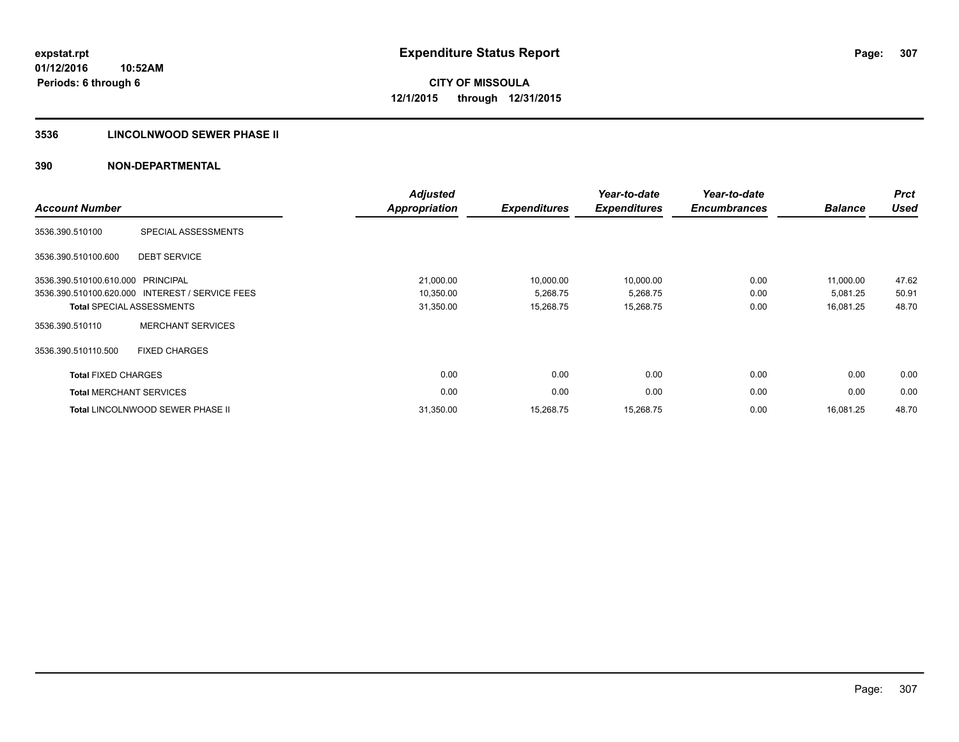# **3536 LINCOLNWOOD SEWER PHASE II**

| <b>Account Number</b>          |                                                 | <b>Adjusted</b><br><b>Appropriation</b> | <b>Expenditures</b> | Year-to-date<br><b>Expenditures</b> | Year-to-date<br><b>Encumbrances</b> | <b>Balance</b> | <b>Prct</b><br><b>Used</b> |
|--------------------------------|-------------------------------------------------|-----------------------------------------|---------------------|-------------------------------------|-------------------------------------|----------------|----------------------------|
| 3536.390.510100                | SPECIAL ASSESSMENTS                             |                                         |                     |                                     |                                     |                |                            |
| 3536.390.510100.600            | <b>DEBT SERVICE</b>                             |                                         |                     |                                     |                                     |                |                            |
| 3536.390.510100.610.000        | PRINCIPAL                                       | 21,000.00                               | 10,000.00           | 10,000.00                           | 0.00                                | 11,000.00      | 47.62                      |
|                                | 3536.390.510100.620.000 INTEREST / SERVICE FEES | 10,350.00                               | 5,268.75            | 5,268.75                            | 0.00                                | 5,081.25       | 50.91                      |
|                                | <b>Total SPECIAL ASSESSMENTS</b>                | 31,350.00                               | 15,268.75           | 15,268.75                           | 0.00                                | 16,081.25      | 48.70                      |
| 3536.390.510110                | <b>MERCHANT SERVICES</b>                        |                                         |                     |                                     |                                     |                |                            |
| 3536.390.510110.500            | <b>FIXED CHARGES</b>                            |                                         |                     |                                     |                                     |                |                            |
| <b>Total FIXED CHARGES</b>     |                                                 | 0.00                                    | 0.00                | 0.00                                | 0.00                                | 0.00           | 0.00                       |
| <b>Total MERCHANT SERVICES</b> |                                                 | 0.00                                    | 0.00                | 0.00                                | 0.00                                | 0.00           | 0.00                       |
|                                | <b>Total LINCOLNWOOD SEWER PHASE II</b>         | 31,350.00                               | 15,268.75           | 15,268.75                           | 0.00                                | 16,081.25      | 48.70                      |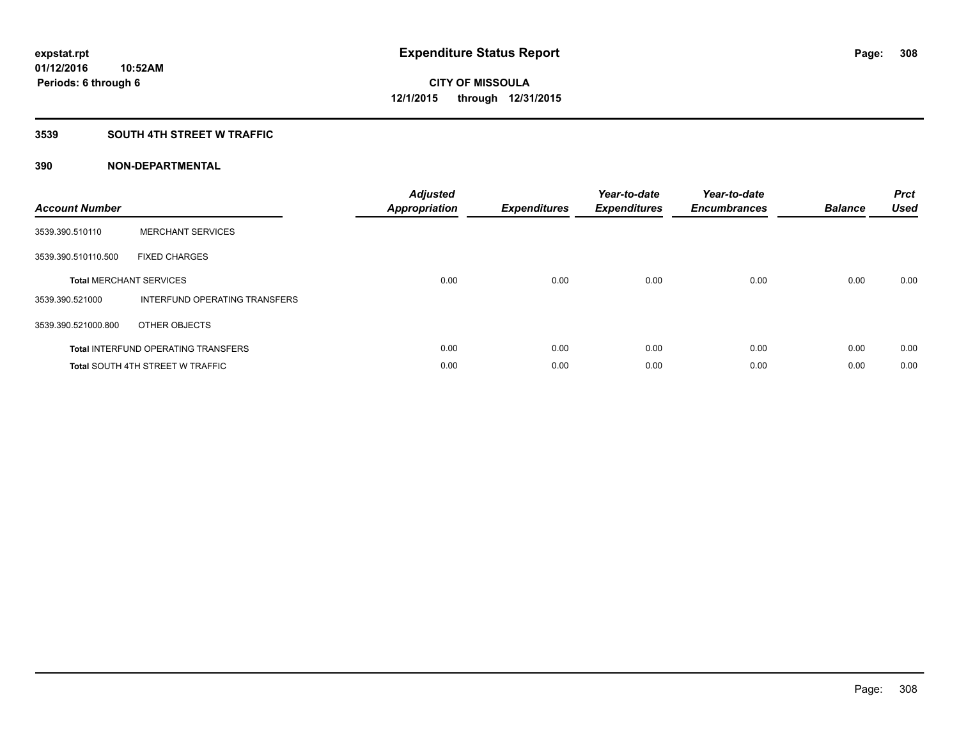# **3539 SOUTH 4TH STREET W TRAFFIC**

| <b>Account Number</b> |                                            | <b>Adjusted</b><br>Appropriation | <b>Expenditures</b> | Year-to-date<br><b>Expenditures</b> | Year-to-date<br><b>Encumbrances</b> | <b>Balance</b> | <b>Prct</b><br><b>Used</b> |
|-----------------------|--------------------------------------------|----------------------------------|---------------------|-------------------------------------|-------------------------------------|----------------|----------------------------|
| 3539.390.510110       | <b>MERCHANT SERVICES</b>                   |                                  |                     |                                     |                                     |                |                            |
| 3539.390.510110.500   | <b>FIXED CHARGES</b>                       |                                  |                     |                                     |                                     |                |                            |
|                       | <b>Total MERCHANT SERVICES</b>             | 0.00                             | 0.00                | 0.00                                | 0.00                                | 0.00           | 0.00                       |
| 3539.390.521000       | INTERFUND OPERATING TRANSFERS              |                                  |                     |                                     |                                     |                |                            |
| 3539.390.521000.800   | OTHER OBJECTS                              |                                  |                     |                                     |                                     |                |                            |
|                       | <b>Total INTERFUND OPERATING TRANSFERS</b> | 0.00                             | 0.00                | 0.00                                | 0.00                                | 0.00           | 0.00                       |
|                       | <b>Total SOUTH 4TH STREET W TRAFFIC</b>    | 0.00                             | 0.00                | 0.00                                | 0.00                                | 0.00           | 0.00                       |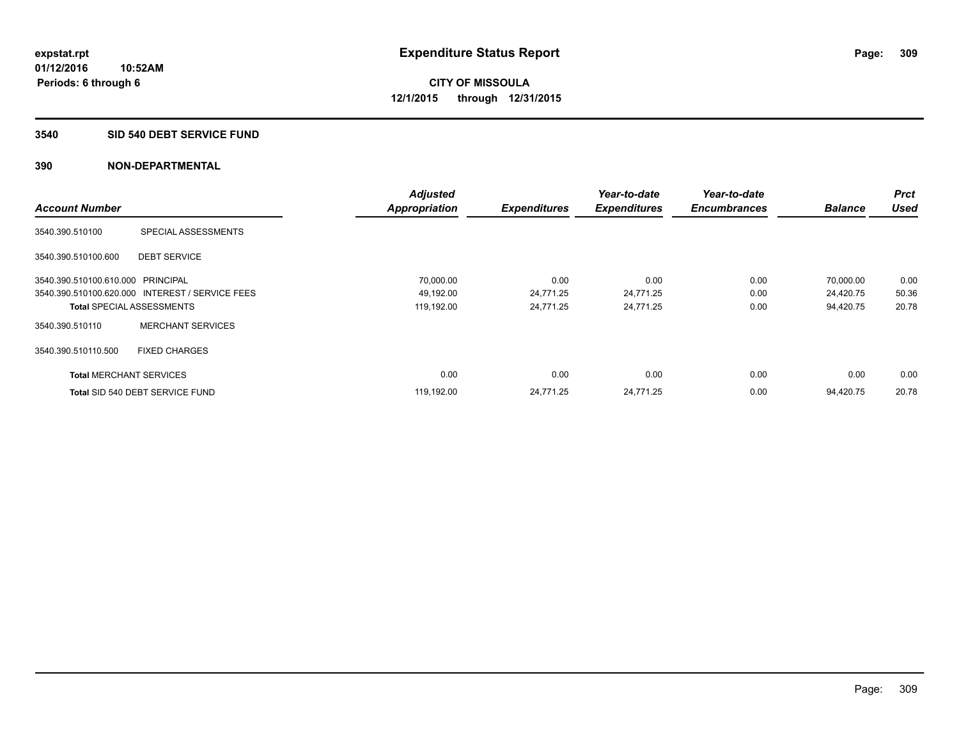## **3540 SID 540 DEBT SERVICE FUND**

|                                   |                                                 | <b>Adjusted</b>      |                     | Year-to-date        | Year-to-date        |                | <b>Prct</b> |
|-----------------------------------|-------------------------------------------------|----------------------|---------------------|---------------------|---------------------|----------------|-------------|
| <b>Account Number</b>             |                                                 | <b>Appropriation</b> | <b>Expenditures</b> | <b>Expenditures</b> | <b>Encumbrances</b> | <b>Balance</b> | <b>Used</b> |
| 3540.390.510100                   | SPECIAL ASSESSMENTS                             |                      |                     |                     |                     |                |             |
| 3540.390.510100.600               | <b>DEBT SERVICE</b>                             |                      |                     |                     |                     |                |             |
| 3540.390.510100.610.000 PRINCIPAL |                                                 | 70,000.00            | 0.00                | 0.00                | 0.00                | 70,000.00      | 0.00        |
|                                   | 3540.390.510100.620.000 INTEREST / SERVICE FEES | 49,192.00            | 24,771.25           | 24,771.25           | 0.00                | 24,420.75      | 50.36       |
| <b>Total SPECIAL ASSESSMENTS</b>  |                                                 | 119,192.00           | 24,771.25           | 24,771.25           | 0.00                | 94,420.75      | 20.78       |
| 3540.390.510110                   | <b>MERCHANT SERVICES</b>                        |                      |                     |                     |                     |                |             |
| 3540.390.510110.500               | <b>FIXED CHARGES</b>                            |                      |                     |                     |                     |                |             |
| <b>Total MERCHANT SERVICES</b>    |                                                 | 0.00                 | 0.00                | 0.00                | 0.00                | 0.00           | 0.00        |
|                                   | Total SID 540 DEBT SERVICE FUND                 | 119,192.00           | 24,771.25           | 24,771.25           | 0.00                | 94.420.75      | 20.78       |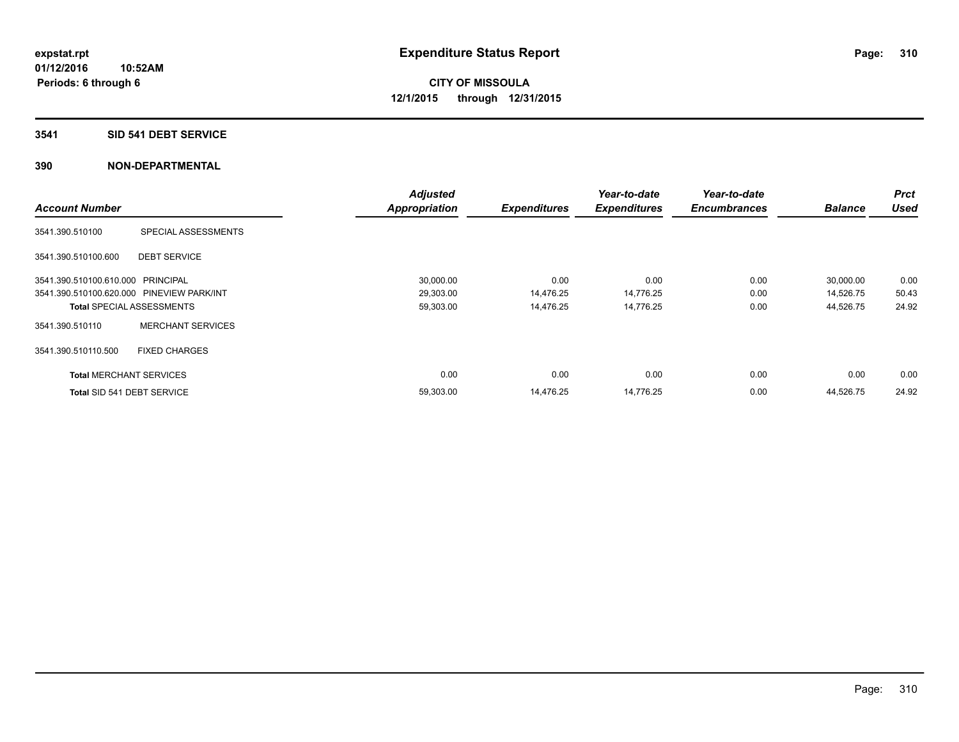# **3541 SID 541 DEBT SERVICE**

|                                           |                                  | <b>Adjusted</b>      |                     | Year-to-date        | Year-to-date        |                | <b>Prct</b> |
|-------------------------------------------|----------------------------------|----------------------|---------------------|---------------------|---------------------|----------------|-------------|
| <b>Account Number</b>                     |                                  | <b>Appropriation</b> | <b>Expenditures</b> | <b>Expenditures</b> | <b>Encumbrances</b> | <b>Balance</b> | <b>Used</b> |
| 3541.390.510100                           | SPECIAL ASSESSMENTS              |                      |                     |                     |                     |                |             |
| 3541.390.510100.600                       | <b>DEBT SERVICE</b>              |                      |                     |                     |                     |                |             |
| 3541.390.510100.610.000 PRINCIPAL         |                                  | 30,000.00            | 0.00                | 0.00                | 0.00                | 30,000.00      | 0.00        |
| 3541.390.510100.620.000 PINEVIEW PARK/INT |                                  | 29,303.00            | 14,476.25           | 14,776.25           | 0.00                | 14,526.75      | 50.43       |
|                                           | <b>Total SPECIAL ASSESSMENTS</b> | 59,303.00            | 14,476.25           | 14,776.25           | 0.00                | 44,526.75      | 24.92       |
| 3541.390.510110                           | <b>MERCHANT SERVICES</b>         |                      |                     |                     |                     |                |             |
| 3541.390.510110.500                       | <b>FIXED CHARGES</b>             |                      |                     |                     |                     |                |             |
| <b>Total MERCHANT SERVICES</b>            |                                  | 0.00                 | 0.00                | 0.00                | 0.00                | 0.00           | 0.00        |
| Total SID 541 DEBT SERVICE                |                                  | 59,303.00            | 14.476.25           | 14.776.25           | 0.00                | 44.526.75      | 24.92       |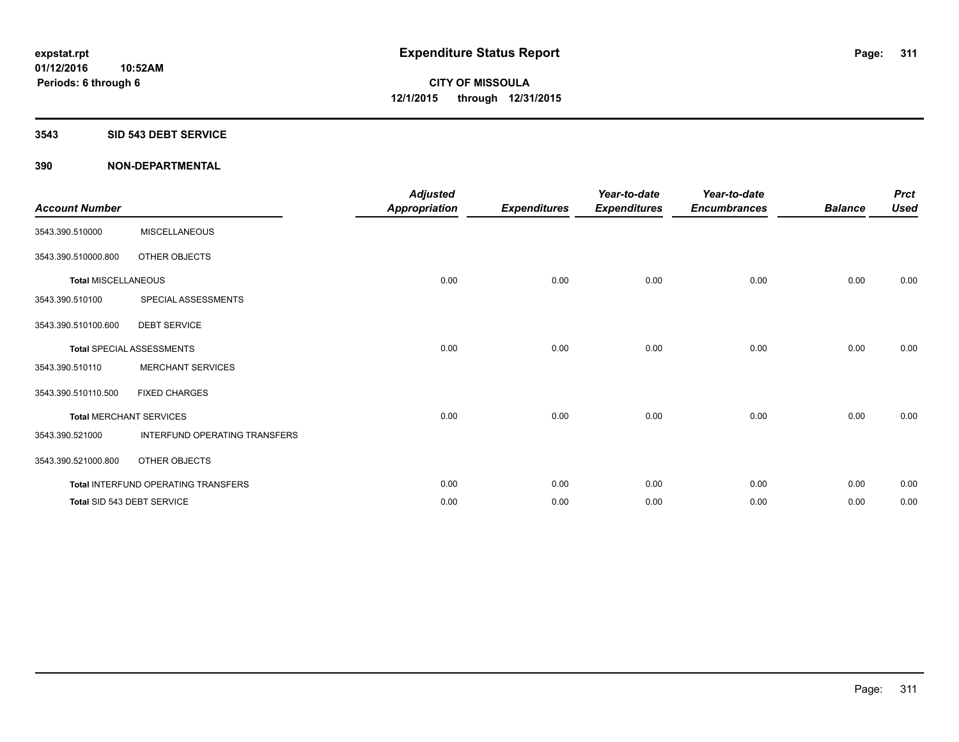#### **3543 SID 543 DEBT SERVICE**

| <b>Account Number</b>      |                                     | <b>Adjusted</b><br><b>Appropriation</b> | <b>Expenditures</b> | Year-to-date<br><b>Expenditures</b> | Year-to-date<br><b>Encumbrances</b> | <b>Balance</b> | <b>Prct</b><br><b>Used</b> |
|----------------------------|-------------------------------------|-----------------------------------------|---------------------|-------------------------------------|-------------------------------------|----------------|----------------------------|
| 3543.390.510000            | <b>MISCELLANEOUS</b>                |                                         |                     |                                     |                                     |                |                            |
| 3543.390.510000.800        | OTHER OBJECTS                       |                                         |                     |                                     |                                     |                |                            |
| <b>Total MISCELLANEOUS</b> |                                     | 0.00                                    | 0.00                | 0.00                                | 0.00                                | 0.00           | 0.00                       |
| 3543.390.510100            | SPECIAL ASSESSMENTS                 |                                         |                     |                                     |                                     |                |                            |
| 3543.390.510100.600        | <b>DEBT SERVICE</b>                 |                                         |                     |                                     |                                     |                |                            |
|                            | <b>Total SPECIAL ASSESSMENTS</b>    | 0.00                                    | 0.00                | 0.00                                | 0.00                                | 0.00           | 0.00                       |
| 3543.390.510110            | <b>MERCHANT SERVICES</b>            |                                         |                     |                                     |                                     |                |                            |
| 3543.390.510110.500        | <b>FIXED CHARGES</b>                |                                         |                     |                                     |                                     |                |                            |
|                            | <b>Total MERCHANT SERVICES</b>      | 0.00                                    | 0.00                | 0.00                                | 0.00                                | 0.00           | 0.00                       |
| 3543.390.521000            | INTERFUND OPERATING TRANSFERS       |                                         |                     |                                     |                                     |                |                            |
| 3543.390.521000.800        | OTHER OBJECTS                       |                                         |                     |                                     |                                     |                |                            |
|                            | Total INTERFUND OPERATING TRANSFERS | 0.00                                    | 0.00                | 0.00                                | 0.00                                | 0.00           | 0.00                       |
|                            | Total SID 543 DEBT SERVICE          | 0.00                                    | 0.00                | 0.00                                | 0.00                                | 0.00           | 0.00                       |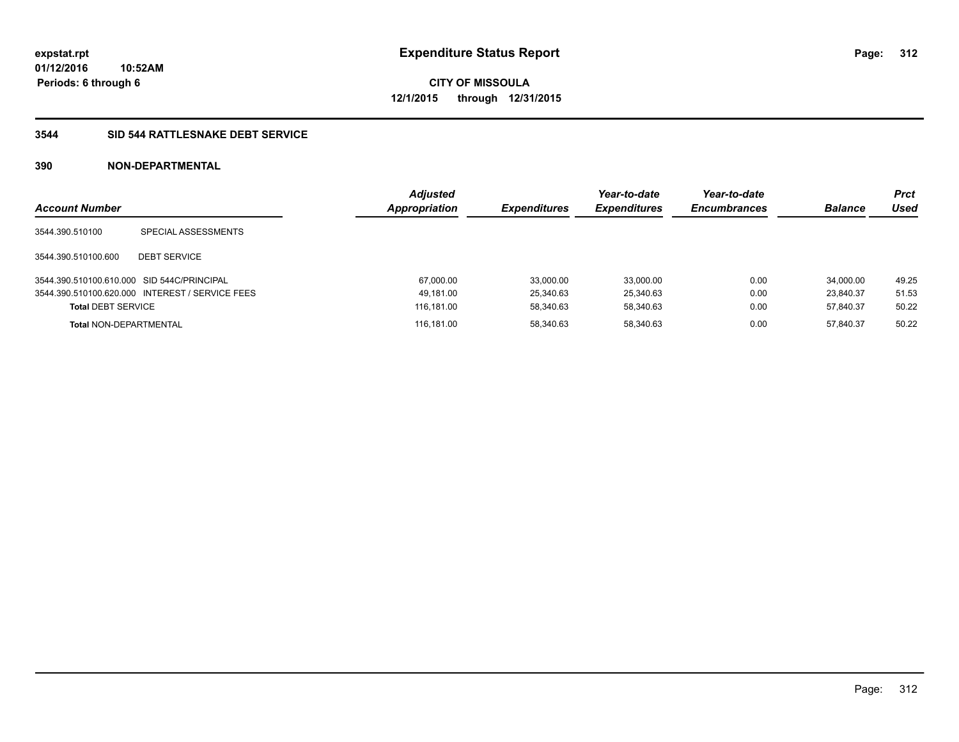# **3544 SID 544 RATTLESNAKE DEBT SERVICE**

| <b>Account Number</b>                      |                                                 | <b>Adjusted</b><br><b>Appropriation</b> | <b>Expenditures</b> | Year-to-date<br><b>Expenditures</b> | Year-to-date<br><b>Encumbrances</b> | <b>Balance</b> | <b>Prct</b><br>Used |
|--------------------------------------------|-------------------------------------------------|-----------------------------------------|---------------------|-------------------------------------|-------------------------------------|----------------|---------------------|
| 3544.390.510100                            | SPECIAL ASSESSMENTS                             |                                         |                     |                                     |                                     |                |                     |
| 3544.390.510100.600                        | <b>DEBT SERVICE</b>                             |                                         |                     |                                     |                                     |                |                     |
| 3544.390.510100.610.000 SID 544C/PRINCIPAL |                                                 | 67,000.00                               | 33,000.00           | 33.000.00                           | 0.00                                | 34.000.00      | 49.25               |
|                                            | 3544.390.510100.620.000 INTEREST / SERVICE FEES | 49,181.00                               | 25,340.63           | 25,340.63                           | 0.00                                | 23.840.37      | 51.53               |
| <b>Total DEBT SERVICE</b>                  |                                                 | 116.181.00                              | 58.340.63           | 58.340.63                           | 0.00                                | 57.840.37      | 50.22               |
| <b>Total NON-DEPARTMENTAL</b>              |                                                 | 116.181.00                              | 58.340.63           | 58.340.63                           | 0.00                                | 57.840.37      | 50.22               |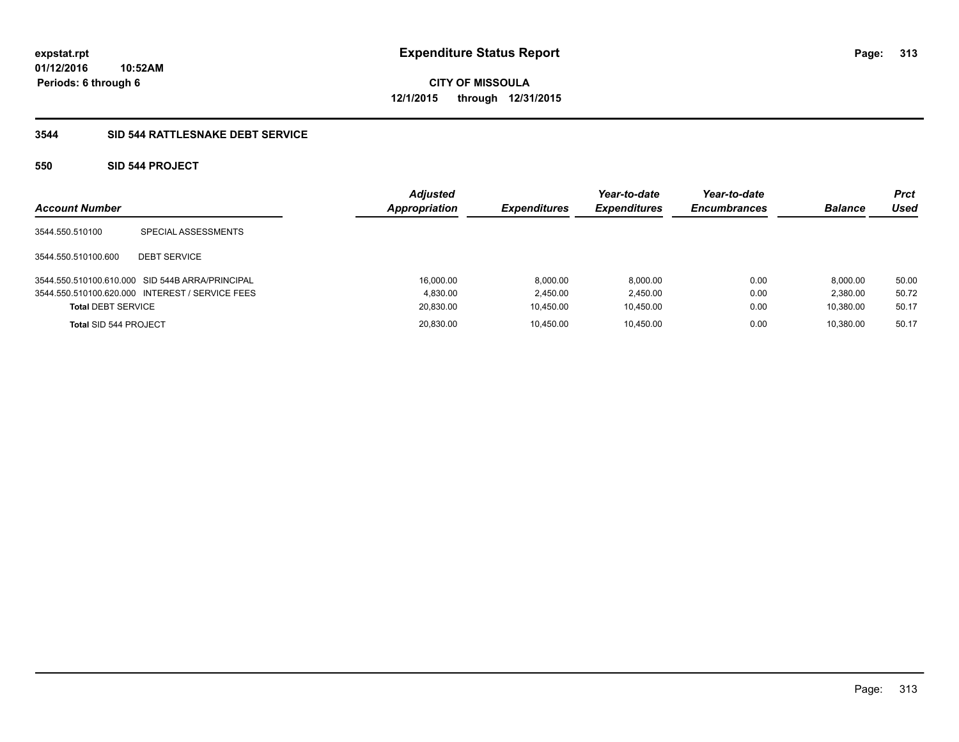**01/12/2016 10:52AM Periods: 6 through 6**

**CITY OF MISSOULA 12/1/2015 through 12/31/2015**

# **3544 SID 544 RATTLESNAKE DEBT SERVICE**

# **550 SID 544 PROJECT**

| <b>Account Number</b>     |                                                 | <b>Adjusted</b><br><b>Appropriation</b> | <b>Expenditures</b> | Year-to-date<br><b>Expenditures</b> | Year-to-date<br><b>Encumbrances</b> | <b>Balance</b> | <b>Prct</b><br>Used |
|---------------------------|-------------------------------------------------|-----------------------------------------|---------------------|-------------------------------------|-------------------------------------|----------------|---------------------|
| 3544.550.510100           | SPECIAL ASSESSMENTS                             |                                         |                     |                                     |                                     |                |                     |
| 3544.550.510100.600       | <b>DEBT SERVICE</b>                             |                                         |                     |                                     |                                     |                |                     |
|                           | 3544.550.510100.610.000 SID 544B ARRA/PRINCIPAL | 16,000.00                               | 8,000.00            | 8.000.00                            | 0.00                                | 8,000.00       | 50.00               |
|                           | 3544.550.510100.620.000 INTEREST / SERVICE FEES | 4.830.00                                | 2.450.00            | 2,450.00                            | 0.00                                | 2,380.00       | 50.72               |
| <b>Total DEBT SERVICE</b> |                                                 | 20,830.00                               | 10.450.00           | 10.450.00                           | 0.00                                | 10.380.00      | 50.17               |
| Total SID 544 PROJECT     |                                                 | 20,830.00                               | 10.450.00           | 10.450.00                           | 0.00                                | 10.380.00      | 50.17               |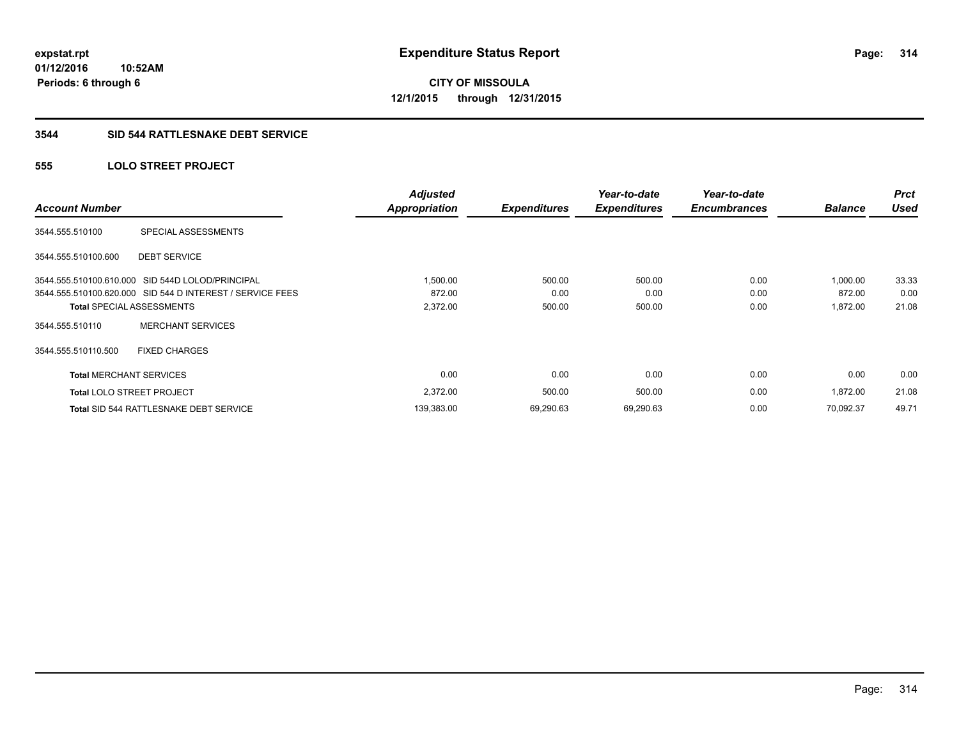**10:52AM Periods: 6 through 6**

**CITY OF MISSOULA 12/1/2015 through 12/31/2015**

# **3544 SID 544 RATTLESNAKE DEBT SERVICE**

# **555 LOLO STREET PROJECT**

| <b>Account Number</b>            |                                                           | <b>Adjusted</b><br><b>Appropriation</b> | <b>Expenditures</b> | Year-to-date<br><b>Expenditures</b> | Year-to-date<br><b>Encumbrances</b> | <b>Balance</b> | <b>Prct</b><br><b>Used</b> |
|----------------------------------|-----------------------------------------------------------|-----------------------------------------|---------------------|-------------------------------------|-------------------------------------|----------------|----------------------------|
| 3544.555.510100                  | SPECIAL ASSESSMENTS                                       |                                         |                     |                                     |                                     |                |                            |
| 3544.555.510100.600              | <b>DEBT SERVICE</b>                                       |                                         |                     |                                     |                                     |                |                            |
|                                  | 3544.555.510100.610.000 SID 544D LOLOD/PRINCIPAL          | 1,500.00                                | 500.00              | 500.00                              | 0.00                                | 1,000.00       | 33.33                      |
|                                  | 3544.555.510100.620.000 SID 544 D INTEREST / SERVICE FEES | 872.00                                  | 0.00                | 0.00                                | 0.00                                | 872.00         | 0.00                       |
|                                  | <b>Total SPECIAL ASSESSMENTS</b>                          | 2,372.00                                | 500.00              | 500.00                              | 0.00                                | 1,872.00       | 21.08                      |
| 3544.555.510110                  | <b>MERCHANT SERVICES</b>                                  |                                         |                     |                                     |                                     |                |                            |
| 3544.555.510110.500              | <b>FIXED CHARGES</b>                                      |                                         |                     |                                     |                                     |                |                            |
| <b>Total MERCHANT SERVICES</b>   |                                                           | 0.00                                    | 0.00                | 0.00                                | 0.00                                | 0.00           | 0.00                       |
| <b>Total LOLO STREET PROJECT</b> |                                                           | 2,372.00                                | 500.00              | 500.00                              | 0.00                                | 1,872.00       | 21.08                      |
|                                  | <b>Total SID 544 RATTLESNAKE DEBT SERVICE</b>             | 139,383.00                              | 69,290.63           | 69,290.63                           | 0.00                                | 70,092.37      | 49.71                      |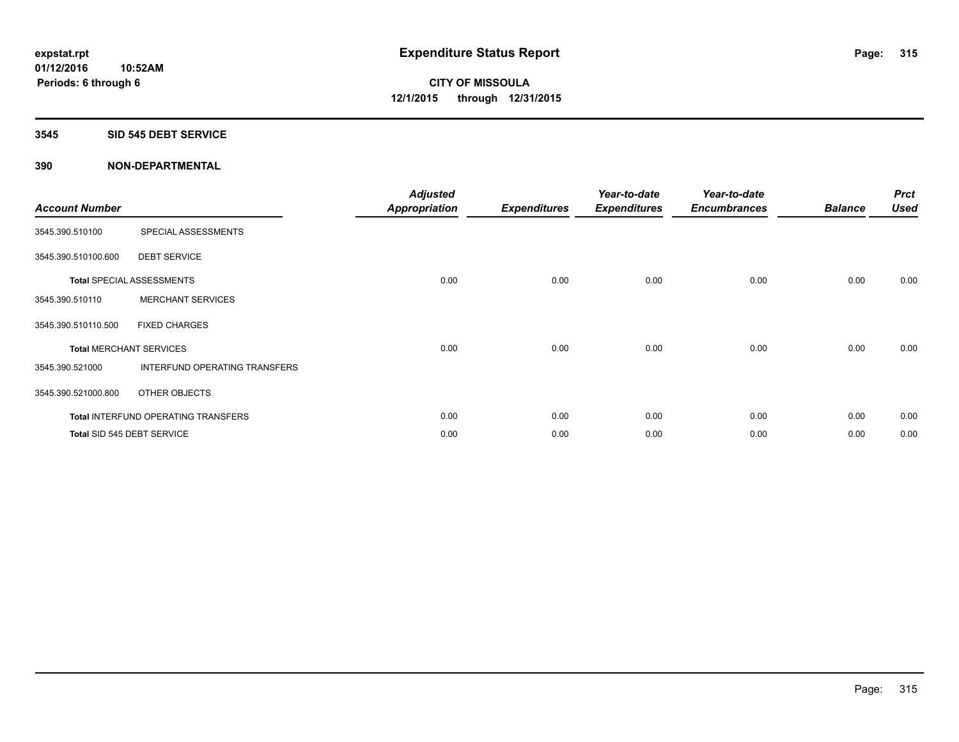## **3545 SID 545 DEBT SERVICE**

| <b>Account Number</b> |                                     | <b>Adjusted</b><br>Appropriation | <b>Expenditures</b> | Year-to-date<br><b>Expenditures</b> | Year-to-date<br><b>Encumbrances</b> | <b>Balance</b> | <b>Prct</b><br><b>Used</b> |
|-----------------------|-------------------------------------|----------------------------------|---------------------|-------------------------------------|-------------------------------------|----------------|----------------------------|
| 3545.390.510100       | SPECIAL ASSESSMENTS                 |                                  |                     |                                     |                                     |                |                            |
| 3545.390.510100.600   | <b>DEBT SERVICE</b>                 |                                  |                     |                                     |                                     |                |                            |
|                       | <b>Total SPECIAL ASSESSMENTS</b>    | 0.00                             | 0.00                | 0.00                                | 0.00                                | 0.00           | 0.00                       |
| 3545.390.510110       | <b>MERCHANT SERVICES</b>            |                                  |                     |                                     |                                     |                |                            |
| 3545.390.510110.500   | <b>FIXED CHARGES</b>                |                                  |                     |                                     |                                     |                |                            |
|                       | <b>Total MERCHANT SERVICES</b>      | 0.00                             | 0.00                | 0.00                                | 0.00                                | 0.00           | 0.00                       |
| 3545.390.521000       | INTERFUND OPERATING TRANSFERS       |                                  |                     |                                     |                                     |                |                            |
| 3545.390.521000.800   | OTHER OBJECTS                       |                                  |                     |                                     |                                     |                |                            |
|                       | Total INTERFUND OPERATING TRANSFERS | 0.00                             | 0.00                | 0.00                                | 0.00                                | 0.00           | 0.00                       |
|                       | Total SID 545 DEBT SERVICE          | 0.00                             | 0.00                | 0.00                                | 0.00                                | 0.00           | 0.00                       |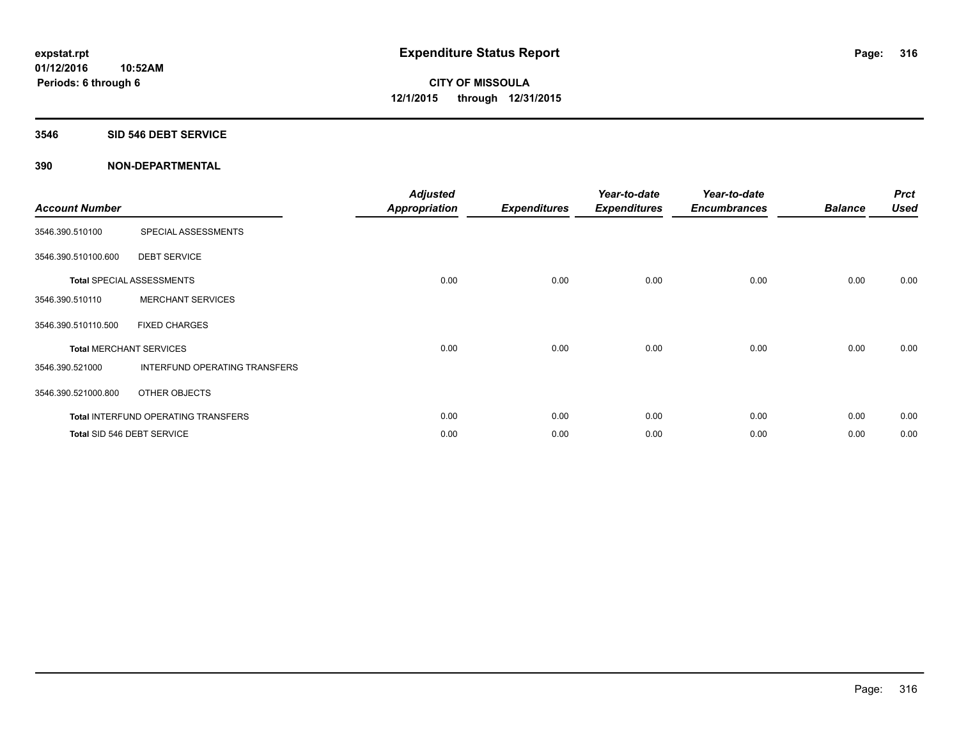# **3546 SID 546 DEBT SERVICE**

| <b>Account Number</b> |                                      | <b>Adjusted</b><br><b>Appropriation</b> | <b>Expenditures</b> | Year-to-date<br><b>Expenditures</b> | Year-to-date<br><b>Encumbrances</b> | <b>Balance</b> | <b>Prct</b><br><b>Used</b> |
|-----------------------|--------------------------------------|-----------------------------------------|---------------------|-------------------------------------|-------------------------------------|----------------|----------------------------|
| 3546.390.510100       | SPECIAL ASSESSMENTS                  |                                         |                     |                                     |                                     |                |                            |
| 3546.390.510100.600   | <b>DEBT SERVICE</b>                  |                                         |                     |                                     |                                     |                |                            |
|                       | <b>Total SPECIAL ASSESSMENTS</b>     | 0.00                                    | 0.00                | 0.00                                | 0.00                                | 0.00           | 0.00                       |
| 3546.390.510110       | <b>MERCHANT SERVICES</b>             |                                         |                     |                                     |                                     |                |                            |
| 3546.390.510110.500   | <b>FIXED CHARGES</b>                 |                                         |                     |                                     |                                     |                |                            |
|                       | <b>Total MERCHANT SERVICES</b>       | 0.00                                    | 0.00                | 0.00                                | 0.00                                | 0.00           | 0.00                       |
| 3546.390.521000       | <b>INTERFUND OPERATING TRANSFERS</b> |                                         |                     |                                     |                                     |                |                            |
| 3546.390.521000.800   | OTHER OBJECTS                        |                                         |                     |                                     |                                     |                |                            |
|                       | Total INTERFUND OPERATING TRANSFERS  | 0.00                                    | 0.00                | 0.00                                | 0.00                                | 0.00           | 0.00                       |
|                       | Total SID 546 DEBT SERVICE           | 0.00                                    | 0.00                | 0.00                                | 0.00                                | 0.00           | 0.00                       |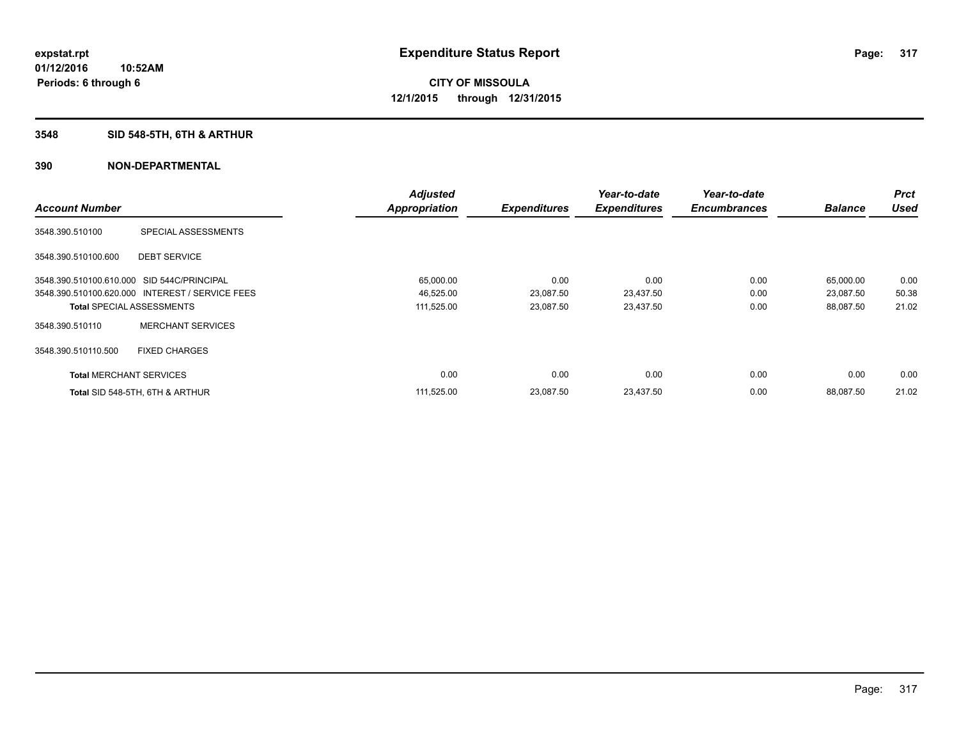# **3548 SID 548-5TH, 6TH & ARTHUR**

|                                            |                                                 | <b>Adjusted</b>      |                     | Year-to-date        | Year-to-date        |                | Prct        |
|--------------------------------------------|-------------------------------------------------|----------------------|---------------------|---------------------|---------------------|----------------|-------------|
| <b>Account Number</b>                      |                                                 | <b>Appropriation</b> | <b>Expenditures</b> | <b>Expenditures</b> | <b>Encumbrances</b> | <b>Balance</b> | <b>Used</b> |
| 3548.390.510100                            | SPECIAL ASSESSMENTS                             |                      |                     |                     |                     |                |             |
| 3548.390.510100.600                        | <b>DEBT SERVICE</b>                             |                      |                     |                     |                     |                |             |
| 3548.390.510100.610.000 SID 544C/PRINCIPAL |                                                 | 65,000.00            | 0.00                | 0.00                | 0.00                | 65,000.00      | 0.00        |
|                                            | 3548.390.510100.620.000 INTEREST / SERVICE FEES | 46,525.00            | 23,087.50           | 23,437.50           | 0.00                | 23,087.50      | 50.38       |
| <b>Total SPECIAL ASSESSMENTS</b>           |                                                 | 111,525.00           | 23,087.50           | 23,437.50           | 0.00                | 88,087.50      | 21.02       |
| 3548.390.510110                            | <b>MERCHANT SERVICES</b>                        |                      |                     |                     |                     |                |             |
| 3548.390.510110.500                        | <b>FIXED CHARGES</b>                            |                      |                     |                     |                     |                |             |
| <b>Total MERCHANT SERVICES</b>             |                                                 | 0.00                 | 0.00                | 0.00                | 0.00                | 0.00           | 0.00        |
|                                            | Total SID 548-5TH, 6TH & ARTHUR                 | 111,525.00           | 23,087.50           | 23,437.50           | 0.00                | 88,087.50      | 21.02       |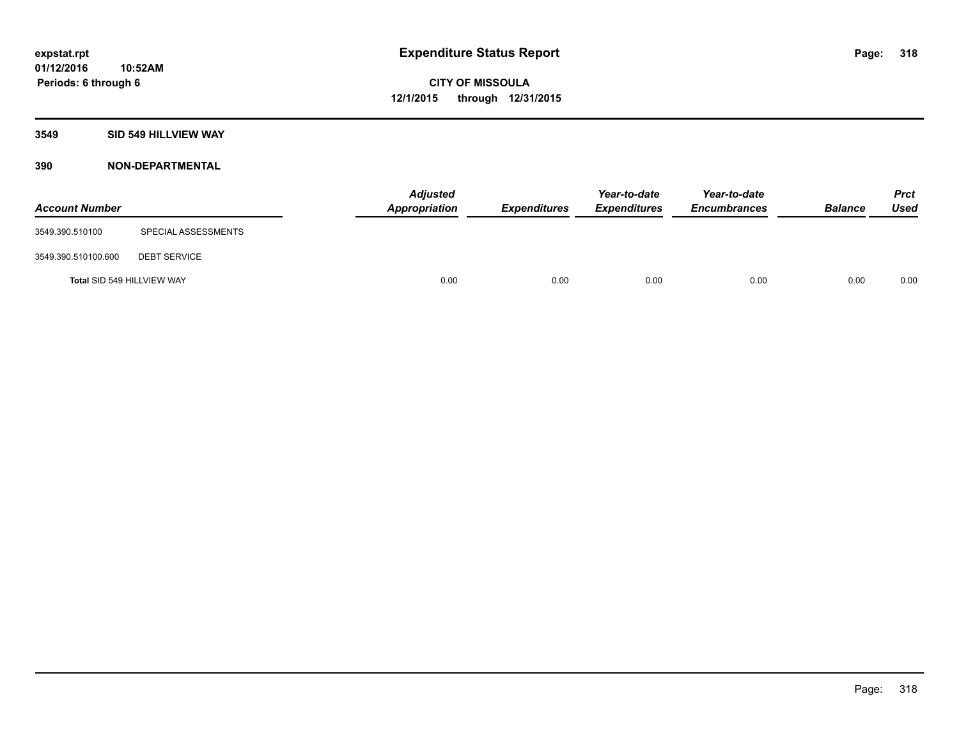## **3549 SID 549 HILLVIEW WAY**

| <b>Account Number</b>      |                     | <b>Adjusted</b><br>Appropriation | <b>Expenditures</b> | Year-to-date<br><b>Expenditures</b> | Year-to-date<br><b>Encumbrances</b> | <b>Balance</b> | <b>Prct</b><br>Used |
|----------------------------|---------------------|----------------------------------|---------------------|-------------------------------------|-------------------------------------|----------------|---------------------|
| 3549.390.510100            | SPECIAL ASSESSMENTS |                                  |                     |                                     |                                     |                |                     |
| 3549.390.510100.600        | <b>DEBT SERVICE</b> |                                  |                     |                                     |                                     |                |                     |
| Total SID 549 HILLVIEW WAY |                     | 0.00                             | 0.00                | 0.00                                | 0.00                                | 0.00           | 0.00                |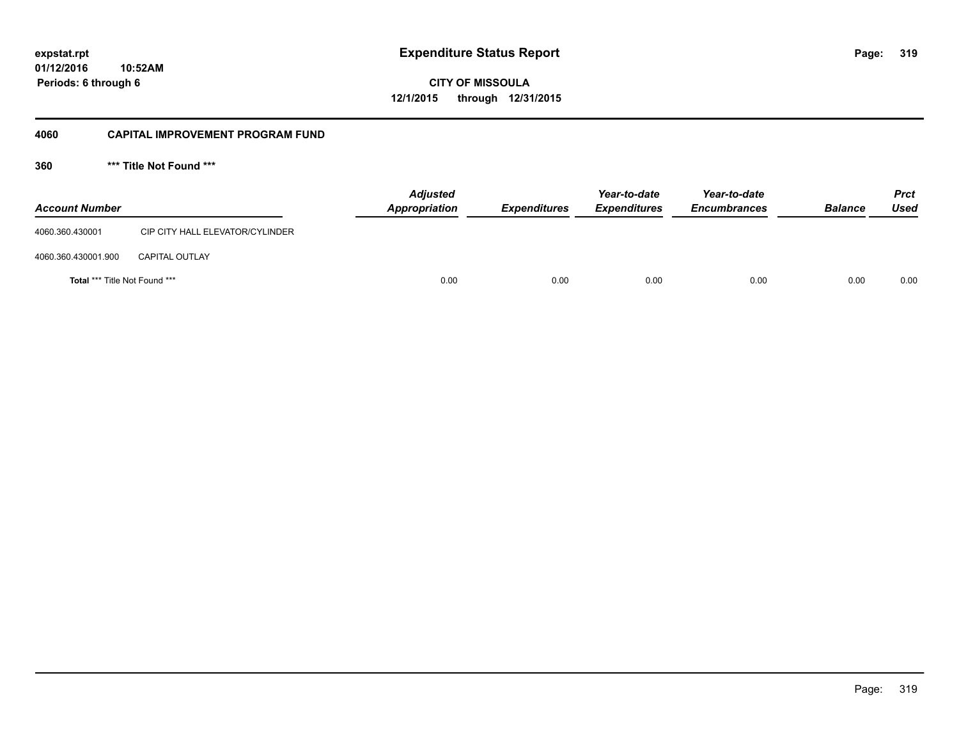**01/12/2016 10:52AM Periods: 6 through 6**

**CITY OF MISSOULA 12/1/2015 through 12/31/2015**

#### **4060 CAPITAL IMPROVEMENT PROGRAM FUND**

**360 \*\*\* Title Not Found \*\*\***

| <b>Account Number</b>                |                                 | Adjusted<br>Appropriation | <b>Expenditures</b> | Year-to-date<br><b>Expenditures</b> | Year-to-date<br><b>Encumbrances</b> | <b>Balance</b> | Prct<br><b>Used</b> |
|--------------------------------------|---------------------------------|---------------------------|---------------------|-------------------------------------|-------------------------------------|----------------|---------------------|
| 4060.360.430001                      | CIP CITY HALL ELEVATOR/CYLINDER |                           |                     |                                     |                                     |                |                     |
| 4060.360.430001.900                  | <b>CAPITAL OUTLAY</b>           |                           |                     |                                     |                                     |                |                     |
| <b>Total *** Title Not Found ***</b> |                                 | 0.00                      | 0.00                | 0.00                                | 0.00                                | 0.00           | 0.00                |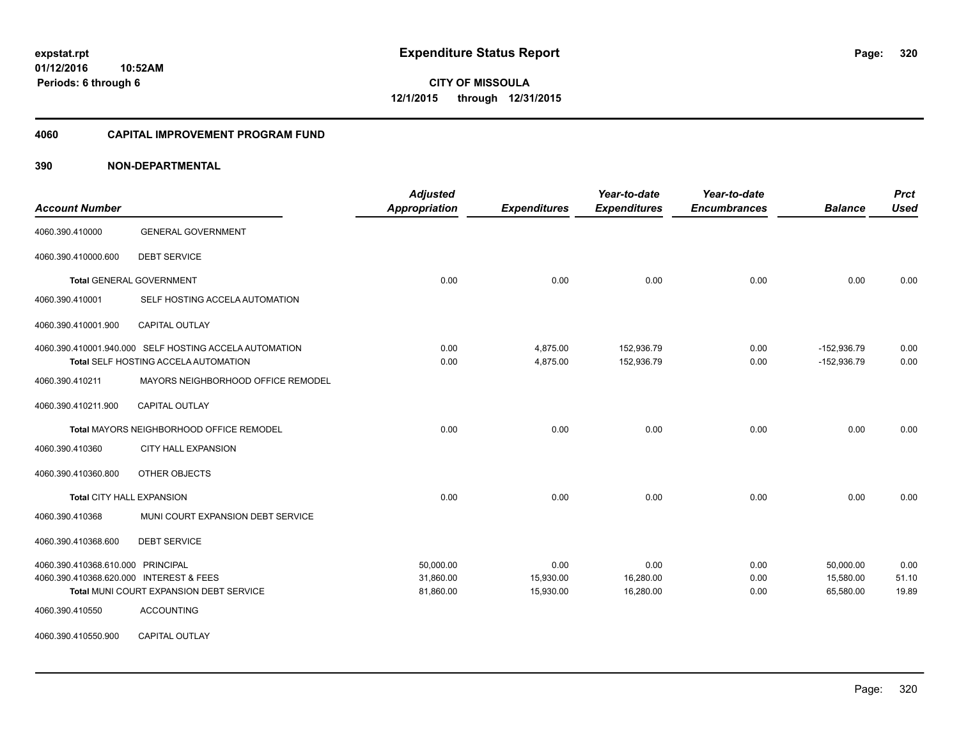## **4060 CAPITAL IMPROVEMENT PROGRAM FUND**

| <b>Account Number</b>                   |                                                                                                | <b>Adjusted</b><br><b>Appropriation</b> | <b>Expenditures</b>  | Year-to-date<br><b>Expenditures</b> | Year-to-date<br><b>Encumbrances</b> | <b>Balance</b>                 | <b>Prct</b><br><b>Used</b> |
|-----------------------------------------|------------------------------------------------------------------------------------------------|-----------------------------------------|----------------------|-------------------------------------|-------------------------------------|--------------------------------|----------------------------|
| 4060.390.410000                         | <b>GENERAL GOVERNMENT</b>                                                                      |                                         |                      |                                     |                                     |                                |                            |
| 4060.390.410000.600                     | <b>DEBT SERVICE</b>                                                                            |                                         |                      |                                     |                                     |                                |                            |
|                                         | <b>Total GENERAL GOVERNMENT</b>                                                                | 0.00                                    | 0.00                 | 0.00                                | 0.00                                | 0.00                           | 0.00                       |
| 4060.390.410001                         | SELF HOSTING ACCELA AUTOMATION                                                                 |                                         |                      |                                     |                                     |                                |                            |
| 4060.390.410001.900                     | CAPITAL OUTLAY                                                                                 |                                         |                      |                                     |                                     |                                |                            |
|                                         | 4060.390.410001.940.000 SELF HOSTING ACCELA AUTOMATION<br>Total SELF HOSTING ACCELA AUTOMATION | 0.00<br>0.00                            | 4,875.00<br>4,875.00 | 152,936.79<br>152,936.79            | 0.00<br>0.00                        | $-152,936.79$<br>$-152,936.79$ | 0.00<br>0.00               |
| 4060.390.410211                         | MAYORS NEIGHBORHOOD OFFICE REMODEL                                                             |                                         |                      |                                     |                                     |                                |                            |
| 4060.390.410211.900                     | <b>CAPITAL OUTLAY</b>                                                                          |                                         |                      |                                     |                                     |                                |                            |
|                                         | Total MAYORS NEIGHBORHOOD OFFICE REMODEL                                                       | 0.00                                    | 0.00                 | 0.00                                | 0.00                                | 0.00                           | 0.00                       |
| 4060.390.410360                         | <b>CITY HALL EXPANSION</b>                                                                     |                                         |                      |                                     |                                     |                                |                            |
| 4060.390.410360.800                     | OTHER OBJECTS                                                                                  |                                         |                      |                                     |                                     |                                |                            |
|                                         | <b>Total CITY HALL EXPANSION</b>                                                               | 0.00                                    | 0.00                 | 0.00                                | 0.00                                | 0.00                           | 0.00                       |
| 4060.390.410368                         | MUNI COURT EXPANSION DEBT SERVICE                                                              |                                         |                      |                                     |                                     |                                |                            |
| 4060.390.410368.600                     | <b>DEBT SERVICE</b>                                                                            |                                         |                      |                                     |                                     |                                |                            |
| 4060.390.410368.610.000 PRINCIPAL       |                                                                                                | 50.000.00                               | 0.00                 | 0.00                                | 0.00                                | 50.000.00                      | 0.00                       |
| 4060.390.410368.620.000 INTEREST & FEES |                                                                                                | 31,860.00                               | 15,930.00            | 16,280.00                           | 0.00                                | 15,580.00                      | 51.10                      |
|                                         | Total MUNI COURT EXPANSION DEBT SERVICE                                                        | 81,860.00                               | 15,930.00            | 16,280.00                           | 0.00                                | 65,580.00                      | 19.89                      |
| 4060.390.410550                         | <b>ACCOUNTING</b>                                                                              |                                         |                      |                                     |                                     |                                |                            |
| 4060.390.410550.900                     | CAPITAL OUTLAY                                                                                 |                                         |                      |                                     |                                     |                                |                            |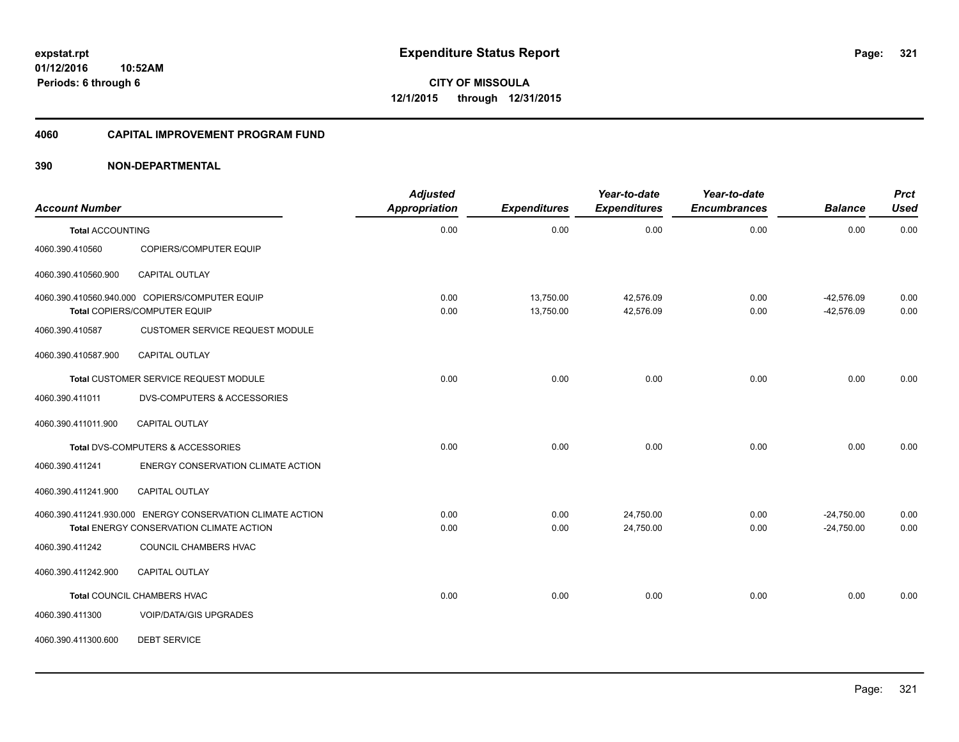## **4060 CAPITAL IMPROVEMENT PROGRAM FUND**

| <b>Account Number</b>   |                                                            | <b>Adjusted</b><br>Appropriation | <b>Expenditures</b> | Year-to-date<br><b>Expenditures</b> | Year-to-date<br><b>Encumbrances</b> | <b>Balance</b> | <b>Prct</b><br><b>Used</b> |
|-------------------------|------------------------------------------------------------|----------------------------------|---------------------|-------------------------------------|-------------------------------------|----------------|----------------------------|
| <b>Total ACCOUNTING</b> |                                                            | 0.00                             | 0.00                | 0.00                                | 0.00                                | 0.00           | 0.00                       |
| 4060.390.410560         | <b>COPIERS/COMPUTER EQUIP</b>                              |                                  |                     |                                     |                                     |                |                            |
| 4060.390.410560.900     | <b>CAPITAL OUTLAY</b>                                      |                                  |                     |                                     |                                     |                |                            |
|                         | 4060.390.410560.940.000 COPIERS/COMPUTER EQUIP             | 0.00                             | 13,750.00           | 42,576.09                           | 0.00                                | $-42,576.09$   | 0.00                       |
|                         | Total COPIERS/COMPUTER EQUIP                               | 0.00                             | 13,750.00           | 42,576.09                           | 0.00                                | $-42,576.09$   | 0.00                       |
| 4060.390.410587         | <b>CUSTOMER SERVICE REQUEST MODULE</b>                     |                                  |                     |                                     |                                     |                |                            |
| 4060.390.410587.900     | CAPITAL OUTLAY                                             |                                  |                     |                                     |                                     |                |                            |
|                         | Total CUSTOMER SERVICE REQUEST MODULE                      | 0.00                             | 0.00                | 0.00                                | 0.00                                | 0.00           | 0.00                       |
| 4060.390.411011         | <b>DVS-COMPUTERS &amp; ACCESSORIES</b>                     |                                  |                     |                                     |                                     |                |                            |
| 4060.390.411011.900     | <b>CAPITAL OUTLAY</b>                                      |                                  |                     |                                     |                                     |                |                            |
|                         | Total DVS-COMPUTERS & ACCESSORIES                          | 0.00                             | 0.00                | 0.00                                | 0.00                                | 0.00           | 0.00                       |
| 4060.390.411241         | ENERGY CONSERVATION CLIMATE ACTION                         |                                  |                     |                                     |                                     |                |                            |
| 4060.390.411241.900     | CAPITAL OUTLAY                                             |                                  |                     |                                     |                                     |                |                            |
|                         | 4060.390.411241.930.000 ENERGY CONSERVATION CLIMATE ACTION | 0.00                             | 0.00                | 24,750.00                           | 0.00                                | $-24,750.00$   | 0.00                       |
|                         | Total ENERGY CONSERVATION CLIMATE ACTION                   | 0.00                             | 0.00                | 24,750.00                           | 0.00                                | $-24,750.00$   | 0.00                       |
| 4060.390.411242         | COUNCIL CHAMBERS HVAC                                      |                                  |                     |                                     |                                     |                |                            |
| 4060.390.411242.900     | CAPITAL OUTLAY                                             |                                  |                     |                                     |                                     |                |                            |
|                         | Total COUNCIL CHAMBERS HVAC                                | 0.00                             | 0.00                | 0.00                                | 0.00                                | 0.00           | 0.00                       |
| 4060.390.411300         | <b>VOIP/DATA/GIS UPGRADES</b>                              |                                  |                     |                                     |                                     |                |                            |
| 4060.390.411300.600     | <b>DEBT SERVICE</b>                                        |                                  |                     |                                     |                                     |                |                            |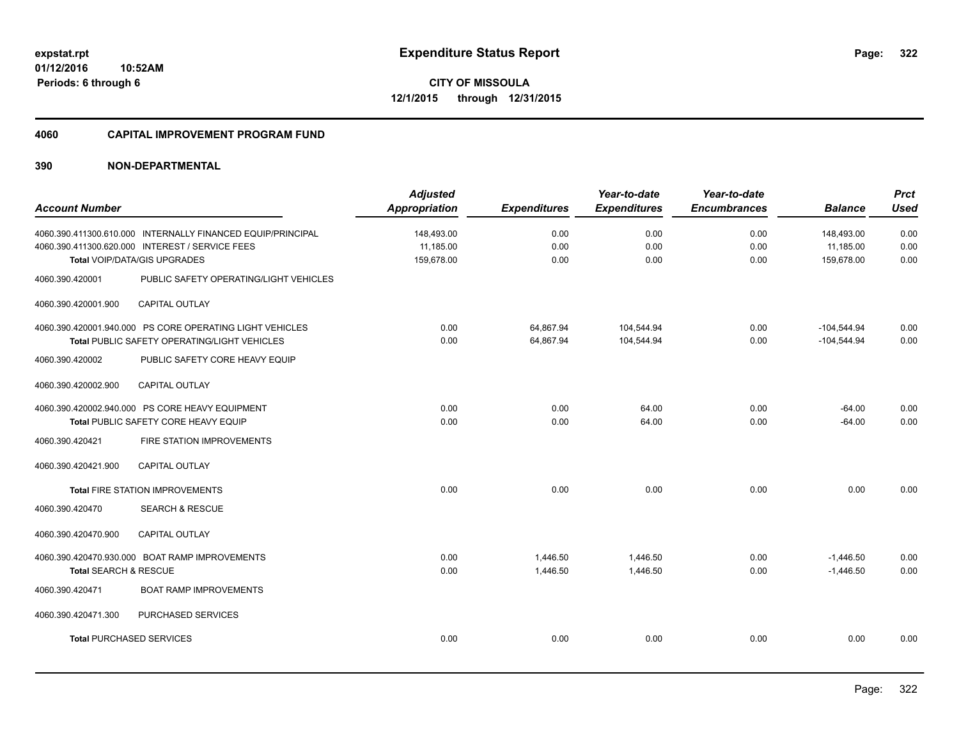#### **4060 CAPITAL IMPROVEMENT PROGRAM FUND**

|                                  |                                                             | <b>Adjusted</b>      |                     | Year-to-date        | Year-to-date        |                | <b>Prct</b> |
|----------------------------------|-------------------------------------------------------------|----------------------|---------------------|---------------------|---------------------|----------------|-------------|
| <b>Account Number</b>            |                                                             | <b>Appropriation</b> | <b>Expenditures</b> | <b>Expenditures</b> | <b>Encumbrances</b> | <b>Balance</b> | <b>Used</b> |
|                                  | 4060.390.411300.610.000 INTERNALLY FINANCED EQUIP/PRINCIPAL | 148,493.00           | 0.00                | 0.00                | 0.00                | 148,493.00     | 0.00        |
|                                  | 4060.390.411300.620.000 INTEREST / SERVICE FEES             | 11,185.00            | 0.00                | 0.00                | 0.00                | 11,185.00      | 0.00        |
|                                  | Total VOIP/DATA/GIS UPGRADES                                | 159,678.00           | 0.00                | 0.00                | 0.00                | 159.678.00     | 0.00        |
| 4060.390.420001                  | PUBLIC SAFETY OPERATING/LIGHT VEHICLES                      |                      |                     |                     |                     |                |             |
| 4060.390.420001.900              | <b>CAPITAL OUTLAY</b>                                       |                      |                     |                     |                     |                |             |
|                                  | 4060.390.420001.940.000 PS CORE OPERATING LIGHT VEHICLES    | 0.00                 | 64,867.94           | 104,544.94          | 0.00                | $-104,544.94$  | 0.00        |
|                                  | <b>Total PUBLIC SAFETY OPERATING/LIGHT VEHICLES</b>         | 0.00                 | 64,867.94           | 104,544.94          | 0.00                | $-104,544.94$  | 0.00        |
| 4060.390.420002                  | PUBLIC SAFETY CORE HEAVY EQUIP                              |                      |                     |                     |                     |                |             |
| 4060.390.420002.900              | <b>CAPITAL OUTLAY</b>                                       |                      |                     |                     |                     |                |             |
|                                  | 4060.390.420002.940.000 PS CORE HEAVY EQUIPMENT             | 0.00                 | 0.00                | 64.00               | 0.00                | $-64.00$       | 0.00        |
|                                  | <b>Total PUBLIC SAFETY CORE HEAVY EQUIP</b>                 | 0.00                 | 0.00                | 64.00               | 0.00                | $-64.00$       | 0.00        |
| 4060.390.420421                  | FIRE STATION IMPROVEMENTS                                   |                      |                     |                     |                     |                |             |
| 4060.390.420421.900              | <b>CAPITAL OUTLAY</b>                                       |                      |                     |                     |                     |                |             |
|                                  | <b>Total FIRE STATION IMPROVEMENTS</b>                      | 0.00                 | 0.00                | 0.00                | 0.00                | 0.00           | 0.00        |
| 4060.390.420470                  | <b>SEARCH &amp; RESCUE</b>                                  |                      |                     |                     |                     |                |             |
| 4060.390.420470.900              | CAPITAL OUTLAY                                              |                      |                     |                     |                     |                |             |
|                                  | 4060.390.420470.930.000 BOAT RAMP IMPROVEMENTS              | 0.00                 | 1,446.50            | 1,446.50            | 0.00                | $-1,446.50$    | 0.00        |
| <b>Total SEARCH &amp; RESCUE</b> |                                                             | 0.00                 | 1,446.50            | 1.446.50            | 0.00                | $-1.446.50$    | 0.00        |
| 4060.390.420471                  | <b>BOAT RAMP IMPROVEMENTS</b>                               |                      |                     |                     |                     |                |             |
| 4060.390.420471.300              | PURCHASED SERVICES                                          |                      |                     |                     |                     |                |             |
|                                  | <b>Total PURCHASED SERVICES</b>                             | 0.00                 | 0.00                | 0.00                | 0.00                | 0.00           | 0.00        |
|                                  |                                                             |                      |                     |                     |                     |                |             |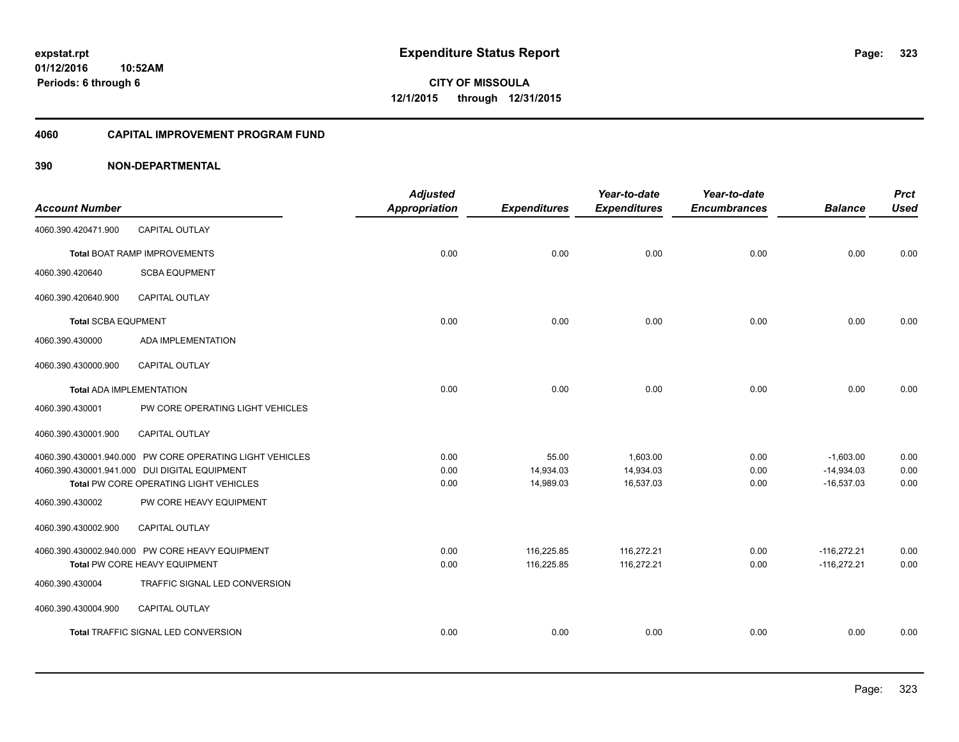## **4060 CAPITAL IMPROVEMENT PROGRAM FUND**

| <b>Account Number</b>           |                                                          | <b>Adjusted</b><br><b>Appropriation</b> | <b>Expenditures</b> | Year-to-date<br><b>Expenditures</b> | Year-to-date<br><b>Encumbrances</b> | <b>Balance</b> | <b>Prct</b><br><b>Used</b> |
|---------------------------------|----------------------------------------------------------|-----------------------------------------|---------------------|-------------------------------------|-------------------------------------|----------------|----------------------------|
| 4060.390.420471.900             | CAPITAL OUTLAY                                           |                                         |                     |                                     |                                     |                |                            |
|                                 | <b>Total BOAT RAMP IMPROVEMENTS</b>                      | 0.00                                    | 0.00                | 0.00                                | 0.00                                | 0.00           | 0.00                       |
| 4060.390.420640                 | <b>SCBA EQUPMENT</b>                                     |                                         |                     |                                     |                                     |                |                            |
| 4060.390.420640.900             | <b>CAPITAL OUTLAY</b>                                    |                                         |                     |                                     |                                     |                |                            |
| <b>Total SCBA EQUPMENT</b>      |                                                          | 0.00                                    | 0.00                | 0.00                                | 0.00                                | 0.00           | 0.00                       |
| 4060.390.430000                 | ADA IMPLEMENTATION                                       |                                         |                     |                                     |                                     |                |                            |
| 4060.390.430000.900             | <b>CAPITAL OUTLAY</b>                                    |                                         |                     |                                     |                                     |                |                            |
| <b>Total ADA IMPLEMENTATION</b> |                                                          | 0.00                                    | 0.00                | 0.00                                | 0.00                                | 0.00           | 0.00                       |
| 4060.390.430001                 | PW CORE OPERATING LIGHT VEHICLES                         |                                         |                     |                                     |                                     |                |                            |
| 4060.390.430001.900             | <b>CAPITAL OUTLAY</b>                                    |                                         |                     |                                     |                                     |                |                            |
|                                 | 4060.390.430001.940.000 PW CORE OPERATING LIGHT VEHICLES | 0.00                                    | 55.00               | 1,603.00                            | 0.00                                | $-1,603.00$    | 0.00                       |
|                                 | 4060.390.430001.941.000 DUI DIGITAL EQUIPMENT            | 0.00                                    | 14,934.03           | 14,934.03                           | 0.00                                | $-14,934.03$   | 0.00                       |
|                                 | Total PW CORE OPERATING LIGHT VEHICLES                   | 0.00                                    | 14,989.03           | 16,537.03                           | 0.00                                | $-16,537.03$   | 0.00                       |
| 4060.390.430002                 | PW CORE HEAVY EQUIPMENT                                  |                                         |                     |                                     |                                     |                |                            |
| 4060.390.430002.900             | <b>CAPITAL OUTLAY</b>                                    |                                         |                     |                                     |                                     |                |                            |
|                                 | 4060.390.430002.940.000 PW CORE HEAVY EQUIPMENT          | 0.00                                    | 116,225.85          | 116,272.21                          | 0.00                                | $-116,272.21$  | 0.00                       |
|                                 | Total PW CORE HEAVY EQUIPMENT                            | 0.00                                    | 116,225.85          | 116,272.21                          | 0.00                                | $-116,272.21$  | 0.00                       |
| 4060.390.430004                 | TRAFFIC SIGNAL LED CONVERSION                            |                                         |                     |                                     |                                     |                |                            |
| 4060.390.430004.900             | CAPITAL OUTLAY                                           |                                         |                     |                                     |                                     |                |                            |
|                                 | Total TRAFFIC SIGNAL LED CONVERSION                      | 0.00                                    | 0.00                | 0.00                                | 0.00                                | 0.00           | 0.00                       |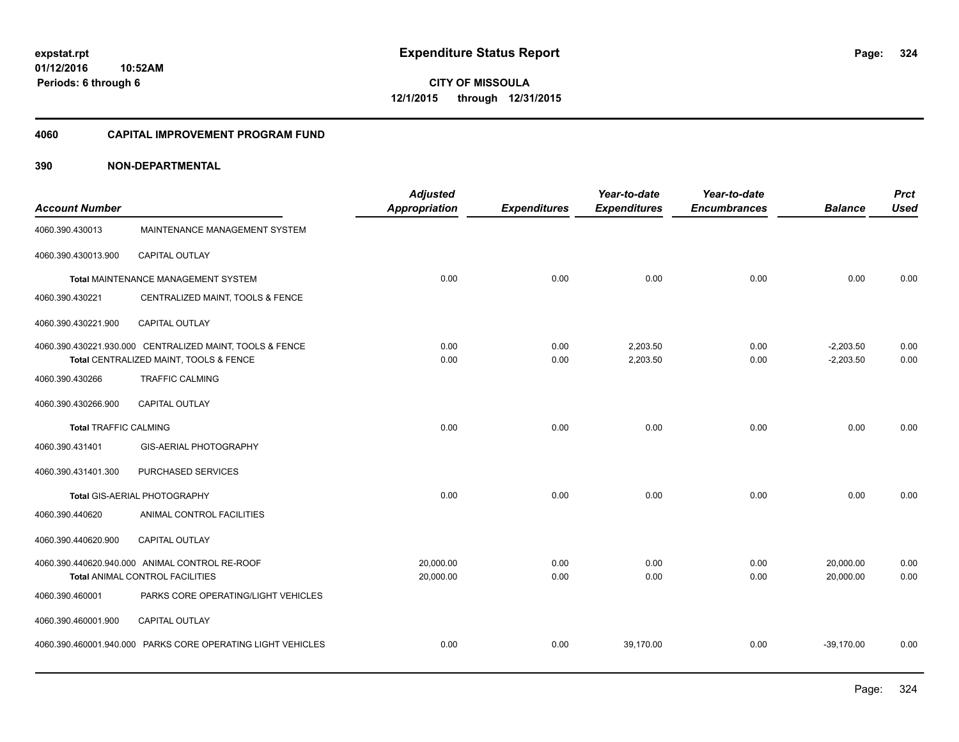## **4060 CAPITAL IMPROVEMENT PROGRAM FUND**

| <b>Account Number</b>        |                                                                                                    | <b>Adjusted</b><br><b>Appropriation</b> | <b>Expenditures</b> | Year-to-date<br><b>Expenditures</b> | Year-to-date<br><b>Encumbrances</b> | <b>Balance</b>             | <b>Prct</b><br><b>Used</b> |
|------------------------------|----------------------------------------------------------------------------------------------------|-----------------------------------------|---------------------|-------------------------------------|-------------------------------------|----------------------------|----------------------------|
| 4060.390.430013              | MAINTENANCE MANAGEMENT SYSTEM                                                                      |                                         |                     |                                     |                                     |                            |                            |
| 4060.390.430013.900          | <b>CAPITAL OUTLAY</b>                                                                              |                                         |                     |                                     |                                     |                            |                            |
|                              | <b>Total MAINTENANCE MANAGEMENT SYSTEM</b>                                                         | 0.00                                    | 0.00                | 0.00                                | 0.00                                | 0.00                       | 0.00                       |
| 4060.390.430221              | CENTRALIZED MAINT, TOOLS & FENCE                                                                   |                                         |                     |                                     |                                     |                            |                            |
| 4060.390.430221.900          | CAPITAL OUTLAY                                                                                     |                                         |                     |                                     |                                     |                            |                            |
|                              | 4060.390.430221.930.000 CENTRALIZED MAINT, TOOLS & FENCE<br>Total CENTRALIZED MAINT, TOOLS & FENCE | 0.00<br>0.00                            | 0.00<br>0.00        | 2,203.50<br>2,203.50                | 0.00<br>0.00                        | $-2,203.50$<br>$-2,203.50$ | 0.00<br>0.00               |
| 4060.390.430266              | <b>TRAFFIC CALMING</b>                                                                             |                                         |                     |                                     |                                     |                            |                            |
| 4060.390.430266.900          | <b>CAPITAL OUTLAY</b>                                                                              |                                         |                     |                                     |                                     |                            |                            |
| <b>Total TRAFFIC CALMING</b> |                                                                                                    | 0.00                                    | 0.00                | 0.00                                | 0.00                                | 0.00                       | 0.00                       |
| 4060.390.431401              | <b>GIS-AERIAL PHOTOGRAPHY</b>                                                                      |                                         |                     |                                     |                                     |                            |                            |
| 4060.390.431401.300          | PURCHASED SERVICES                                                                                 |                                         |                     |                                     |                                     |                            |                            |
|                              | Total GIS-AERIAL PHOTOGRAPHY                                                                       | 0.00                                    | 0.00                | 0.00                                | 0.00                                | 0.00                       | 0.00                       |
| 4060.390.440620              | ANIMAL CONTROL FACILITIES                                                                          |                                         |                     |                                     |                                     |                            |                            |
| 4060.390.440620.900          | <b>CAPITAL OUTLAY</b>                                                                              |                                         |                     |                                     |                                     |                            |                            |
|                              | 4060.390.440620.940.000 ANIMAL CONTROL RE-ROOF<br><b>Total ANIMAL CONTROL FACILITIES</b>           | 20,000.00<br>20,000.00                  | 0.00<br>0.00        | 0.00<br>0.00                        | 0.00<br>0.00                        | 20,000.00<br>20,000.00     | 0.00<br>0.00               |
| 4060.390.460001              | PARKS CORE OPERATING/LIGHT VEHICLES                                                                |                                         |                     |                                     |                                     |                            |                            |
| 4060.390.460001.900          | CAPITAL OUTLAY                                                                                     |                                         |                     |                                     |                                     |                            |                            |
|                              | 4060.390.460001.940.000 PARKS CORE OPERATING LIGHT VEHICLES                                        | 0.00                                    | 0.00                | 39,170.00                           | 0.00                                | $-39,170.00$               | 0.00                       |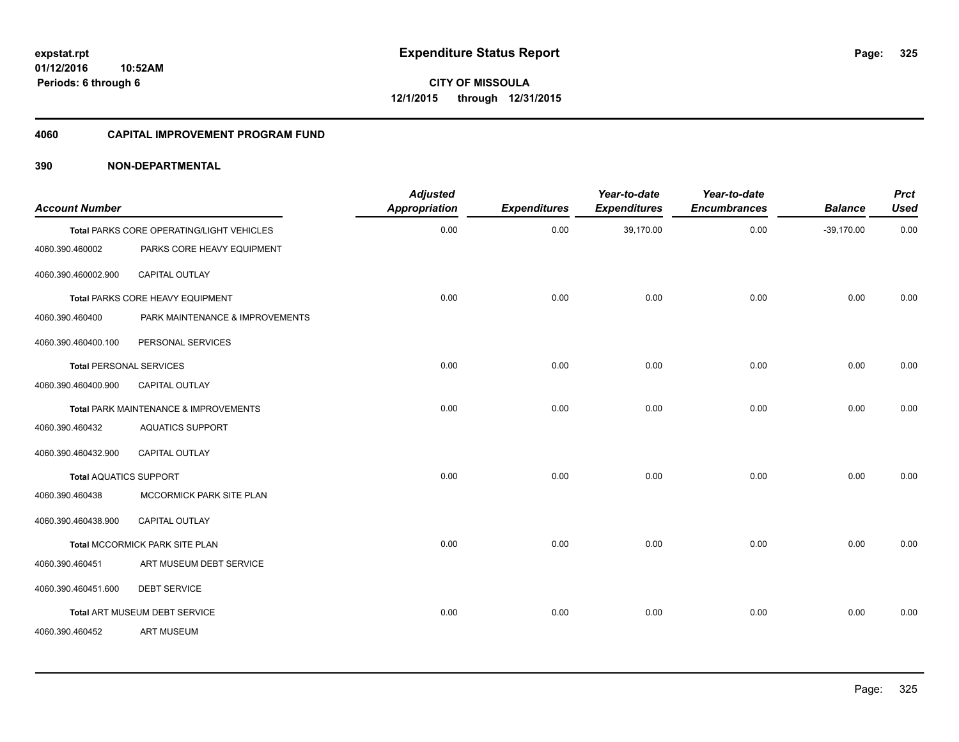## **4060 CAPITAL IMPROVEMENT PROGRAM FUND**

| <b>Account Number</b>         |                                           | <b>Adjusted</b><br><b>Appropriation</b> | <b>Expenditures</b> | Year-to-date<br><b>Expenditures</b> | Year-to-date<br><b>Encumbrances</b> | <b>Balance</b> | <b>Prct</b><br><b>Used</b> |
|-------------------------------|-------------------------------------------|-----------------------------------------|---------------------|-------------------------------------|-------------------------------------|----------------|----------------------------|
|                               | Total PARKS CORE OPERATING/LIGHT VEHICLES | 0.00                                    | 0.00                | 39,170.00                           | 0.00                                | $-39,170.00$   | 0.00                       |
| 4060.390.460002               | PARKS CORE HEAVY EQUIPMENT                |                                         |                     |                                     |                                     |                |                            |
| 4060.390.460002.900           | CAPITAL OUTLAY                            |                                         |                     |                                     |                                     |                |                            |
|                               | Total PARKS CORE HEAVY EQUIPMENT          | 0.00                                    | 0.00                | 0.00                                | 0.00                                | 0.00           | 0.00                       |
| 4060.390.460400               | PARK MAINTENANCE & IMPROVEMENTS           |                                         |                     |                                     |                                     |                |                            |
| 4060.390.460400.100           | PERSONAL SERVICES                         |                                         |                     |                                     |                                     |                |                            |
|                               | <b>Total PERSONAL SERVICES</b>            | 0.00                                    | 0.00                | 0.00                                | 0.00                                | 0.00           | 0.00                       |
| 4060.390.460400.900           | CAPITAL OUTLAY                            |                                         |                     |                                     |                                     |                |                            |
|                               | Total PARK MAINTENANCE & IMPROVEMENTS     | 0.00                                    | 0.00                | 0.00                                | 0.00                                | 0.00           | 0.00                       |
| 4060.390.460432               | <b>AQUATICS SUPPORT</b>                   |                                         |                     |                                     |                                     |                |                            |
| 4060.390.460432.900           | <b>CAPITAL OUTLAY</b>                     |                                         |                     |                                     |                                     |                |                            |
| <b>Total AQUATICS SUPPORT</b> |                                           | 0.00                                    | 0.00                | 0.00                                | 0.00                                | 0.00           | 0.00                       |
| 4060.390.460438               | MCCORMICK PARK SITE PLAN                  |                                         |                     |                                     |                                     |                |                            |
| 4060.390.460438.900           | <b>CAPITAL OUTLAY</b>                     |                                         |                     |                                     |                                     |                |                            |
|                               | Total MCCORMICK PARK SITE PLAN            | 0.00                                    | 0.00                | 0.00                                | 0.00                                | 0.00           | 0.00                       |
| 4060.390.460451               | ART MUSEUM DEBT SERVICE                   |                                         |                     |                                     |                                     |                |                            |
| 4060.390.460451.600           | <b>DEBT SERVICE</b>                       |                                         |                     |                                     |                                     |                |                            |
|                               | Total ART MUSEUM DEBT SERVICE             | 0.00                                    | 0.00                | 0.00                                | 0.00                                | 0.00           | 0.00                       |
| 4060.390.460452               | <b>ART MUSEUM</b>                         |                                         |                     |                                     |                                     |                |                            |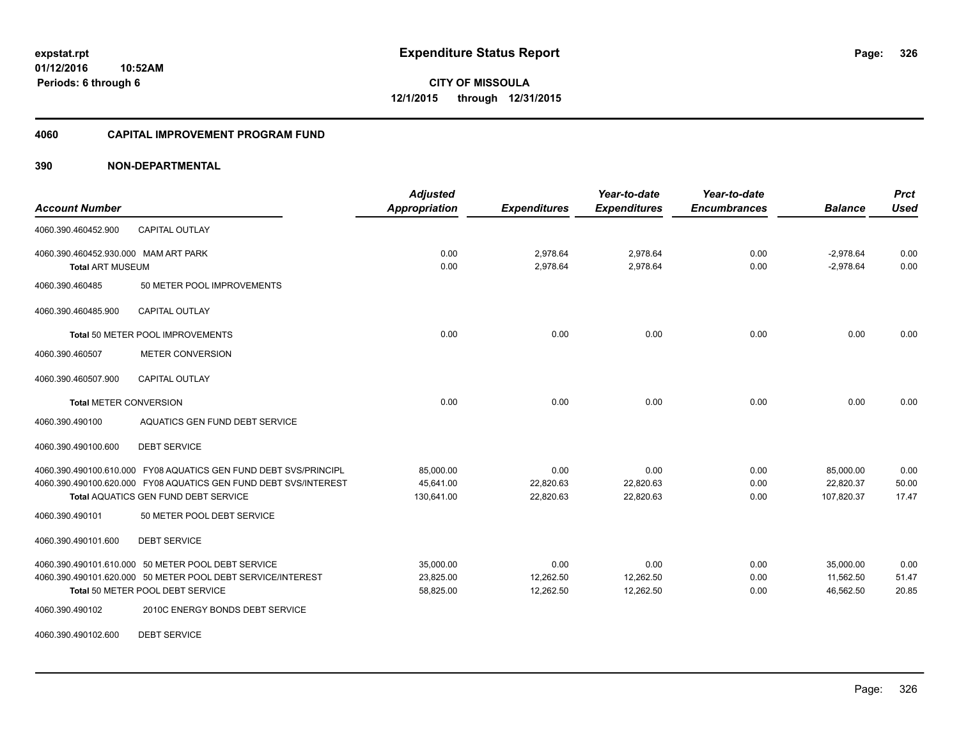### **4060 CAPITAL IMPROVEMENT PROGRAM FUND**

| <b>Account Number</b>                                                                                    | <b>Adjusted</b><br><b>Appropriation</b> | <b>Expenditures</b>    | Year-to-date<br><b>Expenditures</b> | Year-to-date<br><b>Encumbrances</b> | <b>Balance</b>             | <b>Prct</b><br><b>Used</b> |
|----------------------------------------------------------------------------------------------------------|-----------------------------------------|------------------------|-------------------------------------|-------------------------------------|----------------------------|----------------------------|
| <b>CAPITAL OUTLAY</b><br>4060.390.460452.900                                                             |                                         |                        |                                     |                                     |                            |                            |
| 4060.390.460452.930.000 MAM ART PARK<br><b>Total ART MUSEUM</b>                                          | 0.00<br>0.00                            | 2,978.64<br>2,978.64   | 2.978.64<br>2,978.64                | 0.00<br>0.00                        | $-2.978.64$<br>$-2,978.64$ | 0.00<br>0.00               |
| 50 METER POOL IMPROVEMENTS<br>4060.390.460485                                                            |                                         |                        |                                     |                                     |                            |                            |
| 4060.390.460485.900<br><b>CAPITAL OUTLAY</b>                                                             |                                         |                        |                                     |                                     |                            |                            |
| Total 50 METER POOL IMPROVEMENTS                                                                         | 0.00                                    | 0.00                   | 0.00                                | 0.00                                | 0.00                       | 0.00                       |
| 4060.390.460507<br><b>METER CONVERSION</b>                                                               |                                         |                        |                                     |                                     |                            |                            |
| <b>CAPITAL OUTLAY</b><br>4060.390.460507.900                                                             |                                         |                        |                                     |                                     |                            |                            |
| <b>Total METER CONVERSION</b>                                                                            | 0.00                                    | 0.00                   | 0.00                                | 0.00                                | 0.00                       | 0.00                       |
| AQUATICS GEN FUND DEBT SERVICE<br>4060.390.490100                                                        |                                         |                        |                                     |                                     |                            |                            |
| <b>DEBT SERVICE</b><br>4060.390.490100.600                                                               |                                         |                        |                                     |                                     |                            |                            |
| 4060.390.490100.610.000 FY08 AQUATICS GEN FUND DEBT SVS/PRINCIPL                                         | 85,000.00                               | 0.00                   | 0.00                                | 0.00                                | 85,000.00                  | 0.00                       |
| 4060.390.490100.620.000 FY08 AQUATICS GEN FUND DEBT SVS/INTEREST<br>Total AQUATICS GEN FUND DEBT SERVICE | 45,641.00<br>130,641.00                 | 22,820.63<br>22,820.63 | 22,820.63<br>22,820.63              | 0.00<br>0.00                        | 22,820.37<br>107,820.37    | 50.00<br>17.47             |
| 50 METER POOL DEBT SERVICE<br>4060.390.490101                                                            |                                         |                        |                                     |                                     |                            |                            |
| <b>DEBT SERVICE</b><br>4060.390.490101.600                                                               |                                         |                        |                                     |                                     |                            |                            |
| 4060.390.490101.610.000 50 METER POOL DEBT SERVICE                                                       | 35,000.00                               | 0.00                   | 0.00                                | 0.00                                | 35,000.00                  | 0.00                       |
| 4060.390.490101.620.000 50 METER POOL DEBT SERVICE/INTEREST                                              | 23,825.00                               | 12,262.50              | 12,262.50                           | 0.00                                | 11.562.50                  | 51.47                      |
| Total 50 METER POOL DEBT SERVICE                                                                         | 58,825.00                               | 12,262.50              | 12,262.50                           | 0.00                                | 46,562.50                  | 20.85                      |
| 2010C ENERGY BONDS DEBT SERVICE<br>4060.390.490102                                                       |                                         |                        |                                     |                                     |                            |                            |
| <b>DEBT SERVICE</b><br>4060.390.490102.600                                                               |                                         |                        |                                     |                                     |                            |                            |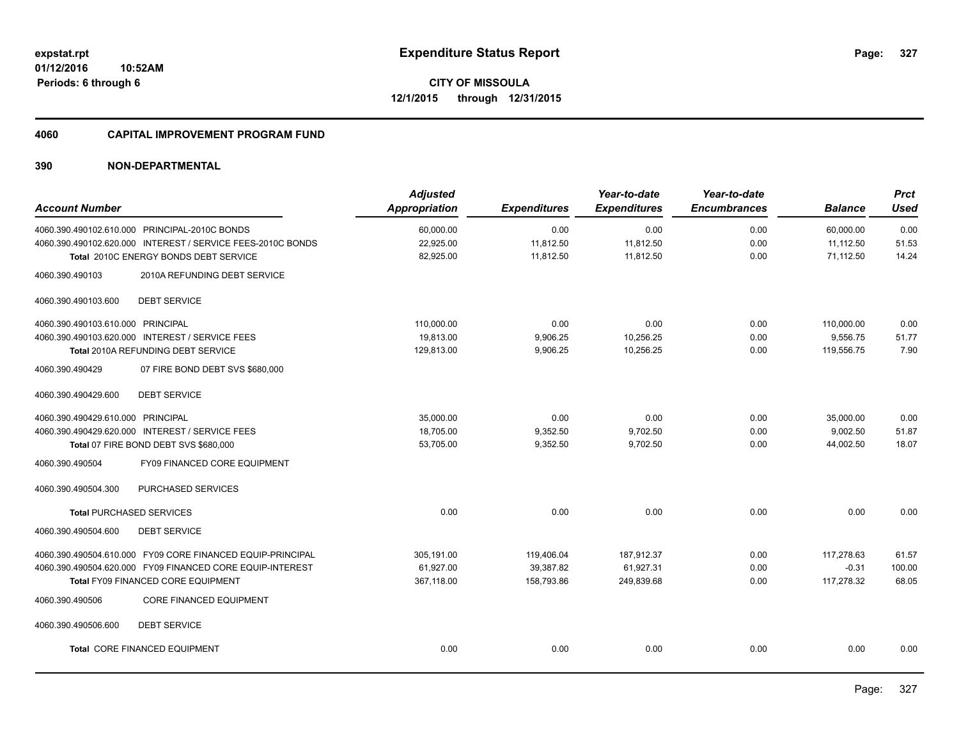### **4060 CAPITAL IMPROVEMENT PROGRAM FUND**

| <b>Account Number</b>                                       | <b>Adjusted</b><br><b>Appropriation</b> | <b>Expenditures</b> | Year-to-date<br><b>Expenditures</b> | Year-to-date<br><b>Encumbrances</b> | <b>Balance</b> | <b>Prct</b><br><b>Used</b> |
|-------------------------------------------------------------|-----------------------------------------|---------------------|-------------------------------------|-------------------------------------|----------------|----------------------------|
|                                                             |                                         |                     |                                     |                                     |                |                            |
| 4060.390.490102.610.000 PRINCIPAL-2010C BONDS               | 60,000.00                               | 0.00                | 0.00                                | 0.00                                | 60,000.00      | 0.00                       |
| 4060.390.490102.620.000 INTEREST / SERVICE FEES-2010C BONDS | 22,925.00                               | 11,812.50           | 11,812.50                           | 0.00                                | 11,112.50      | 51.53                      |
| Total 2010C ENERGY BONDS DEBT SERVICE                       | 82,925.00                               | 11,812.50           | 11,812.50                           | 0.00                                | 71,112.50      | 14.24                      |
| 2010A REFUNDING DEBT SERVICE<br>4060.390.490103             |                                         |                     |                                     |                                     |                |                            |
| <b>DEBT SERVICE</b><br>4060.390.490103.600                  |                                         |                     |                                     |                                     |                |                            |
| 4060.390.490103.610.000 PRINCIPAL                           | 110,000.00                              | 0.00                | 0.00                                | 0.00                                | 110,000.00     | 0.00                       |
| 4060.390.490103.620.000 INTEREST / SERVICE FEES             | 19,813.00                               | 9,906.25            | 10,256.25                           | 0.00                                | 9,556.75       | 51.77                      |
| Total 2010A REFUNDING DEBT SERVICE                          | 129,813.00                              | 9,906.25            | 10,256.25                           | 0.00                                | 119,556.75     | 7.90                       |
| 4060.390.490429<br>07 FIRE BOND DEBT SVS \$680,000          |                                         |                     |                                     |                                     |                |                            |
| 4060.390.490429.600<br><b>DEBT SERVICE</b>                  |                                         |                     |                                     |                                     |                |                            |
| 4060.390.490429.610.000 PRINCIPAL                           | 35,000.00                               | 0.00                | 0.00                                | 0.00                                | 35,000.00      | 0.00                       |
| 4060.390.490429.620.000 INTEREST / SERVICE FEES             | 18,705.00                               | 9,352.50            | 9,702.50                            | 0.00                                | 9,002.50       | 51.87                      |
| Total 07 FIRE BOND DEBT SVS \$680,000                       | 53,705.00                               | 9,352.50            | 9,702.50                            | 0.00                                | 44,002.50      | 18.07                      |
| FY09 FINANCED CORE EQUIPMENT<br>4060.390.490504             |                                         |                     |                                     |                                     |                |                            |
| <b>PURCHASED SERVICES</b><br>4060.390.490504.300            |                                         |                     |                                     |                                     |                |                            |
| <b>Total PURCHASED SERVICES</b>                             | 0.00                                    | 0.00                | 0.00                                | 0.00                                | 0.00           | 0.00                       |
| 4060.390.490504.600<br><b>DEBT SERVICE</b>                  |                                         |                     |                                     |                                     |                |                            |
| 4060.390.490504.610.000 FY09 CORE FINANCED EQUIP-PRINCIPAL  | 305,191.00                              | 119,406.04          | 187,912.37                          | 0.00                                | 117,278.63     | 61.57                      |
| 4060.390.490504.620.000 FY09 FINANCED CORE EQUIP-INTEREST   | 61,927.00                               | 39,387.82           | 61,927.31                           | 0.00                                | $-0.31$        | 100.00                     |
| Total FY09 FINANCED CORE EQUIPMENT                          | 367,118.00                              | 158,793.86          | 249,839.68                          | 0.00                                | 117,278.32     | 68.05                      |
| <b>CORE FINANCED EQUIPMENT</b><br>4060.390.490506           |                                         |                     |                                     |                                     |                |                            |
| <b>DEBT SERVICE</b><br>4060.390.490506.600                  |                                         |                     |                                     |                                     |                |                            |
| Total CORE FINANCED EQUIPMENT                               | 0.00                                    | 0.00                | 0.00                                | 0.00                                | 0.00           | 0.00                       |
|                                                             |                                         |                     |                                     |                                     |                |                            |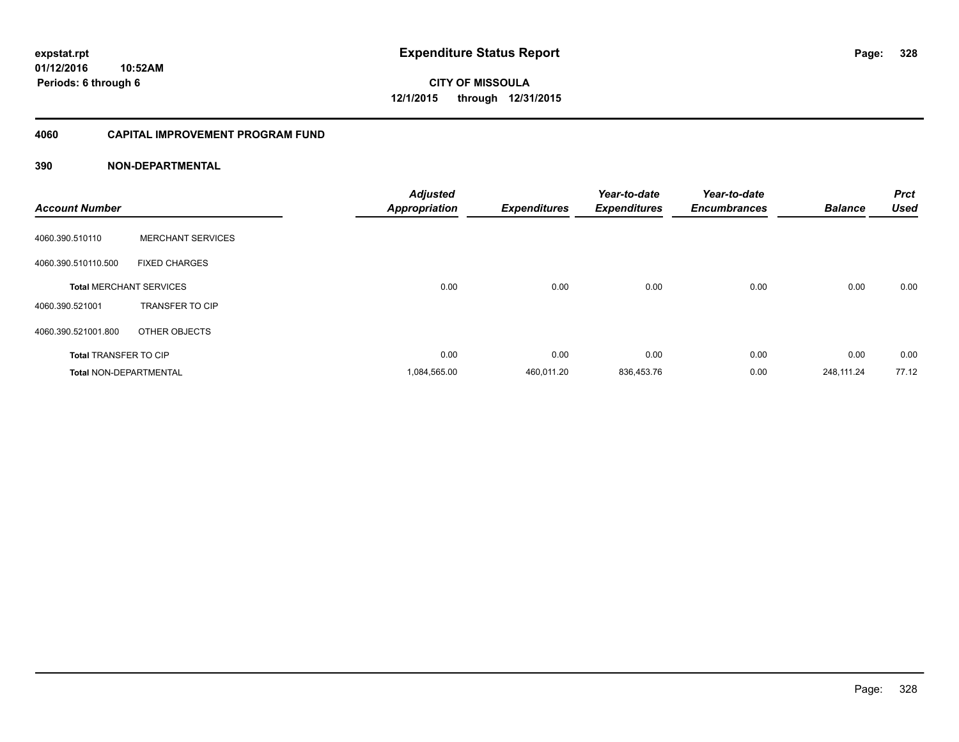## **01/12/2016 10:52AM Periods: 6 through 6**

**CITY OF MISSOULA 12/1/2015 through 12/31/2015**

## **4060 CAPITAL IMPROVEMENT PROGRAM FUND**

| <b>Account Number</b>          |                          | <b>Adjusted</b><br><b>Appropriation</b> | <b>Expenditures</b> | Year-to-date<br><b>Expenditures</b> | Year-to-date<br><b>Encumbrances</b> | <b>Balance</b> | <b>Prct</b><br><b>Used</b> |
|--------------------------------|--------------------------|-----------------------------------------|---------------------|-------------------------------------|-------------------------------------|----------------|----------------------------|
| 4060.390.510110                | <b>MERCHANT SERVICES</b> |                                         |                     |                                     |                                     |                |                            |
| 4060.390.510110.500            | <b>FIXED CHARGES</b>     |                                         |                     |                                     |                                     |                |                            |
| <b>Total MERCHANT SERVICES</b> |                          | 0.00                                    | 0.00                | 0.00                                | 0.00                                | 0.00           | 0.00                       |
| 4060.390.521001                | <b>TRANSFER TO CIP</b>   |                                         |                     |                                     |                                     |                |                            |
| 4060.390.521001.800            | OTHER OBJECTS            |                                         |                     |                                     |                                     |                |                            |
| <b>Total TRANSFER TO CIP</b>   |                          | 0.00                                    | 0.00                | 0.00                                | 0.00                                | 0.00           | 0.00                       |
| <b>Total NON-DEPARTMENTAL</b>  |                          | 1,084,565.00                            | 460,011.20          | 836,453.76                          | 0.00                                | 248,111.24     | 77.12                      |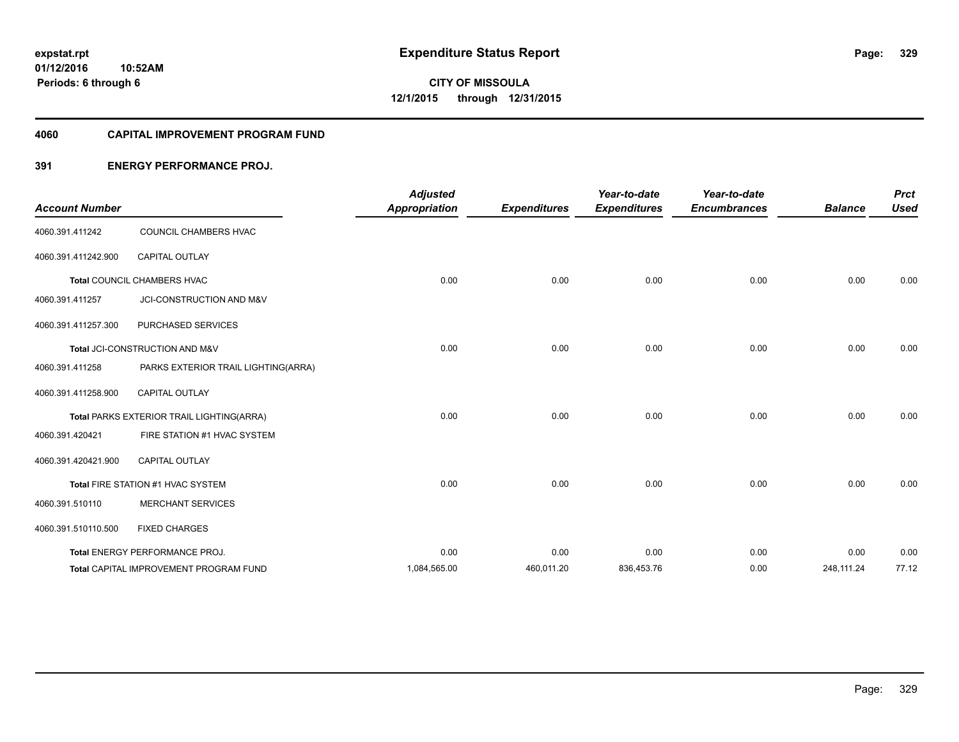#### **4060 CAPITAL IMPROVEMENT PROGRAM FUND**

## **391 ENERGY PERFORMANCE PROJ.**

| <b>Account Number</b> |                                           | <b>Adjusted</b><br><b>Appropriation</b> | <b>Expenditures</b> | Year-to-date<br><b>Expenditures</b> | Year-to-date<br><b>Encumbrances</b> | <b>Balance</b> | <b>Prct</b><br><b>Used</b> |
|-----------------------|-------------------------------------------|-----------------------------------------|---------------------|-------------------------------------|-------------------------------------|----------------|----------------------------|
| 4060.391.411242       | COUNCIL CHAMBERS HVAC                     |                                         |                     |                                     |                                     |                |                            |
| 4060.391.411242.900   | <b>CAPITAL OUTLAY</b>                     |                                         |                     |                                     |                                     |                |                            |
|                       | Total COUNCIL CHAMBERS HVAC               | 0.00                                    | 0.00                | 0.00                                | 0.00                                | 0.00           | 0.00                       |
| 4060.391.411257       | JCI-CONSTRUCTION AND M&V                  |                                         |                     |                                     |                                     |                |                            |
| 4060.391.411257.300   | PURCHASED SERVICES                        |                                         |                     |                                     |                                     |                |                            |
|                       | Total JCI-CONSTRUCTION AND M&V            | 0.00                                    | 0.00                | 0.00                                | 0.00                                | 0.00           | 0.00                       |
| 4060.391.411258       | PARKS EXTERIOR TRAIL LIGHTING(ARRA)       |                                         |                     |                                     |                                     |                |                            |
| 4060.391.411258.900   | <b>CAPITAL OUTLAY</b>                     |                                         |                     |                                     |                                     |                |                            |
|                       | Total PARKS EXTERIOR TRAIL LIGHTING(ARRA) | 0.00                                    | 0.00                | 0.00                                | 0.00                                | 0.00           | 0.00                       |
| 4060.391.420421       | FIRE STATION #1 HVAC SYSTEM               |                                         |                     |                                     |                                     |                |                            |
| 4060.391.420421.900   | <b>CAPITAL OUTLAY</b>                     |                                         |                     |                                     |                                     |                |                            |
|                       | Total FIRE STATION #1 HVAC SYSTEM         | 0.00                                    | 0.00                | 0.00                                | 0.00                                | 0.00           | 0.00                       |
| 4060.391.510110       | <b>MERCHANT SERVICES</b>                  |                                         |                     |                                     |                                     |                |                            |
| 4060.391.510110.500   | <b>FIXED CHARGES</b>                      |                                         |                     |                                     |                                     |                |                            |
|                       | Total ENERGY PERFORMANCE PROJ.            | 0.00                                    | 0.00                | 0.00                                | 0.00                                | 0.00           | 0.00                       |
|                       | Total CAPITAL IMPROVEMENT PROGRAM FUND    | 1,084,565.00                            | 460,011.20          | 836,453.76                          | 0.00                                | 248,111.24     | 77.12                      |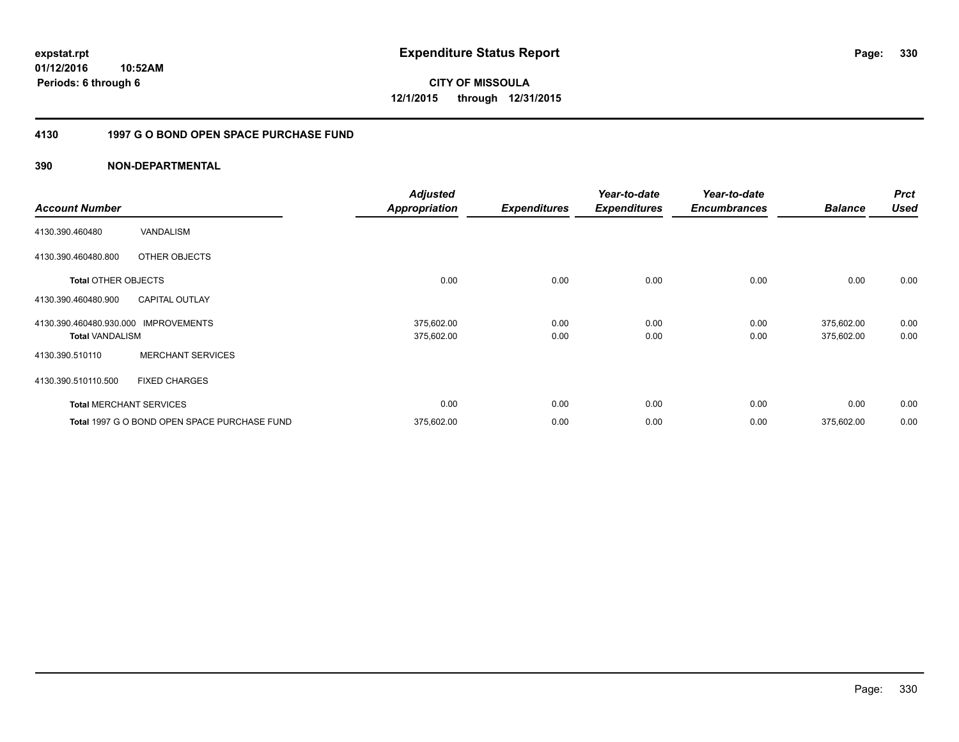**330**

**01/12/2016 10:52AM Periods: 6 through 6**

**CITY OF MISSOULA 12/1/2015 through 12/31/2015**

## **4130 1997 G O BOND OPEN SPACE PURCHASE FUND**

| <b>Account Number</b>                             |                                              | <b>Adjusted</b><br><b>Appropriation</b> | <b>Expenditures</b> | Year-to-date<br><b>Expenditures</b> | Year-to-date<br><b>Encumbrances</b> | <b>Balance</b>           | <b>Prct</b><br><b>Used</b> |
|---------------------------------------------------|----------------------------------------------|-----------------------------------------|---------------------|-------------------------------------|-------------------------------------|--------------------------|----------------------------|
| 4130.390.460480                                   | VANDALISM                                    |                                         |                     |                                     |                                     |                          |                            |
| 4130.390.460480.800                               | OTHER OBJECTS                                |                                         |                     |                                     |                                     |                          |                            |
| <b>Total OTHER OBJECTS</b>                        |                                              | 0.00                                    | 0.00                | 0.00                                | 0.00                                | 0.00                     | 0.00                       |
| 4130.390.460480.900                               | <b>CAPITAL OUTLAY</b>                        |                                         |                     |                                     |                                     |                          |                            |
| 4130.390.460480.930.000<br><b>Total VANDALISM</b> | <b>IMPROVEMENTS</b>                          | 375,602.00<br>375,602.00                | 0.00<br>0.00        | 0.00<br>0.00                        | 0.00<br>0.00                        | 375,602.00<br>375,602.00 | 0.00<br>0.00               |
| 4130.390.510110                                   | <b>MERCHANT SERVICES</b>                     |                                         |                     |                                     |                                     |                          |                            |
| 4130.390.510110.500                               | <b>FIXED CHARGES</b>                         |                                         |                     |                                     |                                     |                          |                            |
|                                                   | <b>Total MERCHANT SERVICES</b>               | 0.00                                    | 0.00                | 0.00                                | 0.00                                | 0.00                     | 0.00                       |
|                                                   | Total 1997 G O BOND OPEN SPACE PURCHASE FUND | 375,602.00                              | 0.00                | 0.00                                | 0.00                                | 375,602.00               | 0.00                       |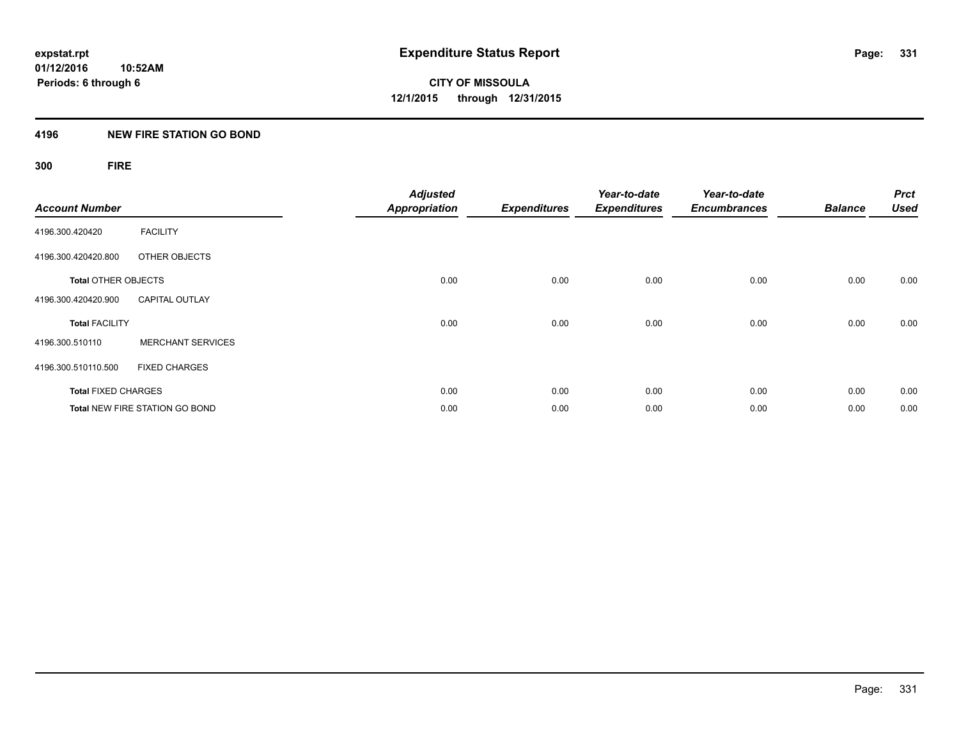## **4196 NEW FIRE STATION GO BOND**

## **300 FIRE**

| <b>Account Number</b>      |                                       | <b>Adjusted</b><br><b>Appropriation</b> | <b>Expenditures</b> | Year-to-date<br><b>Expenditures</b> | Year-to-date<br><b>Encumbrances</b> | <b>Balance</b> | <b>Prct</b><br><b>Used</b> |
|----------------------------|---------------------------------------|-----------------------------------------|---------------------|-------------------------------------|-------------------------------------|----------------|----------------------------|
| 4196.300.420420            | <b>FACILITY</b>                       |                                         |                     |                                     |                                     |                |                            |
| 4196.300.420420.800        | <b>OTHER OBJECTS</b>                  |                                         |                     |                                     |                                     |                |                            |
| <b>Total OTHER OBJECTS</b> |                                       | 0.00                                    | 0.00                | 0.00                                | 0.00                                | 0.00           | 0.00                       |
| 4196.300.420420.900        | <b>CAPITAL OUTLAY</b>                 |                                         |                     |                                     |                                     |                |                            |
| <b>Total FACILITY</b>      |                                       | 0.00                                    | 0.00                | 0.00                                | 0.00                                | 0.00           | 0.00                       |
| 4196.300.510110            | <b>MERCHANT SERVICES</b>              |                                         |                     |                                     |                                     |                |                            |
| 4196.300.510110.500        | <b>FIXED CHARGES</b>                  |                                         |                     |                                     |                                     |                |                            |
| <b>Total FIXED CHARGES</b> |                                       | 0.00                                    | 0.00                | 0.00                                | 0.00                                | 0.00           | 0.00                       |
|                            | <b>Total NEW FIRE STATION GO BOND</b> | 0.00                                    | 0.00                | 0.00                                | 0.00                                | 0.00           | 0.00                       |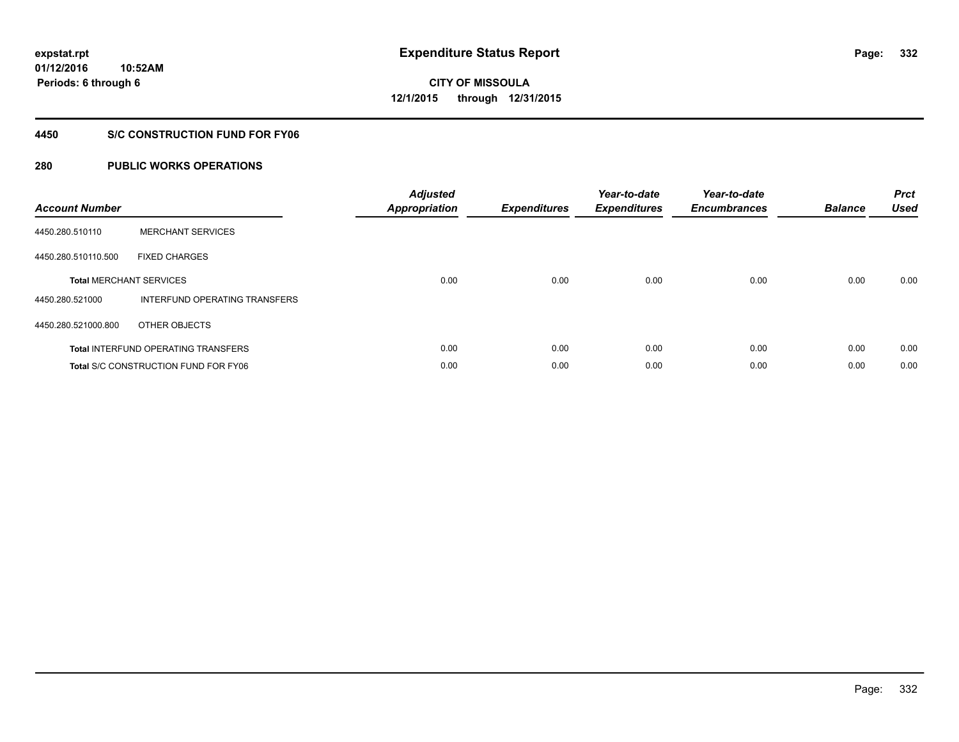## **4450 S/C CONSTRUCTION FUND FOR FY06**

| <b>Account Number</b> |                                             | <b>Adjusted</b><br>Appropriation | <b>Expenditures</b> | Year-to-date<br><b>Expenditures</b> | Year-to-date<br><b>Encumbrances</b> | <b>Balance</b> | <b>Prct</b><br><b>Used</b> |
|-----------------------|---------------------------------------------|----------------------------------|---------------------|-------------------------------------|-------------------------------------|----------------|----------------------------|
| 4450.280.510110       | <b>MERCHANT SERVICES</b>                    |                                  |                     |                                     |                                     |                |                            |
| 4450.280.510110.500   | <b>FIXED CHARGES</b>                        |                                  |                     |                                     |                                     |                |                            |
|                       | <b>Total MERCHANT SERVICES</b>              | 0.00                             | 0.00                | 0.00                                | 0.00                                | 0.00           | 0.00                       |
| 4450.280.521000       | INTERFUND OPERATING TRANSFERS               |                                  |                     |                                     |                                     |                |                            |
| 4450.280.521000.800   | OTHER OBJECTS                               |                                  |                     |                                     |                                     |                |                            |
|                       | <b>Total INTERFUND OPERATING TRANSFERS</b>  | 0.00                             | 0.00                | 0.00                                | 0.00                                | 0.00           | 0.00                       |
|                       | <b>Total S/C CONSTRUCTION FUND FOR FY06</b> | 0.00                             | 0.00                | 0.00                                | 0.00                                | 0.00           | 0.00                       |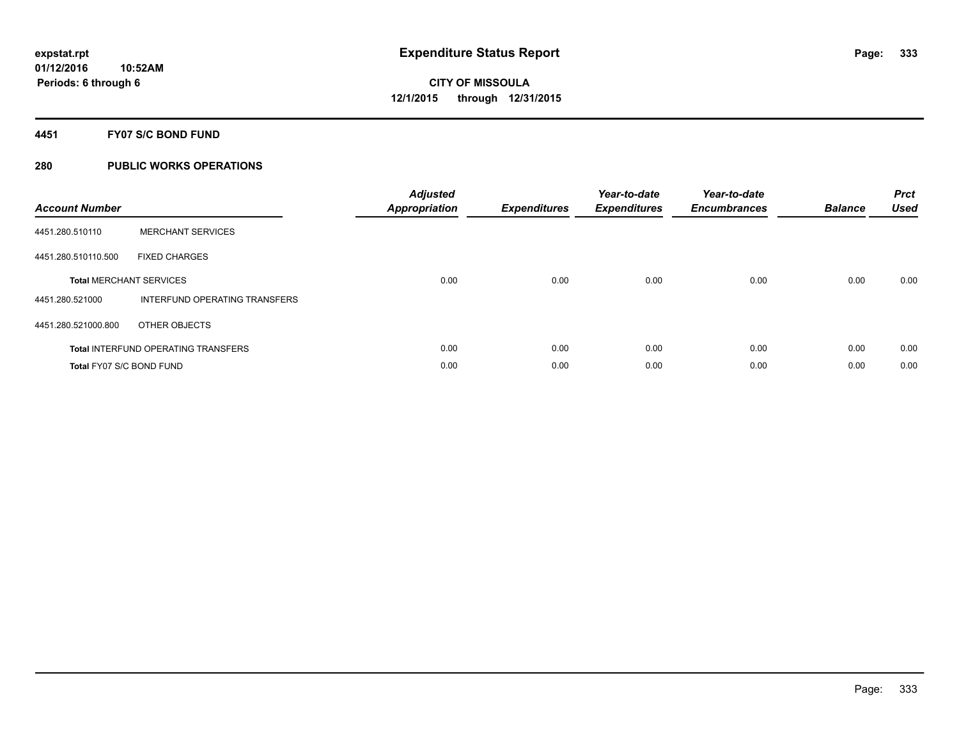## **4451 FY07 S/C BOND FUND**

| <b>Account Number</b>    |                                            | <b>Adjusted</b><br>Appropriation | <b>Expenditures</b> | Year-to-date<br><b>Expenditures</b> | Year-to-date<br><b>Encumbrances</b> | <b>Balance</b> | <b>Prct</b><br><b>Used</b> |
|--------------------------|--------------------------------------------|----------------------------------|---------------------|-------------------------------------|-------------------------------------|----------------|----------------------------|
| 4451.280.510110          | <b>MERCHANT SERVICES</b>                   |                                  |                     |                                     |                                     |                |                            |
| 4451.280.510110.500      | <b>FIXED CHARGES</b>                       |                                  |                     |                                     |                                     |                |                            |
|                          | <b>Total MERCHANT SERVICES</b>             | 0.00                             | 0.00                | 0.00                                | 0.00                                | 0.00           | 0.00                       |
| 4451.280.521000          | INTERFUND OPERATING TRANSFERS              |                                  |                     |                                     |                                     |                |                            |
| 4451.280.521000.800      | OTHER OBJECTS                              |                                  |                     |                                     |                                     |                |                            |
|                          | <b>Total INTERFUND OPERATING TRANSFERS</b> | 0.00                             | 0.00                | 0.00                                | 0.00                                | 0.00           | 0.00                       |
| Total FY07 S/C BOND FUND |                                            | 0.00                             | 0.00                | 0.00                                | 0.00                                | 0.00           | 0.00                       |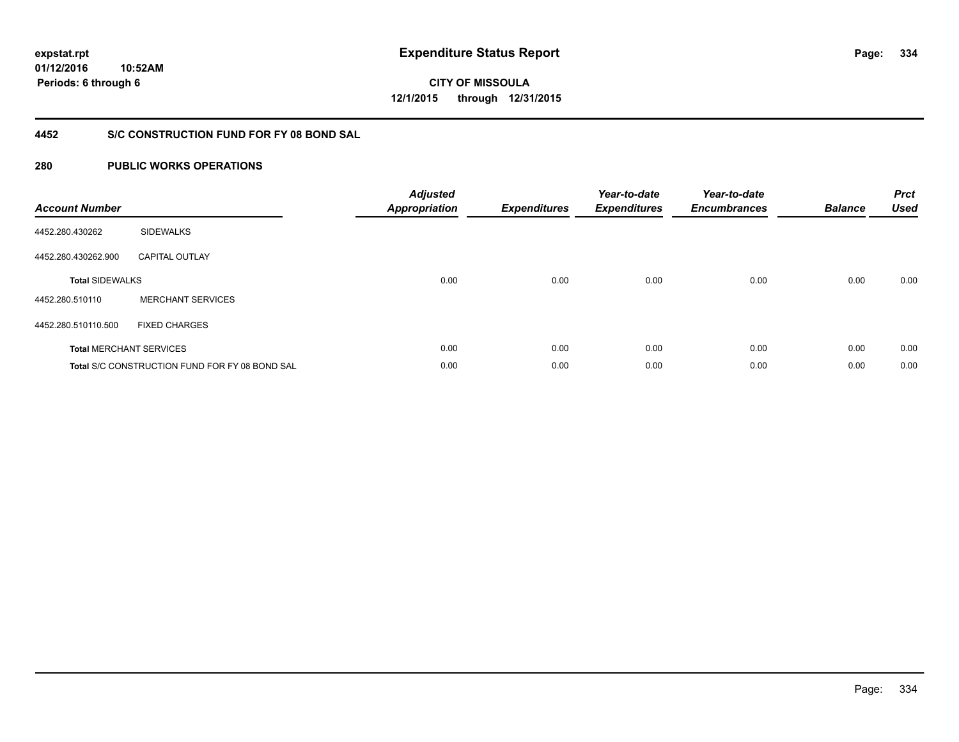**334**

**01/12/2016 10:52AM Periods: 6 through 6**

# **CITY OF MISSOULA 12/1/2015 through 12/31/2015**

## **4452 S/C CONSTRUCTION FUND FOR FY 08 BOND SAL**

| <b>Account Number</b>  |                                                       | <b>Adjusted</b><br>Appropriation | <b>Expenditures</b> | Year-to-date<br><b>Expenditures</b> | Year-to-date<br><b>Encumbrances</b> | <b>Balance</b> | <b>Prct</b><br><b>Used</b> |
|------------------------|-------------------------------------------------------|----------------------------------|---------------------|-------------------------------------|-------------------------------------|----------------|----------------------------|
| 4452.280.430262        | <b>SIDEWALKS</b>                                      |                                  |                     |                                     |                                     |                |                            |
| 4452.280.430262.900    | <b>CAPITAL OUTLAY</b>                                 |                                  |                     |                                     |                                     |                |                            |
| <b>Total SIDEWALKS</b> |                                                       | 0.00                             | 0.00                | 0.00                                | 0.00                                | 0.00           | 0.00                       |
| 4452.280.510110        | <b>MERCHANT SERVICES</b>                              |                                  |                     |                                     |                                     |                |                            |
| 4452.280.510110.500    | <b>FIXED CHARGES</b>                                  |                                  |                     |                                     |                                     |                |                            |
|                        | <b>Total MERCHANT SERVICES</b>                        | 0.00                             | 0.00                | 0.00                                | 0.00                                | 0.00           | 0.00                       |
|                        | <b>Total S/C CONSTRUCTION FUND FOR FY 08 BOND SAL</b> | 0.00                             | 0.00                | 0.00                                | 0.00                                | 0.00           | 0.00                       |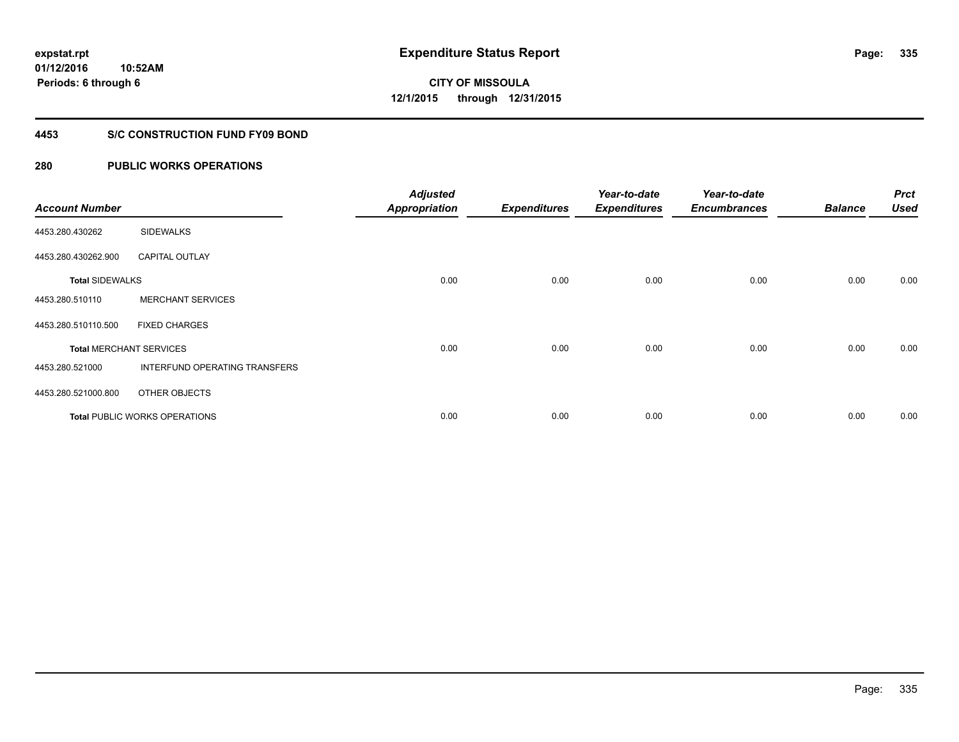## **4453 S/C CONSTRUCTION FUND FY09 BOND**

| <b>Account Number</b>  |                                      | <b>Adjusted</b><br><b>Appropriation</b> | <b>Expenditures</b> | Year-to-date<br><b>Expenditures</b> | Year-to-date<br><b>Encumbrances</b> | <b>Balance</b> | <b>Prct</b><br><b>Used</b> |
|------------------------|--------------------------------------|-----------------------------------------|---------------------|-------------------------------------|-------------------------------------|----------------|----------------------------|
| 4453.280.430262        | <b>SIDEWALKS</b>                     |                                         |                     |                                     |                                     |                |                            |
| 4453.280.430262.900    | <b>CAPITAL OUTLAY</b>                |                                         |                     |                                     |                                     |                |                            |
| <b>Total SIDEWALKS</b> |                                      | 0.00                                    | 0.00                | 0.00                                | 0.00                                | 0.00           | 0.00                       |
| 4453.280.510110        | <b>MERCHANT SERVICES</b>             |                                         |                     |                                     |                                     |                |                            |
| 4453.280.510110.500    | <b>FIXED CHARGES</b>                 |                                         |                     |                                     |                                     |                |                            |
|                        | <b>Total MERCHANT SERVICES</b>       | 0.00                                    | 0.00                | 0.00                                | 0.00                                | 0.00           | 0.00                       |
| 4453.280.521000        | <b>INTERFUND OPERATING TRANSFERS</b> |                                         |                     |                                     |                                     |                |                            |
| 4453.280.521000.800    | OTHER OBJECTS                        |                                         |                     |                                     |                                     |                |                            |
|                        | <b>Total PUBLIC WORKS OPERATIONS</b> | 0.00                                    | 0.00                | 0.00                                | 0.00                                | 0.00           | 0.00                       |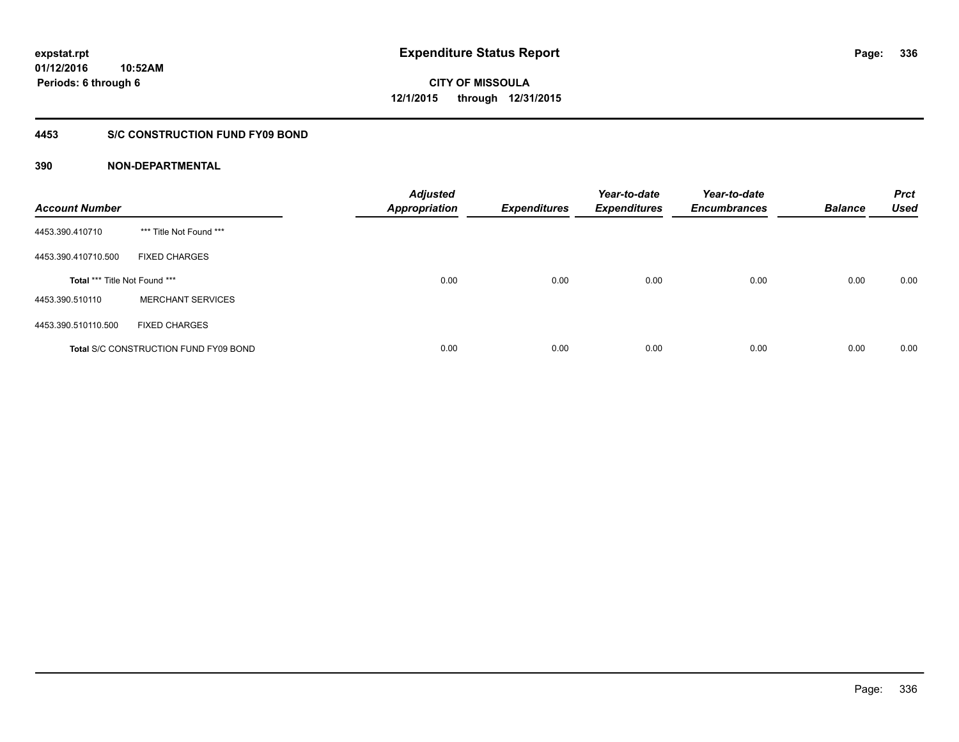## **4453 S/C CONSTRUCTION FUND FY09 BOND**

| <b>Account Number</b>         |                                              | <b>Adjusted</b><br><b>Appropriation</b> | <b>Expenditures</b> | Year-to-date<br><b>Expenditures</b> | Year-to-date<br><b>Encumbrances</b> | <b>Balance</b> | <b>Prct</b><br><b>Used</b> |
|-------------------------------|----------------------------------------------|-----------------------------------------|---------------------|-------------------------------------|-------------------------------------|----------------|----------------------------|
| 4453.390.410710               | *** Title Not Found ***                      |                                         |                     |                                     |                                     |                |                            |
| 4453.390.410710.500           | <b>FIXED CHARGES</b>                         |                                         |                     |                                     |                                     |                |                            |
| Total *** Title Not Found *** |                                              | 0.00                                    | 0.00                | 0.00                                | 0.00                                | 0.00           | 0.00                       |
| 4453.390.510110               | <b>MERCHANT SERVICES</b>                     |                                         |                     |                                     |                                     |                |                            |
| 4453.390.510110.500           | <b>FIXED CHARGES</b>                         |                                         |                     |                                     |                                     |                |                            |
|                               | <b>Total S/C CONSTRUCTION FUND FY09 BOND</b> | 0.00                                    | 0.00                | 0.00                                | 0.00                                | 0.00           | 0.00                       |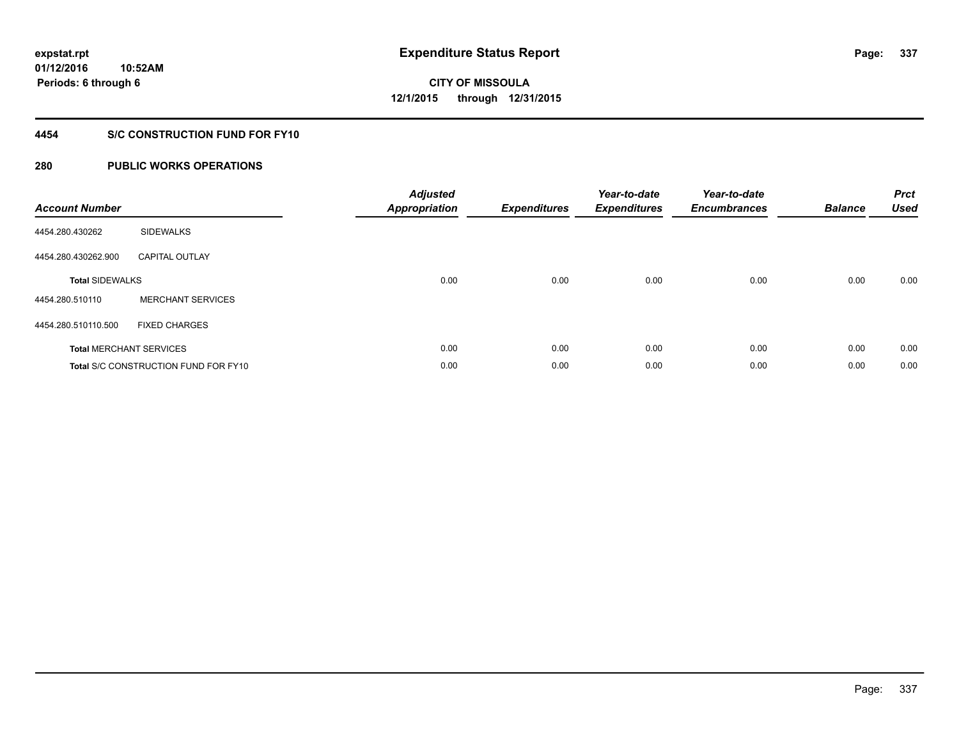## **4454 S/C CONSTRUCTION FUND FOR FY10**

| <b>Account Number</b>  |                                             | <b>Adjusted</b><br><b>Appropriation</b> | <b>Expenditures</b> | Year-to-date<br><b>Expenditures</b> | Year-to-date<br><b>Encumbrances</b> | <b>Balance</b> | <b>Prct</b><br><b>Used</b> |
|------------------------|---------------------------------------------|-----------------------------------------|---------------------|-------------------------------------|-------------------------------------|----------------|----------------------------|
| 4454.280.430262        | <b>SIDEWALKS</b>                            |                                         |                     |                                     |                                     |                |                            |
| 4454.280.430262.900    | <b>CAPITAL OUTLAY</b>                       |                                         |                     |                                     |                                     |                |                            |
| <b>Total SIDEWALKS</b> |                                             | 0.00                                    | 0.00                | 0.00                                | 0.00                                | 0.00           | 0.00                       |
| 4454.280.510110        | <b>MERCHANT SERVICES</b>                    |                                         |                     |                                     |                                     |                |                            |
| 4454.280.510110.500    | <b>FIXED CHARGES</b>                        |                                         |                     |                                     |                                     |                |                            |
|                        | <b>Total MERCHANT SERVICES</b>              | 0.00                                    | 0.00                | 0.00                                | 0.00                                | 0.00           | 0.00                       |
|                        | <b>Total S/C CONSTRUCTION FUND FOR FY10</b> | 0.00                                    | 0.00                | 0.00                                | 0.00                                | 0.00           | 0.00                       |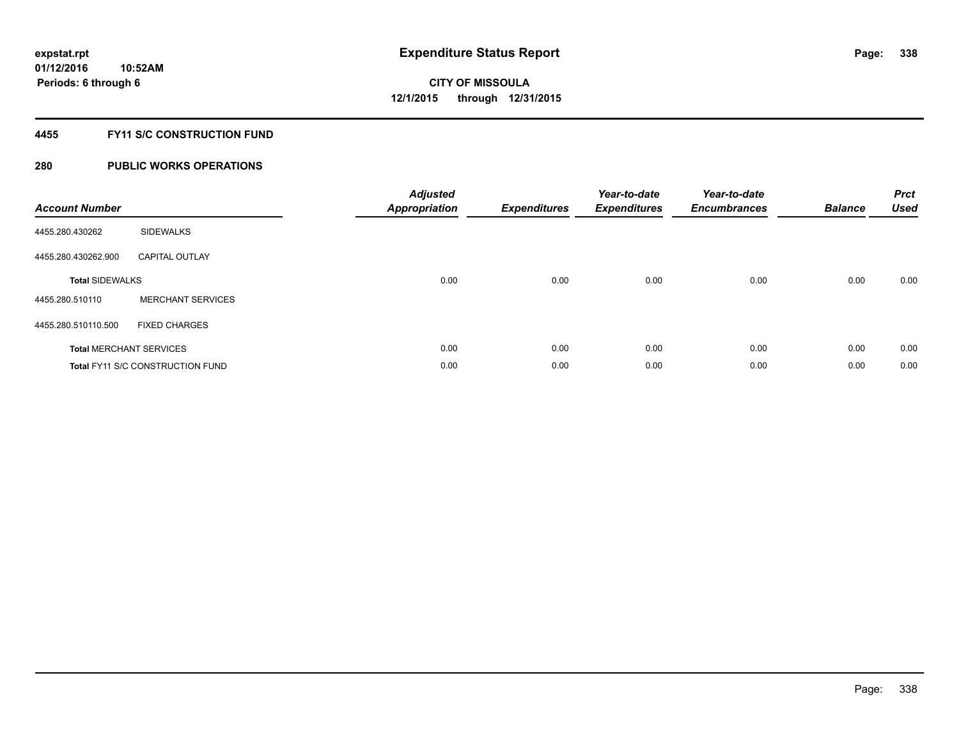## **4455 FY11 S/C CONSTRUCTION FUND**

| <b>Account Number</b>  |                                         | <b>Adjusted</b><br>Appropriation | <b>Expenditures</b> | Year-to-date<br><b>Expenditures</b> | Year-to-date<br><b>Encumbrances</b> | <b>Balance</b> | <b>Prct</b><br><b>Used</b> |
|------------------------|-----------------------------------------|----------------------------------|---------------------|-------------------------------------|-------------------------------------|----------------|----------------------------|
| 4455.280.430262        | <b>SIDEWALKS</b>                        |                                  |                     |                                     |                                     |                |                            |
| 4455.280.430262.900    | <b>CAPITAL OUTLAY</b>                   |                                  |                     |                                     |                                     |                |                            |
| <b>Total SIDEWALKS</b> |                                         | 0.00                             | 0.00                | 0.00                                | 0.00                                | 0.00           | 0.00                       |
| 4455.280.510110        | <b>MERCHANT SERVICES</b>                |                                  |                     |                                     |                                     |                |                            |
| 4455.280.510110.500    | <b>FIXED CHARGES</b>                    |                                  |                     |                                     |                                     |                |                            |
|                        | <b>Total MERCHANT SERVICES</b>          | 0.00                             | 0.00                | 0.00                                | 0.00                                | 0.00           | 0.00                       |
|                        | <b>Total FY11 S/C CONSTRUCTION FUND</b> | 0.00                             | 0.00                | 0.00                                | 0.00                                | 0.00           | 0.00                       |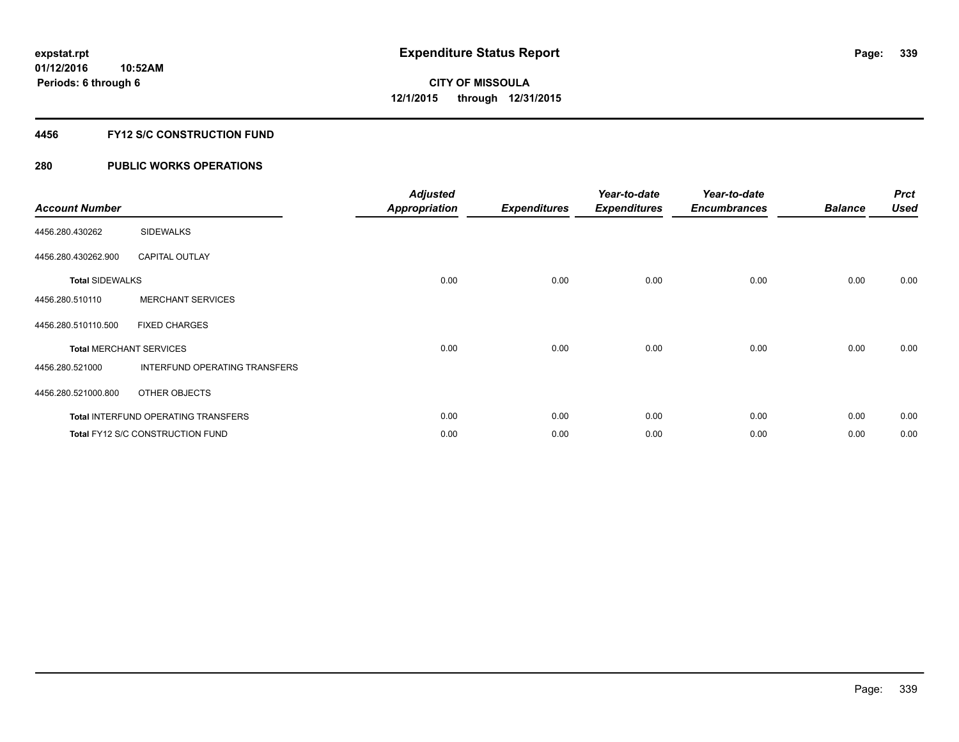## **4456 FY12 S/C CONSTRUCTION FUND**

| <b>Account Number</b>          |                                            | <b>Adjusted</b><br><b>Appropriation</b> | <b>Expenditures</b> | Year-to-date<br><b>Expenditures</b> | Year-to-date<br><b>Encumbrances</b> | <b>Balance</b> | <b>Prct</b><br><b>Used</b> |
|--------------------------------|--------------------------------------------|-----------------------------------------|---------------------|-------------------------------------|-------------------------------------|----------------|----------------------------|
| 4456.280.430262                | <b>SIDEWALKS</b>                           |                                         |                     |                                     |                                     |                |                            |
| 4456.280.430262.900            | <b>CAPITAL OUTLAY</b>                      |                                         |                     |                                     |                                     |                |                            |
| <b>Total SIDEWALKS</b>         |                                            | 0.00                                    | 0.00                | 0.00                                | 0.00                                | 0.00           | 0.00                       |
| 4456.280.510110                | <b>MERCHANT SERVICES</b>                   |                                         |                     |                                     |                                     |                |                            |
| 4456.280.510110.500            | <b>FIXED CHARGES</b>                       |                                         |                     |                                     |                                     |                |                            |
| <b>Total MERCHANT SERVICES</b> |                                            | 0.00                                    | 0.00                | 0.00                                | 0.00                                | 0.00           | 0.00                       |
| 4456.280.521000                | INTERFUND OPERATING TRANSFERS              |                                         |                     |                                     |                                     |                |                            |
| 4456.280.521000.800            | OTHER OBJECTS                              |                                         |                     |                                     |                                     |                |                            |
|                                | <b>Total INTERFUND OPERATING TRANSFERS</b> | 0.00                                    | 0.00                | 0.00                                | 0.00                                | 0.00           | 0.00                       |
|                                | Total FY12 S/C CONSTRUCTION FUND           | 0.00                                    | 0.00                | 0.00                                | 0.00                                | 0.00           | 0.00                       |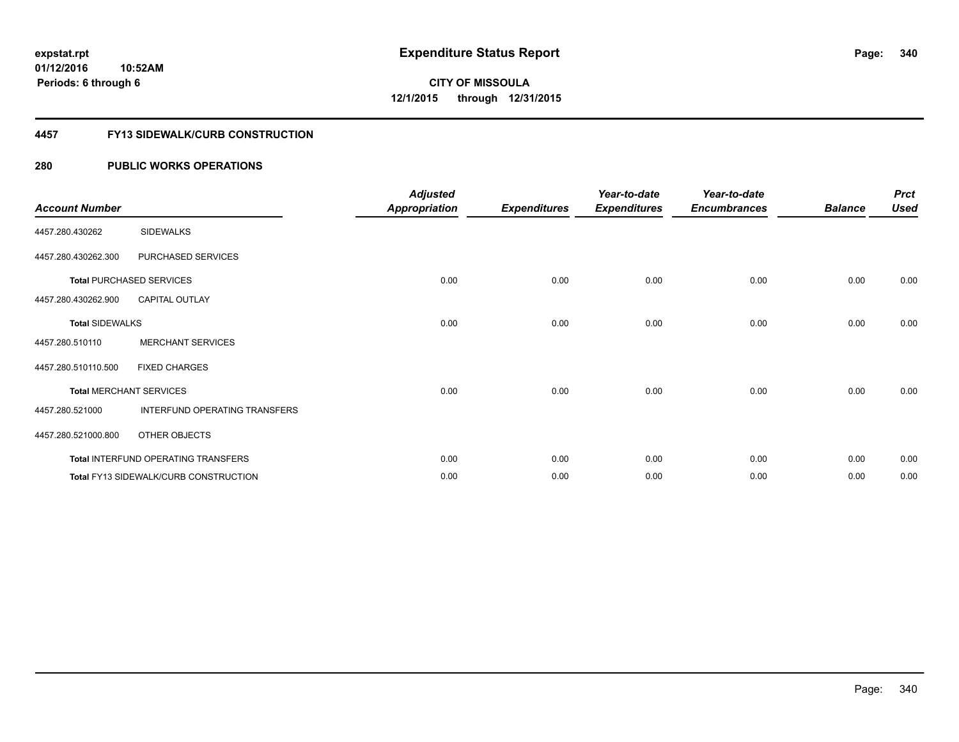## **4457 FY13 SIDEWALK/CURB CONSTRUCTION**

| <b>Account Number</b>  |                                              | <b>Adjusted</b><br><b>Appropriation</b> | <b>Expenditures</b> | Year-to-date<br><b>Expenditures</b> | Year-to-date<br><b>Encumbrances</b> | <b>Balance</b> | <b>Prct</b><br><b>Used</b> |
|------------------------|----------------------------------------------|-----------------------------------------|---------------------|-------------------------------------|-------------------------------------|----------------|----------------------------|
| 4457.280.430262        | <b>SIDEWALKS</b>                             |                                         |                     |                                     |                                     |                |                            |
| 4457.280.430262.300    | PURCHASED SERVICES                           |                                         |                     |                                     |                                     |                |                            |
|                        | <b>Total PURCHASED SERVICES</b>              | 0.00                                    | 0.00                | 0.00                                | 0.00                                | 0.00           | 0.00                       |
| 4457.280.430262.900    | <b>CAPITAL OUTLAY</b>                        |                                         |                     |                                     |                                     |                |                            |
| <b>Total SIDEWALKS</b> |                                              | 0.00                                    | 0.00                | 0.00                                | 0.00                                | 0.00           | 0.00                       |
| 4457.280.510110        | <b>MERCHANT SERVICES</b>                     |                                         |                     |                                     |                                     |                |                            |
| 4457.280.510110.500    | <b>FIXED CHARGES</b>                         |                                         |                     |                                     |                                     |                |                            |
|                        | <b>Total MERCHANT SERVICES</b>               | 0.00                                    | 0.00                | 0.00                                | 0.00                                | 0.00           | 0.00                       |
| 4457.280.521000        | INTERFUND OPERATING TRANSFERS                |                                         |                     |                                     |                                     |                |                            |
| 4457.280.521000.800    | <b>OTHER OBJECTS</b>                         |                                         |                     |                                     |                                     |                |                            |
|                        | Total INTERFUND OPERATING TRANSFERS          | 0.00                                    | 0.00                | 0.00                                | 0.00                                | 0.00           | 0.00                       |
|                        | <b>Total FY13 SIDEWALK/CURB CONSTRUCTION</b> | 0.00                                    | 0.00                | 0.00                                | 0.00                                | 0.00           | 0.00                       |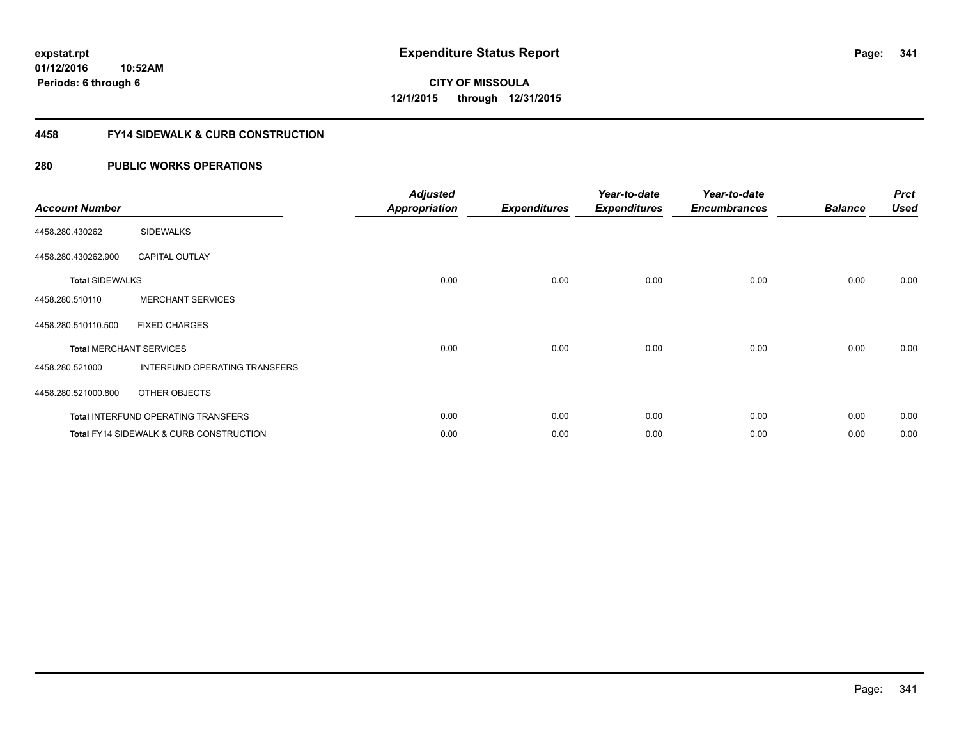## **4458 FY14 SIDEWALK & CURB CONSTRUCTION**

| <b>Account Number</b>  |                                            | <b>Adjusted</b><br><b>Appropriation</b> | <b>Expenditures</b> | Year-to-date<br><b>Expenditures</b> | Year-to-date<br><b>Encumbrances</b> | <b>Balance</b> | <b>Prct</b><br><b>Used</b> |
|------------------------|--------------------------------------------|-----------------------------------------|---------------------|-------------------------------------|-------------------------------------|----------------|----------------------------|
| 4458.280.430262        | <b>SIDEWALKS</b>                           |                                         |                     |                                     |                                     |                |                            |
| 4458.280.430262.900    | <b>CAPITAL OUTLAY</b>                      |                                         |                     |                                     |                                     |                |                            |
| <b>Total SIDEWALKS</b> |                                            | 0.00                                    | 0.00                | 0.00                                | 0.00                                | 0.00           | 0.00                       |
| 4458.280.510110        | <b>MERCHANT SERVICES</b>                   |                                         |                     |                                     |                                     |                |                            |
| 4458.280.510110.500    | <b>FIXED CHARGES</b>                       |                                         |                     |                                     |                                     |                |                            |
|                        | <b>Total MERCHANT SERVICES</b>             | 0.00                                    | 0.00                | 0.00                                | 0.00                                | 0.00           | 0.00                       |
| 4458.280.521000        | INTERFUND OPERATING TRANSFERS              |                                         |                     |                                     |                                     |                |                            |
| 4458.280.521000.800    | OTHER OBJECTS                              |                                         |                     |                                     |                                     |                |                            |
|                        | <b>Total INTERFUND OPERATING TRANSFERS</b> | 0.00                                    | 0.00                | 0.00                                | 0.00                                | 0.00           | 0.00                       |
|                        | Total FY14 SIDEWALK & CURB CONSTRUCTION    | 0.00                                    | 0.00                | 0.00                                | 0.00                                | 0.00           | 0.00                       |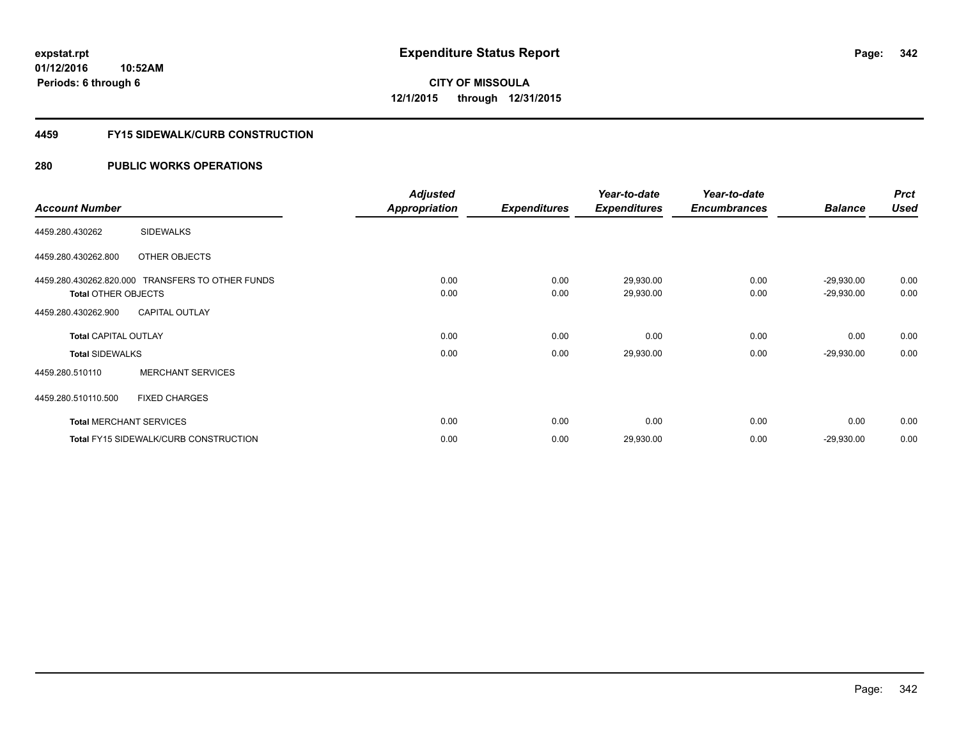**Periods: 6 through 6**

**CITY OF MISSOULA 12/1/2015 through 12/31/2015**

## **4459 FY15 SIDEWALK/CURB CONSTRUCTION**

|                             |                                                  | <b>Adjusted</b>      |                     | Year-to-date           | Year-to-date        |                              | <b>Prct</b>  |
|-----------------------------|--------------------------------------------------|----------------------|---------------------|------------------------|---------------------|------------------------------|--------------|
| <b>Account Number</b>       |                                                  | <b>Appropriation</b> | <b>Expenditures</b> | <b>Expenditures</b>    | <b>Encumbrances</b> | <b>Balance</b>               | <b>Used</b>  |
| 4459.280.430262             | <b>SIDEWALKS</b>                                 |                      |                     |                        |                     |                              |              |
| 4459.280.430262.800         | OTHER OBJECTS                                    |                      |                     |                        |                     |                              |              |
| <b>Total OTHER OBJECTS</b>  | 4459.280.430262.820.000 TRANSFERS TO OTHER FUNDS | 0.00<br>0.00         | 0.00<br>0.00        | 29,930.00<br>29,930.00 | 0.00<br>0.00        | $-29,930.00$<br>$-29,930.00$ | 0.00<br>0.00 |
| 4459.280.430262.900         | <b>CAPITAL OUTLAY</b>                            |                      |                     |                        |                     |                              |              |
| <b>Total CAPITAL OUTLAY</b> |                                                  | 0.00                 | 0.00                | 0.00                   | 0.00                | 0.00                         | 0.00         |
| <b>Total SIDEWALKS</b>      |                                                  | 0.00                 | 0.00                | 29,930.00              | 0.00                | $-29,930.00$                 | 0.00         |
| 4459.280.510110             | <b>MERCHANT SERVICES</b>                         |                      |                     |                        |                     |                              |              |
| 4459.280.510110.500         | <b>FIXED CHARGES</b>                             |                      |                     |                        |                     |                              |              |
|                             | <b>Total MERCHANT SERVICES</b>                   | 0.00                 | 0.00                | 0.00                   | 0.00                | 0.00                         | 0.00         |
|                             | <b>Total FY15 SIDEWALK/CURB CONSTRUCTION</b>     | 0.00                 | 0.00                | 29,930.00              | 0.00                | $-29,930.00$                 | 0.00         |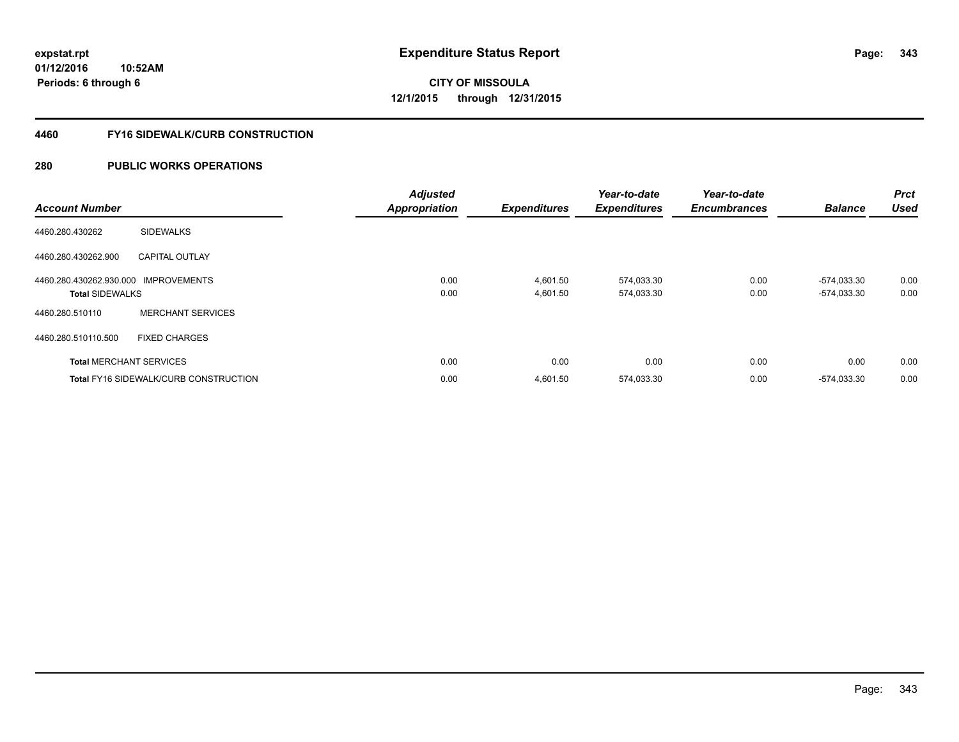## **4460 FY16 SIDEWALK/CURB CONSTRUCTION**

| <b>Account Number</b>                                          |                                              | <b>Adjusted</b><br><b>Appropriation</b> | <b>Expenditures</b>  | Year-to-date<br><b>Expenditures</b> | Year-to-date<br><b>Encumbrances</b> | <b>Balance</b>             | Prct<br><b>Used</b> |
|----------------------------------------------------------------|----------------------------------------------|-----------------------------------------|----------------------|-------------------------------------|-------------------------------------|----------------------------|---------------------|
| 4460.280.430262                                                | <b>SIDEWALKS</b>                             |                                         |                      |                                     |                                     |                            |                     |
| 4460.280.430262.900                                            | <b>CAPITAL OUTLAY</b>                        |                                         |                      |                                     |                                     |                            |                     |
| 4460.280.430262.930.000 IMPROVEMENTS<br><b>Total SIDEWALKS</b> |                                              | 0.00<br>0.00                            | 4,601.50<br>4.601.50 | 574,033.30<br>574,033.30            | 0.00<br>0.00                        | -574.033.30<br>-574.033.30 | 0.00<br>0.00        |
| 4460.280.510110                                                | <b>MERCHANT SERVICES</b>                     |                                         |                      |                                     |                                     |                            |                     |
| 4460.280.510110.500                                            | <b>FIXED CHARGES</b>                         |                                         |                      |                                     |                                     |                            |                     |
|                                                                | <b>Total MERCHANT SERVICES</b>               | 0.00                                    | 0.00                 | 0.00                                | 0.00                                | 0.00                       | 0.00                |
|                                                                | <b>Total FY16 SIDEWALK/CURB CONSTRUCTION</b> | 0.00                                    | 4,601.50             | 574,033.30                          | 0.00                                | -574.033.30                | 0.00                |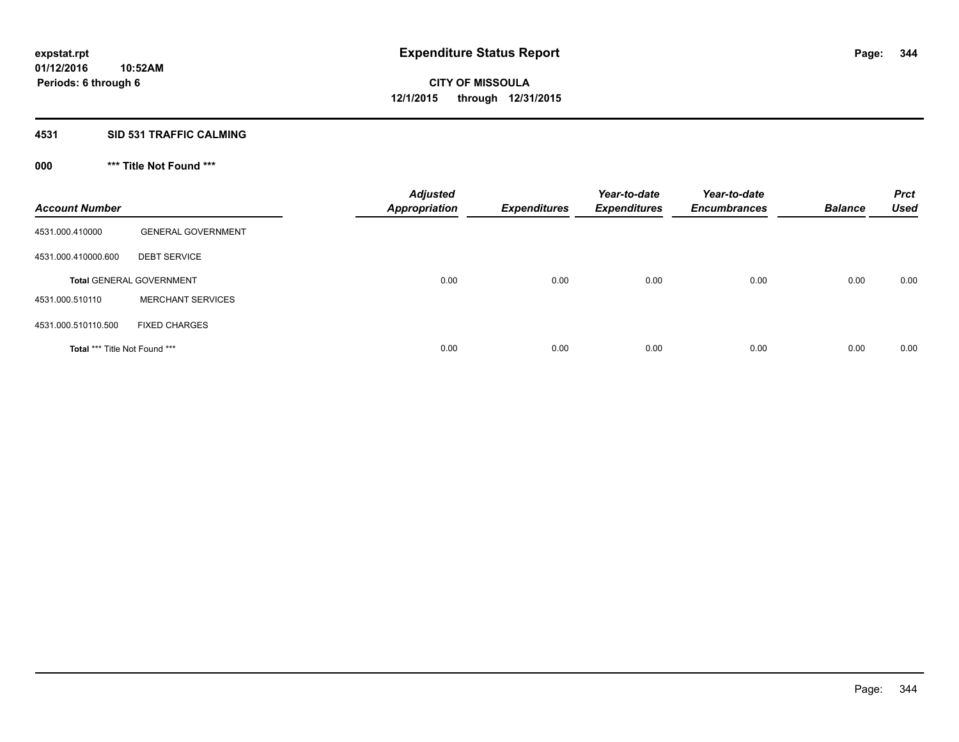## **4531 SID 531 TRAFFIC CALMING**

## **000 \*\*\* Title Not Found \*\*\***

| <b>Account Number</b>         |                                 | <b>Adjusted</b><br><b>Appropriation</b> | <b>Expenditures</b> | Year-to-date<br><b>Expenditures</b> | Year-to-date<br><b>Encumbrances</b> | <b>Balance</b> | <b>Prct</b><br><b>Used</b> |
|-------------------------------|---------------------------------|-----------------------------------------|---------------------|-------------------------------------|-------------------------------------|----------------|----------------------------|
| 4531.000.410000               | <b>GENERAL GOVERNMENT</b>       |                                         |                     |                                     |                                     |                |                            |
| 4531.000.410000.600           | <b>DEBT SERVICE</b>             |                                         |                     |                                     |                                     |                |                            |
|                               | <b>Total GENERAL GOVERNMENT</b> | 0.00                                    | 0.00                | 0.00                                | 0.00                                | 0.00           | 0.00                       |
| 4531.000.510110               | <b>MERCHANT SERVICES</b>        |                                         |                     |                                     |                                     |                |                            |
| 4531.000.510110.500           | <b>FIXED CHARGES</b>            |                                         |                     |                                     |                                     |                |                            |
| Total *** Title Not Found *** |                                 | 0.00                                    | 0.00                | 0.00                                | 0.00                                | 0.00           | 0.00                       |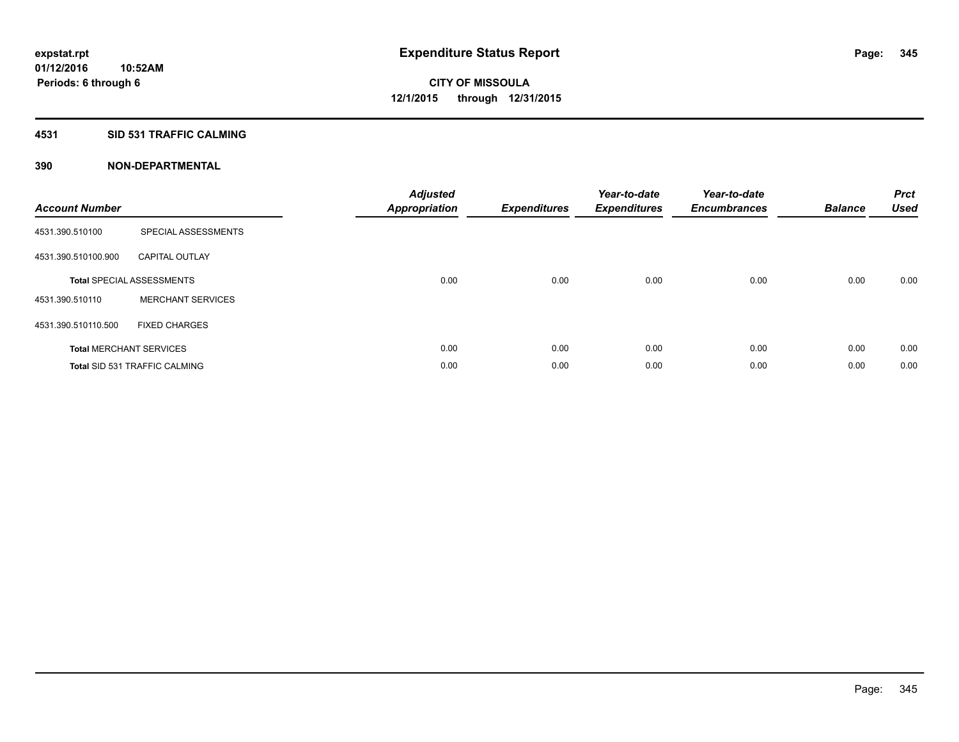## **4531 SID 531 TRAFFIC CALMING**

| <b>Account Number</b> |                                      | <b>Adjusted</b><br>Appropriation | <b>Expenditures</b> | Year-to-date<br><b>Expenditures</b> | Year-to-date<br><b>Encumbrances</b> | <b>Balance</b> | <b>Prct</b><br><b>Used</b> |
|-----------------------|--------------------------------------|----------------------------------|---------------------|-------------------------------------|-------------------------------------|----------------|----------------------------|
| 4531.390.510100       | SPECIAL ASSESSMENTS                  |                                  |                     |                                     |                                     |                |                            |
| 4531.390.510100.900   | <b>CAPITAL OUTLAY</b>                |                                  |                     |                                     |                                     |                |                            |
|                       | <b>Total SPECIAL ASSESSMENTS</b>     | 0.00                             | 0.00                | 0.00                                | 0.00                                | 0.00           | 0.00                       |
| 4531.390.510110       | <b>MERCHANT SERVICES</b>             |                                  |                     |                                     |                                     |                |                            |
| 4531.390.510110.500   | <b>FIXED CHARGES</b>                 |                                  |                     |                                     |                                     |                |                            |
|                       | <b>Total MERCHANT SERVICES</b>       | 0.00                             | 0.00                | 0.00                                | 0.00                                | 0.00           | 0.00                       |
|                       | <b>Total SID 531 TRAFFIC CALMING</b> | 0.00                             | 0.00                | 0.00                                | 0.00                                | 0.00           | 0.00                       |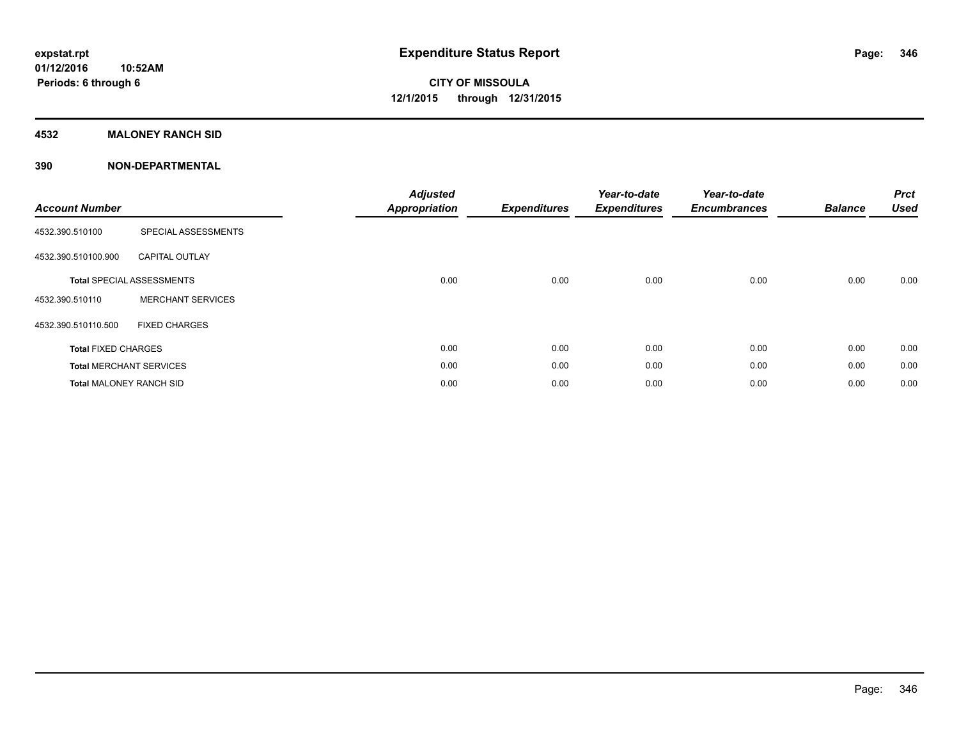## **4532 MALONEY RANCH SID**

| <b>Account Number</b>          |                                  | <b>Adjusted</b><br><b>Appropriation</b> | <b>Expenditures</b> | Year-to-date<br><b>Expenditures</b> | Year-to-date<br><b>Encumbrances</b> | <b>Balance</b> | <b>Prct</b><br><b>Used</b> |
|--------------------------------|----------------------------------|-----------------------------------------|---------------------|-------------------------------------|-------------------------------------|----------------|----------------------------|
| 4532.390.510100                | SPECIAL ASSESSMENTS              |                                         |                     |                                     |                                     |                |                            |
| 4532.390.510100.900            | <b>CAPITAL OUTLAY</b>            |                                         |                     |                                     |                                     |                |                            |
|                                | <b>Total SPECIAL ASSESSMENTS</b> | 0.00                                    | 0.00                | 0.00                                | 0.00                                | 0.00           | 0.00                       |
| 4532.390.510110                | <b>MERCHANT SERVICES</b>         |                                         |                     |                                     |                                     |                |                            |
| 4532.390.510110.500            | <b>FIXED CHARGES</b>             |                                         |                     |                                     |                                     |                |                            |
| <b>Total FIXED CHARGES</b>     |                                  | 0.00                                    | 0.00                | 0.00                                | 0.00                                | 0.00           | 0.00                       |
|                                | <b>Total MERCHANT SERVICES</b>   | 0.00                                    | 0.00                | 0.00                                | 0.00                                | 0.00           | 0.00                       |
| <b>Total MALONEY RANCH SID</b> |                                  | 0.00                                    | 0.00                | 0.00                                | 0.00                                | 0.00           | 0.00                       |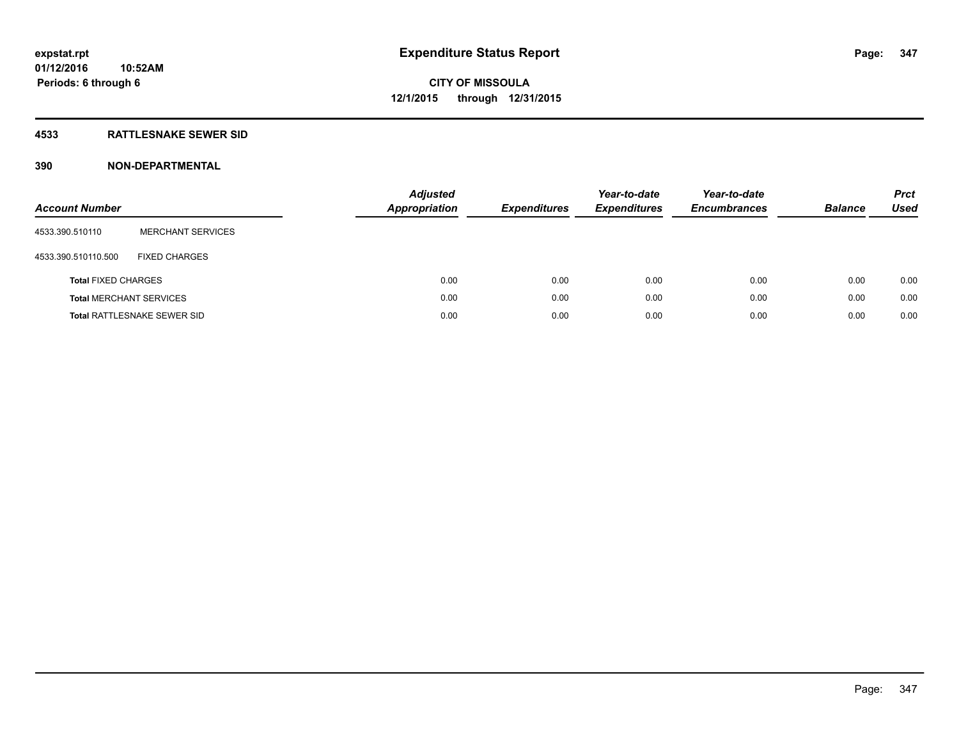## **4533 RATTLESNAKE SEWER SID**

| <b>Account Number</b>          |                                    | <b>Adjusted</b><br>Appropriation | <b>Expenditures</b> | Year-to-date<br><b>Expenditures</b> | Year-to-date<br><b>Encumbrances</b> | <b>Balance</b> | <b>Prct</b><br>Used |
|--------------------------------|------------------------------------|----------------------------------|---------------------|-------------------------------------|-------------------------------------|----------------|---------------------|
| 4533.390.510110                | <b>MERCHANT SERVICES</b>           |                                  |                     |                                     |                                     |                |                     |
| 4533.390.510110.500            | <b>FIXED CHARGES</b>               |                                  |                     |                                     |                                     |                |                     |
| <b>Total FIXED CHARGES</b>     |                                    | 0.00                             | 0.00                | 0.00                                | 0.00                                | 0.00           | 0.00                |
| <b>Total MERCHANT SERVICES</b> |                                    | 0.00                             | 0.00                | 0.00                                | 0.00                                | 0.00           | 0.00                |
|                                | <b>Total RATTLESNAKE SEWER SID</b> | 0.00                             | 0.00                | 0.00                                | 0.00                                | 0.00           | 0.00                |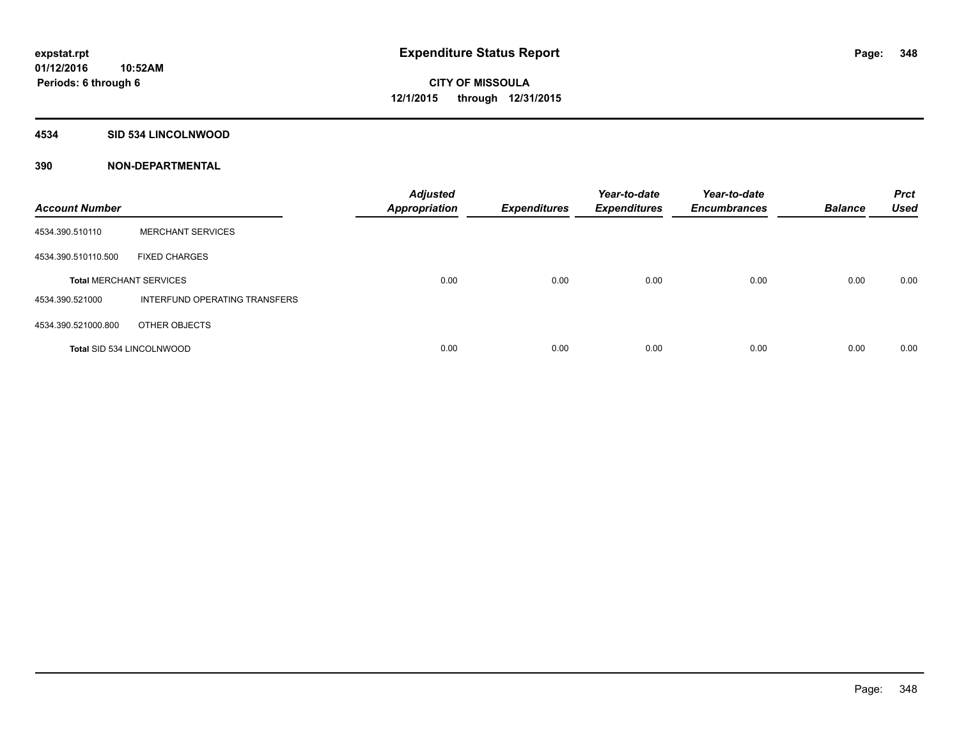## **4534 SID 534 LINCOLNWOOD**

| <b>Account Number</b>            |                               | <b>Adjusted</b><br><b>Appropriation</b> | <b>Expenditures</b> | Year-to-date<br><b>Expenditures</b> | Year-to-date<br><b>Encumbrances</b> | <b>Balance</b> | <b>Prct</b><br><b>Used</b> |
|----------------------------------|-------------------------------|-----------------------------------------|---------------------|-------------------------------------|-------------------------------------|----------------|----------------------------|
| 4534.390.510110                  | <b>MERCHANT SERVICES</b>      |                                         |                     |                                     |                                     |                |                            |
| 4534.390.510110.500              | <b>FIXED CHARGES</b>          |                                         |                     |                                     |                                     |                |                            |
| <b>Total MERCHANT SERVICES</b>   |                               | 0.00                                    | 0.00                | 0.00                                | 0.00                                | 0.00           | 0.00                       |
| 4534.390.521000                  | INTERFUND OPERATING TRANSFERS |                                         |                     |                                     |                                     |                |                            |
| 4534.390.521000.800              | OTHER OBJECTS                 |                                         |                     |                                     |                                     |                |                            |
| <b>Total SID 534 LINCOLNWOOD</b> |                               | 0.00                                    | 0.00                | 0.00                                | 0.00                                | 0.00           | 0.00                       |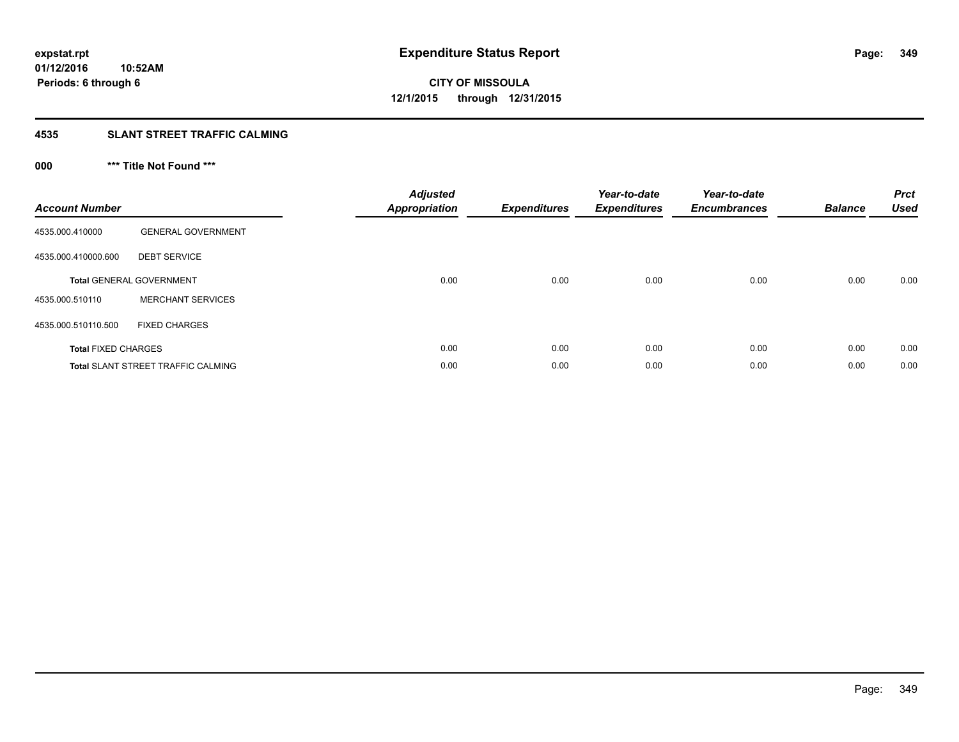# **4535 SLANT STREET TRAFFIC CALMING**

## **000 \*\*\* Title Not Found \*\*\***

| <b>Account Number</b>      |                                           | <b>Adjusted</b><br><b>Appropriation</b> | <b>Expenditures</b> | Year-to-date<br><b>Expenditures</b> | Year-to-date<br><b>Encumbrances</b> | <b>Balance</b> | <b>Prct</b><br><b>Used</b> |
|----------------------------|-------------------------------------------|-----------------------------------------|---------------------|-------------------------------------|-------------------------------------|----------------|----------------------------|
| 4535.000.410000            | <b>GENERAL GOVERNMENT</b>                 |                                         |                     |                                     |                                     |                |                            |
| 4535.000.410000.600        | <b>DEBT SERVICE</b>                       |                                         |                     |                                     |                                     |                |                            |
|                            | <b>Total GENERAL GOVERNMENT</b>           | 0.00                                    | 0.00                | 0.00                                | 0.00                                | 0.00           | 0.00                       |
| 4535.000.510110            | <b>MERCHANT SERVICES</b>                  |                                         |                     |                                     |                                     |                |                            |
| 4535.000.510110.500        | <b>FIXED CHARGES</b>                      |                                         |                     |                                     |                                     |                |                            |
| <b>Total FIXED CHARGES</b> |                                           | 0.00                                    | 0.00                | 0.00                                | 0.00                                | 0.00           | 0.00                       |
|                            | <b>Total SLANT STREET TRAFFIC CALMING</b> | 0.00                                    | 0.00                | 0.00                                | 0.00                                | 0.00           | 0.00                       |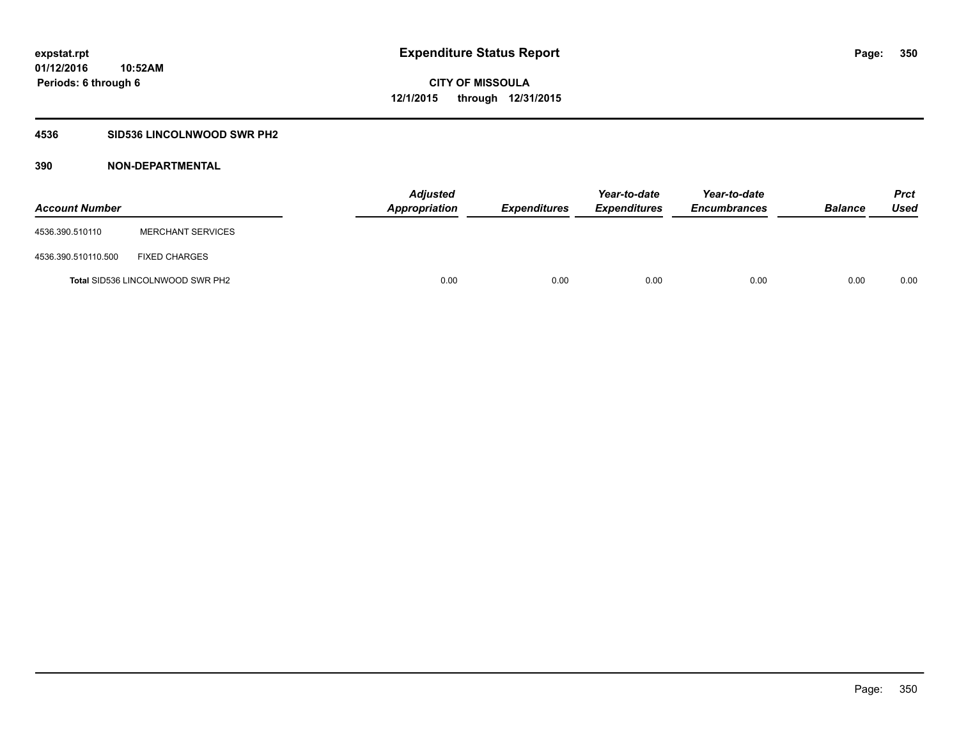## **4536 SID536 LINCOLNWOOD SWR PH2**

| <b>Account Number</b> |                                         | <b>Adjusted</b><br>Appropriation | <b>Expenditures</b> | Year-to-date<br><b>Expenditures</b> | Year-to-date<br><b>Encumbrances</b> | <b>Balance</b> | Prct<br><b>Used</b> |
|-----------------------|-----------------------------------------|----------------------------------|---------------------|-------------------------------------|-------------------------------------|----------------|---------------------|
| 4536.390.510110       | <b>MERCHANT SERVICES</b>                |                                  |                     |                                     |                                     |                |                     |
| 4536.390.510110.500   | <b>FIXED CHARGES</b>                    |                                  |                     |                                     |                                     |                |                     |
|                       | <b>Total SID536 LINCOLNWOOD SWR PH2</b> | 0.00                             | 0.00                | 0.00                                | 0.00                                | 0.00           | 0.00                |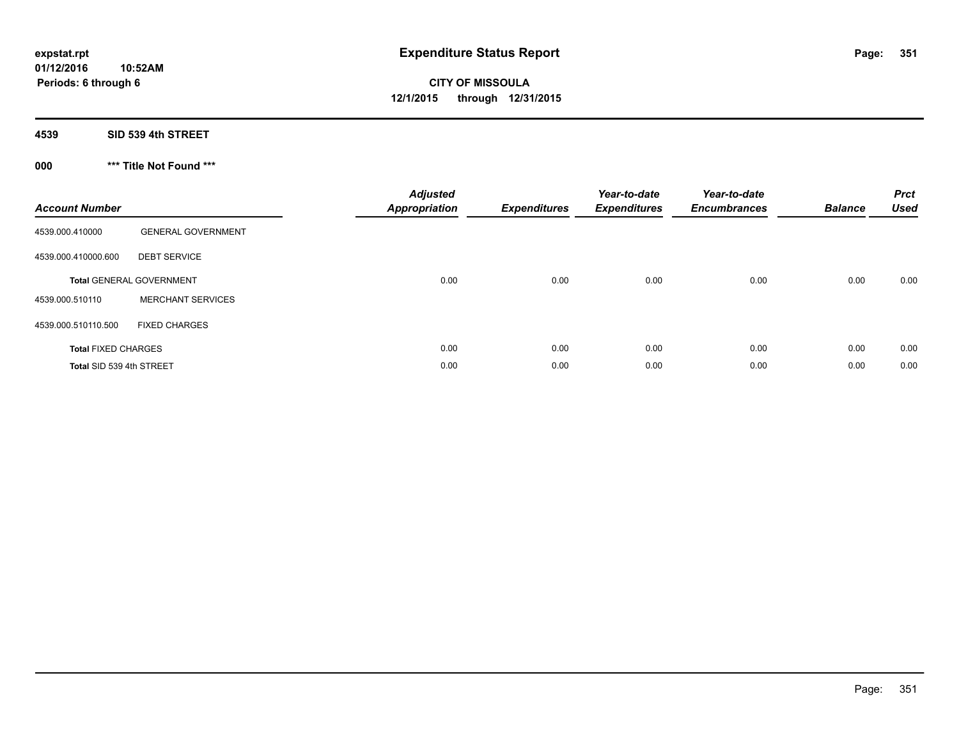## **4539 SID 539 4th STREET**

## **000 \*\*\* Title Not Found \*\*\***

| <b>Account Number</b>      |                                 | <b>Adjusted</b><br><b>Appropriation</b> | <b>Expenditures</b> | Year-to-date<br><b>Expenditures</b> | Year-to-date<br><b>Encumbrances</b> | <b>Balance</b> | <b>Prct</b><br>Used |
|----------------------------|---------------------------------|-----------------------------------------|---------------------|-------------------------------------|-------------------------------------|----------------|---------------------|
| 4539.000.410000            | <b>GENERAL GOVERNMENT</b>       |                                         |                     |                                     |                                     |                |                     |
| 4539.000.410000.600        | <b>DEBT SERVICE</b>             |                                         |                     |                                     |                                     |                |                     |
|                            | <b>Total GENERAL GOVERNMENT</b> | 0.00                                    | 0.00                | 0.00                                | 0.00                                | 0.00           | 0.00                |
| 4539.000.510110            | <b>MERCHANT SERVICES</b>        |                                         |                     |                                     |                                     |                |                     |
| 4539.000.510110.500        | <b>FIXED CHARGES</b>            |                                         |                     |                                     |                                     |                |                     |
| <b>Total FIXED CHARGES</b> |                                 | 0.00                                    | 0.00                | 0.00                                | 0.00                                | 0.00           | 0.00                |
| Total SID 539 4th STREET   |                                 | 0.00                                    | 0.00                | 0.00                                | 0.00                                | 0.00           | 0.00                |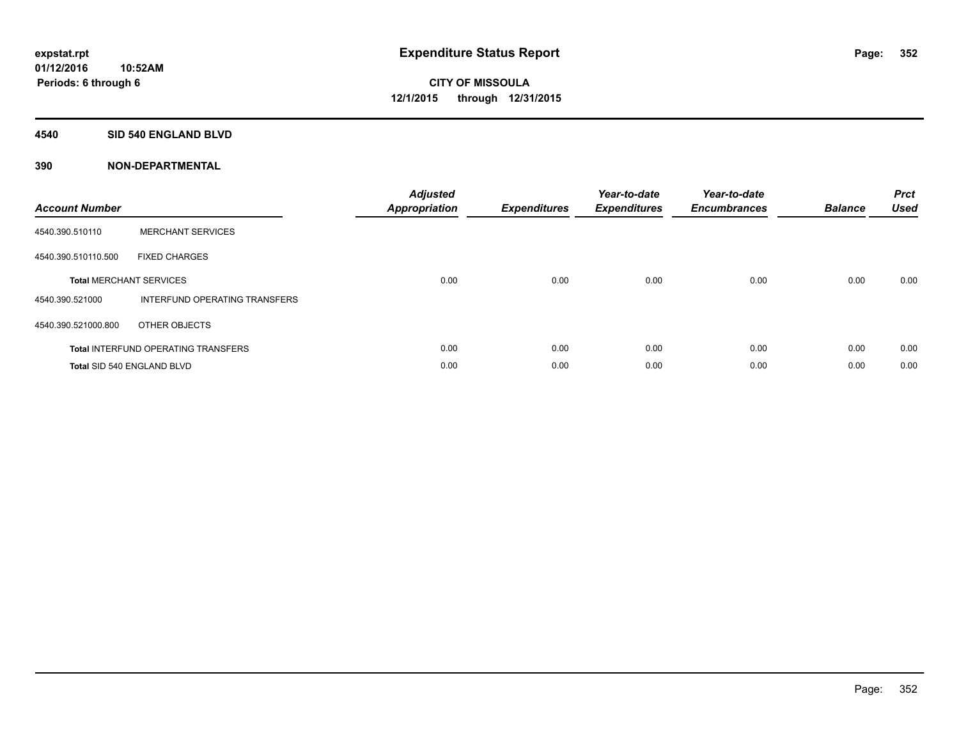## **4540 SID 540 ENGLAND BLVD**

| <b>Account Number</b> |                                            | <b>Adjusted</b><br>Appropriation | <b>Expenditures</b> | Year-to-date<br><b>Expenditures</b> | Year-to-date<br><b>Encumbrances</b> | <b>Balance</b> | <b>Prct</b><br><b>Used</b> |
|-----------------------|--------------------------------------------|----------------------------------|---------------------|-------------------------------------|-------------------------------------|----------------|----------------------------|
| 4540.390.510110       | <b>MERCHANT SERVICES</b>                   |                                  |                     |                                     |                                     |                |                            |
| 4540.390.510110.500   | <b>FIXED CHARGES</b>                       |                                  |                     |                                     |                                     |                |                            |
|                       | <b>Total MERCHANT SERVICES</b>             | 0.00                             | 0.00                | 0.00                                | 0.00                                | 0.00           | 0.00                       |
| 4540.390.521000       | INTERFUND OPERATING TRANSFERS              |                                  |                     |                                     |                                     |                |                            |
| 4540.390.521000.800   | OTHER OBJECTS                              |                                  |                     |                                     |                                     |                |                            |
|                       | <b>Total INTERFUND OPERATING TRANSFERS</b> | 0.00                             | 0.00                | 0.00                                | 0.00                                | 0.00           | 0.00                       |
|                       | Total SID 540 ENGLAND BLVD                 | 0.00                             | 0.00                | 0.00                                | 0.00                                | 0.00           | 0.00                       |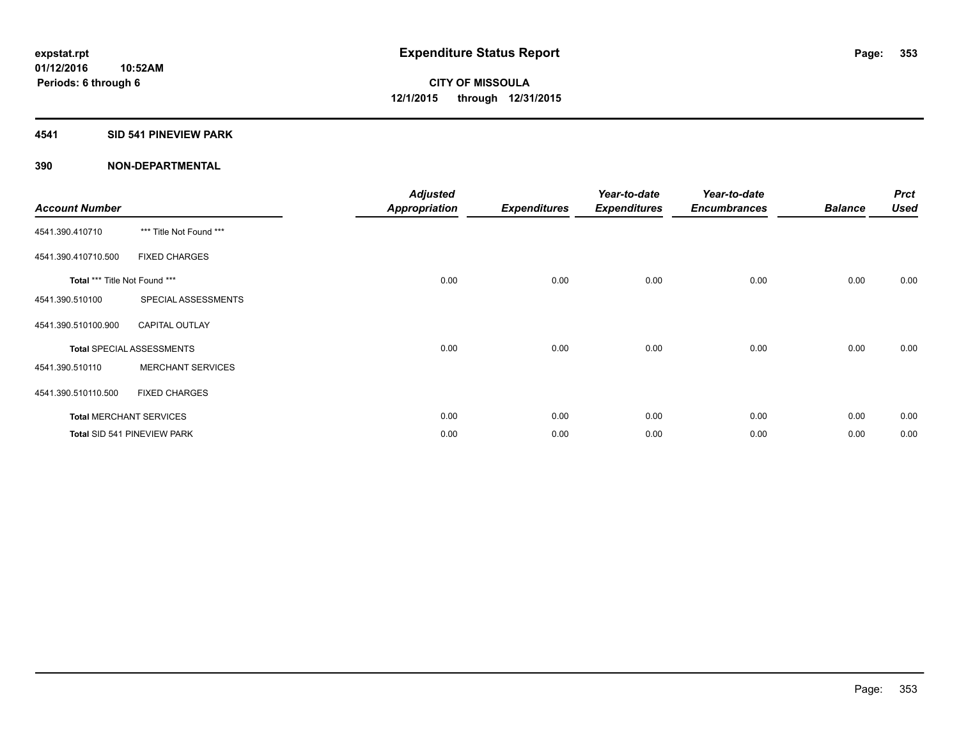## **4541 SID 541 PINEVIEW PARK**

| <b>Account Number</b>         |                                  | <b>Adjusted</b><br><b>Appropriation</b> | <b>Expenditures</b> | Year-to-date<br><b>Expenditures</b> | Year-to-date<br><b>Encumbrances</b> | <b>Balance</b> | <b>Prct</b><br><b>Used</b> |
|-------------------------------|----------------------------------|-----------------------------------------|---------------------|-------------------------------------|-------------------------------------|----------------|----------------------------|
| 4541.390.410710               | *** Title Not Found ***          |                                         |                     |                                     |                                     |                |                            |
| 4541.390.410710.500           | <b>FIXED CHARGES</b>             |                                         |                     |                                     |                                     |                |                            |
| Total *** Title Not Found *** |                                  | 0.00                                    | 0.00                | 0.00                                | 0.00                                | 0.00           | 0.00                       |
| 4541.390.510100               | SPECIAL ASSESSMENTS              |                                         |                     |                                     |                                     |                |                            |
| 4541.390.510100.900           | <b>CAPITAL OUTLAY</b>            |                                         |                     |                                     |                                     |                |                            |
|                               | <b>Total SPECIAL ASSESSMENTS</b> | 0.00                                    | 0.00                | 0.00                                | 0.00                                | 0.00           | 0.00                       |
| 4541.390.510110               | <b>MERCHANT SERVICES</b>         |                                         |                     |                                     |                                     |                |                            |
| 4541.390.510110.500           | <b>FIXED CHARGES</b>             |                                         |                     |                                     |                                     |                |                            |
|                               | <b>Total MERCHANT SERVICES</b>   | 0.00                                    | 0.00                | 0.00                                | 0.00                                | 0.00           | 0.00                       |
|                               | Total SID 541 PINEVIEW PARK      | 0.00                                    | 0.00                | 0.00                                | 0.00                                | 0.00           | 0.00                       |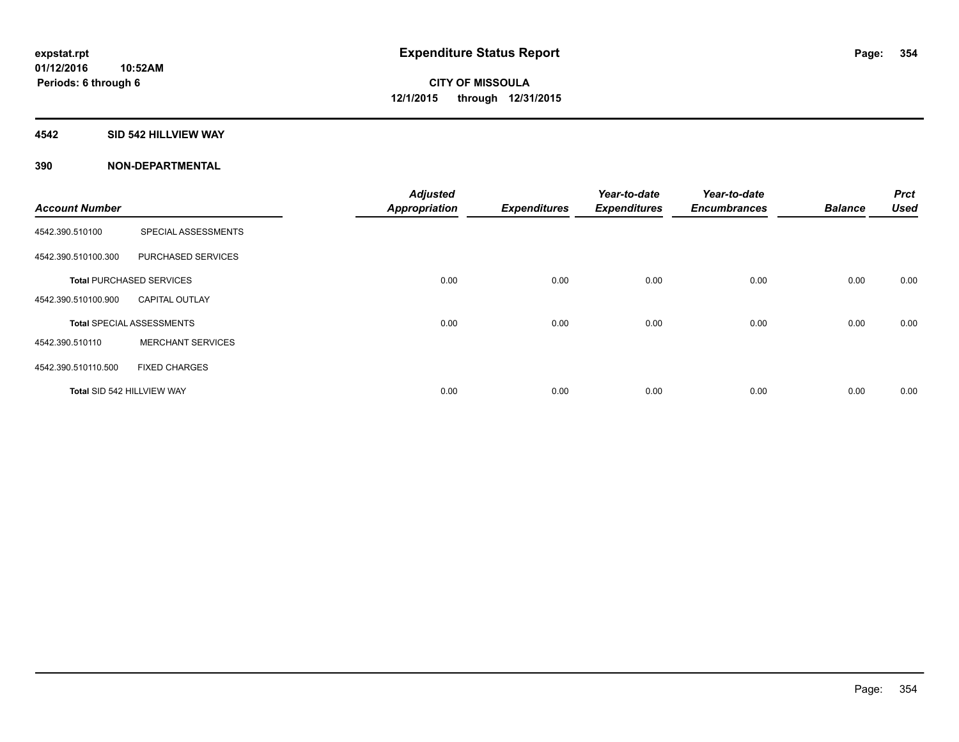## **4542 SID 542 HILLVIEW WAY**

|                            |                                  | <b>Adjusted</b>      |                     | Year-to-date        | Year-to-date        |                | <b>Prct</b> |
|----------------------------|----------------------------------|----------------------|---------------------|---------------------|---------------------|----------------|-------------|
| <b>Account Number</b>      |                                  | <b>Appropriation</b> | <b>Expenditures</b> | <b>Expenditures</b> | <b>Encumbrances</b> | <b>Balance</b> | <b>Used</b> |
| 4542.390.510100            | SPECIAL ASSESSMENTS              |                      |                     |                     |                     |                |             |
| 4542.390.510100.300        | PURCHASED SERVICES               |                      |                     |                     |                     |                |             |
|                            | <b>Total PURCHASED SERVICES</b>  | 0.00                 | 0.00                | 0.00                | 0.00                | 0.00           | 0.00        |
| 4542.390.510100.900        | <b>CAPITAL OUTLAY</b>            |                      |                     |                     |                     |                |             |
|                            | <b>Total SPECIAL ASSESSMENTS</b> | 0.00                 | 0.00                | 0.00                | 0.00                | 0.00           | 0.00        |
| 4542.390.510110            | <b>MERCHANT SERVICES</b>         |                      |                     |                     |                     |                |             |
| 4542.390.510110.500        | <b>FIXED CHARGES</b>             |                      |                     |                     |                     |                |             |
| Total SID 542 HILLVIEW WAY |                                  | 0.00                 | 0.00                | 0.00                | 0.00                | 0.00           | 0.00        |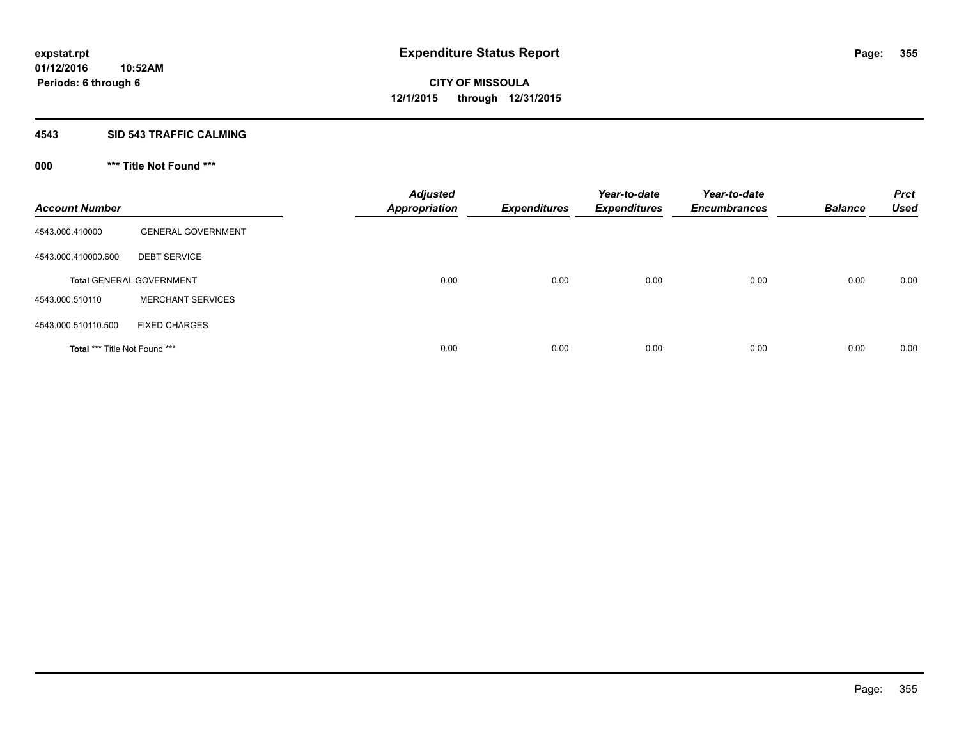## **4543 SID 543 TRAFFIC CALMING**

## **000 \*\*\* Title Not Found \*\*\***

| <b>Account Number</b>                |                                 | <b>Adjusted</b><br><b>Appropriation</b> | <b>Expenditures</b> | Year-to-date<br><b>Expenditures</b> | Year-to-date<br><b>Encumbrances</b> | <b>Balance</b> | <b>Prct</b><br><b>Used</b> |
|--------------------------------------|---------------------------------|-----------------------------------------|---------------------|-------------------------------------|-------------------------------------|----------------|----------------------------|
| 4543.000.410000                      | <b>GENERAL GOVERNMENT</b>       |                                         |                     |                                     |                                     |                |                            |
| 4543.000.410000.600                  | <b>DEBT SERVICE</b>             |                                         |                     |                                     |                                     |                |                            |
|                                      | <b>Total GENERAL GOVERNMENT</b> | 0.00                                    | 0.00                | 0.00                                | 0.00                                | 0.00           | 0.00                       |
| 4543.000.510110                      | <b>MERCHANT SERVICES</b>        |                                         |                     |                                     |                                     |                |                            |
| 4543.000.510110.500                  | <b>FIXED CHARGES</b>            |                                         |                     |                                     |                                     |                |                            |
| <b>Total *** Title Not Found ***</b> |                                 | 0.00                                    | 0.00                | 0.00                                | 0.00                                | 0.00           | 0.00                       |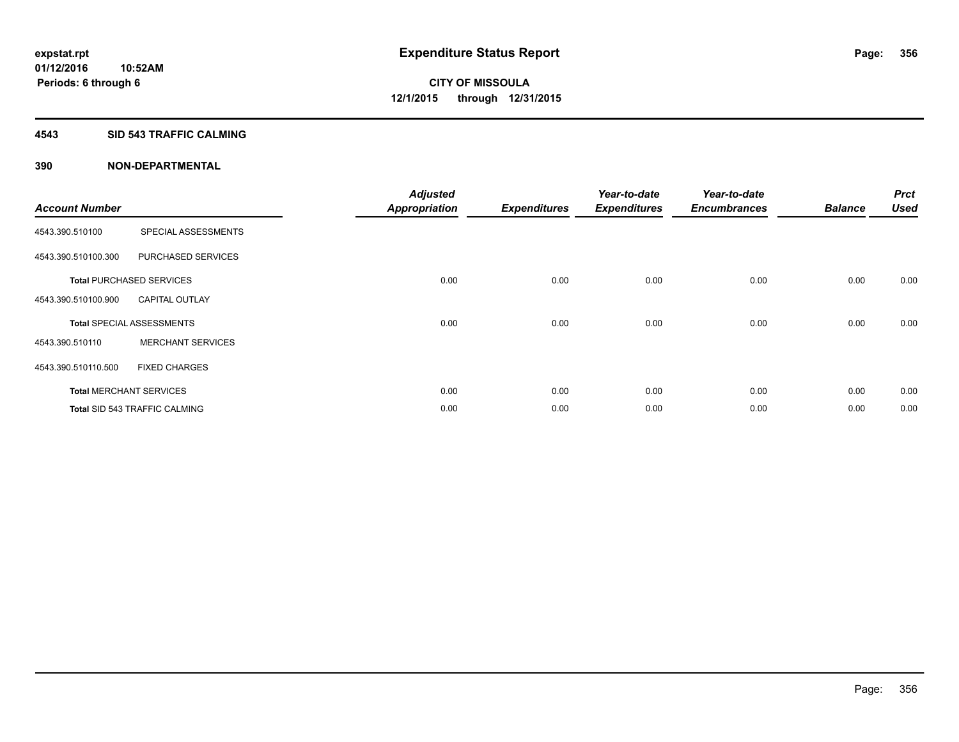## **4543 SID 543 TRAFFIC CALMING**

| <b>Account Number</b> |                                      | <b>Adjusted</b><br><b>Appropriation</b> | <b>Expenditures</b> | Year-to-date<br><b>Expenditures</b> | Year-to-date<br><b>Encumbrances</b> | <b>Balance</b> | <b>Prct</b><br><b>Used</b> |
|-----------------------|--------------------------------------|-----------------------------------------|---------------------|-------------------------------------|-------------------------------------|----------------|----------------------------|
| 4543.390.510100       | SPECIAL ASSESSMENTS                  |                                         |                     |                                     |                                     |                |                            |
| 4543.390.510100.300   | PURCHASED SERVICES                   |                                         |                     |                                     |                                     |                |                            |
|                       | <b>Total PURCHASED SERVICES</b>      | 0.00                                    | 0.00                | 0.00                                | 0.00                                | 0.00           | 0.00                       |
| 4543.390.510100.900   | <b>CAPITAL OUTLAY</b>                |                                         |                     |                                     |                                     |                |                            |
|                       | <b>Total SPECIAL ASSESSMENTS</b>     | 0.00                                    | 0.00                | 0.00                                | 0.00                                | 0.00           | 0.00                       |
| 4543.390.510110       | <b>MERCHANT SERVICES</b>             |                                         |                     |                                     |                                     |                |                            |
| 4543.390.510110.500   | <b>FIXED CHARGES</b>                 |                                         |                     |                                     |                                     |                |                            |
|                       | <b>Total MERCHANT SERVICES</b>       | 0.00                                    | 0.00                | 0.00                                | 0.00                                | 0.00           | 0.00                       |
|                       | <b>Total SID 543 TRAFFIC CALMING</b> | 0.00                                    | 0.00                | 0.00                                | 0.00                                | 0.00           | 0.00                       |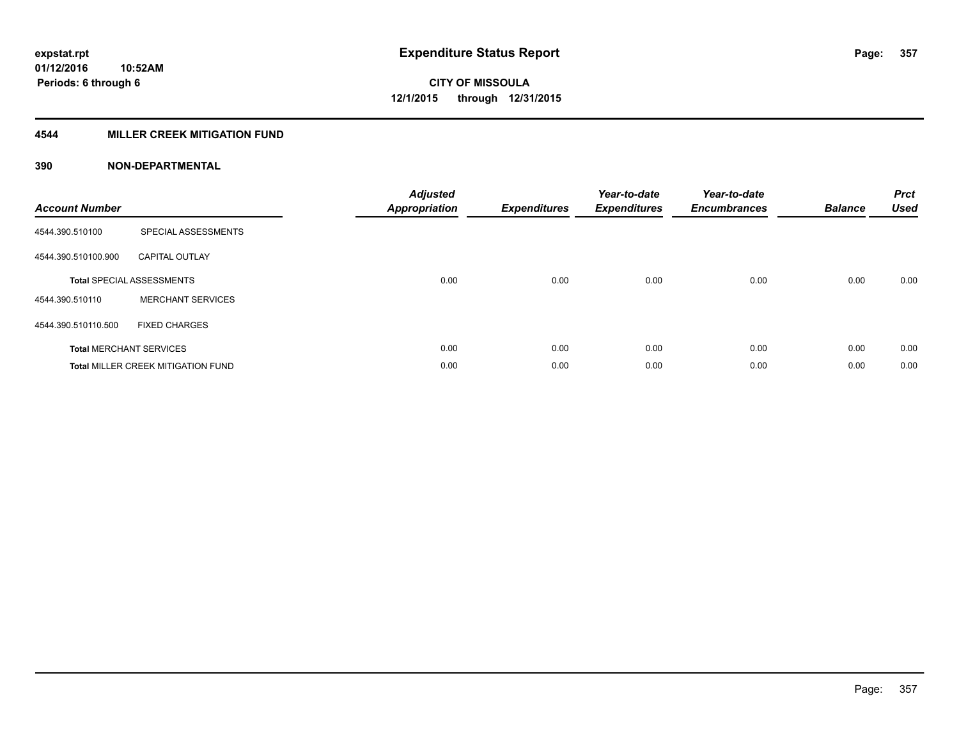## **4544 MILLER CREEK MITIGATION FUND**

| <b>Account Number</b> |                                           | <b>Adjusted</b><br><b>Appropriation</b> | <b>Expenditures</b> | Year-to-date<br><b>Expenditures</b> | Year-to-date<br><b>Encumbrances</b> | <b>Balance</b> | <b>Prct</b><br><b>Used</b> |
|-----------------------|-------------------------------------------|-----------------------------------------|---------------------|-------------------------------------|-------------------------------------|----------------|----------------------------|
| 4544.390.510100       | SPECIAL ASSESSMENTS                       |                                         |                     |                                     |                                     |                |                            |
| 4544.390.510100.900   | <b>CAPITAL OUTLAY</b>                     |                                         |                     |                                     |                                     |                |                            |
|                       | <b>Total SPECIAL ASSESSMENTS</b>          | 0.00                                    | 0.00                | 0.00                                | 0.00                                | 0.00           | 0.00                       |
| 4544.390.510110       | <b>MERCHANT SERVICES</b>                  |                                         |                     |                                     |                                     |                |                            |
| 4544.390.510110.500   | <b>FIXED CHARGES</b>                      |                                         |                     |                                     |                                     |                |                            |
|                       | <b>Total MERCHANT SERVICES</b>            | 0.00                                    | 0.00                | 0.00                                | 0.00                                | 0.00           | 0.00                       |
|                       | <b>Total MILLER CREEK MITIGATION FUND</b> | 0.00                                    | 0.00                | 0.00                                | 0.00                                | 0.00           | 0.00                       |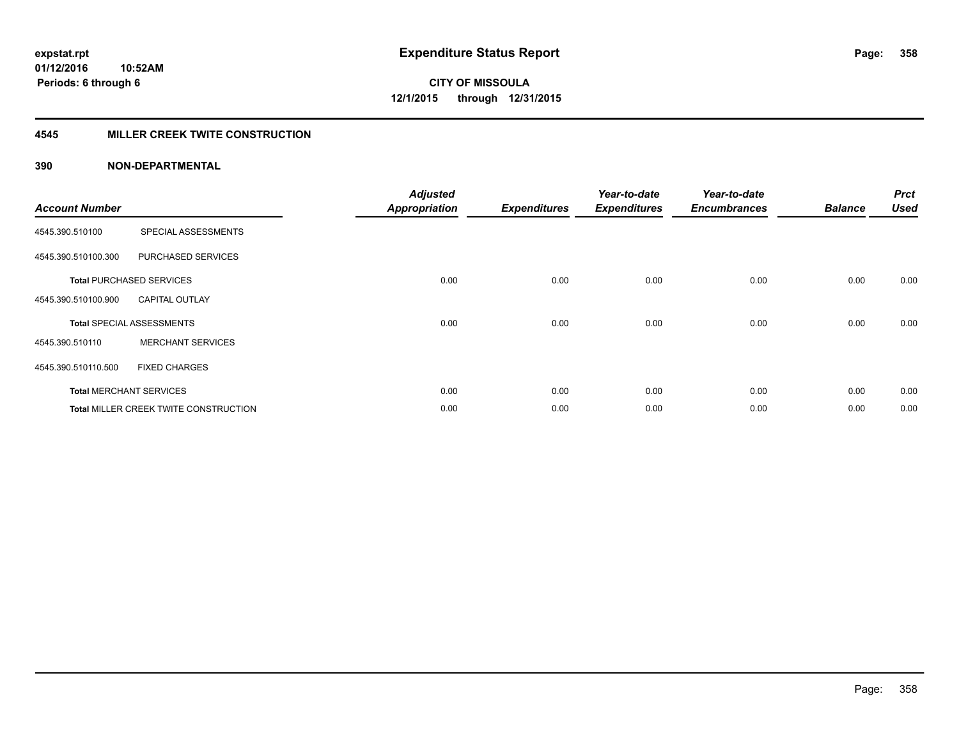## **4545 MILLER CREEK TWITE CONSTRUCTION**

| <b>Account Number</b> |                                              | <b>Adjusted</b><br><b>Appropriation</b> | <b>Expenditures</b> | Year-to-date<br><b>Expenditures</b> | Year-to-date<br><b>Encumbrances</b> | <b>Balance</b> | <b>Prct</b><br><b>Used</b> |
|-----------------------|----------------------------------------------|-----------------------------------------|---------------------|-------------------------------------|-------------------------------------|----------------|----------------------------|
| 4545.390.510100       | SPECIAL ASSESSMENTS                          |                                         |                     |                                     |                                     |                |                            |
| 4545.390.510100.300   | PURCHASED SERVICES                           |                                         |                     |                                     |                                     |                |                            |
|                       | <b>Total PURCHASED SERVICES</b>              | 0.00                                    | 0.00                | 0.00                                | 0.00                                | 0.00           | 0.00                       |
| 4545.390.510100.900   | <b>CAPITAL OUTLAY</b>                        |                                         |                     |                                     |                                     |                |                            |
|                       | <b>Total SPECIAL ASSESSMENTS</b>             | 0.00                                    | 0.00                | 0.00                                | 0.00                                | 0.00           | 0.00                       |
| 4545.390.510110       | <b>MERCHANT SERVICES</b>                     |                                         |                     |                                     |                                     |                |                            |
| 4545.390.510110.500   | <b>FIXED CHARGES</b>                         |                                         |                     |                                     |                                     |                |                            |
|                       | <b>Total MERCHANT SERVICES</b>               | 0.00                                    | 0.00                | 0.00                                | 0.00                                | 0.00           | 0.00                       |
|                       | <b>Total MILLER CREEK TWITE CONSTRUCTION</b> | 0.00                                    | 0.00                | 0.00                                | 0.00                                | 0.00           | 0.00                       |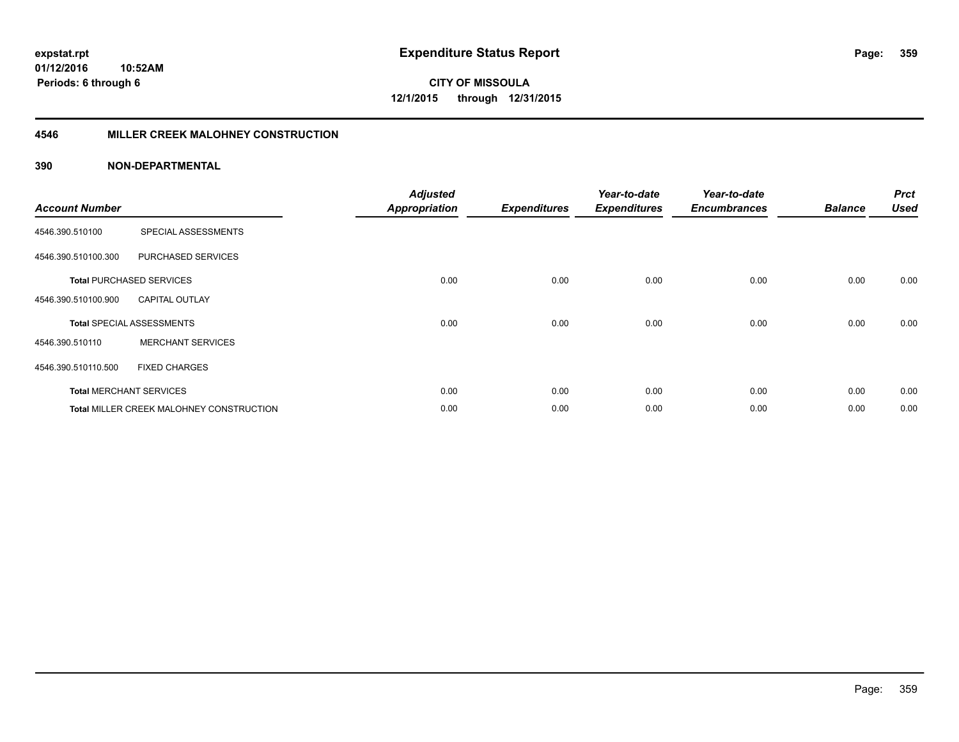## **4546 MILLER CREEK MALOHNEY CONSTRUCTION**

| <b>Account Number</b> |                                          | <b>Adjusted</b><br><b>Appropriation</b> | <b>Expenditures</b> | Year-to-date<br><b>Expenditures</b> | Year-to-date<br><b>Encumbrances</b> | <b>Balance</b> | <b>Prct</b><br><b>Used</b> |
|-----------------------|------------------------------------------|-----------------------------------------|---------------------|-------------------------------------|-------------------------------------|----------------|----------------------------|
| 4546.390.510100       | SPECIAL ASSESSMENTS                      |                                         |                     |                                     |                                     |                |                            |
| 4546.390.510100.300   | PURCHASED SERVICES                       |                                         |                     |                                     |                                     |                |                            |
|                       | <b>Total PURCHASED SERVICES</b>          | 0.00                                    | 0.00                | 0.00                                | 0.00                                | 0.00           | 0.00                       |
| 4546.390.510100.900   | <b>CAPITAL OUTLAY</b>                    |                                         |                     |                                     |                                     |                |                            |
|                       | <b>Total SPECIAL ASSESSMENTS</b>         | 0.00                                    | 0.00                | 0.00                                | 0.00                                | 0.00           | 0.00                       |
| 4546.390.510110       | <b>MERCHANT SERVICES</b>                 |                                         |                     |                                     |                                     |                |                            |
| 4546.390.510110.500   | <b>FIXED CHARGES</b>                     |                                         |                     |                                     |                                     |                |                            |
|                       | <b>Total MERCHANT SERVICES</b>           | 0.00                                    | 0.00                | 0.00                                | 0.00                                | 0.00           | 0.00                       |
|                       | Total MILLER CREEK MALOHNEY CONSTRUCTION | 0.00                                    | 0.00                | 0.00                                | 0.00                                | 0.00           | 0.00                       |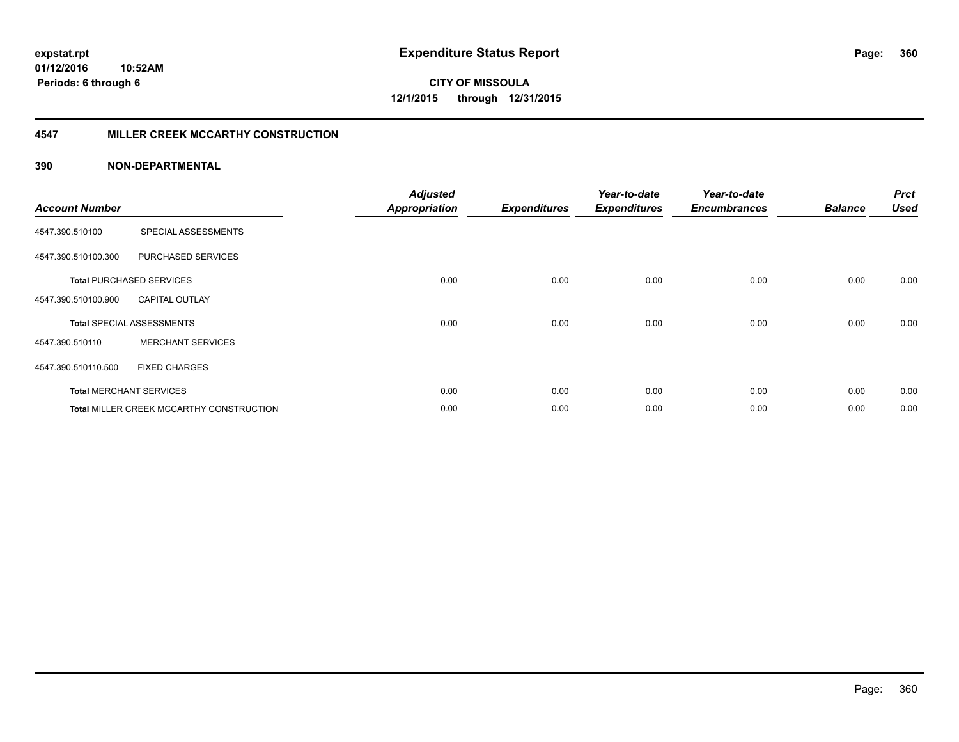## **4547 MILLER CREEK MCCARTHY CONSTRUCTION**

| <b>Account Number</b> |                                                 | <b>Adjusted</b><br><b>Appropriation</b> | <b>Expenditures</b> | Year-to-date<br><b>Expenditures</b> | Year-to-date<br><b>Encumbrances</b> | <b>Balance</b> | <b>Prct</b><br><b>Used</b> |
|-----------------------|-------------------------------------------------|-----------------------------------------|---------------------|-------------------------------------|-------------------------------------|----------------|----------------------------|
| 4547.390.510100       | SPECIAL ASSESSMENTS                             |                                         |                     |                                     |                                     |                |                            |
| 4547.390.510100.300   | PURCHASED SERVICES                              |                                         |                     |                                     |                                     |                |                            |
|                       | <b>Total PURCHASED SERVICES</b>                 | 0.00                                    | 0.00                | 0.00                                | 0.00                                | 0.00           | 0.00                       |
| 4547.390.510100.900   | <b>CAPITAL OUTLAY</b>                           |                                         |                     |                                     |                                     |                |                            |
|                       | <b>Total SPECIAL ASSESSMENTS</b>                | 0.00                                    | 0.00                | 0.00                                | 0.00                                | 0.00           | 0.00                       |
| 4547.390.510110       | <b>MERCHANT SERVICES</b>                        |                                         |                     |                                     |                                     |                |                            |
| 4547.390.510110.500   | <b>FIXED CHARGES</b>                            |                                         |                     |                                     |                                     |                |                            |
|                       | <b>Total MERCHANT SERVICES</b>                  | 0.00                                    | 0.00                | 0.00                                | 0.00                                | 0.00           | 0.00                       |
|                       | <b>Total MILLER CREEK MCCARTHY CONSTRUCTION</b> | 0.00                                    | 0.00                | 0.00                                | 0.00                                | 0.00           | 0.00                       |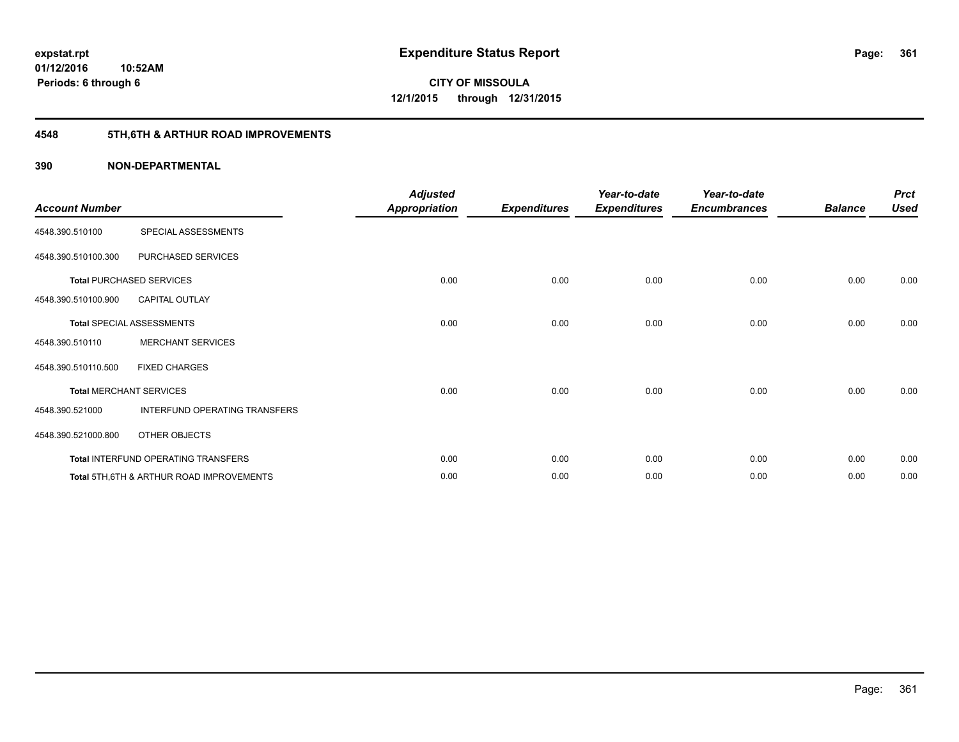## **4548 5TH,6TH & ARTHUR ROAD IMPROVEMENTS**

| <b>Account Number</b> |                                           | <b>Adjusted</b><br><b>Appropriation</b> | <b>Expenditures</b> | Year-to-date<br><b>Expenditures</b> | Year-to-date<br><b>Encumbrances</b> | <b>Balance</b> | <b>Prct</b><br><b>Used</b> |
|-----------------------|-------------------------------------------|-----------------------------------------|---------------------|-------------------------------------|-------------------------------------|----------------|----------------------------|
| 4548.390.510100       | SPECIAL ASSESSMENTS                       |                                         |                     |                                     |                                     |                |                            |
| 4548.390.510100.300   | PURCHASED SERVICES                        |                                         |                     |                                     |                                     |                |                            |
|                       | <b>Total PURCHASED SERVICES</b>           | 0.00                                    | 0.00                | 0.00                                | 0.00                                | 0.00           | 0.00                       |
| 4548.390.510100.900   | <b>CAPITAL OUTLAY</b>                     |                                         |                     |                                     |                                     |                |                            |
|                       | Total SPECIAL ASSESSMENTS                 | 0.00                                    | 0.00                | 0.00                                | 0.00                                | 0.00           | 0.00                       |
| 4548.390.510110       | <b>MERCHANT SERVICES</b>                  |                                         |                     |                                     |                                     |                |                            |
| 4548.390.510110.500   | <b>FIXED CHARGES</b>                      |                                         |                     |                                     |                                     |                |                            |
|                       | <b>Total MERCHANT SERVICES</b>            | 0.00                                    | 0.00                | 0.00                                | 0.00                                | 0.00           | 0.00                       |
| 4548.390.521000       | INTERFUND OPERATING TRANSFERS             |                                         |                     |                                     |                                     |                |                            |
| 4548.390.521000.800   | OTHER OBJECTS                             |                                         |                     |                                     |                                     |                |                            |
|                       | Total INTERFUND OPERATING TRANSFERS       | 0.00                                    | 0.00                | 0.00                                | 0.00                                | 0.00           | 0.00                       |
|                       | Total 5TH, 6TH & ARTHUR ROAD IMPROVEMENTS | 0.00                                    | 0.00                | 0.00                                | 0.00                                | 0.00           | 0.00                       |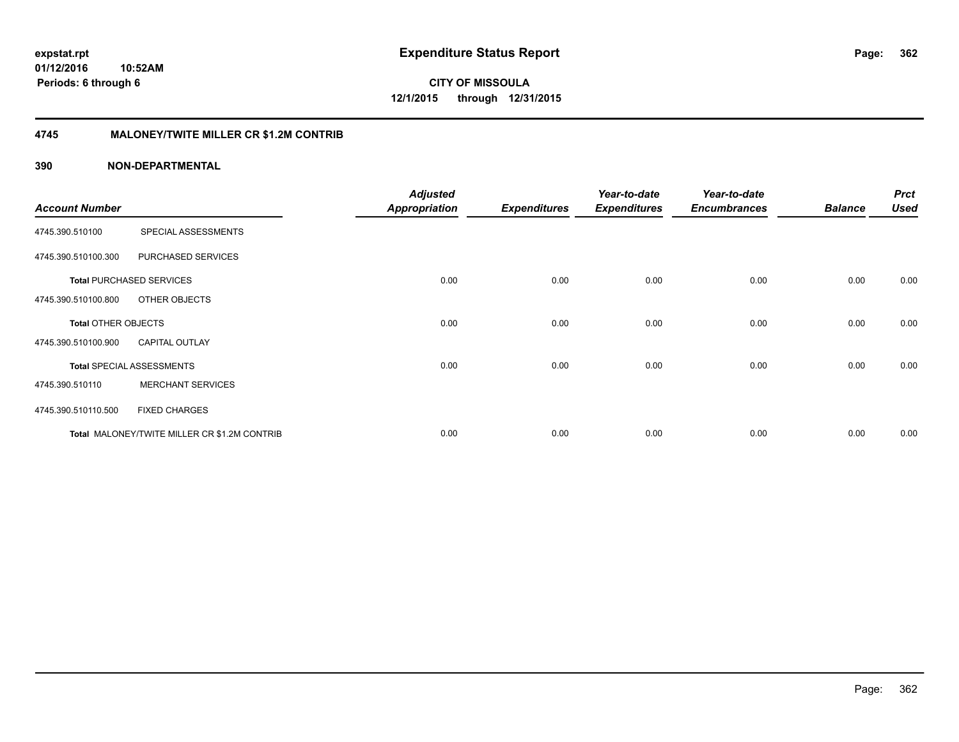#### **4745 MALONEY/TWITE MILLER CR \$1.2M CONTRIB**

| <b>Account Number</b>      |                                              | <b>Adjusted</b><br><b>Appropriation</b> | <b>Expenditures</b> | Year-to-date<br><b>Expenditures</b> | Year-to-date<br><b>Encumbrances</b> | <b>Balance</b> | <b>Prct</b><br><b>Used</b> |
|----------------------------|----------------------------------------------|-----------------------------------------|---------------------|-------------------------------------|-------------------------------------|----------------|----------------------------|
|                            |                                              |                                         |                     |                                     |                                     |                |                            |
| 4745.390.510100            | SPECIAL ASSESSMENTS                          |                                         |                     |                                     |                                     |                |                            |
| 4745.390.510100.300        | PURCHASED SERVICES                           |                                         |                     |                                     |                                     |                |                            |
|                            | <b>Total PURCHASED SERVICES</b>              | 0.00                                    | 0.00                | 0.00                                | 0.00                                | 0.00           | 0.00                       |
| 4745.390.510100.800        | OTHER OBJECTS                                |                                         |                     |                                     |                                     |                |                            |
| <b>Total OTHER OBJECTS</b> |                                              | 0.00                                    | 0.00                | 0.00                                | 0.00                                | 0.00           | 0.00                       |
| 4745.390.510100.900        | <b>CAPITAL OUTLAY</b>                        |                                         |                     |                                     |                                     |                |                            |
|                            | <b>Total SPECIAL ASSESSMENTS</b>             | 0.00                                    | 0.00                | 0.00                                | 0.00                                | 0.00           | 0.00                       |
| 4745.390.510110            | <b>MERCHANT SERVICES</b>                     |                                         |                     |                                     |                                     |                |                            |
| 4745.390.510110.500        | <b>FIXED CHARGES</b>                         |                                         |                     |                                     |                                     |                |                            |
|                            | Total MALONEY/TWITE MILLER CR \$1.2M CONTRIB | 0.00                                    | 0.00                | 0.00                                | 0.00                                | 0.00           | 0.00                       |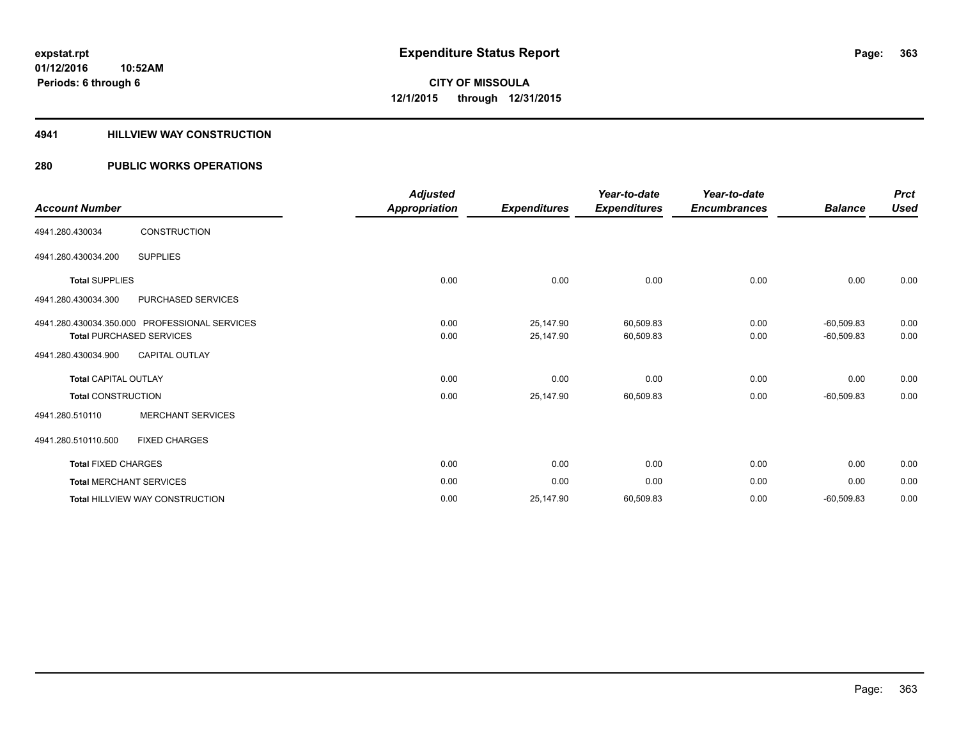#### **4941 HILLVIEW WAY CONSTRUCTION**

### **280 PUBLIC WORKS OPERATIONS**

|                                               |                          | <b>Adjusted</b>      |                     | Year-to-date        | Year-to-date        |                | <b>Prct</b> |
|-----------------------------------------------|--------------------------|----------------------|---------------------|---------------------|---------------------|----------------|-------------|
| <b>Account Number</b>                         |                          | <b>Appropriation</b> | <b>Expenditures</b> | <b>Expenditures</b> | <b>Encumbrances</b> | <b>Balance</b> | <b>Used</b> |
| 4941.280.430034                               | <b>CONSTRUCTION</b>      |                      |                     |                     |                     |                |             |
| 4941.280.430034.200                           | <b>SUPPLIES</b>          |                      |                     |                     |                     |                |             |
| <b>Total SUPPLIES</b>                         |                          | 0.00                 | 0.00                | 0.00                | 0.00                | 0.00           | 0.00        |
| 4941.280.430034.300                           | PURCHASED SERVICES       |                      |                     |                     |                     |                |             |
| 4941.280.430034.350.000 PROFESSIONAL SERVICES |                          | 0.00                 | 25,147.90           | 60,509.83           | 0.00                | $-60.509.83$   | 0.00        |
| <b>Total PURCHASED SERVICES</b>               |                          | 0.00                 | 25,147.90           | 60,509.83           | 0.00                | $-60,509.83$   | 0.00        |
| 4941.280.430034.900                           | <b>CAPITAL OUTLAY</b>    |                      |                     |                     |                     |                |             |
| <b>Total CAPITAL OUTLAY</b>                   |                          | 0.00                 | 0.00                | 0.00                | 0.00                | 0.00           | 0.00        |
| <b>Total CONSTRUCTION</b>                     |                          | 0.00                 | 25,147.90           | 60,509.83           | 0.00                | $-60,509.83$   | 0.00        |
| 4941.280.510110                               | <b>MERCHANT SERVICES</b> |                      |                     |                     |                     |                |             |
| 4941.280.510110.500                           | <b>FIXED CHARGES</b>     |                      |                     |                     |                     |                |             |
| <b>Total FIXED CHARGES</b>                    |                          | 0.00                 | 0.00                | 0.00                | 0.00                | 0.00           | 0.00        |
| <b>Total MERCHANT SERVICES</b>                |                          | 0.00                 | 0.00                | 0.00                | 0.00                | 0.00           | 0.00        |
| <b>Total HILLVIEW WAY CONSTRUCTION</b>        |                          | 0.00                 | 25,147.90           | 60,509.83           | 0.00                | $-60,509.83$   | 0.00        |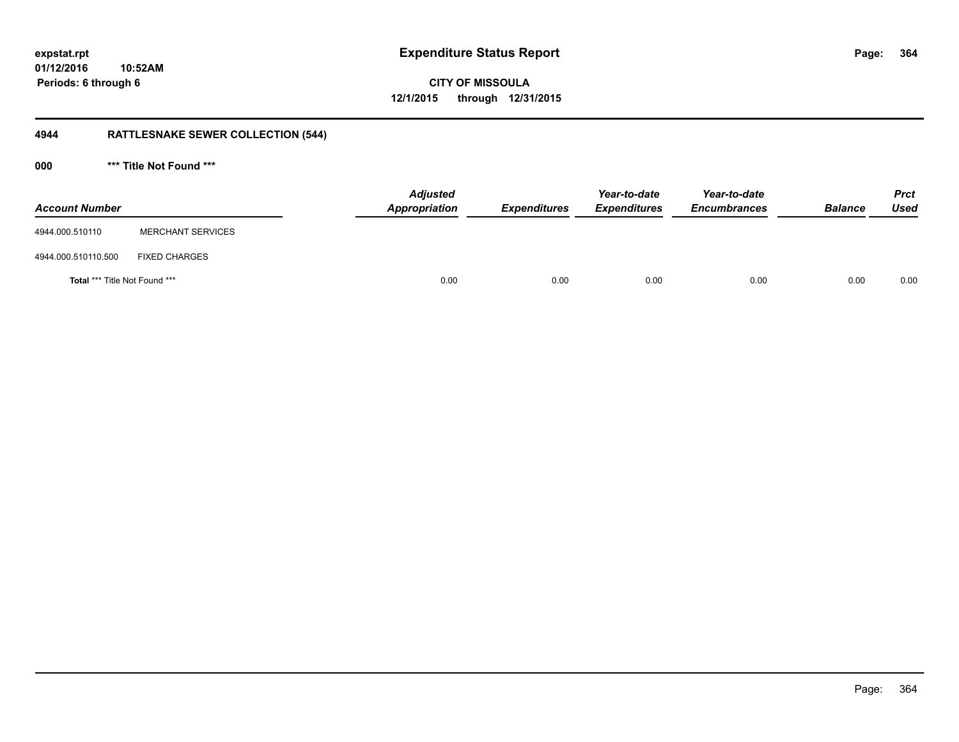**01/12/2016 10:52AM Periods: 6 through 6**

**CITY OF MISSOULA 12/1/2015 through 12/31/2015**

## **4944 RATTLESNAKE SEWER COLLECTION (544)**

**000 \*\*\* Title Not Found \*\*\***

| <b>Account Number</b>                |                          | <b>Adjusted</b><br>Appropriation | <b>Expenditures</b> | Year-to-date<br><b>Expenditures</b> | Year-to-date<br><b>Encumbrances</b> | <b>Balance</b> | <b>Prct</b><br><b>Used</b> |
|--------------------------------------|--------------------------|----------------------------------|---------------------|-------------------------------------|-------------------------------------|----------------|----------------------------|
| 4944.000.510110                      | <b>MERCHANT SERVICES</b> |                                  |                     |                                     |                                     |                |                            |
| 4944.000.510110.500                  | <b>FIXED CHARGES</b>     |                                  |                     |                                     |                                     |                |                            |
| <b>Total *** Title Not Found ***</b> |                          | 0.00                             | 0.00                | 0.00                                | 0.00                                | 0.00           | 0.00                       |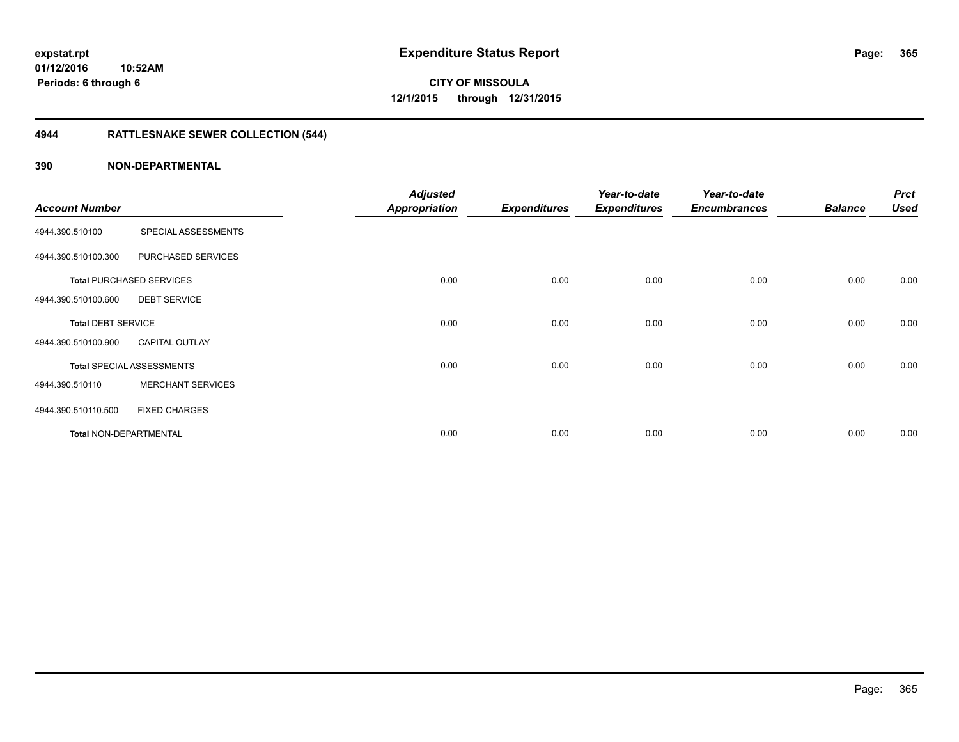## **4944 RATTLESNAKE SEWER COLLECTION (544)**

|                               |                                  | <b>Adjusted</b>      |                     | Year-to-date        | Year-to-date        |                | <b>Prct</b> |
|-------------------------------|----------------------------------|----------------------|---------------------|---------------------|---------------------|----------------|-------------|
| <b>Account Number</b>         |                                  | <b>Appropriation</b> | <b>Expenditures</b> | <b>Expenditures</b> | <b>Encumbrances</b> | <b>Balance</b> | <b>Used</b> |
| 4944.390.510100               | SPECIAL ASSESSMENTS              |                      |                     |                     |                     |                |             |
| 4944.390.510100.300           | PURCHASED SERVICES               |                      |                     |                     |                     |                |             |
|                               | <b>Total PURCHASED SERVICES</b>  | 0.00                 | 0.00                | 0.00                | 0.00                | 0.00           | 0.00        |
| 4944.390.510100.600           | <b>DEBT SERVICE</b>              |                      |                     |                     |                     |                |             |
| <b>Total DEBT SERVICE</b>     |                                  | 0.00                 | 0.00                | 0.00                | 0.00                | 0.00           | 0.00        |
| 4944.390.510100.900           | <b>CAPITAL OUTLAY</b>            |                      |                     |                     |                     |                |             |
|                               | <b>Total SPECIAL ASSESSMENTS</b> | 0.00                 | 0.00                | 0.00                | 0.00                | 0.00           | 0.00        |
| 4944.390.510110               | <b>MERCHANT SERVICES</b>         |                      |                     |                     |                     |                |             |
| 4944.390.510110.500           | <b>FIXED CHARGES</b>             |                      |                     |                     |                     |                |             |
| <b>Total NON-DEPARTMENTAL</b> |                                  | 0.00                 | 0.00                | 0.00                | 0.00                | 0.00           | 0.00        |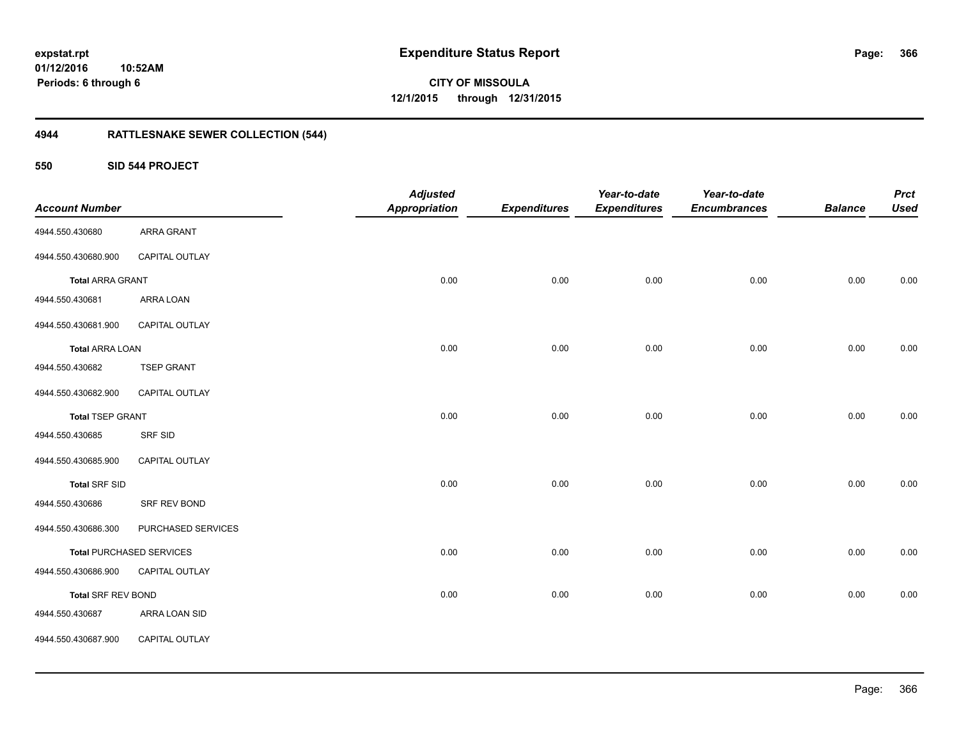#### **01/12/2016 10:52AM Periods: 6 through 6**

**366**

**CITY OF MISSOULA 12/1/2015 through 12/31/2015**

## **4944 RATTLESNAKE SEWER COLLECTION (544)**

**550 SID 544 PROJECT**

| <b>Account Number</b>   |                                 | <b>Adjusted</b><br><b>Appropriation</b> | <b>Expenditures</b> | Year-to-date<br><b>Expenditures</b> | Year-to-date<br><b>Encumbrances</b> | <b>Balance</b> | <b>Prct</b><br><b>Used</b> |
|-------------------------|---------------------------------|-----------------------------------------|---------------------|-------------------------------------|-------------------------------------|----------------|----------------------------|
| 4944.550.430680         | ARRA GRANT                      |                                         |                     |                                     |                                     |                |                            |
| 4944.550.430680.900     | <b>CAPITAL OUTLAY</b>           |                                         |                     |                                     |                                     |                |                            |
| <b>Total ARRA GRANT</b> |                                 | 0.00                                    | 0.00                | 0.00                                | 0.00                                | 0.00           | 0.00                       |
| 4944.550.430681         | ARRA LOAN                       |                                         |                     |                                     |                                     |                |                            |
| 4944.550.430681.900     | <b>CAPITAL OUTLAY</b>           |                                         |                     |                                     |                                     |                |                            |
| <b>Total ARRA LOAN</b>  |                                 | 0.00                                    | 0.00                | 0.00                                | 0.00                                | 0.00           | 0.00                       |
| 4944.550.430682         | <b>TSEP GRANT</b>               |                                         |                     |                                     |                                     |                |                            |
| 4944.550.430682.900     | CAPITAL OUTLAY                  |                                         |                     |                                     |                                     |                |                            |
| <b>Total TSEP GRANT</b> |                                 | 0.00                                    | 0.00                | 0.00                                | 0.00                                | 0.00           | 0.00                       |
| 4944.550.430685         | SRF SID                         |                                         |                     |                                     |                                     |                |                            |
| 4944.550.430685.900     | CAPITAL OUTLAY                  |                                         |                     |                                     |                                     |                |                            |
| <b>Total SRF SID</b>    |                                 | 0.00                                    | 0.00                | 0.00                                | 0.00                                | 0.00           | 0.00                       |
| 4944.550.430686         | SRF REV BOND                    |                                         |                     |                                     |                                     |                |                            |
| 4944.550.430686.300     | PURCHASED SERVICES              |                                         |                     |                                     |                                     |                |                            |
|                         | <b>Total PURCHASED SERVICES</b> | 0.00                                    | 0.00                | 0.00                                | 0.00                                | 0.00           | 0.00                       |
| 4944.550.430686.900     | CAPITAL OUTLAY                  |                                         |                     |                                     |                                     |                |                            |
| Total SRF REV BOND      |                                 | 0.00                                    | 0.00                | 0.00                                | 0.00                                | 0.00           | 0.00                       |
| 4944.550.430687         | ARRA LOAN SID                   |                                         |                     |                                     |                                     |                |                            |
| 4944.550.430687.900     | CAPITAL OUTLAY                  |                                         |                     |                                     |                                     |                |                            |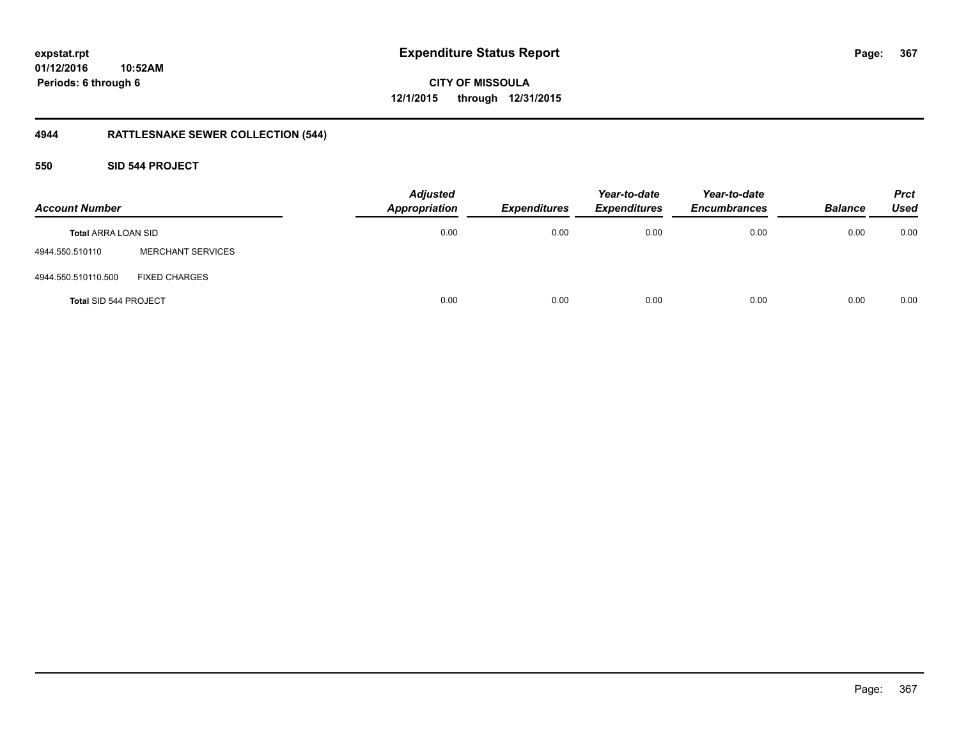### **01/12/2016 10:52AM Periods: 6 through 6**

**CITY OF MISSOULA 12/1/2015 through 12/31/2015**

## **4944 RATTLESNAKE SEWER COLLECTION (544)**

#### **550 SID 544 PROJECT**

| <b>Account Number</b>      |                          | <b>Adjusted</b><br><b>Appropriation</b> | <b>Expenditures</b> | Year-to-date<br><b>Expenditures</b> | Year-to-date<br><b>Encumbrances</b> | <b>Balance</b> | <b>Prct</b><br><b>Used</b> |
|----------------------------|--------------------------|-----------------------------------------|---------------------|-------------------------------------|-------------------------------------|----------------|----------------------------|
| <b>Total ARRA LOAN SID</b> |                          | 0.00                                    | 0.00                | 0.00                                | 0.00                                | 0.00           | 0.00                       |
| 4944.550.510110            | <b>MERCHANT SERVICES</b> |                                         |                     |                                     |                                     |                |                            |
| 4944.550.510110.500        | <b>FIXED CHARGES</b>     |                                         |                     |                                     |                                     |                |                            |
| Total SID 544 PROJECT      |                          | 0.00                                    | 0.00                | 0.00                                | 0.00                                | 0.00           | 0.00                       |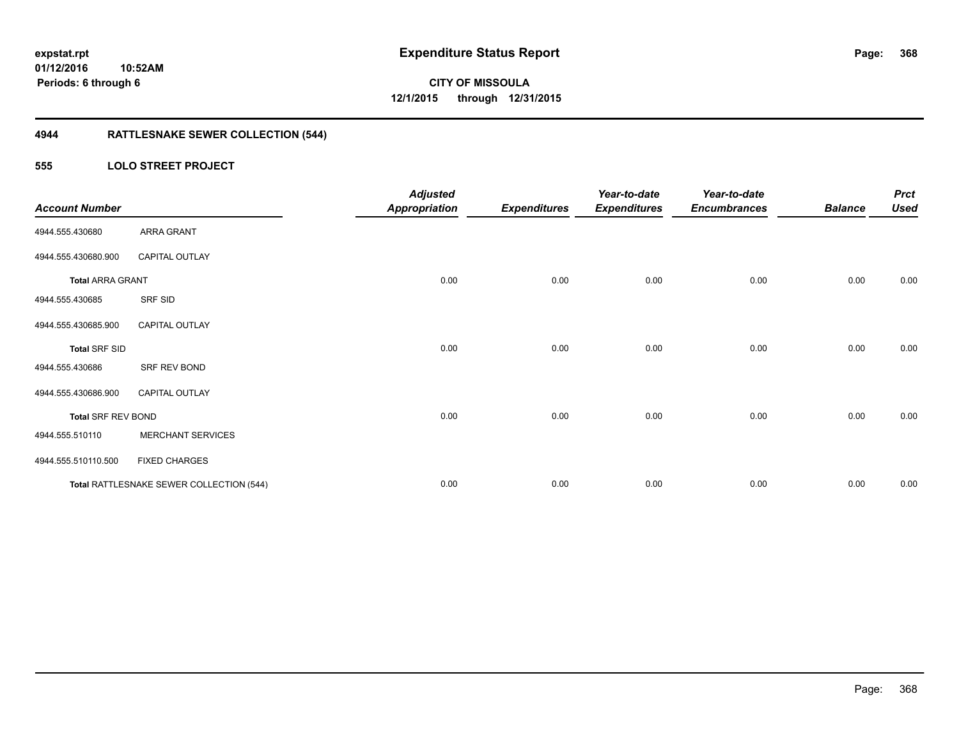## **4944 RATTLESNAKE SEWER COLLECTION (544)**

#### **555 LOLO STREET PROJECT**

| <b>Account Number</b>     |                                          | <b>Adjusted</b><br><b>Appropriation</b> | <b>Expenditures</b> | Year-to-date<br><b>Expenditures</b> | Year-to-date<br><b>Encumbrances</b> | <b>Balance</b> | <b>Prct</b><br><b>Used</b> |
|---------------------------|------------------------------------------|-----------------------------------------|---------------------|-------------------------------------|-------------------------------------|----------------|----------------------------|
| 4944.555.430680           | ARRA GRANT                               |                                         |                     |                                     |                                     |                |                            |
| 4944.555.430680.900       | CAPITAL OUTLAY                           |                                         |                     |                                     |                                     |                |                            |
| <b>Total ARRA GRANT</b>   |                                          | 0.00                                    | 0.00                | 0.00                                | 0.00                                | 0.00           | 0.00                       |
| 4944.555.430685           | SRF SID                                  |                                         |                     |                                     |                                     |                |                            |
| 4944.555.430685.900       | <b>CAPITAL OUTLAY</b>                    |                                         |                     |                                     |                                     |                |                            |
| <b>Total SRF SID</b>      |                                          | 0.00                                    | 0.00                | 0.00                                | 0.00                                | 0.00           | 0.00                       |
| 4944.555.430686           | SRF REV BOND                             |                                         |                     |                                     |                                     |                |                            |
| 4944.555.430686.900       | <b>CAPITAL OUTLAY</b>                    |                                         |                     |                                     |                                     |                |                            |
| <b>Total SRF REV BOND</b> |                                          | 0.00                                    | 0.00                | 0.00                                | 0.00                                | 0.00           | 0.00                       |
| 4944.555.510110           | <b>MERCHANT SERVICES</b>                 |                                         |                     |                                     |                                     |                |                            |
| 4944.555.510110.500       | <b>FIXED CHARGES</b>                     |                                         |                     |                                     |                                     |                |                            |
|                           | Total RATTLESNAKE SEWER COLLECTION (544) | 0.00                                    | 0.00                | 0.00                                | 0.00                                | 0.00           | 0.00                       |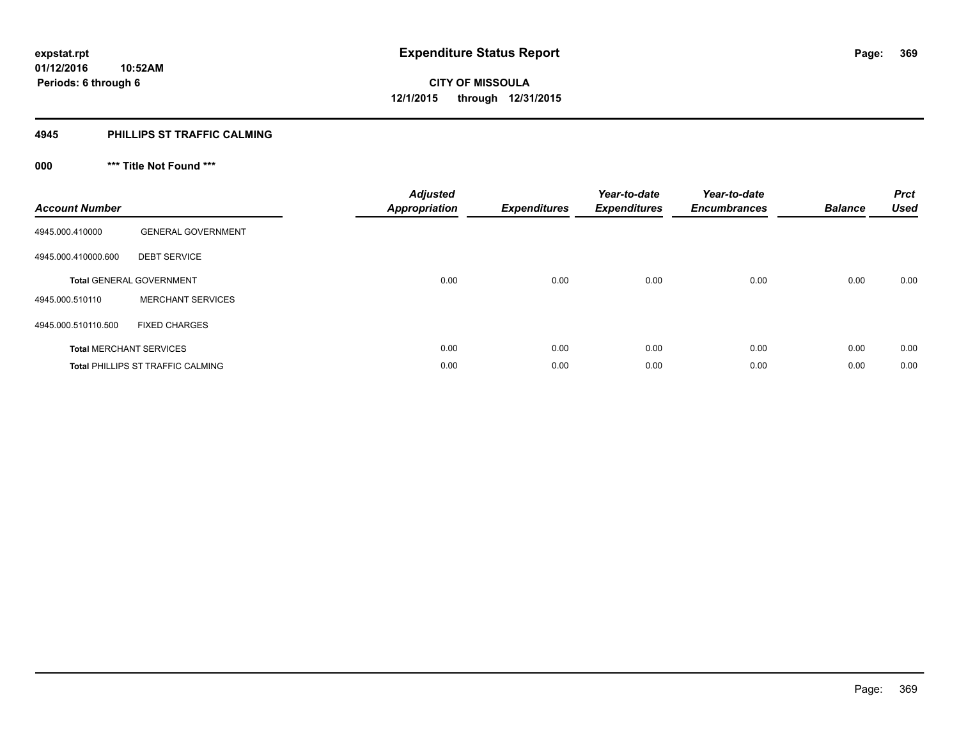#### **4945 PHILLIPS ST TRAFFIC CALMING**

## **000 \*\*\* Title Not Found \*\*\***

| <b>Account Number</b> |                                          | <b>Adjusted</b><br><b>Appropriation</b> | <b>Expenditures</b> | Year-to-date<br><b>Expenditures</b> | Year-to-date<br><b>Encumbrances</b> | <b>Balance</b> | <b>Prct</b><br><b>Used</b> |
|-----------------------|------------------------------------------|-----------------------------------------|---------------------|-------------------------------------|-------------------------------------|----------------|----------------------------|
| 4945.000.410000       | <b>GENERAL GOVERNMENT</b>                |                                         |                     |                                     |                                     |                |                            |
| 4945.000.410000.600   | <b>DEBT SERVICE</b>                      |                                         |                     |                                     |                                     |                |                            |
|                       | <b>Total GENERAL GOVERNMENT</b>          | 0.00                                    | 0.00                | 0.00                                | 0.00                                | 0.00           | 0.00                       |
| 4945.000.510110       | <b>MERCHANT SERVICES</b>                 |                                         |                     |                                     |                                     |                |                            |
| 4945.000.510110.500   | <b>FIXED CHARGES</b>                     |                                         |                     |                                     |                                     |                |                            |
|                       | <b>Total MERCHANT SERVICES</b>           | 0.00                                    | 0.00                | 0.00                                | 0.00                                | 0.00           | 0.00                       |
|                       | <b>Total PHILLIPS ST TRAFFIC CALMING</b> | 0.00                                    | 0.00                | 0.00                                | 0.00                                | 0.00           | 0.00                       |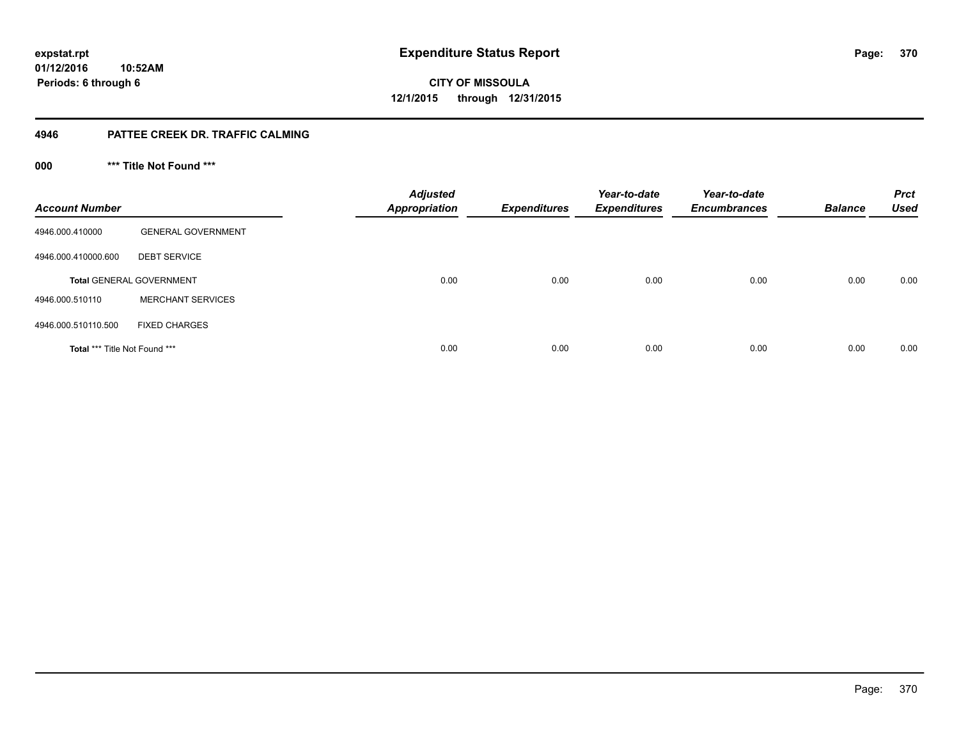**01/12/2016 10:52AM Periods: 6 through 6**

**CITY OF MISSOULA 12/1/2015 through 12/31/2015**

#### **4946 PATTEE CREEK DR. TRAFFIC CALMING**

**000 \*\*\* Title Not Found \*\*\***

| <b>Account Number</b>                |                                 | <b>Adjusted</b><br><b>Appropriation</b> | <b>Expenditures</b> | Year-to-date<br><b>Expenditures</b> | Year-to-date<br><b>Encumbrances</b> | <b>Balance</b> | <b>Prct</b><br><b>Used</b> |
|--------------------------------------|---------------------------------|-----------------------------------------|---------------------|-------------------------------------|-------------------------------------|----------------|----------------------------|
| 4946.000.410000                      | <b>GENERAL GOVERNMENT</b>       |                                         |                     |                                     |                                     |                |                            |
| 4946.000.410000.600                  | <b>DEBT SERVICE</b>             |                                         |                     |                                     |                                     |                |                            |
|                                      | <b>Total GENERAL GOVERNMENT</b> | 0.00                                    | 0.00                | 0.00                                | 0.00                                | 0.00           | 0.00                       |
| 4946.000.510110                      | <b>MERCHANT SERVICES</b>        |                                         |                     |                                     |                                     |                |                            |
| 4946.000.510110.500                  | <b>FIXED CHARGES</b>            |                                         |                     |                                     |                                     |                |                            |
| <b>Total *** Title Not Found ***</b> |                                 | 0.00                                    | 0.00                | 0.00                                | 0.00                                | 0.00           | 0.00                       |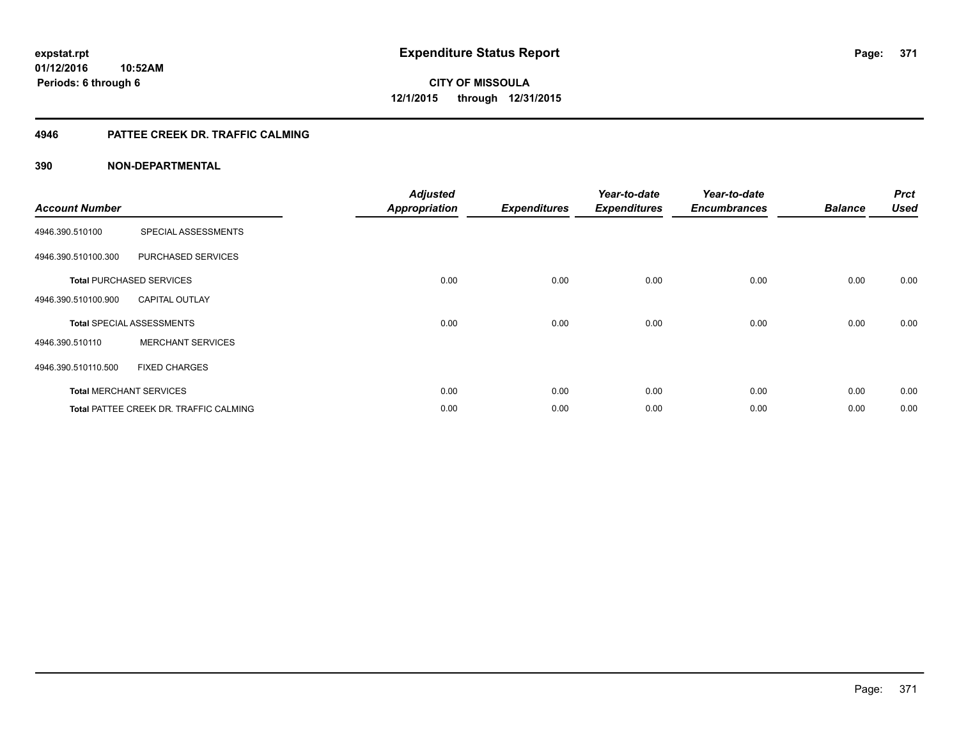#### **4946 PATTEE CREEK DR. TRAFFIC CALMING**

| <b>Account Number</b> |                                               | <b>Adjusted</b><br><b>Appropriation</b> | <b>Expenditures</b> | Year-to-date<br><b>Expenditures</b> | Year-to-date<br><b>Encumbrances</b> | <b>Balance</b> | <b>Prct</b><br><b>Used</b> |
|-----------------------|-----------------------------------------------|-----------------------------------------|---------------------|-------------------------------------|-------------------------------------|----------------|----------------------------|
| 4946.390.510100       | SPECIAL ASSESSMENTS                           |                                         |                     |                                     |                                     |                |                            |
| 4946.390.510100.300   | PURCHASED SERVICES                            |                                         |                     |                                     |                                     |                |                            |
|                       | <b>Total PURCHASED SERVICES</b>               | 0.00                                    | 0.00                | 0.00                                | 0.00                                | 0.00           | 0.00                       |
| 4946.390.510100.900   | <b>CAPITAL OUTLAY</b>                         |                                         |                     |                                     |                                     |                |                            |
|                       | <b>Total SPECIAL ASSESSMENTS</b>              | 0.00                                    | 0.00                | 0.00                                | 0.00                                | 0.00           | 0.00                       |
| 4946.390.510110       | <b>MERCHANT SERVICES</b>                      |                                         |                     |                                     |                                     |                |                            |
| 4946.390.510110.500   | <b>FIXED CHARGES</b>                          |                                         |                     |                                     |                                     |                |                            |
|                       | <b>Total MERCHANT SERVICES</b>                | 0.00                                    | 0.00                | 0.00                                | 0.00                                | 0.00           | 0.00                       |
|                       | <b>Total PATTEE CREEK DR. TRAFFIC CALMING</b> | 0.00                                    | 0.00                | 0.00                                | 0.00                                | 0.00           | 0.00                       |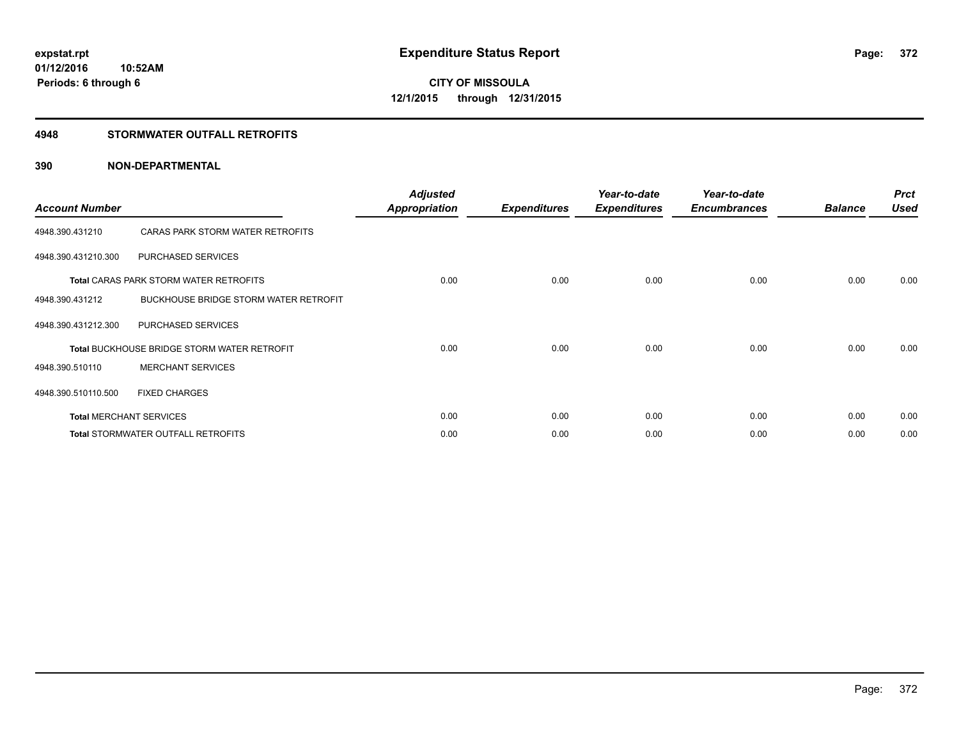#### **4948 STORMWATER OUTFALL RETROFITS**

| <b>Account Number</b> |                                                    | <b>Adjusted</b><br><b>Appropriation</b> | <b>Expenditures</b> | Year-to-date<br><b>Expenditures</b> | Year-to-date<br><b>Encumbrances</b> | <b>Balance</b> | <b>Prct</b><br><b>Used</b> |
|-----------------------|----------------------------------------------------|-----------------------------------------|---------------------|-------------------------------------|-------------------------------------|----------------|----------------------------|
| 4948.390.431210       | CARAS PARK STORM WATER RETROFITS                   |                                         |                     |                                     |                                     |                |                            |
| 4948.390.431210.300   | PURCHASED SERVICES                                 |                                         |                     |                                     |                                     |                |                            |
|                       | <b>Total CARAS PARK STORM WATER RETROFITS</b>      | 0.00                                    | 0.00                | 0.00                                | 0.00                                | 0.00           | 0.00                       |
| 4948.390.431212       | BUCKHOUSE BRIDGE STORM WATER RETROFIT              |                                         |                     |                                     |                                     |                |                            |
| 4948.390.431212.300   | PURCHASED SERVICES                                 |                                         |                     |                                     |                                     |                |                            |
|                       | <b>Total BUCKHOUSE BRIDGE STORM WATER RETROFIT</b> | 0.00                                    | 0.00                | 0.00                                | 0.00                                | 0.00           | 0.00                       |
| 4948.390.510110       | <b>MERCHANT SERVICES</b>                           |                                         |                     |                                     |                                     |                |                            |
| 4948.390.510110.500   | <b>FIXED CHARGES</b>                               |                                         |                     |                                     |                                     |                |                            |
|                       | <b>Total MERCHANT SERVICES</b>                     | 0.00                                    | 0.00                | 0.00                                | 0.00                                | 0.00           | 0.00                       |
|                       | <b>Total STORMWATER OUTFALL RETROFITS</b>          | 0.00                                    | 0.00                | 0.00                                | 0.00                                | 0.00           | 0.00                       |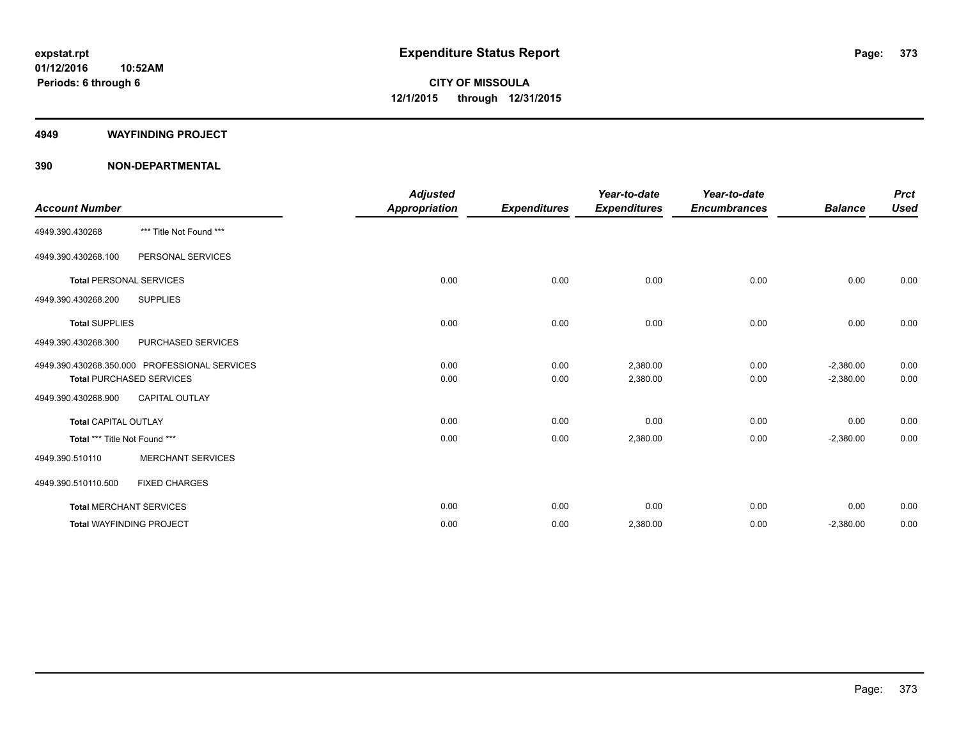#### **4949 WAYFINDING PROJECT**

|                                 |                                               | <b>Adjusted</b>      |                     | Year-to-date        | Year-to-date        |                | <b>Prct</b> |
|---------------------------------|-----------------------------------------------|----------------------|---------------------|---------------------|---------------------|----------------|-------------|
| <b>Account Number</b>           |                                               | <b>Appropriation</b> | <b>Expenditures</b> | <b>Expenditures</b> | <b>Encumbrances</b> | <b>Balance</b> | <b>Used</b> |
| 4949.390.430268                 | *** Title Not Found ***                       |                      |                     |                     |                     |                |             |
| 4949.390.430268.100             | PERSONAL SERVICES                             |                      |                     |                     |                     |                |             |
| <b>Total PERSONAL SERVICES</b>  |                                               | 0.00                 | 0.00                | 0.00                | 0.00                | 0.00           | 0.00        |
| 4949.390.430268.200             | <b>SUPPLIES</b>                               |                      |                     |                     |                     |                |             |
| <b>Total SUPPLIES</b>           |                                               | 0.00                 | 0.00                | 0.00                | 0.00                | 0.00           | 0.00        |
| 4949.390.430268.300             | PURCHASED SERVICES                            |                      |                     |                     |                     |                |             |
|                                 | 4949.390.430268.350.000 PROFESSIONAL SERVICES | 0.00                 | 0.00                | 2,380.00            | 0.00                | $-2,380.00$    | 0.00        |
|                                 | <b>Total PURCHASED SERVICES</b>               | 0.00                 | 0.00                | 2,380.00            | 0.00                | $-2,380.00$    | 0.00        |
| 4949.390.430268.900             | <b>CAPITAL OUTLAY</b>                         |                      |                     |                     |                     |                |             |
| <b>Total CAPITAL OUTLAY</b>     |                                               | 0.00                 | 0.00                | 0.00                | 0.00                | 0.00           | 0.00        |
| Total *** Title Not Found ***   |                                               | 0.00                 | 0.00                | 2,380.00            | 0.00                | $-2,380.00$    | 0.00        |
| 4949.390.510110                 | <b>MERCHANT SERVICES</b>                      |                      |                     |                     |                     |                |             |
| 4949.390.510110.500             | <b>FIXED CHARGES</b>                          |                      |                     |                     |                     |                |             |
| <b>Total MERCHANT SERVICES</b>  |                                               | 0.00                 | 0.00                | 0.00                | 0.00                | 0.00           | 0.00        |
| <b>Total WAYFINDING PROJECT</b> |                                               | 0.00                 | 0.00                | 2,380.00            | 0.00                | $-2,380.00$    | 0.00        |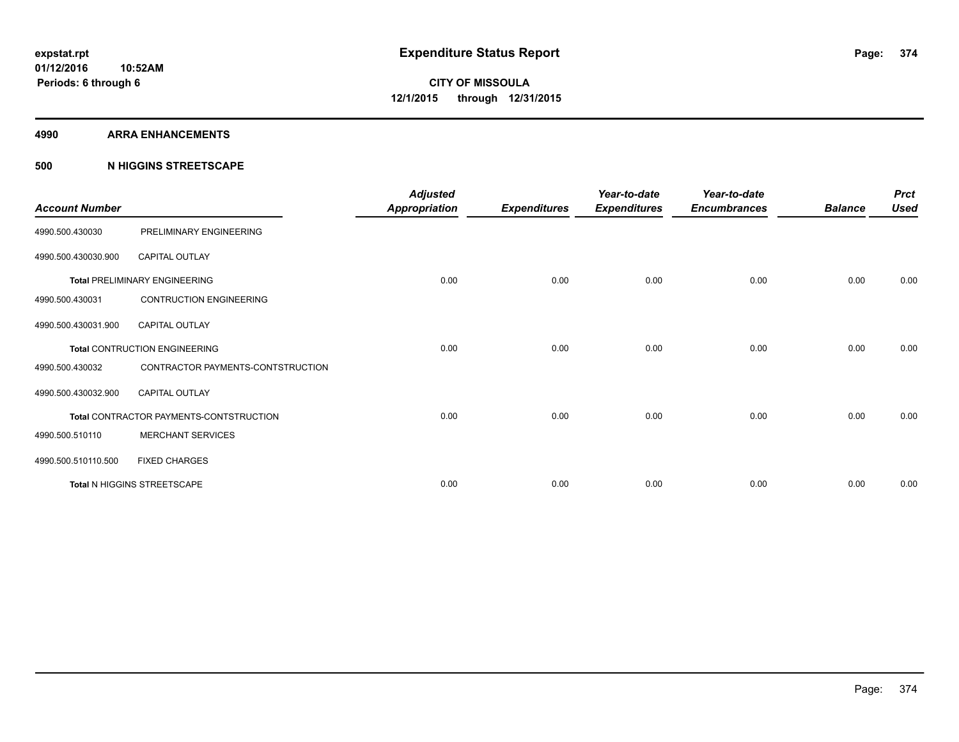#### **4990 ARRA ENHANCEMENTS**

#### **500 N HIGGINS STREETSCAPE**

| <b>Account Number</b> |                                         | <b>Adjusted</b><br><b>Appropriation</b> | <b>Expenditures</b> | Year-to-date<br><b>Expenditures</b> | Year-to-date<br><b>Encumbrances</b> | <b>Balance</b> | <b>Prct</b><br><b>Used</b> |
|-----------------------|-----------------------------------------|-----------------------------------------|---------------------|-------------------------------------|-------------------------------------|----------------|----------------------------|
| 4990.500.430030       | PRELIMINARY ENGINEERING                 |                                         |                     |                                     |                                     |                |                            |
| 4990.500.430030.900   | <b>CAPITAL OUTLAY</b>                   |                                         |                     |                                     |                                     |                |                            |
|                       | <b>Total PRELIMINARY ENGINEERING</b>    | 0.00                                    | 0.00                | 0.00                                | 0.00                                | 0.00           | 0.00                       |
| 4990.500.430031       | <b>CONTRUCTION ENGINEERING</b>          |                                         |                     |                                     |                                     |                |                            |
| 4990.500.430031.900   | <b>CAPITAL OUTLAY</b>                   |                                         |                     |                                     |                                     |                |                            |
|                       | <b>Total CONTRUCTION ENGINEERING</b>    | 0.00                                    | 0.00                | 0.00                                | 0.00                                | 0.00           | 0.00                       |
| 4990.500.430032       | CONTRACTOR PAYMENTS-CONTSTRUCTION       |                                         |                     |                                     |                                     |                |                            |
| 4990.500.430032.900   | <b>CAPITAL OUTLAY</b>                   |                                         |                     |                                     |                                     |                |                            |
|                       | Total CONTRACTOR PAYMENTS-CONTSTRUCTION | 0.00                                    | 0.00                | 0.00                                | 0.00                                | 0.00           | 0.00                       |
| 4990.500.510110       | <b>MERCHANT SERVICES</b>                |                                         |                     |                                     |                                     |                |                            |
| 4990.500.510110.500   | <b>FIXED CHARGES</b>                    |                                         |                     |                                     |                                     |                |                            |
|                       | <b>Total N HIGGINS STREETSCAPE</b>      | 0.00                                    | 0.00                | 0.00                                | 0.00                                | 0.00           | 0.00                       |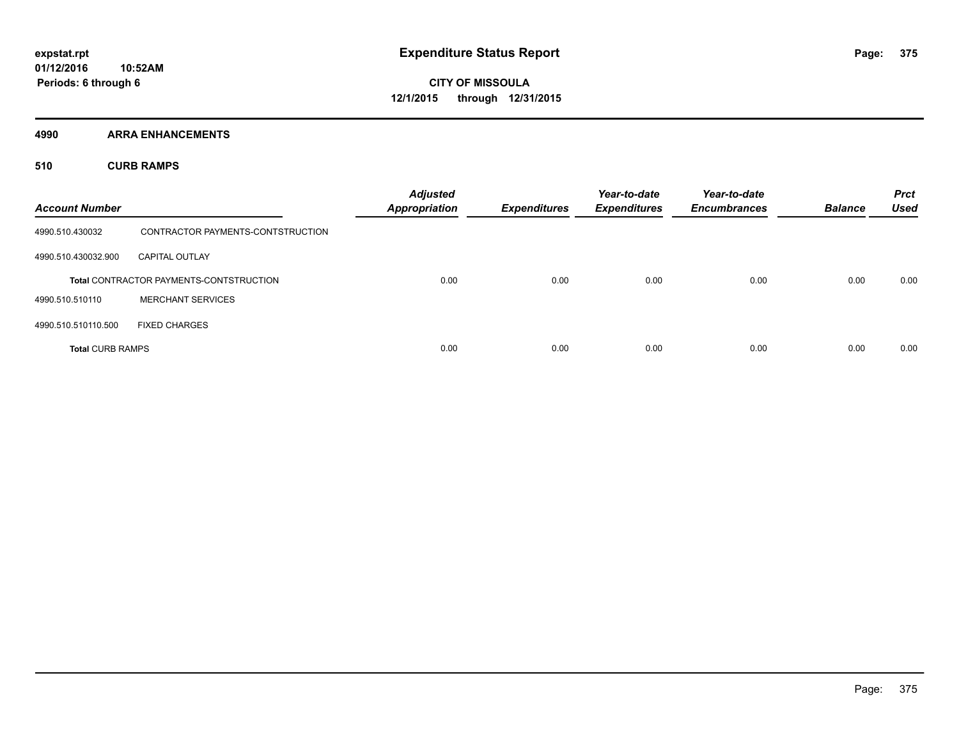**4990 ARRA ENHANCEMENTS**

**510 CURB RAMPS**

| <b>Account Number</b>   |                                                | <b>Adjusted</b><br><b>Appropriation</b> | <b>Expenditures</b> | Year-to-date<br><b>Expenditures</b> | Year-to-date<br><b>Encumbrances</b> | <b>Balance</b> | <b>Prct</b><br><b>Used</b> |
|-------------------------|------------------------------------------------|-----------------------------------------|---------------------|-------------------------------------|-------------------------------------|----------------|----------------------------|
| 4990.510.430032         | CONTRACTOR PAYMENTS-CONTSTRUCTION              |                                         |                     |                                     |                                     |                |                            |
| 4990.510.430032.900     | <b>CAPITAL OUTLAY</b>                          |                                         |                     |                                     |                                     |                |                            |
|                         | <b>Total CONTRACTOR PAYMENTS-CONTSTRUCTION</b> | 0.00                                    | 0.00                | 0.00                                | 0.00                                | 0.00           | 0.00                       |
| 4990.510.510110         | <b>MERCHANT SERVICES</b>                       |                                         |                     |                                     |                                     |                |                            |
| 4990.510.510110.500     | <b>FIXED CHARGES</b>                           |                                         |                     |                                     |                                     |                |                            |
| <b>Total CURB RAMPS</b> |                                                | 0.00                                    | 0.00                | 0.00                                | 0.00                                | 0.00           | 0.00                       |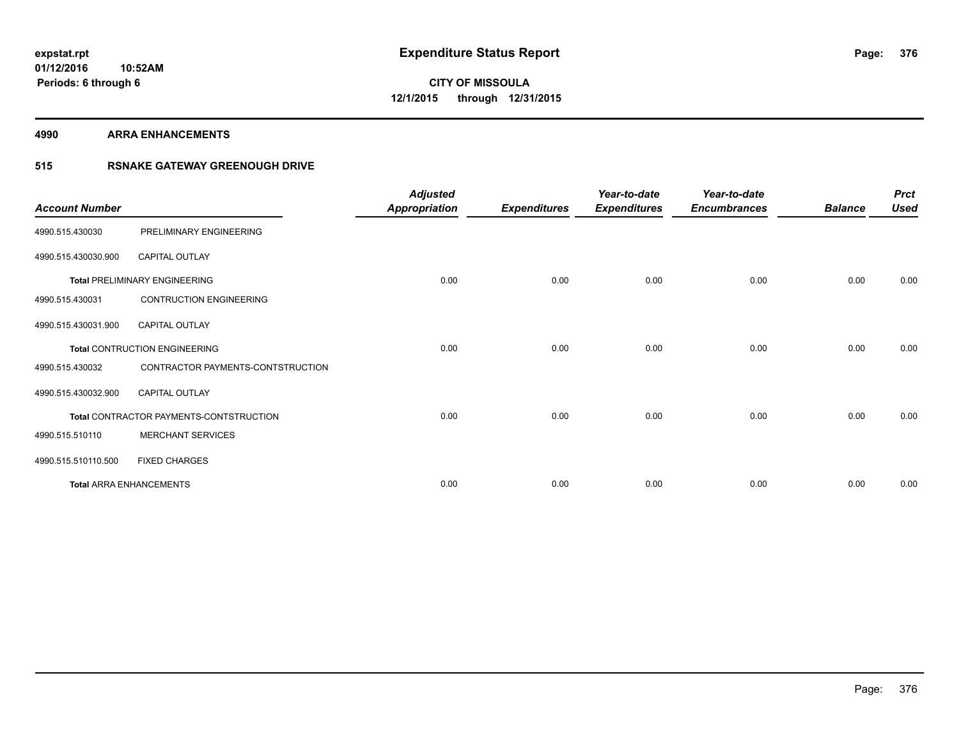#### **4990 ARRA ENHANCEMENTS**

### **515 RSNAKE GATEWAY GREENOUGH DRIVE**

| <b>Account Number</b> |                                         | <b>Adjusted</b><br><b>Appropriation</b> | <b>Expenditures</b> | Year-to-date<br><b>Expenditures</b> | Year-to-date<br><b>Encumbrances</b> | <b>Balance</b> | <b>Prct</b><br><b>Used</b> |
|-----------------------|-----------------------------------------|-----------------------------------------|---------------------|-------------------------------------|-------------------------------------|----------------|----------------------------|
| 4990.515.430030       | PRELIMINARY ENGINEERING                 |                                         |                     |                                     |                                     |                |                            |
| 4990.515.430030.900   | <b>CAPITAL OUTLAY</b>                   |                                         |                     |                                     |                                     |                |                            |
|                       | <b>Total PRELIMINARY ENGINEERING</b>    | 0.00                                    | 0.00                | 0.00                                | 0.00                                | 0.00           | 0.00                       |
| 4990.515.430031       | <b>CONTRUCTION ENGINEERING</b>          |                                         |                     |                                     |                                     |                |                            |
| 4990.515.430031.900   | <b>CAPITAL OUTLAY</b>                   |                                         |                     |                                     |                                     |                |                            |
|                       | <b>Total CONTRUCTION ENGINEERING</b>    | 0.00                                    | 0.00                | 0.00                                | 0.00                                | 0.00           | 0.00                       |
| 4990.515.430032       | CONTRACTOR PAYMENTS-CONTSTRUCTION       |                                         |                     |                                     |                                     |                |                            |
| 4990.515.430032.900   | <b>CAPITAL OUTLAY</b>                   |                                         |                     |                                     |                                     |                |                            |
|                       | Total CONTRACTOR PAYMENTS-CONTSTRUCTION | 0.00                                    | 0.00                | 0.00                                | 0.00                                | 0.00           | 0.00                       |
| 4990.515.510110       | <b>MERCHANT SERVICES</b>                |                                         |                     |                                     |                                     |                |                            |
| 4990.515.510110.500   | <b>FIXED CHARGES</b>                    |                                         |                     |                                     |                                     |                |                            |
|                       | <b>Total ARRA ENHANCEMENTS</b>          | 0.00                                    | 0.00                | 0.00                                | 0.00                                | 0.00           | 0.00                       |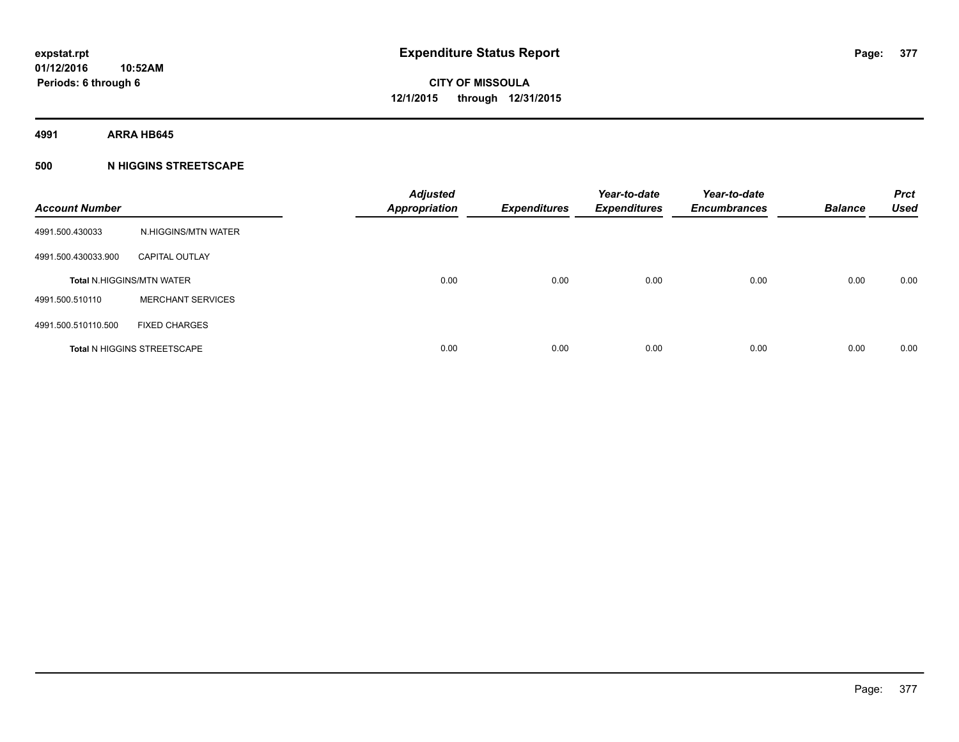**4991 ARRA HB645**

#### **500 N HIGGINS STREETSCAPE**

| <b>Account Number</b> |                                    | <b>Adjusted</b><br><b>Appropriation</b> | <b>Expenditures</b> | Year-to-date<br><b>Expenditures</b> | Year-to-date<br><b>Encumbrances</b> | <b>Balance</b> | <b>Prct</b><br><b>Used</b> |
|-----------------------|------------------------------------|-----------------------------------------|---------------------|-------------------------------------|-------------------------------------|----------------|----------------------------|
| 4991.500.430033       | N.HIGGINS/MTN WATER                |                                         |                     |                                     |                                     |                |                            |
| 4991.500.430033.900   | <b>CAPITAL OUTLAY</b>              |                                         |                     |                                     |                                     |                |                            |
|                       | <b>Total N.HIGGINS/MTN WATER</b>   | 0.00                                    | 0.00                | 0.00                                | 0.00                                | 0.00           | 0.00                       |
| 4991.500.510110       | <b>MERCHANT SERVICES</b>           |                                         |                     |                                     |                                     |                |                            |
| 4991.500.510110.500   | <b>FIXED CHARGES</b>               |                                         |                     |                                     |                                     |                |                            |
|                       | <b>Total N HIGGINS STREETSCAPE</b> | 0.00                                    | 0.00                | 0.00                                | 0.00                                | 0.00           | 0.00                       |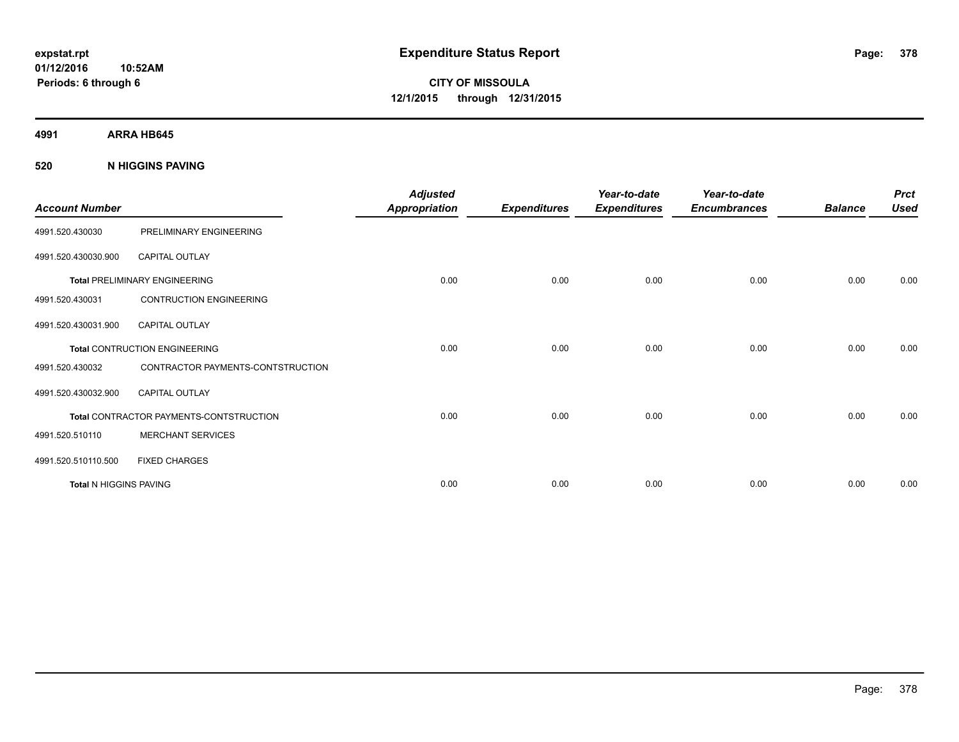**4991 ARRA HB645**

**520 N HIGGINS PAVING**

| <b>Account Number</b>         |                                         | <b>Adjusted</b><br><b>Appropriation</b> | <b>Expenditures</b> | Year-to-date<br><b>Expenditures</b> | Year-to-date<br><b>Encumbrances</b> | <b>Balance</b> | <b>Prct</b><br><b>Used</b> |
|-------------------------------|-----------------------------------------|-----------------------------------------|---------------------|-------------------------------------|-------------------------------------|----------------|----------------------------|
| 4991.520.430030               | PRELIMINARY ENGINEERING                 |                                         |                     |                                     |                                     |                |                            |
| 4991.520.430030.900           | CAPITAL OUTLAY                          |                                         |                     |                                     |                                     |                |                            |
|                               | <b>Total PRELIMINARY ENGINEERING</b>    | 0.00                                    | 0.00                | 0.00                                | 0.00                                | 0.00           | 0.00                       |
| 4991.520.430031               | <b>CONTRUCTION ENGINEERING</b>          |                                         |                     |                                     |                                     |                |                            |
| 4991.520.430031.900           | <b>CAPITAL OUTLAY</b>                   |                                         |                     |                                     |                                     |                |                            |
|                               | <b>Total CONTRUCTION ENGINEERING</b>    | 0.00                                    | 0.00                | 0.00                                | 0.00                                | 0.00           | 0.00                       |
| 4991.520.430032               | CONTRACTOR PAYMENTS-CONTSTRUCTION       |                                         |                     |                                     |                                     |                |                            |
| 4991.520.430032.900           | <b>CAPITAL OUTLAY</b>                   |                                         |                     |                                     |                                     |                |                            |
|                               | Total CONTRACTOR PAYMENTS-CONTSTRUCTION | 0.00                                    | 0.00                | 0.00                                | 0.00                                | 0.00           | 0.00                       |
| 4991.520.510110               | <b>MERCHANT SERVICES</b>                |                                         |                     |                                     |                                     |                |                            |
| 4991.520.510110.500           | <b>FIXED CHARGES</b>                    |                                         |                     |                                     |                                     |                |                            |
| <b>Total N HIGGINS PAVING</b> |                                         | 0.00                                    | 0.00                | 0.00                                | 0.00                                | 0.00           | 0.00                       |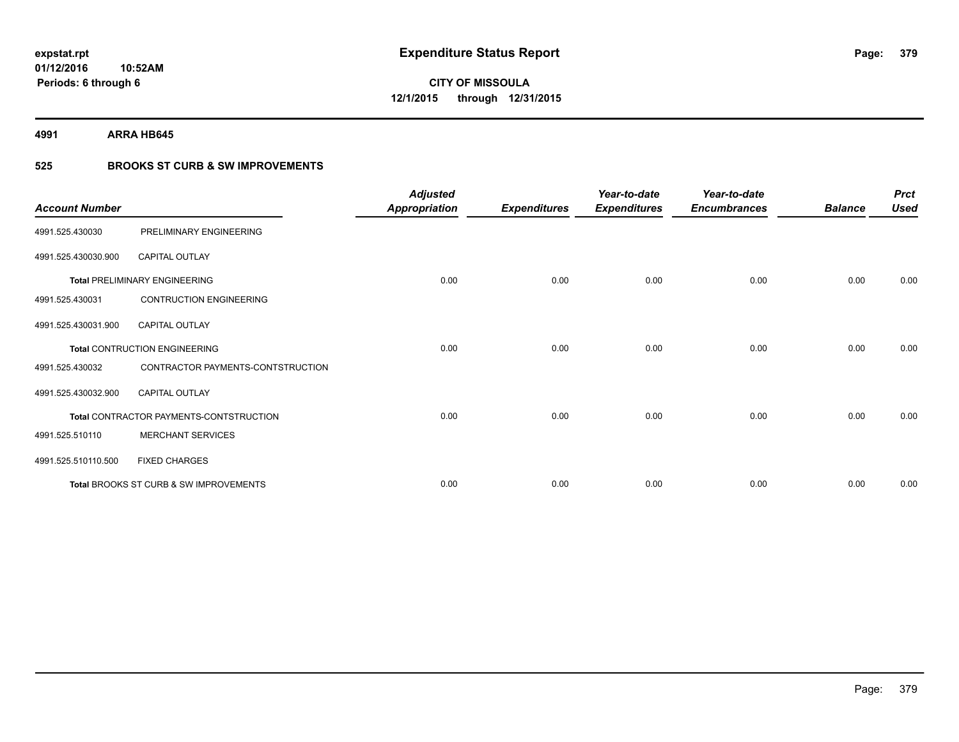**4991 ARRA HB645**

### **525 BROOKS ST CURB & SW IMPROVEMENTS**

| <b>Account Number</b> |                                         | <b>Adjusted</b><br><b>Appropriation</b> | <b>Expenditures</b> | Year-to-date<br><b>Expenditures</b> | Year-to-date<br><b>Encumbrances</b> | <b>Balance</b> | <b>Prct</b><br><b>Used</b> |
|-----------------------|-----------------------------------------|-----------------------------------------|---------------------|-------------------------------------|-------------------------------------|----------------|----------------------------|
| 4991.525.430030       | PRELIMINARY ENGINEERING                 |                                         |                     |                                     |                                     |                |                            |
| 4991.525.430030.900   | <b>CAPITAL OUTLAY</b>                   |                                         |                     |                                     |                                     |                |                            |
|                       | <b>Total PRELIMINARY ENGINEERING</b>    | 0.00                                    | 0.00                | 0.00                                | 0.00                                | 0.00           | 0.00                       |
| 4991.525.430031       | <b>CONTRUCTION ENGINEERING</b>          |                                         |                     |                                     |                                     |                |                            |
| 4991.525.430031.900   | <b>CAPITAL OUTLAY</b>                   |                                         |                     |                                     |                                     |                |                            |
|                       | <b>Total CONTRUCTION ENGINEERING</b>    | 0.00                                    | 0.00                | 0.00                                | 0.00                                | 0.00           | 0.00                       |
| 4991.525.430032       | CONTRACTOR PAYMENTS-CONTSTRUCTION       |                                         |                     |                                     |                                     |                |                            |
| 4991.525.430032.900   | <b>CAPITAL OUTLAY</b>                   |                                         |                     |                                     |                                     |                |                            |
|                       | Total CONTRACTOR PAYMENTS-CONTSTRUCTION | 0.00                                    | 0.00                | 0.00                                | 0.00                                | 0.00           | 0.00                       |
| 4991.525.510110       | <b>MERCHANT SERVICES</b>                |                                         |                     |                                     |                                     |                |                            |
| 4991.525.510110.500   | <b>FIXED CHARGES</b>                    |                                         |                     |                                     |                                     |                |                            |
|                       | Total BROOKS ST CURB & SW IMPROVEMENTS  | 0.00                                    | 0.00                | 0.00                                | 0.00                                | 0.00           | 0.00                       |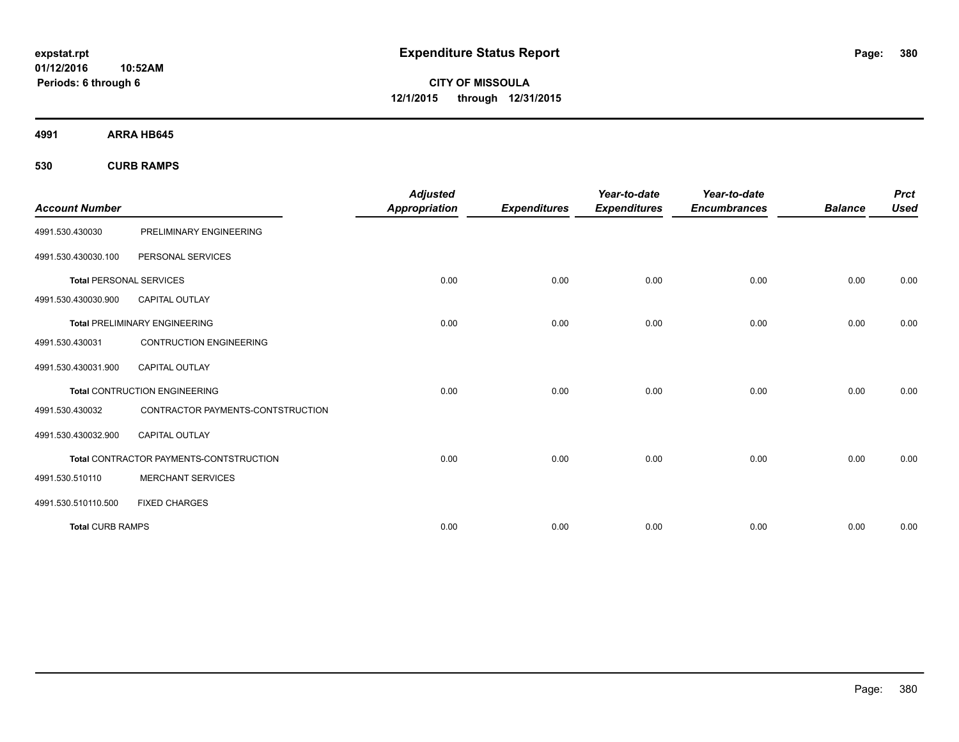**01/12/2016 10:52AM Periods: 6 through 6**

**CITY OF MISSOULA 12/1/2015 through 12/31/2015**

**4991 ARRA HB645**

**530 CURB RAMPS**

| <b>Account Number</b>          |                                         | <b>Adjusted</b><br><b>Appropriation</b> | <b>Expenditures</b> | Year-to-date<br><b>Expenditures</b> | Year-to-date<br><b>Encumbrances</b> | <b>Balance</b> | <b>Prct</b><br><b>Used</b> |
|--------------------------------|-----------------------------------------|-----------------------------------------|---------------------|-------------------------------------|-------------------------------------|----------------|----------------------------|
|                                |                                         |                                         |                     |                                     |                                     |                |                            |
| 4991.530.430030                | PRELIMINARY ENGINEERING                 |                                         |                     |                                     |                                     |                |                            |
| 4991.530.430030.100            | PERSONAL SERVICES                       |                                         |                     |                                     |                                     |                |                            |
| <b>Total PERSONAL SERVICES</b> |                                         | 0.00                                    | 0.00                | 0.00                                | 0.00                                | 0.00           | 0.00                       |
| 4991.530.430030.900            | CAPITAL OUTLAY                          |                                         |                     |                                     |                                     |                |                            |
|                                | <b>Total PRELIMINARY ENGINEERING</b>    | 0.00                                    | 0.00                | 0.00                                | 0.00                                | 0.00           | 0.00                       |
| 4991.530.430031                | <b>CONTRUCTION ENGINEERING</b>          |                                         |                     |                                     |                                     |                |                            |
| 4991.530.430031.900            | <b>CAPITAL OUTLAY</b>                   |                                         |                     |                                     |                                     |                |                            |
|                                | <b>Total CONTRUCTION ENGINEERING</b>    | 0.00                                    | 0.00                | 0.00                                | 0.00                                | 0.00           | 0.00                       |
| 4991.530.430032                | CONTRACTOR PAYMENTS-CONTSTRUCTION       |                                         |                     |                                     |                                     |                |                            |
| 4991.530.430032.900            | <b>CAPITAL OUTLAY</b>                   |                                         |                     |                                     |                                     |                |                            |
|                                | Total CONTRACTOR PAYMENTS-CONTSTRUCTION | 0.00                                    | 0.00                | 0.00                                | 0.00                                | 0.00           | 0.00                       |
| 4991.530.510110                | <b>MERCHANT SERVICES</b>                |                                         |                     |                                     |                                     |                |                            |
| 4991.530.510110.500            | <b>FIXED CHARGES</b>                    |                                         |                     |                                     |                                     |                |                            |
| <b>Total CURB RAMPS</b>        |                                         | 0.00                                    | 0.00                | 0.00                                | 0.00                                | 0.00           | 0.00                       |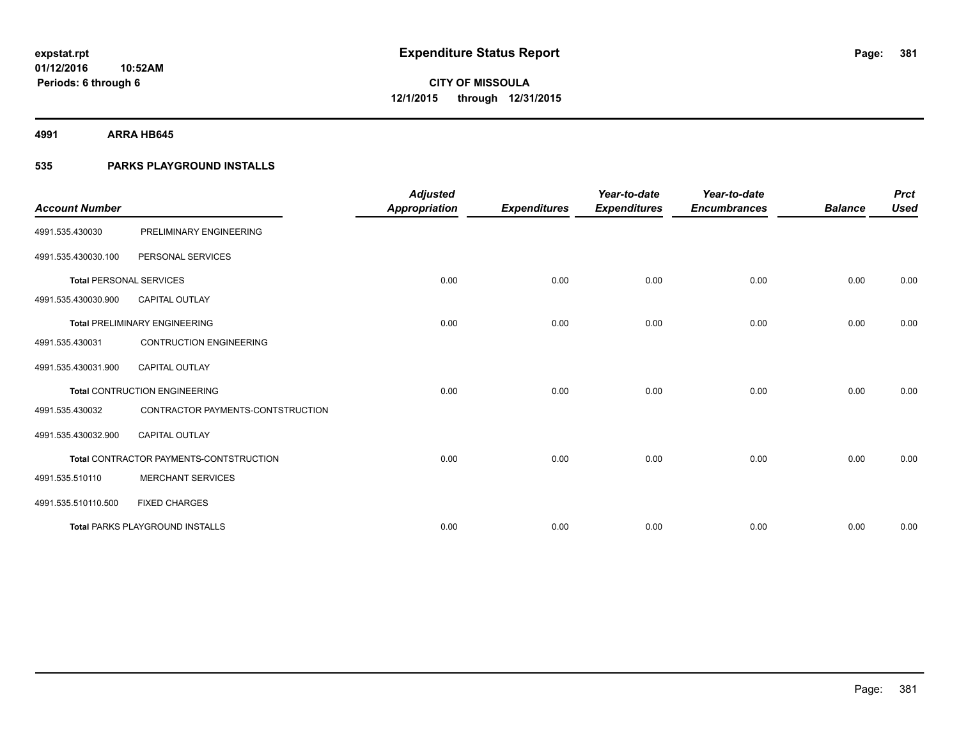**4991 ARRA HB645**

### **535 PARKS PLAYGROUND INSTALLS**

| <b>Account Number</b>          |                                         | <b>Adjusted</b><br><b>Appropriation</b> | <b>Expenditures</b> | Year-to-date<br><b>Expenditures</b> | Year-to-date<br><b>Encumbrances</b> | <b>Balance</b> | <b>Prct</b><br><b>Used</b> |
|--------------------------------|-----------------------------------------|-----------------------------------------|---------------------|-------------------------------------|-------------------------------------|----------------|----------------------------|
| 4991.535.430030                | PRELIMINARY ENGINEERING                 |                                         |                     |                                     |                                     |                |                            |
|                                |                                         |                                         |                     |                                     |                                     |                |                            |
| 4991.535.430030.100            | PERSONAL SERVICES                       |                                         |                     |                                     |                                     |                |                            |
| <b>Total PERSONAL SERVICES</b> |                                         | 0.00                                    | 0.00                | 0.00                                | 0.00                                | 0.00           | 0.00                       |
| 4991.535.430030.900            | <b>CAPITAL OUTLAY</b>                   |                                         |                     |                                     |                                     |                |                            |
|                                | <b>Total PRELIMINARY ENGINEERING</b>    | 0.00                                    | 0.00                | 0.00                                | 0.00                                | 0.00           | 0.00                       |
| 4991.535.430031                | <b>CONTRUCTION ENGINEERING</b>          |                                         |                     |                                     |                                     |                |                            |
| 4991.535.430031.900            | <b>CAPITAL OUTLAY</b>                   |                                         |                     |                                     |                                     |                |                            |
|                                | <b>Total CONTRUCTION ENGINEERING</b>    | 0.00                                    | 0.00                | 0.00                                | 0.00                                | 0.00           | 0.00                       |
| 4991.535.430032                | CONTRACTOR PAYMENTS-CONTSTRUCTION       |                                         |                     |                                     |                                     |                |                            |
| 4991.535.430032.900            | <b>CAPITAL OUTLAY</b>                   |                                         |                     |                                     |                                     |                |                            |
|                                | Total CONTRACTOR PAYMENTS-CONTSTRUCTION | 0.00                                    | 0.00                | 0.00                                | 0.00                                | 0.00           | 0.00                       |
| 4991.535.510110                | <b>MERCHANT SERVICES</b>                |                                         |                     |                                     |                                     |                |                            |
| 4991.535.510110.500            | <b>FIXED CHARGES</b>                    |                                         |                     |                                     |                                     |                |                            |
|                                | <b>Total PARKS PLAYGROUND INSTALLS</b>  | 0.00                                    | 0.00                | 0.00                                | 0.00                                | 0.00           | 0.00                       |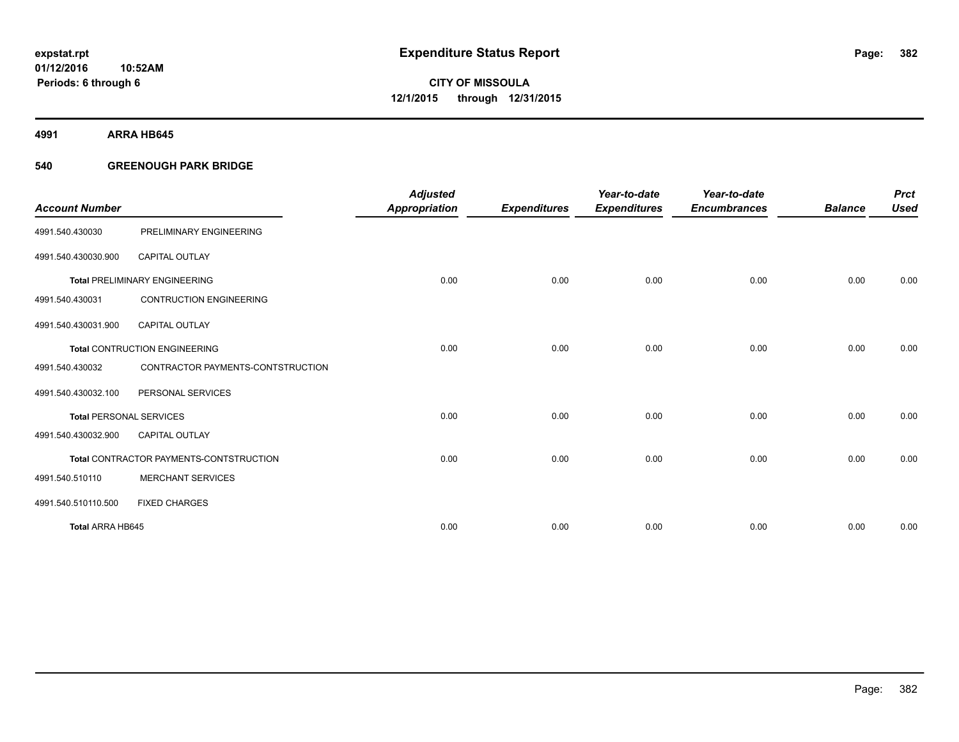**4991 ARRA HB645**

#### **540 GREENOUGH PARK BRIDGE**

|                                |                                         | <b>Adjusted</b>      |                     | Year-to-date        | Year-to-date        |                | <b>Prct</b> |
|--------------------------------|-----------------------------------------|----------------------|---------------------|---------------------|---------------------|----------------|-------------|
| <b>Account Number</b>          |                                         | <b>Appropriation</b> | <b>Expenditures</b> | <b>Expenditures</b> | <b>Encumbrances</b> | <b>Balance</b> | <b>Used</b> |
| 4991.540.430030                | PRELIMINARY ENGINEERING                 |                      |                     |                     |                     |                |             |
| 4991.540.430030.900            | <b>CAPITAL OUTLAY</b>                   |                      |                     |                     |                     |                |             |
|                                | <b>Total PRELIMINARY ENGINEERING</b>    | 0.00                 | 0.00                | 0.00                | 0.00                | 0.00           | 0.00        |
| 4991.540.430031                | <b>CONTRUCTION ENGINEERING</b>          |                      |                     |                     |                     |                |             |
| 4991.540.430031.900            | CAPITAL OUTLAY                          |                      |                     |                     |                     |                |             |
|                                | <b>Total CONTRUCTION ENGINEERING</b>    | 0.00                 | 0.00                | 0.00                | 0.00                | 0.00           | 0.00        |
| 4991.540.430032                | CONTRACTOR PAYMENTS-CONTSTRUCTION       |                      |                     |                     |                     |                |             |
| 4991.540.430032.100            | PERSONAL SERVICES                       |                      |                     |                     |                     |                |             |
| <b>Total PERSONAL SERVICES</b> |                                         | 0.00                 | 0.00                | 0.00                | 0.00                | 0.00           | 0.00        |
| 4991.540.430032.900            | <b>CAPITAL OUTLAY</b>                   |                      |                     |                     |                     |                |             |
|                                | Total CONTRACTOR PAYMENTS-CONTSTRUCTION | 0.00                 | 0.00                | 0.00                | 0.00                | 0.00           | 0.00        |
| 4991.540.510110                | <b>MERCHANT SERVICES</b>                |                      |                     |                     |                     |                |             |
| 4991.540.510110.500            | <b>FIXED CHARGES</b>                    |                      |                     |                     |                     |                |             |
| Total ARRA HB645               |                                         | 0.00                 | 0.00                | 0.00                | 0.00                | 0.00           | 0.00        |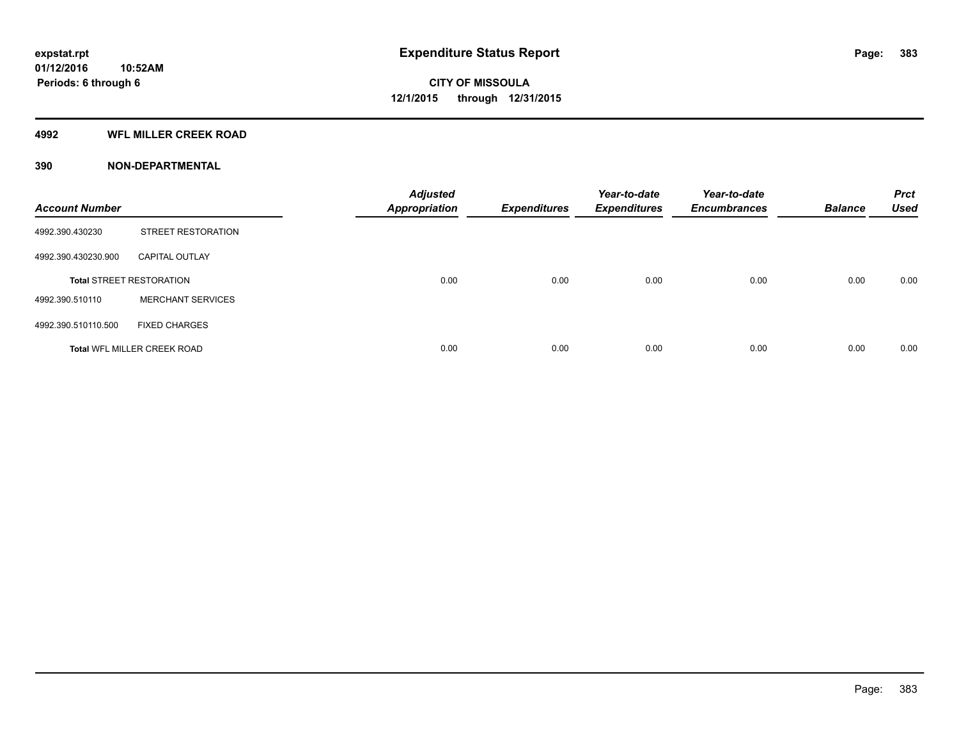#### **4992 WFL MILLER CREEK ROAD**

| <b>Account Number</b> |                                    | <b>Adjusted</b><br><b>Appropriation</b> | <b>Expenditures</b> | Year-to-date<br><b>Expenditures</b> | Year-to-date<br><b>Encumbrances</b> | <b>Balance</b> | <b>Prct</b><br><b>Used</b> |
|-----------------------|------------------------------------|-----------------------------------------|---------------------|-------------------------------------|-------------------------------------|----------------|----------------------------|
| 4992.390.430230       | STREET RESTORATION                 |                                         |                     |                                     |                                     |                |                            |
| 4992.390.430230.900   | <b>CAPITAL OUTLAY</b>              |                                         |                     |                                     |                                     |                |                            |
|                       | <b>Total STREET RESTORATION</b>    | 0.00                                    | 0.00                | 0.00                                | 0.00                                | 0.00           | 0.00                       |
| 4992.390.510110       | <b>MERCHANT SERVICES</b>           |                                         |                     |                                     |                                     |                |                            |
| 4992.390.510110.500   | <b>FIXED CHARGES</b>               |                                         |                     |                                     |                                     |                |                            |
|                       | <b>Total WFL MILLER CREEK ROAD</b> | 0.00                                    | 0.00                | 0.00                                | 0.00                                | 0.00           | 0.00                       |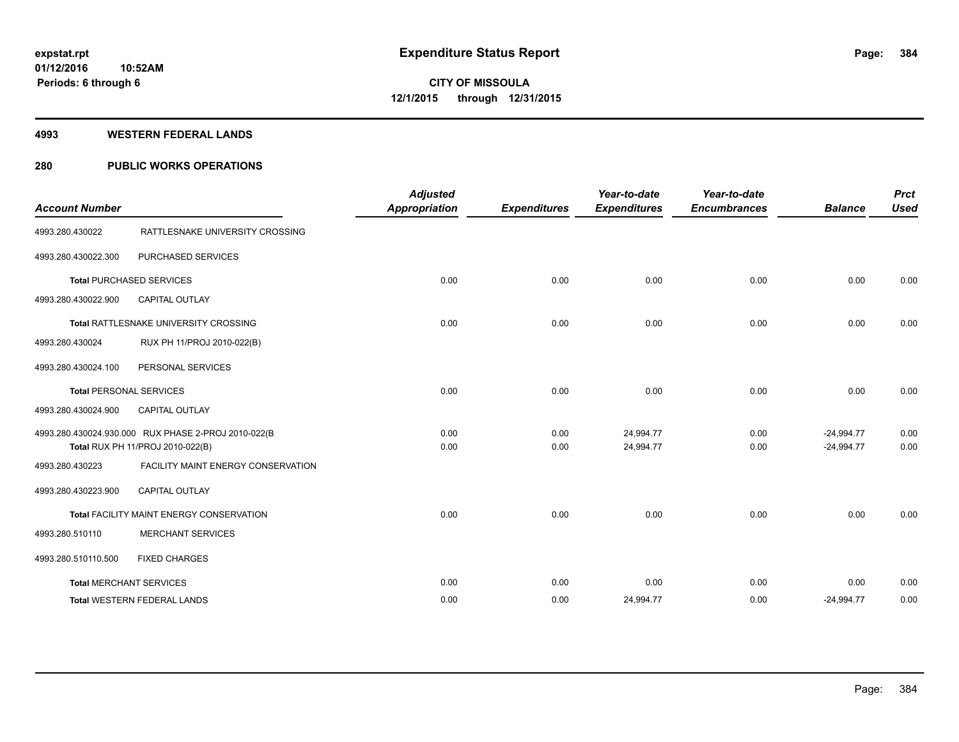#### **4993 WESTERN FEDERAL LANDS**

### **280 PUBLIC WORKS OPERATIONS**

| <b>Account Number</b>          |                                                     | <b>Adjusted</b><br><b>Appropriation</b> | <b>Expenditures</b> | Year-to-date<br><b>Expenditures</b> | Year-to-date<br><b>Encumbrances</b> | <b>Balance</b> | <b>Prct</b><br><b>Used</b> |
|--------------------------------|-----------------------------------------------------|-----------------------------------------|---------------------|-------------------------------------|-------------------------------------|----------------|----------------------------|
|                                |                                                     |                                         |                     |                                     |                                     |                |                            |
| 4993.280.430022                | RATTLESNAKE UNIVERSITY CROSSING                     |                                         |                     |                                     |                                     |                |                            |
| 4993.280.430022.300            | PURCHASED SERVICES                                  |                                         |                     |                                     |                                     |                |                            |
|                                | <b>Total PURCHASED SERVICES</b>                     | 0.00                                    | 0.00                | 0.00                                | 0.00                                | 0.00           | 0.00                       |
| 4993.280.430022.900            | CAPITAL OUTLAY                                      |                                         |                     |                                     |                                     |                |                            |
|                                | Total RATTLESNAKE UNIVERSITY CROSSING               | 0.00                                    | 0.00                | 0.00                                | 0.00                                | 0.00           | 0.00                       |
| 4993.280.430024                | RUX PH 11/PROJ 2010-022(B)                          |                                         |                     |                                     |                                     |                |                            |
| 4993.280.430024.100            | PERSONAL SERVICES                                   |                                         |                     |                                     |                                     |                |                            |
| <b>Total PERSONAL SERVICES</b> |                                                     | 0.00                                    | 0.00                | 0.00                                | 0.00                                | 0.00           | 0.00                       |
| 4993.280.430024.900            | <b>CAPITAL OUTLAY</b>                               |                                         |                     |                                     |                                     |                |                            |
|                                | 4993.280.430024.930.000 RUX PHASE 2-PROJ 2010-022(B | 0.00                                    | 0.00                | 24,994.77                           | 0.00                                | $-24,994.77$   | 0.00                       |
|                                | Total RUX PH 11/PROJ 2010-022(B)                    | 0.00                                    | 0.00                | 24,994.77                           | 0.00                                | $-24.994.77$   | 0.00                       |
| 4993.280.430223                | FACILITY MAINT ENERGY CONSERVATION                  |                                         |                     |                                     |                                     |                |                            |
| 4993.280.430223.900            | <b>CAPITAL OUTLAY</b>                               |                                         |                     |                                     |                                     |                |                            |
|                                | Total FACILITY MAINT ENERGY CONSERVATION            | 0.00                                    | 0.00                | 0.00                                | 0.00                                | 0.00           | 0.00                       |
| 4993.280.510110                | <b>MERCHANT SERVICES</b>                            |                                         |                     |                                     |                                     |                |                            |
| 4993.280.510110.500            | <b>FIXED CHARGES</b>                                |                                         |                     |                                     |                                     |                |                            |
|                                | <b>Total MERCHANT SERVICES</b>                      | 0.00                                    | 0.00                | 0.00                                | 0.00                                | 0.00           | 0.00                       |
|                                | <b>Total WESTERN FEDERAL LANDS</b>                  | 0.00                                    | 0.00                | 24,994.77                           | 0.00                                | $-24,994.77$   | 0.00                       |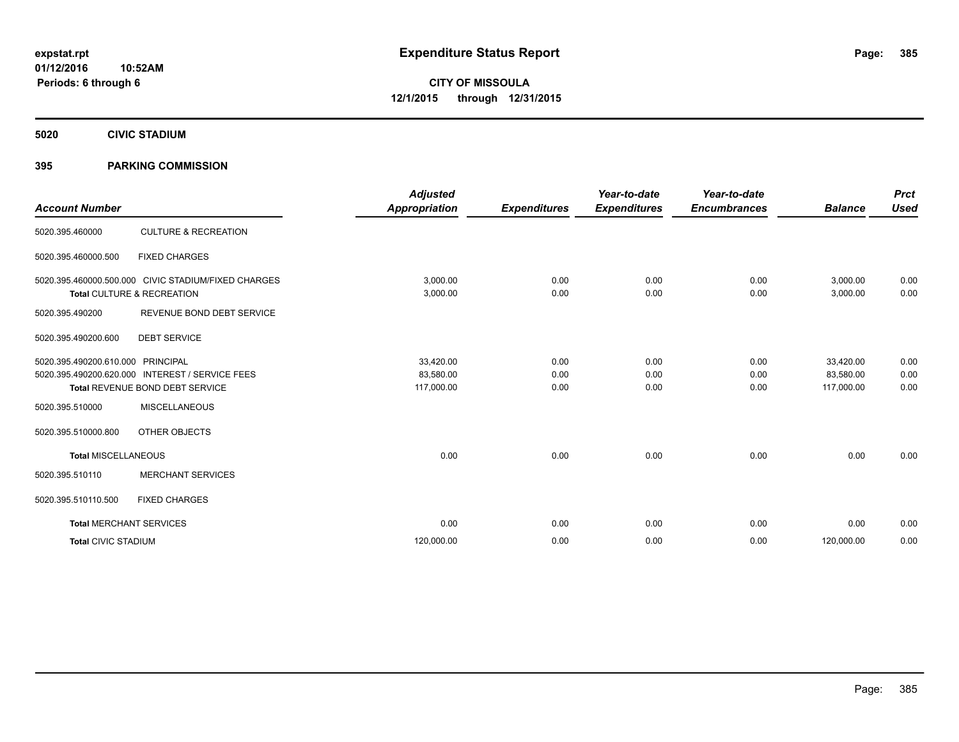**5020 CIVIC STADIUM**

#### **395 PARKING COMMISSION**

| <b>Account Number</b>      |                                                                                                               | <b>Adjusted</b><br><b>Appropriation</b> | <b>Expenditures</b>  | Year-to-date<br><b>Expenditures</b> | Year-to-date<br><b>Encumbrances</b> | <b>Balance</b>                       | <b>Prct</b><br><b>Used</b> |
|----------------------------|---------------------------------------------------------------------------------------------------------------|-----------------------------------------|----------------------|-------------------------------------|-------------------------------------|--------------------------------------|----------------------------|
| 5020.395.460000            | <b>CULTURE &amp; RECREATION</b>                                                                               |                                         |                      |                                     |                                     |                                      |                            |
| 5020.395.460000.500        | <b>FIXED CHARGES</b>                                                                                          |                                         |                      |                                     |                                     |                                      |                            |
|                            | 5020.395.460000.500.000 CIVIC STADIUM/FIXED CHARGES<br>Total CULTURE & RECREATION                             | 3,000.00<br>3,000.00                    | 0.00<br>0.00         | 0.00<br>0.00                        | 0.00<br>0.00                        | 3,000.00<br>3,000.00                 | 0.00<br>0.00               |
| 5020.395.490200            | REVENUE BOND DEBT SERVICE                                                                                     |                                         |                      |                                     |                                     |                                      |                            |
| 5020.395.490200.600        | <b>DEBT SERVICE</b>                                                                                           |                                         |                      |                                     |                                     |                                      |                            |
| 5020.395.490200.610.000    | <b>PRINCIPAL</b><br>5020.395.490200.620.000 INTEREST / SERVICE FEES<br><b>Total REVENUE BOND DEBT SERVICE</b> | 33,420.00<br>83,580.00<br>117,000.00    | 0.00<br>0.00<br>0.00 | 0.00<br>0.00<br>0.00                | 0.00<br>0.00<br>0.00                | 33,420.00<br>83,580.00<br>117,000.00 | 0.00<br>0.00<br>0.00       |
| 5020.395.510000            | <b>MISCELLANEOUS</b>                                                                                          |                                         |                      |                                     |                                     |                                      |                            |
| 5020.395.510000.800        | OTHER OBJECTS                                                                                                 |                                         |                      |                                     |                                     |                                      |                            |
| <b>Total MISCELLANEOUS</b> |                                                                                                               | 0.00                                    | 0.00                 | 0.00                                | 0.00                                | 0.00                                 | 0.00                       |
| 5020.395.510110            | <b>MERCHANT SERVICES</b>                                                                                      |                                         |                      |                                     |                                     |                                      |                            |
| 5020.395.510110.500        | <b>FIXED CHARGES</b>                                                                                          |                                         |                      |                                     |                                     |                                      |                            |
|                            | <b>Total MERCHANT SERVICES</b>                                                                                | 0.00                                    | 0.00                 | 0.00                                | 0.00                                | 0.00                                 | 0.00                       |
| <b>Total CIVIC STADIUM</b> |                                                                                                               | 120,000.00                              | 0.00                 | 0.00                                | 0.00                                | 120,000.00                           | 0.00                       |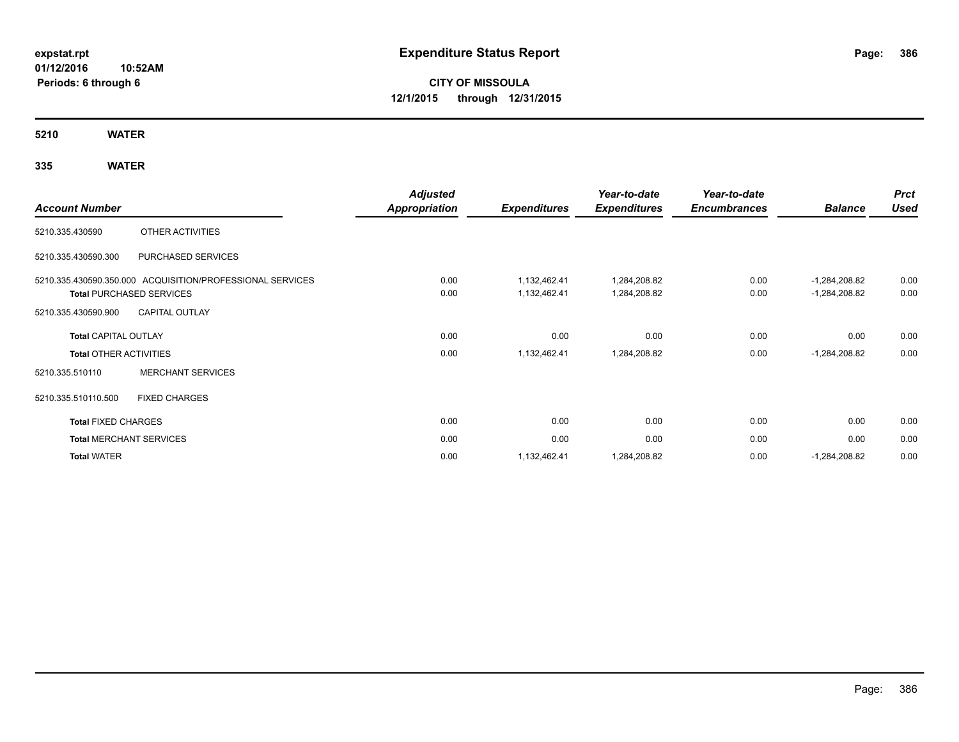**01/12/2016 10:52AM Periods: 6 through 6**

**CITY OF MISSOULA 12/1/2015 through 12/31/2015**

**5210 WATER**

## **335 WATER**

|                                |                                                           | <b>Adjusted</b> |                     | Year-to-date        | Year-to-date        |                 | <b>Prct</b> |
|--------------------------------|-----------------------------------------------------------|-----------------|---------------------|---------------------|---------------------|-----------------|-------------|
| <b>Account Number</b>          |                                                           | Appropriation   | <b>Expenditures</b> | <b>Expenditures</b> | <b>Encumbrances</b> | <b>Balance</b>  | <b>Used</b> |
| 5210.335.430590                | OTHER ACTIVITIES                                          |                 |                     |                     |                     |                 |             |
| 5210.335.430590.300            | PURCHASED SERVICES                                        |                 |                     |                     |                     |                 |             |
|                                | 5210.335.430590.350.000 ACQUISITION/PROFESSIONAL SERVICES | 0.00            | 1,132,462.41        | 1,284,208.82        | 0.00                | $-1,284,208.82$ | 0.00        |
|                                | <b>Total PURCHASED SERVICES</b>                           | 0.00            | 1,132,462.41        | 1,284,208.82        | 0.00                | $-1,284,208.82$ | 0.00        |
| 5210.335.430590.900            | <b>CAPITAL OUTLAY</b>                                     |                 |                     |                     |                     |                 |             |
| <b>Total CAPITAL OUTLAY</b>    |                                                           | 0.00            | 0.00                | 0.00                | 0.00                | 0.00            | 0.00        |
| <b>Total OTHER ACTIVITIES</b>  |                                                           | 0.00            | 1,132,462.41        | 1,284,208.82        | 0.00                | $-1,284,208.82$ | 0.00        |
| 5210.335.510110                | <b>MERCHANT SERVICES</b>                                  |                 |                     |                     |                     |                 |             |
| 5210.335.510110.500            | <b>FIXED CHARGES</b>                                      |                 |                     |                     |                     |                 |             |
| <b>Total FIXED CHARGES</b>     |                                                           | 0.00            | 0.00                | 0.00                | 0.00                | 0.00            | 0.00        |
| <b>Total MERCHANT SERVICES</b> |                                                           | 0.00            | 0.00                | 0.00                | 0.00                | 0.00            | 0.00        |
| <b>Total WATER</b>             |                                                           | 0.00            | 1,132,462.41        | 1,284,208.82        | 0.00                | $-1,284,208.82$ | 0.00        |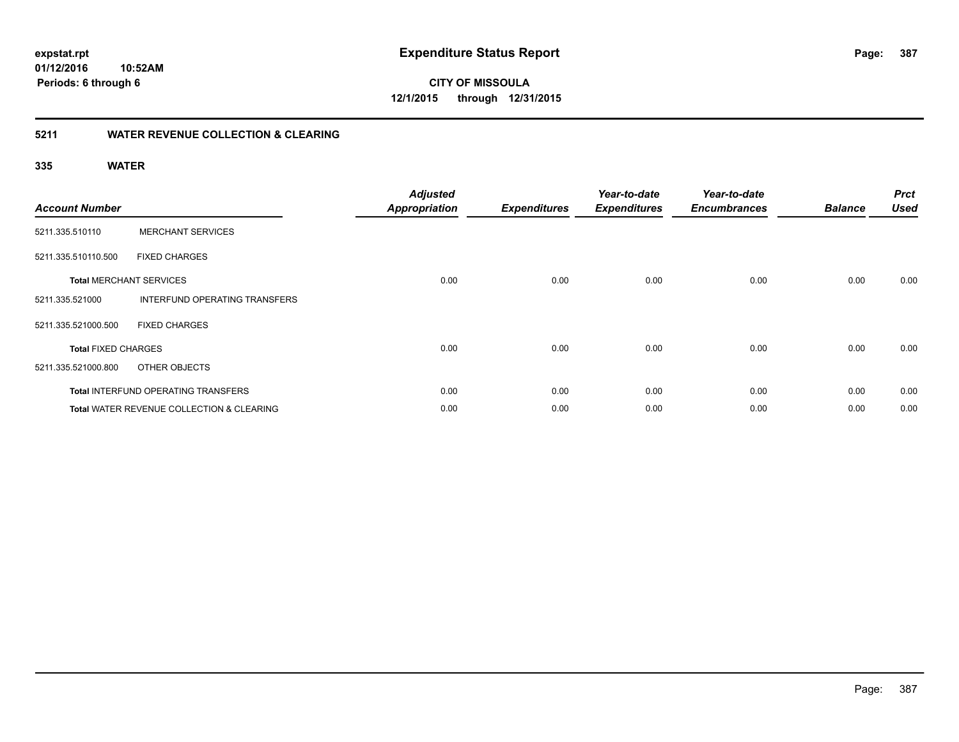**01/12/2016 10:52AM Periods: 6 through 6**

**CITY OF MISSOULA 12/1/2015 through 12/31/2015**

#### **5211 WATER REVENUE COLLECTION & CLEARING**

#### **335 WATER**

| <b>Account Number</b>      |                                                      | <b>Adjusted</b><br><b>Appropriation</b> | <b>Expenditures</b> | Year-to-date<br><b>Expenditures</b> | Year-to-date<br><b>Encumbrances</b> | <b>Balance</b> | <b>Prct</b><br><b>Used</b> |
|----------------------------|------------------------------------------------------|-----------------------------------------|---------------------|-------------------------------------|-------------------------------------|----------------|----------------------------|
| 5211.335.510110            | <b>MERCHANT SERVICES</b>                             |                                         |                     |                                     |                                     |                |                            |
| 5211.335.510110.500        | <b>FIXED CHARGES</b>                                 |                                         |                     |                                     |                                     |                |                            |
|                            | <b>Total MERCHANT SERVICES</b>                       | 0.00                                    | 0.00                | 0.00                                | 0.00                                | 0.00           | 0.00                       |
| 5211.335.521000            | <b>INTERFUND OPERATING TRANSFERS</b>                 |                                         |                     |                                     |                                     |                |                            |
| 5211.335.521000.500        | <b>FIXED CHARGES</b>                                 |                                         |                     |                                     |                                     |                |                            |
| <b>Total FIXED CHARGES</b> |                                                      | 0.00                                    | 0.00                | 0.00                                | 0.00                                | 0.00           | 0.00                       |
| 5211.335.521000.800        | OTHER OBJECTS                                        |                                         |                     |                                     |                                     |                |                            |
|                            | <b>Total INTERFUND OPERATING TRANSFERS</b>           | 0.00                                    | 0.00                | 0.00                                | 0.00                                | 0.00           | 0.00                       |
|                            | <b>Total WATER REVENUE COLLECTION &amp; CLEARING</b> | 0.00                                    | 0.00                | 0.00                                | 0.00                                | 0.00           | 0.00                       |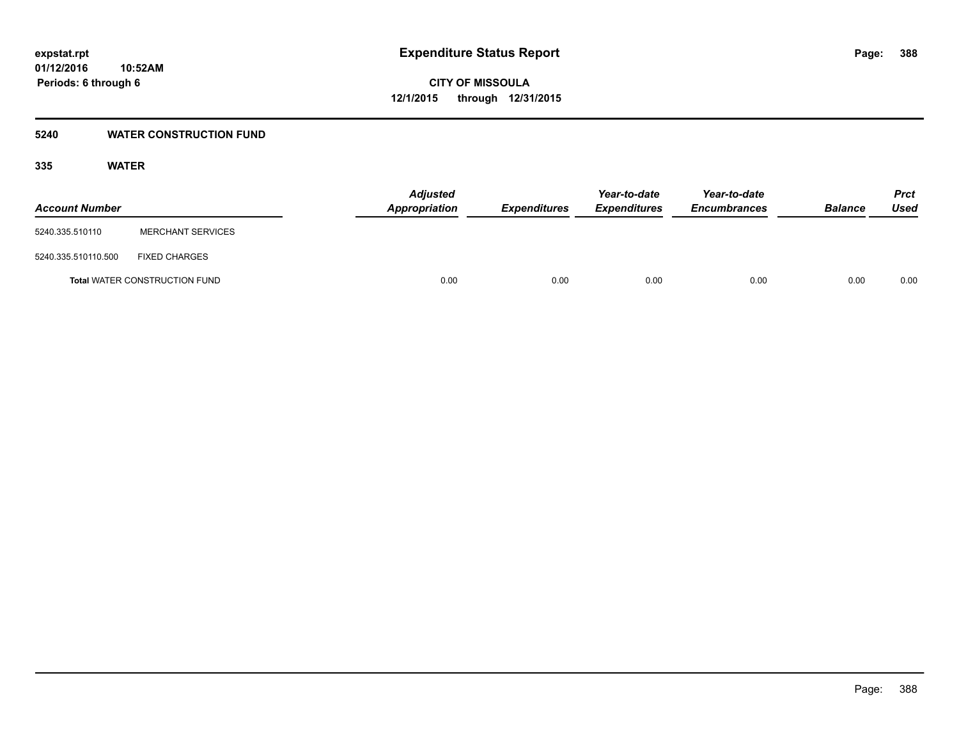#### **5240 WATER CONSTRUCTION FUND**

#### **335 WATER**

| <b>Account Number</b> |                                      | <b>Adjusted</b><br>Appropriation | <b>Expenditures</b> | Year-to-date<br><b>Expenditures</b> | Year-to-date<br><b>Encumbrances</b> | <b>Balance</b> | <b>Prct</b><br><b>Used</b> |
|-----------------------|--------------------------------------|----------------------------------|---------------------|-------------------------------------|-------------------------------------|----------------|----------------------------|
| 5240.335.510110       | <b>MERCHANT SERVICES</b>             |                                  |                     |                                     |                                     |                |                            |
| 5240.335.510110.500   | <b>FIXED CHARGES</b>                 |                                  |                     |                                     |                                     |                |                            |
|                       | <b>Total WATER CONSTRUCTION FUND</b> | 0.00                             | 0.00                | 0.00                                | 0.00                                | 0.00           | 0.00                       |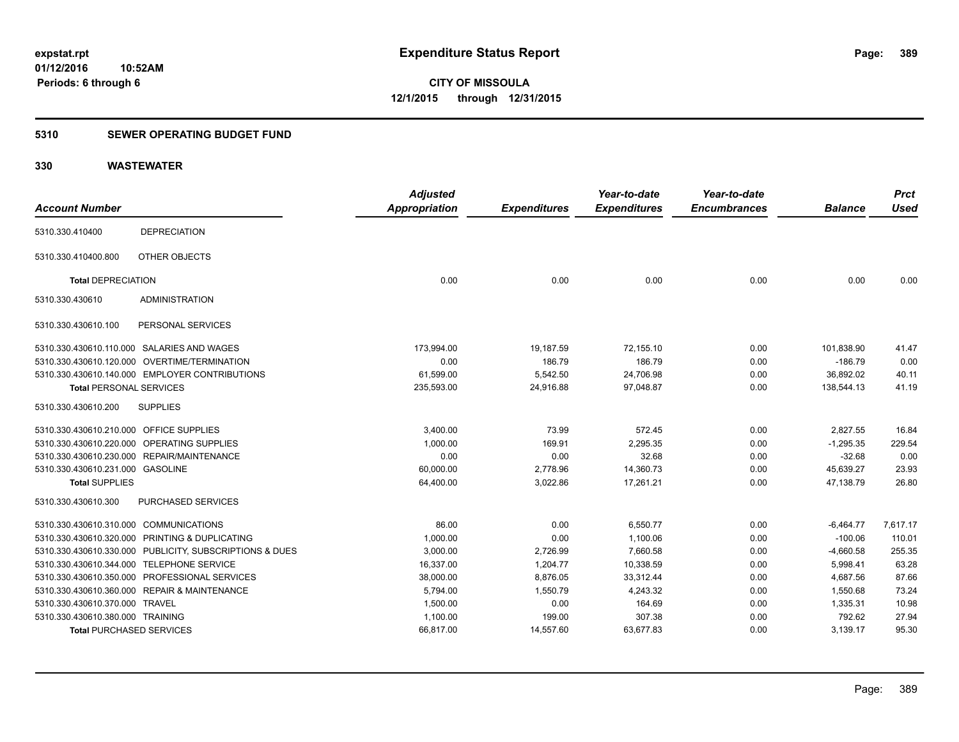#### **5310 SEWER OPERATING BUDGET FUND**

| <b>Account Number</b>                   |                                                         | <b>Adjusted</b><br><b>Appropriation</b> | <b>Expenditures</b> | Year-to-date<br><b>Expenditures</b> | Year-to-date<br><b>Encumbrances</b> | <b>Balance</b> | <b>Prct</b><br><b>Used</b> |
|-----------------------------------------|---------------------------------------------------------|-----------------------------------------|---------------------|-------------------------------------|-------------------------------------|----------------|----------------------------|
|                                         |                                                         |                                         |                     |                                     |                                     |                |                            |
| 5310.330.410400                         | <b>DEPRECIATION</b>                                     |                                         |                     |                                     |                                     |                |                            |
| 5310.330.410400.800                     | OTHER OBJECTS                                           |                                         |                     |                                     |                                     |                |                            |
| <b>Total DEPRECIATION</b>               |                                                         | 0.00                                    | 0.00                | 0.00                                | 0.00                                | 0.00           | 0.00                       |
| 5310.330.430610                         | <b>ADMINISTRATION</b>                                   |                                         |                     |                                     |                                     |                |                            |
| 5310.330.430610.100                     | PERSONAL SERVICES                                       |                                         |                     |                                     |                                     |                |                            |
|                                         | 5310.330.430610.110.000 SALARIES AND WAGES              | 173,994.00                              | 19,187.59           | 72,155.10                           | 0.00                                | 101,838.90     | 41.47                      |
|                                         | 5310.330.430610.120.000 OVERTIME/TERMINATION            | 0.00                                    | 186.79              | 186.79                              | 0.00                                | $-186.79$      | 0.00                       |
|                                         | 5310.330.430610.140.000 EMPLOYER CONTRIBUTIONS          | 61,599.00                               | 5,542.50            | 24,706.98                           | 0.00                                | 36,892.02      | 40.11                      |
| <b>Total PERSONAL SERVICES</b>          |                                                         | 235,593.00                              | 24,916.88           | 97,048.87                           | 0.00                                | 138,544.13     | 41.19                      |
| 5310.330.430610.200                     | <b>SUPPLIES</b>                                         |                                         |                     |                                     |                                     |                |                            |
| 5310.330.430610.210.000 OFFICE SUPPLIES |                                                         | 3,400.00                                | 73.99               | 572.45                              | 0.00                                | 2,827.55       | 16.84                      |
|                                         | 5310.330.430610.220.000 OPERATING SUPPLIES              | 1,000.00                                | 169.91              | 2,295.35                            | 0.00                                | $-1,295.35$    | 229.54                     |
|                                         | 5310.330.430610.230.000 REPAIR/MAINTENANCE              | 0.00                                    | 0.00                | 32.68                               | 0.00                                | $-32.68$       | 0.00                       |
| 5310.330.430610.231.000 GASOLINE        |                                                         | 60.000.00                               | 2,778.96            | 14,360.73                           | 0.00                                | 45,639.27      | 23.93                      |
| <b>Total SUPPLIES</b>                   |                                                         | 64,400.00                               | 3,022.86            | 17,261.21                           | 0.00                                | 47,138.79      | 26.80                      |
| 5310.330.430610.300                     | PURCHASED SERVICES                                      |                                         |                     |                                     |                                     |                |                            |
| 5310.330.430610.310.000 COMMUNICATIONS  |                                                         | 86.00                                   | 0.00                | 6,550.77                            | 0.00                                | $-6,464.77$    | 7,617.17                   |
|                                         | 5310.330.430610.320.000 PRINTING & DUPLICATING          | 1,000.00                                | 0.00                | 1.100.06                            | 0.00                                | $-100.06$      | 110.01                     |
|                                         | 5310.330.430610.330.000 PUBLICITY, SUBSCRIPTIONS & DUES | 3,000.00                                | 2,726.99            | 7.660.58                            | 0.00                                | $-4,660.58$    | 255.35                     |
|                                         | 5310.330.430610.344.000 TELEPHONE SERVICE               | 16,337.00                               | 1,204.77            | 10,338.59                           | 0.00                                | 5,998.41       | 63.28                      |
|                                         | 5310.330.430610.350.000 PROFESSIONAL SERVICES           | 38,000.00                               | 8,876.05            | 33,312.44                           | 0.00                                | 4,687.56       | 87.66                      |
|                                         | 5310.330.430610.360.000 REPAIR & MAINTENANCE            | 5,794.00                                | 1,550.79            | 4,243.32                            | 0.00                                | 1,550.68       | 73.24                      |
| 5310.330.430610.370.000 TRAVEL          |                                                         | 1,500.00                                | 0.00                | 164.69                              | 0.00                                | 1,335.31       | 10.98                      |
| 5310.330.430610.380.000 TRAINING        |                                                         | 1,100.00                                | 199.00              | 307.38                              | 0.00                                | 792.62         | 27.94                      |
| <b>Total PURCHASED SERVICES</b>         |                                                         | 66,817.00                               | 14,557.60           | 63,677.83                           | 0.00                                | 3,139.17       | 95.30                      |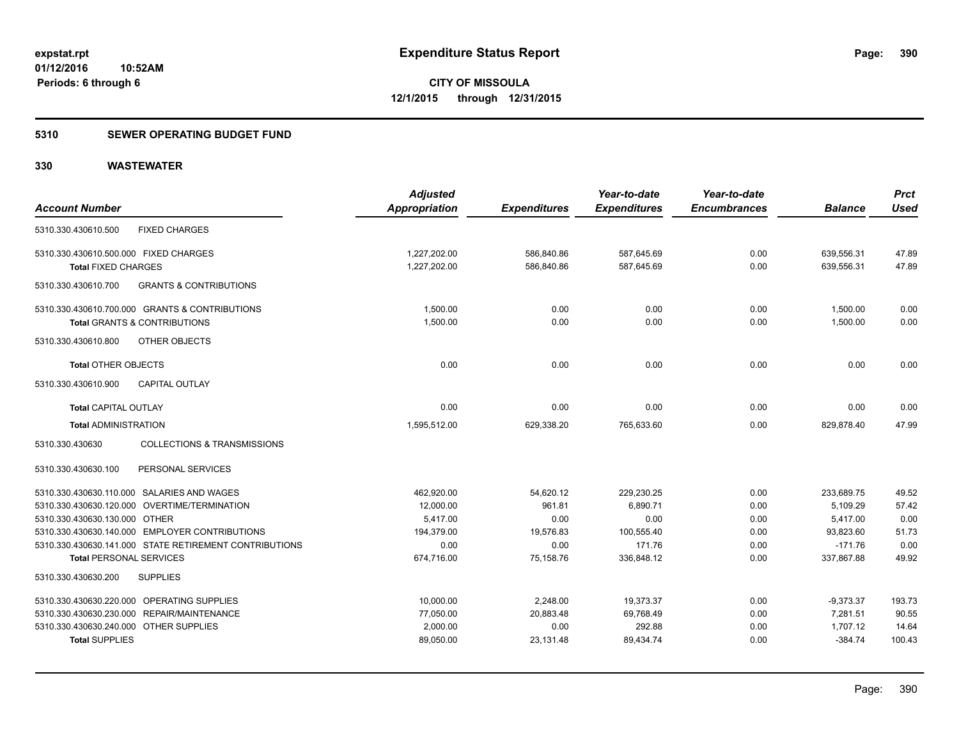#### **5310 SEWER OPERATING BUDGET FUND**

|                                        |                                                        | <b>Adjusted</b>      |                     | Year-to-date        | Year-to-date        |                | <b>Prct</b> |
|----------------------------------------|--------------------------------------------------------|----------------------|---------------------|---------------------|---------------------|----------------|-------------|
| <b>Account Number</b>                  |                                                        | <b>Appropriation</b> | <b>Expenditures</b> | <b>Expenditures</b> | <b>Encumbrances</b> | <b>Balance</b> | <b>Used</b> |
| 5310.330.430610.500                    | <b>FIXED CHARGES</b>                                   |                      |                     |                     |                     |                |             |
| 5310.330.430610.500.000 FIXED CHARGES  |                                                        | 1,227,202.00         | 586,840.86          | 587,645.69          | 0.00                | 639,556.31     | 47.89       |
| <b>Total FIXED CHARGES</b>             |                                                        | 1,227,202.00         | 586,840.86          | 587,645.69          | 0.00                | 639,556.31     | 47.89       |
| 5310.330.430610.700                    | <b>GRANTS &amp; CONTRIBUTIONS</b>                      |                      |                     |                     |                     |                |             |
|                                        | 5310.330.430610.700.000 GRANTS & CONTRIBUTIONS         | 1,500.00             | 0.00                | 0.00                | 0.00                | 1,500.00       | 0.00        |
|                                        | <b>Total GRANTS &amp; CONTRIBUTIONS</b>                | 1,500.00             | 0.00                | 0.00                | 0.00                | 1.500.00       | 0.00        |
| 5310.330.430610.800                    | <b>OTHER OBJECTS</b>                                   |                      |                     |                     |                     |                |             |
| <b>Total OTHER OBJECTS</b>             |                                                        | 0.00                 | 0.00                | 0.00                | 0.00                | 0.00           | 0.00        |
| 5310.330.430610.900                    | <b>CAPITAL OUTLAY</b>                                  |                      |                     |                     |                     |                |             |
| <b>Total CAPITAL OUTLAY</b>            |                                                        | 0.00                 | 0.00                | 0.00                | 0.00                | 0.00           | 0.00        |
| <b>Total ADMINISTRATION</b>            |                                                        | 1,595,512.00         | 629,338.20          | 765,633.60          | 0.00                | 829,878.40     | 47.99       |
| 5310.330.430630                        | <b>COLLECTIONS &amp; TRANSMISSIONS</b>                 |                      |                     |                     |                     |                |             |
| 5310.330.430630.100                    | PERSONAL SERVICES                                      |                      |                     |                     |                     |                |             |
|                                        | 5310.330.430630.110.000 SALARIES AND WAGES             | 462,920.00           | 54,620.12           | 229,230.25          | 0.00                | 233,689.75     | 49.52       |
|                                        | 5310.330.430630.120.000 OVERTIME/TERMINATION           | 12,000.00            | 961.81              | 6,890.71            | 0.00                | 5,109.29       | 57.42       |
| 5310.330.430630.130.000 OTHER          |                                                        | 5,417.00             | 0.00                | 0.00                | 0.00                | 5,417.00       | 0.00        |
|                                        | 5310.330.430630.140.000 EMPLOYER CONTRIBUTIONS         | 194,379.00           | 19,576.83           | 100,555.40          | 0.00                | 93,823.60      | 51.73       |
|                                        | 5310.330.430630.141.000 STATE RETIREMENT CONTRIBUTIONS | 0.00                 | 0.00                | 171.76              | 0.00                | $-171.76$      | 0.00        |
| <b>Total PERSONAL SERVICES</b>         |                                                        | 674,716.00           | 75,158.76           | 336,848.12          | 0.00                | 337,867.88     | 49.92       |
| 5310.330.430630.200                    | <b>SUPPLIES</b>                                        |                      |                     |                     |                     |                |             |
|                                        | 5310.330.430630.220.000 OPERATING SUPPLIES             | 10,000.00            | 2,248.00            | 19,373.37           | 0.00                | $-9,373.37$    | 193.73      |
|                                        | 5310.330.430630.230.000 REPAIR/MAINTENANCE             | 77,050.00            | 20,883.48           | 69,768.49           | 0.00                | 7,281.51       | 90.55       |
| 5310.330.430630.240.000 OTHER SUPPLIES |                                                        | 2,000.00             | 0.00                | 292.88              | 0.00                | 1,707.12       | 14.64       |
| <b>Total SUPPLIES</b>                  |                                                        | 89,050.00            | 23,131.48           | 89,434.74           | 0.00                | $-384.74$      | 100.43      |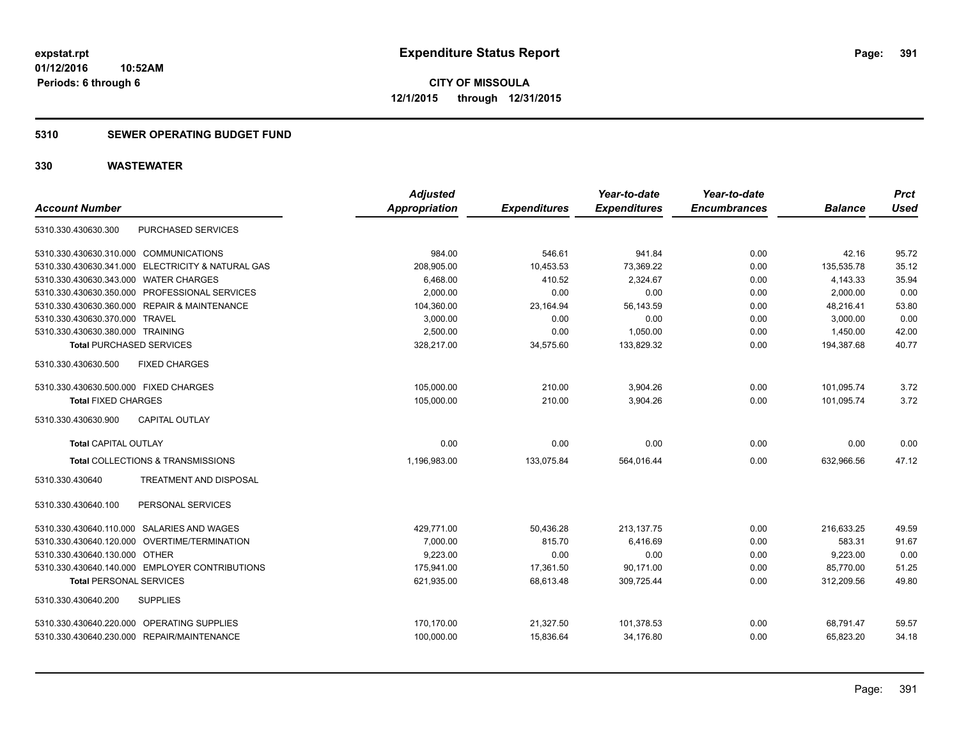#### **5310 SEWER OPERATING BUDGET FUND**

| <b>Account Number</b>                  |                                                   | <b>Adjusted</b><br><b>Appropriation</b> | <b>Expenditures</b> | Year-to-date<br><b>Expenditures</b> | Year-to-date<br><b>Encumbrances</b> | <b>Balance</b> | <b>Prct</b><br><b>Used</b> |
|----------------------------------------|---------------------------------------------------|-----------------------------------------|---------------------|-------------------------------------|-------------------------------------|----------------|----------------------------|
| 5310.330.430630.300                    | PURCHASED SERVICES                                |                                         |                     |                                     |                                     |                |                            |
| 5310.330.430630.310.000 COMMUNICATIONS |                                                   | 984.00                                  | 546.61              | 941.84                              | 0.00                                | 42.16          | 95.72                      |
|                                        | 5310.330.430630.341.000 ELECTRICITY & NATURAL GAS | 208,905.00                              | 10,453.53           | 73,369.22                           | 0.00                                | 135,535.78     | 35.12                      |
| 5310.330.430630.343.000 WATER CHARGES  |                                                   | 6,468.00                                | 410.52              | 2,324.67                            | 0.00                                | 4,143.33       | 35.94                      |
|                                        | 5310.330.430630.350.000 PROFESSIONAL SERVICES     | 2,000.00                                | 0.00                | 0.00                                | 0.00                                | 2,000.00       | 0.00                       |
|                                        | 5310.330.430630.360.000 REPAIR & MAINTENANCE      | 104,360.00                              | 23,164.94           | 56,143.59                           | 0.00                                | 48,216.41      | 53.80                      |
| 5310.330.430630.370.000 TRAVEL         |                                                   | 3,000.00                                | 0.00                | 0.00                                | 0.00                                | 3,000.00       | 0.00                       |
| 5310.330.430630.380.000 TRAINING       |                                                   | 2,500.00                                | 0.00                | 1,050.00                            | 0.00                                | 1,450.00       | 42.00                      |
| <b>Total PURCHASED SERVICES</b>        |                                                   | 328.217.00                              | 34.575.60           | 133.829.32                          | 0.00                                | 194.387.68     | 40.77                      |
| 5310.330.430630.500                    | <b>FIXED CHARGES</b>                              |                                         |                     |                                     |                                     |                |                            |
| 5310.330.430630.500.000 FIXED CHARGES  |                                                   | 105,000.00                              | 210.00              | 3,904.26                            | 0.00                                | 101,095.74     | 3.72                       |
| <b>Total FIXED CHARGES</b>             |                                                   | 105,000.00                              | 210.00              | 3,904.26                            | 0.00                                | 101,095.74     | 3.72                       |
| 5310.330.430630.900                    | <b>CAPITAL OUTLAY</b>                             |                                         |                     |                                     |                                     |                |                            |
| <b>Total CAPITAL OUTLAY</b>            |                                                   | 0.00                                    | 0.00                | 0.00                                | 0.00                                | 0.00           | 0.00                       |
|                                        | Total COLLECTIONS & TRANSMISSIONS                 | 1,196,983.00                            | 133,075.84          | 564,016.44                          | 0.00                                | 632,966.56     | 47.12                      |
| 5310.330.430640                        | TREATMENT AND DISPOSAL                            |                                         |                     |                                     |                                     |                |                            |
| 5310.330.430640.100                    | PERSONAL SERVICES                                 |                                         |                     |                                     |                                     |                |                            |
|                                        | 5310.330.430640.110.000 SALARIES AND WAGES        | 429,771.00                              | 50,436.28           | 213, 137. 75                        | 0.00                                | 216.633.25     | 49.59                      |
| 5310.330.430640.120.000                | OVERTIME/TERMINATION                              | 7,000.00                                | 815.70              | 6,416.69                            | 0.00                                | 583.31         | 91.67                      |
| 5310.330.430640.130.000 OTHER          |                                                   | 9,223.00                                | 0.00                | 0.00                                | 0.00                                | 9,223.00       | 0.00                       |
|                                        | 5310.330.430640.140.000 EMPLOYER CONTRIBUTIONS    | 175,941.00                              | 17,361.50           | 90,171.00                           | 0.00                                | 85,770.00      | 51.25                      |
| <b>Total PERSONAL SERVICES</b>         |                                                   | 621,935.00                              | 68,613.48           | 309,725.44                          | 0.00                                | 312,209.56     | 49.80                      |
| 5310.330.430640.200                    | <b>SUPPLIES</b>                                   |                                         |                     |                                     |                                     |                |                            |
|                                        | 5310.330.430640.220.000 OPERATING SUPPLIES        | 170,170.00                              | 21,327.50           | 101,378.53                          | 0.00                                | 68,791.47      | 59.57                      |
|                                        | 5310.330.430640.230.000 REPAIR/MAINTENANCE        | 100,000.00                              | 15,836.64           | 34,176.80                           | 0.00                                | 65,823.20      | 34.18                      |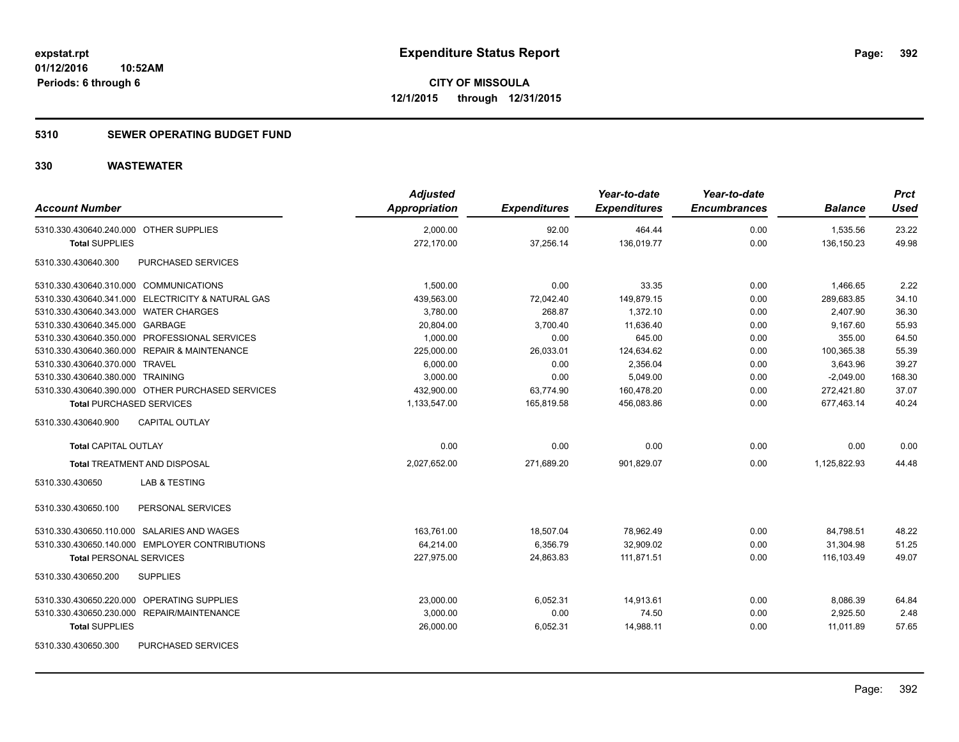#### **5310 SEWER OPERATING BUDGET FUND**

| <b>Account Number</b>                             | <b>Adjusted</b><br>Appropriation | <b>Expenditures</b> | Year-to-date<br><b>Expenditures</b> | Year-to-date<br><b>Encumbrances</b> | <b>Balance</b> | <b>Prct</b><br>Used |
|---------------------------------------------------|----------------------------------|---------------------|-------------------------------------|-------------------------------------|----------------|---------------------|
| 5310.330.430640.240.000 OTHER SUPPLIES            | 2,000.00                         | 92.00               | 464.44                              | 0.00                                | 1,535.56       | 23.22               |
| <b>Total SUPPLIES</b>                             | 272,170.00                       | 37,256.14           | 136,019.77                          | 0.00                                | 136,150.23     | 49.98               |
| 5310.330.430640.300<br>PURCHASED SERVICES         |                                  |                     |                                     |                                     |                |                     |
| 5310.330.430640.310.000 COMMUNICATIONS            | 1,500.00                         | 0.00                | 33.35                               | 0.00                                | 1,466.65       | 2.22                |
| 5310.330.430640.341.000 ELECTRICITY & NATURAL GAS | 439,563.00                       | 72,042.40           | 149,879.15                          | 0.00                                | 289,683.85     | 34.10               |
| 5310.330.430640.343.000 WATER CHARGES             | 3,780.00                         | 268.87              | 1,372.10                            | 0.00                                | 2,407.90       | 36.30               |
| 5310.330.430640.345.000 GARBAGE                   | 20,804.00                        | 3,700.40            | 11,636.40                           | 0.00                                | 9,167.60       | 55.93               |
| 5310.330.430640.350.000 PROFESSIONAL SERVICES     | 1,000.00                         | 0.00                | 645.00                              | 0.00                                | 355.00         | 64.50               |
| 5310.330.430640.360.000 REPAIR & MAINTENANCE      | 225,000.00                       | 26,033.01           | 124,634.62                          | 0.00                                | 100,365.38     | 55.39               |
| 5310.330.430640.370.000 TRAVEL                    | 6,000.00                         | 0.00                | 2,356.04                            | 0.00                                | 3,643.96       | 39.27               |
| 5310.330.430640.380.000 TRAINING                  | 3,000.00                         | 0.00                | 5,049.00                            | 0.00                                | $-2,049.00$    | 168.30              |
| 5310.330.430640.390.000 OTHER PURCHASED SERVICES  | 432,900.00                       | 63,774.90           | 160,478.20                          | 0.00                                | 272,421.80     | 37.07               |
| <b>Total PURCHASED SERVICES</b>                   | 1,133,547.00                     | 165,819.58          | 456,083.86                          | 0.00                                | 677,463.14     | 40.24               |
| 5310.330.430640.900<br><b>CAPITAL OUTLAY</b>      |                                  |                     |                                     |                                     |                |                     |
| <b>Total CAPITAL OUTLAY</b>                       | 0.00                             | 0.00                | 0.00                                | 0.00                                | 0.00           | 0.00                |
| <b>Total TREATMENT AND DISPOSAL</b>               | 2,027,652.00                     | 271,689.20          | 901,829.07                          | 0.00                                | 1,125,822.93   | 44.48               |
| <b>LAB &amp; TESTING</b><br>5310.330.430650       |                                  |                     |                                     |                                     |                |                     |
| PERSONAL SERVICES<br>5310.330.430650.100          |                                  |                     |                                     |                                     |                |                     |
| 5310.330.430650.110.000 SALARIES AND WAGES        | 163,761.00                       | 18,507.04           | 78,962.49                           | 0.00                                | 84,798.51      | 48.22               |
| 5310.330.430650.140.000 EMPLOYER CONTRIBUTIONS    | 64,214.00                        | 6,356.79            | 32,909.02                           | 0.00                                | 31,304.98      | 51.25               |
| <b>Total PERSONAL SERVICES</b>                    | 227,975.00                       | 24,863.83           | 111,871.51                          | 0.00                                | 116,103.49     | 49.07               |
| 5310.330.430650.200<br><b>SUPPLIES</b>            |                                  |                     |                                     |                                     |                |                     |
| 5310.330.430650.220.000 OPERATING SUPPLIES        | 23,000.00                        | 6,052.31            | 14,913.61                           | 0.00                                | 8,086.39       | 64.84               |
| 5310.330.430650.230.000 REPAIR/MAINTENANCE        | 3,000.00                         | 0.00                | 74.50                               | 0.00                                | 2,925.50       | 2.48                |
| <b>Total SUPPLIES</b>                             | 26,000.00                        | 6,052.31            | 14,988.11                           | 0.00                                | 11,011.89      | 57.65               |
| 5310.330.430650.300<br>PURCHASED SERVICES         |                                  |                     |                                     |                                     |                |                     |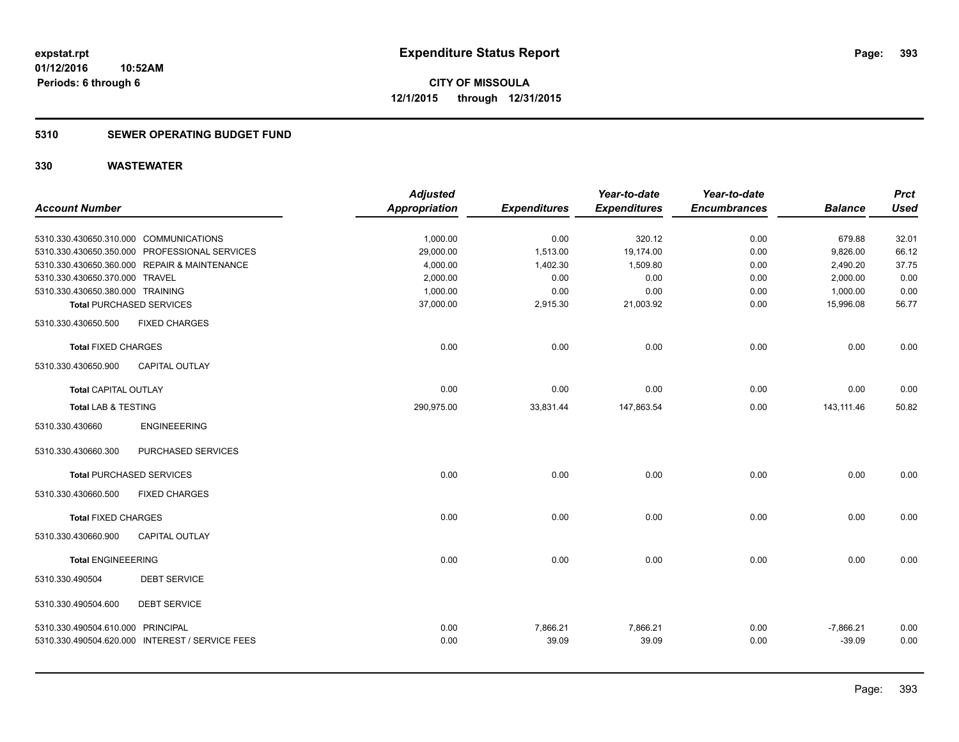#### **5310 SEWER OPERATING BUDGET FUND**

|                                        |                                                 | <b>Adjusted</b>      |                     | Year-to-date        | Year-to-date        |                | <b>Prct</b> |
|----------------------------------------|-------------------------------------------------|----------------------|---------------------|---------------------|---------------------|----------------|-------------|
| <b>Account Number</b>                  |                                                 | <b>Appropriation</b> | <b>Expenditures</b> | <b>Expenditures</b> | <b>Encumbrances</b> | <b>Balance</b> | <b>Used</b> |
|                                        |                                                 |                      |                     |                     |                     |                |             |
| 5310.330.430650.310.000 COMMUNICATIONS |                                                 | 1,000.00             | 0.00                | 320.12              | 0.00                | 679.88         | 32.01       |
|                                        | 5310.330.430650.350.000 PROFESSIONAL SERVICES   | 29,000.00            | 1,513.00            | 19,174.00           | 0.00                | 9,826.00       | 66.12       |
|                                        | 5310.330.430650.360.000 REPAIR & MAINTENANCE    | 4,000.00             | 1,402.30            | 1,509.80            | 0.00                | 2,490.20       | 37.75       |
| 5310.330.430650.370.000 TRAVEL         |                                                 | 2,000.00             | 0.00                | 0.00                | 0.00                | 2,000.00       | 0.00        |
| 5310.330.430650.380.000 TRAINING       |                                                 | 1,000.00             | 0.00                | 0.00                | 0.00                | 1,000.00       | 0.00        |
|                                        | <b>Total PURCHASED SERVICES</b>                 | 37,000.00            | 2,915.30            | 21,003.92           | 0.00                | 15,996.08      | 56.77       |
| 5310.330.430650.500                    | <b>FIXED CHARGES</b>                            |                      |                     |                     |                     |                |             |
| <b>Total FIXED CHARGES</b>             |                                                 | 0.00                 | 0.00                | 0.00                | 0.00                | 0.00           | 0.00        |
| 5310.330.430650.900                    | <b>CAPITAL OUTLAY</b>                           |                      |                     |                     |                     |                |             |
| <b>Total CAPITAL OUTLAY</b>            |                                                 | 0.00                 | 0.00                | 0.00                | 0.00                | 0.00           | 0.00        |
| <b>Total LAB &amp; TESTING</b>         |                                                 | 290,975.00           | 33,831.44           | 147,863.54          | 0.00                | 143,111.46     | 50.82       |
| 5310.330.430660                        | <b>ENGINEEERING</b>                             |                      |                     |                     |                     |                |             |
| 5310.330.430660.300                    | PURCHASED SERVICES                              |                      |                     |                     |                     |                |             |
|                                        | <b>Total PURCHASED SERVICES</b>                 | 0.00                 | 0.00                | 0.00                | 0.00                | 0.00           | 0.00        |
| 5310.330.430660.500                    | <b>FIXED CHARGES</b>                            |                      |                     |                     |                     |                |             |
| <b>Total FIXED CHARGES</b>             |                                                 | 0.00                 | 0.00                | 0.00                | 0.00                | 0.00           | 0.00        |
| 5310.330.430660.900                    | <b>CAPITAL OUTLAY</b>                           |                      |                     |                     |                     |                |             |
| <b>Total ENGINEEERING</b>              |                                                 | 0.00                 | 0.00                | 0.00                | 0.00                | 0.00           | 0.00        |
| 5310.330.490504                        | <b>DEBT SERVICE</b>                             |                      |                     |                     |                     |                |             |
| 5310.330.490504.600                    | <b>DEBT SERVICE</b>                             |                      |                     |                     |                     |                |             |
| 5310.330.490504.610.000 PRINCIPAL      |                                                 | 0.00                 | 7,866.21            | 7,866.21            | 0.00                | $-7,866.21$    | 0.00        |
|                                        | 5310.330.490504.620.000 INTEREST / SERVICE FEES | 0.00                 | 39.09               | 39.09               | 0.00                | $-39.09$       | 0.00        |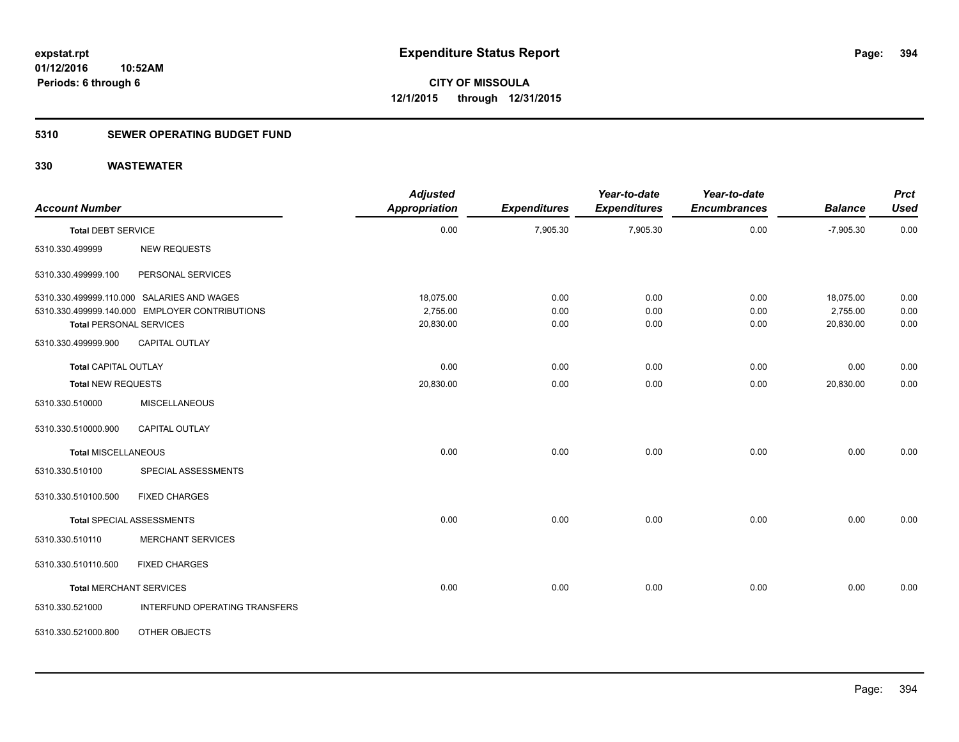#### **5310 SEWER OPERATING BUDGET FUND**

| <b>Account Number</b>          |                                                | <b>Adjusted</b><br>Appropriation | <b>Expenditures</b> | Year-to-date<br><b>Expenditures</b> | Year-to-date<br><b>Encumbrances</b> | <b>Balance</b> | <b>Prct</b><br><b>Used</b> |
|--------------------------------|------------------------------------------------|----------------------------------|---------------------|-------------------------------------|-------------------------------------|----------------|----------------------------|
| <b>Total DEBT SERVICE</b>      |                                                | 0.00                             | 7,905.30            | 7,905.30                            | 0.00                                | $-7,905.30$    | 0.00                       |
| 5310.330.499999                | <b>NEW REQUESTS</b>                            |                                  |                     |                                     |                                     |                |                            |
| 5310.330.499999.100            | PERSONAL SERVICES                              |                                  |                     |                                     |                                     |                |                            |
|                                | 5310.330.499999.110.000 SALARIES AND WAGES     | 18,075.00                        | 0.00                | 0.00                                | 0.00                                | 18,075.00      | 0.00                       |
|                                | 5310.330.499999.140.000 EMPLOYER CONTRIBUTIONS | 2,755.00                         | 0.00                | 0.00                                | 0.00                                | 2,755.00       | 0.00                       |
| <b>Total PERSONAL SERVICES</b> |                                                | 20,830.00                        | 0.00                | 0.00                                | 0.00                                | 20,830.00      | 0.00                       |
| 5310.330.499999.900            | CAPITAL OUTLAY                                 |                                  |                     |                                     |                                     |                |                            |
| <b>Total CAPITAL OUTLAY</b>    |                                                | 0.00                             | 0.00                | 0.00                                | 0.00                                | 0.00           | 0.00                       |
| <b>Total NEW REQUESTS</b>      |                                                | 20,830.00                        | 0.00                | 0.00                                | 0.00                                | 20,830.00      | 0.00                       |
| 5310.330.510000                | <b>MISCELLANEOUS</b>                           |                                  |                     |                                     |                                     |                |                            |
| 5310.330.510000.900            | <b>CAPITAL OUTLAY</b>                          |                                  |                     |                                     |                                     |                |                            |
| <b>Total MISCELLANEOUS</b>     |                                                | 0.00                             | 0.00                | 0.00                                | 0.00                                | 0.00           | 0.00                       |
| 5310.330.510100                | SPECIAL ASSESSMENTS                            |                                  |                     |                                     |                                     |                |                            |
| 5310.330.510100.500            | <b>FIXED CHARGES</b>                           |                                  |                     |                                     |                                     |                |                            |
|                                | <b>Total SPECIAL ASSESSMENTS</b>               | 0.00                             | 0.00                | 0.00                                | 0.00                                | 0.00           | 0.00                       |
| 5310.330.510110                | <b>MERCHANT SERVICES</b>                       |                                  |                     |                                     |                                     |                |                            |
| 5310.330.510110.500            | <b>FIXED CHARGES</b>                           |                                  |                     |                                     |                                     |                |                            |
| <b>Total MERCHANT SERVICES</b> |                                                | 0.00                             | 0.00                | 0.00                                | 0.00                                | 0.00           | 0.00                       |
| 5310.330.521000                | INTERFUND OPERATING TRANSFERS                  |                                  |                     |                                     |                                     |                |                            |
| 5310.330.521000.800            | OTHER OBJECTS                                  |                                  |                     |                                     |                                     |                |                            |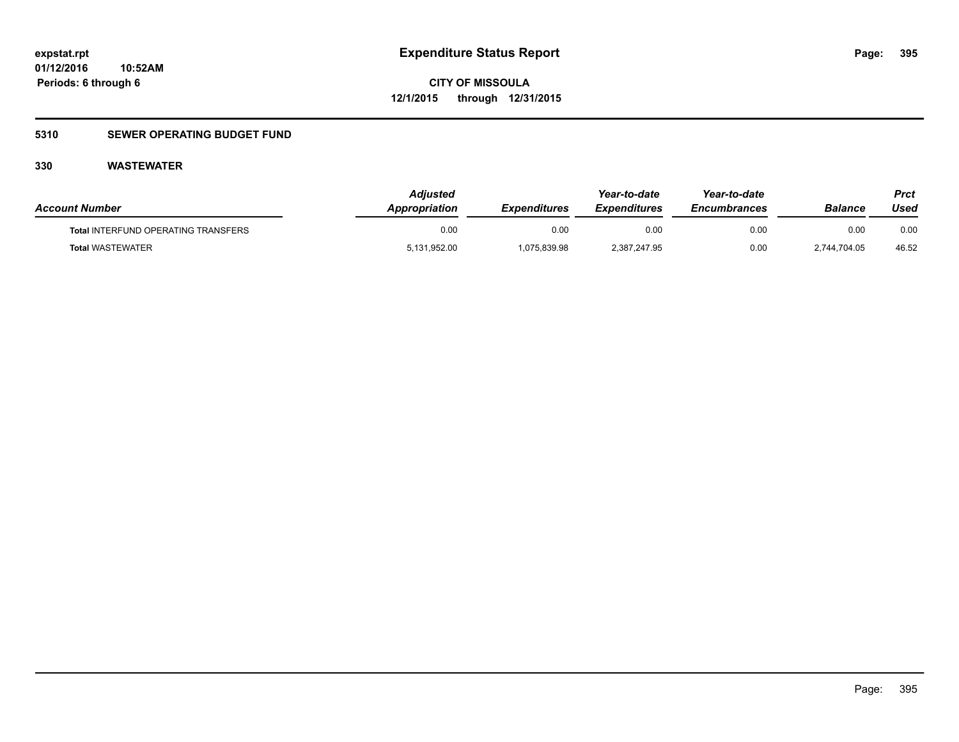### **5310 SEWER OPERATING BUDGET FUND**

| <b>Account Number</b>                      | Adiusted<br>Appropriation | <b>Expenditures</b> | Year-to-date<br><b>Expenditures</b> | Year-to-date<br><b>Encumbrances</b> | Balance      | Prct<br>Used |
|--------------------------------------------|---------------------------|---------------------|-------------------------------------|-------------------------------------|--------------|--------------|
| <b>Total INTERFUND OPERATING TRANSFERS</b> | 0.00                      | 0.00                | 0.00                                | 0.00                                | 0.00         | 0.00         |
| <b>Total WASTEWATER</b>                    | 5,131,952.00              | 1,075,839.98        | 2,387,247.95                        | 0.00                                | 2.744.704.05 | 46.52        |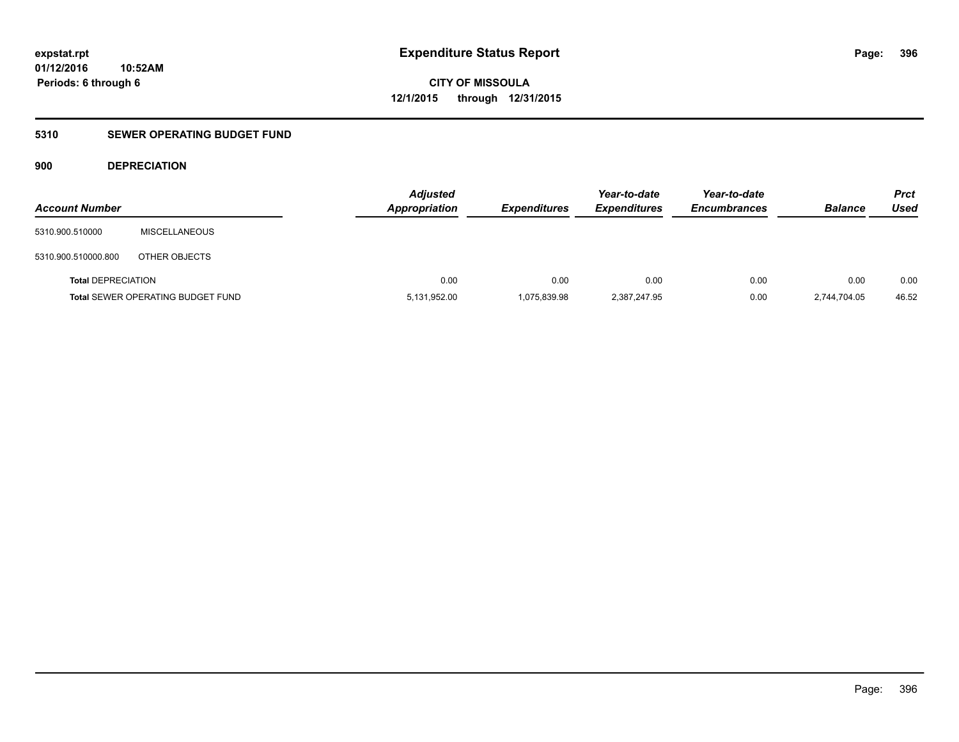### **5310 SEWER OPERATING BUDGET FUND**

#### **900 DEPRECIATION**

| <b>Account Number</b>     |                                          | <b>Adjusted</b><br><b>Appropriation</b> | <b>Expenditures</b> | Year-to-date<br><b>Expenditures</b> | Year-to-date<br><b>Encumbrances</b> | <b>Balance</b> | <b>Prct</b><br>Used |
|---------------------------|------------------------------------------|-----------------------------------------|---------------------|-------------------------------------|-------------------------------------|----------------|---------------------|
| 5310.900.510000           | <b>MISCELLANEOUS</b>                     |                                         |                     |                                     |                                     |                |                     |
| 5310.900.510000.800       | OTHER OBJECTS                            |                                         |                     |                                     |                                     |                |                     |
| <b>Total DEPRECIATION</b> |                                          | 0.00                                    | 0.00                | 0.00                                | 0.00                                | 0.00           | 0.00                |
|                           | <b>Total SEWER OPERATING BUDGET FUND</b> | 5,131,952.00                            | 1,075,839.98        | 2,387,247.95                        | 0.00                                | 2,744,704.05   | 46.52               |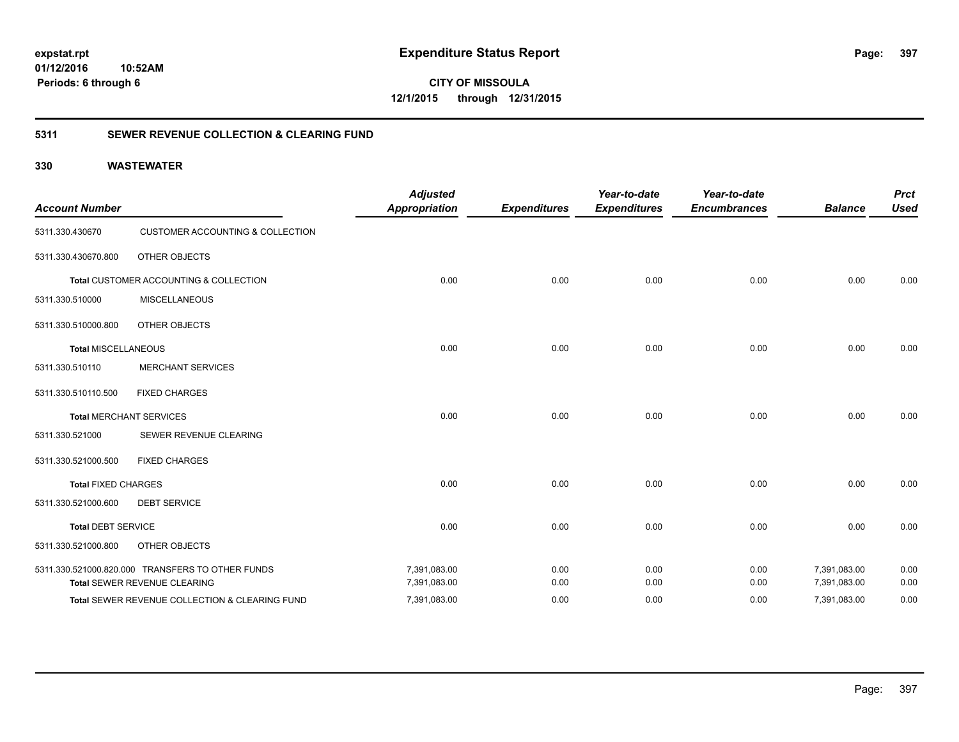**CITY OF MISSOULA 12/1/2015 through 12/31/2015**

### **5311 SEWER REVENUE COLLECTION & CLEARING FUND**

| <b>Account Number</b>      |                                                  | <b>Adjusted</b><br><b>Appropriation</b> | <b>Expenditures</b> | Year-to-date<br><b>Expenditures</b> | Year-to-date<br><b>Encumbrances</b> | <b>Balance</b> | <b>Prct</b><br><b>Used</b> |
|----------------------------|--------------------------------------------------|-----------------------------------------|---------------------|-------------------------------------|-------------------------------------|----------------|----------------------------|
| 5311.330.430670            | <b>CUSTOMER ACCOUNTING &amp; COLLECTION</b>      |                                         |                     |                                     |                                     |                |                            |
| 5311.330.430670.800        | <b>OTHER OBJECTS</b>                             |                                         |                     |                                     |                                     |                |                            |
|                            | Total CUSTOMER ACCOUNTING & COLLECTION           | 0.00                                    | 0.00                | 0.00                                | 0.00                                | 0.00           | 0.00                       |
| 5311.330.510000            | <b>MISCELLANEOUS</b>                             |                                         |                     |                                     |                                     |                |                            |
| 5311.330.510000.800        | <b>OTHER OBJECTS</b>                             |                                         |                     |                                     |                                     |                |                            |
| <b>Total MISCELLANEOUS</b> |                                                  | 0.00                                    | 0.00                | 0.00                                | 0.00                                | 0.00           | 0.00                       |
| 5311.330.510110            | <b>MERCHANT SERVICES</b>                         |                                         |                     |                                     |                                     |                |                            |
| 5311.330.510110.500        | <b>FIXED CHARGES</b>                             |                                         |                     |                                     |                                     |                |                            |
|                            | <b>Total MERCHANT SERVICES</b>                   | 0.00                                    | 0.00                | 0.00                                | 0.00                                | 0.00           | 0.00                       |
| 5311.330.521000            | SEWER REVENUE CLEARING                           |                                         |                     |                                     |                                     |                |                            |
| 5311.330.521000.500        | <b>FIXED CHARGES</b>                             |                                         |                     |                                     |                                     |                |                            |
| <b>Total FIXED CHARGES</b> |                                                  | 0.00                                    | 0.00                | 0.00                                | 0.00                                | 0.00           | 0.00                       |
| 5311.330.521000.600        | <b>DEBT SERVICE</b>                              |                                         |                     |                                     |                                     |                |                            |
| <b>Total DEBT SERVICE</b>  |                                                  | 0.00                                    | 0.00                | 0.00                                | 0.00                                | 0.00           | 0.00                       |
| 5311.330.521000.800        | <b>OTHER OBJECTS</b>                             |                                         |                     |                                     |                                     |                |                            |
|                            | 5311.330.521000.820.000 TRANSFERS TO OTHER FUNDS | 7,391,083.00                            | 0.00                | 0.00                                | 0.00                                | 7,391,083.00   | 0.00                       |
|                            | Total SEWER REVENUE CLEARING                     | 7,391,083.00                            | 0.00                | 0.00                                | 0.00                                | 7,391,083.00   | 0.00                       |
|                            | Total SEWER REVENUE COLLECTION & CLEARING FUND   | 7,391,083.00                            | 0.00                | 0.00                                | 0.00                                | 7,391,083.00   | 0.00                       |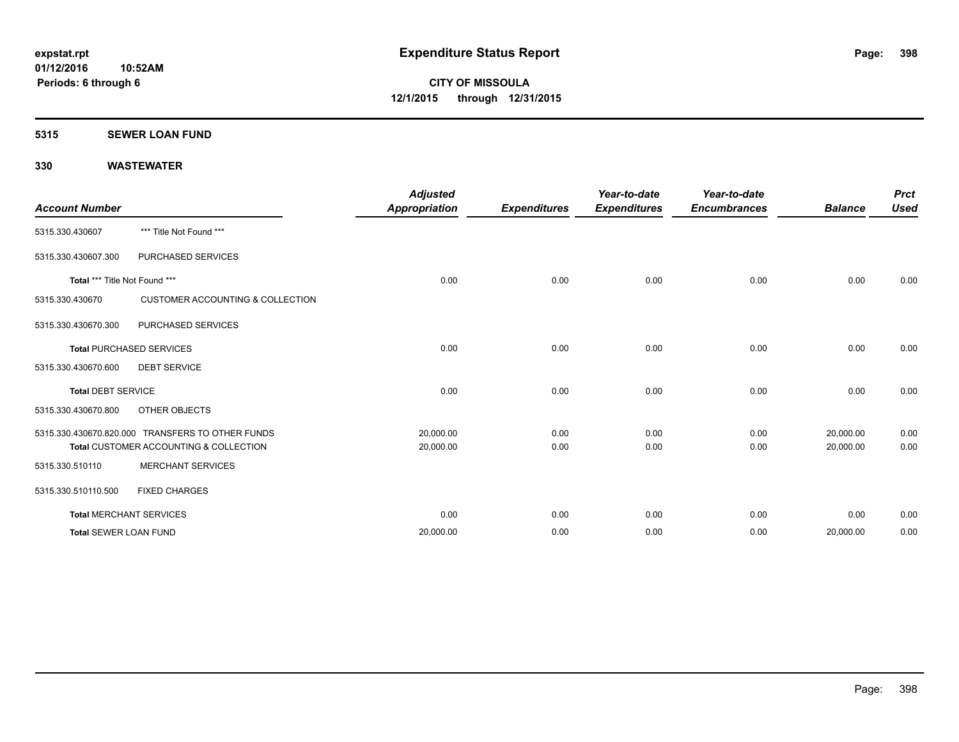#### **5315 SEWER LOAN FUND**

| <b>Account Number</b>         |                                                                                            | <b>Adjusted</b><br><b>Appropriation</b> | <b>Expenditures</b> | Year-to-date<br><b>Expenditures</b> | Year-to-date<br><b>Encumbrances</b> | <b>Balance</b>         | <b>Prct</b><br><b>Used</b> |
|-------------------------------|--------------------------------------------------------------------------------------------|-----------------------------------------|---------------------|-------------------------------------|-------------------------------------|------------------------|----------------------------|
| 5315.330.430607               | *** Title Not Found ***                                                                    |                                         |                     |                                     |                                     |                        |                            |
| 5315.330.430607.300           | PURCHASED SERVICES                                                                         |                                         |                     |                                     |                                     |                        |                            |
| Total *** Title Not Found *** |                                                                                            | 0.00                                    | 0.00                | 0.00                                | 0.00                                | 0.00                   | 0.00                       |
| 5315.330.430670               | <b>CUSTOMER ACCOUNTING &amp; COLLECTION</b>                                                |                                         |                     |                                     |                                     |                        |                            |
| 5315.330.430670.300           | PURCHASED SERVICES                                                                         |                                         |                     |                                     |                                     |                        |                            |
|                               | <b>Total PURCHASED SERVICES</b>                                                            | 0.00                                    | 0.00                | 0.00                                | 0.00                                | 0.00                   | 0.00                       |
| 5315.330.430670.600           | <b>DEBT SERVICE</b>                                                                        |                                         |                     |                                     |                                     |                        |                            |
| <b>Total DEBT SERVICE</b>     |                                                                                            | 0.00                                    | 0.00                | 0.00                                | 0.00                                | 0.00                   | 0.00                       |
| 5315.330.430670.800           | OTHER OBJECTS                                                                              |                                         |                     |                                     |                                     |                        |                            |
|                               | 5315.330.430670.820.000 TRANSFERS TO OTHER FUNDS<br>Total CUSTOMER ACCOUNTING & COLLECTION | 20,000.00<br>20,000.00                  | 0.00<br>0.00        | 0.00<br>0.00                        | 0.00<br>0.00                        | 20,000.00<br>20,000.00 | 0.00<br>0.00               |
| 5315.330.510110               | <b>MERCHANT SERVICES</b>                                                                   |                                         |                     |                                     |                                     |                        |                            |
| 5315.330.510110.500           | <b>FIXED CHARGES</b>                                                                       |                                         |                     |                                     |                                     |                        |                            |
|                               | <b>Total MERCHANT SERVICES</b>                                                             | 0.00                                    | 0.00                | 0.00                                | 0.00                                | 0.00                   | 0.00                       |
| <b>Total SEWER LOAN FUND</b>  |                                                                                            | 20,000.00                               | 0.00                | 0.00                                | 0.00                                | 20,000.00              | 0.00                       |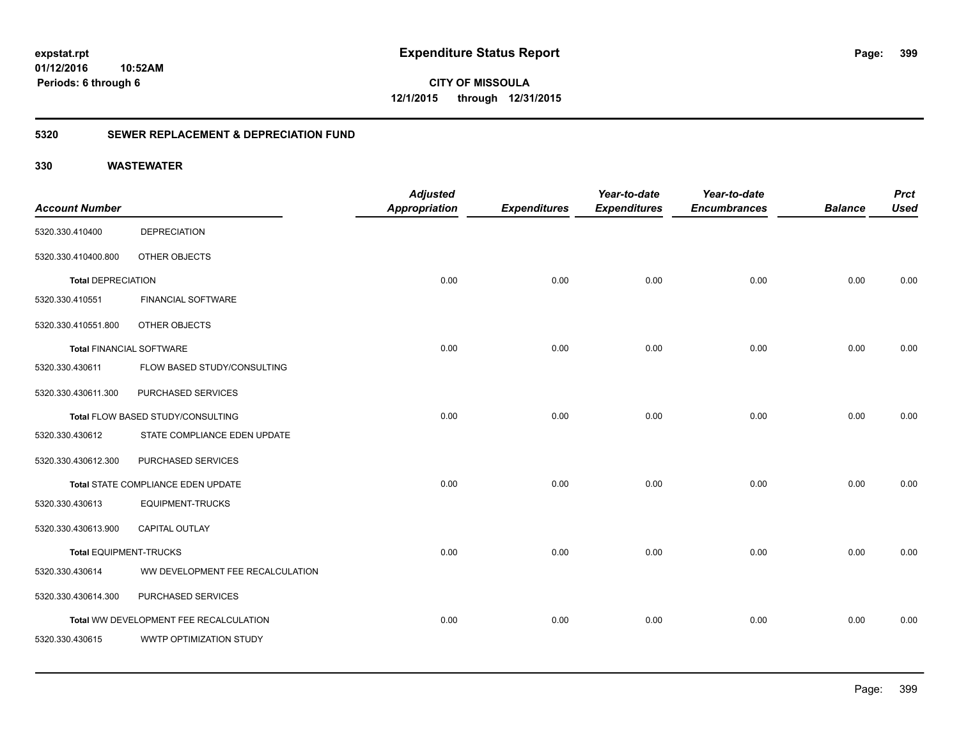**CITY OF MISSOULA 12/1/2015 through 12/31/2015**

### **5320 SEWER REPLACEMENT & DEPRECIATION FUND**

|                                 |                                        | <b>Adjusted</b>      |                     | Year-to-date        | Year-to-date        |                | <b>Prct</b> |
|---------------------------------|----------------------------------------|----------------------|---------------------|---------------------|---------------------|----------------|-------------|
| <b>Account Number</b>           |                                        | <b>Appropriation</b> | <b>Expenditures</b> | <b>Expenditures</b> | <b>Encumbrances</b> | <b>Balance</b> | <b>Used</b> |
| 5320.330.410400                 | <b>DEPRECIATION</b>                    |                      |                     |                     |                     |                |             |
| 5320.330.410400.800             | OTHER OBJECTS                          |                      |                     |                     |                     |                |             |
| <b>Total DEPRECIATION</b>       |                                        | 0.00                 | 0.00                | 0.00                | 0.00                | 0.00           | 0.00        |
| 5320.330.410551                 | <b>FINANCIAL SOFTWARE</b>              |                      |                     |                     |                     |                |             |
| 5320.330.410551.800             | OTHER OBJECTS                          |                      |                     |                     |                     |                |             |
| <b>Total FINANCIAL SOFTWARE</b> |                                        | 0.00                 | 0.00                | 0.00                | 0.00                | 0.00           | 0.00        |
| 5320.330.430611                 | FLOW BASED STUDY/CONSULTING            |                      |                     |                     |                     |                |             |
| 5320.330.430611.300             | PURCHASED SERVICES                     |                      |                     |                     |                     |                |             |
|                                 | Total FLOW BASED STUDY/CONSULTING      | 0.00                 | 0.00                | 0.00                | 0.00                | 0.00           | 0.00        |
| 5320.330.430612                 | STATE COMPLIANCE EDEN UPDATE           |                      |                     |                     |                     |                |             |
| 5320.330.430612.300             | PURCHASED SERVICES                     |                      |                     |                     |                     |                |             |
|                                 | Total STATE COMPLIANCE EDEN UPDATE     | 0.00                 | 0.00                | 0.00                | 0.00                | 0.00           | 0.00        |
| 5320.330.430613                 | <b>EQUIPMENT-TRUCKS</b>                |                      |                     |                     |                     |                |             |
| 5320.330.430613.900             | <b>CAPITAL OUTLAY</b>                  |                      |                     |                     |                     |                |             |
| <b>Total EQUIPMENT-TRUCKS</b>   |                                        | 0.00                 | 0.00                | 0.00                | 0.00                | 0.00           | 0.00        |
| 5320.330.430614                 | WW DEVELOPMENT FEE RECALCULATION       |                      |                     |                     |                     |                |             |
| 5320.330.430614.300             | PURCHASED SERVICES                     |                      |                     |                     |                     |                |             |
|                                 | Total WW DEVELOPMENT FEE RECALCULATION | 0.00                 | 0.00                | 0.00                | 0.00                | 0.00           | 0.00        |
| 5320.330.430615                 | WWTP OPTIMIZATION STUDY                |                      |                     |                     |                     |                |             |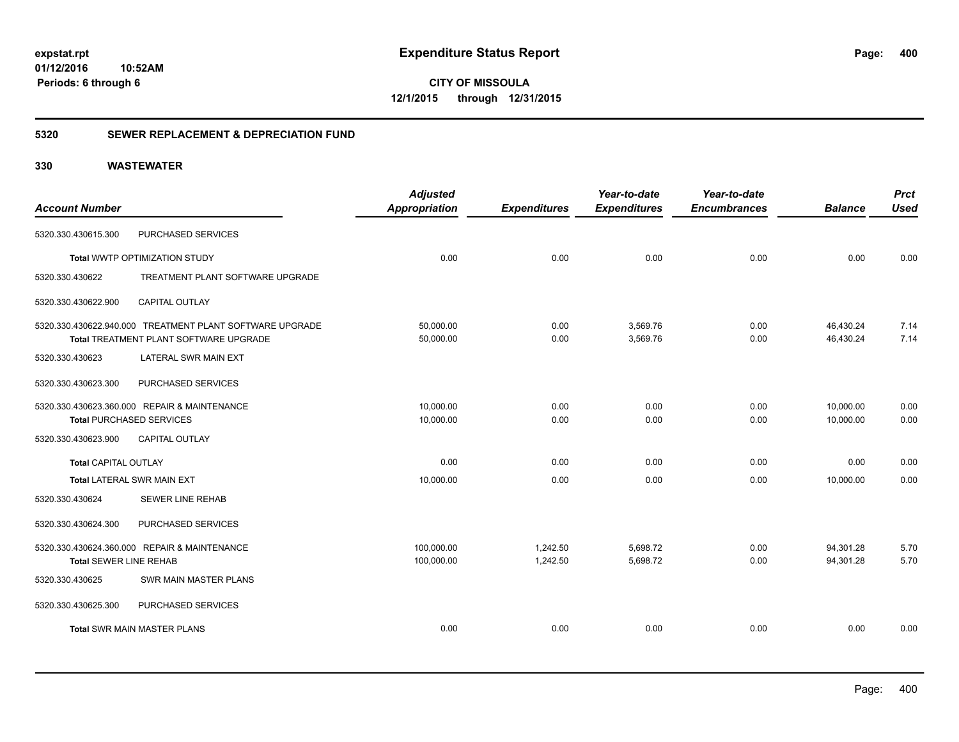**CITY OF MISSOULA 12/1/2015 through 12/31/2015**

### **5320 SEWER REPLACEMENT & DEPRECIATION FUND**

|                                   |                                                          | <b>Adjusted</b>      |                     | Year-to-date        | Year-to-date        |                | <b>Prct</b> |
|-----------------------------------|----------------------------------------------------------|----------------------|---------------------|---------------------|---------------------|----------------|-------------|
| <b>Account Number</b>             |                                                          | <b>Appropriation</b> | <b>Expenditures</b> | <b>Expenditures</b> | <b>Encumbrances</b> | <b>Balance</b> | <b>Used</b> |
| 5320.330.430615.300               | PURCHASED SERVICES                                       |                      |                     |                     |                     |                |             |
|                                   | Total WWTP OPTIMIZATION STUDY                            | 0.00                 | 0.00                | 0.00                | 0.00                | 0.00           | 0.00        |
| 5320.330.430622                   | TREATMENT PLANT SOFTWARE UPGRADE                         |                      |                     |                     |                     |                |             |
| 5320.330.430622.900               | <b>CAPITAL OUTLAY</b>                                    |                      |                     |                     |                     |                |             |
|                                   | 5320.330.430622.940.000 TREATMENT PLANT SOFTWARE UPGRADE | 50,000.00            | 0.00                | 3,569.76            | 0.00                | 46,430.24      | 7.14        |
|                                   | Total TREATMENT PLANT SOFTWARE UPGRADE                   | 50,000.00            | 0.00                | 3,569.76            | 0.00                | 46,430.24      | 7.14        |
| 5320.330.430623                   | LATERAL SWR MAIN EXT                                     |                      |                     |                     |                     |                |             |
| 5320.330.430623.300               | PURCHASED SERVICES                                       |                      |                     |                     |                     |                |             |
|                                   | 5320.330.430623.360.000 REPAIR & MAINTENANCE             | 10,000.00            | 0.00                | 0.00                | 0.00                | 10,000.00      | 0.00        |
| <b>Total PURCHASED SERVICES</b>   |                                                          | 10,000.00            | 0.00                | 0.00                | 0.00                | 10,000.00      | 0.00        |
| 5320.330.430623.900               | <b>CAPITAL OUTLAY</b>                                    |                      |                     |                     |                     |                |             |
| <b>Total CAPITAL OUTLAY</b>       |                                                          | 0.00                 | 0.00                | 0.00                | 0.00                | 0.00           | 0.00        |
| <b>Total LATERAL SWR MAIN EXT</b> |                                                          | 10,000.00            | 0.00                | 0.00                | 0.00                | 10,000.00      | 0.00        |
| 5320.330.430624                   | <b>SEWER LINE REHAB</b>                                  |                      |                     |                     |                     |                |             |
| 5320.330.430624.300               | PURCHASED SERVICES                                       |                      |                     |                     |                     |                |             |
|                                   | 5320.330.430624.360.000 REPAIR & MAINTENANCE             | 100,000.00           | 1,242.50            | 5,698.72            | 0.00                | 94,301.28      | 5.70        |
| <b>Total SEWER LINE REHAB</b>     |                                                          | 100,000.00           | 1,242.50            | 5,698.72            | 0.00                | 94,301.28      | 5.70        |
| 5320.330.430625                   | <b>SWR MAIN MASTER PLANS</b>                             |                      |                     |                     |                     |                |             |
| 5320.330.430625.300               | PURCHASED SERVICES                                       |                      |                     |                     |                     |                |             |
|                                   | <b>Total SWR MAIN MASTER PLANS</b>                       | 0.00                 | 0.00                | 0.00                | 0.00                | 0.00           | 0.00        |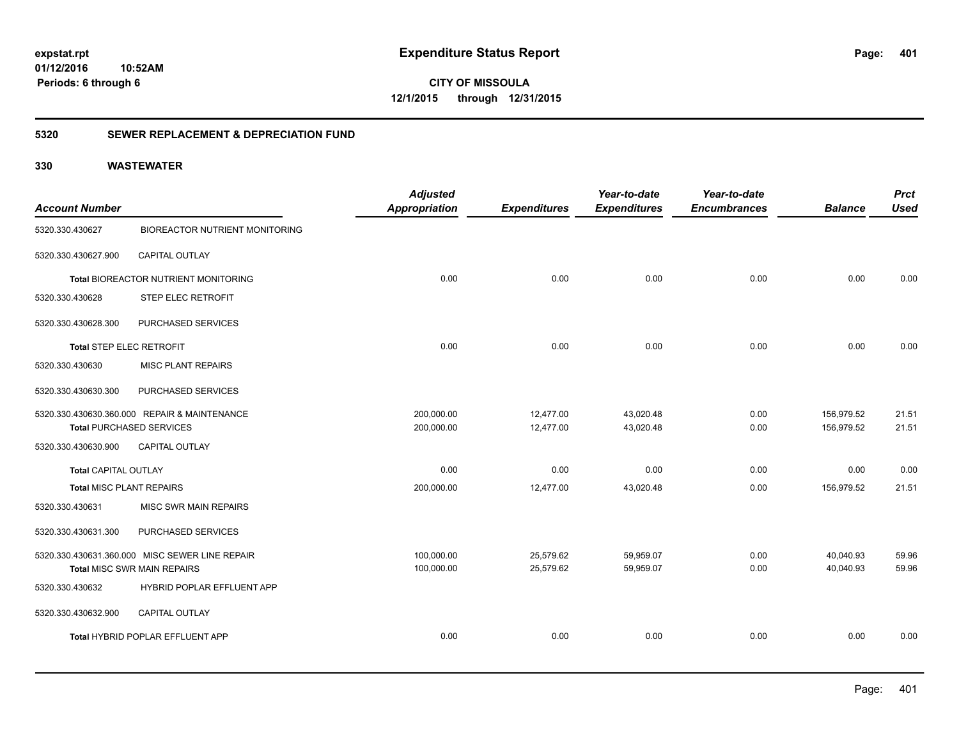**401**

**CITY OF MISSOULA 12/1/2015 through 12/31/2015**

### **5320 SEWER REPLACEMENT & DEPRECIATION FUND**

|                                 |                                                | <b>Adjusted</b> |                     | Year-to-date        | Year-to-date        |                | <b>Prct</b> |
|---------------------------------|------------------------------------------------|-----------------|---------------------|---------------------|---------------------|----------------|-------------|
| <b>Account Number</b>           |                                                | Appropriation   | <b>Expenditures</b> | <b>Expenditures</b> | <b>Encumbrances</b> | <b>Balance</b> | <b>Used</b> |
| 5320.330.430627                 | <b>BIOREACTOR NUTRIENT MONITORING</b>          |                 |                     |                     |                     |                |             |
| 5320.330.430627.900             | CAPITAL OUTLAY                                 |                 |                     |                     |                     |                |             |
|                                 | Total BIOREACTOR NUTRIENT MONITORING           | 0.00            | 0.00                | 0.00                | 0.00                | 0.00           | 0.00        |
| 5320.330.430628                 | <b>STEP ELEC RETROFIT</b>                      |                 |                     |                     |                     |                |             |
| 5320.330.430628.300             | PURCHASED SERVICES                             |                 |                     |                     |                     |                |             |
| <b>Total STEP ELEC RETROFIT</b> |                                                | 0.00            | 0.00                | 0.00                | 0.00                | 0.00           | 0.00        |
| 5320.330.430630                 | <b>MISC PLANT REPAIRS</b>                      |                 |                     |                     |                     |                |             |
| 5320.330.430630.300             | PURCHASED SERVICES                             |                 |                     |                     |                     |                |             |
|                                 | 5320.330.430630.360.000 REPAIR & MAINTENANCE   | 200,000.00      | 12,477.00           | 43,020.48           | 0.00                | 156,979.52     | 21.51       |
|                                 | <b>Total PURCHASED SERVICES</b>                | 200,000.00      | 12,477.00           | 43,020.48           | 0.00                | 156,979.52     | 21.51       |
| 5320.330.430630.900             | <b>CAPITAL OUTLAY</b>                          |                 |                     |                     |                     |                |             |
| <b>Total CAPITAL OUTLAY</b>     |                                                | 0.00            | 0.00                | 0.00                | 0.00                | 0.00           | 0.00        |
| <b>Total MISC PLANT REPAIRS</b> |                                                | 200,000.00      | 12,477.00           | 43,020.48           | 0.00                | 156,979.52     | 21.51       |
| 5320.330.430631                 | <b>MISC SWR MAIN REPAIRS</b>                   |                 |                     |                     |                     |                |             |
| 5320.330.430631.300             | PURCHASED SERVICES                             |                 |                     |                     |                     |                |             |
|                                 | 5320.330.430631.360.000 MISC SEWER LINE REPAIR | 100,000.00      | 25,579.62           | 59,959.07           | 0.00                | 40,040.93      | 59.96       |
|                                 | <b>Total MISC SWR MAIN REPAIRS</b>             | 100,000.00      | 25,579.62           | 59,959.07           | 0.00                | 40.040.93      | 59.96       |
| 5320.330.430632                 | HYBRID POPLAR EFFLUENT APP                     |                 |                     |                     |                     |                |             |
| 5320.330.430632.900             | <b>CAPITAL OUTLAY</b>                          |                 |                     |                     |                     |                |             |
|                                 | Total HYBRID POPLAR EFFLUENT APP               | 0.00            | 0.00                | 0.00                | 0.00                | 0.00           | 0.00        |
|                                 |                                                |                 |                     |                     |                     |                |             |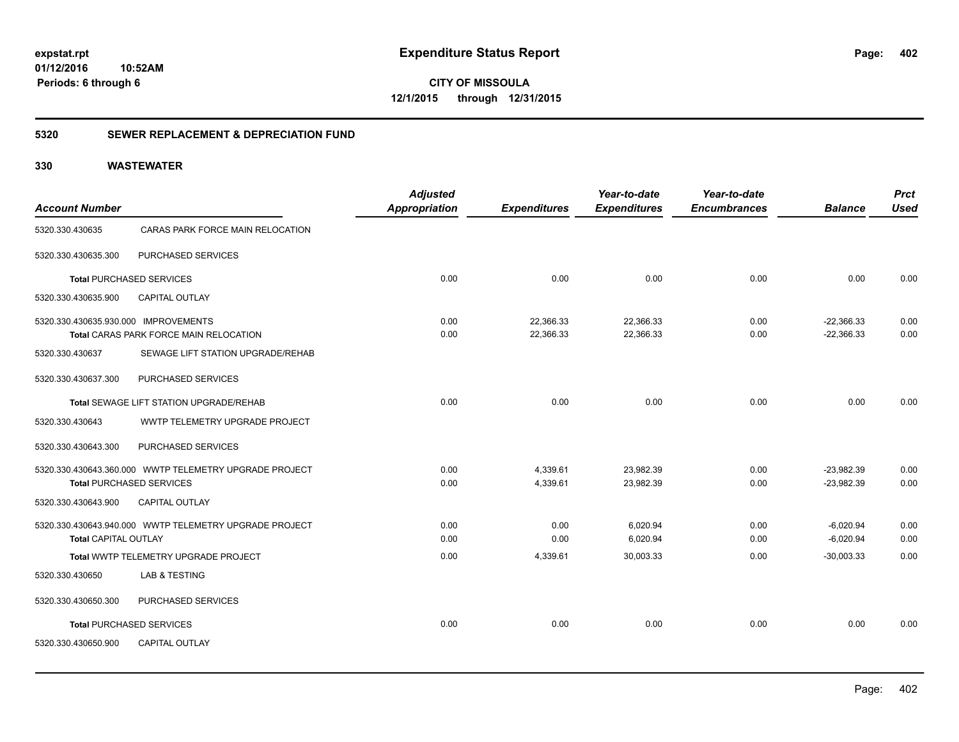**CITY OF MISSOULA 12/1/2015 through 12/31/2015**

### **5320 SEWER REPLACEMENT & DEPRECIATION FUND**

| <b>Account Number</b>                |                                                                                           | <b>Adjusted</b><br><b>Appropriation</b> | <b>Expenditures</b>    | Year-to-date<br><b>Expenditures</b> | Year-to-date<br><b>Encumbrances</b> | <b>Balance</b>               | <b>Prct</b><br><b>Used</b> |
|--------------------------------------|-------------------------------------------------------------------------------------------|-----------------------------------------|------------------------|-------------------------------------|-------------------------------------|------------------------------|----------------------------|
| 5320.330.430635                      | CARAS PARK FORCE MAIN RELOCATION                                                          |                                         |                        |                                     |                                     |                              |                            |
| 5320.330.430635.300                  | PURCHASED SERVICES                                                                        |                                         |                        |                                     |                                     |                              |                            |
|                                      | <b>Total PURCHASED SERVICES</b>                                                           | 0.00                                    | 0.00                   | 0.00                                | 0.00                                | 0.00                         | 0.00                       |
| 5320.330.430635.900                  | <b>CAPITAL OUTLAY</b>                                                                     |                                         |                        |                                     |                                     |                              |                            |
| 5320.330.430635.930.000 IMPROVEMENTS | Total CARAS PARK FORCE MAIN RELOCATION                                                    | 0.00<br>0.00                            | 22,366.33<br>22.366.33 | 22,366.33<br>22,366.33              | 0.00<br>0.00                        | $-22,366.33$<br>$-22.366.33$ | 0.00<br>0.00               |
| 5320.330.430637                      | SEWAGE LIFT STATION UPGRADE/REHAB                                                         |                                         |                        |                                     |                                     |                              |                            |
| 5320.330.430637.300                  | PURCHASED SERVICES                                                                        |                                         |                        |                                     |                                     |                              |                            |
|                                      | Total SEWAGE LIFT STATION UPGRADE/REHAB                                                   | 0.00                                    | 0.00                   | 0.00                                | 0.00                                | 0.00                         | 0.00                       |
| 5320.330.430643                      | WWTP TELEMETRY UPGRADE PROJECT                                                            |                                         |                        |                                     |                                     |                              |                            |
| 5320.330.430643.300                  | PURCHASED SERVICES                                                                        |                                         |                        |                                     |                                     |                              |                            |
|                                      | 5320.330.430643.360.000 WWTP TELEMETRY UPGRADE PROJECT<br><b>Total PURCHASED SERVICES</b> | 0.00<br>0.00                            | 4,339.61<br>4,339.61   | 23,982.39<br>23,982.39              | 0.00<br>0.00                        | $-23,982.39$<br>$-23,982.39$ | 0.00<br>0.00               |
| 5320.330.430643.900                  | <b>CAPITAL OUTLAY</b>                                                                     |                                         |                        |                                     |                                     |                              |                            |
| Total CAPITAL OUTLAY                 | 5320.330.430643.940.000 WWTP TELEMETRY UPGRADE PROJECT                                    | 0.00<br>0.00                            | 0.00<br>0.00           | 6,020.94<br>6,020.94                | 0.00<br>0.00                        | $-6,020.94$<br>$-6,020.94$   | 0.00<br>0.00               |
|                                      | Total WWTP TELEMETRY UPGRADE PROJECT                                                      | 0.00                                    | 4,339.61               | 30,003.33                           | 0.00                                | $-30.003.33$                 | 0.00                       |
| 5320.330.430650                      | <b>LAB &amp; TESTING</b>                                                                  |                                         |                        |                                     |                                     |                              |                            |
| 5320.330.430650.300                  | PURCHASED SERVICES                                                                        |                                         |                        |                                     |                                     |                              |                            |
|                                      | <b>Total PURCHASED SERVICES</b>                                                           | 0.00                                    | 0.00                   | 0.00                                | 0.00                                | 0.00                         | 0.00                       |
| 5320.330.430650.900                  | <b>CAPITAL OUTLAY</b>                                                                     |                                         |                        |                                     |                                     |                              |                            |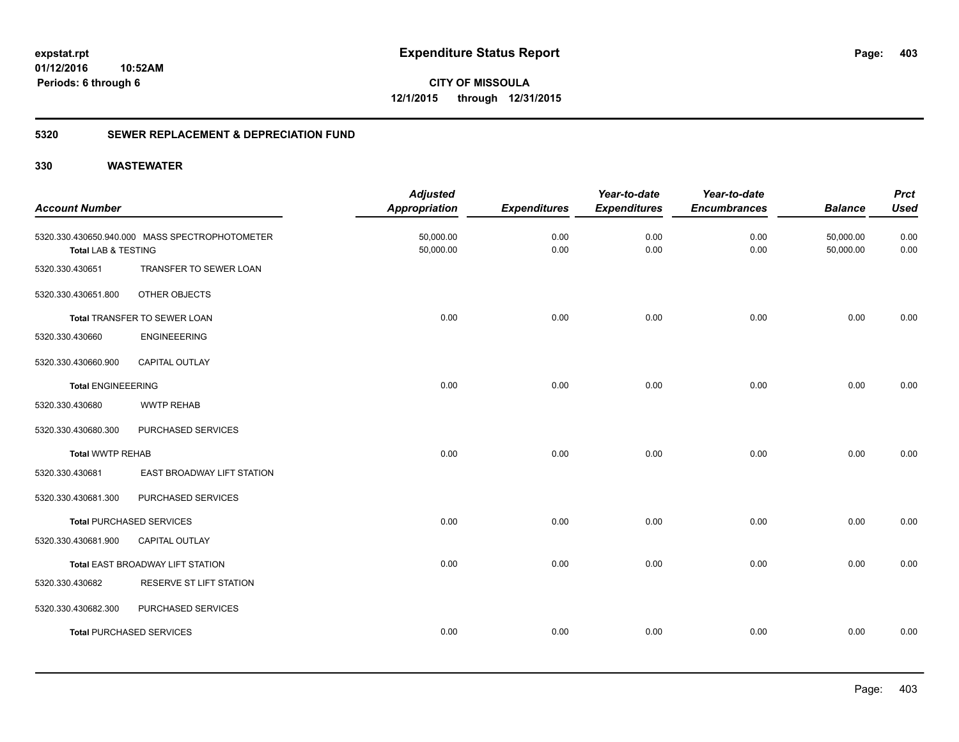**CITY OF MISSOULA 12/1/2015 through 12/31/2015**

### **5320 SEWER REPLACEMENT & DEPRECIATION FUND**

| <b>Account Number</b>          |                                                | <b>Adjusted</b><br><b>Appropriation</b> | <b>Expenditures</b> | Year-to-date<br><b>Expenditures</b> | Year-to-date<br><b>Encumbrances</b> | <b>Balance</b>         | <b>Prct</b><br><b>Used</b> |
|--------------------------------|------------------------------------------------|-----------------------------------------|---------------------|-------------------------------------|-------------------------------------|------------------------|----------------------------|
| <b>Total LAB &amp; TESTING</b> | 5320.330.430650.940.000 MASS SPECTROPHOTOMETER | 50,000.00<br>50,000.00                  | 0.00<br>0.00        | 0.00<br>0.00                        | 0.00<br>0.00                        | 50,000.00<br>50,000.00 | 0.00<br>0.00               |
| 5320.330.430651                | TRANSFER TO SEWER LOAN                         |                                         |                     |                                     |                                     |                        |                            |
| 5320.330.430651.800            | OTHER OBJECTS                                  |                                         |                     |                                     |                                     |                        |                            |
|                                | Total TRANSFER TO SEWER LOAN                   | 0.00                                    | 0.00                | 0.00                                | 0.00                                | 0.00                   | 0.00                       |
| 5320.330.430660                | <b>ENGINEEERING</b>                            |                                         |                     |                                     |                                     |                        |                            |
| 5320.330.430660.900            | CAPITAL OUTLAY                                 |                                         |                     |                                     |                                     |                        |                            |
| <b>Total ENGINEEERING</b>      |                                                | 0.00                                    | 0.00                | 0.00                                | 0.00                                | 0.00                   | 0.00                       |
| 5320.330.430680                | <b>WWTP REHAB</b>                              |                                         |                     |                                     |                                     |                        |                            |
| 5320.330.430680.300            | PURCHASED SERVICES                             |                                         |                     |                                     |                                     |                        |                            |
| <b>Total WWTP REHAB</b>        |                                                | 0.00                                    | 0.00                | 0.00                                | 0.00                                | 0.00                   | 0.00                       |
| 5320.330.430681                | EAST BROADWAY LIFT STATION                     |                                         |                     |                                     |                                     |                        |                            |
| 5320.330.430681.300            | PURCHASED SERVICES                             |                                         |                     |                                     |                                     |                        |                            |
|                                | <b>Total PURCHASED SERVICES</b>                | 0.00                                    | 0.00                | 0.00                                | 0.00                                | 0.00                   | 0.00                       |
| 5320.330.430681.900            | <b>CAPITAL OUTLAY</b>                          |                                         |                     |                                     |                                     |                        |                            |
|                                | Total EAST BROADWAY LIFT STATION               | 0.00                                    | 0.00                | 0.00                                | 0.00                                | 0.00                   | 0.00                       |
| 5320.330.430682                | RESERVE ST LIFT STATION                        |                                         |                     |                                     |                                     |                        |                            |
| 5320.330.430682.300            | PURCHASED SERVICES                             |                                         |                     |                                     |                                     |                        |                            |
|                                | <b>Total PURCHASED SERVICES</b>                | 0.00                                    | 0.00                | 0.00                                | 0.00                                | 0.00                   | 0.00                       |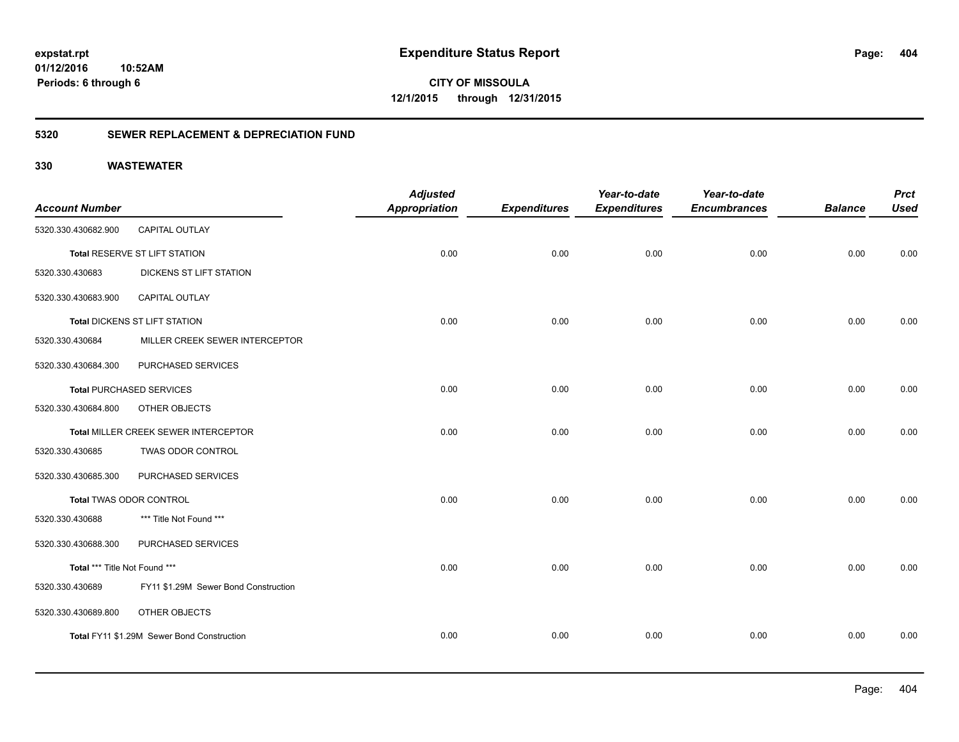**CITY OF MISSOULA 12/1/2015 through 12/31/2015**

### **5320 SEWER REPLACEMENT & DEPRECIATION FUND**

| <b>Account Number</b>         |                                            | <b>Adjusted</b><br><b>Appropriation</b> | <b>Expenditures</b> | Year-to-date<br><b>Expenditures</b> | Year-to-date<br><b>Encumbrances</b> | <b>Balance</b> | <b>Prct</b><br><b>Used</b> |
|-------------------------------|--------------------------------------------|-----------------------------------------|---------------------|-------------------------------------|-------------------------------------|----------------|----------------------------|
| 5320.330.430682.900           | <b>CAPITAL OUTLAY</b>                      |                                         |                     |                                     |                                     |                |                            |
|                               | Total RESERVE ST LIFT STATION              | 0.00                                    | 0.00                | 0.00                                | 0.00                                | 0.00           | 0.00                       |
| 5320.330.430683               | DICKENS ST LIFT STATION                    |                                         |                     |                                     |                                     |                |                            |
| 5320.330.430683.900           | <b>CAPITAL OUTLAY</b>                      |                                         |                     |                                     |                                     |                |                            |
|                               | <b>Total DICKENS ST LIFT STATION</b>       | 0.00                                    | 0.00                | 0.00                                | 0.00                                | 0.00           | 0.00                       |
| 5320.330.430684               | MILLER CREEK SEWER INTERCEPTOR             |                                         |                     |                                     |                                     |                |                            |
| 5320.330.430684.300           | PURCHASED SERVICES                         |                                         |                     |                                     |                                     |                |                            |
|                               | <b>Total PURCHASED SERVICES</b>            | 0.00                                    | 0.00                | 0.00                                | 0.00                                | 0.00           | 0.00                       |
| 5320.330.430684.800           | OTHER OBJECTS                              |                                         |                     |                                     |                                     |                |                            |
|                               | Total MILLER CREEK SEWER INTERCEPTOR       | 0.00                                    | 0.00                | 0.00                                | 0.00                                | 0.00           | 0.00                       |
| 5320.330.430685               | TWAS ODOR CONTROL                          |                                         |                     |                                     |                                     |                |                            |
| 5320.330.430685.300           | PURCHASED SERVICES                         |                                         |                     |                                     |                                     |                |                            |
|                               | Total TWAS ODOR CONTROL                    | 0.00                                    | 0.00                | 0.00                                | 0.00                                | 0.00           | 0.00                       |
| 5320.330.430688               | *** Title Not Found ***                    |                                         |                     |                                     |                                     |                |                            |
| 5320.330.430688.300           | PURCHASED SERVICES                         |                                         |                     |                                     |                                     |                |                            |
| Total *** Title Not Found *** |                                            | 0.00                                    | 0.00                | 0.00                                | 0.00                                | 0.00           | 0.00                       |
| 5320.330.430689               | FY11 \$1.29M Sewer Bond Construction       |                                         |                     |                                     |                                     |                |                            |
| 5320.330.430689.800           | OTHER OBJECTS                              |                                         |                     |                                     |                                     |                |                            |
|                               | Total FY11 \$1.29M Sewer Bond Construction | 0.00                                    | 0.00                | 0.00                                | 0.00                                | 0.00           | 0.00                       |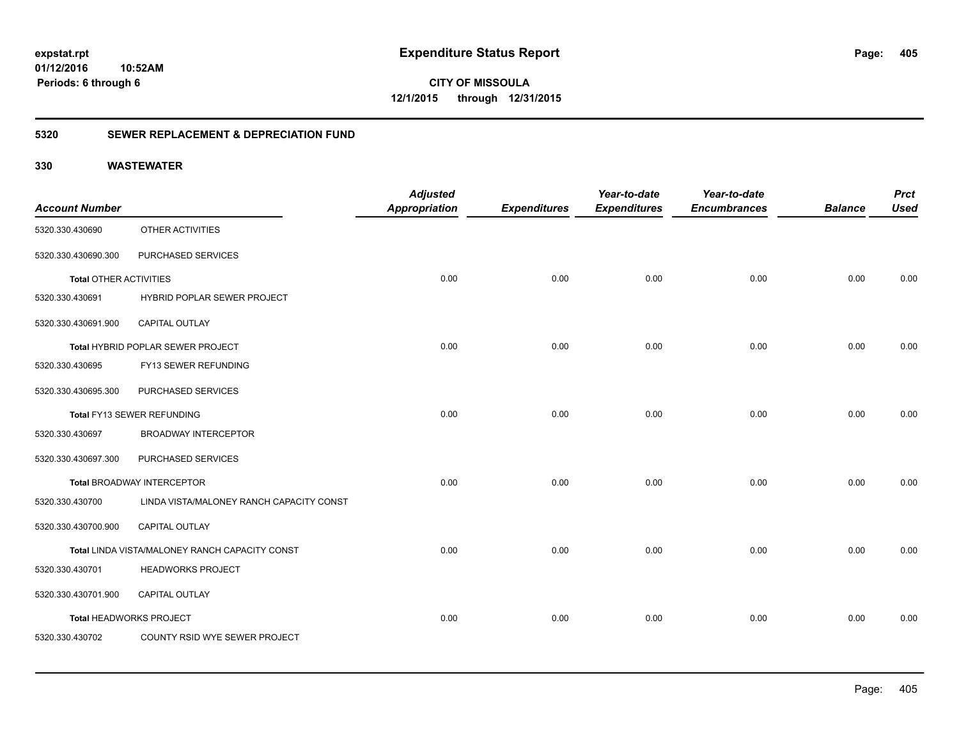**CITY OF MISSOULA 12/1/2015 through 12/31/2015**

### **5320 SEWER REPLACEMENT & DEPRECIATION FUND**

|                               |                                                | <b>Adjusted</b>      |                     | Year-to-date        | Year-to-date        |                | <b>Prct</b> |
|-------------------------------|------------------------------------------------|----------------------|---------------------|---------------------|---------------------|----------------|-------------|
| <b>Account Number</b>         |                                                | <b>Appropriation</b> | <b>Expenditures</b> | <b>Expenditures</b> | <b>Encumbrances</b> | <b>Balance</b> | <b>Used</b> |
| 5320.330.430690               | OTHER ACTIVITIES                               |                      |                     |                     |                     |                |             |
| 5320.330.430690.300           | PURCHASED SERVICES                             |                      |                     |                     |                     |                |             |
| <b>Total OTHER ACTIVITIES</b> |                                                | 0.00                 | 0.00                | 0.00                | 0.00                | 0.00           | 0.00        |
| 5320.330.430691               | HYBRID POPLAR SEWER PROJECT                    |                      |                     |                     |                     |                |             |
| 5320.330.430691.900           | CAPITAL OUTLAY                                 |                      |                     |                     |                     |                |             |
|                               | Total HYBRID POPLAR SEWER PROJECT              | 0.00                 | 0.00                | 0.00                | 0.00                | 0.00           | 0.00        |
| 5320.330.430695               | FY13 SEWER REFUNDING                           |                      |                     |                     |                     |                |             |
| 5320.330.430695.300           | PURCHASED SERVICES                             |                      |                     |                     |                     |                |             |
|                               | Total FY13 SEWER REFUNDING                     | 0.00                 | 0.00                | 0.00                | 0.00                | 0.00           | 0.00        |
| 5320.330.430697               | <b>BROADWAY INTERCEPTOR</b>                    |                      |                     |                     |                     |                |             |
| 5320.330.430697.300           | PURCHASED SERVICES                             |                      |                     |                     |                     |                |             |
|                               | <b>Total BROADWAY INTERCEPTOR</b>              | 0.00                 | 0.00                | 0.00                | 0.00                | 0.00           | 0.00        |
| 5320.330.430700               | LINDA VISTA/MALONEY RANCH CAPACITY CONST       |                      |                     |                     |                     |                |             |
| 5320.330.430700.900           | CAPITAL OUTLAY                                 |                      |                     |                     |                     |                |             |
|                               | Total LINDA VISTA/MALONEY RANCH CAPACITY CONST | 0.00                 | 0.00                | 0.00                | 0.00                | 0.00           | 0.00        |
| 5320.330.430701               | <b>HEADWORKS PROJECT</b>                       |                      |                     |                     |                     |                |             |
| 5320.330.430701.900           | <b>CAPITAL OUTLAY</b>                          |                      |                     |                     |                     |                |             |
|                               | Total HEADWORKS PROJECT                        | 0.00                 | 0.00                | 0.00                | 0.00                | 0.00           | 0.00        |
| 5320.330.430702               | COUNTY RSID WYE SEWER PROJECT                  |                      |                     |                     |                     |                |             |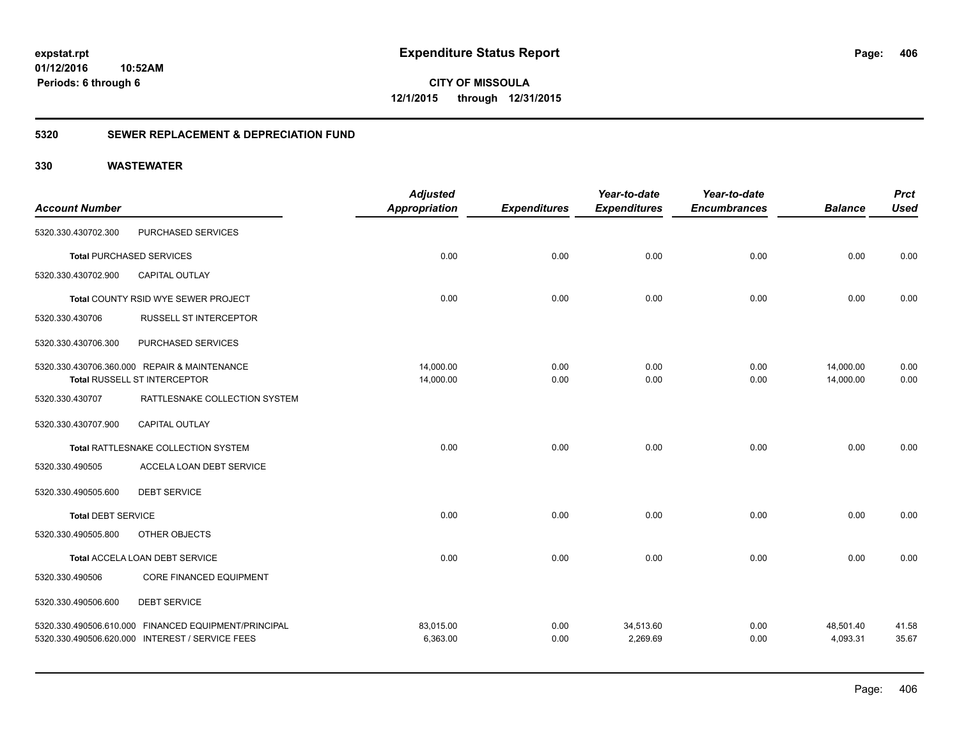**CITY OF MISSOULA 12/1/2015 through 12/31/2015**

### **5320 SEWER REPLACEMENT & DEPRECIATION FUND**

| <b>Account Number</b>     |                                                      | <b>Adjusted</b><br><b>Appropriation</b> | <b>Expenditures</b> | Year-to-date<br><b>Expenditures</b> | Year-to-date<br><b>Encumbrances</b> | <b>Balance</b> | <b>Prct</b><br><b>Used</b> |
|---------------------------|------------------------------------------------------|-----------------------------------------|---------------------|-------------------------------------|-------------------------------------|----------------|----------------------------|
|                           |                                                      |                                         |                     |                                     |                                     |                |                            |
| 5320.330.430702.300       | PURCHASED SERVICES                                   |                                         |                     |                                     |                                     |                |                            |
|                           | <b>Total PURCHASED SERVICES</b>                      | 0.00                                    | 0.00                | 0.00                                | 0.00                                | 0.00           | 0.00                       |
| 5320.330.430702.900       | CAPITAL OUTLAY                                       |                                         |                     |                                     |                                     |                |                            |
|                           | Total COUNTY RSID WYE SEWER PROJECT                  | 0.00                                    | 0.00                | 0.00                                | 0.00                                | 0.00           | 0.00                       |
| 5320.330.430706           | <b>RUSSELL ST INTERCEPTOR</b>                        |                                         |                     |                                     |                                     |                |                            |
| 5320.330.430706.300       | PURCHASED SERVICES                                   |                                         |                     |                                     |                                     |                |                            |
|                           | 5320.330.430706.360.000 REPAIR & MAINTENANCE         | 14,000.00                               | 0.00                | 0.00                                | 0.00                                | 14,000.00      | 0.00                       |
|                           | Total RUSSELL ST INTERCEPTOR                         | 14,000.00                               | 0.00                | 0.00                                | 0.00                                | 14,000.00      | 0.00                       |
| 5320.330.430707           | RATTLESNAKE COLLECTION SYSTEM                        |                                         |                     |                                     |                                     |                |                            |
| 5320.330.430707.900       | CAPITAL OUTLAY                                       |                                         |                     |                                     |                                     |                |                            |
|                           | Total RATTLESNAKE COLLECTION SYSTEM                  | 0.00                                    | 0.00                | 0.00                                | 0.00                                | 0.00           | 0.00                       |
| 5320.330.490505           | ACCELA LOAN DEBT SERVICE                             |                                         |                     |                                     |                                     |                |                            |
| 5320.330.490505.600       | <b>DEBT SERVICE</b>                                  |                                         |                     |                                     |                                     |                |                            |
| <b>Total DEBT SERVICE</b> |                                                      | 0.00                                    | 0.00                | 0.00                                | 0.00                                | 0.00           | 0.00                       |
| 5320.330.490505.800       | OTHER OBJECTS                                        |                                         |                     |                                     |                                     |                |                            |
|                           | Total ACCELA LOAN DEBT SERVICE                       | 0.00                                    | 0.00                | 0.00                                | 0.00                                | 0.00           | 0.00                       |
| 5320.330.490506           | <b>CORE FINANCED EQUIPMENT</b>                       |                                         |                     |                                     |                                     |                |                            |
| 5320.330.490506.600       | <b>DEBT SERVICE</b>                                  |                                         |                     |                                     |                                     |                |                            |
|                           | 5320.330.490506.610.000 FINANCED EQUIPMENT/PRINCIPAL | 83,015.00                               | 0.00                | 34,513.60                           | 0.00                                | 48,501.40      | 41.58                      |
|                           | 5320.330.490506.620.000 INTEREST / SERVICE FEES      | 6,363.00                                | 0.00                | 2,269.69                            | 0.00                                | 4,093.31       | 35.67                      |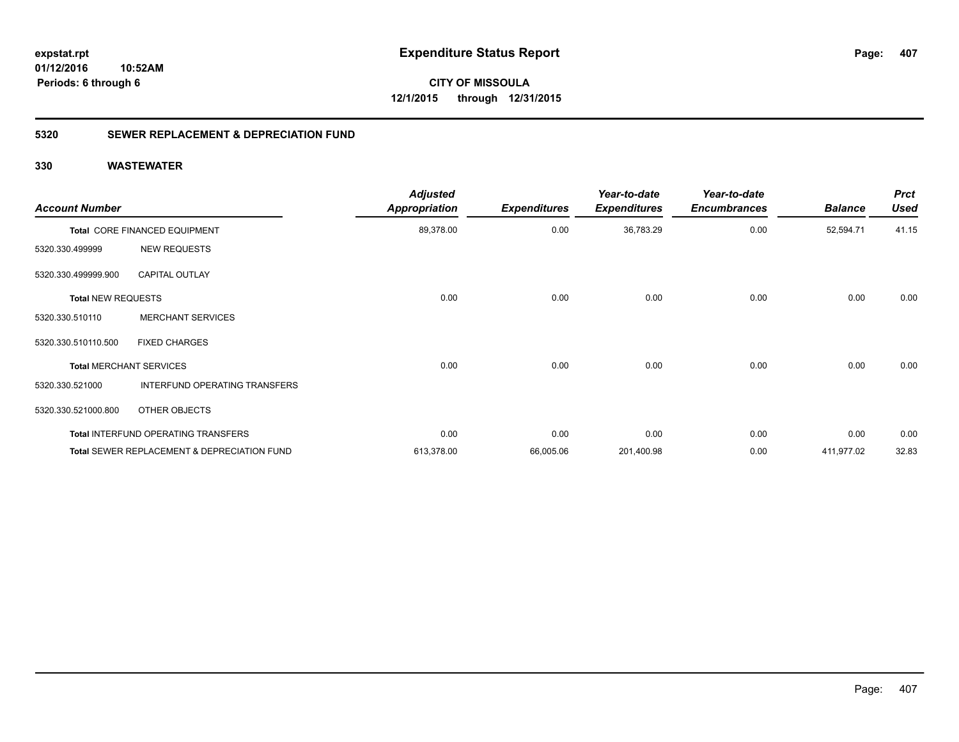### **5320 SEWER REPLACEMENT & DEPRECIATION FUND**

| <b>Account Number</b>     |                                             | <b>Adjusted</b><br><b>Appropriation</b> | <b>Expenditures</b> | Year-to-date<br><b>Expenditures</b> | Year-to-date<br><b>Encumbrances</b> | <b>Balance</b> | <b>Prct</b><br><b>Used</b> |
|---------------------------|---------------------------------------------|-----------------------------------------|---------------------|-------------------------------------|-------------------------------------|----------------|----------------------------|
|                           | Total CORE FINANCED EQUIPMENT               | 89,378.00                               | 0.00                | 36,783.29                           | 0.00                                | 52,594.71      | 41.15                      |
| 5320.330.499999           | <b>NEW REQUESTS</b>                         |                                         |                     |                                     |                                     |                |                            |
| 5320.330.499999.900       | <b>CAPITAL OUTLAY</b>                       |                                         |                     |                                     |                                     |                |                            |
| <b>Total NEW REQUESTS</b> |                                             | 0.00                                    | 0.00                | 0.00                                | 0.00                                | 0.00           | 0.00                       |
| 5320.330.510110           | <b>MERCHANT SERVICES</b>                    |                                         |                     |                                     |                                     |                |                            |
| 5320.330.510110.500       | <b>FIXED CHARGES</b>                        |                                         |                     |                                     |                                     |                |                            |
|                           | <b>Total MERCHANT SERVICES</b>              | 0.00                                    | 0.00                | 0.00                                | 0.00                                | 0.00           | 0.00                       |
| 5320.330.521000           | <b>INTERFUND OPERATING TRANSFERS</b>        |                                         |                     |                                     |                                     |                |                            |
| 5320.330.521000.800       | OTHER OBJECTS                               |                                         |                     |                                     |                                     |                |                            |
|                           | <b>Total INTERFUND OPERATING TRANSFERS</b>  | 0.00                                    | 0.00                | 0.00                                | 0.00                                | 0.00           | 0.00                       |
|                           | Total SEWER REPLACEMENT & DEPRECIATION FUND | 613,378.00                              | 66,005.06           | 201,400.98                          | 0.00                                | 411,977.02     | 32.83                      |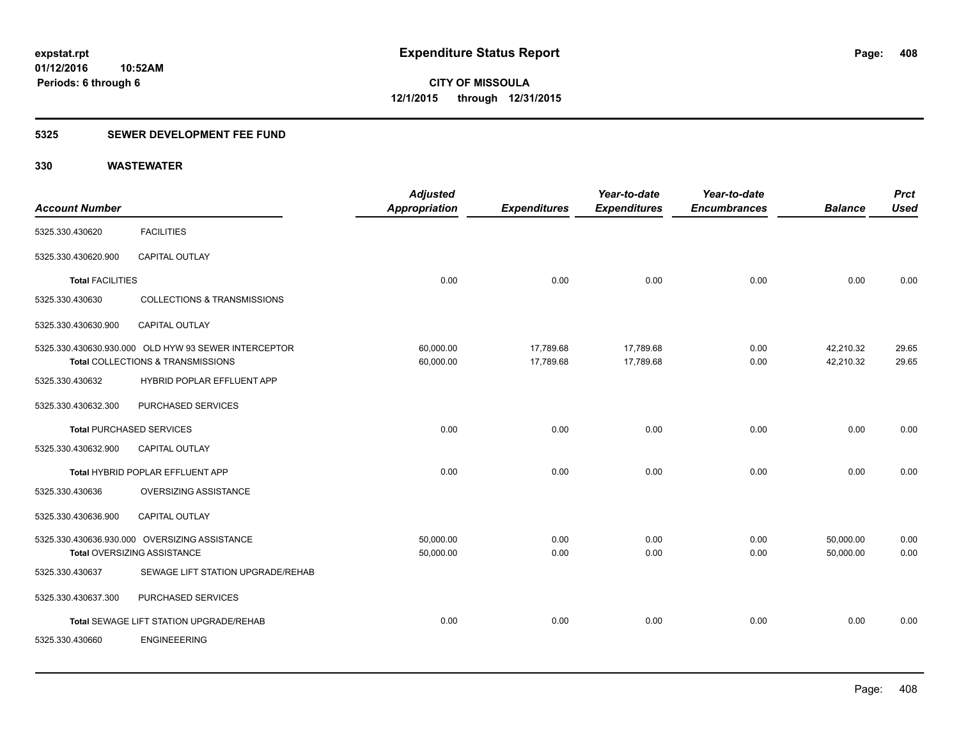### **5325 SEWER DEVELOPMENT FEE FUND**

| <b>Account Number</b>           |                                                                                           | <b>Adjusted</b><br>Appropriation | <b>Expenditures</b>    | Year-to-date<br><b>Expenditures</b> | Year-to-date<br><b>Encumbrances</b> | <b>Balance</b>         | <b>Prct</b><br><b>Used</b> |
|---------------------------------|-------------------------------------------------------------------------------------------|----------------------------------|------------------------|-------------------------------------|-------------------------------------|------------------------|----------------------------|
| 5325.330.430620                 | <b>FACILITIES</b>                                                                         |                                  |                        |                                     |                                     |                        |                            |
| 5325.330.430620.900             | CAPITAL OUTLAY                                                                            |                                  |                        |                                     |                                     |                        |                            |
| <b>Total FACILITIES</b>         |                                                                                           | 0.00                             | 0.00                   | 0.00                                | 0.00                                | 0.00                   | 0.00                       |
| 5325.330.430630                 | <b>COLLECTIONS &amp; TRANSMISSIONS</b>                                                    |                                  |                        |                                     |                                     |                        |                            |
| 5325.330.430630.900             | <b>CAPITAL OUTLAY</b>                                                                     |                                  |                        |                                     |                                     |                        |                            |
|                                 | 5325.330.430630.930.000 OLD HYW 93 SEWER INTERCEPTOR<br>Total COLLECTIONS & TRANSMISSIONS | 60,000.00<br>60,000.00           | 17,789.68<br>17,789.68 | 17,789.68<br>17,789.68              | 0.00<br>0.00                        | 42,210.32<br>42,210.32 | 29.65<br>29.65             |
| 5325.330.430632                 | HYBRID POPLAR EFFLUENT APP                                                                |                                  |                        |                                     |                                     |                        |                            |
| 5325.330.430632.300             | PURCHASED SERVICES                                                                        |                                  |                        |                                     |                                     |                        |                            |
| <b>Total PURCHASED SERVICES</b> |                                                                                           | 0.00                             | 0.00                   | 0.00                                | 0.00                                | 0.00                   | 0.00                       |
| 5325.330.430632.900             | <b>CAPITAL OUTLAY</b>                                                                     |                                  |                        |                                     |                                     |                        |                            |
|                                 | Total HYBRID POPLAR EFFLUENT APP                                                          | 0.00                             | 0.00                   | 0.00                                | 0.00                                | 0.00                   | 0.00                       |
| 5325.330.430636                 | OVERSIZING ASSISTANCE                                                                     |                                  |                        |                                     |                                     |                        |                            |
| 5325.330.430636.900             | CAPITAL OUTLAY                                                                            |                                  |                        |                                     |                                     |                        |                            |
|                                 | 5325.330.430636.930.000 OVERSIZING ASSISTANCE<br><b>Total OVERSIZING ASSISTANCE</b>       | 50,000.00<br>50,000.00           | 0.00<br>0.00           | 0.00<br>0.00                        | 0.00<br>0.00                        | 50,000.00<br>50,000.00 | 0.00<br>0.00               |
| 5325.330.430637                 | SEWAGE LIFT STATION UPGRADE/REHAB                                                         |                                  |                        |                                     |                                     |                        |                            |
| 5325.330.430637.300             | PURCHASED SERVICES                                                                        |                                  |                        |                                     |                                     |                        |                            |
|                                 | Total SEWAGE LIFT STATION UPGRADE/REHAB                                                   | 0.00                             | 0.00                   | 0.00                                | 0.00                                | 0.00                   | 0.00                       |
| 5325.330.430660                 | <b>ENGINEEERING</b>                                                                       |                                  |                        |                                     |                                     |                        |                            |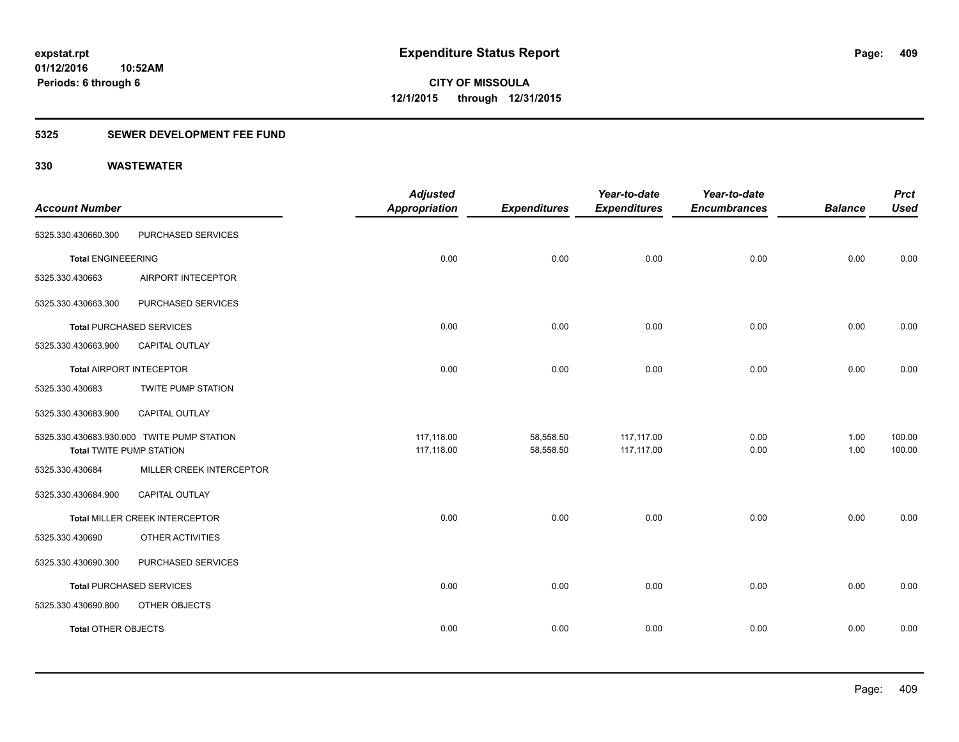### **5325 SEWER DEVELOPMENT FEE FUND**

| <b>Account Number</b>           |                                            | <b>Adjusted</b><br><b>Appropriation</b> | <b>Expenditures</b>    | Year-to-date<br><b>Expenditures</b> | Year-to-date<br><b>Encumbrances</b> | <b>Balance</b> | <b>Prct</b><br><b>Used</b> |
|---------------------------------|--------------------------------------------|-----------------------------------------|------------------------|-------------------------------------|-------------------------------------|----------------|----------------------------|
| 5325.330.430660.300             | PURCHASED SERVICES                         |                                         |                        |                                     |                                     |                |                            |
| <b>Total ENGINEEERING</b>       |                                            | 0.00                                    | 0.00                   | 0.00                                | 0.00                                | 0.00           | 0.00                       |
| 5325.330.430663                 | AIRPORT INTECEPTOR                         |                                         |                        |                                     |                                     |                |                            |
| 5325.330.430663.300             | PURCHASED SERVICES                         |                                         |                        |                                     |                                     |                |                            |
|                                 | <b>Total PURCHASED SERVICES</b>            | 0.00                                    | 0.00                   | 0.00                                | 0.00                                | 0.00           | 0.00                       |
| 5325.330.430663.900             | CAPITAL OUTLAY                             |                                         |                        |                                     |                                     |                |                            |
|                                 | <b>Total AIRPORT INTECEPTOR</b>            | 0.00                                    | 0.00                   | 0.00                                | 0.00                                | 0.00           | 0.00                       |
| 5325.330.430683                 | <b>TWITE PUMP STATION</b>                  |                                         |                        |                                     |                                     |                |                            |
| 5325.330.430683.900             | CAPITAL OUTLAY                             |                                         |                        |                                     |                                     |                |                            |
| <b>Total TWITE PUMP STATION</b> | 5325.330.430683.930.000 TWITE PUMP STATION | 117,118.00<br>117,118.00                | 58,558.50<br>58,558.50 | 117,117.00<br>117,117.00            | 0.00<br>0.00                        | 1.00<br>1.00   | 100.00<br>100.00           |
| 5325.330.430684                 | MILLER CREEK INTERCEPTOR                   |                                         |                        |                                     |                                     |                |                            |
| 5325.330.430684.900             | CAPITAL OUTLAY                             |                                         |                        |                                     |                                     |                |                            |
|                                 | Total MILLER CREEK INTERCEPTOR             | 0.00                                    | 0.00                   | 0.00                                | 0.00                                | 0.00           | 0.00                       |
| 5325.330.430690                 | OTHER ACTIVITIES                           |                                         |                        |                                     |                                     |                |                            |
| 5325.330.430690.300             | PURCHASED SERVICES                         |                                         |                        |                                     |                                     |                |                            |
|                                 | <b>Total PURCHASED SERVICES</b>            | 0.00                                    | 0.00                   | 0.00                                | 0.00                                | 0.00           | 0.00                       |
| 5325.330.430690.800             | OTHER OBJECTS                              |                                         |                        |                                     |                                     |                |                            |
| Total OTHER OBJECTS             |                                            | 0.00                                    | 0.00                   | 0.00                                | 0.00                                | 0.00           | 0.00                       |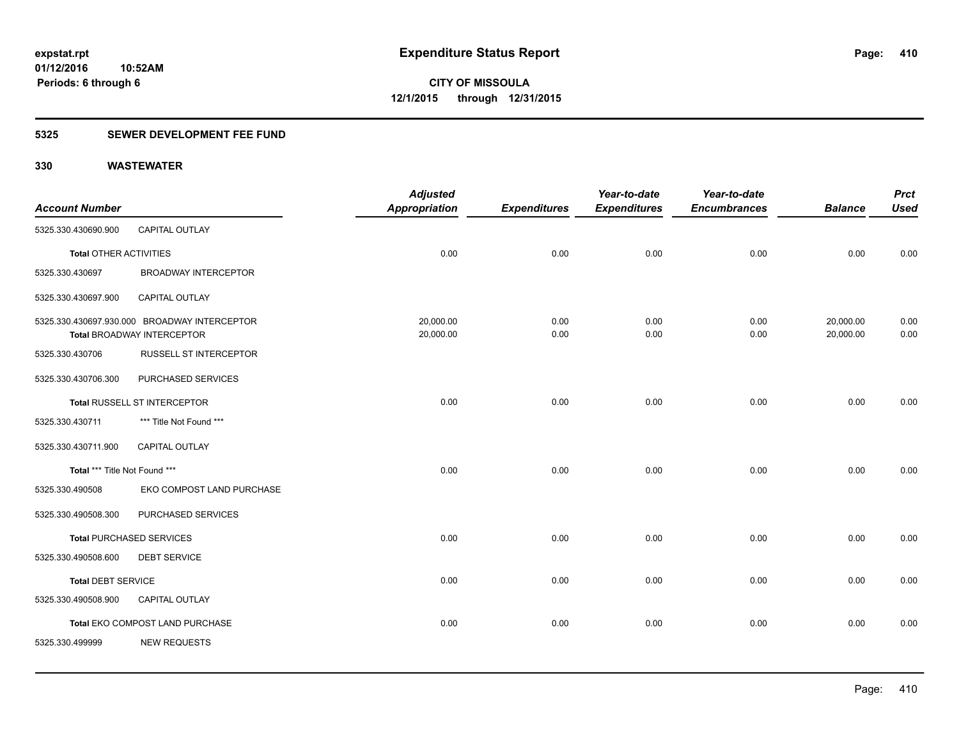### **5325 SEWER DEVELOPMENT FEE FUND**

|                               |                                              | <b>Adjusted</b>      |                     | Year-to-date        | Year-to-date        |                | <b>Prct</b> |
|-------------------------------|----------------------------------------------|----------------------|---------------------|---------------------|---------------------|----------------|-------------|
| <b>Account Number</b>         |                                              | <b>Appropriation</b> | <b>Expenditures</b> | <b>Expenditures</b> | <b>Encumbrances</b> | <b>Balance</b> | <b>Used</b> |
| 5325.330.430690.900           | CAPITAL OUTLAY                               |                      |                     |                     |                     |                |             |
| <b>Total OTHER ACTIVITIES</b> |                                              | 0.00                 | 0.00                | 0.00                | 0.00                | 0.00           | 0.00        |
| 5325.330.430697               | <b>BROADWAY INTERCEPTOR</b>                  |                      |                     |                     |                     |                |             |
| 5325.330.430697.900           | <b>CAPITAL OUTLAY</b>                        |                      |                     |                     |                     |                |             |
|                               | 5325.330.430697.930.000 BROADWAY INTERCEPTOR | 20,000.00            | 0.00                | 0.00                | 0.00                | 20,000.00      | 0.00        |
|                               | <b>Total BROADWAY INTERCEPTOR</b>            | 20,000.00            | 0.00                | 0.00                | 0.00                | 20,000.00      | 0.00        |
| 5325.330.430706               | <b>RUSSELL ST INTERCEPTOR</b>                |                      |                     |                     |                     |                |             |
| 5325.330.430706.300           | PURCHASED SERVICES                           |                      |                     |                     |                     |                |             |
|                               | <b>Total RUSSELL ST INTERCEPTOR</b>          | 0.00                 | 0.00                | 0.00                | 0.00                | 0.00           | 0.00        |
| 5325.330.430711               | *** Title Not Found ***                      |                      |                     |                     |                     |                |             |
| 5325.330.430711.900           | <b>CAPITAL OUTLAY</b>                        |                      |                     |                     |                     |                |             |
| Total *** Title Not Found *** |                                              | 0.00                 | 0.00                | 0.00                | 0.00                | 0.00           | 0.00        |
| 5325.330.490508               | EKO COMPOST LAND PURCHASE                    |                      |                     |                     |                     |                |             |
| 5325.330.490508.300           | PURCHASED SERVICES                           |                      |                     |                     |                     |                |             |
|                               | <b>Total PURCHASED SERVICES</b>              | 0.00                 | 0.00                | 0.00                | 0.00                | 0.00           | 0.00        |
| 5325.330.490508.600           | <b>DEBT SERVICE</b>                          |                      |                     |                     |                     |                |             |
| <b>Total DEBT SERVICE</b>     |                                              | 0.00                 | 0.00                | 0.00                | 0.00                | 0.00           | 0.00        |
| 5325.330.490508.900           | CAPITAL OUTLAY                               |                      |                     |                     |                     |                |             |
|                               | Total EKO COMPOST LAND PURCHASE              | 0.00                 | 0.00                | 0.00                | 0.00                | 0.00           | 0.00        |
| 5325.330.499999               | <b>NEW REQUESTS</b>                          |                      |                     |                     |                     |                |             |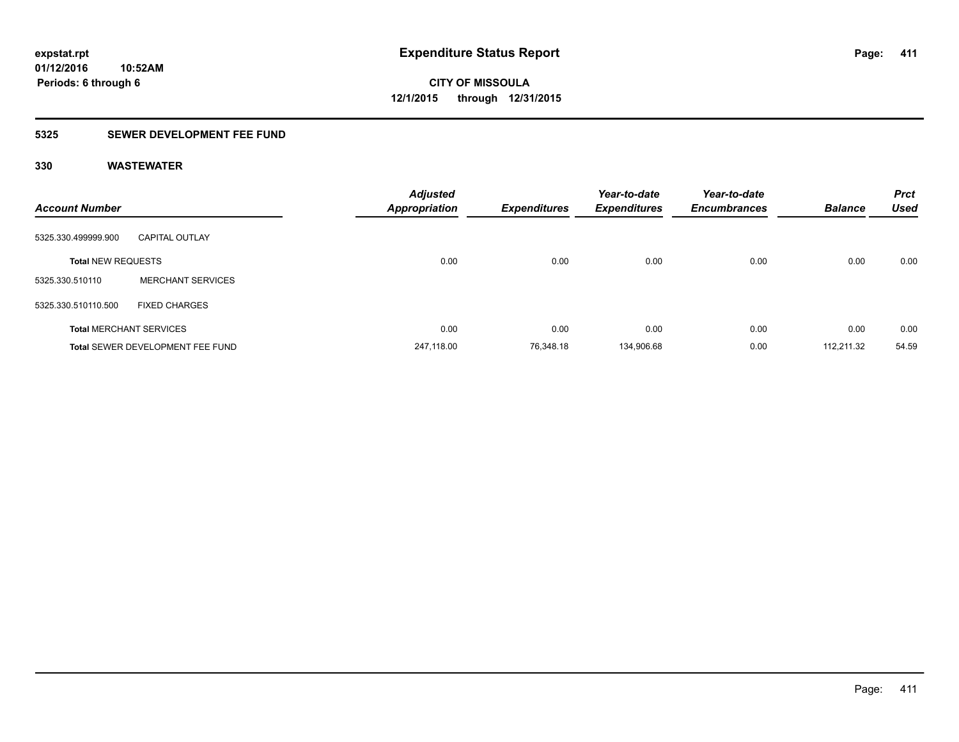### **5325 SEWER DEVELOPMENT FEE FUND**

| <b>Account Number</b>     |                                         | <b>Adjusted</b><br><b>Appropriation</b> | <b>Expenditures</b> | Year-to-date<br><b>Expenditures</b> | Year-to-date<br><b>Encumbrances</b> | <b>Balance</b> | <b>Prct</b><br><b>Used</b> |
|---------------------------|-----------------------------------------|-----------------------------------------|---------------------|-------------------------------------|-------------------------------------|----------------|----------------------------|
| 5325.330.499999.900       | <b>CAPITAL OUTLAY</b>                   |                                         |                     |                                     |                                     |                |                            |
| <b>Total NEW REQUESTS</b> |                                         | 0.00                                    | 0.00                | 0.00                                | 0.00                                | 0.00           | 0.00                       |
| 5325.330.510110           | <b>MERCHANT SERVICES</b>                |                                         |                     |                                     |                                     |                |                            |
| 5325.330.510110.500       | <b>FIXED CHARGES</b>                    |                                         |                     |                                     |                                     |                |                            |
|                           | <b>Total MERCHANT SERVICES</b>          | 0.00                                    | 0.00                | 0.00                                | 0.00                                | 0.00           | 0.00                       |
|                           | <b>Total SEWER DEVELOPMENT FEE FUND</b> | 247.118.00                              | 76.348.18           | 134.906.68                          | 0.00                                | 112.211.32     | 54.59                      |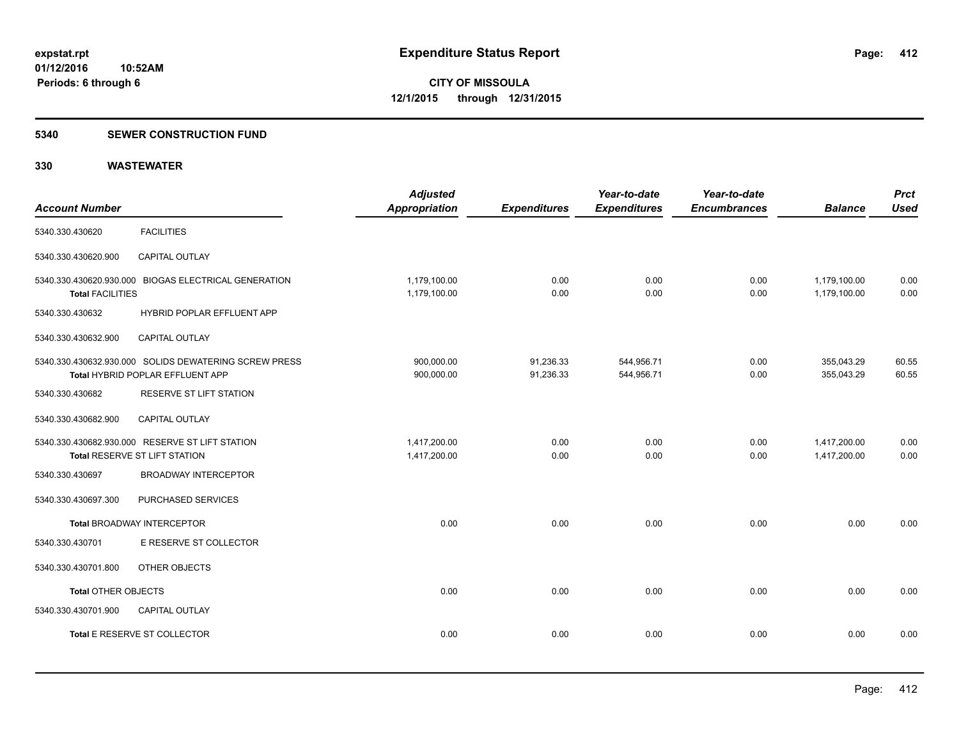#### **5340 SEWER CONSTRUCTION FUND**

| <b>Account Number</b>      |                                                                                           | <b>Adjusted</b><br><b>Appropriation</b> | <b>Expenditures</b>    | Year-to-date<br><b>Expenditures</b> | Year-to-date<br><b>Encumbrances</b> | <b>Balance</b>               | <b>Prct</b><br><b>Used</b> |
|----------------------------|-------------------------------------------------------------------------------------------|-----------------------------------------|------------------------|-------------------------------------|-------------------------------------|------------------------------|----------------------------|
| 5340.330.430620            | <b>FACILITIES</b>                                                                         |                                         |                        |                                     |                                     |                              |                            |
| 5340.330.430620.900        | CAPITAL OUTLAY                                                                            |                                         |                        |                                     |                                     |                              |                            |
| <b>Total FACILITIES</b>    | 5340.330.430620.930.000 BIOGAS ELECTRICAL GENERATION                                      | 1,179,100.00<br>1,179,100.00            | 0.00<br>0.00           | 0.00<br>0.00                        | 0.00<br>0.00                        | 1,179,100.00<br>1,179,100.00 | 0.00<br>0.00               |
| 5340.330.430632            | HYBRID POPLAR EFFLUENT APP                                                                |                                         |                        |                                     |                                     |                              |                            |
| 5340.330.430632.900        | <b>CAPITAL OUTLAY</b>                                                                     |                                         |                        |                                     |                                     |                              |                            |
|                            | 5340.330.430632.930.000 SOLIDS DEWATERING SCREW PRESS<br>Total HYBRID POPLAR EFFLUENT APP | 900,000.00<br>900,000.00                | 91,236.33<br>91,236.33 | 544,956.71<br>544,956.71            | 0.00<br>0.00                        | 355,043.29<br>355,043.29     | 60.55<br>60.55             |
| 5340.330.430682            | RESERVE ST LIFT STATION                                                                   |                                         |                        |                                     |                                     |                              |                            |
| 5340.330.430682.900        | CAPITAL OUTLAY                                                                            |                                         |                        |                                     |                                     |                              |                            |
|                            | 5340.330.430682.930.000 RESERVE ST LIFT STATION<br>Total RESERVE ST LIFT STATION          | 1,417,200.00<br>1,417,200.00            | 0.00<br>0.00           | 0.00<br>0.00                        | 0.00<br>0.00                        | 1,417,200.00<br>1,417,200.00 | 0.00<br>0.00               |
| 5340.330.430697            | <b>BROADWAY INTERCEPTOR</b>                                                               |                                         |                        |                                     |                                     |                              |                            |
| 5340.330.430697.300        | PURCHASED SERVICES                                                                        |                                         |                        |                                     |                                     |                              |                            |
|                            | <b>Total BROADWAY INTERCEPTOR</b>                                                         | 0.00                                    | 0.00                   | 0.00                                | 0.00                                | 0.00                         | 0.00                       |
| 5340.330.430701            | E RESERVE ST COLLECTOR                                                                    |                                         |                        |                                     |                                     |                              |                            |
| 5340.330.430701.800        | OTHER OBJECTS                                                                             |                                         |                        |                                     |                                     |                              |                            |
| <b>Total OTHER OBJECTS</b> |                                                                                           | 0.00                                    | 0.00                   | 0.00                                | 0.00                                | 0.00                         | 0.00                       |
| 5340.330.430701.900        | <b>CAPITAL OUTLAY</b>                                                                     |                                         |                        |                                     |                                     |                              |                            |
|                            | Total E RESERVE ST COLLECTOR                                                              | 0.00                                    | 0.00                   | 0.00                                | 0.00                                | 0.00                         | 0.00                       |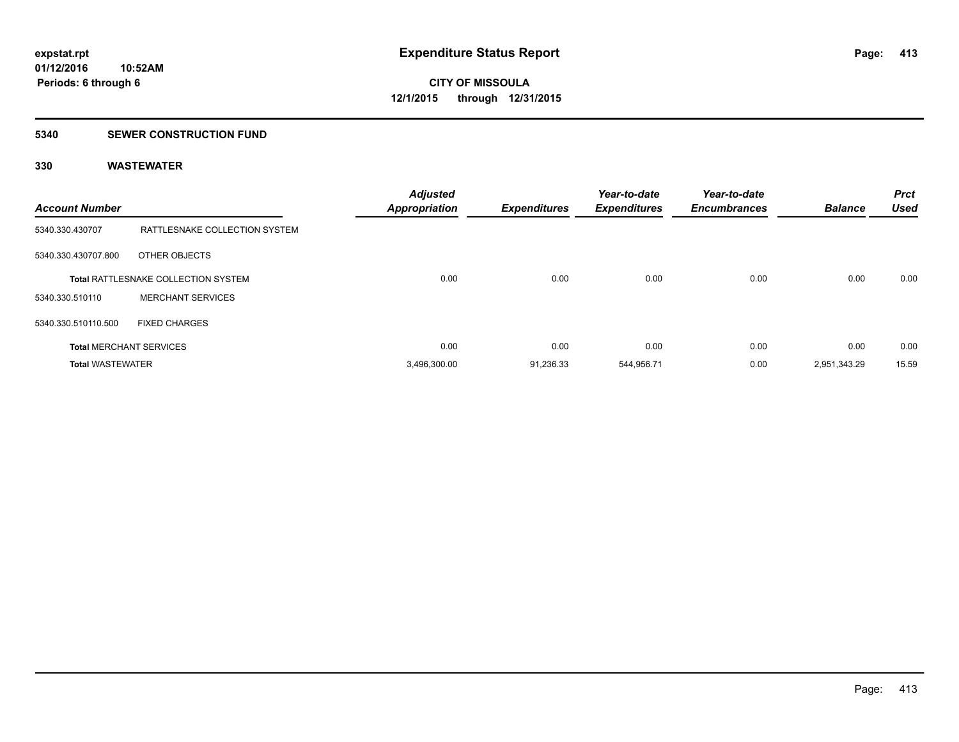#### **5340 SEWER CONSTRUCTION FUND**

| <b>Account Number</b>   |                                            | <b>Adjusted</b><br><b>Appropriation</b> | <b>Expenditures</b> | Year-to-date<br><b>Expenditures</b> | Year-to-date<br><b>Encumbrances</b> | <b>Balance</b> | <b>Prct</b><br><b>Used</b> |
|-------------------------|--------------------------------------------|-----------------------------------------|---------------------|-------------------------------------|-------------------------------------|----------------|----------------------------|
| 5340.330.430707         | RATTLESNAKE COLLECTION SYSTEM              |                                         |                     |                                     |                                     |                |                            |
| 5340.330.430707.800     | OTHER OBJECTS                              |                                         |                     |                                     |                                     |                |                            |
|                         | <b>Total RATTLESNAKE COLLECTION SYSTEM</b> | 0.00                                    | 0.00                | 0.00                                | 0.00                                | 0.00           | 0.00                       |
| 5340.330.510110         | <b>MERCHANT SERVICES</b>                   |                                         |                     |                                     |                                     |                |                            |
| 5340.330.510110.500     | <b>FIXED CHARGES</b>                       |                                         |                     |                                     |                                     |                |                            |
|                         | <b>Total MERCHANT SERVICES</b>             | 0.00                                    | 0.00                | 0.00                                | 0.00                                | 0.00           | 0.00                       |
| <b>Total WASTEWATER</b> |                                            | 3,496,300.00                            | 91,236.33           | 544,956.71                          | 0.00                                | 2,951,343.29   | 15.59                      |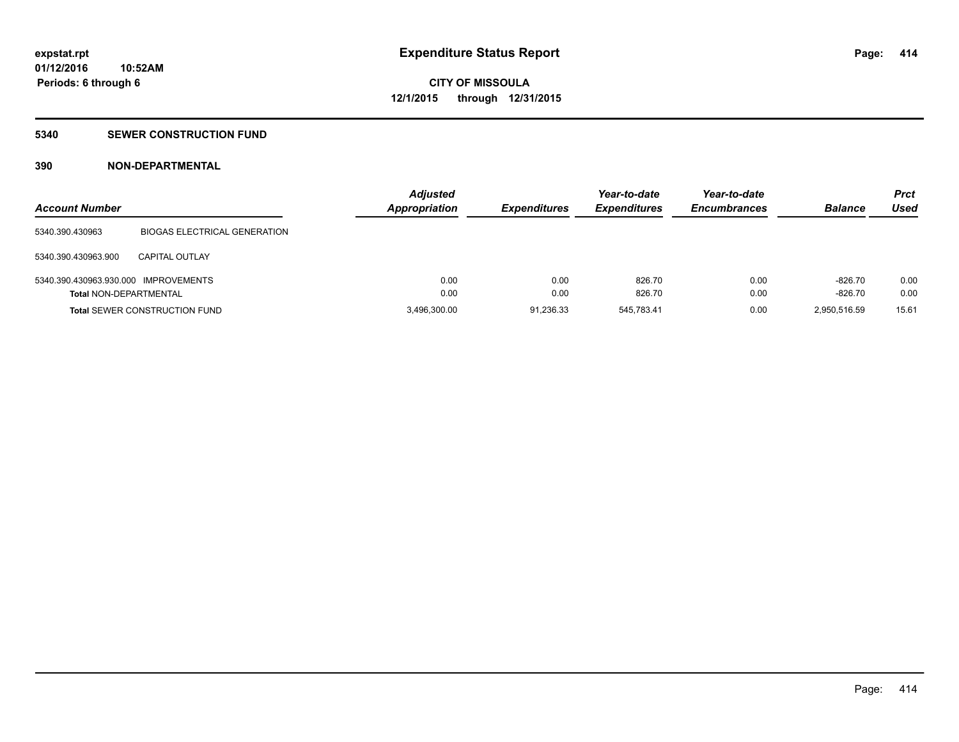### **5340 SEWER CONSTRUCTION FUND**

### **390 NON-DEPARTMENTAL**

| <b>Account Number</b>                                                 |                                      | <b>Adjusted</b><br><b>Appropriation</b> | <b>Expenditures</b> | Year-to-date<br><b>Expenditures</b> | Year-to-date<br><b>Encumbrances</b> | <b>Balance</b>         | Prct<br>Used |
|-----------------------------------------------------------------------|--------------------------------------|-----------------------------------------|---------------------|-------------------------------------|-------------------------------------|------------------------|--------------|
| 5340.390.430963                                                       | <b>BIOGAS ELECTRICAL GENERATION</b>  |                                         |                     |                                     |                                     |                        |              |
| 5340.390.430963.900                                                   | <b>CAPITAL OUTLAY</b>                |                                         |                     |                                     |                                     |                        |              |
| 5340.390.430963.930.000 IMPROVEMENTS<br><b>Total NON-DEPARTMENTAL</b> |                                      | 0.00<br>0.00                            | 0.00<br>0.00        | 826.70<br>826.70                    | 0.00<br>0.00                        | $-826.70$<br>$-826.70$ | 0.00<br>0.00 |
|                                                                       | <b>Total SEWER CONSTRUCTION FUND</b> | 3,496,300.00                            | 91,236.33           | 545,783.41                          | 0.00                                | 2,950,516.59           | 15.61        |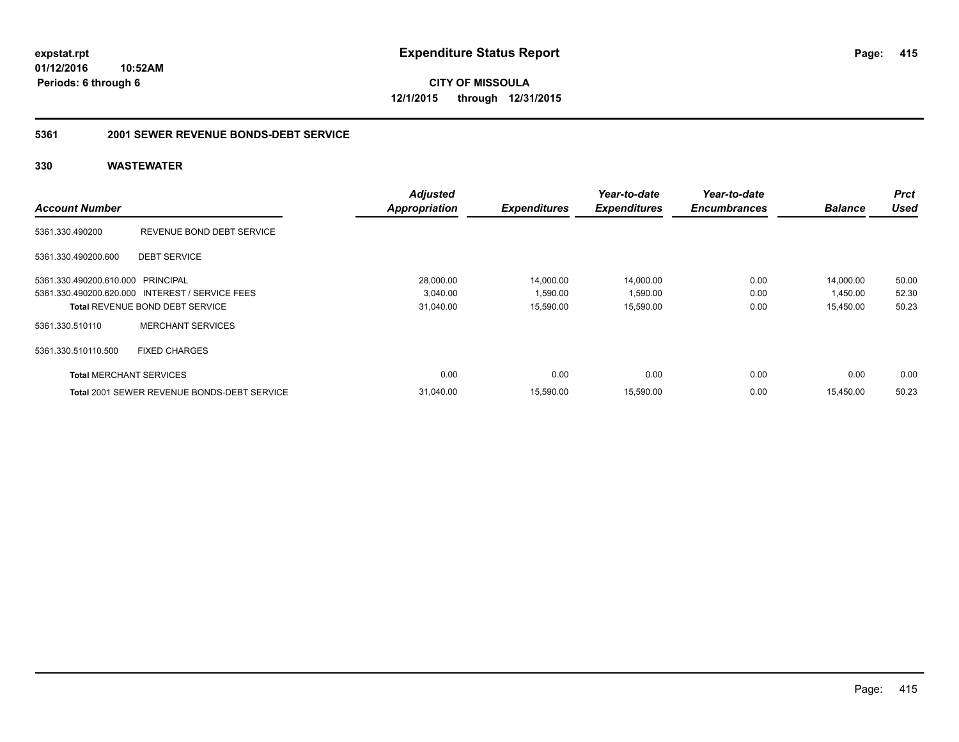**CITY OF MISSOULA 12/1/2015 through 12/31/2015**

### **5361 2001 SEWER REVENUE BONDS-DEBT SERVICE**

|                                   |                                                    | <b>Adjusted</b>      |                     | Year-to-date        | Year-to-date        |                | Prct  |
|-----------------------------------|----------------------------------------------------|----------------------|---------------------|---------------------|---------------------|----------------|-------|
| <b>Account Number</b>             |                                                    | <b>Appropriation</b> | <b>Expenditures</b> | <b>Expenditures</b> | <b>Encumbrances</b> | <b>Balance</b> | Used  |
| 5361.330.490200                   | REVENUE BOND DEBT SERVICE                          |                      |                     |                     |                     |                |       |
| 5361.330.490200.600               | <b>DEBT SERVICE</b>                                |                      |                     |                     |                     |                |       |
| 5361.330.490200.610.000 PRINCIPAL |                                                    | 28,000.00            | 14,000.00           | 14,000.00           | 0.00                | 14,000.00      | 50.00 |
|                                   | 5361.330.490200.620.000 INTEREST / SERVICE FEES    | 3,040.00             | 1,590.00            | 1,590.00            | 0.00                | 1,450.00       | 52.30 |
|                                   | <b>Total REVENUE BOND DEBT SERVICE</b>             | 31,040.00            | 15,590.00           | 15,590.00           | 0.00                | 15,450.00      | 50.23 |
| 5361.330.510110                   | <b>MERCHANT SERVICES</b>                           |                      |                     |                     |                     |                |       |
| 5361.330.510110.500               | <b>FIXED CHARGES</b>                               |                      |                     |                     |                     |                |       |
| <b>Total MERCHANT SERVICES</b>    |                                                    | 0.00                 | 0.00                | 0.00                | 0.00                | 0.00           | 0.00  |
|                                   | <b>Total 2001 SEWER REVENUE BONDS-DEBT SERVICE</b> | 31.040.00            | 15.590.00           | 15,590.00           | 0.00                | 15.450.00      | 50.23 |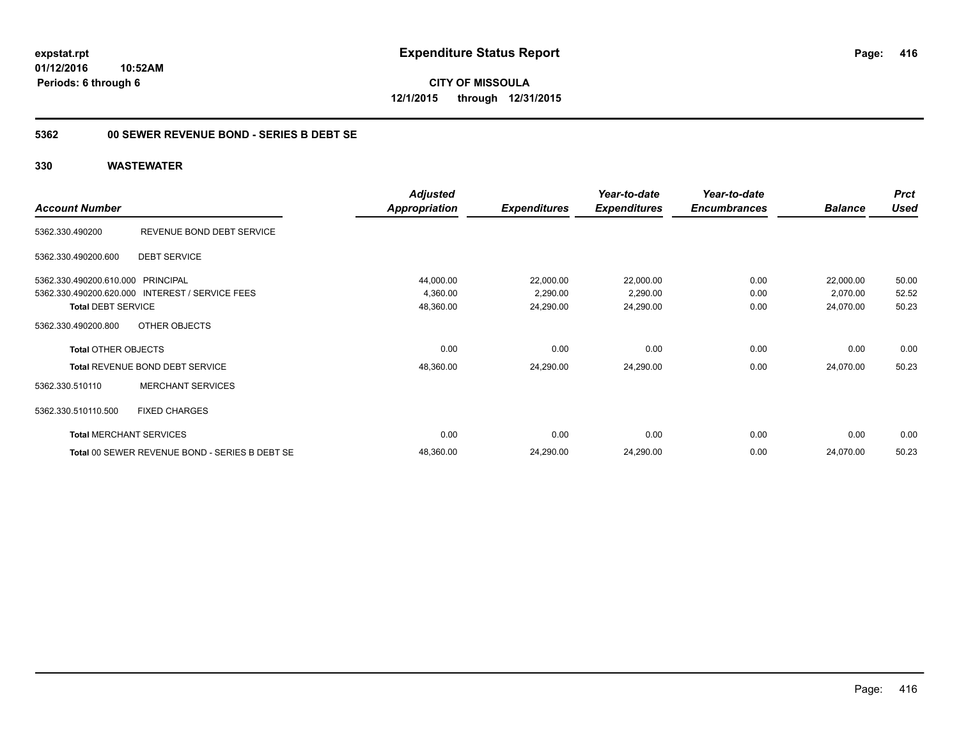**CITY OF MISSOULA 12/1/2015 through 12/31/2015**

### **5362 00 SEWER REVENUE BOND - SERIES B DEBT SE**

|                                   |                                                | <b>Adjusted</b> |                     | Year-to-date        | Year-to-date        |                | <b>Prct</b> |
|-----------------------------------|------------------------------------------------|-----------------|---------------------|---------------------|---------------------|----------------|-------------|
| <b>Account Number</b>             |                                                | Appropriation   | <b>Expenditures</b> | <b>Expenditures</b> | <b>Encumbrances</b> | <b>Balance</b> | <b>Used</b> |
| 5362.330.490200                   | REVENUE BOND DEBT SERVICE                      |                 |                     |                     |                     |                |             |
| 5362.330.490200.600               | <b>DEBT SERVICE</b>                            |                 |                     |                     |                     |                |             |
| 5362.330.490200.610.000 PRINCIPAL |                                                | 44,000.00       | 22,000.00           | 22,000.00           | 0.00                | 22,000.00      | 50.00       |
| 5362.330.490200.620.000           | <b>INTEREST / SERVICE FEES</b>                 | 4,360.00        | 2,290.00            | 2,290.00            | 0.00                | 2,070.00       | 52.52       |
| <b>Total DEBT SERVICE</b>         |                                                | 48,360.00       | 24,290.00           | 24,290.00           | 0.00                | 24,070.00      | 50.23       |
| 5362.330.490200.800               | OTHER OBJECTS                                  |                 |                     |                     |                     |                |             |
| <b>Total OTHER OBJECTS</b>        |                                                | 0.00            | 0.00                | 0.00                | 0.00                | 0.00           | 0.00        |
|                                   | Total REVENUE BOND DEBT SERVICE                | 48,360.00       | 24,290.00           | 24,290.00           | 0.00                | 24,070.00      | 50.23       |
| 5362.330.510110                   | <b>MERCHANT SERVICES</b>                       |                 |                     |                     |                     |                |             |
| 5362.330.510110.500               | <b>FIXED CHARGES</b>                           |                 |                     |                     |                     |                |             |
|                                   | <b>Total MERCHANT SERVICES</b>                 | 0.00            | 0.00                | 0.00                | 0.00                | 0.00           | 0.00        |
|                                   | Total 00 SEWER REVENUE BOND - SERIES B DEBT SE | 48,360.00       | 24,290.00           | 24,290.00           | 0.00                | 24,070.00      | 50.23       |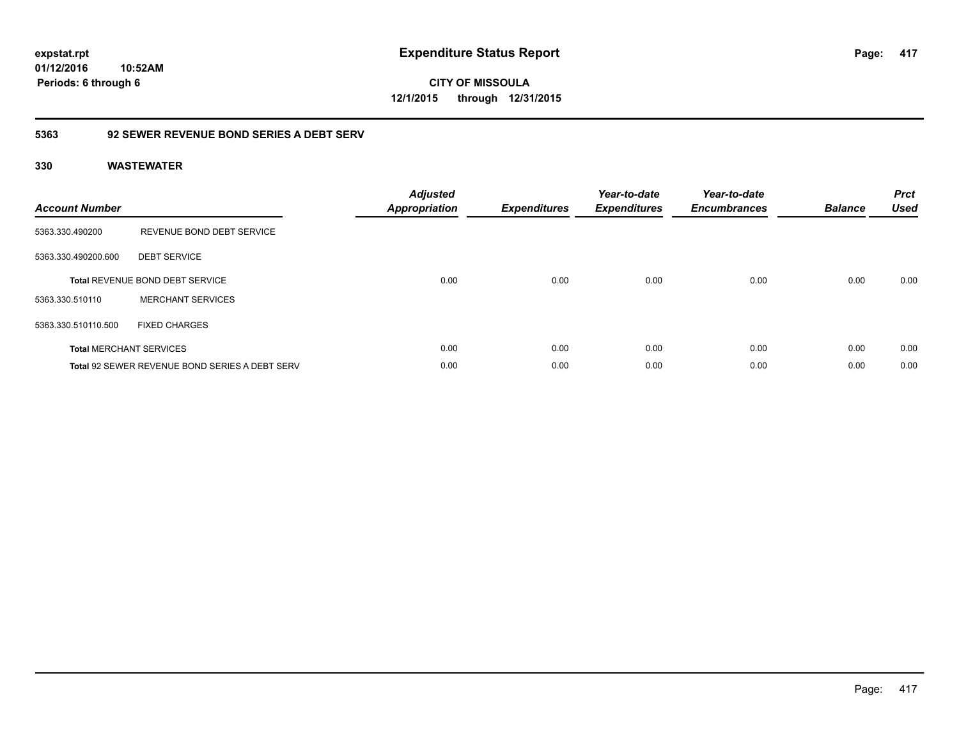**CITY OF MISSOULA 12/1/2015 through 12/31/2015**

### **5363 92 SEWER REVENUE BOND SERIES A DEBT SERV**

| <b>Account Number</b> |                                                       | <b>Adjusted</b><br>Appropriation | <b>Expenditures</b> | Year-to-date<br><b>Expenditures</b> | Year-to-date<br><b>Encumbrances</b> | <b>Balance</b> | <b>Prct</b><br><b>Used</b> |
|-----------------------|-------------------------------------------------------|----------------------------------|---------------------|-------------------------------------|-------------------------------------|----------------|----------------------------|
| 5363.330.490200       | REVENUE BOND DEBT SERVICE                             |                                  |                     |                                     |                                     |                |                            |
| 5363.330.490200.600   | <b>DEBT SERVICE</b>                                   |                                  |                     |                                     |                                     |                |                            |
|                       | <b>Total REVENUE BOND DEBT SERVICE</b>                | 0.00                             | 0.00                | 0.00                                | 0.00                                | 0.00           | 0.00                       |
| 5363.330.510110       | <b>MERCHANT SERVICES</b>                              |                                  |                     |                                     |                                     |                |                            |
| 5363.330.510110.500   | <b>FIXED CHARGES</b>                                  |                                  |                     |                                     |                                     |                |                            |
|                       | <b>Total MERCHANT SERVICES</b>                        | 0.00                             | 0.00                | 0.00                                | 0.00                                | 0.00           | 0.00                       |
|                       | <b>Total 92 SEWER REVENUE BOND SERIES A DEBT SERV</b> | 0.00                             | 0.00                | 0.00                                | 0.00                                | 0.00           | 0.00                       |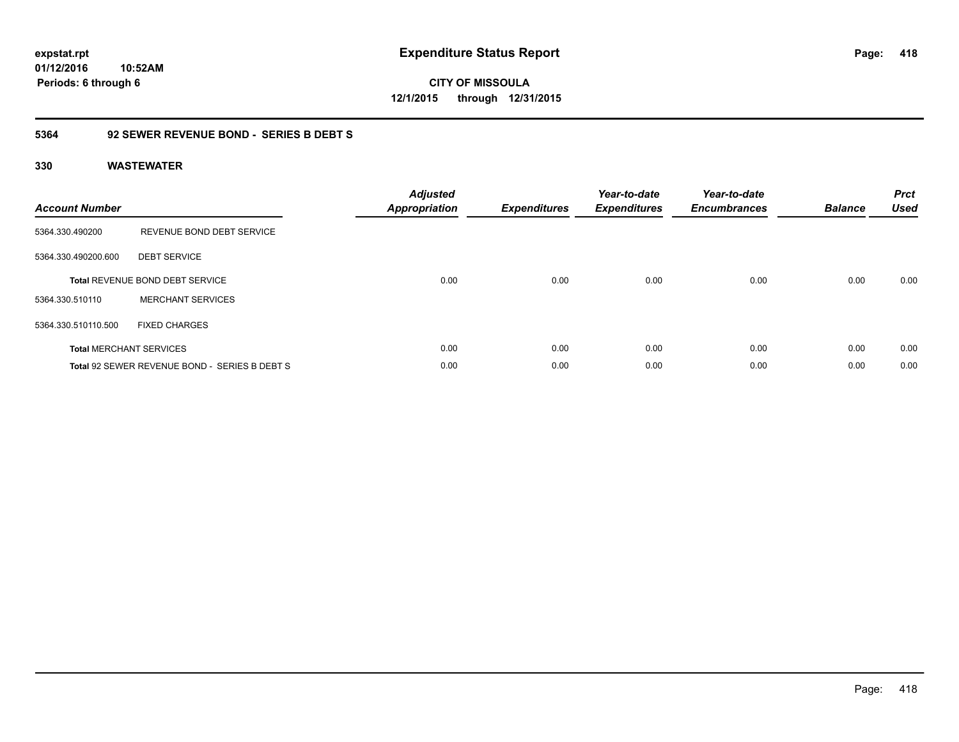**CITY OF MISSOULA 12/1/2015 through 12/31/2015**

### **5364 92 SEWER REVENUE BOND - SERIES B DEBT S**

| <b>Account Number</b> |                                               | <b>Adjusted</b><br>Appropriation | <b>Expenditures</b> | Year-to-date<br><b>Expenditures</b> | Year-to-date<br><b>Encumbrances</b> | <b>Balance</b> | <b>Prct</b><br><b>Used</b> |
|-----------------------|-----------------------------------------------|----------------------------------|---------------------|-------------------------------------|-------------------------------------|----------------|----------------------------|
| 5364.330.490200       | REVENUE BOND DEBT SERVICE                     |                                  |                     |                                     |                                     |                |                            |
| 5364.330.490200.600   | <b>DEBT SERVICE</b>                           |                                  |                     |                                     |                                     |                |                            |
|                       | <b>Total REVENUE BOND DEBT SERVICE</b>        | 0.00                             | 0.00                | 0.00                                | 0.00                                | 0.00           | 0.00                       |
| 5364.330.510110       | <b>MERCHANT SERVICES</b>                      |                                  |                     |                                     |                                     |                |                            |
| 5364.330.510110.500   | <b>FIXED CHARGES</b>                          |                                  |                     |                                     |                                     |                |                            |
|                       | <b>Total MERCHANT SERVICES</b>                | 0.00                             | 0.00                | 0.00                                | 0.00                                | 0.00           | 0.00                       |
|                       | Total 92 SEWER REVENUE BOND - SERIES B DEBT S | 0.00                             | 0.00                | 0.00                                | 0.00                                | 0.00           | 0.00                       |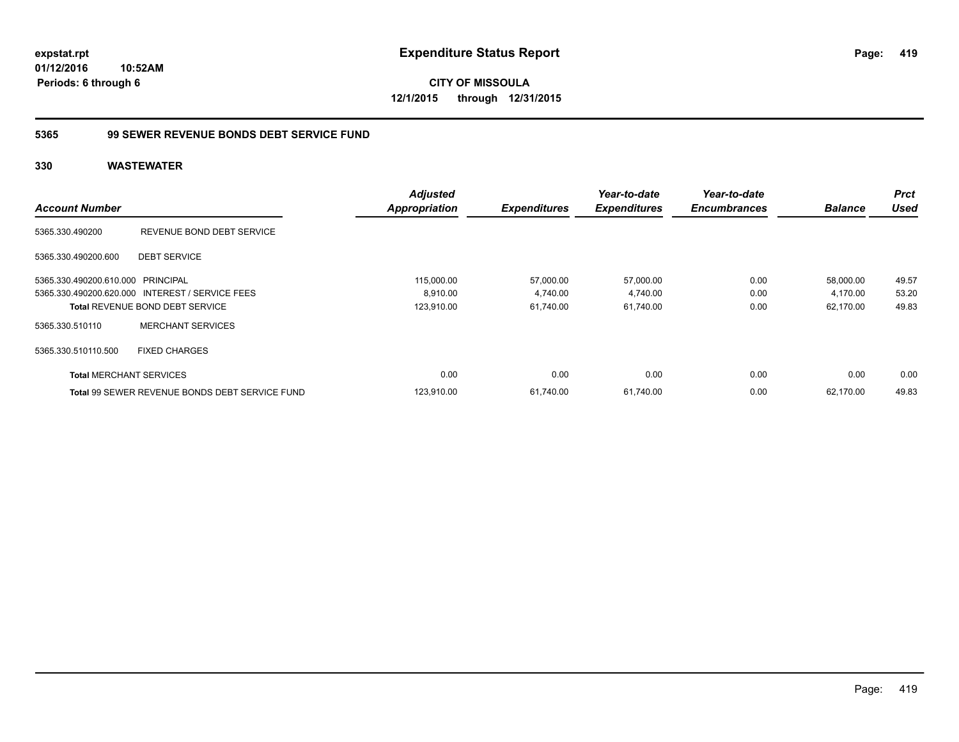**CITY OF MISSOULA 12/1/2015 through 12/31/2015**

### **5365 99 SEWER REVENUE BONDS DEBT SERVICE FUND**

|                                   |                                                 | <b>Adjusted</b>      |                     | Year-to-date        | Year-to-date        |                | <b>Prct</b> |
|-----------------------------------|-------------------------------------------------|----------------------|---------------------|---------------------|---------------------|----------------|-------------|
| <b>Account Number</b>             |                                                 | <b>Appropriation</b> | <b>Expenditures</b> | <b>Expenditures</b> | <b>Encumbrances</b> | <b>Balance</b> | <b>Used</b> |
| 5365.330.490200                   | REVENUE BOND DEBT SERVICE                       |                      |                     |                     |                     |                |             |
| 5365.330.490200.600               | <b>DEBT SERVICE</b>                             |                      |                     |                     |                     |                |             |
| 5365.330.490200.610.000 PRINCIPAL |                                                 | 115,000.00           | 57,000.00           | 57,000.00           | 0.00                | 58,000.00      | 49.57       |
|                                   | 5365.330.490200.620.000 INTEREST / SERVICE FEES | 8.910.00             | 4,740.00            | 4,740.00            | 0.00                | 4,170.00       | 53.20       |
|                                   | <b>Total REVENUE BOND DEBT SERVICE</b>          | 123,910.00           | 61,740.00           | 61,740.00           | 0.00                | 62,170.00      | 49.83       |
| 5365.330.510110                   | <b>MERCHANT SERVICES</b>                        |                      |                     |                     |                     |                |             |
| 5365.330.510110.500               | <b>FIXED CHARGES</b>                            |                      |                     |                     |                     |                |             |
| <b>Total MERCHANT SERVICES</b>    |                                                 | 0.00                 | 0.00                | 0.00                | 0.00                | 0.00           | 0.00        |
|                                   | Total 99 SEWER REVENUE BONDS DEBT SERVICE FUND  | 123,910.00           | 61.740.00           | 61,740.00           | 0.00                | 62.170.00      | 49.83       |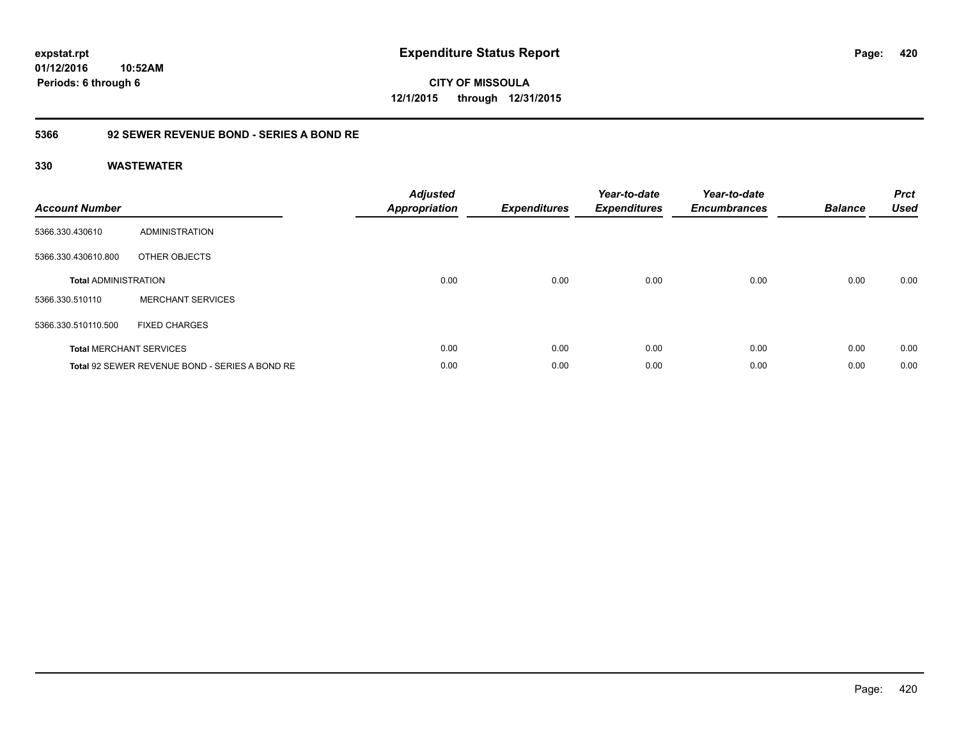**CITY OF MISSOULA 12/1/2015 through 12/31/2015**

### **5366 92 SEWER REVENUE BOND - SERIES A BOND RE**

| <b>Account Number</b>       |                                                | <b>Adjusted</b><br>Appropriation | <b>Expenditures</b> | Year-to-date<br><b>Expenditures</b> | Year-to-date<br><b>Encumbrances</b> | <b>Balance</b> | <b>Prct</b><br><b>Used</b> |
|-----------------------------|------------------------------------------------|----------------------------------|---------------------|-------------------------------------|-------------------------------------|----------------|----------------------------|
| 5366.330.430610             | ADMINISTRATION                                 |                                  |                     |                                     |                                     |                |                            |
| 5366.330.430610.800         | OTHER OBJECTS                                  |                                  |                     |                                     |                                     |                |                            |
| <b>Total ADMINISTRATION</b> |                                                | 0.00                             | 0.00                | 0.00                                | 0.00                                | 0.00           | 0.00                       |
| 5366.330.510110             | <b>MERCHANT SERVICES</b>                       |                                  |                     |                                     |                                     |                |                            |
| 5366.330.510110.500         | <b>FIXED CHARGES</b>                           |                                  |                     |                                     |                                     |                |                            |
|                             | <b>Total MERCHANT SERVICES</b>                 | 0.00                             | 0.00                | 0.00                                | 0.00                                | 0.00           | 0.00                       |
|                             | Total 92 SEWER REVENUE BOND - SERIES A BOND RE | 0.00                             | 0.00                | 0.00                                | 0.00                                | 0.00           | 0.00                       |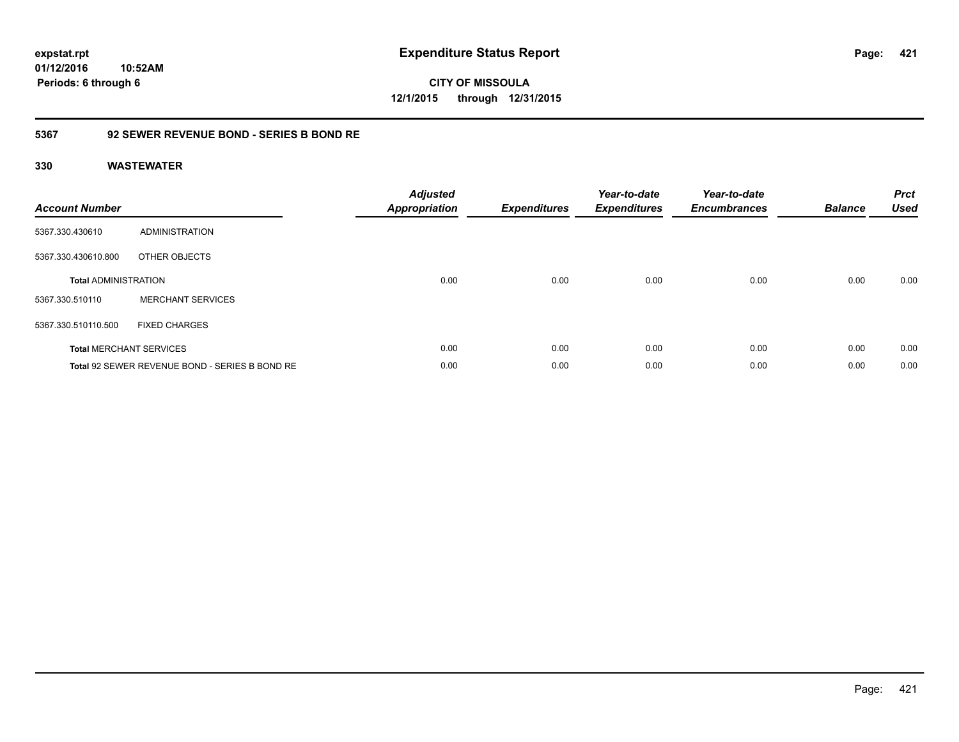**CITY OF MISSOULA 12/1/2015 through 12/31/2015**

### **5367 92 SEWER REVENUE BOND - SERIES B BOND RE**

| <b>Account Number</b>       |                                                | <b>Adjusted</b><br><b>Appropriation</b> | <b>Expenditures</b> | Year-to-date<br><b>Expenditures</b> | Year-to-date<br><b>Encumbrances</b> | <b>Balance</b> | <b>Prct</b><br><b>Used</b> |
|-----------------------------|------------------------------------------------|-----------------------------------------|---------------------|-------------------------------------|-------------------------------------|----------------|----------------------------|
| 5367.330.430610             | ADMINISTRATION                                 |                                         |                     |                                     |                                     |                |                            |
| 5367.330.430610.800         | OTHER OBJECTS                                  |                                         |                     |                                     |                                     |                |                            |
| <b>Total ADMINISTRATION</b> |                                                | 0.00                                    | 0.00                | 0.00                                | 0.00                                | 0.00           | 0.00                       |
| 5367.330.510110             | <b>MERCHANT SERVICES</b>                       |                                         |                     |                                     |                                     |                |                            |
| 5367.330.510110.500         | <b>FIXED CHARGES</b>                           |                                         |                     |                                     |                                     |                |                            |
|                             | <b>Total MERCHANT SERVICES</b>                 | 0.00                                    | 0.00                | 0.00                                | 0.00                                | 0.00           | 0.00                       |
|                             | Total 92 SEWER REVENUE BOND - SERIES B BOND RE | 0.00                                    | 0.00                | 0.00                                | 0.00                                | 0.00           | 0.00                       |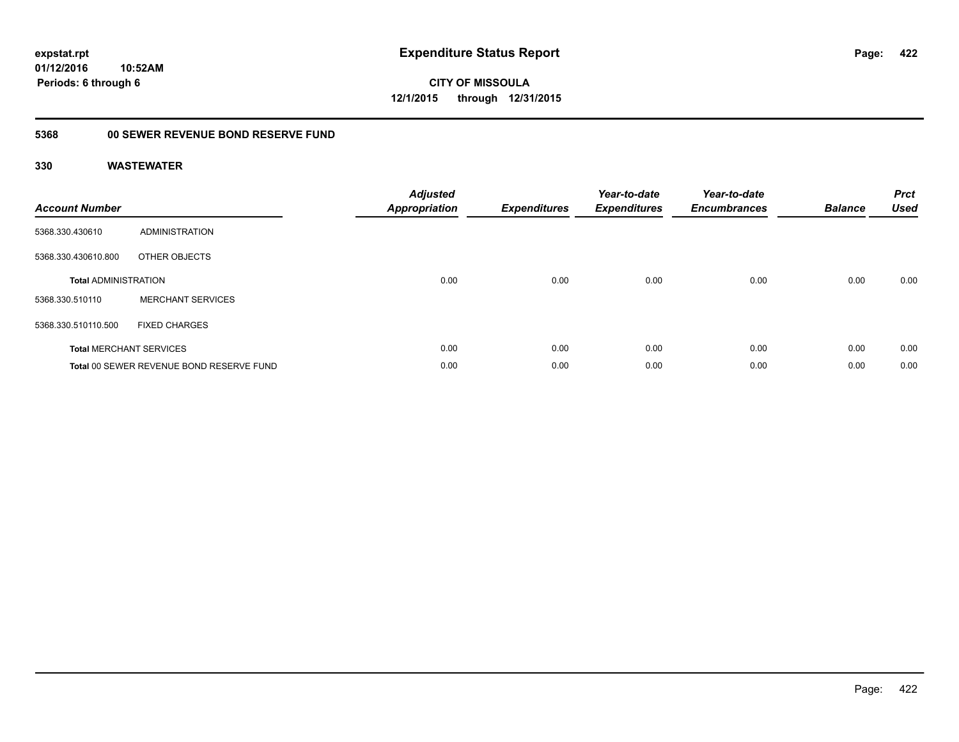**CITY OF MISSOULA 12/1/2015 through 12/31/2015**

## **5368 00 SEWER REVENUE BOND RESERVE FUND**

| <b>Account Number</b>       |                                          | <b>Adjusted</b><br>Appropriation | <b>Expenditures</b> | Year-to-date<br><b>Expenditures</b> | Year-to-date<br><b>Encumbrances</b> | <b>Balance</b> | <b>Prct</b><br><b>Used</b> |
|-----------------------------|------------------------------------------|----------------------------------|---------------------|-------------------------------------|-------------------------------------|----------------|----------------------------|
| 5368.330.430610             | ADMINISTRATION                           |                                  |                     |                                     |                                     |                |                            |
| 5368.330.430610.800         | OTHER OBJECTS                            |                                  |                     |                                     |                                     |                |                            |
| <b>Total ADMINISTRATION</b> |                                          | 0.00                             | 0.00                | 0.00                                | 0.00                                | 0.00           | 0.00                       |
| 5368.330.510110             | <b>MERCHANT SERVICES</b>                 |                                  |                     |                                     |                                     |                |                            |
| 5368.330.510110.500         | <b>FIXED CHARGES</b>                     |                                  |                     |                                     |                                     |                |                            |
|                             | <b>Total MERCHANT SERVICES</b>           | 0.00                             | 0.00                | 0.00                                | 0.00                                | 0.00           | 0.00                       |
|                             | Total 00 SEWER REVENUE BOND RESERVE FUND | 0.00                             | 0.00                | 0.00                                | 0.00                                | 0.00           | 0.00                       |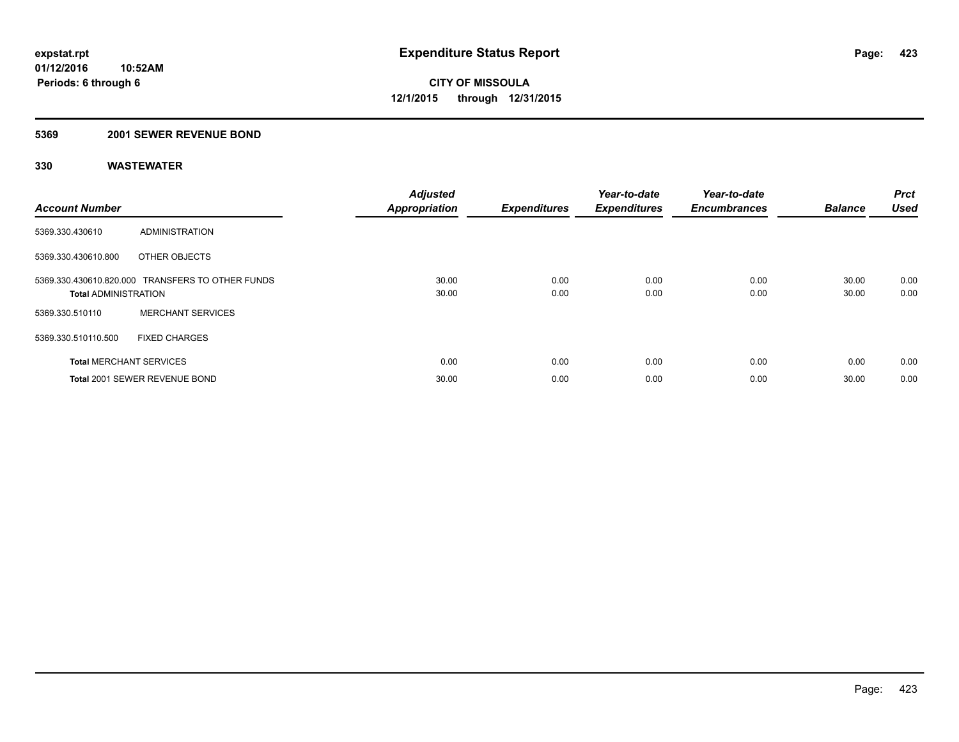#### **5369 2001 SEWER REVENUE BOND**

| <b>Account Number</b>          |                                                  | <b>Adjusted</b><br><b>Appropriation</b> | <b>Expenditures</b> | Year-to-date<br><b>Expenditures</b> | Year-to-date<br><b>Encumbrances</b> | <b>Balance</b> | <b>Prct</b><br><b>Used</b> |
|--------------------------------|--------------------------------------------------|-----------------------------------------|---------------------|-------------------------------------|-------------------------------------|----------------|----------------------------|
| 5369.330.430610                | <b>ADMINISTRATION</b>                            |                                         |                     |                                     |                                     |                |                            |
| 5369.330.430610.800            | OTHER OBJECTS                                    |                                         |                     |                                     |                                     |                |                            |
| <b>Total ADMINISTRATION</b>    | 5369.330.430610.820.000 TRANSFERS TO OTHER FUNDS | 30.00<br>30.00                          | 0.00<br>0.00        | 0.00<br>0.00                        | 0.00<br>0.00                        | 30.00<br>30.00 | 0.00<br>0.00               |
| 5369.330.510110                | <b>MERCHANT SERVICES</b>                         |                                         |                     |                                     |                                     |                |                            |
| 5369.330.510110.500            | <b>FIXED CHARGES</b>                             |                                         |                     |                                     |                                     |                |                            |
| <b>Total MERCHANT SERVICES</b> |                                                  | 0.00                                    | 0.00                | 0.00                                | 0.00                                | 0.00           | 0.00                       |
|                                | Total 2001 SEWER REVENUE BOND                    | 30.00                                   | 0.00                | 0.00                                | 0.00                                | 30.00          | 0.00                       |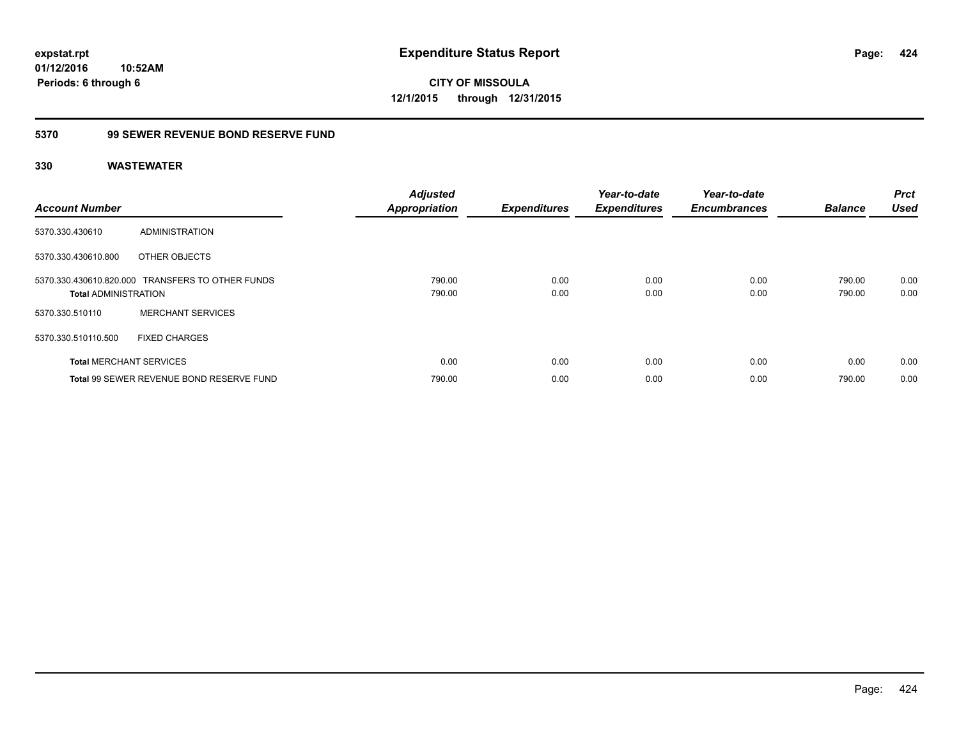**expstat.rpt Expenditure Status Report** 

**01/12/2016 10:52AM Periods: 6 through 6**

**CITY OF MISSOULA 12/1/2015 through 12/31/2015**

### **5370 99 SEWER REVENUE BOND RESERVE FUND**

| <b>Account Number</b>          |                                                  | <b>Adjusted</b><br><b>Appropriation</b> | <b>Expenditures</b> | Year-to-date<br><b>Expenditures</b> | Year-to-date<br><b>Encumbrances</b> | <b>Balance</b>   | <b>Prct</b><br><b>Used</b> |
|--------------------------------|--------------------------------------------------|-----------------------------------------|---------------------|-------------------------------------|-------------------------------------|------------------|----------------------------|
| 5370.330.430610                | ADMINISTRATION                                   |                                         |                     |                                     |                                     |                  |                            |
| 5370.330.430610.800            | OTHER OBJECTS                                    |                                         |                     |                                     |                                     |                  |                            |
| <b>Total ADMINISTRATION</b>    | 5370.330.430610.820.000 TRANSFERS TO OTHER FUNDS | 790.00<br>790.00                        | 0.00<br>0.00        | 0.00<br>0.00                        | 0.00<br>0.00                        | 790.00<br>790.00 | 0.00<br>0.00               |
| 5370.330.510110                | <b>MERCHANT SERVICES</b>                         |                                         |                     |                                     |                                     |                  |                            |
| 5370.330.510110.500            | <b>FIXED CHARGES</b>                             |                                         |                     |                                     |                                     |                  |                            |
| <b>Total MERCHANT SERVICES</b> |                                                  | 0.00                                    | 0.00                | 0.00                                | 0.00                                | 0.00             | 0.00                       |
|                                | Total 99 SEWER REVENUE BOND RESERVE FUND         | 790.00                                  | 0.00                | 0.00                                | 0.00                                | 790.00           | 0.00                       |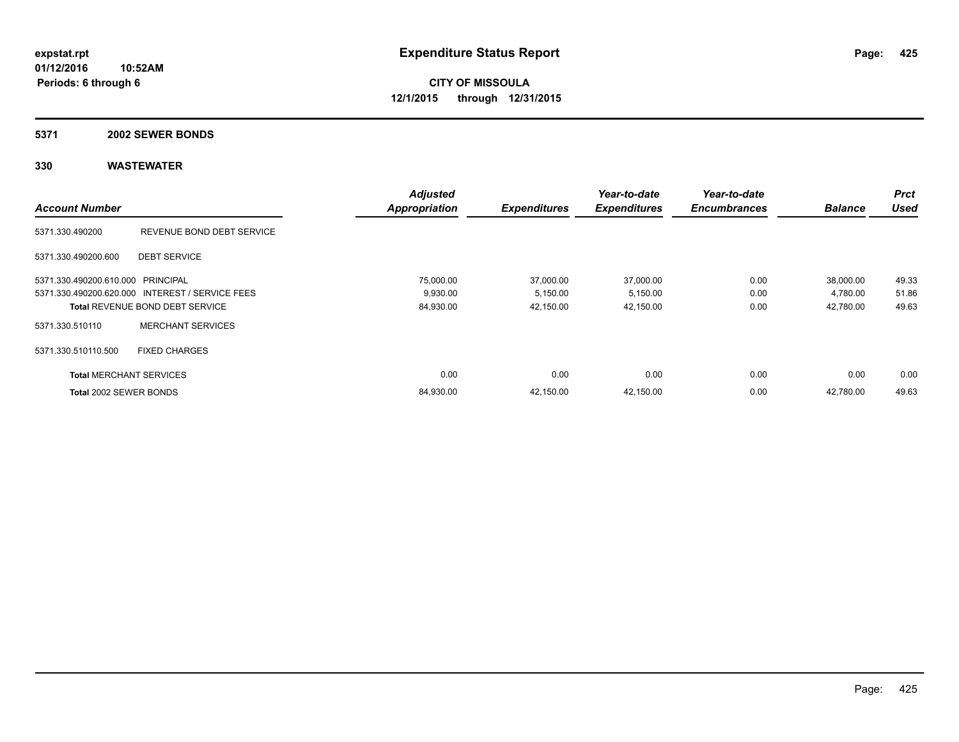#### **5371 2002 SEWER BONDS**

|                                   |                                                 | <b>Adjusted</b>      |                     | Year-to-date        | Year-to-date        |                | <b>Prct</b> |
|-----------------------------------|-------------------------------------------------|----------------------|---------------------|---------------------|---------------------|----------------|-------------|
| <b>Account Number</b>             |                                                 | <b>Appropriation</b> | <b>Expenditures</b> | <b>Expenditures</b> | <b>Encumbrances</b> | <b>Balance</b> | <b>Used</b> |
| 5371.330.490200                   | REVENUE BOND DEBT SERVICE                       |                      |                     |                     |                     |                |             |
| 5371.330.490200.600               | <b>DEBT SERVICE</b>                             |                      |                     |                     |                     |                |             |
| 5371.330.490200.610.000 PRINCIPAL |                                                 | 75,000.00            | 37,000.00           | 37,000.00           | 0.00                | 38,000.00      | 49.33       |
|                                   | 5371.330.490200.620.000 INTEREST / SERVICE FEES | 9,930.00             | 5,150.00            | 5,150.00            | 0.00                | 4,780.00       | 51.86       |
|                                   | <b>Total REVENUE BOND DEBT SERVICE</b>          | 84,930.00            | 42,150.00           | 42,150.00           | 0.00                | 42,780.00      | 49.63       |
| 5371.330.510110                   | <b>MERCHANT SERVICES</b>                        |                      |                     |                     |                     |                |             |
| 5371.330.510110.500               | <b>FIXED CHARGES</b>                            |                      |                     |                     |                     |                |             |
| <b>Total MERCHANT SERVICES</b>    |                                                 | 0.00                 | 0.00                | 0.00                | 0.00                | 0.00           | 0.00        |
| Total 2002 SEWER BONDS            |                                                 | 84,930.00            | 42.150.00           | 42,150.00           | 0.00                | 42.780.00      | 49.63       |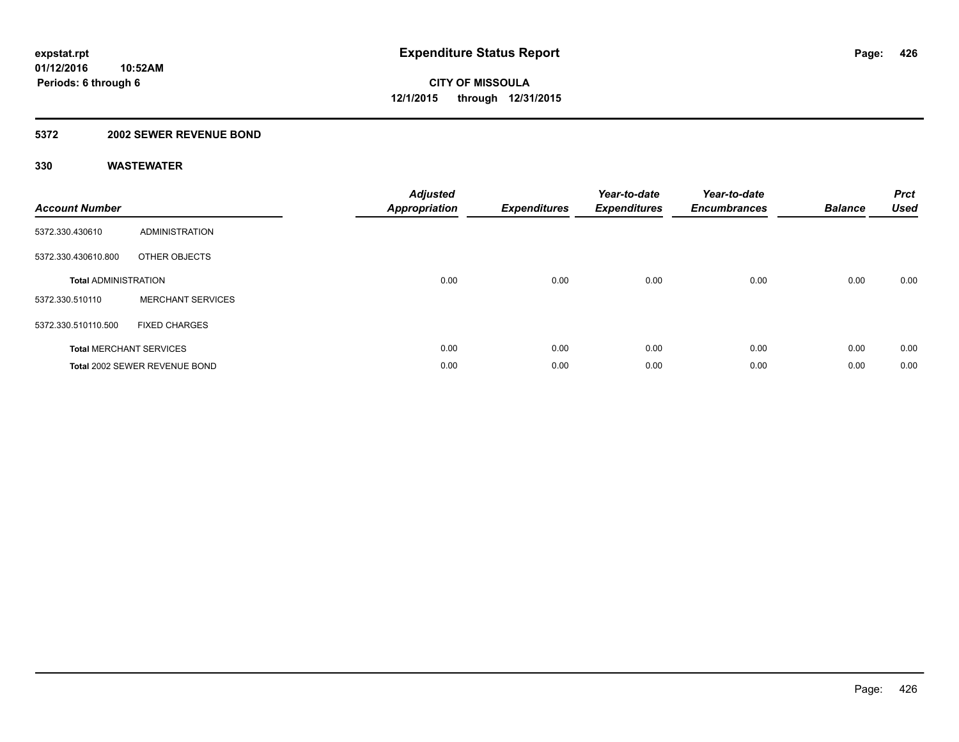### **5372 2002 SEWER REVENUE BOND**

| <b>Account Number</b>       |                                | <b>Adjusted</b><br><b>Appropriation</b> | <b>Expenditures</b> | Year-to-date<br><b>Expenditures</b> | Year-to-date<br><b>Encumbrances</b> | <b>Balance</b> | <b>Prct</b><br><b>Used</b> |
|-----------------------------|--------------------------------|-----------------------------------------|---------------------|-------------------------------------|-------------------------------------|----------------|----------------------------|
| 5372.330.430610             | <b>ADMINISTRATION</b>          |                                         |                     |                                     |                                     |                |                            |
| 5372.330.430610.800         | OTHER OBJECTS                  |                                         |                     |                                     |                                     |                |                            |
| <b>Total ADMINISTRATION</b> |                                | 0.00                                    | 0.00                | 0.00                                | 0.00                                | 0.00           | 0.00                       |
| 5372.330.510110             | <b>MERCHANT SERVICES</b>       |                                         |                     |                                     |                                     |                |                            |
| 5372.330.510110.500         | <b>FIXED CHARGES</b>           |                                         |                     |                                     |                                     |                |                            |
|                             | <b>Total MERCHANT SERVICES</b> | 0.00                                    | 0.00                | 0.00                                | 0.00                                | 0.00           | 0.00                       |
|                             | Total 2002 SEWER REVENUE BOND  | 0.00                                    | 0.00                | 0.00                                | 0.00                                | 0.00           | 0.00                       |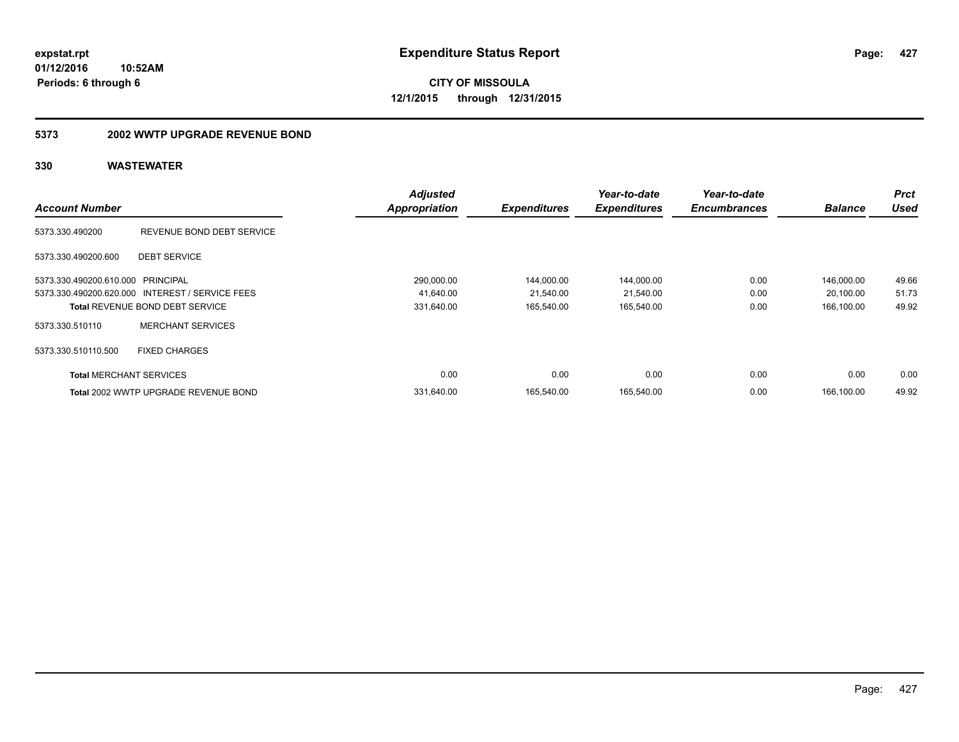**CITY OF MISSOULA 12/1/2015 through 12/31/2015**

### **5373 2002 WWTP UPGRADE REVENUE BOND**

|                                   |                                                 | <b>Adjusted</b>      |                     | Year-to-date        | Year-to-date        |                | <b>Prct</b> |
|-----------------------------------|-------------------------------------------------|----------------------|---------------------|---------------------|---------------------|----------------|-------------|
| <b>Account Number</b>             |                                                 | <b>Appropriation</b> | <b>Expenditures</b> | <b>Expenditures</b> | <b>Encumbrances</b> | <b>Balance</b> | <b>Used</b> |
| 5373.330.490200                   | REVENUE BOND DEBT SERVICE                       |                      |                     |                     |                     |                |             |
| 5373.330.490200.600               | <b>DEBT SERVICE</b>                             |                      |                     |                     |                     |                |             |
| 5373.330.490200.610.000 PRINCIPAL |                                                 | 290,000.00           | 144,000.00          | 144,000.00          | 0.00                | 146,000.00     | 49.66       |
|                                   | 5373.330.490200.620.000 INTEREST / SERVICE FEES | 41,640.00            | 21,540.00           | 21,540.00           | 0.00                | 20,100.00      | 51.73       |
|                                   | <b>Total REVENUE BOND DEBT SERVICE</b>          | 331,640.00           | 165.540.00          | 165,540.00          | 0.00                | 166.100.00     | 49.92       |
| 5373.330.510110                   | <b>MERCHANT SERVICES</b>                        |                      |                     |                     |                     |                |             |
| 5373.330.510110.500               | <b>FIXED CHARGES</b>                            |                      |                     |                     |                     |                |             |
| <b>Total MERCHANT SERVICES</b>    |                                                 | 0.00                 | 0.00                | 0.00                | 0.00                | 0.00           | 0.00        |
|                                   | Total 2002 WWTP UPGRADE REVENUE BOND            | 331.640.00           | 165.540.00          | 165,540.00          | 0.00                | 166.100.00     | 49.92       |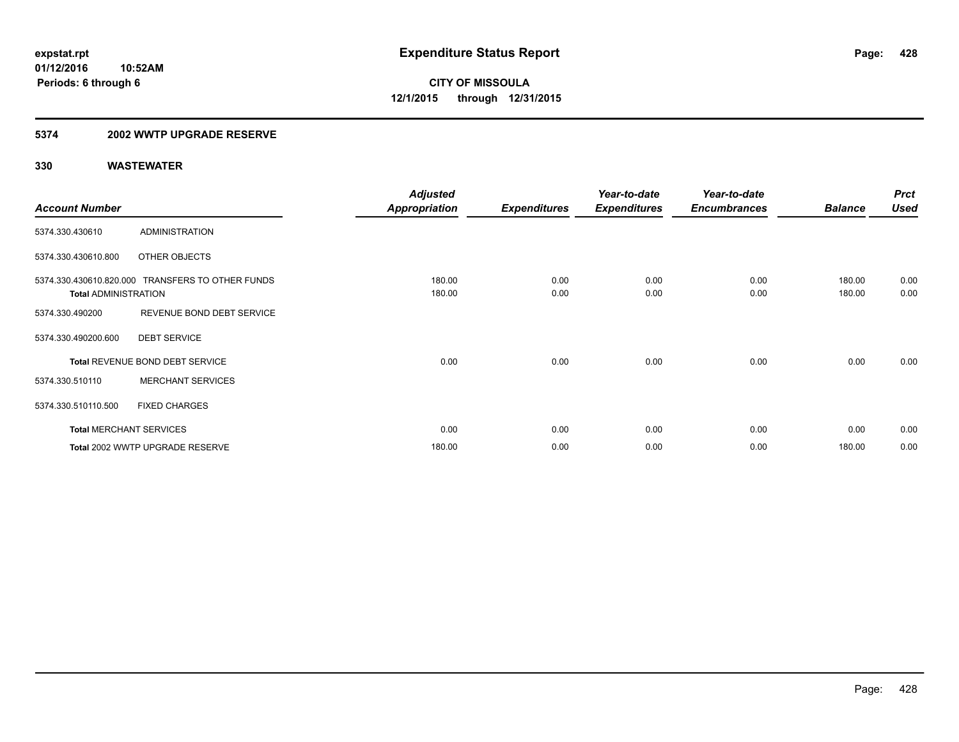### **5374 2002 WWTP UPGRADE RESERVE**

|                             |                                                  | <b>Adjusted</b>      |                     | Year-to-date        | Year-to-date        |                | <b>Prct</b> |
|-----------------------------|--------------------------------------------------|----------------------|---------------------|---------------------|---------------------|----------------|-------------|
| <b>Account Number</b>       |                                                  | <b>Appropriation</b> | <b>Expenditures</b> | <b>Expenditures</b> | <b>Encumbrances</b> | <b>Balance</b> | <b>Used</b> |
| 5374.330.430610             | <b>ADMINISTRATION</b>                            |                      |                     |                     |                     |                |             |
| 5374.330.430610.800         | OTHER OBJECTS                                    |                      |                     |                     |                     |                |             |
|                             | 5374.330.430610.820.000 TRANSFERS TO OTHER FUNDS | 180.00               | 0.00                | 0.00                | 0.00                | 180.00         | 0.00        |
| <b>Total ADMINISTRATION</b> |                                                  | 180.00               | 0.00                | 0.00                | 0.00                | 180.00         | 0.00        |
| 5374.330.490200             | REVENUE BOND DEBT SERVICE                        |                      |                     |                     |                     |                |             |
| 5374.330.490200.600         | <b>DEBT SERVICE</b>                              |                      |                     |                     |                     |                |             |
|                             | Total REVENUE BOND DEBT SERVICE                  | 0.00                 | 0.00                | 0.00                | 0.00                | 0.00           | 0.00        |
| 5374.330.510110             | <b>MERCHANT SERVICES</b>                         |                      |                     |                     |                     |                |             |
| 5374.330.510110.500         | <b>FIXED CHARGES</b>                             |                      |                     |                     |                     |                |             |
|                             | <b>Total MERCHANT SERVICES</b>                   | 0.00                 | 0.00                | 0.00                | 0.00                | 0.00           | 0.00        |
|                             | Total 2002 WWTP UPGRADE RESERVE                  | 180.00               | 0.00                | 0.00                | 0.00                | 180.00         | 0.00        |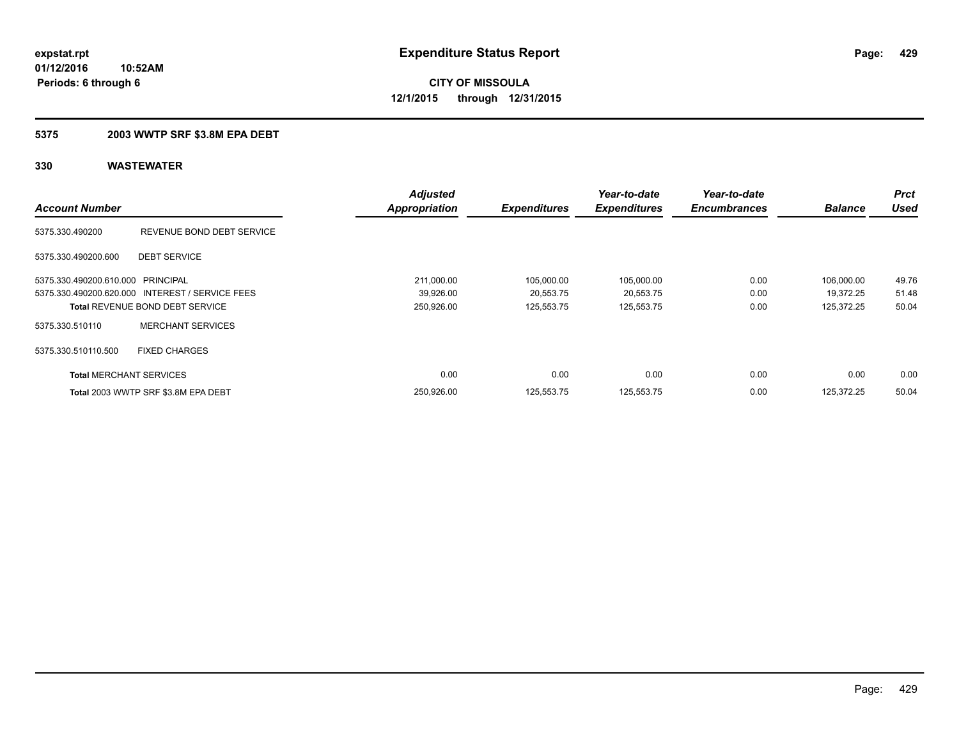### **5375 2003 WWTP SRF \$3.8M EPA DEBT**

|                                   |                                                 | <b>Adjusted</b>      |                     | Year-to-date        | Year-to-date        |                | <b>Prct</b> |
|-----------------------------------|-------------------------------------------------|----------------------|---------------------|---------------------|---------------------|----------------|-------------|
| <b>Account Number</b>             |                                                 | <b>Appropriation</b> | <b>Expenditures</b> | <b>Expenditures</b> | <b>Encumbrances</b> | <b>Balance</b> | <b>Used</b> |
| 5375.330.490200                   | REVENUE BOND DEBT SERVICE                       |                      |                     |                     |                     |                |             |
| 5375.330.490200.600               | <b>DEBT SERVICE</b>                             |                      |                     |                     |                     |                |             |
| 5375.330.490200.610.000 PRINCIPAL |                                                 | 211,000.00           | 105,000.00          | 105,000.00          | 0.00                | 106.000.00     | 49.76       |
|                                   | 5375.330.490200.620.000 INTEREST / SERVICE FEES | 39,926.00            | 20,553.75           | 20,553.75           | 0.00                | 19.372.25      | 51.48       |
|                                   | <b>Total REVENUE BOND DEBT SERVICE</b>          | 250,926.00           | 125,553.75          | 125,553.75          | 0.00                | 125,372.25     | 50.04       |
| 5375.330.510110                   | <b>MERCHANT SERVICES</b>                        |                      |                     |                     |                     |                |             |
| 5375.330.510110.500               | <b>FIXED CHARGES</b>                            |                      |                     |                     |                     |                |             |
| <b>Total MERCHANT SERVICES</b>    |                                                 | 0.00                 | 0.00                | 0.00                | 0.00                | 0.00           | 0.00        |
|                                   | Total 2003 WWTP SRF \$3.8M EPA DEBT             | 250,926.00           | 125,553.75          | 125,553.75          | 0.00                | 125,372.25     | 50.04       |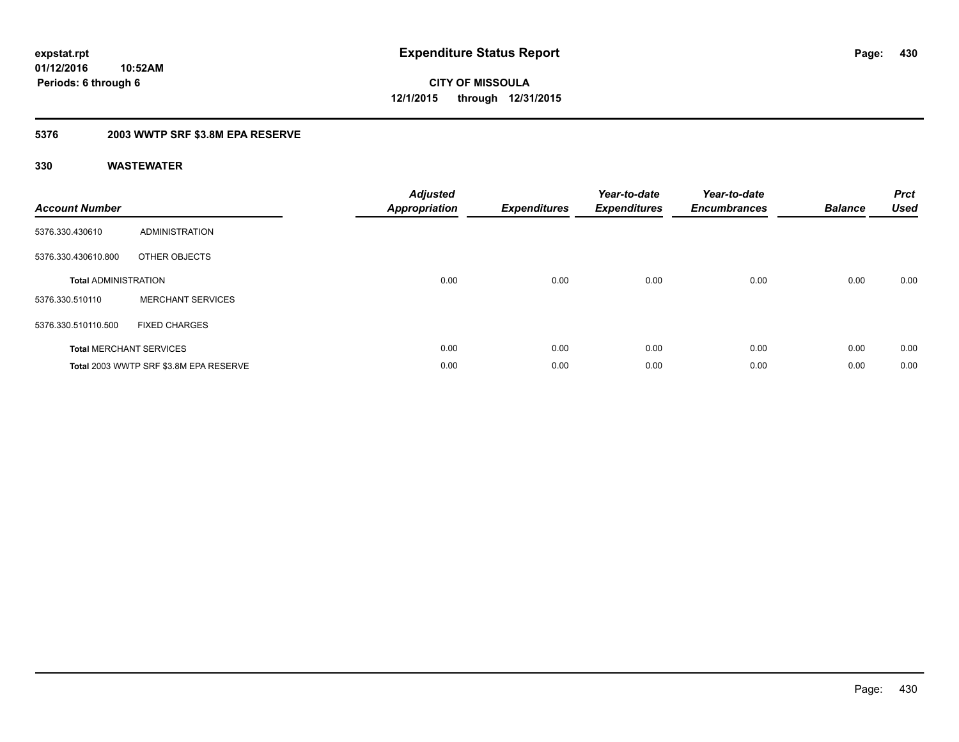### **5376 2003 WWTP SRF \$3.8M EPA RESERVE**

| <b>Account Number</b>       |                                        | <b>Adjusted</b><br>Appropriation | <b>Expenditures</b> | Year-to-date<br><b>Expenditures</b> | Year-to-date<br><b>Encumbrances</b> | <b>Balance</b> | <b>Prct</b><br><b>Used</b> |
|-----------------------------|----------------------------------------|----------------------------------|---------------------|-------------------------------------|-------------------------------------|----------------|----------------------------|
| 5376.330.430610             | ADMINISTRATION                         |                                  |                     |                                     |                                     |                |                            |
| 5376.330.430610.800         | OTHER OBJECTS                          |                                  |                     |                                     |                                     |                |                            |
| <b>Total ADMINISTRATION</b> |                                        | 0.00                             | 0.00                | 0.00                                | 0.00                                | 0.00           | 0.00                       |
| 5376.330.510110             | <b>MERCHANT SERVICES</b>               |                                  |                     |                                     |                                     |                |                            |
| 5376.330.510110.500         | <b>FIXED CHARGES</b>                   |                                  |                     |                                     |                                     |                |                            |
|                             | <b>Total MERCHANT SERVICES</b>         | 0.00                             | 0.00                | 0.00                                | 0.00                                | 0.00           | 0.00                       |
|                             | Total 2003 WWTP SRF \$3.8M EPA RESERVE | 0.00                             | 0.00                | 0.00                                | 0.00                                | 0.00           | 0.00                       |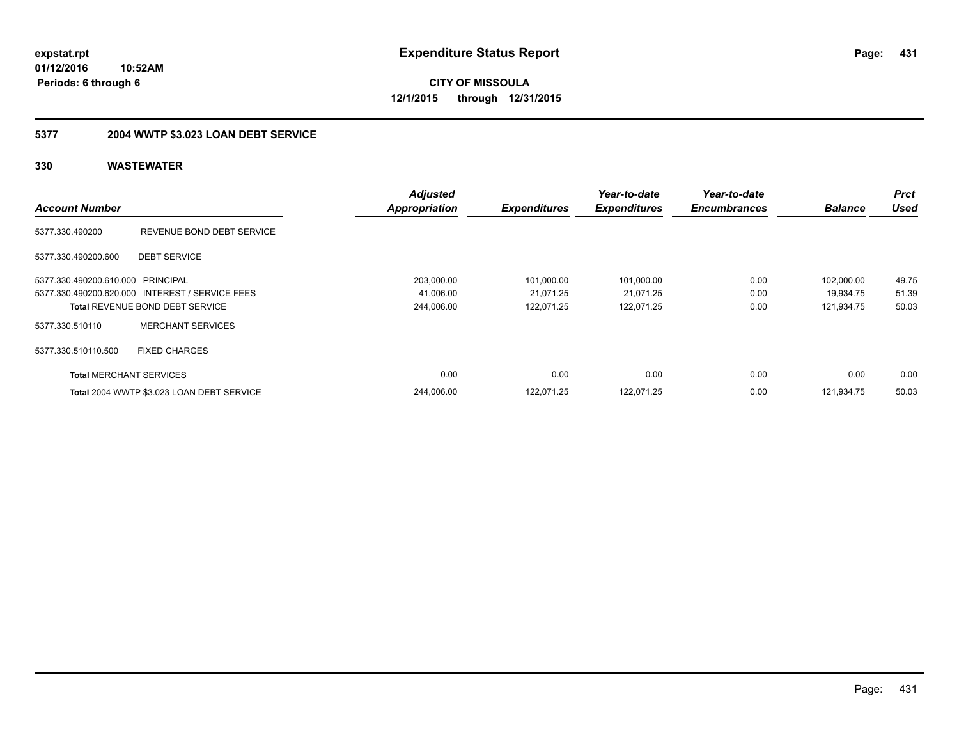**CITY OF MISSOULA 12/1/2015 through 12/31/2015**

## **5377 2004 WWTP \$3.023 LOAN DEBT SERVICE**

|                                   |                                                 | <b>Adjusted</b>      |                     | Year-to-date        | Year-to-date        |                | <b>Prct</b> |
|-----------------------------------|-------------------------------------------------|----------------------|---------------------|---------------------|---------------------|----------------|-------------|
| <b>Account Number</b>             |                                                 | <b>Appropriation</b> | <b>Expenditures</b> | <b>Expenditures</b> | <b>Encumbrances</b> | <b>Balance</b> | Used        |
| 5377.330.490200                   | REVENUE BOND DEBT SERVICE                       |                      |                     |                     |                     |                |             |
| 5377.330.490200.600               | <b>DEBT SERVICE</b>                             |                      |                     |                     |                     |                |             |
| 5377.330.490200.610.000 PRINCIPAL |                                                 | 203,000.00           | 101,000.00          | 101,000.00          | 0.00                | 102,000.00     | 49.75       |
|                                   | 5377.330.490200.620.000 INTEREST / SERVICE FEES | 41,006.00            | 21,071.25           | 21,071.25           | 0.00                | 19,934.75      | 51.39       |
|                                   | <b>Total REVENUE BOND DEBT SERVICE</b>          | 244,006.00           | 122,071.25          | 122,071.25          | 0.00                | 121,934.75     | 50.03       |
| 5377.330.510110                   | <b>MERCHANT SERVICES</b>                        |                      |                     |                     |                     |                |             |
| 5377.330.510110.500               | <b>FIXED CHARGES</b>                            |                      |                     |                     |                     |                |             |
| <b>Total MERCHANT SERVICES</b>    |                                                 | 0.00                 | 0.00                | 0.00                | 0.00                | 0.00           | 0.00        |
|                                   | Total 2004 WWTP \$3.023 LOAN DEBT SERVICE       | 244.006.00           | 122.071.25          | 122.071.25          | 0.00                | 121.934.75     | 50.03       |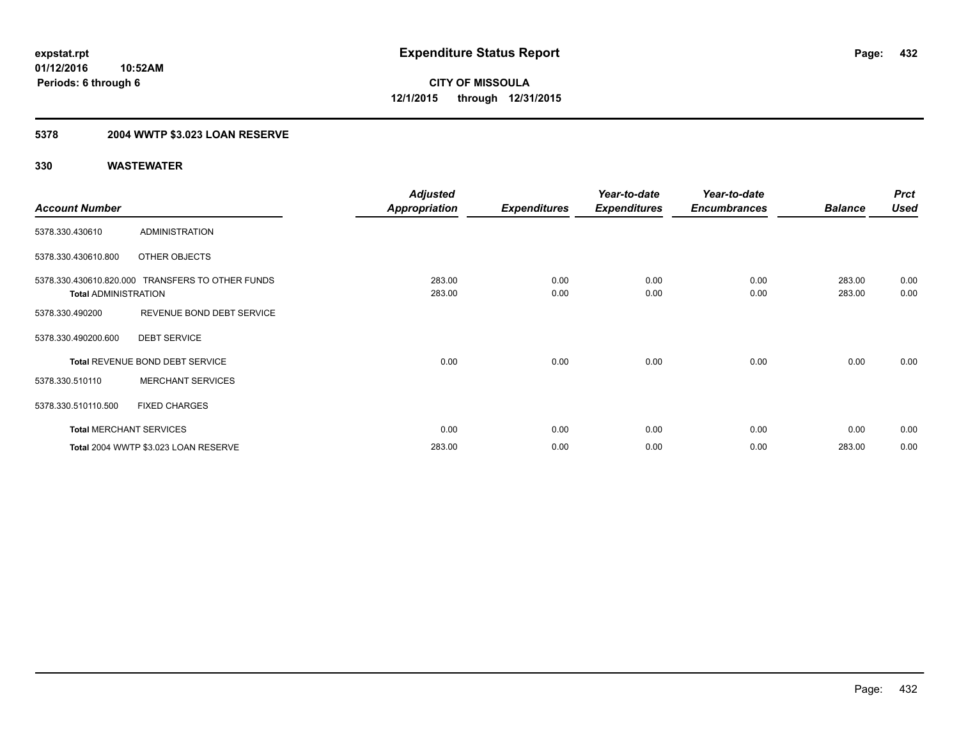## **5378 2004 WWTP \$3.023 LOAN RESERVE**

|                             |                                                  | <b>Adjusted</b>      |                     | Year-to-date        | Year-to-date        |                | <b>Prct</b> |
|-----------------------------|--------------------------------------------------|----------------------|---------------------|---------------------|---------------------|----------------|-------------|
| <b>Account Number</b>       |                                                  | <b>Appropriation</b> | <b>Expenditures</b> | <b>Expenditures</b> | <b>Encumbrances</b> | <b>Balance</b> | <b>Used</b> |
| 5378.330.430610             | <b>ADMINISTRATION</b>                            |                      |                     |                     |                     |                |             |
| 5378.330.430610.800         | OTHER OBJECTS                                    |                      |                     |                     |                     |                |             |
|                             | 5378.330.430610.820.000 TRANSFERS TO OTHER FUNDS | 283.00               | 0.00                | 0.00                | 0.00                | 283.00         | 0.00        |
| <b>Total ADMINISTRATION</b> |                                                  | 283.00               | 0.00                | 0.00                | 0.00                | 283.00         | 0.00        |
| 5378.330.490200             | REVENUE BOND DEBT SERVICE                        |                      |                     |                     |                     |                |             |
| 5378.330.490200.600         | <b>DEBT SERVICE</b>                              |                      |                     |                     |                     |                |             |
|                             | Total REVENUE BOND DEBT SERVICE                  | 0.00                 | 0.00                | 0.00                | 0.00                | 0.00           | 0.00        |
| 5378.330.510110             | <b>MERCHANT SERVICES</b>                         |                      |                     |                     |                     |                |             |
| 5378.330.510110.500         | <b>FIXED CHARGES</b>                             |                      |                     |                     |                     |                |             |
|                             | <b>Total MERCHANT SERVICES</b>                   | 0.00                 | 0.00                | 0.00                | 0.00                | 0.00           | 0.00        |
|                             | Total 2004 WWTP \$3.023 LOAN RESERVE             | 283.00               | 0.00                | 0.00                | 0.00                | 283.00         | 0.00        |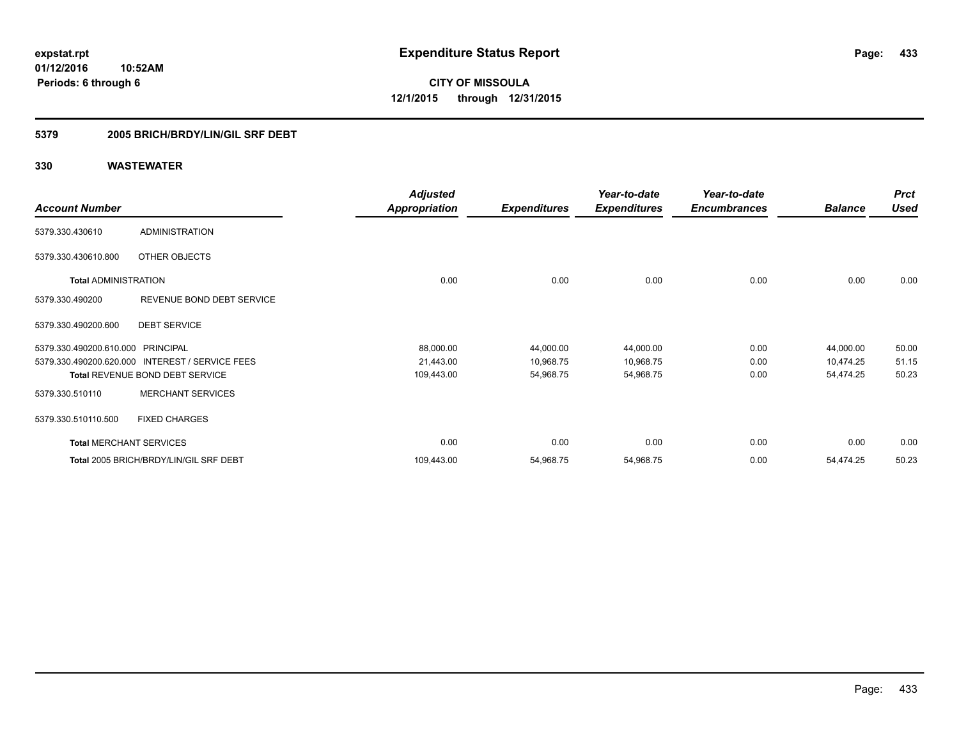## **5379 2005 BRICH/BRDY/LIN/GIL SRF DEBT**

|                                |                                                 | <b>Adjusted</b>      |                     | Year-to-date        | Year-to-date        |                | <b>Prct</b> |
|--------------------------------|-------------------------------------------------|----------------------|---------------------|---------------------|---------------------|----------------|-------------|
| <b>Account Number</b>          |                                                 | <b>Appropriation</b> | <b>Expenditures</b> | <b>Expenditures</b> | <b>Encumbrances</b> | <b>Balance</b> | <b>Used</b> |
| 5379.330.430610                | <b>ADMINISTRATION</b>                           |                      |                     |                     |                     |                |             |
| 5379.330.430610.800            | OTHER OBJECTS                                   |                      |                     |                     |                     |                |             |
| <b>Total ADMINISTRATION</b>    |                                                 | 0.00                 | 0.00                | 0.00                | 0.00                | 0.00           | 0.00        |
| 5379.330.490200                | REVENUE BOND DEBT SERVICE                       |                      |                     |                     |                     |                |             |
| 5379.330.490200.600            | <b>DEBT SERVICE</b>                             |                      |                     |                     |                     |                |             |
| 5379.330.490200.610.000        | PRINCIPAL                                       | 88,000.00            | 44,000.00           | 44,000.00           | 0.00                | 44,000.00      | 50.00       |
|                                | 5379.330.490200.620.000 INTEREST / SERVICE FEES | 21,443.00            | 10,968.75           | 10,968.75           | 0.00                | 10,474.25      | 51.15       |
|                                | <b>Total REVENUE BOND DEBT SERVICE</b>          | 109,443.00           | 54,968.75           | 54,968.75           | 0.00                | 54,474.25      | 50.23       |
| 5379.330.510110                | <b>MERCHANT SERVICES</b>                        |                      |                     |                     |                     |                |             |
| 5379.330.510110.500            | <b>FIXED CHARGES</b>                            |                      |                     |                     |                     |                |             |
| <b>Total MERCHANT SERVICES</b> |                                                 | 0.00                 | 0.00                | 0.00                | 0.00                | 0.00           | 0.00        |
|                                | Total 2005 BRICH/BRDY/LIN/GIL SRF DEBT          | 109,443.00           | 54,968.75           | 54,968.75           | 0.00                | 54,474.25      | 50.23       |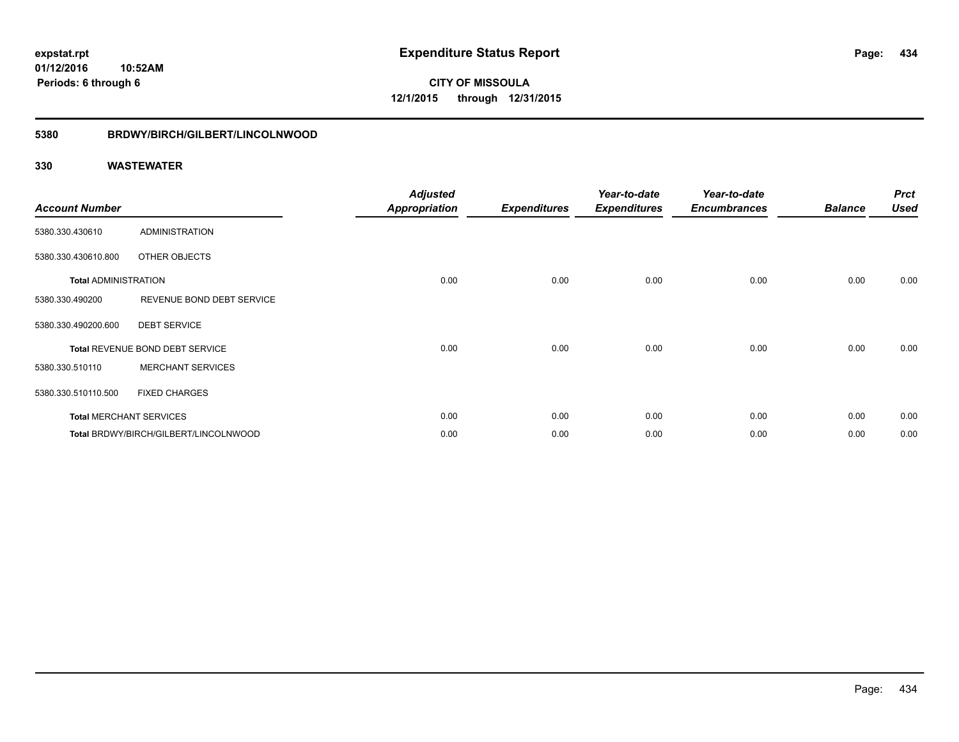## **01/12/2016 10:52AM Periods: 6 through 6**

**CITY OF MISSOULA 12/1/2015 through 12/31/2015**

#### **5380 BRDWY/BIRCH/GILBERT/LINCOLNWOOD**

| <b>Account Number</b>       |                                       | <b>Adjusted</b><br><b>Appropriation</b> | <b>Expenditures</b> | Year-to-date<br><b>Expenditures</b> | Year-to-date<br><b>Encumbrances</b> | <b>Balance</b> | <b>Prct</b><br><b>Used</b> |
|-----------------------------|---------------------------------------|-----------------------------------------|---------------------|-------------------------------------|-------------------------------------|----------------|----------------------------|
| 5380.330.430610             | <b>ADMINISTRATION</b>                 |                                         |                     |                                     |                                     |                |                            |
| 5380.330.430610.800         | OTHER OBJECTS                         |                                         |                     |                                     |                                     |                |                            |
| <b>Total ADMINISTRATION</b> |                                       | 0.00                                    | 0.00                | 0.00                                | 0.00                                | 0.00           | 0.00                       |
| 5380.330.490200             | REVENUE BOND DEBT SERVICE             |                                         |                     |                                     |                                     |                |                            |
| 5380.330.490200.600         | <b>DEBT SERVICE</b>                   |                                         |                     |                                     |                                     |                |                            |
|                             | Total REVENUE BOND DEBT SERVICE       | 0.00                                    | 0.00                | 0.00                                | 0.00                                | 0.00           | 0.00                       |
| 5380.330.510110             | <b>MERCHANT SERVICES</b>              |                                         |                     |                                     |                                     |                |                            |
| 5380.330.510110.500         | <b>FIXED CHARGES</b>                  |                                         |                     |                                     |                                     |                |                            |
|                             | <b>Total MERCHANT SERVICES</b>        | 0.00                                    | 0.00                | 0.00                                | 0.00                                | 0.00           | 0.00                       |
|                             | Total BRDWY/BIRCH/GILBERT/LINCOLNWOOD | 0.00                                    | 0.00                | 0.00                                | 0.00                                | 0.00           | 0.00                       |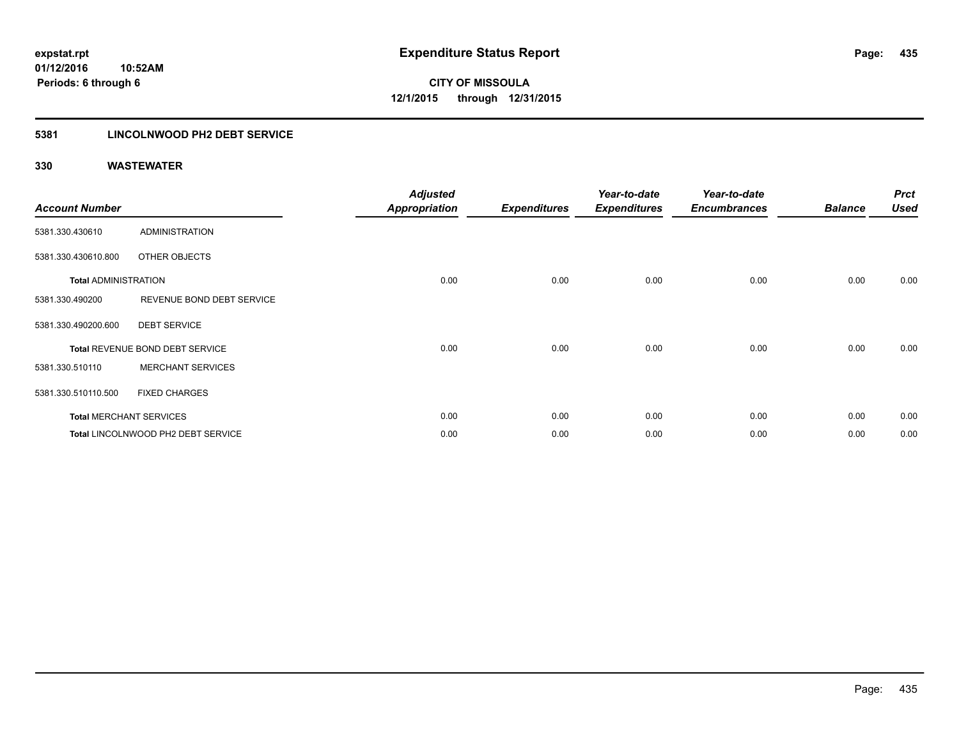## **5381 LINCOLNWOOD PH2 DEBT SERVICE**

| <b>Account Number</b>       |                                    | <b>Adjusted</b><br><b>Appropriation</b> | <b>Expenditures</b> | Year-to-date<br><b>Expenditures</b> | Year-to-date<br><b>Encumbrances</b> | <b>Balance</b> | <b>Prct</b><br><b>Used</b> |
|-----------------------------|------------------------------------|-----------------------------------------|---------------------|-------------------------------------|-------------------------------------|----------------|----------------------------|
| 5381.330.430610             | <b>ADMINISTRATION</b>              |                                         |                     |                                     |                                     |                |                            |
| 5381.330.430610.800         | OTHER OBJECTS                      |                                         |                     |                                     |                                     |                |                            |
| <b>Total ADMINISTRATION</b> |                                    | 0.00                                    | 0.00                | 0.00                                | 0.00                                | 0.00           | 0.00                       |
| 5381.330.490200             | REVENUE BOND DEBT SERVICE          |                                         |                     |                                     |                                     |                |                            |
| 5381.330.490200.600         | <b>DEBT SERVICE</b>                |                                         |                     |                                     |                                     |                |                            |
|                             | Total REVENUE BOND DEBT SERVICE    | 0.00                                    | 0.00                | 0.00                                | 0.00                                | 0.00           | 0.00                       |
| 5381.330.510110             | <b>MERCHANT SERVICES</b>           |                                         |                     |                                     |                                     |                |                            |
| 5381.330.510110.500         | <b>FIXED CHARGES</b>               |                                         |                     |                                     |                                     |                |                            |
|                             | <b>Total MERCHANT SERVICES</b>     | 0.00                                    | 0.00                | 0.00                                | 0.00                                | 0.00           | 0.00                       |
|                             | Total LINCOLNWOOD PH2 DEBT SERVICE | 0.00                                    | 0.00                | 0.00                                | 0.00                                | 0.00           | 0.00                       |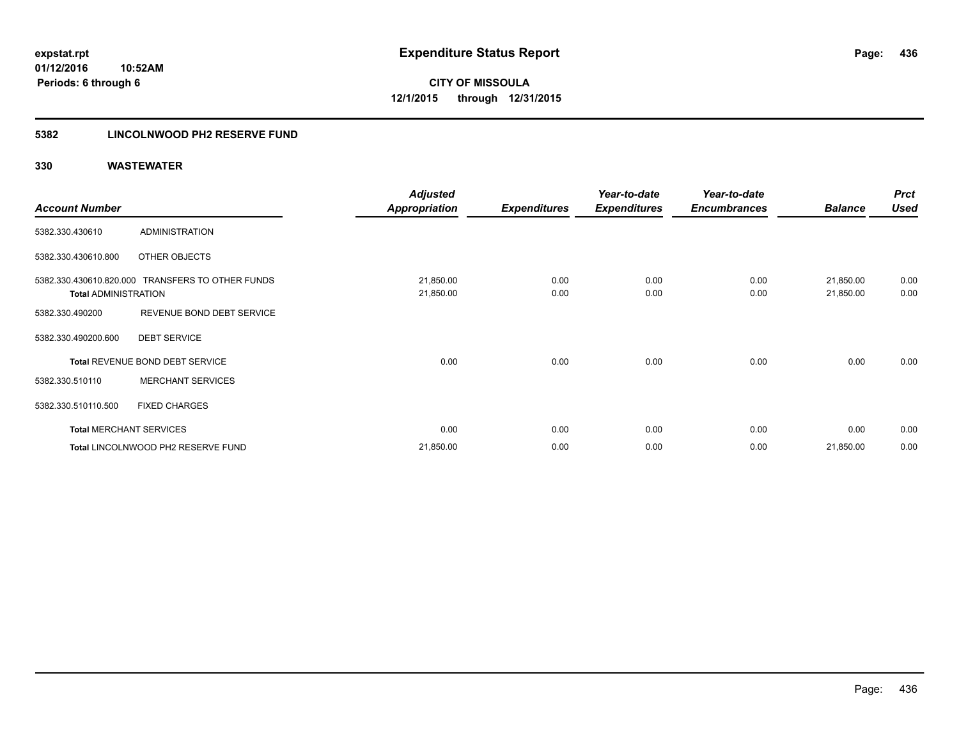## **5382 LINCOLNWOOD PH2 RESERVE FUND**

|                             |                                                  | <b>Adjusted</b>      |                     | Year-to-date        | Year-to-date        |                | <b>Prct</b> |
|-----------------------------|--------------------------------------------------|----------------------|---------------------|---------------------|---------------------|----------------|-------------|
| <b>Account Number</b>       |                                                  | <b>Appropriation</b> | <b>Expenditures</b> | <b>Expenditures</b> | <b>Encumbrances</b> | <b>Balance</b> | <b>Used</b> |
| 5382.330.430610             | <b>ADMINISTRATION</b>                            |                      |                     |                     |                     |                |             |
| 5382.330.430610.800         | OTHER OBJECTS                                    |                      |                     |                     |                     |                |             |
|                             | 5382.330.430610.820.000 TRANSFERS TO OTHER FUNDS | 21,850.00            | 0.00                | 0.00                | 0.00                | 21,850.00      | 0.00        |
| <b>Total ADMINISTRATION</b> |                                                  | 21,850.00            | 0.00                | 0.00                | 0.00                | 21,850.00      | 0.00        |
| 5382.330.490200             | REVENUE BOND DEBT SERVICE                        |                      |                     |                     |                     |                |             |
| 5382.330.490200.600         | <b>DEBT SERVICE</b>                              |                      |                     |                     |                     |                |             |
|                             | Total REVENUE BOND DEBT SERVICE                  | 0.00                 | 0.00                | 0.00                | 0.00                | 0.00           | 0.00        |
| 5382.330.510110             | <b>MERCHANT SERVICES</b>                         |                      |                     |                     |                     |                |             |
| 5382.330.510110.500         | <b>FIXED CHARGES</b>                             |                      |                     |                     |                     |                |             |
|                             | <b>Total MERCHANT SERVICES</b>                   | 0.00                 | 0.00                | 0.00                | 0.00                | 0.00           | 0.00        |
|                             | Total LINCOLNWOOD PH2 RESERVE FUND               | 21,850.00            | 0.00                | 0.00                | 0.00                | 21,850.00      | 0.00        |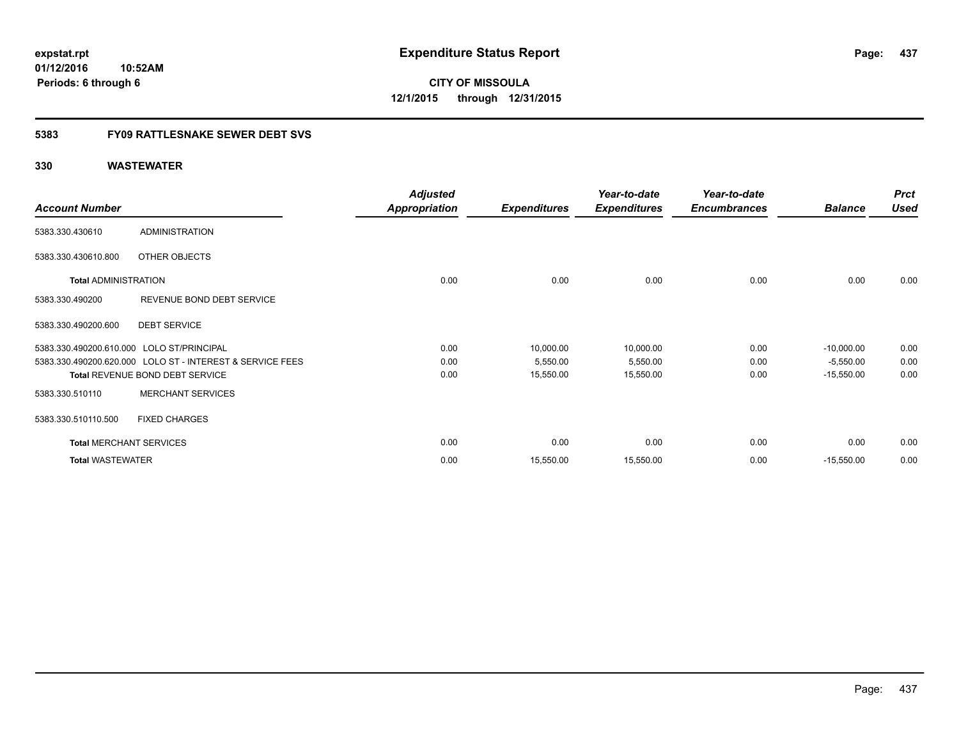**01/12/2016 10:52AM Periods: 6 through 6**

**CITY OF MISSOULA 12/1/2015 through 12/31/2015**

## **5383 FY09 RATTLESNAKE SEWER DEBT SVS**

|                                |                                                           | <b>Adjusted</b>      |                     | Year-to-date        | Year-to-date        |                | <b>Prct</b> |
|--------------------------------|-----------------------------------------------------------|----------------------|---------------------|---------------------|---------------------|----------------|-------------|
| <b>Account Number</b>          |                                                           | <b>Appropriation</b> | <b>Expenditures</b> | <b>Expenditures</b> | <b>Encumbrances</b> | <b>Balance</b> | <b>Used</b> |
| 5383.330.430610                | <b>ADMINISTRATION</b>                                     |                      |                     |                     |                     |                |             |
| 5383.330.430610.800            | OTHER OBJECTS                                             |                      |                     |                     |                     |                |             |
| <b>Total ADMINISTRATION</b>    |                                                           | 0.00                 | 0.00                | 0.00                | 0.00                | 0.00           | 0.00        |
| 5383.330.490200                | REVENUE BOND DEBT SERVICE                                 |                      |                     |                     |                     |                |             |
| 5383.330.490200.600            | <b>DEBT SERVICE</b>                                       |                      |                     |                     |                     |                |             |
|                                | 5383.330.490200.610.000 LOLO ST/PRINCIPAL                 | 0.00                 | 10,000.00           | 10,000.00           | 0.00                | $-10,000.00$   | 0.00        |
|                                | 5383.330.490200.620.000 LOLO ST - INTEREST & SERVICE FEES | 0.00                 | 5,550.00            | 5,550.00            | 0.00                | $-5,550.00$    | 0.00        |
|                                | Total REVENUE BOND DEBT SERVICE                           | 0.00                 | 15,550.00           | 15,550.00           | 0.00                | $-15,550.00$   | 0.00        |
| 5383.330.510110                | <b>MERCHANT SERVICES</b>                                  |                      |                     |                     |                     |                |             |
| 5383.330.510110.500            | <b>FIXED CHARGES</b>                                      |                      |                     |                     |                     |                |             |
| <b>Total MERCHANT SERVICES</b> |                                                           | 0.00                 | 0.00                | 0.00                | 0.00                | 0.00           | 0.00        |
| <b>Total WASTEWATER</b>        |                                                           | 0.00                 | 15,550.00           | 15,550.00           | 0.00                | $-15,550.00$   | 0.00        |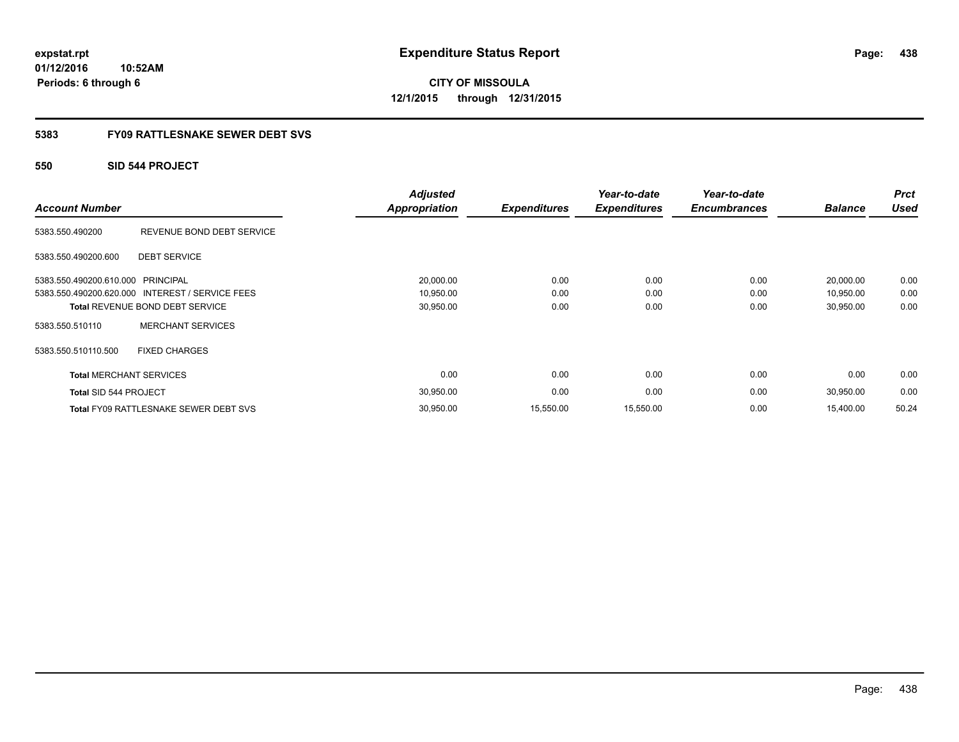**01/12/2016 10:52AM Periods: 6 through 6**

**CITY OF MISSOULA 12/1/2015 through 12/31/2015**

## **5383 FY09 RATTLESNAKE SEWER DEBT SVS**

## **550 SID 544 PROJECT**

| <b>Account Number</b>             |                                                 | <b>Adjusted</b><br><b>Appropriation</b> | <b>Expenditures</b> | Year-to-date<br><b>Expenditures</b> | Year-to-date<br><b>Encumbrances</b> | <b>Balance</b> | <b>Prct</b><br><b>Used</b> |
|-----------------------------------|-------------------------------------------------|-----------------------------------------|---------------------|-------------------------------------|-------------------------------------|----------------|----------------------------|
|                                   |                                                 |                                         |                     |                                     |                                     |                |                            |
| 5383.550.490200                   | REVENUE BOND DEBT SERVICE                       |                                         |                     |                                     |                                     |                |                            |
| 5383.550.490200.600               | <b>DEBT SERVICE</b>                             |                                         |                     |                                     |                                     |                |                            |
| 5383.550.490200.610.000 PRINCIPAL |                                                 | 20,000.00                               | 0.00                | 0.00                                | 0.00                                | 20,000.00      | 0.00                       |
|                                   | 5383.550.490200.620.000 INTEREST / SERVICE FEES | 10,950.00                               | 0.00                | 0.00                                | 0.00                                | 10,950.00      | 0.00                       |
|                                   | <b>Total REVENUE BOND DEBT SERVICE</b>          | 30,950.00                               | 0.00                | 0.00                                | 0.00                                | 30,950.00      | 0.00                       |
| 5383.550.510110                   | <b>MERCHANT SERVICES</b>                        |                                         |                     |                                     |                                     |                |                            |
| 5383.550.510110.500               | <b>FIXED CHARGES</b>                            |                                         |                     |                                     |                                     |                |                            |
| <b>Total MERCHANT SERVICES</b>    |                                                 | 0.00                                    | 0.00                | 0.00                                | 0.00                                | 0.00           | 0.00                       |
| Total SID 544 PROJECT             |                                                 | 30,950.00                               | 0.00                | 0.00                                | 0.00                                | 30,950.00      | 0.00                       |
|                                   | <b>Total FY09 RATTLESNAKE SEWER DEBT SVS</b>    | 30,950.00                               | 15,550.00           | 15,550.00                           | 0.00                                | 15,400.00      | 50.24                      |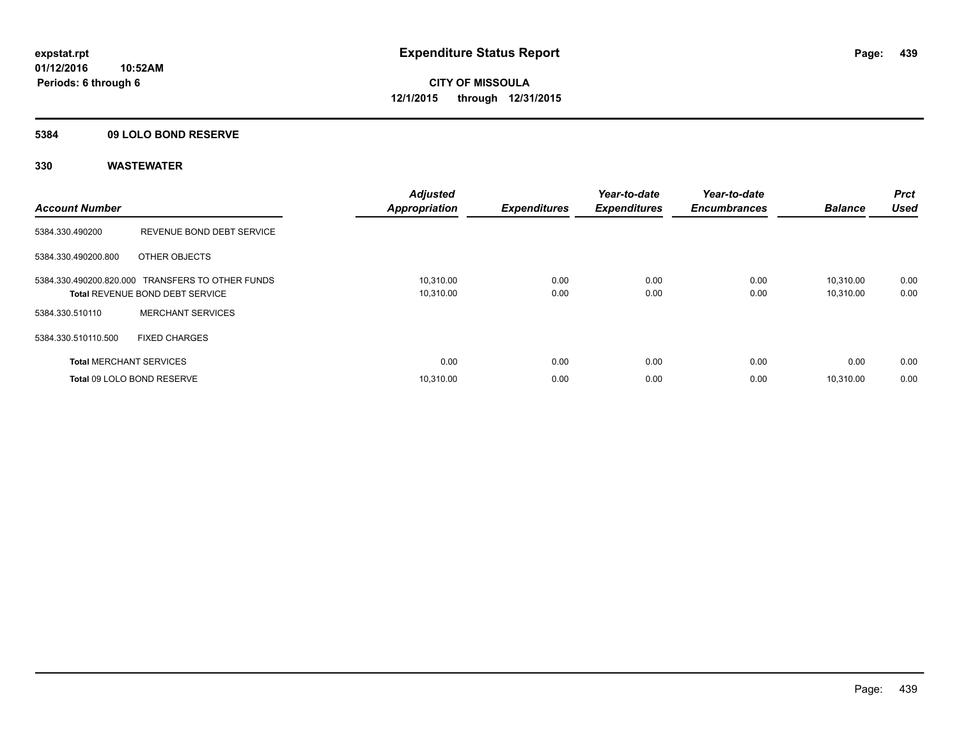## **5384 09 LOLO BOND RESERVE**

| <b>Account Number</b> |                                                                                            | <b>Adjusted</b><br><b>Appropriation</b> | <b>Expenditures</b> | Year-to-date<br><b>Expenditures</b> | Year-to-date<br><b>Encumbrances</b> | <b>Balance</b>         | <b>Prct</b><br><b>Used</b> |
|-----------------------|--------------------------------------------------------------------------------------------|-----------------------------------------|---------------------|-------------------------------------|-------------------------------------|------------------------|----------------------------|
| 5384.330.490200       | REVENUE BOND DEBT SERVICE                                                                  |                                         |                     |                                     |                                     |                        |                            |
| 5384.330.490200.800   | OTHER OBJECTS                                                                              |                                         |                     |                                     |                                     |                        |                            |
|                       | 5384.330.490200.820.000 TRANSFERS TO OTHER FUNDS<br><b>Total REVENUE BOND DEBT SERVICE</b> | 10,310.00<br>10,310.00                  | 0.00<br>0.00        | 0.00<br>0.00                        | 0.00<br>0.00                        | 10.310.00<br>10,310.00 | 0.00<br>0.00               |
| 5384.330.510110       | <b>MERCHANT SERVICES</b>                                                                   |                                         |                     |                                     |                                     |                        |                            |
| 5384.330.510110.500   | <b>FIXED CHARGES</b>                                                                       |                                         |                     |                                     |                                     |                        |                            |
|                       | <b>Total MERCHANT SERVICES</b>                                                             | 0.00                                    | 0.00                | 0.00                                | 0.00                                | 0.00                   | 0.00                       |
|                       | Total 09 LOLO BOND RESERVE                                                                 | 10.310.00                               | 0.00                | 0.00                                | 0.00                                | 10.310.00              | 0.00                       |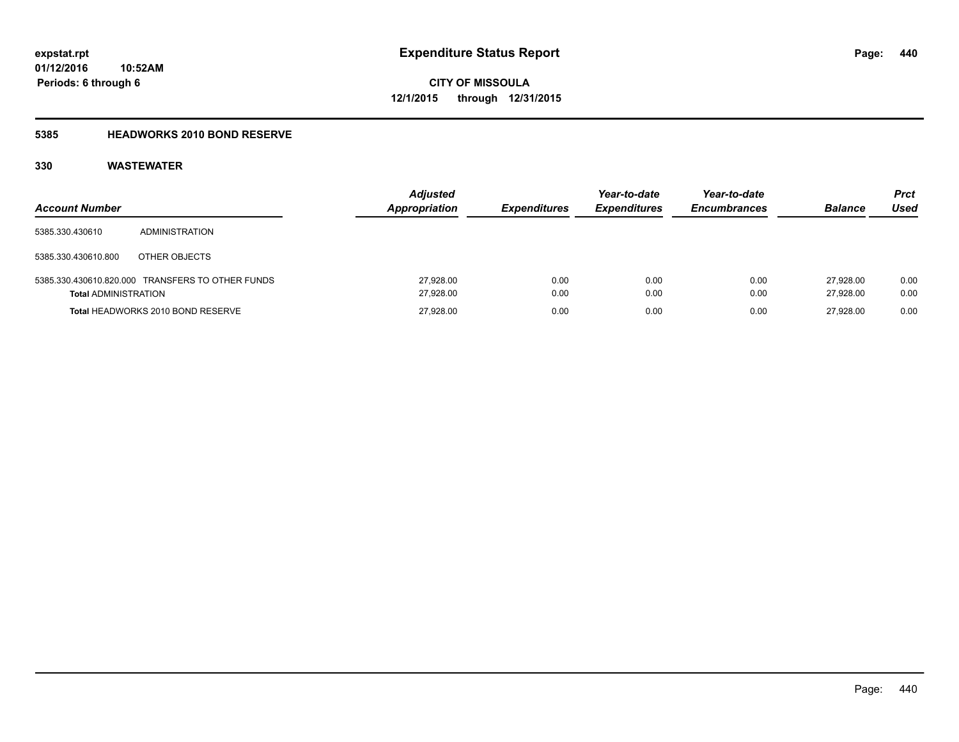## **5385 HEADWORKS 2010 BOND RESERVE**

| <b>Account Number</b>       |                                                  | <b>Adjusted</b><br>Appropriation | <b>Expenditures</b> | Year-to-date<br><b>Expenditures</b> | Year-to-date<br><b>Encumbrances</b> | <b>Balance</b>         | <b>Prct</b><br>Used |
|-----------------------------|--------------------------------------------------|----------------------------------|---------------------|-------------------------------------|-------------------------------------|------------------------|---------------------|
| 5385.330.430610             | ADMINISTRATION                                   |                                  |                     |                                     |                                     |                        |                     |
| 5385.330.430610.800         | OTHER OBJECTS                                    |                                  |                     |                                     |                                     |                        |                     |
| <b>Total ADMINISTRATION</b> | 5385.330.430610.820.000 TRANSFERS TO OTHER FUNDS | 27,928.00<br>27.928.00           | 0.00<br>0.00        | 0.00<br>0.00                        | 0.00<br>0.00                        | 27.928.00<br>27.928.00 | 0.00<br>0.00        |
|                             | Total HEADWORKS 2010 BOND RESERVE                | 27.928.00                        | 0.00                | 0.00                                | 0.00                                | 27.928.00              | 0.00                |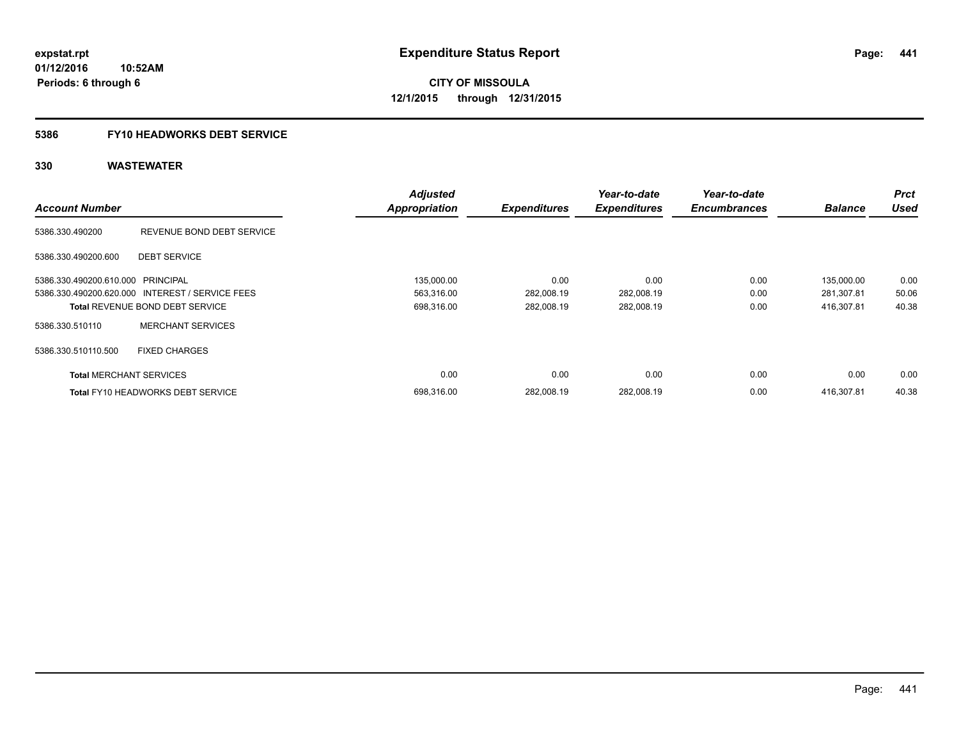# **5386 FY10 HEADWORKS DEBT SERVICE**

|                                   |                                                 | <b>Adjusted</b>      |                     | Year-to-date        | Year-to-date        |                | <b>Prct</b> |
|-----------------------------------|-------------------------------------------------|----------------------|---------------------|---------------------|---------------------|----------------|-------------|
| <b>Account Number</b>             |                                                 | <b>Appropriation</b> | <b>Expenditures</b> | <b>Expenditures</b> | <b>Encumbrances</b> | <b>Balance</b> | <b>Used</b> |
| 5386.330.490200                   | REVENUE BOND DEBT SERVICE                       |                      |                     |                     |                     |                |             |
| 5386.330.490200.600               | <b>DEBT SERVICE</b>                             |                      |                     |                     |                     |                |             |
| 5386.330.490200.610.000 PRINCIPAL |                                                 | 135,000.00           | 0.00                | 0.00                | 0.00                | 135,000.00     | 0.00        |
|                                   | 5386.330.490200.620.000 INTEREST / SERVICE FEES | 563,316.00           | 282,008.19          | 282,008.19          | 0.00                | 281,307.81     | 50.06       |
|                                   | <b>Total REVENUE BOND DEBT SERVICE</b>          | 698,316.00           | 282,008.19          | 282,008.19          | 0.00                | 416,307.81     | 40.38       |
| 5386.330.510110                   | <b>MERCHANT SERVICES</b>                        |                      |                     |                     |                     |                |             |
| 5386.330.510110.500               | <b>FIXED CHARGES</b>                            |                      |                     |                     |                     |                |             |
| <b>Total MERCHANT SERVICES</b>    |                                                 | 0.00                 | 0.00                | 0.00                | 0.00                | 0.00           | 0.00        |
|                                   | <b>Total FY10 HEADWORKS DEBT SERVICE</b>        | 698.316.00           | 282.008.19          | 282.008.19          | 0.00                | 416.307.81     | 40.38       |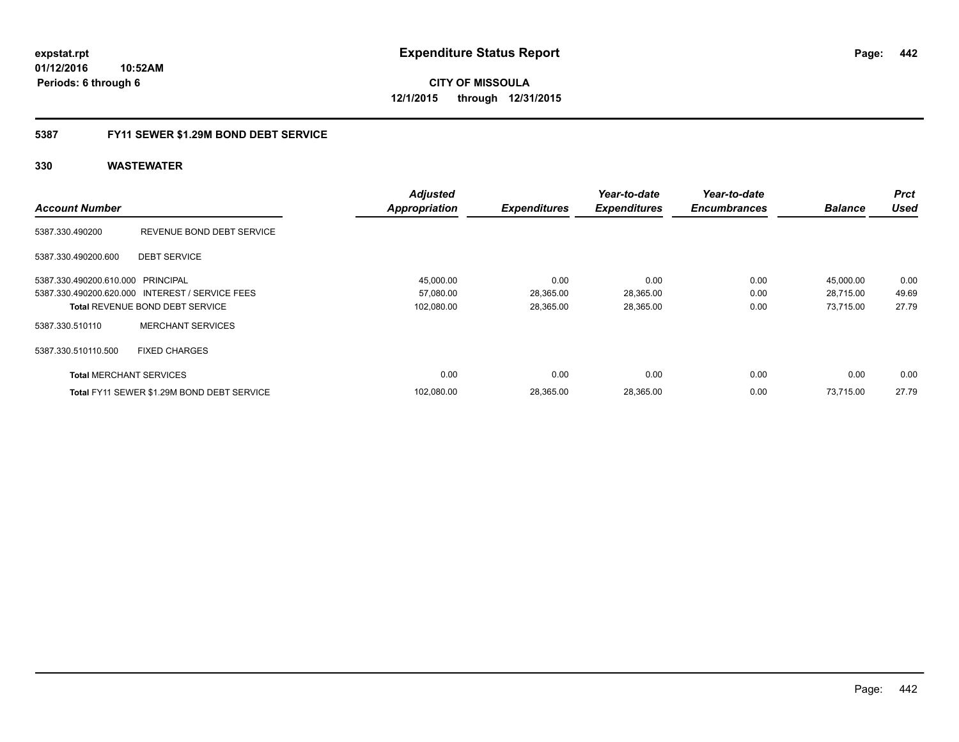**01/12/2016 10:52AM Periods: 6 through 6**

**CITY OF MISSOULA 12/1/2015 through 12/31/2015**

## **5387 FY11 SEWER \$1.29M BOND DEBT SERVICE**

|                                   |                                                 | <b>Adjusted</b>      |                     | Year-to-date        | Year-to-date        |                | <b>Prct</b> |
|-----------------------------------|-------------------------------------------------|----------------------|---------------------|---------------------|---------------------|----------------|-------------|
| <b>Account Number</b>             |                                                 | <b>Appropriation</b> | <b>Expenditures</b> | <b>Expenditures</b> | <b>Encumbrances</b> | <b>Balance</b> | <b>Used</b> |
| 5387.330.490200                   | REVENUE BOND DEBT SERVICE                       |                      |                     |                     |                     |                |             |
| 5387.330.490200.600               | <b>DEBT SERVICE</b>                             |                      |                     |                     |                     |                |             |
| 5387.330.490200.610.000 PRINCIPAL |                                                 | 45,000.00            | 0.00                | 0.00                | 0.00                | 45,000.00      | 0.00        |
|                                   | 5387.330.490200.620.000 INTEREST / SERVICE FEES | 57,080.00            | 28,365.00           | 28,365.00           | 0.00                | 28,715.00      | 49.69       |
|                                   | <b>Total REVENUE BOND DEBT SERVICE</b>          | 102,080.00           | 28,365.00           | 28,365.00           | 0.00                | 73,715.00      | 27.79       |
| 5387.330.510110                   | <b>MERCHANT SERVICES</b>                        |                      |                     |                     |                     |                |             |
| 5387.330.510110.500               | <b>FIXED CHARGES</b>                            |                      |                     |                     |                     |                |             |
| <b>Total MERCHANT SERVICES</b>    |                                                 | 0.00                 | 0.00                | 0.00                | 0.00                | 0.00           | 0.00        |
|                                   | Total FY11 SEWER \$1.29M BOND DEBT SERVICE      | 102,080.00           | 28,365.00           | 28,365.00           | 0.00                | 73,715.00      | 27.79       |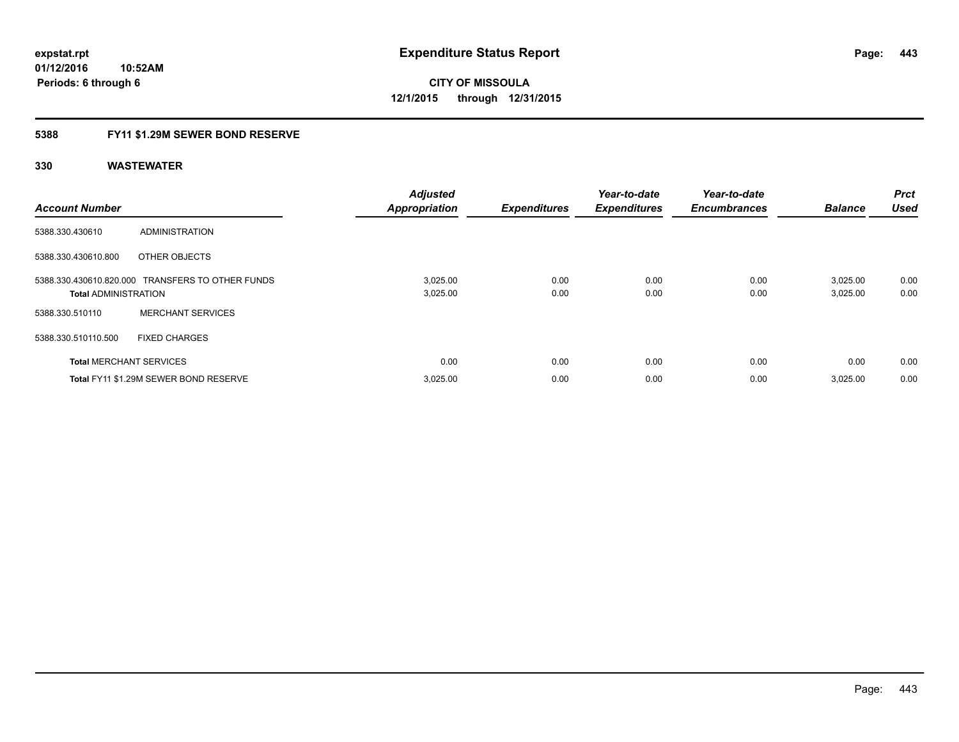## **5388 FY11 \$1.29M SEWER BOND RESERVE**

| <b>Account Number</b>          |                                                  | <b>Adjusted</b><br><b>Appropriation</b> | <b>Expenditures</b> | Year-to-date<br><b>Expenditures</b> | Year-to-date<br><b>Encumbrances</b> | <b>Balance</b>       | Prct<br><b>Used</b> |
|--------------------------------|--------------------------------------------------|-----------------------------------------|---------------------|-------------------------------------|-------------------------------------|----------------------|---------------------|
| 5388.330.430610                | ADMINISTRATION                                   |                                         |                     |                                     |                                     |                      |                     |
| 5388.330.430610.800            | OTHER OBJECTS                                    |                                         |                     |                                     |                                     |                      |                     |
| <b>Total ADMINISTRATION</b>    | 5388.330.430610.820.000 TRANSFERS TO OTHER FUNDS | 3,025.00<br>3,025.00                    | 0.00<br>0.00        | 0.00<br>0.00                        | 0.00<br>0.00                        | 3,025.00<br>3,025.00 | 0.00<br>0.00        |
| 5388.330.510110                | <b>MERCHANT SERVICES</b>                         |                                         |                     |                                     |                                     |                      |                     |
| 5388.330.510110.500            | <b>FIXED CHARGES</b>                             |                                         |                     |                                     |                                     |                      |                     |
| <b>Total MERCHANT SERVICES</b> |                                                  | 0.00                                    | 0.00                | 0.00                                | 0.00                                | 0.00                 | 0.00                |
|                                | Total FY11 \$1.29M SEWER BOND RESERVE            | 3,025.00                                | 0.00                | 0.00                                | 0.00                                | 3,025.00             | 0.00                |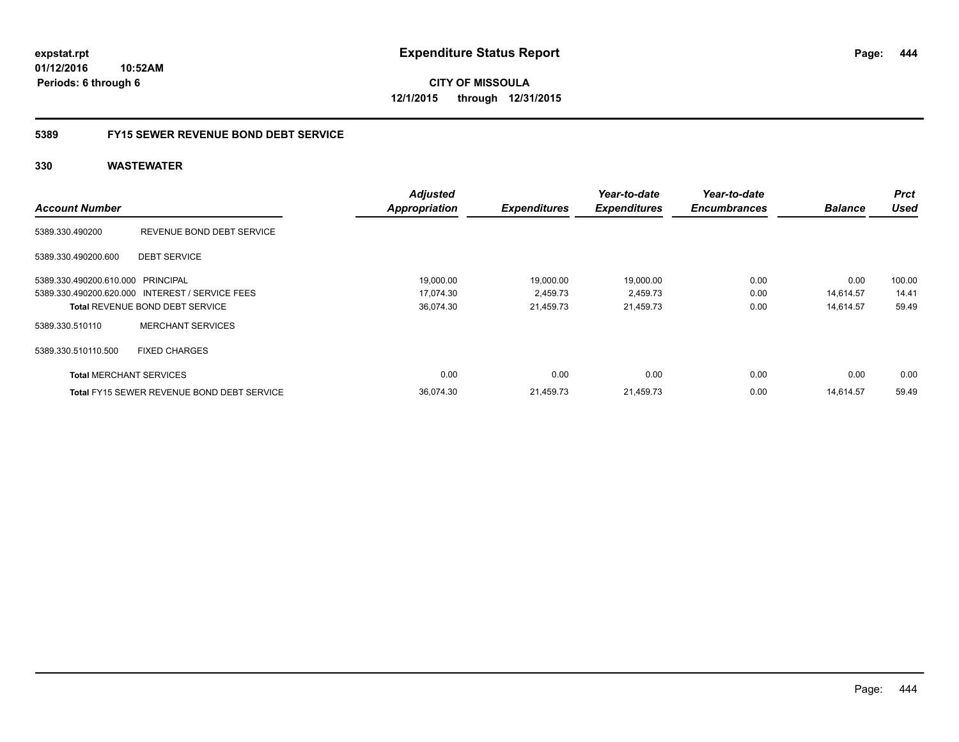**01/12/2016 10:52AM Periods: 6 through 6**

**CITY OF MISSOULA 12/1/2015 through 12/31/2015**

## **5389 FY15 SEWER REVENUE BOND DEBT SERVICE**

|                                   |                                                   | <b>Adjusted</b>      |                     | Year-to-date        | Year-to-date        |                | <b>Prct</b> |
|-----------------------------------|---------------------------------------------------|----------------------|---------------------|---------------------|---------------------|----------------|-------------|
| <b>Account Number</b>             |                                                   | <b>Appropriation</b> | <b>Expenditures</b> | <b>Expenditures</b> | <b>Encumbrances</b> | <b>Balance</b> | <b>Used</b> |
| 5389.330.490200                   | REVENUE BOND DEBT SERVICE                         |                      |                     |                     |                     |                |             |
| 5389.330.490200.600               | <b>DEBT SERVICE</b>                               |                      |                     |                     |                     |                |             |
| 5389.330.490200.610.000 PRINCIPAL |                                                   | 19,000.00            | 19,000.00           | 19,000.00           | 0.00                | 0.00           | 100.00      |
|                                   | 5389.330.490200.620.000 INTEREST / SERVICE FEES   | 17.074.30            | 2,459.73            | 2,459.73            | 0.00                | 14.614.57      | 14.41       |
|                                   | <b>Total REVENUE BOND DEBT SERVICE</b>            | 36,074.30            | 21,459.73           | 21,459.73           | 0.00                | 14,614.57      | 59.49       |
| 5389.330.510110                   | <b>MERCHANT SERVICES</b>                          |                      |                     |                     |                     |                |             |
| 5389.330.510110.500               | <b>FIXED CHARGES</b>                              |                      |                     |                     |                     |                |             |
| <b>Total MERCHANT SERVICES</b>    |                                                   | 0.00                 | 0.00                | 0.00                | 0.00                | 0.00           | 0.00        |
|                                   | <b>Total FY15 SEWER REVENUE BOND DEBT SERVICE</b> | 36,074.30            | 21,459.73           | 21,459.73           | 0.00                | 14.614.57      | 59.49       |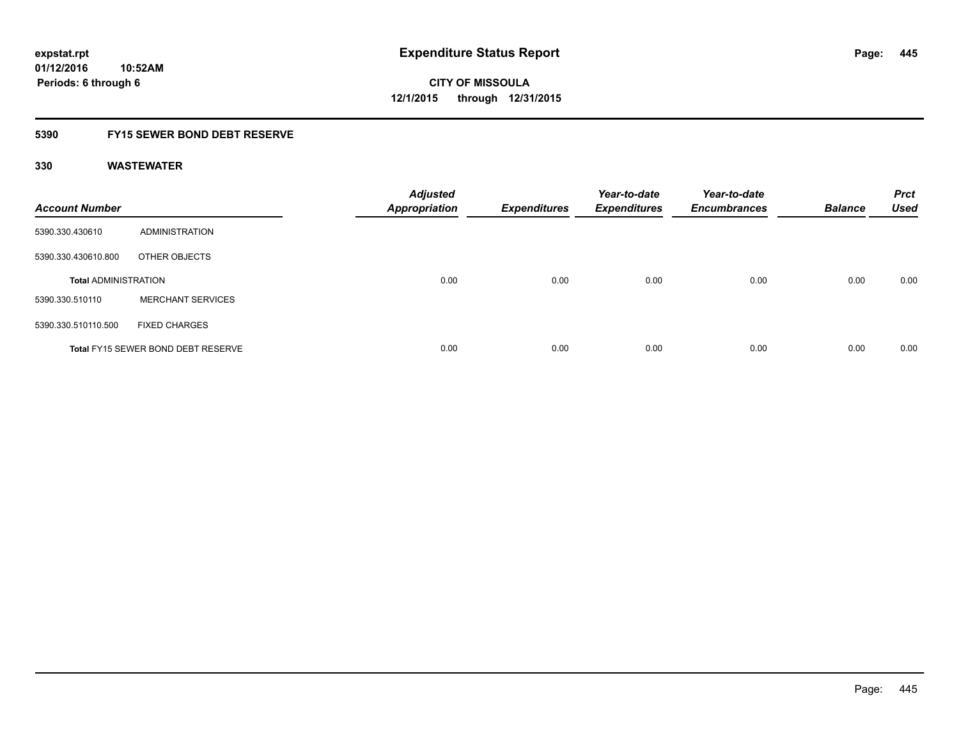## **5390 FY15 SEWER BOND DEBT RESERVE**

| <b>Account Number</b>       |                                           | <b>Adjusted</b><br><b>Appropriation</b> | <b>Expenditures</b> | Year-to-date<br><b>Expenditures</b> | Year-to-date<br><b>Encumbrances</b> | <b>Balance</b> | <b>Prct</b><br><b>Used</b> |
|-----------------------------|-------------------------------------------|-----------------------------------------|---------------------|-------------------------------------|-------------------------------------|----------------|----------------------------|
| 5390.330.430610             | ADMINISTRATION                            |                                         |                     |                                     |                                     |                |                            |
| 5390.330.430610.800         | OTHER OBJECTS                             |                                         |                     |                                     |                                     |                |                            |
| <b>Total ADMINISTRATION</b> |                                           | 0.00                                    | 0.00                | 0.00                                | 0.00                                | 0.00           | 0.00                       |
| 5390.330.510110             | <b>MERCHANT SERVICES</b>                  |                                         |                     |                                     |                                     |                |                            |
| 5390.330.510110.500         | <b>FIXED CHARGES</b>                      |                                         |                     |                                     |                                     |                |                            |
|                             | <b>Total FY15 SEWER BOND DEBT RESERVE</b> | 0.00                                    | 0.00                | 0.00                                | 0.00                                | 0.00           | 0.00                       |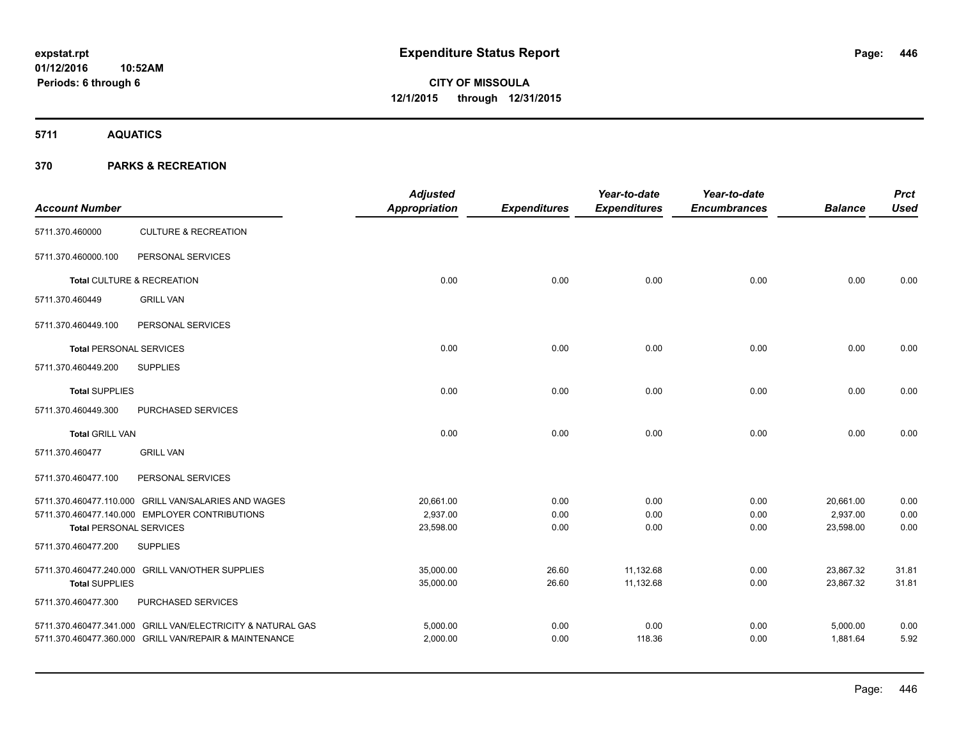**5711 AQUATICS**

| <b>Account Number</b>          |                                                             | <b>Adjusted</b><br>Appropriation | <b>Expenditures</b> | Year-to-date<br><b>Expenditures</b> | Year-to-date<br><b>Encumbrances</b> | <b>Balance</b> | <b>Prct</b><br><b>Used</b> |
|--------------------------------|-------------------------------------------------------------|----------------------------------|---------------------|-------------------------------------|-------------------------------------|----------------|----------------------------|
| 5711.370.460000                | <b>CULTURE &amp; RECREATION</b>                             |                                  |                     |                                     |                                     |                |                            |
| 5711.370.460000.100            | PERSONAL SERVICES                                           |                                  |                     |                                     |                                     |                |                            |
|                                | Total CULTURE & RECREATION                                  | 0.00                             | 0.00                | 0.00                                | 0.00                                | 0.00           | 0.00                       |
| 5711.370.460449                | <b>GRILL VAN</b>                                            |                                  |                     |                                     |                                     |                |                            |
| 5711.370.460449.100            | PERSONAL SERVICES                                           |                                  |                     |                                     |                                     |                |                            |
| <b>Total PERSONAL SERVICES</b> |                                                             | 0.00                             | 0.00                | 0.00                                | 0.00                                | 0.00           | 0.00                       |
| 5711.370.460449.200            | <b>SUPPLIES</b>                                             |                                  |                     |                                     |                                     |                |                            |
| <b>Total SUPPLIES</b>          |                                                             | 0.00                             | 0.00                | 0.00                                | 0.00                                | 0.00           | 0.00                       |
| 5711.370.460449.300            | PURCHASED SERVICES                                          |                                  |                     |                                     |                                     |                |                            |
| <b>Total GRILL VAN</b>         |                                                             | 0.00                             | 0.00                | 0.00                                | 0.00                                | 0.00           | 0.00                       |
| 5711.370.460477                | <b>GRILL VAN</b>                                            |                                  |                     |                                     |                                     |                |                            |
| 5711.370.460477.100            | PERSONAL SERVICES                                           |                                  |                     |                                     |                                     |                |                            |
|                                | 5711.370.460477.110.000 GRILL VAN/SALARIES AND WAGES        | 20,661.00                        | 0.00                | 0.00                                | 0.00                                | 20,661.00      | 0.00                       |
|                                | 5711.370.460477.140.000 EMPLOYER CONTRIBUTIONS              | 2,937.00                         | 0.00                | 0.00                                | 0.00                                | 2,937.00       | 0.00                       |
| <b>Total PERSONAL SERVICES</b> |                                                             | 23,598.00                        | 0.00                | 0.00                                | 0.00                                | 23,598.00      | 0.00                       |
| 5711.370.460477.200            | <b>SUPPLIES</b>                                             |                                  |                     |                                     |                                     |                |                            |
|                                | 5711.370.460477.240.000 GRILL VAN/OTHER SUPPLIES            | 35,000.00                        | 26.60               | 11,132.68                           | 0.00                                | 23,867.32      | 31.81                      |
| <b>Total SUPPLIES</b>          |                                                             | 35,000.00                        | 26.60               | 11,132.68                           | 0.00                                | 23,867.32      | 31.81                      |
| 5711.370.460477.300            | PURCHASED SERVICES                                          |                                  |                     |                                     |                                     |                |                            |
|                                | 5711.370.460477.341.000 GRILL VAN/ELECTRICITY & NATURAL GAS | 5,000.00                         | 0.00                | 0.00                                | 0.00                                | 5,000.00       | 0.00                       |
|                                | 5711.370.460477.360.000 GRILL VAN/REPAIR & MAINTENANCE      | 2,000.00                         | 0.00                | 118.36                              | 0.00                                | 1,881.64       | 5.92                       |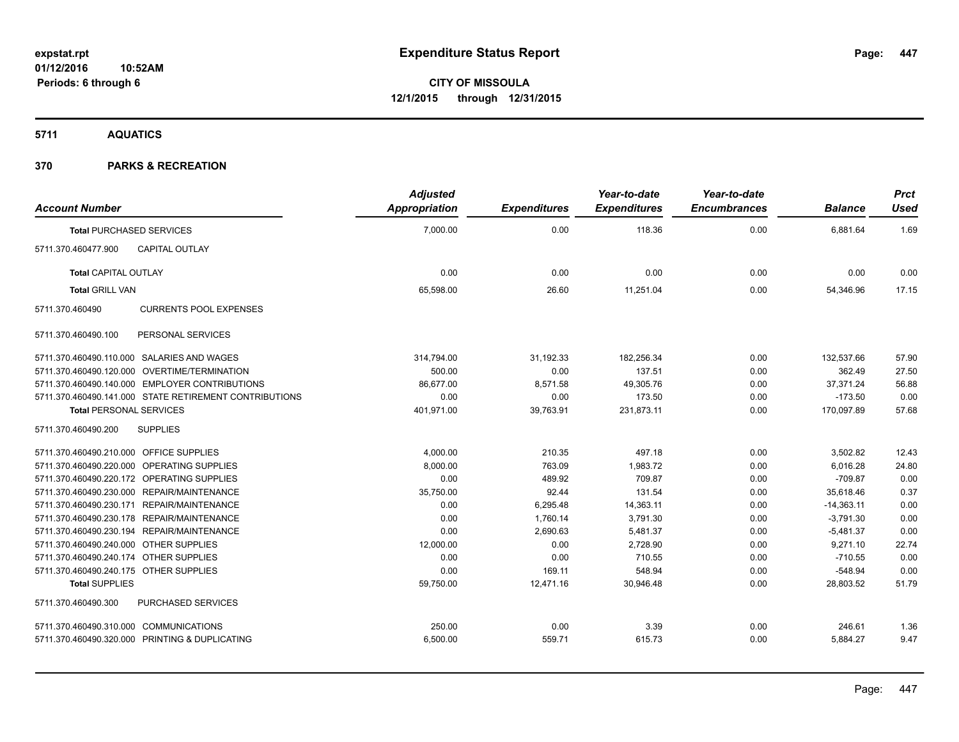**5711 AQUATICS**

| <b>Account Number</b>                                  | <b>Adjusted</b><br>Appropriation | <b>Expenditures</b> | Year-to-date<br><b>Expenditures</b> | Year-to-date<br><b>Encumbrances</b> | <b>Balance</b> | <b>Prct</b><br><b>Used</b> |
|--------------------------------------------------------|----------------------------------|---------------------|-------------------------------------|-------------------------------------|----------------|----------------------------|
| <b>Total PURCHASED SERVICES</b>                        | 7,000.00                         | 0.00                | 118.36                              | 0.00                                | 6,881.64       | 1.69                       |
| 5711.370.460477.900<br><b>CAPITAL OUTLAY</b>           |                                  |                     |                                     |                                     |                |                            |
| <b>Total CAPITAL OUTLAY</b>                            | 0.00                             | 0.00                | 0.00                                | 0.00                                | 0.00           | 0.00                       |
| <b>Total GRILL VAN</b>                                 | 65,598.00                        | 26.60               | 11,251.04                           | 0.00                                | 54,346.96      | 17.15                      |
| 5711.370.460490<br><b>CURRENTS POOL EXPENSES</b>       |                                  |                     |                                     |                                     |                |                            |
| PERSONAL SERVICES<br>5711.370.460490.100               |                                  |                     |                                     |                                     |                |                            |
| 5711.370.460490.110.000 SALARIES AND WAGES             | 314,794.00                       | 31,192.33           | 182,256.34                          | 0.00                                | 132,537.66     | 57.90                      |
| 5711.370.460490.120.000 OVERTIME/TERMINATION           | 500.00                           | 0.00                | 137.51                              | 0.00                                | 362.49         | 27.50                      |
| 5711.370.460490.140.000 EMPLOYER CONTRIBUTIONS         | 86.677.00                        | 8,571.58            | 49,305.76                           | 0.00                                | 37.371.24      | 56.88                      |
| 5711.370.460490.141.000 STATE RETIREMENT CONTRIBUTIONS | 0.00                             | 0.00                | 173.50                              | 0.00                                | $-173.50$      | 0.00                       |
| <b>Total PERSONAL SERVICES</b>                         | 401,971.00                       | 39,763.91           | 231,873.11                          | 0.00                                | 170,097.89     | 57.68                      |
| <b>SUPPLIES</b><br>5711.370.460490.200                 |                                  |                     |                                     |                                     |                |                            |
| 5711.370.460490.210.000 OFFICE SUPPLIES                | 4,000.00                         | 210.35              | 497.18                              | 0.00                                | 3,502.82       | 12.43                      |
| 5711.370.460490.220.000 OPERATING SUPPLIES             | 8,000.00                         | 763.09              | 1,983.72                            | 0.00                                | 6,016.28       | 24.80                      |
| 5711.370.460490.220.172 OPERATING SUPPLIES             | 0.00                             | 489.92              | 709.87                              | 0.00                                | $-709.87$      | 0.00                       |
| 5711.370.460490.230.000 REPAIR/MAINTENANCE             | 35,750.00                        | 92.44               | 131.54                              | 0.00                                | 35,618.46      | 0.37                       |
| 5711.370.460490.230.171 REPAIR/MAINTENANCE             | 0.00                             | 6,295.48            | 14,363.11                           | 0.00                                | $-14,363.11$   | 0.00                       |
| 5711.370.460490.230.178 REPAIR/MAINTENANCE             | 0.00                             | 1,760.14            | 3,791.30                            | 0.00                                | $-3,791.30$    | 0.00                       |
| 5711.370.460490.230.194 REPAIR/MAINTENANCE             | 0.00                             | 2,690.63            | 5,481.37                            | 0.00                                | $-5,481.37$    | 0.00                       |
| 5711.370.460490.240.000 OTHER SUPPLIES                 | 12,000.00                        | 0.00                | 2,728.90                            | 0.00                                | 9,271.10       | 22.74                      |
| 5711.370.460490.240.174 OTHER SUPPLIES                 | 0.00                             | 0.00                | 710.55                              | 0.00                                | $-710.55$      | 0.00                       |
| 5711.370.460490.240.175 OTHER SUPPLIES                 | 0.00                             | 169.11              | 548.94                              | 0.00                                | $-548.94$      | 0.00                       |
| <b>Total SUPPLIES</b>                                  | 59,750.00                        | 12,471.16           | 30,946.48                           | 0.00                                | 28,803.52      | 51.79                      |
| 5711.370.460490.300<br>PURCHASED SERVICES              |                                  |                     |                                     |                                     |                |                            |
| 5711.370.460490.310.000 COMMUNICATIONS                 | 250.00                           | 0.00                | 3.39                                | 0.00                                | 246.61         | 1.36                       |
| 5711.370.460490.320.000 PRINTING & DUPLICATING         | 6,500.00                         | 559.71              | 615.73                              | 0.00                                | 5,884.27       | 9.47                       |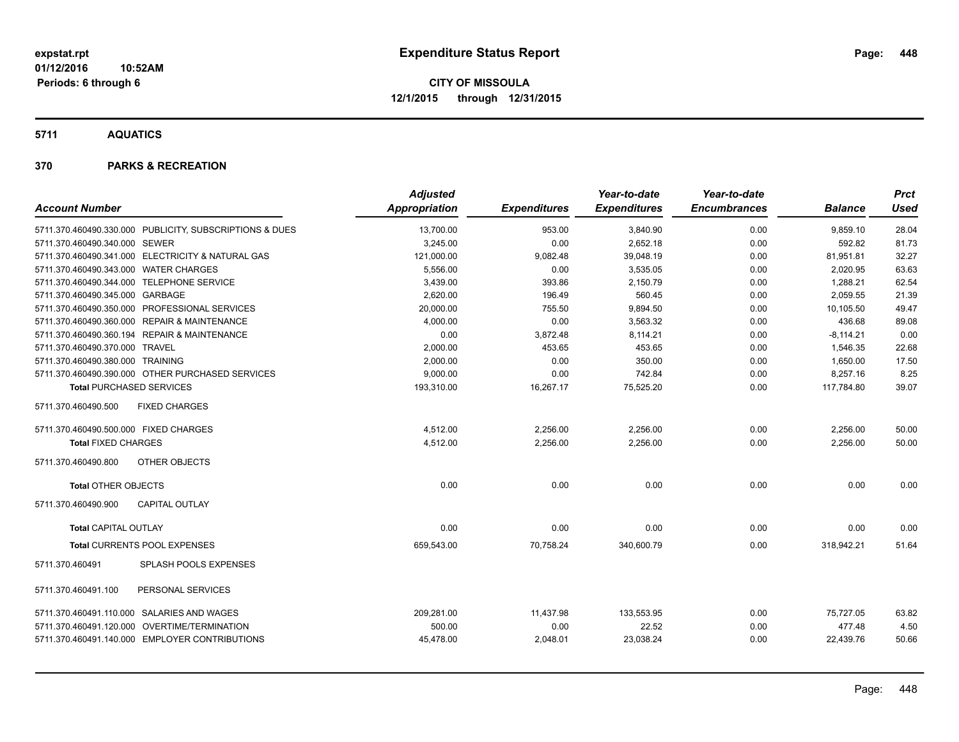**5711 AQUATICS**

| <b>Account Number</b>                                   | <b>Adjusted</b><br>Appropriation | <b>Expenditures</b> | Year-to-date<br><b>Expenditures</b> | Year-to-date<br><b>Encumbrances</b> | <b>Balance</b> | <b>Prct</b><br>Used |
|---------------------------------------------------------|----------------------------------|---------------------|-------------------------------------|-------------------------------------|----------------|---------------------|
| 5711.370.460490.330.000 PUBLICITY, SUBSCRIPTIONS & DUES | 13,700.00                        | 953.00              | 3,840.90                            | 0.00                                | 9,859.10       | 28.04               |
| 5711.370.460490.340.000 SEWER                           | 3,245.00                         | 0.00                | 2,652.18                            | 0.00                                | 592.82         | 81.73               |
| 5711.370.460490.341.000 ELECTRICITY & NATURAL GAS       | 121,000.00                       | 9,082.48            | 39,048.19                           | 0.00                                | 81,951.81      | 32.27               |
| 5711.370.460490.343.000 WATER CHARGES                   | 5,556.00                         | 0.00                | 3,535.05                            | 0.00                                | 2,020.95       | 63.63               |
| 5711.370.460490.344.000 TELEPHONE SERVICE               | 3.439.00                         | 393.86              | 2.150.79                            | 0.00                                | 1.288.21       | 62.54               |
| 5711.370.460490.345.000 GARBAGE                         | 2,620.00                         | 196.49              | 560.45                              | 0.00                                | 2,059.55       | 21.39               |
| 5711.370.460490.350.000 PROFESSIONAL SERVICES           | 20,000.00                        | 755.50              | 9,894.50                            | 0.00                                | 10,105.50      | 49.47               |
| 5711.370.460490.360.000 REPAIR & MAINTENANCE            | 4,000.00                         | 0.00                | 3,563.32                            | 0.00                                | 436.68         | 89.08               |
| 5711.370.460490.360.194 REPAIR & MAINTENANCE            | 0.00                             | 3,872.48            | 8,114.21                            | 0.00                                | $-8,114.21$    | 0.00                |
| 5711.370.460490.370.000 TRAVEL                          | 2,000.00                         | 453.65              | 453.65                              | 0.00                                | 1,546.35       | 22.68               |
| 5711.370.460490.380.000 TRAINING                        | 2,000.00                         | 0.00                | 350.00                              | 0.00                                | 1,650.00       | 17.50               |
| 5711.370.460490.390.000 OTHER PURCHASED SERVICES        | 9,000.00                         | 0.00                | 742.84                              | 0.00                                | 8,257.16       | 8.25                |
| <b>Total PURCHASED SERVICES</b>                         | 193,310.00                       | 16,267.17           | 75,525.20                           | 0.00                                | 117,784.80     | 39.07               |
| 5711.370.460490.500<br><b>FIXED CHARGES</b>             |                                  |                     |                                     |                                     |                |                     |
| 5711.370.460490.500.000 FIXED CHARGES                   | 4,512.00                         | 2,256.00            | 2,256.00                            | 0.00                                | 2,256.00       | 50.00               |
| <b>Total FIXED CHARGES</b>                              | 4,512.00                         | 2,256.00            | 2,256.00                            | 0.00                                | 2,256.00       | 50.00               |
| 5711.370.460490.800<br>OTHER OBJECTS                    |                                  |                     |                                     |                                     |                |                     |
| <b>Total OTHER OBJECTS</b>                              | 0.00                             | 0.00                | 0.00                                | 0.00                                | 0.00           | 0.00                |
| 5711.370.460490.900<br><b>CAPITAL OUTLAY</b>            |                                  |                     |                                     |                                     |                |                     |
| <b>Total CAPITAL OUTLAY</b>                             | 0.00                             | 0.00                | 0.00                                | 0.00                                | 0.00           | 0.00                |
| Total CURRENTS POOL EXPENSES                            | 659,543.00                       | 70,758.24           | 340,600.79                          | 0.00                                | 318,942.21     | 51.64               |
| 5711.370.460491<br>SPLASH POOLS EXPENSES                |                                  |                     |                                     |                                     |                |                     |
| PERSONAL SERVICES<br>5711.370.460491.100                |                                  |                     |                                     |                                     |                |                     |
| 5711.370.460491.110.000 SALARIES AND WAGES              | 209,281.00                       | 11,437.98           | 133,553.95                          | 0.00                                | 75.727.05      | 63.82               |
| 5711.370.460491.120.000 OVERTIME/TERMINATION            | 500.00                           | 0.00                | 22.52                               | 0.00                                | 477.48         | 4.50                |
| 5711.370.460491.140.000 EMPLOYER CONTRIBUTIONS          | 45,478.00                        | 2,048.01            | 23,038.24                           | 0.00                                | 22,439.76      | 50.66               |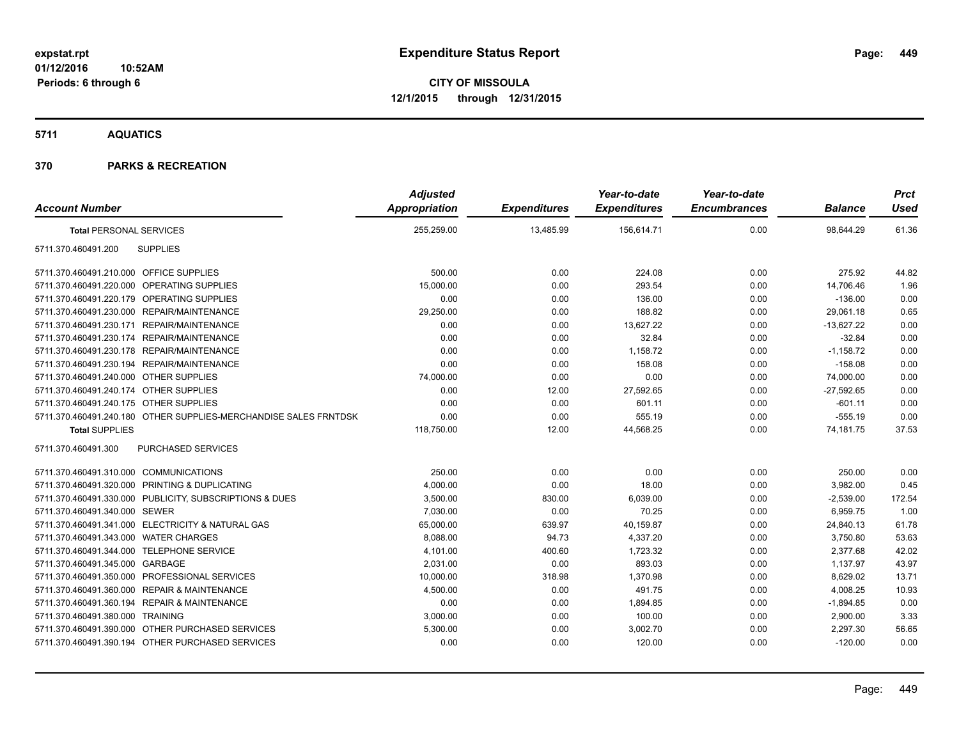**5711 AQUATICS**

|                                                                  | <b>Adjusted</b>      |                     | Year-to-date        | Year-to-date        |                | <b>Prct</b> |
|------------------------------------------------------------------|----------------------|---------------------|---------------------|---------------------|----------------|-------------|
| <b>Account Number</b>                                            | <b>Appropriation</b> | <b>Expenditures</b> | <b>Expenditures</b> | <b>Encumbrances</b> | <b>Balance</b> | <b>Used</b> |
| <b>Total PERSONAL SERVICES</b>                                   | 255,259.00           | 13,485.99           | 156,614.71          | 0.00                | 98,644.29      | 61.36       |
| <b>SUPPLIES</b><br>5711.370.460491.200                           |                      |                     |                     |                     |                |             |
| 5711.370.460491.210.000 OFFICE SUPPLIES                          | 500.00               | 0.00                | 224.08              | 0.00                | 275.92         | 44.82       |
| 5711.370.460491.220.000 OPERATING SUPPLIES                       | 15,000.00            | 0.00                | 293.54              | 0.00                | 14,706.46      | 1.96        |
| 5711.370.460491.220.179 OPERATING SUPPLIES                       | 0.00                 | 0.00                | 136.00              | 0.00                | $-136.00$      | 0.00        |
| 5711.370.460491.230.000 REPAIR/MAINTENANCE                       | 29,250.00            | 0.00                | 188.82              | 0.00                | 29,061.18      | 0.65        |
| 5711.370.460491.230.171 REPAIR/MAINTENANCE                       | 0.00                 | 0.00                | 13,627.22           | 0.00                | $-13,627.22$   | 0.00        |
| 5711.370.460491.230.174 REPAIR/MAINTENANCE                       | 0.00                 | 0.00                | 32.84               | 0.00                | $-32.84$       | 0.00        |
| 5711.370.460491.230.178 REPAIR/MAINTENANCE                       | 0.00                 | 0.00                | 1,158.72            | 0.00                | $-1,158.72$    | 0.00        |
| 5711.370.460491.230.194 REPAIR/MAINTENANCE                       | 0.00                 | 0.00                | 158.08              | 0.00                | $-158.08$      | 0.00        |
| 5711.370.460491.240.000 OTHER SUPPLIES                           | 74,000.00            | 0.00                | 0.00                | 0.00                | 74,000.00      | 0.00        |
| 5711.370.460491.240.174 OTHER SUPPLIES                           | 0.00                 | 12.00               | 27,592.65           | 0.00                | $-27,592.65$   | 0.00        |
| 5711.370.460491.240.175 OTHER SUPPLIES                           | 0.00                 | 0.00                | 601.11              | 0.00                | $-601.11$      | 0.00        |
| 5711.370.460491.240.180 OTHER SUPPLIES-MERCHANDISE SALES FRNTDSK | 0.00                 | 0.00                | 555.19              | 0.00                | $-555.19$      | 0.00        |
| <b>Total SUPPLIES</b>                                            | 118,750.00           | 12.00               | 44,568.25           | 0.00                | 74,181.75      | 37.53       |
| <b>PURCHASED SERVICES</b><br>5711.370.460491.300                 |                      |                     |                     |                     |                |             |
| 5711.370.460491.310.000 COMMUNICATIONS                           | 250.00               | 0.00                | 0.00                | 0.00                | 250.00         | 0.00        |
| 5711.370.460491.320.000 PRINTING & DUPLICATING                   | 4,000.00             | 0.00                | 18.00               | 0.00                | 3,982.00       | 0.45        |
| 5711.370.460491.330.000 PUBLICITY, SUBSCRIPTIONS & DUES          | 3,500.00             | 830.00              | 6,039.00            | 0.00                | $-2,539.00$    | 172.54      |
| 5711.370.460491.340.000 SEWER                                    | 7,030.00             | 0.00                | 70.25               | 0.00                | 6,959.75       | 1.00        |
| 5711.370.460491.341.000 ELECTRICITY & NATURAL GAS                | 65,000.00            | 639.97              | 40,159.87           | 0.00                | 24,840.13      | 61.78       |
| 5711.370.460491.343.000 WATER CHARGES                            | 8,088.00             | 94.73               | 4.337.20            | 0.00                | 3,750.80       | 53.63       |
| 5711.370.460491.344.000 TELEPHONE SERVICE                        | 4,101.00             | 400.60              | 1,723.32            | 0.00                | 2,377.68       | 42.02       |
| 5711.370.460491.345.000 GARBAGE                                  | 2,031.00             | 0.00                | 893.03              | 0.00                | 1,137.97       | 43.97       |
| 5711.370.460491.350.000 PROFESSIONAL SERVICES                    | 10,000.00            | 318.98              | 1,370.98            | 0.00                | 8,629.02       | 13.71       |
| 5711.370.460491.360.000 REPAIR & MAINTENANCE                     | 4,500.00             | 0.00                | 491.75              | 0.00                | 4,008.25       | 10.93       |
| 5711.370.460491.360.194 REPAIR & MAINTENANCE                     | 0.00                 | 0.00                | 1,894.85            | 0.00                | $-1,894.85$    | 0.00        |
| 5711.370.460491.380.000 TRAINING                                 | 3,000.00             | 0.00                | 100.00              | 0.00                | 2,900.00       | 3.33        |
| 5711.370.460491.390.000 OTHER PURCHASED SERVICES                 | 5,300.00             | 0.00                | 3,002.70            | 0.00                | 2,297.30       | 56.65       |
| 5711.370.460491.390.194 OTHER PURCHASED SERVICES                 | 0.00                 | 0.00                | 120.00              | 0.00                | $-120.00$      | 0.00        |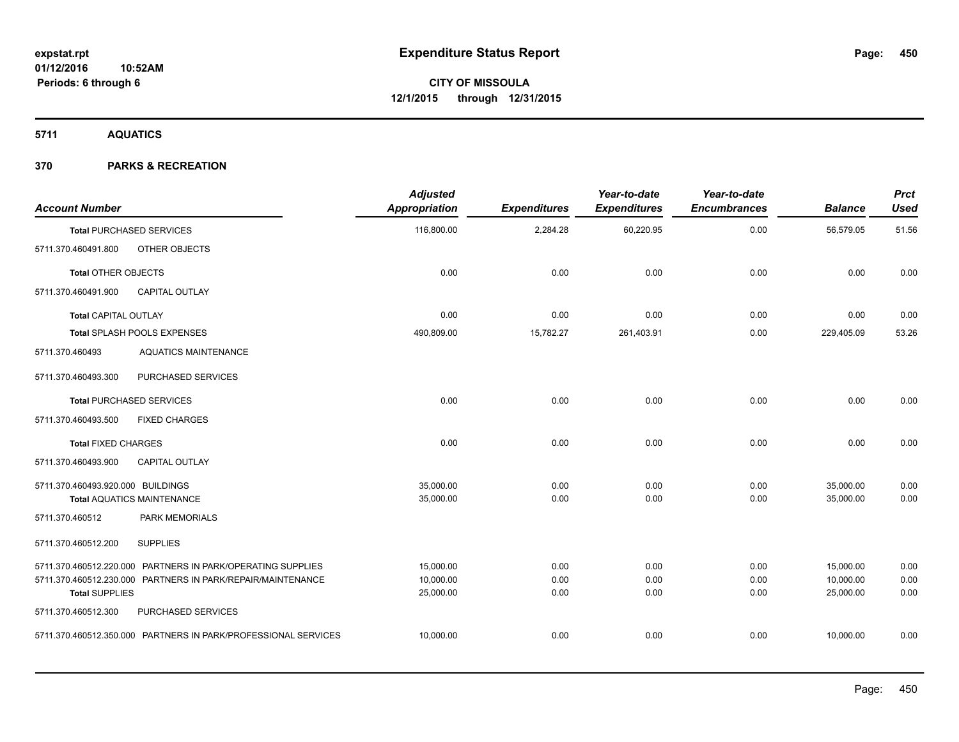**5711 AQUATICS**

| <b>Account Number</b>             |                                                                | <b>Adjusted</b><br><b>Appropriation</b> | <b>Expenditures</b> | Year-to-date<br><b>Expenditures</b> | Year-to-date<br><b>Encumbrances</b> | <b>Balance</b> | <b>Prct</b><br><b>Used</b> |
|-----------------------------------|----------------------------------------------------------------|-----------------------------------------|---------------------|-------------------------------------|-------------------------------------|----------------|----------------------------|
|                                   | <b>Total PURCHASED SERVICES</b>                                | 116,800.00                              | 2,284.28            | 60,220.95                           | 0.00                                | 56,579.05      | 51.56                      |
| 5711.370.460491.800               | OTHER OBJECTS                                                  |                                         |                     |                                     |                                     |                |                            |
| <b>Total OTHER OBJECTS</b>        |                                                                | 0.00                                    | 0.00                | 0.00                                | 0.00                                | 0.00           | 0.00                       |
| 5711.370.460491.900               | <b>CAPITAL OUTLAY</b>                                          |                                         |                     |                                     |                                     |                |                            |
| <b>Total CAPITAL OUTLAY</b>       |                                                                | 0.00                                    | 0.00                | 0.00                                | 0.00                                | 0.00           | 0.00                       |
|                                   | Total SPLASH POOLS EXPENSES                                    | 490,809.00                              | 15,782.27           | 261,403.91                          | 0.00                                | 229,405.09     | 53.26                      |
| 5711.370.460493                   | <b>AQUATICS MAINTENANCE</b>                                    |                                         |                     |                                     |                                     |                |                            |
| 5711.370.460493.300               | PURCHASED SERVICES                                             |                                         |                     |                                     |                                     |                |                            |
|                                   | <b>Total PURCHASED SERVICES</b>                                | 0.00                                    | 0.00                | 0.00                                | 0.00                                | 0.00           | 0.00                       |
| 5711.370.460493.500               | <b>FIXED CHARGES</b>                                           |                                         |                     |                                     |                                     |                |                            |
| <b>Total FIXED CHARGES</b>        |                                                                | 0.00                                    | 0.00                | 0.00                                | 0.00                                | 0.00           | 0.00                       |
| 5711.370.460493.900               | <b>CAPITAL OUTLAY</b>                                          |                                         |                     |                                     |                                     |                |                            |
| 5711.370.460493.920.000 BUILDINGS |                                                                | 35,000.00                               | 0.00                | 0.00                                | 0.00                                | 35,000.00      | 0.00                       |
|                                   | <b>Total AQUATICS MAINTENANCE</b>                              | 35,000.00                               | 0.00                | 0.00                                | 0.00                                | 35,000.00      | 0.00                       |
| 5711.370.460512                   | PARK MEMORIALS                                                 |                                         |                     |                                     |                                     |                |                            |
| 5711.370.460512.200               | <b>SUPPLIES</b>                                                |                                         |                     |                                     |                                     |                |                            |
|                                   | 5711.370.460512.220.000 PARTNERS IN PARK/OPERATING SUPPLIES    | 15,000.00                               | 0.00                | 0.00                                | 0.00                                | 15,000.00      | 0.00                       |
|                                   | 5711.370.460512.230.000 PARTNERS IN PARK/REPAIR/MAINTENANCE    | 10,000.00                               | 0.00                | 0.00                                | 0.00                                | 10,000.00      | 0.00                       |
| <b>Total SUPPLIES</b>             |                                                                | 25,000.00                               | 0.00                | 0.00                                | 0.00                                | 25,000.00      | 0.00                       |
| 5711.370.460512.300               | PURCHASED SERVICES                                             |                                         |                     |                                     |                                     |                |                            |
|                                   | 5711.370.460512.350.000 PARTNERS IN PARK/PROFESSIONAL SERVICES | 10,000.00                               | 0.00                | 0.00                                | 0.00                                | 10,000.00      | 0.00                       |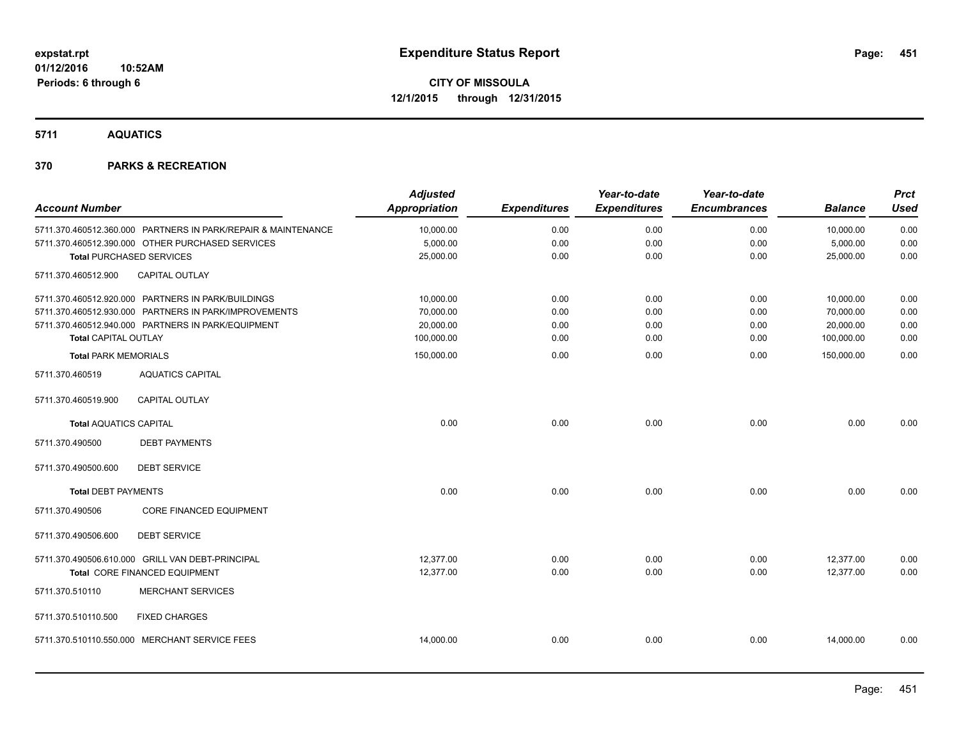**5711 AQUATICS**

| <b>Account Number</b>         |                                                               | <b>Adjusted</b><br><b>Appropriation</b> | <b>Expenditures</b> | Year-to-date<br><b>Expenditures</b> | Year-to-date<br><b>Encumbrances</b> | <b>Balance</b> | <b>Prct</b><br><b>Used</b> |
|-------------------------------|---------------------------------------------------------------|-----------------------------------------|---------------------|-------------------------------------|-------------------------------------|----------------|----------------------------|
|                               | 5711.370.460512.360.000 PARTNERS IN PARK/REPAIR & MAINTENANCE | 10,000.00                               | 0.00                | 0.00                                | 0.00                                | 10,000.00      | 0.00                       |
|                               | 5711.370.460512.390.000 OTHER PURCHASED SERVICES              | 5,000.00                                | 0.00                | 0.00                                | 0.00                                | 5,000.00       | 0.00                       |
|                               | <b>Total PURCHASED SERVICES</b>                               | 25,000.00                               | 0.00                | 0.00                                | 0.00                                | 25,000.00      | 0.00                       |
| 5711.370.460512.900           | <b>CAPITAL OUTLAY</b>                                         |                                         |                     |                                     |                                     |                |                            |
|                               | 5711.370.460512.920.000 PARTNERS IN PARK/BUILDINGS            | 10,000.00                               | 0.00                | 0.00                                | 0.00                                | 10,000.00      | 0.00                       |
|                               | 5711.370.460512.930.000 PARTNERS IN PARK/IMPROVEMENTS         | 70,000.00                               | 0.00                | 0.00                                | 0.00                                | 70,000.00      | 0.00                       |
|                               | 5711.370.460512.940.000 PARTNERS IN PARK/EQUIPMENT            | 20,000.00                               | 0.00                | 0.00                                | 0.00                                | 20,000.00      | 0.00                       |
| <b>Total CAPITAL OUTLAY</b>   |                                                               | 100,000.00                              | 0.00                | 0.00                                | 0.00                                | 100,000.00     | 0.00                       |
| <b>Total PARK MEMORIALS</b>   |                                                               | 150,000.00                              | 0.00                | 0.00                                | 0.00                                | 150,000.00     | 0.00                       |
| 5711.370.460519               | <b>AQUATICS CAPITAL</b>                                       |                                         |                     |                                     |                                     |                |                            |
| 5711.370.460519.900           | <b>CAPITAL OUTLAY</b>                                         |                                         |                     |                                     |                                     |                |                            |
| <b>Total AQUATICS CAPITAL</b> |                                                               | 0.00                                    | 0.00                | 0.00                                | 0.00                                | 0.00           | 0.00                       |
| 5711.370.490500               | <b>DEBT PAYMENTS</b>                                          |                                         |                     |                                     |                                     |                |                            |
| 5711.370.490500.600           | <b>DEBT SERVICE</b>                                           |                                         |                     |                                     |                                     |                |                            |
| <b>Total DEBT PAYMENTS</b>    |                                                               | 0.00                                    | 0.00                | 0.00                                | 0.00                                | 0.00           | 0.00                       |
| 5711.370.490506               | <b>CORE FINANCED EQUIPMENT</b>                                |                                         |                     |                                     |                                     |                |                            |
| 5711.370.490506.600           | <b>DEBT SERVICE</b>                                           |                                         |                     |                                     |                                     |                |                            |
|                               | 5711.370.490506.610.000 GRILL VAN DEBT-PRINCIPAL              | 12,377.00                               | 0.00                | 0.00                                | 0.00                                | 12,377.00      | 0.00                       |
|                               | Total CORE FINANCED EQUIPMENT                                 | 12,377.00                               | 0.00                | 0.00                                | 0.00                                | 12,377.00      | 0.00                       |
| 5711.370.510110               | <b>MERCHANT SERVICES</b>                                      |                                         |                     |                                     |                                     |                |                            |
| 5711.370.510110.500           | <b>FIXED CHARGES</b>                                          |                                         |                     |                                     |                                     |                |                            |
|                               | 5711.370.510110.550.000 MERCHANT SERVICE FEES                 | 14,000.00                               | 0.00                | 0.00                                | 0.00                                | 14,000.00      | 0.00                       |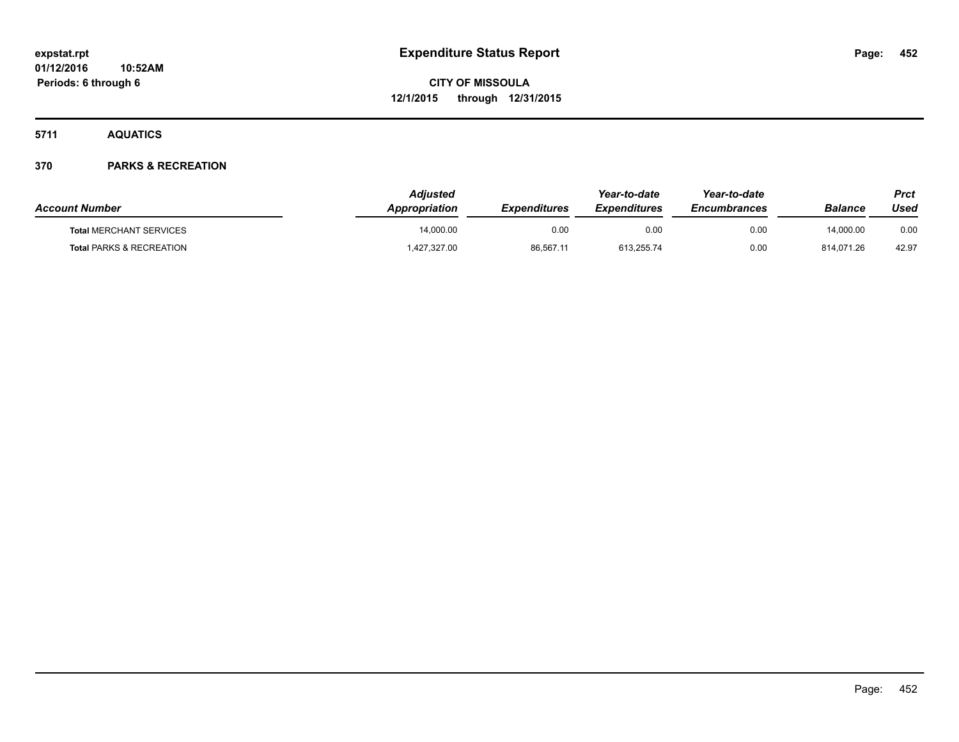**5711 AQUATICS**

| <b>Account Number</b>               | Adiusted<br>Appropriation | <b>Expenditures</b> | Year-to-date<br><b>Expenditures</b> | Year-to-date<br><b>Encumbrances</b> | Balance    | Prct<br>Used |
|-------------------------------------|---------------------------|---------------------|-------------------------------------|-------------------------------------|------------|--------------|
| <b>Total MERCHANT SERVICES</b>      | 14,000.00                 | 0.00                | 0.00                                | 0.00                                | 14,000.00  | 0.00         |
| <b>Total PARKS &amp; RECREATION</b> | .427,327.00               | 86,567.11           | 613,255.74                          | 0.00                                | 814,071.26 | 42.97        |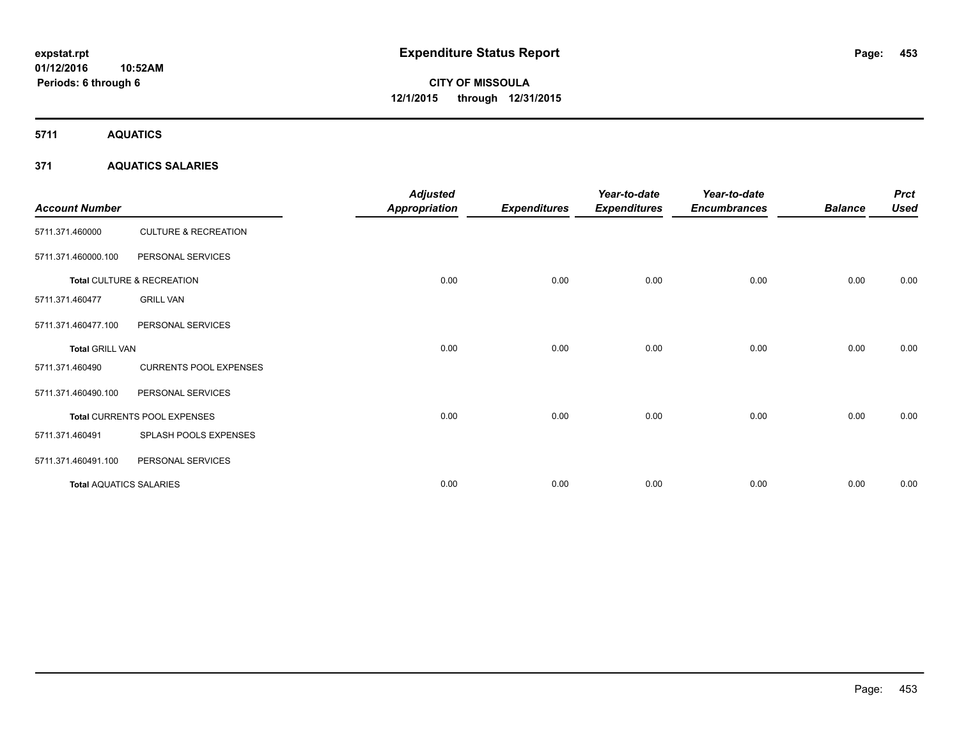**5711 AQUATICS**

## **371 AQUATICS SALARIES**

| <b>Account Number</b>          |                                 | <b>Adjusted</b><br><b>Appropriation</b> | <b>Expenditures</b> | Year-to-date<br><b>Expenditures</b> | Year-to-date<br><b>Encumbrances</b> | <b>Balance</b> | <b>Prct</b><br><b>Used</b> |
|--------------------------------|---------------------------------|-----------------------------------------|---------------------|-------------------------------------|-------------------------------------|----------------|----------------------------|
| 5711.371.460000                | <b>CULTURE &amp; RECREATION</b> |                                         |                     |                                     |                                     |                |                            |
| 5711.371.460000.100            | PERSONAL SERVICES               |                                         |                     |                                     |                                     |                |                            |
|                                | Total CULTURE & RECREATION      | 0.00                                    | 0.00                | 0.00                                | 0.00                                | 0.00           | 0.00                       |
| 5711.371.460477                | <b>GRILL VAN</b>                |                                         |                     |                                     |                                     |                |                            |
| 5711.371.460477.100            | PERSONAL SERVICES               |                                         |                     |                                     |                                     |                |                            |
| <b>Total GRILL VAN</b>         |                                 | 0.00                                    | 0.00                | 0.00                                | 0.00                                | 0.00           | 0.00                       |
| 5711.371.460490                | <b>CURRENTS POOL EXPENSES</b>   |                                         |                     |                                     |                                     |                |                            |
| 5711.371.460490.100            | PERSONAL SERVICES               |                                         |                     |                                     |                                     |                |                            |
|                                | Total CURRENTS POOL EXPENSES    | 0.00                                    | 0.00                | 0.00                                | 0.00                                | 0.00           | 0.00                       |
| 5711.371.460491                | SPLASH POOLS EXPENSES           |                                         |                     |                                     |                                     |                |                            |
| 5711.371.460491.100            | PERSONAL SERVICES               |                                         |                     |                                     |                                     |                |                            |
| <b>Total AQUATICS SALARIES</b> |                                 | 0.00                                    | 0.00                | 0.00                                | 0.00                                | 0.00           | 0.00                       |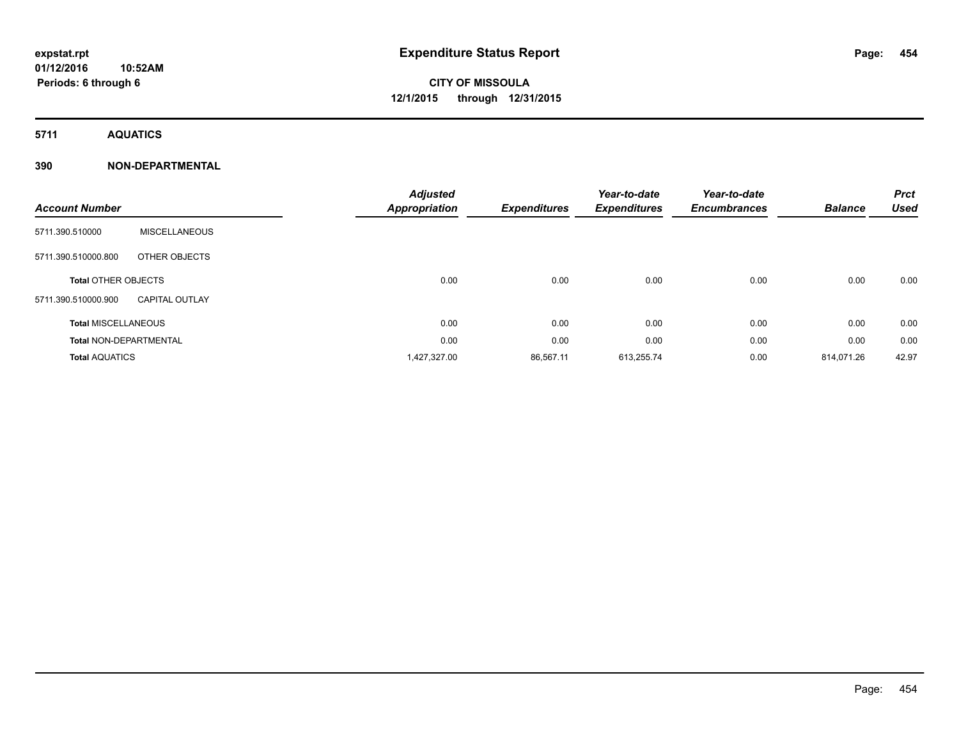**5711 AQUATICS**

## **390 NON-DEPARTMENTAL**

|                               |                       | <b>Adjusted</b>      |                     | Year-to-date        | Year-to-date        |                | <b>Prct</b> |
|-------------------------------|-----------------------|----------------------|---------------------|---------------------|---------------------|----------------|-------------|
| <b>Account Number</b>         |                       | <b>Appropriation</b> | <b>Expenditures</b> | <b>Expenditures</b> | <b>Encumbrances</b> | <b>Balance</b> | <b>Used</b> |
| 5711.390.510000               | <b>MISCELLANEOUS</b>  |                      |                     |                     |                     |                |             |
| 5711.390.510000.800           | OTHER OBJECTS         |                      |                     |                     |                     |                |             |
| <b>Total OTHER OBJECTS</b>    |                       | 0.00                 | 0.00                | 0.00                | 0.00                | 0.00           | 0.00        |
| 5711.390.510000.900           | <b>CAPITAL OUTLAY</b> |                      |                     |                     |                     |                |             |
| <b>Total MISCELLANEOUS</b>    |                       | 0.00                 | 0.00                | 0.00                | 0.00                | 0.00           | 0.00        |
| <b>Total NON-DEPARTMENTAL</b> |                       | 0.00                 | 0.00                | 0.00                | 0.00                | 0.00           | 0.00        |
| <b>Total AQUATICS</b>         |                       | 1,427,327.00         | 86,567.11           | 613,255.74          | 0.00                | 814.071.26     | 42.97       |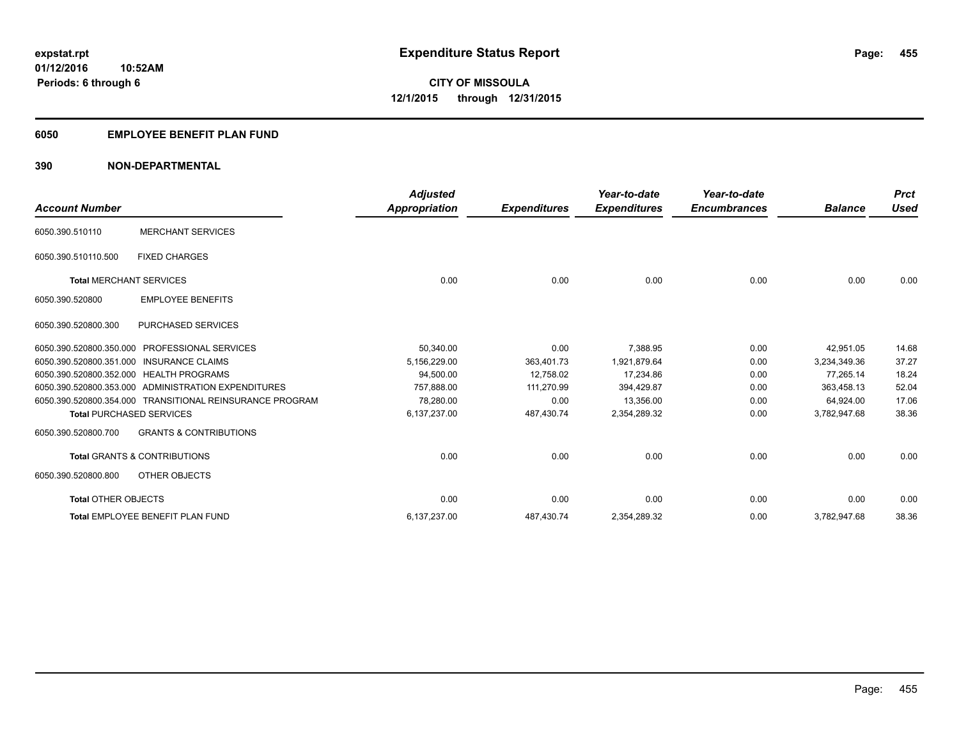## **6050 EMPLOYEE BENEFIT PLAN FUND**

## **390 NON-DEPARTMENTAL**

| <b>Account Number</b>          |                                                          | <b>Adjusted</b><br>Appropriation | <b>Expenditures</b> | Year-to-date<br><b>Expenditures</b> | Year-to-date<br><b>Encumbrances</b> | <b>Balance</b> | <b>Prct</b><br><b>Used</b> |
|--------------------------------|----------------------------------------------------------|----------------------------------|---------------------|-------------------------------------|-------------------------------------|----------------|----------------------------|
| 6050.390.510110                | <b>MERCHANT SERVICES</b>                                 |                                  |                     |                                     |                                     |                |                            |
| 6050.390.510110.500            | <b>FIXED CHARGES</b>                                     |                                  |                     |                                     |                                     |                |                            |
| <b>Total MERCHANT SERVICES</b> |                                                          | 0.00                             | 0.00                | 0.00                                | 0.00                                | 0.00           | 0.00                       |
| 6050.390.520800                | <b>EMPLOYEE BENEFITS</b>                                 |                                  |                     |                                     |                                     |                |                            |
| 6050.390.520800.300            | <b>PURCHASED SERVICES</b>                                |                                  |                     |                                     |                                     |                |                            |
| 6050.390.520800.350.000        | <b>PROFESSIONAL SERVICES</b>                             | 50,340.00                        | 0.00                | 7,388.95                            | 0.00                                | 42,951.05      | 14.68                      |
|                                | 6050.390.520800.351.000 INSURANCE CLAIMS                 | 5,156,229.00                     | 363,401.73          | 1,921,879.64                        | 0.00                                | 3,234,349.36   | 37.27                      |
|                                | 6050.390.520800.352.000 HEALTH PROGRAMS                  | 94,500.00                        | 12,758.02           | 17,234.86                           | 0.00                                | 77.265.14      | 18.24                      |
|                                | 6050.390.520800.353.000 ADMINISTRATION EXPENDITURES      | 757.888.00                       | 111,270.99          | 394,429.87                          | 0.00                                | 363.458.13     | 52.04                      |
|                                | 6050.390.520800.354.000 TRANSITIONAL REINSURANCE PROGRAM | 78,280.00                        | 0.00                | 13,356.00                           | 0.00                                | 64,924.00      | 17.06                      |
|                                | <b>Total PURCHASED SERVICES</b>                          | 6,137,237.00                     | 487,430.74          | 2,354,289.32                        | 0.00                                | 3,782,947.68   | 38.36                      |
| 6050.390.520800.700            | <b>GRANTS &amp; CONTRIBUTIONS</b>                        |                                  |                     |                                     |                                     |                |                            |
|                                | <b>Total GRANTS &amp; CONTRIBUTIONS</b>                  | 0.00                             | 0.00                | 0.00                                | 0.00                                | 0.00           | 0.00                       |
| 6050.390.520800.800            | OTHER OBJECTS                                            |                                  |                     |                                     |                                     |                |                            |
| <b>Total OTHER OBJECTS</b>     |                                                          | 0.00                             | 0.00                | 0.00                                | 0.00                                | 0.00           | 0.00                       |
|                                | Total EMPLOYEE BENEFIT PLAN FUND                         | 6,137,237.00                     | 487,430.74          | 2,354,289.32                        | 0.00                                | 3,782,947.68   | 38.36                      |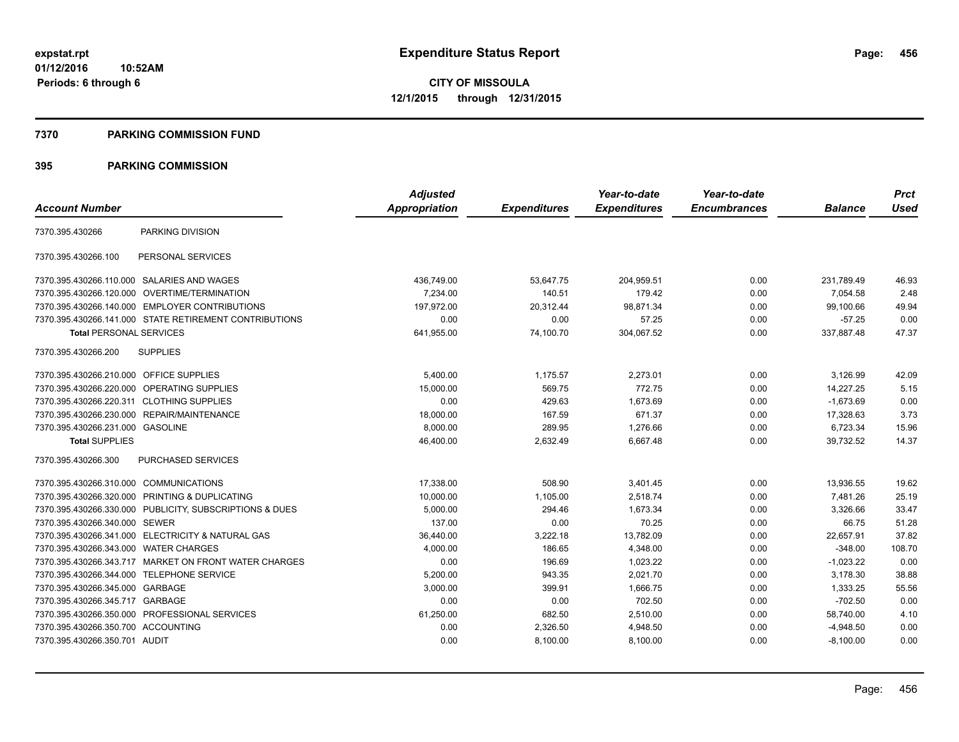#### **7370 PARKING COMMISSION FUND**

|                                           |                                                         | <b>Adjusted</b> |                     | Year-to-date        | Year-to-date        |                | <b>Prct</b> |
|-------------------------------------------|---------------------------------------------------------|-----------------|---------------------|---------------------|---------------------|----------------|-------------|
| <b>Account Number</b>                     |                                                         | Appropriation   | <b>Expenditures</b> | <b>Expenditures</b> | <b>Encumbrances</b> | <b>Balance</b> | <b>Used</b> |
| 7370.395.430266                           | PARKING DIVISION                                        |                 |                     |                     |                     |                |             |
| 7370.395.430266.100                       | PERSONAL SERVICES                                       |                 |                     |                     |                     |                |             |
|                                           | 7370.395.430266.110.000 SALARIES AND WAGES              | 436,749.00      | 53,647.75           | 204,959.51          | 0.00                | 231,789.49     | 46.93       |
| 7370.395.430266.120.000                   | OVERTIME/TERMINATION                                    | 7,234.00        | 140.51              | 179.42              | 0.00                | 7,054.58       | 2.48        |
|                                           | 7370.395.430266.140.000 EMPLOYER CONTRIBUTIONS          | 197.972.00      | 20.312.44           | 98.871.34           | 0.00                | 99.100.66      | 49.94       |
|                                           | 7370.395.430266.141.000 STATE RETIREMENT CONTRIBUTIONS  | 0.00            | 0.00                | 57.25               | 0.00                | $-57.25$       | 0.00        |
| <b>Total PERSONAL SERVICES</b>            |                                                         | 641,955.00      | 74,100.70           | 304,067.52          | 0.00                | 337,887.48     | 47.37       |
| 7370.395.430266.200                       | <b>SUPPLIES</b>                                         |                 |                     |                     |                     |                |             |
| 7370.395.430266.210.000 OFFICE SUPPLIES   |                                                         | 5.400.00        | 1,175.57            | 2,273.01            | 0.00                | 3,126.99       | 42.09       |
| 7370.395.430266.220.000                   | <b>OPERATING SUPPLIES</b>                               | 15,000.00       | 569.75              | 772.75              | 0.00                | 14,227.25      | 5.15        |
| 7370.395.430266.220.311 CLOTHING SUPPLIES |                                                         | 0.00            | 429.63              | 1,673.69            | 0.00                | $-1,673.69$    | 0.00        |
| 7370.395.430266.230.000                   | REPAIR/MAINTENANCE                                      | 18,000.00       | 167.59              | 671.37              | 0.00                | 17,328.63      | 3.73        |
| 7370.395.430266.231.000 GASOLINE          |                                                         | 8,000.00        | 289.95              | 1,276.66            | 0.00                | 6,723.34       | 15.96       |
| <b>Total SUPPLIES</b>                     |                                                         | 46,400.00       | 2,632.49            | 6,667.48            | 0.00                | 39,732.52      | 14.37       |
| 7370.395.430266.300                       | PURCHASED SERVICES                                      |                 |                     |                     |                     |                |             |
| 7370.395.430266.310.000                   | <b>COMMUNICATIONS</b>                                   | 17,338.00       | 508.90              | 3,401.45            | 0.00                | 13,936.55      | 19.62       |
|                                           | 7370.395.430266.320.000 PRINTING & DUPLICATING          | 10,000.00       | 1,105.00            | 2,518.74            | 0.00                | 7,481.26       | 25.19       |
|                                           | 7370.395.430266.330.000 PUBLICITY, SUBSCRIPTIONS & DUES | 5,000.00        | 294.46              | 1.673.34            | 0.00                | 3.326.66       | 33.47       |
| 7370.395.430266.340.000 SEWER             |                                                         | 137.00          | 0.00                | 70.25               | 0.00                | 66.75          | 51.28       |
|                                           | 7370.395.430266.341.000 ELECTRICITY & NATURAL GAS       | 36,440.00       | 3,222.18            | 13,782.09           | 0.00                | 22,657.91      | 37.82       |
| 7370.395.430266.343.000 WATER CHARGES     |                                                         | 4,000.00        | 186.65              | 4,348.00            | 0.00                | $-348.00$      | 108.70      |
|                                           | 7370.395.430266.343.717 MARKET ON FRONT WATER CHARGES   | 0.00            | 196.69              | 1,023.22            | 0.00                | $-1,023.22$    | 0.00        |
|                                           | 7370.395.430266.344.000 TELEPHONE SERVICE               | 5,200.00        | 943.35              | 2,021.70            | 0.00                | 3,178.30       | 38.88       |
| 7370.395.430266.345.000 GARBAGE           |                                                         | 3,000.00        | 399.91              | 1.666.75            | 0.00                | 1,333.25       | 55.56       |
| 7370.395.430266.345.717 GARBAGE           |                                                         | 0.00            | 0.00                | 702.50              | 0.00                | $-702.50$      | 0.00        |
|                                           | 7370.395.430266.350.000 PROFESSIONAL SERVICES           | 61,250.00       | 682.50              | 2,510.00            | 0.00                | 58,740.00      | 4.10        |
| 7370.395.430266.350.700 ACCOUNTING        |                                                         | 0.00            | 2,326.50            | 4,948.50            | 0.00                | $-4,948.50$    | 0.00        |
| 7370.395.430266.350.701 AUDIT             |                                                         | 0.00            | 8,100.00            | 8,100.00            | 0.00                | $-8,100.00$    | 0.00        |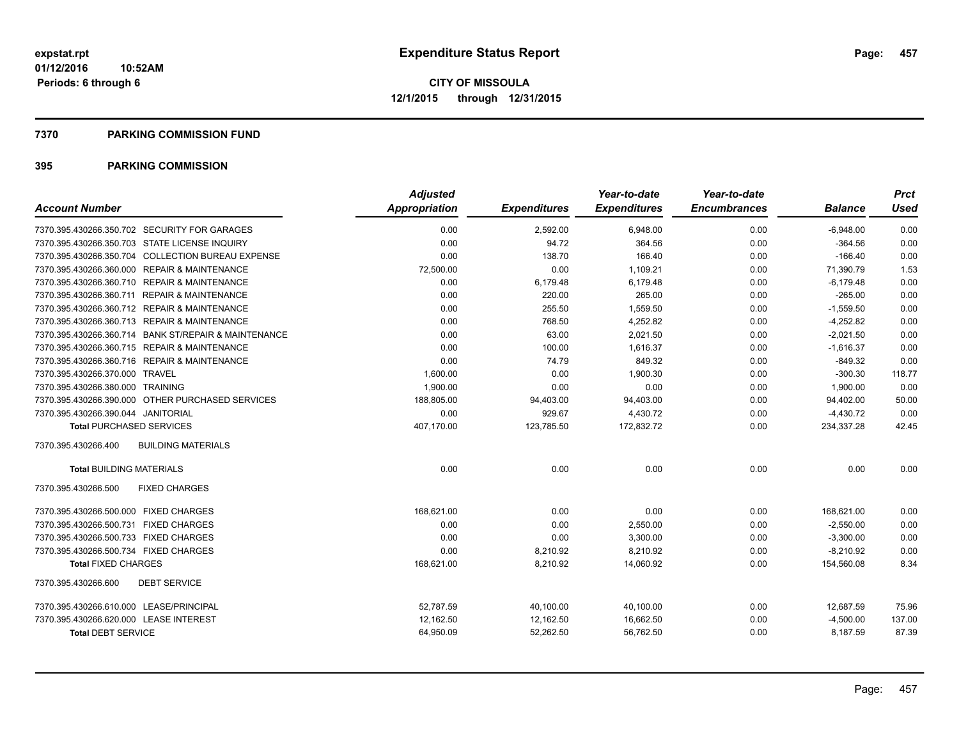#### **7370 PARKING COMMISSION FUND**

| <b>Account Number</b>                                | <b>Adjusted</b><br><b>Appropriation</b> | <b>Expenditures</b> | Year-to-date<br><b>Expenditures</b> | Year-to-date<br><b>Encumbrances</b> | <b>Balance</b> | <b>Prct</b><br><b>Used</b> |
|------------------------------------------------------|-----------------------------------------|---------------------|-------------------------------------|-------------------------------------|----------------|----------------------------|
|                                                      |                                         |                     |                                     |                                     |                |                            |
| 7370.395.430266.350.702 SECURITY FOR GARAGES         | 0.00                                    | 2,592.00            | 6,948.00                            | 0.00                                | $-6,948.00$    | 0.00                       |
| 7370.395.430266.350.703 STATE LICENSE INQUIRY        | 0.00                                    | 94.72               | 364.56                              | 0.00                                | $-364.56$      | 0.00                       |
| 7370.395.430266.350.704 COLLECTION BUREAU EXPENSE    | 0.00                                    | 138.70              | 166.40                              | 0.00                                | $-166.40$      | 0.00                       |
| 7370.395.430266.360.000 REPAIR & MAINTENANCE         | 72,500.00                               | 0.00                | 1.109.21                            | 0.00                                | 71,390.79      | 1.53                       |
| 7370.395.430266.360.710 REPAIR & MAINTENANCE         | 0.00                                    | 6,179.48            | 6,179.48                            | 0.00                                | $-6,179.48$    | 0.00                       |
| 7370.395.430266.360.711 REPAIR & MAINTENANCE         | 0.00                                    | 220.00              | 265.00                              | 0.00                                | $-265.00$      | 0.00                       |
| 7370.395.430266.360.712 REPAIR & MAINTENANCE         | 0.00                                    | 255.50              | 1,559.50                            | 0.00                                | $-1,559.50$    | 0.00                       |
| 7370.395.430266.360.713 REPAIR & MAINTENANCE         | 0.00                                    | 768.50              | 4,252.82                            | 0.00                                | $-4,252.82$    | 0.00                       |
| 7370.395.430266.360.714 BANK ST/REPAIR & MAINTENANCE | 0.00                                    | 63.00               | 2,021.50                            | 0.00                                | $-2,021.50$    | 0.00                       |
| 7370.395.430266.360.715 REPAIR & MAINTENANCE         | 0.00                                    | 100.00              | 1.616.37                            | 0.00                                | $-1,616.37$    | 0.00                       |
| 7370.395.430266.360.716 REPAIR & MAINTENANCE         | 0.00                                    | 74.79               | 849.32                              | 0.00                                | $-849.32$      | 0.00                       |
| 7370.395.430266.370.000 TRAVEL                       | 1.600.00                                | 0.00                | 1.900.30                            | 0.00                                | $-300.30$      | 118.77                     |
| 7370.395.430266.380.000 TRAINING                     | 1,900.00                                | 0.00                | 0.00                                | 0.00                                | 1,900.00       | 0.00                       |
| 7370.395.430266.390.000 OTHER PURCHASED SERVICES     | 188,805.00                              | 94,403.00           | 94,403.00                           | 0.00                                | 94,402.00      | 50.00                      |
| 7370.395.430266.390.044 JANITORIAL                   | 0.00                                    | 929.67              | 4,430.72                            | 0.00                                | $-4,430.72$    | 0.00                       |
| <b>Total PURCHASED SERVICES</b>                      | 407,170.00                              | 123,785.50          | 172,832.72                          | 0.00                                | 234,337.28     | 42.45                      |
| 7370.395.430266.400<br><b>BUILDING MATERIALS</b>     |                                         |                     |                                     |                                     |                |                            |
| <b>Total BUILDING MATERIALS</b>                      | 0.00                                    | 0.00                | 0.00                                | 0.00                                | 0.00           | 0.00                       |
| 7370.395.430266.500<br><b>FIXED CHARGES</b>          |                                         |                     |                                     |                                     |                |                            |
| 7370.395.430266.500.000 FIXED CHARGES                | 168.621.00                              | 0.00                | 0.00                                | 0.00                                | 168,621.00     | 0.00                       |
| <b>FIXED CHARGES</b><br>7370.395.430266.500.731      | 0.00                                    | 0.00                | 2,550.00                            | 0.00                                | $-2,550.00$    | 0.00                       |
| 7370.395.430266.500.733 FIXED CHARGES                | 0.00                                    | 0.00                | 3,300.00                            | 0.00                                | $-3,300.00$    | 0.00                       |
| 7370.395.430266.500.734 FIXED CHARGES                | 0.00                                    | 8,210.92            | 8,210.92                            | 0.00                                | $-8.210.92$    | 0.00                       |
| <b>Total FIXED CHARGES</b>                           | 168,621.00                              | 8,210.92            | 14,060.92                           | 0.00                                | 154,560.08     | 8.34                       |
| <b>DEBT SERVICE</b><br>7370.395.430266.600           |                                         |                     |                                     |                                     |                |                            |
| 7370.395.430266.610.000 LEASE/PRINCIPAL              | 52.787.59                               | 40,100.00           | 40,100.00                           | 0.00                                | 12.687.59      | 75.96                      |
| 7370.395.430266.620.000 LEASE INTEREST               | 12,162.50                               | 12,162.50           | 16,662.50                           | 0.00                                | $-4,500.00$    | 137.00                     |
| <b>Total DEBT SERVICE</b>                            | 64,950.09                               | 52,262.50           | 56,762.50                           | 0.00                                | 8,187.59       | 87.39                      |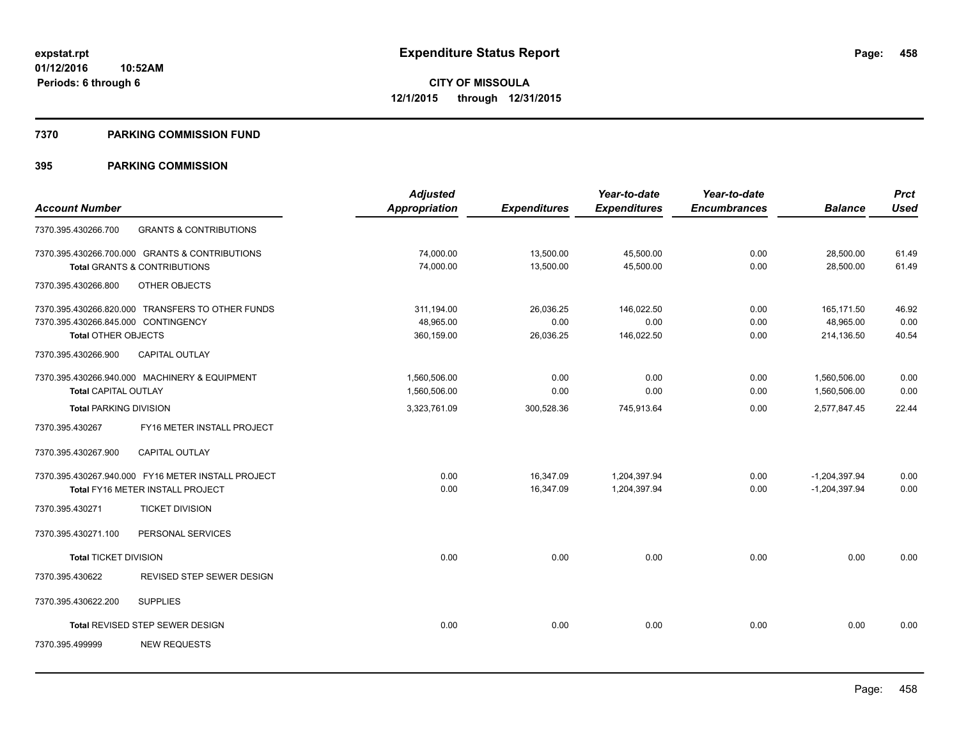#### **7370 PARKING COMMISSION FUND**

|                                                    | <b>Adjusted</b>                                                                                              |                                                       | Year-to-date                   | Year-to-date                    |                      | <b>Prct</b>                          |
|----------------------------------------------------|--------------------------------------------------------------------------------------------------------------|-------------------------------------------------------|--------------------------------|---------------------------------|----------------------|--------------------------------------|
|                                                    |                                                                                                              | <b>Expenditures</b>                                   | <b>Expenditures</b>            | <b>Encumbrances</b>             | <b>Balance</b>       | <b>Used</b>                          |
| <b>GRANTS &amp; CONTRIBUTIONS</b>                  |                                                                                                              |                                                       |                                |                                 |                      |                                      |
| 7370.395.430266.700.000 GRANTS & CONTRIBUTIONS     | 74,000.00                                                                                                    | 13,500.00                                             | 45,500.00                      | 0.00                            | 28,500.00            | 61.49                                |
|                                                    |                                                                                                              |                                                       |                                |                                 |                      | 61.49                                |
| OTHER OBJECTS                                      |                                                                                                              |                                                       |                                |                                 |                      |                                      |
| 7370.395.430266.820.000 TRANSFERS TO OTHER FUNDS   | 311,194.00                                                                                                   | 26,036.25                                             | 146,022.50                     | 0.00                            | 165,171.50           | 46.92                                |
|                                                    |                                                                                                              |                                                       |                                |                                 |                      | 0.00                                 |
|                                                    |                                                                                                              |                                                       |                                |                                 |                      | 40.54                                |
| <b>CAPITAL OUTLAY</b>                              |                                                                                                              |                                                       |                                |                                 |                      |                                      |
| 7370.395.430266.940.000 MACHINERY & EQUIPMENT      | 1,560,506.00                                                                                                 | 0.00                                                  | 0.00                           | 0.00                            | 1,560,506.00         | 0.00                                 |
| <b>Total CAPITAL OUTLAY</b>                        | 1,560,506.00                                                                                                 | 0.00                                                  | 0.00                           | 0.00                            | 1,560,506.00         | 0.00                                 |
| <b>Total PARKING DIVISION</b>                      | 3,323,761.09                                                                                                 | 300,528.36                                            | 745,913.64                     | 0.00                            | 2,577,847.45         | 22.44                                |
| FY16 METER INSTALL PROJECT                         |                                                                                                              |                                                       |                                |                                 |                      |                                      |
| CAPITAL OUTLAY                                     |                                                                                                              |                                                       |                                |                                 |                      |                                      |
| 7370.395.430267.940.000 FY16 METER INSTALL PROJECT | 0.00                                                                                                         | 16,347.09                                             | 1,204,397.94                   | 0.00                            | $-1,204,397.94$      | 0.00                                 |
| Total FY16 METER INSTALL PROJECT                   | 0.00                                                                                                         | 16,347.09                                             | 1,204,397.94                   | 0.00                            | $-1,204,397.94$      | 0.00                                 |
| <b>TICKET DIVISION</b>                             |                                                                                                              |                                                       |                                |                                 |                      |                                      |
| PERSONAL SERVICES                                  |                                                                                                              |                                                       |                                |                                 |                      |                                      |
| <b>Total TICKET DIVISION</b>                       | 0.00                                                                                                         | 0.00                                                  | 0.00                           | 0.00                            | 0.00                 | 0.00                                 |
| REVISED STEP SEWER DESIGN                          |                                                                                                              |                                                       |                                |                                 |                      |                                      |
| <b>SUPPLIES</b>                                    |                                                                                                              |                                                       |                                |                                 |                      |                                      |
| Total REVISED STEP SEWER DESIGN                    | 0.00                                                                                                         | 0.00                                                  | 0.00                           | 0.00                            | 0.00                 | 0.00                                 |
| <b>NEW REQUESTS</b>                                |                                                                                                              |                                                       |                                |                                 |                      |                                      |
|                                                    | <b>Total GRANTS &amp; CONTRIBUTIONS</b><br>7370.395.430266.845.000 CONTINGENCY<br><b>Total OTHER OBJECTS</b> | Appropriation<br>74,000.00<br>48.965.00<br>360,159.00 | 13,500.00<br>0.00<br>26,036.25 | 45,500.00<br>0.00<br>146,022.50 | 0.00<br>0.00<br>0.00 | 28,500.00<br>48,965.00<br>214,136.50 |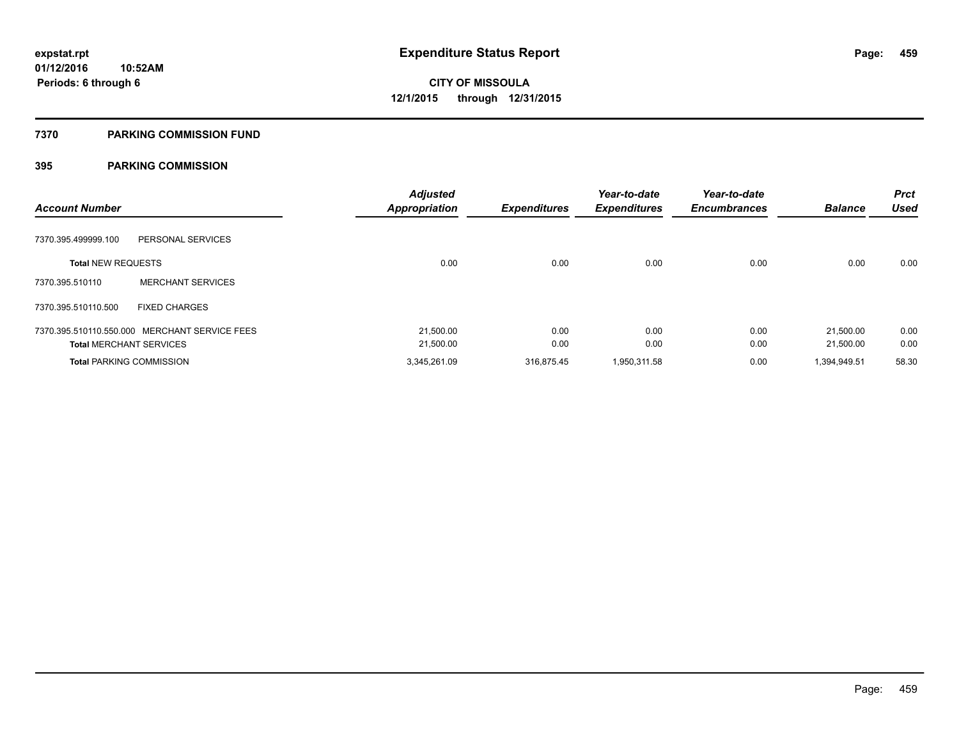#### **7370 PARKING COMMISSION FUND**

| <b>Account Number</b>           |                                               | <b>Adjusted</b><br><b>Appropriation</b> | <b>Expenditures</b> | Year-to-date<br><b>Expenditures</b> | Year-to-date<br><b>Encumbrances</b> | <b>Balance</b> | <b>Prct</b><br><b>Used</b> |
|---------------------------------|-----------------------------------------------|-----------------------------------------|---------------------|-------------------------------------|-------------------------------------|----------------|----------------------------|
| 7370.395.499999.100             | PERSONAL SERVICES                             |                                         |                     |                                     |                                     |                |                            |
| <b>Total NEW REQUESTS</b>       |                                               | 0.00                                    | 0.00                | 0.00                                | 0.00                                | 0.00           | 0.00                       |
| 7370.395.510110                 | <b>MERCHANT SERVICES</b>                      |                                         |                     |                                     |                                     |                |                            |
| 7370.395.510110.500             | <b>FIXED CHARGES</b>                          |                                         |                     |                                     |                                     |                |                            |
|                                 | 7370.395.510110.550.000 MERCHANT SERVICE FEES | 21,500.00                               | 0.00                | 0.00                                | 0.00                                | 21,500.00      | 0.00                       |
| <b>Total MERCHANT SERVICES</b>  |                                               | 21,500.00                               | 0.00                | 0.00                                | 0.00                                | 21,500.00      | 0.00                       |
| <b>Total PARKING COMMISSION</b> |                                               | 3.345.261.09                            | 316.875.45          | 1.950.311.58                        | 0.00                                | 1.394.949.51   | 58.30                      |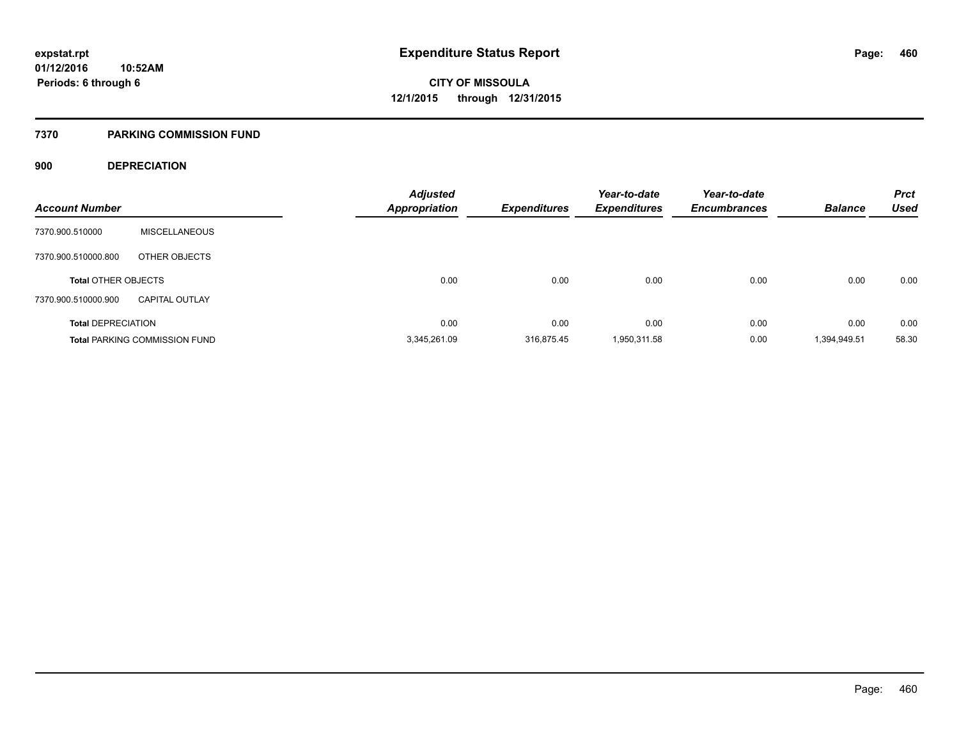#### **7370 PARKING COMMISSION FUND**

## **900 DEPRECIATION**

| <b>Account Number</b>      |                                      | <b>Adjusted</b><br><b>Appropriation</b> | <b>Expenditures</b> | Year-to-date<br><b>Expenditures</b> | Year-to-date<br><b>Encumbrances</b> | <b>Balance</b> | <b>Prct</b><br><b>Used</b> |
|----------------------------|--------------------------------------|-----------------------------------------|---------------------|-------------------------------------|-------------------------------------|----------------|----------------------------|
|                            |                                      |                                         |                     |                                     |                                     |                |                            |
| 7370.900.510000            | <b>MISCELLANEOUS</b>                 |                                         |                     |                                     |                                     |                |                            |
| 7370.900.510000.800        | OTHER OBJECTS                        |                                         |                     |                                     |                                     |                |                            |
| <b>Total OTHER OBJECTS</b> |                                      | 0.00                                    | 0.00                | 0.00                                | 0.00                                | 0.00           | 0.00                       |
| 7370.900.510000.900        | <b>CAPITAL OUTLAY</b>                |                                         |                     |                                     |                                     |                |                            |
| <b>Total DEPRECIATION</b>  |                                      | 0.00                                    | 0.00                | 0.00                                | 0.00                                | 0.00           | 0.00                       |
|                            | <b>Total PARKING COMMISSION FUND</b> | 3,345,261.09                            | 316,875.45          | 1,950,311.58                        | 0.00                                | 1,394,949.51   | 58.30                      |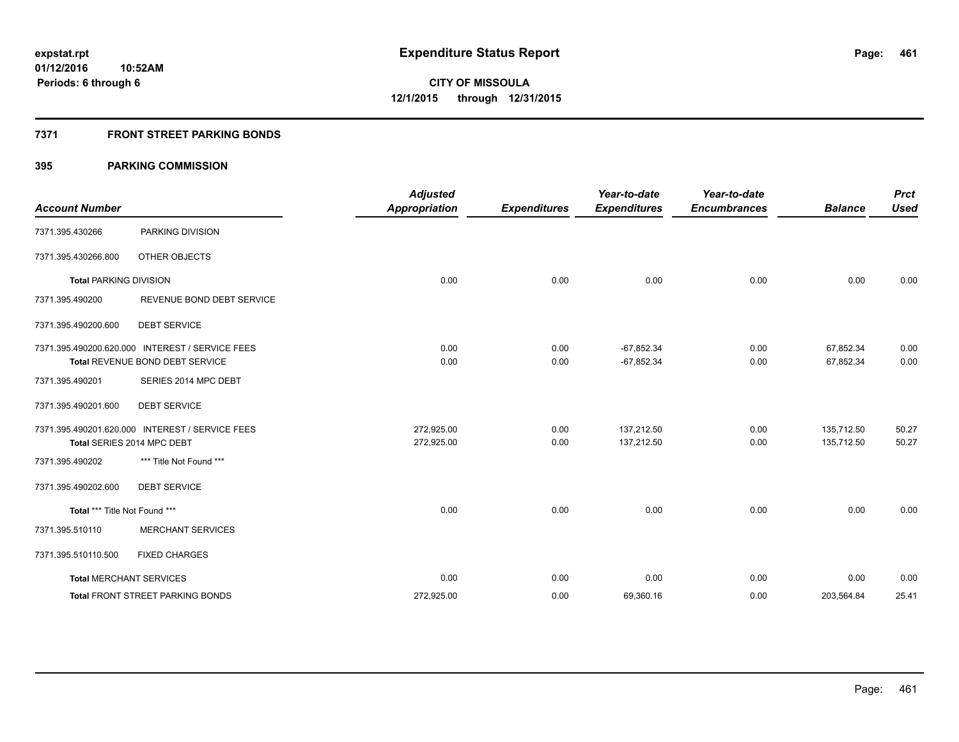## **7371 FRONT STREET PARKING BONDS**

| <b>Account Number</b>         |                                                 | <b>Adjusted</b><br><b>Appropriation</b> | <b>Expenditures</b> | Year-to-date<br><b>Expenditures</b> | Year-to-date<br><b>Encumbrances</b> | <b>Balance</b> | <b>Prct</b><br><b>Used</b> |
|-------------------------------|-------------------------------------------------|-----------------------------------------|---------------------|-------------------------------------|-------------------------------------|----------------|----------------------------|
| 7371.395.430266               | PARKING DIVISION                                |                                         |                     |                                     |                                     |                |                            |
| 7371.395.430266.800           | OTHER OBJECTS                                   |                                         |                     |                                     |                                     |                |                            |
| <b>Total PARKING DIVISION</b> |                                                 | 0.00                                    | 0.00                | 0.00                                | 0.00                                | 0.00           | 0.00                       |
| 7371.395.490200               | REVENUE BOND DEBT SERVICE                       |                                         |                     |                                     |                                     |                |                            |
| 7371.395.490200.600           | <b>DEBT SERVICE</b>                             |                                         |                     |                                     |                                     |                |                            |
|                               | 7371.395.490200.620.000 INTEREST / SERVICE FEES | 0.00                                    | 0.00                | $-67,852.34$                        | 0.00                                | 67,852.34      | 0.00                       |
|                               | <b>Total REVENUE BOND DEBT SERVICE</b>          | 0.00                                    | 0.00                | $-67,852.34$                        | 0.00                                | 67,852.34      | 0.00                       |
| 7371.395.490201               | SERIES 2014 MPC DEBT                            |                                         |                     |                                     |                                     |                |                            |
| 7371.395.490201.600           | <b>DEBT SERVICE</b>                             |                                         |                     |                                     |                                     |                |                            |
|                               | 7371.395.490201.620.000 INTEREST / SERVICE FEES | 272.925.00                              | 0.00                | 137.212.50                          | 0.00                                | 135,712.50     | 50.27                      |
|                               | Total SERIES 2014 MPC DEBT                      | 272,925.00                              | 0.00                | 137,212.50                          | 0.00                                | 135,712.50     | 50.27                      |
| 7371.395.490202               | *** Title Not Found ***                         |                                         |                     |                                     |                                     |                |                            |
| 7371.395.490202.600           | <b>DEBT SERVICE</b>                             |                                         |                     |                                     |                                     |                |                            |
| Total *** Title Not Found *** |                                                 | 0.00                                    | 0.00                | 0.00                                | 0.00                                | 0.00           | 0.00                       |
| 7371.395.510110               | <b>MERCHANT SERVICES</b>                        |                                         |                     |                                     |                                     |                |                            |
| 7371.395.510110.500           | <b>FIXED CHARGES</b>                            |                                         |                     |                                     |                                     |                |                            |
|                               | <b>Total MERCHANT SERVICES</b>                  | 0.00                                    | 0.00                | 0.00                                | 0.00                                | 0.00           | 0.00                       |
|                               | <b>Total FRONT STREET PARKING BONDS</b>         | 272,925.00                              | 0.00                | 69,360.16                           | 0.00                                | 203,564.84     | 25.41                      |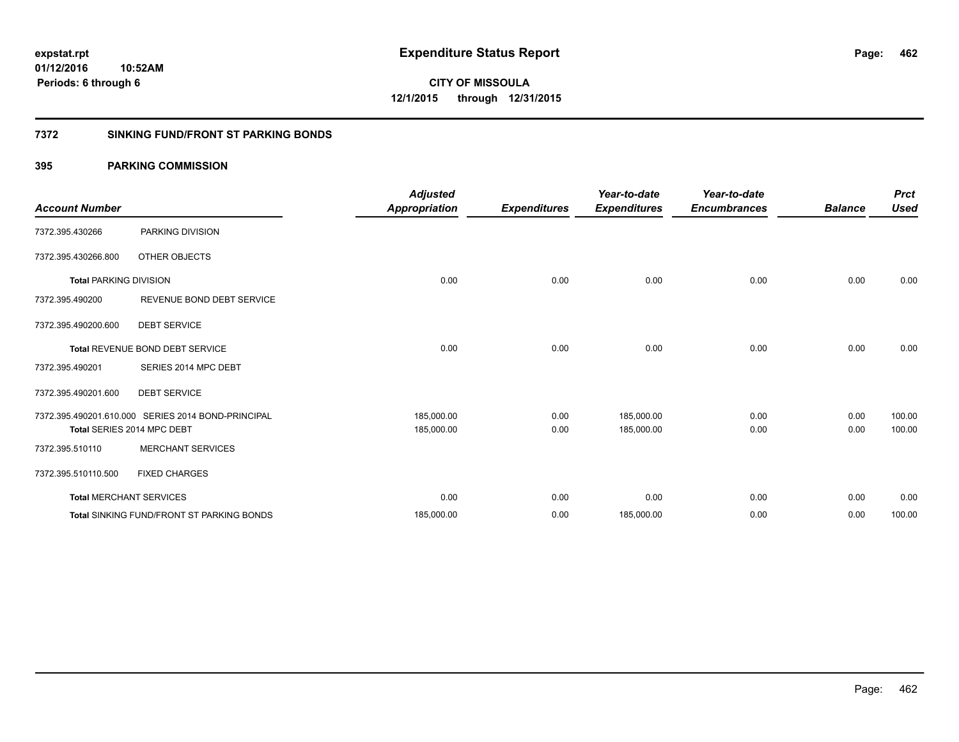## **7372 SINKING FUND/FRONT ST PARKING BONDS**

| <b>Account Number</b>         |                                                    | <b>Adjusted</b><br><b>Appropriation</b> | <b>Expenditures</b> | Year-to-date<br><b>Expenditures</b> | Year-to-date<br><b>Encumbrances</b> | <b>Balance</b> | <b>Prct</b><br><b>Used</b> |
|-------------------------------|----------------------------------------------------|-----------------------------------------|---------------------|-------------------------------------|-------------------------------------|----------------|----------------------------|
| 7372.395.430266               | PARKING DIVISION                                   |                                         |                     |                                     |                                     |                |                            |
| 7372.395.430266.800           | OTHER OBJECTS                                      |                                         |                     |                                     |                                     |                |                            |
| <b>Total PARKING DIVISION</b> |                                                    | 0.00                                    | 0.00                | 0.00                                | 0.00                                | 0.00           | 0.00                       |
| 7372.395.490200               | REVENUE BOND DEBT SERVICE                          |                                         |                     |                                     |                                     |                |                            |
| 7372.395.490200.600           | <b>DEBT SERVICE</b>                                |                                         |                     |                                     |                                     |                |                            |
|                               | <b>Total REVENUE BOND DEBT SERVICE</b>             | 0.00                                    | 0.00                | 0.00                                | 0.00                                | 0.00           | 0.00                       |
| 7372.395.490201               | SERIES 2014 MPC DEBT                               |                                         |                     |                                     |                                     |                |                            |
| 7372.395.490201.600           | <b>DEBT SERVICE</b>                                |                                         |                     |                                     |                                     |                |                            |
|                               | 7372.395.490201.610.000 SERIES 2014 BOND-PRINCIPAL | 185,000.00                              | 0.00                | 185,000.00                          | 0.00                                | 0.00           | 100.00                     |
|                               | Total SERIES 2014 MPC DEBT                         | 185,000.00                              | 0.00                | 185,000.00                          | 0.00                                | 0.00           | 100.00                     |
| 7372.395.510110               | <b>MERCHANT SERVICES</b>                           |                                         |                     |                                     |                                     |                |                            |
| 7372.395.510110.500           | <b>FIXED CHARGES</b>                               |                                         |                     |                                     |                                     |                |                            |
|                               | <b>Total MERCHANT SERVICES</b>                     | 0.00                                    | 0.00                | 0.00                                | 0.00                                | 0.00           | 0.00                       |
|                               | <b>Total SINKING FUND/FRONT ST PARKING BONDS</b>   | 185,000.00                              | 0.00                | 185,000.00                          | 0.00                                | 0.00           | 100.00                     |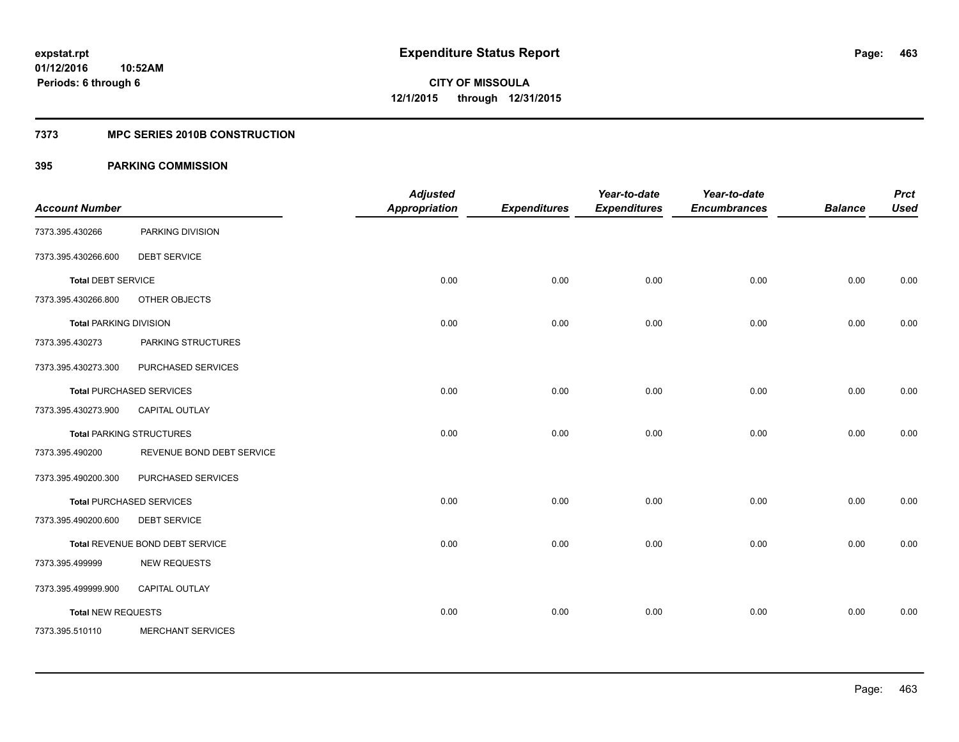## **7373 MPC SERIES 2010B CONSTRUCTION**

| <b>Account Number</b>         |                                 | <b>Adjusted</b><br><b>Appropriation</b> | <b>Expenditures</b> | Year-to-date<br><b>Expenditures</b> | Year-to-date<br><b>Encumbrances</b> | <b>Balance</b> | <b>Prct</b><br><b>Used</b> |
|-------------------------------|---------------------------------|-----------------------------------------|---------------------|-------------------------------------|-------------------------------------|----------------|----------------------------|
| 7373.395.430266               | PARKING DIVISION                |                                         |                     |                                     |                                     |                |                            |
| 7373.395.430266.600           | <b>DEBT SERVICE</b>             |                                         |                     |                                     |                                     |                |                            |
| <b>Total DEBT SERVICE</b>     |                                 | 0.00                                    | 0.00                | 0.00                                | 0.00                                | 0.00           | 0.00                       |
| 7373.395.430266.800           | OTHER OBJECTS                   |                                         |                     |                                     |                                     |                |                            |
| <b>Total PARKING DIVISION</b> |                                 | 0.00                                    | 0.00                | 0.00                                | 0.00                                | 0.00           | 0.00                       |
| 7373.395.430273               | PARKING STRUCTURES              |                                         |                     |                                     |                                     |                |                            |
| 7373.395.430273.300           | PURCHASED SERVICES              |                                         |                     |                                     |                                     |                |                            |
|                               | <b>Total PURCHASED SERVICES</b> | 0.00                                    | 0.00                | 0.00                                | 0.00                                | 0.00           | 0.00                       |
| 7373.395.430273.900           | <b>CAPITAL OUTLAY</b>           |                                         |                     |                                     |                                     |                |                            |
|                               | <b>Total PARKING STRUCTURES</b> | 0.00                                    | 0.00                | 0.00                                | 0.00                                | 0.00           | 0.00                       |
| 7373.395.490200               | REVENUE BOND DEBT SERVICE       |                                         |                     |                                     |                                     |                |                            |
| 7373.395.490200.300           | PURCHASED SERVICES              |                                         |                     |                                     |                                     |                |                            |
|                               | <b>Total PURCHASED SERVICES</b> | 0.00                                    | 0.00                | 0.00                                | 0.00                                | 0.00           | 0.00                       |
| 7373.395.490200.600           | <b>DEBT SERVICE</b>             |                                         |                     |                                     |                                     |                |                            |
|                               | Total REVENUE BOND DEBT SERVICE | 0.00                                    | 0.00                | 0.00                                | 0.00                                | 0.00           | 0.00                       |
| 7373.395.499999               | <b>NEW REQUESTS</b>             |                                         |                     |                                     |                                     |                |                            |
| 7373.395.499999.900           | CAPITAL OUTLAY                  |                                         |                     |                                     |                                     |                |                            |
| <b>Total NEW REQUESTS</b>     |                                 | 0.00                                    | 0.00                | 0.00                                | 0.00                                | 0.00           | 0.00                       |
| 7373.395.510110               | <b>MERCHANT SERVICES</b>        |                                         |                     |                                     |                                     |                |                            |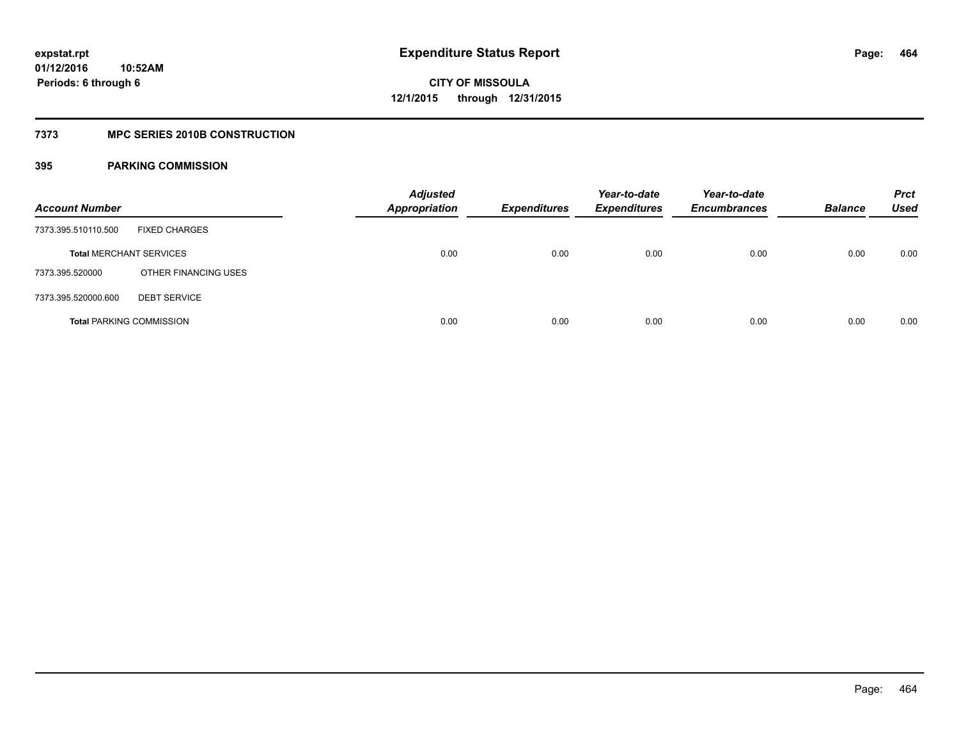## **7373 MPC SERIES 2010B CONSTRUCTION**

| <b>Account Number</b>           |                      | <b>Adjusted</b><br><b>Appropriation</b> | <b>Expenditures</b> | Year-to-date<br><b>Expenditures</b> | Year-to-date<br><b>Encumbrances</b> | <b>Balance</b> | <b>Prct</b><br>Used |
|---------------------------------|----------------------|-----------------------------------------|---------------------|-------------------------------------|-------------------------------------|----------------|---------------------|
| 7373.395.510110.500             | <b>FIXED CHARGES</b> |                                         |                     |                                     |                                     |                |                     |
| <b>Total MERCHANT SERVICES</b>  |                      | 0.00                                    | 0.00                | 0.00                                | 0.00                                | 0.00           | 0.00                |
| 7373.395.520000                 | OTHER FINANCING USES |                                         |                     |                                     |                                     |                |                     |
| 7373.395.520000.600             | <b>DEBT SERVICE</b>  |                                         |                     |                                     |                                     |                |                     |
| <b>Total PARKING COMMISSION</b> |                      | 0.00                                    | 0.00                | 0.00                                | 0.00                                | 0.00           | 0.00                |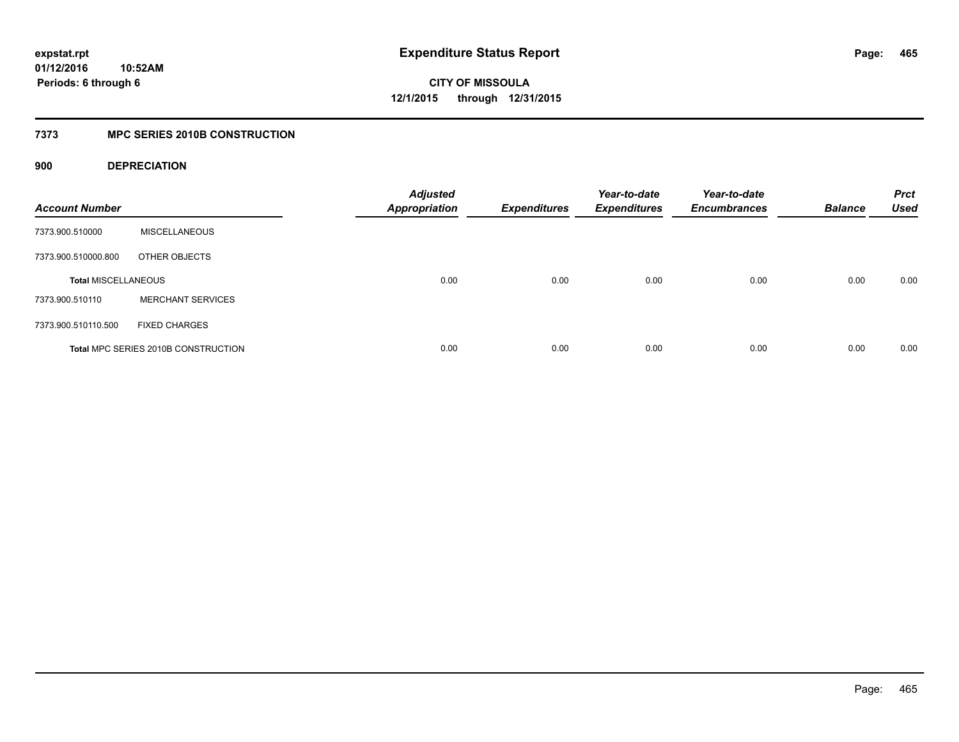## **7373 MPC SERIES 2010B CONSTRUCTION**

## **900 DEPRECIATION**

| <b>Account Number</b>      |                                     | <b>Adjusted</b><br><b>Appropriation</b> | <b>Expenditures</b> | Year-to-date<br><b>Expenditures</b> | Year-to-date<br><b>Encumbrances</b> | <b>Balance</b> | <b>Prct</b><br><b>Used</b> |
|----------------------------|-------------------------------------|-----------------------------------------|---------------------|-------------------------------------|-------------------------------------|----------------|----------------------------|
| 7373.900.510000            | <b>MISCELLANEOUS</b>                |                                         |                     |                                     |                                     |                |                            |
| 7373.900.510000.800        | OTHER OBJECTS                       |                                         |                     |                                     |                                     |                |                            |
| <b>Total MISCELLANEOUS</b> |                                     | 0.00                                    | 0.00                | 0.00                                | 0.00                                | 0.00           | 0.00                       |
| 7373.900.510110            | <b>MERCHANT SERVICES</b>            |                                         |                     |                                     |                                     |                |                            |
| 7373.900.510110.500        | <b>FIXED CHARGES</b>                |                                         |                     |                                     |                                     |                |                            |
|                            | Total MPC SERIES 2010B CONSTRUCTION | 0.00                                    | 0.00                | 0.00                                | 0.00                                | 0.00           | 0.00                       |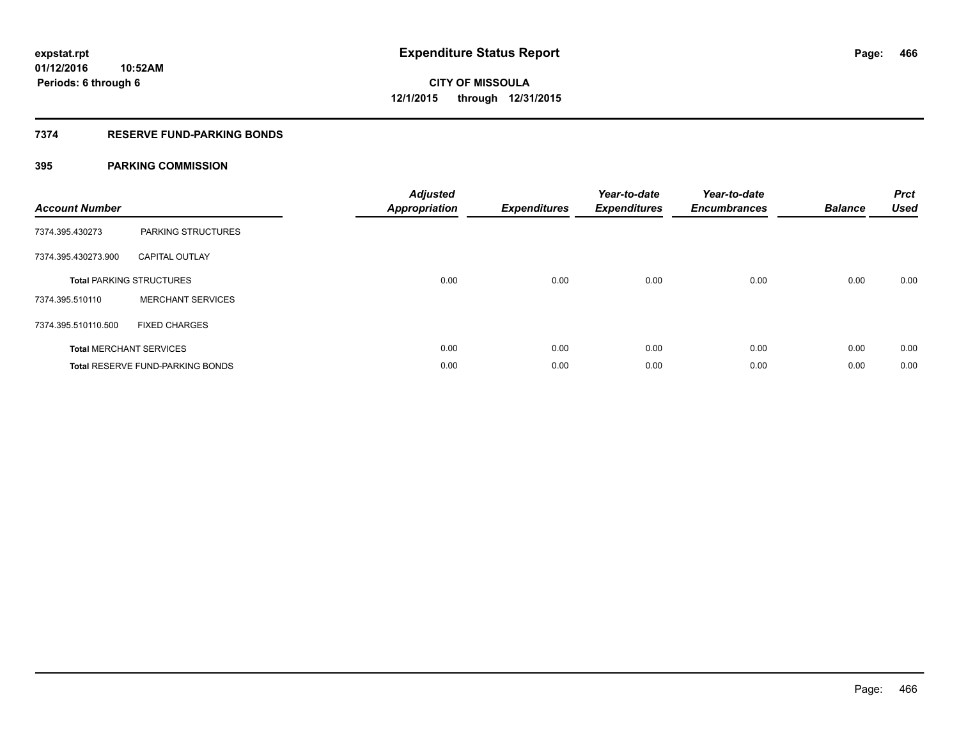## **7374 RESERVE FUND-PARKING BONDS**

| <b>Account Number</b> |                                         | <b>Adjusted</b><br>Appropriation | <b>Expenditures</b> | Year-to-date<br><b>Expenditures</b> | Year-to-date<br><b>Encumbrances</b> | <b>Balance</b> | <b>Prct</b><br><b>Used</b> |
|-----------------------|-----------------------------------------|----------------------------------|---------------------|-------------------------------------|-------------------------------------|----------------|----------------------------|
| 7374.395.430273       | PARKING STRUCTURES                      |                                  |                     |                                     |                                     |                |                            |
| 7374.395.430273.900   | <b>CAPITAL OUTLAY</b>                   |                                  |                     |                                     |                                     |                |                            |
|                       | <b>Total PARKING STRUCTURES</b>         | 0.00                             | 0.00                | 0.00                                | 0.00                                | 0.00           | 0.00                       |
| 7374.395.510110       | <b>MERCHANT SERVICES</b>                |                                  |                     |                                     |                                     |                |                            |
| 7374.395.510110.500   | <b>FIXED CHARGES</b>                    |                                  |                     |                                     |                                     |                |                            |
|                       | <b>Total MERCHANT SERVICES</b>          | 0.00                             | 0.00                | 0.00                                | 0.00                                | 0.00           | 0.00                       |
|                       | <b>Total RESERVE FUND-PARKING BONDS</b> | 0.00                             | 0.00                | 0.00                                | 0.00                                | 0.00           | 0.00                       |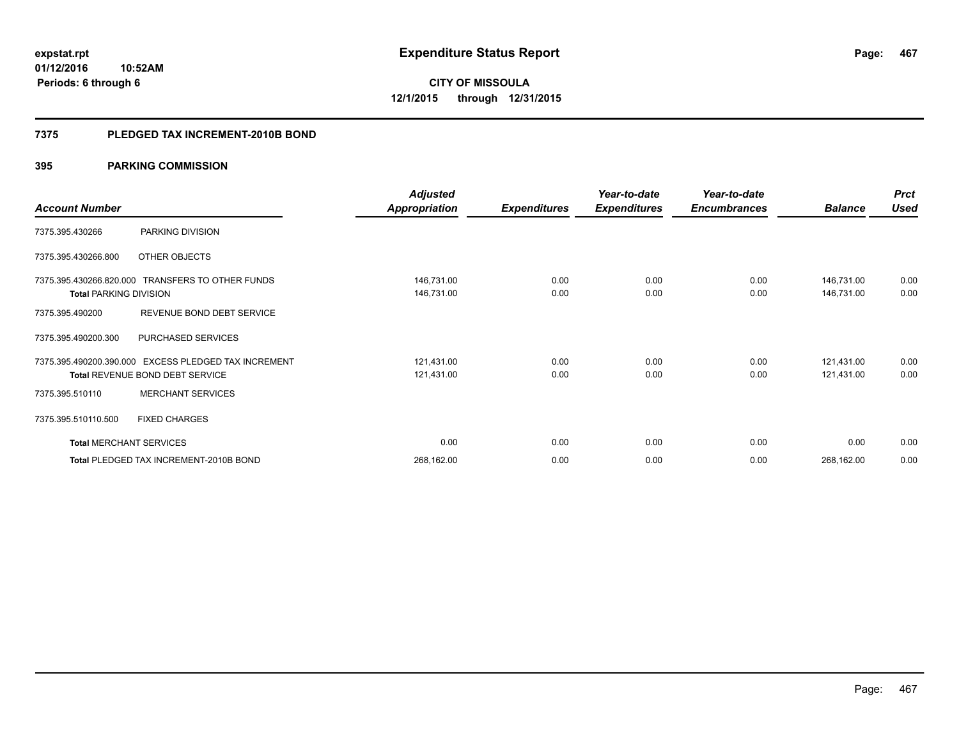#### **7375 PLEDGED TAX INCREMENT-2010B BOND**

|                                |                                                      | <b>Adjusted</b>      |                     | Year-to-date        | Year-to-date        |                | <b>Prct</b> |
|--------------------------------|------------------------------------------------------|----------------------|---------------------|---------------------|---------------------|----------------|-------------|
| <b>Account Number</b>          |                                                      | <b>Appropriation</b> | <b>Expenditures</b> | <b>Expenditures</b> | <b>Encumbrances</b> | <b>Balance</b> | <b>Used</b> |
| 7375.395.430266                | PARKING DIVISION                                     |                      |                     |                     |                     |                |             |
| 7375.395.430266.800            | OTHER OBJECTS                                        |                      |                     |                     |                     |                |             |
|                                | 7375.395.430266.820.000 TRANSFERS TO OTHER FUNDS     | 146,731.00           | 0.00                | 0.00                | 0.00                | 146,731.00     | 0.00        |
| <b>Total PARKING DIVISION</b>  |                                                      | 146,731.00           | 0.00                | 0.00                | 0.00                | 146,731.00     | 0.00        |
| 7375.395.490200                | REVENUE BOND DEBT SERVICE                            |                      |                     |                     |                     |                |             |
| 7375.395.490200.300            | PURCHASED SERVICES                                   |                      |                     |                     |                     |                |             |
|                                | 7375.395.490200.390.000 EXCESS PLEDGED TAX INCREMENT | 121,431.00           | 0.00                | 0.00                | 0.00                | 121,431.00     | 0.00        |
|                                | <b>Total REVENUE BOND DEBT SERVICE</b>               | 121,431.00           | 0.00                | 0.00                | 0.00                | 121,431.00     | 0.00        |
| 7375.395.510110                | <b>MERCHANT SERVICES</b>                             |                      |                     |                     |                     |                |             |
| 7375.395.510110.500            | <b>FIXED CHARGES</b>                                 |                      |                     |                     |                     |                |             |
| <b>Total MERCHANT SERVICES</b> |                                                      | 0.00                 | 0.00                | 0.00                | 0.00                | 0.00           | 0.00        |
|                                | Total PLEDGED TAX INCREMENT-2010B BOND               | 268,162.00           | 0.00                | 0.00                | 0.00                | 268,162.00     | 0.00        |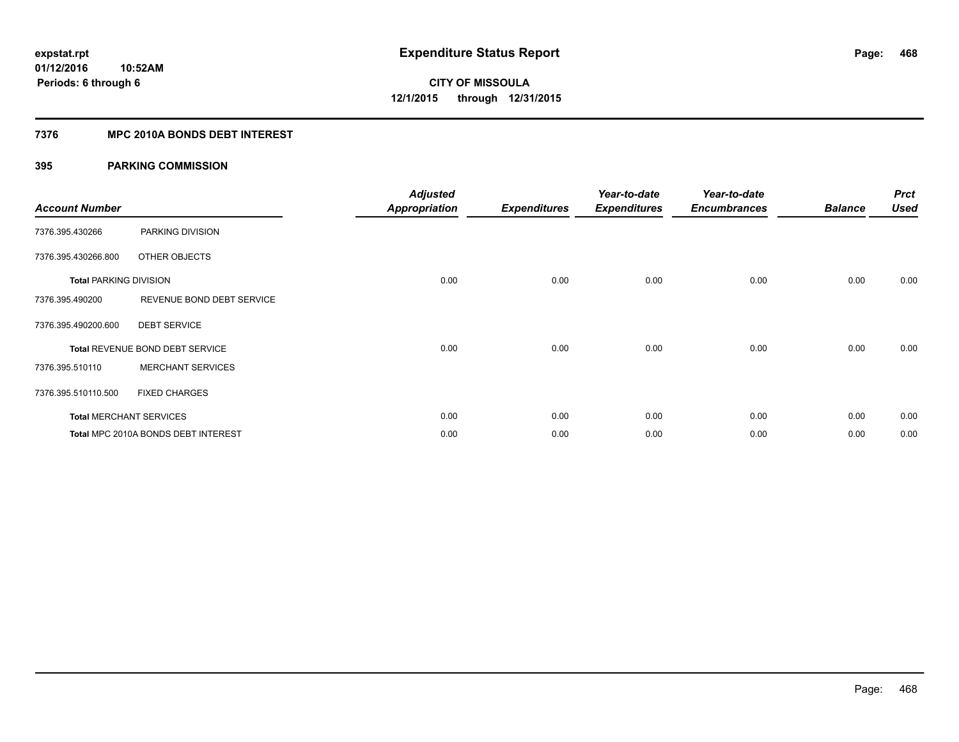## **7376 MPC 2010A BONDS DEBT INTEREST**

| <b>Account Number</b>         |                                     | <b>Adjusted</b><br><b>Appropriation</b> | <b>Expenditures</b> | Year-to-date<br><b>Expenditures</b> | Year-to-date<br><b>Encumbrances</b> | <b>Balance</b> | <b>Prct</b><br><b>Used</b> |
|-------------------------------|-------------------------------------|-----------------------------------------|---------------------|-------------------------------------|-------------------------------------|----------------|----------------------------|
| 7376.395.430266               | PARKING DIVISION                    |                                         |                     |                                     |                                     |                |                            |
| 7376.395.430266.800           | OTHER OBJECTS                       |                                         |                     |                                     |                                     |                |                            |
| <b>Total PARKING DIVISION</b> |                                     | 0.00                                    | 0.00                | 0.00                                | 0.00                                | 0.00           | 0.00                       |
| 7376.395.490200               | REVENUE BOND DEBT SERVICE           |                                         |                     |                                     |                                     |                |                            |
| 7376.395.490200.600           | <b>DEBT SERVICE</b>                 |                                         |                     |                                     |                                     |                |                            |
|                               | Total REVENUE BOND DEBT SERVICE     | 0.00                                    | 0.00                | 0.00                                | 0.00                                | 0.00           | 0.00                       |
| 7376.395.510110               | <b>MERCHANT SERVICES</b>            |                                         |                     |                                     |                                     |                |                            |
| 7376.395.510110.500           | <b>FIXED CHARGES</b>                |                                         |                     |                                     |                                     |                |                            |
|                               | <b>Total MERCHANT SERVICES</b>      | 0.00                                    | 0.00                | 0.00                                | 0.00                                | 0.00           | 0.00                       |
|                               | Total MPC 2010A BONDS DEBT INTEREST | 0.00                                    | 0.00                | 0.00                                | 0.00                                | 0.00           | 0.00                       |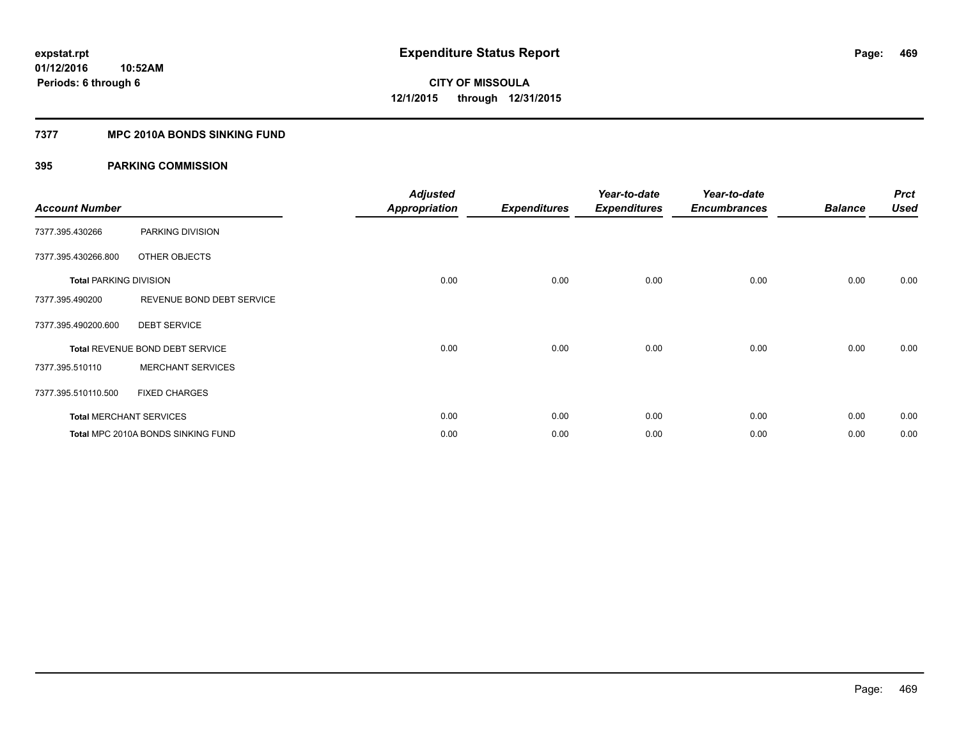### **7377 MPC 2010A BONDS SINKING FUND**

## **395 PARKING COMMISSION**

| <b>Account Number</b>         |                                    | <b>Adjusted</b><br><b>Appropriation</b> | <b>Expenditures</b> | Year-to-date<br><b>Expenditures</b> | Year-to-date<br><b>Encumbrances</b> | <b>Balance</b> | <b>Prct</b><br><b>Used</b> |
|-------------------------------|------------------------------------|-----------------------------------------|---------------------|-------------------------------------|-------------------------------------|----------------|----------------------------|
| 7377.395.430266               | PARKING DIVISION                   |                                         |                     |                                     |                                     |                |                            |
| 7377.395.430266.800           | <b>OTHER OBJECTS</b>               |                                         |                     |                                     |                                     |                |                            |
| <b>Total PARKING DIVISION</b> |                                    | 0.00                                    | 0.00                | 0.00                                | 0.00                                | 0.00           | 0.00                       |
| 7377.395.490200               | REVENUE BOND DEBT SERVICE          |                                         |                     |                                     |                                     |                |                            |
| 7377.395.490200.600           | <b>DEBT SERVICE</b>                |                                         |                     |                                     |                                     |                |                            |
|                               | Total REVENUE BOND DEBT SERVICE    | 0.00                                    | 0.00                | 0.00                                | 0.00                                | 0.00           | 0.00                       |
| 7377.395.510110               | <b>MERCHANT SERVICES</b>           |                                         |                     |                                     |                                     |                |                            |
| 7377.395.510110.500           | <b>FIXED CHARGES</b>               |                                         |                     |                                     |                                     |                |                            |
|                               | <b>Total MERCHANT SERVICES</b>     | 0.00                                    | 0.00                | 0.00                                | 0.00                                | 0.00           | 0.00                       |
|                               | Total MPC 2010A BONDS SINKING FUND | 0.00                                    | 0.00                | 0.00                                | 0.00                                | 0.00           | 0.00                       |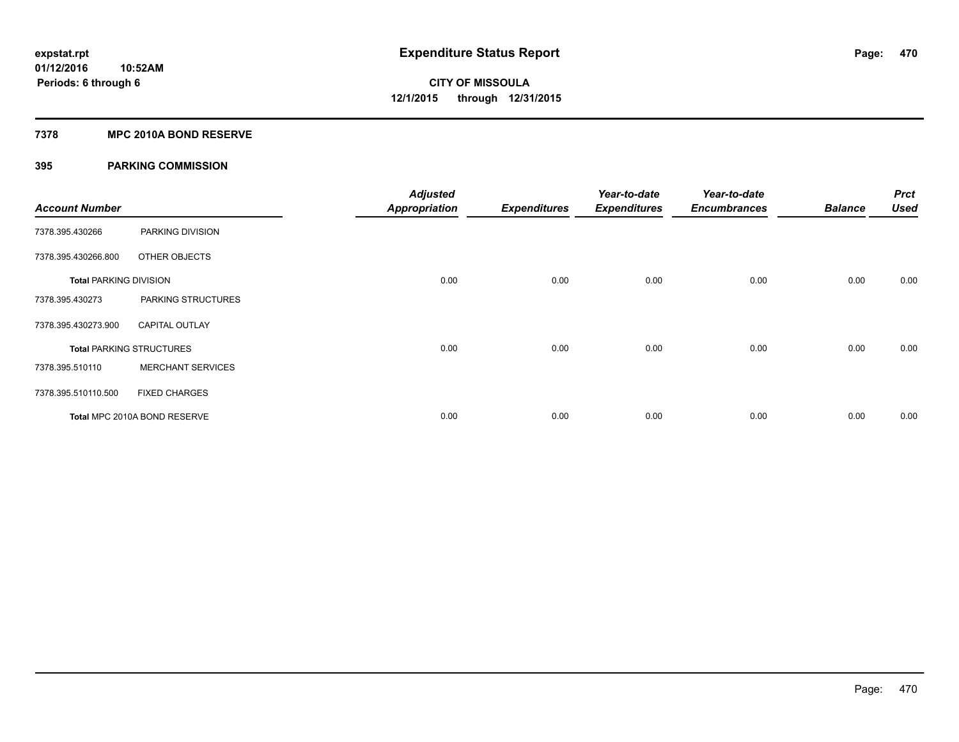### **7378 MPC 2010A BOND RESERVE**

### **395 PARKING COMMISSION**

| <b>Account Number</b>         |                                 | <b>Adjusted</b><br><b>Appropriation</b> | <b>Expenditures</b> | Year-to-date<br><b>Expenditures</b> | Year-to-date<br><b>Encumbrances</b> | <b>Balance</b> | <b>Prct</b><br><b>Used</b> |
|-------------------------------|---------------------------------|-----------------------------------------|---------------------|-------------------------------------|-------------------------------------|----------------|----------------------------|
| 7378.395.430266               | PARKING DIVISION                |                                         |                     |                                     |                                     |                |                            |
| 7378.395.430266.800           | OTHER OBJECTS                   |                                         |                     |                                     |                                     |                |                            |
| <b>Total PARKING DIVISION</b> |                                 | 0.00                                    | 0.00                | 0.00                                | 0.00                                | 0.00           | 0.00                       |
| 7378.395.430273               | PARKING STRUCTURES              |                                         |                     |                                     |                                     |                |                            |
| 7378.395.430273.900           | <b>CAPITAL OUTLAY</b>           |                                         |                     |                                     |                                     |                |                            |
|                               | <b>Total PARKING STRUCTURES</b> | 0.00                                    | 0.00                | 0.00                                | 0.00                                | 0.00           | 0.00                       |
| 7378.395.510110               | <b>MERCHANT SERVICES</b>        |                                         |                     |                                     |                                     |                |                            |
| 7378.395.510110.500           | <b>FIXED CHARGES</b>            |                                         |                     |                                     |                                     |                |                            |
|                               | Total MPC 2010A BOND RESERVE    | 0.00                                    | 0.00                | 0.00                                | 0.00                                | 0.00           | 0.00                       |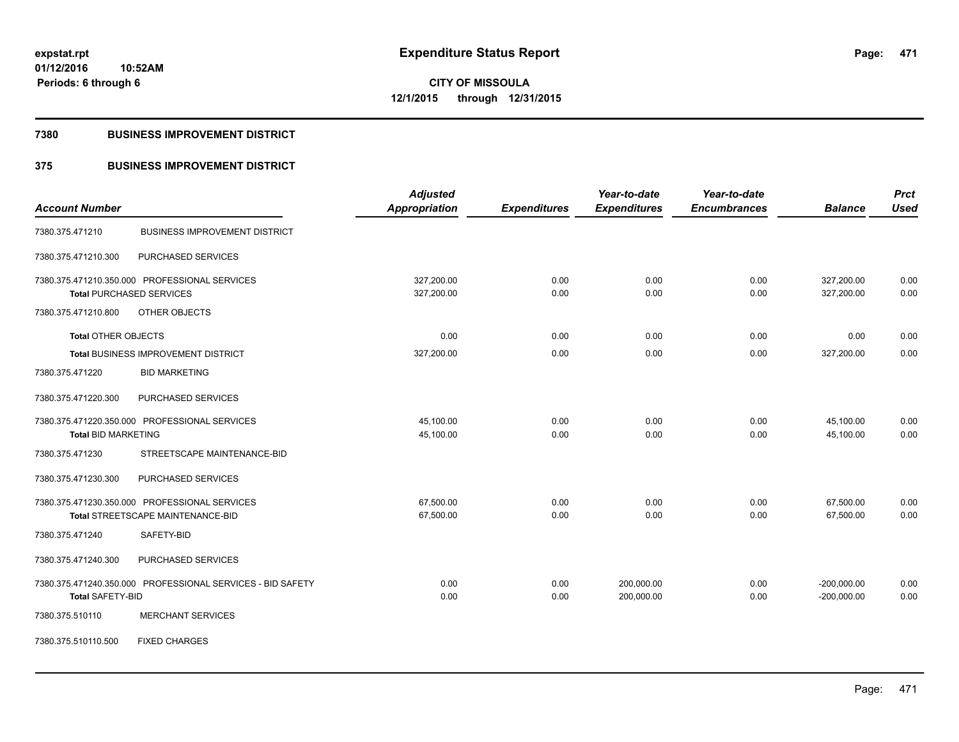**Periods: 6 through 6**

**CITY OF MISSOULA 12/1/2015 through 12/31/2015**

#### **7380 BUSINESS IMPROVEMENT DISTRICT**

**10:52AM**

## **375 BUSINESS IMPROVEMENT DISTRICT**

|                                                            | <b>Adjusted</b>      |                     | Year-to-date        | Year-to-date        |                | <b>Prct</b> |
|------------------------------------------------------------|----------------------|---------------------|---------------------|---------------------|----------------|-------------|
| <b>Account Number</b>                                      | <b>Appropriation</b> | <b>Expenditures</b> | <b>Expenditures</b> | <b>Encumbrances</b> | <b>Balance</b> | <b>Used</b> |
| <b>BUSINESS IMPROVEMENT DISTRICT</b><br>7380.375.471210    |                      |                     |                     |                     |                |             |
| PURCHASED SERVICES<br>7380.375.471210.300                  |                      |                     |                     |                     |                |             |
| 7380.375.471210.350.000 PROFESSIONAL SERVICES              | 327,200.00           | 0.00                | 0.00                | 0.00                | 327,200.00     | 0.00        |
| <b>Total PURCHASED SERVICES</b>                            | 327,200.00           | 0.00                | 0.00                | 0.00                | 327,200.00     | 0.00        |
| 7380.375.471210.800<br>OTHER OBJECTS                       |                      |                     |                     |                     |                |             |
| <b>Total OTHER OBJECTS</b>                                 | 0.00                 | 0.00                | 0.00                | 0.00                | 0.00           | 0.00        |
| <b>Total BUSINESS IMPROVEMENT DISTRICT</b>                 | 327,200.00           | 0.00                | 0.00                | 0.00                | 327,200.00     | 0.00        |
| <b>BID MARKETING</b><br>7380.375.471220                    |                      |                     |                     |                     |                |             |
| 7380.375.471220.300<br>PURCHASED SERVICES                  |                      |                     |                     |                     |                |             |
| 7380.375.471220.350.000 PROFESSIONAL SERVICES              | 45,100.00            | 0.00                | 0.00                | 0.00                | 45,100.00      | 0.00        |
| <b>Total BID MARKETING</b>                                 | 45,100.00            | 0.00                | 0.00                | 0.00                | 45,100.00      | 0.00        |
| STREETSCAPE MAINTENANCE-BID<br>7380.375.471230             |                      |                     |                     |                     |                |             |
| PURCHASED SERVICES<br>7380.375.471230.300                  |                      |                     |                     |                     |                |             |
| 7380.375.471230.350.000 PROFESSIONAL SERVICES              | 67,500.00            | 0.00                | 0.00                | 0.00                | 67,500.00      | 0.00        |
| Total STREETSCAPE MAINTENANCE-BID                          | 67,500.00            | 0.00                | 0.00                | 0.00                | 67,500.00      | 0.00        |
| 7380.375.471240<br>SAFETY-BID                              |                      |                     |                     |                     |                |             |
| PURCHASED SERVICES<br>7380.375.471240.300                  |                      |                     |                     |                     |                |             |
| 7380.375.471240.350.000 PROFESSIONAL SERVICES - BID SAFETY | 0.00                 | 0.00                | 200,000.00          | 0.00                | $-200,000.00$  | 0.00        |
| <b>Total SAFETY-BID</b>                                    | 0.00                 | 0.00                | 200,000.00          | 0.00                | $-200,000.00$  | 0.00        |
| <b>MERCHANT SERVICES</b><br>7380.375.510110                |                      |                     |                     |                     |                |             |
| 7380.375.510110.500<br><b>FIXED CHARGES</b>                |                      |                     |                     |                     |                |             |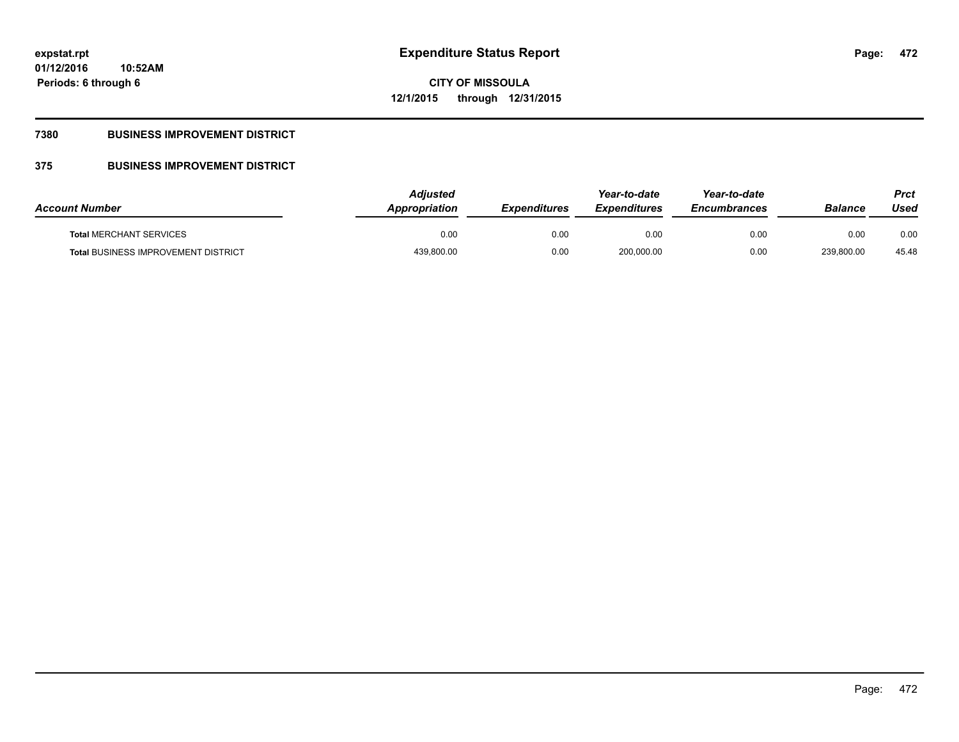## **7380 BUSINESS IMPROVEMENT DISTRICT**

## **375 BUSINESS IMPROVEMENT DISTRICT**

| <b>Account Number</b>                      | <b>Adjusted</b><br>Appropriation | <b>Expenditures</b> | Year-to-date<br><b>Expenditures</b> | Year-to-date<br><b>Encumbrances</b> | <b>Balance</b> | Prct<br>Used |
|--------------------------------------------|----------------------------------|---------------------|-------------------------------------|-------------------------------------|----------------|--------------|
| <b>Total MERCHANT SERVICES</b>             | 0.00                             | 0.00                | 0.00                                | 0.00                                | 0.00           | 0.00         |
| <b>Total BUSINESS IMPROVEMENT DISTRICT</b> | 439,800.00                       | 0.00                | 200,000.00                          | 0.00                                | 239,800.00     | 45.48        |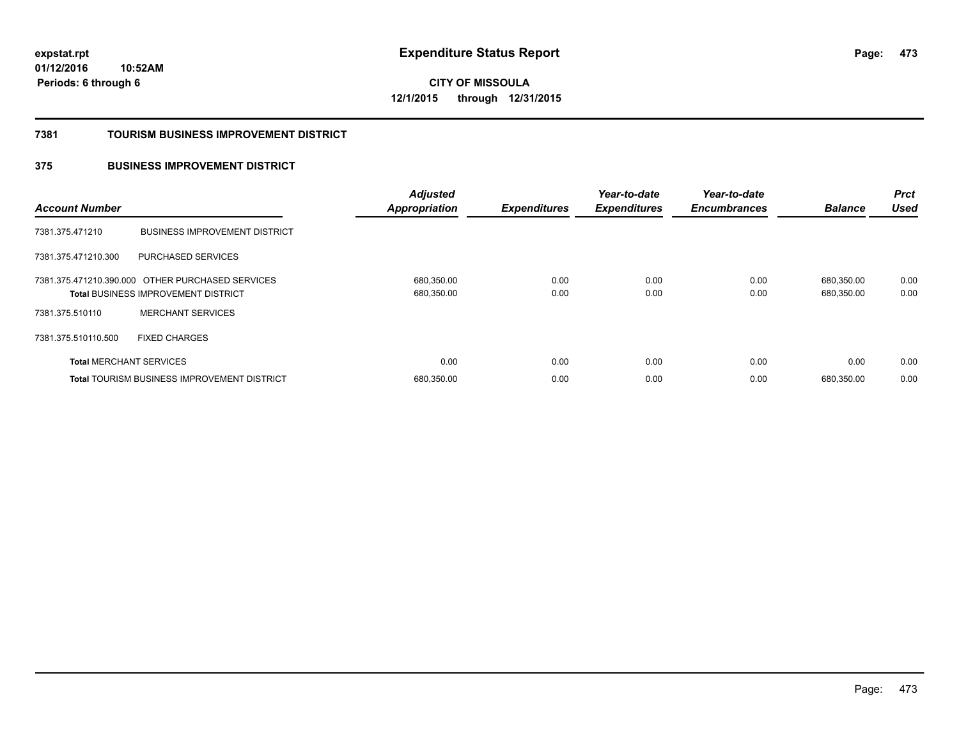**473**

**01/12/2016 10:52AM Periods: 6 through 6**

**CITY OF MISSOULA 12/1/2015 through 12/31/2015**

#### **7381 TOURISM BUSINESS IMPROVEMENT DISTRICT**

## **375 BUSINESS IMPROVEMENT DISTRICT**

| <b>Account Number</b>          |                                                                                                | <b>Adjusted</b><br><b>Appropriation</b> | <b>Expenditures</b> | Year-to-date<br><b>Expenditures</b> | Year-to-date<br><b>Encumbrances</b> | <b>Balance</b>           | <b>Prct</b><br><b>Used</b> |
|--------------------------------|------------------------------------------------------------------------------------------------|-----------------------------------------|---------------------|-------------------------------------|-------------------------------------|--------------------------|----------------------------|
| 7381.375.471210                | <b>BUSINESS IMPROVEMENT DISTRICT</b>                                                           |                                         |                     |                                     |                                     |                          |                            |
| 7381.375.471210.300            | PURCHASED SERVICES                                                                             |                                         |                     |                                     |                                     |                          |                            |
|                                | 7381.375.471210.390.000 OTHER PURCHASED SERVICES<br><b>Total BUSINESS IMPROVEMENT DISTRICT</b> | 680,350.00<br>680,350.00                | 0.00<br>0.00        | 0.00<br>0.00                        | 0.00<br>0.00                        | 680.350.00<br>680,350.00 | 0.00<br>0.00               |
| 7381.375.510110                | <b>MERCHANT SERVICES</b>                                                                       |                                         |                     |                                     |                                     |                          |                            |
| 7381.375.510110.500            | <b>FIXED CHARGES</b>                                                                           |                                         |                     |                                     |                                     |                          |                            |
| <b>Total MERCHANT SERVICES</b> |                                                                                                | 0.00                                    | 0.00                | 0.00                                | 0.00                                | 0.00                     | 0.00                       |
|                                | <b>Total TOURISM BUSINESS IMPROVEMENT DISTRICT</b>                                             | 680,350.00                              | 0.00                | 0.00                                | 0.00                                | 680.350.00               | 0.00                       |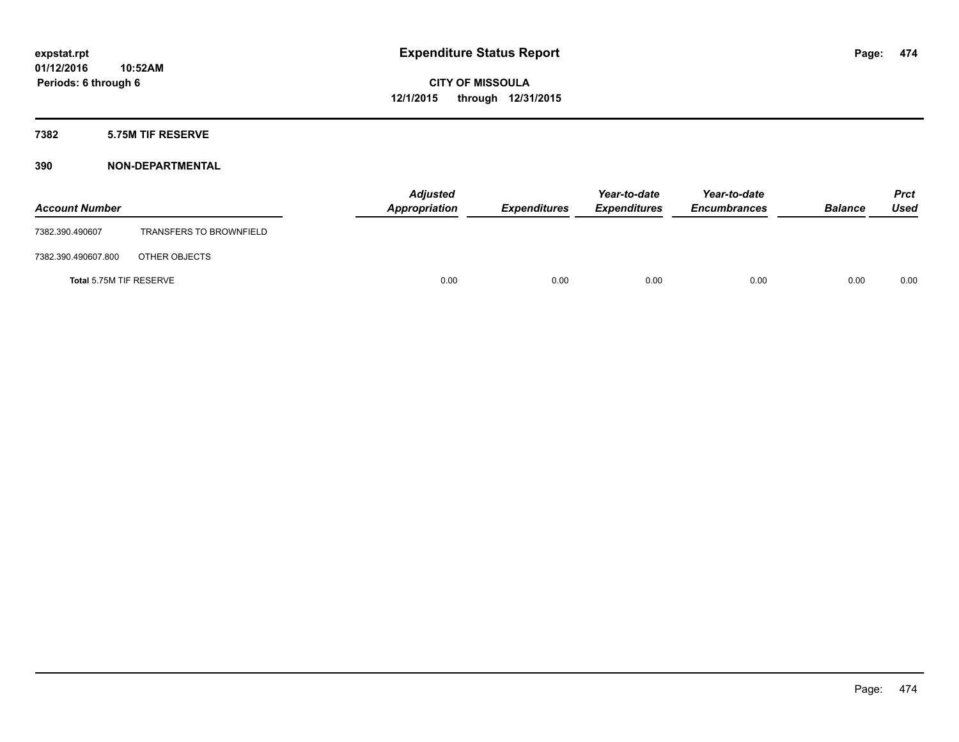#### **7382 5.75M TIF RESERVE**

| <b>Account Number</b>   |                                | <b>Adjusted</b><br>Appropriation | <b>Expenditures</b> | Year-to-date<br><b>Expenditures</b> | Year-to-date<br><b>Encumbrances</b> | <b>Balance</b> | Prct<br><b>Used</b> |
|-------------------------|--------------------------------|----------------------------------|---------------------|-------------------------------------|-------------------------------------|----------------|---------------------|
| 7382.390.490607         | <b>TRANSFERS TO BROWNFIELD</b> |                                  |                     |                                     |                                     |                |                     |
| 7382.390.490607.800     | OTHER OBJECTS                  |                                  |                     |                                     |                                     |                |                     |
| Total 5.75M TIF RESERVE |                                | 0.00                             | 0.00                | 0.00                                | 0.00                                | 0.00           | 0.00                |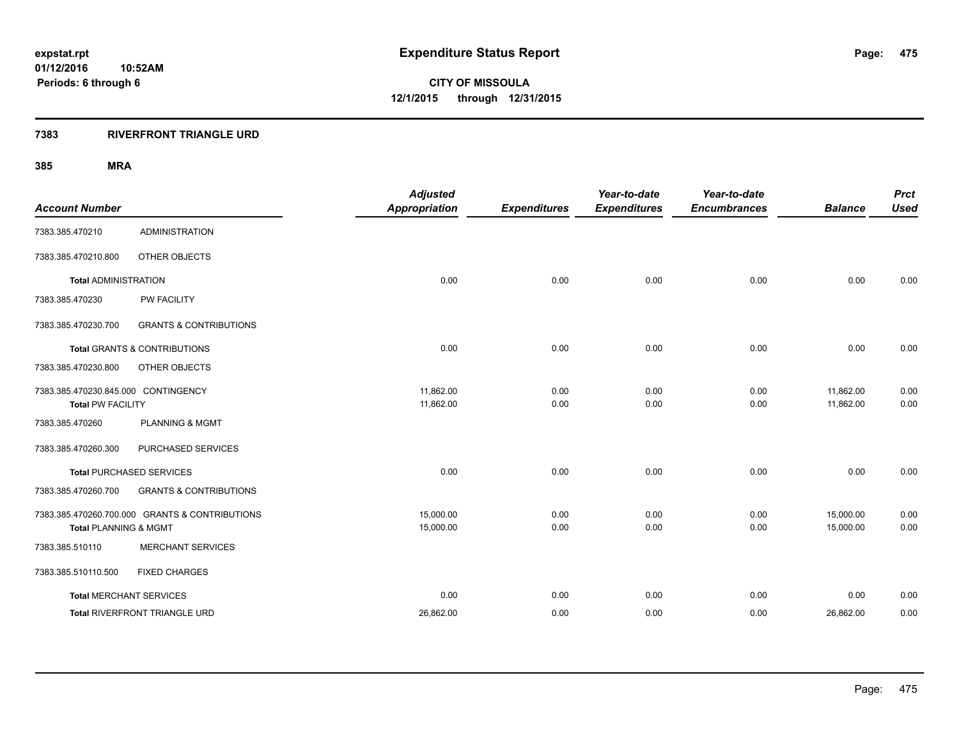### **7383 RIVERFRONT TRIANGLE URD**

| <b>Account Number</b>                                           |                                                | <b>Adjusted</b><br><b>Appropriation</b> | <b>Expenditures</b> | Year-to-date<br><b>Expenditures</b> | Year-to-date<br><b>Encumbrances</b> | <b>Balance</b>         | <b>Prct</b><br><b>Used</b> |
|-----------------------------------------------------------------|------------------------------------------------|-----------------------------------------|---------------------|-------------------------------------|-------------------------------------|------------------------|----------------------------|
| 7383.385.470210                                                 | <b>ADMINISTRATION</b>                          |                                         |                     |                                     |                                     |                        |                            |
| 7383.385.470210.800                                             | OTHER OBJECTS                                  |                                         |                     |                                     |                                     |                        |                            |
| <b>Total ADMINISTRATION</b>                                     |                                                | 0.00                                    | 0.00                | 0.00                                | 0.00                                | 0.00                   | 0.00                       |
| 7383.385.470230                                                 | PW FACILITY                                    |                                         |                     |                                     |                                     |                        |                            |
| 7383.385.470230.700                                             | <b>GRANTS &amp; CONTRIBUTIONS</b>              |                                         |                     |                                     |                                     |                        |                            |
|                                                                 | <b>Total GRANTS &amp; CONTRIBUTIONS</b>        | 0.00                                    | 0.00                | 0.00                                | 0.00                                | 0.00                   | 0.00                       |
| 7383.385.470230.800                                             | OTHER OBJECTS                                  |                                         |                     |                                     |                                     |                        |                            |
| 7383.385.470230.845.000 CONTINGENCY<br><b>Total PW FACILITY</b> |                                                | 11,862.00<br>11,862.00                  | 0.00<br>0.00        | 0.00<br>0.00                        | 0.00<br>0.00                        | 11,862.00<br>11,862.00 | 0.00<br>0.00               |
| 7383.385.470260                                                 | <b>PLANNING &amp; MGMT</b>                     |                                         |                     |                                     |                                     |                        |                            |
| 7383.385.470260.300                                             | PURCHASED SERVICES                             |                                         |                     |                                     |                                     |                        |                            |
|                                                                 | <b>Total PURCHASED SERVICES</b>                | 0.00                                    | 0.00                | 0.00                                | 0.00                                | 0.00                   | 0.00                       |
| 7383.385.470260.700                                             | <b>GRANTS &amp; CONTRIBUTIONS</b>              |                                         |                     |                                     |                                     |                        |                            |
| Total PLANNING & MGMT                                           | 7383.385.470260.700.000 GRANTS & CONTRIBUTIONS | 15,000.00<br>15,000.00                  | 0.00<br>0.00        | 0.00<br>0.00                        | 0.00<br>0.00                        | 15,000.00<br>15,000.00 | 0.00<br>0.00               |
| 7383.385.510110                                                 | <b>MERCHANT SERVICES</b>                       |                                         |                     |                                     |                                     |                        |                            |
| 7383.385.510110.500                                             | <b>FIXED CHARGES</b>                           |                                         |                     |                                     |                                     |                        |                            |
| <b>Total MERCHANT SERVICES</b>                                  |                                                | 0.00                                    | 0.00                | 0.00                                | 0.00                                | 0.00                   | 0.00                       |
|                                                                 | Total RIVERFRONT TRIANGLE URD                  | 26,862.00                               | 0.00                | 0.00                                | 0.00                                | 26,862.00              | 0.00                       |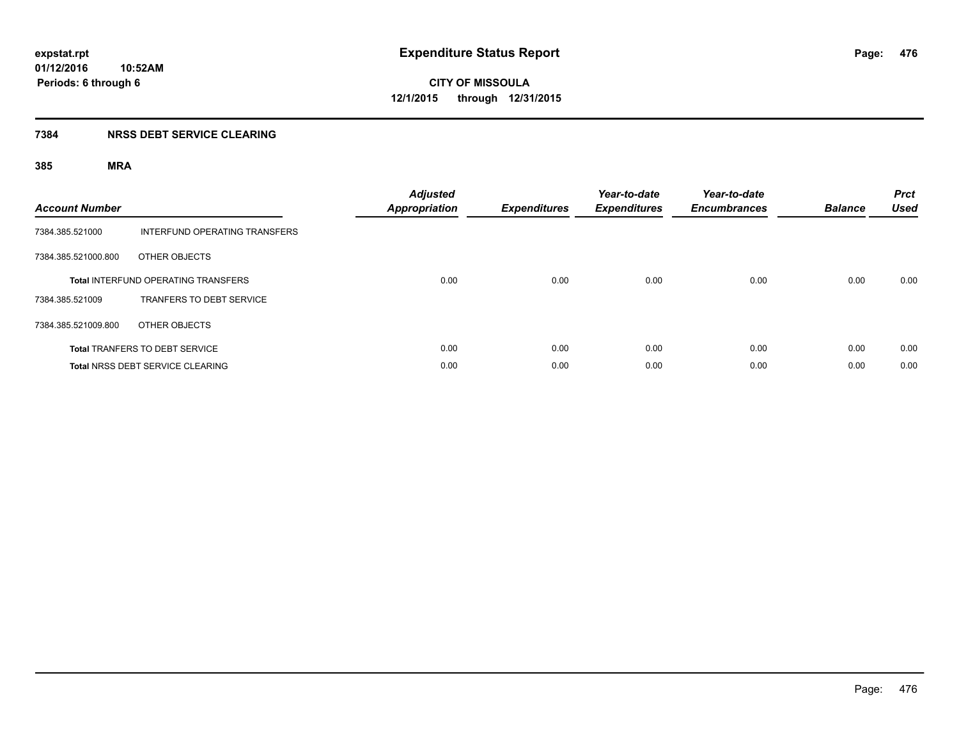### **7384 NRSS DEBT SERVICE CLEARING**

| <b>Account Number</b> |                                            | <b>Adjusted</b><br><b>Appropriation</b> | <b>Expenditures</b> | Year-to-date<br><b>Expenditures</b> | Year-to-date<br><b>Encumbrances</b> | <b>Balance</b> | <b>Prct</b><br><b>Used</b> |
|-----------------------|--------------------------------------------|-----------------------------------------|---------------------|-------------------------------------|-------------------------------------|----------------|----------------------------|
| 7384.385.521000       | INTERFUND OPERATING TRANSFERS              |                                         |                     |                                     |                                     |                |                            |
| 7384.385.521000.800   | OTHER OBJECTS                              |                                         |                     |                                     |                                     |                |                            |
|                       | <b>Total INTERFUND OPERATING TRANSFERS</b> | 0.00                                    | 0.00                | 0.00                                | 0.00                                | 0.00           | 0.00                       |
| 7384.385.521009       | TRANFERS TO DEBT SERVICE                   |                                         |                     |                                     |                                     |                |                            |
| 7384.385.521009.800   | OTHER OBJECTS                              |                                         |                     |                                     |                                     |                |                            |
|                       | <b>Total TRANFERS TO DEBT SERVICE</b>      | 0.00                                    | 0.00                | 0.00                                | 0.00                                | 0.00           | 0.00                       |
|                       | <b>Total NRSS DEBT SERVICE CLEARING</b>    | 0.00                                    | 0.00                | 0.00                                | 0.00                                | 0.00           | 0.00                       |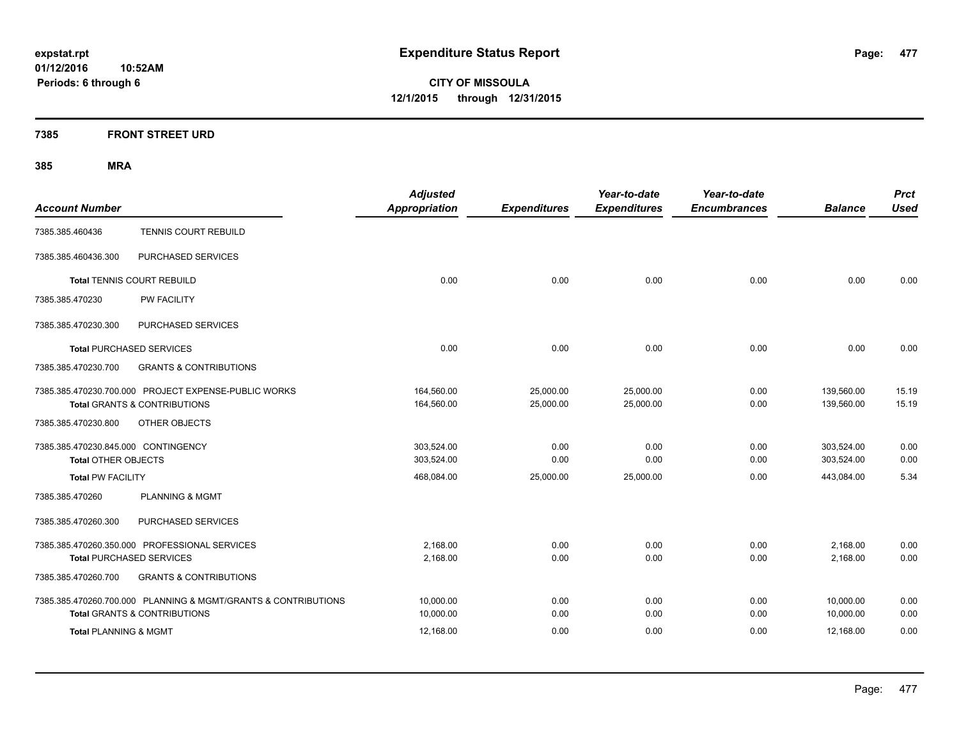### **7385 FRONT STREET URD**

| <b>Account Number</b>                                                                                     | <b>Adjusted</b><br><b>Appropriation</b> | <b>Expenditures</b>    | Year-to-date<br><b>Expenditures</b> | Year-to-date<br><b>Encumbrances</b> | <b>Balance</b>           | <b>Prct</b><br><b>Used</b> |
|-----------------------------------------------------------------------------------------------------------|-----------------------------------------|------------------------|-------------------------------------|-------------------------------------|--------------------------|----------------------------|
| TENNIS COURT REBUILD<br>7385.385.460436                                                                   |                                         |                        |                                     |                                     |                          |                            |
| PURCHASED SERVICES<br>7385.385.460436.300                                                                 |                                         |                        |                                     |                                     |                          |                            |
| <b>Total TENNIS COURT REBUILD</b>                                                                         | 0.00                                    | 0.00                   | 0.00                                | 0.00                                | 0.00                     | 0.00                       |
| 7385.385.470230<br><b>PW FACILITY</b>                                                                     |                                         |                        |                                     |                                     |                          |                            |
| PURCHASED SERVICES<br>7385.385.470230.300                                                                 |                                         |                        |                                     |                                     |                          |                            |
| <b>Total PURCHASED SERVICES</b>                                                                           | 0.00                                    | 0.00                   | 0.00                                | 0.00                                | 0.00                     | 0.00                       |
| 7385.385.470230.700<br><b>GRANTS &amp; CONTRIBUTIONS</b>                                                  |                                         |                        |                                     |                                     |                          |                            |
| 7385.385.470230.700.000 PROJECT EXPENSE-PUBLIC WORKS<br><b>Total GRANTS &amp; CONTRIBUTIONS</b>           | 164,560.00<br>164,560.00                | 25,000.00<br>25,000.00 | 25,000.00<br>25,000.00              | 0.00<br>0.00                        | 139,560.00<br>139,560.00 | 15.19<br>15.19             |
| 7385.385.470230.800<br>OTHER OBJECTS                                                                      |                                         |                        |                                     |                                     |                          |                            |
| 7385.385.470230.845.000 CONTINGENCY<br><b>Total OTHER OBJECTS</b>                                         | 303,524.00<br>303,524.00                | 0.00<br>0.00           | 0.00<br>0.00                        | 0.00<br>0.00                        | 303,524.00<br>303,524.00 | 0.00<br>0.00               |
| <b>Total PW FACILITY</b>                                                                                  | 468,084.00                              | 25,000.00              | 25,000.00                           | 0.00                                | 443,084.00               | 5.34                       |
| 7385.385.470260<br><b>PLANNING &amp; MGMT</b>                                                             |                                         |                        |                                     |                                     |                          |                            |
| 7385.385.470260.300<br>PURCHASED SERVICES                                                                 |                                         |                        |                                     |                                     |                          |                            |
| 7385.385.470260.350.000 PROFESSIONAL SERVICES<br><b>Total PURCHASED SERVICES</b>                          | 2.168.00<br>2,168.00                    | 0.00<br>0.00           | 0.00<br>0.00                        | 0.00<br>0.00                        | 2,168.00<br>2,168.00     | 0.00<br>0.00               |
| <b>GRANTS &amp; CONTRIBUTIONS</b><br>7385.385.470260.700                                                  |                                         |                        |                                     |                                     |                          |                            |
| 7385.385.470260.700.000 PLANNING & MGMT/GRANTS & CONTRIBUTIONS<br><b>Total GRANTS &amp; CONTRIBUTIONS</b> | 10,000.00<br>10,000.00                  | 0.00<br>0.00           | 0.00<br>0.00                        | 0.00<br>0.00                        | 10,000.00<br>10,000.00   | 0.00<br>0.00               |
| <b>Total PLANNING &amp; MGMT</b>                                                                          | 12,168.00                               | 0.00                   | 0.00                                | 0.00                                | 12,168.00                | 0.00                       |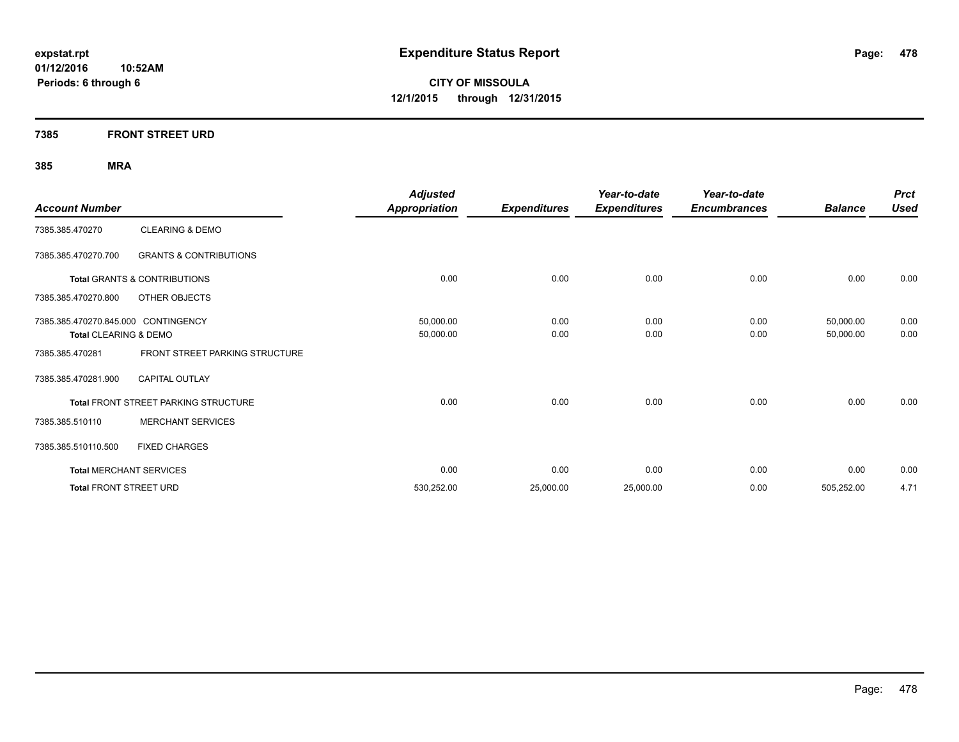**Periods: 6 through 6**

**CITY OF MISSOULA 12/1/2015 through 12/31/2015**

### **7385 FRONT STREET URD**

| <b>Account Number</b>               |                                         | <b>Adjusted</b><br><b>Appropriation</b> | <b>Expenditures</b> | Year-to-date<br><b>Expenditures</b> | Year-to-date<br><b>Encumbrances</b> | <b>Balance</b> | <b>Prct</b><br><b>Used</b> |
|-------------------------------------|-----------------------------------------|-----------------------------------------|---------------------|-------------------------------------|-------------------------------------|----------------|----------------------------|
| 7385.385.470270                     | <b>CLEARING &amp; DEMO</b>              |                                         |                     |                                     |                                     |                |                            |
| 7385.385.470270.700                 | <b>GRANTS &amp; CONTRIBUTIONS</b>       |                                         |                     |                                     |                                     |                |                            |
|                                     | <b>Total GRANTS &amp; CONTRIBUTIONS</b> | 0.00                                    | 0.00                | 0.00                                | 0.00                                | 0.00           | 0.00                       |
| 7385.385.470270.800                 | OTHER OBJECTS                           |                                         |                     |                                     |                                     |                |                            |
| 7385.385.470270.845.000 CONTINGENCY |                                         | 50,000.00                               | 0.00                | 0.00                                | 0.00                                | 50,000.00      | 0.00                       |
| Total CLEARING & DEMO               |                                         | 50,000.00                               | 0.00                | 0.00                                | 0.00                                | 50,000.00      | 0.00                       |
| 7385.385.470281                     | FRONT STREET PARKING STRUCTURE          |                                         |                     |                                     |                                     |                |                            |
| 7385.385.470281.900                 | <b>CAPITAL OUTLAY</b>                   |                                         |                     |                                     |                                     |                |                            |
|                                     | Total FRONT STREET PARKING STRUCTURE    | 0.00                                    | 0.00                | 0.00                                | 0.00                                | 0.00           | 0.00                       |
| 7385.385.510110                     | <b>MERCHANT SERVICES</b>                |                                         |                     |                                     |                                     |                |                            |
| 7385.385.510110.500                 | <b>FIXED CHARGES</b>                    |                                         |                     |                                     |                                     |                |                            |
|                                     | <b>Total MERCHANT SERVICES</b>          | 0.00                                    | 0.00                | 0.00                                | 0.00                                | 0.00           | 0.00                       |
| <b>Total FRONT STREET URD</b>       |                                         | 530,252.00                              | 25,000.00           | 25,000.00                           | 0.00                                | 505,252.00     | 4.71                       |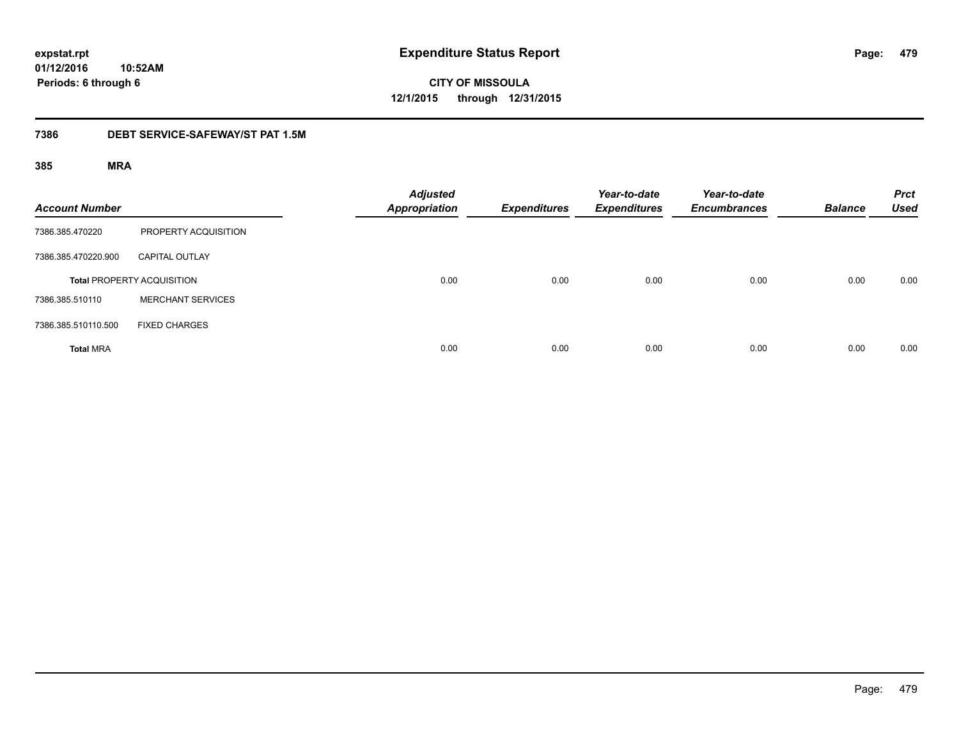**CITY OF MISSOULA 12/1/2015 through 12/31/2015**

#### **7386 DEBT SERVICE-SAFEWAY/ST PAT 1.5M**

| <b>Account Number</b> |                                   | <b>Adjusted</b><br><b>Appropriation</b> | <b>Expenditures</b> | Year-to-date<br><b>Expenditures</b> | Year-to-date<br><b>Encumbrances</b> | <b>Balance</b> | <b>Prct</b><br><b>Used</b> |
|-----------------------|-----------------------------------|-----------------------------------------|---------------------|-------------------------------------|-------------------------------------|----------------|----------------------------|
| 7386.385.470220       | PROPERTY ACQUISITION              |                                         |                     |                                     |                                     |                |                            |
| 7386.385.470220.900   | <b>CAPITAL OUTLAY</b>             |                                         |                     |                                     |                                     |                |                            |
|                       | <b>Total PROPERTY ACQUISITION</b> | 0.00                                    | 0.00                | 0.00                                | 0.00                                | 0.00           | 0.00                       |
| 7386.385.510110       | <b>MERCHANT SERVICES</b>          |                                         |                     |                                     |                                     |                |                            |
| 7386.385.510110.500   | <b>FIXED CHARGES</b>              |                                         |                     |                                     |                                     |                |                            |
| <b>Total MRA</b>      |                                   | 0.00                                    | 0.00                | 0.00                                | 0.00                                | 0.00           | 0.00                       |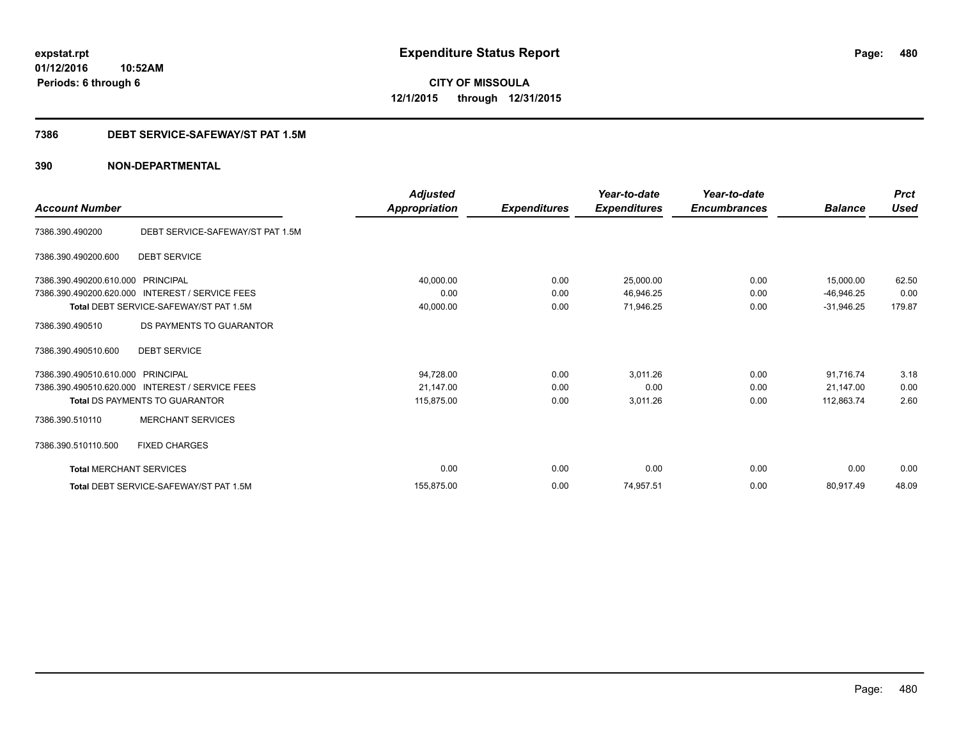**CITY OF MISSOULA 12/1/2015 through 12/31/2015**

### **7386 DEBT SERVICE-SAFEWAY/ST PAT 1.5M**

|                                |                                                 | <b>Adjusted</b> |                     | Year-to-date        | Year-to-date        |                | <b>Prct</b><br><b>Used</b> |
|--------------------------------|-------------------------------------------------|-----------------|---------------------|---------------------|---------------------|----------------|----------------------------|
| <b>Account Number</b>          |                                                 | Appropriation   | <b>Expenditures</b> | <b>Expenditures</b> | <b>Encumbrances</b> | <b>Balance</b> |                            |
| 7386.390.490200                | DEBT SERVICE-SAFEWAY/ST PAT 1.5M                |                 |                     |                     |                     |                |                            |
| 7386.390.490200.600            | <b>DEBT SERVICE</b>                             |                 |                     |                     |                     |                |                            |
| 7386.390.490200.610.000        | PRINCIPAL                                       | 40,000.00       | 0.00                | 25,000.00           | 0.00                | 15,000.00      | 62.50                      |
| 7386.390.490200.620.000        | <b>INTEREST / SERVICE FEES</b>                  | 0.00            | 0.00                | 46,946.25           | 0.00                | $-46,946.25$   | 0.00                       |
|                                | Total DEBT SERVICE-SAFEWAY/ST PAT 1.5M          | 40,000.00       | 0.00                | 71,946.25           | 0.00                | $-31,946.25$   | 179.87                     |
| 7386.390.490510                | DS PAYMENTS TO GUARANTOR                        |                 |                     |                     |                     |                |                            |
| 7386.390.490510.600            | <b>DEBT SERVICE</b>                             |                 |                     |                     |                     |                |                            |
| 7386.390.490510.610.000        | PRINCIPAL                                       | 94,728.00       | 0.00                | 3,011.26            | 0.00                | 91,716.74      | 3.18                       |
|                                | 7386.390.490510.620.000 INTEREST / SERVICE FEES | 21,147.00       | 0.00                | 0.00                | 0.00                | 21.147.00      | 0.00                       |
|                                | <b>Total DS PAYMENTS TO GUARANTOR</b>           | 115,875.00      | 0.00                | 3,011.26            | 0.00                | 112,863.74     | 2.60                       |
| 7386.390.510110                | <b>MERCHANT SERVICES</b>                        |                 |                     |                     |                     |                |                            |
| 7386.390.510110.500            | <b>FIXED CHARGES</b>                            |                 |                     |                     |                     |                |                            |
| <b>Total MERCHANT SERVICES</b> |                                                 | 0.00            | 0.00                | 0.00                | 0.00                | 0.00           | 0.00                       |
|                                | Total DEBT SERVICE-SAFEWAY/ST PAT 1.5M          | 155.875.00      | 0.00                | 74,957.51           | 0.00                | 80,917.49      | 48.09                      |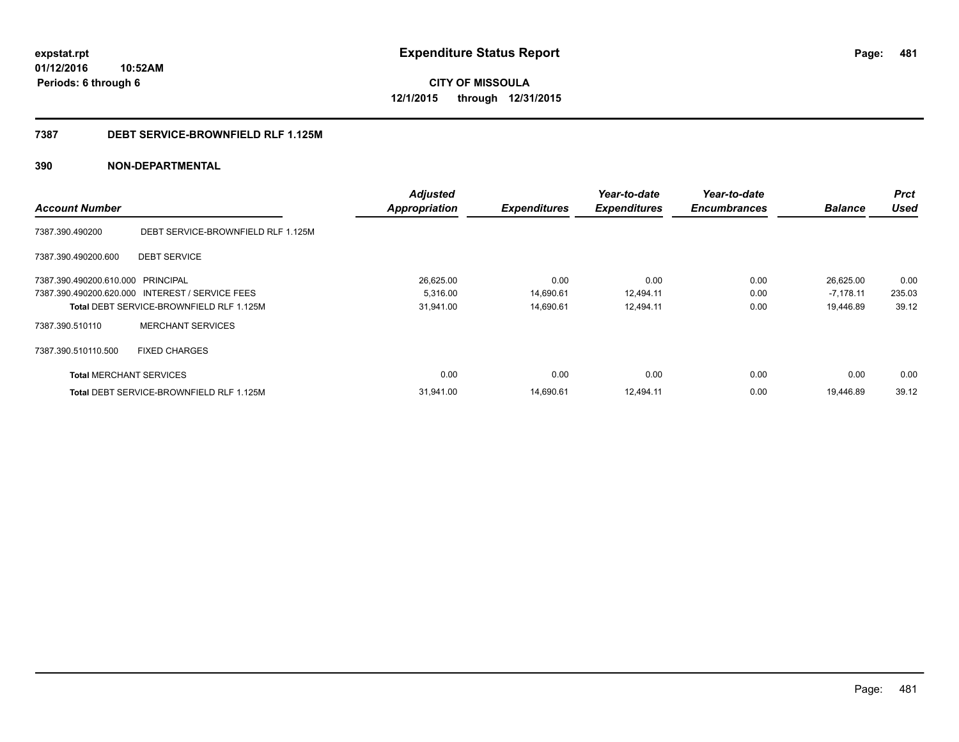**CITY OF MISSOULA 12/1/2015 through 12/31/2015**

### **7387 DEBT SERVICE-BROWNFIELD RLF 1.125M**

|                                   |                                                 | <b>Adjusted</b>      |                     | Year-to-date        | Year-to-date        |                | <b>Prct</b> |
|-----------------------------------|-------------------------------------------------|----------------------|---------------------|---------------------|---------------------|----------------|-------------|
| <b>Account Number</b>             |                                                 | <b>Appropriation</b> | <b>Expenditures</b> | <b>Expenditures</b> | <b>Encumbrances</b> | <b>Balance</b> | <b>Used</b> |
| 7387.390.490200                   | DEBT SERVICE-BROWNFIELD RLF 1.125M              |                      |                     |                     |                     |                |             |
| 7387.390.490200.600               | <b>DEBT SERVICE</b>                             |                      |                     |                     |                     |                |             |
| 7387.390.490200.610.000 PRINCIPAL |                                                 | 26,625.00            | 0.00                | 0.00                | 0.00                | 26,625.00      | 0.00        |
|                                   | 7387.390.490200.620.000 INTEREST / SERVICE FEES | 5,316.00             | 14,690.61           | 12,494.11           | 0.00                | $-7,178.11$    | 235.03      |
|                                   | <b>Total DEBT SERVICE-BROWNFIELD RLF 1.125M</b> | 31,941.00            | 14,690.61           | 12,494.11           | 0.00                | 19,446.89      | 39.12       |
| 7387.390.510110                   | <b>MERCHANT SERVICES</b>                        |                      |                     |                     |                     |                |             |
| 7387.390.510110.500               | <b>FIXED CHARGES</b>                            |                      |                     |                     |                     |                |             |
| <b>Total MERCHANT SERVICES</b>    |                                                 | 0.00                 | 0.00                | 0.00                | 0.00                | 0.00           | 0.00        |
|                                   | <b>Total DEBT SERVICE-BROWNFIELD RLF 1.125M</b> | 31,941.00            | 14,690.61           | 12,494.11           | 0.00                | 19,446.89      | 39.12       |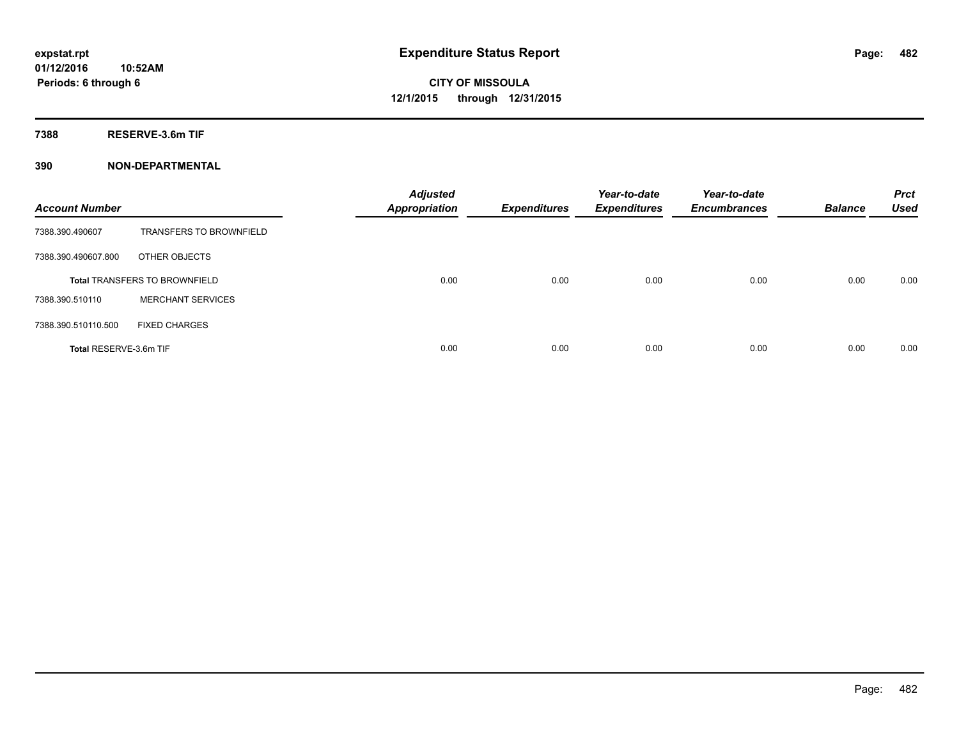**7388 RESERVE-3.6m TIF**

| <b>Account Number</b>  |                                      | <b>Adjusted</b><br><b>Appropriation</b> | <b>Expenditures</b> | Year-to-date<br><b>Expenditures</b> | Year-to-date<br><b>Encumbrances</b> | <b>Balance</b> | <b>Prct</b><br><b>Used</b> |
|------------------------|--------------------------------------|-----------------------------------------|---------------------|-------------------------------------|-------------------------------------|----------------|----------------------------|
| 7388.390.490607        | <b>TRANSFERS TO BROWNFIELD</b>       |                                         |                     |                                     |                                     |                |                            |
| 7388.390.490607.800    | OTHER OBJECTS                        |                                         |                     |                                     |                                     |                |                            |
|                        | <b>Total TRANSFERS TO BROWNFIELD</b> | 0.00                                    | 0.00                | 0.00                                | 0.00                                | 0.00           | 0.00                       |
| 7388.390.510110        | <b>MERCHANT SERVICES</b>             |                                         |                     |                                     |                                     |                |                            |
| 7388.390.510110.500    | <b>FIXED CHARGES</b>                 |                                         |                     |                                     |                                     |                |                            |
| Total RESERVE-3.6m TIF |                                      | 0.00                                    | 0.00                | 0.00                                | 0.00                                | 0.00           | 0.00                       |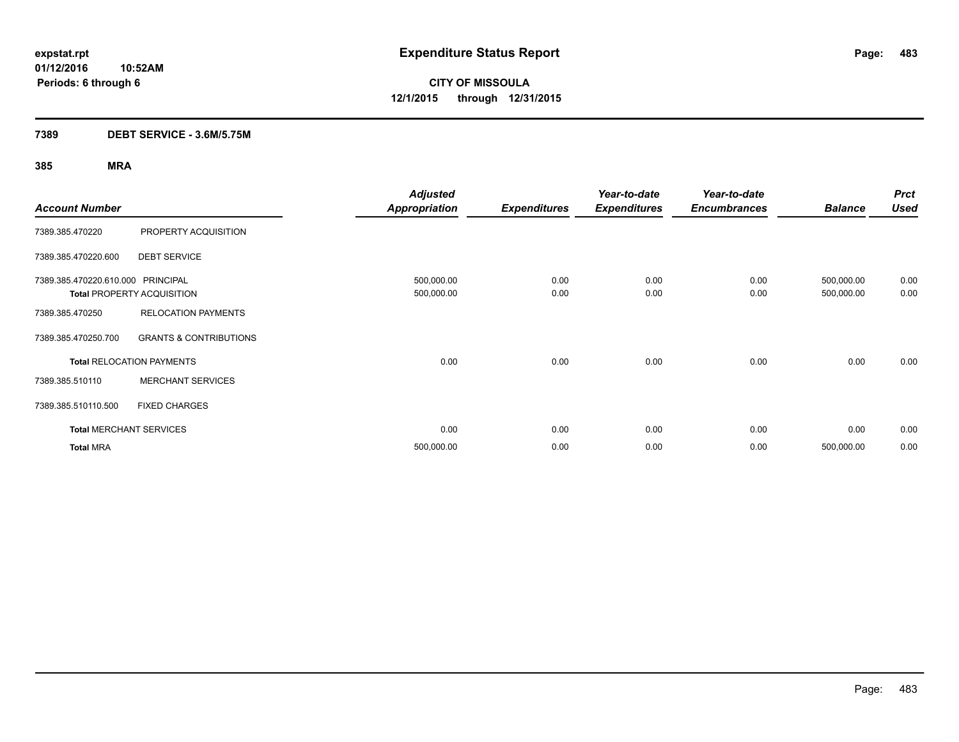### **7389 DEBT SERVICE - 3.6M/5.75M**

|                                   |                                   | <b>Adjusted</b>      |                     | Year-to-date        | Year-to-date        |                | <b>Prct</b> |
|-----------------------------------|-----------------------------------|----------------------|---------------------|---------------------|---------------------|----------------|-------------|
| <b>Account Number</b>             |                                   | <b>Appropriation</b> | <b>Expenditures</b> | <b>Expenditures</b> | <b>Encumbrances</b> | <b>Balance</b> | <b>Used</b> |
| 7389.385.470220                   | PROPERTY ACQUISITION              |                      |                     |                     |                     |                |             |
| 7389.385.470220.600               | <b>DEBT SERVICE</b>               |                      |                     |                     |                     |                |             |
| 7389.385.470220.610.000 PRINCIPAL |                                   | 500,000.00           | 0.00                | 0.00                | 0.00                | 500,000.00     | 0.00        |
|                                   | <b>Total PROPERTY ACQUISITION</b> | 500,000.00           | 0.00                | 0.00                | 0.00                | 500,000.00     | 0.00        |
| 7389.385.470250                   | <b>RELOCATION PAYMENTS</b>        |                      |                     |                     |                     |                |             |
| 7389.385.470250.700               | <b>GRANTS &amp; CONTRIBUTIONS</b> |                      |                     |                     |                     |                |             |
|                                   | <b>Total RELOCATION PAYMENTS</b>  | 0.00                 | 0.00                | 0.00                | 0.00                | 0.00           | 0.00        |
| 7389.385.510110                   | <b>MERCHANT SERVICES</b>          |                      |                     |                     |                     |                |             |
| 7389.385.510110.500               | <b>FIXED CHARGES</b>              |                      |                     |                     |                     |                |             |
|                                   | <b>Total MERCHANT SERVICES</b>    | 0.00                 | 0.00                | 0.00                | 0.00                | 0.00           | 0.00        |
| <b>Total MRA</b>                  |                                   | 500,000.00           | 0.00                | 0.00                | 0.00                | 500,000.00     | 0.00        |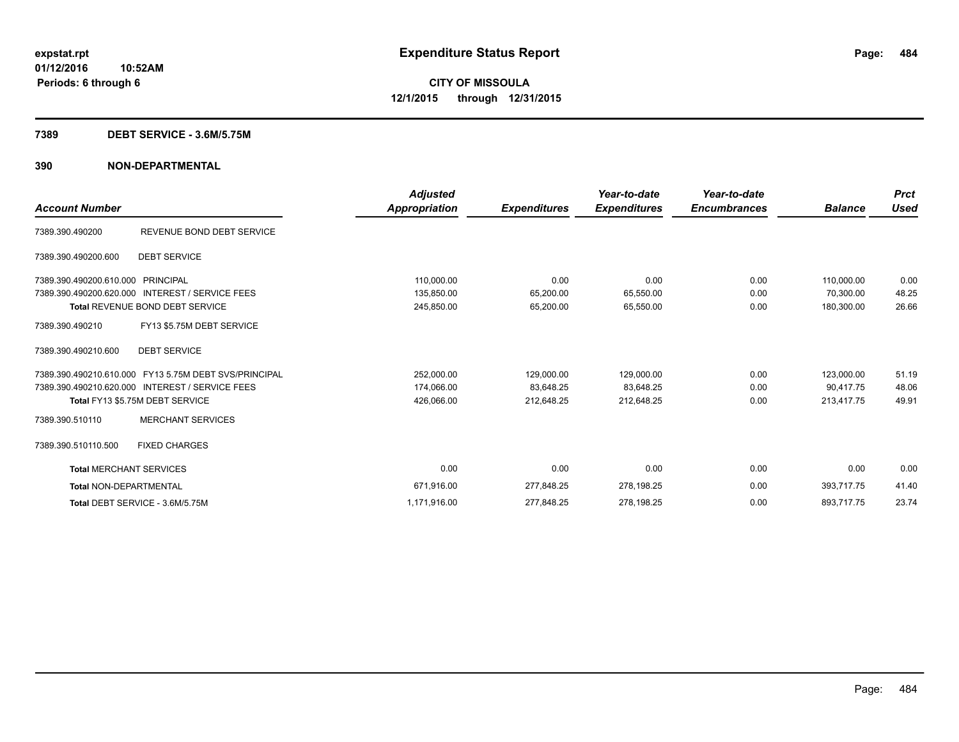#### **7389 DEBT SERVICE - 3.6M/5.75M**

|                                   |                                                       | <b>Adjusted</b> |                     | Year-to-date        | Year-to-date        |                | <b>Prct</b> |
|-----------------------------------|-------------------------------------------------------|-----------------|---------------------|---------------------|---------------------|----------------|-------------|
| <b>Account Number</b>             |                                                       | Appropriation   | <b>Expenditures</b> | <b>Expenditures</b> | <b>Encumbrances</b> | <b>Balance</b> | <b>Used</b> |
| 7389.390.490200                   | REVENUE BOND DEBT SERVICE                             |                 |                     |                     |                     |                |             |
| 7389.390.490200.600               | <b>DEBT SERVICE</b>                                   |                 |                     |                     |                     |                |             |
| 7389.390.490200.610.000 PRINCIPAL |                                                       | 110,000.00      | 0.00                | 0.00                | 0.00                | 110,000.00     | 0.00        |
| 7389.390.490200.620.000           | <b>INTEREST / SERVICE FEES</b>                        | 135,850.00      | 65,200.00           | 65,550.00           | 0.00                | 70,300.00      | 48.25       |
|                                   | <b>Total REVENUE BOND DEBT SERVICE</b>                | 245,850.00      | 65,200.00           | 65,550.00           | 0.00                | 180,300.00     | 26.66       |
| 7389.390.490210                   | FY13 \$5.75M DEBT SERVICE                             |                 |                     |                     |                     |                |             |
| 7389.390.490210.600               | <b>DEBT SERVICE</b>                                   |                 |                     |                     |                     |                |             |
|                                   | 7389.390.490210.610.000 FY13 5.75M DEBT SVS/PRINCIPAL | 252,000.00      | 129,000.00          | 129,000.00          | 0.00                | 123,000.00     | 51.19       |
|                                   | 7389.390.490210.620.000 INTEREST / SERVICE FEES       | 174,066.00      | 83,648.25           | 83,648.25           | 0.00                | 90.417.75      | 48.06       |
|                                   | Total FY13 \$5.75M DEBT SERVICE                       | 426,066.00      | 212,648.25          | 212.648.25          | 0.00                | 213.417.75     | 49.91       |
| 7389.390.510110                   | <b>MERCHANT SERVICES</b>                              |                 |                     |                     |                     |                |             |
| 7389.390.510110.500               | <b>FIXED CHARGES</b>                                  |                 |                     |                     |                     |                |             |
| <b>Total MERCHANT SERVICES</b>    |                                                       | 0.00            | 0.00                | 0.00                | 0.00                | 0.00           | 0.00        |
| <b>Total NON-DEPARTMENTAL</b>     |                                                       | 671,916.00      | 277,848.25          | 278,198.25          | 0.00                | 393.717.75     | 41.40       |
|                                   | Total DEBT SERVICE - 3.6M/5.75M                       | 1,171,916.00    | 277,848.25          | 278,198.25          | 0.00                | 893,717.75     | 23.74       |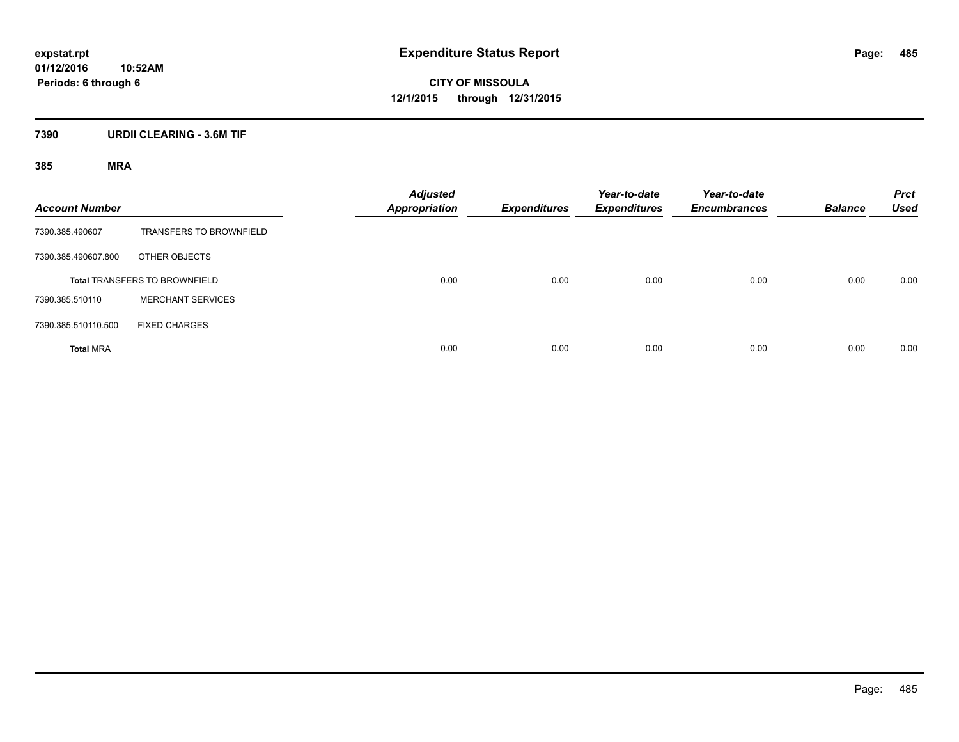### **7390 URDII CLEARING - 3.6M TIF**

| <b>Account Number</b> |                                      | <b>Adjusted</b><br><b>Appropriation</b> | <b>Expenditures</b> | Year-to-date<br><b>Expenditures</b> | Year-to-date<br><b>Encumbrances</b> | <b>Balance</b> | <b>Prct</b><br><b>Used</b> |
|-----------------------|--------------------------------------|-----------------------------------------|---------------------|-------------------------------------|-------------------------------------|----------------|----------------------------|
| 7390.385.490607       | <b>TRANSFERS TO BROWNFIELD</b>       |                                         |                     |                                     |                                     |                |                            |
| 7390.385.490607.800   | OTHER OBJECTS                        |                                         |                     |                                     |                                     |                |                            |
|                       | <b>Total TRANSFERS TO BROWNFIELD</b> | 0.00                                    | 0.00                | 0.00                                | 0.00                                | 0.00           | 0.00                       |
| 7390.385.510110       | <b>MERCHANT SERVICES</b>             |                                         |                     |                                     |                                     |                |                            |
| 7390.385.510110.500   | <b>FIXED CHARGES</b>                 |                                         |                     |                                     |                                     |                |                            |
| <b>Total MRA</b>      |                                      | 0.00                                    | 0.00                | 0.00                                | 0.00                                | 0.00           | 0.00                       |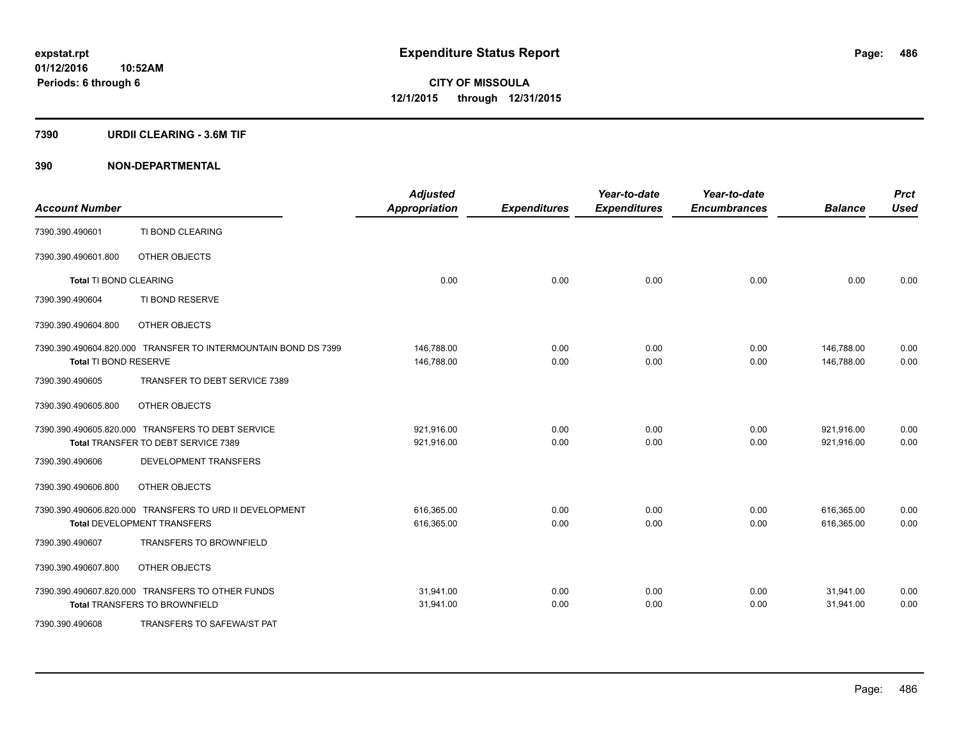#### **7390 URDII CLEARING - 3.6M TIF**

| <b>Account Number</b>  |                                                                                               | <b>Adjusted</b><br><b>Appropriation</b> | <b>Expenditures</b> | Year-to-date<br><b>Expenditures</b> | Year-to-date<br><b>Encumbrances</b> | <b>Balance</b>           | <b>Prct</b><br><b>Used</b> |
|------------------------|-----------------------------------------------------------------------------------------------|-----------------------------------------|---------------------|-------------------------------------|-------------------------------------|--------------------------|----------------------------|
| 7390.390.490601        | TI BOND CLEARING                                                                              |                                         |                     |                                     |                                     |                          |                            |
| 7390.390.490601.800    | OTHER OBJECTS                                                                                 |                                         |                     |                                     |                                     |                          |                            |
| Total TI BOND CLEARING |                                                                                               | 0.00                                    | 0.00                | 0.00                                | 0.00                                | 0.00                     | 0.00                       |
| 7390.390.490604        | TI BOND RESERVE                                                                               |                                         |                     |                                     |                                     |                          |                            |
| 7390.390.490604.800    | OTHER OBJECTS                                                                                 |                                         |                     |                                     |                                     |                          |                            |
|                        | 7390.390.490604.820.000 TRANSFER TO INTERMOUNTAIN BOND DS 7399                                | 146,788.00                              | 0.00                | 0.00                                | 0.00                                | 146,788.00               | 0.00                       |
| Total TI BOND RESERVE  |                                                                                               | 146,788.00                              | 0.00                | 0.00                                | 0.00                                | 146.788.00               | 0.00                       |
| 7390.390.490605        | TRANSFER TO DEBT SERVICE 7389                                                                 |                                         |                     |                                     |                                     |                          |                            |
| 7390.390.490605.800    | OTHER OBJECTS                                                                                 |                                         |                     |                                     |                                     |                          |                            |
|                        | 7390.390.490605.820.000 TRANSFERS TO DEBT SERVICE<br>Total TRANSFER TO DEBT SERVICE 7389      | 921,916.00<br>921,916.00                | 0.00<br>0.00        | 0.00<br>0.00                        | 0.00<br>0.00                        | 921,916.00<br>921,916.00 | 0.00<br>0.00               |
| 7390.390.490606        | <b>DEVELOPMENT TRANSFERS</b>                                                                  |                                         |                     |                                     |                                     |                          |                            |
|                        |                                                                                               |                                         |                     |                                     |                                     |                          |                            |
| 7390.390.490606.800    | OTHER OBJECTS                                                                                 |                                         |                     |                                     |                                     |                          |                            |
|                        | 7390.390.490606.820.000 TRANSFERS TO URD II DEVELOPMENT<br><b>Total DEVELOPMENT TRANSFERS</b> | 616,365.00<br>616,365.00                | 0.00<br>0.00        | 0.00<br>0.00                        | 0.00<br>0.00                        | 616,365.00<br>616,365.00 | 0.00<br>0.00               |
| 7390.390.490607        | <b>TRANSFERS TO BROWNFIELD</b>                                                                |                                         |                     |                                     |                                     |                          |                            |
| 7390.390.490607.800    | OTHER OBJECTS                                                                                 |                                         |                     |                                     |                                     |                          |                            |
|                        | 7390.390.490607.820.000 TRANSFERS TO OTHER FUNDS<br><b>Total TRANSFERS TO BROWNFIELD</b>      | 31,941.00<br>31,941.00                  | 0.00<br>0.00        | 0.00<br>0.00                        | 0.00<br>0.00                        | 31,941.00<br>31,941.00   | 0.00<br>0.00               |
| 7390.390.490608        | TRANSFERS TO SAFEWA/ST PAT                                                                    |                                         |                     |                                     |                                     |                          |                            |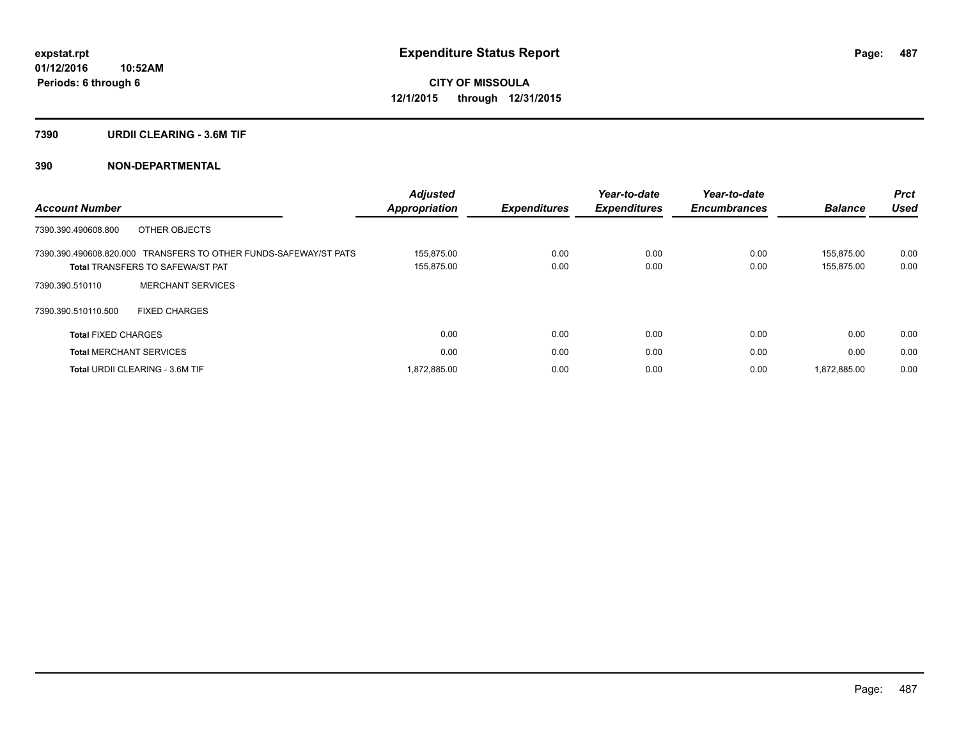#### **7390 URDII CLEARING - 3.6M TIF**

| <b>Account Number</b>                                                                                       | <b>Adjusted</b><br><b>Appropriation</b> | <b>Expenditures</b> | Year-to-date<br><b>Expenditures</b> | Year-to-date<br><b>Encumbrances</b> | <b>Balance</b>           | <b>Prct</b><br><b>Used</b> |
|-------------------------------------------------------------------------------------------------------------|-----------------------------------------|---------------------|-------------------------------------|-------------------------------------|--------------------------|----------------------------|
| OTHER OBJECTS<br>7390.390.490608.800                                                                        |                                         |                     |                                     |                                     |                          |                            |
| 7390.390.490608.820.000 TRANSFERS TO OTHER FUNDS-SAFEWAY/ST PATS<br><b>Total TRANSFERS TO SAFEWA/ST PAT</b> | 155.875.00<br>155,875.00                | 0.00<br>0.00        | 0.00<br>0.00                        | 0.00<br>0.00                        | 155.875.00<br>155,875.00 | 0.00<br>0.00               |
| <b>MERCHANT SERVICES</b><br>7390.390.510110                                                                 |                                         |                     |                                     |                                     |                          |                            |
| 7390.390.510110.500<br><b>FIXED CHARGES</b>                                                                 |                                         |                     |                                     |                                     |                          |                            |
| <b>Total FIXED CHARGES</b>                                                                                  | 0.00                                    | 0.00                | 0.00                                | 0.00                                | 0.00                     | 0.00                       |
| <b>Total MERCHANT SERVICES</b>                                                                              | 0.00                                    | 0.00                | 0.00                                | 0.00                                | 0.00                     | 0.00                       |
| <b>Total URDII CLEARING - 3.6M TIF</b>                                                                      | 1,872,885.00                            | 0.00                | 0.00                                | 0.00                                | 1,872,885.00             | 0.00                       |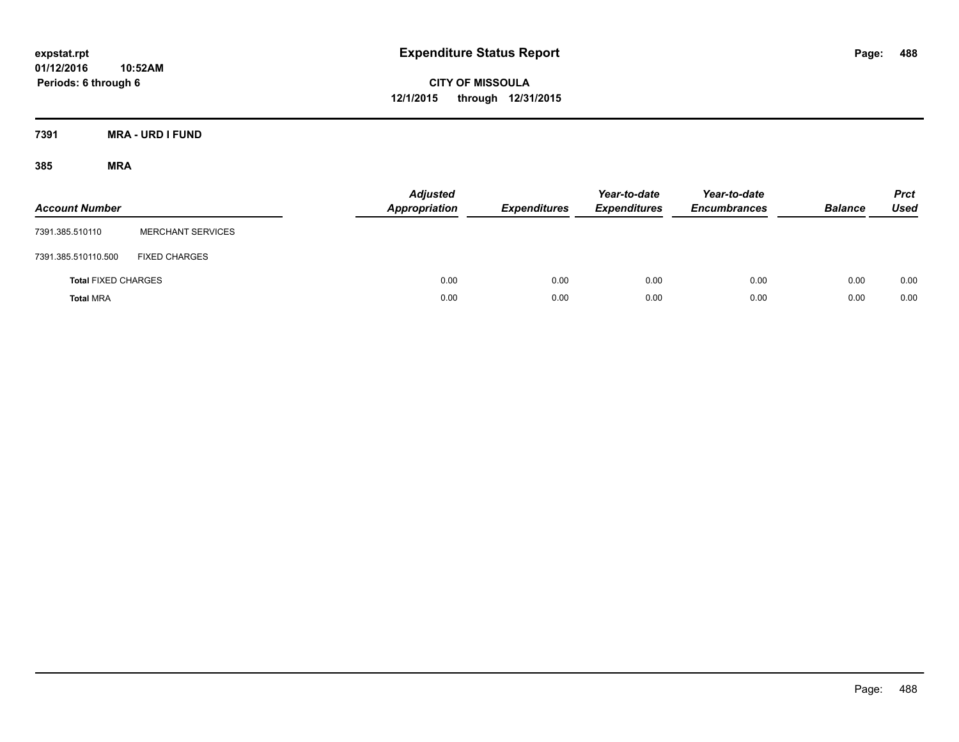**CITY OF MISSOULA 12/1/2015 through 12/31/2015**

**7391 MRA - URD I FUND**

| <b>Account Number</b>      |                          | <b>Adjusted</b><br><b>Appropriation</b> | <b>Expenditures</b> | Year-to-date<br><b>Expenditures</b> | Year-to-date<br><b>Encumbrances</b> | <b>Balance</b> | <b>Prct</b><br><b>Used</b> |
|----------------------------|--------------------------|-----------------------------------------|---------------------|-------------------------------------|-------------------------------------|----------------|----------------------------|
| 7391.385.510110            | <b>MERCHANT SERVICES</b> |                                         |                     |                                     |                                     |                |                            |
| 7391.385.510110.500        | <b>FIXED CHARGES</b>     |                                         |                     |                                     |                                     |                |                            |
| <b>Total FIXED CHARGES</b> |                          | 0.00                                    | 0.00                | 0.00                                | 0.00                                | 0.00           | 0.00                       |
| <b>Total MRA</b>           |                          | 0.00                                    | 0.00                | 0.00                                | 0.00                                | 0.00           | 0.00                       |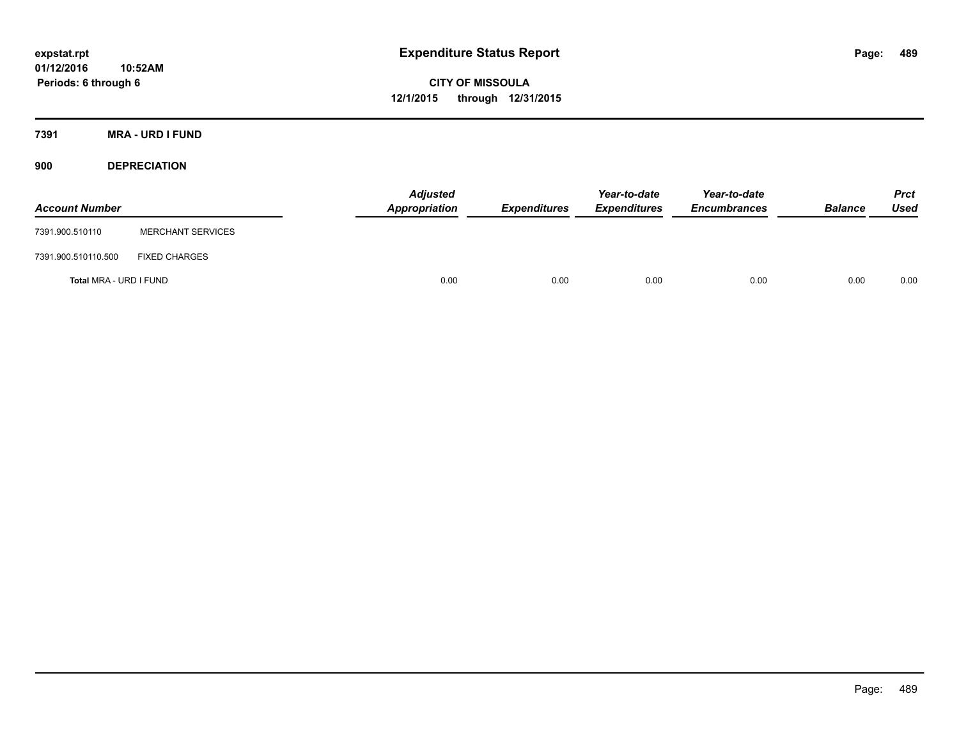**CITY OF MISSOULA 12/1/2015 through 12/31/2015**

**7391 MRA - URD I FUND**

**900 DEPRECIATION**

| <b>Account Number</b>  |                          | Adjusted<br>Appropriation | <b>Expenditures</b> | Year-to-date<br><b>Expenditures</b> | Year-to-date<br><b>Encumbrances</b> | <b>Balance</b> | Prct<br><b>Used</b> |
|------------------------|--------------------------|---------------------------|---------------------|-------------------------------------|-------------------------------------|----------------|---------------------|
| 7391.900.510110        | <b>MERCHANT SERVICES</b> |                           |                     |                                     |                                     |                |                     |
| 7391.900.510110.500    | <b>FIXED CHARGES</b>     |                           |                     |                                     |                                     |                |                     |
| Total MRA - URD I FUND |                          | 0.00                      | 0.00                | 0.00                                | 0.00                                | 0.00           | 0.00                |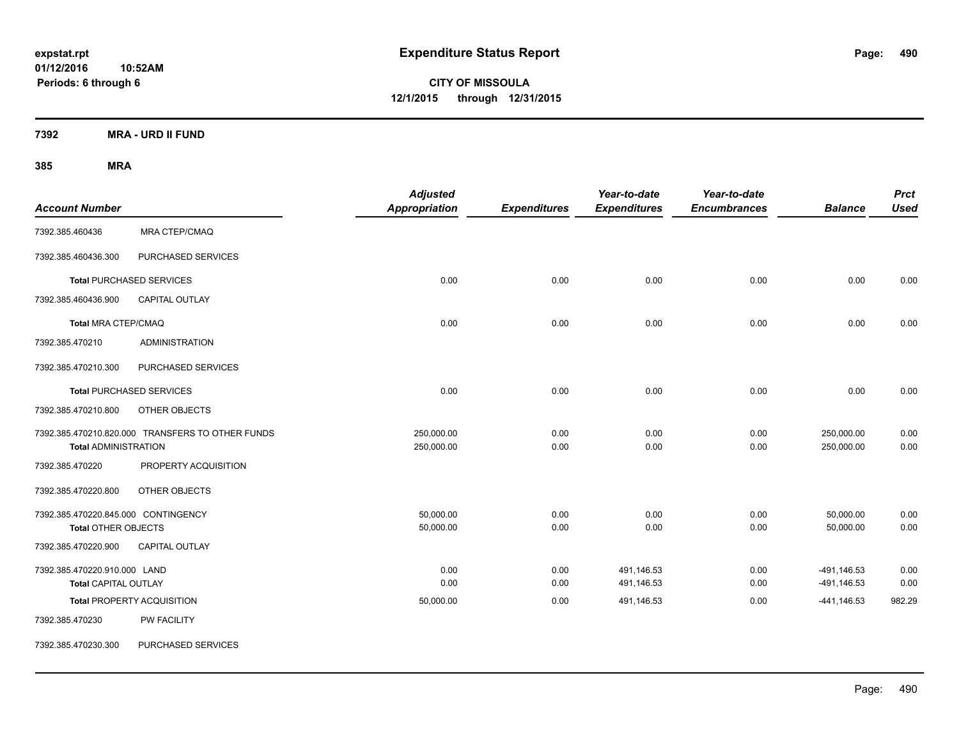**CITY OF MISSOULA 12/1/2015 through 12/31/2015**

**7392 MRA - URD II FUND**

| <b>Account Number</b>                                             |                                                  | <b>Adjusted</b><br><b>Appropriation</b> | <b>Expenditures</b> | Year-to-date<br><b>Expenditures</b> | Year-to-date<br><b>Encumbrances</b> | <b>Balance</b>             | <b>Prct</b><br><b>Used</b> |
|-------------------------------------------------------------------|--------------------------------------------------|-----------------------------------------|---------------------|-------------------------------------|-------------------------------------|----------------------------|----------------------------|
| 7392.385.460436                                                   | <b>MRA CTEP/CMAQ</b>                             |                                         |                     |                                     |                                     |                            |                            |
| 7392.385.460436.300                                               | PURCHASED SERVICES                               |                                         |                     |                                     |                                     |                            |                            |
|                                                                   | <b>Total PURCHASED SERVICES</b>                  | 0.00                                    | 0.00                | 0.00                                | 0.00                                | 0.00                       | 0.00                       |
| 7392.385.460436.900                                               | <b>CAPITAL OUTLAY</b>                            |                                         |                     |                                     |                                     |                            |                            |
| Total MRA CTEP/CMAQ                                               |                                                  | 0.00                                    | 0.00                | 0.00                                | 0.00                                | 0.00                       | 0.00                       |
| 7392.385.470210                                                   | <b>ADMINISTRATION</b>                            |                                         |                     |                                     |                                     |                            |                            |
| 7392.385.470210.300                                               | PURCHASED SERVICES                               |                                         |                     |                                     |                                     |                            |                            |
|                                                                   | <b>Total PURCHASED SERVICES</b>                  | 0.00                                    | 0.00                | 0.00                                | 0.00                                | 0.00                       | 0.00                       |
| 7392.385.470210.800                                               | OTHER OBJECTS                                    |                                         |                     |                                     |                                     |                            |                            |
| <b>Total ADMINISTRATION</b>                                       | 7392.385.470210.820.000 TRANSFERS TO OTHER FUNDS | 250,000.00<br>250,000.00                | 0.00<br>0.00        | 0.00<br>0.00                        | 0.00<br>0.00                        | 250,000.00<br>250,000.00   | 0.00<br>0.00               |
| 7392.385.470220                                                   | PROPERTY ACQUISITION                             |                                         |                     |                                     |                                     |                            |                            |
| 7392.385.470220.800                                               | OTHER OBJECTS                                    |                                         |                     |                                     |                                     |                            |                            |
| 7392.385.470220.845.000 CONTINGENCY<br><b>Total OTHER OBJECTS</b> |                                                  | 50,000.00<br>50,000.00                  | 0.00<br>0.00        | 0.00<br>0.00                        | 0.00<br>0.00                        | 50,000.00<br>50,000.00     | 0.00<br>0.00               |
| 7392.385.470220.900                                               | <b>CAPITAL OUTLAY</b>                            |                                         |                     |                                     |                                     |                            |                            |
| 7392.385.470220.910.000 LAND<br><b>Total CAPITAL OUTLAY</b>       |                                                  | 0.00<br>0.00                            | 0.00<br>0.00        | 491,146.53<br>491,146.53            | 0.00<br>0.00                        | -491,146.53<br>-491,146.53 | 0.00<br>0.00               |
|                                                                   | Total PROPERTY ACQUISITION                       | 50,000.00                               | 0.00                | 491,146.53                          | 0.00                                | $-441,146.53$              | 982.29                     |
| 7392.385.470230                                                   | PW FACILITY                                      |                                         |                     |                                     |                                     |                            |                            |
| 7392.385.470230.300                                               | PURCHASED SERVICES                               |                                         |                     |                                     |                                     |                            |                            |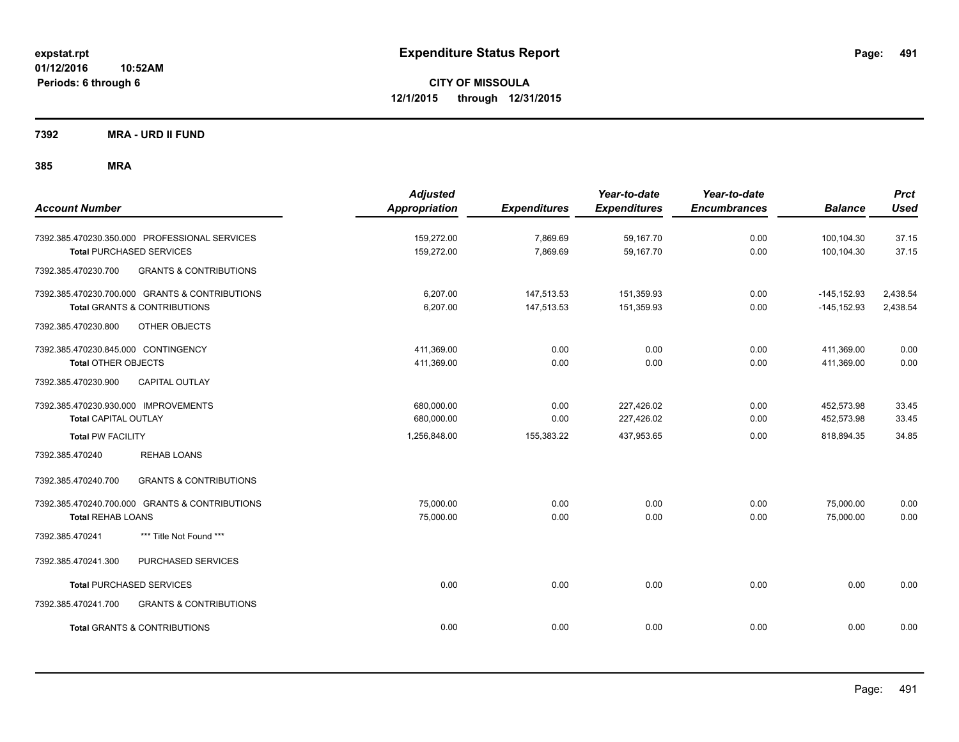**CITY OF MISSOULA 12/1/2015 through 12/31/2015**

**7392 MRA - URD II FUND**

| <b>Account Number</b>                                                                                             | <b>Adjusted</b><br><b>Appropriation</b> | <b>Expenditures</b>      | Year-to-date<br><b>Expenditures</b> | Year-to-date<br><b>Encumbrances</b> | <b>Balance</b>                   | <b>Prct</b><br><b>Used</b> |
|-------------------------------------------------------------------------------------------------------------------|-----------------------------------------|--------------------------|-------------------------------------|-------------------------------------|----------------------------------|----------------------------|
| 7392.385.470230.350.000 PROFESSIONAL SERVICES<br><b>Total PURCHASED SERVICES</b>                                  | 159,272.00<br>159,272.00                | 7,869.69<br>7,869.69     | 59,167.70<br>59,167.70              | 0.00<br>0.00                        | 100,104.30<br>100,104.30         | 37.15<br>37.15             |
| 7392.385.470230.700<br><b>GRANTS &amp; CONTRIBUTIONS</b>                                                          |                                         |                          |                                     |                                     |                                  |                            |
| 7392.385.470230.700.000 GRANTS & CONTRIBUTIONS<br><b>Total GRANTS &amp; CONTRIBUTIONS</b>                         | 6,207.00<br>6,207.00                    | 147,513.53<br>147,513.53 | 151,359.93<br>151,359.93            | 0.00<br>0.00                        | $-145, 152.93$<br>$-145, 152.93$ | 2,438.54<br>2,438.54       |
| 7392.385.470230.800<br>OTHER OBJECTS                                                                              |                                         |                          |                                     |                                     |                                  |                            |
| 7392.385.470230.845.000 CONTINGENCY<br><b>Total OTHER OBJECTS</b><br>7392.385.470230.900<br><b>CAPITAL OUTLAY</b> | 411,369.00<br>411,369.00                | 0.00<br>0.00             | 0.00<br>0.00                        | 0.00<br>0.00                        | 411,369.00<br>411,369.00         | 0.00<br>0.00               |
| 7392.385.470230.930.000 IMPROVEMENTS<br><b>Total CAPITAL OUTLAY</b>                                               | 680,000.00<br>680,000.00                | 0.00<br>0.00             | 227,426.02<br>227,426.02            | 0.00<br>0.00                        | 452,573.98<br>452,573.98         | 33.45<br>33.45             |
| <b>Total PW FACILITY</b>                                                                                          | 1,256,848.00                            | 155,383.22               | 437,953.65                          | 0.00                                | 818,894.35                       | 34.85                      |
| <b>REHAB LOANS</b><br>7392.385.470240                                                                             |                                         |                          |                                     |                                     |                                  |                            |
| 7392.385.470240.700<br><b>GRANTS &amp; CONTRIBUTIONS</b>                                                          |                                         |                          |                                     |                                     |                                  |                            |
| 7392.385.470240.700.000 GRANTS & CONTRIBUTIONS<br><b>Total REHAB LOANS</b>                                        | 75,000.00<br>75,000.00                  | 0.00<br>0.00             | 0.00<br>0.00                        | 0.00<br>0.00                        | 75,000.00<br>75,000.00           | 0.00<br>0.00               |
| *** Title Not Found ***<br>7392.385.470241                                                                        |                                         |                          |                                     |                                     |                                  |                            |
| 7392.385.470241.300<br>PURCHASED SERVICES                                                                         |                                         |                          |                                     |                                     |                                  |                            |
| <b>Total PURCHASED SERVICES</b>                                                                                   | 0.00                                    | 0.00                     | 0.00                                | 0.00                                | 0.00                             | 0.00                       |
| 7392.385.470241.700<br><b>GRANTS &amp; CONTRIBUTIONS</b>                                                          |                                         |                          |                                     |                                     |                                  |                            |
| <b>Total GRANTS &amp; CONTRIBUTIONS</b>                                                                           | 0.00                                    | 0.00                     | 0.00                                | 0.00                                | 0.00                             | 0.00                       |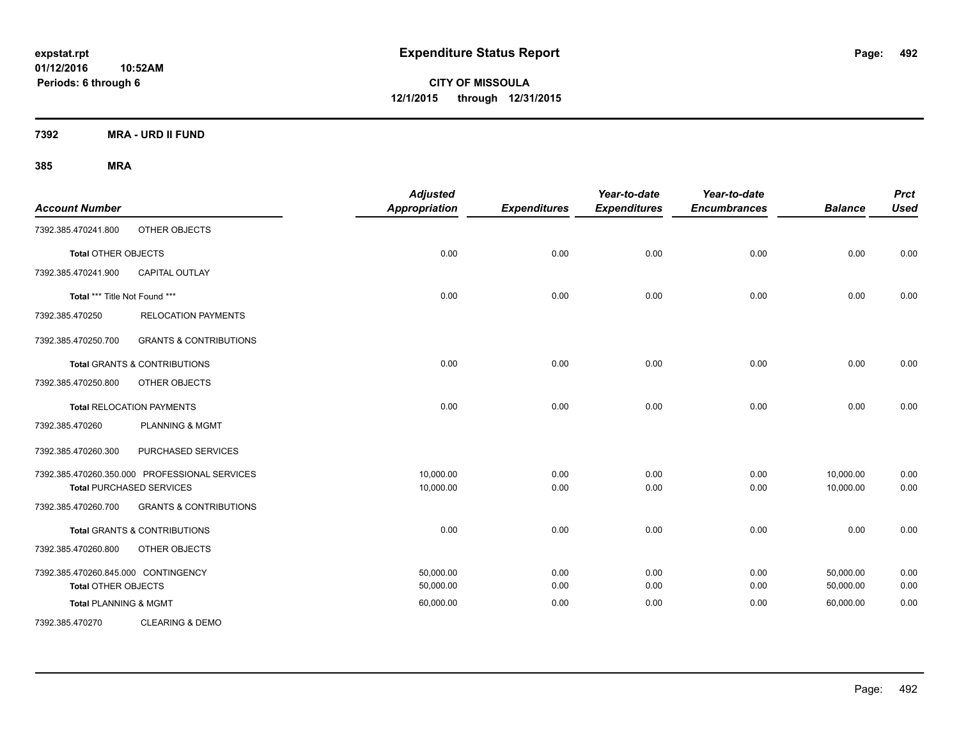**CITY OF MISSOULA 12/1/2015 through 12/31/2015**

**7392 MRA - URD II FUND**

| <b>Account Number</b>               |                                               | <b>Adjusted</b><br><b>Appropriation</b> | <b>Expenditures</b> | Year-to-date<br><b>Expenditures</b> | Year-to-date<br><b>Encumbrances</b> | <b>Balance</b> | <b>Prct</b><br><b>Used</b> |
|-------------------------------------|-----------------------------------------------|-----------------------------------------|---------------------|-------------------------------------|-------------------------------------|----------------|----------------------------|
| 7392.385.470241.800                 | OTHER OBJECTS                                 |                                         |                     |                                     |                                     |                |                            |
| <b>Total OTHER OBJECTS</b>          |                                               | 0.00                                    | 0.00                | 0.00                                | 0.00                                | 0.00           | 0.00                       |
| 7392.385.470241.900                 | <b>CAPITAL OUTLAY</b>                         |                                         |                     |                                     |                                     |                |                            |
| Total *** Title Not Found ***       |                                               | 0.00                                    | 0.00                | 0.00                                | 0.00                                | 0.00           | 0.00                       |
| 7392.385.470250                     | <b>RELOCATION PAYMENTS</b>                    |                                         |                     |                                     |                                     |                |                            |
| 7392.385.470250.700                 | <b>GRANTS &amp; CONTRIBUTIONS</b>             |                                         |                     |                                     |                                     |                |                            |
|                                     | <b>Total GRANTS &amp; CONTRIBUTIONS</b>       | 0.00                                    | 0.00                | 0.00                                | 0.00                                | 0.00           | 0.00                       |
| 7392.385.470250.800                 | OTHER OBJECTS                                 |                                         |                     |                                     |                                     |                |                            |
|                                     | <b>Total RELOCATION PAYMENTS</b>              | 0.00                                    | 0.00                | 0.00                                | 0.00                                | 0.00           | 0.00                       |
| 7392.385.470260                     | <b>PLANNING &amp; MGMT</b>                    |                                         |                     |                                     |                                     |                |                            |
| 7392.385.470260.300                 | PURCHASED SERVICES                            |                                         |                     |                                     |                                     |                |                            |
|                                     | 7392.385.470260.350.000 PROFESSIONAL SERVICES | 10,000.00                               | 0.00                | 0.00                                | 0.00                                | 10,000.00      | 0.00                       |
|                                     | <b>Total PURCHASED SERVICES</b>               | 10,000.00                               | 0.00                | 0.00                                | 0.00                                | 10,000.00      | 0.00                       |
| 7392.385.470260.700                 | <b>GRANTS &amp; CONTRIBUTIONS</b>             |                                         |                     |                                     |                                     |                |                            |
|                                     | Total GRANTS & CONTRIBUTIONS                  | 0.00                                    | 0.00                | 0.00                                | 0.00                                | 0.00           | 0.00                       |
| 7392.385.470260.800                 | OTHER OBJECTS                                 |                                         |                     |                                     |                                     |                |                            |
| 7392.385.470260.845.000 CONTINGENCY |                                               | 50,000.00                               | 0.00                | 0.00                                | 0.00                                | 50,000.00      | 0.00                       |
| <b>Total OTHER OBJECTS</b>          |                                               | 50,000.00                               | 0.00                | 0.00                                | 0.00                                | 50,000.00      | 0.00                       |
| <b>Total PLANNING &amp; MGMT</b>    |                                               | 60,000.00                               | 0.00                | 0.00                                | 0.00                                | 60,000.00      | 0.00                       |
| 7392.385.470270                     | <b>CLEARING &amp; DEMO</b>                    |                                         |                     |                                     |                                     |                |                            |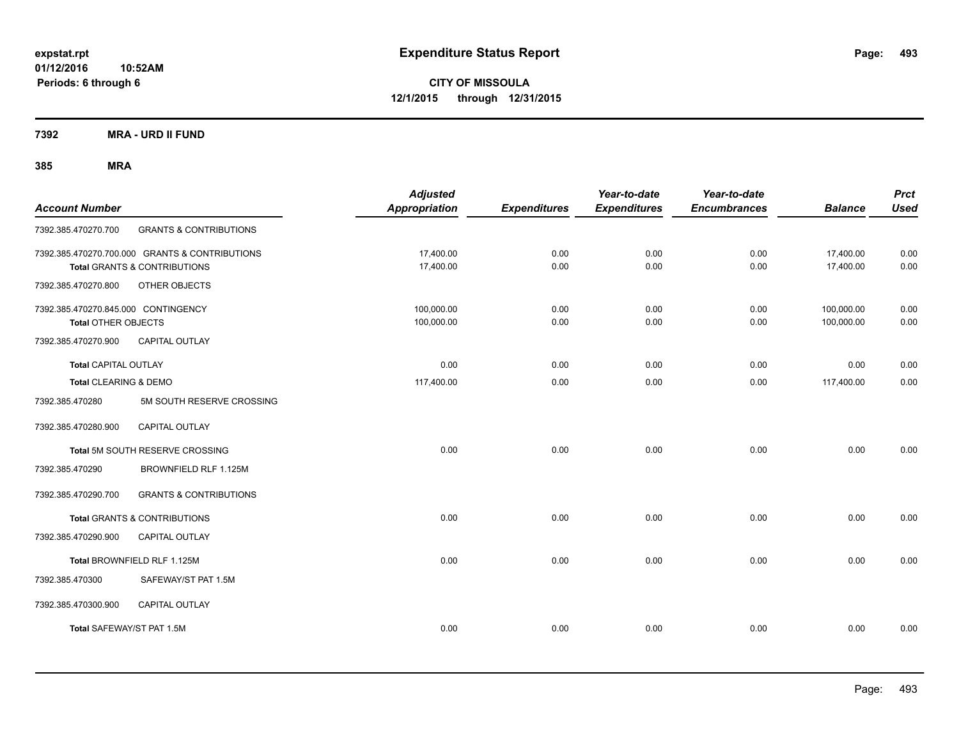**CITY OF MISSOULA 12/1/2015 through 12/31/2015**

**7392 MRA - URD II FUND**

| <b>Account Number</b>                                             |                                                                                | <b>Adjusted</b><br><b>Appropriation</b> | <b>Expenditures</b> | Year-to-date<br><b>Expenditures</b> | Year-to-date<br><b>Encumbrances</b> | <b>Balance</b>           | <b>Prct</b><br><b>Used</b> |
|-------------------------------------------------------------------|--------------------------------------------------------------------------------|-----------------------------------------|---------------------|-------------------------------------|-------------------------------------|--------------------------|----------------------------|
| 7392.385.470270.700                                               | <b>GRANTS &amp; CONTRIBUTIONS</b>                                              |                                         |                     |                                     |                                     |                          |                            |
|                                                                   | 7392.385.470270.700.000 GRANTS & CONTRIBUTIONS<br>Total GRANTS & CONTRIBUTIONS | 17,400.00<br>17,400.00                  | 0.00<br>0.00        | 0.00<br>0.00                        | 0.00<br>0.00                        | 17,400.00<br>17,400.00   | 0.00<br>0.00               |
| 7392.385.470270.800                                               | OTHER OBJECTS                                                                  |                                         |                     |                                     |                                     |                          |                            |
| 7392.385.470270.845.000 CONTINGENCY<br><b>Total OTHER OBJECTS</b> |                                                                                | 100,000.00<br>100,000.00                | 0.00<br>0.00        | 0.00<br>0.00                        | 0.00<br>0.00                        | 100,000.00<br>100,000.00 | 0.00<br>0.00               |
| 7392.385.470270.900                                               | <b>CAPITAL OUTLAY</b>                                                          |                                         |                     |                                     |                                     |                          |                            |
| <b>Total CAPITAL OUTLAY</b>                                       |                                                                                | 0.00                                    | 0.00                | 0.00                                | 0.00                                | 0.00                     | 0.00                       |
| Total CLEARING & DEMO                                             |                                                                                | 117,400.00                              | 0.00                | 0.00                                | 0.00                                | 117,400.00               | 0.00                       |
| 7392.385.470280                                                   | 5M SOUTH RESERVE CROSSING                                                      |                                         |                     |                                     |                                     |                          |                            |
| 7392.385.470280.900                                               | <b>CAPITAL OUTLAY</b>                                                          |                                         |                     |                                     |                                     |                          |                            |
|                                                                   | Total 5M SOUTH RESERVE CROSSING                                                | 0.00                                    | 0.00                | 0.00                                | 0.00                                | 0.00                     | 0.00                       |
| 7392.385.470290                                                   | BROWNFIELD RLF 1.125M                                                          |                                         |                     |                                     |                                     |                          |                            |
| 7392.385.470290.700                                               | <b>GRANTS &amp; CONTRIBUTIONS</b>                                              |                                         |                     |                                     |                                     |                          |                            |
|                                                                   | Total GRANTS & CONTRIBUTIONS                                                   | 0.00                                    | 0.00                | 0.00                                | 0.00                                | 0.00                     | 0.00                       |
| 7392.385.470290.900                                               | CAPITAL OUTLAY                                                                 |                                         |                     |                                     |                                     |                          |                            |
|                                                                   | Total BROWNFIELD RLF 1.125M                                                    | 0.00                                    | 0.00                | 0.00                                | 0.00                                | 0.00                     | 0.00                       |
| 7392.385.470300                                                   | SAFEWAY/ST PAT 1.5M                                                            |                                         |                     |                                     |                                     |                          |                            |
| 7392.385.470300.900                                               | <b>CAPITAL OUTLAY</b>                                                          |                                         |                     |                                     |                                     |                          |                            |
| Total SAFEWAY/ST PAT 1.5M                                         |                                                                                | 0.00                                    | 0.00                | 0.00                                | 0.00                                | 0.00                     | 0.00                       |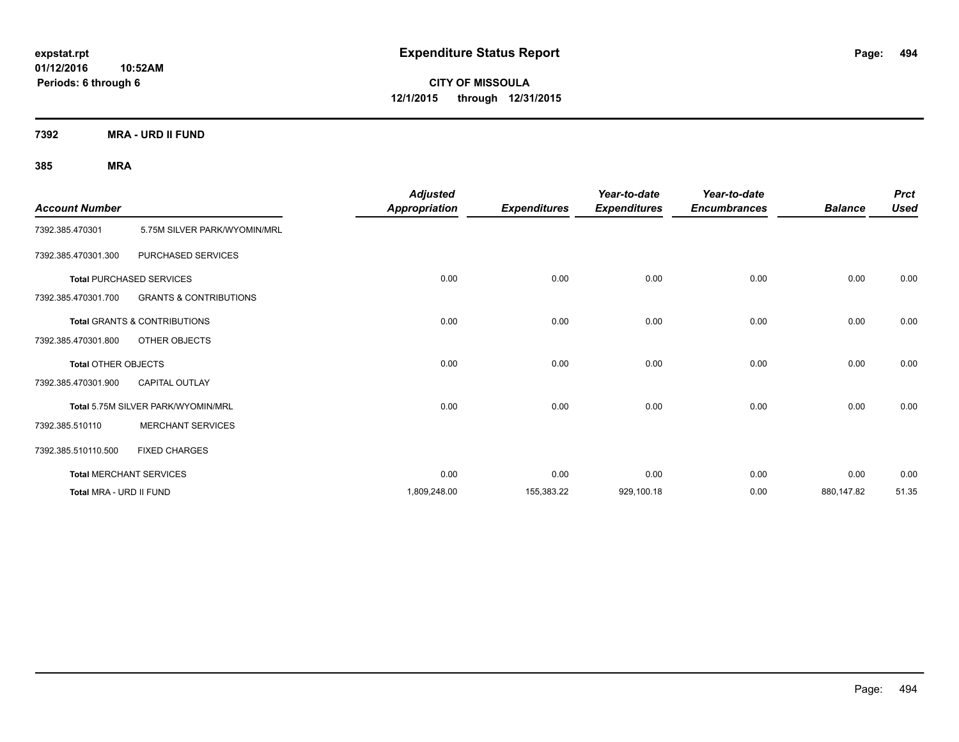**CITY OF MISSOULA 12/1/2015 through 12/31/2015**

**7392 MRA - URD II FUND**

| <b>Account Number</b>      |                                         | <b>Adjusted</b><br><b>Appropriation</b> | <b>Expenditures</b> | Year-to-date<br><b>Expenditures</b> | Year-to-date<br><b>Encumbrances</b> | <b>Balance</b> | <b>Prct</b><br><b>Used</b> |
|----------------------------|-----------------------------------------|-----------------------------------------|---------------------|-------------------------------------|-------------------------------------|----------------|----------------------------|
| 7392.385.470301            | 5.75M SILVER PARK/WYOMIN/MRL            |                                         |                     |                                     |                                     |                |                            |
| 7392.385.470301.300        | PURCHASED SERVICES                      |                                         |                     |                                     |                                     |                |                            |
|                            | <b>Total PURCHASED SERVICES</b>         | 0.00                                    | 0.00                | 0.00                                | 0.00                                | 0.00           | 0.00                       |
| 7392.385.470301.700        | <b>GRANTS &amp; CONTRIBUTIONS</b>       |                                         |                     |                                     |                                     |                |                            |
|                            | <b>Total GRANTS &amp; CONTRIBUTIONS</b> | 0.00                                    | 0.00                | 0.00                                | 0.00                                | 0.00           | 0.00                       |
| 7392.385.470301.800        | OTHER OBJECTS                           |                                         |                     |                                     |                                     |                |                            |
| <b>Total OTHER OBJECTS</b> |                                         | 0.00                                    | 0.00                | 0.00                                | 0.00                                | 0.00           | 0.00                       |
| 7392.385.470301.900        | <b>CAPITAL OUTLAY</b>                   |                                         |                     |                                     |                                     |                |                            |
|                            | Total 5.75M SILVER PARK/WYOMIN/MRL      | 0.00                                    | 0.00                | 0.00                                | 0.00                                | 0.00           | 0.00                       |
| 7392.385.510110            | <b>MERCHANT SERVICES</b>                |                                         |                     |                                     |                                     |                |                            |
| 7392.385.510110.500        | <b>FIXED CHARGES</b>                    |                                         |                     |                                     |                                     |                |                            |
|                            | <b>Total MERCHANT SERVICES</b>          | 0.00                                    | 0.00                | 0.00                                | 0.00                                | 0.00           | 0.00                       |
| Total MRA - URD II FUND    |                                         | 1,809,248.00                            | 155,383.22          | 929,100.18                          | 0.00                                | 880,147.82     | 51.35                      |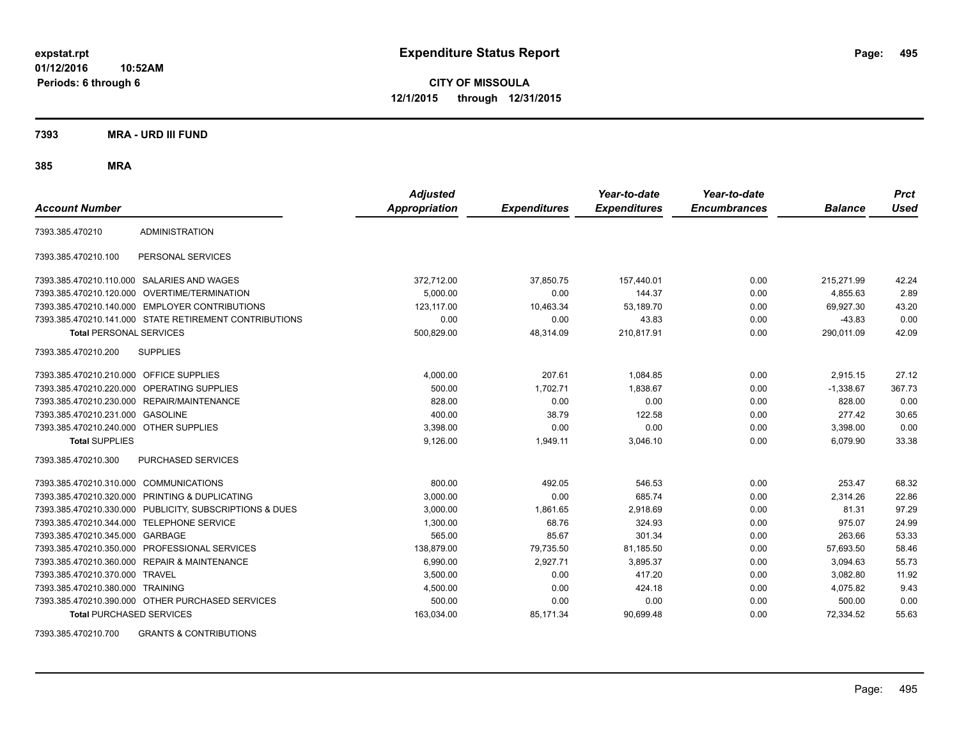**CITY OF MISSOULA 12/1/2015 through 12/31/2015**

**7393 MRA - URD III FUND**

**385 MRA**

| <b>Account Number</b>                   |                                                         | <b>Adjusted</b><br><b>Appropriation</b> | <b>Expenditures</b> | Year-to-date<br><b>Expenditures</b> | Year-to-date<br><b>Encumbrances</b> | <b>Balance</b> | <b>Prct</b><br><b>Used</b> |
|-----------------------------------------|---------------------------------------------------------|-----------------------------------------|---------------------|-------------------------------------|-------------------------------------|----------------|----------------------------|
| 7393.385.470210                         | <b>ADMINISTRATION</b>                                   |                                         |                     |                                     |                                     |                |                            |
| 7393.385.470210.100                     | PERSONAL SERVICES                                       |                                         |                     |                                     |                                     |                |                            |
|                                         | 7393.385.470210.110.000 SALARIES AND WAGES              | 372,712.00                              | 37,850.75           | 157,440.01                          | 0.00                                | 215,271.99     | 42.24                      |
|                                         | 7393.385.470210.120.000 OVERTIME/TERMINATION            | 5.000.00                                | 0.00                | 144.37                              | 0.00                                | 4.855.63       | 2.89                       |
|                                         | 7393.385.470210.140.000 EMPLOYER CONTRIBUTIONS          | 123,117.00                              | 10,463.34           | 53,189.70                           | 0.00                                | 69,927.30      | 43.20                      |
|                                         | 7393.385.470210.141.000 STATE RETIREMENT CONTRIBUTIONS  | 0.00                                    | 0.00                | 43.83                               | 0.00                                | $-43.83$       | 0.00                       |
| <b>Total PERSONAL SERVICES</b>          |                                                         | 500,829.00                              | 48,314.09           | 210,817.91                          | 0.00                                | 290,011.09     | 42.09                      |
| 7393.385.470210.200                     | <b>SUPPLIES</b>                                         |                                         |                     |                                     |                                     |                |                            |
| 7393.385.470210.210.000 OFFICE SUPPLIES |                                                         | 4,000.00                                | 207.61              | 1,084.85                            | 0.00                                | 2,915.15       | 27.12                      |
|                                         | 7393.385.470210.220.000 OPERATING SUPPLIES              | 500.00                                  | 1,702.71            | 1,838.67                            | 0.00                                | $-1,338.67$    | 367.73                     |
| 7393.385.470210.230.000                 | REPAIR/MAINTENANCE                                      | 828.00                                  | 0.00                | 0.00                                | 0.00                                | 828.00         | 0.00                       |
| 7393.385.470210.231.000                 | <b>GASOLINE</b>                                         | 400.00                                  | 38.79               | 122.58                              | 0.00                                | 277.42         | 30.65                      |
| 7393.385.470210.240.000 OTHER SUPPLIES  |                                                         | 3,398.00                                | 0.00                | 0.00                                | 0.00                                | 3,398.00       | 0.00                       |
| <b>Total SUPPLIES</b>                   |                                                         | 9,126.00                                | 1,949.11            | 3,046.10                            | 0.00                                | 6,079.90       | 33.38                      |
| 7393.385.470210.300                     | <b>PURCHASED SERVICES</b>                               |                                         |                     |                                     |                                     |                |                            |
| 7393.385.470210.310.000 COMMUNICATIONS  |                                                         | 800.00                                  | 492.05              | 546.53                              | 0.00                                | 253.47         | 68.32                      |
| 7393.385.470210.320.000                 | PRINTING & DUPLICATING                                  | 3,000.00                                | 0.00                | 685.74                              | 0.00                                | 2,314.26       | 22.86                      |
|                                         | 7393.385.470210.330.000 PUBLICITY, SUBSCRIPTIONS & DUES | 3,000.00                                | 1,861.65            | 2,918.69                            | 0.00                                | 81.31          | 97.29                      |
| 7393.385.470210.344.000                 | <b>TELEPHONE SERVICE</b>                                | 1,300.00                                | 68.76               | 324.93                              | 0.00                                | 975.07         | 24.99                      |
| 7393.385.470210.345.000 GARBAGE         |                                                         | 565.00                                  | 85.67               | 301.34                              | 0.00                                | 263.66         | 53.33                      |
|                                         | 7393.385.470210.350.000 PROFESSIONAL SERVICES           | 138.879.00                              | 79,735.50           | 81,185.50                           | 0.00                                | 57,693.50      | 58.46                      |
|                                         | 7393.385.470210.360.000 REPAIR & MAINTENANCE            | 6,990.00                                | 2,927.71            | 3,895.37                            | 0.00                                | 3,094.63       | 55.73                      |
| 7393.385.470210.370.000 TRAVEL          |                                                         | 3,500.00                                | 0.00                | 417.20                              | 0.00                                | 3,082.80       | 11.92                      |
| 7393.385.470210.380.000 TRAINING        |                                                         | 4,500.00                                | 0.00                | 424.18                              | 0.00                                | 4,075.82       | 9.43                       |
|                                         | 7393.385.470210.390.000 OTHER PURCHASED SERVICES        | 500.00                                  | 0.00                | 0.00                                | 0.00                                | 500.00         | 0.00                       |
| <b>Total PURCHASED SERVICES</b>         |                                                         | 163,034.00                              | 85,171.34           | 90,699.48                           | 0.00                                | 72,334.52      | 55.63                      |

7393.385.470210.700 GRANTS & CONTRIBUTIONS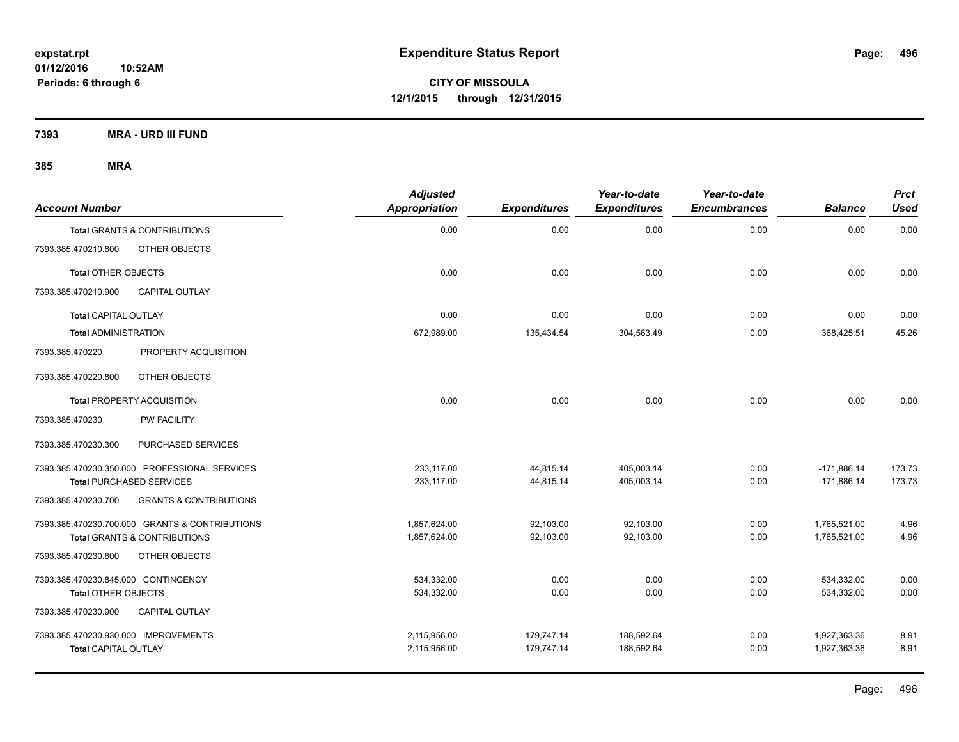**7393 MRA - URD III FUND**

| <b>Account Number</b>                |                                                | <b>Adjusted</b><br><b>Appropriation</b> | <b>Expenditures</b> | Year-to-date<br><b>Expenditures</b> | Year-to-date<br><b>Encumbrances</b> | <b>Balance</b> | <b>Prct</b><br><b>Used</b> |
|--------------------------------------|------------------------------------------------|-----------------------------------------|---------------------|-------------------------------------|-------------------------------------|----------------|----------------------------|
|                                      | <b>Total GRANTS &amp; CONTRIBUTIONS</b>        | 0.00                                    | 0.00                | 0.00                                | 0.00                                | 0.00           | 0.00                       |
| 7393.385.470210.800                  | OTHER OBJECTS                                  |                                         |                     |                                     |                                     |                |                            |
| <b>Total OTHER OBJECTS</b>           |                                                | 0.00                                    | 0.00                | 0.00                                | 0.00                                | 0.00           | 0.00                       |
| 7393.385.470210.900                  | <b>CAPITAL OUTLAY</b>                          |                                         |                     |                                     |                                     |                |                            |
| <b>Total CAPITAL OUTLAY</b>          |                                                | 0.00                                    | 0.00                | 0.00                                | 0.00                                | 0.00           | 0.00                       |
| <b>Total ADMINISTRATION</b>          |                                                | 672,989.00                              | 135,434.54          | 304,563.49                          | 0.00                                | 368,425.51     | 45.26                      |
| 7393.385.470220                      | PROPERTY ACQUISITION                           |                                         |                     |                                     |                                     |                |                            |
| 7393.385.470220.800                  | OTHER OBJECTS                                  |                                         |                     |                                     |                                     |                |                            |
|                                      | <b>Total PROPERTY ACQUISITION</b>              | 0.00                                    | 0.00                | 0.00                                | 0.00                                | 0.00           | 0.00                       |
| 7393.385.470230                      | <b>PW FACILITY</b>                             |                                         |                     |                                     |                                     |                |                            |
| 7393.385.470230.300                  | PURCHASED SERVICES                             |                                         |                     |                                     |                                     |                |                            |
|                                      | 7393.385.470230.350.000 PROFESSIONAL SERVICES  | 233.117.00                              | 44,815.14           | 405,003.14                          | 0.00                                | $-171.886.14$  | 173.73                     |
|                                      | <b>Total PURCHASED SERVICES</b>                | 233,117.00                              | 44,815.14           | 405,003.14                          | 0.00                                | $-171,886.14$  | 173.73                     |
| 7393.385.470230.700                  | <b>GRANTS &amp; CONTRIBUTIONS</b>              |                                         |                     |                                     |                                     |                |                            |
|                                      | 7393.385.470230.700.000 GRANTS & CONTRIBUTIONS | 1,857,624.00                            | 92,103.00           | 92,103.00                           | 0.00                                | 1,765,521.00   | 4.96                       |
|                                      | <b>Total GRANTS &amp; CONTRIBUTIONS</b>        | 1.857.624.00                            | 92,103.00           | 92,103.00                           | 0.00                                | 1.765.521.00   | 4.96                       |
| 7393.385.470230.800                  | OTHER OBJECTS                                  |                                         |                     |                                     |                                     |                |                            |
| 7393.385.470230.845.000 CONTINGENCY  |                                                | 534,332.00                              | 0.00                | 0.00                                | 0.00                                | 534,332.00     | 0.00                       |
| Total OTHER OBJECTS                  |                                                | 534,332.00                              | 0.00                | 0.00                                | 0.00                                | 534,332.00     | 0.00                       |
| 7393.385.470230.900                  | <b>CAPITAL OUTLAY</b>                          |                                         |                     |                                     |                                     |                |                            |
| 7393.385.470230.930.000 IMPROVEMENTS |                                                | 2,115,956.00                            | 179,747.14          | 188,592.64                          | 0.00                                | 1,927,363.36   | 8.91                       |
| <b>Total CAPITAL OUTLAY</b>          |                                                | 2,115,956.00                            | 179,747.14          | 188,592.64                          | 0.00                                | 1,927,363.36   | 8.91                       |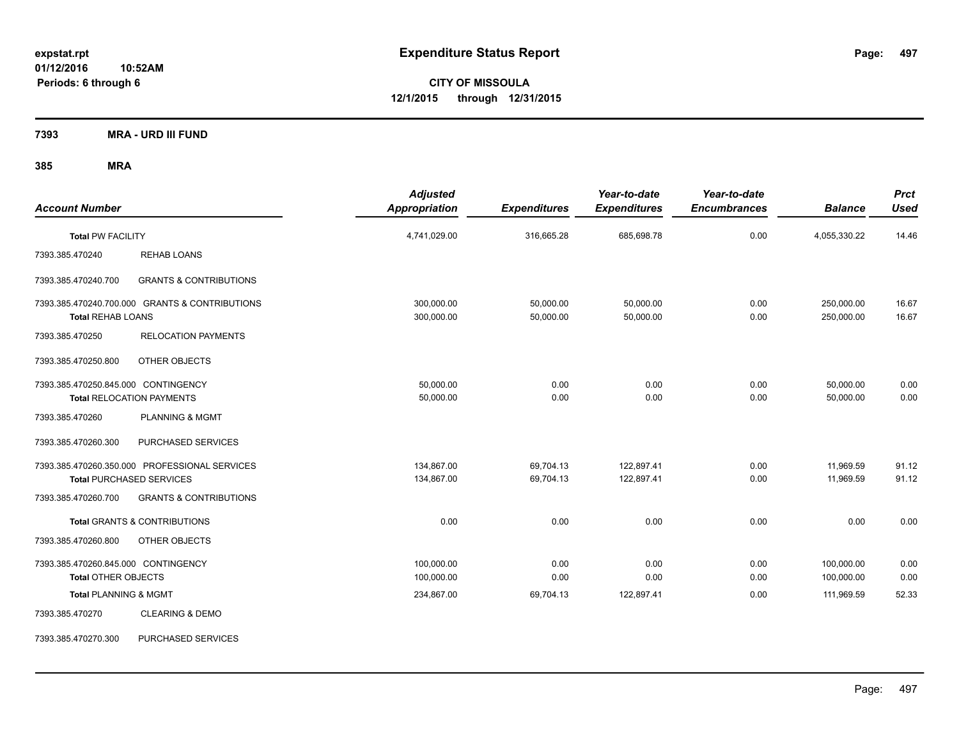**CITY OF MISSOULA 12/1/2015 through 12/31/2015**

**7393 MRA - URD III FUND**

| <b>Account Number</b>                                             |                                                                                  | <b>Adjusted</b><br>Appropriation | <b>Expenditures</b>    | Year-to-date<br><b>Expenditures</b> | Year-to-date<br><b>Encumbrances</b> | <b>Balance</b>           | <b>Prct</b><br><b>Used</b> |
|-------------------------------------------------------------------|----------------------------------------------------------------------------------|----------------------------------|------------------------|-------------------------------------|-------------------------------------|--------------------------|----------------------------|
| <b>Total PW FACILITY</b>                                          |                                                                                  | 4,741,029.00                     | 316,665.28             | 685,698.78                          | 0.00                                | 4,055,330.22             | 14.46                      |
| 7393.385.470240                                                   | <b>REHAB LOANS</b>                                                               |                                  |                        |                                     |                                     |                          |                            |
| 7393.385.470240.700                                               | <b>GRANTS &amp; CONTRIBUTIONS</b>                                                |                                  |                        |                                     |                                     |                          |                            |
| <b>Total REHAB LOANS</b>                                          | 7393.385.470240.700.000 GRANTS & CONTRIBUTIONS                                   | 300,000.00<br>300,000.00         | 50,000.00<br>50,000.00 | 50,000.00<br>50,000.00              | 0.00<br>0.00                        | 250,000.00<br>250,000.00 | 16.67<br>16.67             |
| 7393.385.470250                                                   | <b>RELOCATION PAYMENTS</b>                                                       |                                  |                        |                                     |                                     |                          |                            |
| 7393.385.470250.800                                               | OTHER OBJECTS                                                                    |                                  |                        |                                     |                                     |                          |                            |
| 7393.385.470250.845.000 CONTINGENCY                               | <b>Total RELOCATION PAYMENTS</b>                                                 | 50,000.00<br>50,000.00           | 0.00<br>0.00           | 0.00<br>0.00                        | 0.00<br>0.00                        | 50,000.00<br>50,000.00   | 0.00<br>0.00               |
| 7393.385.470260                                                   | <b>PLANNING &amp; MGMT</b>                                                       |                                  |                        |                                     |                                     |                          |                            |
| 7393.385.470260.300                                               | PURCHASED SERVICES                                                               |                                  |                        |                                     |                                     |                          |                            |
|                                                                   | 7393.385.470260.350.000 PROFESSIONAL SERVICES<br><b>Total PURCHASED SERVICES</b> | 134.867.00<br>134,867.00         | 69,704.13<br>69,704.13 | 122.897.41<br>122,897.41            | 0.00<br>0.00                        | 11,969.59<br>11,969.59   | 91.12<br>91.12             |
| 7393.385.470260.700                                               | <b>GRANTS &amp; CONTRIBUTIONS</b>                                                |                                  |                        |                                     |                                     |                          |                            |
|                                                                   | <b>Total GRANTS &amp; CONTRIBUTIONS</b>                                          | 0.00                             | 0.00                   | 0.00                                | 0.00                                | 0.00                     | 0.00                       |
| 7393.385.470260.800                                               | OTHER OBJECTS                                                                    |                                  |                        |                                     |                                     |                          |                            |
| 7393.385.470260.845.000 CONTINGENCY<br><b>Total OTHER OBJECTS</b> |                                                                                  | 100,000.00<br>100,000.00         | 0.00<br>0.00           | 0.00<br>0.00                        | 0.00<br>0.00                        | 100,000.00<br>100,000.00 | 0.00<br>0.00               |
| <b>Total PLANNING &amp; MGMT</b>                                  |                                                                                  | 234,867.00                       | 69,704.13              | 122,897.41                          | 0.00                                | 111,969.59               | 52.33                      |
| 7393.385.470270                                                   | <b>CLEARING &amp; DEMO</b>                                                       |                                  |                        |                                     |                                     |                          |                            |
| 7393.385.470270.300                                               | PURCHASED SERVICES                                                               |                                  |                        |                                     |                                     |                          |                            |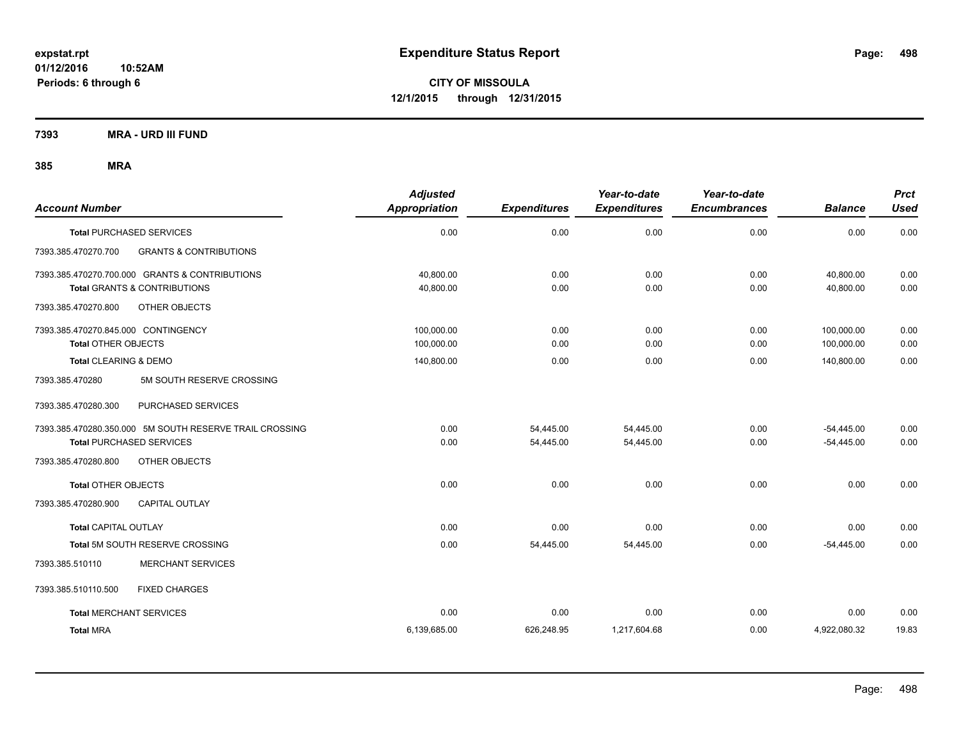**CITY OF MISSOULA 12/1/2015 through 12/31/2015**

**7393 MRA - URD III FUND**

| <b>Account Number</b>                                    | <b>Adjusted</b><br><b>Appropriation</b> | <b>Expenditures</b> | Year-to-date<br><b>Expenditures</b> | Year-to-date<br><b>Encumbrances</b> | <b>Balance</b> | <b>Prct</b><br><b>Used</b> |
|----------------------------------------------------------|-----------------------------------------|---------------------|-------------------------------------|-------------------------------------|----------------|----------------------------|
| <b>Total PURCHASED SERVICES</b>                          | 0.00                                    | 0.00                | 0.00                                | 0.00                                | 0.00           | 0.00                       |
| 7393.385.470270.700<br><b>GRANTS &amp; CONTRIBUTIONS</b> |                                         |                     |                                     |                                     |                |                            |
| 7393.385.470270.700.000 GRANTS & CONTRIBUTIONS           | 40.800.00                               | 0.00                | 0.00                                | 0.00                                | 40,800.00      | 0.00                       |
| <b>Total GRANTS &amp; CONTRIBUTIONS</b>                  | 40,800.00                               | 0.00                | 0.00                                | 0.00                                | 40,800.00      | 0.00                       |
| OTHER OBJECTS<br>7393.385.470270.800                     |                                         |                     |                                     |                                     |                |                            |
| 7393.385.470270.845.000 CONTINGENCY                      | 100,000.00                              | 0.00                | 0.00                                | 0.00                                | 100,000.00     | 0.00                       |
| <b>Total OTHER OBJECTS</b>                               | 100,000.00                              | 0.00                | 0.00                                | 0.00                                | 100,000.00     | 0.00                       |
| <b>Total CLEARING &amp; DEMO</b>                         | 140,800.00                              | 0.00                | 0.00                                | 0.00                                | 140,800.00     | 0.00                       |
| 5M SOUTH RESERVE CROSSING<br>7393.385.470280             |                                         |                     |                                     |                                     |                |                            |
| PURCHASED SERVICES<br>7393.385.470280.300                |                                         |                     |                                     |                                     |                |                            |
| 7393.385.470280.350.000 5M SOUTH RESERVE TRAIL CROSSING  | 0.00                                    | 54,445.00           | 54,445.00                           | 0.00                                | $-54,445.00$   | 0.00                       |
| <b>Total PURCHASED SERVICES</b>                          | 0.00                                    | 54,445.00           | 54,445.00                           | 0.00                                | $-54,445.00$   | 0.00                       |
| 7393.385.470280.800<br>OTHER OBJECTS                     |                                         |                     |                                     |                                     |                |                            |
| <b>Total OTHER OBJECTS</b>                               | 0.00                                    | 0.00                | 0.00                                | 0.00                                | 0.00           | 0.00                       |
| 7393.385.470280.900<br><b>CAPITAL OUTLAY</b>             |                                         |                     |                                     |                                     |                |                            |
| <b>Total CAPITAL OUTLAY</b>                              | 0.00                                    | 0.00                | 0.00                                | 0.00                                | 0.00           | 0.00                       |
| Total 5M SOUTH RESERVE CROSSING                          | 0.00                                    | 54,445.00           | 54,445.00                           | 0.00                                | $-54,445.00$   | 0.00                       |
| <b>MERCHANT SERVICES</b><br>7393.385.510110              |                                         |                     |                                     |                                     |                |                            |
| 7393.385.510110.500<br><b>FIXED CHARGES</b>              |                                         |                     |                                     |                                     |                |                            |
| <b>Total MERCHANT SERVICES</b>                           | 0.00                                    | 0.00                | 0.00                                | 0.00                                | 0.00           | 0.00                       |
| <b>Total MRA</b>                                         | 6,139,685.00                            | 626,248.95          | 1,217,604.68                        | 0.00                                | 4,922,080.32   | 19.83                      |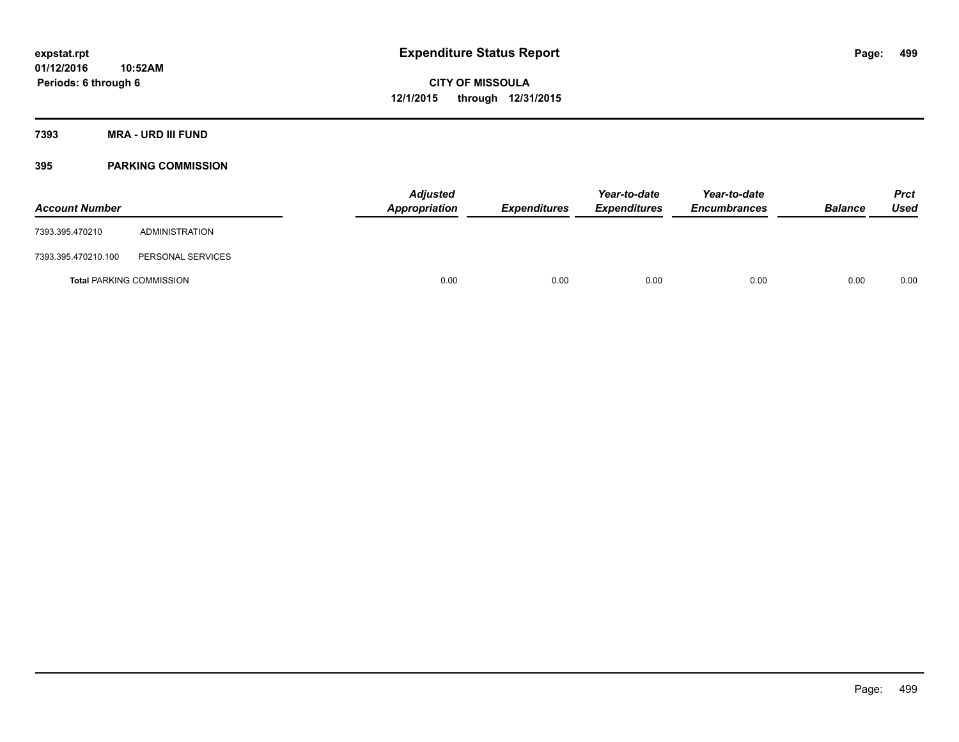**7393 MRA - URD III FUND**

### **395 PARKING COMMISSION**

| <b>Account Number</b> |                                 | <b>Adjusted</b><br>Appropriation | <b>Expenditures</b> | Year-to-date<br><b>Expenditures</b> | Year-to-date<br><b>Encumbrances</b> | <b>Balance</b> | <b>Prct</b><br>Used |
|-----------------------|---------------------------------|----------------------------------|---------------------|-------------------------------------|-------------------------------------|----------------|---------------------|
| 7393.395.470210       | ADMINISTRATION                  |                                  |                     |                                     |                                     |                |                     |
| 7393.395.470210.100   | PERSONAL SERVICES               |                                  |                     |                                     |                                     |                |                     |
|                       | <b>Total PARKING COMMISSION</b> | 0.00                             | 0.00                | 0.00                                | 0.00                                | 0.00           | 0.00                |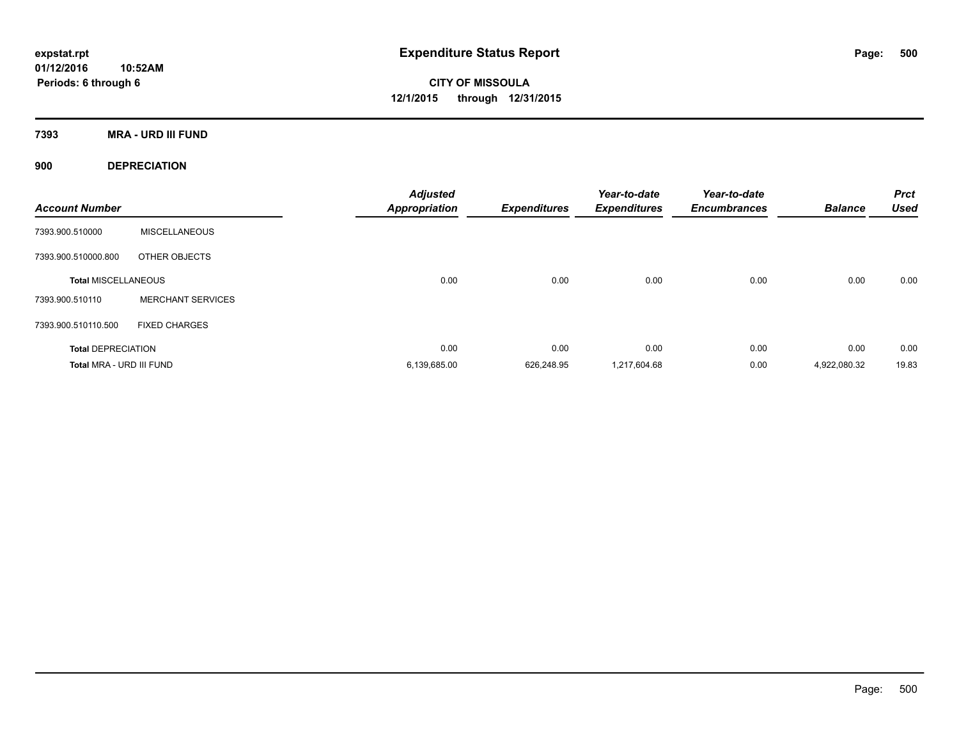**CITY OF MISSOULA 12/1/2015 through 12/31/2015**

**7393 MRA - URD III FUND**

**900 DEPRECIATION**

| <b>Account Number</b>      |                          | <b>Adjusted</b><br><b>Appropriation</b> | <b>Expenditures</b> | Year-to-date<br><b>Expenditures</b> | Year-to-date<br><b>Encumbrances</b> | <b>Balance</b> | <b>Prct</b><br><b>Used</b> |
|----------------------------|--------------------------|-----------------------------------------|---------------------|-------------------------------------|-------------------------------------|----------------|----------------------------|
| 7393.900.510000            | <b>MISCELLANEOUS</b>     |                                         |                     |                                     |                                     |                |                            |
| 7393.900.510000.800        | OTHER OBJECTS            |                                         |                     |                                     |                                     |                |                            |
| <b>Total MISCELLANEOUS</b> |                          | 0.00                                    | 0.00                | 0.00                                | 0.00                                | 0.00           | 0.00                       |
| 7393.900.510110            | <b>MERCHANT SERVICES</b> |                                         |                     |                                     |                                     |                |                            |
| 7393.900.510110.500        | <b>FIXED CHARGES</b>     |                                         |                     |                                     |                                     |                |                            |
| <b>Total DEPRECIATION</b>  |                          | 0.00                                    | 0.00                | 0.00                                | 0.00                                | 0.00           | 0.00                       |
| Total MRA - URD III FUND   |                          | 6,139,685.00                            | 626.248.95          | 1.217.604.68                        | 0.00                                | 4,922,080.32   | 19.83                      |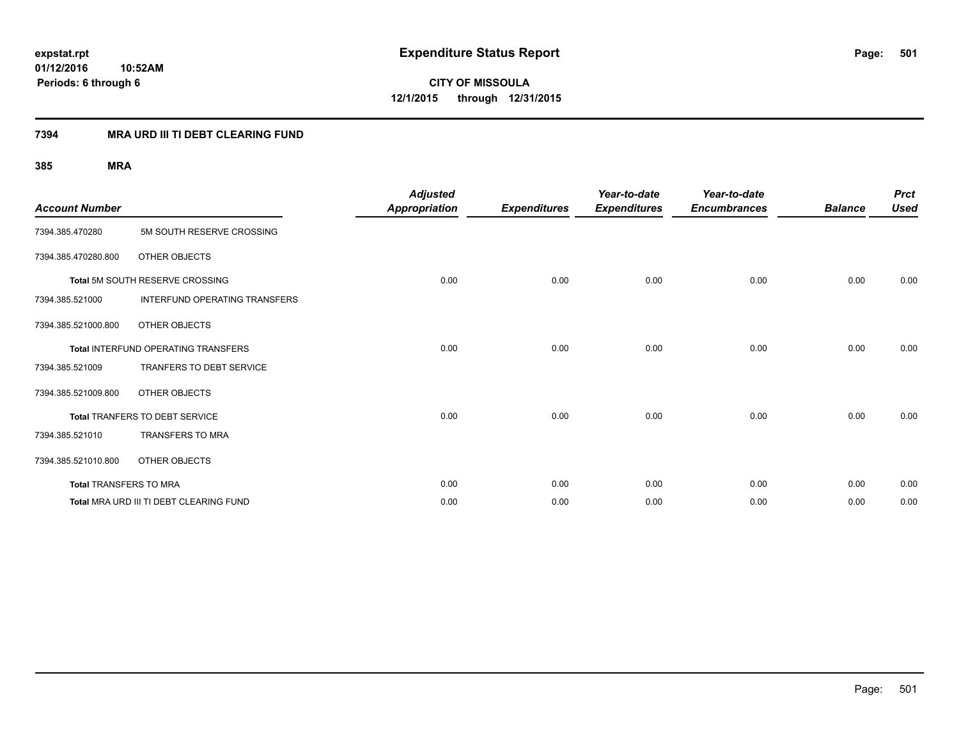**CITY OF MISSOULA 12/1/2015 through 12/31/2015**

### **7394 MRA URD III TI DEBT CLEARING FUND**

| <b>Account Number</b>         |                                            | <b>Adjusted</b><br><b>Appropriation</b> | <b>Expenditures</b> | Year-to-date<br><b>Expenditures</b> | Year-to-date<br><b>Encumbrances</b> | <b>Balance</b> | <b>Prct</b><br><b>Used</b> |
|-------------------------------|--------------------------------------------|-----------------------------------------|---------------------|-------------------------------------|-------------------------------------|----------------|----------------------------|
| 7394.385.470280               | 5M SOUTH RESERVE CROSSING                  |                                         |                     |                                     |                                     |                |                            |
| 7394.385.470280.800           | OTHER OBJECTS                              |                                         |                     |                                     |                                     |                |                            |
|                               | Total 5M SOUTH RESERVE CROSSING            | 0.00                                    | 0.00                | 0.00                                | 0.00                                | 0.00           | 0.00                       |
| 7394.385.521000               | <b>INTERFUND OPERATING TRANSFERS</b>       |                                         |                     |                                     |                                     |                |                            |
| 7394.385.521000.800           | OTHER OBJECTS                              |                                         |                     |                                     |                                     |                |                            |
|                               | <b>Total INTERFUND OPERATING TRANSFERS</b> | 0.00                                    | 0.00                | 0.00                                | 0.00                                | 0.00           | 0.00                       |
| 7394.385.521009               | TRANFERS TO DEBT SERVICE                   |                                         |                     |                                     |                                     |                |                            |
| 7394.385.521009.800           | OTHER OBJECTS                              |                                         |                     |                                     |                                     |                |                            |
|                               | <b>Total TRANFERS TO DEBT SERVICE</b>      | 0.00                                    | 0.00                | 0.00                                | 0.00                                | 0.00           | 0.00                       |
| 7394.385.521010               | TRANSFERS TO MRA                           |                                         |                     |                                     |                                     |                |                            |
| 7394.385.521010.800           | OTHER OBJECTS                              |                                         |                     |                                     |                                     |                |                            |
| <b>Total TRANSFERS TO MRA</b> |                                            | 0.00                                    | 0.00                | 0.00                                | 0.00                                | 0.00           | 0.00                       |
|                               | Total MRA URD III TI DEBT CLEARING FUND    | 0.00                                    | 0.00                | 0.00                                | 0.00                                | 0.00           | 0.00                       |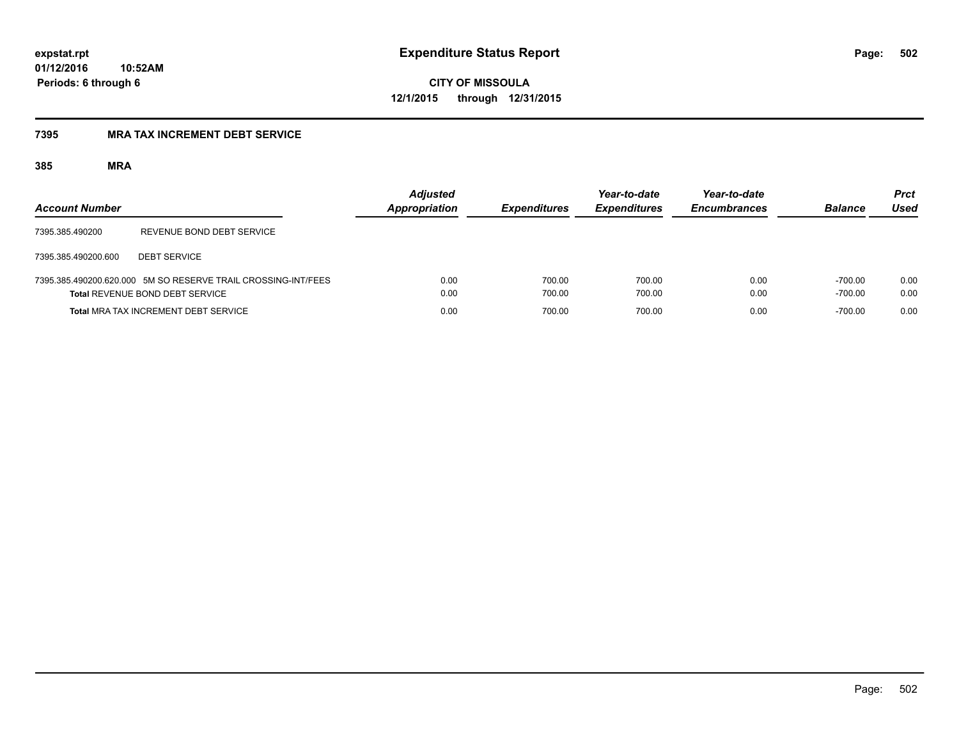**CITY OF MISSOULA 12/1/2015 through 12/31/2015**

### **7395 MRA TAX INCREMENT DEBT SERVICE**

| <b>Account Number</b> |                                                                                                  | <b>Adjusted</b><br><b>Appropriation</b> | <b>Expenditures</b> | Year-to-date<br><b>Expenditures</b> | Year-to-date<br><b>Encumbrances</b> | <b>Balance</b>         | <b>Prct</b><br>Used |
|-----------------------|--------------------------------------------------------------------------------------------------|-----------------------------------------|---------------------|-------------------------------------|-------------------------------------|------------------------|---------------------|
| 7395.385.490200       | REVENUE BOND DEBT SERVICE                                                                        |                                         |                     |                                     |                                     |                        |                     |
| 7395.385.490200.600   | <b>DEBT SERVICE</b>                                                                              |                                         |                     |                                     |                                     |                        |                     |
|                       | 7395.385.490200.620.000 5M SO RESERVE TRAIL CROSSING-INT/FEES<br>Total REVENUE BOND DEBT SERVICE | 0.00<br>0.00                            | 700.00<br>700.00    | 700.00<br>700.00                    | 0.00<br>0.00                        | $-700.00$<br>$-700.00$ | 0.00<br>0.00        |
|                       | <b>Total MRA TAX INCREMENT DEBT SERVICE</b>                                                      | 0.00                                    | 700.00              | 700.00                              | 0.00                                | $-700.00$              | 0.00                |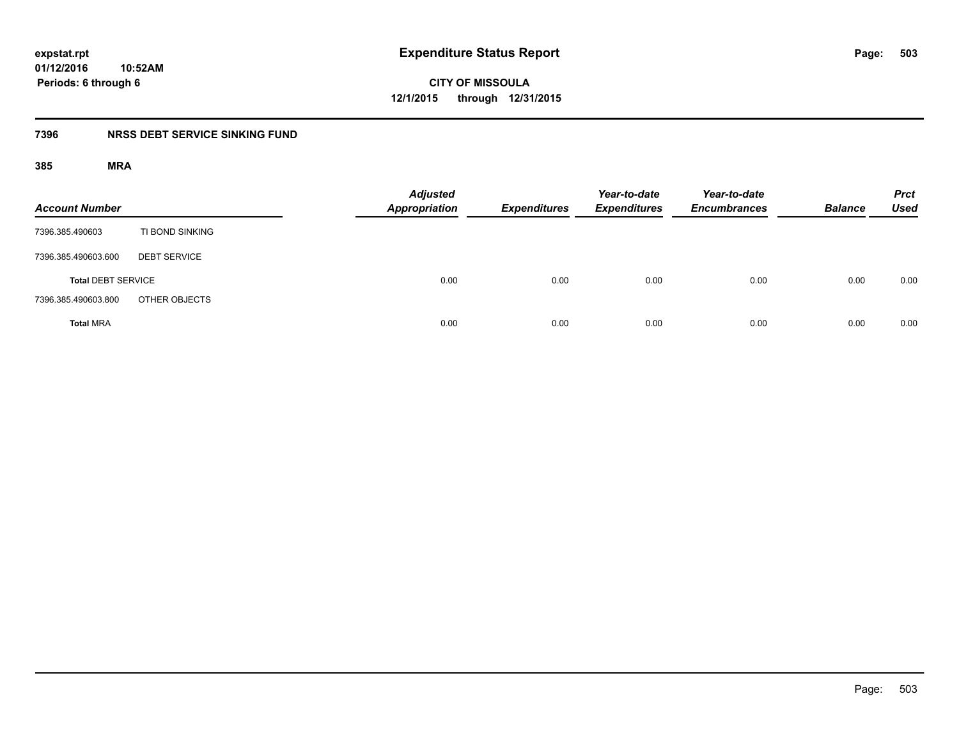**503**

**01/12/2016 10:52AM Periods: 6 through 6**

**CITY OF MISSOULA 12/1/2015 through 12/31/2015**

## **7396 NRSS DEBT SERVICE SINKING FUND**

| <b>Account Number</b>     |                     | <b>Adjusted</b><br><b>Appropriation</b> | <b>Expenditures</b> | Year-to-date<br><b>Expenditures</b> | Year-to-date<br><b>Encumbrances</b> | <b>Balance</b> | <b>Prct</b><br><b>Used</b> |
|---------------------------|---------------------|-----------------------------------------|---------------------|-------------------------------------|-------------------------------------|----------------|----------------------------|
| 7396.385.490603           | TI BOND SINKING     |                                         |                     |                                     |                                     |                |                            |
| 7396.385.490603.600       | <b>DEBT SERVICE</b> |                                         |                     |                                     |                                     |                |                            |
| <b>Total DEBT SERVICE</b> |                     | 0.00                                    | 0.00                | 0.00                                | 0.00                                | 0.00           | 0.00                       |
| 7396.385.490603.800       | OTHER OBJECTS       |                                         |                     |                                     |                                     |                |                            |
| <b>Total MRA</b>          |                     | 0.00                                    | 0.00                | 0.00                                | 0.00                                | 0.00           | 0.00                       |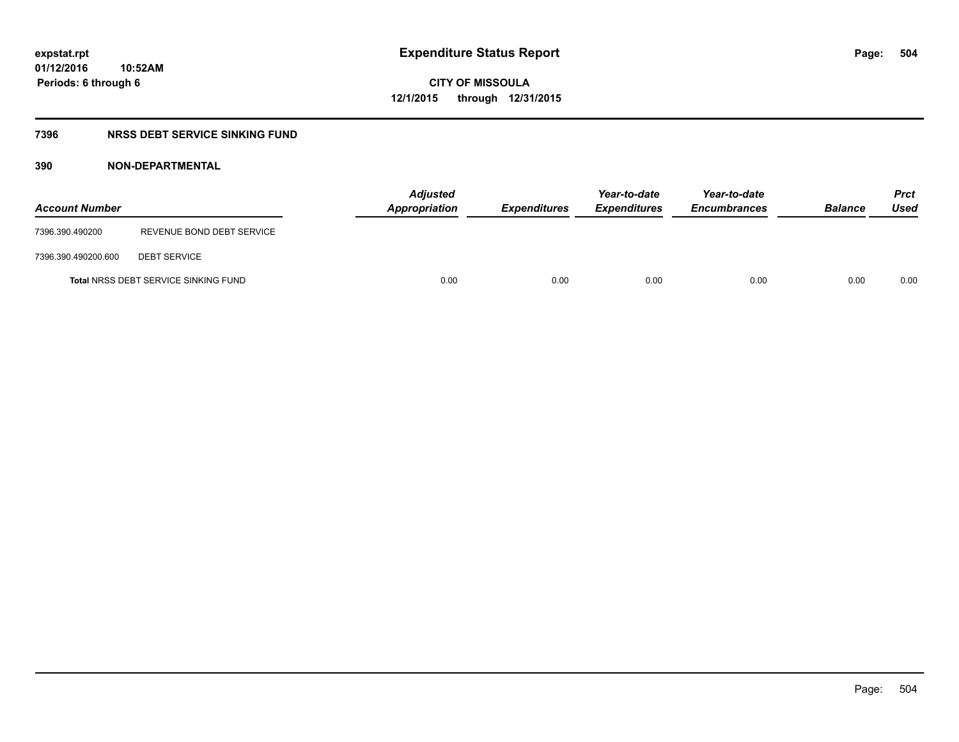## **7396 NRSS DEBT SERVICE SINKING FUND**

| <b>Account Number</b> |                                             | <b>Adjusted</b><br><b>Appropriation</b> | <b>Expenditures</b> | Year-to-date<br><b>Expenditures</b> | Year-to-date<br><b>Encumbrances</b> | <b>Balance</b> | <b>Prct</b><br>Used |
|-----------------------|---------------------------------------------|-----------------------------------------|---------------------|-------------------------------------|-------------------------------------|----------------|---------------------|
| 7396.390.490200       | REVENUE BOND DEBT SERVICE                   |                                         |                     |                                     |                                     |                |                     |
| 7396.390.490200.600   | <b>DEBT SERVICE</b>                         |                                         |                     |                                     |                                     |                |                     |
|                       | <b>Total NRSS DEBT SERVICE SINKING FUND</b> | 0.00                                    | 0.00                | 0.00                                | 0.00                                | 0.00           | 0.00                |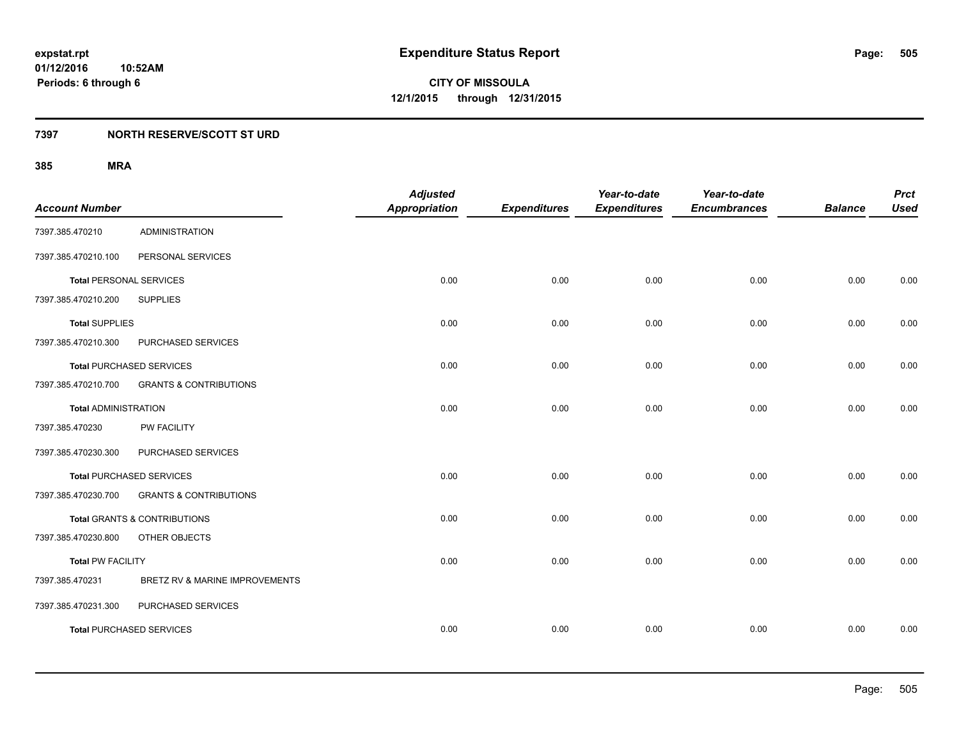### **7397 NORTH RESERVE/SCOTT ST URD**

| <b>Account Number</b>          |                                         | <b>Adjusted</b><br><b>Appropriation</b> | <b>Expenditures</b> | Year-to-date<br><b>Expenditures</b> | Year-to-date<br><b>Encumbrances</b> | <b>Balance</b> | <b>Prct</b><br><b>Used</b> |
|--------------------------------|-----------------------------------------|-----------------------------------------|---------------------|-------------------------------------|-------------------------------------|----------------|----------------------------|
| 7397.385.470210                | <b>ADMINISTRATION</b>                   |                                         |                     |                                     |                                     |                |                            |
| 7397.385.470210.100            | PERSONAL SERVICES                       |                                         |                     |                                     |                                     |                |                            |
| <b>Total PERSONAL SERVICES</b> |                                         | 0.00                                    | 0.00                | 0.00                                | 0.00                                | 0.00           | 0.00                       |
| 7397.385.470210.200            | <b>SUPPLIES</b>                         |                                         |                     |                                     |                                     |                |                            |
| <b>Total SUPPLIES</b>          |                                         | 0.00                                    | 0.00                | 0.00                                | 0.00                                | 0.00           | 0.00                       |
| 7397.385.470210.300            | PURCHASED SERVICES                      |                                         |                     |                                     |                                     |                |                            |
|                                | <b>Total PURCHASED SERVICES</b>         | 0.00                                    | 0.00                | 0.00                                | 0.00                                | 0.00           | 0.00                       |
| 7397.385.470210.700            | <b>GRANTS &amp; CONTRIBUTIONS</b>       |                                         |                     |                                     |                                     |                |                            |
| <b>Total ADMINISTRATION</b>    |                                         | 0.00                                    | 0.00                | 0.00                                | 0.00                                | 0.00           | 0.00                       |
| 7397.385.470230                | <b>PW FACILITY</b>                      |                                         |                     |                                     |                                     |                |                            |
| 7397.385.470230.300            | PURCHASED SERVICES                      |                                         |                     |                                     |                                     |                |                            |
|                                | <b>Total PURCHASED SERVICES</b>         | 0.00                                    | 0.00                | 0.00                                | 0.00                                | 0.00           | 0.00                       |
| 7397.385.470230.700            | <b>GRANTS &amp; CONTRIBUTIONS</b>       |                                         |                     |                                     |                                     |                |                            |
|                                | <b>Total GRANTS &amp; CONTRIBUTIONS</b> | 0.00                                    | 0.00                | 0.00                                | 0.00                                | 0.00           | 0.00                       |
| 7397.385.470230.800            | OTHER OBJECTS                           |                                         |                     |                                     |                                     |                |                            |
| <b>Total PW FACILITY</b>       |                                         | 0.00                                    | 0.00                | 0.00                                | 0.00                                | 0.00           | 0.00                       |
| 7397.385.470231                | BRETZ RV & MARINE IMPROVEMENTS          |                                         |                     |                                     |                                     |                |                            |
| 7397.385.470231.300            | PURCHASED SERVICES                      |                                         |                     |                                     |                                     |                |                            |
|                                | <b>Total PURCHASED SERVICES</b>         | 0.00                                    | 0.00                | 0.00                                | 0.00                                | 0.00           | 0.00                       |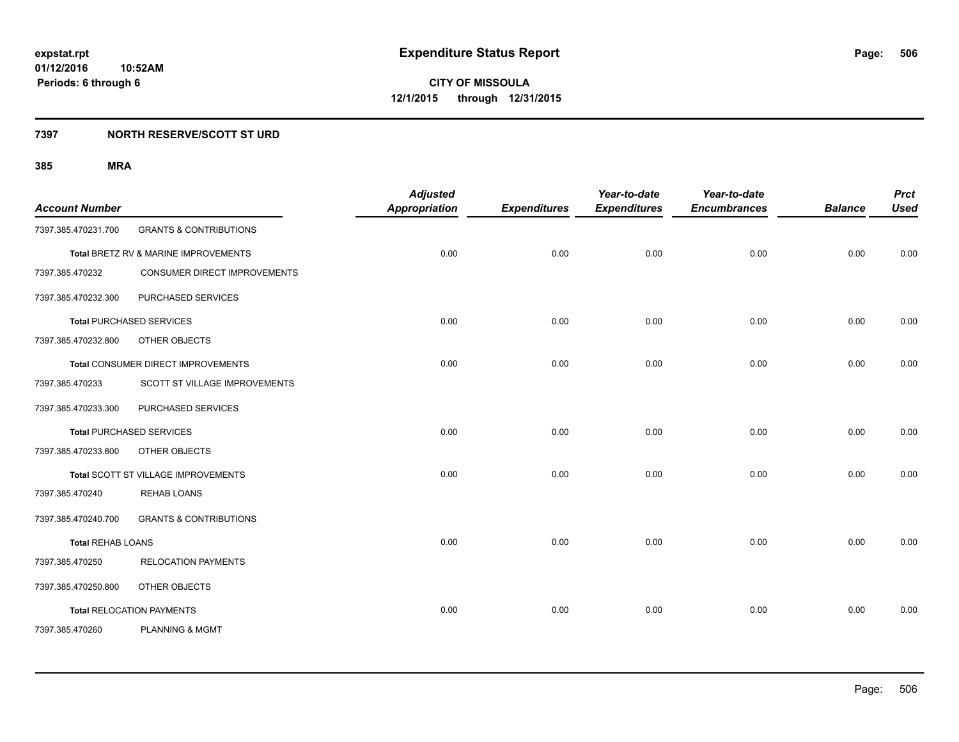#### **7397 NORTH RESERVE/SCOTT ST URD**

| <b>Account Number</b>    |                                      | <b>Adjusted</b><br><b>Appropriation</b> | <b>Expenditures</b> | Year-to-date<br><b>Expenditures</b> | Year-to-date<br><b>Encumbrances</b> | <b>Balance</b> | <b>Prct</b><br><b>Used</b> |
|--------------------------|--------------------------------------|-----------------------------------------|---------------------|-------------------------------------|-------------------------------------|----------------|----------------------------|
| 7397.385.470231.700      | <b>GRANTS &amp; CONTRIBUTIONS</b>    |                                         |                     |                                     |                                     |                |                            |
|                          | Total BRETZ RV & MARINE IMPROVEMENTS | 0.00                                    | 0.00                | 0.00                                | 0.00                                | 0.00           | 0.00                       |
| 7397.385.470232          | <b>CONSUMER DIRECT IMPROVEMENTS</b>  |                                         |                     |                                     |                                     |                |                            |
| 7397.385.470232.300      | PURCHASED SERVICES                   |                                         |                     |                                     |                                     |                |                            |
|                          | <b>Total PURCHASED SERVICES</b>      | 0.00                                    | 0.00                | 0.00                                | 0.00                                | 0.00           | 0.00                       |
| 7397.385.470232.800      | OTHER OBJECTS                        |                                         |                     |                                     |                                     |                |                            |
|                          | Total CONSUMER DIRECT IMPROVEMENTS   | 0.00                                    | 0.00                | 0.00                                | 0.00                                | 0.00           | 0.00                       |
| 7397.385.470233          | SCOTT ST VILLAGE IMPROVEMENTS        |                                         |                     |                                     |                                     |                |                            |
| 7397.385.470233.300      | PURCHASED SERVICES                   |                                         |                     |                                     |                                     |                |                            |
|                          | <b>Total PURCHASED SERVICES</b>      | 0.00                                    | 0.00                | 0.00                                | 0.00                                | 0.00           | 0.00                       |
| 7397.385.470233.800      | OTHER OBJECTS                        |                                         |                     |                                     |                                     |                |                            |
|                          | Total SCOTT ST VILLAGE IMPROVEMENTS  | 0.00                                    | 0.00                | 0.00                                | 0.00                                | 0.00           | 0.00                       |
| 7397.385.470240          | <b>REHAB LOANS</b>                   |                                         |                     |                                     |                                     |                |                            |
| 7397.385.470240.700      | <b>GRANTS &amp; CONTRIBUTIONS</b>    |                                         |                     |                                     |                                     |                |                            |
| <b>Total REHAB LOANS</b> |                                      | 0.00                                    | 0.00                | 0.00                                | 0.00                                | 0.00           | 0.00                       |
| 7397.385.470250          | <b>RELOCATION PAYMENTS</b>           |                                         |                     |                                     |                                     |                |                            |
| 7397.385.470250.800      | OTHER OBJECTS                        |                                         |                     |                                     |                                     |                |                            |
|                          | <b>Total RELOCATION PAYMENTS</b>     | 0.00                                    | 0.00                | 0.00                                | 0.00                                | 0.00           | 0.00                       |
| 7397.385.470260          | <b>PLANNING &amp; MGMT</b>           |                                         |                     |                                     |                                     |                |                            |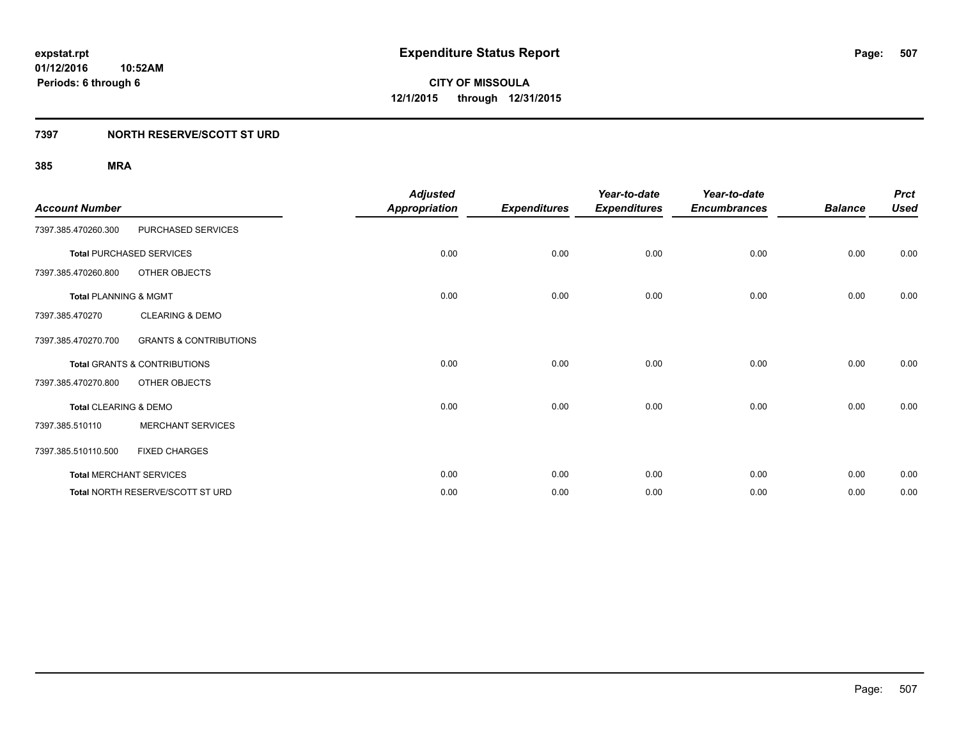### **7397 NORTH RESERVE/SCOTT ST URD**

| <b>Account Number</b>            |                                         | <b>Adjusted</b><br>Appropriation | <b>Expenditures</b> | Year-to-date<br><b>Expenditures</b> | Year-to-date<br><b>Encumbrances</b> | <b>Balance</b> | <b>Prct</b><br><b>Used</b> |
|----------------------------------|-----------------------------------------|----------------------------------|---------------------|-------------------------------------|-------------------------------------|----------------|----------------------------|
| 7397.385.470260.300              | PURCHASED SERVICES                      |                                  |                     |                                     |                                     |                |                            |
|                                  | <b>Total PURCHASED SERVICES</b>         | 0.00                             | 0.00                | 0.00                                | 0.00                                | 0.00           | 0.00                       |
| 7397.385.470260.800              | OTHER OBJECTS                           |                                  |                     |                                     |                                     |                |                            |
| <b>Total PLANNING &amp; MGMT</b> |                                         | 0.00                             | 0.00                | 0.00                                | 0.00                                | 0.00           | 0.00                       |
| 7397.385.470270                  | <b>CLEARING &amp; DEMO</b>              |                                  |                     |                                     |                                     |                |                            |
| 7397.385.470270.700              | <b>GRANTS &amp; CONTRIBUTIONS</b>       |                                  |                     |                                     |                                     |                |                            |
|                                  | Total GRANTS & CONTRIBUTIONS            | 0.00                             | 0.00                | 0.00                                | 0.00                                | 0.00           | 0.00                       |
| 7397.385.470270.800              | OTHER OBJECTS                           |                                  |                     |                                     |                                     |                |                            |
| Total CLEARING & DEMO            |                                         | 0.00                             | 0.00                | 0.00                                | 0.00                                | 0.00           | 0.00                       |
| 7397.385.510110                  | <b>MERCHANT SERVICES</b>                |                                  |                     |                                     |                                     |                |                            |
| 7397.385.510110.500              | <b>FIXED CHARGES</b>                    |                                  |                     |                                     |                                     |                |                            |
|                                  | <b>Total MERCHANT SERVICES</b>          | 0.00                             | 0.00                | 0.00                                | 0.00                                | 0.00           | 0.00                       |
|                                  | <b>Total NORTH RESERVE/SCOTT ST URD</b> | 0.00                             | 0.00                | 0.00                                | 0.00                                | 0.00           | 0.00                       |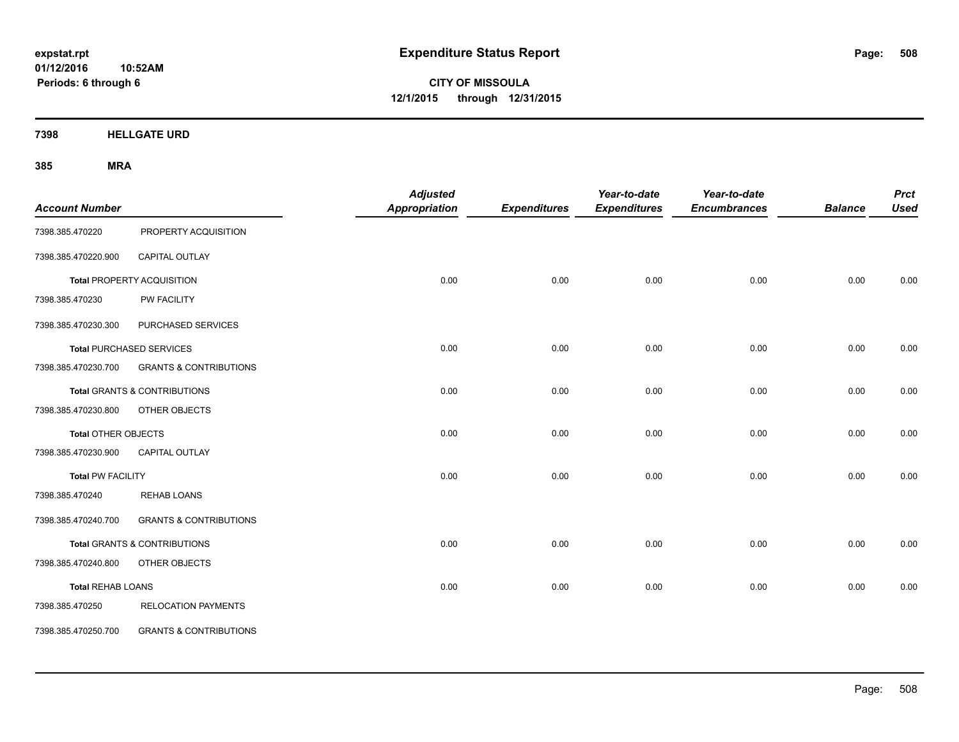**01/12/2016 10:52AM Periods: 6 through 6**

**CITY OF MISSOULA 12/1/2015 through 12/31/2015**

**7398 HELLGATE URD**

| <b>Account Number</b>      |                                         | <b>Adjusted</b><br>Appropriation | <b>Expenditures</b> | Year-to-date<br><b>Expenditures</b> | Year-to-date<br><b>Encumbrances</b> | <b>Balance</b> | <b>Prct</b><br><b>Used</b> |
|----------------------------|-----------------------------------------|----------------------------------|---------------------|-------------------------------------|-------------------------------------|----------------|----------------------------|
| 7398.385.470220            | PROPERTY ACQUISITION                    |                                  |                     |                                     |                                     |                |                            |
| 7398.385.470220.900        | CAPITAL OUTLAY                          |                                  |                     |                                     |                                     |                |                            |
|                            | <b>Total PROPERTY ACQUISITION</b>       | 0.00                             | 0.00                | 0.00                                | 0.00                                | 0.00           | 0.00                       |
| 7398.385.470230            | PW FACILITY                             |                                  |                     |                                     |                                     |                |                            |
| 7398.385.470230.300        | PURCHASED SERVICES                      |                                  |                     |                                     |                                     |                |                            |
|                            | <b>Total PURCHASED SERVICES</b>         | 0.00                             | 0.00                | 0.00                                | 0.00                                | 0.00           | 0.00                       |
| 7398.385.470230.700        | <b>GRANTS &amp; CONTRIBUTIONS</b>       |                                  |                     |                                     |                                     |                |                            |
|                            | <b>Total GRANTS &amp; CONTRIBUTIONS</b> | 0.00                             | 0.00                | 0.00                                | 0.00                                | 0.00           | 0.00                       |
| 7398.385.470230.800        | OTHER OBJECTS                           |                                  |                     |                                     |                                     |                |                            |
| <b>Total OTHER OBJECTS</b> |                                         | 0.00                             | 0.00                | 0.00                                | 0.00                                | 0.00           | 0.00                       |
| 7398.385.470230.900        | CAPITAL OUTLAY                          |                                  |                     |                                     |                                     |                |                            |
| <b>Total PW FACILITY</b>   |                                         | 0.00                             | 0.00                | 0.00                                | 0.00                                | 0.00           | 0.00                       |
| 7398.385.470240            | <b>REHAB LOANS</b>                      |                                  |                     |                                     |                                     |                |                            |
| 7398.385.470240.700        | <b>GRANTS &amp; CONTRIBUTIONS</b>       |                                  |                     |                                     |                                     |                |                            |
|                            | <b>Total GRANTS &amp; CONTRIBUTIONS</b> | 0.00                             | 0.00                | 0.00                                | 0.00                                | 0.00           | 0.00                       |
| 7398.385.470240.800        | OTHER OBJECTS                           |                                  |                     |                                     |                                     |                |                            |
| <b>Total REHAB LOANS</b>   |                                         | 0.00                             | 0.00                | 0.00                                | 0.00                                | 0.00           | 0.00                       |
| 7398.385.470250            | <b>RELOCATION PAYMENTS</b>              |                                  |                     |                                     |                                     |                |                            |
| 7398.385.470250.700        | <b>GRANTS &amp; CONTRIBUTIONS</b>       |                                  |                     |                                     |                                     |                |                            |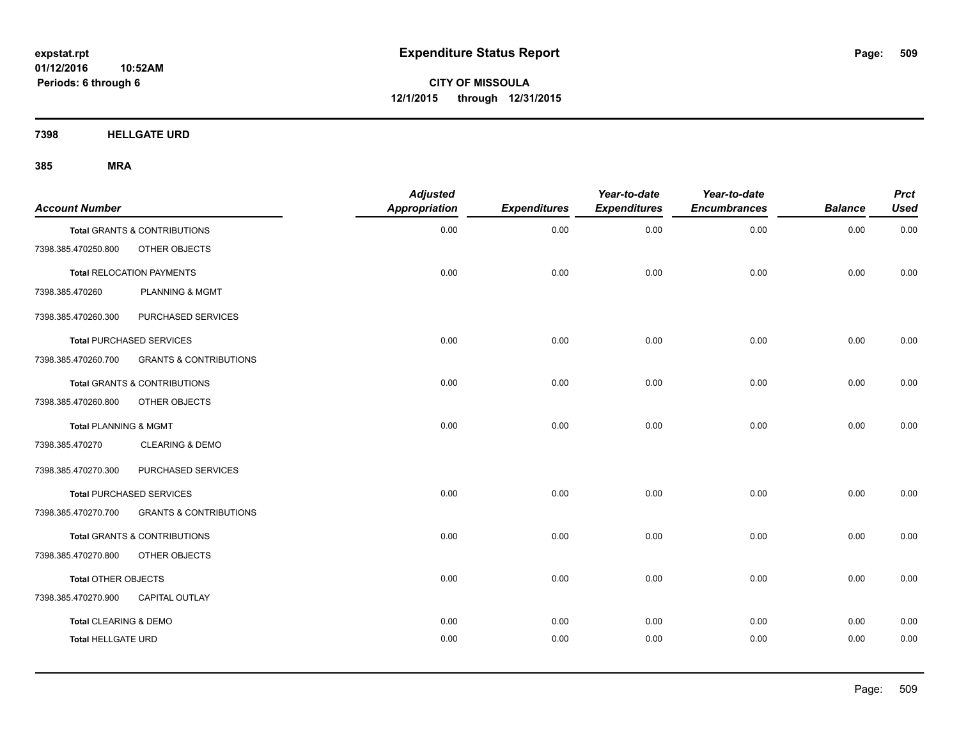**7398 HELLGATE URD**

| <b>Account Number</b>     |                                   | <b>Adjusted</b><br>Appropriation | <b>Expenditures</b> | Year-to-date<br><b>Expenditures</b> | Year-to-date<br><b>Encumbrances</b> | <b>Balance</b> | <b>Prct</b><br><b>Used</b> |
|---------------------------|-----------------------------------|----------------------------------|---------------------|-------------------------------------|-------------------------------------|----------------|----------------------------|
|                           | Total GRANTS & CONTRIBUTIONS      | 0.00                             | 0.00                | 0.00                                | 0.00                                | 0.00           | 0.00                       |
| 7398.385.470250.800       | OTHER OBJECTS                     |                                  |                     |                                     |                                     |                |                            |
|                           | <b>Total RELOCATION PAYMENTS</b>  | 0.00                             | 0.00                | 0.00                                | 0.00                                | 0.00           | 0.00                       |
| 7398.385.470260           | <b>PLANNING &amp; MGMT</b>        |                                  |                     |                                     |                                     |                |                            |
| 7398.385.470260.300       | PURCHASED SERVICES                |                                  |                     |                                     |                                     |                |                            |
|                           | <b>Total PURCHASED SERVICES</b>   | 0.00                             | 0.00                | 0.00                                | 0.00                                | 0.00           | 0.00                       |
| 7398.385.470260.700       | <b>GRANTS &amp; CONTRIBUTIONS</b> |                                  |                     |                                     |                                     |                |                            |
|                           | Total GRANTS & CONTRIBUTIONS      | 0.00                             | 0.00                | 0.00                                | 0.00                                | 0.00           | 0.00                       |
| 7398.385.470260.800       | OTHER OBJECTS                     |                                  |                     |                                     |                                     |                |                            |
| Total PLANNING & MGMT     |                                   | 0.00                             | 0.00                | 0.00                                | 0.00                                | 0.00           | 0.00                       |
| 7398.385.470270           | <b>CLEARING &amp; DEMO</b>        |                                  |                     |                                     |                                     |                |                            |
| 7398.385.470270.300       | PURCHASED SERVICES                |                                  |                     |                                     |                                     |                |                            |
|                           | <b>Total PURCHASED SERVICES</b>   | 0.00                             | 0.00                | 0.00                                | 0.00                                | 0.00           | 0.00                       |
| 7398.385.470270.700       | <b>GRANTS &amp; CONTRIBUTIONS</b> |                                  |                     |                                     |                                     |                |                            |
|                           | Total GRANTS & CONTRIBUTIONS      | 0.00                             | 0.00                | 0.00                                | 0.00                                | 0.00           | 0.00                       |
| 7398.385.470270.800       | OTHER OBJECTS                     |                                  |                     |                                     |                                     |                |                            |
| Total OTHER OBJECTS       |                                   | 0.00                             | 0.00                | 0.00                                | 0.00                                | 0.00           | 0.00                       |
| 7398.385.470270.900       | <b>CAPITAL OUTLAY</b>             |                                  |                     |                                     |                                     |                |                            |
| Total CLEARING & DEMO     |                                   | 0.00                             | 0.00                | 0.00                                | 0.00                                | 0.00           | 0.00                       |
| <b>Total HELLGATE URD</b> |                                   | 0.00                             | 0.00                | 0.00                                | 0.00                                | 0.00           | 0.00                       |
|                           |                                   |                                  |                     |                                     |                                     |                |                            |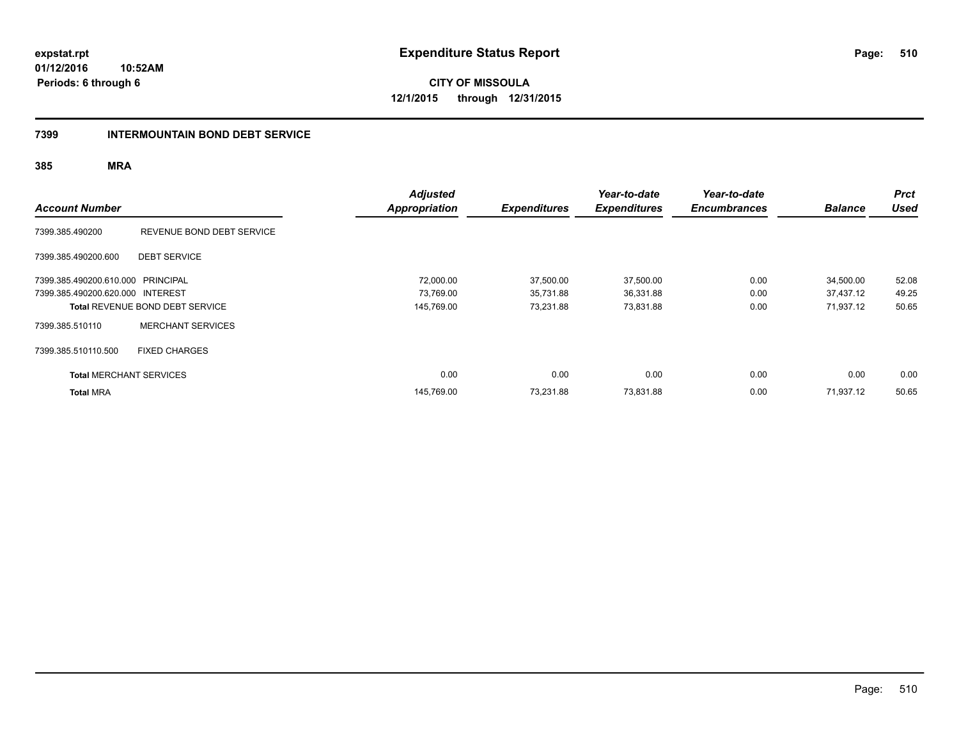**01/12/2016 10:52AM Periods: 6 through 6**

**CITY OF MISSOULA 12/1/2015 through 12/31/2015**

#### **7399 INTERMOUNTAIN BOND DEBT SERVICE**

| <b>Account Number</b>             |                                        | <b>Adjusted</b><br><b>Appropriation</b> | <b>Expenditures</b> | Year-to-date<br><b>Expenditures</b> | Year-to-date<br><b>Encumbrances</b> | <b>Balance</b> | <b>Prct</b><br><b>Used</b> |
|-----------------------------------|----------------------------------------|-----------------------------------------|---------------------|-------------------------------------|-------------------------------------|----------------|----------------------------|
| 7399.385.490200                   | REVENUE BOND DEBT SERVICE              |                                         |                     |                                     |                                     |                |                            |
| 7399.385.490200.600               | <b>DEBT SERVICE</b>                    |                                         |                     |                                     |                                     |                |                            |
| 7399.385.490200.610.000 PRINCIPAL |                                        | 72,000.00                               | 37,500.00           | 37,500.00                           | 0.00                                | 34,500.00      | 52.08                      |
| 7399.385.490200.620.000 INTEREST  |                                        | 73,769.00                               | 35,731.88           | 36,331.88                           | 0.00                                | 37.437.12      | 49.25                      |
|                                   | <b>Total REVENUE BOND DEBT SERVICE</b> | 145,769.00                              | 73,231.88           | 73,831.88                           | 0.00                                | 71,937.12      | 50.65                      |
| 7399.385.510110                   | <b>MERCHANT SERVICES</b>               |                                         |                     |                                     |                                     |                |                            |
| 7399.385.510110.500               | <b>FIXED CHARGES</b>                   |                                         |                     |                                     |                                     |                |                            |
| <b>Total MERCHANT SERVICES</b>    |                                        | 0.00                                    | 0.00                | 0.00                                | 0.00                                | 0.00           | 0.00                       |
| <b>Total MRA</b>                  |                                        | 145,769.00                              | 73,231.88           | 73,831.88                           | 0.00                                | 71.937.12      | 50.65                      |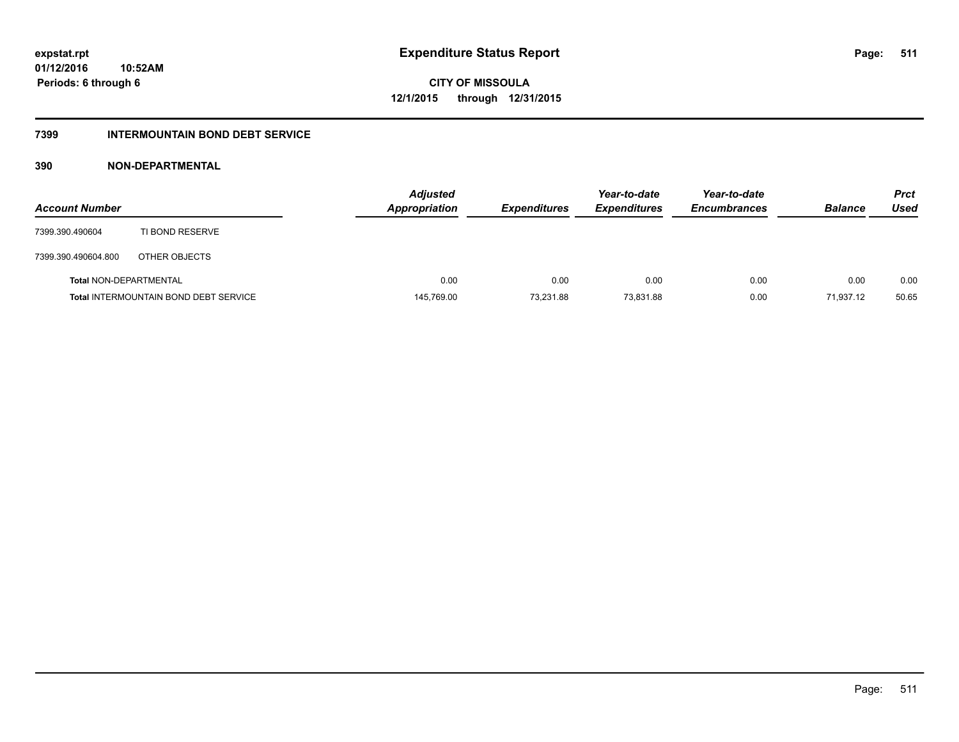### **7399 INTERMOUNTAIN BOND DEBT SERVICE**

#### **390 NON-DEPARTMENTAL**

| <b>Account Number</b>         |                                              | Adjusted<br><b>Appropriation</b> | <b>Expenditures</b> | Year-to-date<br><b>Expenditures</b> | Year-to-date<br><b>Encumbrances</b> | <b>Balance</b> | <b>Prct</b><br>Used |
|-------------------------------|----------------------------------------------|----------------------------------|---------------------|-------------------------------------|-------------------------------------|----------------|---------------------|
| 7399.390.490604               | TI BOND RESERVE                              |                                  |                     |                                     |                                     |                |                     |
| 7399.390.490604.800           | OTHER OBJECTS                                |                                  |                     |                                     |                                     |                |                     |
| <b>Total NON-DEPARTMENTAL</b> |                                              | 0.00                             | 0.00                | 0.00                                | 0.00                                | 0.00           | 0.00                |
|                               | <b>Total INTERMOUNTAIN BOND DEBT SERVICE</b> | 145,769.00                       | 73,231.88           | 73,831.88                           | 0.00                                | 71,937.12      | 50.65               |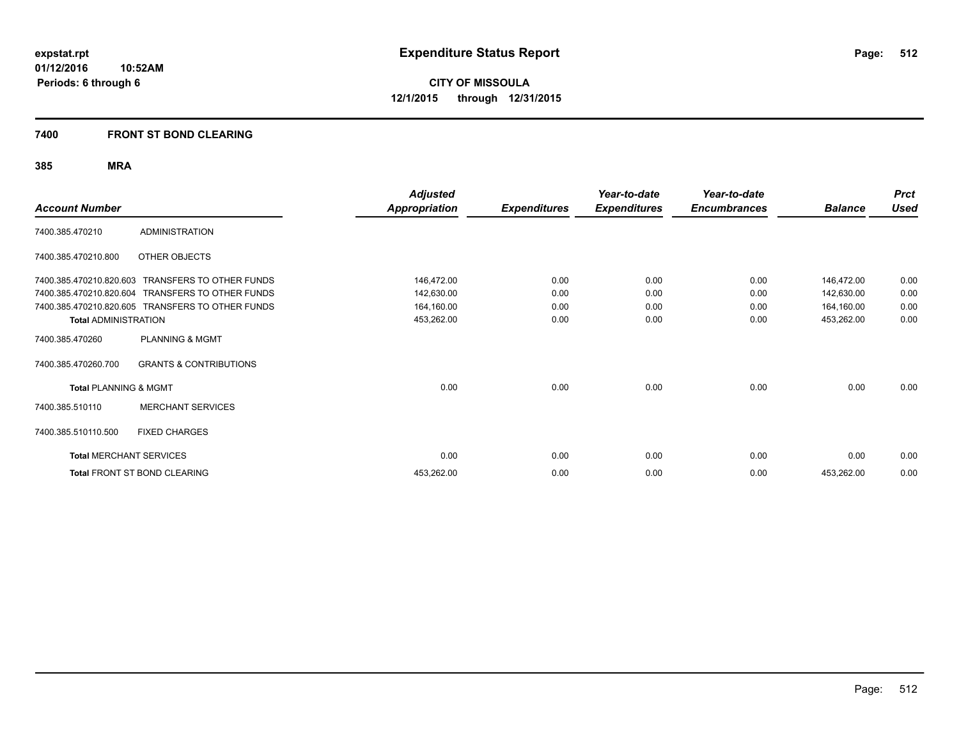#### **7400 FRONT ST BOND CLEARING**

|                                  |                                                  | <b>Adjusted</b>      |                     | Year-to-date        | Year-to-date        |                | <b>Prct</b> |
|----------------------------------|--------------------------------------------------|----------------------|---------------------|---------------------|---------------------|----------------|-------------|
| <b>Account Number</b>            |                                                  | <b>Appropriation</b> | <b>Expenditures</b> | <b>Expenditures</b> | <b>Encumbrances</b> | <b>Balance</b> | <b>Used</b> |
| 7400.385.470210                  | <b>ADMINISTRATION</b>                            |                      |                     |                     |                     |                |             |
| 7400.385.470210.800              | OTHER OBJECTS                                    |                      |                     |                     |                     |                |             |
|                                  | 7400.385.470210.820.603 TRANSFERS TO OTHER FUNDS | 146,472.00           | 0.00                | 0.00                | 0.00                | 146,472.00     | 0.00        |
|                                  | 7400.385.470210.820.604 TRANSFERS TO OTHER FUNDS | 142,630.00           | 0.00                | 0.00                | 0.00                | 142,630.00     | 0.00        |
|                                  | 7400.385.470210.820.605 TRANSFERS TO OTHER FUNDS | 164,160.00           | 0.00                | 0.00                | 0.00                | 164,160.00     | 0.00        |
| <b>Total ADMINISTRATION</b>      |                                                  | 453,262.00           | 0.00                | 0.00                | 0.00                | 453,262.00     | 0.00        |
| 7400.385.470260                  | PLANNING & MGMT                                  |                      |                     |                     |                     |                |             |
| 7400.385.470260.700              | <b>GRANTS &amp; CONTRIBUTIONS</b>                |                      |                     |                     |                     |                |             |
| <b>Total PLANNING &amp; MGMT</b> |                                                  | 0.00                 | 0.00                | 0.00                | 0.00                | 0.00           | 0.00        |
| 7400.385.510110                  | <b>MERCHANT SERVICES</b>                         |                      |                     |                     |                     |                |             |
| 7400.385.510110.500              | <b>FIXED CHARGES</b>                             |                      |                     |                     |                     |                |             |
| <b>Total MERCHANT SERVICES</b>   |                                                  | 0.00                 | 0.00                | 0.00                | 0.00                | 0.00           | 0.00        |
|                                  | Total FRONT ST BOND CLEARING                     | 453,262.00           | 0.00                | 0.00                | 0.00                | 453,262.00     | 0.00        |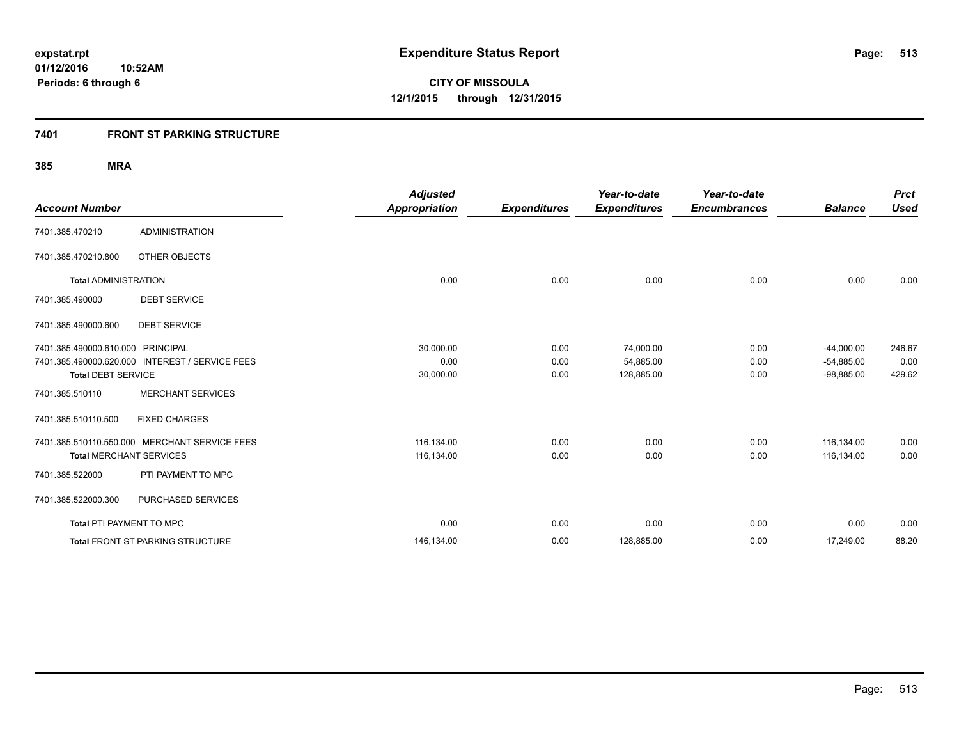#### **7401 FRONT ST PARKING STRUCTURE**

|                                   |                                                 | <b>Adjusted</b>      |                     | Year-to-date        | Year-to-date        |                | <b>Prct</b> |
|-----------------------------------|-------------------------------------------------|----------------------|---------------------|---------------------|---------------------|----------------|-------------|
| <b>Account Number</b>             |                                                 | <b>Appropriation</b> | <b>Expenditures</b> | <b>Expenditures</b> | <b>Encumbrances</b> | <b>Balance</b> | <b>Used</b> |
| 7401.385.470210                   | <b>ADMINISTRATION</b>                           |                      |                     |                     |                     |                |             |
| 7401.385.470210.800               | OTHER OBJECTS                                   |                      |                     |                     |                     |                |             |
| <b>Total ADMINISTRATION</b>       |                                                 | 0.00                 | 0.00                | 0.00                | 0.00                | 0.00           | 0.00        |
| 7401.385.490000                   | <b>DEBT SERVICE</b>                             |                      |                     |                     |                     |                |             |
| 7401.385.490000.600               | <b>DEBT SERVICE</b>                             |                      |                     |                     |                     |                |             |
| 7401.385.490000.610.000 PRINCIPAL |                                                 | 30,000.00            | 0.00                | 74,000.00           | 0.00                | $-44,000.00$   | 246.67      |
|                                   | 7401.385.490000.620.000 INTEREST / SERVICE FEES | 0.00                 | 0.00                | 54,885.00           | 0.00                | $-54,885.00$   | 0.00        |
| <b>Total DEBT SERVICE</b>         |                                                 | 30,000.00            | 0.00                | 128,885.00          | 0.00                | $-98,885.00$   | 429.62      |
| 7401.385.510110                   | <b>MERCHANT SERVICES</b>                        |                      |                     |                     |                     |                |             |
| 7401.385.510110.500               | <b>FIXED CHARGES</b>                            |                      |                     |                     |                     |                |             |
|                                   | 7401.385.510110.550.000 MERCHANT SERVICE FEES   | 116,134.00           | 0.00                | 0.00                | 0.00                | 116,134.00     | 0.00        |
| <b>Total MERCHANT SERVICES</b>    |                                                 | 116,134.00           | 0.00                | 0.00                | 0.00                | 116,134.00     | 0.00        |
| 7401.385.522000                   | PTI PAYMENT TO MPC                              |                      |                     |                     |                     |                |             |
| 7401.385.522000.300               | PURCHASED SERVICES                              |                      |                     |                     |                     |                |             |
| <b>Total PTI PAYMENT TO MPC</b>   |                                                 | 0.00                 | 0.00                | 0.00                | 0.00                | 0.00           | 0.00        |
|                                   | <b>Total FRONT ST PARKING STRUCTURE</b>         | 146,134.00           | 0.00                | 128,885.00          | 0.00                | 17,249.00      | 88.20       |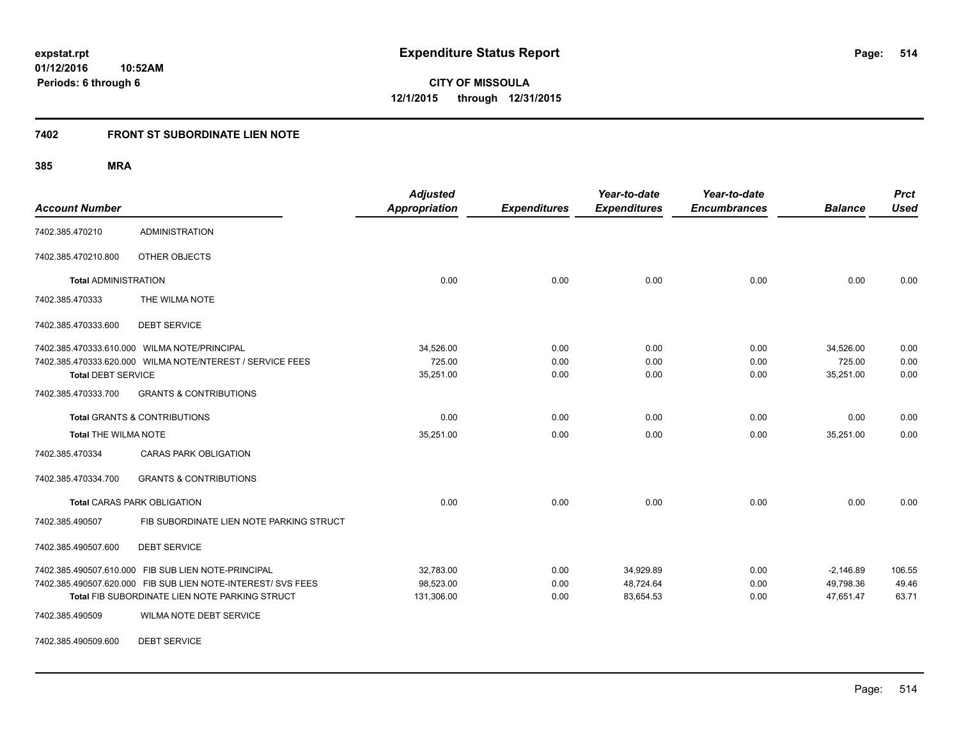**Periods: 6 through 6**

**514**

**CITY OF MISSOULA 12/1/2015 through 12/31/2015**

### **7402 FRONT ST SUBORDINATE LIEN NOTE**

**10:52AM**

**385 MRA**

| <b>Account Number</b>       |                                                              | <b>Adjusted</b><br>Appropriation | <b>Expenditures</b> | Year-to-date<br><b>Expenditures</b> | Year-to-date<br><b>Encumbrances</b> | <b>Balance</b> | <b>Prct</b><br><b>Used</b> |
|-----------------------------|--------------------------------------------------------------|----------------------------------|---------------------|-------------------------------------|-------------------------------------|----------------|----------------------------|
| 7402.385.470210             | <b>ADMINISTRATION</b>                                        |                                  |                     |                                     |                                     |                |                            |
| 7402.385.470210.800         | OTHER OBJECTS                                                |                                  |                     |                                     |                                     |                |                            |
| <b>Total ADMINISTRATION</b> |                                                              | 0.00                             | 0.00                | 0.00                                | 0.00                                | 0.00           | 0.00                       |
| 7402.385.470333             | THE WILMA NOTE                                               |                                  |                     |                                     |                                     |                |                            |
| 7402.385.470333.600         | <b>DEBT SERVICE</b>                                          |                                  |                     |                                     |                                     |                |                            |
|                             | 7402.385.470333.610.000 WILMA NOTE/PRINCIPAL                 | 34,526.00                        | 0.00                | 0.00                                | 0.00                                | 34,526.00      | 0.00                       |
|                             | 7402.385.470333.620.000 WILMA NOTE/NTEREST / SERVICE FEES    | 725.00                           | 0.00                | 0.00                                | 0.00                                | 725.00         | 0.00                       |
| <b>Total DEBT SERVICE</b>   |                                                              | 35,251.00                        | 0.00                | 0.00                                | 0.00                                | 35,251.00      | 0.00                       |
| 7402.385.470333.700         | <b>GRANTS &amp; CONTRIBUTIONS</b>                            |                                  |                     |                                     |                                     |                |                            |
|                             | <b>Total GRANTS &amp; CONTRIBUTIONS</b>                      | 0.00                             | 0.00                | 0.00                                | 0.00                                | 0.00           | 0.00                       |
| <b>Total THE WILMA NOTE</b> |                                                              | 35,251.00                        | 0.00                | 0.00                                | 0.00                                | 35,251.00      | 0.00                       |
| 7402.385.470334             | <b>CARAS PARK OBLIGATION</b>                                 |                                  |                     |                                     |                                     |                |                            |
| 7402.385.470334.700         | <b>GRANTS &amp; CONTRIBUTIONS</b>                            |                                  |                     |                                     |                                     |                |                            |
|                             | <b>Total CARAS PARK OBLIGATION</b>                           | 0.00                             | 0.00                | 0.00                                | 0.00                                | 0.00           | 0.00                       |
| 7402.385.490507             | FIB SUBORDINATE LIEN NOTE PARKING STRUCT                     |                                  |                     |                                     |                                     |                |                            |
| 7402.385.490507.600         | <b>DEBT SERVICE</b>                                          |                                  |                     |                                     |                                     |                |                            |
|                             | 7402.385.490507.610.000 FIB SUB LIEN NOTE-PRINCIPAL          | 32,783.00                        | 0.00                | 34,929.89                           | 0.00                                | $-2,146.89$    | 106.55                     |
|                             | 7402.385.490507.620.000 FIB SUB LIEN NOTE-INTEREST/ SVS FEES | 98,523.00                        | 0.00                | 48,724.64                           | 0.00                                | 49,798.36      | 49.46                      |
|                             | Total FIB SUBORDINATE LIEN NOTE PARKING STRUCT               | 131,306.00                       | 0.00                | 83,654.53                           | 0.00                                | 47,651.47      | 63.71                      |
| 7402.385.490509             | <b>WILMA NOTE DEBT SERVICE</b>                               |                                  |                     |                                     |                                     |                |                            |

7402.385.490509.600 DEBT SERVICE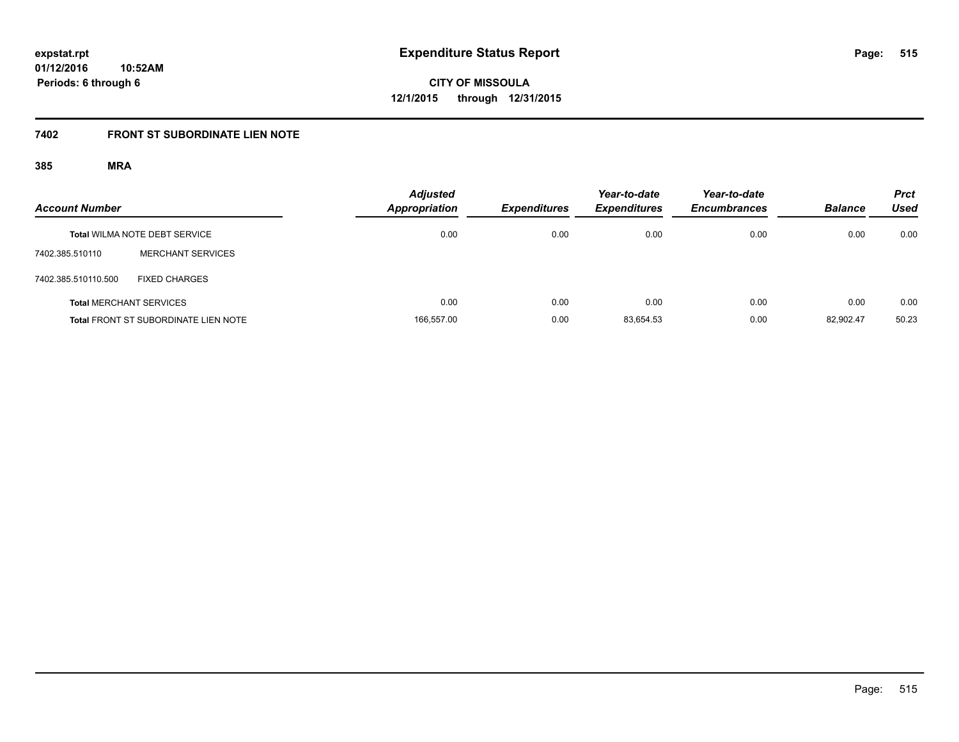# **7402 FRONT ST SUBORDINATE LIEN NOTE**

| <b>Account Number</b> |                                             | <b>Adjusted</b><br>Appropriation | <b>Expenditures</b> | Year-to-date<br><b>Expenditures</b> | Year-to-date<br><b>Encumbrances</b> | <b>Balance</b> | <b>Prct</b><br>Used |
|-----------------------|---------------------------------------------|----------------------------------|---------------------|-------------------------------------|-------------------------------------|----------------|---------------------|
|                       | <b>Total WILMA NOTE DEBT SERVICE</b>        | 0.00                             | 0.00                | 0.00                                | 0.00                                | 0.00           | 0.00                |
| 7402.385.510110       | <b>MERCHANT SERVICES</b>                    |                                  |                     |                                     |                                     |                |                     |
| 7402.385.510110.500   | <b>FIXED CHARGES</b>                        |                                  |                     |                                     |                                     |                |                     |
|                       | <b>Total MERCHANT SERVICES</b>              | 0.00                             | 0.00                | 0.00                                | 0.00                                | 0.00           | 0.00                |
|                       | <b>Total FRONT ST SUBORDINATE LIEN NOTE</b> | 166,557.00                       | 0.00                | 83.654.53                           | 0.00                                | 82.902.47      | 50.23               |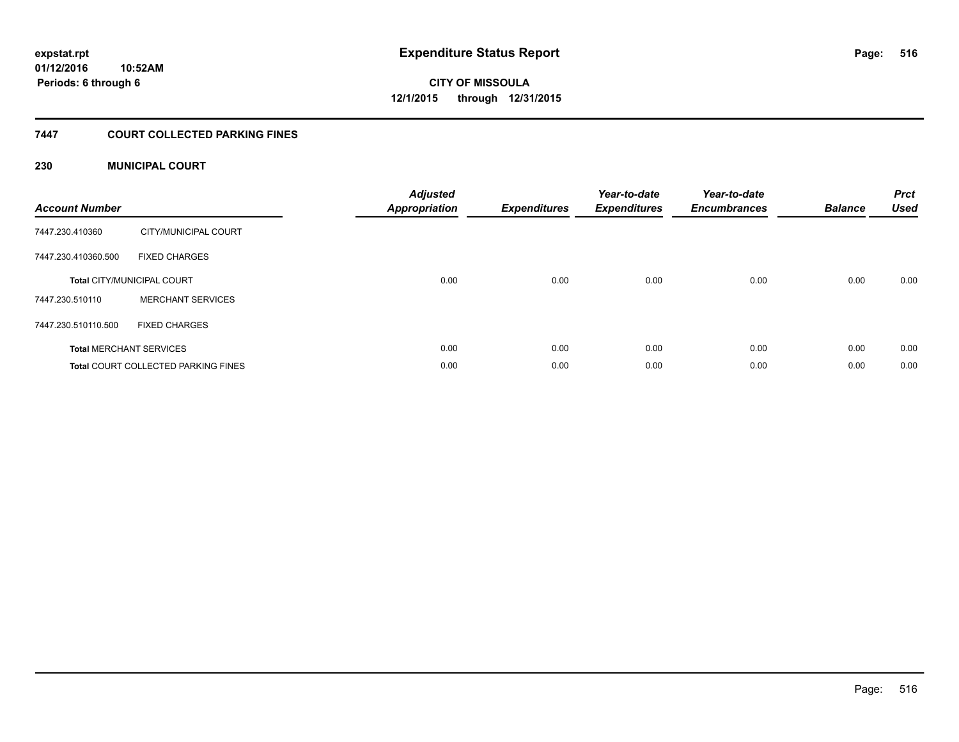#### **7447 COURT COLLECTED PARKING FINES**

#### **230 MUNICIPAL COURT**

| <b>Account Number</b> |                                            | <b>Adjusted</b><br>Appropriation | <b>Expenditures</b> | Year-to-date<br><b>Expenditures</b> | Year-to-date<br><b>Encumbrances</b> | <b>Balance</b> | <b>Prct</b><br><b>Used</b> |
|-----------------------|--------------------------------------------|----------------------------------|---------------------|-------------------------------------|-------------------------------------|----------------|----------------------------|
| 7447.230.410360       | CITY/MUNICIPAL COURT                       |                                  |                     |                                     |                                     |                |                            |
| 7447.230.410360.500   | <b>FIXED CHARGES</b>                       |                                  |                     |                                     |                                     |                |                            |
|                       | <b>Total CITY/MUNICIPAL COURT</b>          | 0.00                             | 0.00                | 0.00                                | 0.00                                | 0.00           | 0.00                       |
| 7447.230.510110       | <b>MERCHANT SERVICES</b>                   |                                  |                     |                                     |                                     |                |                            |
| 7447.230.510110.500   | <b>FIXED CHARGES</b>                       |                                  |                     |                                     |                                     |                |                            |
|                       | <b>Total MERCHANT SERVICES</b>             | 0.00                             | 0.00                | 0.00                                | 0.00                                | 0.00           | 0.00                       |
|                       | <b>Total COURT COLLECTED PARKING FINES</b> | 0.00                             | 0.00                | 0.00                                | 0.00                                | 0.00           | 0.00                       |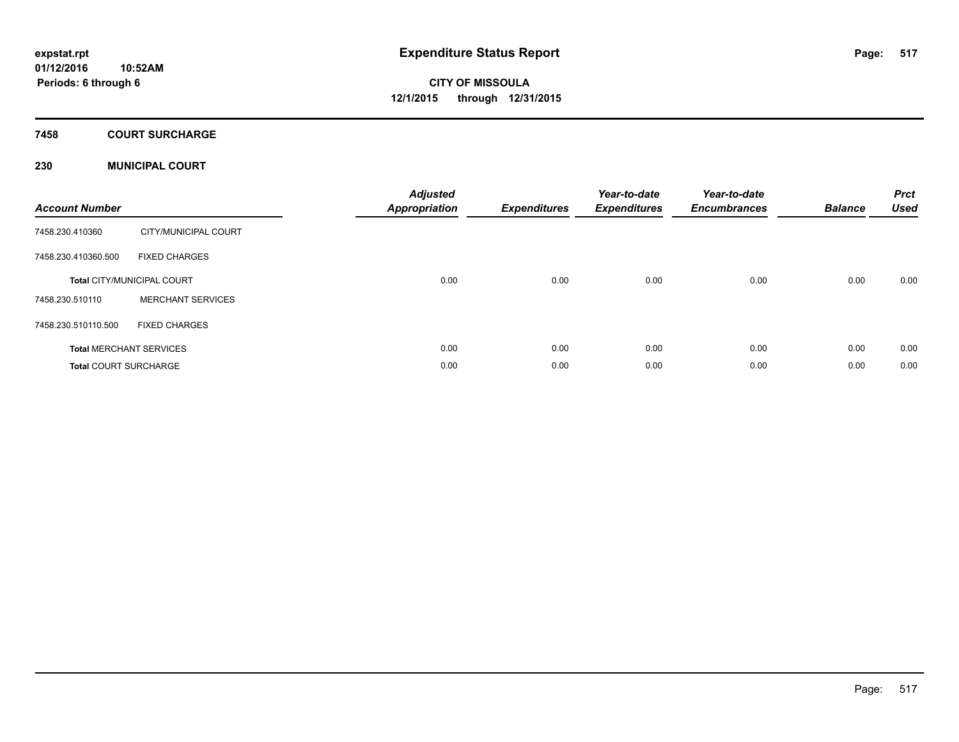#### **7458 COURT SURCHARGE**

#### **230 MUNICIPAL COURT**

| <b>Account Number</b>             |                                | <b>Adjusted</b><br><b>Appropriation</b> | <b>Expenditures</b> | Year-to-date<br><b>Expenditures</b> | Year-to-date<br><b>Encumbrances</b> | <b>Balance</b> | <b>Prct</b><br><b>Used</b> |
|-----------------------------------|--------------------------------|-----------------------------------------|---------------------|-------------------------------------|-------------------------------------|----------------|----------------------------|
| 7458.230.410360                   | CITY/MUNICIPAL COURT           |                                         |                     |                                     |                                     |                |                            |
| 7458.230.410360.500               | <b>FIXED CHARGES</b>           |                                         |                     |                                     |                                     |                |                            |
| <b>Total CITY/MUNICIPAL COURT</b> |                                | 0.00                                    | 0.00                | 0.00                                | 0.00                                | 0.00           | 0.00                       |
| 7458.230.510110                   | <b>MERCHANT SERVICES</b>       |                                         |                     |                                     |                                     |                |                            |
| 7458.230.510110.500               | <b>FIXED CHARGES</b>           |                                         |                     |                                     |                                     |                |                            |
|                                   | <b>Total MERCHANT SERVICES</b> | 0.00                                    | 0.00                | 0.00                                | 0.00                                | 0.00           | 0.00                       |
| <b>Total COURT SURCHARGE</b>      |                                | 0.00                                    | 0.00                | 0.00                                | 0.00                                | 0.00           | 0.00                       |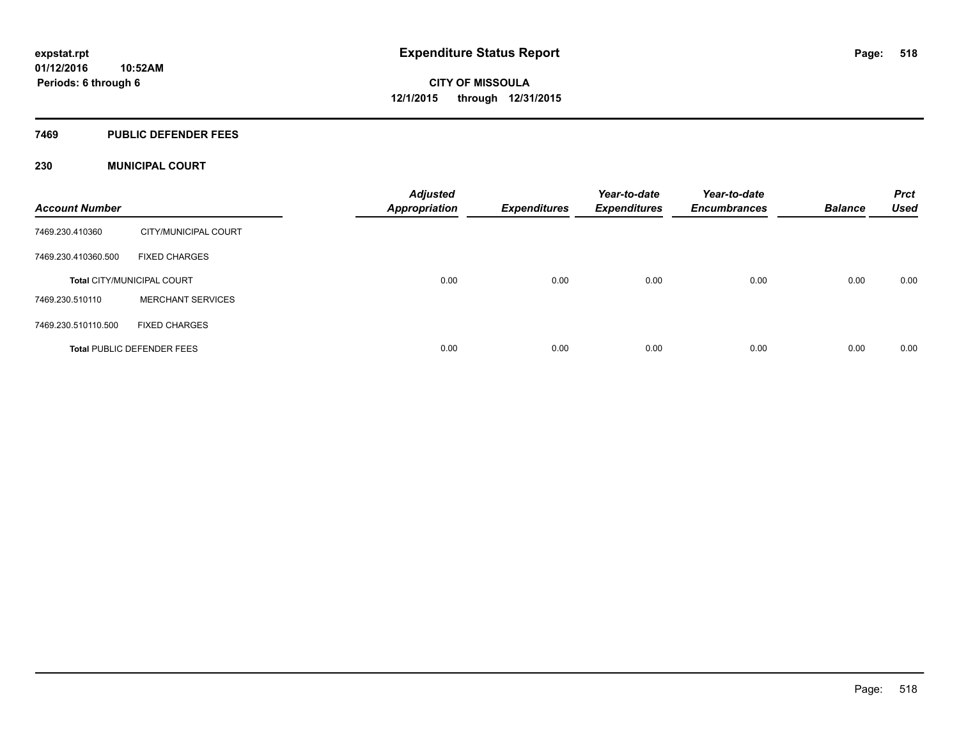#### **7469 PUBLIC DEFENDER FEES**

#### **230 MUNICIPAL COURT**

| <b>Account Number</b> |                                   | <b>Adjusted</b><br><b>Appropriation</b> | <b>Expenditures</b> | Year-to-date<br><b>Expenditures</b> | Year-to-date<br><b>Encumbrances</b> | <b>Balance</b> | <b>Prct</b><br><b>Used</b> |
|-----------------------|-----------------------------------|-----------------------------------------|---------------------|-------------------------------------|-------------------------------------|----------------|----------------------------|
| 7469.230.410360       | CITY/MUNICIPAL COURT              |                                         |                     |                                     |                                     |                |                            |
| 7469.230.410360.500   | <b>FIXED CHARGES</b>              |                                         |                     |                                     |                                     |                |                            |
|                       | <b>Total CITY/MUNICIPAL COURT</b> | 0.00                                    | 0.00                | 0.00                                | 0.00                                | 0.00           | 0.00                       |
| 7469.230.510110       | <b>MERCHANT SERVICES</b>          |                                         |                     |                                     |                                     |                |                            |
| 7469.230.510110.500   | <b>FIXED CHARGES</b>              |                                         |                     |                                     |                                     |                |                            |
|                       | <b>Total PUBLIC DEFENDER FEES</b> | 0.00                                    | 0.00                | 0.00                                | 0.00                                | 0.00           | 0.00                       |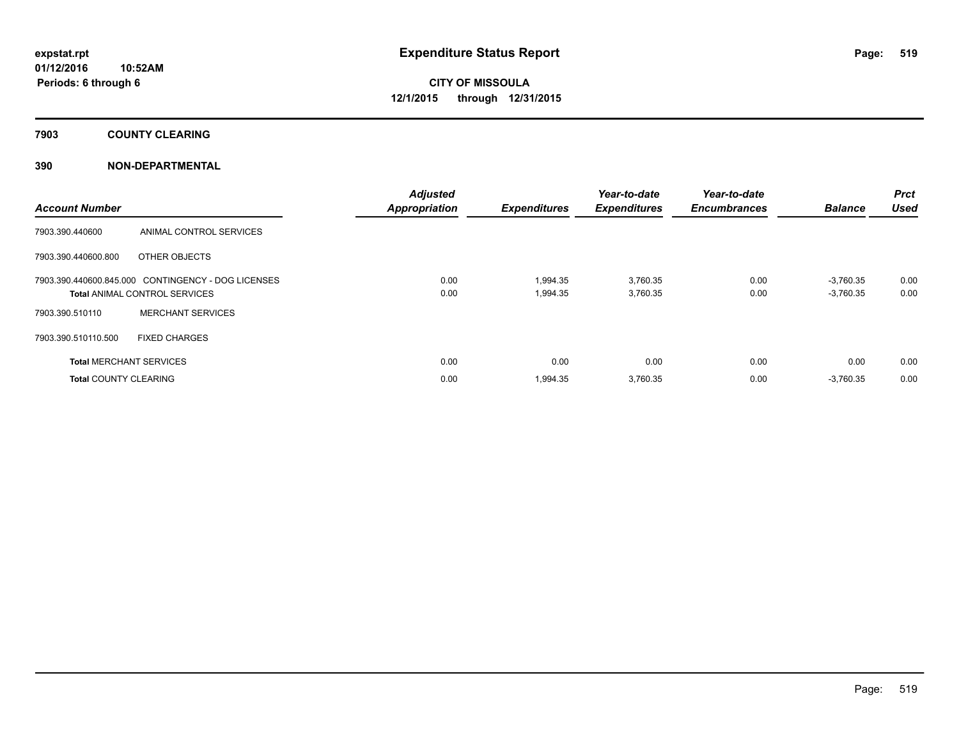### **7903 COUNTY CLEARING**

#### **390 NON-DEPARTMENTAL**

| <b>Account Number</b>        |                                                                                            | <b>Adjusted</b><br><b>Appropriation</b> | <b>Expenditures</b>  | Year-to-date<br><b>Expenditures</b> | Year-to-date<br><b>Encumbrances</b> | <b>Balance</b>             | Prct<br><b>Used</b> |
|------------------------------|--------------------------------------------------------------------------------------------|-----------------------------------------|----------------------|-------------------------------------|-------------------------------------|----------------------------|---------------------|
| 7903.390.440600              | ANIMAL CONTROL SERVICES                                                                    |                                         |                      |                                     |                                     |                            |                     |
| 7903.390.440600.800          | OTHER OBJECTS                                                                              |                                         |                      |                                     |                                     |                            |                     |
|                              | 7903.390.440600.845.000 CONTINGENCY - DOG LICENSES<br><b>Total ANIMAL CONTROL SERVICES</b> | 0.00<br>0.00                            | 1.994.35<br>1,994.35 | 3,760.35<br>3,760.35                | 0.00<br>0.00                        | $-3.760.35$<br>$-3,760.35$ | 0.00<br>0.00        |
| 7903.390.510110              | <b>MERCHANT SERVICES</b>                                                                   |                                         |                      |                                     |                                     |                            |                     |
| 7903.390.510110.500          | <b>FIXED CHARGES</b>                                                                       |                                         |                      |                                     |                                     |                            |                     |
|                              | <b>Total MERCHANT SERVICES</b>                                                             | 0.00                                    | 0.00                 | 0.00                                | 0.00                                | 0.00                       | 0.00                |
| <b>Total COUNTY CLEARING</b> |                                                                                            | 0.00                                    | 1,994.35             | 3,760.35                            | 0.00                                | $-3,760.35$                | 0.00                |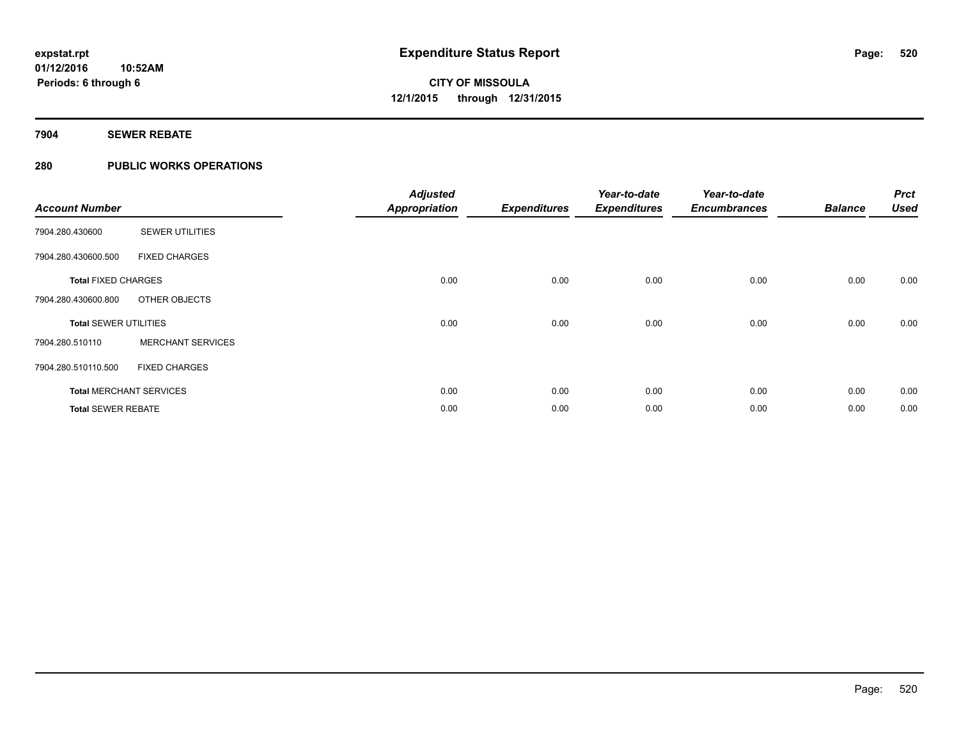#### **7904 SEWER REBATE**

#### **280 PUBLIC WORKS OPERATIONS**

| <b>Account Number</b>        |                                | <b>Adjusted</b><br><b>Appropriation</b> | <b>Expenditures</b> | Year-to-date<br><b>Expenditures</b> | Year-to-date<br><b>Encumbrances</b> | <b>Balance</b> | <b>Prct</b><br><b>Used</b> |
|------------------------------|--------------------------------|-----------------------------------------|---------------------|-------------------------------------|-------------------------------------|----------------|----------------------------|
| 7904.280.430600              | <b>SEWER UTILITIES</b>         |                                         |                     |                                     |                                     |                |                            |
| 7904.280.430600.500          | <b>FIXED CHARGES</b>           |                                         |                     |                                     |                                     |                |                            |
| <b>Total FIXED CHARGES</b>   |                                | 0.00                                    | 0.00                | 0.00                                | 0.00                                | 0.00           | 0.00                       |
| 7904.280.430600.800          | OTHER OBJECTS                  |                                         |                     |                                     |                                     |                |                            |
| <b>Total SEWER UTILITIES</b> |                                | 0.00                                    | 0.00                | 0.00                                | 0.00                                | 0.00           | 0.00                       |
| 7904.280.510110              | <b>MERCHANT SERVICES</b>       |                                         |                     |                                     |                                     |                |                            |
| 7904.280.510110.500          | <b>FIXED CHARGES</b>           |                                         |                     |                                     |                                     |                |                            |
|                              | <b>Total MERCHANT SERVICES</b> | 0.00                                    | 0.00                | 0.00                                | 0.00                                | 0.00           | 0.00                       |
| <b>Total SEWER REBATE</b>    |                                | 0.00                                    | 0.00                | 0.00                                | 0.00                                | 0.00           | 0.00                       |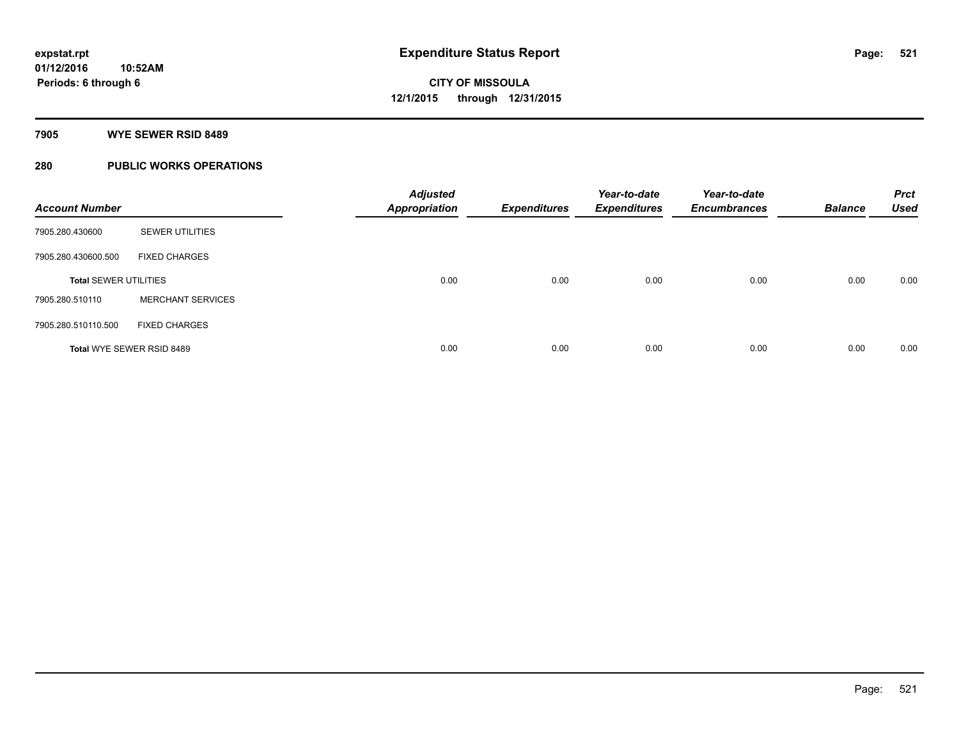#### **7905 WYE SEWER RSID 8489**

### **280 PUBLIC WORKS OPERATIONS**

| <b>Account Number</b>        |                           | <b>Adjusted</b><br><b>Appropriation</b> | <b>Expenditures</b> | Year-to-date<br><b>Expenditures</b> | Year-to-date<br><b>Encumbrances</b> | <b>Balance</b> | <b>Prct</b><br><b>Used</b> |
|------------------------------|---------------------------|-----------------------------------------|---------------------|-------------------------------------|-------------------------------------|----------------|----------------------------|
| 7905.280.430600              | <b>SEWER UTILITIES</b>    |                                         |                     |                                     |                                     |                |                            |
| 7905.280.430600.500          | <b>FIXED CHARGES</b>      |                                         |                     |                                     |                                     |                |                            |
| <b>Total SEWER UTILITIES</b> |                           | 0.00                                    | 0.00                | 0.00                                | 0.00                                | 0.00           | 0.00                       |
| 7905.280.510110              | <b>MERCHANT SERVICES</b>  |                                         |                     |                                     |                                     |                |                            |
| 7905.280.510110.500          | <b>FIXED CHARGES</b>      |                                         |                     |                                     |                                     |                |                            |
|                              | Total WYE SEWER RSID 8489 | 0.00                                    | 0.00                | 0.00                                | 0.00                                | 0.00           | 0.00                       |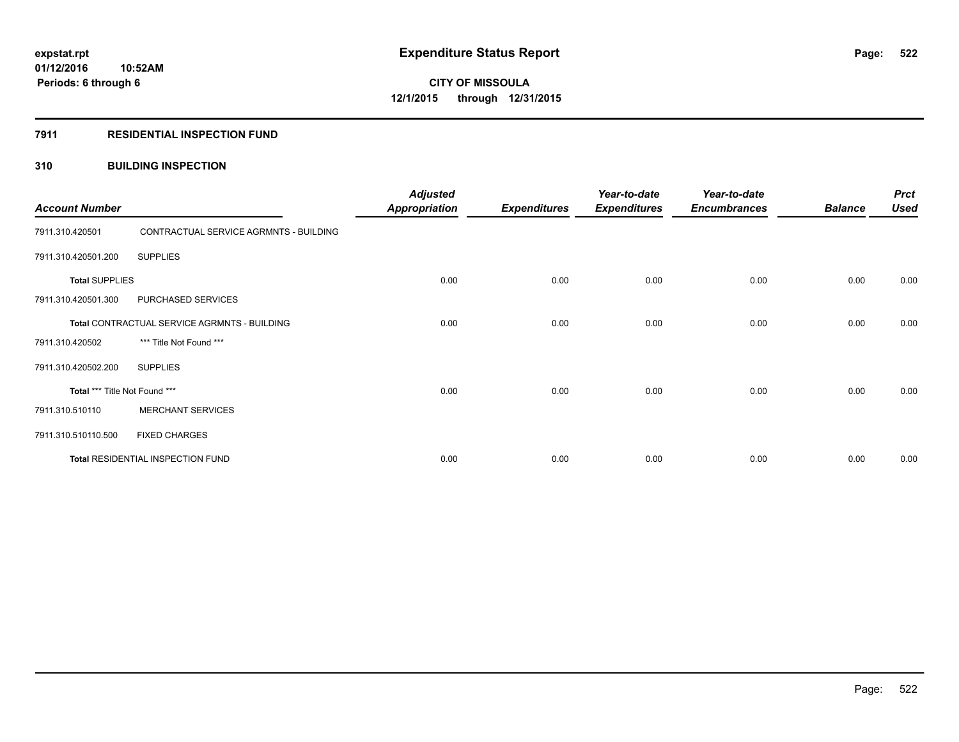#### **7911 RESIDENTIAL INSPECTION FUND**

#### **310 BUILDING INSPECTION**

| <b>Account Number</b>                        |                                        | <b>Adjusted</b><br><b>Appropriation</b> | <b>Expenditures</b> | Year-to-date<br><b>Expenditures</b> | Year-to-date<br><b>Encumbrances</b> | <b>Balance</b> | <b>Prct</b><br><b>Used</b> |
|----------------------------------------------|----------------------------------------|-----------------------------------------|---------------------|-------------------------------------|-------------------------------------|----------------|----------------------------|
| 7911.310.420501                              | CONTRACTUAL SERVICE AGRMNTS - BUILDING |                                         |                     |                                     |                                     |                |                            |
| 7911.310.420501.200                          | <b>SUPPLIES</b>                        |                                         |                     |                                     |                                     |                |                            |
| <b>Total SUPPLIES</b>                        |                                        | 0.00                                    | 0.00                | 0.00                                | 0.00                                | 0.00           | 0.00                       |
| 7911.310.420501.300                          | PURCHASED SERVICES                     |                                         |                     |                                     |                                     |                |                            |
| Total CONTRACTUAL SERVICE AGRMNTS - BUILDING |                                        | 0.00                                    | 0.00                | 0.00                                | 0.00                                | 0.00           | 0.00                       |
| 7911.310.420502                              | *** Title Not Found ***                |                                         |                     |                                     |                                     |                |                            |
| 7911.310.420502.200                          | <b>SUPPLIES</b>                        |                                         |                     |                                     |                                     |                |                            |
| Total *** Title Not Found ***                |                                        | 0.00                                    | 0.00                | 0.00                                | 0.00                                | 0.00           | 0.00                       |
| 7911.310.510110                              | <b>MERCHANT SERVICES</b>               |                                         |                     |                                     |                                     |                |                            |
| 7911.310.510110.500                          | <b>FIXED CHARGES</b>                   |                                         |                     |                                     |                                     |                |                            |
|                                              | Total RESIDENTIAL INSPECTION FUND      | 0.00                                    | 0.00                | 0.00                                | 0.00                                | 0.00           | 0.00                       |